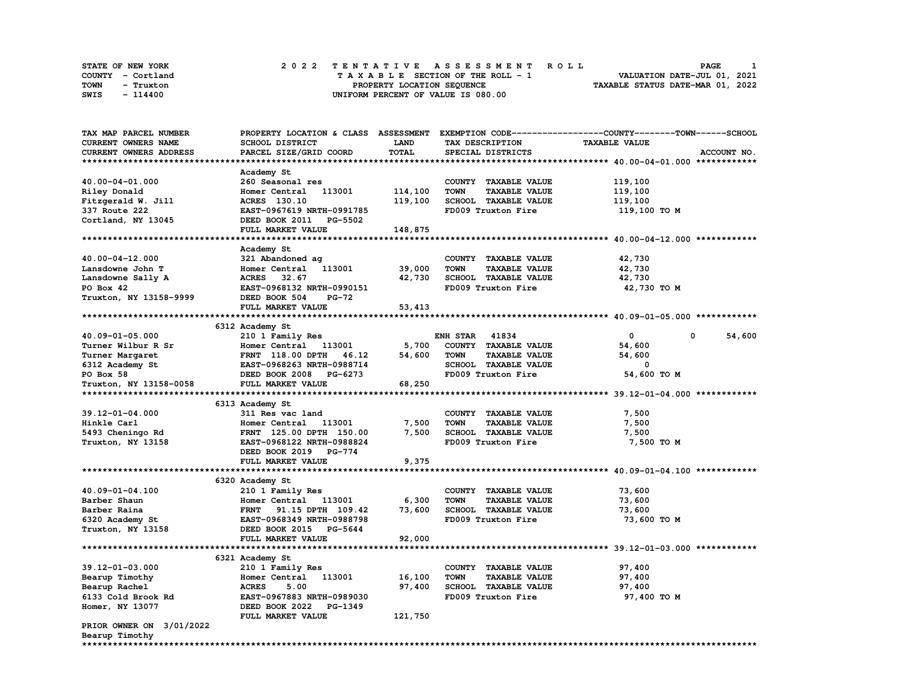| <b>STATE OF NEW YORK</b> | 2022 TENTATIVE ASSESSMENT ROLL     | PAGE                             |
|--------------------------|------------------------------------|----------------------------------|
| COUNTY - Cortland        | TAXABLE SECTION OF THE ROLL - 1    | VALUATION DATE-JUL 01, 2021      |
| TOWN<br>- Truxton        | PROPERTY LOCATION SEQUENCE         | TAXABLE STATUS DATE-MAR 01, 2022 |
| SWIS<br>- 114400         | UNIFORM PERCENT OF VALUE IS 080.00 |                                  |

| <b>TAX MAP PARCEL NUMBER</b> |                                  |         |                                     | PROPERTY LOCATION & CLASS ASSESSMENT EXEMPTION CODE----------------COUNTY-------TOWN------SCHOOL |             |
|------------------------------|----------------------------------|---------|-------------------------------------|--------------------------------------------------------------------------------------------------|-------------|
| CURRENT OWNERS NAME          | SCHOOL DISTRICT                  | LAND    | TAX DESCRIPTION                     | <b>TAXABLE VALUE</b>                                                                             |             |
| CURRENT OWNERS ADDRESS       | PARCEL SIZE/GRID COORD           | TOTAL   | SPECIAL DISTRICTS                   |                                                                                                  | ACCOUNT NO. |
|                              |                                  |         |                                     |                                                                                                  |             |
|                              | Academy St                       |         |                                     |                                                                                                  |             |
| 40.00-04-01.000              | 260 Seasonal res                 |         | COUNTY TAXABLE VALUE                | 119,100                                                                                          |             |
| Riley Donald                 | Homer Central<br>113001          | 114,100 | <b>TOWN</b><br><b>TAXABLE VALUE</b> | 119,100                                                                                          |             |
| Fitzgerald W. Jill           | ACRES 130.10                     | 119,100 | SCHOOL TAXABLE VALUE                | 119,100                                                                                          |             |
| 337 Route 222                | EAST-0967619 NRTH-0991785        |         | FD009 Truxton Fire                  | 119,100 TO M                                                                                     |             |
| Cortland, NY 13045           | DEED BOOK 2011 PG-5502           |         |                                     |                                                                                                  |             |
|                              | FULL MARKET VALUE                | 148,875 |                                     |                                                                                                  |             |
|                              |                                  |         |                                     |                                                                                                  |             |
|                              | Academy St                       |         |                                     |                                                                                                  |             |
| 40.00-04-12.000              | 321 Abandoned ag                 |         | COUNTY TAXABLE VALUE                | 42,730                                                                                           |             |
| Lansdowne John T             | 113001<br>Homer Central          | 39,000  | <b>TOWN</b><br><b>TAXABLE VALUE</b> | 42,730                                                                                           |             |
| Lansdowne Sally A            | <b>ACRES</b><br>32.67            | 42,730  | <b>SCHOOL TAXABLE VALUE</b>         | 42,730                                                                                           |             |
| PO Box 42                    | EAST-0968132 NRTH-0990151        |         | FD009 Truxton Fire                  | 42,730 TO M                                                                                      |             |
| Truxton, NY 13158-9999       | DEED BOOK 504<br>PG-72           |         |                                     |                                                                                                  |             |
|                              | FULL MARKET VALUE                | 53,413  |                                     |                                                                                                  |             |
|                              |                                  |         |                                     |                                                                                                  |             |
|                              | 6312 Academy St                  |         |                                     |                                                                                                  |             |
| 40.09-01-05.000              | 210 1 Family Res                 |         | <b>ENH STAR 41834</b>               | 0                                                                                                | 0<br>54,600 |
| Turner Wilbur R Sr           | Homer Central 113001             | 5,700   | COUNTY TAXABLE VALUE                | 54,600                                                                                           |             |
| Turner Margaret              | <b>FRNT</b> 118.00 DPTH<br>46.12 | 54,600  | <b>TOWN</b><br><b>TAXABLE VALUE</b> | 54,600                                                                                           |             |
| 6312 Academy St              | EAST-0968263 NRTH-0988714        |         | SCHOOL TAXABLE VALUE                | 0                                                                                                |             |
| PO Box 58                    | DEED BOOK 2008 PG-6273           |         | FD009 Truxton Fire                  | 54,600 TO M                                                                                      |             |
| Truxton, NY 13158-0058       | FULL MARKET VALUE                | 68,250  |                                     |                                                                                                  |             |
|                              |                                  |         |                                     |                                                                                                  |             |
|                              | 6313 Academy St                  |         |                                     |                                                                                                  |             |
| $39.12 - 01 - 04.000$        | 311 Res vac land                 |         | COUNTY TAXABLE VALUE                | 7,500                                                                                            |             |
| Hinkle Carl                  | 113001<br>Homer Central          | 7,500   | <b>TOWN</b><br><b>TAXABLE VALUE</b> | 7,500                                                                                            |             |
| 5493 Cheningo Rd             | FRNT 125.00 DPTH 150.00          | 7,500   | SCHOOL TAXABLE VALUE                | 7,500                                                                                            |             |
| Truxton, NY 13158            | EAST-0968122 NRTH-0988824        |         | FD009 Truxton Fire                  | 7,500 TO M                                                                                       |             |
|                              | DEED BOOK 2019 PG-774            |         |                                     |                                                                                                  |             |
|                              | FULL MARKET VALUE                | 9,375   |                                     |                                                                                                  |             |
|                              |                                  |         |                                     |                                                                                                  |             |
|                              | 6320 Academy St                  |         |                                     |                                                                                                  |             |
| 40.09-01-04.100              | 210 1 Family Res                 |         | COUNTY TAXABLE VALUE                | 73,600                                                                                           |             |
| Barber Shaun                 | Homer Central 113001             | 6,300   | <b>TOWN</b><br><b>TAXABLE VALUE</b> | 73,600                                                                                           |             |
| Barber Raina                 | FRNT 91.15 DPTH 109.42           | 73,600  | SCHOOL TAXABLE VALUE                | 73,600                                                                                           |             |
| 6320 Academy St              | EAST-0968349 NRTH-0988798        |         | FD009 Truxton Fire                  | 73,600 TO M                                                                                      |             |
| Truxton, NY 13158            | DEED BOOK 2015 PG-5644           |         |                                     |                                                                                                  |             |
|                              | FULL MARKET VALUE                | 92,000  |                                     |                                                                                                  |             |
|                              |                                  |         |                                     |                                                                                                  |             |
|                              | 6321 Academy St                  |         |                                     |                                                                                                  |             |
| 39.12-01-03.000              | 210 1 Family Res                 |         | COUNTY TAXABLE VALUE                | 97,400                                                                                           |             |
| Bearup Timothy               | Homer Central<br>113001          | 16,100  | <b>TOWN</b><br><b>TAXABLE VALUE</b> | 97,400                                                                                           |             |
| Bearup Rachel                | 5.00<br><b>ACRES</b>             | 97,400  | SCHOOL TAXABLE VALUE                | 97,400                                                                                           |             |
| 6133 Cold Brook Rd           | EAST-0967883 NRTH-0989030        |         | FD009 Truxton Fire                  | 97,400 TO M                                                                                      |             |
| Homer, NY 13077              | DEED BOOK 2022 PG-1349           |         |                                     |                                                                                                  |             |
|                              | FULL MARKET VALUE                | 121,750 |                                     |                                                                                                  |             |
| PRIOR OWNER ON 3/01/2022     |                                  |         |                                     |                                                                                                  |             |
| Bearup Timothy               |                                  |         |                                     |                                                                                                  |             |
| ***************              |                                  |         |                                     |                                                                                                  |             |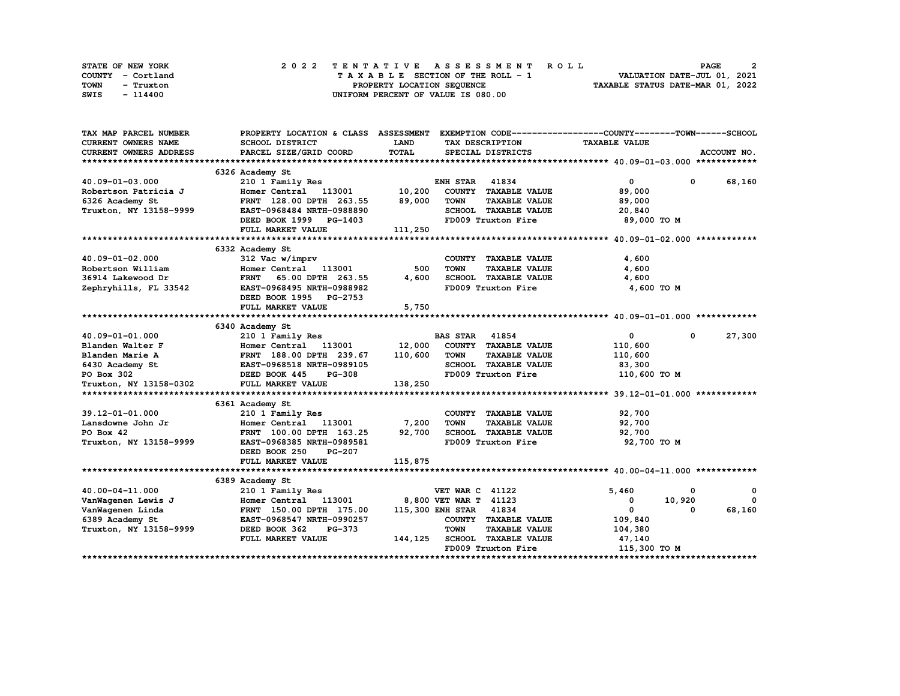| STATE OF NEW YORK | 2022 TENTATIVE ASSESSMENT ROLL     | 2<br><b>PAGE</b>                 |
|-------------------|------------------------------------|----------------------------------|
| COUNTY - Cortland | TAXABLE SECTION OF THE ROLL - 1    | VALUATION DATE-JUL 01, 2021      |
| TOWN<br>- Truxton | PROPERTY LOCATION SEQUENCE         | TAXABLE STATUS DATE-MAR 01, 2022 |
| SWIS<br>- 114400  | UNIFORM PERCENT OF VALUE IS 080.00 |                                  |

| <b>CURRENT OWNERS NAME</b><br>SCHOOL DISTRICT<br><b>LAND</b><br><b>TAXABLE VALUE</b><br>TAX DESCRIPTION<br>TOTAL<br>CURRENT OWNERS ADDRESS<br>PARCEL SIZE/GRID COORD<br>SPECIAL DISTRICTS<br>ACCOUNT NO.<br>6326 Academy St<br><b>ENH STAR 41834</b><br>$\mathbf{0}$<br>68,160<br>$40.09 - 01 - 03.000$<br>210 1 Family Res<br>$\mathbf{0}$<br>Homer Central 113001 10,200<br>Robertson Patricia J<br>COUNTY TAXABLE VALUE<br>89,000<br>89,000<br>6326 Academy St<br>FRNT 128.00 DPTH 263.55<br><b>TOWN</b><br><b>TAXABLE VALUE</b><br>89,000<br>Truxton, NY 13158-9999<br>SCHOOL TAXABLE VALUE<br>EAST-0968484 NRTH-0988890<br>20,840<br>DEED BOOK 1999 PG-1403<br>FD009 Truxton Fire<br>89,000 TO M<br>FULL MARKET VALUE<br>111,250<br>6332 Academy St<br>40.09-01-02.000<br>312 Vac w/imprv<br>COUNTY TAXABLE VALUE<br>4,600<br>500<br><b>TOWN</b><br><b>TAXABLE VALUE</b><br>4,600<br>Robertson William<br>Homer Central 113001<br>FRNT 65.00 DPTH 263.55<br>SCHOOL TAXABLE VALUE<br>36914 Lakewood Dr<br>4,600<br>4,600<br>Zephryhills, FL 33542<br>EAST-0968495 NRTH-0988982<br>FD009 Truxton Fire<br>4,600 TO M<br>DEED BOOK 1995 PG-2753<br>FULL MARKET VALUE<br>5,750<br>6340 Academy St<br>$\mathbf{0}$<br>40.09-01-01.000<br>210 1 Family Res<br><b>BAS STAR 41854</b><br>$\mathbf{0}$<br>27,300<br>Homer Central 113001 12,000<br>COUNTY TAXABLE VALUE<br>Blanden Walter F<br>110,600<br>FRNT 188.00 DPTH 239.67<br>Blanden Marie A<br>110,600<br><b>TOWN</b><br><b>TAXABLE VALUE</b><br>110,600<br><b>A</b> FRNT 188.00 DPTH 239.67<br>FLS EAST-0968518 NRTH-0989105<br>DEED BOOK 445 PG-308<br>SCHOOL TAXABLE VALUE<br>83,300<br>6430 Academy St<br>FD009 Truxton Fire<br>PO Box 302<br>110,600 TO M<br>Truxton, NY 13158-0302<br>FULL MARKET VALUE<br>138,250<br>6361 Academy St<br>39.12-01-01.000<br>210 1 Family Res<br>COUNTY TAXABLE VALUE<br>92,700<br>Homer Central 113001<br>7,200<br><b>TAXABLE VALUE</b><br>92,700<br>Lansdowne John Jr<br><b>TOWN</b><br>92,700<br>SCHOOL TAXABLE VALUE<br>PO Box 42<br>FRNT 100.00 DPTH 163.25<br>92,700<br>FD009 Truxton Fire<br>Truxton, NY 13158-9999<br>EAST-0968385 NRTH-0989581<br>92,700 TO M<br>DEED BOOK 250<br><b>PG-207</b><br>115,875<br>FULL MARKET VALUE<br>6389 Academy St<br>40.00-04-11.000<br>210 1 Family Res<br><b>VET WAR C 41122</b><br>5,460<br>0<br>0<br>8,800 VET WAR T 41123<br>10,920<br>VanWagenen Lewis J<br>Homer Central<br>113001<br>0<br>$\Omega$ | TAX MAP PARCEL NUMBER |  | PROPERTY LOCATION & CLASS ASSESSMENT EXEMPTION CODE-----------------COUNTY-------TOWN-----SCHOOL |
|-----------------------------------------------------------------------------------------------------------------------------------------------------------------------------------------------------------------------------------------------------------------------------------------------------------------------------------------------------------------------------------------------------------------------------------------------------------------------------------------------------------------------------------------------------------------------------------------------------------------------------------------------------------------------------------------------------------------------------------------------------------------------------------------------------------------------------------------------------------------------------------------------------------------------------------------------------------------------------------------------------------------------------------------------------------------------------------------------------------------------------------------------------------------------------------------------------------------------------------------------------------------------------------------------------------------------------------------------------------------------------------------------------------------------------------------------------------------------------------------------------------------------------------------------------------------------------------------------------------------------------------------------------------------------------------------------------------------------------------------------------------------------------------------------------------------------------------------------------------------------------------------------------------------------------------------------------------------------------------------------------------------------------------------------------------------------------------------------------------------------------------------------------------------------------------------------------------------------------------------------------------------------------------------------------------------------------------------------------------------------------------------------------------------------------------------------|-----------------------|--|--------------------------------------------------------------------------------------------------|
|                                                                                                                                                                                                                                                                                                                                                                                                                                                                                                                                                                                                                                                                                                                                                                                                                                                                                                                                                                                                                                                                                                                                                                                                                                                                                                                                                                                                                                                                                                                                                                                                                                                                                                                                                                                                                                                                                                                                                                                                                                                                                                                                                                                                                                                                                                                                                                                                                                               |                       |  |                                                                                                  |
|                                                                                                                                                                                                                                                                                                                                                                                                                                                                                                                                                                                                                                                                                                                                                                                                                                                                                                                                                                                                                                                                                                                                                                                                                                                                                                                                                                                                                                                                                                                                                                                                                                                                                                                                                                                                                                                                                                                                                                                                                                                                                                                                                                                                                                                                                                                                                                                                                                               |                       |  |                                                                                                  |
|                                                                                                                                                                                                                                                                                                                                                                                                                                                                                                                                                                                                                                                                                                                                                                                                                                                                                                                                                                                                                                                                                                                                                                                                                                                                                                                                                                                                                                                                                                                                                                                                                                                                                                                                                                                                                                                                                                                                                                                                                                                                                                                                                                                                                                                                                                                                                                                                                                               |                       |  |                                                                                                  |
|                                                                                                                                                                                                                                                                                                                                                                                                                                                                                                                                                                                                                                                                                                                                                                                                                                                                                                                                                                                                                                                                                                                                                                                                                                                                                                                                                                                                                                                                                                                                                                                                                                                                                                                                                                                                                                                                                                                                                                                                                                                                                                                                                                                                                                                                                                                                                                                                                                               |                       |  |                                                                                                  |
|                                                                                                                                                                                                                                                                                                                                                                                                                                                                                                                                                                                                                                                                                                                                                                                                                                                                                                                                                                                                                                                                                                                                                                                                                                                                                                                                                                                                                                                                                                                                                                                                                                                                                                                                                                                                                                                                                                                                                                                                                                                                                                                                                                                                                                                                                                                                                                                                                                               |                       |  |                                                                                                  |
|                                                                                                                                                                                                                                                                                                                                                                                                                                                                                                                                                                                                                                                                                                                                                                                                                                                                                                                                                                                                                                                                                                                                                                                                                                                                                                                                                                                                                                                                                                                                                                                                                                                                                                                                                                                                                                                                                                                                                                                                                                                                                                                                                                                                                                                                                                                                                                                                                                               |                       |  |                                                                                                  |
|                                                                                                                                                                                                                                                                                                                                                                                                                                                                                                                                                                                                                                                                                                                                                                                                                                                                                                                                                                                                                                                                                                                                                                                                                                                                                                                                                                                                                                                                                                                                                                                                                                                                                                                                                                                                                                                                                                                                                                                                                                                                                                                                                                                                                                                                                                                                                                                                                                               |                       |  |                                                                                                  |
|                                                                                                                                                                                                                                                                                                                                                                                                                                                                                                                                                                                                                                                                                                                                                                                                                                                                                                                                                                                                                                                                                                                                                                                                                                                                                                                                                                                                                                                                                                                                                                                                                                                                                                                                                                                                                                                                                                                                                                                                                                                                                                                                                                                                                                                                                                                                                                                                                                               |                       |  |                                                                                                  |
|                                                                                                                                                                                                                                                                                                                                                                                                                                                                                                                                                                                                                                                                                                                                                                                                                                                                                                                                                                                                                                                                                                                                                                                                                                                                                                                                                                                                                                                                                                                                                                                                                                                                                                                                                                                                                                                                                                                                                                                                                                                                                                                                                                                                                                                                                                                                                                                                                                               |                       |  |                                                                                                  |
|                                                                                                                                                                                                                                                                                                                                                                                                                                                                                                                                                                                                                                                                                                                                                                                                                                                                                                                                                                                                                                                                                                                                                                                                                                                                                                                                                                                                                                                                                                                                                                                                                                                                                                                                                                                                                                                                                                                                                                                                                                                                                                                                                                                                                                                                                                                                                                                                                                               |                       |  |                                                                                                  |
|                                                                                                                                                                                                                                                                                                                                                                                                                                                                                                                                                                                                                                                                                                                                                                                                                                                                                                                                                                                                                                                                                                                                                                                                                                                                                                                                                                                                                                                                                                                                                                                                                                                                                                                                                                                                                                                                                                                                                                                                                                                                                                                                                                                                                                                                                                                                                                                                                                               |                       |  |                                                                                                  |
|                                                                                                                                                                                                                                                                                                                                                                                                                                                                                                                                                                                                                                                                                                                                                                                                                                                                                                                                                                                                                                                                                                                                                                                                                                                                                                                                                                                                                                                                                                                                                                                                                                                                                                                                                                                                                                                                                                                                                                                                                                                                                                                                                                                                                                                                                                                                                                                                                                               |                       |  |                                                                                                  |
|                                                                                                                                                                                                                                                                                                                                                                                                                                                                                                                                                                                                                                                                                                                                                                                                                                                                                                                                                                                                                                                                                                                                                                                                                                                                                                                                                                                                                                                                                                                                                                                                                                                                                                                                                                                                                                                                                                                                                                                                                                                                                                                                                                                                                                                                                                                                                                                                                                               |                       |  |                                                                                                  |
|                                                                                                                                                                                                                                                                                                                                                                                                                                                                                                                                                                                                                                                                                                                                                                                                                                                                                                                                                                                                                                                                                                                                                                                                                                                                                                                                                                                                                                                                                                                                                                                                                                                                                                                                                                                                                                                                                                                                                                                                                                                                                                                                                                                                                                                                                                                                                                                                                                               |                       |  |                                                                                                  |
|                                                                                                                                                                                                                                                                                                                                                                                                                                                                                                                                                                                                                                                                                                                                                                                                                                                                                                                                                                                                                                                                                                                                                                                                                                                                                                                                                                                                                                                                                                                                                                                                                                                                                                                                                                                                                                                                                                                                                                                                                                                                                                                                                                                                                                                                                                                                                                                                                                               |                       |  |                                                                                                  |
|                                                                                                                                                                                                                                                                                                                                                                                                                                                                                                                                                                                                                                                                                                                                                                                                                                                                                                                                                                                                                                                                                                                                                                                                                                                                                                                                                                                                                                                                                                                                                                                                                                                                                                                                                                                                                                                                                                                                                                                                                                                                                                                                                                                                                                                                                                                                                                                                                                               |                       |  |                                                                                                  |
|                                                                                                                                                                                                                                                                                                                                                                                                                                                                                                                                                                                                                                                                                                                                                                                                                                                                                                                                                                                                                                                                                                                                                                                                                                                                                                                                                                                                                                                                                                                                                                                                                                                                                                                                                                                                                                                                                                                                                                                                                                                                                                                                                                                                                                                                                                                                                                                                                                               |                       |  |                                                                                                  |
|                                                                                                                                                                                                                                                                                                                                                                                                                                                                                                                                                                                                                                                                                                                                                                                                                                                                                                                                                                                                                                                                                                                                                                                                                                                                                                                                                                                                                                                                                                                                                                                                                                                                                                                                                                                                                                                                                                                                                                                                                                                                                                                                                                                                                                                                                                                                                                                                                                               |                       |  |                                                                                                  |
|                                                                                                                                                                                                                                                                                                                                                                                                                                                                                                                                                                                                                                                                                                                                                                                                                                                                                                                                                                                                                                                                                                                                                                                                                                                                                                                                                                                                                                                                                                                                                                                                                                                                                                                                                                                                                                                                                                                                                                                                                                                                                                                                                                                                                                                                                                                                                                                                                                               |                       |  |                                                                                                  |
|                                                                                                                                                                                                                                                                                                                                                                                                                                                                                                                                                                                                                                                                                                                                                                                                                                                                                                                                                                                                                                                                                                                                                                                                                                                                                                                                                                                                                                                                                                                                                                                                                                                                                                                                                                                                                                                                                                                                                                                                                                                                                                                                                                                                                                                                                                                                                                                                                                               |                       |  |                                                                                                  |
|                                                                                                                                                                                                                                                                                                                                                                                                                                                                                                                                                                                                                                                                                                                                                                                                                                                                                                                                                                                                                                                                                                                                                                                                                                                                                                                                                                                                                                                                                                                                                                                                                                                                                                                                                                                                                                                                                                                                                                                                                                                                                                                                                                                                                                                                                                                                                                                                                                               |                       |  |                                                                                                  |
|                                                                                                                                                                                                                                                                                                                                                                                                                                                                                                                                                                                                                                                                                                                                                                                                                                                                                                                                                                                                                                                                                                                                                                                                                                                                                                                                                                                                                                                                                                                                                                                                                                                                                                                                                                                                                                                                                                                                                                                                                                                                                                                                                                                                                                                                                                                                                                                                                                               |                       |  |                                                                                                  |
|                                                                                                                                                                                                                                                                                                                                                                                                                                                                                                                                                                                                                                                                                                                                                                                                                                                                                                                                                                                                                                                                                                                                                                                                                                                                                                                                                                                                                                                                                                                                                                                                                                                                                                                                                                                                                                                                                                                                                                                                                                                                                                                                                                                                                                                                                                                                                                                                                                               |                       |  |                                                                                                  |
|                                                                                                                                                                                                                                                                                                                                                                                                                                                                                                                                                                                                                                                                                                                                                                                                                                                                                                                                                                                                                                                                                                                                                                                                                                                                                                                                                                                                                                                                                                                                                                                                                                                                                                                                                                                                                                                                                                                                                                                                                                                                                                                                                                                                                                                                                                                                                                                                                                               |                       |  |                                                                                                  |
|                                                                                                                                                                                                                                                                                                                                                                                                                                                                                                                                                                                                                                                                                                                                                                                                                                                                                                                                                                                                                                                                                                                                                                                                                                                                                                                                                                                                                                                                                                                                                                                                                                                                                                                                                                                                                                                                                                                                                                                                                                                                                                                                                                                                                                                                                                                                                                                                                                               |                       |  |                                                                                                  |
|                                                                                                                                                                                                                                                                                                                                                                                                                                                                                                                                                                                                                                                                                                                                                                                                                                                                                                                                                                                                                                                                                                                                                                                                                                                                                                                                                                                                                                                                                                                                                                                                                                                                                                                                                                                                                                                                                                                                                                                                                                                                                                                                                                                                                                                                                                                                                                                                                                               |                       |  |                                                                                                  |
|                                                                                                                                                                                                                                                                                                                                                                                                                                                                                                                                                                                                                                                                                                                                                                                                                                                                                                                                                                                                                                                                                                                                                                                                                                                                                                                                                                                                                                                                                                                                                                                                                                                                                                                                                                                                                                                                                                                                                                                                                                                                                                                                                                                                                                                                                                                                                                                                                                               |                       |  |                                                                                                  |
|                                                                                                                                                                                                                                                                                                                                                                                                                                                                                                                                                                                                                                                                                                                                                                                                                                                                                                                                                                                                                                                                                                                                                                                                                                                                                                                                                                                                                                                                                                                                                                                                                                                                                                                                                                                                                                                                                                                                                                                                                                                                                                                                                                                                                                                                                                                                                                                                                                               |                       |  |                                                                                                  |
|                                                                                                                                                                                                                                                                                                                                                                                                                                                                                                                                                                                                                                                                                                                                                                                                                                                                                                                                                                                                                                                                                                                                                                                                                                                                                                                                                                                                                                                                                                                                                                                                                                                                                                                                                                                                                                                                                                                                                                                                                                                                                                                                                                                                                                                                                                                                                                                                                                               |                       |  |                                                                                                  |
|                                                                                                                                                                                                                                                                                                                                                                                                                                                                                                                                                                                                                                                                                                                                                                                                                                                                                                                                                                                                                                                                                                                                                                                                                                                                                                                                                                                                                                                                                                                                                                                                                                                                                                                                                                                                                                                                                                                                                                                                                                                                                                                                                                                                                                                                                                                                                                                                                                               |                       |  |                                                                                                  |
|                                                                                                                                                                                                                                                                                                                                                                                                                                                                                                                                                                                                                                                                                                                                                                                                                                                                                                                                                                                                                                                                                                                                                                                                                                                                                                                                                                                                                                                                                                                                                                                                                                                                                                                                                                                                                                                                                                                                                                                                                                                                                                                                                                                                                                                                                                                                                                                                                                               |                       |  |                                                                                                  |
|                                                                                                                                                                                                                                                                                                                                                                                                                                                                                                                                                                                                                                                                                                                                                                                                                                                                                                                                                                                                                                                                                                                                                                                                                                                                                                                                                                                                                                                                                                                                                                                                                                                                                                                                                                                                                                                                                                                                                                                                                                                                                                                                                                                                                                                                                                                                                                                                                                               |                       |  |                                                                                                  |
|                                                                                                                                                                                                                                                                                                                                                                                                                                                                                                                                                                                                                                                                                                                                                                                                                                                                                                                                                                                                                                                                                                                                                                                                                                                                                                                                                                                                                                                                                                                                                                                                                                                                                                                                                                                                                                                                                                                                                                                                                                                                                                                                                                                                                                                                                                                                                                                                                                               |                       |  |                                                                                                  |
|                                                                                                                                                                                                                                                                                                                                                                                                                                                                                                                                                                                                                                                                                                                                                                                                                                                                                                                                                                                                                                                                                                                                                                                                                                                                                                                                                                                                                                                                                                                                                                                                                                                                                                                                                                                                                                                                                                                                                                                                                                                                                                                                                                                                                                                                                                                                                                                                                                               |                       |  |                                                                                                  |
|                                                                                                                                                                                                                                                                                                                                                                                                                                                                                                                                                                                                                                                                                                                                                                                                                                                                                                                                                                                                                                                                                                                                                                                                                                                                                                                                                                                                                                                                                                                                                                                                                                                                                                                                                                                                                                                                                                                                                                                                                                                                                                                                                                                                                                                                                                                                                                                                                                               |                       |  |                                                                                                  |
|                                                                                                                                                                                                                                                                                                                                                                                                                                                                                                                                                                                                                                                                                                                                                                                                                                                                                                                                                                                                                                                                                                                                                                                                                                                                                                                                                                                                                                                                                                                                                                                                                                                                                                                                                                                                                                                                                                                                                                                                                                                                                                                                                                                                                                                                                                                                                                                                                                               |                       |  |                                                                                                  |
|                                                                                                                                                                                                                                                                                                                                                                                                                                                                                                                                                                                                                                                                                                                                                                                                                                                                                                                                                                                                                                                                                                                                                                                                                                                                                                                                                                                                                                                                                                                                                                                                                                                                                                                                                                                                                                                                                                                                                                                                                                                                                                                                                                                                                                                                                                                                                                                                                                               |                       |  |                                                                                                  |
|                                                                                                                                                                                                                                                                                                                                                                                                                                                                                                                                                                                                                                                                                                                                                                                                                                                                                                                                                                                                                                                                                                                                                                                                                                                                                                                                                                                                                                                                                                                                                                                                                                                                                                                                                                                                                                                                                                                                                                                                                                                                                                                                                                                                                                                                                                                                                                                                                                               |                       |  |                                                                                                  |
| 115,300 ENH STAR 41834<br>68,160<br>VanWagenen Linda<br>FRNT 150.00 DPTH 175.00<br>$\mathbf{0}$<br>$\Omega$                                                                                                                                                                                                                                                                                                                                                                                                                                                                                                                                                                                                                                                                                                                                                                                                                                                                                                                                                                                                                                                                                                                                                                                                                                                                                                                                                                                                                                                                                                                                                                                                                                                                                                                                                                                                                                                                                                                                                                                                                                                                                                                                                                                                                                                                                                                                   |                       |  |                                                                                                  |
| EAST-0968547 NRTH-0990257<br>COUNTY TAXABLE VALUE<br>109,840<br>6389 Academy St                                                                                                                                                                                                                                                                                                                                                                                                                                                                                                                                                                                                                                                                                                                                                                                                                                                                                                                                                                                                                                                                                                                                                                                                                                                                                                                                                                                                                                                                                                                                                                                                                                                                                                                                                                                                                                                                                                                                                                                                                                                                                                                                                                                                                                                                                                                                                               |                       |  |                                                                                                  |
| Truxton, NY 13158-9999<br>DEED BOOK 362<br><b>PG-373</b><br><b>TOWN</b><br><b>TAXABLE VALUE</b><br>104,380                                                                                                                                                                                                                                                                                                                                                                                                                                                                                                                                                                                                                                                                                                                                                                                                                                                                                                                                                                                                                                                                                                                                                                                                                                                                                                                                                                                                                                                                                                                                                                                                                                                                                                                                                                                                                                                                                                                                                                                                                                                                                                                                                                                                                                                                                                                                    |                       |  |                                                                                                  |
| FULL MARKET VALUE<br>144, 125 SCHOOL TAXABLE VALUE<br>47,140                                                                                                                                                                                                                                                                                                                                                                                                                                                                                                                                                                                                                                                                                                                                                                                                                                                                                                                                                                                                                                                                                                                                                                                                                                                                                                                                                                                                                                                                                                                                                                                                                                                                                                                                                                                                                                                                                                                                                                                                                                                                                                                                                                                                                                                                                                                                                                                  |                       |  |                                                                                                  |
| FD009 Truxton Fire<br>115,300 TO M                                                                                                                                                                                                                                                                                                                                                                                                                                                                                                                                                                                                                                                                                                                                                                                                                                                                                                                                                                                                                                                                                                                                                                                                                                                                                                                                                                                                                                                                                                                                                                                                                                                                                                                                                                                                                                                                                                                                                                                                                                                                                                                                                                                                                                                                                                                                                                                                            |                       |  |                                                                                                  |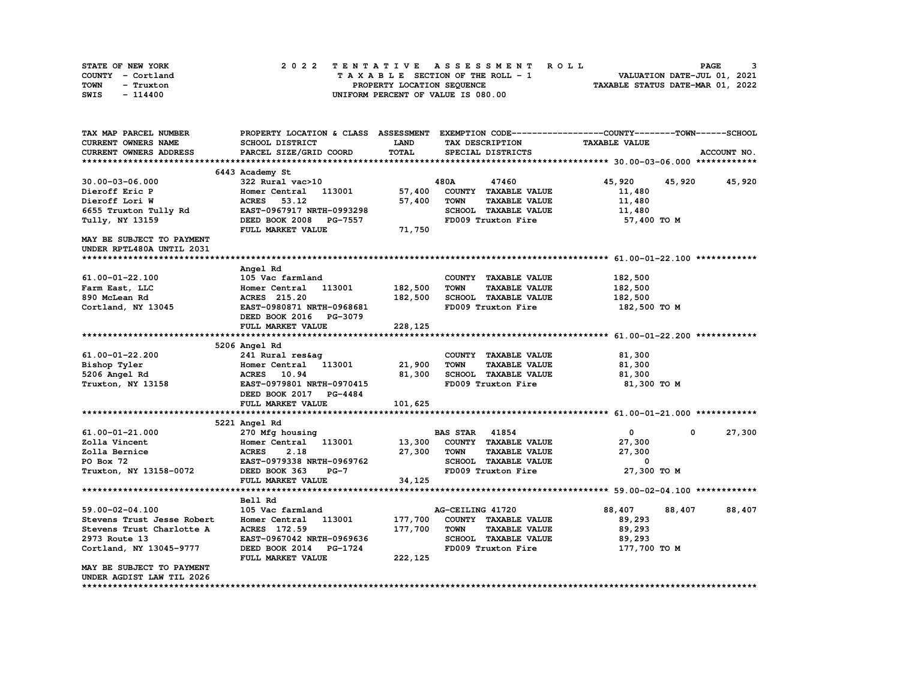| STATE OF NEW YORK | 2022 TENTATIVE ASSESSMENT ROLL     | <b>PAGE</b>                      |
|-------------------|------------------------------------|----------------------------------|
| COUNTY - Cortland | TAXABLE SECTION OF THE ROLL - 1    | VALUATION DATE-JUL 01, 2021      |
| TOWN<br>- Truxton | PROPERTY LOCATION SEQUENCE         | TAXABLE STATUS DATE-MAR 01, 2022 |
| SWIS<br>- 114400  | UNIFORM PERCENT OF VALUE IS 080.00 |                                  |

| TAX MAP PARCEL NUMBER      | PROPERTY LOCATION & CLASS ASSESSMENT EXEMPTION CODE----------------COUNTY-------TOWN------SCHOOL |          |                       |                             |                      |               |             |
|----------------------------|--------------------------------------------------------------------------------------------------|----------|-----------------------|-----------------------------|----------------------|---------------|-------------|
| CURRENT OWNERS NAME        | SCHOOL DISTRICT                                                                                  | LAND     | TAX DESCRIPTION       |                             | <b>TAXABLE VALUE</b> |               |             |
| CURRENT OWNERS ADDRESS     | PARCEL SIZE/GRID COORD                                                                           | TOTAL    | SPECIAL DISTRICTS     |                             |                      |               | ACCOUNT NO. |
|                            |                                                                                                  |          |                       |                             |                      |               |             |
|                            | 6443 Academy St                                                                                  |          |                       |                             |                      |               |             |
| $30.00 - 03 - 06.000$      | 322 Rural vac>10                                                                                 |          | 480A                  | 47460                       | 45,920               | 45,920 45,920 |             |
| Dieroff Eric P             | Homer Central 113001                                                                             | 57,400   |                       | COUNTY TAXABLE VALUE        | 11,480               |               |             |
| Dieroff Lori W             | ACRES 53.12                                                                                      | 57,400   | <b>TOWN</b>           | <b>TAXABLE VALUE</b>        | 11,480               |               |             |
| 6655 Truxton Tully Rd      | EAST-0967917 NRTH-0993298                                                                        |          |                       | SCHOOL TAXABLE VALUE        | 11,480               |               |             |
| Tully, NY 13159            | DEED BOOK 2008 PG-7557                                                                           |          |                       | FD009 Truxton Fire          | 57,400 TO M          |               |             |
|                            | FULL MARKET VALUE                                                                                | 71,750   |                       |                             |                      |               |             |
| MAY BE SUBJECT TO PAYMENT  |                                                                                                  |          |                       |                             |                      |               |             |
| UNDER RPTL480A UNTIL 2031  |                                                                                                  |          |                       |                             |                      |               |             |
|                            |                                                                                                  |          |                       |                             |                      |               |             |
|                            | Angel Rd                                                                                         |          |                       |                             |                      |               |             |
| 61.00-01-22.100            | 105 Vac farmland                                                                                 |          |                       | COUNTY TAXABLE VALUE        | 182,500              |               |             |
|                            |                                                                                                  |          |                       |                             |                      |               |             |
| Farm East, LLC             | Homer Central 113001                                                                             | 182,500  | <b>TOWN</b>           | <b>TAXABLE VALUE</b>        | 182,500              |               |             |
| 890 McLean Rd              | ACRES 215.20                                                                                     | 182,500  |                       | SCHOOL TAXABLE VALUE        | 182,500              |               |             |
| Cortland, NY 13045         | EAST-0980871 NRTH-0968681                                                                        |          |                       | FD009 Truxton Fire          | 182,500 TO M         |               |             |
|                            | DEED BOOK 2016 PG-3079                                                                           |          |                       |                             |                      |               |             |
|                            | FULL MARKET VALUE                                                                                | 228,125  |                       |                             |                      |               |             |
|                            |                                                                                                  |          |                       |                             |                      |               |             |
|                            | 5206 Angel Rd                                                                                    |          |                       |                             |                      |               |             |
| 61.00-01-22.200            | 241 Rural res&ag                                                                                 |          |                       | COUNTY TAXABLE VALUE        | 81,300               |               |             |
| Bishop Tyler               | Homer Central 113001 21,900                                                                      |          | <b>TOWN</b>           | <b>TAXABLE VALUE</b>        | 81,300               |               |             |
| 5206 Angel Rd              | ACRES 10.94                                                                                      | 81,300   |                       | SCHOOL TAXABLE VALUE        | 81,300               |               |             |
| Truxton, NY 13158          | EAST-0979801 NRTH-0970415                                                                        |          |                       | FD009 Truxton Fire          | 81,300 TO M          |               |             |
|                            | DEED BOOK 2017 PG-4484                                                                           |          |                       |                             |                      |               |             |
|                            | FULL MARKET VALUE                                                                                | 101,625  |                       |                             |                      |               |             |
|                            |                                                                                                  |          |                       |                             |                      |               |             |
|                            | 5221 Angel Rd                                                                                    |          |                       |                             |                      |               |             |
| 61.00-01-21.000            | 270 Mfg housing                                                                                  |          | <b>BAS STAR</b> 41854 |                             | $\mathbf{0}$         | 0             | 27,300      |
| Zolla Vincent              | Homer Central 113001                                                                             |          |                       | 13,300 COUNTY TAXABLE VALUE | 27,300               |               |             |
| Zolla Bernice              | <b>ACRES</b><br>2.18                                                                             | 27,300   | <b>TOWN</b>           | <b>TAXABLE VALUE</b>        | 27,300               |               |             |
| PO Box 72                  | EAST-0979338 NRTH-0969762                                                                        |          |                       | SCHOOL TAXABLE VALUE        | 0                    |               |             |
| Truxton, NY 13158-0072     | DEED BOOK 363<br>$PG-7$                                                                          |          |                       | FD009 Truxton Fire          | 27,300 TO M          |               |             |
|                            | FULL MARKET VALUE                                                                                | 34,125   |                       |                             |                      |               |             |
|                            |                                                                                                  |          |                       |                             |                      |               |             |
|                            | Bell Rd                                                                                          |          |                       |                             |                      |               |             |
| 59.00-02-04.100            | 105 Vac farmland                                                                                 |          | AG-CEILING 41720      |                             | 88,407               | 88,407        | 88,407      |
| Stevens Trust Jesse Robert | Homer Central 113001                                                                             | 177,700  |                       | COUNTY TAXABLE VALUE        | 89,293               |               |             |
| Stevens Trust Charlotte A  | ACRES 172.59                                                                                     | 177,700  | <b>TOWN</b>           | <b>TAXABLE VALUE</b>        | 89,293               |               |             |
| 2973 Route 13              | EAST-0967042 NRTH-0969636                                                                        |          |                       | SCHOOL TAXABLE VALUE        | 89,293               |               |             |
| Cortland, NY 13045-9777    | DEED BOOK 2014 PG-1724                                                                           |          |                       | FD009 Truxton Fire          | 177,700 то м         |               |             |
|                            | FULL MARKET VALUE                                                                                | 222, 125 |                       |                             |                      |               |             |
| MAY BE SUBJECT TO PAYMENT  |                                                                                                  |          |                       |                             |                      |               |             |
| UNDER AGDIST LAW TIL 2026  |                                                                                                  |          |                       |                             |                      |               |             |
|                            |                                                                                                  |          |                       |                             |                      |               |             |
|                            |                                                                                                  |          |                       |                             |                      |               |             |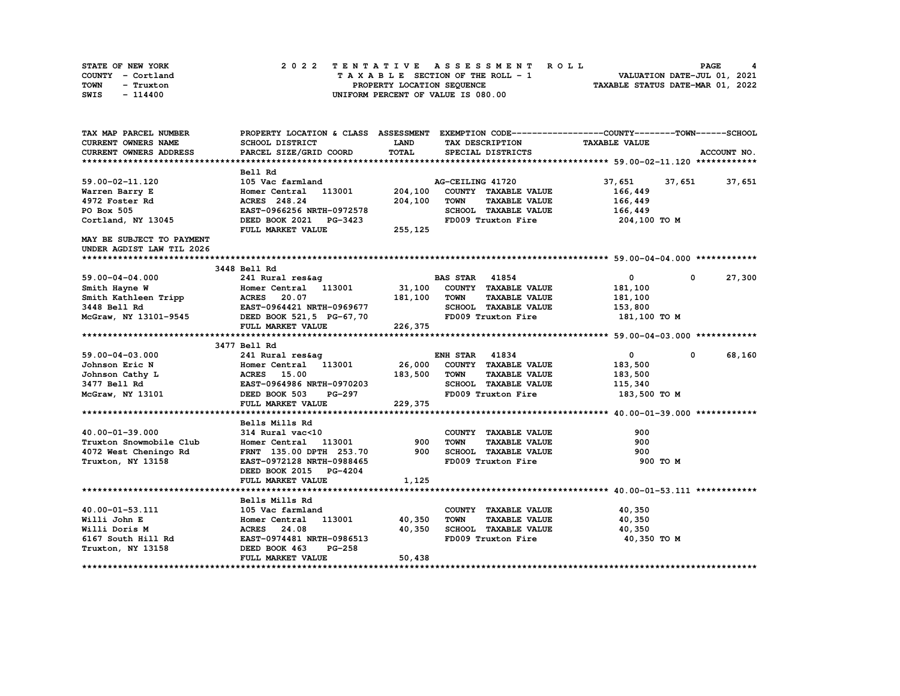| STATE OF NEW YORK | 2022 TENTATIVE ASSESSMENT ROLL     | PAGE                             |
|-------------------|------------------------------------|----------------------------------|
| COUNTY - Cortland | TAXABLE SECTION OF THE ROLL - 1    | VALUATION DATE-JUL 01, 2021      |
| TOWN<br>- Truxton | PROPERTY LOCATION SEOUENCE         | TAXABLE STATUS DATE-MAR 01, 2022 |
| $-114400$<br>SWIS | UNIFORM PERCENT OF VALUE IS 080.00 |                                  |

| TAX MAP PARCEL NUMBER                                    | PROPERTY LOCATION & CLASS ASSESSMENT EXEMPTION CODE-----------------COUNTY-------TOWN------SCHOOL                                            |             |                       |                      |                             |              |             |
|----------------------------------------------------------|----------------------------------------------------------------------------------------------------------------------------------------------|-------------|-----------------------|----------------------|-----------------------------|--------------|-------------|
| <b>CURRENT OWNERS NAME</b>                               | SCHOOL DISTRICT                                                                                                                              | <b>LAND</b> |                       | TAX DESCRIPTION      | <b>TAXABLE VALUE</b>        |              |             |
| CURRENT OWNERS ADDRESS                                   | PARCEL SIZE/GRID COORD                                                                                                                       | TOTAL       |                       | SPECIAL DISTRICTS    |                             |              | ACCOUNT NO. |
|                                                          |                                                                                                                                              |             |                       |                      |                             |              |             |
|                                                          | Bell Rd                                                                                                                                      |             |                       |                      |                             |              |             |
| 59.00-02-11.120                                          | 105 Vac farmland                                                                                                                             |             | AG-CEILING 41720      |                      | 37,651 37,651 37,651        |              |             |
| Warren Barry E                                           | Homer Central 113001                                                                                                                         | 204,100     |                       | COUNTY TAXABLE VALUE | 166,449                     |              |             |
| 4972 Foster Rd                                           | ACRES 248.24                                                                                                                                 | 204,100     | <b>TOWN</b>           | <b>TAXABLE VALUE</b> | 166,449                     |              |             |
| PO Box 505                                               | EAST-0966256 NRTH-0972578                                                                                                                    |             |                       | SCHOOL TAXABLE VALUE | 166,449                     |              |             |
| Cortland, NY 13045                                       | DEED BOOK 2021 PG-3423                                                                                                                       |             |                       | FD009 Truxton Fire   | 204,100 TO M                |              |             |
|                                                          | FULL MARKET VALUE                                                                                                                            | 255, 125    |                       |                      |                             |              |             |
| MAY BE SUBJECT TO PAYMENT                                |                                                                                                                                              |             |                       |                      |                             |              |             |
| UNDER AGDIST LAW TIL 2026                                |                                                                                                                                              |             |                       |                      |                             |              |             |
|                                                          |                                                                                                                                              |             |                       |                      |                             |              |             |
|                                                          | 3448 Bell Rd                                                                                                                                 |             |                       |                      |                             |              |             |
| 59.00-04-04.000                                          | 241 Rural res&ag                                                                                                                             |             | <b>BAS STAR 41854</b> |                      | $\mathbf{0}$                | $^{\circ}$   | 27,300      |
|                                                          |                                                                                                                                              |             |                       |                      | 181,100                     |              |             |
|                                                          |                                                                                                                                              |             |                       |                      | 181,100                     |              |             |
| Smith Hayne W<br>Smith Kathleen Tripp<br>3448 Bell Rd    | Homer Central 113001 31,100 COUNTY TAXABLE VALUE<br>ACRES 20.07 181,100 TOWN TAXABLE VALUE<br>EAST-0964421 NRTH-0969677 SCHOOL TAXABLE VALUE |             |                       | SCHOOL TAXABLE VALUE | 153,800                     |              |             |
| McGraw, NY 13101-9545 DEED BOOK 521,5 PG-67,70           |                                                                                                                                              |             |                       | FD009 Truxton Fire   | 181,100 TO M                |              |             |
|                                                          | FULL MARKET VALUE                                                                                                                            | 226,375     |                       |                      |                             |              |             |
|                                                          |                                                                                                                                              |             |                       |                      |                             |              |             |
|                                                          | 3477 Bell Rd                                                                                                                                 |             |                       |                      |                             |              |             |
| 59.00-04-03.000                                          | 241 Rural res&ag                                                                                                                             |             | <b>ENH STAR 41834</b> |                      | $\overline{0}$              | $\mathbf{0}$ | 68,160      |
| Johnson Eric N                                           | Homer Central 113001 26,000                                                                                                                  |             |                       | COUNTY TAXABLE VALUE | 183,500                     |              |             |
| Johnson Cathy L                                          |                                                                                                                                              |             | <b>TOWN</b>           | <b>TAXABLE VALUE</b> | 183,500                     |              |             |
| 3477 Bell Rd                                             |                                                                                                                                              |             |                       | SCHOOL TAXABLE VALUE | 115,340                     |              |             |
| McGraw, NY 13101 DEED BOOK 503                           |                                                                                                                                              | PG-297      |                       | FD009 Truxton Fire   | 183,500 TO M                |              |             |
|                                                          | FULL MARKET VALUE                                                                                                                            | 229,375     |                       |                      |                             |              |             |
|                                                          |                                                                                                                                              |             |                       |                      |                             |              |             |
|                                                          | Bells Mills Rd                                                                                                                               |             |                       |                      |                             |              |             |
| 40.00-01-39.000                                          | 314 Rural vac<10                                                                                                                             |             |                       | COUNTY TAXABLE VALUE | 900                         |              |             |
| Truxton Snowmobile Club                                  | Homer Central 113001 900                                                                                                                     |             | <b>TOWN</b>           | <b>TAXABLE VALUE</b> | 900                         |              |             |
| 4072 West Cheningo Rd                                    | FRNT 135.00 DPTH 253.70                                                                                                                      | 900         |                       | SCHOOL TAXABLE VALUE | 900                         |              |             |
| Truxton, NY 13158                                        | EAST-0972128 NRTH-0988465                                                                                                                    |             |                       | FD009 Truxton Fire   | 900 TO M                    |              |             |
|                                                          | DEED BOOK 2015 PG-4204                                                                                                                       |             |                       |                      |                             |              |             |
|                                                          | FULL MARKET VALUE                                                                                                                            | 1,125       |                       |                      |                             |              |             |
|                                                          |                                                                                                                                              |             |                       |                      |                             |              |             |
|                                                          | Bells Mills Rd                                                                                                                               |             |                       |                      |                             |              |             |
| 40.00-01-53.111                                          | 105 Vac farmland                                                                                                                             |             |                       | COUNTY TAXABLE VALUE | 40,350                      |              |             |
| Willi John E                                             | Homer Central 113001 40,350                                                                                                                  |             | <b>TOWN</b>           | <b>TAXABLE VALUE</b> | 40,350                      |              |             |
|                                                          | ACRES 24.08                                                                                                                                  | 40,350      |                       |                      | SCHOOL TAXABLE VALUE 40,350 |              |             |
| Willi Doris M<br>6167 South Hill Rd<br>Truxton, NY 13158 | EAST-0974481 NRTH-0986513                                                                                                                    |             |                       | FD009 Truxton Fire   | 40,350 TO M                 |              |             |
|                                                          | DEED BOOK 463<br>PG-258                                                                                                                      |             |                       |                      |                             |              |             |
|                                                          | FULL MARKET VALUE                                                                                                                            | 50,438      |                       |                      |                             |              |             |
|                                                          |                                                                                                                                              |             |                       |                      |                             |              |             |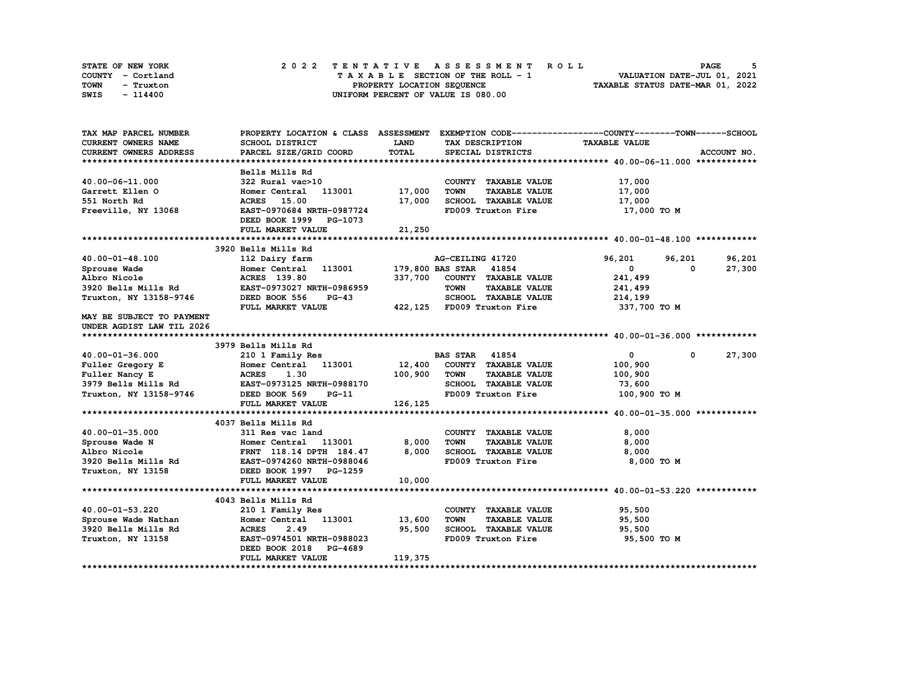| STATE OF NEW YORK | 2022 TENTATIVE ASSESSMENT ROLL     | PAGE                             |
|-------------------|------------------------------------|----------------------------------|
| COUNTY - Cortland | TAXABLE SECTION OF THE ROLL - 1    | VALUATION DATE-JUL 01, 2021      |
| TOWN<br>- Truxton | PROPERTY LOCATION SEQUENCE         | TAXABLE STATUS DATE-MAR 01, 2022 |
| SWIS<br>- 114400  | UNIFORM PERCENT OF VALUE IS 080.00 |                                  |

| TAX MAP PARCEL NUMBER     |                                               |             |                                     | PROPERTY LOCATION & CLASS ASSESSMENT EXEMPTION CODE-----------------COUNTY-------TOWN------SCHOOL |             |
|---------------------------|-----------------------------------------------|-------------|-------------------------------------|---------------------------------------------------------------------------------------------------|-------------|
| CURRENT OWNERS NAME       | <b>SCHOOL DISTRICT</b>                        | <b>LAND</b> | TAX DESCRIPTION                     | <b>TAXABLE VALUE</b>                                                                              |             |
| CURRENT OWNERS ADDRESS    | PARCEL SIZE/GRID COORD                        | TOTAL       | SPECIAL DISTRICTS                   |                                                                                                   | ACCOUNT NO. |
|                           |                                               |             |                                     |                                                                                                   |             |
|                           | Bells Mills Rd                                |             |                                     |                                                                                                   |             |
| 40.00-06-11.000           | 322 Rural vac>10                              |             | COUNTY TAXABLE VALUE                | 17,000                                                                                            |             |
| Garrett Ellen O           | 113001<br>Homer Central                       | 17,000      | <b>TOWN</b><br><b>TAXABLE VALUE</b> | 17,000                                                                                            |             |
| 551 North Rd              | <b>ACRES</b> 15.00                            | 17,000      | SCHOOL TAXABLE VALUE                | 17,000                                                                                            |             |
| Freeville, NY 13068       | EAST-0970684 NRTH-0987724                     |             | FD009 Truxton Fire                  | 17,000 TO M                                                                                       |             |
|                           | DEED BOOK 1999 PG-1073                        |             |                                     |                                                                                                   |             |
|                           | FULL MARKET VALUE                             | 21,250      |                                     |                                                                                                   |             |
|                           |                                               |             |                                     |                                                                                                   |             |
|                           | 3920 Bells Mills Rd                           |             |                                     |                                                                                                   |             |
| 40.00-01-48.100           | 112 Dairy farm                                |             | AG-CEILING 41720                    | 96,201<br>96,201                                                                                  | 96,201      |
| Sprouse Wade              | Homer Central 113001                          |             | 179,800 BAS STAR 41854              | $\mathbf{0}$<br>$\Omega$                                                                          | 27,300      |
| Albro Nicole              | ACRES 139.80                                  | 337,700     | COUNTY TAXABLE VALUE                | 241,499                                                                                           |             |
| 3920 Bells Mills Rd       | EAST-0973027 NRTH-0986959                     |             | <b>TOWN</b><br><b>TAXABLE VALUE</b> | 241,499                                                                                           |             |
| Truxton, NY 13158-9746    | DEED BOOK 556<br>$PG-43$                      |             | SCHOOL TAXABLE VALUE                | 214,199                                                                                           |             |
|                           | FULL MARKET VALUE                             |             | 422,125 FD009 Truxton Fire          | 337,700 TO M                                                                                      |             |
| MAY BE SUBJECT TO PAYMENT |                                               |             |                                     |                                                                                                   |             |
| UNDER AGDIST LAW TIL 2026 |                                               |             |                                     |                                                                                                   |             |
|                           |                                               |             |                                     |                                                                                                   |             |
|                           | 3979 Bells Mills Rd                           |             |                                     |                                                                                                   |             |
| 40.00-01-36.000           | 210 1 Family Res                              |             | <b>BAS STAR 41854</b>               | $\mathbf{0}$<br>$\mathbf 0$                                                                       | 27,300      |
| Fuller Gregory E          | Homer Central 113001                          |             | 12,400 COUNTY TAXABLE VALUE         | 100,900                                                                                           |             |
| Fuller Nancy E            | 1.30<br><b>ACRES</b>                          | 100,900     | TOWN<br><b>TAXABLE VALUE</b>        | 100,900                                                                                           |             |
|                           | 3979 Bells Mills Rd EAST-0973125 NRTH-0988170 |             | SCHOOL TAXABLE VALUE                |                                                                                                   |             |
|                           | DEED BOOK 569                                 |             | FD009 Truxton Fire                  | 73,600                                                                                            |             |
| Truxton, NY 13158-9746    | <b>PG-11</b>                                  |             |                                     | 100,900 TO M                                                                                      |             |
|                           | FULL MARKET VALUE                             | 126,125     |                                     |                                                                                                   |             |
|                           | 4037 Bells Mills Rd                           |             |                                     |                                                                                                   |             |
|                           |                                               |             |                                     |                                                                                                   |             |
| 40.00-01-35.000           | 311 Res vac land                              |             | COUNTY TAXABLE VALUE                | 8,000                                                                                             |             |
| Sprouse Wade N            | Homer Central 113001                          | 8,000       | <b>TOWN</b><br><b>TAXABLE VALUE</b> | 8,000                                                                                             |             |
| Albro Nicole              | FRNT 118.14 DPTH 184.47                       | 8,000       | SCHOOL TAXABLE VALUE                | 8,000                                                                                             |             |
| 3920 Bells Mills Rd       | EAST-0974260 NRTH-0988046                     |             | FD009 Truxton Fire                  | 8,000 TO M                                                                                        |             |
| Truxton, NY 13158         | DEED BOOK 1997 PG-1259                        |             |                                     |                                                                                                   |             |
|                           | FULL MARKET VALUE                             | 10,000      |                                     |                                                                                                   |             |
|                           |                                               |             |                                     |                                                                                                   |             |
|                           | 4043 Bells Mills Rd                           |             |                                     |                                                                                                   |             |
| 40.00-01-53.220           | 210 1 Family Res                              |             | COUNTY TAXABLE VALUE                | 95,500                                                                                            |             |
| Sprouse Wade Nathan       | 113001<br>Homer Central                       | 13,600      | <b>TOWN</b><br><b>TAXABLE VALUE</b> | 95,500                                                                                            |             |
| 3920 Bells Mills Rd       | <b>ACRES</b><br>2.49                          | 95,500      | SCHOOL TAXABLE VALUE                | 95,500                                                                                            |             |
| Truxton, NY 13158         | EAST-0974501 NRTH-0988023                     |             | FD009 Truxton Fire                  | 95,500 TO M                                                                                       |             |
|                           | DEED BOOK 2018<br><b>PG-4689</b>              |             |                                     |                                                                                                   |             |
|                           | FULL MARKET VALUE                             | 119,375     |                                     |                                                                                                   |             |
|                           |                                               |             |                                     |                                                                                                   |             |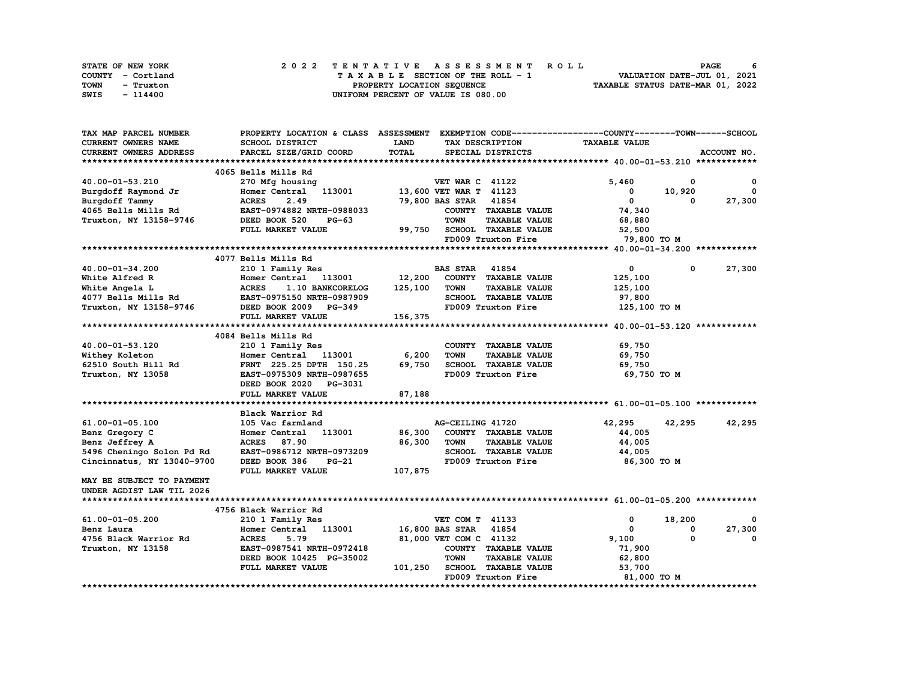| STATE OF NEW YORK | 2022 TENTATIVE ASSESSMENT ROLL     | 6<br><b>PAGE</b>                 |
|-------------------|------------------------------------|----------------------------------|
| COUNTY - Cortland | TAXABLE SECTION OF THE ROLL - 1    | VALUATION DATE-JUL 01, 2021      |
| TOWN<br>- Truxton | PROPERTY LOCATION SEQUENCE         | TAXABLE STATUS DATE-MAR 01, 2022 |
| SWIS<br>- 114400  | UNIFORM PERCENT OF VALUE IS 080.00 |                                  |

| TAX MAP PARCEL NUMBER         | PROPERTY LOCATION & CLASS ASSESSMENT EXEMPTION CODE-----------------COUNTY-------TOWN------SCHOOL |              |                                     |                      |              |              |
|-------------------------------|---------------------------------------------------------------------------------------------------|--------------|-------------------------------------|----------------------|--------------|--------------|
| CURRENT OWNERS NAME           | SCHOOL DISTRICT                                                                                   | LAND         | TAX DESCRIPTION                     | <b>TAXABLE VALUE</b> |              |              |
| <b>CURRENT OWNERS ADDRESS</b> | PARCEL SIZE/GRID COORD                                                                            | <b>TOTAL</b> | SPECIAL DISTRICTS                   |                      |              | ACCOUNT NO.  |
|                               |                                                                                                   |              |                                     |                      |              |              |
|                               | 4065 Bells Mills Rd                                                                               |              |                                     |                      |              |              |
| 40.00-01-53.210               | 270 Mfg housing                                                                                   |              | <b>VET WAR C 41122</b>              | 5,460                | 0            | 0            |
| Burgdoff Raymond Jr           | Homer Central<br>113001                                                                           |              | 13,600 VET WAR T 41123              | 0                    | 10,920       | $\mathbf{0}$ |
| Burgdoff Tammy                | <b>ACRES</b><br>2.49                                                                              |              | 79,800 BAS STAR 41854               | $\mathbf 0$          | 0            | 27,300       |
| 4065 Bells Mills Rd           | EAST-0974882 NRTH-0988033                                                                         |              | COUNTY TAXABLE VALUE                | 74,340               |              |              |
| Truxton, NY 13158-9746        | DEED BOOK 520<br>$PG-63$                                                                          |              | <b>TOWN</b><br><b>TAXABLE VALUE</b> | 68,880               |              |              |
|                               | FULL MARKET VALUE                                                                                 | 99,750       | <b>SCHOOL TAXABLE VALUE</b>         | 52,500               |              |              |
|                               |                                                                                                   |              | FD009 Truxton Fire                  | 79,800 TO M          |              |              |
|                               |                                                                                                   |              |                                     |                      |              |              |
|                               | 4077 Bells Mills Rd                                                                               |              |                                     |                      |              |              |
| 40.00-01-34.200               | 210 1 Family Res                                                                                  |              | <b>BAS STAR</b> 41854               | $\mathbf{0}$         | $\mathbf 0$  | 27,300       |
| White Alfred R                | Homer Central<br>113001                                                                           | 12,200       | COUNTY TAXABLE VALUE                | 125,100              |              |              |
| White Angela L                | <b>ACRES</b><br>1.10 BANKCORELOG                                                                  | 125,100      | <b>TOWN</b><br><b>TAXABLE VALUE</b> | 125,100              |              |              |
| 4077 Bells Mills Rd           | EAST-0975150 NRTH-0987909                                                                         |              | <b>SCHOOL TAXABLE VALUE</b>         | 97,800               |              |              |
| Truxton, NY 13158-9746        | DEED BOOK 2009 PG-349                                                                             |              | FD009 Truxton Fire                  | 125,100 TO M         |              |              |
|                               | FULL MARKET VALUE                                                                                 | 156,375      |                                     |                      |              |              |
|                               |                                                                                                   |              |                                     |                      |              |              |
|                               | 4084 Bells Mills Rd                                                                               |              |                                     |                      |              |              |
| 40.00-01-53.120               | 210 1 Family Res                                                                                  |              | COUNTY TAXABLE VALUE                | 69,750               |              |              |
| Withey Koleton                | Homer Central 113001                                                                              | 6,200        | <b>TOWN</b><br><b>TAXABLE VALUE</b> | 69,750               |              |              |
| 62510 South Hill Rd           | FRNT 225.25 DPTH 150.25                                                                           | 69,750       | SCHOOL TAXABLE VALUE                | 69,750               |              |              |
| Truxton, NY 13058             | EAST-0975309 NRTH-0987655                                                                         |              | FD009 Truxton Fire                  | 69,750 TO M          |              |              |
|                               | DEED BOOK 2020 PG-3031                                                                            |              |                                     |                      |              |              |
|                               | FULL MARKET VALUE                                                                                 | 87,188       |                                     |                      |              |              |
|                               |                                                                                                   |              |                                     |                      |              |              |
|                               | Black Warrior Rd                                                                                  |              |                                     |                      |              |              |
| 61.00-01-05.100               | 105 Vac farmland                                                                                  |              | AG-CEILING 41720                    | 42,295               | 42,295       | 42,295       |
| Benz Gregory C                | Homer Central 113001                                                                              | 86,300       | COUNTY TAXABLE VALUE                | 44,005               |              |              |
| Benz Jeffrey A                | ACRES 87.90                                                                                       | 86,300       | <b>TOWN</b><br><b>TAXABLE VALUE</b> | 44,005               |              |              |
| 5496 Cheningo Solon Pd Rd     | EAST-0986712 NRTH-0973209                                                                         |              | SCHOOL TAXABLE VALUE                | 44,005               |              |              |
| Cincinnatus, NY 13040-9700    | DEED BOOK 386<br>$PG-21$                                                                          |              | FD009 Truxton Fire                  | 86,300 TO M          |              |              |
|                               | FULL MARKET VALUE                                                                                 | 107,875      |                                     |                      |              |              |
| MAY BE SUBJECT TO PAYMENT     |                                                                                                   |              |                                     |                      |              |              |
| UNDER AGDIST LAW TIL 2026     |                                                                                                   |              |                                     |                      |              |              |
|                               |                                                                                                   |              |                                     |                      |              |              |
|                               | 4756 Black Warrior Rd                                                                             |              |                                     |                      |              |              |
| 61.00-01-05.200               | 210 1 Family Res                                                                                  |              | VET COM T 41133                     | 0                    | 18,200       | $^{\circ}$   |
| Benz Laura                    | Homer Central 113001                                                                              |              | 16,800 BAS STAR<br>41854            | 0                    | $\mathbf{o}$ | 27,300       |
| 4756 Black Warrior Rd         | <b>ACRES</b><br>5.79                                                                              |              | 81,000 VET COM C 41132              | 9,100                | $\mathbf{o}$ | 0            |
| Truxton, NY 13158             | EAST-0987541 NRTH-0972418                                                                         |              | COUNTY TAXABLE VALUE                | 71,900               |              |              |
|                               | DEED BOOK 10425 PG-35002                                                                          |              | <b>TOWN</b><br><b>TAXABLE VALUE</b> | 62,800               |              |              |
|                               | FULL MARKET VALUE                                                                                 | 101,250      | <b>SCHOOL TAXABLE VALUE</b>         | 53,700               |              |              |
|                               |                                                                                                   |              | FD009 Truxton Fire                  | 81,000 TO M          |              |              |
|                               |                                                                                                   |              |                                     |                      |              |              |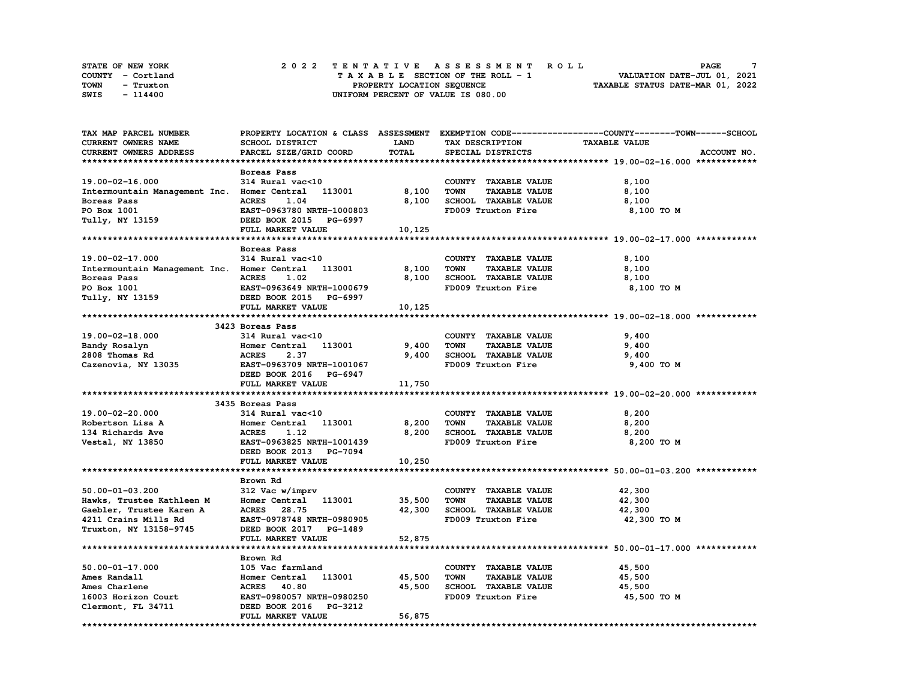| STATE OF NEW YORK | 2022 TENTATIVE ASSESSMENT ROLL     | PAGE                             |
|-------------------|------------------------------------|----------------------------------|
| COUNTY - Cortland | TAXABLE SECTION OF THE ROLL - 1    | VALUATION DATE-JUL 01, 2021      |
| TOWN<br>- Truxton | PROPERTY LOCATION SEQUENCE         | TAXABLE STATUS DATE-MAR 01, 2022 |
| SWIS<br>- 114400  | UNIFORM PERCENT OF VALUE IS 080.00 |                                  |

| TAX MAP PARCEL NUMBER                       |                                  |             |                                     | PROPERTY LOCATION & CLASS ASSESSMENT EXEMPTION CODE----------------COUNTY-------TOWN-----SCHOOL |
|---------------------------------------------|----------------------------------|-------------|-------------------------------------|-------------------------------------------------------------------------------------------------|
| <b>CURRENT OWNERS NAME</b>                  | SCHOOL DISTRICT                  | <b>LAND</b> | TAX DESCRIPTION                     | <b>TAXABLE VALUE</b>                                                                            |
| CURRENT OWNERS ADDRESS                      | PARCEL SIZE/GRID COORD           | TOTAL       | SPECIAL DISTRICTS                   | ACCOUNT NO.                                                                                     |
|                                             |                                  |             |                                     |                                                                                                 |
|                                             | Boreas Pass                      |             |                                     |                                                                                                 |
| 19.00-02-16.000                             | 314 Rural vac<10                 |             | COUNTY TAXABLE VALUE                | 8,100                                                                                           |
| Intermountain Management Inc. Homer Central | 113001                           | 8,100       | <b>TOWN</b><br><b>TAXABLE VALUE</b> | 8,100                                                                                           |
|                                             | 1.04                             | 8.100       |                                     |                                                                                                 |
| Boreas Pass                                 | <b>ACRES</b>                     |             | SCHOOL TAXABLE VALUE                | 8,100                                                                                           |
| PO Box 1001                                 | EAST-0963780 NRTH-1000803        |             | FD009 Truxton Fire                  | 8,100 TO M                                                                                      |
| Tully, NY 13159                             | DEED BOOK 2015 PG-6997           |             |                                     |                                                                                                 |
|                                             | FULL MARKET VALUE                | 10,125      |                                     |                                                                                                 |
|                                             |                                  |             |                                     |                                                                                                 |
|                                             | Boreas Pass                      |             |                                     |                                                                                                 |
| 19.00-02-17.000                             | 314 Rural vac<10                 |             | COUNTY TAXABLE VALUE                | 8,100                                                                                           |
| Intermountain Management Inc. Homer Central | 113001                           | 8,100       | <b>TOWN</b><br><b>TAXABLE VALUE</b> | 8,100                                                                                           |
| Boreas Pass                                 | <b>ACRES</b><br>1.02             | 8,100       | SCHOOL TAXABLE VALUE                | 8,100                                                                                           |
| PO Box 1001                                 | EAST-0963649 NRTH-1000679        |             | FD009 Truxton Fire                  | 8,100 TO M                                                                                      |
| Tully, NY 13159                             | DEED BOOK 2015 PG-6997           |             |                                     |                                                                                                 |
|                                             | FULL MARKET VALUE                | 10,125      |                                     |                                                                                                 |
|                                             |                                  |             |                                     |                                                                                                 |
|                                             |                                  |             |                                     |                                                                                                 |
|                                             | 3423 Boreas Pass                 |             |                                     |                                                                                                 |
| $19.00 - 02 - 18.000$                       | 314 Rural vac<10                 |             | COUNTY TAXABLE VALUE                | 9,400                                                                                           |
| Bandy Rosalyn                               | Homer Central<br>113001          | 9,400       | <b>TOWN</b><br><b>TAXABLE VALUE</b> | 9,400                                                                                           |
| 2808 Thomas Rd                              | <b>ACRES</b><br>2.37             | 9,400       | SCHOOL TAXABLE VALUE                | 9,400                                                                                           |
| Cazenovia, NY 13035                         | EAST-0963709 NRTH-1001067        |             | FD009 Truxton Fire                  | 9,400 TO M                                                                                      |
|                                             | DEED BOOK 2016 PG-6947           |             |                                     |                                                                                                 |
|                                             | FULL MARKET VALUE                | 11,750      |                                     |                                                                                                 |
|                                             |                                  |             |                                     |                                                                                                 |
|                                             | 3435 Boreas Pass                 |             |                                     |                                                                                                 |
| 19.00-02-20.000                             | 314 Rural vac<10                 |             | COUNTY TAXABLE VALUE                | 8,200                                                                                           |
| Robertson Lisa A                            | Homer Central 113001             | 8,200       | <b>TOWN</b><br><b>TAXABLE VALUE</b> | 8,200                                                                                           |
| 134 Richards Ave                            | 1.12<br><b>ACRES</b>             | 8,200       | SCHOOL TAXABLE VALUE                | 8,200                                                                                           |
| Vestal, NY 13850                            | EAST-0963825 NRTH-1001439        |             | FD009 Truxton Fire                  | 8,200 TO M                                                                                      |
|                                             | DEED BOOK 2013 PG-7094           |             |                                     |                                                                                                 |
|                                             | FULL MARKET VALUE                |             |                                     |                                                                                                 |
|                                             |                                  | 10,250      |                                     |                                                                                                 |
|                                             |                                  |             |                                     |                                                                                                 |
|                                             | Brown Rd                         |             |                                     |                                                                                                 |
| $50.00 - 01 - 03.200$                       | 312 Vac w/imprv                  |             | COUNTY TAXABLE VALUE                | 42,300                                                                                          |
| Hawks, Trustee Kathleen M                   | Homer Central 113001             | 35,500      | <b>TOWN</b><br><b>TAXABLE VALUE</b> | 42,300                                                                                          |
| Gaebler, Trustee Karen A                    | <b>ACRES</b> 28.75               | 42,300      | SCHOOL TAXABLE VALUE                | 42,300                                                                                          |
| 4211 Crains Mills Rd                        | EAST-0978748 NRTH-0980905        |             | FD009 Truxton Fire                  | 42,300 TO M                                                                                     |
| Truxton, NY 13158-9745                      | DEED BOOK 2017 PG-1489           |             |                                     |                                                                                                 |
|                                             | FULL MARKET VALUE                | 52,875      |                                     |                                                                                                 |
|                                             |                                  |             |                                     |                                                                                                 |
|                                             | Brown Rd                         |             |                                     |                                                                                                 |
| 50.00-01-17.000                             | 105 Vac farmland                 |             | COUNTY TAXABLE VALUE                | 45,500                                                                                          |
| Ames Randall                                | Homer Central<br>113001          | 45,500      | <b>TOWN</b><br><b>TAXABLE VALUE</b> | 45,500                                                                                          |
|                                             |                                  |             |                                     |                                                                                                 |
| Ames Charlene                               | <b>ACRES</b> 40.80               | 45,500      | SCHOOL TAXABLE VALUE                | 45,500                                                                                          |
| 16003 Horizon Court                         | EAST-0980057 NRTH-0980250        |             | FD009 Truxton Fire                  | 45,500 TO M                                                                                     |
| Clermont, FL 34711                          | DEED BOOK 2016<br><b>PG-3212</b> |             |                                     |                                                                                                 |
|                                             | FULL MARKET VALUE                | 56,875      |                                     |                                                                                                 |
|                                             |                                  |             |                                     |                                                                                                 |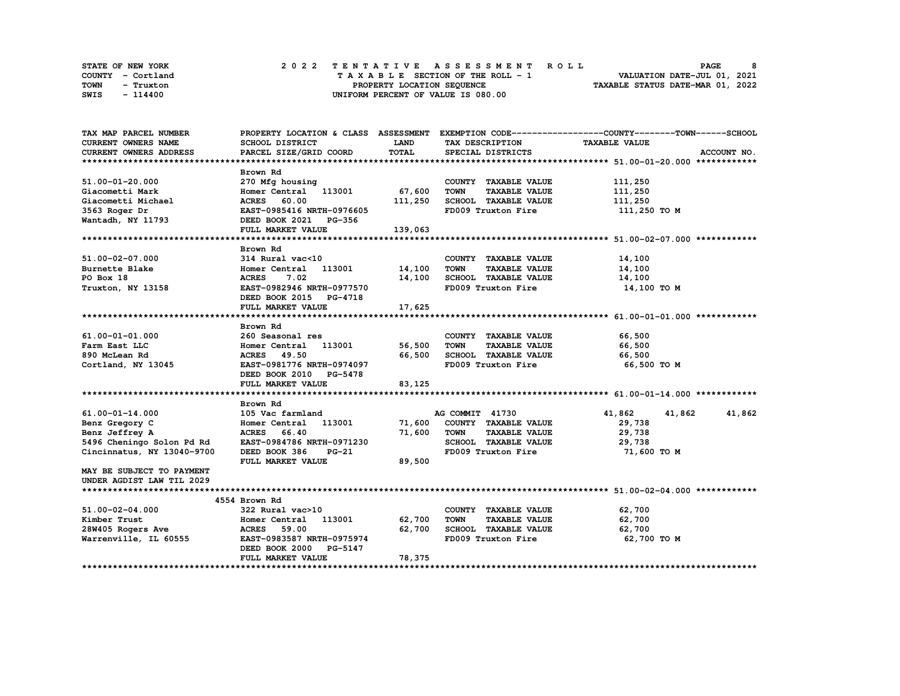| STATE OF NEW YORK | 2022 TENTATIVE ASSESSMENT ROLL          | PAGE                             |
|-------------------|-----------------------------------------|----------------------------------|
| COUNTY - Cortland | $T A X A B L E$ SECTION OF THE ROLL - 1 | VALUATION DATE-JUL 01, 2021      |
| TOWN<br>- Truxton | PROPERTY LOCATION SEQUENCE              | TAXABLE STATUS DATE-MAR 01, 2022 |
| SWIS<br>- 114400  | UNIFORM PERCENT OF VALUE IS 080.00      |                                  |

| TAX MAP PARCEL NUMBER                                |                                                                                          |             |                                                   | PROPERTY LOCATION & CLASS ASSESSMENT EXEMPTION CODE----------------COUNTY-------TOWN-----SCHOOL |
|------------------------------------------------------|------------------------------------------------------------------------------------------|-------------|---------------------------------------------------|-------------------------------------------------------------------------------------------------|
| CURRENT OWNERS NAME                                  | SCHOOL DISTRICT                                                                          | <b>LAND</b> | TAX DESCRIPTION TAXABLE VALUE                     |                                                                                                 |
| CURRENT OWNERS ADDRESS                               | PARCEL SIZE/GRID COORD                                                                   | TOTAL       | SPECIAL DISTRICTS                                 | ACCOUNT NO.                                                                                     |
|                                                      |                                                                                          |             |                                                   |                                                                                                 |
|                                                      | Brown Rd                                                                                 |             |                                                   |                                                                                                 |
| 51.00-01-20.000                                      | 270 Mfg housing                                                                          |             | COUNTY TAXABLE VALUE                              | 111,250                                                                                         |
| Giacometti Mark                                      | Homer Central 113001 67,600                                                              |             | TOWN<br><b>TAXABLE VALUE</b>                      | 111,250                                                                                         |
|                                                      |                                                                                          |             |                                                   | 111,250                                                                                         |
| Giacometti Michael<br>3563 Roger Dr<br>3563 Roger Dr | ACRES 60.00 111,250 SCHOOL TAXABLE VALUE<br>EAST-0985416 NRTH-0976605 FD009 Truxton Fire |             |                                                   | 111,250 TO M                                                                                    |
| Wantadh, NY 11793                                    | DEED BOOK 2021 PG-356                                                                    |             |                                                   |                                                                                                 |
|                                                      | FULL MARKET VALUE                                                                        | 139,063     |                                                   |                                                                                                 |
|                                                      |                                                                                          |             |                                                   |                                                                                                 |
|                                                      | Brown Rd                                                                                 |             |                                                   |                                                                                                 |
| 51.00-02-07.000                                      | 314 Rural vac<10                                                                         |             | COUNTY TAXABLE VALUE                              | 14,100                                                                                          |
| Burnette Blake                                       |                                                                                          |             | <b>TAXABLE VALUE</b>                              | 14,100                                                                                          |
| PO Box 18                                            | <b>ACRES</b><br>7.02                                                                     |             | 14,100 SCHOOL TAXABLE VALUE 14,100                |                                                                                                 |
| Truxton, NY 13158                                    | EAST-0982946 NRTH-0977570                                                                |             | FD009 Truxton Fire                                | 14,100 TO M                                                                                     |
|                                                      | DEED BOOK 2015 PG-4718                                                                   |             |                                                   |                                                                                                 |
|                                                      | FULL MARKET VALUE                                                                        | 17,625      |                                                   |                                                                                                 |
|                                                      |                                                                                          |             |                                                   |                                                                                                 |
|                                                      | Brown Rd                                                                                 |             |                                                   |                                                                                                 |
| 61.00-01-01.000                                      | 260 Seasonal res                                                                         |             | COUNTY TAXABLE VALUE                              | 66,500                                                                                          |
| Farm East LLC                                        | Homer Central 113001 56,500                                                              |             | <b>TAXABLE VALUE</b><br>TOWN                      | 66,500                                                                                          |
| 890 McLean Rd                                        | <b>ACRES</b> 49.50                                                                       |             | 66,500 SCHOOL TAXABLE VALUE 66,500                |                                                                                                 |
| Cortland, NY 13045                                   | EAST-0981776 NRTH-0974097                                                                |             | FD009 Truxton Fire                                | 66,500 то м                                                                                     |
|                                                      | DEED BOOK 2010 PG-5478                                                                   |             |                                                   |                                                                                                 |
|                                                      | FULL MARKET VALUE                                                                        | 83,125      |                                                   |                                                                                                 |
|                                                      |                                                                                          |             |                                                   |                                                                                                 |
|                                                      | Brown Rd                                                                                 |             |                                                   |                                                                                                 |
| 61.00-01-14.000                                      | 105 Vac farmland                                                                         |             | AG COMMIT 41730                                   | 41,862 41,862<br>41,862                                                                         |
| Benz Gregory C                                       | Homer Central 113001 71,600 COUNTY TAXABLE VALUE                                         |             |                                                   | 29,738                                                                                          |
| Benz Jeffrey A                                       | ACRES 66.40                                                                              |             | 71,600 TOWN<br><b>TAXABLE VALUE</b>               | 29,738                                                                                          |
| 5496 Cheningo Solon Pd Rd                            | EAST-0984786 NRTH-0971230                                                                |             | SCHOOL TAXABLE VALUE                              | 29,738                                                                                          |
| Cincinnatus, NY 13040-9700                           | DEED BOOK 386<br>PG-21                                                                   |             | FD009 Truxton Fire                                | 71,600 TO M                                                                                     |
|                                                      | FULL MARKET VALUE                                                                        | 89,500      |                                                   |                                                                                                 |
| MAY BE SUBJECT TO PAYMENT                            |                                                                                          |             |                                                   |                                                                                                 |
| UNDER AGDIST LAW TIL 2029                            |                                                                                          |             |                                                   |                                                                                                 |
|                                                      |                                                                                          |             |                                                   |                                                                                                 |
|                                                      | 4554 Brown Rd                                                                            |             |                                                   |                                                                                                 |
| 51.00-02-04.000                                      | 322 Rural vac>10                                                                         |             | COUNTY TAXABLE VALUE                              | 62,700                                                                                          |
| Kimber Trust                                         | Homer Central 113001 62,700                                                              |             | <b>TOWN</b><br><b>TAXABLE VALUE</b>               | 62,700                                                                                          |
| 28W405 Rogers Ave<br>Warrenville, IL 60555           | <b>ACRES</b> 59.00                                                                       |             |                                                   | 62,700                                                                                          |
|                                                      | EAST-0983587 NRTH-0975974                                                                |             | 62,700 SCHOOL TAXABLE VALUE<br>FD009 Truxton Fire | 62,700 то м                                                                                     |
|                                                      | DEED BOOK 2000 PG-5147                                                                   |             |                                                   |                                                                                                 |
|                                                      | FULL MARKET VALUE                                                                        | 78,375      |                                                   |                                                                                                 |
|                                                      |                                                                                          |             |                                                   |                                                                                                 |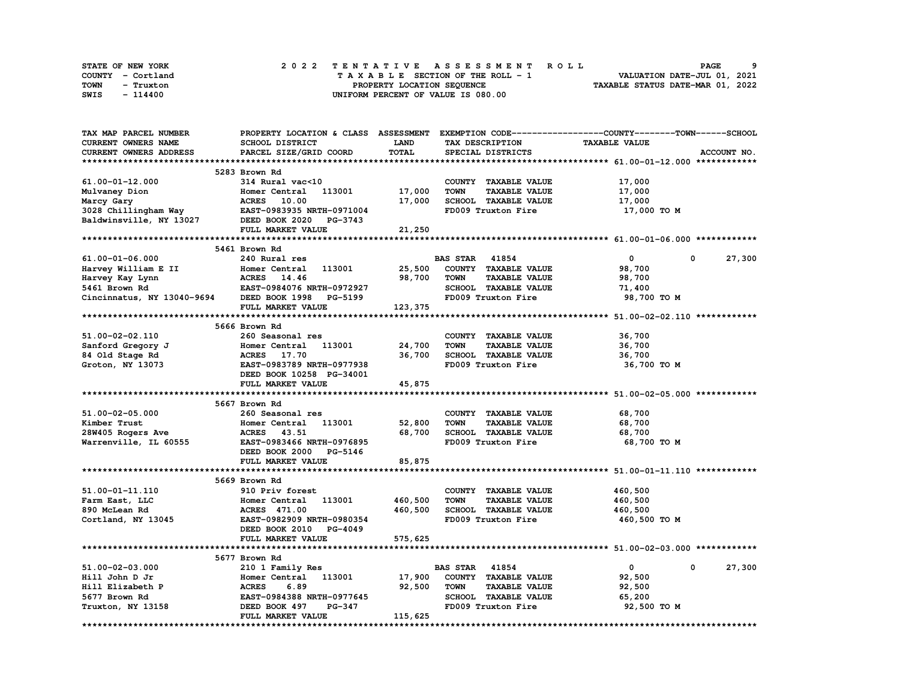| STATE OF NEW YORK | 2022 TENTATIVE ASSESSMENT ROLL     | <b>PAGE</b>                      |
|-------------------|------------------------------------|----------------------------------|
| COUNTY - Cortland | TAXABLE SECTION OF THE ROLL - 1    | VALUATION DATE-JUL 01, 2021      |
| TOWN<br>- Truxton | PROPERTY LOCATION SEQUENCE         | TAXABLE STATUS DATE-MAR 01, 2022 |
| SWIS<br>- 114400  | UNIFORM PERCENT OF VALUE IS 080.00 |                                  |

| TAX MAP PARCEL NUMBER                                                                                                                                                                           | PROPERTY LOCATION & CLASS ASSESSMENT EXEMPTION CODE----------------COUNTY-------TOWN-----SCHOOL |                                   |                                     |                      |                      |
|-------------------------------------------------------------------------------------------------------------------------------------------------------------------------------------------------|-------------------------------------------------------------------------------------------------|-----------------------------------|-------------------------------------|----------------------|----------------------|
| CURRENT OWNERS NAME                                                                                                                                                                             | SCHOOL DISTRICT                                                                                 | <b>LAND</b>                       | TAX DESCRIPTION                     | <b>TAXABLE VALUE</b> |                      |
| CURRENT OWNERS ADDRESS                                                                                                                                                                          | PARCEL SIZE/GRID COORD                                                                          | TOTAL                             | SPECIAL DISTRICTS                   |                      | ACCOUNT NO.          |
|                                                                                                                                                                                                 |                                                                                                 |                                   |                                     |                      |                      |
|                                                                                                                                                                                                 | 5283 Brown Rd                                                                                   |                                   |                                     |                      |                      |
| 61.00-01-12.000                                                                                                                                                                                 | 314 Rural vac<10                                                                                |                                   | COUNTY TAXABLE VALUE                | 17,000               |                      |
|                                                                                                                                                                                                 | 113001 17,000                                                                                   |                                   | <b>TOWN</b><br><b>TAXABLE VALUE</b> | 17,000               |                      |
| Mulvaney Dion Momer Central 113001<br>Marcy Gary ACRES 10.00<br>3028 Chillingham Way EAST-0983935 NRTH-0971004<br>Baldwinsville, NY 13027 DEED BOOK 2020 PG-3743                                |                                                                                                 | 17,000                            | SCHOOL TAXABLE VALUE                | 17,000               |                      |
|                                                                                                                                                                                                 |                                                                                                 |                                   | FD009 Truxton Fire                  |                      |                      |
|                                                                                                                                                                                                 |                                                                                                 |                                   |                                     | 17,000 TO M          |                      |
|                                                                                                                                                                                                 |                                                                                                 |                                   |                                     |                      |                      |
|                                                                                                                                                                                                 | FULL MARKET VALUE                                                                               | 21,250                            |                                     |                      |                      |
|                                                                                                                                                                                                 |                                                                                                 |                                   |                                     |                      |                      |
|                                                                                                                                                                                                 | 5461 Brown Rd                                                                                   |                                   |                                     |                      |                      |
| 61.00-01-06.000                                                                                                                                                                                 | 240 Rural res                                                                                   |                                   | <b>BAS STAR 41854</b>               | $\circ$              | 27,300<br>0          |
| Harvey William E II Homer Central 113001<br>Harvey Kay Lynn ACRES 14.46<br>5461 Brown Rd EAST-0984076 NRTH-0972927<br>Cincinnatus, NY 13040-9694 DEED BOOK 1998 PG-5199                         |                                                                                                 | 25,500                            | COUNTY TAXABLE VALUE                | 98,700               |                      |
|                                                                                                                                                                                                 |                                                                                                 | 98,700                            | <b>TAXABLE VALUE</b><br>TOWN        | 98,700               |                      |
|                                                                                                                                                                                                 |                                                                                                 |                                   | SCHOOL TAXABLE VALUE                | 71,400               |                      |
|                                                                                                                                                                                                 |                                                                                                 |                                   | FD009 Truxton Fire                  | 98,700 TO M          |                      |
|                                                                                                                                                                                                 | FULL MARKET VALUE                                                                               | $\sim$ , /00 $\frac{123.27}{\pi}$ |                                     |                      |                      |
|                                                                                                                                                                                                 |                                                                                                 |                                   |                                     |                      |                      |
|                                                                                                                                                                                                 | 5666 Brown Rd                                                                                   |                                   |                                     |                      |                      |
| 51.00-02-02.110                                                                                                                                                                                 | 260 Seasonal res                                                                                |                                   | COUNTY TAXABLE VALUE                | 36,700               |                      |
|                                                                                                                                                                                                 |                                                                                                 | 24,700                            | <b>TOWN</b><br><b>TAXABLE VALUE</b> | 36,700               |                      |
|                                                                                                                                                                                                 |                                                                                                 | 36,700                            | SCHOOL TAXABLE VALUE                | 36,700               |                      |
| 31.00-02 02.111<br>Sanford Gregory J<br>84 Old Stage Rd<br>Groton, NY 13073<br>RAST-0983789 NRTH-0977938<br>RAST-0983789 NRTH-0977938<br>RAST-0983789 NRTH-0977938<br>RAST-0983789 NRTH-0977938 |                                                                                                 |                                   | FD009 Truxton Fire                  | 36,700 TO M          |                      |
|                                                                                                                                                                                                 | DEED BOOK 10258 PG-34001                                                                        |                                   |                                     |                      |                      |
|                                                                                                                                                                                                 | FULL MARKET VALUE                                                                               | 45,875                            |                                     |                      |                      |
|                                                                                                                                                                                                 |                                                                                                 |                                   |                                     |                      |                      |
|                                                                                                                                                                                                 | 5667 Brown Rd                                                                                   |                                   |                                     |                      |                      |
|                                                                                                                                                                                                 |                                                                                                 |                                   |                                     |                      |                      |
| 51.00-02-05.000                                                                                                                                                                                 | 260 Seasonal res                                                                                |                                   | COUNTY TAXABLE VALUE                | 68,700               |                      |
| Kimber Trust                                                                                                                                                                                    | Homer Central 113001                                                                            | 52,800                            | <b>TAXABLE VALUE</b><br><b>TOWN</b> | 68,700               |                      |
| 28W405 Rogers Ave<br>Warrer: ''                                                                                                                                                                 | ACRES 43.51                                                                                     | 68,700                            | SCHOOL TAXABLE VALUE                | 68,700               |                      |
| Warrenville, IL 60555                                                                                                                                                                           | EAST-0983466 NRTH-0976895                                                                       |                                   | FD009 Truxton Fire                  | 68,700 TO M          |                      |
|                                                                                                                                                                                                 | DEED BOOK 2000 PG-5146                                                                          |                                   |                                     |                      |                      |
|                                                                                                                                                                                                 | FULL MARKET VALUE                                                                               | 85,875                            |                                     |                      |                      |
|                                                                                                                                                                                                 |                                                                                                 |                                   |                                     |                      |                      |
|                                                                                                                                                                                                 | 5669 Brown Rd                                                                                   |                                   |                                     |                      |                      |
| 51.00-01-11.110                                                                                                                                                                                 | 910 Priv forest                                                                                 |                                   | COUNTY TAXABLE VALUE                | 460,500              |                      |
| Farm East, LLC                                                                                                                                                                                  | Homer Central 113001                                                                            | 460,500                           | <b>TOWN</b><br><b>TAXABLE VALUE</b> | 460,500              |                      |
| 890 McLean Rd                                                                                                                                                                                   | <b>ACRES</b> 471.00                                                                             | 460,500                           | SCHOOL TAXABLE VALUE                | 460,500              |                      |
| Cortland, NY 13045                                                                                                                                                                              | EAST-0982909 NRTH-0980354                                                                       |                                   | FD009 Truxton Fire                  | 460,500 TO M         |                      |
|                                                                                                                                                                                                 | DEED BOOK 2010 PG-4049                                                                          |                                   |                                     |                      |                      |
|                                                                                                                                                                                                 | FULL MARKET VALUE                                                                               | 575,625                           |                                     |                      |                      |
|                                                                                                                                                                                                 |                                                                                                 |                                   |                                     |                      |                      |
|                                                                                                                                                                                                 | 5677 Brown Rd                                                                                   |                                   |                                     |                      |                      |
| 51.00-02-03.000                                                                                                                                                                                 | 210 1 Family Res                                                                                |                                   | <b>BAS STAR 41854</b>               | $\mathbf{0}$         | $^{\circ}$<br>27,300 |
| Hill John D Jr                                                                                                                                                                                  | Homer Central 113001 17,900                                                                     |                                   | COUNTY TAXABLE VALUE                | 92,500               |                      |
| Hill Elizabeth P                                                                                                                                                                                | <b>ACRES</b><br>6.89                                                                            | 92,500                            | <b>TOWN</b><br><b>TAXABLE VALUE</b> | 92,500               |                      |
| 5677 Brown Rd                                                                                                                                                                                   | EAST-0984388 NRTH-0977645                                                                       |                                   | SCHOOL TAXABLE VALUE                | 65,200               |                      |
| Truxton, NY 13158                                                                                                                                                                               | DEED BOOK 497<br>PG-347                                                                         |                                   | FD009 Truxton Fire                  | 92,500 TO M          |                      |
|                                                                                                                                                                                                 | FULL MARKET VALUE                                                                               | 115,625                           |                                     |                      |                      |
|                                                                                                                                                                                                 |                                                                                                 |                                   |                                     |                      |                      |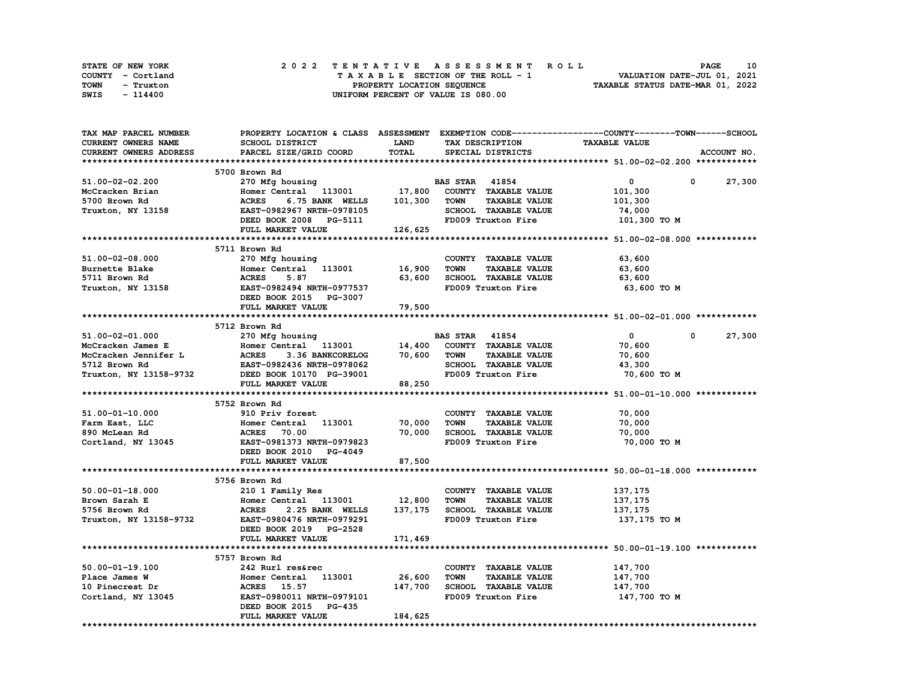| STATE OF NEW YORK | 2022 TENTATIVE ASSESSMENT ROLL     | 10<br><b>PAGE</b>                |
|-------------------|------------------------------------|----------------------------------|
| COUNTY - Cortland | TAXABLE SECTION OF THE ROLL - 1    | VALUATION DATE-JUL 01, 2021      |
| TOWN<br>- Truxton | PROPERTY LOCATION SEQUENCE         | TAXABLE STATUS DATE-MAR 01, 2022 |
| SWIS<br>- 114400  | UNIFORM PERCENT OF VALUE IS 080.00 |                                  |

| SCHOOL DISTRICT<br><b>TAXABLE VALUE</b><br><b>LAND</b><br>TAX DESCRIPTION<br>PARCEL SIZE/GRID COORD<br>TOTAL<br>SPECIAL DISTRICTS<br>ACCOUNT NO.<br>5700 Brown Rd<br><b>BAS STAR 41854</b><br>$\mathbf{0}$<br>27,300<br>270 Mfg housing<br>0<br>Homer Central 113001 17,800<br>COUNTY TAXABLE VALUE<br>McCracken Brian<br>101,300<br>6.75 BANK WELLS 101,300<br><b>TOWN</b><br><b>TAXABLE VALUE</b><br>5700 Brown Rd<br><b>ACRES</b><br>101,300<br>Truxton, NY 13158<br>SCHOOL TAXABLE VALUE<br>74,000<br>DEED BOOK 2008 PG-5111<br>FULI. MADEER YAT<br>FD009 Truxton Fire<br>101,300 TO M<br>FULL MARKET VALUE<br>126,625<br>5711 Brown Rd<br>51.00-02-08.000<br>270 Mfg housing<br>COUNTY TAXABLE VALUE<br>63,600<br>16,900<br>Burnette Blake<br>Homer Central 113001<br>TOWN<br><b>TAXABLE VALUE</b><br>63,600<br>63,600<br>SCHOOL TAXABLE VALUE<br>5711 Brown Rd<br><b>ACRES</b><br>5.87<br>63,600<br>Truxton, NY 13158<br><b>EAST-0982494 NRTH-0977537</b><br>FD009 Truxton Fire<br>63,600 TO M<br>DEED BOOK 2015 PG-3007<br>FULL MARKET VALUE<br>79,500<br>5712 Brown Rd<br>$\overline{0}$<br>51.00-02-01.000<br><b>BAS STAR 41854</b><br>$\mathbf{0}$<br>27,300<br>270 Mfg housing<br>Homer Central 113001 14,400<br>ACRES 3336 BANKCORELOG 70,600<br>TACE 000040 TELL 0000000<br>COUNTY TAXABLE VALUE<br>McCracken James E<br>70,600<br>70,600 TOWN<br><b>TAXABLE VALUE</b><br>McCracken Jennifer L<br>5712 Brown Rd<br>70,600<br>SCHOOL TAXABLE VALUE<br>5712 Brown Rd<br>EAST-0982436 NRTH-0978062<br>DEED BOOK 10170 PG-39001<br>43,300<br>Truxton, NY 13158-9732<br>FD009 Truxton Fire<br>70,600 TO M<br>FULL MARKET VALUE<br>88,250<br>5752 Brown Rd<br>COUNTY TAXABLE VALUE<br>70,000<br>910 Priv forest<br>Homer Central 113001<br>70,000<br><b>TOWN</b><br><b>TAXABLE VALUE</b><br>70,000<br>70,000<br>SCHOOL TAXABLE VALUE<br>70,000<br><b>ACRES</b><br>70.00<br>EAST-0981373 NRTH-0979823<br>FD009 Truxton Fire<br>70,000 TO M<br>DEED BOOK 2010 PG-4049<br>FULL MARKET VALUE<br>87,500<br>5756 Brown Rd<br>210 1 Family Res<br>COUNTY TAXABLE VALUE<br>137,175<br>12,800<br>Homer Central 113001<br>TOWN<br><b>TAXABLE VALUE</b><br>137,175<br>137,175<br>SCHOOL TAXABLE VALUE<br><b>ACRES</b><br>2.25 BANK WELLS<br>137,175<br>Truxton, NY 13158-9732<br>EAST-0980476 NRTH-0979291<br>FD009 Truxton Fire<br>137,175 TO M<br>DEED BOOK 2019 PG-2528<br>FULL MARKET VALUE<br>171,469<br>5757 Brown Rd<br>$50.00 - 01 - 19.100$<br>147,700<br>242 Rurl res&rec<br>COUNTY TAXABLE VALUE<br>Homer Central 113001 26,600<br><b>TOWN</b><br><b>TAXABLE VALUE</b><br>147,700<br>Place James W<br>147,700<br>SCHOOL TAXABLE VALUE<br>147,700<br>10 Pinecrest Dr<br>ACRES 15.57<br>Cortland, NY 13045<br>FD009 Truxton Fire<br>EAST-0980011 NRTH-0979101<br>147,700 TO M<br>DEED BOOK 2015 PG-435<br>184,625<br>FULL MARKET VALUE | TAX MAP PARCEL NUMBER      | PROPERTY LOCATION & CLASS ASSESSMENT EXEMPTION CODE----------------COUNTY-------TOWN-----SCHOOL |  |  |
|---------------------------------------------------------------------------------------------------------------------------------------------------------------------------------------------------------------------------------------------------------------------------------------------------------------------------------------------------------------------------------------------------------------------------------------------------------------------------------------------------------------------------------------------------------------------------------------------------------------------------------------------------------------------------------------------------------------------------------------------------------------------------------------------------------------------------------------------------------------------------------------------------------------------------------------------------------------------------------------------------------------------------------------------------------------------------------------------------------------------------------------------------------------------------------------------------------------------------------------------------------------------------------------------------------------------------------------------------------------------------------------------------------------------------------------------------------------------------------------------------------------------------------------------------------------------------------------------------------------------------------------------------------------------------------------------------------------------------------------------------------------------------------------------------------------------------------------------------------------------------------------------------------------------------------------------------------------------------------------------------------------------------------------------------------------------------------------------------------------------------------------------------------------------------------------------------------------------------------------------------------------------------------------------------------------------------------------------------------------------------------------------------------------------------------------------------------------------------------------------------------------------------------------------------------------------------------------------------------------------------------------------------------------------------------------------------------------------------------------------------------------------------------------------------------------------------------------------|----------------------------|-------------------------------------------------------------------------------------------------|--|--|
|                                                                                                                                                                                                                                                                                                                                                                                                                                                                                                                                                                                                                                                                                                                                                                                                                                                                                                                                                                                                                                                                                                                                                                                                                                                                                                                                                                                                                                                                                                                                                                                                                                                                                                                                                                                                                                                                                                                                                                                                                                                                                                                                                                                                                                                                                                                                                                                                                                                                                                                                                                                                                                                                                                                                                                                                                                             | <b>CURRENT OWNERS NAME</b> |                                                                                                 |  |  |
|                                                                                                                                                                                                                                                                                                                                                                                                                                                                                                                                                                                                                                                                                                                                                                                                                                                                                                                                                                                                                                                                                                                                                                                                                                                                                                                                                                                                                                                                                                                                                                                                                                                                                                                                                                                                                                                                                                                                                                                                                                                                                                                                                                                                                                                                                                                                                                                                                                                                                                                                                                                                                                                                                                                                                                                                                                             | CURRENT OWNERS ADDRESS     |                                                                                                 |  |  |
|                                                                                                                                                                                                                                                                                                                                                                                                                                                                                                                                                                                                                                                                                                                                                                                                                                                                                                                                                                                                                                                                                                                                                                                                                                                                                                                                                                                                                                                                                                                                                                                                                                                                                                                                                                                                                                                                                                                                                                                                                                                                                                                                                                                                                                                                                                                                                                                                                                                                                                                                                                                                                                                                                                                                                                                                                                             |                            |                                                                                                 |  |  |
|                                                                                                                                                                                                                                                                                                                                                                                                                                                                                                                                                                                                                                                                                                                                                                                                                                                                                                                                                                                                                                                                                                                                                                                                                                                                                                                                                                                                                                                                                                                                                                                                                                                                                                                                                                                                                                                                                                                                                                                                                                                                                                                                                                                                                                                                                                                                                                                                                                                                                                                                                                                                                                                                                                                                                                                                                                             |                            |                                                                                                 |  |  |
|                                                                                                                                                                                                                                                                                                                                                                                                                                                                                                                                                                                                                                                                                                                                                                                                                                                                                                                                                                                                                                                                                                                                                                                                                                                                                                                                                                                                                                                                                                                                                                                                                                                                                                                                                                                                                                                                                                                                                                                                                                                                                                                                                                                                                                                                                                                                                                                                                                                                                                                                                                                                                                                                                                                                                                                                                                             | 51.00-02-02.200            |                                                                                                 |  |  |
|                                                                                                                                                                                                                                                                                                                                                                                                                                                                                                                                                                                                                                                                                                                                                                                                                                                                                                                                                                                                                                                                                                                                                                                                                                                                                                                                                                                                                                                                                                                                                                                                                                                                                                                                                                                                                                                                                                                                                                                                                                                                                                                                                                                                                                                                                                                                                                                                                                                                                                                                                                                                                                                                                                                                                                                                                                             |                            |                                                                                                 |  |  |
|                                                                                                                                                                                                                                                                                                                                                                                                                                                                                                                                                                                                                                                                                                                                                                                                                                                                                                                                                                                                                                                                                                                                                                                                                                                                                                                                                                                                                                                                                                                                                                                                                                                                                                                                                                                                                                                                                                                                                                                                                                                                                                                                                                                                                                                                                                                                                                                                                                                                                                                                                                                                                                                                                                                                                                                                                                             |                            |                                                                                                 |  |  |
|                                                                                                                                                                                                                                                                                                                                                                                                                                                                                                                                                                                                                                                                                                                                                                                                                                                                                                                                                                                                                                                                                                                                                                                                                                                                                                                                                                                                                                                                                                                                                                                                                                                                                                                                                                                                                                                                                                                                                                                                                                                                                                                                                                                                                                                                                                                                                                                                                                                                                                                                                                                                                                                                                                                                                                                                                                             |                            |                                                                                                 |  |  |
|                                                                                                                                                                                                                                                                                                                                                                                                                                                                                                                                                                                                                                                                                                                                                                                                                                                                                                                                                                                                                                                                                                                                                                                                                                                                                                                                                                                                                                                                                                                                                                                                                                                                                                                                                                                                                                                                                                                                                                                                                                                                                                                                                                                                                                                                                                                                                                                                                                                                                                                                                                                                                                                                                                                                                                                                                                             |                            |                                                                                                 |  |  |
|                                                                                                                                                                                                                                                                                                                                                                                                                                                                                                                                                                                                                                                                                                                                                                                                                                                                                                                                                                                                                                                                                                                                                                                                                                                                                                                                                                                                                                                                                                                                                                                                                                                                                                                                                                                                                                                                                                                                                                                                                                                                                                                                                                                                                                                                                                                                                                                                                                                                                                                                                                                                                                                                                                                                                                                                                                             |                            |                                                                                                 |  |  |
|                                                                                                                                                                                                                                                                                                                                                                                                                                                                                                                                                                                                                                                                                                                                                                                                                                                                                                                                                                                                                                                                                                                                                                                                                                                                                                                                                                                                                                                                                                                                                                                                                                                                                                                                                                                                                                                                                                                                                                                                                                                                                                                                                                                                                                                                                                                                                                                                                                                                                                                                                                                                                                                                                                                                                                                                                                             |                            |                                                                                                 |  |  |
|                                                                                                                                                                                                                                                                                                                                                                                                                                                                                                                                                                                                                                                                                                                                                                                                                                                                                                                                                                                                                                                                                                                                                                                                                                                                                                                                                                                                                                                                                                                                                                                                                                                                                                                                                                                                                                                                                                                                                                                                                                                                                                                                                                                                                                                                                                                                                                                                                                                                                                                                                                                                                                                                                                                                                                                                                                             |                            |                                                                                                 |  |  |
|                                                                                                                                                                                                                                                                                                                                                                                                                                                                                                                                                                                                                                                                                                                                                                                                                                                                                                                                                                                                                                                                                                                                                                                                                                                                                                                                                                                                                                                                                                                                                                                                                                                                                                                                                                                                                                                                                                                                                                                                                                                                                                                                                                                                                                                                                                                                                                                                                                                                                                                                                                                                                                                                                                                                                                                                                                             |                            |                                                                                                 |  |  |
|                                                                                                                                                                                                                                                                                                                                                                                                                                                                                                                                                                                                                                                                                                                                                                                                                                                                                                                                                                                                                                                                                                                                                                                                                                                                                                                                                                                                                                                                                                                                                                                                                                                                                                                                                                                                                                                                                                                                                                                                                                                                                                                                                                                                                                                                                                                                                                                                                                                                                                                                                                                                                                                                                                                                                                                                                                             |                            |                                                                                                 |  |  |
|                                                                                                                                                                                                                                                                                                                                                                                                                                                                                                                                                                                                                                                                                                                                                                                                                                                                                                                                                                                                                                                                                                                                                                                                                                                                                                                                                                                                                                                                                                                                                                                                                                                                                                                                                                                                                                                                                                                                                                                                                                                                                                                                                                                                                                                                                                                                                                                                                                                                                                                                                                                                                                                                                                                                                                                                                                             |                            |                                                                                                 |  |  |
|                                                                                                                                                                                                                                                                                                                                                                                                                                                                                                                                                                                                                                                                                                                                                                                                                                                                                                                                                                                                                                                                                                                                                                                                                                                                                                                                                                                                                                                                                                                                                                                                                                                                                                                                                                                                                                                                                                                                                                                                                                                                                                                                                                                                                                                                                                                                                                                                                                                                                                                                                                                                                                                                                                                                                                                                                                             |                            |                                                                                                 |  |  |
|                                                                                                                                                                                                                                                                                                                                                                                                                                                                                                                                                                                                                                                                                                                                                                                                                                                                                                                                                                                                                                                                                                                                                                                                                                                                                                                                                                                                                                                                                                                                                                                                                                                                                                                                                                                                                                                                                                                                                                                                                                                                                                                                                                                                                                                                                                                                                                                                                                                                                                                                                                                                                                                                                                                                                                                                                                             |                            |                                                                                                 |  |  |
|                                                                                                                                                                                                                                                                                                                                                                                                                                                                                                                                                                                                                                                                                                                                                                                                                                                                                                                                                                                                                                                                                                                                                                                                                                                                                                                                                                                                                                                                                                                                                                                                                                                                                                                                                                                                                                                                                                                                                                                                                                                                                                                                                                                                                                                                                                                                                                                                                                                                                                                                                                                                                                                                                                                                                                                                                                             |                            |                                                                                                 |  |  |
|                                                                                                                                                                                                                                                                                                                                                                                                                                                                                                                                                                                                                                                                                                                                                                                                                                                                                                                                                                                                                                                                                                                                                                                                                                                                                                                                                                                                                                                                                                                                                                                                                                                                                                                                                                                                                                                                                                                                                                                                                                                                                                                                                                                                                                                                                                                                                                                                                                                                                                                                                                                                                                                                                                                                                                                                                                             |                            |                                                                                                 |  |  |
|                                                                                                                                                                                                                                                                                                                                                                                                                                                                                                                                                                                                                                                                                                                                                                                                                                                                                                                                                                                                                                                                                                                                                                                                                                                                                                                                                                                                                                                                                                                                                                                                                                                                                                                                                                                                                                                                                                                                                                                                                                                                                                                                                                                                                                                                                                                                                                                                                                                                                                                                                                                                                                                                                                                                                                                                                                             |                            |                                                                                                 |  |  |
|                                                                                                                                                                                                                                                                                                                                                                                                                                                                                                                                                                                                                                                                                                                                                                                                                                                                                                                                                                                                                                                                                                                                                                                                                                                                                                                                                                                                                                                                                                                                                                                                                                                                                                                                                                                                                                                                                                                                                                                                                                                                                                                                                                                                                                                                                                                                                                                                                                                                                                                                                                                                                                                                                                                                                                                                                                             |                            |                                                                                                 |  |  |
|                                                                                                                                                                                                                                                                                                                                                                                                                                                                                                                                                                                                                                                                                                                                                                                                                                                                                                                                                                                                                                                                                                                                                                                                                                                                                                                                                                                                                                                                                                                                                                                                                                                                                                                                                                                                                                                                                                                                                                                                                                                                                                                                                                                                                                                                                                                                                                                                                                                                                                                                                                                                                                                                                                                                                                                                                                             |                            |                                                                                                 |  |  |
|                                                                                                                                                                                                                                                                                                                                                                                                                                                                                                                                                                                                                                                                                                                                                                                                                                                                                                                                                                                                                                                                                                                                                                                                                                                                                                                                                                                                                                                                                                                                                                                                                                                                                                                                                                                                                                                                                                                                                                                                                                                                                                                                                                                                                                                                                                                                                                                                                                                                                                                                                                                                                                                                                                                                                                                                                                             |                            |                                                                                                 |  |  |
|                                                                                                                                                                                                                                                                                                                                                                                                                                                                                                                                                                                                                                                                                                                                                                                                                                                                                                                                                                                                                                                                                                                                                                                                                                                                                                                                                                                                                                                                                                                                                                                                                                                                                                                                                                                                                                                                                                                                                                                                                                                                                                                                                                                                                                                                                                                                                                                                                                                                                                                                                                                                                                                                                                                                                                                                                                             |                            |                                                                                                 |  |  |
|                                                                                                                                                                                                                                                                                                                                                                                                                                                                                                                                                                                                                                                                                                                                                                                                                                                                                                                                                                                                                                                                                                                                                                                                                                                                                                                                                                                                                                                                                                                                                                                                                                                                                                                                                                                                                                                                                                                                                                                                                                                                                                                                                                                                                                                                                                                                                                                                                                                                                                                                                                                                                                                                                                                                                                                                                                             |                            |                                                                                                 |  |  |
|                                                                                                                                                                                                                                                                                                                                                                                                                                                                                                                                                                                                                                                                                                                                                                                                                                                                                                                                                                                                                                                                                                                                                                                                                                                                                                                                                                                                                                                                                                                                                                                                                                                                                                                                                                                                                                                                                                                                                                                                                                                                                                                                                                                                                                                                                                                                                                                                                                                                                                                                                                                                                                                                                                                                                                                                                                             |                            |                                                                                                 |  |  |
|                                                                                                                                                                                                                                                                                                                                                                                                                                                                                                                                                                                                                                                                                                                                                                                                                                                                                                                                                                                                                                                                                                                                                                                                                                                                                                                                                                                                                                                                                                                                                                                                                                                                                                                                                                                                                                                                                                                                                                                                                                                                                                                                                                                                                                                                                                                                                                                                                                                                                                                                                                                                                                                                                                                                                                                                                                             |                            |                                                                                                 |  |  |
|                                                                                                                                                                                                                                                                                                                                                                                                                                                                                                                                                                                                                                                                                                                                                                                                                                                                                                                                                                                                                                                                                                                                                                                                                                                                                                                                                                                                                                                                                                                                                                                                                                                                                                                                                                                                                                                                                                                                                                                                                                                                                                                                                                                                                                                                                                                                                                                                                                                                                                                                                                                                                                                                                                                                                                                                                                             |                            |                                                                                                 |  |  |
|                                                                                                                                                                                                                                                                                                                                                                                                                                                                                                                                                                                                                                                                                                                                                                                                                                                                                                                                                                                                                                                                                                                                                                                                                                                                                                                                                                                                                                                                                                                                                                                                                                                                                                                                                                                                                                                                                                                                                                                                                                                                                                                                                                                                                                                                                                                                                                                                                                                                                                                                                                                                                                                                                                                                                                                                                                             |                            |                                                                                                 |  |  |
|                                                                                                                                                                                                                                                                                                                                                                                                                                                                                                                                                                                                                                                                                                                                                                                                                                                                                                                                                                                                                                                                                                                                                                                                                                                                                                                                                                                                                                                                                                                                                                                                                                                                                                                                                                                                                                                                                                                                                                                                                                                                                                                                                                                                                                                                                                                                                                                                                                                                                                                                                                                                                                                                                                                                                                                                                                             | 51.00-01-10.000            |                                                                                                 |  |  |
|                                                                                                                                                                                                                                                                                                                                                                                                                                                                                                                                                                                                                                                                                                                                                                                                                                                                                                                                                                                                                                                                                                                                                                                                                                                                                                                                                                                                                                                                                                                                                                                                                                                                                                                                                                                                                                                                                                                                                                                                                                                                                                                                                                                                                                                                                                                                                                                                                                                                                                                                                                                                                                                                                                                                                                                                                                             | Farm East, LLC             |                                                                                                 |  |  |
|                                                                                                                                                                                                                                                                                                                                                                                                                                                                                                                                                                                                                                                                                                                                                                                                                                                                                                                                                                                                                                                                                                                                                                                                                                                                                                                                                                                                                                                                                                                                                                                                                                                                                                                                                                                                                                                                                                                                                                                                                                                                                                                                                                                                                                                                                                                                                                                                                                                                                                                                                                                                                                                                                                                                                                                                                                             | 890 McLean Rd              |                                                                                                 |  |  |
|                                                                                                                                                                                                                                                                                                                                                                                                                                                                                                                                                                                                                                                                                                                                                                                                                                                                                                                                                                                                                                                                                                                                                                                                                                                                                                                                                                                                                                                                                                                                                                                                                                                                                                                                                                                                                                                                                                                                                                                                                                                                                                                                                                                                                                                                                                                                                                                                                                                                                                                                                                                                                                                                                                                                                                                                                                             | Cortland, NY 13045         |                                                                                                 |  |  |
|                                                                                                                                                                                                                                                                                                                                                                                                                                                                                                                                                                                                                                                                                                                                                                                                                                                                                                                                                                                                                                                                                                                                                                                                                                                                                                                                                                                                                                                                                                                                                                                                                                                                                                                                                                                                                                                                                                                                                                                                                                                                                                                                                                                                                                                                                                                                                                                                                                                                                                                                                                                                                                                                                                                                                                                                                                             |                            |                                                                                                 |  |  |
|                                                                                                                                                                                                                                                                                                                                                                                                                                                                                                                                                                                                                                                                                                                                                                                                                                                                                                                                                                                                                                                                                                                                                                                                                                                                                                                                                                                                                                                                                                                                                                                                                                                                                                                                                                                                                                                                                                                                                                                                                                                                                                                                                                                                                                                                                                                                                                                                                                                                                                                                                                                                                                                                                                                                                                                                                                             |                            |                                                                                                 |  |  |
|                                                                                                                                                                                                                                                                                                                                                                                                                                                                                                                                                                                                                                                                                                                                                                                                                                                                                                                                                                                                                                                                                                                                                                                                                                                                                                                                                                                                                                                                                                                                                                                                                                                                                                                                                                                                                                                                                                                                                                                                                                                                                                                                                                                                                                                                                                                                                                                                                                                                                                                                                                                                                                                                                                                                                                                                                                             |                            |                                                                                                 |  |  |
|                                                                                                                                                                                                                                                                                                                                                                                                                                                                                                                                                                                                                                                                                                                                                                                                                                                                                                                                                                                                                                                                                                                                                                                                                                                                                                                                                                                                                                                                                                                                                                                                                                                                                                                                                                                                                                                                                                                                                                                                                                                                                                                                                                                                                                                                                                                                                                                                                                                                                                                                                                                                                                                                                                                                                                                                                                             |                            |                                                                                                 |  |  |
|                                                                                                                                                                                                                                                                                                                                                                                                                                                                                                                                                                                                                                                                                                                                                                                                                                                                                                                                                                                                                                                                                                                                                                                                                                                                                                                                                                                                                                                                                                                                                                                                                                                                                                                                                                                                                                                                                                                                                                                                                                                                                                                                                                                                                                                                                                                                                                                                                                                                                                                                                                                                                                                                                                                                                                                                                                             | $50.00 - 01 - 18.000$      |                                                                                                 |  |  |
|                                                                                                                                                                                                                                                                                                                                                                                                                                                                                                                                                                                                                                                                                                                                                                                                                                                                                                                                                                                                                                                                                                                                                                                                                                                                                                                                                                                                                                                                                                                                                                                                                                                                                                                                                                                                                                                                                                                                                                                                                                                                                                                                                                                                                                                                                                                                                                                                                                                                                                                                                                                                                                                                                                                                                                                                                                             | Brown Sarah E              |                                                                                                 |  |  |
|                                                                                                                                                                                                                                                                                                                                                                                                                                                                                                                                                                                                                                                                                                                                                                                                                                                                                                                                                                                                                                                                                                                                                                                                                                                                                                                                                                                                                                                                                                                                                                                                                                                                                                                                                                                                                                                                                                                                                                                                                                                                                                                                                                                                                                                                                                                                                                                                                                                                                                                                                                                                                                                                                                                                                                                                                                             | 5756 Brown Rd              |                                                                                                 |  |  |
|                                                                                                                                                                                                                                                                                                                                                                                                                                                                                                                                                                                                                                                                                                                                                                                                                                                                                                                                                                                                                                                                                                                                                                                                                                                                                                                                                                                                                                                                                                                                                                                                                                                                                                                                                                                                                                                                                                                                                                                                                                                                                                                                                                                                                                                                                                                                                                                                                                                                                                                                                                                                                                                                                                                                                                                                                                             |                            |                                                                                                 |  |  |
|                                                                                                                                                                                                                                                                                                                                                                                                                                                                                                                                                                                                                                                                                                                                                                                                                                                                                                                                                                                                                                                                                                                                                                                                                                                                                                                                                                                                                                                                                                                                                                                                                                                                                                                                                                                                                                                                                                                                                                                                                                                                                                                                                                                                                                                                                                                                                                                                                                                                                                                                                                                                                                                                                                                                                                                                                                             |                            |                                                                                                 |  |  |
|                                                                                                                                                                                                                                                                                                                                                                                                                                                                                                                                                                                                                                                                                                                                                                                                                                                                                                                                                                                                                                                                                                                                                                                                                                                                                                                                                                                                                                                                                                                                                                                                                                                                                                                                                                                                                                                                                                                                                                                                                                                                                                                                                                                                                                                                                                                                                                                                                                                                                                                                                                                                                                                                                                                                                                                                                                             |                            |                                                                                                 |  |  |
|                                                                                                                                                                                                                                                                                                                                                                                                                                                                                                                                                                                                                                                                                                                                                                                                                                                                                                                                                                                                                                                                                                                                                                                                                                                                                                                                                                                                                                                                                                                                                                                                                                                                                                                                                                                                                                                                                                                                                                                                                                                                                                                                                                                                                                                                                                                                                                                                                                                                                                                                                                                                                                                                                                                                                                                                                                             |                            |                                                                                                 |  |  |
|                                                                                                                                                                                                                                                                                                                                                                                                                                                                                                                                                                                                                                                                                                                                                                                                                                                                                                                                                                                                                                                                                                                                                                                                                                                                                                                                                                                                                                                                                                                                                                                                                                                                                                                                                                                                                                                                                                                                                                                                                                                                                                                                                                                                                                                                                                                                                                                                                                                                                                                                                                                                                                                                                                                                                                                                                                             |                            |                                                                                                 |  |  |
|                                                                                                                                                                                                                                                                                                                                                                                                                                                                                                                                                                                                                                                                                                                                                                                                                                                                                                                                                                                                                                                                                                                                                                                                                                                                                                                                                                                                                                                                                                                                                                                                                                                                                                                                                                                                                                                                                                                                                                                                                                                                                                                                                                                                                                                                                                                                                                                                                                                                                                                                                                                                                                                                                                                                                                                                                                             |                            |                                                                                                 |  |  |
|                                                                                                                                                                                                                                                                                                                                                                                                                                                                                                                                                                                                                                                                                                                                                                                                                                                                                                                                                                                                                                                                                                                                                                                                                                                                                                                                                                                                                                                                                                                                                                                                                                                                                                                                                                                                                                                                                                                                                                                                                                                                                                                                                                                                                                                                                                                                                                                                                                                                                                                                                                                                                                                                                                                                                                                                                                             |                            |                                                                                                 |  |  |
|                                                                                                                                                                                                                                                                                                                                                                                                                                                                                                                                                                                                                                                                                                                                                                                                                                                                                                                                                                                                                                                                                                                                                                                                                                                                                                                                                                                                                                                                                                                                                                                                                                                                                                                                                                                                                                                                                                                                                                                                                                                                                                                                                                                                                                                                                                                                                                                                                                                                                                                                                                                                                                                                                                                                                                                                                                             |                            |                                                                                                 |  |  |
|                                                                                                                                                                                                                                                                                                                                                                                                                                                                                                                                                                                                                                                                                                                                                                                                                                                                                                                                                                                                                                                                                                                                                                                                                                                                                                                                                                                                                                                                                                                                                                                                                                                                                                                                                                                                                                                                                                                                                                                                                                                                                                                                                                                                                                                                                                                                                                                                                                                                                                                                                                                                                                                                                                                                                                                                                                             |                            |                                                                                                 |  |  |
|                                                                                                                                                                                                                                                                                                                                                                                                                                                                                                                                                                                                                                                                                                                                                                                                                                                                                                                                                                                                                                                                                                                                                                                                                                                                                                                                                                                                                                                                                                                                                                                                                                                                                                                                                                                                                                                                                                                                                                                                                                                                                                                                                                                                                                                                                                                                                                                                                                                                                                                                                                                                                                                                                                                                                                                                                                             |                            |                                                                                                 |  |  |
|                                                                                                                                                                                                                                                                                                                                                                                                                                                                                                                                                                                                                                                                                                                                                                                                                                                                                                                                                                                                                                                                                                                                                                                                                                                                                                                                                                                                                                                                                                                                                                                                                                                                                                                                                                                                                                                                                                                                                                                                                                                                                                                                                                                                                                                                                                                                                                                                                                                                                                                                                                                                                                                                                                                                                                                                                                             |                            |                                                                                                 |  |  |
|                                                                                                                                                                                                                                                                                                                                                                                                                                                                                                                                                                                                                                                                                                                                                                                                                                                                                                                                                                                                                                                                                                                                                                                                                                                                                                                                                                                                                                                                                                                                                                                                                                                                                                                                                                                                                                                                                                                                                                                                                                                                                                                                                                                                                                                                                                                                                                                                                                                                                                                                                                                                                                                                                                                                                                                                                                             |                            |                                                                                                 |  |  |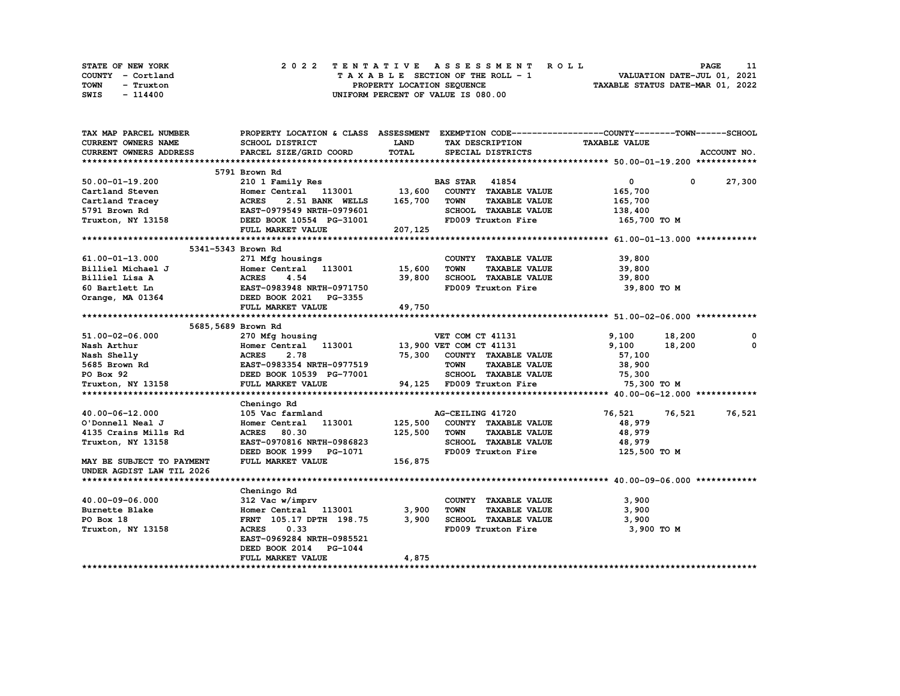| STATE OF NEW YORK | 2022 TENTATIVE ASSESSMENT ROLL     | <b>PAGE</b>                      |
|-------------------|------------------------------------|----------------------------------|
| COUNTY - Cortland | TAXABLE SECTION OF THE ROLL - 1    | VALUATION DATE-JUL 01, 2021      |
| TOWN<br>- Truxton | PROPERTY LOCATION SEQUENCE         | TAXABLE STATUS DATE-MAR 01, 2022 |
| SWIS<br>- 114400  | UNIFORM PERCENT OF VALUE IS 080.00 |                                  |

| TAX MAP PARCEL NUMBER                                                                                                                                                                                      |                                                                 |          | PROPERTY LOCATION & CLASS ASSESSMENT EXEMPTION CODE----------------COUNTY-------TOWN-----SCHOOL |                      |               |
|------------------------------------------------------------------------------------------------------------------------------------------------------------------------------------------------------------|-----------------------------------------------------------------|----------|-------------------------------------------------------------------------------------------------|----------------------|---------------|
| <b>CURRENT OWNERS NAME</b>                                                                                                                                                                                 | SCHOOL DISTRICT                                                 | LAND     | TAX DESCRIPTION                                                                                 | <b>TAXABLE VALUE</b> |               |
| CURRENT OWNERS ADDRESS                                                                                                                                                                                     | PARCEL SIZE/GRID COORD                                          | TOTAL    | SPECIAL DISTRICTS                                                                               |                      | ACCOUNT NO.   |
|                                                                                                                                                                                                            |                                                                 |          |                                                                                                 |                      |               |
|                                                                                                                                                                                                            | 5791 Brown Rd                                                   |          |                                                                                                 |                      |               |
| 50.00-01-19.200                                                                                                                                                                                            | 210 1 Family Res                                                |          | <b>BAS STAR 41854</b>                                                                           | $\mathbf{0}$         | $0 \t 27,300$ |
| Cartland Steven                                                                                                                                                                                            | Homer Central 113001 13,600                                     |          | COUNTY TAXABLE VALUE                                                                            | 165,700              |               |
| Cartland Tracey                                                                                                                                                                                            | <b>ACRES</b><br>2.51 BANK WELLS                                 | 165,700  | <b>TOWN</b><br><b>TAXABLE VALUE</b>                                                             | 165,700              |               |
| 5791 Brown Rd                                                                                                                                                                                              | دسسم <b>س ACRES</b> 2.51 BANA<br>EAST-0979549 NRTH-0979601      |          | SCHOOL TAXABLE VALUE                                                                            | 138,400              |               |
| Truxton, NY 13158 <b>DEED BOOK 10554 PG-31001</b>                                                                                                                                                          |                                                                 |          | FD009 Truxton Fire 165,700 TO M                                                                 |                      |               |
|                                                                                                                                                                                                            | FULL MARKET VALUE                                               | 207, 125 |                                                                                                 |                      |               |
|                                                                                                                                                                                                            |                                                                 |          |                                                                                                 |                      |               |
|                                                                                                                                                                                                            | 5341-5343 Brown Rd                                              |          |                                                                                                 |                      |               |
| 61.00-01-13.000                                                                                                                                                                                            | 271 Mfg housings                                                |          | COUNTY TAXABLE VALUE                                                                            | 39,800               |               |
| Billiel Michael J                                                                                                                                                                                          | Homer Central 113001 15,600                                     |          | TOWN<br><b>TAXABLE VALUE</b>                                                                    | 39,800               |               |
|                                                                                                                                                                                                            |                                                                 | 39,800   | SCHOOL TAXABLE VALUE                                                                            | 39,800               |               |
|                                                                                                                                                                                                            | EAST-0983948 NRTH-0971750                                       |          | FD009 Truxton Fire                                                                              | 39,800 TO M          |               |
|                                                                                                                                                                                                            |                                                                 |          |                                                                                                 |                      |               |
|                                                                                                                                                                                                            | FULL MARKET VALUE                                               | 49,750   |                                                                                                 |                      |               |
|                                                                                                                                                                                                            |                                                                 |          |                                                                                                 |                      |               |
|                                                                                                                                                                                                            | 5685,5689 Brown Rd                                              |          |                                                                                                 |                      |               |
| 51.00-02-06.000<br>Nash Arthur<br>Nash Arthur<br>Nash Shelly<br>Nash Shelly<br>5685 Brown Rd<br>PO Box 92<br>PO Box 92<br>FULL MARKET VALUE<br>TELL MARKET VALUE<br>TELL MARKET VALUE<br>TELL MARKET VALUE |                                                                 |          |                                                                                                 | 9,100<br>18,200      | 0             |
|                                                                                                                                                                                                            | 270 Mfg housing<br>Homer Central 113001 13,900 VET COM CT 41131 |          |                                                                                                 | 9,100<br>18,200      | 0             |
|                                                                                                                                                                                                            |                                                                 |          | 75,300 COUNTY TAXABLE VALUE                                                                     | 57,100               |               |
|                                                                                                                                                                                                            |                                                                 |          | <b>TOWN</b><br><b>TAXABLE VALUE</b>                                                             | 38,900               |               |
|                                                                                                                                                                                                            |                                                                 |          | SCHOOL TAXABLE VALUE                                                                            | 75,300               |               |
|                                                                                                                                                                                                            |                                                                 |          | 94,125 FD009 Truxton Fire                                                                       | 75,300 TO M          |               |
|                                                                                                                                                                                                            |                                                                 |          |                                                                                                 |                      |               |
|                                                                                                                                                                                                            | Cheningo Rd                                                     |          |                                                                                                 |                      |               |
| 40.00-06-12.000                                                                                                                                                                                            | 105 Vac farmland                                                |          | AG-CEILING 41720                                                                                | 76,521<br>76,521     | 76,521        |
| O'Donnell Neal J                                                                                                                                                                                           | Homer Central 113001                                            |          | 125,500 COUNTY TAXABLE VALUE                                                                    | 48,979               |               |
| 4135 Crains Mills Rd                                                                                                                                                                                       | <b>ACRES</b><br>80.30                                           | 125,500  | <b>TOWN</b><br><b>TAXABLE VALUE</b>                                                             | 48,979               |               |
| Truxton, NY 13158                                                                                                                                                                                          | EAST-0970816 NRTH-0986823                                       |          | SCHOOL TAXABLE VALUE                                                                            | 48,979               |               |
|                                                                                                                                                                                                            | DEED BOOK 1999 PG-1071                                          |          | FD009 Truxton Fire                                                                              | 125,500 TO M         |               |
| MAY BE SUBJECT TO PAYMENT                                                                                                                                                                                  | FULL MARKET VALUE                                               | 156,875  |                                                                                                 |                      |               |
| UNDER AGDIST LAW TIL 2026                                                                                                                                                                                  |                                                                 |          |                                                                                                 |                      |               |
|                                                                                                                                                                                                            |                                                                 |          |                                                                                                 |                      |               |
|                                                                                                                                                                                                            | Cheningo Rd                                                     |          |                                                                                                 |                      |               |
| 40.00-09-06.000                                                                                                                                                                                            | 312 Vac w/imprv                                                 |          | COUNTY TAXABLE VALUE                                                                            | 3,900                |               |
| Burnette Blake                                                                                                                                                                                             | Homer Central 113001                                            | 3,900    | <b>TOWN</b><br><b>TAXABLE VALUE</b>                                                             | 3,900                |               |
| PO Box 18                                                                                                                                                                                                  | FRNT 105.17 DPTH 198.75                                         | 3,900    | SCHOOL TAXABLE VALUE                                                                            | 3,900                |               |
| Truxton, NY 13158                                                                                                                                                                                          | <b>ACRES</b><br>0.33                                            |          | FD009 Truxton Fire                                                                              | 3,900 TO M           |               |
|                                                                                                                                                                                                            | EAST-0969284 NRTH-0985521                                       |          |                                                                                                 |                      |               |
|                                                                                                                                                                                                            | DEED BOOK 2014<br><b>PG-1044</b>                                |          |                                                                                                 |                      |               |
|                                                                                                                                                                                                            | FULL MARKET VALUE                                               | 4,875    |                                                                                                 |                      |               |
|                                                                                                                                                                                                            |                                                                 |          |                                                                                                 |                      |               |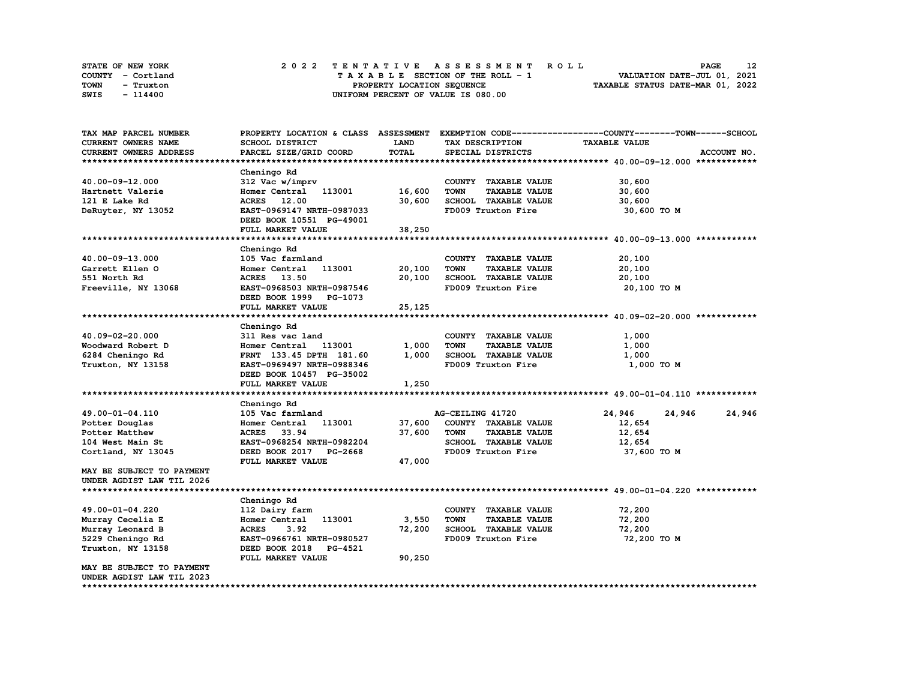| STATE OF NEW YORK | 2022 TENTATIVE ASSESSMENT ROLL     | 12<br><b>PAGE</b>                |
|-------------------|------------------------------------|----------------------------------|
| COUNTY - Cortland | TAXABLE SECTION OF THE ROLL - 1    | VALUATION DATE-JUL 01, 2021      |
| TOWN<br>- Truxton | PROPERTY LOCATION SEQUENCE         | TAXABLE STATUS DATE-MAR 01, 2022 |
| SWIS<br>- 114400  | UNIFORM PERCENT OF VALUE IS 080.00 |                                  |

| TAX MAP PARCEL NUMBER                | PROPERTY LOCATION & CLASS ASSESSMENT |        |                                     | EXEMPTION CODE-----------------COUNTY-------TOWN------SCHOOL |             |
|--------------------------------------|--------------------------------------|--------|-------------------------------------|--------------------------------------------------------------|-------------|
| <b>CURRENT OWNERS NAME</b>           | SCHOOL DISTRICT                      | LAND   | TAX DESCRIPTION                     | <b>TAXABLE VALUE</b>                                         |             |
| CURRENT OWNERS ADDRESS               | PARCEL SIZE/GRID COORD               | TOTAL  | SPECIAL DISTRICTS                   |                                                              | ACCOUNT NO. |
|                                      |                                      |        |                                     |                                                              |             |
|                                      | Cheningo Rd                          |        |                                     |                                                              |             |
| 40.00-09-12.000                      | 312 Vac w/imprv                      |        | COUNTY TAXABLE VALUE                | 30,600                                                       |             |
| Hartnett Valerie                     | Homer Central 113001                 | 16,600 | <b>TOWN</b><br><b>TAXABLE VALUE</b> | 30,600                                                       |             |
| 121 E Lake Rd                        | ACRES 12.00                          | 30,600 | SCHOOL TAXABLE VALUE                | 30,600                                                       |             |
| DeRuyter, NY 13052                   | EAST-0969147 NRTH-0987033            |        | FD009 Truxton Fire                  | 30,600 TO M                                                  |             |
|                                      | DEED BOOK 10551 PG-49001             |        |                                     |                                                              |             |
|                                      | FULL MARKET VALUE                    | 38,250 |                                     |                                                              |             |
|                                      |                                      |        |                                     |                                                              |             |
|                                      | Cheningo Rd                          |        |                                     |                                                              |             |
| 40.00-09-13.000                      | 105 Vac farmland                     |        | COUNTY TAXABLE VALUE                | 20,100                                                       |             |
| Garrett Ellen O                      | 113001<br>Homer Central              | 20,100 | <b>TOWN</b><br><b>TAXABLE VALUE</b> | 20,100                                                       |             |
| 551 North Rd                         | ACRES 13.50                          | 20,100 | SCHOOL TAXABLE VALUE                | 20,100                                                       |             |
| Freeville, NY 13068                  | EAST-0968503 NRTH-0987546            |        | FD009 Truxton Fire                  | 20,100 TO M                                                  |             |
|                                      | DEED BOOK 1999 PG-1073               |        |                                     |                                                              |             |
|                                      | FULL MARKET VALUE                    | 25,125 |                                     |                                                              |             |
|                                      |                                      |        |                                     |                                                              |             |
|                                      | Cheningo Rd                          |        |                                     |                                                              |             |
|                                      |                                      |        |                                     |                                                              |             |
| 40.09-02-20.000                      | 311 Res vac land                     |        | COUNTY TAXABLE VALUE                | 1,000                                                        |             |
| Woodward Robert D                    | Homer Central<br>113001              | 1,000  | <b>TOWN</b><br><b>TAXABLE VALUE</b> | 1,000                                                        |             |
| 6284 Cheningo Rd                     | FRNT 133.45 DPTH 181.60              | 1,000  | SCHOOL TAXABLE VALUE                | 1,000                                                        |             |
| Truxton, NY 13158                    | EAST-0969497 NRTH-0988346            |        | FD009 Truxton Fire                  | 1,000 TO M                                                   |             |
|                                      | DEED BOOK 10457 PG-35002             |        |                                     |                                                              |             |
|                                      | FULL MARKET VALUE                    | 1,250  |                                     |                                                              |             |
|                                      |                                      |        |                                     |                                                              |             |
|                                      | Cheningo Rd                          |        |                                     |                                                              |             |
| 49.00-01-04.110                      | 105 Vac farmland                     |        | AG-CEILING 41720                    | 24,946<br>24,946                                             | 24,946      |
| Potter Douglas                       | 113001<br>Homer Central              | 37,600 | COUNTY TAXABLE VALUE                | 12,654                                                       |             |
| Potter Matthew                       | ACRES 33.94                          | 37,600 | <b>TOWN</b><br><b>TAXABLE VALUE</b> | 12,654                                                       |             |
| 104 West Main St                     | EAST-0968254 NRTH-0982204            |        | SCHOOL TAXABLE VALUE                | 12,654                                                       |             |
| Cortland, NY 13045                   | DEED BOOK 2017 PG-2668               |        | FD009 Truxton Fire                  | 37,600 TO M                                                  |             |
|                                      | FULL MARKET VALUE                    | 47,000 |                                     |                                                              |             |
| MAY BE SUBJECT TO PAYMENT            |                                      |        |                                     |                                                              |             |
| UNDER AGDIST LAW TIL 2026            |                                      |        |                                     |                                                              |             |
|                                      |                                      |        |                                     |                                                              |             |
|                                      | Cheningo Rd                          |        |                                     |                                                              |             |
| 49.00-01-04.220                      | 112 Dairy farm                       |        | COUNTY TAXABLE VALUE                | 72,200                                                       |             |
| Murray Cecelia E                     | Homer Central<br>113001              | 3,550  | <b>TOWN</b><br><b>TAXABLE VALUE</b> | 72,200                                                       |             |
| Murray Leonard B                     | 3.92<br><b>ACRES</b>                 | 72,200 | <b>SCHOOL TAXABLE VALUE</b>         | 72,200                                                       |             |
| 5229 Cheningo Rd                     | EAST-0966761 NRTH-0980527            |        | FD009 Truxton Fire                  | 72,200 TO M                                                  |             |
| Truxton, NY 13158                    | DEED BOOK 2018<br><b>PG-4521</b>     |        |                                     |                                                              |             |
|                                      | FULL MARKET VALUE                    | 90,250 |                                     |                                                              |             |
| MAY BE SUBJECT TO PAYMENT            |                                      |        |                                     |                                                              |             |
| UNDER AGDIST LAW TIL 2023            |                                      |        |                                     |                                                              |             |
| ************************************ |                                      |        |                                     |                                                              |             |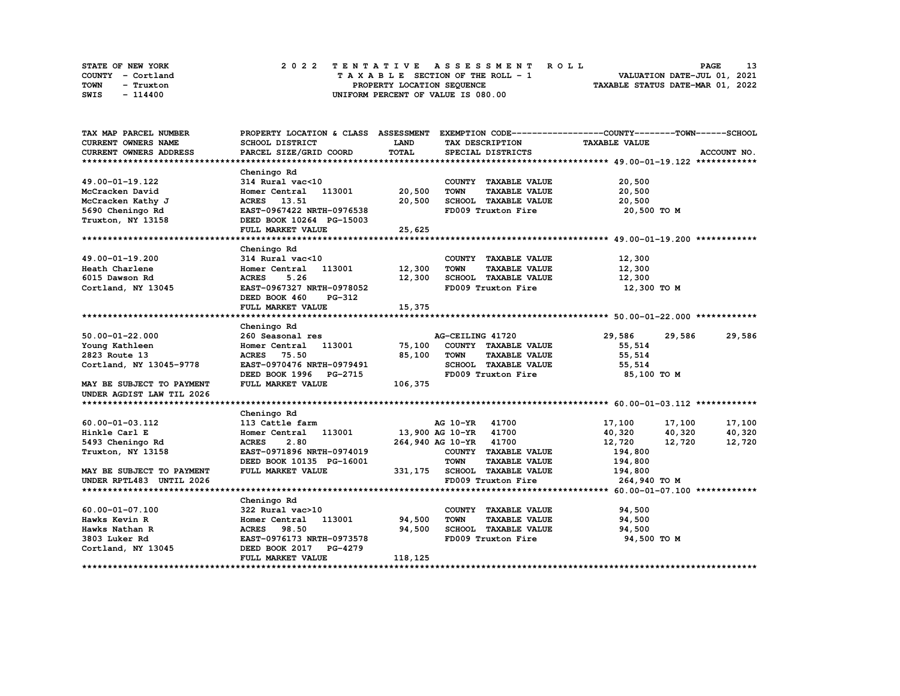| STATE OF NEW YORK | 2022 TENTATIVE ASSESSMENT ROLL     | 13<br><b>PAGE</b>                |
|-------------------|------------------------------------|----------------------------------|
| COUNTY - Cortland | TAXABLE SECTION OF THE ROLL - 1    | VALUATION DATE-JUL 01, 2021      |
| TOWN<br>- Truxton | PROPERTY LOCATION SEQUENCE         | TAXABLE STATUS DATE-MAR 01, 2022 |
| SWIS<br>- 114400  | UNIFORM PERCENT OF VALUE IS 080.00 |                                  |

| TAX MAP PARCEL NUMBER         | PROPERTY LOCATION & CLASS ASSESSMENT EXEMPTION CODE----------------COUNTY-------TOWN-----SCHOOL |             |                        |                               |                      |        |               |
|-------------------------------|-------------------------------------------------------------------------------------------------|-------------|------------------------|-------------------------------|----------------------|--------|---------------|
| <b>CURRENT OWNERS NAME</b>    | SCHOOL DISTRICT                                                                                 | <b>LAND</b> |                        | TAX DESCRIPTION               | <b>TAXABLE VALUE</b> |        |               |
| <b>CURRENT OWNERS ADDRESS</b> | PARCEL SIZE/GRID COORD                                                                          | TOTAL       |                        | SPECIAL DISTRICTS             |                      |        | ACCOUNT NO.   |
|                               |                                                                                                 |             |                        |                               |                      |        |               |
|                               | Cheningo Rd                                                                                     |             |                        |                               |                      |        |               |
| 49.00-01-19.122               | $314$ Rural vac<10                                                                              |             |                        | COUNTY TAXABLE VALUE          | 20,500               |        |               |
| McCracken David               | Homer Central 113001 20,500                                                                     |             | <b>TOWN</b>            | <b>TAXABLE VALUE</b>          | 20,500               |        |               |
| McCracken Kathy J             | ACRES 13.51                                                                                     | 20,500      |                        | SCHOOL TAXABLE VALUE          | 20,500               |        |               |
| 5690 Cheningo Rd              | EAST-0967422 NRTH-0976538                                                                       |             |                        | FD009 Truxton Fire            | 20,500 TO M          |        |               |
| Truxton, NY 13158             | DEED BOOK 10264 PG-15003                                                                        |             |                        |                               |                      |        |               |
|                               | FULL MARKET VALUE                                                                               | 25,625      |                        |                               |                      |        |               |
|                               |                                                                                                 |             |                        |                               |                      |        |               |
|                               | Cheningo Rd                                                                                     |             |                        |                               |                      |        |               |
| 49.00-01-19.200               | 314 Rural vac<10                                                                                |             |                        | COUNTY TAXABLE VALUE          | 12,300               |        |               |
| Heath Charlene                | Homer Central 113001 12,300                                                                     |             | <b>TOWN</b>            | <b>TAXABLE VALUE</b>          | 12,300               |        |               |
| 6015 Dawson Rd                | <b>ACRES</b><br>5.26                                                                            | 12,300      |                        | SCHOOL TAXABLE VALUE          | 12,300               |        |               |
| Cortland, NY 13045            | EAST-0967327 NRTH-0978052                                                                       |             |                        | FD009 Truxton Fire            | 12,300 TO M          |        |               |
|                               | DEED BOOK 460<br>PG-312                                                                         |             |                        |                               |                      |        |               |
|                               | FULL MARKET VALUE                                                                               | 15,375      |                        |                               |                      |        |               |
|                               |                                                                                                 |             |                        |                               |                      |        |               |
|                               | Cheningo Rd                                                                                     |             |                        |                               |                      |        |               |
| $50.00 - 01 - 22.000$         | 260 Seasonal res                                                                                |             | AG-CEILING 41720       |                               | 29,586               |        | 29,586 29,586 |
| Young Kathleen                | Homer Central 113001                                                                            | 75,100      |                        | COUNTY TAXABLE VALUE          | 55,514               |        |               |
| 2823 Route 13                 |                                                                                                 | 85,100      | <b>TOWN</b>            |                               | 55,514               |        |               |
|                               | <b>ACRES</b> 75.50                                                                              |             |                        | <b>TAXABLE VALUE</b>          |                      |        |               |
| Cortland, NY 13045-9778       | EAST-0970476 NRTH-0979491                                                                       |             |                        | SCHOOL TAXABLE VALUE          | 55,514               |        |               |
|                               | DEED BOOK 1996 PG-2715                                                                          |             |                        | FD009 Truxton Fire            | 85,100 то м          |        |               |
| MAY BE SUBJECT TO PAYMENT     | FULL MARKET VALUE                                                                               | 106,375     |                        |                               |                      |        |               |
| UNDER AGDIST LAW TIL 2026     |                                                                                                 |             |                        |                               |                      |        |               |
|                               |                                                                                                 |             |                        |                               |                      |        |               |
|                               | Cheningo Rd                                                                                     |             |                        |                               |                      |        |               |
| 60.00-01-03.112               | 113 Cattle farm                                                                                 |             | AG 10-YR 41700         |                               | 17,100               | 17,100 | 17,100        |
| Hinkle Carl E                 | Homer Central 113001 13,900 AG 10-YR 41700                                                      |             |                        |                               | 40,320               | 40,320 | 40,320        |
| 5493 Cheningo Rd              | 2.80<br><b>ACRES</b>                                                                            |             | 264,940 AG 10-YR 41700 |                               | 12,720               | 12,720 | 12,720        |
| Truxton, NY 13158             | EAST-0971896 NRTH-0974019                                                                       |             |                        | COUNTY TAXABLE VALUE          | 194,800              |        |               |
|                               | DEED BOOK 10135 PG-16001                                                                        |             | <b>TOWN</b>            | <b>TAXABLE VALUE</b>          | 194,800              |        |               |
| MAY BE SUBJECT TO PAYMENT     | FULL MARKET VALUE                                                                               |             |                        | 331, 175 SCHOOL TAXABLE VALUE | 194,800              |        |               |
| UNDER RPTL483 UNTIL 2026      |                                                                                                 |             |                        | FD009 Truxton Fire            | 264,940 TO M         |        |               |
|                               |                                                                                                 |             |                        |                               |                      |        |               |
|                               | Cheningo Rd                                                                                     |             |                        |                               |                      |        |               |
| 60.00-01-07.100               | 322 Rural vac>10                                                                                |             |                        | COUNTY TAXABLE VALUE          | 94,500               |        |               |
| Hawks Kevin R                 | 113001<br>Homer Central                                                                         | 94,500      | <b>TOWN</b>            | <b>TAXABLE VALUE</b>          | 94,500               |        |               |
| Hawks Nathan R                | <b>ACRES</b><br>98.50                                                                           | 94,500      |                        | SCHOOL TAXABLE VALUE          | 94,500               |        |               |
| 3803 Luker Rd                 | EAST-0976173 NRTH-0973578                                                                       |             |                        | FD009 Truxton Fire            | 94,500 TO M          |        |               |
| Cortland, NY 13045            | DEED BOOK 2017 PG-4279                                                                          |             |                        |                               |                      |        |               |
|                               | FULL MARKET VALUE                                                                               | 118,125     |                        |                               |                      |        |               |
|                               |                                                                                                 |             |                        |                               |                      |        |               |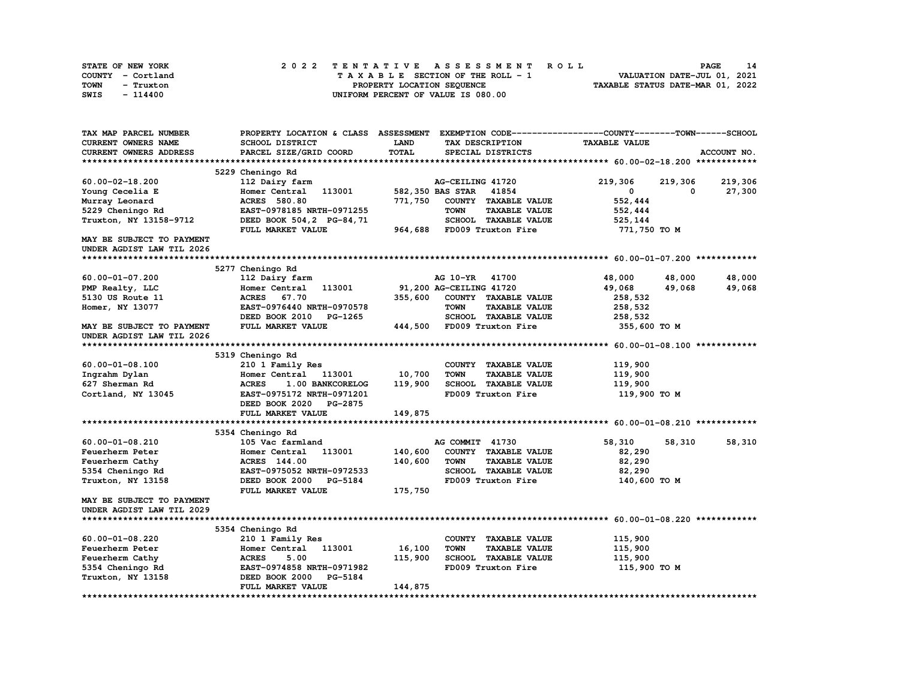| STATE OF NEW YORK | 2022 TENTATIVE ASSESSMENT ROLL     | 14<br><b>PAGE</b>                |
|-------------------|------------------------------------|----------------------------------|
| COUNTY - Cortland | TAXABLE SECTION OF THE ROLL - 1    | VALUATION DATE-JUL 01, 2021      |
| TOWN<br>- Truxton | PROPERTY LOCATION SEQUENCE         | TAXABLE STATUS DATE-MAR 01, 2022 |
| SWIS<br>- 114400  | UNIFORM PERCENT OF VALUE IS 080.00 |                                  |

| TAX MAP PARCEL NUMBER               | PROPERTY LOCATION & CLASS ASSESSMENT |              |                                     | EXEMPTION CODE-----------------COUNTY-------TOWN------SCHOOL |             |
|-------------------------------------|--------------------------------------|--------------|-------------------------------------|--------------------------------------------------------------|-------------|
| CURRENT OWNERS NAME                 | SCHOOL DISTRICT                      | LAND         | TAX DESCRIPTION                     | <b>TAXABLE VALUE</b>                                         |             |
| CURRENT OWNERS ADDRESS              | PARCEL SIZE/GRID COORD               | <b>TOTAL</b> | SPECIAL DISTRICTS                   |                                                              | ACCOUNT NO. |
|                                     |                                      |              |                                     |                                                              |             |
|                                     | 5229 Cheningo Rd                     |              |                                     |                                                              |             |
| $60.00 - 02 - 18.200$               | 112 Dairy farm                       |              | AG-CEILING 41720                    | 219,306<br>219,306                                           | 219,306     |
| Young Cecelia E                     | 113001<br>Homer Central              |              | 582,350 BAS STAR<br>41854           | 0<br>0                                                       | 27,300      |
| Murray Leonard                      | <b>ACRES</b> 580.80                  | 771,750      | COUNTY TAXABLE VALUE                | 552,444                                                      |             |
| 5229 Cheningo Rd                    | EAST-0978185 NRTH-0971255            |              | <b>TOWN</b><br><b>TAXABLE VALUE</b> | 552,444                                                      |             |
| Truxton, NY 13158-9712              | DEED BOOK 504, 2 PG-84, 71           |              | SCHOOL TAXABLE VALUE                | 525,144                                                      |             |
|                                     | FULL MARKET VALUE                    | 964,688      | FD009 Truxton Fire                  | 771,750 TO M                                                 |             |
| MAY BE SUBJECT TO PAYMENT           |                                      |              |                                     |                                                              |             |
| UNDER AGDIST LAW TIL 2026           |                                      |              |                                     |                                                              |             |
|                                     |                                      |              |                                     |                                                              |             |
|                                     | 5277 Cheningo Rd                     |              |                                     |                                                              |             |
| 60.00-01-07.200                     | 112 Dairy farm                       |              | AG 10-YR 41700                      | 48,000<br>48,000                                             | 48,000      |
|                                     | Homer Central<br>113001              |              | 91,200 AG-CEILING 41720             | 49,068                                                       |             |
| PMP Realty, LLC<br>5130 US Route 11 | <b>ACRES</b><br>67.70                | 355,600      | COUNTY TAXABLE VALUE                | 49,068<br>258,532                                            | 49,068      |
|                                     |                                      |              |                                     |                                                              |             |
| Homer, NY 13077                     | EAST-0976440 NRTH-0970578            |              | <b>TOWN</b><br><b>TAXABLE VALUE</b> | 258,532                                                      |             |
|                                     | DEED BOOK 2010<br>PG-1265            |              | <b>SCHOOL TAXABLE VALUE</b>         | 258,532                                                      |             |
| MAY BE SUBJECT TO PAYMENT           | FULL MARKET VALUE                    |              | 444,500 FD009 Truxton Fire          | 355,600 TO M                                                 |             |
| UNDER AGDIST LAW TIL 2026           |                                      |              |                                     |                                                              |             |
|                                     |                                      |              |                                     |                                                              |             |
|                                     | 5319 Cheningo Rd                     |              |                                     |                                                              |             |
| $60.00 - 01 - 08.100$               | 210 1 Family Res                     |              | COUNTY TAXABLE VALUE                | 119,900                                                      |             |
| Ingrahm Dylan                       | Homer Central<br>113001              | 10,700       | <b>TOWN</b><br><b>TAXABLE VALUE</b> | 119,900                                                      |             |
| 627 Sherman Rd                      | <b>ACRES</b><br>1.00 BANKCORELOG     | 119,900      | SCHOOL TAXABLE VALUE                | 119,900                                                      |             |
| Cortland, NY 13045                  | EAST-0975172 NRTH-0971201            |              | FD009 Truxton Fire                  | 119,900 TO M                                                 |             |
|                                     | DEED BOOK 2020<br><b>PG-2875</b>     |              |                                     |                                                              |             |
|                                     | FULL MARKET VALUE                    | 149,875      |                                     |                                                              |             |
|                                     |                                      |              |                                     |                                                              |             |
|                                     | 5354 Cheningo Rd                     |              |                                     |                                                              |             |
| $60.00 - 01 - 08.210$               | 105 Vac farmland                     |              | AG COMMIT 41730                     | 58,310<br>58,310                                             | 58,310      |
| Feuerherm Peter                     | 113001<br>Homer Central              | 140,600      | COUNTY TAXABLE VALUE                | 82,290                                                       |             |
| Feuerherm Cathy                     | ACRES 144.00                         | 140,600      | <b>TOWN</b><br><b>TAXABLE VALUE</b> | 82,290                                                       |             |
| 5354 Cheningo Rd                    | EAST-0975052 NRTH-0972533            |              | SCHOOL TAXABLE VALUE                | 82,290                                                       |             |
| Truxton, NY 13158                   | DEED BOOK 2000 PG-5184               |              | FD009 Truxton Fire                  | 140,600 TO M                                                 |             |
|                                     | FULL MARKET VALUE                    | 175,750      |                                     |                                                              |             |
| MAY BE SUBJECT TO PAYMENT           |                                      |              |                                     |                                                              |             |
| UNDER AGDIST LAW TIL 2029           |                                      |              |                                     |                                                              |             |
|                                     |                                      |              |                                     |                                                              |             |
|                                     | 5354 Cheningo Rd                     |              |                                     |                                                              |             |
| $60.00 - 01 - 08.220$               | 210 1 Family Res                     |              | COUNTY TAXABLE VALUE                | 115,900                                                      |             |
| Feuerherm Peter                     | Homer Central<br>113001              | 16,100       | <b>TOWN</b><br><b>TAXABLE VALUE</b> | 115,900                                                      |             |
| Feuerherm Cathy                     | 5.00<br><b>ACRES</b>                 | 115,900      | <b>SCHOOL TAXABLE VALUE</b>         | 115,900                                                      |             |
| 5354 Cheningo Rd                    | EAST-0974858 NRTH-0971982            |              | FD009 Truxton Fire                  | 115,900 TO M                                                 |             |
|                                     | DEED BOOK 2000<br>PG-5184            |              |                                     |                                                              |             |
| Truxton, NY 13158                   | FULL MARKET VALUE                    | 144,875      |                                     |                                                              |             |
|                                     |                                      |              |                                     |                                                              |             |
|                                     |                                      |              |                                     |                                                              |             |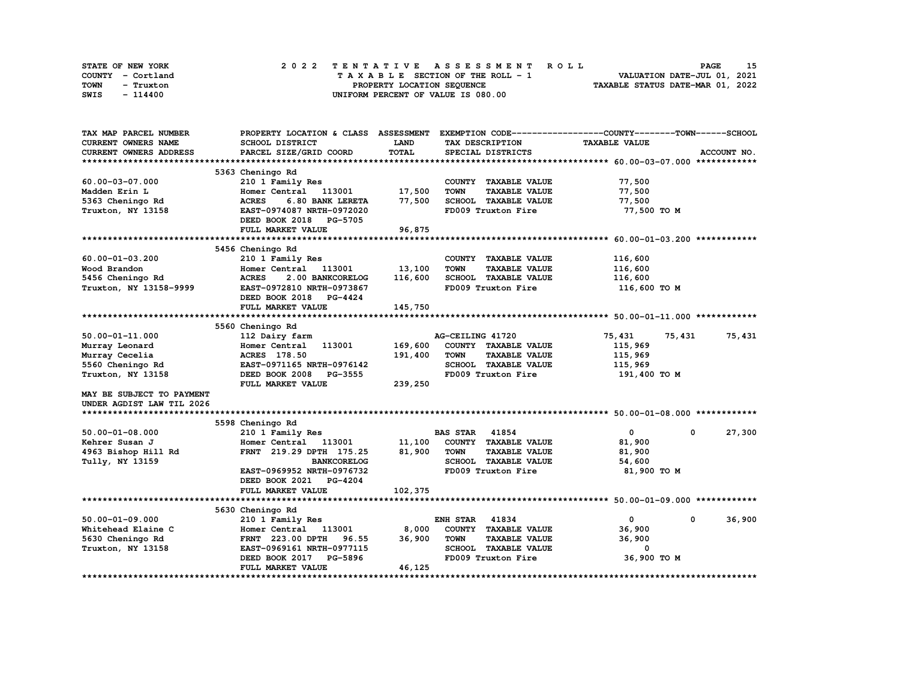| STATE OF NEW YORK | 2022 TENTATIVE ASSESSMENT ROLL     | 15<br><b>PAGE</b>                |
|-------------------|------------------------------------|----------------------------------|
| COUNTY - Cortland | TAXABLE SECTION OF THE ROLL - 1    | VALUATION DATE-JUL 01, 2021      |
| TOWN<br>- Truxton | PROPERTY LOCATION SEQUENCE         | TAXABLE STATUS DATE-MAR 01, 2022 |
| SWIS<br>- 114400  | UNIFORM PERCENT OF VALUE IS 080.00 |                                  |

| TAX MAP PARCEL NUMBER         | PROPERTY LOCATION & CLASS ASSESSMENT |              |                                     | EXEMPTION CODE-----------------COUNTY-------TOWN------SCHOOL |             |
|-------------------------------|--------------------------------------|--------------|-------------------------------------|--------------------------------------------------------------|-------------|
| <b>CURRENT OWNERS NAME</b>    | SCHOOL DISTRICT                      | LAND         | TAX DESCRIPTION                     | <b>TAXABLE VALUE</b>                                         |             |
| <b>CURRENT OWNERS ADDRESS</b> | PARCEL SIZE/GRID COORD               | <b>TOTAL</b> | SPECIAL DISTRICTS                   |                                                              | ACCOUNT NO. |
|                               |                                      |              |                                     |                                                              |             |
|                               | 5363 Cheningo Rd                     |              |                                     |                                                              |             |
| 60.00-03-07.000               | 210 1 Family Res                     |              | COUNTY TAXABLE VALUE                | 77,500                                                       |             |
| Madden Erin L                 | 113001<br>Homer Central              | 17,500       | <b>TOWN</b><br><b>TAXABLE VALUE</b> | 77,500                                                       |             |
| 5363 Cheningo Rd              | <b>ACRES</b><br>6.80 BANK LERETA     | 77,500       | SCHOOL TAXABLE VALUE                | 77,500                                                       |             |
| Truxton, NY 13158             | EAST-0974087 NRTH-0972020            |              | FD009 Truxton Fire                  | 77,500 TO M                                                  |             |
|                               | DEED BOOK 2018 PG-5705               |              |                                     |                                                              |             |
|                               | FULL MARKET VALUE                    | 96,875       |                                     |                                                              |             |
|                               |                                      |              |                                     |                                                              |             |
|                               | 5456 Cheningo Rd                     |              |                                     |                                                              |             |
| $60.00 - 01 - 03.200$         | 210 1 Family Res                     |              | COUNTY TAXABLE VALUE                | 116,600                                                      |             |
| Wood Brandon                  | Homer Central<br>113001              | 13,100       | <b>TAXABLE VALUE</b><br><b>TOWN</b> | 116,600                                                      |             |
| 5456 Cheningo Rd              | <b>ACRES</b><br>2.00 BANKCORELOG     | 116,600      | <b>SCHOOL TAXABLE VALUE</b>         | 116,600                                                      |             |
| Truxton, NY 13158-9999        | EAST-0972810 NRTH-0973867            |              | FD009 Truxton Fire                  | 116,600 TO M                                                 |             |
|                               | DEED BOOK 2018 PG-4424               |              |                                     |                                                              |             |
|                               | FULL MARKET VALUE                    | 145,750      |                                     |                                                              |             |
|                               |                                      |              |                                     |                                                              |             |
|                               | 5560 Cheningo Rd                     |              |                                     |                                                              |             |
| $50.00 - 01 - 11.000$         | 112 Dairy farm                       |              | AG-CEILING 41720                    | 75,431<br>75,431                                             | 75,431      |
| Murray Leonard                | 113001<br>Homer Central              | 169,600      | COUNTY TAXABLE VALUE                | 115,969                                                      |             |
| Murray Cecelia                | ACRES 178.50                         | 191,400      | <b>TOWN</b><br><b>TAXABLE VALUE</b> | 115,969                                                      |             |
| 5560 Cheningo Rd              | EAST-0971165 NRTH-0976142            |              | <b>SCHOOL TAXABLE VALUE</b>         | 115,969                                                      |             |
| Truxton, NY 13158             | DEED BOOK 2008 PG-3555               |              | FD009 Truxton Fire                  | 191,400 TO M                                                 |             |
|                               | FULL MARKET VALUE                    | 239,250      |                                     |                                                              |             |
| MAY BE SUBJECT TO PAYMENT     |                                      |              |                                     |                                                              |             |
| UNDER AGDIST LAW TIL 2026     |                                      |              |                                     |                                                              |             |
|                               |                                      |              |                                     |                                                              |             |
|                               | 5598 Cheningo Rd                     |              |                                     |                                                              |             |
| $50.00 - 01 - 08.000$         | 210 1 Family Res                     |              | 41854<br><b>BAS STAR</b>            | $\mathbf{0}$<br>$\mathbf 0$                                  | 27,300      |
| Kehrer Susan J                | Homer Central<br>113001              | 11,100       | COUNTY TAXABLE VALUE                | 81,900                                                       |             |
| 4963 Bishop Hill Rd           | FRNT 219.29 DPTH 175.25              | 81,900       | <b>TOWN</b><br><b>TAXABLE VALUE</b> | 81,900                                                       |             |
| Tully, NY 13159               | <b>BANKCORELOG</b>                   |              | SCHOOL TAXABLE VALUE                | 54,600                                                       |             |
|                               | EAST-0969952 NRTH-0976732            |              | FD009 Truxton Fire                  | 81,900 TO M                                                  |             |
|                               | DEED BOOK 2021<br><b>PG-4204</b>     |              |                                     |                                                              |             |
|                               | FULL MARKET VALUE                    | 102,375      |                                     |                                                              |             |
|                               |                                      |              |                                     |                                                              |             |
|                               | 5630 Cheningo Rd                     |              |                                     |                                                              |             |
| $50.00 - 01 - 09.000$         | 210 1 Family Res                     |              | <b>ENH STAR 41834</b>               | $\mathbf 0$<br>$\mathbf 0$                                   | 36,900      |
| Whitehead Elaine C            | 113001<br>Homer Central              | 8,000        | COUNTY TAXABLE VALUE                | 36,900                                                       |             |
| 5630 Cheningo Rd              | 96.55<br><b>FRNT 223.00 DPTH</b>     | 36,900       | <b>TOWN</b><br><b>TAXABLE VALUE</b> | 36,900                                                       |             |
| Truxton, NY 13158             | EAST-0969161 NRTH-0977115            |              | SCHOOL TAXABLE VALUE                | 0                                                            |             |
|                               | PG-5896<br>DEED BOOK 2017            |              | FD009 Truxton Fire                  | 36,900 ТО М                                                  |             |
|                               | FULL MARKET VALUE                    | 46,125       |                                     |                                                              |             |
|                               |                                      |              |                                     |                                                              |             |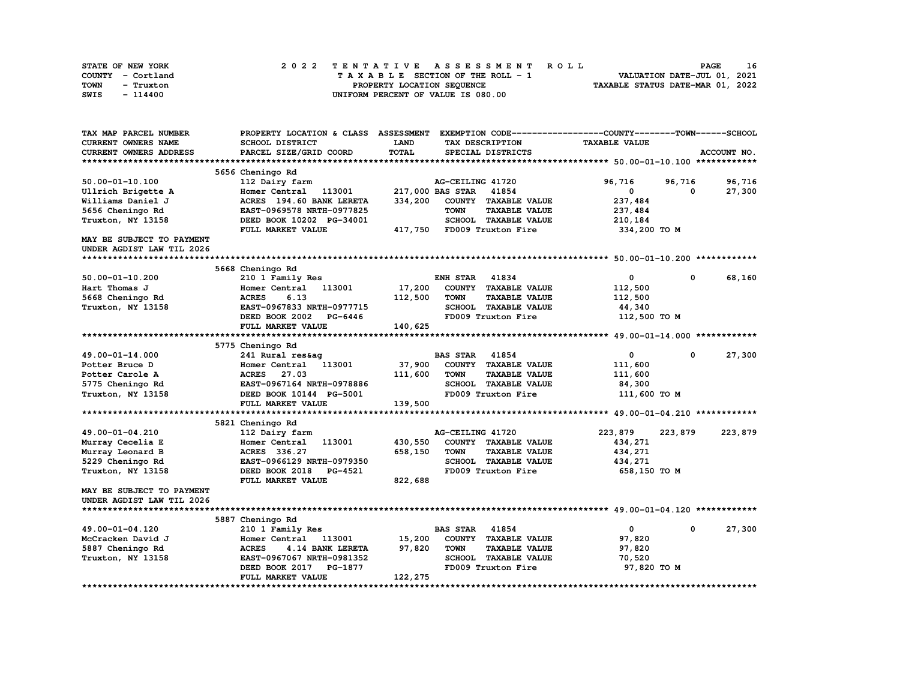| STATE OF NEW YORK | 2022 TENTATIVE ASSESSMENT ROLL     | 16<br><b>PAGE</b>                |
|-------------------|------------------------------------|----------------------------------|
| COUNTY - Cortland | TAXABLE SECTION OF THE ROLL - 1    | VALUATION DATE-JUL 01, 2021      |
| TOWN<br>- Truxton | PROPERTY LOCATION SEQUENCE         | TAXABLE STATUS DATE-MAR 01, 2022 |
| SWIS<br>- 114400  | UNIFORM PERCENT OF VALUE IS 080.00 |                                  |

| TAX MAP PARCEL NUMBER                 |                                     |         | PROPERTY LOCATION & CLASS ASSESSMENT EXEMPTION CODE----------------COUNTY-------TOWN------SCHOOL |                      |             |             |
|---------------------------------------|-------------------------------------|---------|--------------------------------------------------------------------------------------------------|----------------------|-------------|-------------|
| CURRENT OWNERS NAME                   | SCHOOL DISTRICT                     | LAND    | TAX DESCRIPTION                                                                                  | <b>TAXABLE VALUE</b> |             |             |
| <b>CURRENT OWNERS ADDRESS</b>         | PARCEL SIZE/GRID COORD              | TOTAL   | SPECIAL DISTRICTS                                                                                |                      |             | ACCOUNT NO. |
|                                       |                                     |         |                                                                                                  |                      |             |             |
|                                       | 5656 Cheningo Rd                    |         |                                                                                                  |                      |             |             |
| 50.00-01-10.100                       | 112 Dairy farm                      |         | AG-CEILING 41720                                                                                 | 96,716               | 96,716      | 96,716      |
| Ullrich Brigette A                    | Homer Central 113001                |         | 217,000 BAS STAR<br>41854                                                                        | 0                    | 0           | 27,300      |
| Williams Daniel J                     | ACRES 194.60 BANK LERETA            | 334,200 | COUNTY TAXABLE VALUE                                                                             | 237,484              |             |             |
| 5656 Cheningo Rd                      | EAST-0969578 NRTH-0977825           |         | <b>TOWN</b><br><b>TAXABLE VALUE</b>                                                              | 237,484              |             |             |
| Truxton, NY 13158                     | DEED BOOK 10202 PG-34001            |         | SCHOOL TAXABLE VALUE                                                                             | 210,184              |             |             |
|                                       | FULL MARKET VALUE                   |         | 417,750 FD009 Truxton Fire                                                                       | 334,200 TO M         |             |             |
| MAY BE SUBJECT TO PAYMENT             |                                     |         |                                                                                                  |                      |             |             |
| UNDER AGDIST LAW TIL 2026             |                                     |         |                                                                                                  |                      |             |             |
|                                       |                                     |         |                                                                                                  |                      |             |             |
|                                       | 5668 Cheningo Rd                    |         |                                                                                                  |                      |             |             |
| 50.00-01-10.200                       | 210 1 Family Res                    |         | 41834<br>ENH STAR                                                                                | 0                    | $^{\circ}$  | 68,160      |
| Hart Thomas J                         | Homer Central 113001                | 17,200  | COUNTY TAXABLE VALUE                                                                             | 112,500              |             |             |
| 5668 Cheningo Rd                      | 6.13<br><b>ACRES</b>                | 112,500 | <b>TOWN</b><br><b>TAXABLE VALUE</b>                                                              | 112,500              |             |             |
| Truxton, NY 13158                     | EAST-0967833 NRTH-0977715           |         | SCHOOL TAXABLE VALUE                                                                             | 44,340               |             |             |
|                                       | DEED BOOK 2002<br>PG-6446           |         | FD009 Truxton Fire                                                                               | 112,500 TO M         |             |             |
|                                       | FULL MARKET VALUE                   | 140,625 |                                                                                                  |                      |             |             |
|                                       |                                     |         |                                                                                                  |                      |             |             |
|                                       | 5775 Cheningo Rd                    |         |                                                                                                  |                      |             |             |
| 49.00-01-14.000                       | 241 Rural res&ag                    |         | <b>BAS STAR 41854</b>                                                                            | 0                    | $\mathbf 0$ | 27,300      |
| Potter Bruce D                        | Homer Central 113001                | 37,900  | COUNTY TAXABLE VALUE                                                                             | 111,600              |             |             |
| Potter Carole A                       | ACRES 27.03                         | 111,600 | <b>TOWN</b><br><b>TAXABLE VALUE</b>                                                              | 111,600              |             |             |
| 5775 Cheningo Rd                      | EAST-0967164 NRTH-0978886           |         | SCHOOL TAXABLE VALUE                                                                             | 84,300               |             |             |
| Truxton, NY 13158                     | DEED BOOK 10144 PG-5001             |         | FD009 Truxton Fire                                                                               | 111,600 TO M         |             |             |
|                                       | FULL MARKET VALUE                   | 139,500 |                                                                                                  |                      |             |             |
|                                       |                                     |         |                                                                                                  |                      |             |             |
|                                       | 5821 Cheningo Rd                    |         |                                                                                                  |                      |             |             |
| 49.00-01-04.210                       | 112 Dairy farm                      |         | AG-CEILING 41720                                                                                 | 223,879              | 223,879     | 223,879     |
| Murray Cecelia E                      | Homer Central 113001                | 430,550 | COUNTY TAXABLE VALUE                                                                             | 434,271              |             |             |
| Murray Leonard B                      | ACRES 336.27                        | 658,150 | <b>TOWN</b><br><b>TAXABLE VALUE</b>                                                              | 434,271              |             |             |
| 5229 Cheningo Rd                      | EAST-0966129 NRTH-0979350           |         | SCHOOL TAXABLE VALUE                                                                             | 434,271              |             |             |
| Truxton, NY 13158                     | DEED BOOK 2018 PG-4521              |         | FD009 Truxton Fire                                                                               | 658,150 то м         |             |             |
|                                       | FULL MARKET VALUE                   | 822,688 |                                                                                                  |                      |             |             |
| MAY BE SUBJECT TO PAYMENT             |                                     |         |                                                                                                  |                      |             |             |
| UNDER AGDIST LAW TIL 2026             |                                     |         |                                                                                                  |                      |             |             |
|                                       |                                     |         |                                                                                                  |                      |             |             |
|                                       | 5887 Cheningo Rd                    |         |                                                                                                  |                      |             |             |
| 49.00-01-04.120                       | 210 1 Family Res                    |         | <b>BAS STAR</b><br>41854                                                                         | $\mathbf 0$          | $^{\circ}$  | 27,300      |
| McCracken David J                     | Homer Central<br>113001             | 15,200  | COUNTY TAXABLE VALUE                                                                             | 97,820               |             |             |
|                                       | 4.14 BANK LERETA<br><b>ACRES</b>    | 97,820  | <b>TOWN</b><br><b>TAXABLE VALUE</b>                                                              | 97,820               |             |             |
| 5887 Cheningo Rd<br>Truxton, NY 13158 | EAST-0967067 NRTH-0981352           |         | SCHOOL TAXABLE VALUE                                                                             | 70,520               |             |             |
|                                       | PG-1877                             |         | FD009 Truxton Fire                                                                               |                      |             |             |
|                                       | DEED BOOK 2017<br>FULL MARKET VALUE | 122,275 |                                                                                                  | 97,820 TO M          |             |             |
|                                       |                                     |         |                                                                                                  |                      |             |             |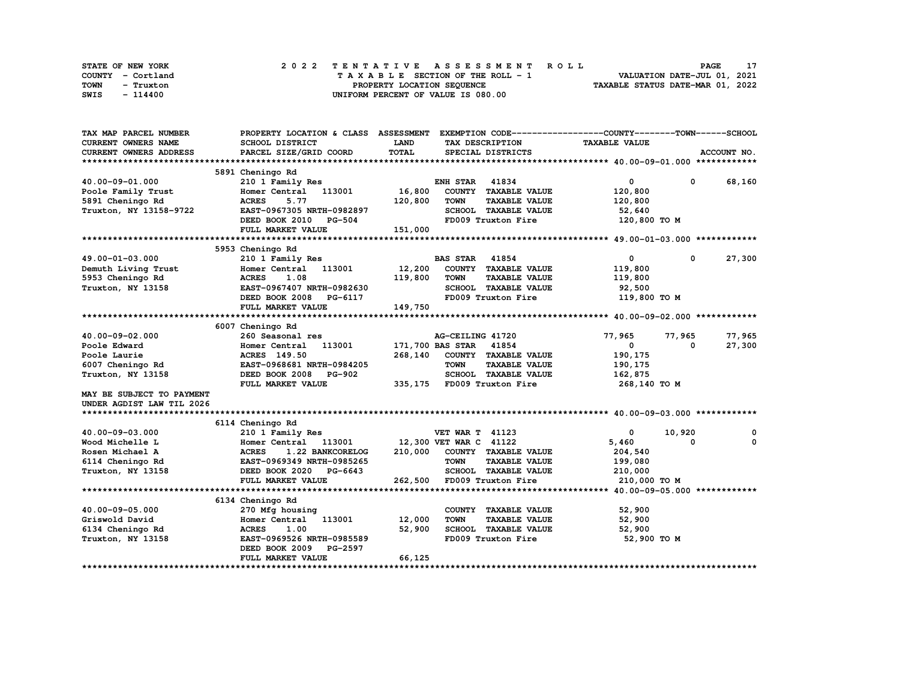| STATE OF NEW YORK | 2022 TENTATIVE ASSESSMENT ROLL     | <b>PAGE</b>                      |
|-------------------|------------------------------------|----------------------------------|
| COUNTY - Cortland | TAXABLE SECTION OF THE ROLL - 1    | VALUATION DATE-JUL 01, 2021      |
| TOWN<br>- Truxton | PROPERTY LOCATION SEQUENCE         | TAXABLE STATUS DATE-MAR 01, 2022 |
| SWIS<br>- 114400  | UNIFORM PERCENT OF VALUE IS 080.00 |                                  |

| TAX MAP PARCEL NUMBER      | PROPERTY LOCATION & CLASS ASSESSMENT |             | EXEMPTION CODE-----------------COUNTY-------TOWN------SCHOOL |                      |              |             |
|----------------------------|--------------------------------------|-------------|--------------------------------------------------------------|----------------------|--------------|-------------|
| <b>CURRENT OWNERS NAME</b> | SCHOOL DISTRICT                      | <b>LAND</b> | TAX DESCRIPTION                                              | <b>TAXABLE VALUE</b> |              |             |
| CURRENT OWNERS ADDRESS     | PARCEL SIZE/GRID COORD               | TOTAL       | SPECIAL DISTRICTS                                            |                      |              | ACCOUNT NO. |
|                            |                                      |             |                                                              |                      |              |             |
|                            | 5891 Cheningo Rd                     |             |                                                              |                      |              |             |
| 40.00-09-01.000            | 210 1 Family Res                     |             | <b>ENH STAR 41834</b>                                        | 0                    | $\mathbf 0$  | 68,160      |
| Poole Family Trust         | Homer Central<br>113001              | 16,800      | COUNTY TAXABLE VALUE                                         | 120,800              |              |             |
| 5891 Cheningo Rd           | 5.77<br><b>ACRES</b>                 | 120,800     | <b>TOWN</b><br><b>TAXABLE VALUE</b>                          | 120,800              |              |             |
| Truxton, NY 13158-9722     | EAST-0967305 NRTH-0982897            |             | SCHOOL TAXABLE VALUE                                         | 52,640               |              |             |
|                            | DEED BOOK 2010<br><b>PG-504</b>      |             | FD009 Truxton Fire                                           | 120,800 TO M         |              |             |
|                            | FULL MARKET VALUE                    | 151,000     |                                                              |                      |              |             |
|                            |                                      |             |                                                              |                      |              |             |
|                            | 5953 Cheningo Rd                     |             |                                                              |                      |              |             |
| 49.00-01-03.000            | 210 1 Family Res                     |             | <b>BAS STAR</b><br>41854                                     | $\mathbf 0$          | $\mathbf{0}$ | 27,300      |
| Demuth Living Trust        | Homer Central 113001                 | 12,200      | COUNTY TAXABLE VALUE                                         | 119,800              |              |             |
| 5953 Cheningo Rd           | <b>ACRES</b><br>1.08                 | 119,800     | <b>TAXABLE VALUE</b><br><b>TOWN</b>                          | 119,800              |              |             |
| Truxton, NY 13158          | EAST-0967407 NRTH-0982630            |             | SCHOOL TAXABLE VALUE                                         | 92,500               |              |             |
|                            | DEED BOOK 2008<br>PG-6117            |             | FD009 Truxton Fire                                           | 119,800 TO M         |              |             |
|                            | FULL MARKET VALUE                    | 149,750     |                                                              |                      |              |             |
|                            |                                      |             |                                                              |                      |              |             |
|                            | 6007 Cheningo Rd                     |             |                                                              |                      |              |             |
| 40.00-09-02.000            | 260 Seasonal res                     |             | AG-CEILING 41720                                             | 77,965               | 77,965       | 77,965      |
| Poole Edward               | Homer Central<br>113001              |             | 171,700 BAS STAR<br>41854                                    | $^{\circ}$           | 0            | 27,300      |
| Poole Laurie               | <b>ACRES</b> 149.50                  | 268,140     | COUNTY TAXABLE VALUE                                         | 190,175              |              |             |
| 6007 Cheningo Rd           | EAST-0968681 NRTH-0984205            |             | <b>TOWN</b><br><b>TAXABLE VALUE</b>                          | 190,175              |              |             |
| Truxton, NY 13158          | DEED BOOK 2008<br><b>PG-902</b>      |             | SCHOOL TAXABLE VALUE                                         | 162,875              |              |             |
|                            | FULL MARKET VALUE                    |             | 335,175 FD009 Truxton Fire                                   | 268,140 TO M         |              |             |
| MAY BE SUBJECT TO PAYMENT  |                                      |             |                                                              |                      |              |             |
| UNDER AGDIST LAW TIL 2026  |                                      |             |                                                              |                      |              |             |
|                            |                                      |             |                                                              |                      |              |             |
|                            | 6114 Cheningo Rd                     |             |                                                              |                      |              |             |
| 40.00-09-03.000            | 210 1 Family Res                     |             | <b>VET WAR T 41123</b>                                       | 0                    | 10,920       | 0           |
| Wood Michelle L            | 113001<br>Homer Central              |             | 12,300 VET WAR C 41122                                       | 5,460                | $\Omega$     | 0           |
| Rosen Michael A            | <b>ACRES</b><br>1.22 BANKCORELOG     | 210,000     | COUNTY TAXABLE VALUE                                         | 204,540              |              |             |
| 6114 Cheningo Rd           | EAST-0969349 NRTH-0985265            |             | <b>TOWN</b><br><b>TAXABLE VALUE</b>                          | 199,080              |              |             |
| Truxton, NY 13158          | DEED BOOK 2020<br><b>PG-6643</b>     |             | SCHOOL TAXABLE VALUE                                         | 210,000              |              |             |
|                            | FULL MARKET VALUE                    | 262,500     | FD009 Truxton Fire                                           | 210,000 TO M         |              |             |
|                            |                                      |             |                                                              |                      |              |             |
|                            | 6134 Cheningo Rd                     |             |                                                              |                      |              |             |
| 40.00-09-05.000            | 270 Mfg housing                      |             | COUNTY TAXABLE VALUE                                         | 52,900               |              |             |
| Griswold David             | 113001<br>Homer Central              | 12,000      | <b>TOWN</b><br><b>TAXABLE VALUE</b>                          | 52,900               |              |             |
| 6134 Cheningo Rd           | <b>ACRES</b><br>1.00                 | 52,900      | SCHOOL TAXABLE VALUE                                         | 52,900               |              |             |
| Truxton, NY 13158          | EAST-0969526 NRTH-0985589            |             | FD009 Truxton Fire                                           | 52,900 TO M          |              |             |
|                            | DEED BOOK 2009<br>PG-2597            |             |                                                              |                      |              |             |
|                            | FULL MARKET VALUE                    | 66,125      |                                                              |                      |              |             |
|                            |                                      |             |                                                              |                      |              |             |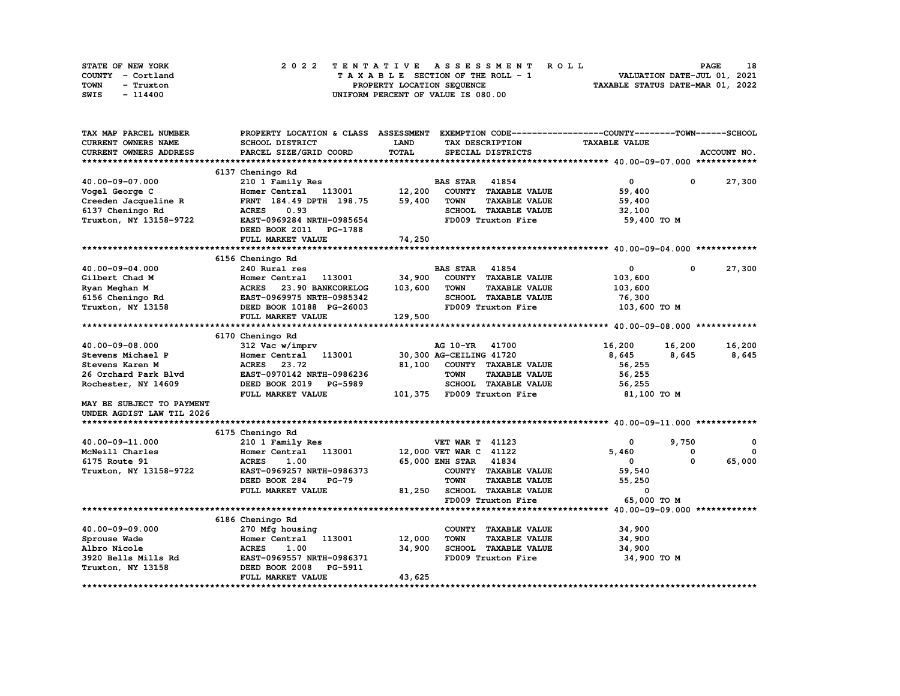| STATE OF NEW YORK | 2022 TENTATIVE ASSESSMENT ROLL     | 18<br><b>PAGE</b>                |
|-------------------|------------------------------------|----------------------------------|
| COUNTY - Cortland | TAXABLE SECTION OF THE ROLL - 1    | VALUATION DATE-JUL 01, 2021      |
| TOWN<br>- Truxton | PROPERTY LOCATION SEQUENCE         | TAXABLE STATUS DATE-MAR 01, 2022 |
| SWIS<br>- 114400  | UNIFORM PERCENT OF VALUE IS 080.00 |                                  |

| TAX MAP PARCEL NUMBER     | PROPERTY LOCATION & CLASS ASSESSMENT |              | EXEMPTION CODE-----------------COUNTY-------TOWN-----SCHOOL |                      |              |              |
|---------------------------|--------------------------------------|--------------|-------------------------------------------------------------|----------------------|--------------|--------------|
| CURRENT OWNERS NAME       | <b>SCHOOL DISTRICT</b>               | <b>LAND</b>  | TAX DESCRIPTION                                             | <b>TAXABLE VALUE</b> |              |              |
| CURRENT OWNERS ADDRESS    | PARCEL SIZE/GRID COORD               | <b>TOTAL</b> | SPECIAL DISTRICTS                                           |                      |              | ACCOUNT NO.  |
|                           |                                      |              |                                                             |                      |              |              |
|                           | 6137 Cheningo Rd                     |              |                                                             |                      |              |              |
| 40.00-09-07.000           | 210 1 Family Res                     |              | 41854<br><b>BAS STAR</b>                                    | $\mathbf{0}$         | $^{\circ}$   | 27,300       |
| Vogel George C            | Homer Central 113001 12,200          |              | COUNTY TAXABLE VALUE                                        | 59,400               |              |              |
| Creeden Jacqueline R      | FRNT 184.49 DPTH 198.75              | 59,400       | <b>TOWN</b><br><b>TAXABLE VALUE</b>                         | 59,400               |              |              |
| 6137 Cheningo Rd          | <b>ACRES</b><br>0.93                 |              | SCHOOL TAXABLE VALUE                                        | 32,100               |              |              |
| Truxton, NY 13158-9722    | EAST-0969284 NRTH-0985654            |              | FD009 Truxton Fire                                          | 59,400 TO M          |              |              |
|                           | DEED BOOK 2011<br>PG-1788            |              |                                                             |                      |              |              |
|                           | FULL MARKET VALUE                    | 74,250       |                                                             |                      |              |              |
|                           |                                      |              |                                                             |                      |              |              |
|                           | 6156 Cheningo Rd                     |              |                                                             |                      |              |              |
| 40.00-09-04.000           | 240 Rural res                        |              | <b>BAS STAR</b><br>41854                                    | $\mathbf{0}$         | $\mathbf{o}$ | 27,300       |
| Gilbert Chad M            | Homer Central<br>113001              | 34,900       | COUNTY TAXABLE VALUE                                        | 103,600              |              |              |
|                           | <b>ACRES</b><br>23.90 BANKCORELOG    | 103,600      | <b>TOWN</b><br><b>TAXABLE VALUE</b>                         |                      |              |              |
| Ryan Meghan M             | EAST-0969975 NRTH-0985342            |              | SCHOOL TAXABLE VALUE                                        | 103,600              |              |              |
| 6156 Cheningo Rd          |                                      |              |                                                             | 76,300               |              |              |
| Truxton, NY 13158         | DEED BOOK 10188 PG-26003             |              | FD009 Truxton Fire                                          | 103,600 TO M         |              |              |
|                           | FULL MARKET VALUE                    | 129,500      |                                                             |                      |              |              |
|                           |                                      |              |                                                             |                      |              |              |
|                           | 6170 Cheningo Rd                     |              |                                                             |                      |              |              |
| 40.00-09-08.000           | 312 Vac w/imprv                      |              | AG 10-YR 41700                                              | 16,200               | 16,200       | 16,200       |
| Stevens Michael P         | Homer Central 113001                 |              | 30,300 AG-CEILING 41720                                     | 8,645                | 8,645        | 8,645        |
| Stevens Karen M           | <b>ACRES</b><br>23.72                | 81,100       | COUNTY TAXABLE VALUE                                        | 56,255               |              |              |
| 26 Orchard Park Blvd      | EAST-0970142 NRTH-0986236            |              | <b>TOWN</b><br><b>TAXABLE VALUE</b>                         | 56,255               |              |              |
| Rochester, NY 14609       | DEED BOOK 2019 PG-5989               |              | SCHOOL TAXABLE VALUE                                        | 56,255               |              |              |
|                           | FULL MARKET VALUE                    |              | 101,375 FD009 Truxton Fire                                  | 81,100 TO M          |              |              |
| MAY BE SUBJECT TO PAYMENT |                                      |              |                                                             |                      |              |              |
| UNDER AGDIST LAW TIL 2026 |                                      |              |                                                             |                      |              |              |
|                           |                                      |              |                                                             |                      |              |              |
|                           | 6175 Cheningo Rd                     |              |                                                             |                      |              |              |
| 40.00-09-11.000           | 210 1 Family Res                     |              | <b>VET WAR T 41123</b>                                      | 0                    | 9,750        | $^{\circ}$   |
| McNeill Charles           | Homer Central<br>113001              |              | 12,000 VET WAR C 41122                                      | 5,460                | 0            | $\mathbf{0}$ |
| 6175 Route 91             | <b>ACRES</b><br>1.00                 |              | 65,000 ENH STAR 41834                                       | $\mathbf{0}$         | $\Omega$     | 65,000       |
| Truxton, NY 13158-9722    | EAST-0969257 NRTH-0986373            |              | COUNTY TAXABLE VALUE                                        | 59,540               |              |              |
|                           | DEED BOOK 284<br>$PG-79$             |              | <b>TOWN</b><br><b>TAXABLE VALUE</b>                         | 55,250               |              |              |
|                           | FULL MARKET VALUE                    | 81,250       | SCHOOL TAXABLE VALUE                                        | 0                    |              |              |
|                           |                                      |              | FD009 Truxton Fire                                          | 65,000 TO M          |              |              |
|                           |                                      |              |                                                             |                      |              |              |
|                           | 6186 Cheningo Rd                     |              |                                                             |                      |              |              |
| 40.00-09-09.000           | 270 Mfg housing                      |              | COUNTY TAXABLE VALUE                                        | 34,900               |              |              |
| Sprouse Wade              | Homer Central<br>113001              | 12,000       | <b>TOWN</b><br><b>TAXABLE VALUE</b>                         | 34,900               |              |              |
| Albro Nicole              | <b>ACRES</b><br>1.00                 | 34,900       | SCHOOL TAXABLE VALUE                                        | 34,900               |              |              |
| 3920 Bells Mills Rd       | EAST-0969557 NRTH-0986371            |              | FD009 Truxton Fire                                          | 34,900 TO M          |              |              |
| Truxton, NY 13158         | DEED BOOK 2008<br>PG-5911            |              |                                                             |                      |              |              |
|                           | FULL MARKET VALUE                    | 43,625       |                                                             |                      |              |              |
|                           |                                      |              |                                                             |                      |              |              |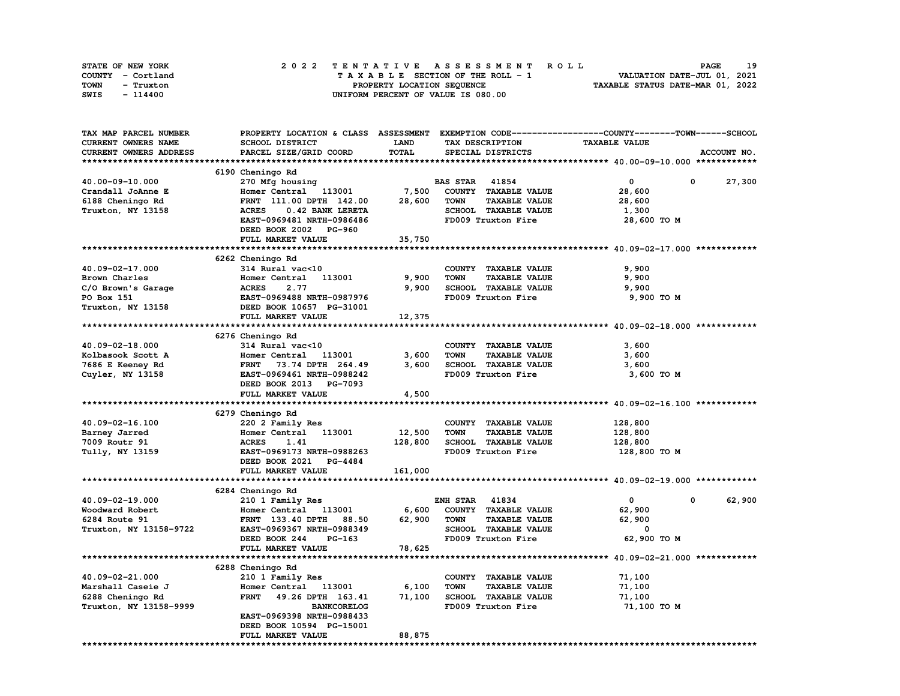| STATE OF NEW YORK | 2022 TENTATIVE ASSESSMENT ROLL     | 19<br><b>PAGE</b>                |
|-------------------|------------------------------------|----------------------------------|
| COUNTY - Cortland | TAXABLE SECTION OF THE ROLL - 1    | VALUATION DATE-JUL 01, 2021      |
| TOWN<br>- Truxton | PROPERTY LOCATION SEQUENCE         | TAXABLE STATUS DATE-MAR 01, 2022 |
| SWIS<br>- 114400  | UNIFORM PERCENT OF VALUE IS 080.00 |                                  |

| TAX MAP PARCEL NUMBER            | PROPERTY LOCATION & CLASS ASSESSMENT EXEMPTION CODE----------------COUNTY-------TOWN-----SCHOOL |             |                                     |                      |             |
|----------------------------------|-------------------------------------------------------------------------------------------------|-------------|-------------------------------------|----------------------|-------------|
| CURRENT OWNERS NAME              | SCHOOL DISTRICT                                                                                 | <b>LAND</b> | TAX DESCRIPTION                     | <b>TAXABLE VALUE</b> |             |
| CURRENT OWNERS ADDRESS           | PARCEL SIZE/GRID COORD                                                                          | TOTAL       | SPECIAL DISTRICTS                   |                      | ACCOUNT NO. |
|                                  |                                                                                                 |             |                                     |                      |             |
|                                  | 6190 Cheningo Rd                                                                                |             |                                     |                      |             |
| 40.00-09-10.000                  | 270 Mfg housing                                                                                 |             | <b>BAS STAR</b> 41854               | $\mathbf{0}$         | 0<br>27,300 |
| Crandall JoAnne E                | Homer Central 113001                                                                            | 7,500       | COUNTY TAXABLE VALUE                | 28,600               |             |
| 6188 Cheningo Rd                 | FRNT 111.00 DPTH 142.00                                                                         | 28,600      | <b>TOWN</b><br><b>TAXABLE VALUE</b> | 28,600               |             |
| Truxton, NY 13158                | 0.42 BANK LERETA<br><b>ACRES</b>                                                                |             | SCHOOL TAXABLE VALUE                | 1,300                |             |
|                                  | EAST-0969481 NRTH-0986486                                                                       |             | FD009 Truxton Fire                  | 28,600 TO M          |             |
|                                  | DEED BOOK 2002 PG-960                                                                           |             |                                     |                      |             |
|                                  | FULL MARKET VALUE                                                                               | 35,750      |                                     |                      |             |
|                                  |                                                                                                 |             |                                     |                      |             |
|                                  | 6262 Cheningo Rd                                                                                |             |                                     |                      |             |
| 40.09-02-17.000                  | 314 Rural vac<10                                                                                |             | COUNTY TAXABLE VALUE                | 9,900                |             |
| Brown Charles                    | Homer Central 113001                                                                            | 9,900       | <b>TOWN</b><br><b>TAXABLE VALUE</b> | 9,900                |             |
|                                  |                                                                                                 | 9,900       | SCHOOL TAXABLE VALUE                | 9,900                |             |
| C/O Brown's Garage<br>PO Box 151 | ACRES 2.77<br>EAST-0969488 NRTH-0987976<br>DEED BOOK 10657 PG-31001                             |             | FD009 Truxton Fire                  | 9,900 TO M           |             |
| Truxton, NY 13158                |                                                                                                 |             |                                     |                      |             |
|                                  | FULL MARKET VALUE                                                                               | 12,375      |                                     |                      |             |
|                                  |                                                                                                 |             |                                     |                      |             |
|                                  | 6276 Cheningo Rd                                                                                |             |                                     |                      |             |
| 40.09-02-18.000                  | 314 Rural vac<10                                                                                |             | COUNTY TAXABLE VALUE                | 3,600                |             |
| Kolbasook Scott A                | Homer Central 113001                                                                            | 3,600       | <b>TAXABLE VALUE</b><br><b>TOWN</b> | 3,600                |             |
| 7686 E Keeney Rd                 | FRNT 73.74 DPTH 264.49                                                                          | 3,600       | SCHOOL TAXABLE VALUE                | 3,600                |             |
| Cuyler, NY 13158                 | EAST-0969461 NRTH-0988242                                                                       |             | FD009 Truxton Fire                  | 3,600 TO M           |             |
|                                  | DEED BOOK 2013 PG-7093                                                                          |             |                                     |                      |             |
|                                  | FULL MARKET VALUE                                                                               | 4,500       |                                     |                      |             |
|                                  |                                                                                                 |             |                                     |                      |             |
|                                  | 6279 Cheningo Rd                                                                                |             |                                     |                      |             |
| 40.09-02-16.100                  | 220 2 Family Res                                                                                |             | COUNTY TAXABLE VALUE                | 128,800              |             |
| Barney Jarred                    | Homer Central 113001                                                                            | 12,500      | <b>TOWN</b><br><b>TAXABLE VALUE</b> | 128,800              |             |
| 7009 Routr 91                    | <b>ACRES</b><br>1.41                                                                            | 128,800     | SCHOOL TAXABLE VALUE                | 128,800              |             |
| Tully, NY 13159                  | EAST-0969173 NRTH-0988263                                                                       |             | FD009 Truxton Fire                  | 128,800 то м         |             |
|                                  | DEED BOOK 2021 PG-4484                                                                          |             |                                     |                      |             |
|                                  | FULL MARKET VALUE                                                                               | 161,000     |                                     |                      |             |
|                                  |                                                                                                 |             |                                     |                      |             |
|                                  | 6284 Cheningo Rd                                                                                |             |                                     |                      |             |
| 40.09-02-19.000                  | 210 1 Family Res                                                                                |             | <b>ENH STAR 41834</b>               | $\mathbf{0}$         | 62,900<br>0 |
| Woodward Robert                  | Homer Central 113001                                                                            | 6,600       | COUNTY TAXABLE VALUE                | 62,900               |             |
| 6284 Route 91                    | 88.50<br><b>FRNT</b> 133.40 DPTH                                                                | 62,900      | <b>TOWN</b><br><b>TAXABLE VALUE</b> | 62,900               |             |
| Truxton, NY 13158-9722           | EAST-0969367 NRTH-0988349                                                                       |             | SCHOOL TAXABLE VALUE                | 0                    |             |
|                                  | DEED BOOK 244<br>PG-163                                                                         |             | FD009 Truxton Fire                  | 62,900 TO M          |             |
|                                  | FULL MARKET VALUE                                                                               | 78,625      |                                     |                      |             |
|                                  |                                                                                                 |             |                                     |                      |             |
|                                  | 6288 Cheningo Rd                                                                                |             |                                     |                      |             |
| 40.09-02-21.000                  | 210 1 Family Res                                                                                |             | COUNTY TAXABLE VALUE                | 71,100               |             |
| Marshall Caseie J                | Homer Central 113001                                                                            | 6,100       | <b>TOWN</b><br><b>TAXABLE VALUE</b> | 71,100               |             |
| 6288 Cheningo Rd                 | 49.26 DPTH 163.41<br><b>FRNT</b>                                                                | 71,100      | SCHOOL TAXABLE VALUE                | 71,100               |             |
| Truxton, NY 13158-9999           | <b>BANKCORELOG</b>                                                                              |             | FD009 Truxton Fire                  | 71,100 TO M          |             |
|                                  | EAST-0969398 NRTH-0988433                                                                       |             |                                     |                      |             |
|                                  | DEED BOOK 10594 PG-15001                                                                        |             |                                     |                      |             |
|                                  | FULL MARKET VALUE                                                                               | 88,875      |                                     |                      |             |
|                                  |                                                                                                 |             |                                     |                      |             |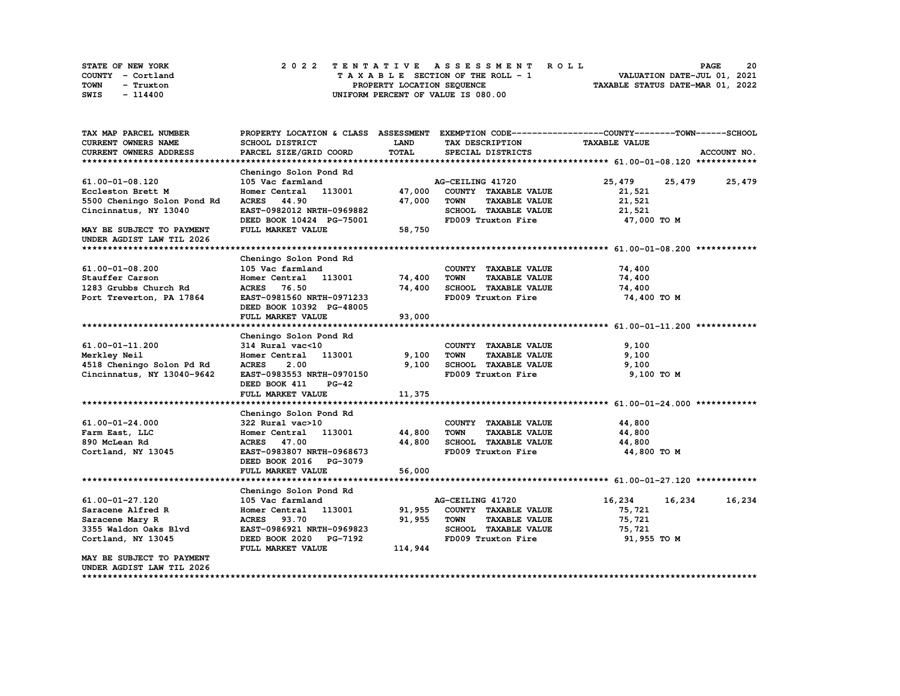| STATE OF NEW YORK | 2022 TENTATIVE ASSESSMENT ROLL     | 20<br><b>PAGE</b>                |
|-------------------|------------------------------------|----------------------------------|
| COUNTY - Cortland | TAXABLE SECTION OF THE ROLL - 1    | VALUATION DATE-JUL 01, 2021      |
| TOWN<br>- Truxton | PROPERTY LOCATION SEOUENCE         | TAXABLE STATUS DATE-MAR 01, 2022 |
| SWIS<br>$-114400$ | UNIFORM PERCENT OF VALUE IS 080.00 |                                  |

| TAX MAP PARCEL NUMBER                                  |                               |             |                                     | PROPERTY LOCATION & CLASS ASSESSMENT EXEMPTION CODE----------------COUNTY-------TOWN------SCHOOL |             |
|--------------------------------------------------------|-------------------------------|-------------|-------------------------------------|--------------------------------------------------------------------------------------------------|-------------|
| CURRENT OWNERS NAME                                    | SCHOOL DISTRICT               | <b>LAND</b> | TAX DESCRIPTION                     | <b>TAXABLE VALUE</b>                                                                             |             |
| CURRENT OWNERS ADDRESS                                 | PARCEL SIZE/GRID COORD        | TOTAL       | SPECIAL DISTRICTS                   |                                                                                                  | ACCOUNT NO. |
|                                                        |                               |             |                                     |                                                                                                  |             |
|                                                        | Cheningo Solon Pond Rd        |             |                                     |                                                                                                  |             |
| 61.00-01-08.120                                        | 105 Vac farmland              |             | AG-CEILING 41720                    | 25,479<br>25,479 25,479                                                                          |             |
| Eccleston Brett M                                      | Homer Central 113001          | 47,000      | COUNTY TAXABLE VALUE                | 21,521                                                                                           |             |
| 5500 Cheningo Solon Pond Rd                            | <b>ACRES</b> 44.90            | 47,000      | <b>TOWN</b><br><b>TAXABLE VALUE</b> | 21,521                                                                                           |             |
| Cincinnatus, NY 13040                                  | EAST-0982012 NRTH-0969882     |             | SCHOOL TAXABLE VALUE                | 21,521                                                                                           |             |
|                                                        | DEED BOOK 10424 PG-75001      |             | FD009 Truxton Fire                  | 47,000 TO M                                                                                      |             |
| MAY BE SUBJECT TO PAYMENT<br>UNDER AGDIST LAW TIL 2026 | FULL MARKET VALUE             | 58,750      |                                     |                                                                                                  |             |
|                                                        |                               |             |                                     |                                                                                                  |             |
|                                                        | Cheningo Solon Pond Rd        |             |                                     |                                                                                                  |             |
| 61.00-01-08.200                                        | 105 Vac farmland              |             | COUNTY TAXABLE VALUE                | 74,400                                                                                           |             |
| Stauffer Carson                                        | Homer Central 113001          | 74,400      | <b>TOWN</b><br><b>TAXABLE VALUE</b> | 74,400                                                                                           |             |
| 1283 Grubbs Church Rd                                  | ACRES 76.50                   | 74,400      | SCHOOL TAXABLE VALUE                | 74,400                                                                                           |             |
| Port Treverton, PA 17864                               | EAST-0981560 NRTH-0971233     |             | FD009 Truxton Fire                  | 74,400 TO M                                                                                      |             |
|                                                        | DEED BOOK 10392 PG-48005      |             |                                     |                                                                                                  |             |
|                                                        | FULL MARKET VALUE             | 93,000      |                                     |                                                                                                  |             |
|                                                        |                               |             |                                     |                                                                                                  |             |
|                                                        | Cheningo Solon Pond Rd        |             |                                     |                                                                                                  |             |
| 61.00-01-11.200                                        | 314 Rural vac<10              |             | COUNTY TAXABLE VALUE                | 9,100                                                                                            |             |
| Merkley Neil                                           | Homer Central 113001          | 9,100       | <b>TOWN</b><br><b>TAXABLE VALUE</b> | 9,100                                                                                            |             |
| 4518 Cheningo Solon Pd Rd                              | <b>ACRES</b><br>2.00          | 9,100       | SCHOOL TAXABLE VALUE                | 9,100                                                                                            |             |
| Cincinnatus, NY 13040-9642                             | EAST-0983553 NRTH-0970150     |             | FD009 Truxton Fire                  | 9,100 TO M                                                                                       |             |
|                                                        | DEED BOOK 411<br><b>PG-42</b> |             |                                     |                                                                                                  |             |
|                                                        | FULL MARKET VALUE             | 11,375      |                                     |                                                                                                  |             |
|                                                        |                               |             |                                     |                                                                                                  |             |
|                                                        | Cheningo Solon Pond Rd        |             |                                     |                                                                                                  |             |
| 61.00-01-24.000                                        | 322 Rural vac>10              |             | COUNTY TAXABLE VALUE                | 44,800                                                                                           |             |
| Farm East, LLC                                         | Homer Central 113001          | 44,800      | <b>TOWN</b><br><b>TAXABLE VALUE</b> | 44,800                                                                                           |             |
| 890 McLean Rd                                          | ACRES 47.00                   | 44,800      | SCHOOL TAXABLE VALUE                | 44,800                                                                                           |             |
| Cortland, NY 13045                                     | EAST-0983807 NRTH-0968673     |             | FD009 Truxton Fire                  | 44,800 TO M                                                                                      |             |
|                                                        | DEED BOOK 2016 PG-3079        |             |                                     |                                                                                                  |             |
|                                                        | FULL MARKET VALUE             | 56,000      |                                     |                                                                                                  |             |
|                                                        |                               |             |                                     |                                                                                                  |             |
|                                                        | Cheningo Solon Pond Rd        |             |                                     |                                                                                                  |             |
| 61.00-01-27.120                                        | 105 Vac farmland              |             | AG-CEILING 41720                    | 16,234<br>16,234                                                                                 | 16,234      |
| Saracene Alfred R                                      | Homer Central 113001          | 91,955      | COUNTY TAXABLE VALUE                | 75,721                                                                                           |             |
| Saracene Mary R                                        | ACRES 93.70                   | 91,955      | TOWN<br><b>TAXABLE VALUE</b>        | 75,721                                                                                           |             |
| 3355 Waldon Oaks Blvd                                  | EAST-0986921 NRTH-0969823     |             | SCHOOL TAXABLE VALUE                | 75,721                                                                                           |             |
| Cortland, NY 13045                                     | DEED BOOK 2020 PG-7192        |             | FD009 Truxton Fire                  | 91,955 TO M                                                                                      |             |
|                                                        | FULL MARKET VALUE             | 114,944     |                                     |                                                                                                  |             |
| MAY BE SUBJECT TO PAYMENT                              |                               |             |                                     |                                                                                                  |             |
| UNDER AGDIST LAW TIL 2026                              |                               |             |                                     |                                                                                                  |             |

**\*\*\*\*\*\*\*\*\*\*\*\*\*\*\*\*\*\*\*\*\*\*\*\*\*\*\*\*\*\*\*\*\*\*\*\*\*\*\*\*\*\*\*\*\*\*\*\*\*\*\*\*\*\*\*\*\*\*\*\*\*\*\*\*\*\*\*\*\*\*\*\*\*\*\*\*\*\*\*\*\*\*\*\*\*\*\*\*\*\*\*\*\*\*\*\*\*\*\*\*\*\*\*\*\*\*\*\*\*\*\*\*\*\*\*\*\*\*\*\*\*\*\*\*\*\*\*\*\*\*\*\***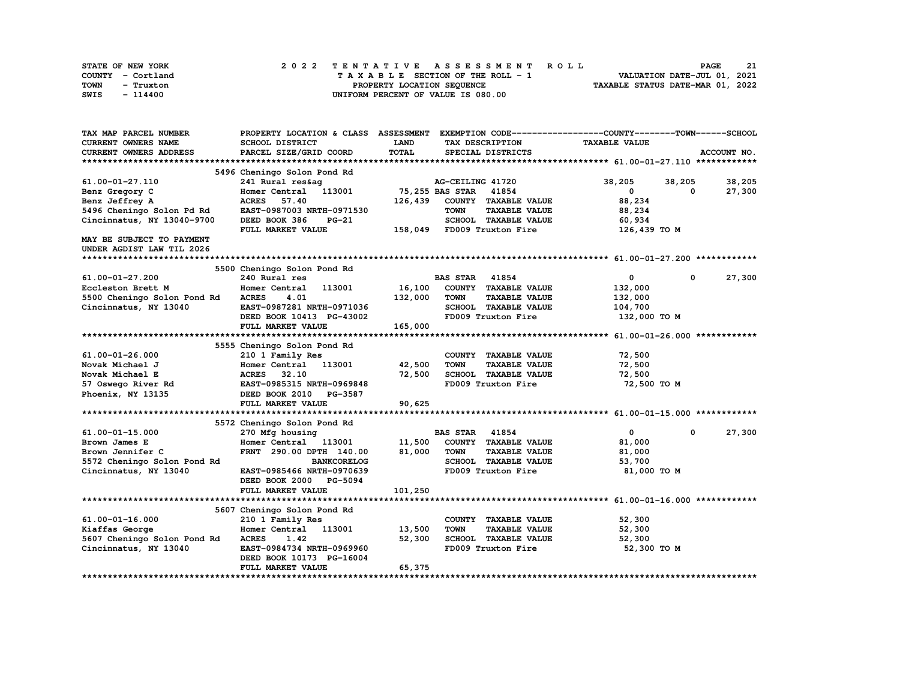| STATE OF NEW YORK | 2022 TENTATIVE ASSESSMENT ROLL     | 21<br><b>PAGE</b>                |
|-------------------|------------------------------------|----------------------------------|
| COUNTY - Cortland | TAXABLE SECTION OF THE ROLL - 1    | VALUATION DATE-JUL 01, 2021      |
| TOWN<br>- Truxton | PROPERTY LOCATION SEQUENCE         | TAXABLE STATUS DATE-MAR 01, 2022 |
| SWIS<br>- 114400  | UNIFORM PERCENT OF VALUE IS 080.00 |                                  |

| <b>CURRENT OWNERS NAME</b><br>SCHOOL DISTRICT<br>LAND<br>TAX DESCRIPTION<br><b>TAXABLE VALUE</b><br>TOTAL<br>CURRENT OWNERS ADDRESS<br>PARCEL SIZE/GRID COORD<br>SPECIAL DISTRICTS<br>ACCOUNT NO.<br>5496 Cheningo Solon Pond Rd<br>38,205<br>38,205<br>61.00-01-27.110<br>241 Rural res&ag<br>AG-CEILING 41720<br>38,205<br>75,255 BAS STAR 41854<br>Homer Central 113001<br>$\mathbf{0}$<br>27,300<br>Benz Gregory C<br>$^{\circ}$<br><b>ACRES</b> 57.40<br>126,439 COUNTY TAXABLE VALUE<br>88,234<br>Benz Jeffrey A<br>5496 Cheningo Solon Pd Rd<br>EAST-0987003 NRTH-0971530<br><b>TOWN</b><br><b>TAXABLE VALUE</b><br>88,234<br>SCHOOL TAXABLE VALUE<br>Cincinnatus, NY 13040-9700<br>DEED BOOK 386<br>60,934<br>$PG-21$<br>158,049 FD009 Truxton Fire<br>126,439 TO M<br>FULL MARKET VALUE<br>MAY BE SUBJECT TO PAYMENT<br>UNDER AGDIST LAW TIL 2026<br>5500 Cheningo Solon Pond Rd<br><b>BAS STAR 41854</b><br>$\bullet$<br>27,300<br>61.00-01-27.200<br>240 Rural res<br>$\mathbf 0$<br>113001<br>16,100<br>COUNTY TAXABLE VALUE<br>Eccleston Brett M<br>Homer Central<br>132,000<br>132,000<br>5500 Cheningo Solon Pond Rd<br><b>ACRES</b><br>4.01<br>TOWN<br><b>TAXABLE VALUE</b><br>132,000<br>SCHOOL TAXABLE VALUE<br>Cincinnatus, NY 13040<br>EAST-0987281 NRTH-0971036<br>104,700<br>FD009 Truxton Fire<br>132,000 TO M<br>DEED BOOK 10413 PG-43002<br>FULL MARKET VALUE<br>165,000<br>5555 Cheningo Solon Pond Rd<br>61.00-01-26.000<br>210 1 Family Res<br>72,500<br>COUNTY TAXABLE VALUE<br>Homer Central 113001<br>42,500<br>72,500<br>Novak Michael J<br><b>TOWN</b><br><b>TAXABLE VALUE</b><br>32.10<br>72,500<br>SCHOOL TAXABLE VALUE<br>Novak Michael E<br><b>ACRES</b><br>72,500<br>EAST-0985315 NRTH-0969848<br>72,500 TO M<br>57 Oswego River Rd<br>FD009 Truxton Fire<br>Phoenix, NY 13135<br>DEED BOOK 2010 PG-3587<br>FULL MARKET VALUE<br>90,625<br>5572 Cheningo Solon Pond Rd<br>$61.00 - 01 - 15.000$<br><b>BAS STAR</b><br>41854<br>$\mathbf{0}$<br>$\mathbf 0$<br>27,300<br>270 Mfg housing<br>11,500<br>COUNTY TAXABLE VALUE<br>Brown James E<br>Homer Central 113001<br>81,000<br>81,000<br>FRNT 290.00 DPTH 140.00<br><b>TOWN</b><br>Brown Jennifer C<br><b>TAXABLE VALUE</b><br>81,000<br>SCHOOL TAXABLE VALUE<br>5572 Cheningo Solon Pond Rd<br><b>BANKCORELOG</b><br>53,700<br>FD009 Truxton Fire<br>Cincinnatus, NY 13040<br>EAST-0985466 NRTH-0970639<br>81,000 TO M<br>DEED BOOK 2000 PG-5094<br>101,250<br>FULL MARKET VALUE<br>5607 Cheningo Solon Pond Rd<br>61.00-01-16.000<br>210 1 Family Res<br>COUNTY TAXABLE VALUE<br>52,300<br>13,500<br>Kiaffas George<br>Homer Central 113001<br><b>TOWN</b><br><b>TAXABLE VALUE</b><br>52,300<br>SCHOOL TAXABLE VALUE<br>5607 Cheningo Solon Pond Rd<br>52,300<br>52,300<br><b>ACRES</b><br>1.42<br>EAST-0984734 NRTH-0969960<br>FD009 Truxton Fire<br>52,300 TO M<br>Cincinnatus, NY 13040<br>DEED BOOK 10173 PG-16004<br>65,375<br>FULL MARKET VALUE | TAX MAP PARCEL NUMBER | PROPERTY LOCATION & CLASS ASSESSMENT EXEMPTION CODE----------------COUNTY-------TOWN------SCHOOL |  |  |
|------------------------------------------------------------------------------------------------------------------------------------------------------------------------------------------------------------------------------------------------------------------------------------------------------------------------------------------------------------------------------------------------------------------------------------------------------------------------------------------------------------------------------------------------------------------------------------------------------------------------------------------------------------------------------------------------------------------------------------------------------------------------------------------------------------------------------------------------------------------------------------------------------------------------------------------------------------------------------------------------------------------------------------------------------------------------------------------------------------------------------------------------------------------------------------------------------------------------------------------------------------------------------------------------------------------------------------------------------------------------------------------------------------------------------------------------------------------------------------------------------------------------------------------------------------------------------------------------------------------------------------------------------------------------------------------------------------------------------------------------------------------------------------------------------------------------------------------------------------------------------------------------------------------------------------------------------------------------------------------------------------------------------------------------------------------------------------------------------------------------------------------------------------------------------------------------------------------------------------------------------------------------------------------------------------------------------------------------------------------------------------------------------------------------------------------------------------------------------------------------------------------------------------------------------------------------------------------------------------------------------------------------------------------------------------------------------------------------------------------------------------------------------------------------------------------------------------------------------------------------------------------------------------------------------------------------|-----------------------|--------------------------------------------------------------------------------------------------|--|--|
|                                                                                                                                                                                                                                                                                                                                                                                                                                                                                                                                                                                                                                                                                                                                                                                                                                                                                                                                                                                                                                                                                                                                                                                                                                                                                                                                                                                                                                                                                                                                                                                                                                                                                                                                                                                                                                                                                                                                                                                                                                                                                                                                                                                                                                                                                                                                                                                                                                                                                                                                                                                                                                                                                                                                                                                                                                                                                                                                                |                       |                                                                                                  |  |  |
|                                                                                                                                                                                                                                                                                                                                                                                                                                                                                                                                                                                                                                                                                                                                                                                                                                                                                                                                                                                                                                                                                                                                                                                                                                                                                                                                                                                                                                                                                                                                                                                                                                                                                                                                                                                                                                                                                                                                                                                                                                                                                                                                                                                                                                                                                                                                                                                                                                                                                                                                                                                                                                                                                                                                                                                                                                                                                                                                                |                       |                                                                                                  |  |  |
|                                                                                                                                                                                                                                                                                                                                                                                                                                                                                                                                                                                                                                                                                                                                                                                                                                                                                                                                                                                                                                                                                                                                                                                                                                                                                                                                                                                                                                                                                                                                                                                                                                                                                                                                                                                                                                                                                                                                                                                                                                                                                                                                                                                                                                                                                                                                                                                                                                                                                                                                                                                                                                                                                                                                                                                                                                                                                                                                                |                       |                                                                                                  |  |  |
|                                                                                                                                                                                                                                                                                                                                                                                                                                                                                                                                                                                                                                                                                                                                                                                                                                                                                                                                                                                                                                                                                                                                                                                                                                                                                                                                                                                                                                                                                                                                                                                                                                                                                                                                                                                                                                                                                                                                                                                                                                                                                                                                                                                                                                                                                                                                                                                                                                                                                                                                                                                                                                                                                                                                                                                                                                                                                                                                                |                       |                                                                                                  |  |  |
|                                                                                                                                                                                                                                                                                                                                                                                                                                                                                                                                                                                                                                                                                                                                                                                                                                                                                                                                                                                                                                                                                                                                                                                                                                                                                                                                                                                                                                                                                                                                                                                                                                                                                                                                                                                                                                                                                                                                                                                                                                                                                                                                                                                                                                                                                                                                                                                                                                                                                                                                                                                                                                                                                                                                                                                                                                                                                                                                                |                       |                                                                                                  |  |  |
|                                                                                                                                                                                                                                                                                                                                                                                                                                                                                                                                                                                                                                                                                                                                                                                                                                                                                                                                                                                                                                                                                                                                                                                                                                                                                                                                                                                                                                                                                                                                                                                                                                                                                                                                                                                                                                                                                                                                                                                                                                                                                                                                                                                                                                                                                                                                                                                                                                                                                                                                                                                                                                                                                                                                                                                                                                                                                                                                                |                       |                                                                                                  |  |  |
|                                                                                                                                                                                                                                                                                                                                                                                                                                                                                                                                                                                                                                                                                                                                                                                                                                                                                                                                                                                                                                                                                                                                                                                                                                                                                                                                                                                                                                                                                                                                                                                                                                                                                                                                                                                                                                                                                                                                                                                                                                                                                                                                                                                                                                                                                                                                                                                                                                                                                                                                                                                                                                                                                                                                                                                                                                                                                                                                                |                       |                                                                                                  |  |  |
|                                                                                                                                                                                                                                                                                                                                                                                                                                                                                                                                                                                                                                                                                                                                                                                                                                                                                                                                                                                                                                                                                                                                                                                                                                                                                                                                                                                                                                                                                                                                                                                                                                                                                                                                                                                                                                                                                                                                                                                                                                                                                                                                                                                                                                                                                                                                                                                                                                                                                                                                                                                                                                                                                                                                                                                                                                                                                                                                                |                       |                                                                                                  |  |  |
|                                                                                                                                                                                                                                                                                                                                                                                                                                                                                                                                                                                                                                                                                                                                                                                                                                                                                                                                                                                                                                                                                                                                                                                                                                                                                                                                                                                                                                                                                                                                                                                                                                                                                                                                                                                                                                                                                                                                                                                                                                                                                                                                                                                                                                                                                                                                                                                                                                                                                                                                                                                                                                                                                                                                                                                                                                                                                                                                                |                       |                                                                                                  |  |  |
|                                                                                                                                                                                                                                                                                                                                                                                                                                                                                                                                                                                                                                                                                                                                                                                                                                                                                                                                                                                                                                                                                                                                                                                                                                                                                                                                                                                                                                                                                                                                                                                                                                                                                                                                                                                                                                                                                                                                                                                                                                                                                                                                                                                                                                                                                                                                                                                                                                                                                                                                                                                                                                                                                                                                                                                                                                                                                                                                                |                       |                                                                                                  |  |  |
|                                                                                                                                                                                                                                                                                                                                                                                                                                                                                                                                                                                                                                                                                                                                                                                                                                                                                                                                                                                                                                                                                                                                                                                                                                                                                                                                                                                                                                                                                                                                                                                                                                                                                                                                                                                                                                                                                                                                                                                                                                                                                                                                                                                                                                                                                                                                                                                                                                                                                                                                                                                                                                                                                                                                                                                                                                                                                                                                                |                       |                                                                                                  |  |  |
|                                                                                                                                                                                                                                                                                                                                                                                                                                                                                                                                                                                                                                                                                                                                                                                                                                                                                                                                                                                                                                                                                                                                                                                                                                                                                                                                                                                                                                                                                                                                                                                                                                                                                                                                                                                                                                                                                                                                                                                                                                                                                                                                                                                                                                                                                                                                                                                                                                                                                                                                                                                                                                                                                                                                                                                                                                                                                                                                                |                       |                                                                                                  |  |  |
|                                                                                                                                                                                                                                                                                                                                                                                                                                                                                                                                                                                                                                                                                                                                                                                                                                                                                                                                                                                                                                                                                                                                                                                                                                                                                                                                                                                                                                                                                                                                                                                                                                                                                                                                                                                                                                                                                                                                                                                                                                                                                                                                                                                                                                                                                                                                                                                                                                                                                                                                                                                                                                                                                                                                                                                                                                                                                                                                                |                       |                                                                                                  |  |  |
|                                                                                                                                                                                                                                                                                                                                                                                                                                                                                                                                                                                                                                                                                                                                                                                                                                                                                                                                                                                                                                                                                                                                                                                                                                                                                                                                                                                                                                                                                                                                                                                                                                                                                                                                                                                                                                                                                                                                                                                                                                                                                                                                                                                                                                                                                                                                                                                                                                                                                                                                                                                                                                                                                                                                                                                                                                                                                                                                                |                       |                                                                                                  |  |  |
|                                                                                                                                                                                                                                                                                                                                                                                                                                                                                                                                                                                                                                                                                                                                                                                                                                                                                                                                                                                                                                                                                                                                                                                                                                                                                                                                                                                                                                                                                                                                                                                                                                                                                                                                                                                                                                                                                                                                                                                                                                                                                                                                                                                                                                                                                                                                                                                                                                                                                                                                                                                                                                                                                                                                                                                                                                                                                                                                                |                       |                                                                                                  |  |  |
|                                                                                                                                                                                                                                                                                                                                                                                                                                                                                                                                                                                                                                                                                                                                                                                                                                                                                                                                                                                                                                                                                                                                                                                                                                                                                                                                                                                                                                                                                                                                                                                                                                                                                                                                                                                                                                                                                                                                                                                                                                                                                                                                                                                                                                                                                                                                                                                                                                                                                                                                                                                                                                                                                                                                                                                                                                                                                                                                                |                       |                                                                                                  |  |  |
|                                                                                                                                                                                                                                                                                                                                                                                                                                                                                                                                                                                                                                                                                                                                                                                                                                                                                                                                                                                                                                                                                                                                                                                                                                                                                                                                                                                                                                                                                                                                                                                                                                                                                                                                                                                                                                                                                                                                                                                                                                                                                                                                                                                                                                                                                                                                                                                                                                                                                                                                                                                                                                                                                                                                                                                                                                                                                                                                                |                       |                                                                                                  |  |  |
|                                                                                                                                                                                                                                                                                                                                                                                                                                                                                                                                                                                                                                                                                                                                                                                                                                                                                                                                                                                                                                                                                                                                                                                                                                                                                                                                                                                                                                                                                                                                                                                                                                                                                                                                                                                                                                                                                                                                                                                                                                                                                                                                                                                                                                                                                                                                                                                                                                                                                                                                                                                                                                                                                                                                                                                                                                                                                                                                                |                       |                                                                                                  |  |  |
|                                                                                                                                                                                                                                                                                                                                                                                                                                                                                                                                                                                                                                                                                                                                                                                                                                                                                                                                                                                                                                                                                                                                                                                                                                                                                                                                                                                                                                                                                                                                                                                                                                                                                                                                                                                                                                                                                                                                                                                                                                                                                                                                                                                                                                                                                                                                                                                                                                                                                                                                                                                                                                                                                                                                                                                                                                                                                                                                                |                       |                                                                                                  |  |  |
|                                                                                                                                                                                                                                                                                                                                                                                                                                                                                                                                                                                                                                                                                                                                                                                                                                                                                                                                                                                                                                                                                                                                                                                                                                                                                                                                                                                                                                                                                                                                                                                                                                                                                                                                                                                                                                                                                                                                                                                                                                                                                                                                                                                                                                                                                                                                                                                                                                                                                                                                                                                                                                                                                                                                                                                                                                                                                                                                                |                       |                                                                                                  |  |  |
|                                                                                                                                                                                                                                                                                                                                                                                                                                                                                                                                                                                                                                                                                                                                                                                                                                                                                                                                                                                                                                                                                                                                                                                                                                                                                                                                                                                                                                                                                                                                                                                                                                                                                                                                                                                                                                                                                                                                                                                                                                                                                                                                                                                                                                                                                                                                                                                                                                                                                                                                                                                                                                                                                                                                                                                                                                                                                                                                                |                       |                                                                                                  |  |  |
|                                                                                                                                                                                                                                                                                                                                                                                                                                                                                                                                                                                                                                                                                                                                                                                                                                                                                                                                                                                                                                                                                                                                                                                                                                                                                                                                                                                                                                                                                                                                                                                                                                                                                                                                                                                                                                                                                                                                                                                                                                                                                                                                                                                                                                                                                                                                                                                                                                                                                                                                                                                                                                                                                                                                                                                                                                                                                                                                                |                       |                                                                                                  |  |  |
|                                                                                                                                                                                                                                                                                                                                                                                                                                                                                                                                                                                                                                                                                                                                                                                                                                                                                                                                                                                                                                                                                                                                                                                                                                                                                                                                                                                                                                                                                                                                                                                                                                                                                                                                                                                                                                                                                                                                                                                                                                                                                                                                                                                                                                                                                                                                                                                                                                                                                                                                                                                                                                                                                                                                                                                                                                                                                                                                                |                       |                                                                                                  |  |  |
|                                                                                                                                                                                                                                                                                                                                                                                                                                                                                                                                                                                                                                                                                                                                                                                                                                                                                                                                                                                                                                                                                                                                                                                                                                                                                                                                                                                                                                                                                                                                                                                                                                                                                                                                                                                                                                                                                                                                                                                                                                                                                                                                                                                                                                                                                                                                                                                                                                                                                                                                                                                                                                                                                                                                                                                                                                                                                                                                                |                       |                                                                                                  |  |  |
|                                                                                                                                                                                                                                                                                                                                                                                                                                                                                                                                                                                                                                                                                                                                                                                                                                                                                                                                                                                                                                                                                                                                                                                                                                                                                                                                                                                                                                                                                                                                                                                                                                                                                                                                                                                                                                                                                                                                                                                                                                                                                                                                                                                                                                                                                                                                                                                                                                                                                                                                                                                                                                                                                                                                                                                                                                                                                                                                                |                       |                                                                                                  |  |  |
|                                                                                                                                                                                                                                                                                                                                                                                                                                                                                                                                                                                                                                                                                                                                                                                                                                                                                                                                                                                                                                                                                                                                                                                                                                                                                                                                                                                                                                                                                                                                                                                                                                                                                                                                                                                                                                                                                                                                                                                                                                                                                                                                                                                                                                                                                                                                                                                                                                                                                                                                                                                                                                                                                                                                                                                                                                                                                                                                                |                       |                                                                                                  |  |  |
|                                                                                                                                                                                                                                                                                                                                                                                                                                                                                                                                                                                                                                                                                                                                                                                                                                                                                                                                                                                                                                                                                                                                                                                                                                                                                                                                                                                                                                                                                                                                                                                                                                                                                                                                                                                                                                                                                                                                                                                                                                                                                                                                                                                                                                                                                                                                                                                                                                                                                                                                                                                                                                                                                                                                                                                                                                                                                                                                                |                       |                                                                                                  |  |  |
|                                                                                                                                                                                                                                                                                                                                                                                                                                                                                                                                                                                                                                                                                                                                                                                                                                                                                                                                                                                                                                                                                                                                                                                                                                                                                                                                                                                                                                                                                                                                                                                                                                                                                                                                                                                                                                                                                                                                                                                                                                                                                                                                                                                                                                                                                                                                                                                                                                                                                                                                                                                                                                                                                                                                                                                                                                                                                                                                                |                       |                                                                                                  |  |  |
|                                                                                                                                                                                                                                                                                                                                                                                                                                                                                                                                                                                                                                                                                                                                                                                                                                                                                                                                                                                                                                                                                                                                                                                                                                                                                                                                                                                                                                                                                                                                                                                                                                                                                                                                                                                                                                                                                                                                                                                                                                                                                                                                                                                                                                                                                                                                                                                                                                                                                                                                                                                                                                                                                                                                                                                                                                                                                                                                                |                       |                                                                                                  |  |  |
|                                                                                                                                                                                                                                                                                                                                                                                                                                                                                                                                                                                                                                                                                                                                                                                                                                                                                                                                                                                                                                                                                                                                                                                                                                                                                                                                                                                                                                                                                                                                                                                                                                                                                                                                                                                                                                                                                                                                                                                                                                                                                                                                                                                                                                                                                                                                                                                                                                                                                                                                                                                                                                                                                                                                                                                                                                                                                                                                                |                       |                                                                                                  |  |  |
|                                                                                                                                                                                                                                                                                                                                                                                                                                                                                                                                                                                                                                                                                                                                                                                                                                                                                                                                                                                                                                                                                                                                                                                                                                                                                                                                                                                                                                                                                                                                                                                                                                                                                                                                                                                                                                                                                                                                                                                                                                                                                                                                                                                                                                                                                                                                                                                                                                                                                                                                                                                                                                                                                                                                                                                                                                                                                                                                                |                       |                                                                                                  |  |  |
|                                                                                                                                                                                                                                                                                                                                                                                                                                                                                                                                                                                                                                                                                                                                                                                                                                                                                                                                                                                                                                                                                                                                                                                                                                                                                                                                                                                                                                                                                                                                                                                                                                                                                                                                                                                                                                                                                                                                                                                                                                                                                                                                                                                                                                                                                                                                                                                                                                                                                                                                                                                                                                                                                                                                                                                                                                                                                                                                                |                       |                                                                                                  |  |  |
|                                                                                                                                                                                                                                                                                                                                                                                                                                                                                                                                                                                                                                                                                                                                                                                                                                                                                                                                                                                                                                                                                                                                                                                                                                                                                                                                                                                                                                                                                                                                                                                                                                                                                                                                                                                                                                                                                                                                                                                                                                                                                                                                                                                                                                                                                                                                                                                                                                                                                                                                                                                                                                                                                                                                                                                                                                                                                                                                                |                       |                                                                                                  |  |  |
|                                                                                                                                                                                                                                                                                                                                                                                                                                                                                                                                                                                                                                                                                                                                                                                                                                                                                                                                                                                                                                                                                                                                                                                                                                                                                                                                                                                                                                                                                                                                                                                                                                                                                                                                                                                                                                                                                                                                                                                                                                                                                                                                                                                                                                                                                                                                                                                                                                                                                                                                                                                                                                                                                                                                                                                                                                                                                                                                                |                       |                                                                                                  |  |  |
|                                                                                                                                                                                                                                                                                                                                                                                                                                                                                                                                                                                                                                                                                                                                                                                                                                                                                                                                                                                                                                                                                                                                                                                                                                                                                                                                                                                                                                                                                                                                                                                                                                                                                                                                                                                                                                                                                                                                                                                                                                                                                                                                                                                                                                                                                                                                                                                                                                                                                                                                                                                                                                                                                                                                                                                                                                                                                                                                                |                       |                                                                                                  |  |  |
|                                                                                                                                                                                                                                                                                                                                                                                                                                                                                                                                                                                                                                                                                                                                                                                                                                                                                                                                                                                                                                                                                                                                                                                                                                                                                                                                                                                                                                                                                                                                                                                                                                                                                                                                                                                                                                                                                                                                                                                                                                                                                                                                                                                                                                                                                                                                                                                                                                                                                                                                                                                                                                                                                                                                                                                                                                                                                                                                                |                       |                                                                                                  |  |  |
|                                                                                                                                                                                                                                                                                                                                                                                                                                                                                                                                                                                                                                                                                                                                                                                                                                                                                                                                                                                                                                                                                                                                                                                                                                                                                                                                                                                                                                                                                                                                                                                                                                                                                                                                                                                                                                                                                                                                                                                                                                                                                                                                                                                                                                                                                                                                                                                                                                                                                                                                                                                                                                                                                                                                                                                                                                                                                                                                                |                       |                                                                                                  |  |  |
|                                                                                                                                                                                                                                                                                                                                                                                                                                                                                                                                                                                                                                                                                                                                                                                                                                                                                                                                                                                                                                                                                                                                                                                                                                                                                                                                                                                                                                                                                                                                                                                                                                                                                                                                                                                                                                                                                                                                                                                                                                                                                                                                                                                                                                                                                                                                                                                                                                                                                                                                                                                                                                                                                                                                                                                                                                                                                                                                                |                       |                                                                                                  |  |  |
|                                                                                                                                                                                                                                                                                                                                                                                                                                                                                                                                                                                                                                                                                                                                                                                                                                                                                                                                                                                                                                                                                                                                                                                                                                                                                                                                                                                                                                                                                                                                                                                                                                                                                                                                                                                                                                                                                                                                                                                                                                                                                                                                                                                                                                                                                                                                                                                                                                                                                                                                                                                                                                                                                                                                                                                                                                                                                                                                                |                       |                                                                                                  |  |  |
|                                                                                                                                                                                                                                                                                                                                                                                                                                                                                                                                                                                                                                                                                                                                                                                                                                                                                                                                                                                                                                                                                                                                                                                                                                                                                                                                                                                                                                                                                                                                                                                                                                                                                                                                                                                                                                                                                                                                                                                                                                                                                                                                                                                                                                                                                                                                                                                                                                                                                                                                                                                                                                                                                                                                                                                                                                                                                                                                                |                       |                                                                                                  |  |  |
|                                                                                                                                                                                                                                                                                                                                                                                                                                                                                                                                                                                                                                                                                                                                                                                                                                                                                                                                                                                                                                                                                                                                                                                                                                                                                                                                                                                                                                                                                                                                                                                                                                                                                                                                                                                                                                                                                                                                                                                                                                                                                                                                                                                                                                                                                                                                                                                                                                                                                                                                                                                                                                                                                                                                                                                                                                                                                                                                                |                       |                                                                                                  |  |  |
|                                                                                                                                                                                                                                                                                                                                                                                                                                                                                                                                                                                                                                                                                                                                                                                                                                                                                                                                                                                                                                                                                                                                                                                                                                                                                                                                                                                                                                                                                                                                                                                                                                                                                                                                                                                                                                                                                                                                                                                                                                                                                                                                                                                                                                                                                                                                                                                                                                                                                                                                                                                                                                                                                                                                                                                                                                                                                                                                                |                       |                                                                                                  |  |  |
|                                                                                                                                                                                                                                                                                                                                                                                                                                                                                                                                                                                                                                                                                                                                                                                                                                                                                                                                                                                                                                                                                                                                                                                                                                                                                                                                                                                                                                                                                                                                                                                                                                                                                                                                                                                                                                                                                                                                                                                                                                                                                                                                                                                                                                                                                                                                                                                                                                                                                                                                                                                                                                                                                                                                                                                                                                                                                                                                                |                       |                                                                                                  |  |  |
|                                                                                                                                                                                                                                                                                                                                                                                                                                                                                                                                                                                                                                                                                                                                                                                                                                                                                                                                                                                                                                                                                                                                                                                                                                                                                                                                                                                                                                                                                                                                                                                                                                                                                                                                                                                                                                                                                                                                                                                                                                                                                                                                                                                                                                                                                                                                                                                                                                                                                                                                                                                                                                                                                                                                                                                                                                                                                                                                                |                       |                                                                                                  |  |  |
|                                                                                                                                                                                                                                                                                                                                                                                                                                                                                                                                                                                                                                                                                                                                                                                                                                                                                                                                                                                                                                                                                                                                                                                                                                                                                                                                                                                                                                                                                                                                                                                                                                                                                                                                                                                                                                                                                                                                                                                                                                                                                                                                                                                                                                                                                                                                                                                                                                                                                                                                                                                                                                                                                                                                                                                                                                                                                                                                                |                       |                                                                                                  |  |  |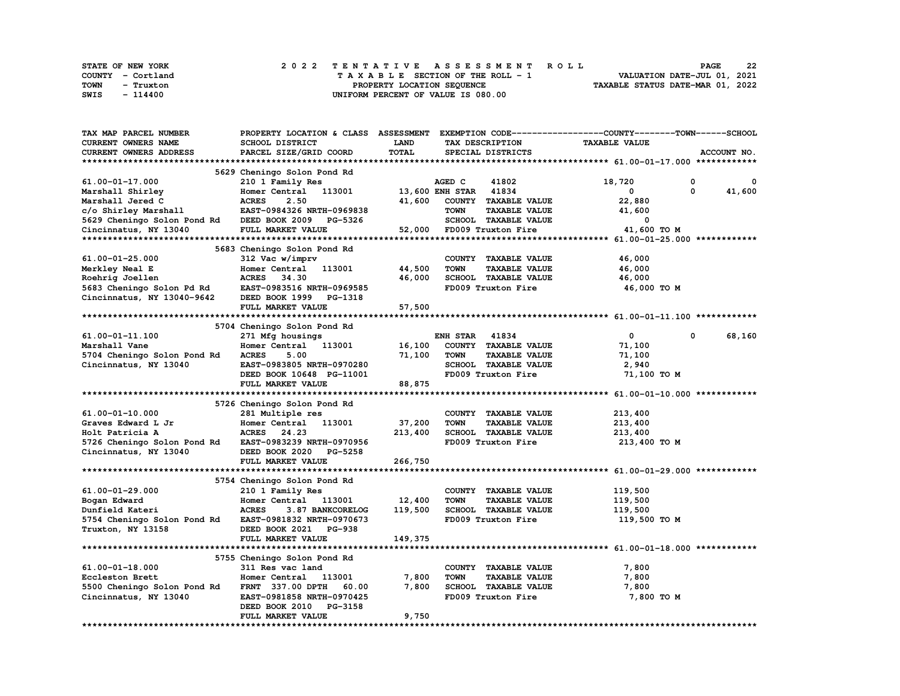| STATE OF NEW YORK | 2022 TENTATIVE ASSESSMENT ROLL          | 22<br><b>PAGE</b>                |
|-------------------|-----------------------------------------|----------------------------------|
| COUNTY - Cortland | $T A X A B L E$ SECTION OF THE ROLL - 1 | VALUATION DATE-JUL 01, 2021      |
| TOWN<br>- Truxton | PROPERTY LOCATION SEQUENCE              | TAXABLE STATUS DATE-MAR 01, 2022 |
| SWIS<br>- 114400  | UNIFORM PERCENT OF VALUE IS 080.00      |                                  |

| TAX MAP PARCEL NUMBER                                                                                  | PROPERTY LOCATION & CLASS ASSESSMENT EXEMPTION CODE----------------COUNTY-------TOWN------SCHOOL |              |                       |                           |                      |              |             |
|--------------------------------------------------------------------------------------------------------|--------------------------------------------------------------------------------------------------|--------------|-----------------------|---------------------------|----------------------|--------------|-------------|
| CURRENT OWNERS NAME                                                                                    | SCHOOL DISTRICT                                                                                  | <b>LAND</b>  | TAX DESCRIPTION       |                           | <b>TAXABLE VALUE</b> |              |             |
| CURRENT OWNERS ADDRESS                                                                                 | PARCEL SIZE/GRID COORD                                                                           | <b>TOTAL</b> |                       | SPECIAL DISTRICTS         |                      |              | ACCOUNT NO. |
|                                                                                                        |                                                                                                  |              |                       |                           |                      |              |             |
|                                                                                                        | 5629 Cheningo Solon Pond Rd                                                                      |              |                       |                           |                      |              |             |
| $61.00 - 01 - 17.000$                                                                                  | 210 1 Family Res                                                                                 |              | AGED C                | 41802                     | 18,720               | 0            | 0           |
| Marshall Shirley                                                                                       | Homer Central 113001                                                                             |              | 13,600 ENH STAR 41834 |                           | 0                    | $\mathbf{0}$ | 41,600      |
| Marshall Jered C                                                                                       | 2.50<br><b>ACRES</b>                                                                             | 41,600       |                       | COUNTY TAXABLE VALUE      | 22,880               |              |             |
| c/o Shirley Marshall                                                                                   | <b>EAST-0984326 NRTH-0969838</b>                                                                 |              | <b>TOWN</b>           | <b>TAXABLE VALUE</b>      | 41,600               |              |             |
| 5629 Cheningo Solon Pond Rd DEED BOOK 2009 PG-5326                                                     |                                                                                                  |              |                       | SCHOOL TAXABLE VALUE      | 0                    |              |             |
| Cincinnatus, NY 13040                                                                                  | <b>FULL MARKET VALUE</b>                                                                         |              |                       | 52,000 FD009 Truxton Fire | 41,600 TO M          |              |             |
|                                                                                                        |                                                                                                  |              |                       |                           |                      |              |             |
|                                                                                                        | 5683 Cheningo Solon Pond Rd                                                                      |              |                       |                           |                      |              |             |
| $61.00 - 01 - 25.000$                                                                                  | 312 Vac w/imprv                                                                                  |              |                       | COUNTY TAXABLE VALUE      | 46,000               |              |             |
| Merkley Neal E                                                                                         | Homer Central 113001                                                                             | 44,500       | <b>TOWN</b>           | <b>TAXABLE VALUE</b>      | 46,000               |              |             |
|                                                                                                        |                                                                                                  | 46,000       |                       | SCHOOL TAXABLE VALUE      | 46,000               |              |             |
| Roehrig Joellen<br>5683 Cheningo Solon Pd Rd<br>5683 Cheningo Solon Pd Rd<br>EAST-0983516 NRTH-0969585 |                                                                                                  |              |                       | FD009 Truxton Fire        | 46,000 TO M          |              |             |
| Cincinnatus, NY 13040-9642                                                                             | DEED BOOK 1999 PG-1318                                                                           |              |                       |                           |                      |              |             |
|                                                                                                        | FULL MARKET VALUE                                                                                | 57,500       |                       |                           |                      |              |             |
|                                                                                                        |                                                                                                  |              |                       |                           |                      |              |             |
|                                                                                                        | 5704 Cheningo Solon Pond Rd                                                                      |              |                       |                           |                      |              |             |
| 61.00-01-11.100                                                                                        | 271 Mfg housings                                                                                 |              | <b>ENH STAR 41834</b> |                           | $\mathbf{0}$         | $\Omega$     | 68,160      |
| Marshall Vane                                                                                          | Homer Central 113001                                                                             | 16,100       |                       | COUNTY TAXABLE VALUE      | 71,100               |              |             |
| 5704 Cheningo Solon Pond Rd                                                                            | <b>ACRES</b><br>5.00                                                                             | 71,100       | <b>TOWN</b>           | <b>TAXABLE VALUE</b>      | 71,100               |              |             |
| Cincinnatus, NY 13040                                                                                  | EAST-0983805 NRTH-0970280                                                                        |              |                       | SCHOOL TAXABLE VALUE      | 2,940                |              |             |
|                                                                                                        | DEED BOOK 10648 PG-11001                                                                         |              |                       | FD009 Truxton Fire        | 71,100 TO M          |              |             |
|                                                                                                        | FULL MARKET VALUE                                                                                | 88,875       |                       |                           |                      |              |             |
|                                                                                                        |                                                                                                  |              |                       |                           |                      |              |             |
|                                                                                                        | 5726 Cheningo Solon Pond Rd                                                                      |              |                       |                           |                      |              |             |
| 61.00-01-10.000                                                                                        | 281 Multiple res                                                                                 |              |                       | COUNTY TAXABLE VALUE      | 213,400              |              |             |
|                                                                                                        | Homer Central 113001                                                                             | 37,200       | <b>TOWN</b>           | <b>TAXABLE VALUE</b>      | 213,400              |              |             |
| Graves Edward L Jr<br>Holt Patricia A<br>Holt Patricia A                                               | ACRES 24.23                                                                                      | 213,400      |                       | SCHOOL TAXABLE VALUE      | 213,400              |              |             |
| 5726 Cheningo Solon Pond Rd EAST-0983239 NRTH-0970956                                                  |                                                                                                  |              |                       | FD009 Truxton Fire        | 213,400 TO M         |              |             |
| Cincinnatus, NY 13040                                                                                  | DEED BOOK 2020 PG-5258                                                                           |              |                       |                           |                      |              |             |
|                                                                                                        | FULL MARKET VALUE                                                                                |              |                       |                           |                      |              |             |
|                                                                                                        |                                                                                                  | 266,750      |                       |                           |                      |              |             |
|                                                                                                        |                                                                                                  |              |                       |                           |                      |              |             |
|                                                                                                        | 5754 Cheningo Solon Pond Rd                                                                      |              |                       |                           |                      |              |             |
| 61.00-01-29.000                                                                                        | 210 1 Family Res                                                                                 |              |                       | COUNTY TAXABLE VALUE      | 119,500              |              |             |
| Bogan Edward                                                                                           | Homer Central 113001                                                                             | 12,400       | <b>TOWN</b>           | <b>TAXABLE VALUE</b>      | 119,500              |              |             |
| Dunfield Kateri                                                                                        | <b>ACRES</b><br>3.87 BANKCORELOG                                                                 | 119,500      |                       | SCHOOL TAXABLE VALUE      | 119,500              |              |             |
| 5754 Cheningo Solon Pond Rd EAST-0981832 NRTH-0970673                                                  |                                                                                                  |              |                       | FD009 Truxton Fire        | 119,500 TO M         |              |             |
| Truxton, NY 13158                                                                                      | DEED BOOK 2021 PG-938                                                                            |              |                       |                           |                      |              |             |
|                                                                                                        | FULL MARKET VALUE                                                                                | 149,375      |                       |                           |                      |              |             |
|                                                                                                        |                                                                                                  |              |                       |                           |                      |              |             |
|                                                                                                        | 5755 Cheningo Solon Pond Rd                                                                      |              |                       |                           |                      |              |             |
| $61.00 - 01 - 18.000$                                                                                  | 311 Res vac land                                                                                 |              |                       | COUNTY TAXABLE VALUE      | 7,800                |              |             |
| Eccleston Brett                                                                                        | Homer Central 113001                                                                             | 7,800        | <b>TOWN</b>           | <b>TAXABLE VALUE</b>      | 7,800                |              |             |
| 5500 Cheningo Solon Pond Rd                                                                            | FRNT 337.00 DPTH<br>60.00                                                                        | 7,800        |                       | SCHOOL TAXABLE VALUE      | 7,800                |              |             |
| Cincinnatus, NY 13040                                                                                  | EAST-0981858 NRTH-0970425                                                                        |              |                       | FD009 Truxton Fire        | 7,800 TO M           |              |             |
|                                                                                                        | DEED BOOK 2010 PG-3158                                                                           |              |                       |                           |                      |              |             |
|                                                                                                        | FULL MARKET VALUE                                                                                | 9,750        |                       |                           |                      |              |             |
|                                                                                                        |                                                                                                  |              |                       |                           |                      |              |             |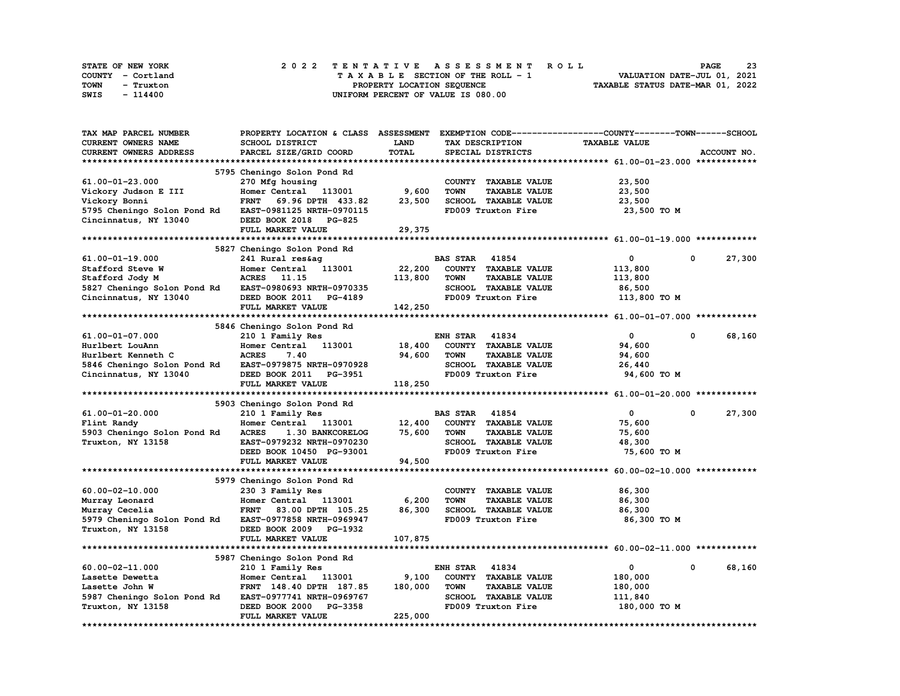| STATE OF NEW YORK | 2022 TENTATIVE ASSESSMENT ROLL     | 23<br><b>PAGE</b>                |
|-------------------|------------------------------------|----------------------------------|
| COUNTY - Cortland | TAXABLE SECTION OF THE ROLL - 1    | VALUATION DATE-JUL 01, 2021      |
| TOWN<br>- Truxton | PROPERTY LOCATION SEQUENCE         | TAXABLE STATUS DATE-MAR 01, 2022 |
| SWIS<br>- 114400  | UNIFORM PERCENT OF VALUE IS 080.00 |                                  |

| TAX MAP PARCEL NUMBER       | PROPERTY LOCATION & CLASS        |             | ASSESSMENT EXEMPTION CODE-----------------COUNTY-------TOWN-----SCHOOL |                      |                      |
|-----------------------------|----------------------------------|-------------|------------------------------------------------------------------------|----------------------|----------------------|
| <b>CURRENT OWNERS NAME</b>  | <b>SCHOOL DISTRICT</b>           | <b>LAND</b> | TAX DESCRIPTION                                                        | <b>TAXABLE VALUE</b> |                      |
| CURRENT OWNERS ADDRESS      | PARCEL SIZE/GRID COORD           | TOTAL       | SPECIAL DISTRICTS                                                      |                      | ACCOUNT NO.          |
|                             |                                  |             |                                                                        |                      |                      |
|                             | 5795 Cheningo Solon Pond Rd      |             |                                                                        |                      |                      |
| 61.00-01-23.000             | 270 Mfg housing                  |             | COUNTY TAXABLE VALUE                                                   | 23,500               |                      |
|                             |                                  | 9,600       | <b>TOWN</b>                                                            |                      |                      |
| Vickory Judson E III        | Homer Central 113001             |             | <b>TAXABLE VALUE</b>                                                   | 23,500               |                      |
| Vickory Bonni               | <b>FRNT</b><br>69.96 DPTH 433.82 | 23,500      | SCHOOL TAXABLE VALUE                                                   | 23,500               |                      |
| 5795 Cheningo Solon Pond Rd | EAST-0981125 NRTH-0970115        |             | FD009 Truxton Fire                                                     | 23,500 TO M          |                      |
| Cincinnatus, NY 13040       | DEED BOOK 2018 PG-825            |             |                                                                        |                      |                      |
|                             | FULL MARKET VALUE                | 29,375      |                                                                        |                      |                      |
|                             |                                  |             |                                                                        |                      |                      |
|                             | 5827 Cheningo Solon Pond Rd      |             |                                                                        |                      |                      |
| 61.00-01-19.000             | 241 Rural res&ag                 |             | <b>BAS STAR</b> 41854                                                  | 0                    | 27,300<br>0          |
| Stafford Steve W            | Homer Central 113001             | 22,200      | COUNTY TAXABLE VALUE                                                   | 113,800              |                      |
| Stafford Jody M             | ACRES 11.15                      | 113,800     | <b>TOWN</b><br><b>TAXABLE VALUE</b>                                    | 113,800              |                      |
| 5827 Cheningo Solon Pond Rd | EAST-0980693 NRTH-0970335        |             | SCHOOL TAXABLE VALUE                                                   | 86,500               |                      |
| Cincinnatus, NY 13040       | DEED BOOK 2011 PG-4189           |             | FD009 Truxton Fire                                                     | 113,800 TO M         |                      |
|                             | FULL MARKET VALUE                | 142,250     |                                                                        |                      |                      |
|                             |                                  |             |                                                                        |                      |                      |
|                             |                                  |             |                                                                        |                      |                      |
|                             | 5846 Cheningo Solon Pond Rd      |             |                                                                        |                      |                      |
| 61.00-01-07.000             | 210 1 Family Res                 |             | <b>ENH STAR 41834</b>                                                  | $\mathbf{0}$         | 68,160<br>0          |
| Hurlbert LouAnn             | Homer Central<br>113001          | 18,400      | COUNTY TAXABLE VALUE                                                   | 94,600               |                      |
| Hurlbert Kenneth C          | <b>ACRES</b><br>7.40             | 94,600      | <b>TOWN</b><br><b>TAXABLE VALUE</b>                                    | 94,600               |                      |
| 5846 Cheningo Solon Pond Rd | EAST-0979875 NRTH-0970928        |             | SCHOOL TAXABLE VALUE                                                   | 26,440               |                      |
| Cincinnatus, NY 13040       | DEED BOOK 2011 PG-3951           |             | FD009 Truxton Fire                                                     | 94,600 TO M          |                      |
|                             | FULL MARKET VALUE                | 118,250     |                                                                        |                      |                      |
|                             |                                  |             |                                                                        |                      |                      |
|                             | 5903 Cheningo Solon Pond Rd      |             |                                                                        |                      |                      |
| 61.00-01-20.000             | 210 1 Family Res                 |             | <b>BAS STAR 41854</b>                                                  | $\mathbf{0}$         | 27,300<br>$^{\circ}$ |
| Flint Randy                 | Homer Central 113001             | 12,400      | COUNTY TAXABLE VALUE                                                   | 75,600               |                      |
| 5903 Cheningo Solon Pond Rd | 1.30 BANKCORELOG<br><b>ACRES</b> | 75,600      | <b>TOWN</b><br><b>TAXABLE VALUE</b>                                    | 75,600               |                      |
| Truxton, NY 13158           | EAST-0979232 NRTH-0970230        |             | SCHOOL TAXABLE VALUE                                                   | 48,300               |                      |
|                             | DEED BOOK 10450 PG-93001         |             | FD009 Truxton Fire                                                     |                      |                      |
|                             |                                  |             |                                                                        | 75,600 TO M          |                      |
|                             | FULL MARKET VALUE                | 94,500      |                                                                        |                      |                      |
|                             |                                  |             |                                                                        |                      |                      |
|                             | 5979 Cheningo Solon Pond Rd      |             |                                                                        |                      |                      |
| 60.00-02-10.000             | 230 3 Family Res                 |             | COUNTY TAXABLE VALUE                                                   | 86,300               |                      |
| Murray Leonard              | Homer Central 113001             | 6,200       | <b>TOWN</b><br><b>TAXABLE VALUE</b>                                    | 86,300               |                      |
| Murray Cecelia              | FRNT 83.00 DPTH 105.25           | 86,300      | SCHOOL TAXABLE VALUE                                                   | 86,300               |                      |
| 5979 Cheningo Solon Pond Rd | EAST-0977858 NRTH-0969947        |             | FD009 Truxton Fire                                                     | 86,300 TO M          |                      |
| Truxton, NY 13158           | DEED BOOK 2009 PG-1932           |             |                                                                        |                      |                      |
|                             | FULL MARKET VALUE                | 107,875     |                                                                        |                      |                      |
|                             |                                  |             |                                                                        |                      |                      |
|                             | 5987 Cheningo Solon Pond Rd      |             |                                                                        |                      |                      |
| 60.00-02-11.000             | 210 1 Family Res                 |             | <b>ENH STAR</b><br>41834                                               | 0                    | $\Omega$<br>68,160   |
| Lasette Dewetta             | Homer Central 113001             | 9,100       | COUNTY TAXABLE VALUE                                                   | 180,000              |                      |
|                             |                                  |             |                                                                        |                      |                      |
| Lasette John W              | FRNT 148.40 DPTH 187.85          | 180,000     | <b>TOWN</b><br><b>TAXABLE VALUE</b>                                    | 180,000              |                      |
| 5987 Cheningo Solon Pond Rd | EAST-0977741 NRTH-0969767        |             | SCHOOL TAXABLE VALUE                                                   | 111,840              |                      |
| Truxton, NY 13158           | DEED BOOK 2000 PG-3358           |             | FD009 Truxton Fire                                                     | 180,000 TO M         |                      |
|                             | FULL MARKET VALUE                | 225,000     |                                                                        |                      |                      |
|                             |                                  |             |                                                                        |                      |                      |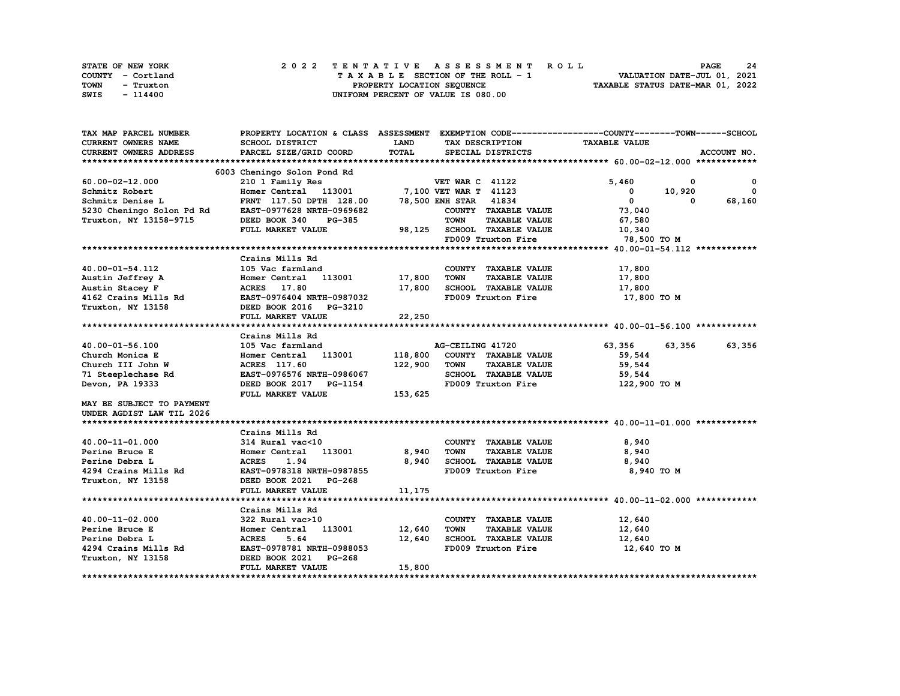| STATE OF NEW YORK | 2022 TENTATIVE ASSESSMENT ROLL     | 24<br><b>PAGE</b>                |
|-------------------|------------------------------------|----------------------------------|
| COUNTY - Cortland | TAXABLE SECTION OF THE ROLL - 1    | VALUATION DATE-JUL 01, 2021      |
| TOWN<br>- Truxton | PROPERTY LOCATION SEQUENCE         | TAXABLE STATUS DATE-MAR 01, 2022 |
| SWIS<br>- 114400  | UNIFORM PERCENT OF VALUE IS 080.00 |                                  |

| TAX MAP PARCEL NUMBER                                                                                                                                              | PROPERTY LOCATION & CLASS ASSESSMENT EXEMPTION CODE----------------COUNTY-------TOWN-----SCHOOL                 |             |                                                             |                      |                                         |
|--------------------------------------------------------------------------------------------------------------------------------------------------------------------|-----------------------------------------------------------------------------------------------------------------|-------------|-------------------------------------------------------------|----------------------|-----------------------------------------|
| CURRENT OWNERS NAME                                                                                                                                                | SCHOOL DISTRICT                                                                                                 | <b>LAND</b> | TAX DESCRIPTION                                             | <b>TAXABLE VALUE</b> |                                         |
| <b>CURRENT OWNERS ADDRESS</b>                                                                                                                                      | PARCEL SIZE/GRID COORD                                                                                          | TOTAL       | SPECIAL DISTRICTS                                           |                      | ACCOUNT NO.                             |
|                                                                                                                                                                    |                                                                                                                 |             |                                                             |                      |                                         |
|                                                                                                                                                                    | 6003 Cheningo Solon Pond Rd                                                                                     |             |                                                             |                      |                                         |
| $60.00 - 02 - 12.000$                                                                                                                                              |                                                                                                                 |             |                                                             | 5,460                | $\overline{\phantom{a}}$<br>$\mathbf 0$ |
|                                                                                                                                                                    | Cheningo Solon Pond Rd<br>210 1 Family Res<br>Homer Central 113001 7,100 VET WAR T 41123<br>200 VET WAR T 41123 |             |                                                             | $0 \t 10,920$        | $\mathbf{0}$                            |
|                                                                                                                                                                    | FRNT 117.50 DPTH 128.00 78,500 ENH STAR 41834                                                                   |             |                                                             | $\overline{0}$       | 68,160<br>$\Omega$                      |
| Schmitz Robert Homer Central 113001<br>Schmitz Denise L<br>5230 Cheningo Solon Pd Rd EAST-0977628 NRTH-0969682                                                     |                                                                                                                 |             | COUNTY TAXABLE VALUE 73,040                                 |                      |                                         |
| Truxton, NY 13158-9715                                                                                                                                             | DEED BOOK 340<br><b>PG-385</b>                                                                                  |             | <b>TOWN</b><br><b>TAXABLE VALUE</b>                         | 67,580               |                                         |
|                                                                                                                                                                    | FULL MARKET VALUE                                                                                               |             | 98,125 SCHOOL TAXABLE VALUE                                 | 10,340               |                                         |
|                                                                                                                                                                    |                                                                                                                 |             | FD009 Truxton Fire                                          | 78,500 то м          |                                         |
|                                                                                                                                                                    |                                                                                                                 |             |                                                             |                      |                                         |
|                                                                                                                                                                    | Crains Mills Rd                                                                                                 |             |                                                             |                      |                                         |
| 40.00-01-54.112                                                                                                                                                    | 105 Vac farmland                                                                                                |             | COUNTY TAXABLE VALUE                                        | 17,800               |                                         |
|                                                                                                                                                                    | Homer Central 113001 17,800                                                                                     |             | TOWN<br><b>TAXABLE VALUE</b>                                | 17,800               |                                         |
|                                                                                                                                                                    |                                                                                                                 | 17,800      | SCHOOL TAXABLE VALUE 17,800                                 |                      |                                         |
| Austin Jeffrey A Momer Central 113001<br>Austin Stacey F ACRES 17.80<br>4162 Crains Mills Rd EAST-0976404 NRTH-0987032<br>Truxton, NY 13158 DEED BOOK 2016 PG-3210 |                                                                                                                 |             | FD009 Truxton Fire                                          | 17,800 TO M          |                                         |
|                                                                                                                                                                    |                                                                                                                 |             |                                                             |                      |                                         |
|                                                                                                                                                                    | FULL MARKET VALUE                                                                                               | 22,250      |                                                             |                      |                                         |
|                                                                                                                                                                    |                                                                                                                 |             |                                                             |                      |                                         |
|                                                                                                                                                                    | Crains Mills Rd                                                                                                 |             |                                                             |                      |                                         |
| 40.00-01-56.100                                                                                                                                                    |                                                                                                                 |             |                                                             | 63,356               | 63,356<br>63,356                        |
| Church Monica E                                                                                                                                                    |                                                                                                                 |             |                                                             | 59,544               |                                         |
|                                                                                                                                                                    |                                                                                                                 | 122,900     | <b>TOWN</b><br><b>TAXABLE VALUE</b>                         | 59,544               |                                         |
|                                                                                                                                                                    | EAST-0976576 NRTH-0986067                                                                                       |             | SCHOOL TAXABLE VALUE                                        | 59,544               |                                         |
| Devon, PA 19333                                                                                                                                                    | DEED BOOK 2017 PG-1154                                                                                          |             | FD009 Truxton Fire                                          | 122,900 то м         |                                         |
|                                                                                                                                                                    | FULL MARKET VALUE                                                                                               | 153,625     |                                                             |                      |                                         |
| MAY BE SUBJECT TO PAYMENT                                                                                                                                          |                                                                                                                 |             |                                                             |                      |                                         |
| UNDER AGDIST LAW TIL 2026                                                                                                                                          |                                                                                                                 |             |                                                             |                      |                                         |
|                                                                                                                                                                    |                                                                                                                 |             |                                                             |                      |                                         |
|                                                                                                                                                                    | Crains Mills Rd                                                                                                 |             |                                                             |                      |                                         |
|                                                                                                                                                                    |                                                                                                                 |             | COUNTY TAXABLE VALUE                                        | 8,940                |                                         |
| 40.00-11-01.000                                                                                                                                                    | 314 Rural vac<10 $\qquad$ COUNTY<br>Homer Central 113001 $\qquad$ 8,940 TOWN<br>314 Rural vac<10                |             | <b>TAXABLE VALUE</b>                                        | 8,940                |                                         |
|                                                                                                                                                                    |                                                                                                                 |             | 8,940 SCHOOL TAXABLE VALUE                                  | 8,940                |                                         |
|                                                                                                                                                                    |                                                                                                                 |             | FD009 Truxton Fire                                          | 8,940 TO M           |                                         |
|                                                                                                                                                                    |                                                                                                                 |             |                                                             |                      |                                         |
|                                                                                                                                                                    |                                                                                                                 | 11,175      |                                                             |                      |                                         |
|                                                                                                                                                                    | FULL MARKET VALUE                                                                                               |             |                                                             |                      |                                         |
|                                                                                                                                                                    |                                                                                                                 |             |                                                             |                      |                                         |
|                                                                                                                                                                    | Crains Mills Rd                                                                                                 |             |                                                             |                      |                                         |
| 40.00-11-02.000<br>Perine Bruce E                                                                                                                                  | 322 Rural vac>10<br>Homer Central 113001 12,640                                                                 |             | COUNTY TAXABLE VALUE<br><b>TOWN</b><br><b>TAXABLE VALUE</b> | 12,640               |                                         |
|                                                                                                                                                                    |                                                                                                                 |             | SCHOOL TAXABLE VALUE 12,640                                 | 12,640               |                                         |
| Perine Debra L<br>4294 Crains Mills Rd                                                                                                                             | <b>ACRES</b><br>5.64<br>EAST-0978781 NRTH-0988053                                                               | 12,640      | FD009 Truxton Fire                                          | 12,640 TO M          |                                         |
|                                                                                                                                                                    |                                                                                                                 |             |                                                             |                      |                                         |
| Truxton, NY 13158                                                                                                                                                  | DEED BOOK 2021 PG-268                                                                                           |             |                                                             |                      |                                         |
|                                                                                                                                                                    | FULL MARKET VALUE                                                                                               | 15,800      |                                                             |                      |                                         |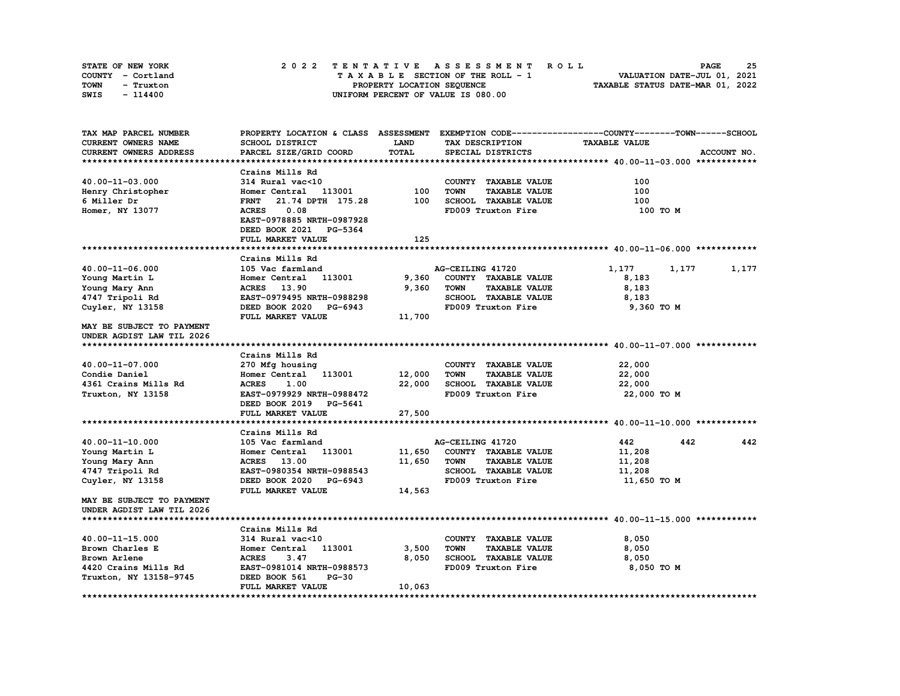| STATE OF NEW YORK | 2022 TENTATIVE ASSESSMENT ROLL     | 25<br><b>PAGE</b>                |
|-------------------|------------------------------------|----------------------------------|
| COUNTY - Cortland | TAXABLE SECTION OF THE ROLL - 1    | VALUATION DATE-JUL 01, 2021      |
| TOWN<br>- Truxton | PROPERTY LOCATION SEQUENCE         | TAXABLE STATUS DATE-MAR 01, 2022 |
| SWIS<br>- 114400  | UNIFORM PERCENT OF VALUE IS 080.00 |                                  |

| TAX MAP PARCEL NUMBER     |                                  |              |                                     | PROPERTY LOCATION & CLASS ASSESSMENT EXEMPTION CODE-----------------COUNTY-------TOWN------SCHOOL |
|---------------------------|----------------------------------|--------------|-------------------------------------|---------------------------------------------------------------------------------------------------|
| CURRENT OWNERS NAME       | <b>SCHOOL DISTRICT</b>           | LAND         | TAX DESCRIPTION                     | <b>TAXABLE VALUE</b>                                                                              |
| CURRENT OWNERS ADDRESS    | PARCEL SIZE/GRID COORD           | <b>TOTAL</b> | SPECIAL DISTRICTS                   | ACCOUNT NO.                                                                                       |
|                           |                                  |              |                                     |                                                                                                   |
|                           | Crains Mills Rd                  |              |                                     |                                                                                                   |
| 40.00-11-03.000           | 314 Rural vac<10                 |              | COUNTY TAXABLE VALUE                | 100                                                                                               |
| Henry Christopher         | Homer Central 113001             | 100          | <b>TOWN</b><br><b>TAXABLE VALUE</b> | 100                                                                                               |
| 6 Miller Dr               | 21.74 DPTH 175.28<br><b>FRNT</b> | 100          | SCHOOL TAXABLE VALUE                | 100                                                                                               |
| Homer, NY 13077           | 0.08<br><b>ACRES</b>             |              | FD009 Truxton Fire                  | 100 TO M                                                                                          |
|                           | EAST-0978885 NRTH-0987928        |              |                                     |                                                                                                   |
|                           | DEED BOOK 2021 PG-5364           |              |                                     |                                                                                                   |
|                           | FULL MARKET VALUE                | 125          |                                     |                                                                                                   |
|                           |                                  |              |                                     |                                                                                                   |
|                           | Crains Mills Rd                  |              |                                     |                                                                                                   |
| 40.00-11-06.000           | 105 Vac farmland                 |              | AG-CEILING 41720                    | 1,177<br>1,177<br>1,177                                                                           |
| Young Martin L            | Homer Central<br>113001          | 9,360        | COUNTY TAXABLE VALUE                | 8,183                                                                                             |
| Young Mary Ann            | <b>ACRES</b> 13.90               | 9,360        | <b>TOWN</b><br><b>TAXABLE VALUE</b> | 8,183                                                                                             |
| 4747 Tripoli Rd           | EAST-0979495 NRTH-0988298        |              | SCHOOL TAXABLE VALUE                | 8,183                                                                                             |
| Cuyler, NY 13158          | DEED BOOK 2020 PG-6943           |              | FD009 Truxton Fire                  | 9,360 TO M                                                                                        |
|                           | FULL MARKET VALUE                | 11,700       |                                     |                                                                                                   |
| MAY BE SUBJECT TO PAYMENT |                                  |              |                                     |                                                                                                   |
| UNDER AGDIST LAW TIL 2026 |                                  |              |                                     |                                                                                                   |
|                           |                                  |              |                                     |                                                                                                   |
|                           | Crains Mills Rd                  |              |                                     |                                                                                                   |
| 40.00-11-07.000           | 270 Mfg housing                  |              | COUNTY TAXABLE VALUE                | 22,000                                                                                            |
| Condie Daniel             | Homer Central 113001             | 12,000       | <b>TOWN</b><br><b>TAXABLE VALUE</b> | 22,000                                                                                            |
| 4361 Crains Mills Rd      | <b>ACRES</b><br>1.00             | 22,000       | SCHOOL TAXABLE VALUE                | 22,000                                                                                            |
| Truxton, NY 13158         | EAST-0979929 NRTH-0988472        |              | FD009 Truxton Fire                  | 22,000 TO M                                                                                       |
|                           | DEED BOOK 2019 PG-5641           |              |                                     |                                                                                                   |
|                           | FULL MARKET VALUE                | 27,500       |                                     |                                                                                                   |
|                           |                                  |              |                                     |                                                                                                   |
|                           | Crains Mills Rd                  |              |                                     |                                                                                                   |
| 40.00-11-10.000           | 105 Vac farmland                 |              | AG-CEILING 41720                    | 442<br>442<br>442                                                                                 |
| Young Martin L            | 113001<br>Homer Central          | 11,650       | COUNTY TAXABLE VALUE                | 11,208                                                                                            |
| Young Mary Ann            | ACRES 13.00                      | 11,650       | <b>TOWN</b><br><b>TAXABLE VALUE</b> | 11,208                                                                                            |
| 4747 Tripoli Rd           | EAST-0980354 NRTH-0988543        |              | SCHOOL TAXABLE VALUE                | 11,208                                                                                            |
| Cuyler, NY 13158          | DEED BOOK 2020 PG-6943           |              | FD009 Truxton Fire                  | 11,650 TO M                                                                                       |
|                           | FULL MARKET VALUE                | 14,563       |                                     |                                                                                                   |
| MAY BE SUBJECT TO PAYMENT |                                  |              |                                     |                                                                                                   |
| UNDER AGDIST LAW TIL 2026 |                                  |              |                                     |                                                                                                   |
|                           |                                  |              |                                     |                                                                                                   |
|                           | Crains Mills Rd                  |              |                                     |                                                                                                   |
| 40.00-11-15.000           | 314 Rural vac<10                 |              | COUNTY TAXABLE VALUE                | 8,050                                                                                             |
| Brown Charles E           | 113001<br>Homer Central          | 3,500        | <b>TAXABLE VALUE</b><br><b>TOWN</b> | 8,050                                                                                             |
| Brown Arlene              | <b>ACRES</b><br>3.47             | 8,050        | SCHOOL TAXABLE VALUE                | 8,050                                                                                             |
| 4420 Crains Mills Rd      | EAST-0981014 NRTH-0988573        |              | FD009 Truxton Fire                  | 8,050 TO M                                                                                        |
| Truxton, NY 13158-9745    | DEED BOOK 561<br>$PG-30$         |              |                                     |                                                                                                   |
|                           | FULL MARKET VALUE                | 10,063       |                                     |                                                                                                   |
|                           |                                  |              |                                     |                                                                                                   |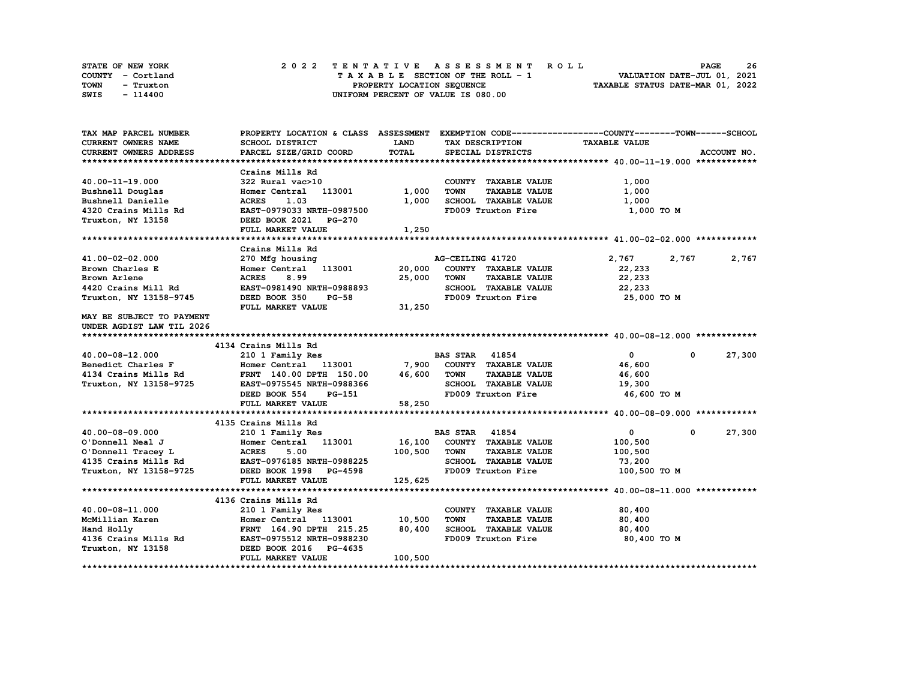| STATE OF NEW YORK | 2022 TENTATIVE ASSESSMENT ROLL     | 26<br><b>PAGE</b>                |
|-------------------|------------------------------------|----------------------------------|
| COUNTY - Cortland | TAXABLE SECTION OF THE ROLL - 1    | VALUATION DATE-JUL 01, 2021      |
| TOWN<br>- Truxton | PROPERTY LOCATION SEQUENCE         | TAXABLE STATUS DATE-MAR 01, 2022 |
| SWIS<br>- 114400  | UNIFORM PERCENT OF VALUE IS 080.00 |                                  |

| TAX MAP PARCEL NUMBER                                                                                                                                                                                               | PROPERTY LOCATION & CLASS ASSESSMENT EXEMPTION CODE----------------COUNTY-------TOWN-----SCHOOL                     |         |                       |                             |                                 |              |             |
|---------------------------------------------------------------------------------------------------------------------------------------------------------------------------------------------------------------------|---------------------------------------------------------------------------------------------------------------------|---------|-----------------------|-----------------------------|---------------------------------|--------------|-------------|
| CURRENT OWNERS NAME                                                                                                                                                                                                 | SCHOOL DISTRICT                                                                                                     | LAND    |                       | TAX DESCRIPTION             | <b>TAXABLE VALUE</b>            |              |             |
| <b>CURRENT OWNERS ADDRESS</b>                                                                                                                                                                                       | PARCEL SIZE/GRID COORD                                                                                              | TOTAL   |                       | SPECIAL DISTRICTS           |                                 |              | ACCOUNT NO. |
|                                                                                                                                                                                                                     |                                                                                                                     |         |                       |                             |                                 |              |             |
|                                                                                                                                                                                                                     | Crains Mills Rd                                                                                                     |         |                       |                             |                                 |              |             |
| 40.00-11-19.000                                                                                                                                                                                                     | 322 Rural vac>10<br>Homer Central 113001 1,00                                                                       |         |                       | COUNTY TAXABLE VALUE        | 1,000                           |              |             |
| Bushnell Douglas                                                                                                                                                                                                    |                                                                                                                     | 1,000   | <b>TOWN</b>           | <b>TAXABLE VALUE</b>        | 1,000                           |              |             |
| Bushnell Danielle                                                                                                                                                                                                   |                                                                                                                     | 1,000   |                       | SCHOOL TAXABLE VALUE        | 1,000                           |              |             |
| 4320 Crains Mills Rd                                                                                                                                                                                                | EAST-0979033 NRTH-0987500                                                                                           |         |                       | FD009 Truxton Fire          | 1,000 TO M                      |              |             |
| Truxton, NY 13158                                                                                                                                                                                                   | <b>ACRES</b> 1.03<br><b>EAST-0979033 NRTH-098750</b><br><b>DEED BOOK 2021 PG-270</b><br><b>CED BOOK 2021 PG-270</b> |         |                       |                             |                                 |              |             |
|                                                                                                                                                                                                                     | FULL MARKET VALUE                                                                                                   | 1,250   |                       |                             |                                 |              |             |
|                                                                                                                                                                                                                     |                                                                                                                     |         |                       |                             |                                 |              |             |
|                                                                                                                                                                                                                     | Crains Mills Rd                                                                                                     |         |                       |                             |                                 |              |             |
| 41.00-02-02.000                                                                                                                                                                                                     | 270 Mfg housing                                                                                                     |         | AG-CEILING 41720      |                             | 2,767                           | 2,767        | 2,767       |
| Brown Charles E                                                                                                                                                                                                     |                                                                                                                     |         |                       | COUNTY TAXABLE VALUE        | 22,233                          |              |             |
|                                                                                                                                                                                                                     | 8.99<br><b>ACRES</b>                                                                                                | 25,000  | <b>TOWN</b>           | <b>TAXABLE VALUE</b>        | 22,233                          |              |             |
|                                                                                                                                                                                                                     | EAST-0981490 NRTH-0988893                                                                                           |         |                       | SCHOOL TAXABLE VALUE        | 22,233                          |              |             |
| Brown Arlene<br>4420 Crains Mill Rd<br>Truxton, NY 13158-9745                                                                                                                                                       | DEED BOOK 350<br><b>PG-58</b>                                                                                       |         |                       | FD009 Truxton Fire          | 25,000 TO M                     |              |             |
|                                                                                                                                                                                                                     | FULL MARKET VALUE                                                                                                   | 31,250  |                       |                             |                                 |              |             |
| MAY BE SUBJECT TO PAYMENT                                                                                                                                                                                           |                                                                                                                     |         |                       |                             |                                 |              |             |
| UNDER AGDIST LAW TIL 2026                                                                                                                                                                                           |                                                                                                                     |         |                       |                             |                                 |              |             |
|                                                                                                                                                                                                                     |                                                                                                                     |         |                       |                             |                                 |              |             |
|                                                                                                                                                                                                                     | 4134 Crains Mills Rd                                                                                                |         |                       |                             |                                 |              |             |
| 40.00-08-12.000                                                                                                                                                                                                     | 210 1 Family Res                                                                                                    |         | <b>BAS STAR</b> 41854 |                             | $\mathbf{0}$                    | $\mathbf{0}$ | 27,300      |
|                                                                                                                                                                                                                     |                                                                                                                     |         |                       |                             | 46,600                          |              |             |
| Benedict Charles F                      Homer Central    113001             7,900   COUNTY  TAXABLE VALUE<br>4134 Crains Mills Rd              FRNT   140.00 DPTH   150.00         46,600    TOWN     TAXABLE VALUE |                                                                                                                     |         |                       |                             | 46,600                          |              |             |
| Truxton, NY 13158-9725 EAST-0975545 NRTH-0988366                                                                                                                                                                    |                                                                                                                     |         |                       |                             | SCHOOL TAXABLE VALUE 19,300     |              |             |
|                                                                                                                                                                                                                     | DEED BOOK 554<br>PG-151                                                                                             |         |                       |                             | FD009 Truxton Fire 46,600 TO M  |              |             |
|                                                                                                                                                                                                                     | FULL MARKET VALUE                                                                                                   | 58,250  |                       |                             |                                 |              |             |
|                                                                                                                                                                                                                     |                                                                                                                     |         |                       |                             |                                 |              |             |
|                                                                                                                                                                                                                     | 4135 Crains Mills Rd                                                                                                |         |                       |                             |                                 |              |             |
| 40.00-08-09.000                                                                                                                                                                                                     | 210 1 Family Res                                                                                                    |         | <b>BAS STAR</b> 41854 |                             | $\mathbf{0}$                    | $^{\circ}$   | 27,300      |
|                                                                                                                                                                                                                     | Homer Central 113001 16,100                                                                                         |         |                       | COUNTY TAXABLE VALUE        | 100,500                         |              |             |
|                                                                                                                                                                                                                     |                                                                                                                     | 100,500 | <b>TOWN</b>           | <b>TAXABLE VALUE</b>        | 100,500                         |              |             |
|                                                                                                                                                                                                                     |                                                                                                                     |         |                       | SCHOOL TAXABLE VALUE        | 73,200                          |              |             |
|                                                                                                                                                                                                                     |                                                                                                                     |         |                       |                             | FD009 Truxton Fire 100,500 TO M |              |             |
|                                                                                                                                                                                                                     | FULL MARKET VALUE                                                                                                   | 125,625 |                       |                             |                                 |              |             |
|                                                                                                                                                                                                                     |                                                                                                                     |         |                       |                             |                                 |              |             |
|                                                                                                                                                                                                                     | 4136 Crains Mills Rd                                                                                                |         |                       |                             |                                 |              |             |
| 40.00-08-11.000                                                                                                                                                                                                     | 210 1 Family Res                                                                                                    |         |                       | COUNTY TAXABLE VALUE        | 80,400                          |              |             |
| McMillian Karen                                                                                                                                                                                                     | Homer Central 113001 10,500                                                                                         |         | <b>TOWN</b>           | <b>TAXABLE VALUE</b>        | 80,400                          |              |             |
|                                                                                                                                                                                                                     |                                                                                                                     |         |                       | <b>SCHOOL TAXABLE VALUE</b> | 80,400                          |              |             |
|                                                                                                                                                                                                                     |                                                                                                                     |         |                       | FD009 Truxton Fire          | 80,400 TO M                     |              |             |
|                                                                                                                                                                                                                     |                                                                                                                     |         |                       |                             |                                 |              |             |
|                                                                                                                                                                                                                     | FULL MARKET VALUE                                                                                                   | 100,500 |                       |                             |                                 |              |             |
|                                                                                                                                                                                                                     |                                                                                                                     |         |                       |                             |                                 |              |             |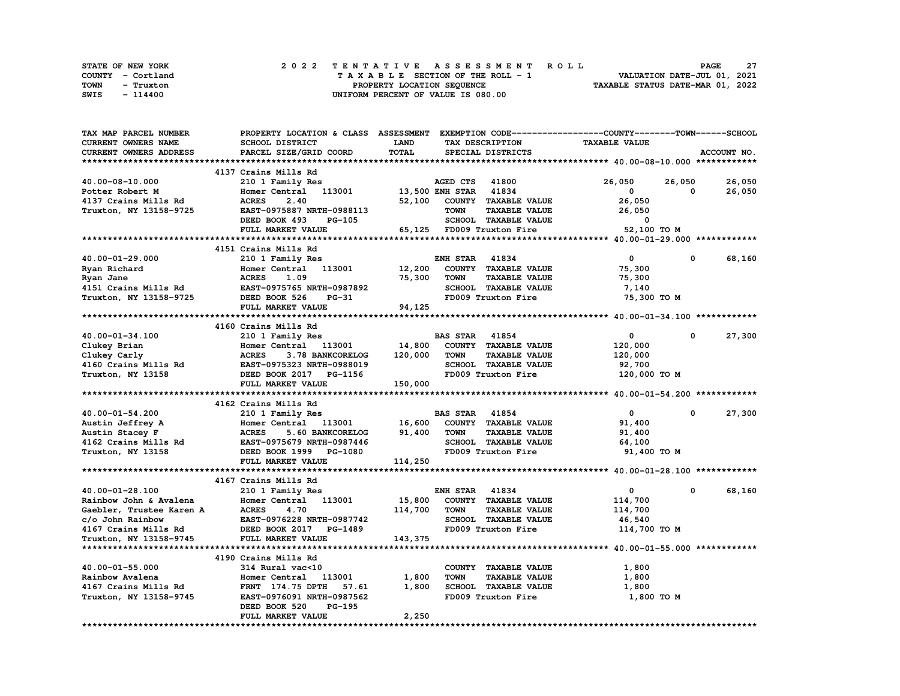| STATE OF NEW YORK | 2022 TENTATIVE ASSESSMENT ROLL     | -27<br><b>PAGE</b>               |
|-------------------|------------------------------------|----------------------------------|
| COUNTY - Cortland | TAXABLE SECTION OF THE ROLL - 1    | VALUATION DATE-JUL 01, 2021      |
| TOWN<br>- Truxton | PROPERTY LOCATION SEQUENCE         | TAXABLE STATUS DATE-MAR 01, 2022 |
| SWIS<br>- 114400  | UNIFORM PERCENT OF VALUE IS 080.00 |                                  |

| TAX MAP PARCEL NUMBER      | PROPERTY LOCATION & CLASS ASSESSMENT EXEMPTION CODE----------------COUNTY-------TOWN-----SCHOOL |                        |                       |                           |                      |          |             |
|----------------------------|-------------------------------------------------------------------------------------------------|------------------------|-----------------------|---------------------------|----------------------|----------|-------------|
| <b>CURRENT OWNERS NAME</b> | <b>SCHOOL DISTRICT</b>                                                                          | <b>LAND</b>            |                       | TAX DESCRIPTION           | <b>TAXABLE VALUE</b> |          |             |
| CURRENT OWNERS ADDRESS     | PARCEL SIZE/GRID COORD                                                                          | TOTAL                  |                       | SPECIAL DISTRICTS         |                      |          | ACCOUNT NO. |
|                            |                                                                                                 |                        |                       |                           |                      |          |             |
|                            | 4137 Crains Mills Rd                                                                            |                        |                       |                           |                      |          |             |
| 40.00-08-10.000            | 210 1 Family Res                                                                                |                        | AGED CTS 41800        |                           | 26,050               | 26,050   | 26,050      |
| Potter Robert M            | Homer Central 113001                                                                            | <b>13,500 ENH STAR</b> |                       | 41834                     | 0                    | 0        | 26,050      |
| 4137 Crains Mills Rd       | 2.40<br><b>ACRES</b>                                                                            | 52,100                 |                       |                           |                      |          |             |
|                            |                                                                                                 |                        | <b>TOWN</b>           | COUNTY TAXABLE VALUE      | 26,050               |          |             |
| Truxton, NY 13158-9725     | EAST-0975887 NRTH-0988113                                                                       |                        |                       | TAXABLE VALUE             | 26,050               |          |             |
|                            | DEED BOOK 493<br>PG-105                                                                         |                        |                       | SCHOOL TAXABLE VALUE      | 0                    |          |             |
|                            | FULL MARKET VALUE                                                                               |                        |                       | 65,125 FD009 Truxton Fire | 52,100 TO M          |          |             |
|                            |                                                                                                 |                        |                       |                           |                      |          |             |
|                            | 4151 Crains Mills Rd                                                                            |                        |                       |                           |                      |          |             |
| 40.00-01-29.000            | 210 1 Family Res                                                                                |                        | <b>ENH STAR</b>       | 41834                     | 0                    | 0        | 68,160      |
| Ryan Richard               | Homer Central<br>113001                                                                         | 12,200                 |                       | COUNTY TAXABLE VALUE      | 75,300               |          |             |
| Ryan Jane                  | 1.09<br><b>ACRES</b>                                                                            | 75,300                 | <b>TOWN</b>           | <b>TAXABLE VALUE</b>      | 75,300               |          |             |
| 4151 Crains Mills Rd       | EAST-0975765 NRTH-0987892                                                                       |                        |                       | SCHOOL TAXABLE VALUE      | 7,140                |          |             |
| Truxton, NY 13158-9725     | DEED BOOK 526<br><b>PG-31</b>                                                                   |                        |                       | FD009 Truxton Fire        | 75,300 TO M          |          |             |
|                            | FULL MARKET VALUE                                                                               | 94,125                 |                       |                           |                      |          |             |
|                            |                                                                                                 |                        |                       |                           |                      |          |             |
|                            | 4160 Crains Mills Rd                                                                            |                        |                       |                           |                      |          |             |
| 40.00-01-34.100            | 210 1 Family Res                                                                                |                        | <b>BAS STAR</b> 41854 |                           | $\mathbf 0$          | $\Omega$ | 27,300      |
|                            | Homer Central 113001                                                                            | 14,800                 |                       | COUNTY TAXABLE VALUE      | 120,000              |          |             |
| Clukey Brian               | <b>ACRES</b><br>3.78 BANKCORELOG                                                                |                        | <b>TOWN</b>           | <b>TAXABLE VALUE</b>      |                      |          |             |
| Clukey Carly               |                                                                                                 | 120,000                |                       |                           | 120,000              |          |             |
| 4160 Crains Mills Rd       | EAST-0975323 NRTH-0988019                                                                       |                        |                       | SCHOOL TAXABLE VALUE      | 92,700               |          |             |
| Truxton, NY 13158          | DEED BOOK 2017 PG-1156                                                                          |                        |                       | FD009 Truxton Fire        | 120,000 TO M         |          |             |
|                            | FULL MARKET VALUE                                                                               | 150,000                |                       |                           |                      |          |             |
|                            |                                                                                                 |                        |                       |                           |                      |          |             |
|                            | 4162 Crains Mills Rd                                                                            |                        |                       |                           |                      |          |             |
| 40.00-01-54.200            | 210 1 Family Res                                                                                |                        | <b>BAS STAR 41854</b> |                           | $\overline{0}$       | 0        | 27,300      |
| Austin Jeffrey A           | Homer Central 113001                                                                            | 16,600                 |                       | COUNTY TAXABLE VALUE      | 91,400               |          |             |
| Austin Stacey F            | 5.60 BANKCORELOG<br><b>ACRES</b>                                                                | 91,400                 | <b>TOWN</b>           | <b>TAXABLE VALUE</b>      | 91,400               |          |             |
| 4162 Crains Mills Rd       | EAST-0975679 NRTH-0987446                                                                       |                        |                       | SCHOOL TAXABLE VALUE      | 64,100               |          |             |
| Truxton, NY 13158          | DEED BOOK 1999 PG-1080                                                                          |                        |                       | FD009 Truxton Fire        | 91,400 TO M          |          |             |
|                            | FULL MARKET VALUE                                                                               | 114,250                |                       |                           |                      |          |             |
|                            |                                                                                                 |                        |                       |                           |                      |          |             |
|                            | 4167 Crains Mills Rd                                                                            |                        |                       |                           |                      |          |             |
| 40.00-01-28.100            | 210 1 Family Res                                                                                |                        | <b>ENH STAR</b>       | 41834                     | 0                    | 0        | 68,160      |
| Rainbow John & Avalena     | Homer Central 113001                                                                            | 15,800                 |                       | COUNTY TAXABLE VALUE      | 114,700              |          |             |
| Gaebler, Trustee Karen A   | <b>ACRES</b><br>4.70                                                                            | 114,700                | <b>TOWN</b>           | <b>TAXABLE VALUE</b>      | 114,700              |          |             |
| c/o John Rainbow           | EAST-0976228 NRTH-0987742                                                                       |                        |                       | SCHOOL TAXABLE VALUE      | 46,540               |          |             |
|                            |                                                                                                 |                        |                       | FD009 Truxton Fire        |                      |          |             |
| 4167 Crains Mills Rd       | DEED BOOK 2017 PG-1489                                                                          |                        |                       |                           | 114,700 TO M         |          |             |
| Truxton, NY 13158-9745     | FULL MARKET VALUE                                                                               | 143,375                |                       |                           |                      |          |             |
|                            |                                                                                                 |                        |                       |                           |                      |          |             |
|                            | 4190 Crains Mills Rd                                                                            |                        |                       |                           |                      |          |             |
| 40.00-01-55.000            | 314 Rural vac<10                                                                                |                        |                       | COUNTY TAXABLE VALUE      | 1,800                |          |             |
| Rainbow Avalena            | Homer Central 113001                                                                            | 1,800                  | <b>TOWN</b>           | <b>TAXABLE VALUE</b>      | 1,800                |          |             |
| 4167 Crains Mills Rd       | <b>FRNT</b> 174.75 DPTH<br>57.61                                                                | 1,800                  |                       | SCHOOL TAXABLE VALUE      | 1,800                |          |             |
| Truxton, NY 13158-9745     | EAST-0976091 NRTH-0987562                                                                       |                        |                       | FD009 Truxton Fire        | 1,800 TO M           |          |             |
|                            | DEED BOOK 520<br>PG-195                                                                         |                        |                       |                           |                      |          |             |
|                            | FULL MARKET VALUE                                                                               | 2,250                  |                       |                           |                      |          |             |
| ***********************    |                                                                                                 |                        |                       |                           |                      |          |             |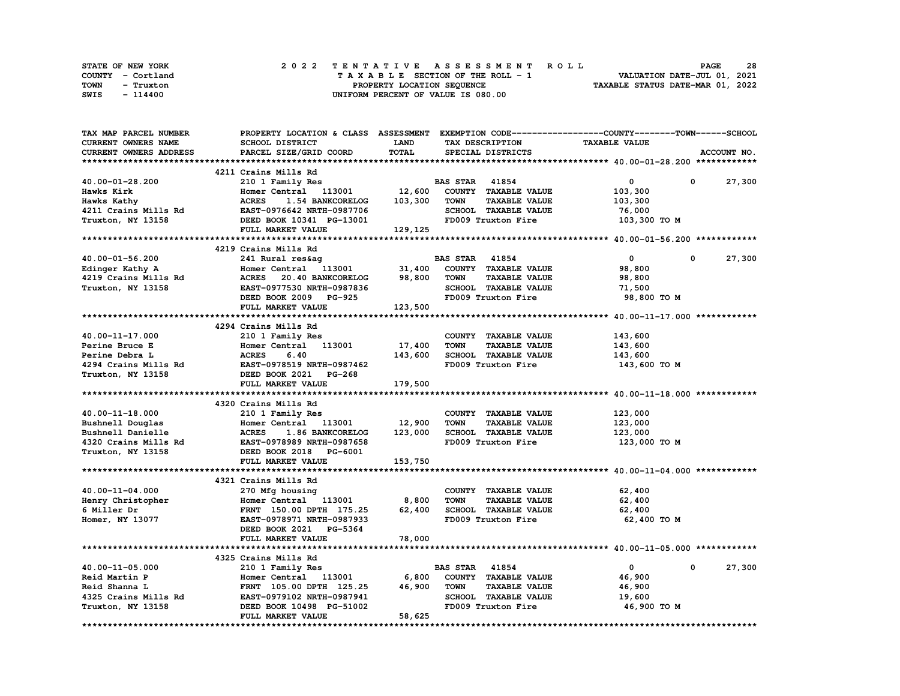| STATE OF NEW YORK |  | 2022 TENTATIVE ASSESSMENT ROLL     | <b>PAGE</b>                      | 28 |
|-------------------|--|------------------------------------|----------------------------------|----|
| COUNTY - Cortland |  | TAXABLE SECTION OF THE ROLL - 1    | VALUATION DATE-JUL 01, 2021      |    |
| TOWN<br>- Truxton |  | PROPERTY LOCATION SEQUENCE         | TAXABLE STATUS DATE-MAR 01, 2022 |    |
| SWIS<br>- 114400  |  | UNIFORM PERCENT OF VALUE IS 080.00 |                                  |    |

| TAX MAP PARCEL NUMBER      | PROPERTY LOCATION & CLASS ASSESSMENT EXEMPTION CODE----------------COUNTY-------TOWN-----SCHOOL |              |                                     |                      |                       |
|----------------------------|-------------------------------------------------------------------------------------------------|--------------|-------------------------------------|----------------------|-----------------------|
| <b>CURRENT OWNERS NAME</b> | SCHOOL DISTRICT                                                                                 | <b>LAND</b>  | TAX DESCRIPTION                     | <b>TAXABLE VALUE</b> |                       |
| CURRENT OWNERS ADDRESS     | PARCEL SIZE/GRID COORD                                                                          | <b>TOTAL</b> | SPECIAL DISTRICTS                   |                      | ACCOUNT NO.           |
|                            |                                                                                                 |              |                                     |                      |                       |
|                            | 4211 Crains Mills Rd                                                                            |              |                                     |                      |                       |
| 40.00-01-28.200            | 210 1 Family Res                                                                                |              | <b>BAS STAR 41854</b>               | $\mathbf 0$          | 27,300<br>$^{\circ}$  |
| Hawks Kirk                 | Homer Central 113001                                                                            | 12,600       | COUNTY TAXABLE VALUE                | 103,300              |                       |
| Hawks Kathy                | <b>ACRES</b><br>1.54 BANKCORELOG                                                                | 103,300      | <b>TAXABLE VALUE</b><br><b>TOWN</b> | 103,300              |                       |
| 4211 Crains Mills Rd       | EAST-0976642 NRTH-0987706                                                                       |              | SCHOOL TAXABLE VALUE                | 76,000               |                       |
| Truxton, NY 13158          | DEED BOOK 10341 PG-13001                                                                        |              | FD009 Truxton Fire                  | 103,300 TO M         |                       |
|                            | FULL MARKET VALUE                                                                               | 129,125      |                                     |                      |                       |
|                            |                                                                                                 |              |                                     |                      |                       |
|                            | 4219 Crains Mills Rd                                                                            |              |                                     |                      |                       |
|                            |                                                                                                 |              |                                     |                      |                       |
| 40.00-01-56.200            | 241 Rural res&ag                                                                                |              | <b>BAS STAR 41854</b>               | $\mathbf 0$          | 27,300<br>0           |
| Edinger Kathy A            | Homer Central 113001                                                                            | 31,400       | COUNTY TAXABLE VALUE                | 98,800               |                       |
| 4219 Crains Mills Rd       | ACRES 20.40 BANKCORELOG                                                                         | 98,800       | <b>TOWN</b><br><b>TAXABLE VALUE</b> | 98,800               |                       |
| Truxton, NY 13158          | EAST-0977530 NRTH-0987836                                                                       |              | SCHOOL TAXABLE VALUE                | 71,500               |                       |
|                            | DEED BOOK 2009 PG-925                                                                           |              | FD009 Truxton Fire                  | 98,800 TO M          |                       |
|                            | FULL MARKET VALUE                                                                               | 123,500      |                                     |                      |                       |
|                            |                                                                                                 |              |                                     |                      |                       |
|                            | 4294 Crains Mills Rd                                                                            |              |                                     |                      |                       |
| 40.00-11-17.000            | 210 1 Family Res                                                                                |              | COUNTY TAXABLE VALUE                | 143,600              |                       |
| Perine Bruce E             | Homer Central 113001                                                                            | 17,400       | <b>TOWN</b><br><b>TAXABLE VALUE</b> | 143,600              |                       |
| Perine Debra L             | <b>ACRES</b><br>6.40                                                                            | 143,600      | SCHOOL TAXABLE VALUE                | 143,600              |                       |
| 4294 Crains Mills Rd       | EAST-0978519 NRTH-0987462                                                                       |              | FD009 Truxton Fire                  | 143,600 то м         |                       |
| Truxton, NY 13158          | DEED BOOK 2021 PG-268                                                                           |              |                                     |                      |                       |
|                            | FULL MARKET VALUE                                                                               | 179,500      |                                     |                      |                       |
|                            |                                                                                                 |              |                                     |                      |                       |
|                            | 4320 Crains Mills Rd                                                                            |              |                                     |                      |                       |
| $40.00 - 11 - 18.000$      | 210 1 Family Res                                                                                |              | COUNTY TAXABLE VALUE                | 123,000              |                       |
| Bushnell Douglas           | Homer Central 113001                                                                            | 12,900       | <b>TOWN</b><br><b>TAXABLE VALUE</b> | 123,000              |                       |
| Bushnell Danielle          | <b>ACRES</b><br>1.86 BANKCORELOG                                                                | 123,000      | SCHOOL TAXABLE VALUE                | 123,000              |                       |
|                            |                                                                                                 |              | FD009 Truxton Fire                  |                      |                       |
| 4320 Crains Mills Rd       | EAST-0978989 NRTH-0987658                                                                       |              |                                     | 123,000 то м         |                       |
| Truxton, NY 13158          | DEED BOOK 2018 PG-6001                                                                          |              |                                     |                      |                       |
|                            | FULL MARKET VALUE                                                                               | 153,750      |                                     |                      |                       |
|                            |                                                                                                 |              |                                     |                      |                       |
|                            | 4321 Crains Mills Rd                                                                            |              |                                     |                      |                       |
| 40.00-11-04.000            | 270 Mfg housing                                                                                 |              | COUNTY TAXABLE VALUE                | 62,400               |                       |
| Henry Christopher          | Homer Central 113001                                                                            | 8,800        | <b>TOWN</b><br><b>TAXABLE VALUE</b> | 62,400               |                       |
| 6 Miller Dr                | FRNT 150.00 DPTH 175.25                                                                         | 62,400       | SCHOOL TAXABLE VALUE                | 62,400               |                       |
| Homer, NY 13077            | EAST-0978971 NRTH-0987933                                                                       |              | FD009 Truxton Fire                  | 62,400 TO M          |                       |
|                            | DEED BOOK 2021 PG-5364                                                                          |              |                                     |                      |                       |
|                            | FULL MARKET VALUE                                                                               | 78,000       |                                     |                      |                       |
|                            |                                                                                                 |              |                                     |                      |                       |
|                            | 4325 Crains Mills Rd                                                                            |              |                                     |                      |                       |
| 40.00-11-05.000            | 210 1 Family Res                                                                                |              | <b>BAS STAR 41854</b>               | $\overline{0}$       | $\mathbf 0$<br>27,300 |
| Reid Martin P              | Homer Central 113001                                                                            | 6,800        | COUNTY TAXABLE VALUE                | 46,900               |                       |
| Reid Shanna L              | FRNT 105.00 DPTH 125.25                                                                         | 46,900       | <b>TOWN</b><br><b>TAXABLE VALUE</b> | 46,900               |                       |
| 4325 Crains Mills Rd       | EAST-0979102 NRTH-0987941                                                                       |              | SCHOOL TAXABLE VALUE                | 19,600               |                       |
| Truxton, NY 13158          | DEED BOOK 10498 PG-51002                                                                        |              | FD009 Truxton Fire                  | 46,900 TO M          |                       |
|                            | FULL MARKET VALUE                                                                               | 58,625       |                                     |                      |                       |
|                            |                                                                                                 |              |                                     |                      |                       |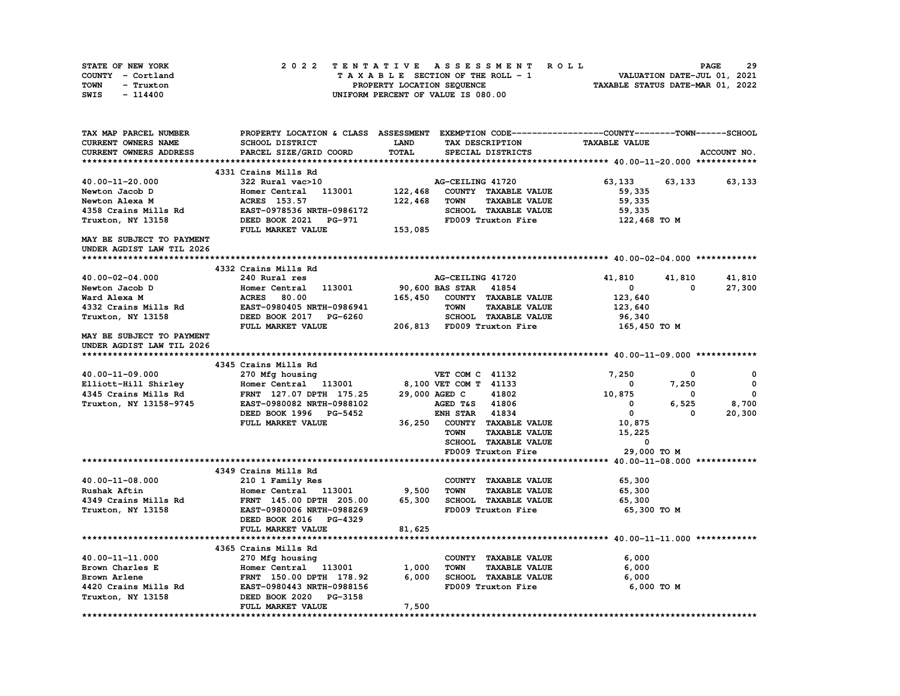| STATE OF NEW YORK | 2022 TENTATIVE ASSESSMENT ROLL     | 29<br><b>PAGE</b>                |
|-------------------|------------------------------------|----------------------------------|
| COUNTY - Cortland | TAXABLE SECTION OF THE ROLL - 1    | VALUATION DATE-JUL 01, 2021      |
| TOWN<br>- Truxton | PROPERTY LOCATION SEQUENCE         | TAXABLE STATUS DATE-MAR 01, 2022 |
| - 114400<br>SWIS  | UNIFORM PERCENT OF VALUE IS 080.00 |                                  |

| TAX MAP PARCEL NUMBER     |                           |         |                                     | PROPERTY LOCATION & CLASS ASSESSMENT EXEMPTION CODE----------------COUNTY-------TOWN-----SCHOOL |             |
|---------------------------|---------------------------|---------|-------------------------------------|-------------------------------------------------------------------------------------------------|-------------|
| CURRENT OWNERS NAME       | <b>SCHOOL DISTRICT</b>    | LAND    | TAX DESCRIPTION                     | <b>TAXABLE VALUE</b>                                                                            |             |
| CURRENT OWNERS ADDRESS    | PARCEL SIZE/GRID COORD    | TOTAL   | SPECIAL DISTRICTS                   |                                                                                                 | ACCOUNT NO. |
|                           |                           |         |                                     |                                                                                                 |             |
|                           | 4331 Crains Mills Rd      |         |                                     |                                                                                                 |             |
| 40.00-11-20.000           | 322 Rural vac>10          |         | AG-CEILING 41720                    | 63,133<br>63,133                                                                                | 63,133      |
| Newton Jacob D            | Homer Central 113001      | 122,468 | COUNTY TAXABLE VALUE                | 59,335                                                                                          |             |
| Newton Alexa M            | ACRES 153.57              | 122,468 | <b>TAXABLE VALUE</b><br>TOWN        | 59,335                                                                                          |             |
| 4358 Crains Mills Rd      | EAST-0978536 NRTH-0986172 |         | SCHOOL TAXABLE VALUE                | 59,335                                                                                          |             |
| Truxton, NY 13158         | DEED BOOK 2021 PG-971     |         | FD009 Truxton Fire                  | 122,468 TO M                                                                                    |             |
|                           | FULL MARKET VALUE         | 153,085 |                                     |                                                                                                 |             |
| MAY BE SUBJECT TO PAYMENT |                           |         |                                     |                                                                                                 |             |
| UNDER AGDIST LAW TIL 2026 |                           |         |                                     |                                                                                                 |             |
|                           |                           |         |                                     |                                                                                                 |             |
|                           | 4332 Crains Mills Rd      |         |                                     |                                                                                                 |             |
| 40.00-02-04.000           | 240 Rural res             |         | AG-CEILING 41720                    | 41,810<br>41,810                                                                                | 41,810      |
| Newton Jacob D            | 113001<br>Homer Central   |         | 90,600 BAS STAR<br>41854            | $\mathbf 0$<br>0                                                                                | 27,300      |
| Ward Alexa M              | <b>ACRES</b><br>80.00     | 165,450 | COUNTY TAXABLE VALUE                | 123,640                                                                                         |             |
| 4332 Crains Mills Rd      | EAST-0980405 NRTH-0986941 |         | <b>TAXABLE VALUE</b><br><b>TOWN</b> | 123,640                                                                                         |             |
| Truxton, NY 13158         | DEED BOOK 2017 PG-6260    |         | SCHOOL TAXABLE VALUE                | 96,340                                                                                          |             |
|                           | FULL MARKET VALUE         |         | 206,813 FD009 Truxton Fire          | 165,450 то м                                                                                    |             |
| MAY BE SUBJECT TO PAYMENT |                           |         |                                     |                                                                                                 |             |
| UNDER AGDIST LAW TIL 2026 |                           |         |                                     |                                                                                                 |             |
|                           |                           |         |                                     |                                                                                                 |             |
|                           | 4345 Crains Mills Rd      |         |                                     |                                                                                                 |             |
| 40.00-11-09.000           | 270 Mfg housing           |         | VET COM C 41132                     | 7,250<br>0                                                                                      | 0           |
| Elliott-Hill Shirley      | Homer Central 113001      |         | 8,100 VET COM T 41133               | 7,250<br>0                                                                                      | $\mathbf 0$ |
| 4345 Crains Mills Rd      | FRNT 127.07 DPTH 175.25   |         | 41802<br>29,000 AGED C              | 10,875<br>$\mathbf 0$                                                                           | $\mathbf 0$ |
| Truxton, NY 13158-9745    | EAST-0980082 NRTH-0988102 |         | AGED T&S 41806                      | 6,525<br>0                                                                                      | 8,700       |
|                           | DEED BOOK 1996 PG-5452    |         | <b>ENH STAR 41834</b>               | $\mathbf{0}$<br>$^{\circ}$                                                                      | 20,300      |
|                           | FULL MARKET VALUE         |         | 36,250 COUNTY TAXABLE VALUE         | 10,875                                                                                          |             |
|                           |                           |         | <b>TAXABLE VALUE</b><br><b>TOWN</b> | 15,225                                                                                          |             |
|                           |                           |         | SCHOOL TAXABLE VALUE                | 0                                                                                               |             |
|                           |                           |         | FD009 Truxton Fire                  | 29,000 TO M                                                                                     |             |
|                           |                           |         |                                     |                                                                                                 |             |
|                           | 4349 Crains Mills Rd      |         |                                     |                                                                                                 |             |
| 40.00-11-08.000           | 210 1 Family Res          |         | COUNTY TAXABLE VALUE                | 65,300                                                                                          |             |
| Rushak Aftin              | Homer Central 113001      | 9,500   | <b>TOWN</b><br><b>TAXABLE VALUE</b> | 65,300                                                                                          |             |
| 4349 Crains Mills Rd      | FRNT 145.00 DPTH 205.00   | 65,300  | SCHOOL TAXABLE VALUE                | 65,300                                                                                          |             |
| Truxton, NY 13158         | EAST-0980006 NRTH-0988269 |         | FD009 Truxton Fire                  | 65,300 TO M                                                                                     |             |
|                           | DEED BOOK 2016 PG-4329    |         |                                     |                                                                                                 |             |
|                           | FULL MARKET VALUE         | 81,625  |                                     |                                                                                                 |             |
|                           |                           |         |                                     |                                                                                                 |             |
|                           | 4365 Crains Mills Rd      |         |                                     |                                                                                                 |             |
| 40.00-11-11.000           | 270 Mfg housing           |         | COUNTY TAXABLE VALUE                | 6,000                                                                                           |             |
| Brown Charles E           | Homer Central 113001      | 1,000   | <b>TAXABLE VALUE</b><br><b>TOWN</b> | 6,000                                                                                           |             |
| Brown Arlene              | FRNT 150.00 DPTH 178.92   | 6,000   | SCHOOL TAXABLE VALUE                | 6,000                                                                                           |             |
| 4420 Crains Mills Rd      | EAST-0980443 NRTH-0988156 |         | FD009 Truxton Fire                  | 6,000 TO M                                                                                      |             |
| Truxton, NY 13158         | DEED BOOK 2020<br>PG-3158 |         |                                     |                                                                                                 |             |
|                           | FULL MARKET VALUE         | 7,500   |                                     |                                                                                                 |             |
|                           |                           |         |                                     |                                                                                                 |             |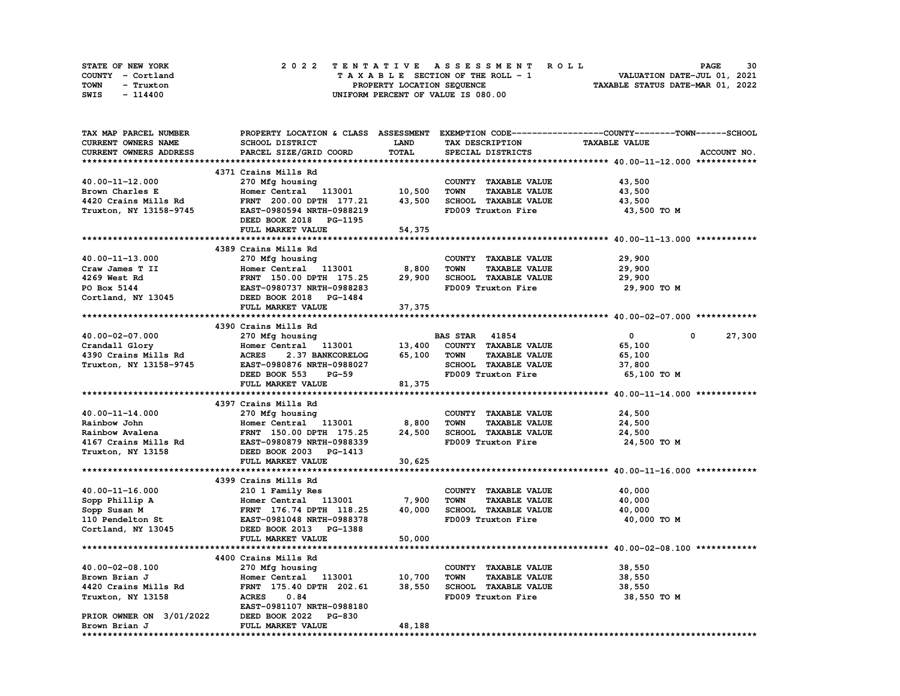| STATE OF NEW YORK | 2022 TENTATIVE ASSESSMENT ROLL     | 30<br><b>PAGE</b>                |
|-------------------|------------------------------------|----------------------------------|
| COUNTY - Cortland | TAXABLE SECTION OF THE ROLL - 1    | VALUATION DATE-JUL 01, 2021      |
| TOWN<br>- Truxton | PROPERTY LOCATION SEQUENCE         | TAXABLE STATUS DATE-MAR 01, 2022 |
| SWIS<br>- 114400  | UNIFORM PERCENT OF VALUE IS 080.00 |                                  |

| TAX MAP PARCEL NUMBER                  | PROPERTY LOCATION & CLASS ASSESSMENT EXEMPTION CODE-----------------COUNTY-------TOWN------SCHOOL |              |                                     |                      |                       |
|----------------------------------------|---------------------------------------------------------------------------------------------------|--------------|-------------------------------------|----------------------|-----------------------|
| CURRENT OWNERS NAME                    | SCHOOL DISTRICT                                                                                   | <b>LAND</b>  | TAX DESCRIPTION                     | <b>TAXABLE VALUE</b> |                       |
| CURRENT OWNERS ADDRESS                 | PARCEL SIZE/GRID COORD                                                                            | <b>TOTAL</b> | SPECIAL DISTRICTS                   |                      | ACCOUNT NO.           |
|                                        |                                                                                                   |              |                                     |                      |                       |
|                                        | 4371 Crains Mills Rd                                                                              |              |                                     |                      |                       |
| 40.00-11-12.000                        | 270 Mfg housing                                                                                   |              | COUNTY TAXABLE VALUE                | 43,500               |                       |
| Brown Charles E                        | Homer Central 113001 10,500                                                                       |              | <b>TOWN</b><br><b>TAXABLE VALUE</b> | 43,500               |                       |
| 4420 Crains Mills Rd                   | FRNT 200.00 DPTH 177.21                                                                           | 43,500       | SCHOOL TAXABLE VALUE                | 43,500               |                       |
| Truxton, NY 13158-9745                 | EAST-0980594 NRTH-0988219                                                                         |              | FD009 Truxton Fire                  | 43,500 TO M          |                       |
|                                        | DEED BOOK 2018 PG-1195                                                                            |              |                                     |                      |                       |
|                                        | FULL MARKET VALUE                                                                                 | 54,375       |                                     |                      |                       |
|                                        |                                                                                                   |              |                                     |                      |                       |
|                                        | 4389 Crains Mills Rd                                                                              |              |                                     |                      |                       |
| 40.00-11-13.000                        | 270 Mfg housing                                                                                   |              | COUNTY TAXABLE VALUE                | 29,900               |                       |
| Craw James T II                        | Homer Central 113001 8,800                                                                        |              | <b>TAXABLE VALUE</b><br><b>TOWN</b> | 29,900               |                       |
| 4269 West Rd                           |                                                                                                   | 29,900       | SCHOOL TAXABLE VALUE                |                      |                       |
|                                        | FRNT 150.00 DPTH 175.25                                                                           |              |                                     | 29,900               |                       |
| PO Box 5144<br>Cortland, NY 13045      | EAST-0980737 NRTH-0988283<br>DEED BOOK 2018 PG-1484                                               |              | FD009 Truxton Fire                  | 29,900 TO M          |                       |
|                                        |                                                                                                   |              |                                     |                      |                       |
|                                        | FULL MARKET VALUE                                                                                 | 37,375       |                                     |                      |                       |
|                                        |                                                                                                   |              |                                     |                      |                       |
|                                        | 4390 Crains Mills Rd<br>270 Mfg housing                                                           |              |                                     |                      |                       |
| 40.00-02-07.000                        |                                                                                                   |              | <b>BAS STAR 41854</b>               | $\mathbf{0}$         | 27,300<br>$\mathbf 0$ |
| Crandall Glory<br>4390 Crains Mills Rd | Homer Central 113001                                                                              |              | 13,400 COUNTY TAXABLE VALUE         | 65,100               |                       |
|                                        | <b>ACRES</b><br>2.37 BANKCORELOG 65,100                                                           |              | <b>TOWN</b><br><b>TAXABLE VALUE</b> | 65,100               |                       |
| Truxton, NY 13158-9745                 | EAST-0980876 NRTH-0988027                                                                         |              | SCHOOL TAXABLE VALUE                | 37,800               |                       |
|                                        | DEED BOOK 553<br><b>PG-59</b>                                                                     |              | FD009 Truxton Fire                  | 65,100 TO M          |                       |
|                                        | FULL MARKET VALUE                                                                                 | 81,375       |                                     |                      |                       |
|                                        |                                                                                                   |              |                                     |                      |                       |
|                                        | 4397 Crains Mills Rd                                                                              |              |                                     |                      |                       |
| 40.00-11-14.000                        | 270 Mfg housing                                                                                   |              | COUNTY TAXABLE VALUE                | 24,500               |                       |
| Rainbow John                           | Homer Central 113001                                                                              | 8,800        | <b>TAXABLE VALUE</b><br><b>TOWN</b> | 24,500               |                       |
| Rainbow Avalena                        | FRNT 150.00 DPTH 175.25                                                                           | 24,500       | SCHOOL TAXABLE VALUE                | 24,500               |                       |
| 4167 Crains Mills Rd                   | EAST-0980879 NRTH-0988339                                                                         |              | FD009 Truxton Fire                  | 24,500 TO M          |                       |
| Truxton, NY 13158                      | DEED BOOK 2003 PG-1413                                                                            |              |                                     |                      |                       |
|                                        | FULL MARKET VALUE                                                                                 | 30,625       |                                     |                      |                       |
|                                        |                                                                                                   |              |                                     |                      |                       |
|                                        | 4399 Crains Mills Rd                                                                              |              |                                     |                      |                       |
| $40.00 - 11 - 16.000$                  | 210 1 Family Res                                                                                  |              | COUNTY TAXABLE VALUE                | 40,000               |                       |
| Sopp Phillip A                         | Homer Central 113001                                                                              | 7,900        | <b>TAXABLE VALUE</b><br><b>TOWN</b> | 40,000               |                       |
| Sopp Susan M                           | FRNT 176.74 DPTH 118.25                                                                           | 40,000       | SCHOOL TAXABLE VALUE                | 40,000               |                       |
| 110 Pendelton St                       | EAST-0981048 NRTH-0988378                                                                         |              | FD009 Truxton Fire                  | 40,000 TO M          |                       |
| Cortland, NY 13045                     | DEED BOOK 2013 PG-1388                                                                            |              |                                     |                      |                       |
|                                        | FULL MARKET VALUE                                                                                 | 50,000       |                                     |                      |                       |
|                                        |                                                                                                   |              |                                     |                      |                       |
|                                        | 4400 Crains Mills Rd                                                                              |              |                                     |                      |                       |
| 40.00-02-08.100                        | 270 Mfg housing                                                                                   |              | COUNTY TAXABLE VALUE                | 38,550               |                       |
| Brown Brian J                          | Homer Central 113001 10,700                                                                       |              | <b>TOWN</b><br><b>TAXABLE VALUE</b> | 38,550               |                       |
| 4420 Crains Mills Rd                   | FRNT 175.40 DPTH 202.61                                                                           | 38,550       | SCHOOL TAXABLE VALUE                | 38,550               |                       |
| Truxton, NY 13158                      | <b>ACRES</b><br>0.84<br>EAST-0981107 NRTH-0988180                                                 |              | FD009 Truxton Fire                  | 38,550 TO M          |                       |
| PRIOR OWNER ON 3/01/2022               |                                                                                                   |              |                                     |                      |                       |
|                                        | DEED BOOK 2022 PG-830                                                                             |              |                                     |                      |                       |
| Brown Brian J                          | FULL MARKET VALUE                                                                                 | 48,188       |                                     |                      |                       |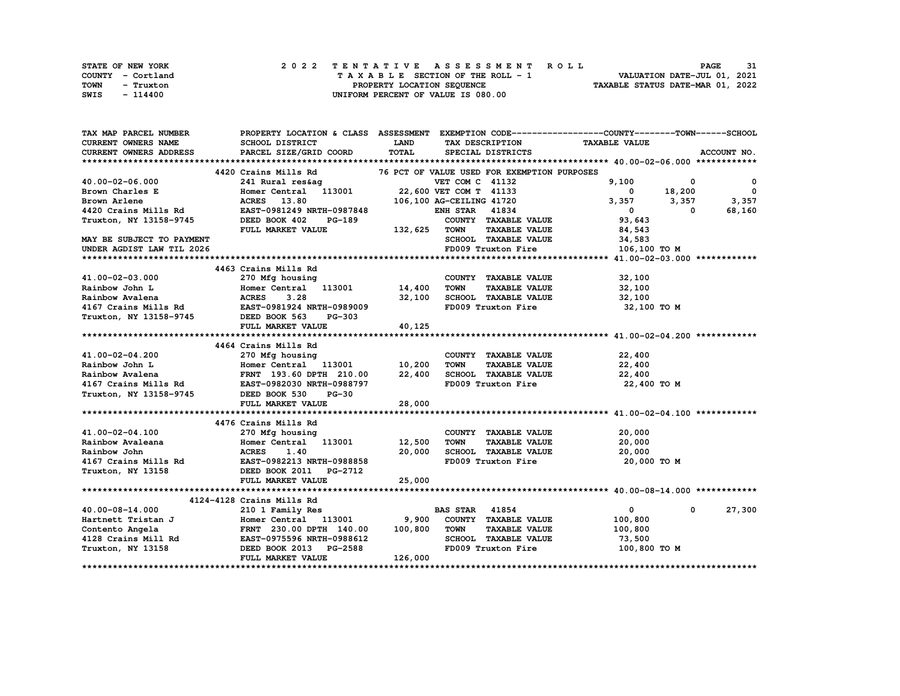| STATE OF NEW YORK | 2022 TENTATIVE ASSESSMENT ROLL     | 31<br><b>PAGE</b>                |
|-------------------|------------------------------------|----------------------------------|
| COUNTY - Cortland | TAXABLE SECTION OF THE ROLL - 1    | VALUATION DATE-JUL 01, 2021      |
| TOWN<br>- Truxton | PROPERTY LOCATION SEQUENCE         | TAXABLE STATUS DATE-MAR 01, 2022 |
| SWIS<br>- 114400  | UNIFORM PERCENT OF VALUE IS 080.00 |                                  |

| CURRENT OWNERS NAME<br>SCHOOL DISTRICT<br><b>LAND</b><br>TAX DESCRIPTION TAXABLE VALUE<br>TOTAL<br><b>CURRENT OWNERS ADDRESS</b><br>PARCEL SIZE/GRID COORD<br>ACCOUNT NO.<br>SPECIAL DISTRICTS<br>4420 Crains Mills Rd<br>76 PCT OF VALUE USED FOR EXEMPTION PURPOSES<br>9,100<br>$^{\circ}$<br>$\mathbf 0$<br>18,200<br>$\overline{\phantom{0}}$<br>Brown Charles E<br>$\overline{\mathbf{0}}$<br>3,357<br>ACRES 13.80 106,100 AG-CEILING 41720<br>EAST-0981249 NRTH-0987848 ENH STAR 41834<br>3,357<br>3,357<br>68,160<br>$\mathbf{0}$<br>$\Omega$<br>Truxton, NY 13158-9745<br>$PG-189$<br>$\frac{132}{625}$<br>COUNTY TAXABLE VALUE<br>DEED BOOK 402<br>93,643<br>FULL MARKET VALUE<br><b>TAXABLE VALUE</b><br><b>TOWN</b><br>84,543<br>SCHOOL TAXABLE VALUE<br>34,583<br>FD009 Truxton Fire 106,100 TO M<br>UNDER AGDIST LAW TIL 2026<br>4463 Crains Mills Rd<br>41.00-02-03.000<br>270 Mfg housing<br>COUNTY TAXABLE VALUE<br>32,100<br>Homer Central 113001 14,400<br>ACRES 3.28 32,100<br><b>TOWN</b><br>TAXABLE VALUE<br>32,100<br>Rainbow John L<br>SCHOOL TAXABLE VALUE<br>Rainbow Avalena<br>32,100<br>4167 Crains Mills Rd EAST-0981924 NRTH-0989009<br>FD009 Truxton Fire<br>32,100 TO M<br>Truxton, NY 13158-9745 DEED BOOK 563<br><b>PG-303</b><br>40,125<br>FULL MARKET VALUE<br>4464 Crains Mills Rd<br>270 Mfg housing<br>41.00-02-04.200<br>COUNTY TAXABLE VALUE<br>22,400<br>Homer Central 113001 10,200<br><b>TOWN</b><br>22,400<br>Rainbow John L<br>Homer Central 113001 10,200<br>FRNT 193.60 DPTH 210.00 22,400<br><b>TAXABLE VALUE</b><br>SCHOOL TAXABLE VALUE<br>FD009 Truxton Fire<br>22,400<br>Rainbow Avalena<br>Addition Avalent and the contract of the contract of the contract of the contract of the contract of the contra<br>4167 Crains Mills Rd EAST-0982030 NRTH-0988797<br>22,400 TO M<br>Truxton, NY 13158-9745 DEED BOOK 530<br>$PG-30$<br>FULL MARKET VALUE<br>28,000<br>4476 Crains Mills Rd<br>41.00-02-04.100<br>270 Mfg housing<br>COUNTY TAXABLE VALUE<br>20,000<br>Homer Central 113001 12,500<br><b>TOWN</b><br>Rainbow Avaleana<br><b>TAXABLE VALUE</b><br>20,000<br>20,000<br>SCHOOL TAXABLE VALUE<br>20,000<br>FD009 Truxton Fire<br>20,000 TO M<br>Truxton, NY 13158 DEED BOOK 2011 PG-2712<br>25,000<br>FULL MARKET VALUE<br>4124-4128 Crains Mills Rd<br>$\overline{0}$<br><b>BAS STAR</b> 41854<br>$\mathbf 0$<br>27,300<br>40.00-08-14.000<br>210 1 Family Res<br>Hartnett Tristan J Homer Central 113001 9,900<br>COUNTY TAXABLE VALUE<br>100,800<br>TOWN<br><b>TAXABLE VALUE</b><br>100,800<br>SCHOOL TAXABLE VALUE<br>73,500<br>FD009 Truxton Fire<br>100,800 TO M<br>126,000<br>FULL MARKET VALUE | TAX MAP PARCEL NUMBER     | PROPERTY LOCATION & CLASS ASSESSMENT EXEMPTION CODE----------------COUNTY-------TOWN------SCHOOL |  |  |
|-------------------------------------------------------------------------------------------------------------------------------------------------------------------------------------------------------------------------------------------------------------------------------------------------------------------------------------------------------------------------------------------------------------------------------------------------------------------------------------------------------------------------------------------------------------------------------------------------------------------------------------------------------------------------------------------------------------------------------------------------------------------------------------------------------------------------------------------------------------------------------------------------------------------------------------------------------------------------------------------------------------------------------------------------------------------------------------------------------------------------------------------------------------------------------------------------------------------------------------------------------------------------------------------------------------------------------------------------------------------------------------------------------------------------------------------------------------------------------------------------------------------------------------------------------------------------------------------------------------------------------------------------------------------------------------------------------------------------------------------------------------------------------------------------------------------------------------------------------------------------------------------------------------------------------------------------------------------------------------------------------------------------------------------------------------------------------------------------------------------------------------------------------------------------------------------------------------------------------------------------------------------------------------------------------------------------------------------------------------------------------------------------------------------------------------------------------------------------------------------------------------------------------------------------------------------------------------------------------------------------------------------------------------------|---------------------------|--------------------------------------------------------------------------------------------------|--|--|
|                                                                                                                                                                                                                                                                                                                                                                                                                                                                                                                                                                                                                                                                                                                                                                                                                                                                                                                                                                                                                                                                                                                                                                                                                                                                                                                                                                                                                                                                                                                                                                                                                                                                                                                                                                                                                                                                                                                                                                                                                                                                                                                                                                                                                                                                                                                                                                                                                                                                                                                                                                                                                                                                   |                           |                                                                                                  |  |  |
|                                                                                                                                                                                                                                                                                                                                                                                                                                                                                                                                                                                                                                                                                                                                                                                                                                                                                                                                                                                                                                                                                                                                                                                                                                                                                                                                                                                                                                                                                                                                                                                                                                                                                                                                                                                                                                                                                                                                                                                                                                                                                                                                                                                                                                                                                                                                                                                                                                                                                                                                                                                                                                                                   |                           |                                                                                                  |  |  |
|                                                                                                                                                                                                                                                                                                                                                                                                                                                                                                                                                                                                                                                                                                                                                                                                                                                                                                                                                                                                                                                                                                                                                                                                                                                                                                                                                                                                                                                                                                                                                                                                                                                                                                                                                                                                                                                                                                                                                                                                                                                                                                                                                                                                                                                                                                                                                                                                                                                                                                                                                                                                                                                                   |                           |                                                                                                  |  |  |
|                                                                                                                                                                                                                                                                                                                                                                                                                                                                                                                                                                                                                                                                                                                                                                                                                                                                                                                                                                                                                                                                                                                                                                                                                                                                                                                                                                                                                                                                                                                                                                                                                                                                                                                                                                                                                                                                                                                                                                                                                                                                                                                                                                                                                                                                                                                                                                                                                                                                                                                                                                                                                                                                   |                           |                                                                                                  |  |  |
|                                                                                                                                                                                                                                                                                                                                                                                                                                                                                                                                                                                                                                                                                                                                                                                                                                                                                                                                                                                                                                                                                                                                                                                                                                                                                                                                                                                                                                                                                                                                                                                                                                                                                                                                                                                                                                                                                                                                                                                                                                                                                                                                                                                                                                                                                                                                                                                                                                                                                                                                                                                                                                                                   | 40.00-02-06.000           |                                                                                                  |  |  |
|                                                                                                                                                                                                                                                                                                                                                                                                                                                                                                                                                                                                                                                                                                                                                                                                                                                                                                                                                                                                                                                                                                                                                                                                                                                                                                                                                                                                                                                                                                                                                                                                                                                                                                                                                                                                                                                                                                                                                                                                                                                                                                                                                                                                                                                                                                                                                                                                                                                                                                                                                                                                                                                                   |                           |                                                                                                  |  |  |
|                                                                                                                                                                                                                                                                                                                                                                                                                                                                                                                                                                                                                                                                                                                                                                                                                                                                                                                                                                                                                                                                                                                                                                                                                                                                                                                                                                                                                                                                                                                                                                                                                                                                                                                                                                                                                                                                                                                                                                                                                                                                                                                                                                                                                                                                                                                                                                                                                                                                                                                                                                                                                                                                   | Brown Arlene              |                                                                                                  |  |  |
|                                                                                                                                                                                                                                                                                                                                                                                                                                                                                                                                                                                                                                                                                                                                                                                                                                                                                                                                                                                                                                                                                                                                                                                                                                                                                                                                                                                                                                                                                                                                                                                                                                                                                                                                                                                                                                                                                                                                                                                                                                                                                                                                                                                                                                                                                                                                                                                                                                                                                                                                                                                                                                                                   | 4420 Crains Mills Rd      |                                                                                                  |  |  |
|                                                                                                                                                                                                                                                                                                                                                                                                                                                                                                                                                                                                                                                                                                                                                                                                                                                                                                                                                                                                                                                                                                                                                                                                                                                                                                                                                                                                                                                                                                                                                                                                                                                                                                                                                                                                                                                                                                                                                                                                                                                                                                                                                                                                                                                                                                                                                                                                                                                                                                                                                                                                                                                                   |                           |                                                                                                  |  |  |
|                                                                                                                                                                                                                                                                                                                                                                                                                                                                                                                                                                                                                                                                                                                                                                                                                                                                                                                                                                                                                                                                                                                                                                                                                                                                                                                                                                                                                                                                                                                                                                                                                                                                                                                                                                                                                                                                                                                                                                                                                                                                                                                                                                                                                                                                                                                                                                                                                                                                                                                                                                                                                                                                   |                           |                                                                                                  |  |  |
|                                                                                                                                                                                                                                                                                                                                                                                                                                                                                                                                                                                                                                                                                                                                                                                                                                                                                                                                                                                                                                                                                                                                                                                                                                                                                                                                                                                                                                                                                                                                                                                                                                                                                                                                                                                                                                                                                                                                                                                                                                                                                                                                                                                                                                                                                                                                                                                                                                                                                                                                                                                                                                                                   | MAY BE SUBJECT TO PAYMENT |                                                                                                  |  |  |
|                                                                                                                                                                                                                                                                                                                                                                                                                                                                                                                                                                                                                                                                                                                                                                                                                                                                                                                                                                                                                                                                                                                                                                                                                                                                                                                                                                                                                                                                                                                                                                                                                                                                                                                                                                                                                                                                                                                                                                                                                                                                                                                                                                                                                                                                                                                                                                                                                                                                                                                                                                                                                                                                   |                           |                                                                                                  |  |  |
|                                                                                                                                                                                                                                                                                                                                                                                                                                                                                                                                                                                                                                                                                                                                                                                                                                                                                                                                                                                                                                                                                                                                                                                                                                                                                                                                                                                                                                                                                                                                                                                                                                                                                                                                                                                                                                                                                                                                                                                                                                                                                                                                                                                                                                                                                                                                                                                                                                                                                                                                                                                                                                                                   |                           |                                                                                                  |  |  |
|                                                                                                                                                                                                                                                                                                                                                                                                                                                                                                                                                                                                                                                                                                                                                                                                                                                                                                                                                                                                                                                                                                                                                                                                                                                                                                                                                                                                                                                                                                                                                                                                                                                                                                                                                                                                                                                                                                                                                                                                                                                                                                                                                                                                                                                                                                                                                                                                                                                                                                                                                                                                                                                                   |                           |                                                                                                  |  |  |
|                                                                                                                                                                                                                                                                                                                                                                                                                                                                                                                                                                                                                                                                                                                                                                                                                                                                                                                                                                                                                                                                                                                                                                                                                                                                                                                                                                                                                                                                                                                                                                                                                                                                                                                                                                                                                                                                                                                                                                                                                                                                                                                                                                                                                                                                                                                                                                                                                                                                                                                                                                                                                                                                   |                           |                                                                                                  |  |  |
|                                                                                                                                                                                                                                                                                                                                                                                                                                                                                                                                                                                                                                                                                                                                                                                                                                                                                                                                                                                                                                                                                                                                                                                                                                                                                                                                                                                                                                                                                                                                                                                                                                                                                                                                                                                                                                                                                                                                                                                                                                                                                                                                                                                                                                                                                                                                                                                                                                                                                                                                                                                                                                                                   |                           |                                                                                                  |  |  |
|                                                                                                                                                                                                                                                                                                                                                                                                                                                                                                                                                                                                                                                                                                                                                                                                                                                                                                                                                                                                                                                                                                                                                                                                                                                                                                                                                                                                                                                                                                                                                                                                                                                                                                                                                                                                                                                                                                                                                                                                                                                                                                                                                                                                                                                                                                                                                                                                                                                                                                                                                                                                                                                                   |                           |                                                                                                  |  |  |
|                                                                                                                                                                                                                                                                                                                                                                                                                                                                                                                                                                                                                                                                                                                                                                                                                                                                                                                                                                                                                                                                                                                                                                                                                                                                                                                                                                                                                                                                                                                                                                                                                                                                                                                                                                                                                                                                                                                                                                                                                                                                                                                                                                                                                                                                                                                                                                                                                                                                                                                                                                                                                                                                   |                           |                                                                                                  |  |  |
|                                                                                                                                                                                                                                                                                                                                                                                                                                                                                                                                                                                                                                                                                                                                                                                                                                                                                                                                                                                                                                                                                                                                                                                                                                                                                                                                                                                                                                                                                                                                                                                                                                                                                                                                                                                                                                                                                                                                                                                                                                                                                                                                                                                                                                                                                                                                                                                                                                                                                                                                                                                                                                                                   |                           |                                                                                                  |  |  |
|                                                                                                                                                                                                                                                                                                                                                                                                                                                                                                                                                                                                                                                                                                                                                                                                                                                                                                                                                                                                                                                                                                                                                                                                                                                                                                                                                                                                                                                                                                                                                                                                                                                                                                                                                                                                                                                                                                                                                                                                                                                                                                                                                                                                                                                                                                                                                                                                                                                                                                                                                                                                                                                                   |                           |                                                                                                  |  |  |
|                                                                                                                                                                                                                                                                                                                                                                                                                                                                                                                                                                                                                                                                                                                                                                                                                                                                                                                                                                                                                                                                                                                                                                                                                                                                                                                                                                                                                                                                                                                                                                                                                                                                                                                                                                                                                                                                                                                                                                                                                                                                                                                                                                                                                                                                                                                                                                                                                                                                                                                                                                                                                                                                   |                           |                                                                                                  |  |  |
|                                                                                                                                                                                                                                                                                                                                                                                                                                                                                                                                                                                                                                                                                                                                                                                                                                                                                                                                                                                                                                                                                                                                                                                                                                                                                                                                                                                                                                                                                                                                                                                                                                                                                                                                                                                                                                                                                                                                                                                                                                                                                                                                                                                                                                                                                                                                                                                                                                                                                                                                                                                                                                                                   |                           |                                                                                                  |  |  |
|                                                                                                                                                                                                                                                                                                                                                                                                                                                                                                                                                                                                                                                                                                                                                                                                                                                                                                                                                                                                                                                                                                                                                                                                                                                                                                                                                                                                                                                                                                                                                                                                                                                                                                                                                                                                                                                                                                                                                                                                                                                                                                                                                                                                                                                                                                                                                                                                                                                                                                                                                                                                                                                                   |                           |                                                                                                  |  |  |
|                                                                                                                                                                                                                                                                                                                                                                                                                                                                                                                                                                                                                                                                                                                                                                                                                                                                                                                                                                                                                                                                                                                                                                                                                                                                                                                                                                                                                                                                                                                                                                                                                                                                                                                                                                                                                                                                                                                                                                                                                                                                                                                                                                                                                                                                                                                                                                                                                                                                                                                                                                                                                                                                   |                           |                                                                                                  |  |  |
|                                                                                                                                                                                                                                                                                                                                                                                                                                                                                                                                                                                                                                                                                                                                                                                                                                                                                                                                                                                                                                                                                                                                                                                                                                                                                                                                                                                                                                                                                                                                                                                                                                                                                                                                                                                                                                                                                                                                                                                                                                                                                                                                                                                                                                                                                                                                                                                                                                                                                                                                                                                                                                                                   |                           |                                                                                                  |  |  |
|                                                                                                                                                                                                                                                                                                                                                                                                                                                                                                                                                                                                                                                                                                                                                                                                                                                                                                                                                                                                                                                                                                                                                                                                                                                                                                                                                                                                                                                                                                                                                                                                                                                                                                                                                                                                                                                                                                                                                                                                                                                                                                                                                                                                                                                                                                                                                                                                                                                                                                                                                                                                                                                                   |                           |                                                                                                  |  |  |
|                                                                                                                                                                                                                                                                                                                                                                                                                                                                                                                                                                                                                                                                                                                                                                                                                                                                                                                                                                                                                                                                                                                                                                                                                                                                                                                                                                                                                                                                                                                                                                                                                                                                                                                                                                                                                                                                                                                                                                                                                                                                                                                                                                                                                                                                                                                                                                                                                                                                                                                                                                                                                                                                   |                           |                                                                                                  |  |  |
|                                                                                                                                                                                                                                                                                                                                                                                                                                                                                                                                                                                                                                                                                                                                                                                                                                                                                                                                                                                                                                                                                                                                                                                                                                                                                                                                                                                                                                                                                                                                                                                                                                                                                                                                                                                                                                                                                                                                                                                                                                                                                                                                                                                                                                                                                                                                                                                                                                                                                                                                                                                                                                                                   |                           |                                                                                                  |  |  |
|                                                                                                                                                                                                                                                                                                                                                                                                                                                                                                                                                                                                                                                                                                                                                                                                                                                                                                                                                                                                                                                                                                                                                                                                                                                                                                                                                                                                                                                                                                                                                                                                                                                                                                                                                                                                                                                                                                                                                                                                                                                                                                                                                                                                                                                                                                                                                                                                                                                                                                                                                                                                                                                                   |                           |                                                                                                  |  |  |
|                                                                                                                                                                                                                                                                                                                                                                                                                                                                                                                                                                                                                                                                                                                                                                                                                                                                                                                                                                                                                                                                                                                                                                                                                                                                                                                                                                                                                                                                                                                                                                                                                                                                                                                                                                                                                                                                                                                                                                                                                                                                                                                                                                                                                                                                                                                                                                                                                                                                                                                                                                                                                                                                   |                           |                                                                                                  |  |  |
|                                                                                                                                                                                                                                                                                                                                                                                                                                                                                                                                                                                                                                                                                                                                                                                                                                                                                                                                                                                                                                                                                                                                                                                                                                                                                                                                                                                                                                                                                                                                                                                                                                                                                                                                                                                                                                                                                                                                                                                                                                                                                                                                                                                                                                                                                                                                                                                                                                                                                                                                                                                                                                                                   |                           |                                                                                                  |  |  |
|                                                                                                                                                                                                                                                                                                                                                                                                                                                                                                                                                                                                                                                                                                                                                                                                                                                                                                                                                                                                                                                                                                                                                                                                                                                                                                                                                                                                                                                                                                                                                                                                                                                                                                                                                                                                                                                                                                                                                                                                                                                                                                                                                                                                                                                                                                                                                                                                                                                                                                                                                                                                                                                                   |                           |                                                                                                  |  |  |
|                                                                                                                                                                                                                                                                                                                                                                                                                                                                                                                                                                                                                                                                                                                                                                                                                                                                                                                                                                                                                                                                                                                                                                                                                                                                                                                                                                                                                                                                                                                                                                                                                                                                                                                                                                                                                                                                                                                                                                                                                                                                                                                                                                                                                                                                                                                                                                                                                                                                                                                                                                                                                                                                   |                           |                                                                                                  |  |  |
|                                                                                                                                                                                                                                                                                                                                                                                                                                                                                                                                                                                                                                                                                                                                                                                                                                                                                                                                                                                                                                                                                                                                                                                                                                                                                                                                                                                                                                                                                                                                                                                                                                                                                                                                                                                                                                                                                                                                                                                                                                                                                                                                                                                                                                                                                                                                                                                                                                                                                                                                                                                                                                                                   |                           |                                                                                                  |  |  |
|                                                                                                                                                                                                                                                                                                                                                                                                                                                                                                                                                                                                                                                                                                                                                                                                                                                                                                                                                                                                                                                                                                                                                                                                                                                                                                                                                                                                                                                                                                                                                                                                                                                                                                                                                                                                                                                                                                                                                                                                                                                                                                                                                                                                                                                                                                                                                                                                                                                                                                                                                                                                                                                                   |                           |                                                                                                  |  |  |
|                                                                                                                                                                                                                                                                                                                                                                                                                                                                                                                                                                                                                                                                                                                                                                                                                                                                                                                                                                                                                                                                                                                                                                                                                                                                                                                                                                                                                                                                                                                                                                                                                                                                                                                                                                                                                                                                                                                                                                                                                                                                                                                                                                                                                                                                                                                                                                                                                                                                                                                                                                                                                                                                   |                           |                                                                                                  |  |  |
|                                                                                                                                                                                                                                                                                                                                                                                                                                                                                                                                                                                                                                                                                                                                                                                                                                                                                                                                                                                                                                                                                                                                                                                                                                                                                                                                                                                                                                                                                                                                                                                                                                                                                                                                                                                                                                                                                                                                                                                                                                                                                                                                                                                                                                                                                                                                                                                                                                                                                                                                                                                                                                                                   |                           |                                                                                                  |  |  |
|                                                                                                                                                                                                                                                                                                                                                                                                                                                                                                                                                                                                                                                                                                                                                                                                                                                                                                                                                                                                                                                                                                                                                                                                                                                                                                                                                                                                                                                                                                                                                                                                                                                                                                                                                                                                                                                                                                                                                                                                                                                                                                                                                                                                                                                                                                                                                                                                                                                                                                                                                                                                                                                                   |                           |                                                                                                  |  |  |
|                                                                                                                                                                                                                                                                                                                                                                                                                                                                                                                                                                                                                                                                                                                                                                                                                                                                                                                                                                                                                                                                                                                                                                                                                                                                                                                                                                                                                                                                                                                                                                                                                                                                                                                                                                                                                                                                                                                                                                                                                                                                                                                                                                                                                                                                                                                                                                                                                                                                                                                                                                                                                                                                   |                           |                                                                                                  |  |  |
|                                                                                                                                                                                                                                                                                                                                                                                                                                                                                                                                                                                                                                                                                                                                                                                                                                                                                                                                                                                                                                                                                                                                                                                                                                                                                                                                                                                                                                                                                                                                                                                                                                                                                                                                                                                                                                                                                                                                                                                                                                                                                                                                                                                                                                                                                                                                                                                                                                                                                                                                                                                                                                                                   |                           |                                                                                                  |  |  |
|                                                                                                                                                                                                                                                                                                                                                                                                                                                                                                                                                                                                                                                                                                                                                                                                                                                                                                                                                                                                                                                                                                                                                                                                                                                                                                                                                                                                                                                                                                                                                                                                                                                                                                                                                                                                                                                                                                                                                                                                                                                                                                                                                                                                                                                                                                                                                                                                                                                                                                                                                                                                                                                                   |                           |                                                                                                  |  |  |
|                                                                                                                                                                                                                                                                                                                                                                                                                                                                                                                                                                                                                                                                                                                                                                                                                                                                                                                                                                                                                                                                                                                                                                                                                                                                                                                                                                                                                                                                                                                                                                                                                                                                                                                                                                                                                                                                                                                                                                                                                                                                                                                                                                                                                                                                                                                                                                                                                                                                                                                                                                                                                                                                   |                           |                                                                                                  |  |  |
|                                                                                                                                                                                                                                                                                                                                                                                                                                                                                                                                                                                                                                                                                                                                                                                                                                                                                                                                                                                                                                                                                                                                                                                                                                                                                                                                                                                                                                                                                                                                                                                                                                                                                                                                                                                                                                                                                                                                                                                                                                                                                                                                                                                                                                                                                                                                                                                                                                                                                                                                                                                                                                                                   |                           |                                                                                                  |  |  |
|                                                                                                                                                                                                                                                                                                                                                                                                                                                                                                                                                                                                                                                                                                                                                                                                                                                                                                                                                                                                                                                                                                                                                                                                                                                                                                                                                                                                                                                                                                                                                                                                                                                                                                                                                                                                                                                                                                                                                                                                                                                                                                                                                                                                                                                                                                                                                                                                                                                                                                                                                                                                                                                                   |                           |                                                                                                  |  |  |
|                                                                                                                                                                                                                                                                                                                                                                                                                                                                                                                                                                                                                                                                                                                                                                                                                                                                                                                                                                                                                                                                                                                                                                                                                                                                                                                                                                                                                                                                                                                                                                                                                                                                                                                                                                                                                                                                                                                                                                                                                                                                                                                                                                                                                                                                                                                                                                                                                                                                                                                                                                                                                                                                   |                           |                                                                                                  |  |  |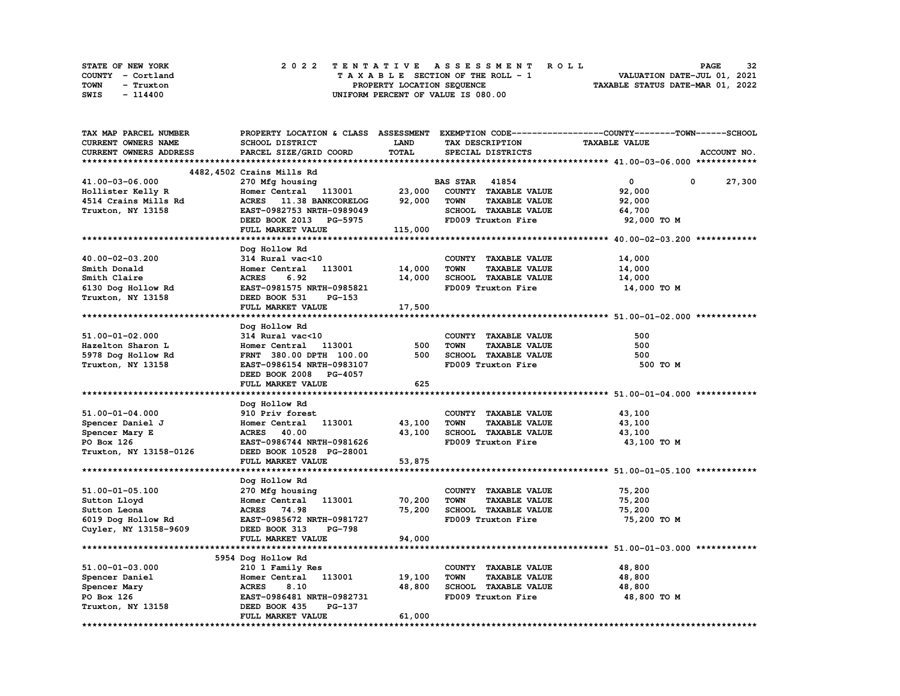| STATE OF NEW YORK |           | 2022 TENTATIVE ASSESSMENT ROLL |                                    |                            |  |  |  |                                  | <b>PAGE</b>                 | 32 |
|-------------------|-----------|--------------------------------|------------------------------------|----------------------------|--|--|--|----------------------------------|-----------------------------|----|
| COUNTY - Cortland |           |                                | TAXABLE SECTION OF THE ROLL - 1    |                            |  |  |  |                                  | VALUATION DATE-JUL 01, 2021 |    |
| TOWN              | - Truxton |                                |                                    | PROPERTY LOCATION SEQUENCE |  |  |  | TAXABLE STATUS DATE-MAR 01, 2022 |                             |    |
| SWIS              | - 114400  |                                | UNIFORM PERCENT OF VALUE IS 080.00 |                            |  |  |  |                                  |                             |    |

| TAX MAP PARCEL NUMBER  | PROPERTY LOCATION & CLASS ASSESSMENT EXEMPTION CODE-----------------COUNTY-------TOWN-----SCHOOL |             |                                     |                      |             |
|------------------------|--------------------------------------------------------------------------------------------------|-------------|-------------------------------------|----------------------|-------------|
| CURRENT OWNERS NAME    | SCHOOL DISTRICT                                                                                  | <b>LAND</b> | TAX DESCRIPTION                     | <b>TAXABLE VALUE</b> |             |
| CURRENT OWNERS ADDRESS | PARCEL SIZE/GRID COORD                                                                           | TOTAL       | SPECIAL DISTRICTS                   |                      | ACCOUNT NO. |
|                        |                                                                                                  |             |                                     |                      |             |
|                        | 4482,4502 Crains Mills Rd                                                                        |             |                                     |                      |             |
| 41.00-03-06.000        | 270 Mfg housing                                                                                  |             | <b>BAS STAR 41854</b>               | $\mathbf{0}$         | 27,300<br>0 |
| Hollister Kelly R      | Homer Central 113001                                                                             | 23,000      | COUNTY TAXABLE VALUE                | 92,000               |             |
| 4514 Crains Mills Rd   | ACRES 11.38 BANKCORELOG                                                                          | 92,000      | <b>TOWN</b><br><b>TAXABLE VALUE</b> | 92,000               |             |
| Truxton, NY 13158      | EAST-0982753 NRTH-0989049                                                                        |             | SCHOOL TAXABLE VALUE                | 64,700               |             |
|                        |                                                                                                  |             | FD009 Truxton Fire                  |                      |             |
|                        | DEED BOOK 2013 PG-5975                                                                           |             |                                     | 92,000 TO M          |             |
|                        | FULL MARKET VALUE                                                                                | 115,000     |                                     |                      |             |
|                        |                                                                                                  |             |                                     |                      |             |
|                        | Dog Hollow Rd                                                                                    |             |                                     |                      |             |
| 40.00-02-03.200        | 314 Rural vac<10                                                                                 |             | COUNTY TAXABLE VALUE                | 14,000               |             |
| Smith Donald           | Homer Central<br>113001                                                                          | 14,000      | <b>TOWN</b><br><b>TAXABLE VALUE</b> | 14,000               |             |
| Smith Claire           | <b>ACRES</b><br>6.92                                                                             | 14,000      | SCHOOL TAXABLE VALUE                | 14,000               |             |
| 6130 Dog Hollow Rd     | EAST-0981575 NRTH-0985821                                                                        |             | FD009 Truxton Fire                  | 14,000 TO M          |             |
| Truxton, NY 13158      | DEED BOOK 531<br><b>PG-153</b>                                                                   |             |                                     |                      |             |
|                        | FULL MARKET VALUE                                                                                | 17,500      |                                     |                      |             |
|                        |                                                                                                  |             |                                     |                      |             |
|                        | Dog Hollow Rd                                                                                    |             |                                     |                      |             |
| 51.00-01-02.000        | 314 Rural vac<10                                                                                 |             | COUNTY TAXABLE VALUE                | 500                  |             |
| Hazelton Sharon L      | Homer Central<br>113001                                                                          | 500         | <b>TOWN</b><br><b>TAXABLE VALUE</b> | 500                  |             |
| 5978 Dog Hollow Rd     | FRNT 380.00 DPTH 100.00                                                                          | 500         | SCHOOL TAXABLE VALUE                | 500                  |             |
| Truxton, NY 13158      | EAST-0986154 NRTH-0983107                                                                        |             | FD009 Truxton Fire                  | 500 TO M             |             |
|                        | DEED BOOK 2008 PG-4057                                                                           |             |                                     |                      |             |
|                        | FULL MARKET VALUE                                                                                | 625         |                                     |                      |             |
|                        |                                                                                                  |             |                                     |                      |             |
|                        |                                                                                                  |             |                                     |                      |             |
|                        | Dog Hollow Rd                                                                                    |             |                                     |                      |             |
| $51.00 - 01 - 04.000$  | 910 Priv forest                                                                                  |             | COUNTY TAXABLE VALUE                | 43,100               |             |
| Spencer Daniel J       | 113001<br>Homer Central                                                                          | 43,100      | <b>TOWN</b><br><b>TAXABLE VALUE</b> | 43,100               |             |
| Spencer Mary E         | ACRES 40.00                                                                                      | 43,100      | SCHOOL TAXABLE VALUE                | 43,100               |             |
| PO Box 126             | EAST-0986744 NRTH-0981626                                                                        |             | FD009 Truxton Fire                  | 43,100 TO M          |             |
| Truxton, NY 13158-0126 | DEED BOOK 10528 PG-28001                                                                         |             |                                     |                      |             |
|                        | FULL MARKET VALUE                                                                                | 53,875      |                                     |                      |             |
|                        |                                                                                                  |             |                                     |                      |             |
|                        | Dog Hollow Rd                                                                                    |             |                                     |                      |             |
| 51.00-01-05.100        | 270 Mfg housing                                                                                  |             | COUNTY TAXABLE VALUE                | 75,200               |             |
| Sutton Lloyd           | Homer Central 113001                                                                             | 70,200      | <b>TOWN</b><br><b>TAXABLE VALUE</b> | 75,200               |             |
| Sutton Leona           | ACRES 74.98                                                                                      | 75,200      | SCHOOL TAXABLE VALUE                | 75,200               |             |
| 6019 Dog Hollow Rd     | EAST-0985672 NRTH-0981727                                                                        |             | FD009 Truxton Fire                  | 75,200 TO M          |             |
| Cuyler, NY 13158-9609  | DEED BOOK 313<br><b>PG-798</b>                                                                   |             |                                     |                      |             |
|                        | FULL MARKET VALUE                                                                                | 94,000      |                                     |                      |             |
|                        |                                                                                                  |             |                                     |                      |             |
|                        | 5954 Dog Hollow Rd                                                                               |             |                                     |                      |             |
| 51.00-01-03.000        | 210 1 Family Res                                                                                 |             | COUNTY TAXABLE VALUE                | 48,800               |             |
| Spencer Daniel         | Homer Central<br>113001                                                                          | 19,100      | <b>TOWN</b><br><b>TAXABLE VALUE</b> | 48,800               |             |
| Spencer Mary           | <b>ACRES</b><br>8.10                                                                             | 48,800      | SCHOOL TAXABLE VALUE                | 48,800               |             |
| PO Box 126             | EAST-0986481 NRTH-0982731                                                                        |             | FD009 Truxton Fire                  | 48,800 TO M          |             |
| Truxton, NY 13158      | PG-137<br>DEED BOOK 435                                                                          |             |                                     |                      |             |
|                        | FULL MARKET VALUE                                                                                | 61,000      |                                     |                      |             |
|                        |                                                                                                  |             |                                     |                      |             |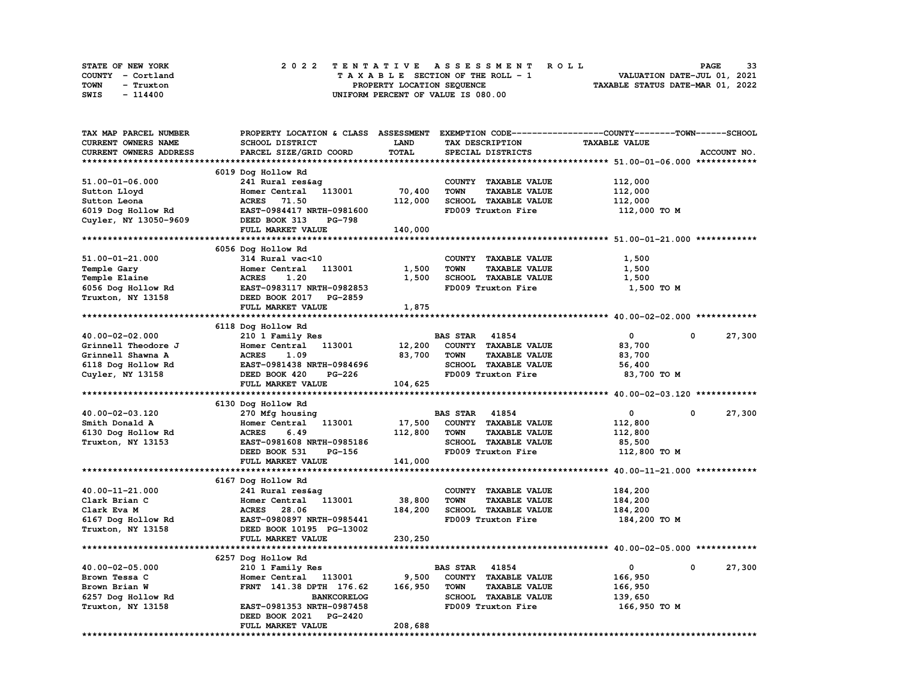| STATE OF NEW YORK | 2022 TENTATIVE ASSESSMENT ROLL     | 33<br><b>PAGE</b>                |
|-------------------|------------------------------------|----------------------------------|
| COUNTY - Cortland | TAXABLE SECTION OF THE ROLL - 1    | VALUATION DATE-JUL 01, 2021      |
| TOWN<br>- Truxton | PROPERTY LOCATION SEQUENCE         | TAXABLE STATUS DATE-MAR 01, 2022 |
| SWIS<br>- 114400  | UNIFORM PERCENT OF VALUE IS 080.00 |                                  |

| TAX MAP PARCEL NUMBER  | PROPERTY LOCATION & CLASS ASSESSMENT EXEMPTION CODE----------------COUNTY-------TOWN-----SCHOOL |         |                                     |                      |                        |
|------------------------|-------------------------------------------------------------------------------------------------|---------|-------------------------------------|----------------------|------------------------|
| CURRENT OWNERS NAME    | SCHOOL DISTRICT                                                                                 | LAND    | TAX DESCRIPTION                     | <b>TAXABLE VALUE</b> |                        |
| CURRENT OWNERS ADDRESS | PARCEL SIZE/GRID COORD                                                                          | TOTAL   | SPECIAL DISTRICTS                   |                      | ACCOUNT NO.            |
|                        |                                                                                                 |         |                                     |                      |                        |
|                        | 6019 Dog Hollow Rd                                                                              |         |                                     |                      |                        |
| 51.00-01-06.000        | 241 Rural res&ag                                                                                |         | COUNTY TAXABLE VALUE                | 112,000              |                        |
| Sutton Lloyd           | Homer Central<br>113001                                                                         | 70,400  | <b>TOWN</b><br><b>TAXABLE VALUE</b> | 112,000              |                        |
| Sutton Leona           | ACRES 71.50                                                                                     | 112,000 | SCHOOL TAXABLE VALUE                | 112,000              |                        |
| 6019 Dog Hollow Rd     | EAST-0984417 NRTH-0981600                                                                       |         | FD009 Truxton Fire                  | 112,000 TO M         |                        |
| Cuyler, NY 13050-9609  | DEED BOOK 313<br><b>PG-798</b>                                                                  |         |                                     |                      |                        |
|                        | FULL MARKET VALUE                                                                               | 140,000 |                                     |                      |                        |
|                        |                                                                                                 |         |                                     |                      |                        |
|                        | 6056 Dog Hollow Rd                                                                              |         |                                     |                      |                        |
| 51.00-01-21.000        | 314 Rural vac<10                                                                                |         | COUNTY TAXABLE VALUE                | 1,500                |                        |
| Temple Gary            | Homer Central<br>113001                                                                         | 1,500   | <b>TOWN</b><br><b>TAXABLE VALUE</b> | 1,500                |                        |
| Temple Elaine          | <b>ACRES</b><br>1.20                                                                            | 1,500   | SCHOOL TAXABLE VALUE                | 1,500                |                        |
| 6056 Dog Hollow Rd     | EAST-0983117 NRTH-0982853                                                                       |         | FD009 Truxton Fire                  | 1,500 TO M           |                        |
| Truxton, NY 13158      | DEED BOOK 2017 PG-2859                                                                          |         |                                     |                      |                        |
|                        | FULL MARKET VALUE                                                                               | 1,875   |                                     |                      |                        |
|                        |                                                                                                 |         |                                     |                      |                        |
|                        | 6118 Dog Hollow Rd                                                                              |         |                                     |                      |                        |
| 40.00-02-02.000        | 210 1 Family Res                                                                                |         | <b>BAS STAR 41854</b>               | $\circ$              | 27,300<br>0            |
| Grinnell Theodore J    | 113001<br>Homer Central                                                                         | 12,200  | COUNTY TAXABLE VALUE                | 83,700               |                        |
| Grinnell Shawna A      | <b>ACRES</b><br>1.09                                                                            | 83,700  | <b>TOWN</b><br><b>TAXABLE VALUE</b> | 83,700               |                        |
| 6118 Dog Hollow Rd     | EAST-0981438 NRTH-0984696                                                                       |         | SCHOOL TAXABLE VALUE                | 56,400               |                        |
| Cuyler, NY 13158       | DEED BOOK 420<br>PG-226                                                                         |         | FD009 Truxton Fire                  | 83,700 TO M          |                        |
|                        | FULL MARKET VALUE                                                                               | 104,625 |                                     |                      |                        |
|                        |                                                                                                 |         |                                     |                      |                        |
|                        | 6130 Dog Hollow Rd                                                                              |         |                                     |                      |                        |
| 40.00-02-03.120        | 270 Mfg housing                                                                                 |         | <b>BAS STAR 41854</b>               | 0                    | $\mathbf 0$<br>27,300  |
| Smith Donald A         | Homer Central 113001                                                                            | 17,500  | COUNTY TAXABLE VALUE                | 112,800              |                        |
| 6130 Dog Hollow Rd     | <b>ACRES</b><br>6.49                                                                            | 112,800 | <b>TOWN</b><br><b>TAXABLE VALUE</b> | 112,800              |                        |
| Truxton, NY 13153      | EAST-0981608 NRTH-0985186                                                                       |         | SCHOOL TAXABLE VALUE                | 85,500               |                        |
|                        | DEED BOOK 531<br>PG-156                                                                         |         | FD009 Truxton Fire                  | 112,800 TO M         |                        |
|                        | FULL MARKET VALUE                                                                               | 141,000 |                                     |                      |                        |
|                        |                                                                                                 |         |                                     |                      |                        |
|                        | 6167 Dog Hollow Rd                                                                              |         |                                     |                      |                        |
| 40.00-11-21.000        | 241 Rural res&ag                                                                                |         | COUNTY TAXABLE VALUE                | 184,200              |                        |
| Clark Brian C          | Homer Central 113001                                                                            | 38,800  | <b>TOWN</b><br><b>TAXABLE VALUE</b> | 184,200              |                        |
| Clark Eva M            | ACRES 28.06                                                                                     | 184,200 | SCHOOL TAXABLE VALUE                | 184,200              |                        |
| 6167 Dog Hollow Rd     | EAST-0980897 NRTH-0985441                                                                       |         | FD009 Truxton Fire                  | 184,200 TO M         |                        |
| Truxton, NY 13158      | DEED BOOK 10195 PG-13002                                                                        |         |                                     |                      |                        |
|                        | FULL MARKET VALUE                                                                               | 230,250 |                                     |                      |                        |
|                        |                                                                                                 |         |                                     |                      |                        |
|                        | 6257 Dog Hollow Rd                                                                              |         |                                     |                      |                        |
| 40.00-02-05.000        | 210 1 Family Res                                                                                |         | <b>BAS STAR 41854</b>               | $\mathbf{0}$         | 27,300<br>$\mathbf{0}$ |
| Brown Tessa C          | Homer Central 113001                                                                            | 9,500   | COUNTY TAXABLE VALUE                | 166,950              |                        |
| Brown Brian W          | FRNT 141.38 DPTH 176.62                                                                         | 166,950 | <b>TOWN</b><br><b>TAXABLE VALUE</b> | 166,950              |                        |
| 6257 Dog Hollow Rd     | <b>BANKCORELOG</b>                                                                              |         | SCHOOL TAXABLE VALUE                | 139,650              |                        |
| Truxton, NY 13158      | EAST-0981353 NRTH-0987458                                                                       |         | FD009 Truxton Fire                  | 166,950 то м         |                        |
|                        | DEED BOOK 2021 PG-2420                                                                          |         |                                     |                      |                        |
|                        | FULL MARKET VALUE                                                                               | 208,688 |                                     |                      |                        |
|                        |                                                                                                 |         |                                     |                      |                        |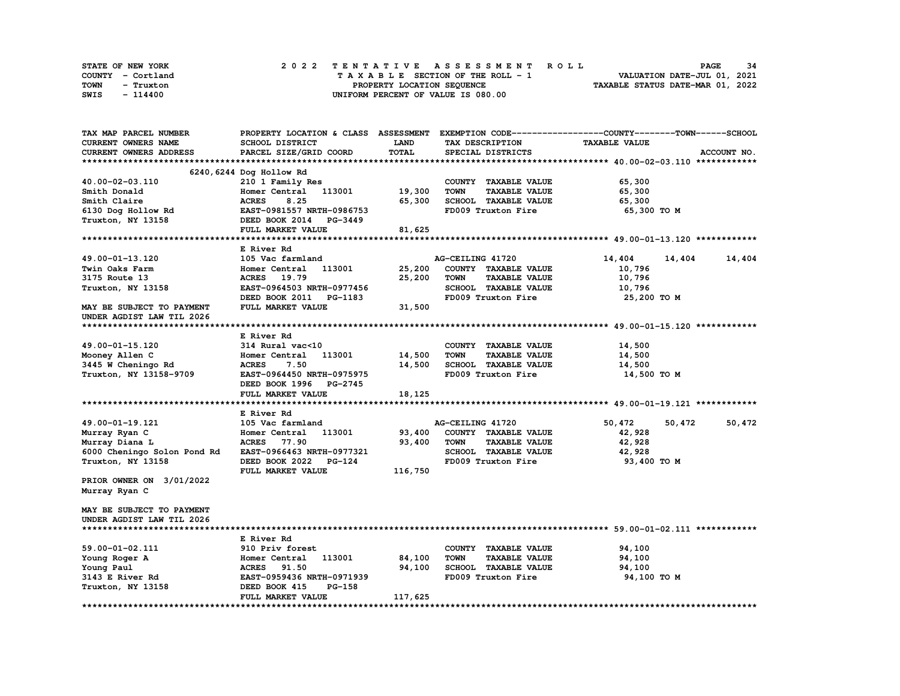| STATE OF NEW YORK | 2022 TENTATIVE ASSESSMENT ROLL     | 34<br><b>PAGE</b>                |
|-------------------|------------------------------------|----------------------------------|
| COUNTY - Cortland | TAXABLE SECTION OF THE ROLL - 1    | VALUATION DATE-JUL 01, 2021      |
| TOWN<br>- Truxton | PROPERTY LOCATION SEQUENCE         | TAXABLE STATUS DATE-MAR 01, 2022 |
| SWIS<br>- 114400  | UNIFORM PERCENT OF VALUE IS 080.00 |                                  |

| TAX MAP PARCEL NUMBER       | PROPERTY LOCATION & CLASS ASSESSMENT |              |                                     | EXEMPTION CODE-----------------COUNTY-------TOWN------SCHOOL |
|-----------------------------|--------------------------------------|--------------|-------------------------------------|--------------------------------------------------------------|
| <b>CURRENT OWNERS NAME</b>  | SCHOOL DISTRICT                      | <b>LAND</b>  | TAX DESCRIPTION                     | <b>TAXABLE VALUE</b>                                         |
| CURRENT OWNERS ADDRESS      | PARCEL SIZE/GRID COORD               | <b>TOTAL</b> | SPECIAL DISTRICTS                   | ACCOUNT NO.                                                  |
|                             |                                      |              |                                     |                                                              |
|                             | 6240, 6244 Dog Hollow Rd             |              |                                     |                                                              |
| 40.00-02-03.110             | 210 1 Family Res                     |              | COUNTY TAXABLE VALUE                | 65,300                                                       |
| Smith Donald                | Homer Central<br>113001              | 19,300       | <b>TOWN</b><br><b>TAXABLE VALUE</b> | 65,300                                                       |
| Smith Claire                | <b>ACRES</b><br>8.25                 | 65,300       | SCHOOL TAXABLE VALUE                | 65,300                                                       |
| 6130 Dog Hollow Rd          | EAST-0981557 NRTH-0986753            |              | FD009 Truxton Fire                  | 65,300 TO M                                                  |
| Truxton, NY 13158           | DEED BOOK 2014<br>PG-3449            |              |                                     |                                                              |
|                             | FULL MARKET VALUE                    | 81,625       |                                     |                                                              |
|                             |                                      |              |                                     |                                                              |
|                             | E River Rd                           |              |                                     |                                                              |
| 49.00-01-13.120             | 105 Vac farmland                     |              | AG-CEILING 41720                    | 14,404<br>14,404<br>14,404                                   |
| Twin Oaks Farm              | 113001<br>Homer Central              | 25,200       | COUNTY TAXABLE VALUE                | 10,796                                                       |
| 3175 Route 13               | <b>ACRES</b><br>19.79                | 25,200       | <b>TAXABLE VALUE</b><br><b>TOWN</b> | 10,796                                                       |
| Truxton, NY 13158           | EAST-0964503 NRTH-0977456            |              | SCHOOL TAXABLE VALUE                | 10,796                                                       |
|                             | DEED BOOK 2011<br>PG-1183            |              | FD009 Truxton Fire                  | 25,200 TO M                                                  |
| MAY BE SUBJECT TO PAYMENT   | FULL MARKET VALUE                    | 31,500       |                                     |                                                              |
| UNDER AGDIST LAW TIL 2026   |                                      |              |                                     |                                                              |
|                             |                                      |              |                                     |                                                              |
|                             | E River Rd                           |              |                                     |                                                              |
| 49.00-01-15.120             | 314 Rural vac<10                     |              | COUNTY TAXABLE VALUE                | 14,500                                                       |
| Mooney Allen C              | 113001<br>Homer Central              | 14,500       | <b>TOWN</b><br><b>TAXABLE VALUE</b> | 14,500                                                       |
| 3445 W Cheningo Rd          | 7.50<br><b>ACRES</b>                 | 14,500       | SCHOOL TAXABLE VALUE                | 14,500                                                       |
| Truxton, NY 13158-9709      | EAST-0964450 NRTH-0975975            |              | FD009 Truxton Fire                  | 14,500 TO M                                                  |
|                             | DEED BOOK 1996 PG-2745               |              |                                     |                                                              |
|                             | FULL MARKET VALUE                    | 18,125       |                                     |                                                              |
|                             |                                      |              |                                     |                                                              |
|                             | E River Rd                           |              |                                     |                                                              |
| 49.00-01-19.121             | 105 Vac farmland                     |              | AG-CEILING 41720                    | 50,472<br>50,472<br>50,472                                   |
| Murray Ryan C               | Homer Central<br>113001              | 93,400       | COUNTY TAXABLE VALUE                | 42,928                                                       |
| Murray Diana L              | <b>ACRES</b> 77.90                   | 93,400       | <b>TOWN</b><br><b>TAXABLE VALUE</b> | 42,928                                                       |
| 6000 Cheningo Solon Pond Rd | EAST-0966463 NRTH-0977321            |              | SCHOOL TAXABLE VALUE                | 42,928                                                       |
| Truxton, NY 13158           | DEED BOOK 2022<br>$PG-124$           |              | FD009 Truxton Fire                  | 93,400 TO M                                                  |
|                             | FULL MARKET VALUE                    | 116,750      |                                     |                                                              |
| PRIOR OWNER ON 3/01/2022    |                                      |              |                                     |                                                              |
| Murray Ryan C               |                                      |              |                                     |                                                              |
|                             |                                      |              |                                     |                                                              |
| MAY BE SUBJECT TO PAYMENT   |                                      |              |                                     |                                                              |
| UNDER AGDIST LAW TIL 2026   |                                      |              |                                     |                                                              |
|                             |                                      |              |                                     |                                                              |
|                             | E River Rd                           |              |                                     |                                                              |
| 59.00-01-02.111             | 910 Priv forest                      |              | COUNTY TAXABLE VALUE                | 94,100                                                       |
| Young Roger A               | 113001<br>Homer Central              | 84,100       | <b>TOWN</b><br><b>TAXABLE VALUE</b> | 94,100                                                       |
| Young Paul                  | 91.50<br><b>ACRES</b>                | 94,100       | SCHOOL TAXABLE VALUE                | 94,100                                                       |
| 3143 E River Rd             | EAST-0959436 NRTH-0971939            |              | FD009 Truxton Fire                  | 94,100 TO M                                                  |
| Truxton, NY 13158           | DEED BOOK 415<br><b>PG-158</b>       |              |                                     |                                                              |
|                             | FULL MARKET VALUE                    | 117,625      |                                     |                                                              |
|                             |                                      |              |                                     |                                                              |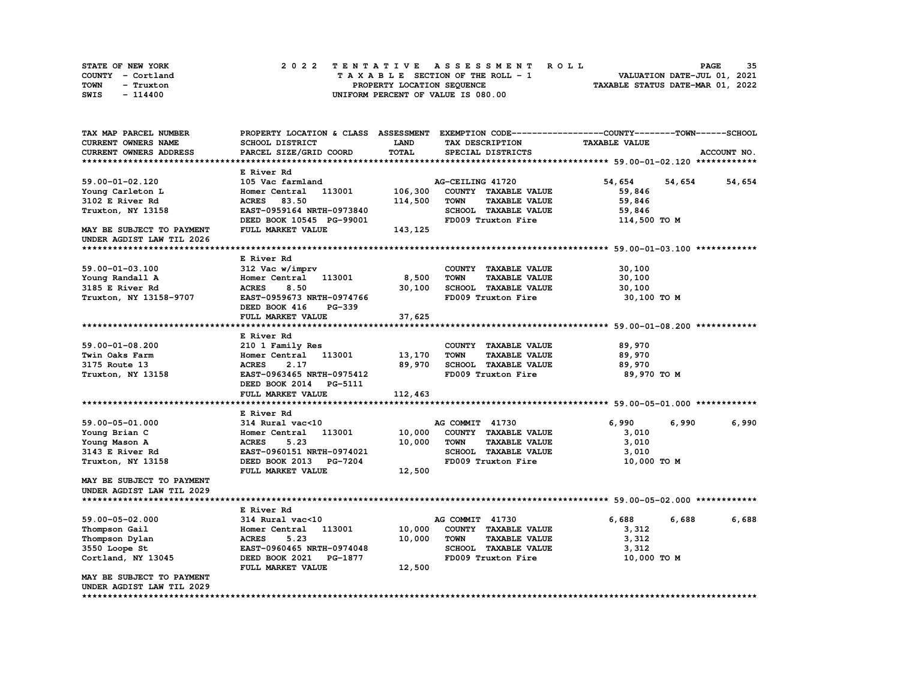| STATE OF NEW YORK | 2022 TENTATIVE ASSESSMENT ROLL     | 35<br><b>PAGE</b>                |
|-------------------|------------------------------------|----------------------------------|
| COUNTY - Cortland | TAXABLE SECTION OF THE ROLL - 1    | VALUATION DATE-JUL 01, 2021      |
| TOWN<br>- Truxton | PROPERTY LOCATION SEQUENCE         | TAXABLE STATUS DATE-MAR 01, 2022 |
| SWIS<br>$-114400$ | UNIFORM PERCENT OF VALUE IS 080.00 |                                  |

| TAX MAP PARCEL NUMBER                                  |                                             |              |                                                             | PROPERTY LOCATION & CLASS ASSESSMENT EXEMPTION CODE----------------COUNTY-------TOWN-----SCHOOL |             |
|--------------------------------------------------------|---------------------------------------------|--------------|-------------------------------------------------------------|-------------------------------------------------------------------------------------------------|-------------|
| CURRENT OWNERS NAME                                    | SCHOOL DISTRICT                             | LAND         | TAX DESCRIPTION                                             | <b>TAXABLE VALUE</b>                                                                            |             |
| CURRENT OWNERS ADDRESS                                 | PARCEL SIZE/GRID COORD                      | <b>TOTAL</b> | SPECIAL DISTRICTS                                           |                                                                                                 | ACCOUNT NO. |
|                                                        |                                             |              |                                                             |                                                                                                 |             |
|                                                        | E River Rd                                  |              |                                                             |                                                                                                 |             |
| 59.00-01-02.120                                        | 105 Vac farmland                            |              | AG-CEILING 41720                                            | 54,654<br>54,654                                                                                | 54,654      |
| Young Carleton L                                       | Homer Central 113001                        | 106,300      | COUNTY TAXABLE VALUE                                        | 59,846                                                                                          |             |
| 3102 E River Rd                                        | <b>ACRES</b><br>83.50                       | 114,500      | <b>TOWN</b><br><b>TAXABLE VALUE</b>                         | 59,846                                                                                          |             |
| Truxton, NY 13158                                      | EAST-0959164 NRTH-0973840                   |              | SCHOOL TAXABLE VALUE                                        | 59,846                                                                                          |             |
|                                                        | DEED BOOK 10545 PG-99001                    |              | FD009 Truxton Fire                                          | 114,500 TO M                                                                                    |             |
| MAY BE SUBJECT TO PAYMENT<br>UNDER AGDIST LAW TIL 2026 | FULL MARKET VALUE                           | 143,125      |                                                             |                                                                                                 |             |
|                                                        |                                             |              |                                                             |                                                                                                 |             |
|                                                        | E River Rd                                  |              |                                                             |                                                                                                 |             |
| 59.00-01-03.100                                        | 312 Vac w/imprv                             |              | COUNTY TAXABLE VALUE                                        | 30,100                                                                                          |             |
| Young Randall A                                        | Homer Central<br>113001                     | 8,500        | <b>TOWN</b><br><b>TAXABLE VALUE</b>                         | 30,100                                                                                          |             |
| 3185 E River Rd                                        | <b>ACRES</b><br>8.50                        | 30,100       | SCHOOL TAXABLE VALUE                                        | 30,100                                                                                          |             |
| Truxton, NY 13158-9707                                 | EAST-0959673 NRTH-0974766                   |              | FD009 Truxton Fire                                          | 30,100 TO M                                                                                     |             |
|                                                        | DEED BOOK 416<br><b>PG-339</b>              |              |                                                             |                                                                                                 |             |
|                                                        | FULL MARKET VALUE                           | 37,625       |                                                             |                                                                                                 |             |
|                                                        |                                             |              |                                                             |                                                                                                 |             |
|                                                        | E River Rd                                  |              |                                                             |                                                                                                 |             |
| 59.00-01-08.200                                        | 210 1 Family Res                            |              | COUNTY TAXABLE VALUE                                        | 89,970                                                                                          |             |
| Twin Oaks Farm                                         | Homer Central 113001                        | 13,170       | <b>TOWN</b><br><b>TAXABLE VALUE</b>                         | 89,970                                                                                          |             |
| 3175 Route 13                                          | 2.17<br><b>ACRES</b>                        | 89,970       | SCHOOL TAXABLE VALUE                                        | 89,970                                                                                          |             |
| Truxton, NY 13158                                      | EAST-0963465 NRTH-0975412                   |              | FD009 Truxton Fire                                          | 89,970 TO M                                                                                     |             |
|                                                        | DEED BOOK 2014<br>PG-5111                   |              |                                                             |                                                                                                 |             |
|                                                        | FULL MARKET VALUE                           | 112,463      |                                                             |                                                                                                 |             |
|                                                        |                                             |              |                                                             |                                                                                                 |             |
|                                                        | E River Rd                                  |              |                                                             |                                                                                                 |             |
| 59.00-05-01.000                                        | 314 Rural vac<10                            |              | AG COMMIT 41730                                             | 6,990<br>6,990                                                                                  | 6,990       |
| Young Brian C                                          | 113001<br>Homer Central                     | 10,000       | COUNTY TAXABLE VALUE                                        | 3,010                                                                                           |             |
| Young Mason A                                          | 5.23<br><b>ACRES</b>                        | 10,000       | <b>TOWN</b><br><b>TAXABLE VALUE</b>                         | 3,010                                                                                           |             |
| 3143 E River Rd                                        | EAST-0960151 NRTH-0974021                   |              | SCHOOL TAXABLE VALUE                                        | 3,010                                                                                           |             |
| Truxton, NY 13158                                      | DEED BOOK 2013 PG-7204                      |              | FD009 Truxton Fire                                          | 10,000 TO M                                                                                     |             |
|                                                        | FULL MARKET VALUE                           | 12,500       |                                                             |                                                                                                 |             |
| MAY BE SUBJECT TO PAYMENT                              |                                             |              |                                                             |                                                                                                 |             |
| UNDER AGDIST LAW TIL 2029                              |                                             |              |                                                             |                                                                                                 |             |
|                                                        |                                             |              |                                                             |                                                                                                 |             |
|                                                        | E River Rd                                  |              | AG COMMIT 41730                                             | 6,688<br>6,688                                                                                  | 6,688       |
| 59.00-05-02.000                                        | 314 Rural vac<10                            |              |                                                             |                                                                                                 |             |
| Thompson Gail                                          | 113001<br>Homer Central                     | 10,000       | COUNTY TAXABLE VALUE                                        | 3,312                                                                                           |             |
| Thompson Dylan                                         | <b>ACRES</b><br>5.23                        | 10,000       | <b>TOWN</b><br><b>TAXABLE VALUE</b><br>SCHOOL TAXABLE VALUE | 3,312                                                                                           |             |
| 3550 Loope St                                          | EAST-0960465 NRTH-0974048                   |              |                                                             | 3,312                                                                                           |             |
| Cortland, NY 13045                                     | DEED BOOK 2021 PG-1877<br>FULL MARKET VALUE | 12,500       | FD009 Truxton Fire                                          | 10,000 TO M                                                                                     |             |
| MAY BE SUBJECT TO PAYMENT                              |                                             |              |                                                             |                                                                                                 |             |
| UNDER AGDIST LAW TIL 2029                              |                                             |              |                                                             |                                                                                                 |             |
|                                                        |                                             |              |                                                             |                                                                                                 |             |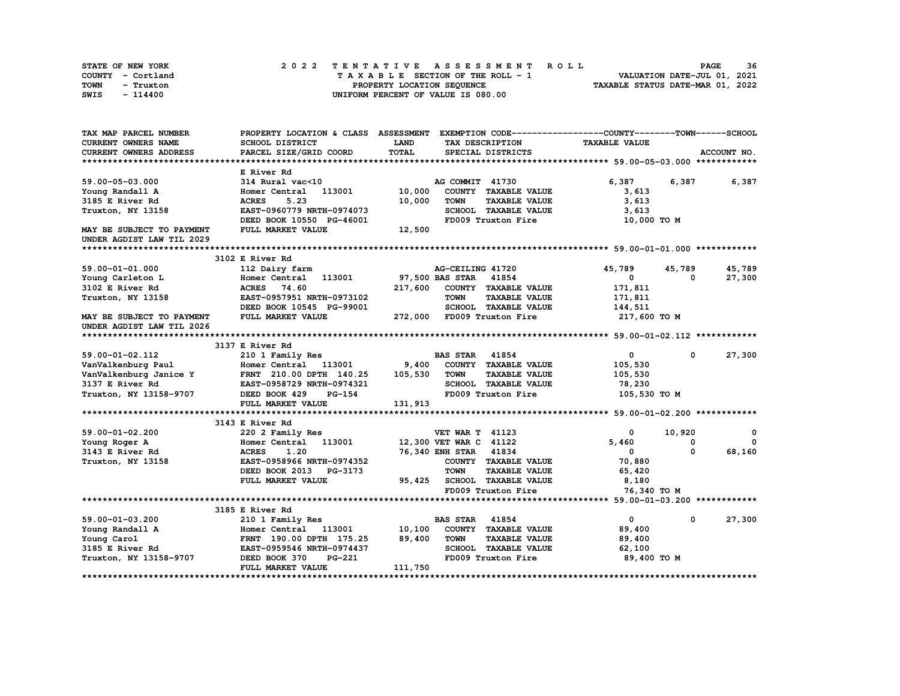| STATE OF NEW YORK | 2022 TENTATIVE ASSESSMENT ROLL     | 36<br><b>PAGE</b>                |
|-------------------|------------------------------------|----------------------------------|
| COUNTY - Cortland | TAXABLE SECTION OF THE ROLL - 1    | VALUATION DATE-JUL 01, 2021      |
| TOWN<br>- Truxton | PROPERTY LOCATION SEQUENCE         | TAXABLE STATUS DATE-MAR 01, 2022 |
| SWIS<br>$-114400$ | UNIFORM PERCENT OF VALUE IS 080.00 |                                  |

| CURRENT OWNERS NAME<br>SCHOOL DISTRICT<br><b>LAND</b><br><b>TAXABLE VALUE</b><br>TAX DESCRIPTION<br>TOTAL<br>CURRENT OWNERS ADDRESS<br>PARCEL SIZE/GRID COORD<br>SPECIAL DISTRICTS<br>ACCOUNT NO.<br>E River Rd<br>6,387<br>6,387<br>59.00-05-03.000<br>314 Rural vac<10<br>AG COMMIT 41730<br>6,387<br>10,000<br>113001<br>COUNTY TAXABLE VALUE<br>Young Randall A<br>Homer Central<br>3,613<br><b>TOWN</b><br>3185 E River Rd<br><b>ACRES</b><br>5.23<br>10,000<br><b>TAXABLE VALUE</b><br>3,613<br>EAST-0960779 NRTH-0974073<br>SCHOOL TAXABLE VALUE<br>Truxton, NY 13158<br>3,613<br>DEED BOOK 10550 PG-46001<br>FD009 Truxton Fire<br>10,000 TO M<br>FULL MARKET VALUE<br>12,500<br>MAY BE SUBJECT TO PAYMENT<br>UNDER AGDIST LAW TIL 2029<br>3102 E River Rd<br>45,789<br>59.00-01-01.000<br>112 Dairy farm<br>AG-CEILING 41720<br>45,789<br>45,789<br>97,500 BAS STAR 41854<br>27,300<br>Homer Central 113001<br>$\mathbf 0$<br>Young Carleton L<br>0<br>3102 E River Rd<br>74.60<br>COUNTY TAXABLE VALUE<br><b>ACRES</b><br>217,600<br>171,811<br><b>TOWN</b><br>Truxton, NY 13158<br>EAST-0957951 NRTH-0973102<br><b>TAXABLE VALUE</b><br>171,811<br>DEED BOOK 10545 PG-99001<br>SCHOOL TAXABLE VALUE<br>144,511<br>FULL MARKET VALUE<br>272,000 FD009 Truxton Fire<br>217,600 TO M<br>MAY BE SUBJECT TO PAYMENT<br>UNDER AGDIST LAW TIL 2026<br>3137 E River Rd<br>59.00-01-02.112<br>210 1 Family Res<br><b>BAS STAR 41854</b><br>$\mathbf{0}$<br>$\mathbf{0}$<br>27,300<br>9,400<br>COUNTY TAXABLE VALUE<br>Homer Central 113001<br>VanValkenburg Paul<br>105,530<br>105,530<br><b>TOWN</b><br><b>TAXABLE VALUE</b><br>VanValkenburg Janice Y<br>FRNT 210.00 DPTH 140.25<br>105,530<br>3137 E River Rd<br>SCHOOL TAXABLE VALUE<br>78,230<br>EAST-0958729 NRTH-0974321<br>Truxton, NY 13158-9707<br>FD009 Truxton Fire<br>105,530 TO M<br>DEED BOOK 429<br><b>PG-154</b><br>FULL MARKET VALUE<br>131,913<br>3143 E River Rd<br>10,920<br>59.00-01-02.200<br><b>VET WAR T 41123</b><br>$^{\circ}$<br>$\mathbf 0$<br>220 2 Family Res<br>12,300 VET WAR C 41122<br>5,460<br>$\mathbf{0}$<br>Homer Central<br>113001<br>0<br>Young Roger A<br>76,340 ENH STAR 41834<br>68,160<br><b>ACRES</b><br>1.20<br>0<br>3143 E River Rd<br>$\mathbf 0$<br>EAST-0958966 NRTH-0974352<br>COUNTY TAXABLE VALUE<br>70,880<br>Truxton, NY 13158<br>DEED BOOK 2013 PG-3173<br><b>TOWN</b><br><b>TAXABLE VALUE</b><br>65,420<br>95,425<br>SCHOOL TAXABLE VALUE<br>8,180<br>FULL MARKET VALUE<br>FD009 Truxton Fire<br>76,340 ТО М<br>3185 E River Rd<br>27,300<br><b>BAS STAR</b> 41854<br>$\mathbf{0}$<br>59.00-01-03.200<br>210 1 Family Res<br>$^{\circ}$<br>10,100<br>COUNTY TAXABLE VALUE<br>Young Randall A<br>Homer Central 113001<br>89,400<br>89,400<br><b>TOWN</b><br><b>TAXABLE VALUE</b><br>Young Carol<br>FRNT 190.00 DPTH 175.25<br>89,400<br>SCHOOL TAXABLE VALUE<br>3185 E River Rd<br>EAST-0959546 NRTH-0974437<br>62,100<br><b>PG-221</b><br>FD009 Truxton Fire<br>Truxton, NY 13158-9707<br>DEED BOOK 370<br>89,400 TO M<br>111,750<br>FULL MARKET VALUE | TAX MAP PARCEL NUMBER | PROPERTY LOCATION & CLASS ASSESSMENT EXEMPTION CODE----------------COUNTY-------TOWN-----SCHOOL |  |  |  |
|--------------------------------------------------------------------------------------------------------------------------------------------------------------------------------------------------------------------------------------------------------------------------------------------------------------------------------------------------------------------------------------------------------------------------------------------------------------------------------------------------------------------------------------------------------------------------------------------------------------------------------------------------------------------------------------------------------------------------------------------------------------------------------------------------------------------------------------------------------------------------------------------------------------------------------------------------------------------------------------------------------------------------------------------------------------------------------------------------------------------------------------------------------------------------------------------------------------------------------------------------------------------------------------------------------------------------------------------------------------------------------------------------------------------------------------------------------------------------------------------------------------------------------------------------------------------------------------------------------------------------------------------------------------------------------------------------------------------------------------------------------------------------------------------------------------------------------------------------------------------------------------------------------------------------------------------------------------------------------------------------------------------------------------------------------------------------------------------------------------------------------------------------------------------------------------------------------------------------------------------------------------------------------------------------------------------------------------------------------------------------------------------------------------------------------------------------------------------------------------------------------------------------------------------------------------------------------------------------------------------------------------------------------------------------------------------------------------------------------------------------------------------------------------------------------------------------------------------------------------------------------------------------------------------------------------------------------------------------------------------------------------------------------------------------------------------|-----------------------|-------------------------------------------------------------------------------------------------|--|--|--|
|                                                                                                                                                                                                                                                                                                                                                                                                                                                                                                                                                                                                                                                                                                                                                                                                                                                                                                                                                                                                                                                                                                                                                                                                                                                                                                                                                                                                                                                                                                                                                                                                                                                                                                                                                                                                                                                                                                                                                                                                                                                                                                                                                                                                                                                                                                                                                                                                                                                                                                                                                                                                                                                                                                                                                                                                                                                                                                                                                                                                                                                                    |                       |                                                                                                 |  |  |  |
|                                                                                                                                                                                                                                                                                                                                                                                                                                                                                                                                                                                                                                                                                                                                                                                                                                                                                                                                                                                                                                                                                                                                                                                                                                                                                                                                                                                                                                                                                                                                                                                                                                                                                                                                                                                                                                                                                                                                                                                                                                                                                                                                                                                                                                                                                                                                                                                                                                                                                                                                                                                                                                                                                                                                                                                                                                                                                                                                                                                                                                                                    |                       |                                                                                                 |  |  |  |
|                                                                                                                                                                                                                                                                                                                                                                                                                                                                                                                                                                                                                                                                                                                                                                                                                                                                                                                                                                                                                                                                                                                                                                                                                                                                                                                                                                                                                                                                                                                                                                                                                                                                                                                                                                                                                                                                                                                                                                                                                                                                                                                                                                                                                                                                                                                                                                                                                                                                                                                                                                                                                                                                                                                                                                                                                                                                                                                                                                                                                                                                    |                       |                                                                                                 |  |  |  |
|                                                                                                                                                                                                                                                                                                                                                                                                                                                                                                                                                                                                                                                                                                                                                                                                                                                                                                                                                                                                                                                                                                                                                                                                                                                                                                                                                                                                                                                                                                                                                                                                                                                                                                                                                                                                                                                                                                                                                                                                                                                                                                                                                                                                                                                                                                                                                                                                                                                                                                                                                                                                                                                                                                                                                                                                                                                                                                                                                                                                                                                                    |                       |                                                                                                 |  |  |  |
|                                                                                                                                                                                                                                                                                                                                                                                                                                                                                                                                                                                                                                                                                                                                                                                                                                                                                                                                                                                                                                                                                                                                                                                                                                                                                                                                                                                                                                                                                                                                                                                                                                                                                                                                                                                                                                                                                                                                                                                                                                                                                                                                                                                                                                                                                                                                                                                                                                                                                                                                                                                                                                                                                                                                                                                                                                                                                                                                                                                                                                                                    |                       |                                                                                                 |  |  |  |
|                                                                                                                                                                                                                                                                                                                                                                                                                                                                                                                                                                                                                                                                                                                                                                                                                                                                                                                                                                                                                                                                                                                                                                                                                                                                                                                                                                                                                                                                                                                                                                                                                                                                                                                                                                                                                                                                                                                                                                                                                                                                                                                                                                                                                                                                                                                                                                                                                                                                                                                                                                                                                                                                                                                                                                                                                                                                                                                                                                                                                                                                    |                       |                                                                                                 |  |  |  |
|                                                                                                                                                                                                                                                                                                                                                                                                                                                                                                                                                                                                                                                                                                                                                                                                                                                                                                                                                                                                                                                                                                                                                                                                                                                                                                                                                                                                                                                                                                                                                                                                                                                                                                                                                                                                                                                                                                                                                                                                                                                                                                                                                                                                                                                                                                                                                                                                                                                                                                                                                                                                                                                                                                                                                                                                                                                                                                                                                                                                                                                                    |                       |                                                                                                 |  |  |  |
|                                                                                                                                                                                                                                                                                                                                                                                                                                                                                                                                                                                                                                                                                                                                                                                                                                                                                                                                                                                                                                                                                                                                                                                                                                                                                                                                                                                                                                                                                                                                                                                                                                                                                                                                                                                                                                                                                                                                                                                                                                                                                                                                                                                                                                                                                                                                                                                                                                                                                                                                                                                                                                                                                                                                                                                                                                                                                                                                                                                                                                                                    |                       |                                                                                                 |  |  |  |
|                                                                                                                                                                                                                                                                                                                                                                                                                                                                                                                                                                                                                                                                                                                                                                                                                                                                                                                                                                                                                                                                                                                                                                                                                                                                                                                                                                                                                                                                                                                                                                                                                                                                                                                                                                                                                                                                                                                                                                                                                                                                                                                                                                                                                                                                                                                                                                                                                                                                                                                                                                                                                                                                                                                                                                                                                                                                                                                                                                                                                                                                    |                       |                                                                                                 |  |  |  |
|                                                                                                                                                                                                                                                                                                                                                                                                                                                                                                                                                                                                                                                                                                                                                                                                                                                                                                                                                                                                                                                                                                                                                                                                                                                                                                                                                                                                                                                                                                                                                                                                                                                                                                                                                                                                                                                                                                                                                                                                                                                                                                                                                                                                                                                                                                                                                                                                                                                                                                                                                                                                                                                                                                                                                                                                                                                                                                                                                                                                                                                                    |                       |                                                                                                 |  |  |  |
|                                                                                                                                                                                                                                                                                                                                                                                                                                                                                                                                                                                                                                                                                                                                                                                                                                                                                                                                                                                                                                                                                                                                                                                                                                                                                                                                                                                                                                                                                                                                                                                                                                                                                                                                                                                                                                                                                                                                                                                                                                                                                                                                                                                                                                                                                                                                                                                                                                                                                                                                                                                                                                                                                                                                                                                                                                                                                                                                                                                                                                                                    |                       |                                                                                                 |  |  |  |
|                                                                                                                                                                                                                                                                                                                                                                                                                                                                                                                                                                                                                                                                                                                                                                                                                                                                                                                                                                                                                                                                                                                                                                                                                                                                                                                                                                                                                                                                                                                                                                                                                                                                                                                                                                                                                                                                                                                                                                                                                                                                                                                                                                                                                                                                                                                                                                                                                                                                                                                                                                                                                                                                                                                                                                                                                                                                                                                                                                                                                                                                    |                       |                                                                                                 |  |  |  |
|                                                                                                                                                                                                                                                                                                                                                                                                                                                                                                                                                                                                                                                                                                                                                                                                                                                                                                                                                                                                                                                                                                                                                                                                                                                                                                                                                                                                                                                                                                                                                                                                                                                                                                                                                                                                                                                                                                                                                                                                                                                                                                                                                                                                                                                                                                                                                                                                                                                                                                                                                                                                                                                                                                                                                                                                                                                                                                                                                                                                                                                                    |                       |                                                                                                 |  |  |  |
|                                                                                                                                                                                                                                                                                                                                                                                                                                                                                                                                                                                                                                                                                                                                                                                                                                                                                                                                                                                                                                                                                                                                                                                                                                                                                                                                                                                                                                                                                                                                                                                                                                                                                                                                                                                                                                                                                                                                                                                                                                                                                                                                                                                                                                                                                                                                                                                                                                                                                                                                                                                                                                                                                                                                                                                                                                                                                                                                                                                                                                                                    |                       |                                                                                                 |  |  |  |
|                                                                                                                                                                                                                                                                                                                                                                                                                                                                                                                                                                                                                                                                                                                                                                                                                                                                                                                                                                                                                                                                                                                                                                                                                                                                                                                                                                                                                                                                                                                                                                                                                                                                                                                                                                                                                                                                                                                                                                                                                                                                                                                                                                                                                                                                                                                                                                                                                                                                                                                                                                                                                                                                                                                                                                                                                                                                                                                                                                                                                                                                    |                       |                                                                                                 |  |  |  |
|                                                                                                                                                                                                                                                                                                                                                                                                                                                                                                                                                                                                                                                                                                                                                                                                                                                                                                                                                                                                                                                                                                                                                                                                                                                                                                                                                                                                                                                                                                                                                                                                                                                                                                                                                                                                                                                                                                                                                                                                                                                                                                                                                                                                                                                                                                                                                                                                                                                                                                                                                                                                                                                                                                                                                                                                                                                                                                                                                                                                                                                                    |                       |                                                                                                 |  |  |  |
|                                                                                                                                                                                                                                                                                                                                                                                                                                                                                                                                                                                                                                                                                                                                                                                                                                                                                                                                                                                                                                                                                                                                                                                                                                                                                                                                                                                                                                                                                                                                                                                                                                                                                                                                                                                                                                                                                                                                                                                                                                                                                                                                                                                                                                                                                                                                                                                                                                                                                                                                                                                                                                                                                                                                                                                                                                                                                                                                                                                                                                                                    |                       |                                                                                                 |  |  |  |
|                                                                                                                                                                                                                                                                                                                                                                                                                                                                                                                                                                                                                                                                                                                                                                                                                                                                                                                                                                                                                                                                                                                                                                                                                                                                                                                                                                                                                                                                                                                                                                                                                                                                                                                                                                                                                                                                                                                                                                                                                                                                                                                                                                                                                                                                                                                                                                                                                                                                                                                                                                                                                                                                                                                                                                                                                                                                                                                                                                                                                                                                    |                       |                                                                                                 |  |  |  |
|                                                                                                                                                                                                                                                                                                                                                                                                                                                                                                                                                                                                                                                                                                                                                                                                                                                                                                                                                                                                                                                                                                                                                                                                                                                                                                                                                                                                                                                                                                                                                                                                                                                                                                                                                                                                                                                                                                                                                                                                                                                                                                                                                                                                                                                                                                                                                                                                                                                                                                                                                                                                                                                                                                                                                                                                                                                                                                                                                                                                                                                                    |                       |                                                                                                 |  |  |  |
|                                                                                                                                                                                                                                                                                                                                                                                                                                                                                                                                                                                                                                                                                                                                                                                                                                                                                                                                                                                                                                                                                                                                                                                                                                                                                                                                                                                                                                                                                                                                                                                                                                                                                                                                                                                                                                                                                                                                                                                                                                                                                                                                                                                                                                                                                                                                                                                                                                                                                                                                                                                                                                                                                                                                                                                                                                                                                                                                                                                                                                                                    |                       |                                                                                                 |  |  |  |
|                                                                                                                                                                                                                                                                                                                                                                                                                                                                                                                                                                                                                                                                                                                                                                                                                                                                                                                                                                                                                                                                                                                                                                                                                                                                                                                                                                                                                                                                                                                                                                                                                                                                                                                                                                                                                                                                                                                                                                                                                                                                                                                                                                                                                                                                                                                                                                                                                                                                                                                                                                                                                                                                                                                                                                                                                                                                                                                                                                                                                                                                    |                       |                                                                                                 |  |  |  |
|                                                                                                                                                                                                                                                                                                                                                                                                                                                                                                                                                                                                                                                                                                                                                                                                                                                                                                                                                                                                                                                                                                                                                                                                                                                                                                                                                                                                                                                                                                                                                                                                                                                                                                                                                                                                                                                                                                                                                                                                                                                                                                                                                                                                                                                                                                                                                                                                                                                                                                                                                                                                                                                                                                                                                                                                                                                                                                                                                                                                                                                                    |                       |                                                                                                 |  |  |  |
|                                                                                                                                                                                                                                                                                                                                                                                                                                                                                                                                                                                                                                                                                                                                                                                                                                                                                                                                                                                                                                                                                                                                                                                                                                                                                                                                                                                                                                                                                                                                                                                                                                                                                                                                                                                                                                                                                                                                                                                                                                                                                                                                                                                                                                                                                                                                                                                                                                                                                                                                                                                                                                                                                                                                                                                                                                                                                                                                                                                                                                                                    |                       |                                                                                                 |  |  |  |
|                                                                                                                                                                                                                                                                                                                                                                                                                                                                                                                                                                                                                                                                                                                                                                                                                                                                                                                                                                                                                                                                                                                                                                                                                                                                                                                                                                                                                                                                                                                                                                                                                                                                                                                                                                                                                                                                                                                                                                                                                                                                                                                                                                                                                                                                                                                                                                                                                                                                                                                                                                                                                                                                                                                                                                                                                                                                                                                                                                                                                                                                    |                       |                                                                                                 |  |  |  |
|                                                                                                                                                                                                                                                                                                                                                                                                                                                                                                                                                                                                                                                                                                                                                                                                                                                                                                                                                                                                                                                                                                                                                                                                                                                                                                                                                                                                                                                                                                                                                                                                                                                                                                                                                                                                                                                                                                                                                                                                                                                                                                                                                                                                                                                                                                                                                                                                                                                                                                                                                                                                                                                                                                                                                                                                                                                                                                                                                                                                                                                                    |                       |                                                                                                 |  |  |  |
|                                                                                                                                                                                                                                                                                                                                                                                                                                                                                                                                                                                                                                                                                                                                                                                                                                                                                                                                                                                                                                                                                                                                                                                                                                                                                                                                                                                                                                                                                                                                                                                                                                                                                                                                                                                                                                                                                                                                                                                                                                                                                                                                                                                                                                                                                                                                                                                                                                                                                                                                                                                                                                                                                                                                                                                                                                                                                                                                                                                                                                                                    |                       |                                                                                                 |  |  |  |
|                                                                                                                                                                                                                                                                                                                                                                                                                                                                                                                                                                                                                                                                                                                                                                                                                                                                                                                                                                                                                                                                                                                                                                                                                                                                                                                                                                                                                                                                                                                                                                                                                                                                                                                                                                                                                                                                                                                                                                                                                                                                                                                                                                                                                                                                                                                                                                                                                                                                                                                                                                                                                                                                                                                                                                                                                                                                                                                                                                                                                                                                    |                       |                                                                                                 |  |  |  |
|                                                                                                                                                                                                                                                                                                                                                                                                                                                                                                                                                                                                                                                                                                                                                                                                                                                                                                                                                                                                                                                                                                                                                                                                                                                                                                                                                                                                                                                                                                                                                                                                                                                                                                                                                                                                                                                                                                                                                                                                                                                                                                                                                                                                                                                                                                                                                                                                                                                                                                                                                                                                                                                                                                                                                                                                                                                                                                                                                                                                                                                                    |                       |                                                                                                 |  |  |  |
|                                                                                                                                                                                                                                                                                                                                                                                                                                                                                                                                                                                                                                                                                                                                                                                                                                                                                                                                                                                                                                                                                                                                                                                                                                                                                                                                                                                                                                                                                                                                                                                                                                                                                                                                                                                                                                                                                                                                                                                                                                                                                                                                                                                                                                                                                                                                                                                                                                                                                                                                                                                                                                                                                                                                                                                                                                                                                                                                                                                                                                                                    |                       |                                                                                                 |  |  |  |
|                                                                                                                                                                                                                                                                                                                                                                                                                                                                                                                                                                                                                                                                                                                                                                                                                                                                                                                                                                                                                                                                                                                                                                                                                                                                                                                                                                                                                                                                                                                                                                                                                                                                                                                                                                                                                                                                                                                                                                                                                                                                                                                                                                                                                                                                                                                                                                                                                                                                                                                                                                                                                                                                                                                                                                                                                                                                                                                                                                                                                                                                    |                       |                                                                                                 |  |  |  |
|                                                                                                                                                                                                                                                                                                                                                                                                                                                                                                                                                                                                                                                                                                                                                                                                                                                                                                                                                                                                                                                                                                                                                                                                                                                                                                                                                                                                                                                                                                                                                                                                                                                                                                                                                                                                                                                                                                                                                                                                                                                                                                                                                                                                                                                                                                                                                                                                                                                                                                                                                                                                                                                                                                                                                                                                                                                                                                                                                                                                                                                                    |                       |                                                                                                 |  |  |  |
|                                                                                                                                                                                                                                                                                                                                                                                                                                                                                                                                                                                                                                                                                                                                                                                                                                                                                                                                                                                                                                                                                                                                                                                                                                                                                                                                                                                                                                                                                                                                                                                                                                                                                                                                                                                                                                                                                                                                                                                                                                                                                                                                                                                                                                                                                                                                                                                                                                                                                                                                                                                                                                                                                                                                                                                                                                                                                                                                                                                                                                                                    |                       |                                                                                                 |  |  |  |
|                                                                                                                                                                                                                                                                                                                                                                                                                                                                                                                                                                                                                                                                                                                                                                                                                                                                                                                                                                                                                                                                                                                                                                                                                                                                                                                                                                                                                                                                                                                                                                                                                                                                                                                                                                                                                                                                                                                                                                                                                                                                                                                                                                                                                                                                                                                                                                                                                                                                                                                                                                                                                                                                                                                                                                                                                                                                                                                                                                                                                                                                    |                       |                                                                                                 |  |  |  |
|                                                                                                                                                                                                                                                                                                                                                                                                                                                                                                                                                                                                                                                                                                                                                                                                                                                                                                                                                                                                                                                                                                                                                                                                                                                                                                                                                                                                                                                                                                                                                                                                                                                                                                                                                                                                                                                                                                                                                                                                                                                                                                                                                                                                                                                                                                                                                                                                                                                                                                                                                                                                                                                                                                                                                                                                                                                                                                                                                                                                                                                                    |                       |                                                                                                 |  |  |  |
|                                                                                                                                                                                                                                                                                                                                                                                                                                                                                                                                                                                                                                                                                                                                                                                                                                                                                                                                                                                                                                                                                                                                                                                                                                                                                                                                                                                                                                                                                                                                                                                                                                                                                                                                                                                                                                                                                                                                                                                                                                                                                                                                                                                                                                                                                                                                                                                                                                                                                                                                                                                                                                                                                                                                                                                                                                                                                                                                                                                                                                                                    |                       |                                                                                                 |  |  |  |
|                                                                                                                                                                                                                                                                                                                                                                                                                                                                                                                                                                                                                                                                                                                                                                                                                                                                                                                                                                                                                                                                                                                                                                                                                                                                                                                                                                                                                                                                                                                                                                                                                                                                                                                                                                                                                                                                                                                                                                                                                                                                                                                                                                                                                                                                                                                                                                                                                                                                                                                                                                                                                                                                                                                                                                                                                                                                                                                                                                                                                                                                    |                       |                                                                                                 |  |  |  |
|                                                                                                                                                                                                                                                                                                                                                                                                                                                                                                                                                                                                                                                                                                                                                                                                                                                                                                                                                                                                                                                                                                                                                                                                                                                                                                                                                                                                                                                                                                                                                                                                                                                                                                                                                                                                                                                                                                                                                                                                                                                                                                                                                                                                                                                                                                                                                                                                                                                                                                                                                                                                                                                                                                                                                                                                                                                                                                                                                                                                                                                                    |                       |                                                                                                 |  |  |  |
|                                                                                                                                                                                                                                                                                                                                                                                                                                                                                                                                                                                                                                                                                                                                                                                                                                                                                                                                                                                                                                                                                                                                                                                                                                                                                                                                                                                                                                                                                                                                                                                                                                                                                                                                                                                                                                                                                                                                                                                                                                                                                                                                                                                                                                                                                                                                                                                                                                                                                                                                                                                                                                                                                                                                                                                                                                                                                                                                                                                                                                                                    |                       |                                                                                                 |  |  |  |
|                                                                                                                                                                                                                                                                                                                                                                                                                                                                                                                                                                                                                                                                                                                                                                                                                                                                                                                                                                                                                                                                                                                                                                                                                                                                                                                                                                                                                                                                                                                                                                                                                                                                                                                                                                                                                                                                                                                                                                                                                                                                                                                                                                                                                                                                                                                                                                                                                                                                                                                                                                                                                                                                                                                                                                                                                                                                                                                                                                                                                                                                    |                       |                                                                                                 |  |  |  |
|                                                                                                                                                                                                                                                                                                                                                                                                                                                                                                                                                                                                                                                                                                                                                                                                                                                                                                                                                                                                                                                                                                                                                                                                                                                                                                                                                                                                                                                                                                                                                                                                                                                                                                                                                                                                                                                                                                                                                                                                                                                                                                                                                                                                                                                                                                                                                                                                                                                                                                                                                                                                                                                                                                                                                                                                                                                                                                                                                                                                                                                                    |                       |                                                                                                 |  |  |  |
|                                                                                                                                                                                                                                                                                                                                                                                                                                                                                                                                                                                                                                                                                                                                                                                                                                                                                                                                                                                                                                                                                                                                                                                                                                                                                                                                                                                                                                                                                                                                                                                                                                                                                                                                                                                                                                                                                                                                                                                                                                                                                                                                                                                                                                                                                                                                                                                                                                                                                                                                                                                                                                                                                                                                                                                                                                                                                                                                                                                                                                                                    |                       |                                                                                                 |  |  |  |
|                                                                                                                                                                                                                                                                                                                                                                                                                                                                                                                                                                                                                                                                                                                                                                                                                                                                                                                                                                                                                                                                                                                                                                                                                                                                                                                                                                                                                                                                                                                                                                                                                                                                                                                                                                                                                                                                                                                                                                                                                                                                                                                                                                                                                                                                                                                                                                                                                                                                                                                                                                                                                                                                                                                                                                                                                                                                                                                                                                                                                                                                    |                       |                                                                                                 |  |  |  |
|                                                                                                                                                                                                                                                                                                                                                                                                                                                                                                                                                                                                                                                                                                                                                                                                                                                                                                                                                                                                                                                                                                                                                                                                                                                                                                                                                                                                                                                                                                                                                                                                                                                                                                                                                                                                                                                                                                                                                                                                                                                                                                                                                                                                                                                                                                                                                                                                                                                                                                                                                                                                                                                                                                                                                                                                                                                                                                                                                                                                                                                                    |                       |                                                                                                 |  |  |  |
|                                                                                                                                                                                                                                                                                                                                                                                                                                                                                                                                                                                                                                                                                                                                                                                                                                                                                                                                                                                                                                                                                                                                                                                                                                                                                                                                                                                                                                                                                                                                                                                                                                                                                                                                                                                                                                                                                                                                                                                                                                                                                                                                                                                                                                                                                                                                                                                                                                                                                                                                                                                                                                                                                                                                                                                                                                                                                                                                                                                                                                                                    |                       |                                                                                                 |  |  |  |
|                                                                                                                                                                                                                                                                                                                                                                                                                                                                                                                                                                                                                                                                                                                                                                                                                                                                                                                                                                                                                                                                                                                                                                                                                                                                                                                                                                                                                                                                                                                                                                                                                                                                                                                                                                                                                                                                                                                                                                                                                                                                                                                                                                                                                                                                                                                                                                                                                                                                                                                                                                                                                                                                                                                                                                                                                                                                                                                                                                                                                                                                    |                       |                                                                                                 |  |  |  |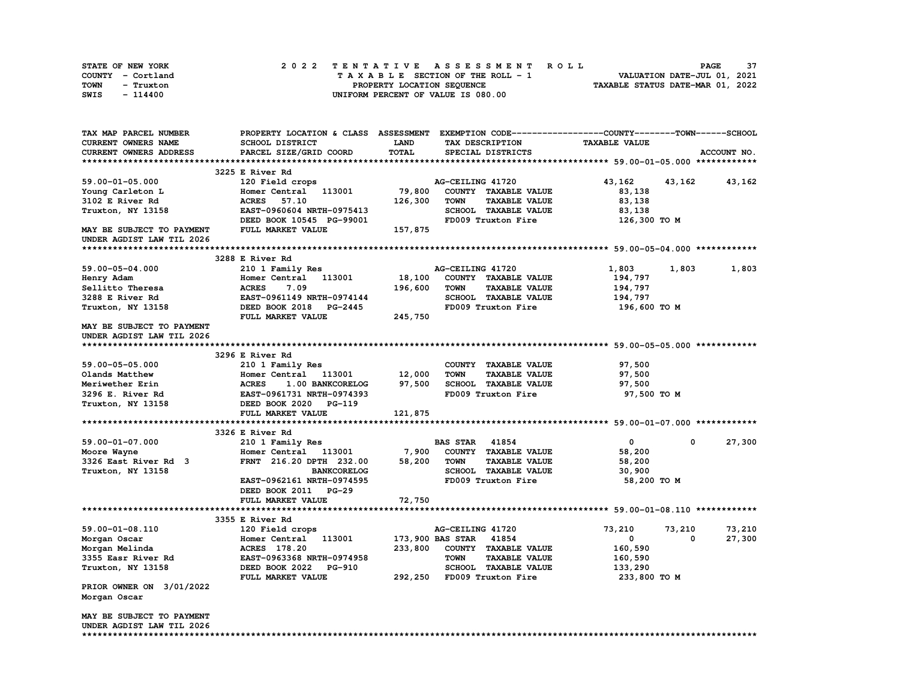| STATE OF NEW YORK | 2022 TENTATIVE ASSESSMENT ROLL     | 37<br><b>PAGE</b>                |
|-------------------|------------------------------------|----------------------------------|
| COUNTY - Cortland | TAXABLE SECTION OF THE ROLL - 1    | VALUATION DATE-JUL 01, 2021      |
| TOWN<br>- Truxton | PROPERTY LOCATION SEQUENCE         | TAXABLE STATUS DATE-MAR 01, 2022 |
| SWIS<br>$-114400$ | UNIFORM PERCENT OF VALUE IS 080.00 |                                  |

| TAX MAP PARCEL NUMBER     | PROPERTY LOCATION & CLASS ASSESSMENT EXEMPTION CODE----------------COUNTY-------TOWN-----SCHOOL |              |                                     |                      |          |             |
|---------------------------|-------------------------------------------------------------------------------------------------|--------------|-------------------------------------|----------------------|----------|-------------|
| CURRENT OWNERS NAME       | <b>SCHOOL DISTRICT</b>                                                                          | LAND         | TAX DESCRIPTION                     | <b>TAXABLE VALUE</b> |          |             |
| CURRENT OWNERS ADDRESS    | PARCEL SIZE/GRID COORD                                                                          | <b>TOTAL</b> | SPECIAL DISTRICTS                   |                      |          | ACCOUNT NO. |
|                           |                                                                                                 |              |                                     |                      |          |             |
|                           | 3225 E River Rd                                                                                 |              |                                     |                      |          |             |
| 59.00-01-05.000           | 120 Field crops                                                                                 |              | AG-CEILING 41720                    | 43,162               | 43,162   | 43,162      |
| Young Carleton L          | Homer Central<br>113001                                                                         | 79,800       | COUNTY TAXABLE VALUE                | 83,138               |          |             |
| 3102 E River Rd           | <b>ACRES</b><br>57.10                                                                           | 126,300      | <b>TAXABLE VALUE</b><br>TOWN        | 83,138               |          |             |
| Truxton, NY 13158         | EAST-0960604 NRTH-0975413                                                                       |              | SCHOOL TAXABLE VALUE                | 83,138               |          |             |
|                           | DEED BOOK 10545 PG-99001                                                                        |              | FD009 Truxton Fire                  | 126,300 TO M         |          |             |
| MAY BE SUBJECT TO PAYMENT | FULL MARKET VALUE                                                                               | 157,875      |                                     |                      |          |             |
| UNDER AGDIST LAW TIL 2026 |                                                                                                 |              |                                     |                      |          |             |
|                           |                                                                                                 |              |                                     |                      |          |             |
|                           |                                                                                                 |              |                                     |                      |          |             |
|                           | 3288 E River Rd                                                                                 |              |                                     |                      |          |             |
| $59.00 - 05 - 04.000$     | 210 1 Family Res                                                                                |              | AG-CEILING 41720                    | 1,803                | 1,803    | 1,803       |
| Henry Adam                | Homer Central<br>113001                                                                         | 18,100       | COUNTY TAXABLE VALUE                | 194,797              |          |             |
| Sellitto Theresa          | <b>ACRES</b><br>7.09                                                                            | 196,600      | <b>TOWN</b><br><b>TAXABLE VALUE</b> | 194,797              |          |             |
| 3288 E River Rd           | EAST-0961149 NRTH-0974144                                                                       |              | SCHOOL TAXABLE VALUE                | 194,797              |          |             |
| Truxton, NY 13158         | DEED BOOK 2018 PG-2445                                                                          |              | FD009 Truxton Fire                  | 196,600 то м         |          |             |
|                           | FULL MARKET VALUE                                                                               | 245,750      |                                     |                      |          |             |
| MAY BE SUBJECT TO PAYMENT |                                                                                                 |              |                                     |                      |          |             |
| UNDER AGDIST LAW TIL 2026 |                                                                                                 |              |                                     |                      |          |             |
|                           |                                                                                                 |              |                                     |                      |          |             |
|                           | 3296 E River Rd                                                                                 |              |                                     |                      |          |             |
| 59.00-05-05.000           | 210 1 Family Res                                                                                |              | COUNTY TAXABLE VALUE                | 97,500               |          |             |
| Olands Matthew            | Homer Central<br>113001                                                                         | 12,000       | <b>TAXABLE VALUE</b><br><b>TOWN</b> | 97,500               |          |             |
| Meriwether Erin           | <b>ACRES</b><br>1.00 BANKCORELOG                                                                | 97,500       | SCHOOL TAXABLE VALUE                | 97,500               |          |             |
| 3296 E. River Rd          | EAST-0961731 NRTH-0974393                                                                       |              | FD009 Truxton Fire                  | 97,500 TO M          |          |             |
| Truxton, NY 13158         | DEED BOOK 2020 PG-119                                                                           |              |                                     |                      |          |             |
|                           | FULL MARKET VALUE                                                                               | 121,875      |                                     |                      |          |             |
|                           |                                                                                                 |              |                                     |                      |          |             |
|                           | 3326 E River Rd                                                                                 |              |                                     |                      |          |             |
| 59.00-01-07.000           | 210 1 Family Res                                                                                |              | <b>BAS STAR 41854</b>               | $\mathbf 0$          | $\Omega$ | 27,300      |
| Moore Wayne               | Homer Central<br>113001                                                                         | 7,900        | COUNTY TAXABLE VALUE                | 58,200               |          |             |
| 3326 East River Rd 3      | FRNT 216.20 DPTH 232.00                                                                         | 58,200       | <b>TOWN</b><br><b>TAXABLE VALUE</b> | 58,200               |          |             |
| Truxton, NY 13158         | <b>BANKCORELOG</b>                                                                              |              | <b>SCHOOL TAXABLE VALUE</b>         | 30,900               |          |             |
|                           | EAST-0962161 NRTH-0974595                                                                       |              | FD009 Truxton Fire                  | 58,200 TO M          |          |             |
|                           | DEED BOOK 2011 PG-29                                                                            |              |                                     |                      |          |             |
|                           | FULL MARKET VALUE                                                                               | 72,750       |                                     |                      |          |             |
|                           |                                                                                                 |              |                                     |                      |          |             |
|                           | 3355 E River Rd                                                                                 |              |                                     |                      |          |             |
|                           |                                                                                                 |              |                                     |                      |          |             |
| 59.00-01-08.110           | 120 Field crops                                                                                 |              | AG-CEILING 41720                    | 73,210               | 73,210   | 73,210      |
| Morgan Oscar              | Homer Central 113001                                                                            |              | 173,900 BAS STAR<br>41854           | 0                    | $\Omega$ | 27,300      |
| Morgan Melinda            | <b>ACRES</b> 178.20                                                                             | 233,800      | COUNTY TAXABLE VALUE                | 160,590              |          |             |
| 3355 Easr River Rd        | EAST-0963368 NRTH-0974958                                                                       |              | <b>TOWN</b><br><b>TAXABLE VALUE</b> | 160,590              |          |             |
| Truxton, NY 13158         | DEED BOOK 2022<br><b>PG-910</b>                                                                 |              | SCHOOL TAXABLE VALUE                | 133,290              |          |             |
|                           | FULL MARKET VALUE                                                                               | 292,250      | FD009 Truxton Fire                  | 233,800 TO M         |          |             |
| PRIOR OWNER ON 3/01/2022  |                                                                                                 |              |                                     |                      |          |             |
| Morgan Oscar              |                                                                                                 |              |                                     |                      |          |             |
| MAY BE SUBJECT TO PAYMENT |                                                                                                 |              |                                     |                      |          |             |
| UNDER AGDIST LAW TIL 2026 |                                                                                                 |              |                                     |                      |          |             |
|                           |                                                                                                 |              |                                     |                      |          |             |
|                           |                                                                                                 |              |                                     |                      |          |             |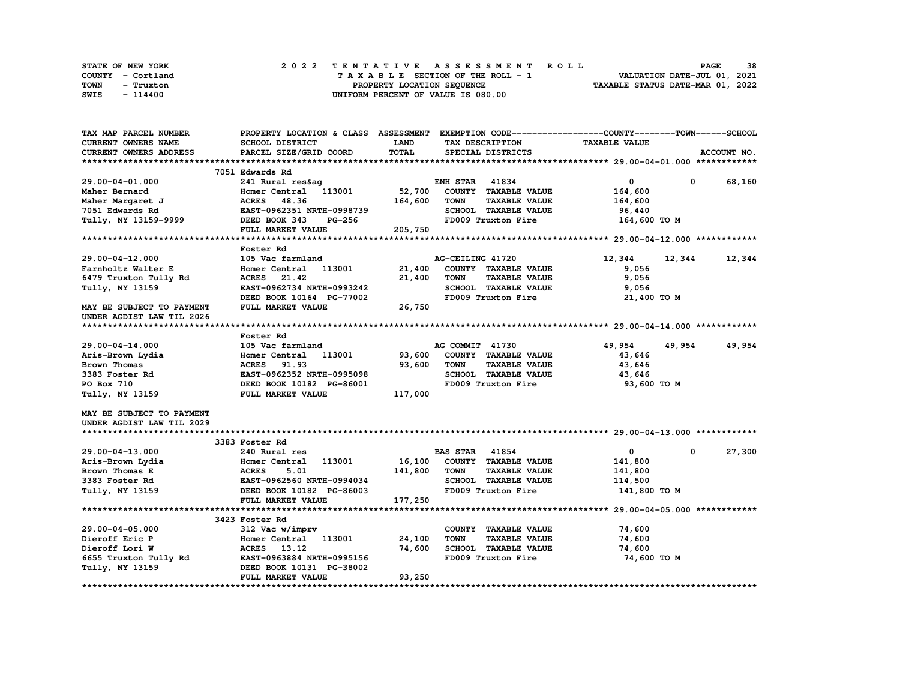| STATE OF NEW YORK | 2022 TENTATIVE ASSESSMENT ROLL     | 38<br><b>PAGE</b>                |
|-------------------|------------------------------------|----------------------------------|
| COUNTY - Cortland | TAXABLE SECTION OF THE ROLL - 1    | VALUATION DATE-JUL 01, 2021      |
| TOWN<br>- Truxton | PROPERTY LOCATION SEQUENCE         | TAXABLE STATUS DATE-MAR 01, 2022 |
| SWIS<br>- 114400  | UNIFORM PERCENT OF VALUE IS 080.00 |                                  |

| TAX MAP PARCEL NUMBER      | PROPERTY LOCATION & CLASS ASSESSMENT |         |                       |                      | EXEMPTION CODE-----------------COUNTY-------TOWN------SCHOOL |            |             |
|----------------------------|--------------------------------------|---------|-----------------------|----------------------|--------------------------------------------------------------|------------|-------------|
| <b>CURRENT OWNERS NAME</b> | SCHOOL DISTRICT                      | LAND    |                       | TAX DESCRIPTION      | <b>TAXABLE VALUE</b>                                         |            |             |
| CURRENT OWNERS ADDRESS     | PARCEL SIZE/GRID COORD               | TOTAL   |                       | SPECIAL DISTRICTS    |                                                              |            | ACCOUNT NO. |
|                            |                                      |         |                       |                      |                                                              |            |             |
|                            | 7051 Edwards Rd                      |         |                       |                      |                                                              |            |             |
| 29.00-04-01.000            | 241 Rural res&ag                     |         | <b>ENH STAR</b>       | 41834                | 0                                                            | $^{\circ}$ | 68,160      |
| Maher Bernard              | Homer Central 113001                 | 52,700  |                       | COUNTY TAXABLE VALUE | 164,600                                                      |            |             |
| Maher Margaret J           | 48.36<br><b>ACRES</b>                | 164,600 | <b>TOWN</b>           | <b>TAXABLE VALUE</b> | 164,600                                                      |            |             |
| 7051 Edwards Rd            | EAST-0962351 NRTH-0998739            |         |                       | SCHOOL TAXABLE VALUE | 96,440                                                       |            |             |
| Tully, NY 13159-9999       | DEED BOOK 343<br><b>PG-256</b>       |         |                       | FD009 Truxton Fire   | 164,600 TO M                                                 |            |             |
|                            | FULL MARKET VALUE                    | 205,750 |                       |                      |                                                              |            |             |
|                            |                                      |         |                       |                      |                                                              |            |             |
|                            | Foster Rd                            |         |                       |                      |                                                              |            |             |
| 29.00-04-12.000            | 105 Vac farmland                     |         | AG-CEILING 41720      |                      | 12,344                                                       |            | 12,344      |
|                            | 113001                               | 21,400  |                       | COUNTY TAXABLE VALUE |                                                              | 12,344     |             |
| Farnholtz Walter E         | Homer Central                        |         |                       |                      | 9,056                                                        |            |             |
| 6479 Truxton Tully Rd      | ACRES 21.42                          | 21,400  | <b>TOWN</b>           | <b>TAXABLE VALUE</b> | 9,056                                                        |            |             |
| Tully, NY 13159            | EAST-0962734 NRTH-0993242            |         |                       | SCHOOL TAXABLE VALUE | 9,056                                                        |            |             |
|                            | DEED BOOK 10164 PG-77002             |         |                       | FD009 Truxton Fire   | 21,400 TO M                                                  |            |             |
| MAY BE SUBJECT TO PAYMENT  | FULL MARKET VALUE                    | 26,750  |                       |                      |                                                              |            |             |
| UNDER AGDIST LAW TIL 2026  |                                      |         |                       |                      |                                                              |            |             |
|                            |                                      |         |                       |                      |                                                              |            |             |
|                            | Foster Rd                            |         |                       |                      |                                                              |            |             |
| 29.00-04-14.000            | 105 Vac farmland                     |         | AG COMMIT 41730       |                      | 49,954                                                       | 49,954     | 49,954      |
| Aris-Brown Lydia           | Homer Central 113001                 | 93,600  |                       | COUNTY TAXABLE VALUE | 43,646                                                       |            |             |
| Brown Thomas               | <b>ACRES</b><br>91.93                | 93,600  | <b>TOWN</b>           | <b>TAXABLE VALUE</b> | 43,646                                                       |            |             |
| 3383 Foster Rd             | EAST-0962352 NRTH-0995098            |         |                       | SCHOOL TAXABLE VALUE | 43,646                                                       |            |             |
| PO Box 710                 | DEED BOOK 10182 PG-86001             |         |                       | FD009 Truxton Fire   | 93,600 TO M                                                  |            |             |
| Tully, NY 13159            | FULL MARKET VALUE                    | 117,000 |                       |                      |                                                              |            |             |
|                            |                                      |         |                       |                      |                                                              |            |             |
| MAY BE SUBJECT TO PAYMENT  |                                      |         |                       |                      |                                                              |            |             |
| UNDER AGDIST LAW TIL 2029  |                                      |         |                       |                      |                                                              |            |             |
|                            |                                      |         |                       |                      |                                                              |            |             |
|                            | 3383 Foster Rd                       |         |                       |                      |                                                              |            |             |
| 29.00-04-13.000            | 240 Rural res                        |         | <b>BAS STAR 41854</b> |                      | $\mathbf 0$                                                  | $^{\circ}$ | 27,300      |
| Aris-Brown Lydia           | 113001<br>Homer Central              | 16,100  |                       | COUNTY TAXABLE VALUE | 141,800                                                      |            |             |
| Brown Thomas E             | <b>ACRES</b><br>5.01                 | 141,800 | <b>TOWN</b>           | <b>TAXABLE VALUE</b> | 141,800                                                      |            |             |
| 3383 Foster Rd             | EAST-0962560 NRTH-0994034            |         |                       | SCHOOL TAXABLE VALUE | 114,500                                                      |            |             |
|                            |                                      |         |                       |                      |                                                              |            |             |
| Tully, NY 13159            | DEED BOOK 10182 PG-86003             |         |                       | FD009 Truxton Fire   | 141,800 TO M                                                 |            |             |
|                            | FULL MARKET VALUE                    | 177,250 |                       |                      |                                                              |            |             |
|                            |                                      |         |                       |                      |                                                              |            |             |
|                            | 3423 Foster Rd                       |         |                       |                      |                                                              |            |             |
| $29.00 - 04 - 05.000$      | 312 Vac w/imprv                      |         |                       | COUNTY TAXABLE VALUE | 74,600                                                       |            |             |
| Dieroff Eric P             | Homer Central<br>113001              | 24,100  | <b>TOWN</b>           | <b>TAXABLE VALUE</b> | 74,600                                                       |            |             |
| Dieroff Lori W             | ACRES 13.12                          | 74,600  |                       | SCHOOL TAXABLE VALUE | 74,600                                                       |            |             |
| 6655 Truxton Tully Rd      | EAST-0963884 NRTH-0995156            |         |                       | FD009 Truxton Fire   | 74,600 TO M                                                  |            |             |
| Tully, NY 13159            | DEED BOOK 10131 PG-38002             |         |                       |                      |                                                              |            |             |
|                            | FULL MARKET VALUE                    | 93,250  |                       |                      |                                                              |            |             |
|                            |                                      |         |                       |                      |                                                              |            |             |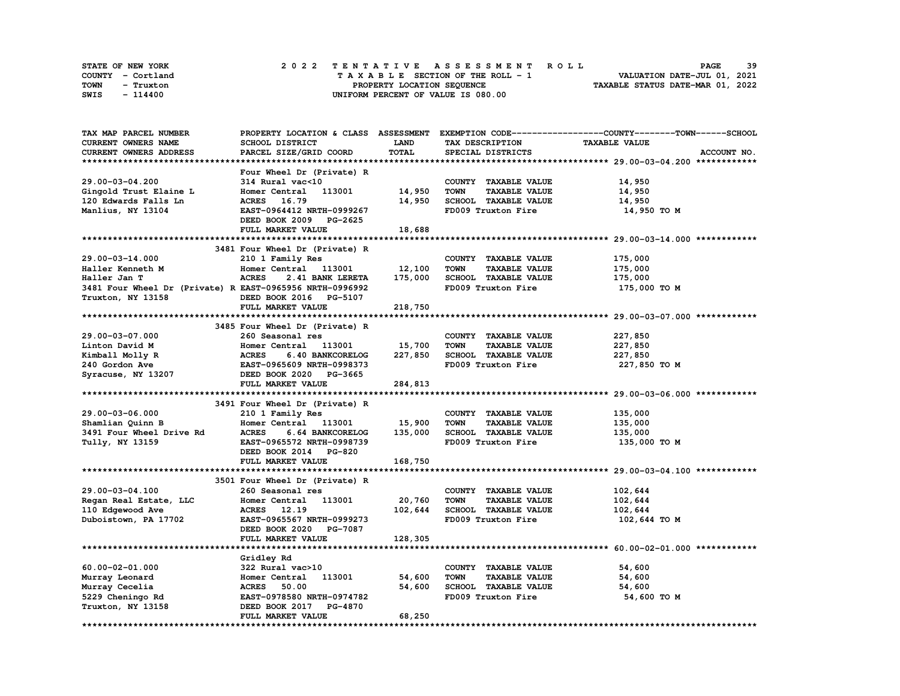| STATE OF NEW YORK |           |  |  |  |  |  | 2022 TENTATIVE ASSESSMENT ROLL     |  |  |  |  |  |  |                                  |  | <b>PAGE</b>                 | -39 |
|-------------------|-----------|--|--|--|--|--|------------------------------------|--|--|--|--|--|--|----------------------------------|--|-----------------------------|-----|
| COUNTY - Cortland |           |  |  |  |  |  | TAXABLE SECTION OF THE ROLL - 1    |  |  |  |  |  |  |                                  |  | VALUATION DATE-JUL 01, 2021 |     |
| TOWN              | - Truxton |  |  |  |  |  | PROPERTY LOCATION SEQUENCE         |  |  |  |  |  |  | TAXABLE STATUS DATE-MAR 01, 2022 |  |                             |     |
| SWIS              | - 114400  |  |  |  |  |  | UNIFORM PERCENT OF VALUE IS 080.00 |  |  |  |  |  |  |                                  |  |                             |     |

| TAX MAP PARCEL NUMBER                                    |                                                                                  |             |                                     | PROPERTY LOCATION & CLASS ASSESSMENT EXEMPTION CODE----------------COUNTY-------TOWN-----SCHOOL |
|----------------------------------------------------------|----------------------------------------------------------------------------------|-------------|-------------------------------------|-------------------------------------------------------------------------------------------------|
| <b>CURRENT OWNERS NAME</b>                               | SCHOOL DISTRICT                                                                  | <b>LAND</b> | TAX DESCRIPTION                     | <b>TAXABLE VALUE</b>                                                                            |
| CURRENT OWNERS ADDRESS                                   | PARCEL SIZE/GRID COORD                                                           | TOTAL       | SPECIAL DISTRICTS                   | ACCOUNT NO.                                                                                     |
|                                                          |                                                                                  |             |                                     |                                                                                                 |
|                                                          | Four Wheel Dr (Private) R                                                        |             |                                     |                                                                                                 |
| 29.00-03-04.200                                          | 314 Rural vac<10                                                                 |             | COUNTY TAXABLE VALUE                | 14,950                                                                                          |
| Gingold Trust Elaine L                                   | Homer Central<br>113001                                                          | 14,950      | <b>TOWN</b><br><b>TAXABLE VALUE</b> | 14,950                                                                                          |
| 120 Edwards Falls Ln                                     | ACRES 16.79                                                                      | 14,950      | SCHOOL TAXABLE VALUE                | 14,950                                                                                          |
| Manlius, NY 13104                                        | EAST-0964412 NRTH-0999267                                                        |             | FD009 Truxton Fire                  | 14,950 TO M                                                                                     |
|                                                          | DEED BOOK 2009 PG-2625                                                           |             |                                     |                                                                                                 |
|                                                          | FULL MARKET VALUE                                                                | 18,688      |                                     |                                                                                                 |
|                                                          |                                                                                  |             |                                     |                                                                                                 |
|                                                          | 3481 Four Wheel Dr (Private) R                                                   |             |                                     |                                                                                                 |
| 29.00-03-14.000                                          | 210 1 Family Res                                                                 |             | COUNTY TAXABLE VALUE                | 175,000                                                                                         |
| Haller Kenneth M                                         | Homer Central 113001                                                             | 12,100      | <b>TOWN</b><br><b>TAXABLE VALUE</b> | 175,000                                                                                         |
| Haller Jan T                                             | <b>ACRES</b><br>2.41 BANK LERETA                                                 | 175,000     | SCHOOL TAXABLE VALUE                | 175,000                                                                                         |
| 3481 Four Wheel Dr (Private) R EAST-0965956 NRTH-0996992 |                                                                                  |             | FD009 Truxton Fire                  | 175,000 TO M                                                                                    |
| Truxton, NY 13158                                        | DEED BOOK 2016 PG-5107                                                           |             |                                     |                                                                                                 |
|                                                          | FULL MARKET VALUE                                                                | 218,750     |                                     |                                                                                                 |
|                                                          |                                                                                  |             |                                     |                                                                                                 |
|                                                          | 3485 Four Wheel Dr (Private) R                                                   |             |                                     |                                                                                                 |
| 29.00-03-07.000                                          | 260 Seasonal res                                                                 |             | COUNTY TAXABLE VALUE                | 227,850                                                                                         |
| Linton David M                                           | Homer Central<br>113001                                                          | 15,700      | <b>TAXABLE VALUE</b><br>TOWN        | 227,850                                                                                         |
| Kimball Molly R                                          | <b>ACRES</b><br>6.40 BANKCORELOG                                                 | 227,850     | SCHOOL TAXABLE VALUE                | 227,850                                                                                         |
| 240 Gordon Ave                                           | EAST-0965609 NRTH-0998373<br>EAST-0965609 NRTH-0998373<br>DEED BOOK 2020 PG-3665 |             | FD009 Truxton Fire                  | 227,850 то м                                                                                    |
| Syracuse, NY 13207                                       | DEED BOOK 2020 PG-3665                                                           |             |                                     |                                                                                                 |
|                                                          | FULL MARKET VALUE                                                                | 284,813     |                                     |                                                                                                 |
|                                                          |                                                                                  |             |                                     |                                                                                                 |
|                                                          | 3491 Four Wheel Dr (Private) R                                                   |             |                                     |                                                                                                 |
| 29.00-03-06.000                                          | 210 1 Family Res                                                                 |             | COUNTY TAXABLE VALUE                | 135,000                                                                                         |
| Shamlian Quinn B                                         | Homer Central 113001                                                             | 15,900      | <b>TOWN</b><br><b>TAXABLE VALUE</b> | 135,000                                                                                         |
| 3491 Four Wheel Drive Rd                                 | <b>ACRES</b><br>6.64 BANKCORELOG                                                 | 135,000     | SCHOOL TAXABLE VALUE                | 135,000                                                                                         |
| Tully, NY 13159                                          | EAST-0965572 NRTH-0998739                                                        |             | FD009 Truxton Fire                  | 135,000 то м                                                                                    |
|                                                          | DEED BOOK 2014 PG-820                                                            |             |                                     |                                                                                                 |
|                                                          | FULL MARKET VALUE                                                                | 168,750     |                                     |                                                                                                 |
|                                                          |                                                                                  |             |                                     |                                                                                                 |
|                                                          | 3501 Four Wheel Dr (Private) R                                                   |             |                                     |                                                                                                 |
| 29.00-03-04.100                                          | 260 Seasonal res                                                                 |             | COUNTY TAXABLE VALUE                | 102,644                                                                                         |
| Regan Real Estate, LLC                                   | Homer Central 113001                                                             | 20,760      | <b>TOWN</b><br><b>TAXABLE VALUE</b> | 102,644                                                                                         |
| 110 Edgewood Ave                                         | ACRES 12.19                                                                      | 102,644     | SCHOOL TAXABLE VALUE                | 102,644                                                                                         |
| Duboistown, PA 17702                                     | EAST-0965567 NRTH-0999273                                                        |             | FD009 Truxton Fire                  | 102,644 то м                                                                                    |
|                                                          | DEED BOOK 2020 PG-7087                                                           |             |                                     |                                                                                                 |
|                                                          | FULL MARKET VALUE                                                                | 128,305     |                                     |                                                                                                 |
|                                                          |                                                                                  |             |                                     |                                                                                                 |
|                                                          | Gridley Rd                                                                       |             |                                     |                                                                                                 |
| $60.00 - 02 - 01.000$                                    | 322 Rural vac>10                                                                 |             | COUNTY TAXABLE VALUE                | 54,600                                                                                          |
| Murray Leonard                                           | 113001<br>Homer Central                                                          | 54,600      | <b>TOWN</b><br><b>TAXABLE VALUE</b> | 54,600                                                                                          |
| Murray Cecelia                                           | <b>ACRES</b> 50.00                                                               | 54,600      | SCHOOL TAXABLE VALUE                | 54,600                                                                                          |
| 5229 Cheningo Rd                                         | EAST-0978580 NRTH-0974782                                                        |             | FD009 Truxton Fire                  | 54,600 TO M                                                                                     |
| Truxton, NY 13158                                        | DEED BOOK 2017 PG-4870                                                           |             |                                     |                                                                                                 |
|                                                          | FULL MARKET VALUE                                                                | 68,250      |                                     |                                                                                                 |
|                                                          |                                                                                  |             |                                     |                                                                                                 |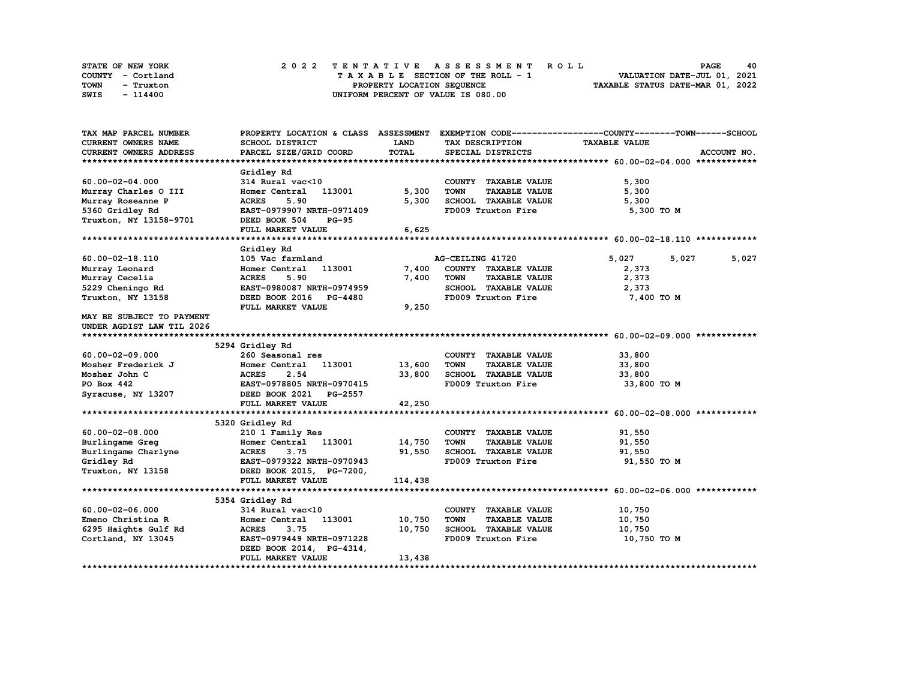| STATE OF NEW YORK | 2022 TENTATIVE ASSESSMENT ROLL     | 40<br><b>PAGE</b>                |
|-------------------|------------------------------------|----------------------------------|
| COUNTY - Cortland | TAXABLE SECTION OF THE ROLL - 1    | VALUATION DATE-JUL 01, 2021      |
| TOWN<br>- Truxton | PROPERTY LOCATION SEQUENCE         | TAXABLE STATUS DATE-MAR 01, 2022 |
| SWIS<br>- 114400  | UNIFORM PERCENT OF VALUE IS 080.00 |                                  |

| TAX MAP PARCEL NUMBER                      | PROPERTY LOCATION & CLASS ASSESSMENT       |             |                                     | EXEMPTION CODE-----------------COUNTY-------TOWN------SCHOOL |
|--------------------------------------------|--------------------------------------------|-------------|-------------------------------------|--------------------------------------------------------------|
| <b>CURRENT OWNERS NAME</b>                 | SCHOOL DISTRICT                            | <b>LAND</b> | TAX DESCRIPTION                     | <b>TAXABLE VALUE</b>                                         |
| <b>CURRENT OWNERS ADDRESS</b>              | PARCEL SIZE/GRID COORD                     | TOTAL       | SPECIAL DISTRICTS                   | ACCOUNT NO.                                                  |
|                                            |                                            |             |                                     |                                                              |
|                                            | Gridley Rd                                 |             |                                     |                                                              |
| $60.00 - 02 - 04.000$                      | 314 Rural vac<10                           |             | COUNTY TAXABLE VALUE                | 5,300                                                        |
| Murray Charles O III                       | 113001<br>Homer Central                    | 5,300       | <b>TOWN</b><br><b>TAXABLE VALUE</b> | 5,300                                                        |
| Murray Roseanne P                          | 5.90<br><b>ACRES</b>                       | 5,300       | SCHOOL TAXABLE VALUE                | 5,300                                                        |
| 5360 Gridley Rd                            | EAST-0979907 NRTH-0971409                  |             | FD009 Truxton Fire                  | 5,300 TO M                                                   |
| Truxton, NY 13158-9701                     | DEED BOOK 504<br><b>PG-95</b>              |             |                                     |                                                              |
|                                            | FULL MARKET VALUE                          | 6,625       |                                     |                                                              |
|                                            |                                            |             |                                     |                                                              |
|                                            | Gridley Rd                                 |             |                                     |                                                              |
| 60.00-02-18.110                            | 105 Vac farmland                           |             | AG-CEILING 41720                    | 5,027<br>5,027<br>5,027                                      |
| Murray Leonard                             | Homer Central 113001                       | 7,400       | COUNTY TAXABLE VALUE                | 2,373                                                        |
| Murray Cecelia                             | 5.90<br><b>ACRES</b>                       | 7,400       | <b>TOWN</b><br><b>TAXABLE VALUE</b> | 2,373                                                        |
| 5229 Cheningo Rd                           | EAST-0980087 NRTH-0974959                  |             | SCHOOL TAXABLE VALUE                | 2,373                                                        |
| Truxton, NY 13158                          | DEED BOOK 2016 PG-4480                     |             | FD009 Truxton Fire                  | 7,400 TO M                                                   |
|                                            | FULL MARKET VALUE                          | 9,250       |                                     |                                                              |
| MAY BE SUBJECT TO PAYMENT                  |                                            |             |                                     |                                                              |
| UNDER AGDIST LAW TIL 2026                  |                                            |             |                                     |                                                              |
|                                            |                                            |             |                                     |                                                              |
|                                            | 5294 Gridley Rd                            |             |                                     |                                                              |
| $60.00 - 02 - 09.000$                      | 260 Seasonal res                           |             | COUNTY TAXABLE VALUE                | 33,800                                                       |
| Mosher Frederick J                         | Homer Central 113001                       | 13,600      | <b>TOWN</b><br><b>TAXABLE VALUE</b> | 33,800                                                       |
| Mosher John C                              | <b>ACRES</b><br>2.54                       | 33,800      | SCHOOL TAXABLE VALUE                | 33,800                                                       |
| PO Box 442                                 | EAST-0978805 NRTH-0970415                  |             | FD009 Truxton Fire                  | 33,800 TO M                                                  |
| Syracuse, NY 13207                         | DEED BOOK 2021 PG-2557                     |             |                                     |                                                              |
|                                            | FULL MARKET VALUE                          | 42,250      |                                     |                                                              |
|                                            |                                            |             |                                     |                                                              |
|                                            | 5320 Gridley Rd                            |             |                                     |                                                              |
| $60.00 - 02 - 08.000$                      | 210 1 Family Res                           |             | COUNTY TAXABLE VALUE                | 91,550                                                       |
| Burlingame Greg                            | Homer Central 113001                       | 14,750      | <b>TAXABLE VALUE</b><br><b>TOWN</b> | 91,550                                                       |
| Burlingame Charlyne                        | 3.75                                       | 91,550      | SCHOOL TAXABLE VALUE                | 91,550                                                       |
| Gridley Rd                                 | 20 ACRES 3.75<br>EAST-0979322 NRTH-0970943 |             | FD009 Truxton Fire                  | 91,550 TO M                                                  |
| Truxton, NY 13158 DEED BOOK 2015, PG-7200, |                                            |             |                                     |                                                              |
|                                            | FULL MARKET VALUE                          | 114,438     |                                     |                                                              |
|                                            |                                            |             |                                     |                                                              |
|                                            | 5354 Gridley Rd                            |             |                                     |                                                              |
| $60.00 - 02 - 06.000$                      | 314 Rural vac<10                           |             | COUNTY TAXABLE VALUE                | 10,750                                                       |
| Emeno Christina R                          | 113001<br>Homer Central                    | 10,750      | <b>TOWN</b><br><b>TAXABLE VALUE</b> | 10,750                                                       |
| 6295 Haights Gulf Rd                       | <b>ACRES</b><br>3.75                       | 10,750      | SCHOOL TAXABLE VALUE                | 10,750                                                       |
| Cortland, NY 13045                         | EAST-0979449 NRTH-0971228                  |             | FD009 Truxton Fire                  | 10,750 TO M                                                  |
|                                            | DEED BOOK 2014, PG-4314,                   |             |                                     |                                                              |
|                                            | FULL MARKET VALUE                          | 13,438      |                                     |                                                              |
|                                            |                                            |             |                                     |                                                              |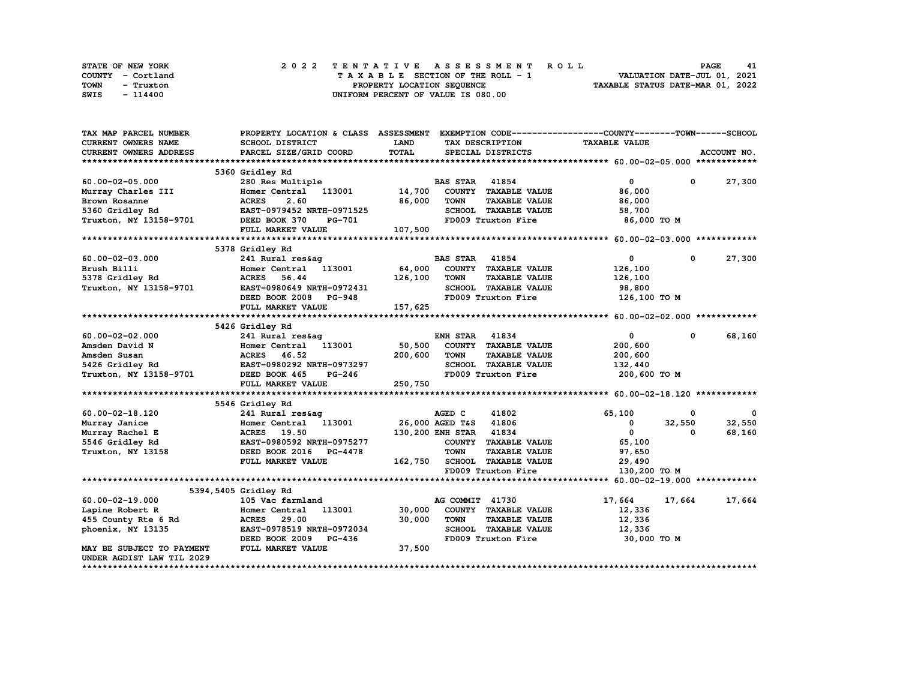| STATE OF NEW YORK | 2022 TENTATIVE ASSESSMENT ROLL     | <b>PAGE</b><br>41                |
|-------------------|------------------------------------|----------------------------------|
| COUNTY - Cortland | TAXABLE SECTION OF THE ROLL - 1    | VALUATION DATE-JUL 01, 2021      |
| TOWN<br>- Truxton | PROPERTY LOCATION SEQUENCE         | TAXABLE STATUS DATE-MAR 01, 2022 |
| SWIS<br>- 114400  | UNIFORM PERCENT OF VALUE IS 080.00 |                                  |

| TAX MAP PARCEL NUMBER      | PROPERTY LOCATION & CLASS ASSESSMENT |         |                        |                      | EXEMPTION CODE-----------------COUNTY-------TOWN-----SCHOOL |            |             |
|----------------------------|--------------------------------------|---------|------------------------|----------------------|-------------------------------------------------------------|------------|-------------|
| <b>CURRENT OWNERS NAME</b> | SCHOOL DISTRICT                      | LAND    |                        | TAX DESCRIPTION      | <b>TAXABLE VALUE</b>                                        |            |             |
| CURRENT OWNERS ADDRESS     | PARCEL SIZE/GRID COORD               | TOTAL   |                        | SPECIAL DISTRICTS    |                                                             |            | ACCOUNT NO. |
|                            |                                      |         |                        |                      |                                                             |            |             |
|                            | 5360 Gridley Rd                      |         |                        |                      |                                                             |            |             |
| $60.00 - 02 - 05.000$      | 280 Res Multiple                     |         | <b>BAS STAR 41854</b>  |                      | $\mathbf{0}$                                                | $^{\circ}$ | 27,300      |
| Murray Charles III         | Homer Central 113001                 | 14,700  |                        | COUNTY TAXABLE VALUE | 86,000                                                      |            |             |
| Brown Rosanne              | 2.60<br><b>ACRES</b>                 | 86,000  | <b>TOWN</b>            | <b>TAXABLE VALUE</b> | 86,000                                                      |            |             |
| 5360 Gridley Rd            | EAST-0979452 NRTH-0971525            |         |                        | SCHOOL TAXABLE VALUE | 58,700                                                      |            |             |
| Truxton, NY 13158-9701     | <b>PG-701</b><br>DEED BOOK 370       |         |                        | FD009 Truxton Fire   | 86,000 TO M                                                 |            |             |
|                            | FULL MARKET VALUE                    | 107,500 |                        |                      |                                                             |            |             |
|                            |                                      |         |                        |                      |                                                             |            |             |
|                            | 5378 Gridley Rd                      |         |                        |                      |                                                             |            |             |
| $60.00 - 02 - 03.000$      | 241 Rural res&ag                     |         | <b>BAS STAR</b> 41854  |                      | $\mathbf 0$                                                 | 0          | 27,300      |
| Brush Billi                | Homer Central 113001                 | 64,000  |                        | COUNTY TAXABLE VALUE | 126,100                                                     |            |             |
| 5378 Gridley Rd            | <b>ACRES</b><br>56.44                | 126,100 | <b>TOWN</b>            | <b>TAXABLE VALUE</b> | 126,100                                                     |            |             |
| Truxton, NY 13158-9701     | EAST-0980649 NRTH-0972431            |         |                        | SCHOOL TAXABLE VALUE | 98,800                                                      |            |             |
|                            | DEED BOOK 2008<br><b>PG-948</b>      |         |                        | FD009 Truxton Fire   | 126,100 TO M                                                |            |             |
|                            | FULL MARKET VALUE                    | 157,625 |                        |                      |                                                             |            |             |
|                            |                                      |         |                        |                      |                                                             |            |             |
|                            | 5426 Gridley Rd                      |         |                        |                      |                                                             |            |             |
| $60.00 - 02 - 02.000$      | 241 Rural res&ag                     |         | <b>ENH STAR 41834</b>  |                      | $\mathbf 0$                                                 | $^{\circ}$ | 68,160      |
| Amsden David N             | Homer Central 113001                 | 50,500  |                        | COUNTY TAXABLE VALUE | 200,600                                                     |            |             |
| Amsden Susan               | ACRES 46.52                          | 200,600 | TOWN                   | <b>TAXABLE VALUE</b> | 200,600                                                     |            |             |
| 5426 Gridley Rd            | EAST-0980292 NRTH-0973297            |         |                        | SCHOOL TAXABLE VALUE | 132,440                                                     |            |             |
| Truxton, NY 13158-9701     | DEED BOOK 465<br><b>PG-246</b>       |         |                        | FD009 Truxton Fire   | 200,600 то м                                                |            |             |
|                            | FULL MARKET VALUE                    | 250,750 |                        |                      |                                                             |            |             |
|                            |                                      |         |                        |                      |                                                             |            |             |
|                            | 5546 Gridley Rd                      |         |                        |                      |                                                             |            |             |
| 60.00-02-18.120            | 241 Rural res&ag                     |         | AGED C                 | 41802                | 65,100                                                      | 0          | - 0         |
| Murray Janice              | Homer Central 113001                 |         | 26,000 AGED T&S 41806  |                      | 0                                                           | 32,550     | 32,550      |
| Murray Rachel E            | <b>ACRES</b> 19.50                   |         | 130,200 ENH STAR 41834 |                      | $\mathbf{0}$                                                | $\Omega$   | 68,160      |
| 5546 Gridley Rd            | EAST-0980592 NRTH-0975277            |         |                        | COUNTY TAXABLE VALUE | 65,100                                                      |            |             |
| Truxton, NY 13158          | DEED BOOK 2016 PG-4478               |         | <b>TOWN</b>            | <b>TAXABLE VALUE</b> | 97,650                                                      |            |             |
|                            | FULL MARKET VALUE                    | 162,750 |                        | SCHOOL TAXABLE VALUE | 29,490                                                      |            |             |
|                            |                                      |         |                        | FD009 Truxton Fire   | 130,200 TO M                                                |            |             |
|                            |                                      |         |                        |                      |                                                             |            |             |
|                            | 5394, 5405 Gridley Rd                |         |                        |                      |                                                             |            |             |
| $60.00 - 02 - 19.000$      | 105 Vac farmland                     |         | AG COMMIT 41730        |                      | 17,664                                                      | 17,664     | 17,664      |
| Lapine Robert R            | 113001<br>Homer Central              | 30,000  |                        | COUNTY TAXABLE VALUE | 12,336                                                      |            |             |
| 455 County Rte 6 Rd        | 29.00<br><b>ACRES</b>                | 30,000  | <b>TOWN</b>            | <b>TAXABLE VALUE</b> | 12,336                                                      |            |             |
| phoenix, NY 13135          | EAST-0978519 NRTH-0972034            |         |                        | SCHOOL TAXABLE VALUE | 12,336                                                      |            |             |
|                            | DEED BOOK 2009 PG-436                |         |                        | FD009 Truxton Fire   | 30,000 TO M                                                 |            |             |
| MAY BE SUBJECT TO PAYMENT  | FULL MARKET VALUE                    | 37,500  |                        |                      |                                                             |            |             |
| UNDER AGDIST LAW TIL 2029  |                                      |         |                        |                      |                                                             |            |             |
|                            |                                      |         |                        |                      |                                                             |            |             |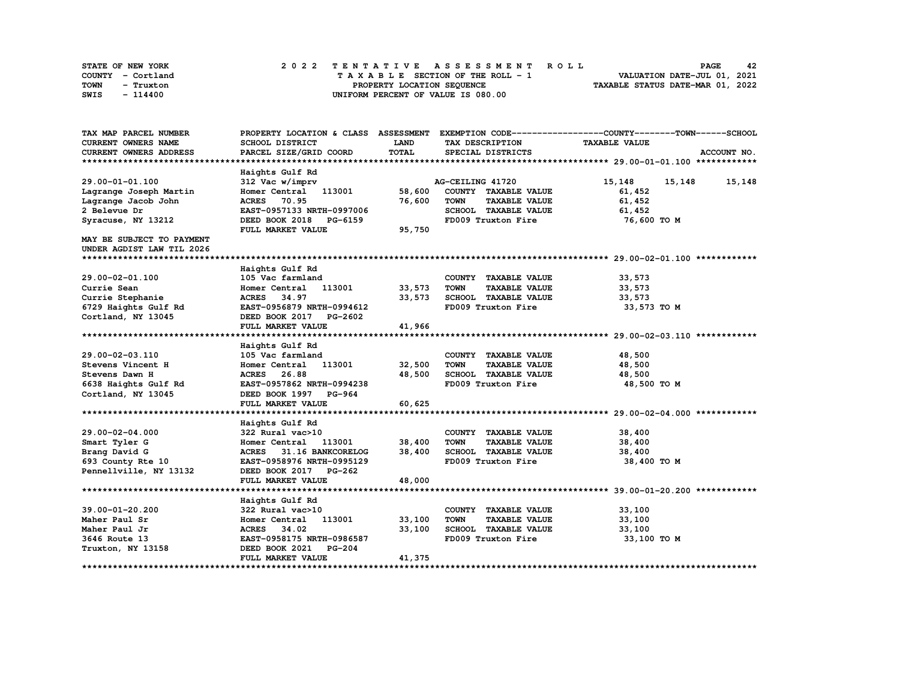| STATE OF NEW YORK | 2022 TENTATIVE ASSESSMENT ROLL     | 42<br><b>PAGE</b>                |
|-------------------|------------------------------------|----------------------------------|
| COUNTY - Cortland | TAXABLE SECTION OF THE ROLL - 1    | VALUATION DATE-JUL 01, 2021      |
| TOWN<br>- Truxton | PROPERTY LOCATION SEQUENCE         | TAXABLE STATUS DATE-MAR 01, 2022 |
| SWIS<br>- 114400  | UNIFORM PERCENT OF VALUE IS 080.00 |                                  |

| TAX MAP PARCEL NUMBER         | PROPERTY LOCATION & CLASS ASSESSMENT |             |                                     | EXEMPTION CODE-----------------COUNTY-------TOWN------SCHOOL |
|-------------------------------|--------------------------------------|-------------|-------------------------------------|--------------------------------------------------------------|
| <b>CURRENT OWNERS NAME</b>    | SCHOOL DISTRICT                      | <b>LAND</b> | TAX DESCRIPTION                     | <b>TAXABLE VALUE</b>                                         |
| <b>CURRENT OWNERS ADDRESS</b> | PARCEL SIZE/GRID COORD               | TOTAL       | SPECIAL DISTRICTS                   | ACCOUNT NO.                                                  |
|                               |                                      |             |                                     |                                                              |
|                               | Haights Gulf Rd                      |             |                                     |                                                              |
| 29.00-01-01.100               | 312 Vac w/imprv                      |             | AG-CEILING 41720                    | 15,148<br>15,148<br>15,148                                   |
| Lagrange Joseph Martin        | Homer Central 113001                 | 58,600      | COUNTY TAXABLE VALUE                | 61,452                                                       |
| Lagrange Jacob John           | <b>ACRES</b><br>70.95                | 76,600      | <b>TAXABLE VALUE</b><br><b>TOWN</b> | 61,452                                                       |
| 2 Belevue Dr                  | EAST-0957133 NRTH-0997006            |             | SCHOOL TAXABLE VALUE                | 61,452                                                       |
| Syracuse, NY 13212            | DEED BOOK 2018 PG-6159               |             | FD009 Truxton Fire                  | 76,600 то м                                                  |
|                               | FULL MARKET VALUE                    | 95,750      |                                     |                                                              |
| MAY BE SUBJECT TO PAYMENT     |                                      |             |                                     |                                                              |
| UNDER AGDIST LAW TIL 2026     |                                      |             |                                     |                                                              |
|                               |                                      |             |                                     |                                                              |
|                               | Haights Gulf Rd                      |             |                                     |                                                              |
| 29.00-02-01.100               | 105 Vac farmland                     |             | COUNTY TAXABLE VALUE                | 33,573                                                       |
| Currie Sean                   | 113001<br>Homer Central              | 33,573      | <b>TOWN</b><br><b>TAXABLE VALUE</b> | 33,573                                                       |
| Currie Stephanie              | ACRES 34.97                          | 33,573      | SCHOOL TAXABLE VALUE                | 33,573                                                       |
| 6729 Haights Gulf Rd          | EAST-0956879 NRTH-0994612            |             | FD009 Truxton Fire                  | 33,573 TO M                                                  |
| Cortland, NY 13045            | DEED BOOK 2017 PG-2602               |             |                                     |                                                              |
|                               | FULL MARKET VALUE                    | 41,966      |                                     |                                                              |
|                               |                                      |             |                                     |                                                              |
|                               | Haights Gulf Rd                      |             |                                     |                                                              |
| 29.00-02-03.110               | 105 Vac farmland                     |             | COUNTY TAXABLE VALUE                | 48,500                                                       |
| Stevens Vincent H             | Homer Central 113001                 | 32,500      | <b>TOWN</b><br><b>TAXABLE VALUE</b> | 48,500                                                       |
| Stevens Dawn H                | ACRES 26.88                          | 48,500      | SCHOOL TAXABLE VALUE                | 48,500                                                       |
| 6638 Haights Gulf Rd          | EAST-0957862 NRTH-0994238            |             | FD009 Truxton Fire                  | 48,500 TO M                                                  |
| Cortland, NY 13045            | DEED BOOK 1997 PG-964                |             |                                     |                                                              |
|                               | FULL MARKET VALUE                    | 60,625      |                                     |                                                              |
|                               |                                      |             |                                     |                                                              |
|                               | Haights Gulf Rd                      |             |                                     |                                                              |
| 29.00-02-04.000               | 322 Rural vac>10                     |             | COUNTY TAXABLE VALUE                | 38,400                                                       |
| Smart Tyler G                 | 113001<br>Homer Central              | 38,400      | <b>TOWN</b><br><b>TAXABLE VALUE</b> | 38,400                                                       |
| Brang David G                 | <b>ACRES</b><br>31.16 BANKCORELOG    | 38,400      | SCHOOL TAXABLE VALUE                | 38,400                                                       |
| 693 County Rte 10             | EAST-0958976 NRTH-0995129            |             | FD009 Truxton Fire                  | 38,400 TO M                                                  |
| Pennellville, NY 13132        | DEED BOOK 2017 PG-262                |             |                                     |                                                              |
|                               | FULL MARKET VALUE                    | 48,000      |                                     |                                                              |
|                               |                                      |             |                                     |                                                              |
|                               | Haights Gulf Rd                      |             |                                     |                                                              |
| 39.00-01-20.200               | 322 Rural vac>10                     |             | COUNTY TAXABLE VALUE                | 33,100                                                       |
| Maher Paul Sr                 | Homer Central<br>113001              | 33,100      | <b>TOWN</b><br><b>TAXABLE VALUE</b> | 33,100                                                       |
| Maher Paul Jr                 | ACRES 34.02                          | 33,100      | SCHOOL TAXABLE VALUE                | 33,100                                                       |
| 3646 Route 13                 | EAST-0958175 NRTH-0986587            |             | FD009 Truxton Fire                  | 33,100 TO M                                                  |
| Truxton, NY 13158             | DEED BOOK 2021<br><b>PG-204</b>      |             |                                     |                                                              |
|                               | FULL MARKET VALUE                    | 41,375      |                                     |                                                              |
|                               |                                      |             |                                     |                                                              |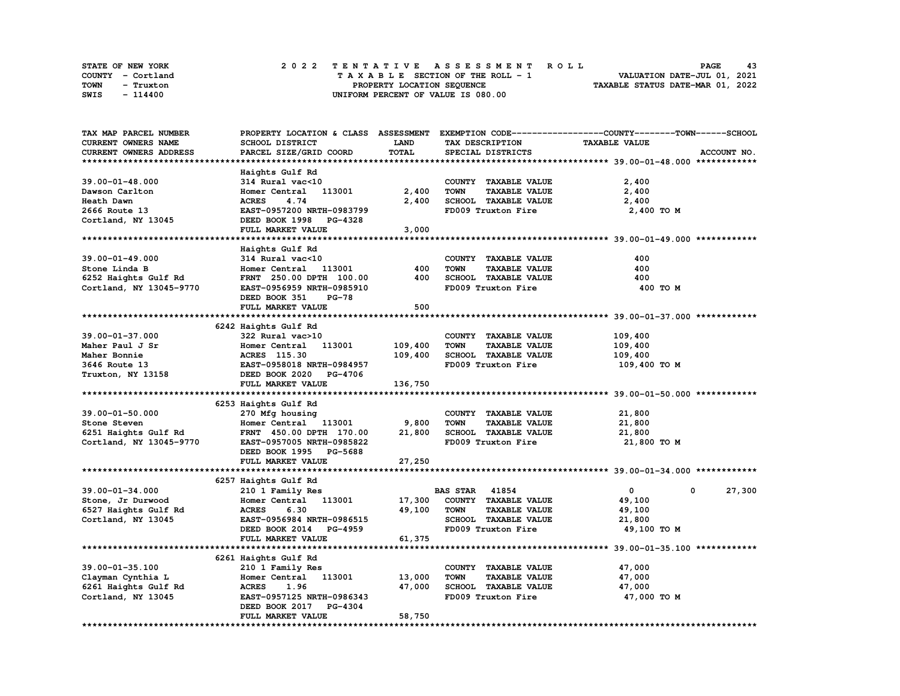| STATE OF NEW YORK | 2022 TENTATIVE ASSESSMENT ROLL     | 43<br><b>PAGE</b>                |
|-------------------|------------------------------------|----------------------------------|
| COUNTY - Cortland | TAXABLE SECTION OF THE ROLL - 1    | VALUATION DATE-JUL 01, 2021      |
| TOWN<br>- Truxton | PROPERTY LOCATION SEQUENCE         | TAXABLE STATUS DATE-MAR 01, 2022 |
| SWIS<br>- 114400  | UNIFORM PERCENT OF VALUE IS 080.00 |                                  |

| TAX MAP PARCEL NUMBER                |                                                             |              |                                     | PROPERTY LOCATION & CLASS ASSESSMENT EXEMPTION CODE----------------COUNTY-------TOWN-----SCHOOL |             |
|--------------------------------------|-------------------------------------------------------------|--------------|-------------------------------------|-------------------------------------------------------------------------------------------------|-------------|
| CURRENT OWNERS NAME                  | SCHOOL DISTRICT                                             | <b>LAND</b>  | TAX DESCRIPTION                     | <b>TAXABLE VALUE</b>                                                                            |             |
| CURRENT OWNERS ADDRESS               | PARCEL SIZE/GRID COORD                                      | <b>TOTAL</b> | SPECIAL DISTRICTS                   |                                                                                                 | ACCOUNT NO. |
|                                      |                                                             |              |                                     |                                                                                                 |             |
|                                      | Haights Gulf Rd                                             |              |                                     |                                                                                                 |             |
| 39.00-01-48.000                      | 314 Rural vac<10                                            |              | COUNTY TAXABLE VALUE                | 2,400                                                                                           |             |
| Dawson Carlton                       | Homer Central 113001                                        | 2,400        | <b>TOWN</b><br><b>TAXABLE VALUE</b> | 2,400                                                                                           |             |
|                                      |                                                             |              |                                     |                                                                                                 |             |
| Heath Dawn                           | 4.74<br><b>ACRES</b>                                        | 2,400        | SCHOOL TAXABLE VALUE                | 2,400                                                                                           |             |
| 2666 Route 13                        | EAST-0957200 NRTH-0983799                                   |              | FD009 Truxton Fire                  | 2,400 TO M                                                                                      |             |
| Cortland, NY 13045                   | DEED BOOK 1998 PG-4328                                      |              |                                     |                                                                                                 |             |
|                                      | FULL MARKET VALUE                                           | 3,000        |                                     |                                                                                                 |             |
|                                      |                                                             |              |                                     |                                                                                                 |             |
|                                      | Haights Gulf Rd                                             |              |                                     |                                                                                                 |             |
| 39.00-01-49.000                      | 314 Rural vac<10                                            |              | COUNTY TAXABLE VALUE                | 400                                                                                             |             |
| Stone Linda B                        | Homer Central 113001                                        | 400          | <b>TOWN</b><br><b>TAXABLE VALUE</b> | 400                                                                                             |             |
| 6252 Haights Gulf Rd                 | FRNT 250.00 DPTH 100.00                                     | 400          | SCHOOL TAXABLE VALUE                | 400                                                                                             |             |
| Cortland, NY 13045-9770              | EAST-0956959 NRTH-0985910                                   |              | FD009 Truxton Fire                  | 400 TO M                                                                                        |             |
|                                      | DEED BOOK 351<br>PG-78                                      |              |                                     |                                                                                                 |             |
|                                      | FULL MARKET VALUE                                           | 500          |                                     |                                                                                                 |             |
|                                      |                                                             |              |                                     |                                                                                                 |             |
|                                      |                                                             |              |                                     |                                                                                                 |             |
|                                      | 6242 Haights Gulf Rd                                        |              |                                     |                                                                                                 |             |
| 39.00-01-37.000                      | 322 Rural vac>10                                            |              | COUNTY TAXABLE VALUE                | 109,400                                                                                         |             |
| Maher Paul J Sr                      | Homer Central 113001                                        | 109,400      | <b>TOWN</b><br><b>TAXABLE VALUE</b> | 109,400                                                                                         |             |
| Maher Bonnie                         | <b>ACRES</b> 115.30                                         | 109,400      | SCHOOL TAXABLE VALUE                | 109,400                                                                                         |             |
| 3646 Route 13                        | <b>EAST-0958018 NRTH-0984957<br/>DEED BOOK 2020 PG-4706</b> |              | FD009 Truxton Fire                  | 109,400 то м                                                                                    |             |
| Truxton, NY 13158                    |                                                             |              |                                     |                                                                                                 |             |
|                                      | FULL MARKET VALUE                                           | 136,750      |                                     |                                                                                                 |             |
|                                      |                                                             |              |                                     |                                                                                                 |             |
|                                      | 6253 Haights Gulf Rd                                        |              |                                     |                                                                                                 |             |
| 39.00-01-50.000                      | 270 Mfg housing                                             |              | COUNTY TAXABLE VALUE                | 21,800                                                                                          |             |
|                                      | Homer Central 113001                                        | 9,800        | <b>TOWN</b><br><b>TAXABLE VALUE</b> | 21,800                                                                                          |             |
| Stone Steven<br>6251 Haights Gulf Rd | FRNT 450.00 DPTH 170.00                                     | 21,800       | SCHOOL TAXABLE VALUE                | 21,800                                                                                          |             |
| Cortland, NY 13045-9770              | EAST-0957005 NRTH-0985822                                   |              | FD009 Truxton Fire                  | 21,800 TO M                                                                                     |             |
|                                      | DEED BOOK 1995 PG-5688                                      |              |                                     |                                                                                                 |             |
|                                      |                                                             |              |                                     |                                                                                                 |             |
|                                      | FULL MARKET VALUE                                           | 27,250       |                                     |                                                                                                 |             |
|                                      |                                                             |              |                                     |                                                                                                 |             |
|                                      | 6257 Haights Gulf Rd                                        |              |                                     |                                                                                                 |             |
| 39.00-01-34.000                      | 210 1 Family Res                                            |              | <b>BAS STAR 41854</b>               | $\mathbf{0}$<br>0                                                                               | 27,300      |
| Stone, Jr Durwood                    | Homer Central 113001                                        | 17,300       | COUNTY TAXABLE VALUE                | 49,100                                                                                          |             |
| 6527 Haights Gulf Rd                 | <b>ACRES</b><br>6.30                                        | 49,100       | <b>TOWN</b><br><b>TAXABLE VALUE</b> | 49,100                                                                                          |             |
| Cortland, NY 13045                   | EAST-0956984 NRTH-0986515                                   |              | SCHOOL TAXABLE VALUE                | 21,800                                                                                          |             |
|                                      | DEED BOOK 2014 PG-4959                                      |              | FD009 Truxton Fire                  | 49,100 TO M                                                                                     |             |
|                                      | FULL MARKET VALUE                                           | 61,375       |                                     |                                                                                                 |             |
|                                      |                                                             |              |                                     |                                                                                                 |             |
|                                      | 6261 Haights Gulf Rd                                        |              |                                     |                                                                                                 |             |
| 39.00-01-35.100                      | 210 1 Family Res                                            |              | COUNTY TAXABLE VALUE                | 47,000                                                                                          |             |
| Clayman Cynthia L                    | Homer Central 113001                                        | 13,000       | <b>TOWN</b><br><b>TAXABLE VALUE</b> | 47,000                                                                                          |             |
|                                      | <b>ACRES</b><br>1.96                                        | 47,000       | SCHOOL TAXABLE VALUE                |                                                                                                 |             |
| 6261 Haights Gulf Rd                 |                                                             |              |                                     | 47,000                                                                                          |             |
| Cortland, NY 13045                   | EAST-0957125 NRTH-0986343                                   |              | FD009 Truxton Fire                  | 47,000 TO M                                                                                     |             |
|                                      | DEED BOOK 2017 PG-4304                                      |              |                                     |                                                                                                 |             |
|                                      | FULL MARKET VALUE                                           | 58,750       |                                     |                                                                                                 |             |
|                                      |                                                             |              |                                     |                                                                                                 |             |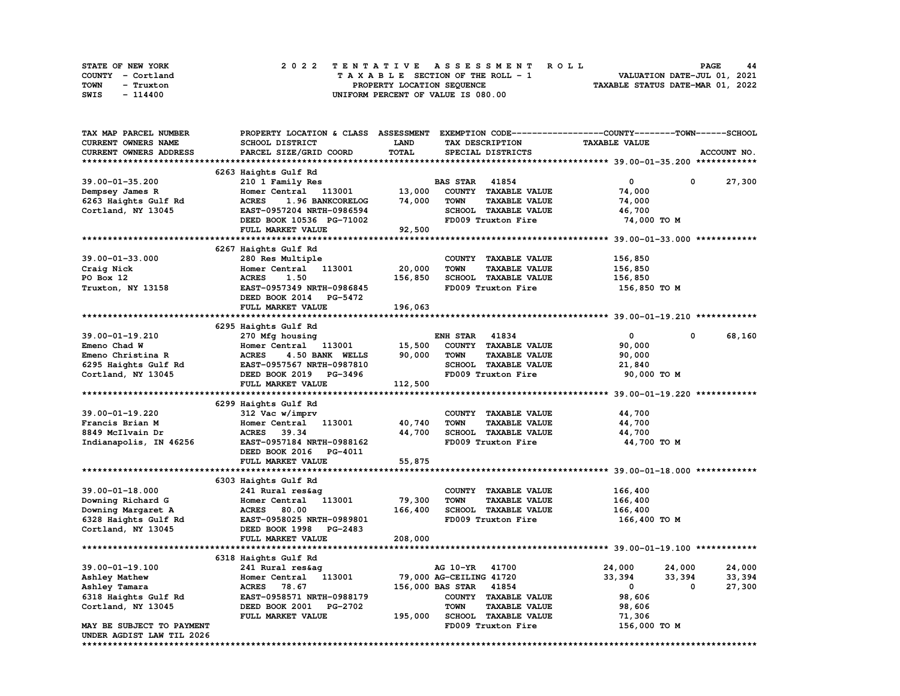| STATE OF NEW YORK | 2022 TENTATIVE ASSESSMENT ROLL     | <b>PAGE</b><br>44                |
|-------------------|------------------------------------|----------------------------------|
| COUNTY - Cortland | TAXABLE SECTION OF THE ROLL - 1    | VALUATION DATE-JUL 01, 2021      |
| TOWN<br>- Truxton | PROPERTY LOCATION SEQUENCE         | TAXABLE STATUS DATE-MAR 01, 2022 |
| SWIS<br>- 114400  | UNIFORM PERCENT OF VALUE IS 080.00 |                                  |

| TAX MAP PARCEL NUMBER                      | PROPERTY LOCATION & CLASS ASSESSMENT EXEMPTION CODE-----------------COUNTY-------TOWN------SCHOOL |                         |                        |                              |                      |             |             |
|--------------------------------------------|---------------------------------------------------------------------------------------------------|-------------------------|------------------------|------------------------------|----------------------|-------------|-------------|
| CURRENT OWNERS NAME                        | SCHOOL DISTRICT                                                                                   | <b>LAND</b>             |                        | TAX DESCRIPTION              | <b>TAXABLE VALUE</b> |             |             |
| CURRENT OWNERS ADDRESS                     | PARCEL SIZE/GRID COORD                                                                            | TOTAL                   |                        | SPECIAL DISTRICTS            |                      |             | ACCOUNT NO. |
|                                            |                                                                                                   |                         |                        |                              |                      |             |             |
|                                            | 6263 Haights Gulf Rd                                                                              |                         |                        |                              |                      |             |             |
| 39.00-01-35.200                            | 210 1 Family Res                                                                                  |                         | <b>BAS STAR 41854</b>  |                              | $\mathbf{0}$         | $\mathbf 0$ | 27,300      |
| Dempsey James R                            | Homer Central 113001                                                                              | 13,000                  |                        | COUNTY TAXABLE VALUE         | 74,000               |             |             |
| 6263 Haights Gulf Rd                       | <b>ACRES</b><br>1.96 BANKCORELOG                                                                  | 74,000                  | <b>TOWN</b>            | <b>TAXABLE VALUE</b>         | 74,000               |             |             |
| Cortland, NY 13045                         | EAST-0957204 NRTH-0986594                                                                         |                         |                        | SCHOOL TAXABLE VALUE         | 46,700               |             |             |
|                                            | DEED BOOK 10536 PG-71002                                                                          |                         |                        | FD009 Truxton Fire           | 74,000 TO M          |             |             |
|                                            |                                                                                                   |                         |                        |                              |                      |             |             |
|                                            | FULL MARKET VALUE                                                                                 | 92,500                  |                        |                              |                      |             |             |
|                                            |                                                                                                   |                         |                        |                              |                      |             |             |
|                                            | 6267 Haights Gulf Rd                                                                              |                         |                        |                              |                      |             |             |
| 39.00-01-33.000                            | 280 Res Multiple                                                                                  |                         |                        | COUNTY TAXABLE VALUE         | 156,850              |             |             |
| Craig Nick                                 | Homer Central 113001                                                                              | 20,000                  | <b>TOWN</b>            | <b>TAXABLE VALUE</b>         | 156,850              |             |             |
| PO Box 12                                  | 1.50<br><b>ACRES</b>                                                                              | 156,850                 |                        | SCHOOL TAXABLE VALUE         | 156,850              |             |             |
| Truxton, NY 13158                          | EAST-0957349 NRTH-0986845                                                                         |                         |                        | FD009 Truxton Fire           | 156,850 то м         |             |             |
|                                            | DEED BOOK 2014 PG-5472                                                                            |                         |                        |                              |                      |             |             |
|                                            | FULL MARKET VALUE                                                                                 | 196,063                 |                        |                              |                      |             |             |
|                                            |                                                                                                   |                         |                        |                              |                      |             |             |
|                                            | 6295 Haights Gulf Rd                                                                              |                         |                        |                              |                      |             |             |
| 39.00-01-19.210                            | 270 Mfg housing                                                                                   |                         | <b>ENH STAR 41834</b>  |                              | $\mathbf 0$          | 0           | 68,160      |
| Emeno Chad W                               | Homer Central 113001 15,500                                                                       |                         |                        | COUNTY TAXABLE VALUE         | 90,000               |             |             |
| Emeno Christina R                          | <b>ACRES</b><br>4.50 BANK WELLS                                                                   | 90,000                  | <b>TOWN</b>            | <b>TAXABLE VALUE</b>         | 90,000               |             |             |
|                                            | EAST-0957567 NRTH-0987810                                                                         |                         |                        | SCHOOL TAXABLE VALUE         | 21,840               |             |             |
| 6295 Haights Gulf Rd<br>Cortland, NY 13045 | DEED BOOK 2019 PG-3496<br>FULL MARKET VALUE                                                       |                         |                        | FD009 Truxton Fire           | 90,000 TO M          |             |             |
|                                            |                                                                                                   | 112,500                 |                        |                              |                      |             |             |
|                                            |                                                                                                   |                         |                        |                              |                      |             |             |
|                                            | 6299 Haights Gulf Rd                                                                              |                         |                        |                              |                      |             |             |
| 39.00-01-19.220                            | 312 Vac w/imprv                                                                                   |                         |                        | COUNTY TAXABLE VALUE         | 44,700               |             |             |
|                                            |                                                                                                   |                         |                        |                              |                      |             |             |
| Francis Brian M                            | Homer Central 113001                                                                              | 40,740                  | <b>TOWN</b>            | <b>TAXABLE VALUE</b>         | 44,700               |             |             |
| 8849 McIlvain Dr                           | ACRES 39.34                                                                                       | 44,700                  |                        | SCHOOL TAXABLE VALUE         | 44,700               |             |             |
| Indianapolis, IN 46256                     | EAST-0957184 NRTH-0988162                                                                         |                         |                        | FD009 Truxton Fire           | 44,700 TO M          |             |             |
|                                            | DEED BOOK 2016 PG-4011                                                                            |                         |                        |                              |                      |             |             |
|                                            | FULL MARKET VALUE                                                                                 | 55,875                  |                        |                              |                      |             |             |
|                                            |                                                                                                   |                         |                        |                              |                      |             |             |
|                                            | 6303 Haights Gulf Rd                                                                              |                         |                        |                              |                      |             |             |
| $39.00 - 01 - 18.000$                      | 241 Rural res&ag                                                                                  |                         |                        | COUNTY TAXABLE VALUE         | 166,400              |             |             |
| Downing Richard G                          | Homer Central 113001                                                                              | 79,300                  | <b>TOWN</b>            | <b>TAXABLE VALUE</b>         | 166,400              |             |             |
|                                            |                                                                                                   | 166,400                 |                        | SCHOOL TAXABLE VALUE         | 166,400              |             |             |
|                                            |                                                                                                   |                         |                        | FD009 Truxton Fire           | 166,400 то м         |             |             |
| Cortland, NY 13045                         | DEED BOOK 1998 PG-2483                                                                            |                         |                        |                              |                      |             |             |
|                                            | FULL MARKET VALUE                                                                                 | 208,000                 |                        |                              |                      |             |             |
|                                            |                                                                                                   |                         |                        |                              |                      |             |             |
|                                            | 6318 Haights Gulf Rd                                                                              |                         |                        |                              |                      |             |             |
| 39.00-01-19.100                            | 241 Rural res&ag                                                                                  |                         | AG 10-YR 41700         |                              | 24,000               | 24,000      | 24,000      |
| Ashley Mathew                              | Homer Central 113001                                                                              | 79,000 AG-CEILING 41720 |                        |                              | 33,394               | 33,394      | 33,394      |
| Ashley Tamara                              | ACRES 78.67                                                                                       |                         | 156,000 BAS STAR 41854 |                              | $\mathbf{0}$         | 0           | 27,300      |
| 6318 Haights Gulf Rd                       | EAST-0958571 NRTH-0988179                                                                         |                         |                        | COUNTY TAXABLE VALUE         | 98,606               |             |             |
| Cortland, NY 13045                         | DEED BOOK 2001 PG-2702                                                                            |                         | <b>TOWN</b>            | <b>TAXABLE VALUE</b>         | 98,606               |             |             |
|                                            | FULL MARKET VALUE                                                                                 |                         |                        | 195,000 SCHOOL TAXABLE VALUE |                      |             |             |
|                                            |                                                                                                   |                         |                        |                              | 71,306               |             |             |
| MAY BE SUBJECT TO PAYMENT                  |                                                                                                   |                         |                        | FD009 Truxton Fire           | 156,000 TO M         |             |             |
| UNDER AGDIST LAW TIL 2026                  |                                                                                                   |                         |                        |                              |                      |             |             |
|                                            |                                                                                                   |                         |                        |                              |                      |             |             |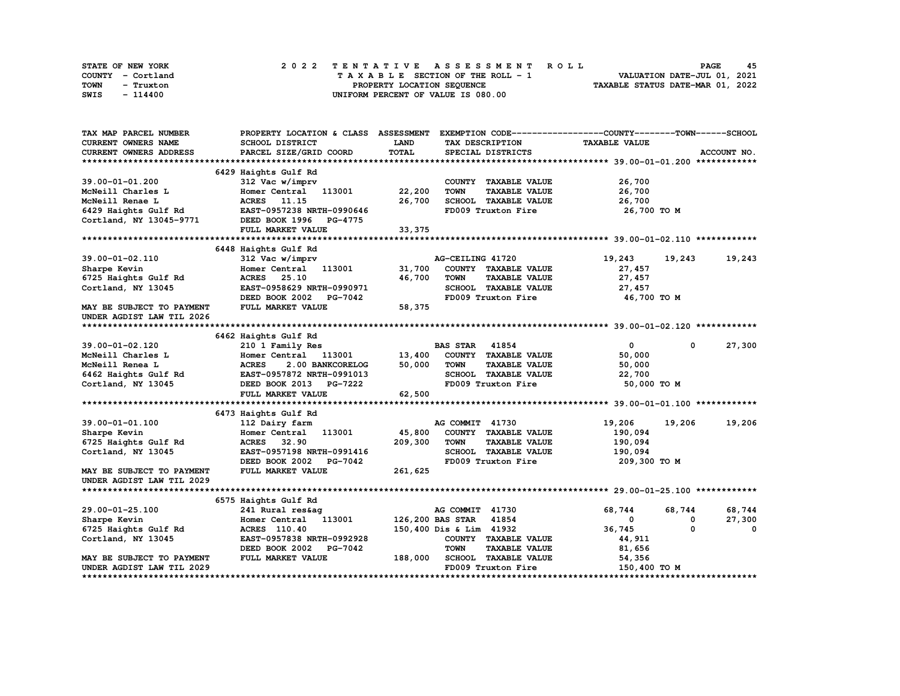| STATE OF NEW YORK | 2022 TENTATIVE ASSESSMENT ROLL     | 45<br><b>PAGE</b>                |
|-------------------|------------------------------------|----------------------------------|
| COUNTY - Cortland | TAXABLE SECTION OF THE ROLL - 1    | VALUATION DATE-JUL 01, 2021      |
| TOWN<br>- Truxton | PROPERTY LOCATION SEQUENCE         | TAXABLE STATUS DATE-MAR 01, 2022 |
| SWIS<br>- 114400  | UNIFORM PERCENT OF VALUE IS 080.00 |                                  |

| TAX MAP PARCEL NUMBER                      | PROPERTY LOCATION & CLASS ASSESSMENT EXEMPTION CODE----------------COUNTY-------TOWN-----SCHOOL |             |                                     |                      |                 |
|--------------------------------------------|-------------------------------------------------------------------------------------------------|-------------|-------------------------------------|----------------------|-----------------|
| CURRENT OWNERS NAME                        | SCHOOL DISTRICT                                                                                 | <b>LAND</b> | TAX DESCRIPTION                     | <b>TAXABLE VALUE</b> |                 |
| CURRENT OWNERS ADDRESS                     | PARCEL SIZE/GRID COORD                                                                          | TOTAL       | SPECIAL DISTRICTS                   |                      | ACCOUNT NO.     |
|                                            |                                                                                                 |             |                                     |                      |                 |
|                                            | 6429 Haights Gulf Rd                                                                            |             |                                     |                      |                 |
| 39.00-01-01.200                            | 312 Vac w/imprv                                                                                 |             | COUNTY TAXABLE VALUE                | 26,700               |                 |
| McNeill Charles L                          | Homer Central 113001                                                                            | 22,200      | <b>TOWN</b><br><b>TAXABLE VALUE</b> | 26,700               |                 |
| McNeill Renae L                            | ACRES 11.15                                                                                     | 26,700      | SCHOOL TAXABLE VALUE                | 26,700               |                 |
| 6429 Haights Gulf Rd                       | EAST-0957238 NRTH-0990646                                                                       |             | FD009 Truxton Fire                  | 26,700 то м          |                 |
|                                            | Cortland, NY 13045-9771 DEED BOOK 1996 PG-4775                                                  |             |                                     |                      |                 |
|                                            | FULL MARKET VALUE                                                                               | 33, 375     |                                     |                      |                 |
|                                            |                                                                                                 |             |                                     |                      |                 |
|                                            | 6448 Haights Gulf Rd                                                                            |             |                                     |                      |                 |
| 39.00-01-02.110                            | 312 Vac w/imprv                                                                                 |             | AG-CEILING 41720                    | 19,243<br>19,243     | 19,243          |
| Sharpe Kevin                               | Homer Central 113001                                                                            | 31,700      | COUNTY TAXABLE VALUE                | 27,457               |                 |
| 6725 Haights Gulf Rd                       | <b>ACRES</b> 25.10                                                                              | 46,700      | <b>TOWN</b><br><b>TAXABLE VALUE</b> | 27,457               |                 |
| Cortland, NY 13045                         | EAST-0958629 NRTH-0990971                                                                       |             | SCHOOL TAXABLE VALUE                | 27,457               |                 |
|                                            | DEED BOOK 2002 PG-7042                                                                          |             | FD009 Truxton Fire                  | 46,700 TO M          |                 |
| MAY BE SUBJECT TO PAYMENT                  | FULL MARKET VALUE                                                                               | 58,375      |                                     |                      |                 |
| UNDER AGDIST LAW TIL 2026                  |                                                                                                 |             |                                     |                      |                 |
|                                            |                                                                                                 |             |                                     |                      |                 |
|                                            | 6462 Haights Gulf Rd                                                                            |             |                                     |                      |                 |
| 39.00-01-02.120                            | 210 1 Family Res                                                                                |             | <b>BAS STAR</b><br>41854            | $\mathbf{0}$         | 27,300<br>0     |
| McNeill Charles L                          | Homer Central 113001                                                                            | 13,400      | COUNTY TAXABLE VALUE                | 50,000               |                 |
| McNeill Renea L                            | <b>ACRES</b><br>2.00 BANKCORELOG                                                                | 50,000      | <b>TAXABLE VALUE</b><br><b>TOWN</b> | 50,000               |                 |
| 6462 Haights Gulf Rd<br>Cortland, NY 13045 | EAST-0957872 NRTH-0991013                                                                       |             | SCHOOL TAXABLE VALUE                | 22,700               |                 |
| Cortland, NY 13045                         | DEED BOOK 2013 PG-7222                                                                          |             | FD009 Truxton Fire                  | 50,000 TO M          |                 |
|                                            | FULL MARKET VALUE                                                                               | 62,500      |                                     |                      |                 |
|                                            |                                                                                                 |             |                                     |                      |                 |
|                                            | 6473 Haights Gulf Rd                                                                            |             |                                     |                      |                 |
| 39.00-01-01.100                            | 112 Dairy farm                                                                                  |             | AG COMMIT 41730                     | 19,206<br>19,206     | 19,206          |
| Sharpe Kevin                               | Homer Central 113001                                                                            | 45,800      | COUNTY TAXABLE VALUE                | 190,094              |                 |
| 6725 Haights Gulf Rd                       | ACRES 32.90                                                                                     | 209,300     | TOWN<br><b>TAXABLE VALUE</b>        | 190,094              |                 |
| Cortland, NY 13045                         | EAST-0957198 NRTH-0991416                                                                       |             | SCHOOL TAXABLE VALUE                | 190,094              |                 |
|                                            | DEED BOOK 2002 PG-7042                                                                          |             | FD009 Truxton Fire                  | 209,300 то м         |                 |
| <b>MAY BE SUBJECT TO PAYMENT</b>           | FULL MARKET VALUE                                                                               | 261,625     |                                     |                      |                 |
| UNDER AGDIST LAW TIL 2029                  |                                                                                                 |             |                                     |                      |                 |
|                                            |                                                                                                 |             |                                     |                      |                 |
|                                            | 6575 Haights Gulf Rd                                                                            |             |                                     |                      |                 |
| 29.00-01-25.100                            | 241 Rural res&ag                                                                                |             | AG COMMIT 41730                     | 68,744<br>68,744     | 68,744          |
| Sharpe Kevin                               | Homer Central 113001                                                                            |             | 126,200 BAS STAR<br>41854           | 0                    | 27,300<br>0     |
| 6725 Haights Gulf Rd                       | <b>ACRES</b> 110.40                                                                             |             | 150,400 Dis & Lim 41932             | 36,745               | 0<br>$^{\circ}$ |
| Cortland, NY 13045                         | EAST-0957838 NRTH-0992928                                                                       |             | COUNTY TAXABLE VALUE                | 44,911               |                 |
|                                            | DEED BOOK 2002 PG-7042                                                                          |             | <b>TOWN</b><br><b>TAXABLE VALUE</b> | 81,656               |                 |
| MAY BE SUBJECT TO PAYMENT                  | FULL MARKET VALUE                                                                               | 188,000     | SCHOOL TAXABLE VALUE                | 54,356               |                 |
| UNDER AGDIST LAW TIL 2029                  |                                                                                                 |             | FD009 Truxton Fire                  | 150,400 TO M         |                 |
|                                            |                                                                                                 |             |                                     |                      |                 |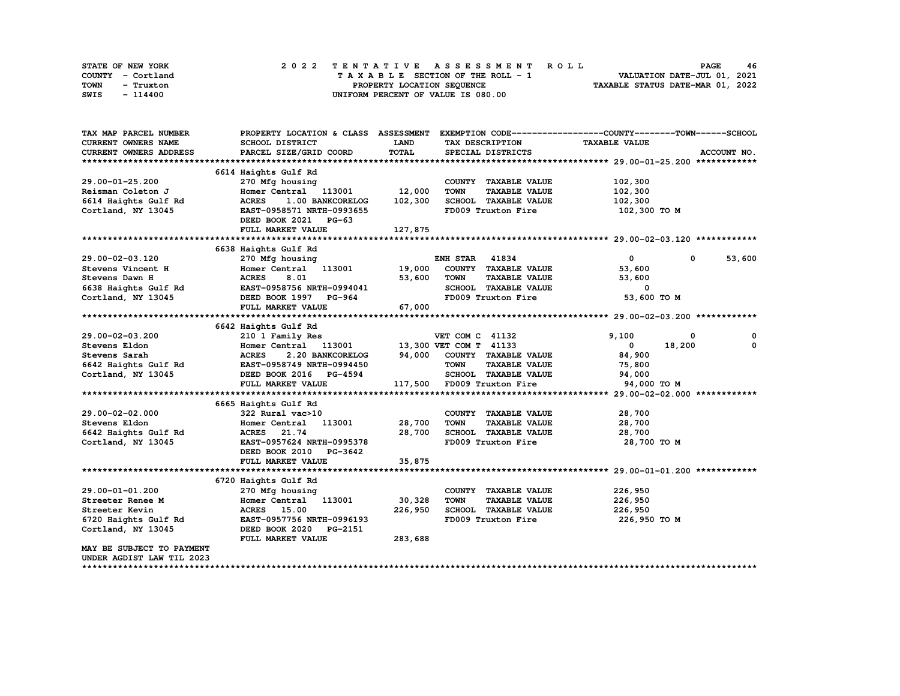| STATE OF NEW YORK |  |                            | 2022 TENTATIVE ASSESSMENT ROLL     |  | <b>PAGE</b>                      | 46 |
|-------------------|--|----------------------------|------------------------------------|--|----------------------------------|----|
| COUNTY - Cortland |  |                            | TAXABLE SECTION OF THE ROLL - 1    |  | VALUATION DATE-JUL 01, 2021      |    |
| TOWN<br>- Truxton |  | PROPERTY LOCATION SEQUENCE |                                    |  | TAXABLE STATUS DATE-MAR 01, 2022 |    |
| SWIS<br>- 114400  |  |                            | UNIFORM PERCENT OF VALUE IS 080.00 |  |                                  |    |

| TAX MAP PARCEL NUMBER                     | PROPERTY LOCATION & CLASS ASSESSMENT EXEMPTION CODE----------------COUNTY-------TOWN------SCHOOL |             |                                     |                                                        |                      |
|-------------------------------------------|--------------------------------------------------------------------------------------------------|-------------|-------------------------------------|--------------------------------------------------------|----------------------|
| CURRENT OWNERS NAME                       | SCHOOL DISTRICT                                                                                  | <b>LAND</b> | TAX DESCRIPTION                     | <b>TAXABLE VALUE</b>                                   |                      |
| CURRENT OWNERS ADDRESS                    | PARCEL SIZE/GRID COORD                                                                           | TOTAL       | SPECIAL DISTRICTS                   |                                                        | ACCOUNT NO.          |
|                                           |                                                                                                  |             |                                     |                                                        |                      |
|                                           | 6614 Haights Gulf Rd                                                                             |             |                                     |                                                        |                      |
| 29.00-01-25.200                           | 270 Mfg housing                                                                                  |             | COUNTY TAXABLE VALUE                | 102,300                                                |                      |
| Reisman Coleton J                         | Homer Central 113001 12,000                                                                      |             | <b>TOWN</b><br><b>TAXABLE VALUE</b> | 102,300                                                |                      |
| 6614 Haights Gulf Rd<br>Carriers NY 13045 | 1.00 BANKCORELOG 102,300<br><b>ACRES</b>                                                         |             | SCHOOL TAXABLE VALUE                | 102,300                                                |                      |
| Cortland, NY 13045                        | EAST-0958571 NRTH-0993655                                                                        |             | FD009 Truxton Fire                  | 102,300 то м                                           |                      |
|                                           | DEED BOOK 2021 PG-63                                                                             |             |                                     |                                                        |                      |
|                                           | FULL MARKET VALUE                                                                                | 127,875     |                                     |                                                        |                      |
|                                           |                                                                                                  |             |                                     |                                                        |                      |
|                                           | 6638 Haights Gulf Rd                                                                             |             |                                     |                                                        |                      |
| 29.00-02-03.120                           | 270 Mfg housing                                                                                  |             | <b>ENH STAR 41834</b>               | $\mathbf{0}$                                           | 53,600<br>$^{\circ}$ |
| Stevens Vincent H                         |                                                                                                  |             | COUNTY TAXABLE VALUE                | 53,600                                                 |                      |
|                                           |                                                                                                  | 53,600      | <b>TOWN</b>                         | <b>TAXABLE VALUE</b><br>53,600                         |                      |
|                                           |                                                                                                  |             | SCHOOL TAXABLE VALUE                | 0                                                      |                      |
|                                           |                                                                                                  |             | FD009 Truxton Fire                  | 53,600 TO M                                            |                      |
|                                           | FULL MARKET VALUE                                                                                | 67,000      |                                     |                                                        |                      |
|                                           |                                                                                                  |             |                                     |                                                        |                      |
|                                           | 6642 Haights Gulf Rd                                                                             |             |                                     |                                                        |                      |
|                                           |                                                                                                  |             |                                     | 9,100                                                  | 0<br>0               |
|                                           |                                                                                                  |             |                                     | $\mathbf{0}$                                           | 18,200<br>0          |
|                                           |                                                                                                  |             |                                     | 2.20 BANKCORELOG 94,000 COUNTY TAXABLE VALUE<br>84,900 |                      |
|                                           |                                                                                                  |             |                                     | <b>TAXABLE VALUE</b><br>75,800                         |                      |
|                                           |                                                                                                  |             | SCHOOL TAXABLE VALUE                | 94,000                                                 |                      |
|                                           | FULL MARKET VALUE                                                                                |             | 117,500 FD009 Truxton Fire          | 94,000 TO M                                            |                      |
|                                           |                                                                                                  |             |                                     |                                                        |                      |
|                                           | 6665 Haights Gulf Rd                                                                             |             |                                     |                                                        |                      |
| 29.00-02-02.000                           | 322 Rural vac>10                                                                                 |             | COUNTY TAXABLE VALUE                | 28,700                                                 |                      |
| Stevens Eldon                             | Homer Central 113001                                                                             | 28,700      | <b>TOWN</b>                         | <b>TAXABLE VALUE</b><br>28,700                         |                      |
| 6642 Haights Gulf Rd                      | ACRES 21.74                                                                                      | 28,700      | SCHOOL TAXABLE VALUE                | 28,700                                                 |                      |
| Cortland, NY 13045                        | EAST-0957624 NRTH-0995378                                                                        |             | FD009 Truxton Fire                  | 28,700 то м                                            |                      |
|                                           | DEED BOOK 2010 PG-3642                                                                           |             |                                     |                                                        |                      |
|                                           | FULL MARKET VALUE                                                                                | 35,875      |                                     |                                                        |                      |
|                                           |                                                                                                  |             |                                     |                                                        |                      |
|                                           | 6720 Haights Gulf Rd                                                                             |             |                                     |                                                        |                      |
| 29.00-01-01.200                           | 270 Mfg housing                                                                                  |             | COUNTY TAXABLE VALUE                | 226,950                                                |                      |
| Streeter Renee M                          | Homer Central 113001                                                                             | 30,328      | <b>TOWN</b><br><b>TAXABLE VALUE</b> | 226,950                                                |                      |
| Streeter Kevin                            | ACRES 15.00                                                                                      | 226,950     | SCHOOL TAXABLE VALUE                | 226,950                                                |                      |
| 6720 Haights Gulf Rd                      | EAST-0957756 NRTH-0996193                                                                        |             | FD009 Truxton Fire                  | 226,950 то м                                           |                      |
| Cortland, NY 13045                        | DEED BOOK 2020 PG-2151                                                                           |             |                                     |                                                        |                      |
|                                           | FULL MARKET VALUE                                                                                | 283,688     |                                     |                                                        |                      |
| MAY BE SUBJECT TO PAYMENT                 |                                                                                                  |             |                                     |                                                        |                      |
| UNDER AGDIST LAW TIL 2023                 |                                                                                                  |             |                                     |                                                        |                      |
|                                           |                                                                                                  |             |                                     |                                                        |                      |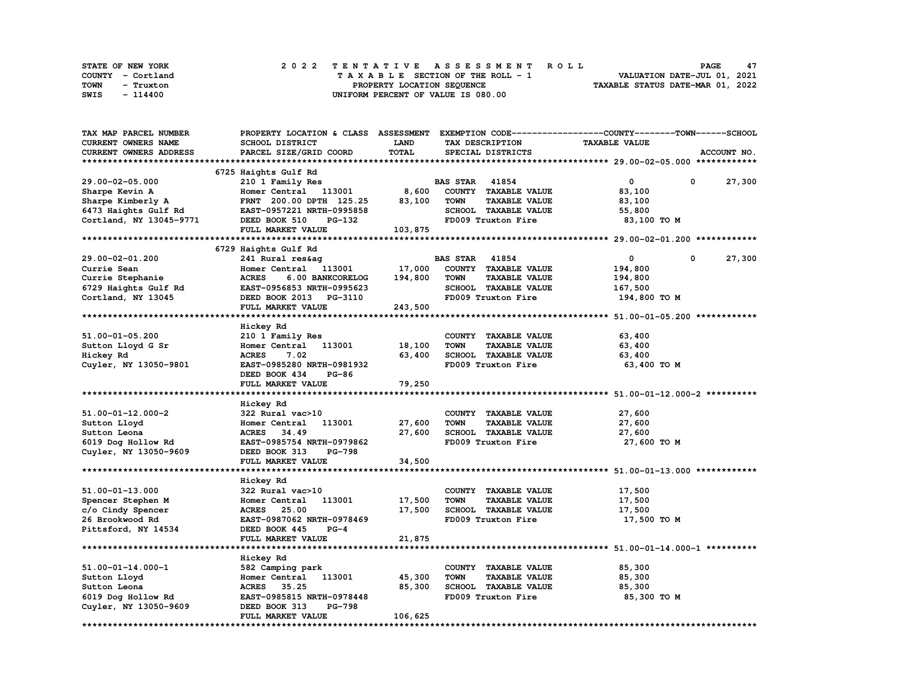|      | STATE OF NEW YORK |  | 2022 TENTATIVE ASSESSMENT ROLL |  |  |  |                                    |  |  |  |  |  |  |                                  | <b>PAGE</b> | 47 |  |
|------|-------------------|--|--------------------------------|--|--|--|------------------------------------|--|--|--|--|--|--|----------------------------------|-------------|----|--|
|      | COUNTY - Cortland |  |                                |  |  |  | TAXABLE SECTION OF THE ROLL - 1    |  |  |  |  |  |  | VALUATION DATE-JUL 01, 2021      |             |    |  |
| TOWN | - Truxton         |  |                                |  |  |  | PROPERTY LOCATION SEQUENCE         |  |  |  |  |  |  | TAXABLE STATUS DATE-MAR 01, 2022 |             |    |  |
| SWIS | - 114400          |  |                                |  |  |  | UNIFORM PERCENT OF VALUE IS 080.00 |  |  |  |  |  |  |                                  |             |    |  |

| TAX MAP PARCEL NUMBER      | PROPERTY LOCATION & CLASS ASSESSMENT EXEMPTION CODE-----------------COUNTY-------TOWN------SCHOOL |             |                       |                             |                      |   |             |
|----------------------------|---------------------------------------------------------------------------------------------------|-------------|-----------------------|-----------------------------|----------------------|---|-------------|
| <b>CURRENT OWNERS NAME</b> | SCHOOL DISTRICT                                                                                   | <b>LAND</b> |                       | TAX DESCRIPTION             | <b>TAXABLE VALUE</b> |   |             |
| CURRENT OWNERS ADDRESS     | PARCEL SIZE/GRID COORD                                                                            | TOTAL       |                       | SPECIAL DISTRICTS           |                      |   | ACCOUNT NO. |
|                            |                                                                                                   |             |                       |                             |                      |   |             |
|                            | 6725 Haights Gulf Rd                                                                              |             |                       |                             |                      |   |             |
| 29.00-02-05.000            |                                                                                                   |             | <b>BAS STAR</b> 41854 |                             | 0                    | 0 |             |
|                            | 210 1 Family Res                                                                                  |             |                       |                             |                      |   | 27,300      |
| Sharpe Kevin A             | Homer Central 113001                                                                              | 8,600       |                       | COUNTY TAXABLE VALUE        | 83,100               |   |             |
| Sharpe Kimberly A          | FRNT 200.00 DPTH 125.25                                                                           | 83,100      | TOWN                  | <b>TAXABLE VALUE</b>        | 83,100               |   |             |
| 6473 Haights Gulf Rd       | EAST-0957221 NRTH-0995858                                                                         |             |                       | SCHOOL TAXABLE VALUE        | 55,800               |   |             |
| Cortland, NY 13045-9771    | DEED BOOK 510<br>PG-132                                                                           |             |                       | FD009 Truxton Fire          | 83,100 TO M          |   |             |
|                            | FULL MARKET VALUE                                                                                 | 103,875     |                       |                             |                      |   |             |
|                            |                                                                                                   |             |                       |                             |                      |   |             |
|                            | 6729 Haights Gulf Rd                                                                              |             |                       |                             |                      |   |             |
| 29.00-02-01.200            | 241 Rural res&ag                                                                                  |             | <b>BAS STAR 41854</b> |                             | 0                    | 0 | 27,300      |
| Currie Sean                | Homer Central 113001                                                                              | 17,000      |                       | COUNTY TAXABLE VALUE        | 194,800              |   |             |
| Currie Stephanie           | <b>ACRES</b><br>6.00 BANKCORELOG                                                                  | 194,800     | <b>TOWN</b>           | <b>TAXABLE VALUE</b>        | 194,800              |   |             |
| 6729 Haights Gulf Rd       | EAST-0956853 NRTH-0995623                                                                         |             |                       | <b>SCHOOL TAXABLE VALUE</b> | 167,500              |   |             |
| Cortland, NY 13045         | DEED BOOK 2013 PG-3110                                                                            |             |                       | FD009 Truxton Fire          | 194,800 TO M         |   |             |
|                            |                                                                                                   |             |                       |                             |                      |   |             |
|                            | FULL MARKET VALUE                                                                                 | 243,500     |                       |                             |                      |   |             |
|                            |                                                                                                   |             |                       |                             |                      |   |             |
|                            | Hickey Rd                                                                                         |             |                       |                             |                      |   |             |
| 51.00-01-05.200            | 210 1 Family Res                                                                                  |             |                       | COUNTY TAXABLE VALUE        | 63,400               |   |             |
| Sutton Lloyd G Sr          | Homer Central<br>113001                                                                           | 18,100      | <b>TOWN</b>           | <b>TAXABLE VALUE</b>        | 63,400               |   |             |
| Hickey Rd                  | <b>ACRES</b><br>7.02                                                                              | 63,400      |                       | SCHOOL TAXABLE VALUE        | 63,400               |   |             |
| Cuyler, NY 13050-9801      | EAST-0985280 NRTH-0981932                                                                         |             |                       | FD009 Truxton Fire          | 63,400 TO M          |   |             |
|                            | DEED BOOK 434<br>$PG-86$                                                                          |             |                       |                             |                      |   |             |
|                            | FULL MARKET VALUE                                                                                 | 79,250      |                       |                             |                      |   |             |
|                            |                                                                                                   |             |                       |                             |                      |   |             |
|                            |                                                                                                   |             |                       |                             |                      |   |             |
|                            | Hickey Rd                                                                                         |             |                       |                             |                      |   |             |
| 51.00-01-12.000-2          | 322 Rural vac>10                                                                                  |             |                       | COUNTY TAXABLE VALUE        | 27,600               |   |             |
| Sutton Lloyd               | 113001<br>Homer Central                                                                           | 27,600      | TOWN                  | <b>TAXABLE VALUE</b>        | 27,600               |   |             |
| Sutton Leona               | 34.49<br><b>ACRES</b>                                                                             | 27,600      |                       | SCHOOL TAXABLE VALUE        | 27,600               |   |             |
| 6019 Dog Hollow Rd         | EAST-0985754 NRTH-0979862                                                                         |             |                       | FD009 Truxton Fire          | 27,600 TO M          |   |             |
| Cuyler, NY 13050-9609      | DEED BOOK 313<br><b>PG-798</b>                                                                    |             |                       |                             |                      |   |             |
|                            | FULL MARKET VALUE                                                                                 | 34,500      |                       |                             |                      |   |             |
|                            | *****************************                                                                     |             |                       |                             |                      |   |             |
|                            | Hickey Rd                                                                                         |             |                       |                             |                      |   |             |
| 51.00-01-13.000            | 322 Rural vac>10                                                                                  |             |                       | COUNTY TAXABLE VALUE        | 17,500               |   |             |
| Spencer Stephen M          | 113001<br>Homer Central                                                                           | 17,500      | <b>TOWN</b>           | <b>TAXABLE VALUE</b>        | 17,500               |   |             |
| c/o Cindy Spencer          | <b>ACRES</b><br>25.00                                                                             | 17,500      |                       | SCHOOL TAXABLE VALUE        | 17,500               |   |             |
| 26 Brookwood Rd            | EAST-0987062 NRTH-0978469                                                                         |             |                       | FD009 Truxton Fire          | 17,500 TO M          |   |             |
|                            |                                                                                                   |             |                       |                             |                      |   |             |
| Pittsford, NY 14534        | DEED BOOK 445<br>$PG-4$                                                                           |             |                       |                             |                      |   |             |
|                            | FULL MARKET VALUE                                                                                 | 21,875      |                       |                             |                      |   |             |
|                            |                                                                                                   |             |                       |                             |                      |   |             |
|                            | Hickey Rd                                                                                         |             |                       |                             |                      |   |             |
| $51.00 - 01 - 14.000 - 1$  | 582 Camping park                                                                                  |             |                       | COUNTY TAXABLE VALUE        | 85,300               |   |             |
| Sutton Lloyd               | Homer Central 113001                                                                              | 45,300      | TOWN                  | <b>TAXABLE VALUE</b>        | 85,300               |   |             |
| Sutton Leona               | ACRES 35.25                                                                                       | 85,300      |                       | SCHOOL TAXABLE VALUE        | 85,300               |   |             |
| 6019 Dog Hollow Rd         | EAST-0985815 NRTH-0978448                                                                         |             |                       | FD009 Truxton Fire          | 85,300 TO M          |   |             |
| Cuyler, NY 13050-9609      | PG-798<br>DEED BOOK 313                                                                           |             |                       |                             |                      |   |             |
|                            | FULL MARKET VALUE                                                                                 | 106,625     |                       |                             |                      |   |             |
|                            |                                                                                                   |             |                       |                             |                      |   |             |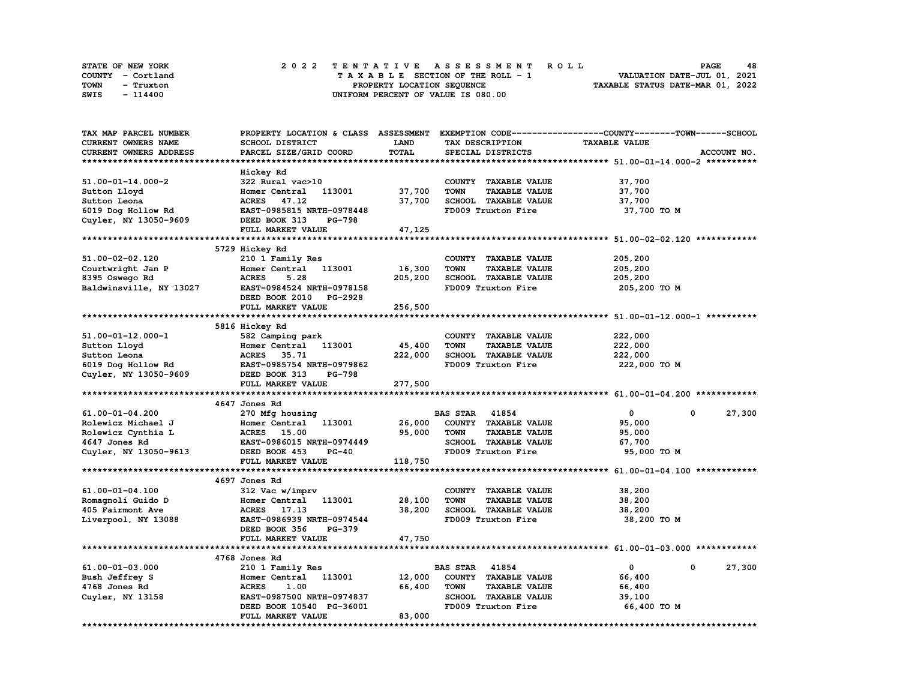| STATE OF NEW YORK | 2022 TENTATIVE ASSESSMENT ROLL          | 48<br><b>PAGE</b>                |
|-------------------|-----------------------------------------|----------------------------------|
| COUNTY - Cortland | $T A X A B L E$ SECTION OF THE ROLL - 1 | VALUATION DATE-JUL 01, 2021      |
| TOWN<br>- Truxton | PROPERTY LOCATION SEQUENCE              | TAXABLE STATUS DATE-MAR 01, 2022 |
| SWIS<br>- 114400  | UNIFORM PERCENT OF VALUE IS 080.00      |                                  |

| TAX MAP PARCEL NUMBER      |                                |             |                                     | PROPERTY LOCATION & CLASS ASSESSMENT EXEMPTION CODE-----------------COUNTY-------TOWN------SCHOOL |             |
|----------------------------|--------------------------------|-------------|-------------------------------------|---------------------------------------------------------------------------------------------------|-------------|
| <b>CURRENT OWNERS NAME</b> | SCHOOL DISTRICT                | <b>LAND</b> | TAX DESCRIPTION                     | <b>TAXABLE VALUE</b>                                                                              |             |
| CURRENT OWNERS ADDRESS     | PARCEL SIZE/GRID COORD         | TOTAL       | SPECIAL DISTRICTS                   |                                                                                                   | ACCOUNT NO. |
|                            |                                |             |                                     |                                                                                                   |             |
|                            | Hickey Rd                      |             |                                     |                                                                                                   |             |
| $51.00 - 01 - 14.000 - 2$  | 322 Rural vac>10               |             | COUNTY TAXABLE VALUE                | 37,700                                                                                            |             |
|                            |                                |             |                                     |                                                                                                   |             |
| Sutton Lloyd               | 113001<br>Homer Central        | 37,700      | <b>TAXABLE VALUE</b><br><b>TOWN</b> | 37,700                                                                                            |             |
| Sutton Leona               | ACRES 47.12                    | 37,700      | SCHOOL TAXABLE VALUE                | 37,700                                                                                            |             |
| 6019 Dog Hollow Rd         | EAST-0985815 NRTH-0978448      |             | FD009 Truxton Fire                  | 37,700 TO M                                                                                       |             |
| Cuyler, NY 13050-9609      | DEED BOOK 313<br><b>PG-798</b> |             |                                     |                                                                                                   |             |
|                            | FULL MARKET VALUE              | 47,125      |                                     |                                                                                                   |             |
|                            |                                |             |                                     |                                                                                                   |             |
|                            | 5729 Hickey Rd                 |             |                                     |                                                                                                   |             |
| 51.00-02-02.120            | 210 1 Family Res               |             | COUNTY TAXABLE VALUE                | 205,200                                                                                           |             |
| Courtwright Jan P          | Homer Central<br>113001        | 16,300      | <b>TOWN</b><br><b>TAXABLE VALUE</b> | 205,200                                                                                           |             |
| 8395 Oswego Rd             | <b>ACRES</b><br>5.28           | 205,200     | <b>SCHOOL TAXABLE VALUE</b>         | 205,200                                                                                           |             |
| Baldwinsville, NY 13027    | EAST-0984524 NRTH-0978158      |             | FD009 Truxton Fire                  | 205,200 TO M                                                                                      |             |
|                            |                                |             |                                     |                                                                                                   |             |
|                            | DEED BOOK 2010 PG-2928         |             |                                     |                                                                                                   |             |
|                            | FULL MARKET VALUE              | 256,500     |                                     |                                                                                                   |             |
|                            |                                |             |                                     |                                                                                                   |             |
|                            | 5816 Hickey Rd                 |             |                                     |                                                                                                   |             |
| 51.00-01-12.000-1          | 582 Camping park               |             | COUNTY TAXABLE VALUE                | 222,000                                                                                           |             |
| Sutton Lloyd               | 113001<br>Homer Central        | 45,400      | <b>TOWN</b><br><b>TAXABLE VALUE</b> | 222,000                                                                                           |             |
| Sutton Leona               | ACRES 35.71                    | 222,000     | <b>SCHOOL TAXABLE VALUE</b>         | 222,000                                                                                           |             |
| 6019 Dog Hollow Rd         | EAST-0985754 NRTH-0979862      |             | FD009 Truxton Fire                  | 222,000 TO M                                                                                      |             |
| Cuyler, NY 13050-9609      | DEED BOOK 313<br><b>PG-798</b> |             |                                     |                                                                                                   |             |
|                            | FULL MARKET VALUE              | 277,500     |                                     |                                                                                                   |             |
|                            |                                |             |                                     |                                                                                                   |             |
|                            | 4647 Jones Rd                  |             |                                     |                                                                                                   |             |
| 61.00-01-04.200            |                                |             | <b>BAS STAR 41854</b>               | $\mathbf{0}$<br>$\mathbf 0$                                                                       | 27,300      |
|                            | 270 Mfg housing                |             |                                     |                                                                                                   |             |
| Rolewicz Michael J         | 113001<br>Homer Central        | 26,000      | COUNTY TAXABLE VALUE                | 95,000                                                                                            |             |
| Rolewicz Cynthia L         | <b>ACRES</b> 15.00             | 95,000      | <b>TOWN</b><br><b>TAXABLE VALUE</b> | 95,000                                                                                            |             |
| 4647 Jones Rd              | EAST-0986015 NRTH-0974449      |             | SCHOOL TAXABLE VALUE                | 67,700                                                                                            |             |
| Cuyler, NY 13050-9613      | DEED BOOK 453<br>$PG-40$       |             | FD009 Truxton Fire                  | 95,000 TO M                                                                                       |             |
|                            | FULL MARKET VALUE              | 118,750     |                                     |                                                                                                   |             |
|                            |                                |             |                                     |                                                                                                   |             |
|                            | 4697 Jones Rd                  |             |                                     |                                                                                                   |             |
| 61.00-01-04.100            | 312 Vac w/imprv                |             | COUNTY TAXABLE VALUE                | 38,200                                                                                            |             |
| Romagnoli Guido D          | Homer Central<br>113001        | 28,100      | <b>TOWN</b><br><b>TAXABLE VALUE</b> | 38,200                                                                                            |             |
| 405 Fairmont Ave           | ACRES 17.13                    | 38,200      | SCHOOL TAXABLE VALUE                | 38,200                                                                                            |             |
| Liverpool, NY 13088        | EAST-0986939 NRTH-0974544      |             | FD009 Truxton Fire                  | 38,200 TO M                                                                                       |             |
|                            | DEED BOOK 356<br>PG-379        |             |                                     |                                                                                                   |             |
|                            | FULL MARKET VALUE              |             |                                     |                                                                                                   |             |
|                            |                                | 47,750      |                                     |                                                                                                   |             |
|                            |                                |             |                                     |                                                                                                   |             |
|                            | 4768 Jones Rd                  |             |                                     |                                                                                                   |             |
| 61.00-01-03.000            | 210 1 Family Res               |             | <b>BAS STAR</b><br>41854            | 0<br>0                                                                                            | 27,300      |
| Bush Jeffrey S             | 113001<br>Homer Central        | 12,000      | COUNTY TAXABLE VALUE                | 66,400                                                                                            |             |
| 4768 Jones Rd              |                                | 66,400      | <b>TOWN</b><br><b>TAXABLE VALUE</b> | 66,400                                                                                            |             |
|                            | <b>ACRES</b><br>1.00           |             |                                     |                                                                                                   |             |
| Cuyler, NY 13158           | EAST-0987500 NRTH-0974837      |             | SCHOOL TAXABLE VALUE                | 39,100                                                                                            |             |
|                            | DEED BOOK 10540 PG-36001       |             | FD009 Truxton Fire                  | 66,400 TO M                                                                                       |             |
|                            | FULL MARKET VALUE              | 83,000      |                                     |                                                                                                   |             |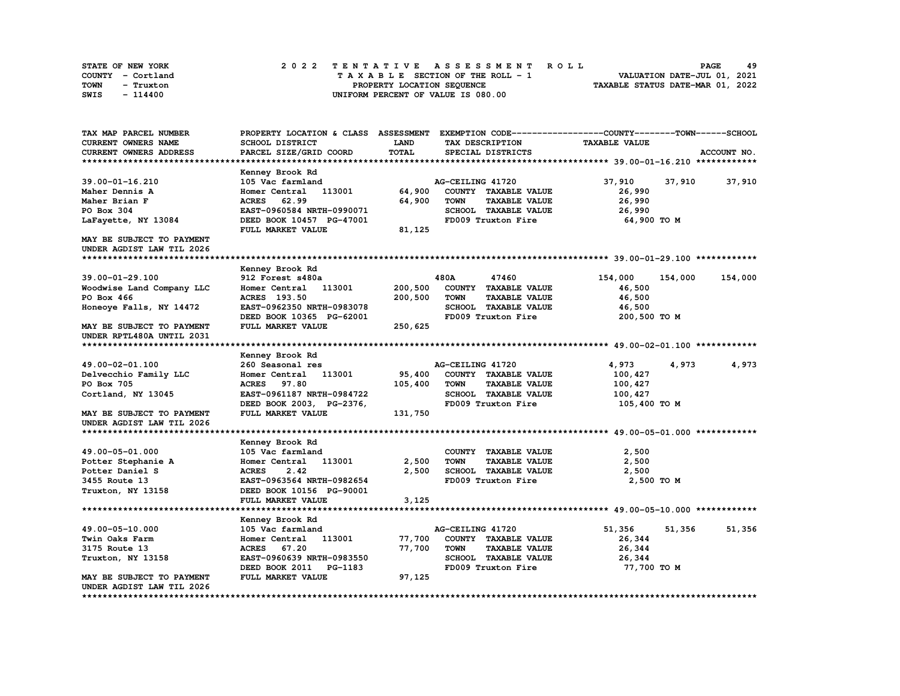| STATE OF NEW YORK | 2022 TENTATIVE ASSESSMENT ROLL     | 49<br><b>PAGE</b>                |
|-------------------|------------------------------------|----------------------------------|
| COUNTY - Cortland | TAXABLE SECTION OF THE ROLL - 1    | VALUATION DATE-JUL 01, 2021      |
| TOWN<br>- Truxton | PROPERTY LOCATION SEQUENCE         | TAXABLE STATUS DATE-MAR 01, 2022 |
| SWIS<br>$-114400$ | UNIFORM PERCENT OF VALUE IS 080.00 |                                  |

| TAX MAP PARCEL NUMBER                 | PROPERTY LOCATION & CLASS ASSESSMENT EXEMPTION CODE----------------COUNTY-------TOWN-----SCHOOL |                |                  |                                              |                      |         |             |
|---------------------------------------|-------------------------------------------------------------------------------------------------|----------------|------------------|----------------------------------------------|----------------------|---------|-------------|
| CURRENT OWNERS NAME                   | SCHOOL DISTRICT                                                                                 | LAND           |                  | TAX DESCRIPTION                              | <b>TAXABLE VALUE</b> |         |             |
| CURRENT OWNERS ADDRESS                | PARCEL SIZE/GRID COORD                                                                          | TOTAL          |                  | SPECIAL DISTRICTS                            |                      |         | ACCOUNT NO. |
|                                       |                                                                                                 |                |                  |                                              |                      |         |             |
|                                       | Kenney Brook Rd                                                                                 |                |                  |                                              |                      |         |             |
| 39.00-01-16.210                       | 105 Vac farmland                                                                                |                | AG-CEILING 41720 |                                              | 37,910               | 37,910  | 37,910      |
| Maher Dennis A                        | Homer Central 113001                                                                            | 64,900         |                  | COUNTY TAXABLE VALUE                         | 26,990               |         |             |
| Maher Brian F                         | <b>ACRES</b><br>62.99                                                                           | 64,900         | <b>TOWN</b>      | <b>TAXABLE VALUE</b>                         | 26,990               |         |             |
| PO Box 304                            | EAST-0960584 NRTH-0990071                                                                       |                |                  | SCHOOL TAXABLE VALUE                         | 26,990               |         |             |
| LaFayette, NY 13084                   | DEED BOOK 10457 PG-47001                                                                        |                |                  | FD009 Truxton Fire                           | 64,900 TO M          |         |             |
|                                       | FULL MARKET VALUE                                                                               | 81,125         |                  |                                              |                      |         |             |
| MAY BE SUBJECT TO PAYMENT             |                                                                                                 |                |                  |                                              |                      |         |             |
| UNDER AGDIST LAW TIL 2026             |                                                                                                 |                |                  |                                              |                      |         |             |
|                                       |                                                                                                 |                |                  |                                              |                      |         |             |
|                                       | Kenney Brook Rd                                                                                 |                |                  |                                              |                      |         |             |
| 39.00-01-29.100                       | 912 Forest s480a                                                                                |                | 480A             | 47460                                        | 154,000              | 154,000 | 154,000     |
| Woodwise Land Company LLC             | Homer Central<br>113001                                                                         | 200,500        |                  | COUNTY TAXABLE VALUE                         | 46,500               |         |             |
| PO Box 466                            | ACRES 193.50                                                                                    | 200,500        | TOWN             | <b>TAXABLE VALUE</b>                         | 46,500               |         |             |
| Honeoye Falls, NY 14472               | EAST-0962350 NRTH-0983078                                                                       |                |                  | SCHOOL TAXABLE VALUE                         | 46,500               |         |             |
|                                       | DEED BOOK 10365 PG-62001                                                                        |                |                  | FD009 Truxton Fire                           | 200,500 TO M         |         |             |
| MAY BE SUBJECT TO PAYMENT             | FULL MARKET VALUE                                                                               | 250,625        |                  |                                              |                      |         |             |
| UNDER RPTL480A UNTIL 2031             |                                                                                                 |                |                  |                                              |                      |         |             |
|                                       |                                                                                                 |                |                  |                                              |                      |         |             |
|                                       | Kenney Brook Rd                                                                                 |                |                  |                                              |                      |         |             |
| 49.00-02-01.100                       | 260 Seasonal res                                                                                |                | AG-CEILING 41720 |                                              | 4,973                | 4,973   | 4,973       |
| Delvecchio Family LLC                 | 113001<br>Homer Central                                                                         | 95,400         |                  | COUNTY TAXABLE VALUE                         | 100,427              |         |             |
| PO Box 705                            | 97.80<br><b>ACRES</b>                                                                           | 105,400        | <b>TOWN</b>      | <b>TAXABLE VALUE</b>                         | 100,427              |         |             |
| Cortland, NY 13045                    | EAST-0961187 NRTH-0984722                                                                       |                |                  | <b>SCHOOL TAXABLE VALUE</b>                  |                      |         |             |
|                                       | DEED BOOK 2003, PG-2376,                                                                        |                |                  | FD009 Truxton Fire                           | 100,427              |         |             |
| MAY BE SUBJECT TO PAYMENT             | FULL MARKET VALUE                                                                               | 131,750        |                  |                                              | 105,400 TO M         |         |             |
| UNDER AGDIST LAW TIL 2026             |                                                                                                 |                |                  |                                              |                      |         |             |
|                                       |                                                                                                 |                |                  |                                              |                      |         |             |
|                                       |                                                                                                 |                |                  |                                              |                      |         |             |
| 49.00-05-01.000                       | Kenney Brook Rd                                                                                 |                |                  |                                              |                      |         |             |
|                                       | 105 Vac farmland                                                                                |                | <b>TOWN</b>      | COUNTY TAXABLE VALUE                         | 2,500                |         |             |
| Potter Stephanie A<br>Potter Daniel S | Homer Central 113001<br><b>ACRES</b><br>2.42                                                    | 2,500<br>2,500 |                  | <b>TAXABLE VALUE</b><br>SCHOOL TAXABLE VALUE | 2,500<br>2,500       |         |             |
|                                       | EAST-0963564 NRTH-0982654                                                                       |                |                  | FD009 Truxton Fire                           |                      |         |             |
| 3455 Route 13                         |                                                                                                 |                |                  |                                              | 2,500 TO M           |         |             |
| Truxton, NY 13158                     | DEED BOOK 10156 PG-90001                                                                        |                |                  |                                              |                      |         |             |
|                                       | FULL MARKET VALUE                                                                               | 3,125          |                  |                                              |                      |         |             |
|                                       |                                                                                                 |                |                  |                                              |                      |         |             |
|                                       | Kenney Brook Rd                                                                                 |                |                  |                                              |                      |         |             |
| 49.00-05-10.000                       | 105 Vac farmland                                                                                |                | AG-CEILING 41720 |                                              | 51,356               | 51,356  | 51,356      |
| Twin Oaks Farm                        | 113001<br>Homer Central                                                                         | 77,700         |                  | COUNTY TAXABLE VALUE                         | 26,344               |         |             |
| 3175 Route 13                         | <b>ACRES</b><br>67.20                                                                           | 77,700         | <b>TOWN</b>      | <b>TAXABLE VALUE</b>                         | 26,344               |         |             |
| Truxton, NY 13158                     | EAST-0960639 NRTH-0983550                                                                       |                |                  | SCHOOL TAXABLE VALUE                         | 26,344               |         |             |
|                                       | DEED BOOK 2011 PG-1183                                                                          |                |                  | FD009 Truxton Fire                           | 77,700 TO M          |         |             |
| MAY BE SUBJECT TO PAYMENT             | FULL MARKET VALUE                                                                               | 97,125         |                  |                                              |                      |         |             |
| UNDER AGDIST LAW TIL 2026             |                                                                                                 |                |                  |                                              |                      |         |             |
|                                       |                                                                                                 |                |                  |                                              |                      |         |             |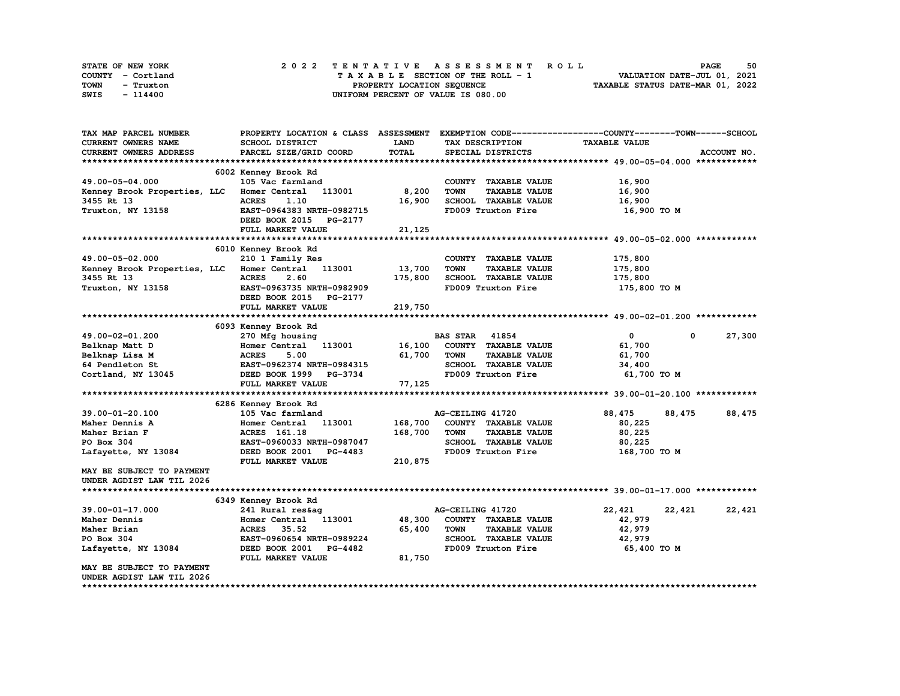| STATE OF NEW YORK | 2022 TENTATIVE ASSESSMENT ROLL     | 50<br><b>PAGE</b>                |
|-------------------|------------------------------------|----------------------------------|
| COUNTY - Cortland | TAXABLE SECTION OF THE ROLL - 1    | VALUATION DATE-JUL 01, 2021      |
| TOWN<br>- Truxton | PROPERTY LOCATION SEQUENCE         | TAXABLE STATUS DATE-MAR 01, 2022 |
| SWIS<br>- 114400  | UNIFORM PERCENT OF VALUE IS 080.00 |                                  |

| TAX MAP PARCEL NUMBER                      |                                         |             |                                     | PROPERTY LOCATION & CLASS ASSESSMENT EXEMPTION CODE----------------COUNTY-------TOWN-----SCHOOL |             |
|--------------------------------------------|-----------------------------------------|-------------|-------------------------------------|-------------------------------------------------------------------------------------------------|-------------|
| <b>CURRENT OWNERS NAME</b>                 | <b>SCHOOL DISTRICT</b>                  | <b>LAND</b> | TAX DESCRIPTION                     | <b>TAXABLE VALUE</b>                                                                            |             |
| CURRENT OWNERS ADDRESS                     | PARCEL SIZE/GRID COORD                  | TOTAL       | SPECIAL DISTRICTS                   |                                                                                                 | ACCOUNT NO. |
|                                            |                                         |             |                                     |                                                                                                 |             |
|                                            | 6002 Kenney Brook Rd                    |             |                                     |                                                                                                 |             |
| 49.00-05-04.000                            | 105 Vac farmland                        |             | COUNTY TAXABLE VALUE                | 16,900                                                                                          |             |
| Kenney Brook Properties, LLC               | Homer Central 113001                    | 8,200       | <b>TOWN</b><br><b>TAXABLE VALUE</b> | 16,900                                                                                          |             |
| 3455 Rt 13                                 | 1.10<br><b>ACRES</b>                    | 16,900      | SCHOOL TAXABLE VALUE                | 16,900                                                                                          |             |
| Truxton, NY 13158                          | EAST-0964383 NRTH-0982715               |             | FD009 Truxton Fire                  | 16,900 то м                                                                                     |             |
|                                            | DEED BOOK 2015<br>PG-2177               |             |                                     |                                                                                                 |             |
|                                            | FULL MARKET VALUE                       | 21,125      |                                     |                                                                                                 |             |
|                                            |                                         |             |                                     |                                                                                                 |             |
|                                            | 6010 Kenney Brook Rd                    |             |                                     |                                                                                                 |             |
| 49.00-05-02.000                            | 210 1 Family Res                        |             | COUNTY TAXABLE VALUE                | 175,800                                                                                         |             |
| Kenney Brook Properties, LLC Homer Central | 113001                                  | 13,700      | <b>TOWN</b><br><b>TAXABLE VALUE</b> | 175,800                                                                                         |             |
| 3455 Rt 13                                 | <b>ACRES</b><br>2.60                    | 175,800     | SCHOOL TAXABLE VALUE                | 175,800                                                                                         |             |
| Truxton, NY 13158                          | EAST-0963735 NRTH-0982909               |             | FD009 Truxton Fire                  | 175,800 TO M                                                                                    |             |
|                                            | DEED BOOK 2015 PG-2177                  |             |                                     |                                                                                                 |             |
|                                            | FULL MARKET VALUE                       | 219,750     |                                     |                                                                                                 |             |
|                                            |                                         |             |                                     |                                                                                                 |             |
|                                            |                                         |             |                                     |                                                                                                 |             |
|                                            | 6093 Kenney Brook Rd                    |             | <b>BAS STAR</b><br>41854            | $\mathbf 0$<br>0                                                                                |             |
| 49.00-02-01.200                            | 270 Mfg housing<br>Homer Central 113001 | 16,100      | COUNTY TAXABLE VALUE                |                                                                                                 | 27,300      |
| Belknap Matt D                             |                                         |             |                                     | 61,700                                                                                          |             |
| Belknap Lisa M                             | <b>ACRES</b><br>5.00                    | 61,700      | <b>TOWN</b><br><b>TAXABLE VALUE</b> | 61,700                                                                                          |             |
| 64 Pendleton St                            | EAST-0962374 NRTH-0984315               |             | SCHOOL TAXABLE VALUE                | 34,400                                                                                          |             |
| Cortland, NY 13045                         | DEED BOOK 1999 PG-3734                  |             | FD009 Truxton Fire                  | 61,700 TO M                                                                                     |             |
|                                            | FULL MARKET VALUE                       | 77,125      |                                     |                                                                                                 |             |
|                                            |                                         |             |                                     |                                                                                                 |             |
|                                            | 6286 Kenney Brook Rd                    |             |                                     |                                                                                                 |             |
| 39.00-01-20.100                            | 105 Vac farmland                        |             | AG-CEILING 41720                    | 88,475<br>88,475                                                                                | 88,475      |
| Maher Dennis A                             | 113001<br>Homer Central                 | 168,700     | COUNTY TAXABLE VALUE                | 80,225                                                                                          |             |
| Maher Brian F                              | ACRES 161.18                            | 168,700     | <b>TOWN</b><br><b>TAXABLE VALUE</b> | 80,225                                                                                          |             |
| PO Box 304                                 | EAST-0960033 NRTH-0987047               |             | SCHOOL TAXABLE VALUE                | 80,225                                                                                          |             |
| Lafayette, NY 13084                        | DEED BOOK 2001<br><b>PG-4483</b>        |             | FD009 Truxton Fire                  | 168,700 TO M                                                                                    |             |
|                                            | FULL MARKET VALUE                       | 210,875     |                                     |                                                                                                 |             |
| MAY BE SUBJECT TO PAYMENT                  |                                         |             |                                     |                                                                                                 |             |
| UNDER AGDIST LAW TIL 2026                  |                                         |             |                                     |                                                                                                 |             |
|                                            |                                         |             |                                     |                                                                                                 |             |
|                                            | 6349 Kenney Brook Rd                    |             |                                     |                                                                                                 |             |
| $39.00 - 01 - 17.000$                      | 241 Rural res&ag                        |             | AG-CEILING 41720                    | 22,421<br>22,421                                                                                | 22,421      |
| Maher Dennis                               | Homer Central 113001                    | 48,300      | COUNTY TAXABLE VALUE                | 42,979                                                                                          |             |
| Maher Brian                                | <b>ACRES</b><br>35.52                   | 65,400      | <b>TOWN</b><br><b>TAXABLE VALUE</b> | 42,979                                                                                          |             |
| PO Box 304                                 | EAST-0960654 NRTH-0989224               |             | SCHOOL TAXABLE VALUE                | 42,979                                                                                          |             |
| Lafayette, NY 13084                        | DEED BOOK 2001 PG-4482                  |             | FD009 Truxton Fire                  | 65,400 TO M                                                                                     |             |
|                                            | FULL MARKET VALUE                       | 81,750      |                                     |                                                                                                 |             |
| MAY BE SUBJECT TO PAYMENT                  |                                         |             |                                     |                                                                                                 |             |
| UNDER AGDIST LAW TIL 2026                  |                                         |             |                                     |                                                                                                 |             |
|                                            |                                         |             |                                     |                                                                                                 |             |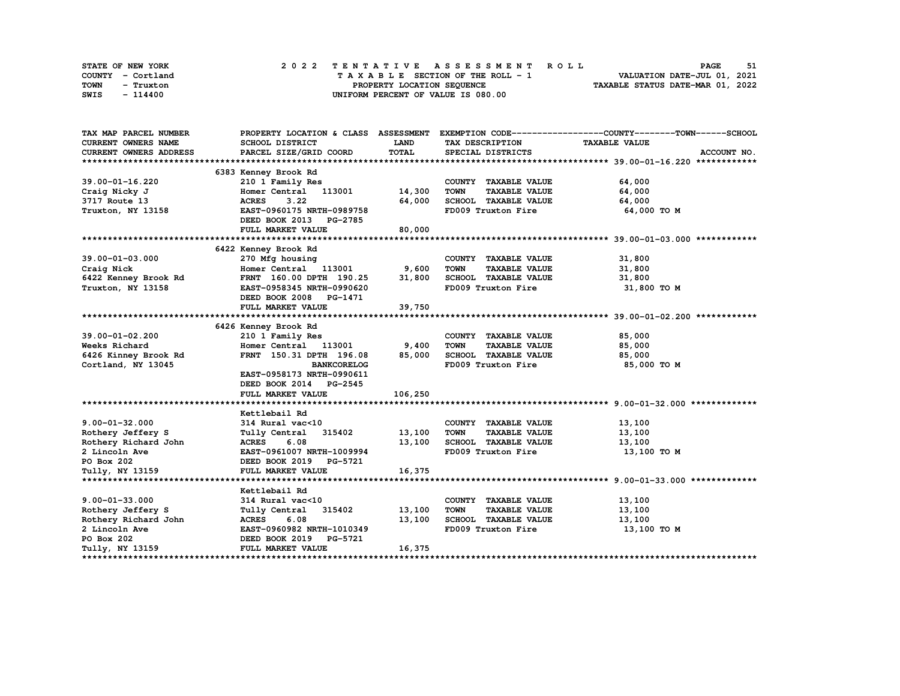| STATE OF NEW YORK | 2022 TENTATIVE ASSESSMENT ROLL     | 51<br><b>PAGE</b>                |
|-------------------|------------------------------------|----------------------------------|
| COUNTY - Cortland | TAXABLE SECTION OF THE ROLL - 1    | VALUATION DATE-JUL 01, 2021      |
| TOWN<br>- Truxton | PROPERTY LOCATION SEQUENCE         | TAXABLE STATUS DATE-MAR 01, 2022 |
| SWIS<br>- 114400  | UNIFORM PERCENT OF VALUE IS 080.00 |                                  |

| TAX MAP PARCEL NUMBER         |                            |             |                                     | PROPERTY LOCATION & CLASS ASSESSMENT EXEMPTION CODE----------------COUNTY-------TOWN------SCHOOL |
|-------------------------------|----------------------------|-------------|-------------------------------------|--------------------------------------------------------------------------------------------------|
| <b>CURRENT OWNERS NAME</b>    | <b>SCHOOL DISTRICT</b>     | <b>LAND</b> | TAX DESCRIPTION                     | <b>TAXABLE VALUE</b>                                                                             |
| <b>CURRENT OWNERS ADDRESS</b> | PARCEL SIZE/GRID COORD     | TOTAL       | SPECIAL DISTRICTS                   | ACCOUNT NO.                                                                                      |
|                               |                            |             |                                     |                                                                                                  |
|                               | 6383 Kenney Brook Rd       |             |                                     |                                                                                                  |
| 39.00-01-16.220               | 210 1 Family Res           |             | COUNTY TAXABLE VALUE                | 64,000                                                                                           |
| Craig Nicky J                 | Homer Central 113001       | 14,300      | <b>TOWN</b><br><b>TAXABLE VALUE</b> | 64,000                                                                                           |
| 3717 Route 13                 | 3.22<br><b>ACRES</b>       | 64,000      | SCHOOL TAXABLE VALUE                | 64,000                                                                                           |
| Truxton, NY 13158             | EAST-0960175 NRTH-0989758  |             | FD009 Truxton Fire                  | 64,000 TO M                                                                                      |
|                               | DEED BOOK 2013 PG-2785     |             |                                     |                                                                                                  |
|                               | FULL MARKET VALUE          | 80,000      |                                     |                                                                                                  |
|                               |                            |             |                                     |                                                                                                  |
|                               | 6422 Kenney Brook Rd       |             |                                     |                                                                                                  |
| $39.00 - 01 - 03.000$         | 270 Mfg housing            |             | COUNTY TAXABLE VALUE                | 31,800                                                                                           |
| Craig Nick                    | Homer Central 113001 9,600 |             | <b>TOWN</b><br><b>TAXABLE VALUE</b> | 31,800                                                                                           |
| 6422 Kenney Brook Rd          | FRNT 160.00 DPTH 190.25    | 31,800      | SCHOOL TAXABLE VALUE                | 31,800                                                                                           |
| Truxton, NY 13158             | EAST-0958345 NRTH-0990620  |             | FD009 Truxton Fire                  | 31,800 TO M                                                                                      |
|                               | DEED BOOK 2008 PG-1471     |             |                                     |                                                                                                  |
|                               | FULL MARKET VALUE          | 39,750      |                                     |                                                                                                  |
|                               |                            |             |                                     |                                                                                                  |
|                               | 6426 Kenney Brook Rd       |             |                                     |                                                                                                  |
| $39.00 - 01 - 02.200$         | 210 1 Family Res           |             | COUNTY TAXABLE VALUE                | 85,000                                                                                           |
| Weeks Richard                 | Homer Central 113001       | 9,400       | <b>TAXABLE VALUE</b><br><b>TOWN</b> | 85,000                                                                                           |
| 6426 Kinney Brook Rd          | FRNT 150.31 DPTH 196.08    | 85,000      | SCHOOL TAXABLE VALUE                | 85,000                                                                                           |
| Cortland, NY 13045            | <b>BANKCORELOG</b>         |             | FD009 Truxton Fire                  | 85,000 TO M                                                                                      |
|                               | EAST-0958173 NRTH-0990611  |             |                                     |                                                                                                  |
|                               | DEED BOOK 2014 PG-2545     |             |                                     |                                                                                                  |
|                               | FULL MARKET VALUE          | 106,250     |                                     |                                                                                                  |
|                               |                            |             |                                     |                                                                                                  |
|                               | Kettlebail Rd              |             |                                     |                                                                                                  |
| $9.00 - 01 - 32.000$          | 314 Rural vac<10           |             | COUNTY TAXABLE VALUE                | 13,100                                                                                           |
| Rothery Jeffery S             | Tully Central 315402       | 13,100      | <b>TAXABLE VALUE</b><br>TOWN        | 13,100                                                                                           |
| Rothery Richard John          | <b>ACRES</b><br>6.08       | 13,100      | SCHOOL TAXABLE VALUE                | 13,100                                                                                           |
| 2 Lincoln Ave                 | EAST-0961007 NRTH-1009994  |             | FD009 Truxton Fire                  | 13,100 то м                                                                                      |
| PO Box 202                    | DEED BOOK 2019 PG-5721     |             |                                     |                                                                                                  |
| Tully, NY 13159               | FULL MARKET VALUE          | 16,375      |                                     |                                                                                                  |
|                               |                            |             |                                     |                                                                                                  |
|                               | Kettlebail Rd              |             |                                     |                                                                                                  |
| $9.00 - 01 - 33.000$          | 314 Rural vac<10           |             | COUNTY TAXABLE VALUE                | 13,100                                                                                           |
| Rothery Jeffery S             | Tully Central 315402       | 13,100      | <b>TOWN</b><br><b>TAXABLE VALUE</b> | 13,100                                                                                           |
| Rothery Richard John          | <b>ACRES</b><br>6.08       | 13,100      | SCHOOL TAXABLE VALUE                | 13,100                                                                                           |
| 2 Lincoln Ave                 | EAST-0960982 NRTH-1010349  |             | FD009 Truxton Fire                  | 13,100 TO M                                                                                      |
| PO Box 202                    | DEED BOOK 2019 PG-5721     |             |                                     |                                                                                                  |
| Tully, NY 13159               | FULL MARKET VALUE          | 16,375      |                                     |                                                                                                  |
|                               |                            |             |                                     |                                                                                                  |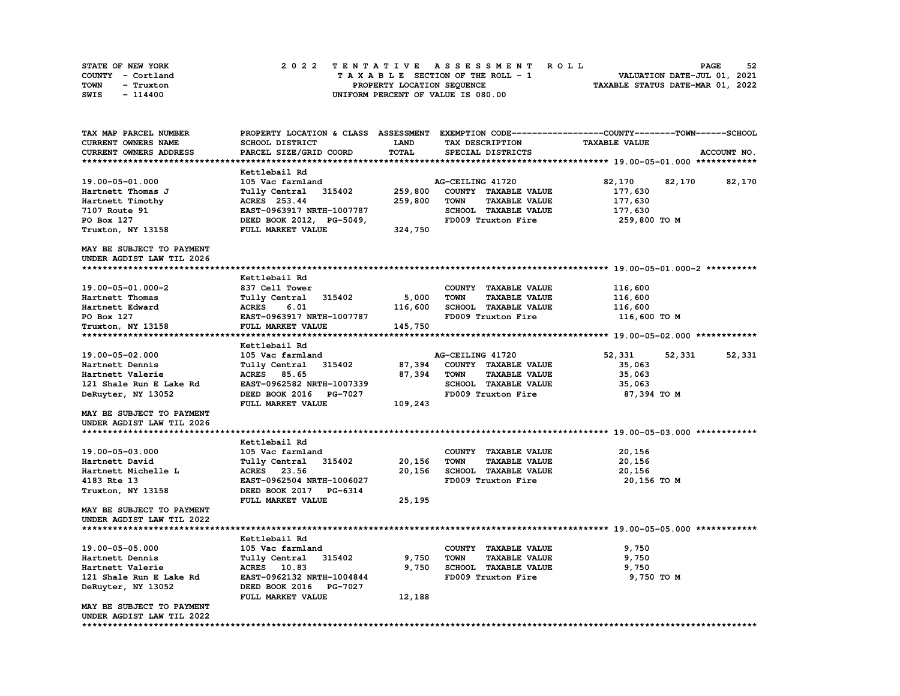| STATE OF NEW YORK | 2022 TENTATIVE ASSESSMENT ROLL          | 52<br><b>PAGE</b>                |
|-------------------|-----------------------------------------|----------------------------------|
| COUNTY - Cortland | $T A X A B L E$ SECTION OF THE ROLL - 1 | VALUATION DATE-JUL 01, 2021      |
| TOWN<br>- Truxton | PROPERTY LOCATION SEQUENCE              | TAXABLE STATUS DATE-MAR 01, 2022 |
| SWIS<br>- 114400  | UNIFORM PERCENT OF VALUE IS 080.00      |                                  |

| TAX MAP PARCEL NUMBER                                  | PROPERTY LOCATION & CLASS ASSESSMENT |              | EXEMPTION CODE-----------------COUNTY-------TOWN------SCHOOL |                      |                  |
|--------------------------------------------------------|--------------------------------------|--------------|--------------------------------------------------------------|----------------------|------------------|
| <b>CURRENT OWNERS NAME</b>                             | SCHOOL DISTRICT                      | LAND         | TAX DESCRIPTION                                              | <b>TAXABLE VALUE</b> |                  |
| CURRENT OWNERS ADDRESS                                 | PARCEL SIZE/GRID COORD               | <b>TOTAL</b> | SPECIAL DISTRICTS                                            |                      | ACCOUNT NO.      |
|                                                        |                                      |              |                                                              |                      |                  |
|                                                        | Kettlebail Rd                        |              |                                                              |                      |                  |
| 19.00-05-01.000                                        | 105 Vac farmland                     |              | AG-CEILING 41720                                             | 82,170               | 82,170<br>82,170 |
| Hartnett Thomas J                                      | 315402<br>Tully Central              | 259,800      | COUNTY TAXABLE VALUE                                         | 177,630              |                  |
| Hartnett Timothy                                       | ACRES 253.44                         | 259,800      | <b>TOWN</b><br><b>TAXABLE VALUE</b>                          | 177,630              |                  |
| 7107 Route 91                                          | EAST-0963917 NRTH-1007787            |              | SCHOOL TAXABLE VALUE                                         | 177,630              |                  |
| PO Box 127                                             | DEED BOOK 2012, PG-5049,             |              | FD009 Truxton Fire                                           | 259,800 TO M         |                  |
| Truxton, NY 13158                                      | FULL MARKET VALUE                    | 324,750      |                                                              |                      |                  |
| MAY BE SUBJECT TO PAYMENT                              |                                      |              |                                                              |                      |                  |
| UNDER AGDIST LAW TIL 2026                              |                                      |              |                                                              |                      |                  |
|                                                        |                                      |              |                                                              |                      |                  |
|                                                        | Kettlebail Rd                        |              |                                                              |                      |                  |
| 19.00-05-01.000-2                                      | 837 Cell Tower                       |              | COUNTY TAXABLE VALUE                                         | 116,600              |                  |
| Hartnett Thomas                                        | 315402<br>Tully Central              | 5,000        | <b>TOWN</b><br><b>TAXABLE VALUE</b>                          | 116,600              |                  |
| Hartnett Edward                                        | <b>ACRES</b><br>6.01                 | 116,600      | SCHOOL TAXABLE VALUE                                         | 116,600              |                  |
| PO Box 127                                             | EAST-0963917 NRTH-1007787            |              | FD009 Truxton Fire                                           | 116,600 TO M         |                  |
| Truxton, NY 13158                                      | FULL MARKET VALUE                    | 145,750      |                                                              |                      |                  |
|                                                        |                                      |              |                                                              |                      |                  |
|                                                        | Kettlebail Rd                        |              |                                                              |                      |                  |
| 19.00-05-02.000                                        | 105 Vac farmland                     |              | AG-CEILING 41720                                             | 52,331               | 52,331<br>52,331 |
| Hartnett Dennis                                        | Tully Central<br>315402              | 87,394       | COUNTY TAXABLE VALUE                                         | 35,063               |                  |
| Hartnett Valerie                                       | ACRES 85.65                          | 87,394       | <b>TOWN</b><br><b>TAXABLE VALUE</b>                          | 35,063               |                  |
| 121 Shale Run E Lake Rd                                | EAST-0962582 NRTH-1007339            |              | <b>SCHOOL TAXABLE VALUE</b>                                  | 35,063               |                  |
| DeRuyter, NY 13052                                     | DEED BOOK 2016 PG-7027               |              | FD009 Truxton Fire                                           | 87,394 TO M          |                  |
|                                                        | FULL MARKET VALUE                    | 109,243      |                                                              |                      |                  |
| MAY BE SUBJECT TO PAYMENT                              |                                      |              |                                                              |                      |                  |
| UNDER AGDIST LAW TIL 2026                              |                                      |              |                                                              |                      |                  |
|                                                        |                                      |              |                                                              |                      |                  |
|                                                        | Kettlebail Rd                        |              |                                                              |                      |                  |
| 19.00-05-03.000                                        | 105 Vac farmland                     |              | COUNTY TAXABLE VALUE                                         | 20,156               |                  |
| Hartnett David                                         | Tully Central<br>315402              | 20,156       | <b>TOWN</b><br><b>TAXABLE VALUE</b>                          | 20,156               |                  |
| Hartnett Michelle L                                    | ACRES 23.56                          | 20,156       | <b>SCHOOL TAXABLE VALUE</b>                                  | 20,156               |                  |
| 4183 Rte 13                                            | EAST-0962504 NRTH-1006027            |              | FD009 Truxton Fire                                           | 20,156 TO M          |                  |
| Truxton, NY 13158                                      | DEED BOOK 2017 PG-6314               |              |                                                              |                      |                  |
|                                                        | FULL MARKET VALUE                    | 25,195       |                                                              |                      |                  |
| MAY BE SUBJECT TO PAYMENT<br>UNDER AGDIST LAW TIL 2022 |                                      |              |                                                              |                      |                  |
|                                                        |                                      |              |                                                              |                      |                  |
|                                                        | Kettlebail Rd                        |              |                                                              |                      |                  |
| 19.00-05-05.000                                        | 105 Vac farmland                     |              | COUNTY TAXABLE VALUE                                         | 9,750                |                  |
| Hartnett Dennis                                        | Tully Central<br>315402              | 9,750        | <b>TOWN</b><br><b>TAXABLE VALUE</b>                          | 9,750                |                  |
| Hartnett Valerie                                       | ACRES 10.83                          | 9,750        | SCHOOL TAXABLE VALUE                                         | 9,750                |                  |
| 121 Shale Run E Lake Rd                                | EAST-0962132 NRTH-1004844            |              | FD009 Truxton Fire                                           | 9,750 TO M           |                  |
| DeRuyter, NY 13052                                     | DEED BOOK 2016 PG-7027               |              |                                                              |                      |                  |
|                                                        | FULL MARKET VALUE                    | 12,188       |                                                              |                      |                  |
| MAY BE SUBJECT TO PAYMENT                              |                                      |              |                                                              |                      |                  |
| UNDER AGDIST LAW TIL 2022                              |                                      |              |                                                              |                      |                  |
| ***************************                            |                                      |              |                                                              |                      |                  |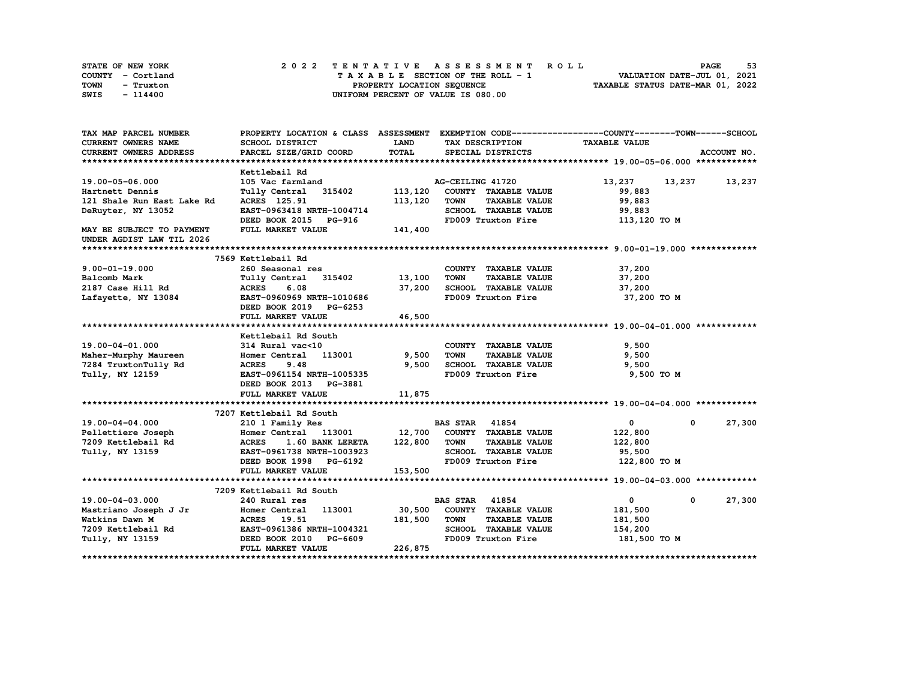| STATE OF NEW YORK | 2022 TENTATIVE ASSESSMENT ROLL     | 53<br><b>PAGE</b>                |
|-------------------|------------------------------------|----------------------------------|
| COUNTY - Cortland | TAXABLE SECTION OF THE ROLL - 1    | VALUATION DATE-JUL 01, 2021      |
| TOWN<br>- Truxton | PROPERTY LOCATION SEOUENCE         | TAXABLE STATUS DATE-MAR 01, 2022 |
| SWIS<br>$-114400$ | UNIFORM PERCENT OF VALUE IS 080.00 |                                  |

| TAX MAP PARCEL NUMBER         | PROPERTY LOCATION & CLASS ASSESSMENT EXEMPTION CODE----------------COUNTY-------TOWN-----SCHOOL |             |                                     |                      |                         |
|-------------------------------|-------------------------------------------------------------------------------------------------|-------------|-------------------------------------|----------------------|-------------------------|
| CURRENT OWNERS NAME           | SCHOOL DISTRICT                                                                                 | <b>LAND</b> | TAX DESCRIPTION                     | <b>TAXABLE VALUE</b> |                         |
| <b>CURRENT OWNERS ADDRESS</b> | PARCEL SIZE/GRID COORD                                                                          | TOTAL       | SPECIAL DISTRICTS                   |                      | ACCOUNT NO.             |
|                               |                                                                                                 |             |                                     |                      |                         |
|                               | Kettlebail Rd                                                                                   |             |                                     |                      |                         |
| 19.00-05-06.000               | 105 Vac farmland                                                                                |             | AG-CEILING 41720                    |                      | 13, 237 13, 237 13, 237 |
| Hartnett Dennis               | Tully Central 315402 113,120                                                                    |             | COUNTY TAXABLE VALUE                | 99,883               |                         |
| 121 Shale Run East Lake Rd    | ACRES 125.91                                                                                    | 113,120     | <b>TOWN</b><br><b>TAXABLE VALUE</b> | 99,883               |                         |
| DeRuyter, NY 13052            | EAST-0963418 NRTH-1004714                                                                       |             | SCHOOL TAXABLE VALUE                | 99,883               |                         |
|                               | DEED BOOK 2015 PG-916                                                                           |             | FD009 Truxton Fire                  | 113,120 TO M         |                         |
| MAY BE SUBJECT TO PAYMENT     | FULL MARKET VALUE                                                                               | 141,400     |                                     |                      |                         |
| UNDER AGDIST LAW TIL 2026     |                                                                                                 |             |                                     |                      |                         |
|                               |                                                                                                 |             |                                     |                      |                         |
|                               | 7569 Kettlebail Rd                                                                              |             |                                     |                      |                         |
| $9.00 - 01 - 19.000$          | 260 Seasonal res                                                                                |             | COUNTY TAXABLE VALUE                | 37,200               |                         |
| Balcomb Mark                  | Tully Central 315402 13,100                                                                     |             | <b>TOWN</b><br><b>TAXABLE VALUE</b> | 37,200               |                         |
| 2187 Case Hill Rd             | ACRES 6.08                                                                                      | 37,200      | SCHOOL TAXABLE VALUE                | 37,200               |                         |
| Lafayette, NY 13084           | EAST-0960969 NRTH-1010686                                                                       |             | FD009 Truxton Fire                  | 37,200 TO M          |                         |
|                               | DEED BOOK 2019 PG-6253                                                                          |             |                                     |                      |                         |
|                               | FULL MARKET VALUE                                                                               | 46,500      |                                     |                      |                         |
|                               |                                                                                                 |             |                                     |                      |                         |
|                               | Kettlebail Rd South                                                                             |             |                                     |                      |                         |
| 19.00-04-01.000               | 314 Rural vac<10                                                                                |             | COUNTY TAXABLE VALUE                | 9,500                |                         |
| Maher-Murphy Maureen          | Homer Central 113001 9,500                                                                      |             | <b>TOWN</b><br><b>TAXABLE VALUE</b> | 9,500                |                         |
| 7284 TruxtonTully Rd          | <b>ACRES</b><br>9.48                                                                            | 9,500       | SCHOOL TAXABLE VALUE                | 9,500                |                         |
| Tully, NY 12159               | EAST-0961154 NRTH-1005335                                                                       |             | FD009 Truxton Fire                  | 9,500 TO M           |                         |
|                               | DEED BOOK 2013 PG-3881                                                                          |             |                                     |                      |                         |
|                               | FULL MARKET VALUE                                                                               | 11,875      |                                     |                      |                         |
|                               |                                                                                                 |             |                                     |                      |                         |
|                               | 7207 Kettlebail Rd South                                                                        |             |                                     |                      |                         |
| 19.00-04-04.000               | 210 1 Family Res                                                                                |             | <b>BAS STAR 41854</b>               | $\mathbf{0}$         | 27,300<br>$^{\circ}$    |
| Pellettiere Joseph            |                                                                                                 |             |                                     | 122,800              |                         |
| 7209 Kettlebail Rd            | 1.60 BANK LERETA 122,800<br><b>ACRES</b>                                                        |             | <b>TOWN</b><br><b>TAXABLE VALUE</b> | 122,800              |                         |
| Tully, NY 13159               | EAST-0961738 NRTH-1003923                                                                       |             | SCHOOL TAXABLE VALUE                | 95,500               |                         |
|                               | DEED BOOK 1998 PG-6192                                                                          |             | FD009 Truxton Fire                  | 122,800 TO M         |                         |
|                               | FULL MARKET VALUE                                                                               | 153,500     |                                     |                      |                         |
|                               |                                                                                                 |             |                                     |                      |                         |
|                               | 7209 Kettlebail Rd South                                                                        |             |                                     |                      |                         |
| 19.00-04-03.000               | 240 Rural res                                                                                   |             | <b>BAS STAR 41854</b>               | $\mathbf{0}$         | 27,300<br>$^{\circ}$    |
| Mastriano Joseph J Jr         | 113001 30,500<br>Homer Central                                                                  |             | COUNTY TAXABLE VALUE                | 181,500              |                         |
| Watkins Dawn M                | ACRES 19.51                                                                                     | 181,500     | <b>TOWN</b><br><b>TAXABLE VALUE</b> | 181,500              |                         |
|                               |                                                                                                 |             | SCHOOL TAXABLE VALUE                | 154,200              |                         |
| Tully, NY 13159               | DEED BOOK 2010 PG-6609                                                                          |             | FD009 Truxton Fire                  | 181,500 TO M         |                         |
|                               | FULL MARKET VALUE                                                                               | 226,875     |                                     |                      |                         |
|                               |                                                                                                 |             |                                     |                      |                         |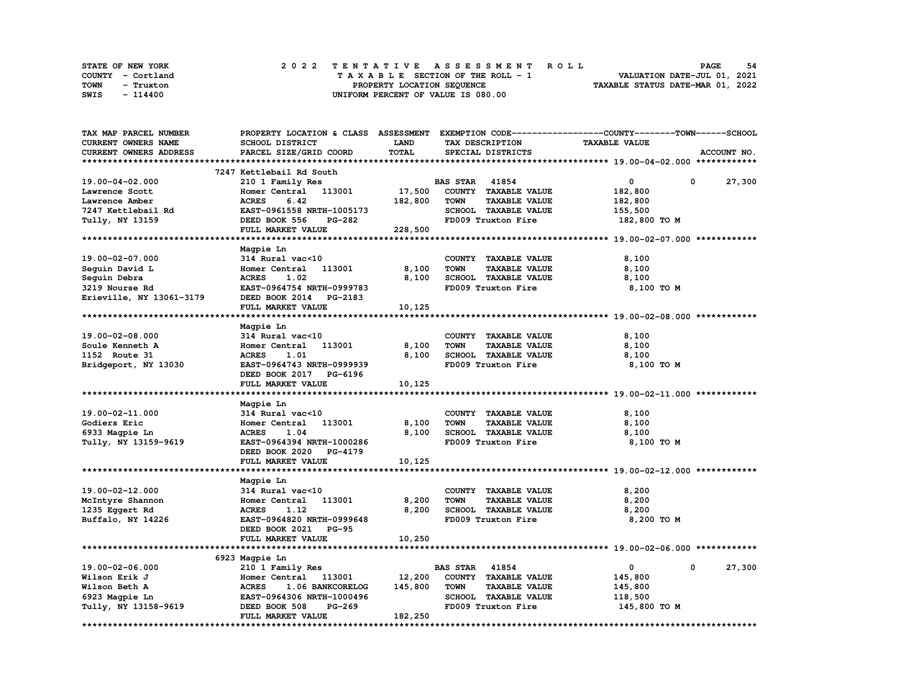| STATE OF NEW YORK | 2022 TENTATIVE ASSESSMENT ROLL     | -54<br><b>PAGE</b>               |
|-------------------|------------------------------------|----------------------------------|
| COUNTY - Cortland | TAXABLE SECTION OF THE ROLL - 1    | VALUATION DATE-JUL 01, 2021      |
| TOWN<br>- Truxton | PROPERTY LOCATION SEQUENCE         | TAXABLE STATUS DATE-MAR 01, 2022 |
| SWIS<br>- 114400  | UNIFORM PERCENT OF VALUE IS 080.00 |                                  |

| TAX MAP PARCEL NUMBER    |                                  |             |                                     | PROPERTY LOCATION & CLASS ASSESSMENT EXEMPTION CODE----------------COUNTY-------TOWN-----SCHOOL |
|--------------------------|----------------------------------|-------------|-------------------------------------|-------------------------------------------------------------------------------------------------|
| CURRENT OWNERS NAME      | SCHOOL DISTRICT                  | <b>LAND</b> | TAX DESCRIPTION                     | <b>TAXABLE VALUE</b>                                                                            |
| CURRENT OWNERS ADDRESS   | PARCEL SIZE/GRID COORD           | TOTAL       | SPECIAL DISTRICTS                   | ACCOUNT NO.                                                                                     |
|                          |                                  |             |                                     |                                                                                                 |
|                          | 7247 Kettlebail Rd South         |             |                                     |                                                                                                 |
| 19.00-04-02.000          | 210 1 Family Res                 |             | <b>BAS STAR</b> 41854               | 0<br>0<br>27,300                                                                                |
| Lawrence Scott           | Homer Central 113001             | 17,500      | COUNTY TAXABLE VALUE                | 182,800                                                                                         |
| Lawrence Amber           | <b>ACRES</b><br>6.42             | 182,800     | <b>TOWN</b><br><b>TAXABLE VALUE</b> | 182,800                                                                                         |
| 7247 Kettlebail Rd       | EAST-0961558 NRTH-1005173        |             | SCHOOL TAXABLE VALUE                | 155,500                                                                                         |
|                          | DEED BOOK 556                    |             | FD009 Truxton Fire                  |                                                                                                 |
| Tully, NY 13159          | PG-282                           |             |                                     | 182,800 TO M                                                                                    |
|                          | FULL MARKET VALUE                | 228,500     |                                     |                                                                                                 |
|                          |                                  |             |                                     |                                                                                                 |
|                          | Magpie Ln                        |             |                                     |                                                                                                 |
| 19.00-02-07.000          | 314 Rural vac<10                 |             | COUNTY TAXABLE VALUE                | 8,100                                                                                           |
| Sequin David L           | Homer Central<br>113001          | 8,100       | <b>TOWN</b><br><b>TAXABLE VALUE</b> | 8,100                                                                                           |
| Sequin Debra             | <b>ACRES</b><br>1.02             | 8,100       | SCHOOL TAXABLE VALUE                | 8,100                                                                                           |
| 3219 Nourse Rd           | EAST-0964754 NRTH-0999783        |             | FD009 Truxton Fire                  | 8,100 TO M                                                                                      |
| Erieville, NY 13061-3179 | DEED BOOK 2014 PG-2183           |             |                                     |                                                                                                 |
|                          | FULL MARKET VALUE                | 10,125      |                                     |                                                                                                 |
|                          |                                  |             |                                     |                                                                                                 |
|                          | Magpie Ln                        |             |                                     |                                                                                                 |
| 19.00-02-08.000          | 314 Rural vac<10                 |             | COUNTY TAXABLE VALUE                | 8,100                                                                                           |
| Soule Kenneth A          | 113001<br>Homer Central          | 8,100       | <b>TOWN</b><br><b>TAXABLE VALUE</b> | 8,100                                                                                           |
| 1152 Route 31            | <b>ACRES</b><br>1.01             | 8,100       | SCHOOL TAXABLE VALUE                | 8,100                                                                                           |
| Bridgeport, NY 13030     | EAST-0964743 NRTH-0999939        |             | FD009 Truxton Fire                  | 8,100 TO M                                                                                      |
|                          | DEED BOOK 2017 PG-6196           |             |                                     |                                                                                                 |
|                          | FULL MARKET VALUE                | 10,125      |                                     |                                                                                                 |
|                          |                                  |             |                                     |                                                                                                 |
|                          | Magpie Ln                        |             |                                     |                                                                                                 |
| 19.00-02-11.000          | 314 Rural vac<10                 |             | COUNTY TAXABLE VALUE                | 8,100                                                                                           |
| Godiers Eric             | 113001<br>Homer Central          | 8,100       | <b>TAXABLE VALUE</b><br>TOWN        | 8,100                                                                                           |
| 6933 Magpie Ln           | <b>ACRES</b><br>1.04             | 8,100       | SCHOOL TAXABLE VALUE                | 8,100                                                                                           |
| Tully, NY 13159-9619     | EAST-0964394 NRTH-1000286        |             | FD009 Truxton Fire                  | 8,100 TO M                                                                                      |
|                          | DEED BOOK 2020<br>PG-4179        |             |                                     |                                                                                                 |
|                          | FULL MARKET VALUE                | 10,125      |                                     |                                                                                                 |
|                          |                                  |             |                                     |                                                                                                 |
|                          |                                  |             |                                     |                                                                                                 |
|                          | Magpie Ln                        |             |                                     |                                                                                                 |
| 19.00-02-12.000          | 314 Rural vac<10                 |             | COUNTY TAXABLE VALUE                | 8,200                                                                                           |
| McIntyre Shannon         | Homer Central 113001             | 8,200       | <b>TOWN</b><br><b>TAXABLE VALUE</b> | 8,200                                                                                           |
| 1235 Eqgert Rd           | <b>ACRES</b><br>1.12             | 8,200       | SCHOOL TAXABLE VALUE                | 8,200                                                                                           |
| Buffalo, NY 14226        | EAST-0964820 NRTH-0999648        |             | FD009 Truxton Fire                  | 8,200 TO M                                                                                      |
|                          | DEED BOOK 2021 PG-95             |             |                                     |                                                                                                 |
|                          | FULL MARKET VALUE                | 10,250      |                                     |                                                                                                 |
|                          |                                  |             |                                     |                                                                                                 |
|                          | 6923 Magpie Ln                   |             |                                     |                                                                                                 |
| 19.00-02-06.000          | 210 1 Family Res                 |             | <b>BAS STAR</b> 41854               | $\mathbf{o}$<br>0<br>27,300                                                                     |
| Wilson Erik J            | Homer Central 113001             | 12,200      | COUNTY TAXABLE VALUE                | 145,800                                                                                         |
| Wilson Beth A            | <b>ACRES</b><br>1.06 BANKCORELOG | 145,800     | <b>TOWN</b><br><b>TAXABLE VALUE</b> | 145,800                                                                                         |
| 6923 Magpie Ln           | EAST-0964306 NRTH-1000496        |             | SCHOOL TAXABLE VALUE                | 118,500                                                                                         |
| Tully, NY 13158-9619     | DEED BOOK 508<br>PG-269          |             | FD009 Truxton Fire                  | 145,800 TO M                                                                                    |
|                          | FULL MARKET VALUE                | 182,250     |                                     |                                                                                                 |
|                          |                                  |             |                                     |                                                                                                 |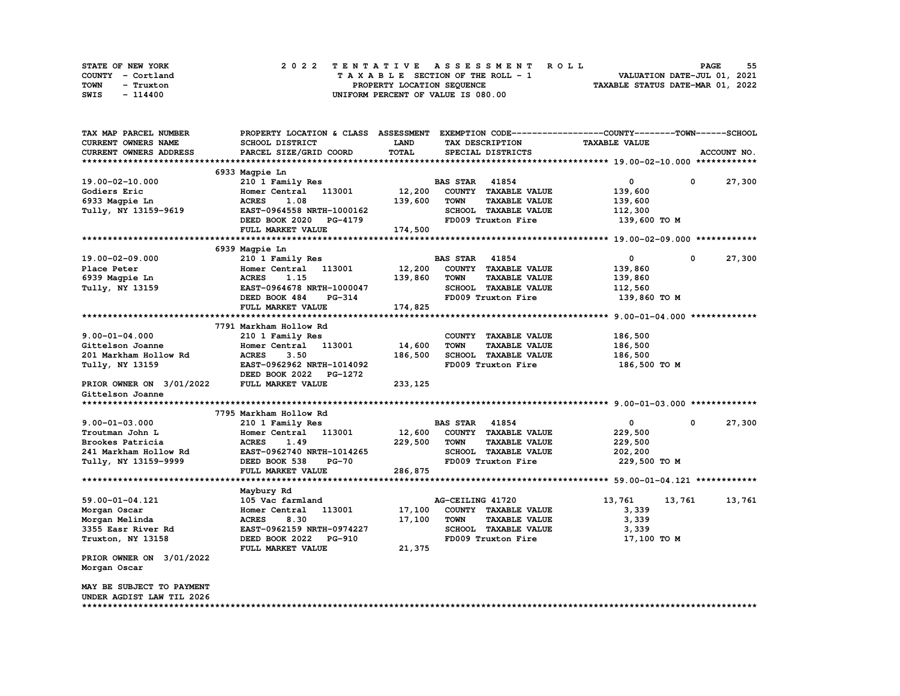| STATE OF NEW YORK | 2022 TENTATIVE ASSESSMENT ROLL     | 55<br><b>PAGE</b>                |
|-------------------|------------------------------------|----------------------------------|
| COUNTY - Cortland | TAXABLE SECTION OF THE ROLL - 1    | VALUATION DATE-JUL 01, 2021      |
| TOWN<br>- Truxton | PROPERTY LOCATION SEQUENCE         | TAXABLE STATUS DATE-MAR 01, 2022 |
| SWIS<br>- 114400  | UNIFORM PERCENT OF VALUE IS 080.00 |                                  |

| TAX MAP PARCEL NUMBER                             | PROPERTY LOCATION & CLASS ASSESSMENT EXEMPTION CODE----------------COUNTY-------TOWN-----SCHOOL |              |                       |                             |                      |              |             |
|---------------------------------------------------|-------------------------------------------------------------------------------------------------|--------------|-----------------------|-----------------------------|----------------------|--------------|-------------|
| CURRENT OWNERS NAME                               | SCHOOL DISTRICT                                                                                 | <b>LAND</b>  |                       | TAX DESCRIPTION             | <b>TAXABLE VALUE</b> |              |             |
| <b>CURRENT OWNERS ADDRESS</b>                     | PARCEL SIZE/GRID COORD                                                                          | <b>TOTAL</b> |                       | SPECIAL DISTRICTS           |                      |              | ACCOUNT NO. |
|                                                   |                                                                                                 |              |                       |                             |                      |              |             |
|                                                   | 6933 Magpie Ln                                                                                  |              |                       |                             |                      |              |             |
| 19.00-02-10.000                                   | 210 1 Family Res                                                                                |              | <b>BAS STAR</b> 41854 |                             | 0                    | 0            | 27,300      |
| Godiers Eric                                      | Homer Central<br>113001                                                                         | 12,200       |                       | COUNTY TAXABLE VALUE        | 139,600              |              |             |
| 6933 Magpie Ln                                    | <b>ACRES</b><br>1.08                                                                            | 139,600      | <b>TOWN</b>           | <b>TAXABLE VALUE</b>        | 139,600              |              |             |
| Tully, NY 13159-9619                              | EAST-0964558 NRTH-1000162                                                                       |              |                       | SCHOOL TAXABLE VALUE        | 112,300              |              |             |
|                                                   | DEED BOOK 2020<br><b>PG-4179</b>                                                                |              |                       | FD009 Truxton Fire          | 139,600 то м         |              |             |
|                                                   | FULL MARKET VALUE                                                                               | 174,500      |                       |                             |                      |              |             |
|                                                   |                                                                                                 |              |                       |                             |                      |              |             |
|                                                   | 6939 Magpie Ln                                                                                  |              |                       |                             |                      |              |             |
| 19.00-02-09.000                                   | 210 1 Family Res                                                                                |              | <b>BAS STAR</b>       | 41854                       | 0                    | 0            | 27,300      |
| Place Peter                                       | Homer Central 113001                                                                            | 12,200       |                       | COUNTY TAXABLE VALUE        | 139,860              |              |             |
| 6939 Magpie Ln                                    | <b>ACRES</b><br>1.15                                                                            | 139,860      | <b>TOWN</b>           | <b>TAXABLE VALUE</b>        | 139,860              |              |             |
| Tully, NY 13159                                   | EAST-0964678 NRTH-1000047                                                                       |              |                       | SCHOOL TAXABLE VALUE        | 112,560              |              |             |
|                                                   | DEED BOOK 484<br><b>PG-314</b>                                                                  |              |                       | FD009 Truxton Fire          | 139,860 TO M         |              |             |
|                                                   | FULL MARKET VALUE                                                                               | 174,825      |                       |                             |                      |              |             |
|                                                   |                                                                                                 |              |                       |                             |                      |              |             |
|                                                   | 7791 Markham Hollow Rd                                                                          |              |                       |                             |                      |              |             |
| $9.00 - 01 - 04.000$                              | 210 1 Family Res                                                                                |              |                       | COUNTY TAXABLE VALUE        | 186,500              |              |             |
| Gittelson Joanne                                  | Homer Central<br>113001                                                                         | 14,600       | <b>TOWN</b>           | <b>TAXABLE VALUE</b>        | 186,500              |              |             |
| 201 Markham Hollow Rd                             | <b>ACRES</b><br>3.50                                                                            | 186,500      |                       | <b>SCHOOL TAXABLE VALUE</b> | 186,500              |              |             |
| Tully, NY 13159                                   | EAST-0962962 NRTH-1014092                                                                       |              |                       | FD009 Truxton Fire          | 186,500 то м         |              |             |
|                                                   | DEED BOOK 2022<br>PG-1272                                                                       |              |                       |                             |                      |              |             |
| PRIOR OWNER ON 3/01/2022                          | FULL MARKET VALUE                                                                               | 233, 125     |                       |                             |                      |              |             |
| Gittelson Joanne                                  |                                                                                                 |              |                       |                             |                      |              |             |
|                                                   | 7795 Markham Hollow Rd                                                                          |              |                       |                             |                      |              |             |
| $9.00 - 01 - 03.000$                              | 210 1 Family Res                                                                                |              | <b>BAS STAR 41854</b> |                             | 0                    | $\mathbf{o}$ | 27,300      |
| Troutman John L                                   | 113001<br>Homer Central                                                                         | 12,600       |                       | COUNTY TAXABLE VALUE        | 229,500              |              |             |
| Brookes Patricia                                  | <b>ACRES</b><br>1.49                                                                            | 229,500      | <b>TOWN</b>           | <b>TAXABLE VALUE</b>        | 229,500              |              |             |
| 241 Markham Hollow Rd                             | EAST-0962740 NRTH-1014265                                                                       |              |                       | SCHOOL TAXABLE VALUE        | 202,200              |              |             |
| Tully, NY 13159-9999                              | DEED BOOK 538<br>$PG-70$                                                                        |              |                       | FD009 Truxton Fire          | 229,500 TO M         |              |             |
|                                                   | FULL MARKET VALUE                                                                               | 286,875      |                       |                             |                      |              |             |
|                                                   |                                                                                                 |              |                       |                             |                      |              |             |
|                                                   | Maybury Rd                                                                                      |              |                       |                             |                      |              |             |
| 59.00-01-04.121                                   | 105 Vac farmland                                                                                |              | AG-CEILING 41720      |                             | 13,761               | 13,761       | 13,761      |
| Morgan Oscar                                      | 113001<br>Homer Central                                                                         | 17,100       |                       | COUNTY TAXABLE VALUE        | 3,339                |              |             |
| Morgan Melinda                                    | <b>ACRES</b><br>8.30                                                                            | 17,100       | <b>TOWN</b>           | <b>TAXABLE VALUE</b>        | 3,339                |              |             |
| 3355 Easr River Rd                                | EAST-0962159 NRTH-0974227                                                                       |              |                       | SCHOOL TAXABLE VALUE        | 3,339                |              |             |
| Truxton, NY 13158                                 | DEED BOOK 2022 PG-910                                                                           |              |                       | FD009 Truxton Fire          | 17,100 TO M          |              |             |
|                                                   | FULL MARKET VALUE                                                                               | 21,375       |                       |                             |                      |              |             |
| PRIOR OWNER ON 3/01/2022                          |                                                                                                 |              |                       |                             |                      |              |             |
| Morgan Oscar                                      |                                                                                                 |              |                       |                             |                      |              |             |
|                                                   |                                                                                                 |              |                       |                             |                      |              |             |
| MAY BE SUBJECT TO PAYMENT                         |                                                                                                 |              |                       |                             |                      |              |             |
| UNDER AGDIST LAW TIL 2026<br>******************** |                                                                                                 |              |                       |                             |                      |              |             |
|                                                   |                                                                                                 |              |                       |                             |                      |              |             |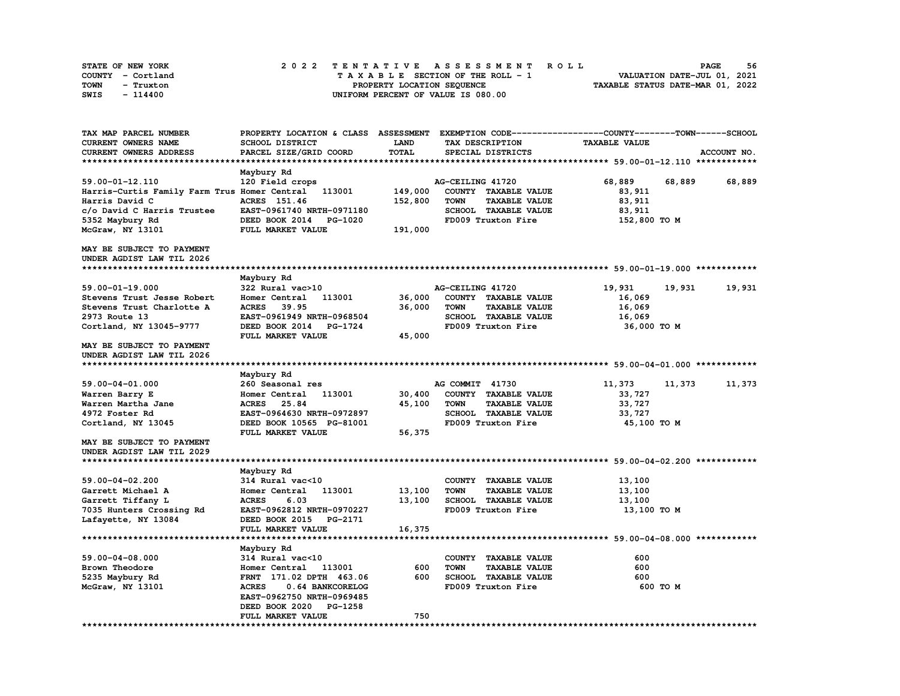| STATE OF NEW YORK | 2022 TENTATIVE ASSESSMENT ROLL          | 56<br><b>PAGE</b>                |
|-------------------|-----------------------------------------|----------------------------------|
| COUNTY - Cortland | $T A X A B L E$ SECTION OF THE ROLL - 1 | VALUATION DATE-JUL 01, 2021      |
| TOWN<br>- Truxton | PROPERTY LOCATION SEQUENCE              | TAXABLE STATUS DATE-MAR 01, 2022 |
| SWIS<br>- 114400  | UNIFORM PERCENT OF VALUE IS 080.00      |                                  |

| TAX MAP PARCEL NUMBER                        | PROPERTY LOCATION & CLASS ASSESSMENT EXEMPTION CODE----------------COUNTY-------TOWN-----SCHOOL |         |                                     |                      |                  |
|----------------------------------------------|-------------------------------------------------------------------------------------------------|---------|-------------------------------------|----------------------|------------------|
| <b>CURRENT OWNERS NAME</b>                   | <b>SCHOOL DISTRICT</b>                                                                          | LAND    | TAX DESCRIPTION                     | <b>TAXABLE VALUE</b> |                  |
| CURRENT OWNERS ADDRESS                       | PARCEL SIZE/GRID COORD                                                                          | TOTAL   | SPECIAL DISTRICTS                   |                      | ACCOUNT NO.      |
|                                              |                                                                                                 |         |                                     |                      |                  |
|                                              | Maybury Rd                                                                                      |         |                                     |                      |                  |
| 59.00-01-12.110                              | 120 Field crops                                                                                 |         | AG-CEILING 41720                    | 68,889               | 68,889<br>68,889 |
| Harris-Curtis Family Farm Trus Homer Central | 113001                                                                                          | 149,000 | COUNTY TAXABLE VALUE                | 83,911               |                  |
| Harris David C                               | ACRES 151.46                                                                                    | 152,800 | <b>TOWN</b><br><b>TAXABLE VALUE</b> | 83, 911              |                  |
| c/o David C Harris Trustee                   | EAST-0961740 NRTH-0971180                                                                       |         | SCHOOL TAXABLE VALUE                | 83,911               |                  |
| 5352 Maybury Rd                              | DEED BOOK 2014<br>PG-1020                                                                       |         | FD009 Truxton Fire                  | 152,800 TO M         |                  |
| McGraw, NY 13101                             | FULL MARKET VALUE                                                                               | 191,000 |                                     |                      |                  |
| MAY BE SUBJECT TO PAYMENT                    |                                                                                                 |         |                                     |                      |                  |
| UNDER AGDIST LAW TIL 2026                    |                                                                                                 |         |                                     |                      |                  |
|                                              |                                                                                                 |         |                                     |                      |                  |
|                                              | Maybury Rd                                                                                      |         |                                     |                      |                  |
| 59.00-01-19.000                              | 322 Rural vac>10                                                                                |         | AG-CEILING 41720                    | 19,931               | 19,931<br>19,931 |
| Stevens Trust Jesse Robert                   | Homer Central<br>113001                                                                         | 36,000  | COUNTY TAXABLE VALUE                | 16,069               |                  |
| Stevens Trust Charlotte A                    | <b>ACRES</b><br>39.95                                                                           | 36,000  | <b>TOWN</b><br><b>TAXABLE VALUE</b> | 16,069               |                  |
| 2973 Route 13                                | EAST-0961949 NRTH-0968504                                                                       |         | <b>SCHOOL TAXABLE VALUE</b>         | 16,069               |                  |
| Cortland, NY 13045-9777                      | DEED BOOK 2014<br><b>PG-1724</b>                                                                |         | FD009 Truxton Fire                  | 36,000 TO M          |                  |
|                                              | FULL MARKET VALUE                                                                               | 45,000  |                                     |                      |                  |
| MAY BE SUBJECT TO PAYMENT                    |                                                                                                 |         |                                     |                      |                  |
| UNDER AGDIST LAW TIL 2026                    |                                                                                                 |         |                                     |                      |                  |
|                                              |                                                                                                 |         |                                     |                      |                  |
|                                              | Maybury Rd                                                                                      |         |                                     |                      |                  |
| 59.00-04-01.000                              | 260 Seasonal res                                                                                |         | AG COMMIT 41730                     | 11,373               | 11,373<br>11,373 |
| Warren Barry E                               | 113001<br>Homer Central                                                                         | 30,400  | COUNTY TAXABLE VALUE                | 33,727               |                  |
| Warren Martha Jane                           | 25.84<br><b>ACRES</b>                                                                           | 45,100  | <b>TAXABLE VALUE</b><br><b>TOWN</b> | 33,727               |                  |
| 4972 Foster Rd                               | EAST-0964630 NRTH-0972897                                                                       |         | SCHOOL TAXABLE VALUE                | 33,727               |                  |
| Cortland, NY 13045                           | DEED BOOK 10565 PG-81001                                                                        |         | FD009 Truxton Fire                  | 45,100 TO M          |                  |
|                                              | FULL MARKET VALUE                                                                               | 56,375  |                                     |                      |                  |
| MAY BE SUBJECT TO PAYMENT                    |                                                                                                 |         |                                     |                      |                  |
| UNDER AGDIST LAW TIL 2029                    |                                                                                                 |         |                                     |                      |                  |
|                                              |                                                                                                 |         |                                     |                      |                  |
|                                              | Maybury Rd                                                                                      |         |                                     |                      |                  |
| 59.00-04-02.200                              | 314 Rural vac<10                                                                                |         | COUNTY TAXABLE VALUE                | 13,100               |                  |
| Garrett Michael A                            | 113001<br>Homer Central                                                                         | 13,100  | <b>TOWN</b><br><b>TAXABLE VALUE</b> | 13,100               |                  |
| Garrett Tiffany L                            | <b>ACRES</b><br>6.03                                                                            | 13,100  | SCHOOL TAXABLE VALUE                | 13,100               |                  |
| 7035 Hunters Crossing Rd                     | EAST-0962812 NRTH-0970227                                                                       |         | FD009 Truxton Fire                  | 13,100 TO M          |                  |
| Lafayette, NY 13084                          | DEED BOOK 2015 PG-2171                                                                          |         |                                     |                      |                  |
|                                              | FULL MARKET VALUE                                                                               | 16,375  |                                     |                      |                  |
|                                              |                                                                                                 |         |                                     |                      |                  |
|                                              | Maybury Rd                                                                                      |         |                                     |                      |                  |
| 59.00-04-08.000                              | 314 Rural vac<10                                                                                |         | COUNTY TAXABLE VALUE                | 600                  |                  |
| Brown Theodore                               | Homer Central<br>113001                                                                         | 600     | <b>TOWN</b><br><b>TAXABLE VALUE</b> | 600                  |                  |
| 5235 Maybury Rd                              | FRNT 171.02 DPTH 463.06                                                                         | 600     | SCHOOL TAXABLE VALUE                | 600                  |                  |
| McGraw, NY 13101                             | <b>ACRES</b><br>0.64 BANKCORELOG                                                                |         | FD009 Truxton Fire                  | 600 TO M             |                  |
|                                              | EAST-0962750 NRTH-0969485                                                                       |         |                                     |                      |                  |
|                                              | DEED BOOK 2020<br>PG-1258                                                                       |         |                                     |                      |                  |
|                                              | FULL MARKET VALUE                                                                               | 750     |                                     |                      |                  |
|                                              |                                                                                                 |         |                                     |                      |                  |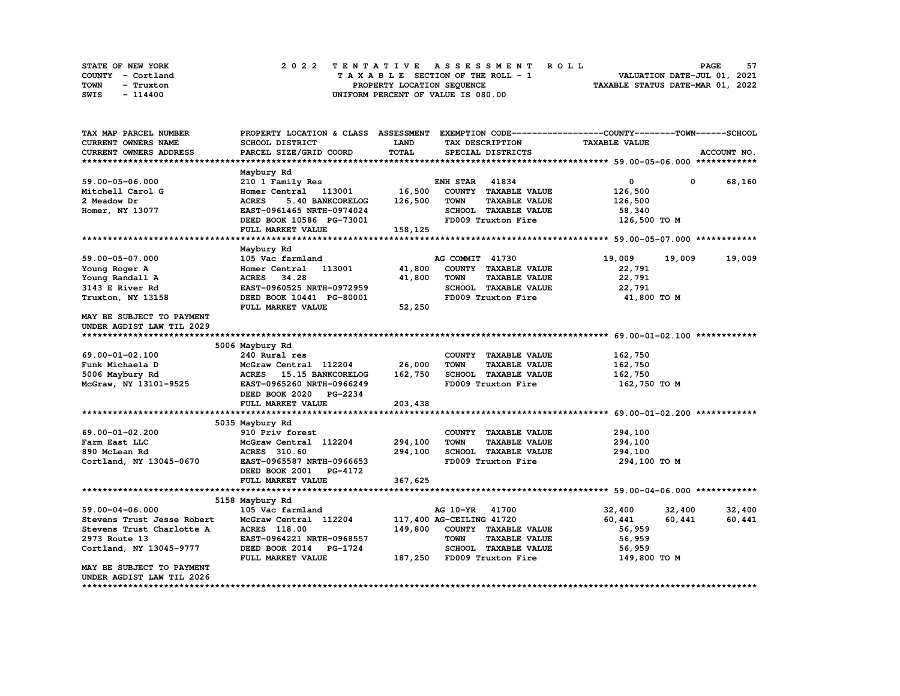| STATE OF NEW YORK | 2022 TENTATIVE ASSESSMENT ROLL     | 57<br><b>PAGE</b>                |
|-------------------|------------------------------------|----------------------------------|
| COUNTY - Cortland | TAXABLE SECTION OF THE ROLL - 1    | VALUATION DATE-JUL 01, 2021      |
| TOWN<br>- Truxton | PROPERTY LOCATION SEQUENCE         | TAXABLE STATUS DATE-MAR 01, 2022 |
| SWIS<br>- 114400  | UNIFORM PERCENT OF VALUE IS 080.00 |                                  |

| TAX MAP PARCEL NUMBER      | PROPERTY LOCATION & CLASS ASSESSMENT EXEMPTION CODE----------------COUNTY-------TOWN-----SCHOOL |         |                            |                      |                      |             |             |
|----------------------------|-------------------------------------------------------------------------------------------------|---------|----------------------------|----------------------|----------------------|-------------|-------------|
| CURRENT OWNERS NAME        | SCHOOL DISTRICT                                                                                 | LAND    | TAX DESCRIPTION            |                      | <b>TAXABLE VALUE</b> |             |             |
| CURRENT OWNERS ADDRESS     | PARCEL SIZE/GRID COORD                                                                          | TOTAL   | SPECIAL DISTRICTS          |                      |                      |             | ACCOUNT NO. |
|                            |                                                                                                 |         |                            |                      |                      |             |             |
|                            | Maybury Rd                                                                                      |         |                            |                      |                      |             |             |
| 59.00-05-06.000            | 210 1 Family Res                                                                                |         | <b>ENH STAR</b>            | 41834                | $\mathbf 0$          | $\mathbf 0$ | 68,160      |
| Mitchell Carol G           | Homer Central 113001                                                                            | 16,500  | COUNTY TAXABLE VALUE       |                      | 126,500              |             |             |
| 2 Meadow Dr                | <b>ACRES</b><br>5.40 BANKCORELOG                                                                | 126,500 | <b>TOWN</b>                | <b>TAXABLE VALUE</b> | 126,500              |             |             |
| Homer, NY 13077            | EAST-0961465 NRTH-0974024                                                                       |         | SCHOOL TAXABLE VALUE       |                      | 58,340               |             |             |
|                            | DEED BOOK 10586 PG-73001                                                                        |         | FD009 Truxton Fire         |                      | 126,500 TO M         |             |             |
|                            | FULL MARKET VALUE                                                                               | 158,125 |                            |                      |                      |             |             |
|                            |                                                                                                 |         |                            |                      |                      |             |             |
|                            | Maybury Rd                                                                                      |         |                            |                      |                      |             |             |
| 59.00-05-07.000            | 105 Vac farmland                                                                                |         | AG COMMIT 41730            |                      | 19,009               | 19,009      | 19,009      |
|                            | 113001<br>Homer Central                                                                         | 41,800  | COUNTY TAXABLE VALUE       |                      | 22,791               |             |             |
| Young Roger A              |                                                                                                 |         | <b>TOWN</b>                |                      |                      |             |             |
| Young Randall A            | ACRES 34.28                                                                                     | 41,800  |                            | <b>TAXABLE VALUE</b> | 22,791               |             |             |
| 3143 E River Rd            | EAST-0960525 NRTH-0972959                                                                       |         |                            | SCHOOL TAXABLE VALUE | 22,791               |             |             |
| Truxton, NY 13158          | DEED BOOK 10441 PG-80001                                                                        |         |                            | FD009 Truxton Fire   | 41,800 TO M          |             |             |
|                            | FULL MARKET VALUE                                                                               | 52,250  |                            |                      |                      |             |             |
| MAY BE SUBJECT TO PAYMENT  |                                                                                                 |         |                            |                      |                      |             |             |
| UNDER AGDIST LAW TIL 2029  |                                                                                                 |         |                            |                      |                      |             |             |
|                            |                                                                                                 |         |                            |                      |                      |             |             |
|                            | 5006 Maybury Rd                                                                                 |         |                            |                      |                      |             |             |
| 69.00-01-02.100            | 240 Rural res                                                                                   |         | COUNTY TAXABLE VALUE       |                      | 162,750              |             |             |
| Funk Michaela D            | McGraw Central 112204                                                                           | 26,000  | <b>TOWN</b>                | <b>TAXABLE VALUE</b> | 162,750              |             |             |
| 5006 Maybury Rd            | ACRES 15.15 BANKCORELOG                                                                         | 162,750 | SCHOOL TAXABLE VALUE       |                      | 162,750              |             |             |
| McGraw, NY 13101-9525      | EAST-0965260 NRTH-0966249                                                                       |         | FD009 Truxton Fire         |                      | 162,750 TO M         |             |             |
|                            | DEED BOOK 2020 PG-2234                                                                          |         |                            |                      |                      |             |             |
|                            | FULL MARKET VALUE                                                                               | 203,438 |                            |                      |                      |             |             |
|                            |                                                                                                 |         |                            |                      |                      |             |             |
|                            | 5035 Maybury Rd                                                                                 |         |                            |                      |                      |             |             |
| 69.00-01-02.200            | 910 Priv forest                                                                                 |         | COUNTY TAXABLE VALUE       |                      | 294,100              |             |             |
| Farm East LLC              | McGraw Central 112204                                                                           | 294,100 | <b>TOWN</b>                | <b>TAXABLE VALUE</b> | 294,100              |             |             |
| 890 McLean Rd              | ACRES 310.60                                                                                    | 294,100 | SCHOOL TAXABLE VALUE       |                      | 294,100              |             |             |
| Cortland, NY 13045-0670    | EAST-0965587 NRTH-0966653                                                                       |         | FD009 Truxton Fire         |                      | 294,100 TO M         |             |             |
|                            | DEED BOOK 2001 PG-4172                                                                          |         |                            |                      |                      |             |             |
|                            | FULL MARKET VALUE                                                                               | 367,625 |                            |                      |                      |             |             |
|                            |                                                                                                 |         |                            |                      |                      |             |             |
|                            | 5158 Maybury Rd                                                                                 |         |                            |                      |                      |             |             |
| 59.00-04-06.000            | 105 Vac farmland                                                                                |         | AG 10-YR 41700             |                      | 32,400               | 32,400      | 32,400      |
| Stevens Trust Jesse Robert | McGraw Central 112204                                                                           |         | 117,400 AG-CEILING 41720   |                      | 60,441               | 60,441      | 60,441      |
| Stevens Trust Charlotte A  | <b>ACRES</b> 118.00                                                                             | 149,800 | COUNTY TAXABLE VALUE       |                      | 56,959               |             |             |
| 2973 Route 13              | EAST-0964221 NRTH-0968557                                                                       |         | <b>TOWN</b>                | <b>TAXABLE VALUE</b> | 56,959               |             |             |
| Cortland, NY 13045-9777    | DEED BOOK 2014 PG-1724                                                                          |         | SCHOOL TAXABLE VALUE       |                      | 56,959               |             |             |
|                            | FULL MARKET VALUE                                                                               |         | 187,250 FD009 Truxton Fire |                      | 149,800 TO M         |             |             |
| MAY BE SUBJECT TO PAYMENT  |                                                                                                 |         |                            |                      |                      |             |             |
| UNDER AGDIST LAW TIL 2026  |                                                                                                 |         |                            |                      |                      |             |             |
|                            |                                                                                                 |         |                            |                      |                      |             |             |
|                            |                                                                                                 |         |                            |                      |                      |             |             |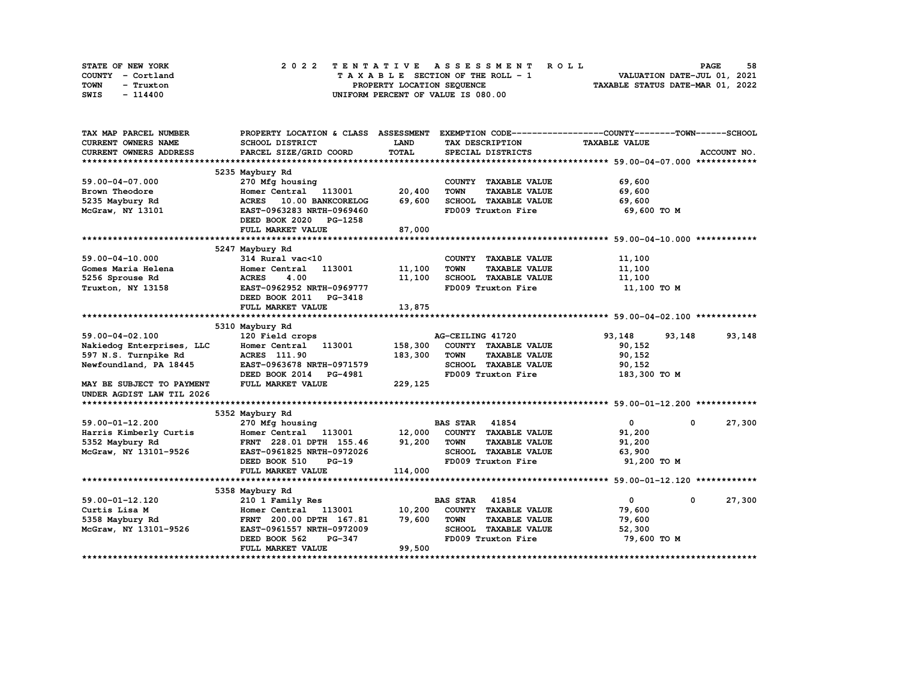| STATE OF NEW YORK | 2022 TENTATIVE ASSESSMENT ROLL     | 58<br><b>PAGE</b>                |
|-------------------|------------------------------------|----------------------------------|
| COUNTY - Cortland | TAXABLE SECTION OF THE ROLL - 1    | VALUATION DATE-JUL 01, 2021      |
| TOWN<br>- Truxton | PROPERTY LOCATION SEQUENCE         | TAXABLE STATUS DATE-MAR 01, 2022 |
| SWIS<br>- 114400  | UNIFORM PERCENT OF VALUE IS 080.00 |                                  |

| TAX MAP PARCEL NUMBER      | PROPERTY LOCATION & CLASS ASSESSMENT             |         |                                     | EXEMPTION CODE-----------------COUNTY-------TOWN------SCHOOL |             |
|----------------------------|--------------------------------------------------|---------|-------------------------------------|--------------------------------------------------------------|-------------|
| <b>CURRENT OWNERS NAME</b> | SCHOOL DISTRICT                                  | LAND    | TAX DESCRIPTION                     | <b>TAXABLE VALUE</b>                                         |             |
| CURRENT OWNERS ADDRESS     | PARCEL SIZE/GRID COORD                           | TOTAL   | SPECIAL DISTRICTS                   |                                                              | ACCOUNT NO. |
|                            |                                                  |         |                                     |                                                              |             |
|                            | 5235 Maybury Rd                                  |         |                                     |                                                              |             |
| 59.00-04-07.000            | 270 Mfg housing                                  |         | COUNTY TAXABLE VALUE                | 69,600                                                       |             |
| Brown Theodore             | Homer Central 113001                             | 20,400  | <b>TOWN</b><br><b>TAXABLE VALUE</b> | 69,600                                                       |             |
| 5235 Maybury Rd            | 10.00 BANKCORELOG<br><b>ACRES</b>                | 69,600  | SCHOOL TAXABLE VALUE                | 69,600                                                       |             |
| McGraw, NY 13101           | EAST-0963283 NRTH-0969460                        |         | FD009 Truxton Fire                  | 69,600 то м                                                  |             |
|                            | DEED BOOK 2020 PG-1258                           |         |                                     |                                                              |             |
|                            | FULL MARKET VALUE                                | 87,000  |                                     |                                                              |             |
|                            |                                                  |         |                                     |                                                              |             |
|                            | 5247 Maybury Rd                                  |         |                                     |                                                              |             |
| $59.00 - 04 - 10.000$      | $314$ Rural vac<10                               |         | COUNTY TAXABLE VALUE                | 11,100                                                       |             |
| Gomes Maria Helena         | 113001<br>Homer Central                          | 11,100  | <b>TOWN</b><br><b>TAXABLE VALUE</b> | 11,100                                                       |             |
| 5256 Sprouse Rd            | <b>ACRES</b><br>4.00                             | 11,100  | SCHOOL TAXABLE VALUE                | 11,100                                                       |             |
| Truxton, NY 13158          | EAST-0962952 NRTH-0969777                        |         | FD009 Truxton Fire                  | 11,100 TO M                                                  |             |
|                            | DEED BOOK 2011 PG-3418                           |         |                                     |                                                              |             |
|                            | FULL MARKET VALUE                                | 13,875  |                                     |                                                              |             |
|                            |                                                  |         |                                     |                                                              |             |
|                            | 5310 Maybury Rd                                  |         |                                     |                                                              |             |
| 59.00-04-02.100            | 120 Field crops                                  |         | AG-CEILING 41720                    | 93,148<br>93,148                                             | 93,148      |
| Nakiedog Enterprises, LLC  | Homer Central 113001                             | 158,300 | COUNTY TAXABLE VALUE                | 90,152                                                       |             |
| 597 N.S. Turnpike Rd       | <b>ACRES</b> 111.90                              | 183,300 | <b>TOWN</b><br><b>TAXABLE VALUE</b> | 90,152                                                       |             |
| Newfoundland, PA 18445     | EAST-0963678 NRTH-0971579                        |         | SCHOOL TAXABLE VALUE                | 90,152                                                       |             |
|                            | DEED BOOK 2014<br><b>PG-4981</b>                 |         | FD009 Truxton Fire                  | 183,300 TO M                                                 |             |
| MAY BE SUBJECT TO PAYMENT  | FULL MARKET VALUE                                | 229,125 |                                     |                                                              |             |
| UNDER AGDIST LAW TIL 2026  |                                                  |         |                                     |                                                              |             |
|                            |                                                  |         |                                     |                                                              |             |
|                            | 5352 Maybury Rd                                  |         |                                     |                                                              |             |
| $59.00 - 01 - 12.200$      | 270 Mfg housing                                  |         | <b>BAS STAR 41854</b>               | $\mathbf{0}$<br>$\Omega$                                     | 27,300      |
| Harris Kimberly Curtis     | Homer Central 113001 12,000 COUNTY TAXABLE VALUE |         |                                     | 91,200                                                       |             |
| 5352 Maybury Rd            | FRNT 228.01 DPTH 155.46                          | 91,200  | <b>TOWN</b><br><b>TAXABLE VALUE</b> | 91,200                                                       |             |
| McGraw, NY 13101-9526      | EAST-0961825 NRTH-0972026                        |         | SCHOOL TAXABLE VALUE                | 63,900                                                       |             |
|                            | DEED BOOK 510<br>$PG-19$                         |         | FD009 Truxton Fire                  | 91,200 TO M                                                  |             |
|                            | FULL MARKET VALUE                                | 114,000 |                                     |                                                              |             |
|                            |                                                  |         |                                     |                                                              |             |
|                            | 5358 Maybury Rd                                  |         |                                     |                                                              |             |
| 59.00-01-12.120            | 210 1 Family Res                                 |         | 41854<br><b>BAS STAR</b>            | $\mathbf{0}$<br>$^{\circ}$                                   | 27,300      |
| Curtis Lisa M              | Homer Central<br>113001                          | 10,200  | COUNTY TAXABLE VALUE                | 79,600                                                       |             |
| 5358 Maybury Rd            | FRNT 200.00 DPTH 167.81                          | 79,600  | <b>TOWN</b><br><b>TAXABLE VALUE</b> | 79,600                                                       |             |
| McGraw, NY 13101-9526      | EAST-0961557 NRTH-0972009                        |         | SCHOOL TAXABLE VALUE                | 52,300                                                       |             |
|                            | DEED BOOK 562<br>PG-347                          |         | FD009 Truxton Fire                  | 79,600 TO M                                                  |             |
|                            | FULL MARKET VALUE                                | 99,500  |                                     |                                                              |             |
|                            |                                                  |         |                                     |                                                              |             |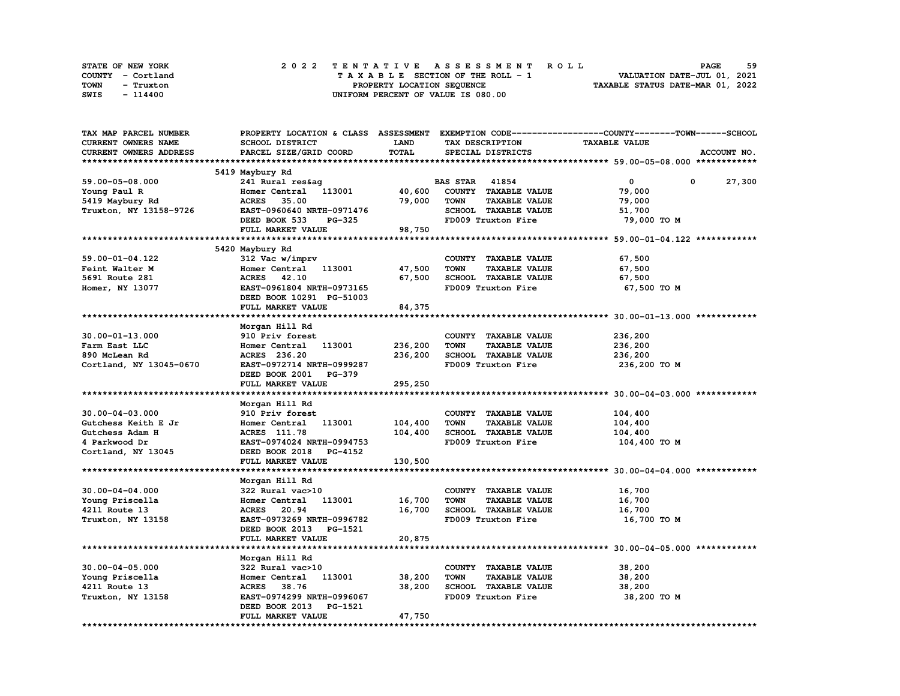| STATE OF NEW YORK | 2022 TENTATIVE ASSESSMENT ROLL     | 59<br><b>PAGE</b>                |
|-------------------|------------------------------------|----------------------------------|
| COUNTY - Cortland | TAXABLE SECTION OF THE ROLL - 1    | VALUATION DATE-JUL 01, 2021      |
| TOWN<br>- Truxton | PROPERTY LOCATION SEQUENCE         | TAXABLE STATUS DATE-MAR 01, 2022 |
| SWIS<br>- 114400  | UNIFORM PERCENT OF VALUE IS 080.00 |                                  |

| CURRENT OWNERS NAME<br>SCHOOL DISTRICT<br><b>LAND</b><br><b>TAXABLE VALUE</b><br>TAX DESCRIPTION<br>TOTAL<br>CURRENT OWNERS ADDRESS<br>PARCEL SIZE/GRID COORD<br>SPECIAL DISTRICTS<br>ACCOUNT NO.<br>5419 Maybury Rd<br>59.00-05-08.000<br>241 Rural res&aq<br><b>BAS STAR 41854</b><br>$\mathbf{0}$<br>0<br>27,300<br>Homer Central<br>113001<br>40,600<br>COUNTY TAXABLE VALUE<br>79,000<br>Young Paul R<br>79,000<br>5419 Maybury Rd<br><b>ACRES</b><br>35.00<br><b>TOWN</b><br><b>TAXABLE VALUE</b><br>79,000<br>Truxton, NY 13158-9726<br>EAST-0960640 NRTH-0971476<br>SCHOOL TAXABLE VALUE<br>51,700<br>FD009 Truxton Fire<br>DEED BOOK 533<br><b>PG-325</b><br>79,000 TO M<br>FULL MARKET VALUE<br>98,750<br>5420 Maybury Rd<br>59.00-01-04.122<br>312 Vac w/imprv<br>COUNTY TAXABLE VALUE<br>67,500<br>Homer Central 113001<br>47,500<br><b>TOWN</b><br><b>TAXABLE VALUE</b><br>67,500<br>Feint Walter M<br>67,500<br>SCHOOL TAXABLE VALUE<br>5691 Route 281<br>ACRES 42.10<br>67,500<br>EAST-0961804 NRTH-0973165<br>FD009 Truxton Fire<br>Homer, NY 13077<br>67,500 TO M<br>DEED BOOK 10291 PG-51003<br>84,375<br>FULL MARKET VALUE<br>Morgan Hill Rd<br>$30.00 - 01 - 13.000$<br>910 Priv forest<br>COUNTY TAXABLE VALUE<br>236,200<br>236,200<br>113001<br><b>TOWN</b><br><b>TAXABLE VALUE</b><br>236,200<br>Farm East LLC<br>Homer Central<br>236,200<br>890 McLean Rd<br>ACRES 236.20<br>SCHOOL TAXABLE VALUE<br>236,200<br>EAST-0972714 NRTH-0999287<br>236,200 то м<br>Cortland, NY 13045-0670<br>FD009 Truxton Fire<br>DEED BOOK 2001 PG-379<br>295,250<br>FULL MARKET VALUE<br>Morgan Hill Rd<br>$30.00 - 04 - 03.000$<br>910 Priv forest<br>COUNTY TAXABLE VALUE<br>104,400<br>Homer Central 113001<br>104,400<br><b>TAXABLE VALUE</b><br>Gutchess Keith E Jr<br><b>TOWN</b><br>104,400<br>104,400<br>SCHOOL TAXABLE VALUE<br>Gutchess Adam H<br>ACRES 111.78<br>104,400<br>FD009 Truxton Fire<br>4 Parkwood Dr<br>EAST-0974024 NRTH-0994753<br>104,400 TO M<br>DEED BOOK 2018<br>Cortland, NY 13045<br><b>PG-4152</b><br>130,500<br>FULL MARKET VALUE<br>Morgan Hill Rd<br>COUNTY TAXABLE VALUE<br>$30.00 - 04 - 04.000$<br>16,700<br>322 Rural vac>10<br>Homer Central 113001<br>16,700<br><b>TOWN</b><br><b>TAXABLE VALUE</b><br>16,700<br>Young Priscella<br>SCHOOL TAXABLE VALUE<br>4211 Route 13<br><b>ACRES</b> 20.94<br>16,700<br>16,700<br>Truxton, NY 13158<br>EAST-0973269 NRTH-0996782<br>FD009 Truxton Fire<br>16,700 TO M<br>DEED BOOK 2013 PG-1521<br>FULL MARKET VALUE<br>20,875<br>*************************<br>Morgan Hill Rd<br>$30.00 - 04 - 05.000$<br>322 Rural vac>10<br>COUNTY TAXABLE VALUE<br>38,200<br>38,200<br>Young Priscella<br>Homer Central<br>113001<br><b>TOWN</b><br><b>TAXABLE VALUE</b><br>38,200<br>38,200<br>SCHOOL TAXABLE VALUE<br>38,200<br>4211 Route 13<br>ACRES 38.76<br>Truxton, NY 13158<br>EAST-0974299 NRTH-0996067<br>FD009 Truxton Fire<br>38,200 TO M<br>DEED BOOK 2013<br>PG-1521<br>FULL MARKET VALUE<br>47,750 | TAX MAP PARCEL NUMBER |  | PROPERTY LOCATION & CLASS ASSESSMENT EXEMPTION CODE-----------------COUNTY-------TOWN-----SCHOOL |
|-------------------------------------------------------------------------------------------------------------------------------------------------------------------------------------------------------------------------------------------------------------------------------------------------------------------------------------------------------------------------------------------------------------------------------------------------------------------------------------------------------------------------------------------------------------------------------------------------------------------------------------------------------------------------------------------------------------------------------------------------------------------------------------------------------------------------------------------------------------------------------------------------------------------------------------------------------------------------------------------------------------------------------------------------------------------------------------------------------------------------------------------------------------------------------------------------------------------------------------------------------------------------------------------------------------------------------------------------------------------------------------------------------------------------------------------------------------------------------------------------------------------------------------------------------------------------------------------------------------------------------------------------------------------------------------------------------------------------------------------------------------------------------------------------------------------------------------------------------------------------------------------------------------------------------------------------------------------------------------------------------------------------------------------------------------------------------------------------------------------------------------------------------------------------------------------------------------------------------------------------------------------------------------------------------------------------------------------------------------------------------------------------------------------------------------------------------------------------------------------------------------------------------------------------------------------------------------------------------------------------------------------------------------------------------------------------------------------------------------------------------------------------------------------------------------------------------------------------------------------------------------------------------------------------------------------------------------------------------------------|-----------------------|--|--------------------------------------------------------------------------------------------------|
|                                                                                                                                                                                                                                                                                                                                                                                                                                                                                                                                                                                                                                                                                                                                                                                                                                                                                                                                                                                                                                                                                                                                                                                                                                                                                                                                                                                                                                                                                                                                                                                                                                                                                                                                                                                                                                                                                                                                                                                                                                                                                                                                                                                                                                                                                                                                                                                                                                                                                                                                                                                                                                                                                                                                                                                                                                                                                                                                                                                           |                       |  |                                                                                                  |
|                                                                                                                                                                                                                                                                                                                                                                                                                                                                                                                                                                                                                                                                                                                                                                                                                                                                                                                                                                                                                                                                                                                                                                                                                                                                                                                                                                                                                                                                                                                                                                                                                                                                                                                                                                                                                                                                                                                                                                                                                                                                                                                                                                                                                                                                                                                                                                                                                                                                                                                                                                                                                                                                                                                                                                                                                                                                                                                                                                                           |                       |  |                                                                                                  |
|                                                                                                                                                                                                                                                                                                                                                                                                                                                                                                                                                                                                                                                                                                                                                                                                                                                                                                                                                                                                                                                                                                                                                                                                                                                                                                                                                                                                                                                                                                                                                                                                                                                                                                                                                                                                                                                                                                                                                                                                                                                                                                                                                                                                                                                                                                                                                                                                                                                                                                                                                                                                                                                                                                                                                                                                                                                                                                                                                                                           |                       |  |                                                                                                  |
|                                                                                                                                                                                                                                                                                                                                                                                                                                                                                                                                                                                                                                                                                                                                                                                                                                                                                                                                                                                                                                                                                                                                                                                                                                                                                                                                                                                                                                                                                                                                                                                                                                                                                                                                                                                                                                                                                                                                                                                                                                                                                                                                                                                                                                                                                                                                                                                                                                                                                                                                                                                                                                                                                                                                                                                                                                                                                                                                                                                           |                       |  |                                                                                                  |
|                                                                                                                                                                                                                                                                                                                                                                                                                                                                                                                                                                                                                                                                                                                                                                                                                                                                                                                                                                                                                                                                                                                                                                                                                                                                                                                                                                                                                                                                                                                                                                                                                                                                                                                                                                                                                                                                                                                                                                                                                                                                                                                                                                                                                                                                                                                                                                                                                                                                                                                                                                                                                                                                                                                                                                                                                                                                                                                                                                                           |                       |  |                                                                                                  |
|                                                                                                                                                                                                                                                                                                                                                                                                                                                                                                                                                                                                                                                                                                                                                                                                                                                                                                                                                                                                                                                                                                                                                                                                                                                                                                                                                                                                                                                                                                                                                                                                                                                                                                                                                                                                                                                                                                                                                                                                                                                                                                                                                                                                                                                                                                                                                                                                                                                                                                                                                                                                                                                                                                                                                                                                                                                                                                                                                                                           |                       |  |                                                                                                  |
|                                                                                                                                                                                                                                                                                                                                                                                                                                                                                                                                                                                                                                                                                                                                                                                                                                                                                                                                                                                                                                                                                                                                                                                                                                                                                                                                                                                                                                                                                                                                                                                                                                                                                                                                                                                                                                                                                                                                                                                                                                                                                                                                                                                                                                                                                                                                                                                                                                                                                                                                                                                                                                                                                                                                                                                                                                                                                                                                                                                           |                       |  |                                                                                                  |
|                                                                                                                                                                                                                                                                                                                                                                                                                                                                                                                                                                                                                                                                                                                                                                                                                                                                                                                                                                                                                                                                                                                                                                                                                                                                                                                                                                                                                                                                                                                                                                                                                                                                                                                                                                                                                                                                                                                                                                                                                                                                                                                                                                                                                                                                                                                                                                                                                                                                                                                                                                                                                                                                                                                                                                                                                                                                                                                                                                                           |                       |  |                                                                                                  |
|                                                                                                                                                                                                                                                                                                                                                                                                                                                                                                                                                                                                                                                                                                                                                                                                                                                                                                                                                                                                                                                                                                                                                                                                                                                                                                                                                                                                                                                                                                                                                                                                                                                                                                                                                                                                                                                                                                                                                                                                                                                                                                                                                                                                                                                                                                                                                                                                                                                                                                                                                                                                                                                                                                                                                                                                                                                                                                                                                                                           |                       |  |                                                                                                  |
|                                                                                                                                                                                                                                                                                                                                                                                                                                                                                                                                                                                                                                                                                                                                                                                                                                                                                                                                                                                                                                                                                                                                                                                                                                                                                                                                                                                                                                                                                                                                                                                                                                                                                                                                                                                                                                                                                                                                                                                                                                                                                                                                                                                                                                                                                                                                                                                                                                                                                                                                                                                                                                                                                                                                                                                                                                                                                                                                                                                           |                       |  |                                                                                                  |
|                                                                                                                                                                                                                                                                                                                                                                                                                                                                                                                                                                                                                                                                                                                                                                                                                                                                                                                                                                                                                                                                                                                                                                                                                                                                                                                                                                                                                                                                                                                                                                                                                                                                                                                                                                                                                                                                                                                                                                                                                                                                                                                                                                                                                                                                                                                                                                                                                                                                                                                                                                                                                                                                                                                                                                                                                                                                                                                                                                                           |                       |  |                                                                                                  |
|                                                                                                                                                                                                                                                                                                                                                                                                                                                                                                                                                                                                                                                                                                                                                                                                                                                                                                                                                                                                                                                                                                                                                                                                                                                                                                                                                                                                                                                                                                                                                                                                                                                                                                                                                                                                                                                                                                                                                                                                                                                                                                                                                                                                                                                                                                                                                                                                                                                                                                                                                                                                                                                                                                                                                                                                                                                                                                                                                                                           |                       |  |                                                                                                  |
|                                                                                                                                                                                                                                                                                                                                                                                                                                                                                                                                                                                                                                                                                                                                                                                                                                                                                                                                                                                                                                                                                                                                                                                                                                                                                                                                                                                                                                                                                                                                                                                                                                                                                                                                                                                                                                                                                                                                                                                                                                                                                                                                                                                                                                                                                                                                                                                                                                                                                                                                                                                                                                                                                                                                                                                                                                                                                                                                                                                           |                       |  |                                                                                                  |
|                                                                                                                                                                                                                                                                                                                                                                                                                                                                                                                                                                                                                                                                                                                                                                                                                                                                                                                                                                                                                                                                                                                                                                                                                                                                                                                                                                                                                                                                                                                                                                                                                                                                                                                                                                                                                                                                                                                                                                                                                                                                                                                                                                                                                                                                                                                                                                                                                                                                                                                                                                                                                                                                                                                                                                                                                                                                                                                                                                                           |                       |  |                                                                                                  |
|                                                                                                                                                                                                                                                                                                                                                                                                                                                                                                                                                                                                                                                                                                                                                                                                                                                                                                                                                                                                                                                                                                                                                                                                                                                                                                                                                                                                                                                                                                                                                                                                                                                                                                                                                                                                                                                                                                                                                                                                                                                                                                                                                                                                                                                                                                                                                                                                                                                                                                                                                                                                                                                                                                                                                                                                                                                                                                                                                                                           |                       |  |                                                                                                  |
|                                                                                                                                                                                                                                                                                                                                                                                                                                                                                                                                                                                                                                                                                                                                                                                                                                                                                                                                                                                                                                                                                                                                                                                                                                                                                                                                                                                                                                                                                                                                                                                                                                                                                                                                                                                                                                                                                                                                                                                                                                                                                                                                                                                                                                                                                                                                                                                                                                                                                                                                                                                                                                                                                                                                                                                                                                                                                                                                                                                           |                       |  |                                                                                                  |
|                                                                                                                                                                                                                                                                                                                                                                                                                                                                                                                                                                                                                                                                                                                                                                                                                                                                                                                                                                                                                                                                                                                                                                                                                                                                                                                                                                                                                                                                                                                                                                                                                                                                                                                                                                                                                                                                                                                                                                                                                                                                                                                                                                                                                                                                                                                                                                                                                                                                                                                                                                                                                                                                                                                                                                                                                                                                                                                                                                                           |                       |  |                                                                                                  |
|                                                                                                                                                                                                                                                                                                                                                                                                                                                                                                                                                                                                                                                                                                                                                                                                                                                                                                                                                                                                                                                                                                                                                                                                                                                                                                                                                                                                                                                                                                                                                                                                                                                                                                                                                                                                                                                                                                                                                                                                                                                                                                                                                                                                                                                                                                                                                                                                                                                                                                                                                                                                                                                                                                                                                                                                                                                                                                                                                                                           |                       |  |                                                                                                  |
|                                                                                                                                                                                                                                                                                                                                                                                                                                                                                                                                                                                                                                                                                                                                                                                                                                                                                                                                                                                                                                                                                                                                                                                                                                                                                                                                                                                                                                                                                                                                                                                                                                                                                                                                                                                                                                                                                                                                                                                                                                                                                                                                                                                                                                                                                                                                                                                                                                                                                                                                                                                                                                                                                                                                                                                                                                                                                                                                                                                           |                       |  |                                                                                                  |
|                                                                                                                                                                                                                                                                                                                                                                                                                                                                                                                                                                                                                                                                                                                                                                                                                                                                                                                                                                                                                                                                                                                                                                                                                                                                                                                                                                                                                                                                                                                                                                                                                                                                                                                                                                                                                                                                                                                                                                                                                                                                                                                                                                                                                                                                                                                                                                                                                                                                                                                                                                                                                                                                                                                                                                                                                                                                                                                                                                                           |                       |  |                                                                                                  |
|                                                                                                                                                                                                                                                                                                                                                                                                                                                                                                                                                                                                                                                                                                                                                                                                                                                                                                                                                                                                                                                                                                                                                                                                                                                                                                                                                                                                                                                                                                                                                                                                                                                                                                                                                                                                                                                                                                                                                                                                                                                                                                                                                                                                                                                                                                                                                                                                                                                                                                                                                                                                                                                                                                                                                                                                                                                                                                                                                                                           |                       |  |                                                                                                  |
|                                                                                                                                                                                                                                                                                                                                                                                                                                                                                                                                                                                                                                                                                                                                                                                                                                                                                                                                                                                                                                                                                                                                                                                                                                                                                                                                                                                                                                                                                                                                                                                                                                                                                                                                                                                                                                                                                                                                                                                                                                                                                                                                                                                                                                                                                                                                                                                                                                                                                                                                                                                                                                                                                                                                                                                                                                                                                                                                                                                           |                       |  |                                                                                                  |
|                                                                                                                                                                                                                                                                                                                                                                                                                                                                                                                                                                                                                                                                                                                                                                                                                                                                                                                                                                                                                                                                                                                                                                                                                                                                                                                                                                                                                                                                                                                                                                                                                                                                                                                                                                                                                                                                                                                                                                                                                                                                                                                                                                                                                                                                                                                                                                                                                                                                                                                                                                                                                                                                                                                                                                                                                                                                                                                                                                                           |                       |  |                                                                                                  |
|                                                                                                                                                                                                                                                                                                                                                                                                                                                                                                                                                                                                                                                                                                                                                                                                                                                                                                                                                                                                                                                                                                                                                                                                                                                                                                                                                                                                                                                                                                                                                                                                                                                                                                                                                                                                                                                                                                                                                                                                                                                                                                                                                                                                                                                                                                                                                                                                                                                                                                                                                                                                                                                                                                                                                                                                                                                                                                                                                                                           |                       |  |                                                                                                  |
|                                                                                                                                                                                                                                                                                                                                                                                                                                                                                                                                                                                                                                                                                                                                                                                                                                                                                                                                                                                                                                                                                                                                                                                                                                                                                                                                                                                                                                                                                                                                                                                                                                                                                                                                                                                                                                                                                                                                                                                                                                                                                                                                                                                                                                                                                                                                                                                                                                                                                                                                                                                                                                                                                                                                                                                                                                                                                                                                                                                           |                       |  |                                                                                                  |
|                                                                                                                                                                                                                                                                                                                                                                                                                                                                                                                                                                                                                                                                                                                                                                                                                                                                                                                                                                                                                                                                                                                                                                                                                                                                                                                                                                                                                                                                                                                                                                                                                                                                                                                                                                                                                                                                                                                                                                                                                                                                                                                                                                                                                                                                                                                                                                                                                                                                                                                                                                                                                                                                                                                                                                                                                                                                                                                                                                                           |                       |  |                                                                                                  |
|                                                                                                                                                                                                                                                                                                                                                                                                                                                                                                                                                                                                                                                                                                                                                                                                                                                                                                                                                                                                                                                                                                                                                                                                                                                                                                                                                                                                                                                                                                                                                                                                                                                                                                                                                                                                                                                                                                                                                                                                                                                                                                                                                                                                                                                                                                                                                                                                                                                                                                                                                                                                                                                                                                                                                                                                                                                                                                                                                                                           |                       |  |                                                                                                  |
|                                                                                                                                                                                                                                                                                                                                                                                                                                                                                                                                                                                                                                                                                                                                                                                                                                                                                                                                                                                                                                                                                                                                                                                                                                                                                                                                                                                                                                                                                                                                                                                                                                                                                                                                                                                                                                                                                                                                                                                                                                                                                                                                                                                                                                                                                                                                                                                                                                                                                                                                                                                                                                                                                                                                                                                                                                                                                                                                                                                           |                       |  |                                                                                                  |
|                                                                                                                                                                                                                                                                                                                                                                                                                                                                                                                                                                                                                                                                                                                                                                                                                                                                                                                                                                                                                                                                                                                                                                                                                                                                                                                                                                                                                                                                                                                                                                                                                                                                                                                                                                                                                                                                                                                                                                                                                                                                                                                                                                                                                                                                                                                                                                                                                                                                                                                                                                                                                                                                                                                                                                                                                                                                                                                                                                                           |                       |  |                                                                                                  |
|                                                                                                                                                                                                                                                                                                                                                                                                                                                                                                                                                                                                                                                                                                                                                                                                                                                                                                                                                                                                                                                                                                                                                                                                                                                                                                                                                                                                                                                                                                                                                                                                                                                                                                                                                                                                                                                                                                                                                                                                                                                                                                                                                                                                                                                                                                                                                                                                                                                                                                                                                                                                                                                                                                                                                                                                                                                                                                                                                                                           |                       |  |                                                                                                  |
|                                                                                                                                                                                                                                                                                                                                                                                                                                                                                                                                                                                                                                                                                                                                                                                                                                                                                                                                                                                                                                                                                                                                                                                                                                                                                                                                                                                                                                                                                                                                                                                                                                                                                                                                                                                                                                                                                                                                                                                                                                                                                                                                                                                                                                                                                                                                                                                                                                                                                                                                                                                                                                                                                                                                                                                                                                                                                                                                                                                           |                       |  |                                                                                                  |
|                                                                                                                                                                                                                                                                                                                                                                                                                                                                                                                                                                                                                                                                                                                                                                                                                                                                                                                                                                                                                                                                                                                                                                                                                                                                                                                                                                                                                                                                                                                                                                                                                                                                                                                                                                                                                                                                                                                                                                                                                                                                                                                                                                                                                                                                                                                                                                                                                                                                                                                                                                                                                                                                                                                                                                                                                                                                                                                                                                                           |                       |  |                                                                                                  |
|                                                                                                                                                                                                                                                                                                                                                                                                                                                                                                                                                                                                                                                                                                                                                                                                                                                                                                                                                                                                                                                                                                                                                                                                                                                                                                                                                                                                                                                                                                                                                                                                                                                                                                                                                                                                                                                                                                                                                                                                                                                                                                                                                                                                                                                                                                                                                                                                                                                                                                                                                                                                                                                                                                                                                                                                                                                                                                                                                                                           |                       |  |                                                                                                  |
|                                                                                                                                                                                                                                                                                                                                                                                                                                                                                                                                                                                                                                                                                                                                                                                                                                                                                                                                                                                                                                                                                                                                                                                                                                                                                                                                                                                                                                                                                                                                                                                                                                                                                                                                                                                                                                                                                                                                                                                                                                                                                                                                                                                                                                                                                                                                                                                                                                                                                                                                                                                                                                                                                                                                                                                                                                                                                                                                                                                           |                       |  |                                                                                                  |
|                                                                                                                                                                                                                                                                                                                                                                                                                                                                                                                                                                                                                                                                                                                                                                                                                                                                                                                                                                                                                                                                                                                                                                                                                                                                                                                                                                                                                                                                                                                                                                                                                                                                                                                                                                                                                                                                                                                                                                                                                                                                                                                                                                                                                                                                                                                                                                                                                                                                                                                                                                                                                                                                                                                                                                                                                                                                                                                                                                                           |                       |  |                                                                                                  |
|                                                                                                                                                                                                                                                                                                                                                                                                                                                                                                                                                                                                                                                                                                                                                                                                                                                                                                                                                                                                                                                                                                                                                                                                                                                                                                                                                                                                                                                                                                                                                                                                                                                                                                                                                                                                                                                                                                                                                                                                                                                                                                                                                                                                                                                                                                                                                                                                                                                                                                                                                                                                                                                                                                                                                                                                                                                                                                                                                                                           |                       |  |                                                                                                  |
|                                                                                                                                                                                                                                                                                                                                                                                                                                                                                                                                                                                                                                                                                                                                                                                                                                                                                                                                                                                                                                                                                                                                                                                                                                                                                                                                                                                                                                                                                                                                                                                                                                                                                                                                                                                                                                                                                                                                                                                                                                                                                                                                                                                                                                                                                                                                                                                                                                                                                                                                                                                                                                                                                                                                                                                                                                                                                                                                                                                           |                       |  |                                                                                                  |
|                                                                                                                                                                                                                                                                                                                                                                                                                                                                                                                                                                                                                                                                                                                                                                                                                                                                                                                                                                                                                                                                                                                                                                                                                                                                                                                                                                                                                                                                                                                                                                                                                                                                                                                                                                                                                                                                                                                                                                                                                                                                                                                                                                                                                                                                                                                                                                                                                                                                                                                                                                                                                                                                                                                                                                                                                                                                                                                                                                                           |                       |  |                                                                                                  |
|                                                                                                                                                                                                                                                                                                                                                                                                                                                                                                                                                                                                                                                                                                                                                                                                                                                                                                                                                                                                                                                                                                                                                                                                                                                                                                                                                                                                                                                                                                                                                                                                                                                                                                                                                                                                                                                                                                                                                                                                                                                                                                                                                                                                                                                                                                                                                                                                                                                                                                                                                                                                                                                                                                                                                                                                                                                                                                                                                                                           |                       |  |                                                                                                  |
|                                                                                                                                                                                                                                                                                                                                                                                                                                                                                                                                                                                                                                                                                                                                                                                                                                                                                                                                                                                                                                                                                                                                                                                                                                                                                                                                                                                                                                                                                                                                                                                                                                                                                                                                                                                                                                                                                                                                                                                                                                                                                                                                                                                                                                                                                                                                                                                                                                                                                                                                                                                                                                                                                                                                                                                                                                                                                                                                                                                           |                       |  |                                                                                                  |
|                                                                                                                                                                                                                                                                                                                                                                                                                                                                                                                                                                                                                                                                                                                                                                                                                                                                                                                                                                                                                                                                                                                                                                                                                                                                                                                                                                                                                                                                                                                                                                                                                                                                                                                                                                                                                                                                                                                                                                                                                                                                                                                                                                                                                                                                                                                                                                                                                                                                                                                                                                                                                                                                                                                                                                                                                                                                                                                                                                                           |                       |  |                                                                                                  |
|                                                                                                                                                                                                                                                                                                                                                                                                                                                                                                                                                                                                                                                                                                                                                                                                                                                                                                                                                                                                                                                                                                                                                                                                                                                                                                                                                                                                                                                                                                                                                                                                                                                                                                                                                                                                                                                                                                                                                                                                                                                                                                                                                                                                                                                                                                                                                                                                                                                                                                                                                                                                                                                                                                                                                                                                                                                                                                                                                                                           |                       |  |                                                                                                  |
|                                                                                                                                                                                                                                                                                                                                                                                                                                                                                                                                                                                                                                                                                                                                                                                                                                                                                                                                                                                                                                                                                                                                                                                                                                                                                                                                                                                                                                                                                                                                                                                                                                                                                                                                                                                                                                                                                                                                                                                                                                                                                                                                                                                                                                                                                                                                                                                                                                                                                                                                                                                                                                                                                                                                                                                                                                                                                                                                                                                           |                       |  |                                                                                                  |
|                                                                                                                                                                                                                                                                                                                                                                                                                                                                                                                                                                                                                                                                                                                                                                                                                                                                                                                                                                                                                                                                                                                                                                                                                                                                                                                                                                                                                                                                                                                                                                                                                                                                                                                                                                                                                                                                                                                                                                                                                                                                                                                                                                                                                                                                                                                                                                                                                                                                                                                                                                                                                                                                                                                                                                                                                                                                                                                                                                                           |                       |  |                                                                                                  |
|                                                                                                                                                                                                                                                                                                                                                                                                                                                                                                                                                                                                                                                                                                                                                                                                                                                                                                                                                                                                                                                                                                                                                                                                                                                                                                                                                                                                                                                                                                                                                                                                                                                                                                                                                                                                                                                                                                                                                                                                                                                                                                                                                                                                                                                                                                                                                                                                                                                                                                                                                                                                                                                                                                                                                                                                                                                                                                                                                                                           |                       |  |                                                                                                  |
|                                                                                                                                                                                                                                                                                                                                                                                                                                                                                                                                                                                                                                                                                                                                                                                                                                                                                                                                                                                                                                                                                                                                                                                                                                                                                                                                                                                                                                                                                                                                                                                                                                                                                                                                                                                                                                                                                                                                                                                                                                                                                                                                                                                                                                                                                                                                                                                                                                                                                                                                                                                                                                                                                                                                                                                                                                                                                                                                                                                           |                       |  |                                                                                                  |
|                                                                                                                                                                                                                                                                                                                                                                                                                                                                                                                                                                                                                                                                                                                                                                                                                                                                                                                                                                                                                                                                                                                                                                                                                                                                                                                                                                                                                                                                                                                                                                                                                                                                                                                                                                                                                                                                                                                                                                                                                                                                                                                                                                                                                                                                                                                                                                                                                                                                                                                                                                                                                                                                                                                                                                                                                                                                                                                                                                                           |                       |  |                                                                                                  |
|                                                                                                                                                                                                                                                                                                                                                                                                                                                                                                                                                                                                                                                                                                                                                                                                                                                                                                                                                                                                                                                                                                                                                                                                                                                                                                                                                                                                                                                                                                                                                                                                                                                                                                                                                                                                                                                                                                                                                                                                                                                                                                                                                                                                                                                                                                                                                                                                                                                                                                                                                                                                                                                                                                                                                                                                                                                                                                                                                                                           |                       |  |                                                                                                  |
|                                                                                                                                                                                                                                                                                                                                                                                                                                                                                                                                                                                                                                                                                                                                                                                                                                                                                                                                                                                                                                                                                                                                                                                                                                                                                                                                                                                                                                                                                                                                                                                                                                                                                                                                                                                                                                                                                                                                                                                                                                                                                                                                                                                                                                                                                                                                                                                                                                                                                                                                                                                                                                                                                                                                                                                                                                                                                                                                                                                           |                       |  |                                                                                                  |
|                                                                                                                                                                                                                                                                                                                                                                                                                                                                                                                                                                                                                                                                                                                                                                                                                                                                                                                                                                                                                                                                                                                                                                                                                                                                                                                                                                                                                                                                                                                                                                                                                                                                                                                                                                                                                                                                                                                                                                                                                                                                                                                                                                                                                                                                                                                                                                                                                                                                                                                                                                                                                                                                                                                                                                                                                                                                                                                                                                                           |                       |  |                                                                                                  |
|                                                                                                                                                                                                                                                                                                                                                                                                                                                                                                                                                                                                                                                                                                                                                                                                                                                                                                                                                                                                                                                                                                                                                                                                                                                                                                                                                                                                                                                                                                                                                                                                                                                                                                                                                                                                                                                                                                                                                                                                                                                                                                                                                                                                                                                                                                                                                                                                                                                                                                                                                                                                                                                                                                                                                                                                                                                                                                                                                                                           |                       |  |                                                                                                  |
|                                                                                                                                                                                                                                                                                                                                                                                                                                                                                                                                                                                                                                                                                                                                                                                                                                                                                                                                                                                                                                                                                                                                                                                                                                                                                                                                                                                                                                                                                                                                                                                                                                                                                                                                                                                                                                                                                                                                                                                                                                                                                                                                                                                                                                                                                                                                                                                                                                                                                                                                                                                                                                                                                                                                                                                                                                                                                                                                                                                           |                       |  |                                                                                                  |
|                                                                                                                                                                                                                                                                                                                                                                                                                                                                                                                                                                                                                                                                                                                                                                                                                                                                                                                                                                                                                                                                                                                                                                                                                                                                                                                                                                                                                                                                                                                                                                                                                                                                                                                                                                                                                                                                                                                                                                                                                                                                                                                                                                                                                                                                                                                                                                                                                                                                                                                                                                                                                                                                                                                                                                                                                                                                                                                                                                                           |                       |  |                                                                                                  |
|                                                                                                                                                                                                                                                                                                                                                                                                                                                                                                                                                                                                                                                                                                                                                                                                                                                                                                                                                                                                                                                                                                                                                                                                                                                                                                                                                                                                                                                                                                                                                                                                                                                                                                                                                                                                                                                                                                                                                                                                                                                                                                                                                                                                                                                                                                                                                                                                                                                                                                                                                                                                                                                                                                                                                                                                                                                                                                                                                                                           |                       |  |                                                                                                  |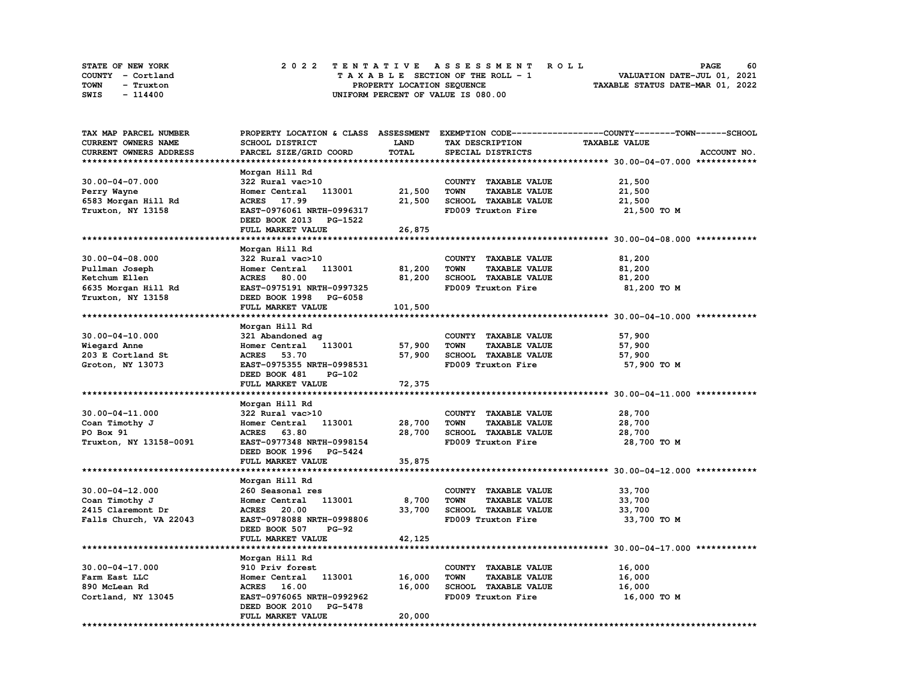| STATE OF NEW YORK | 2022 TENTATIVE ASSESSMENT ROLL     | 60<br><b>PAGE</b>                |
|-------------------|------------------------------------|----------------------------------|
| COUNTY - Cortland | TAXABLE SECTION OF THE ROLL - 1    | VALUATION DATE-JUL 01, 2021      |
| TOWN<br>- Truxton | PROPERTY LOCATION SEQUENCE         | TAXABLE STATUS DATE-MAR 01, 2022 |
| SWIS<br>- 114400  | UNIFORM PERCENT OF VALUE IS 080.00 |                                  |

| TAX MAP PARCEL NUMBER     |                                  |             |                                     | PROPERTY LOCATION & CLASS ASSESSMENT EXEMPTION CODE-----------------COUNTY-------TOWN-----SCHOOL |
|---------------------------|----------------------------------|-------------|-------------------------------------|--------------------------------------------------------------------------------------------------|
| CURRENT OWNERS NAME       | SCHOOL DISTRICT                  | <b>LAND</b> | TAX DESCRIPTION                     | <b>TAXABLE VALUE</b>                                                                             |
| CURRENT OWNERS ADDRESS    | PARCEL SIZE/GRID COORD           | TOTAL       | SPECIAL DISTRICTS                   | ACCOUNT NO.                                                                                      |
|                           |                                  |             |                                     |                                                                                                  |
|                           |                                  |             |                                     |                                                                                                  |
|                           | Morgan Hill Rd                   |             |                                     |                                                                                                  |
| $30.00 - 04 - 07.000$     | 322 Rural vac>10                 |             | COUNTY TAXABLE VALUE                | 21,500                                                                                           |
| Perry Wayne               | Homer Central<br>113001          | 21,500      | <b>TOWN</b><br><b>TAXABLE VALUE</b> | 21,500                                                                                           |
| 6583 Morgan Hill Rd       | ACRES 17.99                      | 21,500      | SCHOOL TAXABLE VALUE                | 21,500                                                                                           |
| Truxton, NY 13158         | EAST-0976061 NRTH-0996317        |             | FD009 Truxton Fire                  | 21,500 TO M                                                                                      |
|                           | DEED BOOK 2013 PG-1522           |             |                                     |                                                                                                  |
|                           | FULL MARKET VALUE                | 26,875      |                                     |                                                                                                  |
|                           |                                  |             |                                     |                                                                                                  |
|                           | Morgan Hill Rd                   |             |                                     |                                                                                                  |
| $30.00 - 04 - 08.000$     | 322 Rural vac>10                 |             | COUNTY TAXABLE VALUE                | 81,200                                                                                           |
|                           | 113001                           |             |                                     |                                                                                                  |
| Pullman Joseph            | Homer Central                    | 81,200      | <b>TOWN</b><br><b>TAXABLE VALUE</b> | 81,200                                                                                           |
| Ketchum Ellen             | <b>ACRES</b> 80.00               | 81,200      | SCHOOL TAXABLE VALUE                | 81,200                                                                                           |
| 6635 Morgan Hill Rd       | EAST-0975191 NRTH-0997325        |             | FD009 Truxton Fire                  | 81,200 TO M                                                                                      |
| Truxton, NY 13158         | DEED BOOK 1998 PG-6058           |             |                                     |                                                                                                  |
|                           | FULL MARKET VALUE                | 101,500     |                                     |                                                                                                  |
|                           |                                  |             |                                     |                                                                                                  |
|                           | Morgan Hill Rd                   |             |                                     |                                                                                                  |
| $30.00 - 04 - 10.000$     | 321 Abandoned ag                 |             | COUNTY TAXABLE VALUE                | 57,900                                                                                           |
| Wiegard Anne              | Homer Central<br>113001          | 57,900      | <b>TOWN</b><br><b>TAXABLE VALUE</b> | 57,900                                                                                           |
|                           |                                  |             |                                     |                                                                                                  |
| 203 E Cortland St         | ACRES 53.70                      | 57,900      | SCHOOL TAXABLE VALUE                | 57,900                                                                                           |
| Groton, NY 13073          | EAST-0975355 NRTH-0998531        |             | FD009 Truxton Fire                  | 57,900 TO M                                                                                      |
|                           | DEED BOOK 481<br>PG-102          |             |                                     |                                                                                                  |
|                           | FULL MARKET VALUE                | 72,375      |                                     |                                                                                                  |
|                           |                                  |             |                                     |                                                                                                  |
|                           | Morgan Hill Rd                   |             |                                     |                                                                                                  |
| $30.00 - 04 - 11.000$     | 322 Rural vac>10                 |             | COUNTY TAXABLE VALUE                | 28,700                                                                                           |
| Coan Timothy J            | 113001<br>Homer Central          | 28,700      | <b>TAXABLE VALUE</b><br><b>TOWN</b> | 28,700                                                                                           |
| PO Box 91                 | <b>ACRES</b><br>63.80            | 28,700      | SCHOOL TAXABLE VALUE                | 28,700                                                                                           |
| Truxton, NY 13158-0091    | EAST-0977348 NRTH-0998154        |             | FD009 Truxton Fire                  | 28,700 TO M                                                                                      |
|                           | DEED BOOK 1996 PG-5424           |             |                                     |                                                                                                  |
|                           |                                  |             |                                     |                                                                                                  |
|                           | FULL MARKET VALUE                | 35,875      |                                     |                                                                                                  |
|                           |                                  |             |                                     |                                                                                                  |
|                           | Morgan Hill Rd                   |             |                                     |                                                                                                  |
| $30.00 - 04 - 12.000$     | 260 Seasonal res                 |             | COUNTY TAXABLE VALUE                | 33,700                                                                                           |
| Coan Timothy J            | Homer Central 113001             | 8,700       | <b>TOWN</b><br><b>TAXABLE VALUE</b> | 33,700                                                                                           |
| 2415 Claremont Dr         | <b>ACRES</b> 20.00               | 33,700      | SCHOOL TAXABLE VALUE                | 33,700                                                                                           |
| Falls Church, VA 22043    | EAST-0978088 NRTH-0998806        |             | FD009 Truxton Fire                  | 33,700 TO M                                                                                      |
|                           | DEED BOOK 507<br><b>PG-92</b>    |             |                                     |                                                                                                  |
|                           | FULL MARKET VALUE                | 42,125      |                                     |                                                                                                  |
| ************************* | ******************************   |             |                                     |                                                                                                  |
|                           | Morgan Hill Rd                   |             |                                     |                                                                                                  |
|                           |                                  |             |                                     |                                                                                                  |
| $30.00 - 04 - 17.000$     | 910 Priv forest                  |             | COUNTY TAXABLE VALUE                | 16,000                                                                                           |
| Farm East LLC             | Homer Central<br>113001          | 16,000      | <b>TOWN</b><br><b>TAXABLE VALUE</b> | 16,000                                                                                           |
| 890 McLean Rd             | ACRES 16.00                      | 16,000      | SCHOOL TAXABLE VALUE                | 16,000                                                                                           |
| Cortland, NY 13045        | EAST-0976065 NRTH-0992962        |             | FD009 Truxton Fire                  | 16,000 TO M                                                                                      |
|                           | DEED BOOK 2010<br><b>PG-5478</b> |             |                                     |                                                                                                  |
|                           | FULL MARKET VALUE                | 20,000      |                                     |                                                                                                  |
|                           |                                  |             |                                     |                                                                                                  |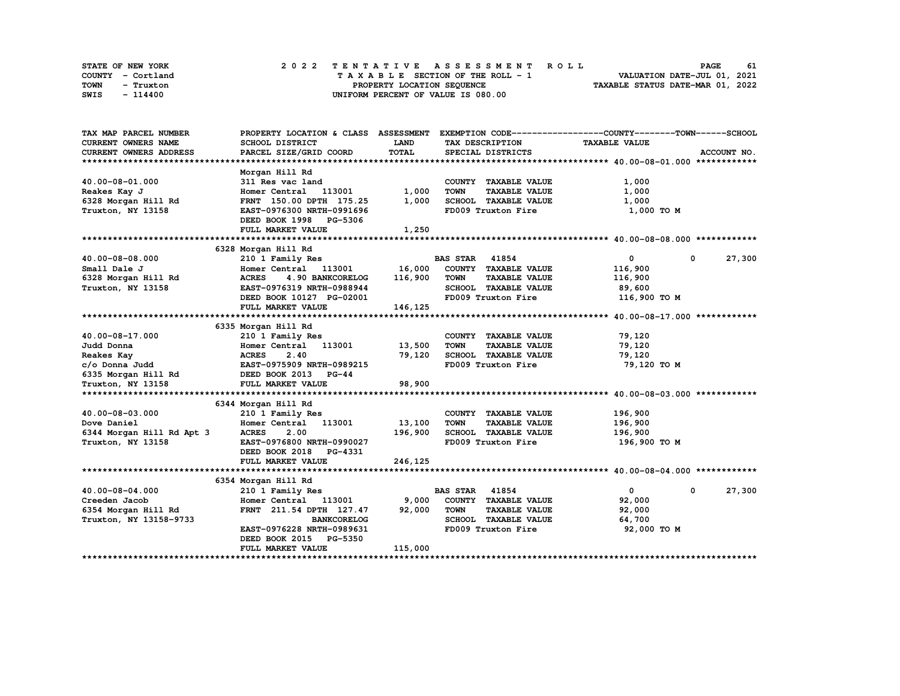| STATE OF NEW YORK | 2022 TENTATIVE ASSESSMENT ROLL     | 61<br><b>PAGE</b>                |
|-------------------|------------------------------------|----------------------------------|
| COUNTY - Cortland | TAXABLE SECTION OF THE ROLL - 1    | VALUATION DATE-JUL 01, 2021      |
| TOWN<br>- Truxton | PROPERTY LOCATION SEQUENCE         | TAXABLE STATUS DATE-MAR 01, 2022 |
| SWIS<br>- 114400  | UNIFORM PERCENT OF VALUE IS 080.00 |                                  |

| TAX MAP PARCEL NUMBER                    |                                                  |             |                                     | PROPERTY LOCATION & CLASS ASSESSMENT EXEMPTION CODE----------------COUNTY-------TOWN------SCHOOL |             |
|------------------------------------------|--------------------------------------------------|-------------|-------------------------------------|--------------------------------------------------------------------------------------------------|-------------|
| <b>CURRENT OWNERS NAME</b>               | <b>SCHOOL DISTRICT</b>                           | <b>LAND</b> | TAX DESCRIPTION                     | <b>TAXABLE VALUE</b>                                                                             |             |
| <b>CURRENT OWNERS ADDRESS</b>            | PARCEL SIZE/GRID COORD                           | TOTAL       | SPECIAL DISTRICTS                   |                                                                                                  | ACCOUNT NO. |
|                                          |                                                  |             |                                     |                                                                                                  |             |
|                                          | Morgan Hill Rd                                   |             |                                     |                                                                                                  |             |
| 40.00-08-01.000                          | 311 Res vac land                                 |             | COUNTY TAXABLE VALUE                | 1,000                                                                                            |             |
| Reakes Kay J                             | Homer Central 113001                             | 1,000       | <b>TOWN</b><br><b>TAXABLE VALUE</b> | 1,000                                                                                            |             |
| 6328 Morgan Hill Rd                      | FRNT 150.00 DPTH 175.25                          | 1,000       | SCHOOL TAXABLE VALUE                | 1,000                                                                                            |             |
| Truxton, NY 13158                        | EAST-0976300 NRTH-0991696                        |             | FD009 Truxton Fire                  | 1,000 TO M                                                                                       |             |
|                                          | DEED BOOK 1998 PG-5306                           |             |                                     |                                                                                                  |             |
|                                          | FULL MARKET VALUE                                | 1,250       |                                     |                                                                                                  |             |
|                                          |                                                  |             |                                     |                                                                                                  |             |
|                                          | 6328 Morgan Hill Rd                              |             |                                     |                                                                                                  |             |
| 40.00-08-08.000                          | 210 1 Family Res                                 |             | <b>BAS STAR 41854</b>               | 0<br>0                                                                                           | 27,300      |
| Small Dale J                             | Homer Central 113001 16,000 COUNTY TAXABLE VALUE |             |                                     | 116,900                                                                                          |             |
| 6328 Morgan Hill Rd                      | 4.90 BANKCORELOG 116,900<br><b>ACRES</b>         |             | TOWN<br><b>TAXABLE VALUE</b>        | 116,900                                                                                          |             |
| Truxton, NY 13158                        | EAST-0976319 NRTH-0988944                        |             | SCHOOL TAXABLE VALUE                | 89,600                                                                                           |             |
|                                          | DEED BOOK 10127 PG-02001                         |             | FD009 Truxton Fire                  | 116,900 TO M                                                                                     |             |
|                                          | FULL MARKET VALUE                                | 146,125     |                                     |                                                                                                  |             |
|                                          |                                                  |             |                                     |                                                                                                  |             |
|                                          | 6335 Morgan Hill Rd                              |             |                                     |                                                                                                  |             |
| 40.00-08-17.000                          | 210 1 Family Res                                 |             | COUNTY TAXABLE VALUE                | 79,120                                                                                           |             |
| Judd Donna                               | Homer Central 113001 13,500                      |             | <b>TOWN</b><br><b>TAXABLE VALUE</b> | 79,120                                                                                           |             |
| Reakes Kay                               |                                                  | 79,120      | SCHOOL TAXABLE VALUE                | 79,120                                                                                           |             |
| c/o Donna Judd                           |                                                  |             | FD009 Truxton Fire                  | 79,120 то м                                                                                      |             |
| 6335 Morgan Hill Rd DEED BOOK 2013 PG-44 |                                                  |             |                                     |                                                                                                  |             |
| Truxton, NY 13158                        | FULL MARKET VALUE                                | 98,900      |                                     |                                                                                                  |             |
|                                          |                                                  |             |                                     |                                                                                                  |             |
|                                          | 6344 Morgan Hill Rd                              |             |                                     |                                                                                                  |             |
| 40.00-08-03.000                          | 210 1 Family Res                                 |             | COUNTY TAXABLE VALUE                | 196,900                                                                                          |             |
| Dove Daniel                              | Homer Central 113001                             | 13,100      | TOWN<br><b>TAXABLE VALUE</b>        | 196,900                                                                                          |             |
| 6344 Morgan Hill Rd Apt 3                | <b>ACRES</b><br>2.00                             | 196,900     | SCHOOL TAXABLE VALUE                | 196,900                                                                                          |             |
| Truxton, NY 13158                        | EAST-0976800 NRTH-0990027                        |             | FD009 Truxton Fire                  | 196,900 то м                                                                                     |             |
|                                          | DEED BOOK 2018 PG-4331                           |             |                                     |                                                                                                  |             |
|                                          | FULL MARKET VALUE                                | 246,125     |                                     |                                                                                                  |             |
|                                          |                                                  |             |                                     |                                                                                                  |             |
|                                          | 6354 Morgan Hill Rd                              |             |                                     |                                                                                                  |             |
| 40.00-08-04.000                          | 210 1 Family Res                                 |             | <b>BAS STAR 41854</b>               | $\mathbf{0}$<br>0                                                                                | 27,300      |
| Creeden Jacob                            | Homer Central 113001 9,000                       |             | COUNTY TAXABLE VALUE                | 92,000                                                                                           |             |
| 6354 Morgan Hill Rd                      | FRNT 211.54 DPTH 127.47 92,000                   |             | TOWN<br><b>TAXABLE VALUE</b>        | 92,000                                                                                           |             |
| Truxton, NY 13158-9733                   | <b>BANKCORELOG</b>                               |             | SCHOOL TAXABLE VALUE                | 64,700                                                                                           |             |
|                                          | EAST-0976228 NRTH-0989631                        |             | FD009 Truxton Fire                  | 92,000 TO M                                                                                      |             |
|                                          | DEED BOOK 2015 PG-5350                           |             |                                     |                                                                                                  |             |
|                                          | <b>FULL MARKET VALUE</b>                         | 115,000     |                                     |                                                                                                  |             |
|                                          |                                                  |             |                                     |                                                                                                  |             |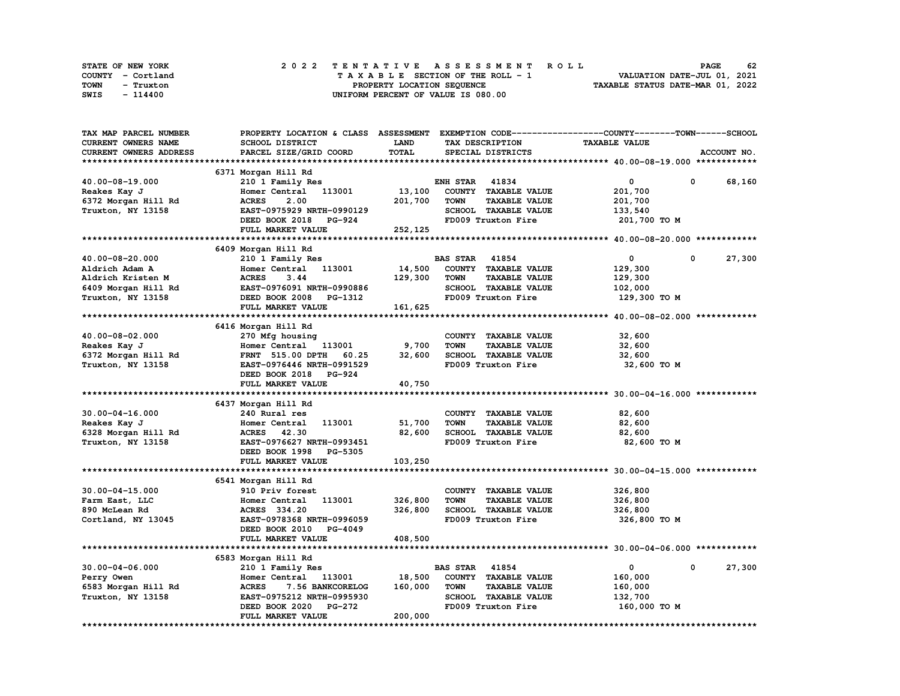| STATE OF NEW YORK |                   |                            |  | 2022 TENTATIVE ASSESSMENT ROLL |  |  |  |  |  |                                    |  |  |  |  |  |  |  |                             | <b>PAGE</b> | 62 |
|-------------------|-------------------|----------------------------|--|--------------------------------|--|--|--|--|--|------------------------------------|--|--|--|--|--|--|--|-----------------------------|-------------|----|
|                   | COUNTY - Cortland |                            |  |                                |  |  |  |  |  | TAXABLE SECTION OF THE ROLL - 1    |  |  |  |  |  |  |  | VALUATION DATE-JUL 01, 2021 |             |    |
| TOWN              | - Truxton         | PROPERTY LOCATION SEQUENCE |  |                                |  |  |  |  |  | TAXABLE STATUS DATE-MAR 01, 2022   |  |  |  |  |  |  |  |                             |             |    |
| SWIS              | - 114400          |                            |  |                                |  |  |  |  |  | UNIFORM PERCENT OF VALUE IS 080.00 |  |  |  |  |  |  |  |                             |             |    |

| TAX MAP PARCEL NUMBER  | PROPERTY LOCATION & CLASS ASSESSMENT EXEMPTION CODE-----------------COUNTY-------TOWN------SCHOOL |             |                       |                      |                      |   |             |
|------------------------|---------------------------------------------------------------------------------------------------|-------------|-----------------------|----------------------|----------------------|---|-------------|
| CURRENT OWNERS NAME    | SCHOOL DISTRICT                                                                                   | <b>LAND</b> |                       | TAX DESCRIPTION      | <b>TAXABLE VALUE</b> |   |             |
| CURRENT OWNERS ADDRESS | PARCEL SIZE/GRID COORD                                                                            | TOTAL       |                       | SPECIAL DISTRICTS    |                      |   | ACCOUNT NO. |
|                        |                                                                                                   |             |                       |                      |                      |   |             |
|                        | 6371 Morgan Hill Rd                                                                               |             |                       |                      |                      |   |             |
| 40.00-08-19.000        | 210 1 Family Res                                                                                  |             | <b>ENH STAR 41834</b> |                      | 0                    | 0 | 68,160      |
| Reakes Kay J           | 113001<br>Homer Central                                                                           | 13,100      |                       | COUNTY TAXABLE VALUE | 201,700              |   |             |
| 6372 Morgan Hill Rd    | <b>ACRES</b><br>2.00                                                                              | 201,700     | <b>TOWN</b>           | <b>TAXABLE VALUE</b> | 201,700              |   |             |
|                        | EAST-0975929 NRTH-0990129                                                                         |             |                       | SCHOOL TAXABLE VALUE |                      |   |             |
| Truxton, NY 13158      |                                                                                                   |             |                       |                      | 133,540              |   |             |
|                        | DEED BOOK 2018 PG-924                                                                             |             |                       | FD009 Truxton Fire   | 201,700 TO M         |   |             |
|                        | FULL MARKET VALUE                                                                                 | 252,125     |                       |                      |                      |   |             |
|                        |                                                                                                   |             |                       |                      |                      |   |             |
|                        | 6409 Morgan Hill Rd                                                                               |             |                       |                      |                      |   |             |
| 40.00-08-20.000        | 210 1 Family Res                                                                                  |             | <b>BAS STAR</b> 41854 |                      | $\mathbf 0$          | 0 | 27,300      |
| Aldrich Adam A         | 113001<br>Homer Central                                                                           | 14,500      |                       | COUNTY TAXABLE VALUE | 129,300              |   |             |
| Aldrich Kristen M      | <b>ACRES</b><br>3.44                                                                              | 129,300     | <b>TOWN</b>           | <b>TAXABLE VALUE</b> | 129,300              |   |             |
| 6409 Morgan Hill Rd    | EAST-0976091 NRTH-0990886                                                                         |             |                       | SCHOOL TAXABLE VALUE | 102,000              |   |             |
| Truxton, NY 13158      | DEED BOOK 2008 PG-1312                                                                            |             |                       | FD009 Truxton Fire   | 129,300 то м         |   |             |
|                        | FULL MARKET VALUE                                                                                 | 161,625     |                       |                      |                      |   |             |
|                        |                                                                                                   |             |                       |                      |                      |   |             |
|                        | 6416 Morgan Hill Rd                                                                               |             |                       |                      |                      |   |             |
| 40.00-08-02.000        | 270 Mfg housing                                                                                   |             |                       | COUNTY TAXABLE VALUE | 32,600               |   |             |
| Reakes Kay J           | Homer Central<br>113001                                                                           | 9,700       | <b>TOWN</b>           | <b>TAXABLE VALUE</b> | 32,600               |   |             |
| 6372 Morgan Hill Rd    | FRNT 515.00 DPTH 60.25                                                                            | 32,600      |                       | SCHOOL TAXABLE VALUE | 32,600               |   |             |
| Truxton, NY 13158      | EAST-0976446 NRTH-0991529                                                                         |             |                       | FD009 Truxton Fire   | 32,600 TO M          |   |             |
|                        | DEED BOOK 2018 PG-924                                                                             |             |                       |                      |                      |   |             |
|                        | FULL MARKET VALUE                                                                                 | 40,750      |                       |                      |                      |   |             |
|                        |                                                                                                   |             |                       |                      |                      |   |             |
|                        |                                                                                                   |             |                       |                      |                      |   |             |
|                        | 6437 Morgan Hill Rd                                                                               |             |                       |                      |                      |   |             |
| $30.00 - 04 - 16.000$  | 240 Rural res                                                                                     |             |                       | COUNTY TAXABLE VALUE | 82,600               |   |             |
| Reakes Kay J           | 113001<br>Homer Central                                                                           | 51,700      | TOWN                  | <b>TAXABLE VALUE</b> | 82,600               |   |             |
| 6328 Morgan Hill Rd    | ACRES 42.30                                                                                       | 82,600      |                       | SCHOOL TAXABLE VALUE | 82,600               |   |             |
| Truxton, NY 13158      | EAST-0976627 NRTH-0993451                                                                         |             |                       | FD009 Truxton Fire   | 82,600 TO M          |   |             |
|                        | DEED BOOK 1998<br>PG-5305                                                                         |             |                       |                      |                      |   |             |
|                        | FULL MARKET VALUE                                                                                 | 103,250     |                       |                      |                      |   |             |
|                        |                                                                                                   |             |                       |                      |                      |   |             |
|                        | 6541 Morgan Hill Rd                                                                               |             |                       |                      |                      |   |             |
| $30.00 - 04 - 15.000$  | 910 Priv forest                                                                                   |             |                       | COUNTY TAXABLE VALUE | 326,800              |   |             |
| Farm East, LLC         | Homer Central 113001                                                                              | 326,800     | <b>TOWN</b>           | <b>TAXABLE VALUE</b> | 326,800              |   |             |
| 890 McLean Rd          | ACRES 334.20                                                                                      | 326,800     |                       | SCHOOL TAXABLE VALUE | 326,800              |   |             |
| Cortland, NY 13045     | EAST-0978368 NRTH-0996059                                                                         |             |                       | FD009 Truxton Fire   | 326,800 то м         |   |             |
|                        | DEED BOOK 2010<br>PG-4049                                                                         |             |                       |                      |                      |   |             |
|                        | FULL MARKET VALUE                                                                                 | 408,500     |                       |                      |                      |   |             |
|                        |                                                                                                   |             |                       |                      |                      |   |             |
|                        | 6583 Morgan Hill Rd                                                                               |             |                       |                      |                      |   |             |
| $30.00 - 04 - 06.000$  | 210 1 Family Res                                                                                  |             | <b>BAS STAR</b>       | 41854                | $\mathbf 0$          | 0 | 27,300      |
| Perry Owen             | Homer Central 113001                                                                              | 18,500      |                       | COUNTY TAXABLE VALUE | 160,000              |   |             |
| 6583 Morgan Hill Rd    | <b>ACRES</b><br>7.56 BANKCORELOG                                                                  | 160,000     | <b>TOWN</b>           | <b>TAXABLE VALUE</b> | 160,000              |   |             |
|                        |                                                                                                   |             |                       |                      |                      |   |             |
| Truxton, NY 13158      | EAST-0975212 NRTH-0995930                                                                         |             |                       | SCHOOL TAXABLE VALUE | 132,700              |   |             |
|                        | DEED BOOK 2020<br><b>PG-272</b>                                                                   |             |                       | FD009 Truxton Fire   | 160,000 TO M         |   |             |
|                        | FULL MARKET VALUE                                                                                 | 200,000     |                       |                      |                      |   |             |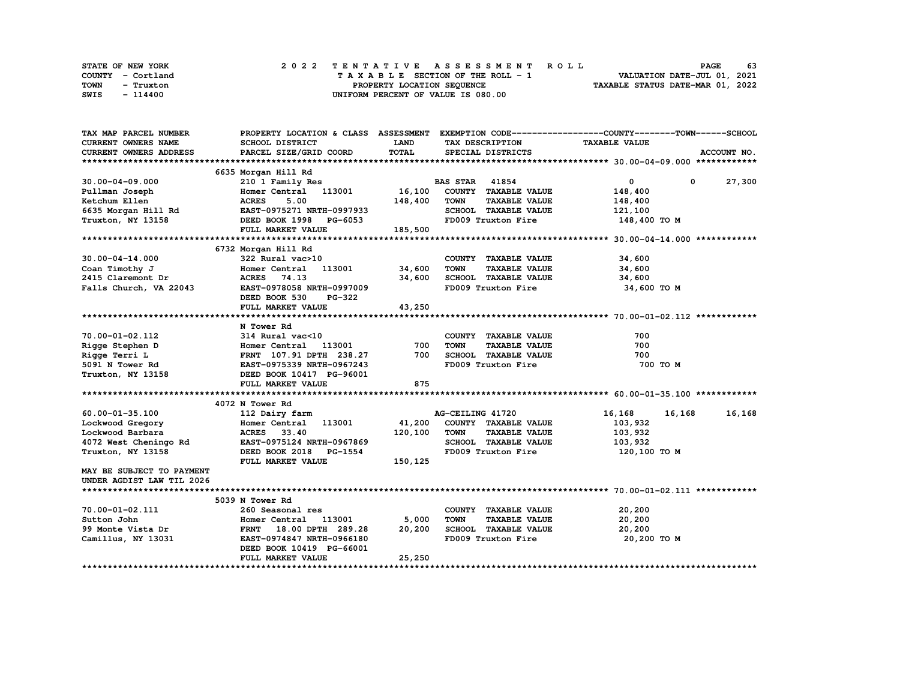| STATE OF NEW YORK | 2022 TENTATIVE ASSESSMENT ROLL     | 63<br><b>PAGE</b>                |
|-------------------|------------------------------------|----------------------------------|
| COUNTY - Cortland | TAXABLE SECTION OF THE ROLL - 1    | VALUATION DATE-JUL 01, 2021      |
| TOWN<br>- Truxton | PROPERTY LOCATION SEQUENCE         | TAXABLE STATUS DATE-MAR 01, 2022 |
| SWIS<br>- 114400  | UNIFORM PERCENT OF VALUE IS 080.00 |                                  |

| TAX MAP PARCEL NUMBER                                                                                                                        |                                                                    |             | PROPERTY LOCATION & CLASS ASSESSMENT EXEMPTION CODE----------------COUNTY-------TOWN-----SCHOOL |                      |               |
|----------------------------------------------------------------------------------------------------------------------------------------------|--------------------------------------------------------------------|-------------|-------------------------------------------------------------------------------------------------|----------------------|---------------|
| <b>CURRENT OWNERS NAME</b>                                                                                                                   | SCHOOL DISTRICT                                                    | <b>LAND</b> | TAX DESCRIPTION                                                                                 | <b>TAXABLE VALUE</b> |               |
| <b>CURRENT OWNERS ADDRESS</b>                                                                                                                | PARCEL SIZE/GRID COORD                                             | TOTAL       | SPECIAL DISTRICTS                                                                               |                      | ACCOUNT NO.   |
|                                                                                                                                              |                                                                    |             |                                                                                                 |                      |               |
|                                                                                                                                              | 6635 Morgan Hill Rd                                                |             |                                                                                                 |                      |               |
| $30.00 - 04 - 09.000$                                                                                                                        | 210 1 Family Res                                                   |             | <b>BAS STAR</b> 41854                                                                           | $\mathbf{0}$         | $0 \t 27,300$ |
| Pullman Joseph                                                                                                                               | Homer Central 113001 16,100                                        |             | COUNTY TAXABLE VALUE                                                                            | 148,400              |               |
|                                                                                                                                              |                                                                    | 148,400     | <b>TOWN</b><br><b>TAXABLE VALUE</b>                                                             | 148,400              |               |
|                                                                                                                                              |                                                                    |             | SCHOOL TAXABLE VALUE                                                                            | 121,100              |               |
| Exerchum Ellen (148,400)<br>6635 Morgan Hill Rd (148,400)<br>EAST-0975271 NRTH-0997933<br>Truxton, NY 13158 (2000)<br>DEED BOOK 1998 PG-6053 |                                                                    |             | FD009 Truxton Fire                                                                              | 148,400 TO M         |               |
|                                                                                                                                              | FULL MARKET VALUE                                                  | 185,500     |                                                                                                 |                      |               |
|                                                                                                                                              |                                                                    |             |                                                                                                 |                      |               |
|                                                                                                                                              | 6732 Morgan Hill Rd                                                |             |                                                                                                 |                      |               |
| $30.00 - 04 - 14.000$                                                                                                                        | 322 Rural vac>10                                                   |             | COUNTY TAXABLE VALUE                                                                            | 34,600               |               |
| Coan Timothy J                                                                                                                               | 322 Rural vac>10<br>Homer Central    113001                 34,600 |             | <b>TOWN</b><br><b>TAXABLE VALUE</b>                                                             | 34,600               |               |
| 2415 Claremont Dr                                                                                                                            | ACRES 74.13                                                        | 34,600      | SCHOOL TAXABLE VALUE                                                                            | 34,600               |               |
| Falls Church, VA 22043                                                                                                                       | EAST-0978058 NRTH-0997009                                          |             | FD009 Truxton Fire                                                                              | 34,600 TO M          |               |
|                                                                                                                                              | DEED BOOK 530<br>PG-322                                            |             |                                                                                                 |                      |               |
|                                                                                                                                              | FULL MARKET VALUE                                                  | 43,250      |                                                                                                 |                      |               |
|                                                                                                                                              |                                                                    |             |                                                                                                 |                      |               |
|                                                                                                                                              | N Tower Rd                                                         |             |                                                                                                 |                      |               |
|                                                                                                                                              |                                                                    |             | COUNTY TAXABLE VALUE                                                                            | 700                  |               |
|                                                                                                                                              |                                                                    | 700         | <b>TOWN</b><br><b>TAXABLE VALUE</b>                                                             | 700                  |               |
|                                                                                                                                              |                                                                    | 700         | SCHOOL TAXABLE VALUE                                                                            | 700                  |               |
|                                                                                                                                              |                                                                    |             | FD009 Truxton Fire                                                                              | 700 TO M             |               |
|                                                                                                                                              |                                                                    |             |                                                                                                 |                      |               |
|                                                                                                                                              | FULL MARKET VALUE                                                  | 875         |                                                                                                 |                      |               |
|                                                                                                                                              |                                                                    |             |                                                                                                 |                      |               |
|                                                                                                                                              | 4072 N Tower Rd                                                    |             |                                                                                                 |                      |               |
| 60.00-01-35.100                                                                                                                              | 112 Dairy farm                                                     |             | AG-CEILING 41720                                                                                | 16,168 16,168        | 16,168        |
| Lockwood Gregory                                                                                                                             | Homer Central 113001                                               | 41,200      | COUNTY TAXABLE VALUE                                                                            | 103,932              |               |
| Lockwood Barbara                                                                                                                             | <b>ACRES</b><br>33.40                                              | 120,100     | <b>TOWN</b><br><b>TAXABLE VALUE</b>                                                             | 103,932              |               |
| 4072 West Cheningo Rd EAST-0975124 NRTH-0967869                                                                                              |                                                                    |             | SCHOOL TAXABLE VALUE                                                                            | 103,932              |               |
| Truxton, NY 13158                                                                                                                            | DEED BOOK 2018 PG-1554                                             |             | FD009 Truxton Fire                                                                              | 120,100 TO M         |               |
|                                                                                                                                              | FULL MARKET VALUE                                                  | 150,125     |                                                                                                 |                      |               |
| MAY BE SUBJECT TO PAYMENT                                                                                                                    |                                                                    |             |                                                                                                 |                      |               |
| UNDER AGDIST LAW TIL 2026                                                                                                                    |                                                                    |             |                                                                                                 |                      |               |
|                                                                                                                                              |                                                                    |             |                                                                                                 |                      |               |
|                                                                                                                                              | 5039 N Tower Rd                                                    |             |                                                                                                 |                      |               |
| 70.00-01-02.111                                                                                                                              | 260 Seasonal res                                                   |             | COUNTY TAXABLE VALUE                                                                            | 20,200               |               |
| Sutton John                                                                                                                                  | 113001 2001<br>Homer Central                                       | 5,000       | <b>TOWN</b><br><b>TAXABLE VALUE</b>                                                             | 20,200               |               |
|                                                                                                                                              | FRNT 18.00 DPTH 289.28 20,200                                      |             | SCHOOL TAXABLE VALUE                                                                            | 20,200               |               |
| 99 Monte Vista Dr<br>Camillus, NY 13031                                                                                                      | <b>EAST-0974847 NRTH-0966180</b>                                   |             | FD009 Truxton Fire                                                                              | 20,200 TO M          |               |
|                                                                                                                                              | DEED BOOK 10419 PG-66001                                           |             |                                                                                                 |                      |               |
|                                                                                                                                              | FULL MARKET VALUE                                                  | 25,250      |                                                                                                 |                      |               |
|                                                                                                                                              |                                                                    |             |                                                                                                 |                      |               |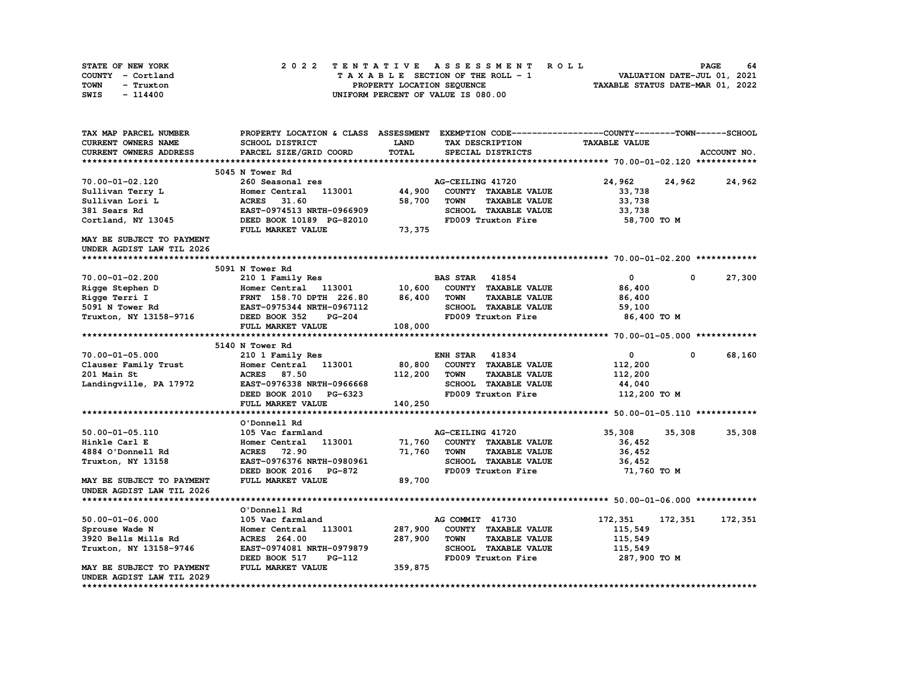| STATE OF NEW YORK | 2022 TENTATIVE ASSESSMENT ROLL     | - 64<br><b>PAGE</b>              |
|-------------------|------------------------------------|----------------------------------|
| COUNTY - Cortland | TAXABLE SECTION OF THE ROLL - 1    | VALUATION DATE-JUL 01, 2021      |
| TOWN<br>- Truxton | PROPERTY LOCATION SEQUENCE         | TAXABLE STATUS DATE-MAR 01, 2022 |
| SWIS<br>- 114400  | UNIFORM PERCENT OF VALUE IS 080.00 |                                  |

| TAX MAP PARCEL NUMBER                                  | PROPERTY LOCATION & CLASS ASSESSMENT EXEMPTION CODE----------------COUNTY-------TOWN------SCHOOL |              |                                     |                      |                      |
|--------------------------------------------------------|--------------------------------------------------------------------------------------------------|--------------|-------------------------------------|----------------------|----------------------|
| CURRENT OWNERS NAME                                    | SCHOOL DISTRICT                                                                                  | LAND         | TAX DESCRIPTION                     | <b>TAXABLE VALUE</b> |                      |
| CURRENT OWNERS ADDRESS                                 | PARCEL SIZE/GRID COORD                                                                           | <b>TOTAL</b> | SPECIAL DISTRICTS                   |                      | ACCOUNT NO.          |
|                                                        |                                                                                                  |              |                                     |                      |                      |
|                                                        | 5045 N Tower Rd                                                                                  |              |                                     |                      |                      |
| 70.00-01-02.120                                        | 260 Seasonal res                                                                                 |              | AG-CEILING 41720                    | 24,962<br>24,962     | 24,962               |
| Sullivan Terry L                                       | Homer Central 113001                                                                             | 44,900       | COUNTY TAXABLE VALUE                | 33,738               |                      |
| Sullivan Lori L                                        | 31.60<br><b>ACRES</b>                                                                            | 58,700       | <b>TOWN</b><br><b>TAXABLE VALUE</b> | 33,738               |                      |
| 381 Sears Rd                                           | EAST-0974513 NRTH-0966909                                                                        |              | SCHOOL TAXABLE VALUE                | 33,738               |                      |
| Cortland, NY 13045                                     | DEED BOOK 10189 PG-82010                                                                         |              | FD009 Truxton Fire                  | 58,700 TO M          |                      |
|                                                        | FULL MARKET VALUE                                                                                | 73,375       |                                     |                      |                      |
| MAY BE SUBJECT TO PAYMENT                              |                                                                                                  |              |                                     |                      |                      |
| UNDER AGDIST LAW TIL 2026                              |                                                                                                  |              |                                     |                      |                      |
|                                                        |                                                                                                  |              |                                     |                      |                      |
|                                                        | 5091 N Tower Rd                                                                                  |              |                                     |                      |                      |
| 70.00-01-02.200                                        | 210 1 Family Res                                                                                 |              | <b>BAS STAR 41854</b>               | $\mathbf 0$          | 27,300<br>$^{\circ}$ |
| Rigge Stephen D                                        | Homer Central 113001                                                                             | 10,600       | COUNTY TAXABLE VALUE                | 86,400               |                      |
| Rigge Terri I                                          | FRNT 158.70 DPTH 226.80                                                                          | 86,400       | TOWN<br><b>TAXABLE VALUE</b>        | 86,400               |                      |
| 5091 N Tower Rd                                        | EAST-0975344 NRTH-0967112                                                                        |              | SCHOOL TAXABLE VALUE                | 59,100               |                      |
| Truxton, NY 13158-9716                                 | DEED BOOK 352<br><b>PG-204</b>                                                                   |              | FD009 Truxton Fire                  | 86,400 TO M          |                      |
|                                                        | FULL MARKET VALUE                                                                                | 108,000      |                                     |                      |                      |
|                                                        |                                                                                                  |              |                                     |                      |                      |
|                                                        | 5140 N Tower Rd                                                                                  |              |                                     |                      |                      |
| 70.00-01-05.000                                        | 210 1 Family Res                                                                                 |              | <b>ENH STAR 41834</b>               | $\mathbf 0$          | 68,160<br>$^{\circ}$ |
| Clauser Family Trust                                   | Homer Central<br>113001                                                                          | 80,800       | COUNTY TAXABLE VALUE                | 112,200              |                      |
| 201 Main St                                            | <b>ACRES</b> 87.50                                                                               | 112,200      | <b>TOWN</b><br><b>TAXABLE VALUE</b> | 112,200              |                      |
| Landingville, PA 17972                                 | EAST-0976338 NRTH-0966668                                                                        |              | SCHOOL TAXABLE VALUE                | 44,040               |                      |
|                                                        | DEED BOOK 2010 PG-6323                                                                           |              | FD009 Truxton Fire                  | 112,200 TO M         |                      |
|                                                        | FULL MARKET VALUE                                                                                | 140,250      |                                     |                      |                      |
|                                                        |                                                                                                  |              |                                     |                      |                      |
|                                                        | O'Donnell Rd                                                                                     |              |                                     |                      |                      |
| $50.00 - 01 - 05.110$                                  | 105 Vac farmland                                                                                 |              | AG-CEILING 41720                    | 35,308<br>35,308     | 35,308               |
| Hinkle Carl E                                          | 113001<br>Homer Central                                                                          | 71,760       | COUNTY TAXABLE VALUE                | 36,452               |                      |
| 4884 O'Donnell Rd                                      | <b>ACRES</b> 72.90                                                                               | 71,760       | <b>TAXABLE VALUE</b><br><b>TOWN</b> | 36,452               |                      |
| Truxton, NY 13158                                      | EAST-0976376 NRTH-0980961                                                                        |              | SCHOOL TAXABLE VALUE                | 36,452               |                      |
|                                                        | DEED BOOK 2016 PG-872                                                                            |              | FD009 Truxton Fire                  | 71,760 TO M          |                      |
|                                                        | FULL MARKET VALUE                                                                                | 89,700       |                                     |                      |                      |
| MAY BE SUBJECT TO PAYMENT<br>UNDER AGDIST LAW TIL 2026 |                                                                                                  |              |                                     |                      |                      |
|                                                        |                                                                                                  |              |                                     |                      |                      |
|                                                        | O'Donnell Rd                                                                                     |              |                                     |                      |                      |
|                                                        | 105 Vac farmland                                                                                 |              | AG COMMIT 41730                     |                      |                      |
| $50.00 - 01 - 06.000$                                  | 113001<br>Homer Central                                                                          | 287,900      | COUNTY TAXABLE VALUE                | 172,351<br>172,351   | 172,351              |
| Sprouse Wade N                                         |                                                                                                  |              | <b>TOWN</b>                         | 115,549              |                      |
| 3920 Bells Mills Rd                                    | ACRES 264.00                                                                                     | 287,900      | <b>TAXABLE VALUE</b>                | 115,549              |                      |
| Truxton, NY 13158-9746                                 | EAST-0974081 NRTH-0979879                                                                        |              | SCHOOL TAXABLE VALUE                | 115,549              |                      |
|                                                        | DEED BOOK 517<br>PG-112                                                                          |              | FD009 Truxton Fire                  | 287,900 то м         |                      |
| MAY BE SUBJECT TO PAYMENT                              | FULL MARKET VALUE                                                                                | 359,875      |                                     |                      |                      |
| UNDER AGDIST LAW TIL 2029                              |                                                                                                  |              |                                     |                      |                      |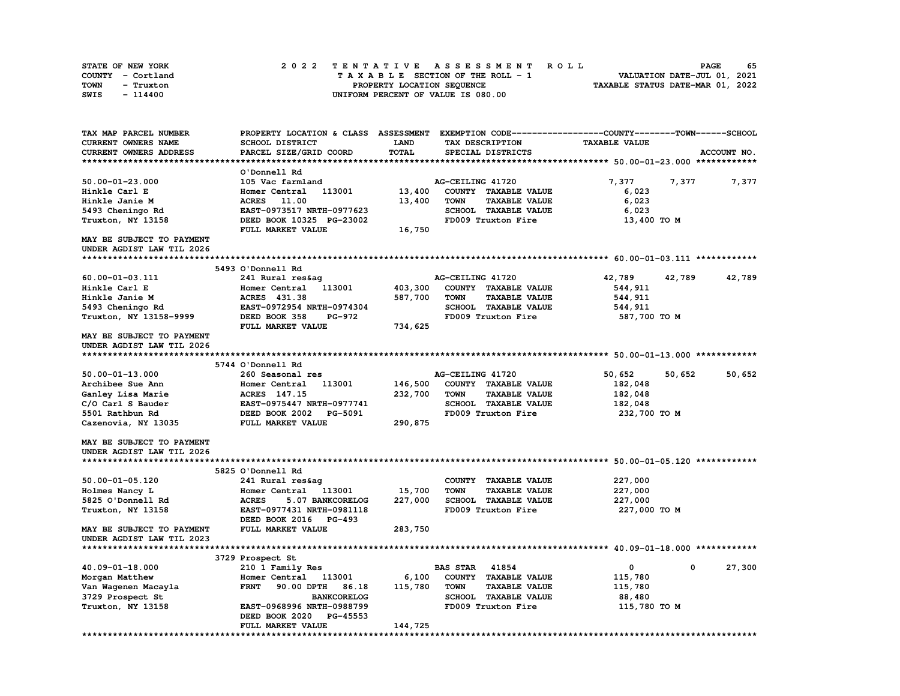| STATE OF NEW YORK | 2022 TENTATIVE ASSESSMENT ROLL     | 65<br><b>PAGE</b>                |
|-------------------|------------------------------------|----------------------------------|
| COUNTY - Cortland | TAXABLE SECTION OF THE ROLL - 1    | VALUATION DATE-JUL 01, 2021      |
| TOWN<br>- Truxton | PROPERTY LOCATION SEQUENCE         | TAXABLE STATUS DATE-MAR 01, 2022 |
| SWIS<br>$-114400$ | UNIFORM PERCENT OF VALUE IS 080.00 |                                  |

| TAX MAP PARCEL NUMBER     | PROPERTY LOCATION & CLASS ASSESSMENT |              | EXEMPTION CODE-----------------COUNTY-------TOWN------SCHOOL |                      |                  |
|---------------------------|--------------------------------------|--------------|--------------------------------------------------------------|----------------------|------------------|
| CURRENT OWNERS NAME       | <b>SCHOOL DISTRICT</b>               | LAND         | TAX DESCRIPTION                                              | <b>TAXABLE VALUE</b> |                  |
| CURRENT OWNERS ADDRESS    | PARCEL SIZE/GRID COORD               | <b>TOTAL</b> | SPECIAL DISTRICTS                                            |                      | ACCOUNT NO.      |
|                           |                                      |              |                                                              |                      |                  |
|                           | O'Donnell Rd                         |              |                                                              |                      |                  |
| $50.00 - 01 - 23.000$     | 105 Vac farmland                     |              | AG-CEILING 41720                                             | 7,377                | 7,377<br>7,377   |
| Hinkle Carl E             | Homer Central<br>113001              | 13,400       | COUNTY TAXABLE VALUE                                         | 6,023                |                  |
| Hinkle Janie M            | 11.00<br><b>ACRES</b>                | 13,400       | <b>TOWN</b><br><b>TAXABLE VALUE</b>                          | 6,023                |                  |
| 5493 Cheningo Rd          | EAST-0973517 NRTH-0977623            |              | <b>SCHOOL TAXABLE VALUE</b>                                  | 6,023                |                  |
| Truxton, NY 13158         | DEED BOOK 10325 PG-23002             |              | FD009 Truxton Fire                                           | 13,400 TO M          |                  |
|                           | FULL MARKET VALUE                    | 16,750       |                                                              |                      |                  |
| MAY BE SUBJECT TO PAYMENT |                                      |              |                                                              |                      |                  |
| UNDER AGDIST LAW TIL 2026 |                                      |              |                                                              |                      |                  |
|                           |                                      |              |                                                              |                      |                  |
|                           | 5493 O'Donnell Rd                    |              |                                                              |                      |                  |
| 60.00-01-03.111           | 241 Rural res&aq                     |              | AG-CEILING 41720                                             | 42,789               | 42,789<br>42,789 |
| Hinkle Carl E             | Homer Central<br>113001              | 403,300      | COUNTY TAXABLE VALUE                                         | 544,911              |                  |
| Hinkle Janie M            | ACRES 431.38                         | 587,700      | <b>TOWN</b><br><b>TAXABLE VALUE</b>                          | 544,911              |                  |
| 5493 Cheningo Rd          | EAST-0972954 NRTH-0974304            |              | <b>SCHOOL TAXABLE VALUE</b>                                  | 544,911              |                  |
| Truxton, NY 13158-9999    | DEED BOOK 358<br>PG-972              |              | FD009 Truxton Fire                                           | 587,700 TO M         |                  |
|                           | FULL MARKET VALUE                    | 734,625      |                                                              |                      |                  |
| MAY BE SUBJECT TO PAYMENT |                                      |              |                                                              |                      |                  |
| UNDER AGDIST LAW TIL 2026 |                                      |              |                                                              |                      |                  |
|                           |                                      |              |                                                              |                      |                  |
|                           | 5744 O'Donnell Rd                    |              |                                                              |                      |                  |
| $50.00 - 01 - 13.000$     | 260 Seasonal res                     |              | AG-CEILING 41720                                             | 50,652               | 50,652<br>50,652 |
| Archibee Sue Ann          | Homer Central 113001                 | 146,500      | COUNTY TAXABLE VALUE                                         | 182,048              |                  |
| Ganley Lisa Marie         | ACRES 147.15                         | 232,700      | <b>TOWN</b><br><b>TAXABLE VALUE</b>                          | 182,048              |                  |
| C/O Carl S Bauder         | EAST-0975447 NRTH-0977741            |              | SCHOOL TAXABLE VALUE                                         | 182,048              |                  |
| 5501 Rathbun Rd           | DEED BOOK 2002 PG-5091               |              | FD009 Truxton Fire                                           | 232,700 TO M         |                  |
| Cazenovia, NY 13035       | FULL MARKET VALUE                    | 290,875      |                                                              |                      |                  |
|                           |                                      |              |                                                              |                      |                  |
| MAY BE SUBJECT TO PAYMENT |                                      |              |                                                              |                      |                  |
| UNDER AGDIST LAW TIL 2026 |                                      |              |                                                              |                      |                  |
|                           |                                      |              |                                                              |                      |                  |
|                           | 5825 O'Donnell Rd                    |              |                                                              |                      |                  |
| $50.00 - 01 - 05.120$     | 241 Rural res&aq                     |              | COUNTY TAXABLE VALUE                                         | 227,000              |                  |
| Holmes Nancy L            | Homer Central 113001                 | 15,700       | <b>TOWN</b><br><b>TAXABLE VALUE</b>                          | 227,000              |                  |
| 5825 O'Donnell Rd         | <b>ACRES</b><br>5.07 BANKCORELOG     | 227,000      | SCHOOL TAXABLE VALUE                                         | 227,000              |                  |
| Truxton, NY 13158         | EAST-0977431 NRTH-0981118            |              | FD009 Truxton Fire                                           | 227,000 TO M         |                  |
|                           | DEED BOOK 2016 PG-493                |              |                                                              |                      |                  |
| MAY BE SUBJECT TO PAYMENT | FULL MARKET VALUE                    | 283,750      |                                                              |                      |                  |
| UNDER AGDIST LAW TIL 2023 |                                      |              |                                                              |                      |                  |
|                           |                                      |              |                                                              |                      |                  |
|                           | 3729 Prospect St                     |              |                                                              |                      |                  |
| $40.09 - 01 - 18.000$     | 210 1 Family Res                     |              | <b>BAS STAR</b><br>41854                                     | $\mathbf 0$          | 27,300<br>0      |
| Morgan Matthew            | Homer Central 113001                 | 6,100        | COUNTY TAXABLE VALUE                                         | 115,780              |                  |
| Van Wagenen Macayla       | <b>FRNT</b><br>90.00 DPTH<br>86.18   | 115,780      | <b>TOWN</b><br><b>TAXABLE VALUE</b>                          | 115,780              |                  |
| 3729 Prospect St          | <b>BANKCORELOG</b>                   |              | <b>SCHOOL TAXABLE VALUE</b>                                  | 88,480               |                  |
| Truxton, NY 13158         | EAST-0968996 NRTH-0988799            |              | FD009 Truxton Fire                                           | 115,780 TO M         |                  |
|                           | DEED BOOK 2020<br><b>PG-45553</b>    |              |                                                              |                      |                  |
|                           | FULL MARKET VALUE                    | 144,725      |                                                              |                      |                  |
|                           |                                      |              |                                                              |                      |                  |

**\*\*\*\*\*\*\*\*\*\*\*\*\*\*\*\*\*\*\*\*\*\*\*\*\*\*\*\*\*\*\*\*\*\*\*\*\*\*\*\*\*\*\*\*\*\*\*\*\*\*\*\*\*\*\*\*\*\*\*\*\*\*\*\*\*\*\*\*\*\*\*\*\*\*\*\*\*\*\*\*\*\*\*\*\*\*\*\*\*\*\*\*\*\*\*\*\*\*\*\*\*\*\*\*\*\*\*\*\*\*\*\*\*\*\*\*\*\*\*\*\*\*\*\*\*\*\*\*\*\*\*\***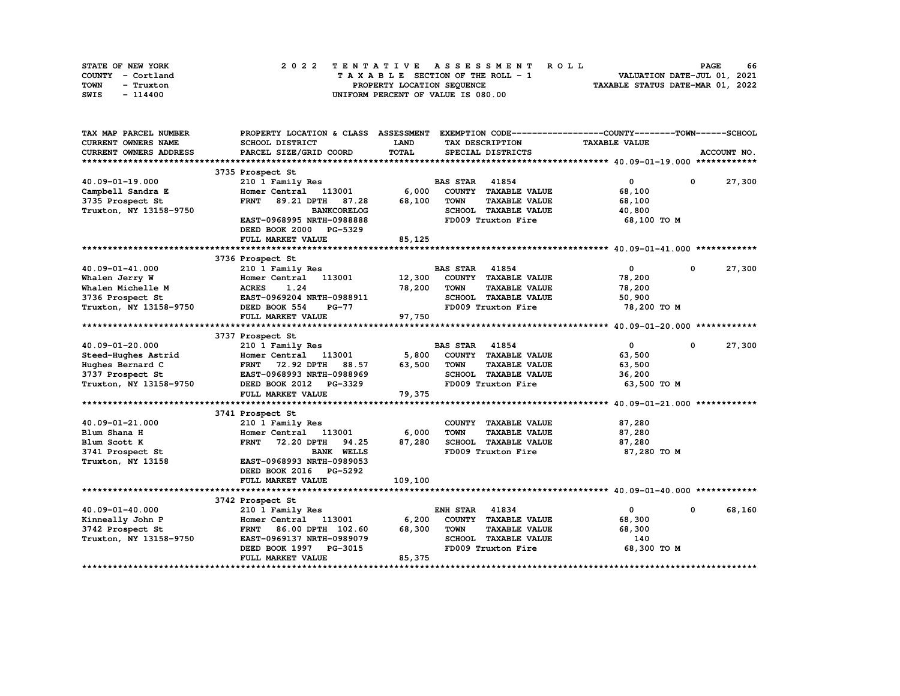| STATE OF NEW YORK | 2022 TENTATIVE ASSESSMENT ROLL     | 66<br><b>PAGE</b>                |
|-------------------|------------------------------------|----------------------------------|
| COUNTY - Cortland | TAXABLE SECTION OF THE ROLL - 1    | VALUATION DATE-JUL 01, 2021      |
| TOWN<br>- Truxton | PROPERTY LOCATION SEQUENCE         | TAXABLE STATUS DATE-MAR 01, 2022 |
| SWIS<br>- 114400  | UNIFORM PERCENT OF VALUE IS 080.00 |                                  |

| TAX MAP PARCEL NUMBER  | PROPERTY LOCATION & CLASS ASSESSMENT |              | EXEMPTION CODE-----------------COUNTY-------TOWN------SCHOOL |                      |              |             |
|------------------------|--------------------------------------|--------------|--------------------------------------------------------------|----------------------|--------------|-------------|
| CURRENT OWNERS NAME    | <b>SCHOOL DISTRICT</b>               | LAND         | TAX DESCRIPTION                                              | <b>TAXABLE VALUE</b> |              |             |
| CURRENT OWNERS ADDRESS | PARCEL SIZE/GRID COORD               | <b>TOTAL</b> | SPECIAL DISTRICTS                                            |                      |              | ACCOUNT NO. |
|                        |                                      |              |                                                              |                      |              |             |
|                        | 3735 Prospect St                     |              |                                                              |                      |              |             |
| 40.09-01-19.000        | 210 1 Family Res                     |              | <b>BAS STAR 41854</b>                                        | $\mathbf 0$          | $\mathbf 0$  | 27,300      |
| Campbell Sandra E      | Homer Central 113001                 | 6,000        | COUNTY TAXABLE VALUE                                         | 68,100               |              |             |
| 3735 Prospect St       | <b>FRNT</b><br>89.21 DPTH<br>87.28   | 68,100       | <b>TOWN</b><br><b>TAXABLE VALUE</b>                          | 68,100               |              |             |
| Truxton, NY 13158-9750 | <b>BANKCORELOG</b>                   |              | SCHOOL TAXABLE VALUE                                         | 40,800               |              |             |
|                        | EAST-0968995 NRTH-0988888            |              | FD009 Truxton Fire                                           | 68,100 TO M          |              |             |
|                        | DEED BOOK 2000<br><b>PG-5329</b>     |              |                                                              |                      |              |             |
|                        | FULL MARKET VALUE                    | 85,125       |                                                              |                      |              |             |
|                        |                                      |              |                                                              |                      |              |             |
|                        | 3736 Prospect St                     |              |                                                              |                      |              |             |
| 40.09-01-41.000        | 210 1 Family Res                     |              | 41854<br><b>BAS STAR</b>                                     | $\mathbf 0$          | $\mathbf{0}$ | 27,300      |
| Whalen Jerry W         | 113001<br>Homer Central              | 12,300       | COUNTY TAXABLE VALUE                                         | 78,200               |              |             |
| Whalen Michelle M      | 1.24<br><b>ACRES</b>                 | 78,200       | <b>TOWN</b><br><b>TAXABLE VALUE</b>                          | 78,200               |              |             |
| 3736 Prospect St       | EAST-0969204 NRTH-0988911            |              | SCHOOL TAXABLE VALUE                                         | 50,900               |              |             |
| Truxton, NY 13158-9750 | DEED BOOK 554<br>$PG-77$             |              | FD009 Truxton Fire                                           | 78,200 TO M          |              |             |
|                        | FULL MARKET VALUE                    | 97,750       |                                                              |                      |              |             |
|                        |                                      |              |                                                              |                      |              |             |
|                        | 3737 Prospect St                     |              |                                                              |                      |              |             |
| 40.09-01-20.000        | 210 1 Family Res                     |              | <b>BAS STAR 41854</b>                                        | $\mathbf{0}$         | $\mathbf{0}$ | 27,300      |
| Steed-Hughes Astrid    | Homer Central 113001                 | 5,800        | COUNTY TAXABLE VALUE                                         | 63,500               |              |             |
| Hughes Bernard C       | <b>FRNT</b><br>72.92 DPTH<br>88.57   | 63,500       | <b>TOWN</b><br><b>TAXABLE VALUE</b>                          | 63,500               |              |             |
| 3737 Prospect St       | EAST-0968993 NRTH-0988969            |              | SCHOOL TAXABLE VALUE                                         | 36,200               |              |             |
| Truxton, NY 13158-9750 | DEED BOOK 2012 PG-3329               |              | FD009 Truxton Fire                                           | 63,500 TO M          |              |             |
|                        | FULL MARKET VALUE                    | 79,375       |                                                              |                      |              |             |
|                        |                                      |              |                                                              |                      |              |             |
|                        | 3741 Prospect St                     |              |                                                              |                      |              |             |
| 40.09-01-21.000        | 210 1 Family Res                     |              | COUNTY TAXABLE VALUE                                         | 87,280               |              |             |
| Blum Shana H           | Homer Central 113001                 | 6,000        | <b>TOWN</b><br><b>TAXABLE VALUE</b>                          | 87,280               |              |             |
| Blum Scott K           | <b>FRNT</b><br>72.20 DPTH<br>94.25   | 87,280       | SCHOOL TAXABLE VALUE                                         | 87,280               |              |             |
| 3741 Prospect St       | <b>BANK WELLS</b>                    |              | FD009 Truxton Fire                                           | 87,280 TO M          |              |             |
| Truxton, NY 13158      | EAST-0968993 NRTH-0989053            |              |                                                              |                      |              |             |
|                        | DEED BOOK 2016<br>PG-5292            |              |                                                              |                      |              |             |
|                        | FULL MARKET VALUE                    | 109,100      |                                                              |                      |              |             |
|                        |                                      |              |                                                              |                      |              |             |
|                        | 3742 Prospect St                     |              |                                                              |                      |              |             |
| 40.09-01-40.000        | 210 1 Family Res                     |              | <b>ENH STAR 41834</b>                                        | $\mathbf{0}$         | $\mathbf 0$  | 68,160      |
| Kinneally John P       | Homer Central 113001                 | 6,200        | COUNTY TAXABLE VALUE                                         | 68,300               |              |             |
| 3742 Prospect St       | <b>FRNT</b><br>86.00 DPTH 102.60     | 68,300       | <b>TOWN</b><br><b>TAXABLE VALUE</b>                          | 68,300               |              |             |
| Truxton, NY 13158-9750 | EAST-0969137 NRTH-0989079            |              | SCHOOL TAXABLE VALUE                                         | 140                  |              |             |
|                        | DEED BOOK 1997<br>PG-3015            |              | FD009 Truxton Fire                                           | 68,300 ТО М          |              |             |
|                        | FULL MARKET VALUE                    | 85,375       |                                                              |                      |              |             |
|                        |                                      |              |                                                              |                      |              |             |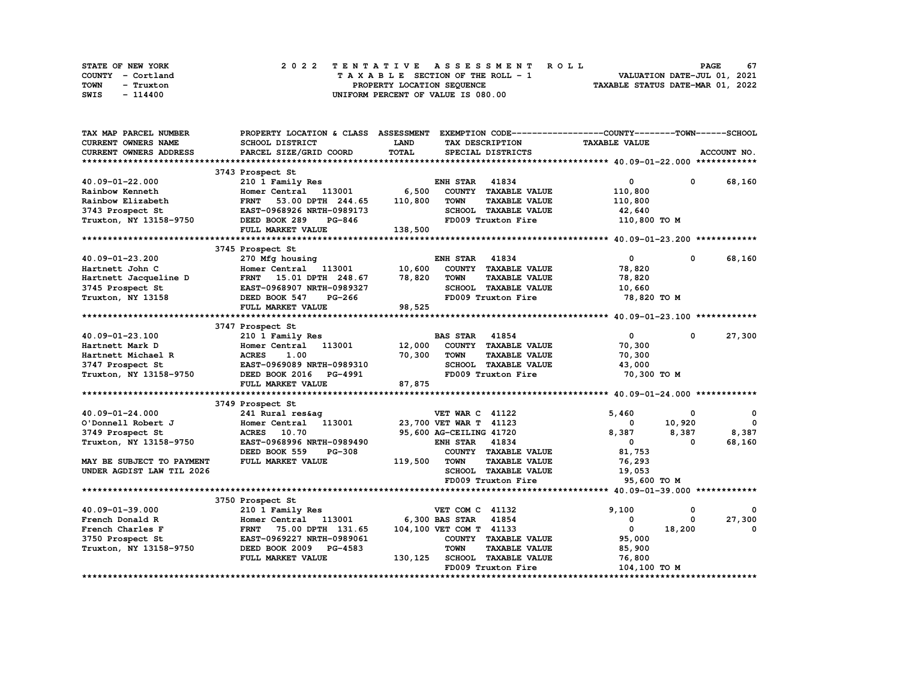| STATE OF NEW YORK | 2022 TENTATIVE ASSESSMENT ROLL     | 67<br><b>PAGE</b>                |
|-------------------|------------------------------------|----------------------------------|
| COUNTY - Cortland | TAXABLE SECTION OF THE ROLL - 1    | VALUATION DATE-JUL 01, 2021      |
| TOWN<br>- Truxton | PROPERTY LOCATION SEQUENCE         | TAXABLE STATUS DATE-MAR 01, 2022 |
| SWIS<br>- 114400  | UNIFORM PERCENT OF VALUE IS 080.00 |                                  |

| TAX MAP PARCEL NUMBER      | PROPERTY LOCATION & CLASS ASSESSMENT |              |                         |                             | EXEMPTION CODE-----------------COUNTY-------TOWN------SCHOOL |          |             |
|----------------------------|--------------------------------------|--------------|-------------------------|-----------------------------|--------------------------------------------------------------|----------|-------------|
| <b>CURRENT OWNERS NAME</b> | <b>SCHOOL DISTRICT</b>               | <b>LAND</b>  |                         | TAX DESCRIPTION             | <b>TAXABLE VALUE</b>                                         |          |             |
| CURRENT OWNERS ADDRESS     | PARCEL SIZE/GRID COORD               | <b>TOTAL</b> |                         | SPECIAL DISTRICTS           |                                                              |          | ACCOUNT NO. |
|                            |                                      |              |                         |                             |                                                              |          |             |
|                            | 3743 Prospect St                     |              |                         |                             |                                                              |          |             |
| 40.09-01-22.000            | 210 1 Family Res                     |              | <b>ENH STAR</b>         | 41834                       | 0                                                            | 0        | 68,160      |
| Rainbow Kenneth            | Homer Central 113001                 | 6,500        |                         | COUNTY TAXABLE VALUE        | 110,800                                                      |          |             |
| Rainbow Elizabeth          | 53.00 DPTH 244.65<br><b>FRNT</b>     | 110,800      | <b>TOWN</b>             | <b>TAXABLE VALUE</b>        | 110,800                                                      |          |             |
| 3743 Prospect St           | EAST-0968926 NRTH-0989173            |              |                         | SCHOOL TAXABLE VALUE        | 42,640                                                       |          |             |
| Truxton, NY 13158-9750     | DEED BOOK 289<br><b>PG-846</b>       |              |                         | FD009 Truxton Fire          | 110,800 TO M                                                 |          |             |
|                            | FULL MARKET VALUE                    | 138,500      |                         |                             |                                                              |          |             |
|                            |                                      |              |                         |                             |                                                              |          |             |
|                            | 3745 Prospect St                     |              |                         |                             |                                                              |          |             |
| 40.09-01-23.200            | 270 Mfg housing                      |              | ENH STAR                | 41834                       | $^{\circ}$                                                   | 0        | 68,160      |
| Hartnett John C            | Homer Central 113001                 | 10,600       |                         | COUNTY TAXABLE VALUE        | 78,820                                                       |          |             |
| Hartnett Jacqueline D      | FRNT 15.01 DPTH 248.67               | 78,820       | <b>TOWN</b>             | <b>TAXABLE VALUE</b>        | 78,820                                                       |          |             |
| 3745 Prospect St           | EAST-0968907 NRTH-0989327            |              |                         | SCHOOL TAXABLE VALUE        | 10,660                                                       |          |             |
| Truxton, NY 13158          | DEED BOOK 547<br>PG-266              |              |                         | FD009 Truxton Fire          | 78,820 TO M                                                  |          |             |
|                            | FULL MARKET VALUE                    | 98,525       |                         |                             |                                                              |          |             |
|                            |                                      |              |                         |                             |                                                              |          |             |
|                            | 3747 Prospect St                     |              |                         |                             |                                                              |          |             |
| 40.09-01-23.100            | 210 1 Family Res                     |              | <b>BAS STAR</b>         | 41854                       | 0                                                            | 0        | 27,300      |
| Hartnett Mark D            | Homer Central 113001                 | 12,000       |                         | COUNTY TAXABLE VALUE        | 70,300                                                       |          |             |
| Hartnett Michael R         | <b>ACRES</b><br>1.00                 | 70,300       | <b>TOWN</b>             | <b>TAXABLE VALUE</b>        | 70,300                                                       |          |             |
| 3747 Prospect St           | EAST-0969089 NRTH-0989310            |              |                         | <b>SCHOOL TAXABLE VALUE</b> | 43,000                                                       |          |             |
| Truxton, NY 13158-9750     | DEED BOOK 2016 PG-4991               |              |                         | FD009 Truxton Fire          | 70,300 TO M                                                  |          |             |
|                            | FULL MARKET VALUE                    | 87,875       |                         |                             |                                                              |          |             |
|                            |                                      |              |                         |                             |                                                              |          |             |
|                            | 3749 Prospect St                     |              |                         |                             |                                                              |          |             |
| 40.09-01-24.000            | 241 Rural res&ag                     |              | <b>VET WAR C 41122</b>  |                             | 5,460                                                        | 0        | 0           |
| O'Donnell Robert J         | Homer Central 113001                 |              | 23,700 VET WAR T 41123  |                             | 0                                                            | 10,920   | $\Omega$    |
| 3749 Prospect St           | 10.70<br><b>ACRES</b>                |              | 95,600 AG-CEILING 41720 |                             | 8,387                                                        | 8,387    | 8,387       |
| Truxton, NY 13158-9750     | EAST-0968996 NRTH-0989490            |              | <b>ENH STAR</b>         | 41834                       | $^{\circ}$                                                   | $\Omega$ | 68,160      |
|                            | DEED BOOK 559<br><b>PG-308</b>       |              |                         | COUNTY TAXABLE VALUE        | 81,753                                                       |          |             |
| MAY BE SUBJECT TO PAYMENT  | FULL MARKET VALUE                    | 119,500      | <b>TOWN</b>             | <b>TAXABLE VALUE</b>        | 76,293                                                       |          |             |
| UNDER AGDIST LAW TIL 2026  |                                      |              |                         | SCHOOL TAXABLE VALUE        | 19,053                                                       |          |             |
|                            |                                      |              |                         | FD009 Truxton Fire          | 95,600 TO M                                                  |          |             |
|                            |                                      |              |                         |                             |                                                              |          |             |
|                            | 3750 Prospect St                     |              |                         |                             |                                                              |          |             |
| 40.09-01-39.000            | 210 1 Family Res                     |              | VET COM C 41132         |                             | 9,100                                                        | 0        |             |
| French Donald R            | Homer Central 113001                 |              | 6,300 BAS STAR          | 41854                       | 0                                                            | 0        | 27,300      |
| French Charles F           | <b>FRNT</b><br>75.00 DPTH 131.65     |              | 104,100 VET COM T 41133 |                             | $\mathbf 0$                                                  | 18,200   | $\Omega$    |
| 3750 Prospect St           | EAST-0969227 NRTH-0989061            |              |                         | COUNTY TAXABLE VALUE        | 95,000                                                       |          |             |
| Truxton, NY 13158-9750     | DEED BOOK 2009 PG-4583               |              | <b>TOWN</b>             | <b>TAXABLE VALUE</b>        | 85,900                                                       |          |             |
|                            | FULL MARKET VALUE                    | 130,125      |                         | <b>SCHOOL TAXABLE VALUE</b> | 76,800                                                       |          |             |
|                            |                                      |              |                         | FD009 Truxton Fire          | 104,100 TO M                                                 |          |             |
|                            |                                      |              |                         |                             |                                                              |          |             |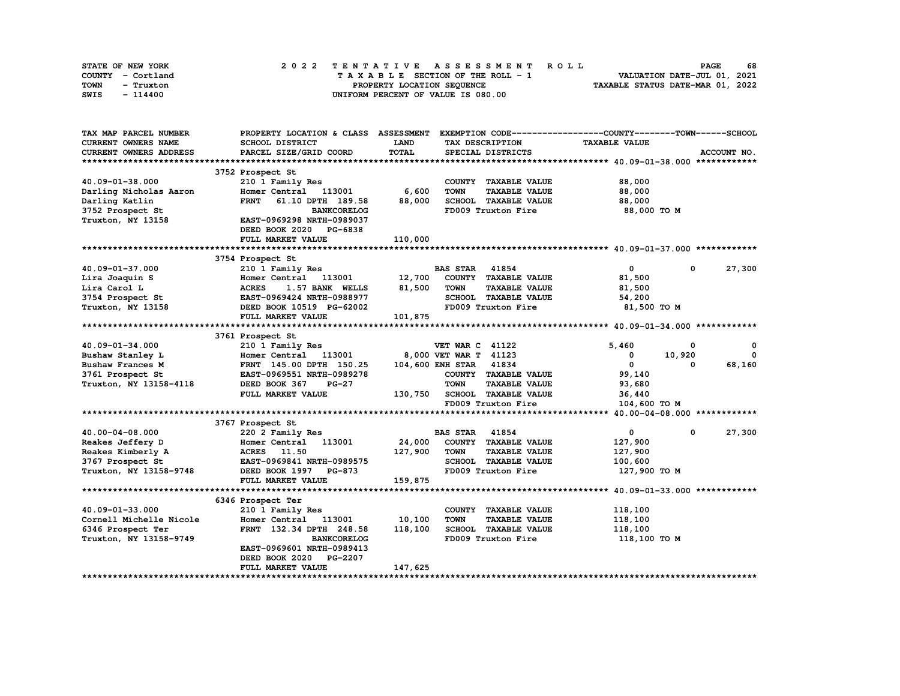| STATE OF NEW YORK | 2022 TENTATIVE ASSESSMENT ROLL     | 68<br><b>PAGE</b>                |
|-------------------|------------------------------------|----------------------------------|
| COUNTY - Cortland | TAXABLE SECTION OF THE ROLL - 1    | VALUATION DATE-JUL 01, 2021      |
| TOWN<br>- Truxton | PROPERTY LOCATION SEQUENCE         | TAXABLE STATUS DATE-MAR 01, 2022 |
| SWIS<br>- 114400  | UNIFORM PERCENT OF VALUE IS 080.00 |                                  |

| <b>CURRENT OWNERS NAME</b><br><b>SCHOOL DISTRICT</b><br>LAND<br>TAX DESCRIPTION<br><b>TAXABLE VALUE</b><br>TOTAL<br>CURRENT OWNERS ADDRESS<br>PARCEL SIZE/GRID COORD<br>SPECIAL DISTRICTS<br>ACCOUNT NO.<br>3752 Prospect St<br>40.09-01-38.000<br>210 1 Family Res<br>88,000<br>COUNTY TAXABLE VALUE<br>6,600<br>113001<br><b>TOWN</b><br><b>TAXABLE VALUE</b><br>88,000<br>Darling Nicholas Aaron<br>Homer Central<br>88,000<br>SCHOOL TAXABLE VALUE<br>88,000<br>Darling Katlin<br><b>FRNT</b><br>61.10 DPTH 189.58<br>FD009 Truxton Fire<br>3752 Prospect St<br><b>BANKCORELOG</b><br>88,000 TO M<br>Truxton, NY 13158<br>EAST-0969298 NRTH-0989037<br>DEED BOOK 2020 PG-6838<br>110,000<br>FULL MARKET VALUE<br>3754 Prospect St<br>$\mathbf{0}$<br><b>BAS STAR 41854</b><br>27,300<br>40.09-01-37.000<br>210 1 Family Res<br>0<br>COUNTY TAXABLE VALUE<br>Homer Central 113001<br>12,700<br>81,500<br>Lira Joaquin S<br>Lira Carol L<br>81,500<br><b>TOWN</b><br><b>TAXABLE VALUE</b><br><b>ACRES</b><br>1.57 BANK WELLS<br>81,500<br>SCHOOL TAXABLE VALUE<br>3754 Prospect St<br>EAST-0969424 NRTH-0988977<br>54,200<br>FD009 Truxton Fire<br>Truxton, NY 13158<br>DEED BOOK 10519 PG-62002<br>81,500 TO M<br>FULL MARKET VALUE<br>101,875<br>3761 Prospect St<br>$40.09 - 01 - 34.000$<br>210 1 Family Res<br><b>VET WAR C 41122</b><br>5.460<br>0<br>0<br>8,000 VET WAR T 41123<br>0<br>Bushaw Stanley L<br>Homer Central 113001<br>0<br>10,920<br>104,600 ENH STAR<br>41834<br>$\mathbf{0}$<br>68,160<br><b>Bushaw Frances M</b><br>FRNT 145.00 DPTH 150.25<br>0<br>COUNTY TAXABLE VALUE<br>99,140<br>3761 Prospect St<br>EAST-0969551 NRTH-0989278<br><b>TOWN</b><br><b>TAXABLE VALUE</b><br>Truxton, NY 13158-4118<br>DEED BOOK 367<br>$PG-27$<br>93,680<br><b>SCHOOL TAXABLE VALUE</b><br>FULL MARKET VALUE<br>130,750<br>36,440<br>FD009 Truxton Fire<br>104,600 TO M<br>3767 Prospect St<br>27,300<br>40.00-04-08.000<br>220 2 Family Res<br><b>BAS STAR</b><br>41854<br>$\mathbf{0}$<br>$\mathbf 0$<br>24,000<br>113001<br>COUNTY TAXABLE VALUE<br>Reakes Jeffery D<br>Homer Central<br>127,900<br>127,900<br><b>ACRES</b> 11.50<br><b>TOWN</b><br><b>TAXABLE VALUE</b><br>Reakes Kimberly A<br>127,900<br>3767 Prospect St<br>SCHOOL TAXABLE VALUE<br>EAST-0969841 NRTH-0989575<br>100,600<br>Truxton, NY 13158-9748<br>FD009 Truxton Fire<br>DEED BOOK 1997 PG-873<br>127,900 то м<br>FULL MARKET VALUE<br>159,875<br>6346 Prospect Ter<br>40.09-01-33.000<br>210 1 Family Res<br>118,100<br>COUNTY TAXABLE VALUE<br>Cornell Michelle Nicole<br>10,100<br><b>TOWN</b><br><b>TAXABLE VALUE</b><br>Homer Central 113001<br>118,100<br>118,100<br>SCHOOL TAXABLE VALUE<br>6346 Prospect Ter<br>FRNT 132.34 DPTH 248.58<br>118,100<br><b>BANKCORELOG</b><br>FD009 Truxton Fire<br>Truxton, NY 13158-9749<br>118,100 TO M<br>EAST-0969601 NRTH-0989413<br>DEED BOOK 2020<br>PG-2207<br>147,625<br>FULL MARKET VALUE | TAX MAP PARCEL NUMBER | PROPERTY LOCATION & CLASS ASSESSMENT |  | EXEMPTION CODE-----------------COUNTY-------TOWN------SCHOOL |  |
|----------------------------------------------------------------------------------------------------------------------------------------------------------------------------------------------------------------------------------------------------------------------------------------------------------------------------------------------------------------------------------------------------------------------------------------------------------------------------------------------------------------------------------------------------------------------------------------------------------------------------------------------------------------------------------------------------------------------------------------------------------------------------------------------------------------------------------------------------------------------------------------------------------------------------------------------------------------------------------------------------------------------------------------------------------------------------------------------------------------------------------------------------------------------------------------------------------------------------------------------------------------------------------------------------------------------------------------------------------------------------------------------------------------------------------------------------------------------------------------------------------------------------------------------------------------------------------------------------------------------------------------------------------------------------------------------------------------------------------------------------------------------------------------------------------------------------------------------------------------------------------------------------------------------------------------------------------------------------------------------------------------------------------------------------------------------------------------------------------------------------------------------------------------------------------------------------------------------------------------------------------------------------------------------------------------------------------------------------------------------------------------------------------------------------------------------------------------------------------------------------------------------------------------------------------------------------------------------------------------------------------------------------------------------------------------------------------------------------------------------------------------------------------------------------------------------------------------------------------------------------------------------------------------------------------|-----------------------|--------------------------------------|--|--------------------------------------------------------------|--|
|                                                                                                                                                                                                                                                                                                                                                                                                                                                                                                                                                                                                                                                                                                                                                                                                                                                                                                                                                                                                                                                                                                                                                                                                                                                                                                                                                                                                                                                                                                                                                                                                                                                                                                                                                                                                                                                                                                                                                                                                                                                                                                                                                                                                                                                                                                                                                                                                                                                                                                                                                                                                                                                                                                                                                                                                                                                                                                                                  |                       |                                      |  |                                                              |  |
|                                                                                                                                                                                                                                                                                                                                                                                                                                                                                                                                                                                                                                                                                                                                                                                                                                                                                                                                                                                                                                                                                                                                                                                                                                                                                                                                                                                                                                                                                                                                                                                                                                                                                                                                                                                                                                                                                                                                                                                                                                                                                                                                                                                                                                                                                                                                                                                                                                                                                                                                                                                                                                                                                                                                                                                                                                                                                                                                  |                       |                                      |  |                                                              |  |
|                                                                                                                                                                                                                                                                                                                                                                                                                                                                                                                                                                                                                                                                                                                                                                                                                                                                                                                                                                                                                                                                                                                                                                                                                                                                                                                                                                                                                                                                                                                                                                                                                                                                                                                                                                                                                                                                                                                                                                                                                                                                                                                                                                                                                                                                                                                                                                                                                                                                                                                                                                                                                                                                                                                                                                                                                                                                                                                                  |                       |                                      |  |                                                              |  |
|                                                                                                                                                                                                                                                                                                                                                                                                                                                                                                                                                                                                                                                                                                                                                                                                                                                                                                                                                                                                                                                                                                                                                                                                                                                                                                                                                                                                                                                                                                                                                                                                                                                                                                                                                                                                                                                                                                                                                                                                                                                                                                                                                                                                                                                                                                                                                                                                                                                                                                                                                                                                                                                                                                                                                                                                                                                                                                                                  |                       |                                      |  |                                                              |  |
|                                                                                                                                                                                                                                                                                                                                                                                                                                                                                                                                                                                                                                                                                                                                                                                                                                                                                                                                                                                                                                                                                                                                                                                                                                                                                                                                                                                                                                                                                                                                                                                                                                                                                                                                                                                                                                                                                                                                                                                                                                                                                                                                                                                                                                                                                                                                                                                                                                                                                                                                                                                                                                                                                                                                                                                                                                                                                                                                  |                       |                                      |  |                                                              |  |
|                                                                                                                                                                                                                                                                                                                                                                                                                                                                                                                                                                                                                                                                                                                                                                                                                                                                                                                                                                                                                                                                                                                                                                                                                                                                                                                                                                                                                                                                                                                                                                                                                                                                                                                                                                                                                                                                                                                                                                                                                                                                                                                                                                                                                                                                                                                                                                                                                                                                                                                                                                                                                                                                                                                                                                                                                                                                                                                                  |                       |                                      |  |                                                              |  |
|                                                                                                                                                                                                                                                                                                                                                                                                                                                                                                                                                                                                                                                                                                                                                                                                                                                                                                                                                                                                                                                                                                                                                                                                                                                                                                                                                                                                                                                                                                                                                                                                                                                                                                                                                                                                                                                                                                                                                                                                                                                                                                                                                                                                                                                                                                                                                                                                                                                                                                                                                                                                                                                                                                                                                                                                                                                                                                                                  |                       |                                      |  |                                                              |  |
|                                                                                                                                                                                                                                                                                                                                                                                                                                                                                                                                                                                                                                                                                                                                                                                                                                                                                                                                                                                                                                                                                                                                                                                                                                                                                                                                                                                                                                                                                                                                                                                                                                                                                                                                                                                                                                                                                                                                                                                                                                                                                                                                                                                                                                                                                                                                                                                                                                                                                                                                                                                                                                                                                                                                                                                                                                                                                                                                  |                       |                                      |  |                                                              |  |
|                                                                                                                                                                                                                                                                                                                                                                                                                                                                                                                                                                                                                                                                                                                                                                                                                                                                                                                                                                                                                                                                                                                                                                                                                                                                                                                                                                                                                                                                                                                                                                                                                                                                                                                                                                                                                                                                                                                                                                                                                                                                                                                                                                                                                                                                                                                                                                                                                                                                                                                                                                                                                                                                                                                                                                                                                                                                                                                                  |                       |                                      |  |                                                              |  |
|                                                                                                                                                                                                                                                                                                                                                                                                                                                                                                                                                                                                                                                                                                                                                                                                                                                                                                                                                                                                                                                                                                                                                                                                                                                                                                                                                                                                                                                                                                                                                                                                                                                                                                                                                                                                                                                                                                                                                                                                                                                                                                                                                                                                                                                                                                                                                                                                                                                                                                                                                                                                                                                                                                                                                                                                                                                                                                                                  |                       |                                      |  |                                                              |  |
|                                                                                                                                                                                                                                                                                                                                                                                                                                                                                                                                                                                                                                                                                                                                                                                                                                                                                                                                                                                                                                                                                                                                                                                                                                                                                                                                                                                                                                                                                                                                                                                                                                                                                                                                                                                                                                                                                                                                                                                                                                                                                                                                                                                                                                                                                                                                                                                                                                                                                                                                                                                                                                                                                                                                                                                                                                                                                                                                  |                       |                                      |  |                                                              |  |
|                                                                                                                                                                                                                                                                                                                                                                                                                                                                                                                                                                                                                                                                                                                                                                                                                                                                                                                                                                                                                                                                                                                                                                                                                                                                                                                                                                                                                                                                                                                                                                                                                                                                                                                                                                                                                                                                                                                                                                                                                                                                                                                                                                                                                                                                                                                                                                                                                                                                                                                                                                                                                                                                                                                                                                                                                                                                                                                                  |                       |                                      |  |                                                              |  |
|                                                                                                                                                                                                                                                                                                                                                                                                                                                                                                                                                                                                                                                                                                                                                                                                                                                                                                                                                                                                                                                                                                                                                                                                                                                                                                                                                                                                                                                                                                                                                                                                                                                                                                                                                                                                                                                                                                                                                                                                                                                                                                                                                                                                                                                                                                                                                                                                                                                                                                                                                                                                                                                                                                                                                                                                                                                                                                                                  |                       |                                      |  |                                                              |  |
|                                                                                                                                                                                                                                                                                                                                                                                                                                                                                                                                                                                                                                                                                                                                                                                                                                                                                                                                                                                                                                                                                                                                                                                                                                                                                                                                                                                                                                                                                                                                                                                                                                                                                                                                                                                                                                                                                                                                                                                                                                                                                                                                                                                                                                                                                                                                                                                                                                                                                                                                                                                                                                                                                                                                                                                                                                                                                                                                  |                       |                                      |  |                                                              |  |
|                                                                                                                                                                                                                                                                                                                                                                                                                                                                                                                                                                                                                                                                                                                                                                                                                                                                                                                                                                                                                                                                                                                                                                                                                                                                                                                                                                                                                                                                                                                                                                                                                                                                                                                                                                                                                                                                                                                                                                                                                                                                                                                                                                                                                                                                                                                                                                                                                                                                                                                                                                                                                                                                                                                                                                                                                                                                                                                                  |                       |                                      |  |                                                              |  |
|                                                                                                                                                                                                                                                                                                                                                                                                                                                                                                                                                                                                                                                                                                                                                                                                                                                                                                                                                                                                                                                                                                                                                                                                                                                                                                                                                                                                                                                                                                                                                                                                                                                                                                                                                                                                                                                                                                                                                                                                                                                                                                                                                                                                                                                                                                                                                                                                                                                                                                                                                                                                                                                                                                                                                                                                                                                                                                                                  |                       |                                      |  |                                                              |  |
|                                                                                                                                                                                                                                                                                                                                                                                                                                                                                                                                                                                                                                                                                                                                                                                                                                                                                                                                                                                                                                                                                                                                                                                                                                                                                                                                                                                                                                                                                                                                                                                                                                                                                                                                                                                                                                                                                                                                                                                                                                                                                                                                                                                                                                                                                                                                                                                                                                                                                                                                                                                                                                                                                                                                                                                                                                                                                                                                  |                       |                                      |  |                                                              |  |
|                                                                                                                                                                                                                                                                                                                                                                                                                                                                                                                                                                                                                                                                                                                                                                                                                                                                                                                                                                                                                                                                                                                                                                                                                                                                                                                                                                                                                                                                                                                                                                                                                                                                                                                                                                                                                                                                                                                                                                                                                                                                                                                                                                                                                                                                                                                                                                                                                                                                                                                                                                                                                                                                                                                                                                                                                                                                                                                                  |                       |                                      |  |                                                              |  |
|                                                                                                                                                                                                                                                                                                                                                                                                                                                                                                                                                                                                                                                                                                                                                                                                                                                                                                                                                                                                                                                                                                                                                                                                                                                                                                                                                                                                                                                                                                                                                                                                                                                                                                                                                                                                                                                                                                                                                                                                                                                                                                                                                                                                                                                                                                                                                                                                                                                                                                                                                                                                                                                                                                                                                                                                                                                                                                                                  |                       |                                      |  |                                                              |  |
|                                                                                                                                                                                                                                                                                                                                                                                                                                                                                                                                                                                                                                                                                                                                                                                                                                                                                                                                                                                                                                                                                                                                                                                                                                                                                                                                                                                                                                                                                                                                                                                                                                                                                                                                                                                                                                                                                                                                                                                                                                                                                                                                                                                                                                                                                                                                                                                                                                                                                                                                                                                                                                                                                                                                                                                                                                                                                                                                  |                       |                                      |  |                                                              |  |
|                                                                                                                                                                                                                                                                                                                                                                                                                                                                                                                                                                                                                                                                                                                                                                                                                                                                                                                                                                                                                                                                                                                                                                                                                                                                                                                                                                                                                                                                                                                                                                                                                                                                                                                                                                                                                                                                                                                                                                                                                                                                                                                                                                                                                                                                                                                                                                                                                                                                                                                                                                                                                                                                                                                                                                                                                                                                                                                                  |                       |                                      |  |                                                              |  |
|                                                                                                                                                                                                                                                                                                                                                                                                                                                                                                                                                                                                                                                                                                                                                                                                                                                                                                                                                                                                                                                                                                                                                                                                                                                                                                                                                                                                                                                                                                                                                                                                                                                                                                                                                                                                                                                                                                                                                                                                                                                                                                                                                                                                                                                                                                                                                                                                                                                                                                                                                                                                                                                                                                                                                                                                                                                                                                                                  |                       |                                      |  |                                                              |  |
|                                                                                                                                                                                                                                                                                                                                                                                                                                                                                                                                                                                                                                                                                                                                                                                                                                                                                                                                                                                                                                                                                                                                                                                                                                                                                                                                                                                                                                                                                                                                                                                                                                                                                                                                                                                                                                                                                                                                                                                                                                                                                                                                                                                                                                                                                                                                                                                                                                                                                                                                                                                                                                                                                                                                                                                                                                                                                                                                  |                       |                                      |  |                                                              |  |
|                                                                                                                                                                                                                                                                                                                                                                                                                                                                                                                                                                                                                                                                                                                                                                                                                                                                                                                                                                                                                                                                                                                                                                                                                                                                                                                                                                                                                                                                                                                                                                                                                                                                                                                                                                                                                                                                                                                                                                                                                                                                                                                                                                                                                                                                                                                                                                                                                                                                                                                                                                                                                                                                                                                                                                                                                                                                                                                                  |                       |                                      |  |                                                              |  |
|                                                                                                                                                                                                                                                                                                                                                                                                                                                                                                                                                                                                                                                                                                                                                                                                                                                                                                                                                                                                                                                                                                                                                                                                                                                                                                                                                                                                                                                                                                                                                                                                                                                                                                                                                                                                                                                                                                                                                                                                                                                                                                                                                                                                                                                                                                                                                                                                                                                                                                                                                                                                                                                                                                                                                                                                                                                                                                                                  |                       |                                      |  |                                                              |  |
|                                                                                                                                                                                                                                                                                                                                                                                                                                                                                                                                                                                                                                                                                                                                                                                                                                                                                                                                                                                                                                                                                                                                                                                                                                                                                                                                                                                                                                                                                                                                                                                                                                                                                                                                                                                                                                                                                                                                                                                                                                                                                                                                                                                                                                                                                                                                                                                                                                                                                                                                                                                                                                                                                                                                                                                                                                                                                                                                  |                       |                                      |  |                                                              |  |
|                                                                                                                                                                                                                                                                                                                                                                                                                                                                                                                                                                                                                                                                                                                                                                                                                                                                                                                                                                                                                                                                                                                                                                                                                                                                                                                                                                                                                                                                                                                                                                                                                                                                                                                                                                                                                                                                                                                                                                                                                                                                                                                                                                                                                                                                                                                                                                                                                                                                                                                                                                                                                                                                                                                                                                                                                                                                                                                                  |                       |                                      |  |                                                              |  |
|                                                                                                                                                                                                                                                                                                                                                                                                                                                                                                                                                                                                                                                                                                                                                                                                                                                                                                                                                                                                                                                                                                                                                                                                                                                                                                                                                                                                                                                                                                                                                                                                                                                                                                                                                                                                                                                                                                                                                                                                                                                                                                                                                                                                                                                                                                                                                                                                                                                                                                                                                                                                                                                                                                                                                                                                                                                                                                                                  |                       |                                      |  |                                                              |  |
|                                                                                                                                                                                                                                                                                                                                                                                                                                                                                                                                                                                                                                                                                                                                                                                                                                                                                                                                                                                                                                                                                                                                                                                                                                                                                                                                                                                                                                                                                                                                                                                                                                                                                                                                                                                                                                                                                                                                                                                                                                                                                                                                                                                                                                                                                                                                                                                                                                                                                                                                                                                                                                                                                                                                                                                                                                                                                                                                  |                       |                                      |  |                                                              |  |
|                                                                                                                                                                                                                                                                                                                                                                                                                                                                                                                                                                                                                                                                                                                                                                                                                                                                                                                                                                                                                                                                                                                                                                                                                                                                                                                                                                                                                                                                                                                                                                                                                                                                                                                                                                                                                                                                                                                                                                                                                                                                                                                                                                                                                                                                                                                                                                                                                                                                                                                                                                                                                                                                                                                                                                                                                                                                                                                                  |                       |                                      |  |                                                              |  |
|                                                                                                                                                                                                                                                                                                                                                                                                                                                                                                                                                                                                                                                                                                                                                                                                                                                                                                                                                                                                                                                                                                                                                                                                                                                                                                                                                                                                                                                                                                                                                                                                                                                                                                                                                                                                                                                                                                                                                                                                                                                                                                                                                                                                                                                                                                                                                                                                                                                                                                                                                                                                                                                                                                                                                                                                                                                                                                                                  |                       |                                      |  |                                                              |  |
|                                                                                                                                                                                                                                                                                                                                                                                                                                                                                                                                                                                                                                                                                                                                                                                                                                                                                                                                                                                                                                                                                                                                                                                                                                                                                                                                                                                                                                                                                                                                                                                                                                                                                                                                                                                                                                                                                                                                                                                                                                                                                                                                                                                                                                                                                                                                                                                                                                                                                                                                                                                                                                                                                                                                                                                                                                                                                                                                  |                       |                                      |  |                                                              |  |
|                                                                                                                                                                                                                                                                                                                                                                                                                                                                                                                                                                                                                                                                                                                                                                                                                                                                                                                                                                                                                                                                                                                                                                                                                                                                                                                                                                                                                                                                                                                                                                                                                                                                                                                                                                                                                                                                                                                                                                                                                                                                                                                                                                                                                                                                                                                                                                                                                                                                                                                                                                                                                                                                                                                                                                                                                                                                                                                                  |                       |                                      |  |                                                              |  |
|                                                                                                                                                                                                                                                                                                                                                                                                                                                                                                                                                                                                                                                                                                                                                                                                                                                                                                                                                                                                                                                                                                                                                                                                                                                                                                                                                                                                                                                                                                                                                                                                                                                                                                                                                                                                                                                                                                                                                                                                                                                                                                                                                                                                                                                                                                                                                                                                                                                                                                                                                                                                                                                                                                                                                                                                                                                                                                                                  |                       |                                      |  |                                                              |  |
|                                                                                                                                                                                                                                                                                                                                                                                                                                                                                                                                                                                                                                                                                                                                                                                                                                                                                                                                                                                                                                                                                                                                                                                                                                                                                                                                                                                                                                                                                                                                                                                                                                                                                                                                                                                                                                                                                                                                                                                                                                                                                                                                                                                                                                                                                                                                                                                                                                                                                                                                                                                                                                                                                                                                                                                                                                                                                                                                  |                       |                                      |  |                                                              |  |
|                                                                                                                                                                                                                                                                                                                                                                                                                                                                                                                                                                                                                                                                                                                                                                                                                                                                                                                                                                                                                                                                                                                                                                                                                                                                                                                                                                                                                                                                                                                                                                                                                                                                                                                                                                                                                                                                                                                                                                                                                                                                                                                                                                                                                                                                                                                                                                                                                                                                                                                                                                                                                                                                                                                                                                                                                                                                                                                                  |                       |                                      |  |                                                              |  |
|                                                                                                                                                                                                                                                                                                                                                                                                                                                                                                                                                                                                                                                                                                                                                                                                                                                                                                                                                                                                                                                                                                                                                                                                                                                                                                                                                                                                                                                                                                                                                                                                                                                                                                                                                                                                                                                                                                                                                                                                                                                                                                                                                                                                                                                                                                                                                                                                                                                                                                                                                                                                                                                                                                                                                                                                                                                                                                                                  |                       |                                      |  |                                                              |  |
|                                                                                                                                                                                                                                                                                                                                                                                                                                                                                                                                                                                                                                                                                                                                                                                                                                                                                                                                                                                                                                                                                                                                                                                                                                                                                                                                                                                                                                                                                                                                                                                                                                                                                                                                                                                                                                                                                                                                                                                                                                                                                                                                                                                                                                                                                                                                                                                                                                                                                                                                                                                                                                                                                                                                                                                                                                                                                                                                  |                       |                                      |  |                                                              |  |
|                                                                                                                                                                                                                                                                                                                                                                                                                                                                                                                                                                                                                                                                                                                                                                                                                                                                                                                                                                                                                                                                                                                                                                                                                                                                                                                                                                                                                                                                                                                                                                                                                                                                                                                                                                                                                                                                                                                                                                                                                                                                                                                                                                                                                                                                                                                                                                                                                                                                                                                                                                                                                                                                                                                                                                                                                                                                                                                                  |                       |                                      |  |                                                              |  |
|                                                                                                                                                                                                                                                                                                                                                                                                                                                                                                                                                                                                                                                                                                                                                                                                                                                                                                                                                                                                                                                                                                                                                                                                                                                                                                                                                                                                                                                                                                                                                                                                                                                                                                                                                                                                                                                                                                                                                                                                                                                                                                                                                                                                                                                                                                                                                                                                                                                                                                                                                                                                                                                                                                                                                                                                                                                                                                                                  |                       |                                      |  |                                                              |  |
|                                                                                                                                                                                                                                                                                                                                                                                                                                                                                                                                                                                                                                                                                                                                                                                                                                                                                                                                                                                                                                                                                                                                                                                                                                                                                                                                                                                                                                                                                                                                                                                                                                                                                                                                                                                                                                                                                                                                                                                                                                                                                                                                                                                                                                                                                                                                                                                                                                                                                                                                                                                                                                                                                                                                                                                                                                                                                                                                  |                       |                                      |  |                                                              |  |
|                                                                                                                                                                                                                                                                                                                                                                                                                                                                                                                                                                                                                                                                                                                                                                                                                                                                                                                                                                                                                                                                                                                                                                                                                                                                                                                                                                                                                                                                                                                                                                                                                                                                                                                                                                                                                                                                                                                                                                                                                                                                                                                                                                                                                                                                                                                                                                                                                                                                                                                                                                                                                                                                                                                                                                                                                                                                                                                                  |                       |                                      |  |                                                              |  |
|                                                                                                                                                                                                                                                                                                                                                                                                                                                                                                                                                                                                                                                                                                                                                                                                                                                                                                                                                                                                                                                                                                                                                                                                                                                                                                                                                                                                                                                                                                                                                                                                                                                                                                                                                                                                                                                                                                                                                                                                                                                                                                                                                                                                                                                                                                                                                                                                                                                                                                                                                                                                                                                                                                                                                                                                                                                                                                                                  |                       |                                      |  |                                                              |  |
|                                                                                                                                                                                                                                                                                                                                                                                                                                                                                                                                                                                                                                                                                                                                                                                                                                                                                                                                                                                                                                                                                                                                                                                                                                                                                                                                                                                                                                                                                                                                                                                                                                                                                                                                                                                                                                                                                                                                                                                                                                                                                                                                                                                                                                                                                                                                                                                                                                                                                                                                                                                                                                                                                                                                                                                                                                                                                                                                  |                       |                                      |  |                                                              |  |
|                                                                                                                                                                                                                                                                                                                                                                                                                                                                                                                                                                                                                                                                                                                                                                                                                                                                                                                                                                                                                                                                                                                                                                                                                                                                                                                                                                                                                                                                                                                                                                                                                                                                                                                                                                                                                                                                                                                                                                                                                                                                                                                                                                                                                                                                                                                                                                                                                                                                                                                                                                                                                                                                                                                                                                                                                                                                                                                                  |                       |                                      |  |                                                              |  |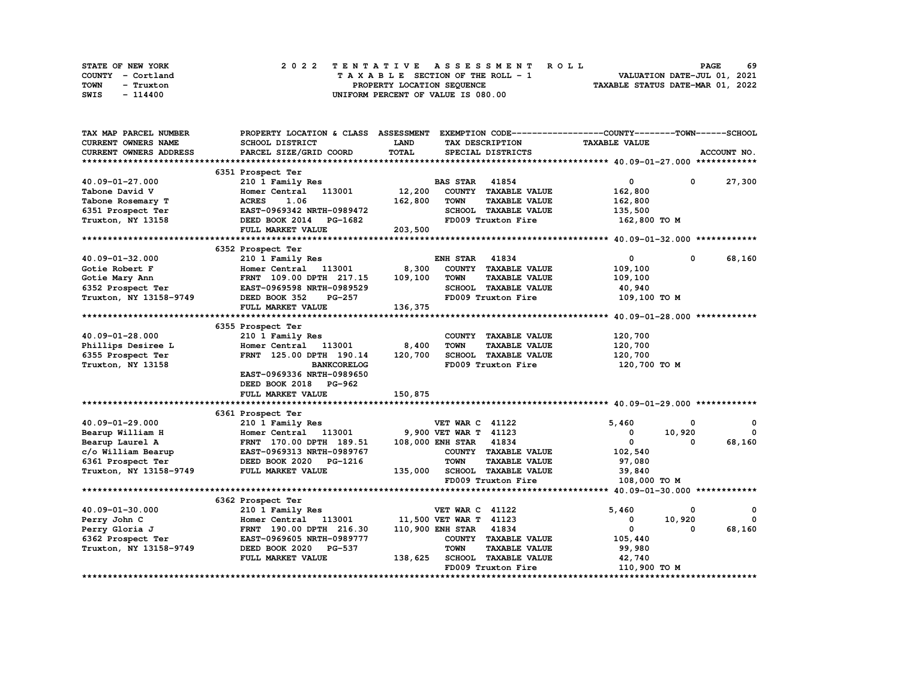| STATE OF NEW YORK | 2022 TENTATIVE ASSESSMENT ROLL     | 69<br><b>PAGE</b>                |
|-------------------|------------------------------------|----------------------------------|
| COUNTY - Cortland | TAXABLE SECTION OF THE ROLL - 1    | VALUATION DATE-JUL 01, 2021      |
| TOWN<br>- Truxton | PROPERTY LOCATION SEQUENCE         | TAXABLE STATUS DATE-MAR 01, 2022 |
| SWIS<br>- 114400  | UNIFORM PERCENT OF VALUE IS 080.00 |                                  |

| TAX MAP PARCEL NUMBER      | PROPERTY LOCATION & CLASS ASSESSMENT |         |                        |                             | EXEMPTION CODE-----------------COUNTY-------TOWN-----SCHOOL |              |             |
|----------------------------|--------------------------------------|---------|------------------------|-----------------------------|-------------------------------------------------------------|--------------|-------------|
| <b>CURRENT OWNERS NAME</b> | SCHOOL DISTRICT                      | LAND    |                        | TAX DESCRIPTION             | <b>TAXABLE VALUE</b>                                        |              |             |
| CURRENT OWNERS ADDRESS     | PARCEL SIZE/GRID COORD               | TOTAL   |                        | SPECIAL DISTRICTS           |                                                             |              | ACCOUNT NO. |
|                            |                                      |         |                        |                             |                                                             |              |             |
|                            | 6351 Prospect Ter                    |         |                        |                             |                                                             |              |             |
| 40.09-01-27.000            | 210 1 Family Res                     |         | <b>BAS STAR</b>        | 41854                       | $\mathbf{0}$                                                | $\mathbf 0$  | 27,300      |
| Tabone David V             | 113001<br>Homer Central              | 12,200  |                        | COUNTY TAXABLE VALUE        | 162,800                                                     |              |             |
| Tabone Rosemary T          | <b>ACRES</b><br>1.06                 | 162,800 | <b>TOWN</b>            | <b>TAXABLE VALUE</b>        | 162,800                                                     |              |             |
| 6351 Prospect Ter          | EAST-0969342 NRTH-0989472            |         |                        | SCHOOL TAXABLE VALUE        | 135,500                                                     |              |             |
| Truxton, NY 13158          | DEED BOOK 2014<br>PG-1682            |         |                        | FD009 Truxton Fire          | 162,800 то м                                                |              |             |
|                            | FULL MARKET VALUE                    | 203,500 |                        |                             |                                                             |              |             |
|                            |                                      |         |                        |                             |                                                             |              |             |
|                            | 6352 Prospect Ter                    |         |                        |                             |                                                             |              |             |
| 40.09-01-32.000            | 210 1 Family Res                     |         | ENH STAR               | 41834                       | $^{\circ}$                                                  | 0            | 68,160      |
| Gotie Robert F             | Homer Central 113001                 | 8,300   |                        | COUNTY TAXABLE VALUE        | 109,100                                                     |              |             |
| Gotie Mary Ann             | FRNT 109.00 DPTH 217.15              | 109,100 | <b>TOWN</b>            | <b>TAXABLE VALUE</b>        | 109,100                                                     |              |             |
| 6352 Prospect Ter          | EAST-0969598 NRTH-0989529            |         |                        | SCHOOL TAXABLE VALUE        | 40,940                                                      |              |             |
| Truxton, NY 13158-9749     | DEED BOOK 352<br>PG-257              |         |                        | FD009 Truxton Fire          | 109,100 TO M                                                |              |             |
|                            | FULL MARKET VALUE                    | 136,375 |                        |                             |                                                             |              |             |
|                            |                                      |         |                        |                             |                                                             |              |             |
|                            | 6355 Prospect Ter                    |         |                        |                             |                                                             |              |             |
| 40.09-01-28.000            | 210 1 Family Res                     |         |                        | COUNTY TAXABLE VALUE        | 120,700                                                     |              |             |
| Phillips Desiree L         | Homer Central 113001                 | 8,400   | <b>TOWN</b>            | <b>TAXABLE VALUE</b>        | 120,700                                                     |              |             |
| 6355 Prospect Ter          | FRNT 125.00 DPTH 190.14              | 120,700 |                        | SCHOOL TAXABLE VALUE        | 120,700                                                     |              |             |
| Truxton, NY 13158          | <b>BANKCORELOG</b>                   |         |                        | FD009 Truxton Fire          | 120,700 то м                                                |              |             |
|                            | EAST-0969336 NRTH-0989650            |         |                        |                             |                                                             |              |             |
|                            | DEED BOOK 2018 PG-962                |         |                        |                             |                                                             |              |             |
|                            | FULL MARKET VALUE                    | 150,875 |                        |                             |                                                             |              |             |
|                            |                                      |         |                        |                             |                                                             |              |             |
|                            | 6361 Prospect Ter                    |         |                        |                             |                                                             |              |             |
| 40.09-01-29.000            | 210 1 Family Res                     |         | <b>VET WAR C 41122</b> |                             | 5,460                                                       | 0            | 0           |
| Bearup William H           | Homer Central 113001                 |         | 9,900 VET WAR T 41123  |                             | 0                                                           | 10,920       | $^{\circ}$  |
| Bearup Laurel A            | FRNT 170.00 DPTH 189.51              |         | 108,000 ENH STAR 41834 |                             | $\mathbf{0}$                                                | 0            | 68,160      |
| c/o William Bearup         | EAST-0969313 NRTH-0989767            |         |                        | COUNTY TAXABLE VALUE        | 102,540                                                     |              |             |
| 6361 Prospect Ter          | DEED BOOK 2020<br>PG-1216            |         | <b>TOWN</b>            | <b>TAXABLE VALUE</b>        | 97,080                                                      |              |             |
| Truxton, NY 13158-9749     | FULL MARKET VALUE                    | 135,000 |                        | <b>SCHOOL TAXABLE VALUE</b> | 39,840                                                      |              |             |
|                            |                                      |         |                        | FD009 Truxton Fire          | 108,000 TO M                                                |              |             |
|                            |                                      |         |                        |                             |                                                             |              |             |
|                            | 6362 Prospect Ter                    |         |                        |                             |                                                             |              |             |
| 40.09-01-30.000            | 210 1 Family Res                     |         | <b>VET WAR C 41122</b> |                             | 5,460                                                       | 0            | 0           |
| Perry John C               | Homer Central 113001                 |         | 11,500 VET WAR T 41123 |                             | 0                                                           | 10,920       | $^{\circ}$  |
| Perry Gloria J             | FRNT 190.00 DPTH 216.30              |         | 110,900 ENH STAR 41834 |                             | 0                                                           | $\mathbf{o}$ | 68,160      |
| 6362 Prospect Ter          | EAST-0969605 NRTH-0989777            |         |                        | COUNTY TAXABLE VALUE        | 105,440                                                     |              |             |
| Truxton, NY 13158-9749     | DEED BOOK 2020<br><b>PG-537</b>      |         | <b>TOWN</b>            | <b>TAXABLE VALUE</b>        | 99,980                                                      |              |             |
|                            | FULL MARKET VALUE                    | 138,625 |                        | SCHOOL TAXABLE VALUE        | 42,740                                                      |              |             |
|                            |                                      |         |                        | FD009 Truxton Fire          | 110,900 TO M                                                |              |             |
|                            |                                      |         |                        |                             |                                                             |              |             |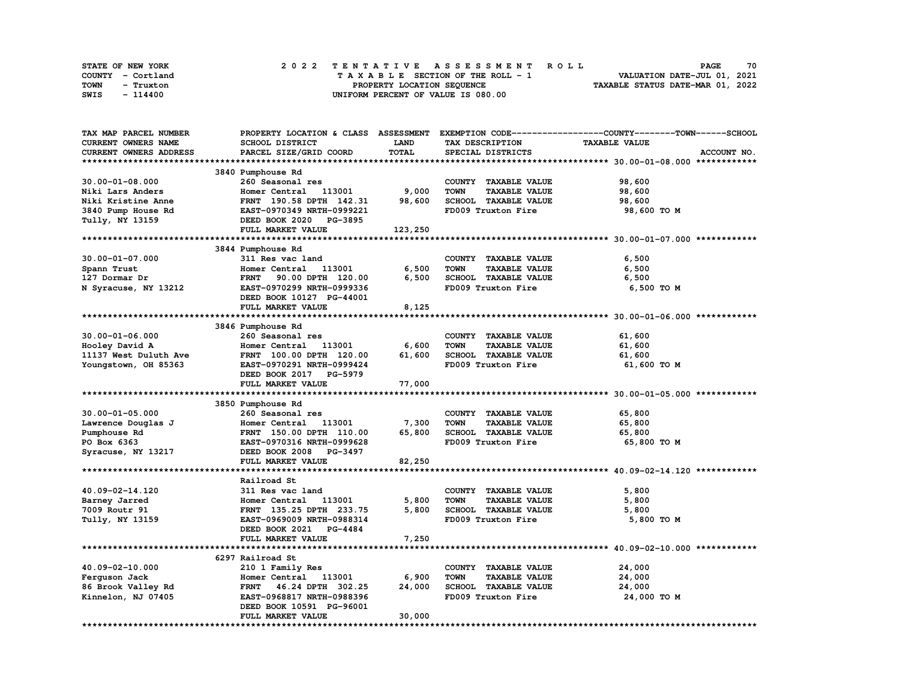|      | STATE OF NEW YORK |  | 2022 TENTATIVE ASSESSMENT ROLL |  |  |  |                                    |  |  |  |  |  |  |                                  |                             |  | <b>PAGE</b> | 70 |
|------|-------------------|--|--------------------------------|--|--|--|------------------------------------|--|--|--|--|--|--|----------------------------------|-----------------------------|--|-------------|----|
|      | COUNTY - Cortland |  |                                |  |  |  | TAXABLE SECTION OF THE ROLL - 1    |  |  |  |  |  |  |                                  | VALUATION DATE-JUL 01, 2021 |  |             |    |
| TOWN | - Truxton         |  |                                |  |  |  | PROPERTY LOCATION SEQUENCE         |  |  |  |  |  |  | TAXABLE STATUS DATE-MAR 01, 2022 |                             |  |             |    |
| SWIS | - 114400          |  |                                |  |  |  | UNIFORM PERCENT OF VALUE IS 080.00 |  |  |  |  |  |  |                                  |                             |  |             |    |

| TAX MAP PARCEL NUMBER  |                                  |             |                                     | PROPERTY LOCATION & CLASS ASSESSMENT EXEMPTION CODE-----------------COUNTY-------TOWN-----SCHOOL |
|------------------------|----------------------------------|-------------|-------------------------------------|--------------------------------------------------------------------------------------------------|
| CURRENT OWNERS NAME    | SCHOOL DISTRICT                  | <b>LAND</b> | TAX DESCRIPTION                     | <b>TAXABLE VALUE</b>                                                                             |
| CURRENT OWNERS ADDRESS | PARCEL SIZE/GRID COORD           | TOTAL       | SPECIAL DISTRICTS                   | ACCOUNT NO.                                                                                      |
|                        |                                  |             |                                     |                                                                                                  |
|                        | 3840 Pumphouse Rd                |             |                                     |                                                                                                  |
| $30.00 - 01 - 08.000$  | 260 Seasonal res                 |             | COUNTY TAXABLE VALUE                | 98,600                                                                                           |
| Niki Lars Anders       | Homer Central<br>113001          | 9,000       | <b>TOWN</b><br><b>TAXABLE VALUE</b> | 98,600                                                                                           |
| Niki Kristine Anne     | FRNT 190.58 DPTH 142.31          | 98,600      | SCHOOL TAXABLE VALUE                | 98,600                                                                                           |
|                        | EAST-0970349 NRTH-0999221        |             | FD009 Truxton Fire                  |                                                                                                  |
| 3840 Pump House Rd     |                                  |             |                                     | 98,600 TO M                                                                                      |
| Tully, NY 13159        | DEED BOOK 2020<br>PG-3895        |             |                                     |                                                                                                  |
|                        | FULL MARKET VALUE                | 123,250     |                                     |                                                                                                  |
|                        |                                  |             |                                     |                                                                                                  |
|                        | 3844 Pumphouse Rd                |             |                                     |                                                                                                  |
| $30.00 - 01 - 07.000$  | 311 Res vac land                 |             | COUNTY TAXABLE VALUE                | 6,500                                                                                            |
| Spann Trust            | 113001<br>Homer Central          | 6,500       | <b>TOWN</b><br><b>TAXABLE VALUE</b> | 6,500                                                                                            |
| 127 Dormar Dr          | FRNT 90.00 DPTH 120.00           | 6,500       | SCHOOL TAXABLE VALUE                | 6,500                                                                                            |
| N Syracuse, NY 13212   | EAST-0970299 NRTH-0999336        |             | FD009 Truxton Fire                  | 6,500 TO M                                                                                       |
|                        | DEED BOOK 10127 PG-44001         |             |                                     |                                                                                                  |
|                        | FULL MARKET VALUE                | 8,125       |                                     |                                                                                                  |
|                        |                                  |             |                                     |                                                                                                  |
|                        | 3846 Pumphouse Rd                |             |                                     |                                                                                                  |
| $30.00 - 01 - 06.000$  | 260 Seasonal res                 |             | COUNTY TAXABLE VALUE                | 61,600                                                                                           |
|                        | 113001                           | 6,600       | <b>TOWN</b><br><b>TAXABLE VALUE</b> |                                                                                                  |
| Hooley David A         | Homer Central                    |             |                                     | 61,600                                                                                           |
| 11137 West Duluth Ave  | FRNT 100.00 DPTH 120.00          | 61,600      | SCHOOL TAXABLE VALUE                | 61,600                                                                                           |
| Youngstown, OH 85363   | EAST-0970291 NRTH-0999424        |             | FD009 Truxton Fire                  | 61,600 TO M                                                                                      |
|                        | DEED BOOK 2017 PG-5979           |             |                                     |                                                                                                  |
|                        | FULL MARKET VALUE                | 77,000      |                                     |                                                                                                  |
|                        |                                  |             |                                     |                                                                                                  |
|                        | 3850 Pumphouse Rd                |             |                                     |                                                                                                  |
| $30.00 - 01 - 05.000$  | 260 Seasonal res                 |             | COUNTY TAXABLE VALUE                | 65,800                                                                                           |
| Lawrence Douglas J     | Homer Central<br>113001          | 7,300       | <b>TOWN</b><br><b>TAXABLE VALUE</b> | 65,800                                                                                           |
| Pumphouse Rd           | FRNT 150.00 DPTH 110.00          | 65,800      | SCHOOL TAXABLE VALUE                | 65,800                                                                                           |
| PO Box 6363            | EAST-0970316 NRTH-0999628        |             | FD009 Truxton Fire                  | 65,800 TO M                                                                                      |
| Syracuse, NY 13217     | DEED BOOK 2008<br><b>PG-3497</b> |             |                                     |                                                                                                  |
|                        | FULL MARKET VALUE                | 82,250      |                                     |                                                                                                  |
|                        |                                  |             |                                     |                                                                                                  |
|                        | Railroad St                      |             |                                     |                                                                                                  |
|                        |                                  |             |                                     |                                                                                                  |
| 40.09-02-14.120        | 311 Res vac land                 |             | COUNTY TAXABLE VALUE                | 5,800                                                                                            |
| Barney Jarred          | Homer Central 113001             | 5,800       | <b>TOWN</b><br><b>TAXABLE VALUE</b> | 5,800                                                                                            |
| 7009 Routr 91          | FRNT 135.25 DPTH 233.75          | 5,800       | SCHOOL TAXABLE VALUE                | 5,800                                                                                            |
| Tully, NY 13159        | EAST-0969009 NRTH-0988314        |             | FD009 Truxton Fire                  | 5,800 TO M                                                                                       |
|                        | DEED BOOK 2021 PG-4484           |             |                                     |                                                                                                  |
|                        | FULL MARKET VALUE                | 7,250       |                                     |                                                                                                  |
|                        |                                  |             |                                     |                                                                                                  |
|                        | 6297 Railroad St                 |             |                                     |                                                                                                  |
| 40.09-02-10.000        | 210 1 Family Res                 |             | COUNTY TAXABLE VALUE                | 24,000                                                                                           |
| Ferguson Jack          | Homer Central 113001             | 6,900       | <b>TOWN</b><br><b>TAXABLE VALUE</b> | 24,000                                                                                           |
| 86 Brook Valley Rd     | FRNT 46.24 DPTH 302.25           | 24,000      | SCHOOL TAXABLE VALUE                | 24,000                                                                                           |
| Kinnelon, NJ 07405     | EAST-0968817 NRTH-0988396        |             | FD009 Truxton Fire                  | 24,000 TO M                                                                                      |
|                        | DEED BOOK 10591 PG-96001         |             |                                     |                                                                                                  |
|                        | FULL MARKET VALUE                | 30,000      |                                     |                                                                                                  |
|                        |                                  |             |                                     |                                                                                                  |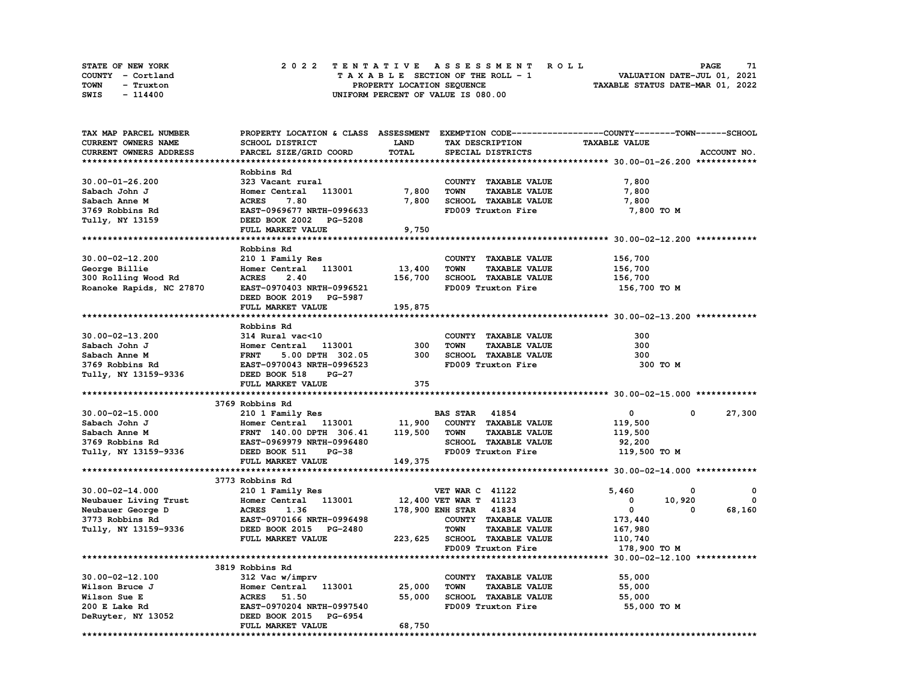| STATE OF NEW YORK | 2022 TENTATIVE ASSESSMENT ROLL          | 71<br><b>PAGE</b>                |
|-------------------|-----------------------------------------|----------------------------------|
| COUNTY - Cortland | $T A X A B L E$ SECTION OF THE ROLL - 1 | VALUATION DATE-JUL 01, 2021      |
| TOWN<br>- Truxton | PROPERTY LOCATION SEQUENCE              | TAXABLE STATUS DATE-MAR 01, 2022 |
| SWIS<br>- 114400  | UNIFORM PERCENT OF VALUE IS 080.00      |                                  |

| TAX MAP PARCEL NUMBER    | PROPERTY LOCATION & CLASS ASSESSMENT EXEMPTION CODE-----------------COUNTY-------TOWN------SCHOOL |             |                                     |                      |             |
|--------------------------|---------------------------------------------------------------------------------------------------|-------------|-------------------------------------|----------------------|-------------|
| CURRENT OWNERS NAME      | <b>SCHOOL DISTRICT</b>                                                                            | <b>LAND</b> | TAX DESCRIPTION                     | <b>TAXABLE VALUE</b> |             |
| CURRENT OWNERS ADDRESS   | PARCEL SIZE/GRID COORD                                                                            | TOTAL       | SPECIAL DISTRICTS                   |                      | ACCOUNT NO. |
|                          |                                                                                                   |             |                                     |                      |             |
|                          | Robbins Rd                                                                                        |             |                                     |                      |             |
| $30.00 - 01 - 26.200$    | 323 Vacant rural                                                                                  |             | COUNTY TAXABLE VALUE                | 7,800                |             |
| Sabach John J            | Homer Central 113001                                                                              | 7,800       | <b>TAXABLE VALUE</b><br><b>TOWN</b> | 7,800                |             |
| Sabach Anne M            | <b>ACRES</b><br>7.80                                                                              | 7,800       | SCHOOL TAXABLE VALUE                | 7,800                |             |
| 3769 Robbins Rd          | EAST-0969677 NRTH-0996633                                                                         |             | FD009 Truxton Fire                  | 7,800 TO M           |             |
| Tully, NY 13159          | DEED BOOK 2002 PG-5208                                                                            |             |                                     |                      |             |
|                          | FULL MARKET VALUE                                                                                 | 9,750       |                                     |                      |             |
|                          |                                                                                                   |             |                                     |                      |             |
|                          | Robbins Rd                                                                                        |             |                                     |                      |             |
| $30.00 - 02 - 12.200$    | 210 1 Family Res                                                                                  |             | COUNTY TAXABLE VALUE                | 156,700              |             |
|                          | 113001                                                                                            | 13,400      | <b>TOWN</b><br><b>TAXABLE VALUE</b> |                      |             |
| George Billie            | Homer Central                                                                                     |             |                                     | 156,700              |             |
| 300 Rolling Wood Rd      | <b>ACRES</b><br>2.40                                                                              | 156,700     | <b>SCHOOL TAXABLE VALUE</b>         | 156,700              |             |
| Roanoke Rapids, NC 27870 | EAST-0970403 NRTH-0996521                                                                         |             | FD009 Truxton Fire                  | 156,700 то м         |             |
|                          | DEED BOOK 2019 PG-5987                                                                            |             |                                     |                      |             |
|                          | FULL MARKET VALUE                                                                                 | 195,875     |                                     |                      |             |
|                          |                                                                                                   |             |                                     |                      |             |
|                          | Robbins Rd                                                                                        |             |                                     |                      |             |
| 30.00-02-13.200          | 314 Rural vac<10                                                                                  |             | COUNTY TAXABLE VALUE                | 300                  |             |
| Sabach John J            | Homer Central 113001                                                                              | 300         | <b>TOWN</b><br><b>TAXABLE VALUE</b> | 300                  |             |
| Sabach Anne M            | <b>FRNT</b><br>5.00 DPTH 302.05                                                                   | 300         | SCHOOL TAXABLE VALUE                | 300                  |             |
| 3769 Robbins Rd          | EAST-0970043 NRTH-0996523                                                                         |             | FD009 Truxton Fire                  | 300 то м             |             |
| Tully, NY 13159-9336     | DEED BOOK 518<br>PG-27                                                                            |             |                                     |                      |             |
|                          | FULL MARKET VALUE                                                                                 | 375         |                                     |                      |             |
|                          |                                                                                                   |             |                                     |                      |             |
|                          | 3769 Robbins Rd                                                                                   |             |                                     |                      |             |
| $30.00 - 02 - 15.000$    | 210 1 Family Res                                                                                  |             | <b>BAS STAR</b> 41854               | 0<br>0               | 27,300      |
| Sabach John J            | Homer Central 113001                                                                              | 11,900      | COUNTY TAXABLE VALUE                | 119,500              |             |
| Sabach Anne M            | FRNT 140.00 DPTH 306.41                                                                           | 119,500     | <b>TOWN</b><br><b>TAXABLE VALUE</b> | 119,500              |             |
| 3769 Robbins Rd          | EAST-0969979 NRTH-0996480                                                                         |             | SCHOOL TAXABLE VALUE                | 92,200               |             |
| Tully, NY 13159-9336     | DEED BOOK 511<br>$PG-38$                                                                          |             | FD009 Truxton Fire                  | 119,500 TO M         |             |
|                          | FULL MARKET VALUE                                                                                 | 149,375     |                                     |                      |             |
|                          |                                                                                                   |             |                                     |                      |             |
|                          | 3773 Robbins Rd                                                                                   |             |                                     |                      |             |
| $30.00 - 02 - 14.000$    | 210 1 Family Res                                                                                  |             | <b>VET WAR C 41122</b>              | 5,460<br>0           | 0           |
| Neubauer Living Trust    | Homer Central 113001                                                                              |             | 12,400 VET WAR T 41123              | 0<br>10,920          | 0           |
| Neubauer George D        | <b>ACRES</b><br>1.36                                                                              |             | 178,900 ENH STAR 41834              | $\mathbf{0}$<br>0    | 68,160      |
| 3773 Robbins Rd          | EAST-0970166 NRTH-0996498                                                                         |             | COUNTY TAXABLE VALUE                | 173,440              |             |
| Tully, NY 13159-9336     | DEED BOOK 2015 PG-2480                                                                            |             | <b>TOWN</b><br><b>TAXABLE VALUE</b> | 167,980              |             |
|                          | FULL MARKET VALUE                                                                                 |             | 223, 625 SCHOOL TAXABLE VALUE       | 110,740              |             |
|                          |                                                                                                   |             | FD009 Truxton Fire                  | 178,900 TO M         |             |
|                          |                                                                                                   |             |                                     |                      |             |
|                          | 3819 Robbins Rd                                                                                   |             |                                     |                      |             |
| $30.00 - 02 - 12.100$    | 312 Vac w/imprv                                                                                   |             | COUNTY TAXABLE VALUE                | 55,000               |             |
| Wilson Bruce J           | Homer Central 113001                                                                              | 25,000      | <b>TOWN</b><br><b>TAXABLE VALUE</b> | 55,000               |             |
| Wilson Sue E             | <b>ACRES</b><br>51.50                                                                             | 55,000      | SCHOOL TAXABLE VALUE                | 55,000               |             |
| 200 E Lake Rd            | EAST-0970204 NRTH-0997540                                                                         |             | FD009 Truxton Fire                  | 55,000 TO M          |             |
| DeRuyter, NY 13052       | DEED BOOK 2015 PG-6954                                                                            |             |                                     |                      |             |
|                          | FULL MARKET VALUE                                                                                 | 68,750      |                                     |                      |             |
|                          |                                                                                                   |             |                                     |                      |             |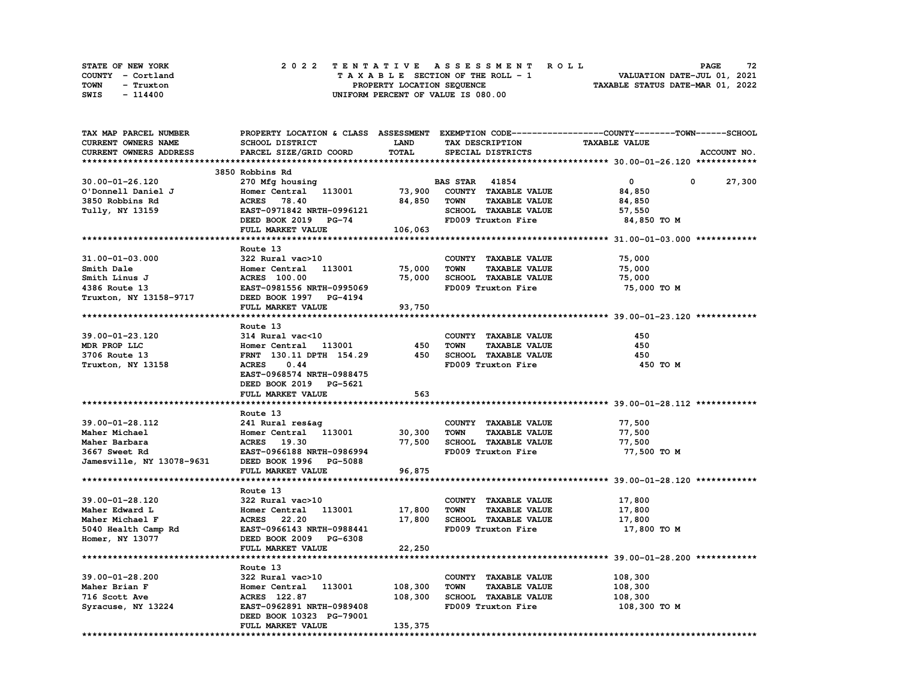| STATE OF NEW YORK | 2022 TENTATIVE ASSESSMENT ROLL     | 72<br><b>PAGE</b>                |
|-------------------|------------------------------------|----------------------------------|
| COUNTY - Cortland | TAXABLE SECTION OF THE ROLL - 1    | VALUATION DATE-JUL 01, 2021      |
| TOWN<br>- Truxton | PROPERTY LOCATION SEQUENCE         | TAXABLE STATUS DATE-MAR 01, 2022 |
| SWIS<br>- 114400  | UNIFORM PERCENT OF VALUE IS 080.00 |                                  |

| TAX MAP PARCEL NUMBER     | PROPERTY LOCATION & CLASS ASSESSMENT EXEMPTION CODE----------------COUNTY-------TOWN------SCHOOL |              |                                                               |                      |             |
|---------------------------|--------------------------------------------------------------------------------------------------|--------------|---------------------------------------------------------------|----------------------|-------------|
| CURRENT OWNERS NAME       | SCHOOL DISTRICT                                                                                  | <b>LAND</b>  | TAX DESCRIPTION                                               | <b>TAXABLE VALUE</b> |             |
| CURRENT OWNERS ADDRESS    | PARCEL SIZE/GRID COORD                                                                           | <b>TOTAL</b> | SPECIAL DISTRICTS                                             |                      | ACCOUNT NO. |
|                           |                                                                                                  |              |                                                               |                      |             |
|                           | 3850 Robbins Rd                                                                                  |              |                                                               |                      |             |
| 30.00-01-26.120           | 270 Mfg housing                                                                                  |              | <b>BAS STAR 41854</b>                                         | $\mathbf 0$          | 0<br>27,300 |
| O'Donnell Daniel J        | Homer Central 113001                                                                             | 73,900       | COUNTY TAXABLE VALUE                                          | 84,850               |             |
| 3850 Robbins Rd           | <b>ACRES</b><br>78.40                                                                            | 84,850       | TOWN<br><b>TAXABLE VALUE</b>                                  | 84,850               |             |
| Tully, NY 13159           | EAST-0971842 NRTH-0996121                                                                        |              | SCHOOL TAXABLE VALUE                                          | 57,550               |             |
|                           | DEED BOOK 2019 PG-74                                                                             |              | FD009 Truxton Fire                                            | 84,850 TO M          |             |
|                           | FULL MARKET VALUE                                                                                | 106,063      |                                                               |                      |             |
|                           |                                                                                                  |              |                                                               |                      |             |
|                           | Route 13                                                                                         |              |                                                               |                      |             |
| $31.00 - 01 - 03.000$     | 322 Rural vac>10                                                                                 |              | COUNTY TAXABLE VALUE                                          | 75,000               |             |
| Smith Dale                | Homer Central<br>113001                                                                          | 75,000       | TOWN<br><b>TAXABLE VALUE</b>                                  | 75,000               |             |
| Smith Linus J             | <b>ACRES</b> 100.00                                                                              | 75,000       | SCHOOL TAXABLE VALUE                                          |                      |             |
|                           |                                                                                                  |              |                                                               | 75,000               |             |
| 4386 Route 13             | EAST-0981556 NRTH-0995069                                                                        |              | FD009 Truxton Fire                                            | 75,000 TO M          |             |
| Truxton, NY 13158-9717    | DEED BOOK 1997 PG-4194                                                                           |              |                                                               |                      |             |
|                           | FULL MARKET VALUE                                                                                | 93,750       |                                                               |                      |             |
|                           |                                                                                                  |              |                                                               |                      |             |
|                           | Route 13                                                                                         |              |                                                               |                      |             |
| 39.00-01-23.120           | 314 Rural vac<10                                                                                 |              | COUNTY TAXABLE VALUE                                          | 450                  |             |
| MDR PROP LLC              | Homer Central 113001                                                                             | 450          | <b>TOWN</b><br><b>TAXABLE VALUE</b>                           | 450                  |             |
| 3706 Route 13             | FRNT 130.11 DPTH 154.29                                                                          | 450          | SCHOOL TAXABLE VALUE                                          | 450                  |             |
| Truxton, NY 13158         | <b>ACRES</b><br>0.44                                                                             |              | FD009 Truxton Fire                                            | 450 TO M             |             |
|                           | EAST-0968574 NRTH-0988475                                                                        |              |                                                               |                      |             |
|                           | DEED BOOK 2019 PG-5621                                                                           |              |                                                               |                      |             |
|                           | FULL MARKET VALUE                                                                                | 563          |                                                               |                      |             |
|                           |                                                                                                  |              |                                                               |                      |             |
|                           | Route 13                                                                                         |              |                                                               |                      |             |
| 39.00-01-28.112           | 241 Rural res&ag                                                                                 |              | COUNTY TAXABLE VALUE                                          | 77,500               |             |
| Maher Michael             | Homer Central 113001                                                                             | 30,300       | <b>TOWN</b><br><b>TAXABLE VALUE</b>                           | 77,500               |             |
| Maher Barbara             | ACRES 19.30                                                                                      | 77,500       | SCHOOL TAXABLE VALUE                                          | 77,500               |             |
| 3667 Sweet Rd             | EAST-0966188 NRTH-0986994                                                                        |              | FD009 Truxton Fire                                            | 77,500 TO M          |             |
| Jamesville, NY 13078-9631 | DEED BOOK 1996 PG-5088                                                                           |              |                                                               |                      |             |
|                           | FULL MARKET VALUE                                                                                | 96,875       |                                                               |                      |             |
|                           |                                                                                                  |              |                                                               |                      |             |
|                           | Route 13                                                                                         |              |                                                               |                      |             |
| 39.00-01-28.120           | 322 Rural vac>10                                                                                 |              | COUNTY TAXABLE VALUE                                          | 17,800               |             |
| Maher Edward L            | Homer Central 113001                                                                             | 17,800       | TOWN<br><b>TAXABLE VALUE</b>                                  | 17,800               |             |
| Maher Michael F           | ACRES 22.20                                                                                      | 17,800       | SCHOOL TAXABLE VALUE                                          | 17,800               |             |
| 5040 Health Camp Rd       | EAST-0966143 NRTH-0988441                                                                        |              | FD009 Truxton Fire                                            | 17,800 TO M          |             |
| Homer, NY 13077           | DEED BOOK 2009 PG-6308                                                                           |              |                                                               |                      |             |
|                           | FULL MARKET VALUE                                                                                | 22,250       |                                                               |                      |             |
|                           |                                                                                                  |              | ******************************** 39.00-01-28.200 ************ |                      |             |
|                           | Route 13                                                                                         |              |                                                               |                      |             |
| 39.00-01-28.200           | 322 Rural vac>10                                                                                 |              | COUNTY TAXABLE VALUE                                          | 108,300              |             |
| Maher Brian F             | 113001<br>Homer Central                                                                          | 108,300      | <b>TOWN</b><br><b>TAXABLE VALUE</b>                           | 108,300              |             |
| 716 Scott Ave             | ACRES 122.87                                                                                     | 108,300      | <b>SCHOOL TAXABLE VALUE</b>                                   | 108,300              |             |
| Syracuse, NY 13224        | EAST-0962891 NRTH-0989408                                                                        |              | FD009 Truxton Fire                                            | 108,300 TO M         |             |
|                           | DEED BOOK 10323 PG-79001                                                                         |              |                                                               |                      |             |
|                           | FULL MARKET VALUE                                                                                | 135,375      |                                                               |                      |             |
|                           |                                                                                                  |              |                                                               |                      |             |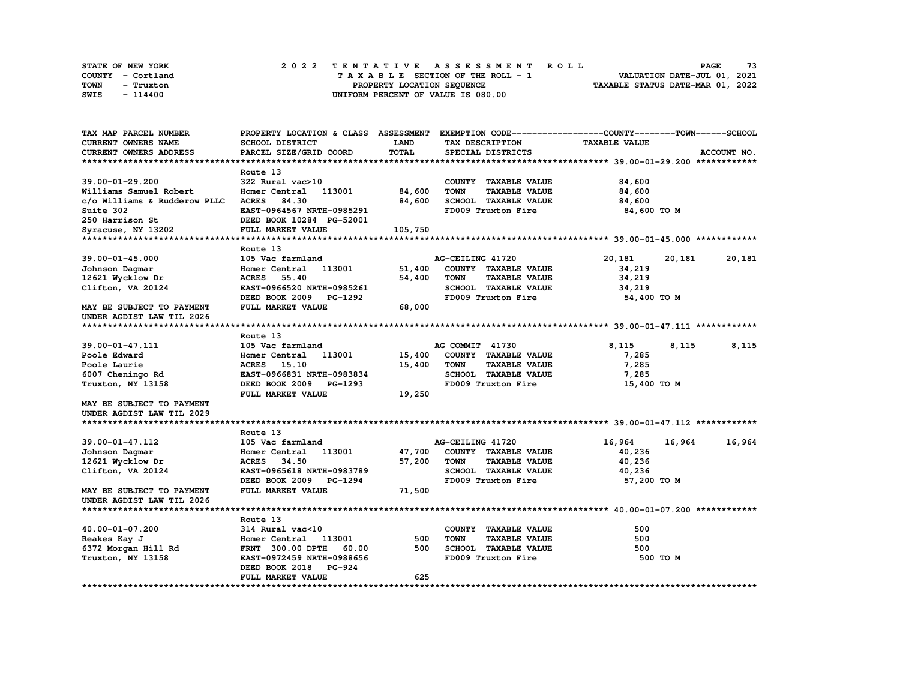| STATE OF NEW YORK | 2022 TENTATIVE ASSESSMENT ROLL     | 73<br><b>PAGE</b>                |
|-------------------|------------------------------------|----------------------------------|
| COUNTY - Cortland | TAXABLE SECTION OF THE ROLL - 1    | VALUATION DATE-JUL 01, 2021      |
| TOWN<br>- Truxton | PROPERTY LOCATION SEQUENCE         | TAXABLE STATUS DATE-MAR 01, 2022 |
| SWIS<br>- 114400  | UNIFORM PERCENT OF VALUE IS 080.00 |                                  |

| TAX MAP PARCEL NUMBER        |                                  |              |                                     | PROPERTY LOCATION & CLASS ASSESSMENT EXEMPTION CODE----------------COUNTY-------TOWN------SCHOOL |             |
|------------------------------|----------------------------------|--------------|-------------------------------------|--------------------------------------------------------------------------------------------------|-------------|
| CURRENT OWNERS NAME          | SCHOOL DISTRICT                  | LAND         | TAX DESCRIPTION                     | <b>TAXABLE VALUE</b>                                                                             |             |
| CURRENT OWNERS ADDRESS       | PARCEL SIZE/GRID COORD           | <b>TOTAL</b> | SPECIAL DISTRICTS                   |                                                                                                  | ACCOUNT NO. |
|                              |                                  |              |                                     |                                                                                                  |             |
|                              | Route 13                         |              |                                     |                                                                                                  |             |
| $39.00 - 01 - 29.200$        | 322 Rural vac>10                 |              | COUNTY TAXABLE VALUE                | 84,600                                                                                           |             |
| Williams Samuel Robert       | Homer Central 113001             | 84,600       | <b>TOWN</b><br><b>TAXABLE VALUE</b> | 84,600                                                                                           |             |
| c/o Williams & Rudderow PLLC | ACRES 84.30                      | 84,600       | <b>SCHOOL TAXABLE VALUE</b>         | 84,600                                                                                           |             |
| Suite 302                    | EAST-0964567 NRTH-0985291        |              | FD009 Truxton Fire                  | 84,600 TO M                                                                                      |             |
| 250 Harrison St              | DEED BOOK 10284 PG-52001         |              |                                     |                                                                                                  |             |
| Syracuse, NY 13202           | FULL MARKET VALUE                | 105,750      |                                     |                                                                                                  |             |
|                              |                                  |              |                                     |                                                                                                  |             |
|                              | Route 13                         |              |                                     |                                                                                                  |             |
| $39.00 - 01 - 45.000$        | 105 Vac farmland                 |              | AG-CEILING 41720                    | 20,181<br>20,181                                                                                 | 20,181      |
| Johnson Dagmar               | 113001<br>Homer Central          | 51,400       | COUNTY TAXABLE VALUE                | 34,219                                                                                           |             |
| 12621 Wycklow Dr             | <b>ACRES</b><br>55.40            | 54,400       | <b>TAXABLE VALUE</b><br><b>TOWN</b> | 34,219                                                                                           |             |
| Clifton, VA 20124            | EAST-0966520 NRTH-0985261        |              | SCHOOL TAXABLE VALUE                | 34,219                                                                                           |             |
|                              | DEED BOOK 2009 PG-1292           |              | FD009 Truxton Fire                  | 54,400 TO M                                                                                      |             |
| MAY BE SUBJECT TO PAYMENT    | FULL MARKET VALUE                | 68,000       |                                     |                                                                                                  |             |
| UNDER AGDIST LAW TIL 2026    |                                  |              |                                     |                                                                                                  |             |
|                              |                                  |              |                                     |                                                                                                  |             |
|                              | Route 13                         |              |                                     |                                                                                                  |             |
| 39.00-01-47.111              | 105 Vac farmland                 |              | AG COMMIT 41730                     | 8,115<br>8,115                                                                                   | 8,115       |
| Poole Edward                 | Homer Central<br>113001          | 15,400       | COUNTY TAXABLE VALUE                | 7,285                                                                                            |             |
| Poole Laurie                 | ACRES 15.10                      | 15,400       | <b>TOWN</b><br><b>TAXABLE VALUE</b> | 7,285                                                                                            |             |
| 6007 Cheningo Rd             | EAST-0966831 NRTH-0983834        |              | SCHOOL TAXABLE VALUE                | 7,285                                                                                            |             |
| Truxton, NY 13158            | DEED BOOK 2009 PG-1293           |              | FD009 Truxton Fire                  | 15,400 TO M                                                                                      |             |
|                              | FULL MARKET VALUE                | 19,250       |                                     |                                                                                                  |             |
| MAY BE SUBJECT TO PAYMENT    |                                  |              |                                     |                                                                                                  |             |
| UNDER AGDIST LAW TIL 2029    |                                  |              |                                     |                                                                                                  |             |
|                              |                                  |              |                                     |                                                                                                  |             |
|                              | Route 13                         |              |                                     |                                                                                                  |             |
| 39.00-01-47.112              | 105 Vac farmland                 |              | AG-CEILING 41720                    | 16,964<br>16,964                                                                                 | 16,964      |
| Johnson Dagmar               | 113001<br>Homer Central          | 47,700       | COUNTY TAXABLE VALUE                | 40,236                                                                                           |             |
| 12621 Wycklow Dr             | ACRES 34.50                      | 57,200       | <b>TOWN</b><br><b>TAXABLE VALUE</b> | 40,236                                                                                           |             |
| Clifton, VA 20124            | EAST-0965618 NRTH-0983789        |              | SCHOOL TAXABLE VALUE                | 40,236                                                                                           |             |
|                              | DEED BOOK 2009<br><b>PG-1294</b> |              | FD009 Truxton Fire                  | 57,200 TO M                                                                                      |             |
| MAY BE SUBJECT TO PAYMENT    | FULL MARKET VALUE                | 71,500       |                                     |                                                                                                  |             |
| UNDER AGDIST LAW TIL 2026    |                                  |              |                                     |                                                                                                  |             |
|                              |                                  |              |                                     |                                                                                                  |             |
|                              | Route 13                         |              |                                     |                                                                                                  |             |
| 40.00-01-07.200              | 314 Rural vac<10                 |              | COUNTY TAXABLE VALUE                | 500                                                                                              |             |
| Reakes Kay J                 | Homer Central<br>113001          | 500          | <b>TAXABLE VALUE</b><br><b>TOWN</b> | 500                                                                                              |             |
| 6372 Morgan Hill Rd          | 60.00<br>FRNT 300.00 DPTH        | 500          | <b>SCHOOL TAXABLE VALUE</b>         | 500                                                                                              |             |
| Truxton, NY 13158            | EAST-0972459 NRTH-0988656        |              | FD009 Truxton Fire                  | 500 TO M                                                                                         |             |
|                              | DEED BOOK 2018 PG-924            |              |                                     |                                                                                                  |             |
|                              | FULL MARKET VALUE                | 625          |                                     |                                                                                                  |             |
|                              |                                  |              |                                     |                                                                                                  |             |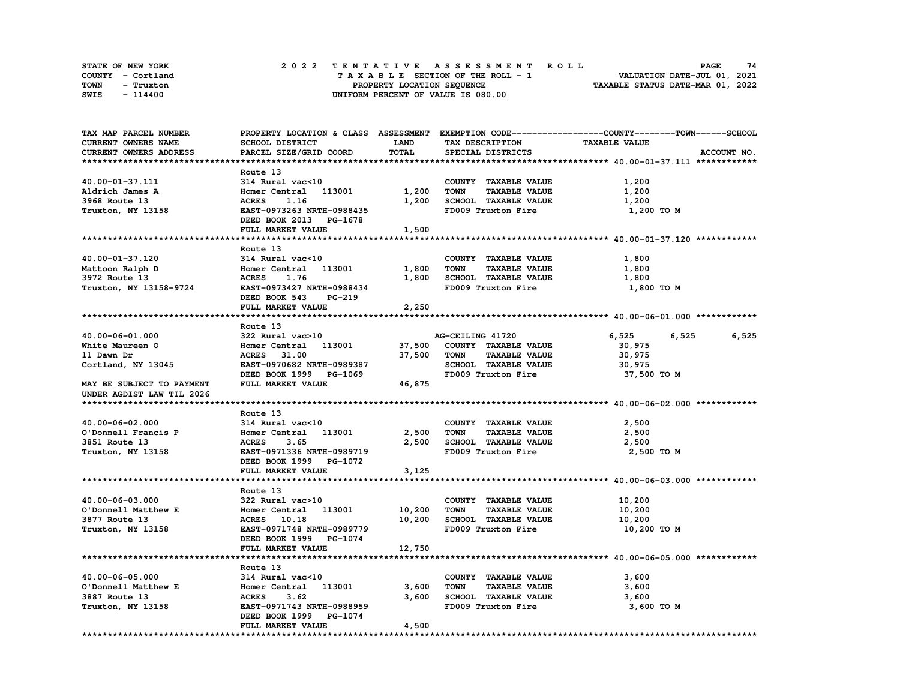| STATE OF NEW YORK | 2022 TENTATIVE ASSESSMENT ROLL     | 74<br><b>PAGE</b>                |
|-------------------|------------------------------------|----------------------------------|
| COUNTY - Cortland | TAXABLE SECTION OF THE ROLL - 1    | VALUATION DATE-JUL 01, 2021      |
| TOWN<br>- Truxton | PROPERTY LOCATION SEQUENCE         | TAXABLE STATUS DATE-MAR 01, 2022 |
| SWIS<br>- 114400  | UNIFORM PERCENT OF VALUE IS 080.00 |                                  |

| TAX MAP PARCEL NUMBER     |                           |             |                                     | PROPERTY LOCATION & CLASS ASSESSMENT EXEMPTION CODE----------------COUNTY-------TOWN-----SCHOOL |             |
|---------------------------|---------------------------|-------------|-------------------------------------|-------------------------------------------------------------------------------------------------|-------------|
| CURRENT OWNERS NAME       | SCHOOL DISTRICT           | <b>LAND</b> | TAX DESCRIPTION                     | <b>TAXABLE VALUE</b>                                                                            |             |
| CURRENT OWNERS ADDRESS    | PARCEL SIZE/GRID COORD    | TOTAL       | SPECIAL DISTRICTS                   |                                                                                                 | ACCOUNT NO. |
|                           |                           |             |                                     |                                                                                                 |             |
|                           | Route 13                  |             |                                     |                                                                                                 |             |
| 40.00-01-37.111           | 314 Rural vac<10          |             | COUNTY TAXABLE VALUE                | 1,200                                                                                           |             |
| Aldrich James A           | Homer Central 113001      | 1,200       | <b>TOWN</b><br><b>TAXABLE VALUE</b> | 1,200                                                                                           |             |
| 3968 Route 13             | 1.16<br><b>ACRES</b>      | 1,200       | SCHOOL TAXABLE VALUE                | 1,200                                                                                           |             |
| Truxton, NY 13158         | EAST-0973263 NRTH-0988435 |             | FD009 Truxton Fire                  | 1,200 TO M                                                                                      |             |
|                           | DEED BOOK 2013 PG-1678    |             |                                     |                                                                                                 |             |
|                           |                           |             |                                     |                                                                                                 |             |
|                           | FULL MARKET VALUE         | 1,500       |                                     |                                                                                                 |             |
|                           |                           |             |                                     |                                                                                                 |             |
|                           | Route 13                  |             |                                     |                                                                                                 |             |
| 40.00-01-37.120           | 314 Rural vac<10          |             | COUNTY TAXABLE VALUE                | 1,800                                                                                           |             |
| Mattoon Ralph D           | Homer Central 113001      | 1,800       | <b>TOWN</b><br><b>TAXABLE VALUE</b> | 1,800                                                                                           |             |
| 3972 Route 13             | <b>ACRES</b><br>1.76      | 1,800       | SCHOOL TAXABLE VALUE                | 1,800                                                                                           |             |
| Truxton, NY 13158-9724    | EAST-0973427 NRTH-0988434 |             | FD009 Truxton Fire                  | 1,800 TO M                                                                                      |             |
|                           | DEED BOOK 543<br>PG-219   |             |                                     |                                                                                                 |             |
|                           | FULL MARKET VALUE         | 2,250       |                                     |                                                                                                 |             |
|                           |                           |             |                                     |                                                                                                 |             |
|                           | Route 13                  |             |                                     |                                                                                                 |             |
| 40.00-06-01.000           | 322 Rural vac>10          |             | AG-CEILING 41720                    | 6,525<br>6,525                                                                                  | 6,525       |
| White Maureen O           | Homer Central 113001      | 37,500      | COUNTY TAXABLE VALUE                | 30,975                                                                                          |             |
| 11 Dawn Dr                | ACRES 31.00               | 37,500      | <b>TOWN</b><br><b>TAXABLE VALUE</b> | 30,975                                                                                          |             |
| Cortland, NY 13045        | EAST-0970682 NRTH-0989387 |             | SCHOOL TAXABLE VALUE                | 30,975                                                                                          |             |
|                           | DEED BOOK 1999 PG-1069    |             | FD009 Truxton Fire                  | 37,500 TO M                                                                                     |             |
| MAY BE SUBJECT TO PAYMENT | FULL MARKET VALUE         | 46,875      |                                     |                                                                                                 |             |
| UNDER AGDIST LAW TIL 2026 |                           |             |                                     |                                                                                                 |             |
|                           |                           |             |                                     |                                                                                                 |             |
|                           | Route 13                  |             |                                     |                                                                                                 |             |
|                           |                           |             |                                     |                                                                                                 |             |
| 40.00-06-02.000           | 314 Rural vac<10          |             | COUNTY TAXABLE VALUE                | 2,500                                                                                           |             |
| O'Donnell Francis P       | Homer Central 113001      | 2,500       | <b>TAXABLE VALUE</b><br><b>TOWN</b> | 2,500                                                                                           |             |
| 3851 Route 13             | <b>ACRES</b><br>3.65      | 2,500       | <b>SCHOOL TAXABLE VALUE</b>         | 2,500                                                                                           |             |
| Truxton, NY 13158         | EAST-0971336 NRTH-0989719 |             | FD009 Truxton Fire                  | 2,500 TO M                                                                                      |             |
|                           | DEED BOOK 1999 PG-1072    |             |                                     |                                                                                                 |             |
|                           | FULL MARKET VALUE         | 3,125       |                                     |                                                                                                 |             |
|                           |                           |             |                                     |                                                                                                 |             |
|                           | Route 13                  |             |                                     |                                                                                                 |             |
| 40.00-06-03.000           | 322 Rural vac>10          |             | COUNTY TAXABLE VALUE                | 10,200                                                                                          |             |
| O'Donnell Matthew E       | Homer Central 113001      | 10,200      | <b>TOWN</b><br><b>TAXABLE VALUE</b> | 10,200                                                                                          |             |
| 3877 Route 13             | ACRES 10.18               | 10,200      | SCHOOL TAXABLE VALUE                | 10,200                                                                                          |             |
| Truxton, NY 13158         | EAST-0971748 NRTH-0989779 |             | FD009 Truxton Fire                  | 10,200 TO M                                                                                     |             |
|                           | DEED BOOK 1999 PG-1074    |             |                                     |                                                                                                 |             |
|                           | FULL MARKET VALUE         | 12,750      |                                     |                                                                                                 |             |
|                           |                           |             |                                     |                                                                                                 |             |
|                           | Route 13                  |             |                                     |                                                                                                 |             |
| 40.00-06-05.000           | 314 Rural vac<10          |             | COUNTY TAXABLE VALUE                | 3,600                                                                                           |             |
| O'Donnell Matthew E       | Homer Central 113001      | 3,600       | <b>TOWN</b><br><b>TAXABLE VALUE</b> | 3,600                                                                                           |             |
| 3887 Route 13             | <b>ACRES</b><br>3.62      | 3,600       | SCHOOL TAXABLE VALUE                | 3,600                                                                                           |             |
| Truxton, NY 13158         | EAST-0971743 NRTH-0988959 |             | FD009 Truxton Fire                  | 3,600 TO M                                                                                      |             |
|                           | DEED BOOK 1999 PG-1074    |             |                                     |                                                                                                 |             |
|                           |                           |             |                                     |                                                                                                 |             |
|                           | FULL MARKET VALUE         | 4,500       |                                     |                                                                                                 |             |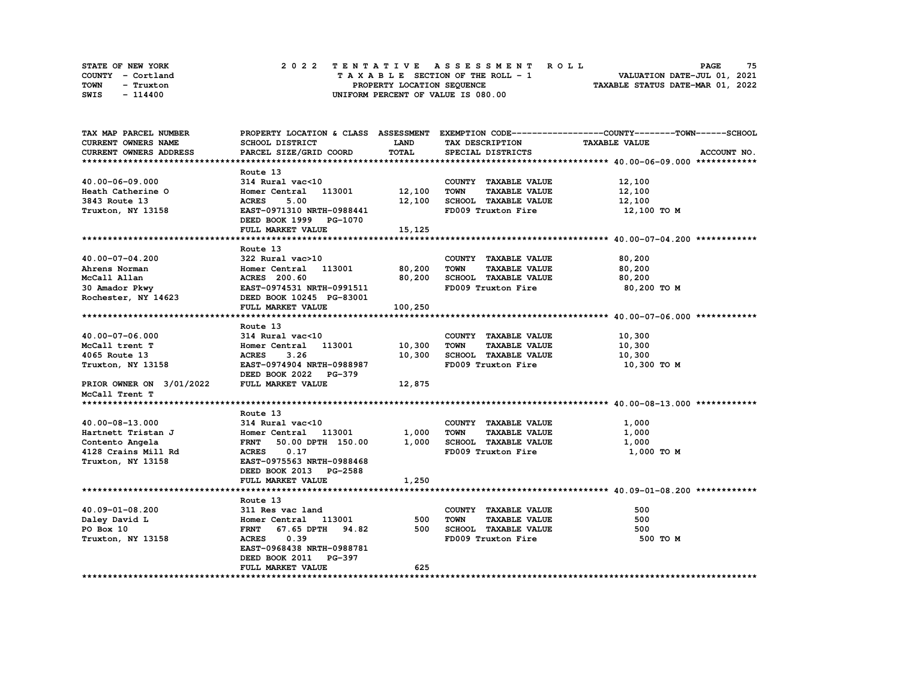| STATE OF NEW YORK | 2022 TENTATIVE ASSESSMENT ROLL     | 75<br><b>PAGE</b>                |
|-------------------|------------------------------------|----------------------------------|
| COUNTY - Cortland | TAXABLE SECTION OF THE ROLL - 1    | VALUATION DATE-JUL 01, 2021      |
| TOWN<br>- Truxton | PROPERTY LOCATION SEQUENCE         | TAXABLE STATUS DATE-MAR 01, 2022 |
| SWIS<br>- 114400  | UNIFORM PERCENT OF VALUE IS 080.00 |                                  |

| <b>CURRENT OWNERS NAME</b><br>SCHOOL DISTRICT<br>LAND<br>TAX DESCRIPTION<br><b>TAXABLE VALUE</b><br>TOTAL<br>CURRENT OWNERS ADDRESS<br>PARCEL SIZE/GRID COORD<br>SPECIAL DISTRICTS<br>ACCOUNT NO.<br>Route 13<br>40.00-06-09.000<br>314 Rural vac<10<br>COUNTY TAXABLE VALUE<br>12,100<br>Homer Central 113001 12,100<br>Heath Catherine O<br><b>TOWN</b><br><b>TAXABLE VALUE</b><br>12,100<br>3843 Route 13<br>12,100<br>SCHOOL TAXABLE VALUE<br>12,100<br><b>ACRES</b><br>5.00<br>Truxton, NY 13158<br>EAST-0971310 NRTH-0988441<br>FD009 Truxton Fire<br>12,100 TO M<br>DEED BOOK 1999 PG-1070<br>FULL MARKET VALUE<br>15,125<br>Route 13<br>40.00-07-04.200<br>322 Rural vac>10<br>COUNTY TAXABLE VALUE<br>80,200<br>Homer Central 113001 80,200<br><b>TAXABLE VALUE</b><br>Ahrens Norman<br><b>TOWN</b><br>80,200<br><b>ACRES</b> 200.60<br>80,200<br>SCHOOL TAXABLE VALUE<br>McCall Allan<br>80,200<br>30 Amador Pkwy<br><b>EAST-0974531 NRTH-0991511</b><br>FD009 Truxton Fire<br>80,200 TO M<br>Rochester, NY 14623<br>DEED BOOK 10245 PG-83001<br>FULL MARKET VALUE<br>100,250<br>Route 13<br>314 Rural vac<10<br>COUNTY TAXABLE VALUE<br>10,300<br>$40.00 - 07 - 06.000$<br>10,300<br><b>TOWN</b><br>Homer Central 113001<br><b>TAXABLE VALUE</b><br>10,300<br>McCall trent T<br>3.26<br>10,300<br>SCHOOL TAXABLE VALUE<br>10,300<br>4065 Route 13<br><b>ACRES</b><br>EAST-0974904 NRTH-0988987<br>FD009 Truxton Fire<br>Truxton, NY 13158<br>10,300 то м<br>DEED BOOK 2022 PG-379<br>PRIOR OWNER ON 3/01/2022<br>FULL MARKET VALUE<br>12,875<br>McCall Trent T<br>Route 13<br>314 Rural vac<10<br>40.00-08-13.000<br>COUNTY TAXABLE VALUE<br>1,000<br>Homer Central 113001<br>1,000<br>Hartnett Tristan J<br>TOWN<br><b>TAXABLE VALUE</b><br>1,000<br>1,000 SCHOOL TAXABLE VALUE<br>FRNT 50.00 DPTH 150.00<br>Contento Angela<br>1,000<br>FD009 Truxton Fire<br>4128 Crains Mill Rd<br><b>ACRES</b><br>0.17<br>1,000 TO M<br>Truxton, NY 13158<br>EAST-0975563 NRTH-0988468<br>DEED BOOK 2013 PG-2588<br>FULL MARKET VALUE<br>1,250<br>Route 13<br>COUNTY TAXABLE VALUE<br>500<br>40.09-01-08.200<br>311 Res vac land | TAX MAP PARCEL NUMBER |     |                                     | PROPERTY LOCATION & CLASS ASSESSMENT EXEMPTION CODE----------------COUNTY-------TOWN-----SCHOOL |
|----------------------------------------------------------------------------------------------------------------------------------------------------------------------------------------------------------------------------------------------------------------------------------------------------------------------------------------------------------------------------------------------------------------------------------------------------------------------------------------------------------------------------------------------------------------------------------------------------------------------------------------------------------------------------------------------------------------------------------------------------------------------------------------------------------------------------------------------------------------------------------------------------------------------------------------------------------------------------------------------------------------------------------------------------------------------------------------------------------------------------------------------------------------------------------------------------------------------------------------------------------------------------------------------------------------------------------------------------------------------------------------------------------------------------------------------------------------------------------------------------------------------------------------------------------------------------------------------------------------------------------------------------------------------------------------------------------------------------------------------------------------------------------------------------------------------------------------------------------------------------------------------------------------------------------------------------------------------------------------------------------------------------------------------------------------------------------------------------------------------------------|-----------------------|-----|-------------------------------------|-------------------------------------------------------------------------------------------------|
|                                                                                                                                                                                                                                                                                                                                                                                                                                                                                                                                                                                                                                                                                                                                                                                                                                                                                                                                                                                                                                                                                                                                                                                                                                                                                                                                                                                                                                                                                                                                                                                                                                                                                                                                                                                                                                                                                                                                                                                                                                                                                                                                  |                       |     |                                     |                                                                                                 |
|                                                                                                                                                                                                                                                                                                                                                                                                                                                                                                                                                                                                                                                                                                                                                                                                                                                                                                                                                                                                                                                                                                                                                                                                                                                                                                                                                                                                                                                                                                                                                                                                                                                                                                                                                                                                                                                                                                                                                                                                                                                                                                                                  |                       |     |                                     |                                                                                                 |
|                                                                                                                                                                                                                                                                                                                                                                                                                                                                                                                                                                                                                                                                                                                                                                                                                                                                                                                                                                                                                                                                                                                                                                                                                                                                                                                                                                                                                                                                                                                                                                                                                                                                                                                                                                                                                                                                                                                                                                                                                                                                                                                                  |                       |     |                                     |                                                                                                 |
|                                                                                                                                                                                                                                                                                                                                                                                                                                                                                                                                                                                                                                                                                                                                                                                                                                                                                                                                                                                                                                                                                                                                                                                                                                                                                                                                                                                                                                                                                                                                                                                                                                                                                                                                                                                                                                                                                                                                                                                                                                                                                                                                  |                       |     |                                     |                                                                                                 |
|                                                                                                                                                                                                                                                                                                                                                                                                                                                                                                                                                                                                                                                                                                                                                                                                                                                                                                                                                                                                                                                                                                                                                                                                                                                                                                                                                                                                                                                                                                                                                                                                                                                                                                                                                                                                                                                                                                                                                                                                                                                                                                                                  |                       |     |                                     |                                                                                                 |
|                                                                                                                                                                                                                                                                                                                                                                                                                                                                                                                                                                                                                                                                                                                                                                                                                                                                                                                                                                                                                                                                                                                                                                                                                                                                                                                                                                                                                                                                                                                                                                                                                                                                                                                                                                                                                                                                                                                                                                                                                                                                                                                                  |                       |     |                                     |                                                                                                 |
|                                                                                                                                                                                                                                                                                                                                                                                                                                                                                                                                                                                                                                                                                                                                                                                                                                                                                                                                                                                                                                                                                                                                                                                                                                                                                                                                                                                                                                                                                                                                                                                                                                                                                                                                                                                                                                                                                                                                                                                                                                                                                                                                  |                       |     |                                     |                                                                                                 |
|                                                                                                                                                                                                                                                                                                                                                                                                                                                                                                                                                                                                                                                                                                                                                                                                                                                                                                                                                                                                                                                                                                                                                                                                                                                                                                                                                                                                                                                                                                                                                                                                                                                                                                                                                                                                                                                                                                                                                                                                                                                                                                                                  |                       |     |                                     |                                                                                                 |
|                                                                                                                                                                                                                                                                                                                                                                                                                                                                                                                                                                                                                                                                                                                                                                                                                                                                                                                                                                                                                                                                                                                                                                                                                                                                                                                                                                                                                                                                                                                                                                                                                                                                                                                                                                                                                                                                                                                                                                                                                                                                                                                                  |                       |     |                                     |                                                                                                 |
|                                                                                                                                                                                                                                                                                                                                                                                                                                                                                                                                                                                                                                                                                                                                                                                                                                                                                                                                                                                                                                                                                                                                                                                                                                                                                                                                                                                                                                                                                                                                                                                                                                                                                                                                                                                                                                                                                                                                                                                                                                                                                                                                  |                       |     |                                     |                                                                                                 |
|                                                                                                                                                                                                                                                                                                                                                                                                                                                                                                                                                                                                                                                                                                                                                                                                                                                                                                                                                                                                                                                                                                                                                                                                                                                                                                                                                                                                                                                                                                                                                                                                                                                                                                                                                                                                                                                                                                                                                                                                                                                                                                                                  |                       |     |                                     |                                                                                                 |
|                                                                                                                                                                                                                                                                                                                                                                                                                                                                                                                                                                                                                                                                                                                                                                                                                                                                                                                                                                                                                                                                                                                                                                                                                                                                                                                                                                                                                                                                                                                                                                                                                                                                                                                                                                                                                                                                                                                                                                                                                                                                                                                                  |                       |     |                                     |                                                                                                 |
|                                                                                                                                                                                                                                                                                                                                                                                                                                                                                                                                                                                                                                                                                                                                                                                                                                                                                                                                                                                                                                                                                                                                                                                                                                                                                                                                                                                                                                                                                                                                                                                                                                                                                                                                                                                                                                                                                                                                                                                                                                                                                                                                  |                       |     |                                     |                                                                                                 |
|                                                                                                                                                                                                                                                                                                                                                                                                                                                                                                                                                                                                                                                                                                                                                                                                                                                                                                                                                                                                                                                                                                                                                                                                                                                                                                                                                                                                                                                                                                                                                                                                                                                                                                                                                                                                                                                                                                                                                                                                                                                                                                                                  |                       |     |                                     |                                                                                                 |
|                                                                                                                                                                                                                                                                                                                                                                                                                                                                                                                                                                                                                                                                                                                                                                                                                                                                                                                                                                                                                                                                                                                                                                                                                                                                                                                                                                                                                                                                                                                                                                                                                                                                                                                                                                                                                                                                                                                                                                                                                                                                                                                                  |                       |     |                                     |                                                                                                 |
|                                                                                                                                                                                                                                                                                                                                                                                                                                                                                                                                                                                                                                                                                                                                                                                                                                                                                                                                                                                                                                                                                                                                                                                                                                                                                                                                                                                                                                                                                                                                                                                                                                                                                                                                                                                                                                                                                                                                                                                                                                                                                                                                  |                       |     |                                     |                                                                                                 |
|                                                                                                                                                                                                                                                                                                                                                                                                                                                                                                                                                                                                                                                                                                                                                                                                                                                                                                                                                                                                                                                                                                                                                                                                                                                                                                                                                                                                                                                                                                                                                                                                                                                                                                                                                                                                                                                                                                                                                                                                                                                                                                                                  |                       |     |                                     |                                                                                                 |
|                                                                                                                                                                                                                                                                                                                                                                                                                                                                                                                                                                                                                                                                                                                                                                                                                                                                                                                                                                                                                                                                                                                                                                                                                                                                                                                                                                                                                                                                                                                                                                                                                                                                                                                                                                                                                                                                                                                                                                                                                                                                                                                                  |                       |     |                                     |                                                                                                 |
|                                                                                                                                                                                                                                                                                                                                                                                                                                                                                                                                                                                                                                                                                                                                                                                                                                                                                                                                                                                                                                                                                                                                                                                                                                                                                                                                                                                                                                                                                                                                                                                                                                                                                                                                                                                                                                                                                                                                                                                                                                                                                                                                  |                       |     |                                     |                                                                                                 |
|                                                                                                                                                                                                                                                                                                                                                                                                                                                                                                                                                                                                                                                                                                                                                                                                                                                                                                                                                                                                                                                                                                                                                                                                                                                                                                                                                                                                                                                                                                                                                                                                                                                                                                                                                                                                                                                                                                                                                                                                                                                                                                                                  |                       |     |                                     |                                                                                                 |
|                                                                                                                                                                                                                                                                                                                                                                                                                                                                                                                                                                                                                                                                                                                                                                                                                                                                                                                                                                                                                                                                                                                                                                                                                                                                                                                                                                                                                                                                                                                                                                                                                                                                                                                                                                                                                                                                                                                                                                                                                                                                                                                                  |                       |     |                                     |                                                                                                 |
|                                                                                                                                                                                                                                                                                                                                                                                                                                                                                                                                                                                                                                                                                                                                                                                                                                                                                                                                                                                                                                                                                                                                                                                                                                                                                                                                                                                                                                                                                                                                                                                                                                                                                                                                                                                                                                                                                                                                                                                                                                                                                                                                  |                       |     |                                     |                                                                                                 |
|                                                                                                                                                                                                                                                                                                                                                                                                                                                                                                                                                                                                                                                                                                                                                                                                                                                                                                                                                                                                                                                                                                                                                                                                                                                                                                                                                                                                                                                                                                                                                                                                                                                                                                                                                                                                                                                                                                                                                                                                                                                                                                                                  |                       |     |                                     |                                                                                                 |
|                                                                                                                                                                                                                                                                                                                                                                                                                                                                                                                                                                                                                                                                                                                                                                                                                                                                                                                                                                                                                                                                                                                                                                                                                                                                                                                                                                                                                                                                                                                                                                                                                                                                                                                                                                                                                                                                                                                                                                                                                                                                                                                                  |                       |     |                                     |                                                                                                 |
|                                                                                                                                                                                                                                                                                                                                                                                                                                                                                                                                                                                                                                                                                                                                                                                                                                                                                                                                                                                                                                                                                                                                                                                                                                                                                                                                                                                                                                                                                                                                                                                                                                                                                                                                                                                                                                                                                                                                                                                                                                                                                                                                  |                       |     |                                     |                                                                                                 |
|                                                                                                                                                                                                                                                                                                                                                                                                                                                                                                                                                                                                                                                                                                                                                                                                                                                                                                                                                                                                                                                                                                                                                                                                                                                                                                                                                                                                                                                                                                                                                                                                                                                                                                                                                                                                                                                                                                                                                                                                                                                                                                                                  |                       |     |                                     |                                                                                                 |
|                                                                                                                                                                                                                                                                                                                                                                                                                                                                                                                                                                                                                                                                                                                                                                                                                                                                                                                                                                                                                                                                                                                                                                                                                                                                                                                                                                                                                                                                                                                                                                                                                                                                                                                                                                                                                                                                                                                                                                                                                                                                                                                                  |                       |     |                                     |                                                                                                 |
|                                                                                                                                                                                                                                                                                                                                                                                                                                                                                                                                                                                                                                                                                                                                                                                                                                                                                                                                                                                                                                                                                                                                                                                                                                                                                                                                                                                                                                                                                                                                                                                                                                                                                                                                                                                                                                                                                                                                                                                                                                                                                                                                  |                       |     |                                     |                                                                                                 |
|                                                                                                                                                                                                                                                                                                                                                                                                                                                                                                                                                                                                                                                                                                                                                                                                                                                                                                                                                                                                                                                                                                                                                                                                                                                                                                                                                                                                                                                                                                                                                                                                                                                                                                                                                                                                                                                                                                                                                                                                                                                                                                                                  |                       |     |                                     |                                                                                                 |
|                                                                                                                                                                                                                                                                                                                                                                                                                                                                                                                                                                                                                                                                                                                                                                                                                                                                                                                                                                                                                                                                                                                                                                                                                                                                                                                                                                                                                                                                                                                                                                                                                                                                                                                                                                                                                                                                                                                                                                                                                                                                                                                                  |                       |     |                                     |                                                                                                 |
|                                                                                                                                                                                                                                                                                                                                                                                                                                                                                                                                                                                                                                                                                                                                                                                                                                                                                                                                                                                                                                                                                                                                                                                                                                                                                                                                                                                                                                                                                                                                                                                                                                                                                                                                                                                                                                                                                                                                                                                                                                                                                                                                  |                       |     |                                     |                                                                                                 |
|                                                                                                                                                                                                                                                                                                                                                                                                                                                                                                                                                                                                                                                                                                                                                                                                                                                                                                                                                                                                                                                                                                                                                                                                                                                                                                                                                                                                                                                                                                                                                                                                                                                                                                                                                                                                                                                                                                                                                                                                                                                                                                                                  |                       |     |                                     |                                                                                                 |
|                                                                                                                                                                                                                                                                                                                                                                                                                                                                                                                                                                                                                                                                                                                                                                                                                                                                                                                                                                                                                                                                                                                                                                                                                                                                                                                                                                                                                                                                                                                                                                                                                                                                                                                                                                                                                                                                                                                                                                                                                                                                                                                                  |                       |     |                                     |                                                                                                 |
|                                                                                                                                                                                                                                                                                                                                                                                                                                                                                                                                                                                                                                                                                                                                                                                                                                                                                                                                                                                                                                                                                                                                                                                                                                                                                                                                                                                                                                                                                                                                                                                                                                                                                                                                                                                                                                                                                                                                                                                                                                                                                                                                  |                       |     |                                     |                                                                                                 |
|                                                                                                                                                                                                                                                                                                                                                                                                                                                                                                                                                                                                                                                                                                                                                                                                                                                                                                                                                                                                                                                                                                                                                                                                                                                                                                                                                                                                                                                                                                                                                                                                                                                                                                                                                                                                                                                                                                                                                                                                                                                                                                                                  |                       |     |                                     |                                                                                                 |
|                                                                                                                                                                                                                                                                                                                                                                                                                                                                                                                                                                                                                                                                                                                                                                                                                                                                                                                                                                                                                                                                                                                                                                                                                                                                                                                                                                                                                                                                                                                                                                                                                                                                                                                                                                                                                                                                                                                                                                                                                                                                                                                                  |                       |     |                                     |                                                                                                 |
|                                                                                                                                                                                                                                                                                                                                                                                                                                                                                                                                                                                                                                                                                                                                                                                                                                                                                                                                                                                                                                                                                                                                                                                                                                                                                                                                                                                                                                                                                                                                                                                                                                                                                                                                                                                                                                                                                                                                                                                                                                                                                                                                  |                       |     |                                     |                                                                                                 |
|                                                                                                                                                                                                                                                                                                                                                                                                                                                                                                                                                                                                                                                                                                                                                                                                                                                                                                                                                                                                                                                                                                                                                                                                                                                                                                                                                                                                                                                                                                                                                                                                                                                                                                                                                                                                                                                                                                                                                                                                                                                                                                                                  |                       |     |                                     |                                                                                                 |
|                                                                                                                                                                                                                                                                                                                                                                                                                                                                                                                                                                                                                                                                                                                                                                                                                                                                                                                                                                                                                                                                                                                                                                                                                                                                                                                                                                                                                                                                                                                                                                                                                                                                                                                                                                                                                                                                                                                                                                                                                                                                                                                                  |                       |     |                                     |                                                                                                 |
|                                                                                                                                                                                                                                                                                                                                                                                                                                                                                                                                                                                                                                                                                                                                                                                                                                                                                                                                                                                                                                                                                                                                                                                                                                                                                                                                                                                                                                                                                                                                                                                                                                                                                                                                                                                                                                                                                                                                                                                                                                                                                                                                  |                       | 500 | <b>TAXABLE VALUE</b><br><b>TOWN</b> | 500                                                                                             |
| Daley David L<br>Homer Central 113001<br>PO Box 10<br>FRNT 67.65 DPTH<br>94.82<br>500<br>SCHOOL TAXABLE VALUE<br>500                                                                                                                                                                                                                                                                                                                                                                                                                                                                                                                                                                                                                                                                                                                                                                                                                                                                                                                                                                                                                                                                                                                                                                                                                                                                                                                                                                                                                                                                                                                                                                                                                                                                                                                                                                                                                                                                                                                                                                                                             |                       |     |                                     |                                                                                                 |
|                                                                                                                                                                                                                                                                                                                                                                                                                                                                                                                                                                                                                                                                                                                                                                                                                                                                                                                                                                                                                                                                                                                                                                                                                                                                                                                                                                                                                                                                                                                                                                                                                                                                                                                                                                                                                                                                                                                                                                                                                                                                                                                                  |                       |     |                                     |                                                                                                 |
| FD009 Truxton Fire<br>Truxton, NY 13158<br>ACRES 0.39<br>500 TO M                                                                                                                                                                                                                                                                                                                                                                                                                                                                                                                                                                                                                                                                                                                                                                                                                                                                                                                                                                                                                                                                                                                                                                                                                                                                                                                                                                                                                                                                                                                                                                                                                                                                                                                                                                                                                                                                                                                                                                                                                                                                |                       |     |                                     |                                                                                                 |
| EAST-0968438 NRTH-0988781                                                                                                                                                                                                                                                                                                                                                                                                                                                                                                                                                                                                                                                                                                                                                                                                                                                                                                                                                                                                                                                                                                                                                                                                                                                                                                                                                                                                                                                                                                                                                                                                                                                                                                                                                                                                                                                                                                                                                                                                                                                                                                        |                       |     |                                     |                                                                                                 |
| DEED BOOK 2011<br><b>PG-397</b>                                                                                                                                                                                                                                                                                                                                                                                                                                                                                                                                                                                                                                                                                                                                                                                                                                                                                                                                                                                                                                                                                                                                                                                                                                                                                                                                                                                                                                                                                                                                                                                                                                                                                                                                                                                                                                                                                                                                                                                                                                                                                                  |                       |     |                                     |                                                                                                 |
| 625<br>FULL MARKET VALUE                                                                                                                                                                                                                                                                                                                                                                                                                                                                                                                                                                                                                                                                                                                                                                                                                                                                                                                                                                                                                                                                                                                                                                                                                                                                                                                                                                                                                                                                                                                                                                                                                                                                                                                                                                                                                                                                                                                                                                                                                                                                                                         |                       |     |                                     |                                                                                                 |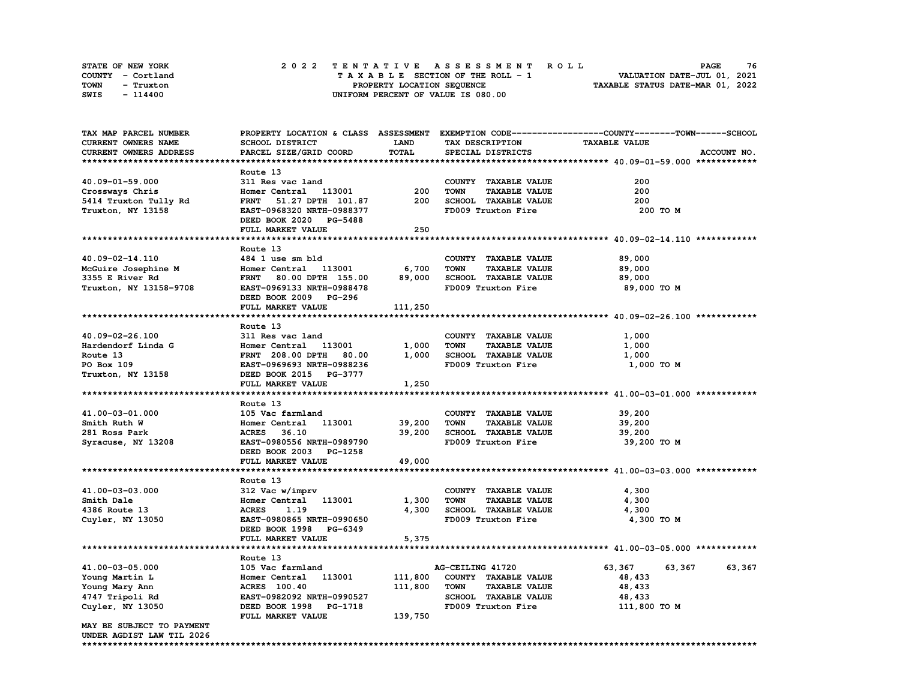| STATE OF NEW YORK | 2022 TENTATIVE ASSESSMENT ROLL          | 76<br><b>PAGE</b>                |
|-------------------|-----------------------------------------|----------------------------------|
| COUNTY - Cortland | $T A X A B L E$ SECTION OF THE ROLL - 1 | VALUATION DATE-JUL 01, 2021      |
| TOWN<br>- Truxton | PROPERTY LOCATION SEQUENCE              | TAXABLE STATUS DATE-MAR 01, 2022 |
| SWIS<br>- 114400  | UNIFORM PERCENT OF VALUE IS 080.00      |                                  |

| TAX MAP PARCEL NUMBER     |                                                            |             |                                     | PROPERTY LOCATION & CLASS ASSESSMENT EXEMPTION CODE----------------COUNTY-------TOWN-----SCHOOL |
|---------------------------|------------------------------------------------------------|-------------|-------------------------------------|-------------------------------------------------------------------------------------------------|
| CURRENT OWNERS NAME       | SCHOOL DISTRICT                                            | <b>LAND</b> | TAX DESCRIPTION                     | <b>TAXABLE VALUE</b>                                                                            |
| CURRENT OWNERS ADDRESS    | PARCEL SIZE/GRID COORD                                     | TOTAL       | SPECIAL DISTRICTS                   | ACCOUNT NO.                                                                                     |
|                           |                                                            |             |                                     |                                                                                                 |
|                           | Route 13                                                   |             |                                     |                                                                                                 |
| 40.09-01-59.000           | 311 Res vac land                                           |             | COUNTY TAXABLE VALUE                | 200                                                                                             |
| Crossways Chris           | Homer Central 113001                                       | 200         | <b>TOWN</b><br><b>TAXABLE VALUE</b> | 200                                                                                             |
| 5414 Truxton Tully Rd     | FRNT 51.27 DPTH 101.87                                     | 200         | SCHOOL TAXABLE VALUE                | 200                                                                                             |
| Truxton, NY 13158         | EAST-0968320 NRTH-0988377                                  |             | FD009 Truxton Fire                  | 200 TO M                                                                                        |
|                           | DEED BOOK 2020 PG-5488                                     |             |                                     |                                                                                                 |
|                           | FULL MARKET VALUE                                          | 250         |                                     |                                                                                                 |
|                           |                                                            |             |                                     |                                                                                                 |
|                           | Route 13                                                   |             |                                     |                                                                                                 |
| 40.09-02-14.110           | 484 1 use sm bld                                           |             | COUNTY TAXABLE VALUE                | 89,000                                                                                          |
|                           | Homer Central 113001                                       | 6,700       | <b>TOWN</b><br><b>TAXABLE VALUE</b> | 89,000                                                                                          |
| McGuire Josephine M       | FRNT 80.00 DPTH 155.00 89,000                              |             |                                     |                                                                                                 |
| 3355 E River Rd           |                                                            |             | SCHOOL TAXABLE VALUE                | 89,000                                                                                          |
| Truxton, NY 13158-9708    | EAST-0969133 NRTH-0988478                                  |             | FD009 Truxton Fire                  | 89,000 TO M                                                                                     |
|                           | DEED BOOK 2009 PG-296                                      |             |                                     |                                                                                                 |
|                           | FULL MARKET VALUE                                          | 111,250     |                                     |                                                                                                 |
|                           |                                                            |             |                                     |                                                                                                 |
|                           | Route 13                                                   |             |                                     |                                                                                                 |
| 40.09-02-26.100           | 311 Res vac land                                           |             | COUNTY TAXABLE VALUE                | 1,000                                                                                           |
| Hardendorf Linda G        | Homer Central 113001 1,000<br>FRNT 208.00 DPTH 80.00 1,000 |             | <b>TAXABLE VALUE</b><br><b>TOWN</b> | 1,000                                                                                           |
| Route 13                  |                                                            |             | SCHOOL TAXABLE VALUE                | 1,000                                                                                           |
| PO Box 109                | EAST-0969693 NRTH-0988236                                  |             | FD009 Truxton Fire                  | 1,000 TO M                                                                                      |
| Truxton, NY 13158         | DEED BOOK 2015 PG-3777                                     |             |                                     |                                                                                                 |
|                           | FULL MARKET VALUE                                          | 1,250       |                                     |                                                                                                 |
|                           |                                                            |             |                                     |                                                                                                 |
|                           | Route 13                                                   |             |                                     |                                                                                                 |
| 41.00-03-01.000           | 105 Vac farmland                                           |             | COUNTY TAXABLE VALUE                | 39,200                                                                                          |
| Smith Ruth W              | Homer Central 113001                                       | 39,200      | <b>TOWN</b><br><b>TAXABLE VALUE</b> | 39,200                                                                                          |
| 281 Ross Park             | ACRES 36.10                                                | 39,200      | SCHOOL TAXABLE VALUE                | 39,200                                                                                          |
| Syracuse, NY 13208        | EAST-0980556 NRTH-0989790                                  |             | FD009 Truxton Fire                  | 39,200 TO M                                                                                     |
|                           | DEED BOOK 2003 PG-1258                                     |             |                                     |                                                                                                 |
|                           | FULL MARKET VALUE                                          | 49,000      |                                     |                                                                                                 |
|                           |                                                            |             |                                     |                                                                                                 |
|                           | Route 13                                                   |             |                                     |                                                                                                 |
| 41.00-03-03.000           | 312 Vac w/imprv                                            |             | COUNTY TAXABLE VALUE                | 4,300                                                                                           |
| Smith Dale                | Homer Central 113001                                       | 1,300       | <b>TOWN</b><br><b>TAXABLE VALUE</b> | 4,300                                                                                           |
| 4386 Route 13             | <b>ACRES</b><br>1.19                                       | 4,300       | SCHOOL TAXABLE VALUE                | 4,300                                                                                           |
| Cuyler, NY 13050          | EAST-0980865 NRTH-0990650                                  |             | FD009 Truxton Fire                  | 4,300 TO M                                                                                      |
|                           | DEED BOOK 1998 PG-6349                                     |             |                                     |                                                                                                 |
|                           |                                                            |             |                                     |                                                                                                 |
|                           | FULL MARKET VALUE                                          | 5,375       |                                     |                                                                                                 |
|                           |                                                            |             |                                     |                                                                                                 |
|                           | Route 13                                                   |             |                                     |                                                                                                 |
| 41.00-03-05.000           | 105 Vac farmland                                           |             | AG-CEILING 41720                    | 63,367<br>63,367<br>63,367                                                                      |
| Young Martin L            | Homer Central 113001                                       | 111,800     | COUNTY TAXABLE VALUE                | 48,433                                                                                          |
| Young Mary Ann            | <b>ACRES</b> 100.40                                        | 111,800     | <b>TOWN</b><br><b>TAXABLE VALUE</b> | 48,433                                                                                          |
| 4747 Tripoli Rd           | EAST-0982092 NRTH-0990527                                  |             | SCHOOL TAXABLE VALUE                | 48,433                                                                                          |
| Cuyler, NY 13050          | DEED BOOK 1998 PG-1718                                     |             | FD009 Truxton Fire                  | 111,800 TO M                                                                                    |
|                           |                                                            |             |                                     |                                                                                                 |
|                           | FULL MARKET VALUE                                          | 139,750     |                                     |                                                                                                 |
| MAY BE SUBJECT TO PAYMENT |                                                            |             |                                     |                                                                                                 |
| UNDER AGDIST LAW TIL 2026 |                                                            |             |                                     |                                                                                                 |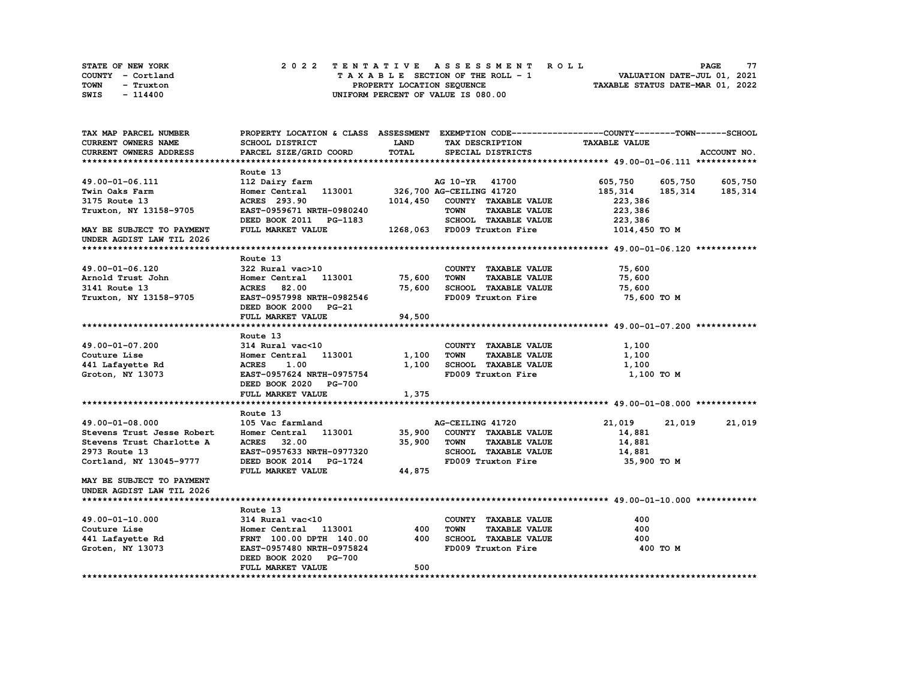| STATE OF NEW YORK | 2022 TENTATIVE ASSESSMENT ROLL     | 77<br><b>PAGE</b>                |
|-------------------|------------------------------------|----------------------------------|
| COUNTY - Cortland | TAXABLE SECTION OF THE ROLL - 1    | VALUATION DATE-JUL 01, 2021      |
| TOWN<br>- Truxton | PROPERTY LOCATION SEQUENCE         | TAXABLE STATUS DATE-MAR 01, 2022 |
| SWIS<br>$-114400$ | UNIFORM PERCENT OF VALUE IS 080.00 |                                  |

| TAX MAP PARCEL NUMBER         | PROPERTY LOCATION & CLASS ASSESSMENT EXEMPTION CODE----------------COUNTY-------TOWN------SCHOOL |             |                                     |                         |                   |
|-------------------------------|--------------------------------------------------------------------------------------------------|-------------|-------------------------------------|-------------------------|-------------------|
| CURRENT OWNERS NAME           | SCHOOL DISTRICT                                                                                  | <b>LAND</b> | TAX DESCRIPTION                     | <b>TAXABLE VALUE</b>    |                   |
| <b>CURRENT OWNERS ADDRESS</b> | PARCEL SIZE/GRID COORD                                                                           | TOTAL       | SPECIAL DISTRICTS                   |                         | ACCOUNT NO.       |
|                               |                                                                                                  |             |                                     |                         |                   |
|                               | Route 13                                                                                         |             |                                     |                         |                   |
| 49.00-01-06.111               | 112 Dairy farm                                                                                   |             | AG 10-YR 41700                      | 605,750 605,750 605,750 |                   |
| Twin Oaks Farm                | Homer Central 113001 326,700 AG-CEILING 41720                                                    |             |                                     | 185,314                 | 185, 314 185, 314 |
| 3175 Route 13                 | ACRES 293.90                                                                                     |             | 1014,450 COUNTY TAXABLE VALUE       | 223,386                 |                   |
| Truxton, NY 13158-9705        | EAST-0959671 NRTH-0980240                                                                        |             | <b>TOWN</b><br><b>TAXABLE VALUE</b> | 223,386                 |                   |
|                               | DEED BOOK 2011 PG-1183                                                                           |             | SCHOOL TAXABLE VALUE                | 223,386                 |                   |
| MAY BE SUBJECT TO PAYMENT     | FULL MARKET VALUE                                                                                |             | 1268,063 FD009 Truxton Fire         | 1014,450 TO M           |                   |
| UNDER AGDIST LAW TIL 2026     |                                                                                                  |             |                                     |                         |                   |
|                               |                                                                                                  |             |                                     |                         |                   |
|                               | Route 13                                                                                         |             |                                     |                         |                   |
| 49.00-01-06.120               | 322 Rural vac>10                                                                                 |             | COUNTY TAXABLE VALUE                | 75,600                  |                   |
| Arnold Trust John             | Homer Central 113001 75,600                                                                      |             | <b>TOWN</b><br><b>TAXABLE VALUE</b> | 75,600                  |                   |
| 3141 Route 13                 | <b>ACRES</b> 82.00                                                                               | 75,600      | SCHOOL TAXABLE VALUE                | 75,600                  |                   |
|                               | EAST-0957998 NRTH-0982546                                                                        |             | FD009 Truxton Fire                  | 75,600 TO M             |                   |
| Truxton, NY 13158-9705        |                                                                                                  |             |                                     |                         |                   |
|                               | DEED BOOK 2000 PG-21                                                                             |             |                                     |                         |                   |
|                               | FULL MARKET VALUE                                                                                | 94,500      |                                     |                         |                   |
|                               |                                                                                                  |             |                                     |                         |                   |
|                               | Route 13                                                                                         |             |                                     |                         |                   |
| 49.00-01-07.200               | 314 Rural vac<10                                                                                 |             | COUNTY TAXABLE VALUE                | 1,100                   |                   |
| Couture Lise                  | Homer Central 113001                                                                             | 1,100       | <b>TOWN</b><br><b>TAXABLE VALUE</b> | 1,100                   |                   |
| 441 Lafayette Rd              | <b>ACRES</b><br>1.00                                                                             | 1,100       | SCHOOL TAXABLE VALUE                | 1,100                   |                   |
| Groton, NY 13073              | EAST-0957624 NRTH-0975754                                                                        |             | FD009 Truxton Fire                  | 1,100 TO M              |                   |
|                               | DEED BOOK 2020 PG-700                                                                            |             |                                     |                         |                   |
|                               | FULL MARKET VALUE                                                                                | 1,375       |                                     |                         |                   |
|                               |                                                                                                  |             |                                     |                         |                   |
|                               | Route 13                                                                                         |             |                                     |                         |                   |
| 49.00-01-08.000               | 105 Vac farmland                                                                                 |             | AG-CEILING 41720                    | 21,019                  | 21,019 21,019     |
| Stevens Trust Jesse Robert    | Homer Central 113001                                                                             | 35,900      | COUNTY TAXABLE VALUE                | 14,881                  |                   |
| Stevens Trust Charlotte A     | ACRES 32.00                                                                                      | 35,900      | <b>TAXABLE VALUE</b><br>TOWN        | 14,881                  |                   |
| 2973 Route 13                 | EAST-0957633 NRTH-0977320                                                                        |             | SCHOOL TAXABLE VALUE                | 14,881                  |                   |
| Cortland, NY 13045-9777       | DEED BOOK 2014 PG-1724                                                                           |             | FD009 Truxton Fire                  | 35,900 то м             |                   |
|                               | FULL MARKET VALUE                                                                                | 44,875      |                                     |                         |                   |
| MAY BE SUBJECT TO PAYMENT     |                                                                                                  |             |                                     |                         |                   |
| UNDER AGDIST LAW TIL 2026     |                                                                                                  |             |                                     |                         |                   |
|                               |                                                                                                  |             |                                     |                         |                   |
|                               | Route 13                                                                                         |             |                                     |                         |                   |
| 49.00-01-10.000               | 314 Rural vac<10                                                                                 |             | COUNTY TAXABLE VALUE                | 400                     |                   |
| Couture Lise                  | Homer Central 113001                                                                             | 400         | <b>TOWN</b><br><b>TAXABLE VALUE</b> | 400                     |                   |
| 441 Lafayette Rd              | FRNT 100.00 DPTH 140.00                                                                          | 400         | SCHOOL TAXABLE VALUE                | 400                     |                   |
| Groten, NY 13073              | EAST-0957480 NRTH-0975824                                                                        |             | FD009 Truxton Fire                  | 400 TO M                |                   |
|                               | DEED BOOK 2020 PG-700                                                                            |             |                                     |                         |                   |
|                               | FULL MARKET VALUE                                                                                | 500         |                                     |                         |                   |
|                               |                                                                                                  |             |                                     |                         |                   |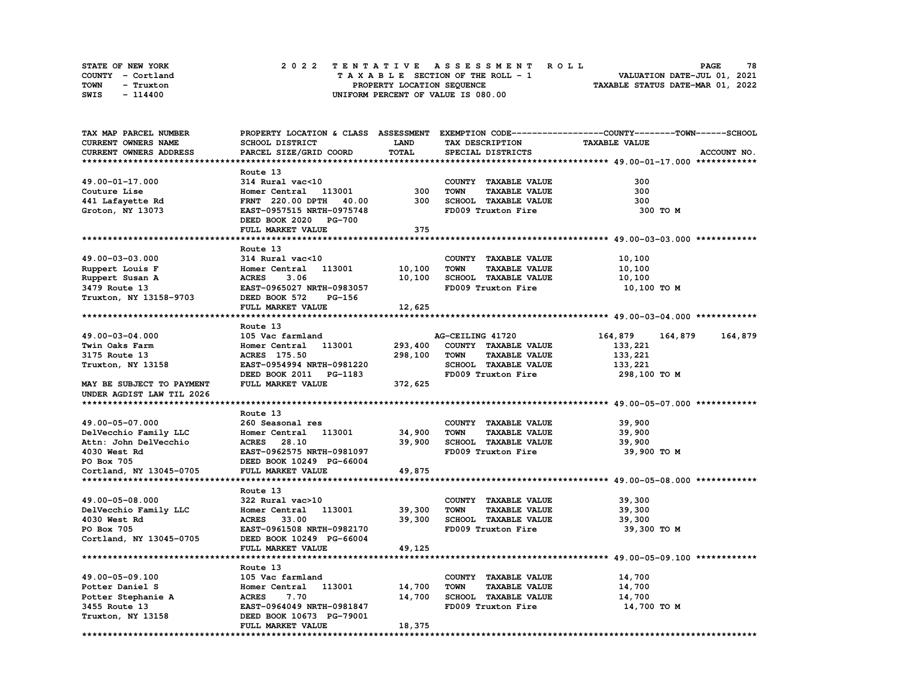| STATE OF NEW YORK | 2022 TENTATIVE ASSESSMENT ROLL     | 78<br><b>PAGE</b>                |
|-------------------|------------------------------------|----------------------------------|
| COUNTY - Cortland | TAXABLE SECTION OF THE ROLL - 1    | VALUATION DATE-JUL 01, 2021      |
| TOWN<br>- Truxton | PROPERTY LOCATION SEOUENCE         | TAXABLE STATUS DATE-MAR 01, 2022 |
| SWIS<br>$-114400$ | UNIFORM PERCENT OF VALUE IS 080.00 |                                  |

| TAX MAP PARCEL NUMBER     |                                  |             |                                     | PROPERTY LOCATION & CLASS ASSESSMENT EXEMPTION CODE-----------------COUNTY-------TOWN-----SCHOOL |
|---------------------------|----------------------------------|-------------|-------------------------------------|--------------------------------------------------------------------------------------------------|
| CURRENT OWNERS NAME       | SCHOOL DISTRICT                  | <b>LAND</b> | TAX DESCRIPTION                     | <b>TAXABLE VALUE</b>                                                                             |
| CURRENT OWNERS ADDRESS    | PARCEL SIZE/GRID COORD           | TOTAL       | SPECIAL DISTRICTS                   | ACCOUNT NO.                                                                                      |
|                           |                                  |             |                                     |                                                                                                  |
|                           | Route 13                         |             |                                     |                                                                                                  |
| 49.00-01-17.000           | 314 Rural vac<10                 |             | COUNTY TAXABLE VALUE                | 300                                                                                              |
| Couture Lise              | Homer Central 113001             | 300         | <b>TOWN</b><br><b>TAXABLE VALUE</b> | 300                                                                                              |
| 441 Lafayette Rd          | <b>FRNT</b> 220.00 DPTH<br>40.00 | 300         | SCHOOL TAXABLE VALUE                | 300                                                                                              |
| Groton, NY 13073          | EAST-0957515 NRTH-0975748        |             | FD009 Truxton Fire                  | 300 TO M                                                                                         |
|                           | DEED BOOK 2020 PG-700            |             |                                     |                                                                                                  |
|                           | FULL MARKET VALUE                | 375         |                                     |                                                                                                  |
|                           |                                  |             |                                     |                                                                                                  |
|                           |                                  |             |                                     |                                                                                                  |
|                           | Route 13                         |             |                                     |                                                                                                  |
| 49.00-03-03.000           | 314 Rural vac<10                 |             | COUNTY TAXABLE VALUE                | 10,100                                                                                           |
| Ruppert Louis F           | 113001<br>Homer Central          | 10,100      | <b>TOWN</b><br><b>TAXABLE VALUE</b> | 10,100                                                                                           |
| Ruppert Susan A           | <b>ACRES</b><br>3.06             | 10,100      | SCHOOL TAXABLE VALUE                | 10,100                                                                                           |
| 3479 Route 13             | EAST-0965027 NRTH-0983057        |             | FD009 Truxton Fire                  | 10,100 TO M                                                                                      |
| Truxton, NY 13158-9703    | DEED BOOK 572<br>PG-156          |             |                                     |                                                                                                  |
|                           | FULL MARKET VALUE                | 12,625      |                                     |                                                                                                  |
|                           |                                  |             |                                     |                                                                                                  |
|                           | Route 13                         |             |                                     |                                                                                                  |
| 49.00-03-04.000           | 105 Vac farmland                 |             | AG-CEILING 41720                    | 164,879<br>164,879<br>164,879                                                                    |
| Twin Oaks Farm            | Homer Central 113001             | 293,400     | COUNTY TAXABLE VALUE                | 133,221                                                                                          |
| 3175 Route 13             | ACRES 175.50                     | 298,100     | <b>TOWN</b><br><b>TAXABLE VALUE</b> | 133,221                                                                                          |
| Truxton, NY 13158         | EAST-0954994 NRTH-0981220        |             | SCHOOL TAXABLE VALUE                | 133,221                                                                                          |
|                           | DEED BOOK 2011 PG-1183           |             | FD009 Truxton Fire                  | 298,100 то м                                                                                     |
| MAY BE SUBJECT TO PAYMENT | FULL MARKET VALUE                | 372,625     |                                     |                                                                                                  |
| UNDER AGDIST LAW TIL 2026 |                                  |             |                                     |                                                                                                  |
|                           |                                  |             |                                     |                                                                                                  |
|                           | Route 13                         |             |                                     |                                                                                                  |
| 49.00-05-07.000           | 260 Seasonal res                 |             | COUNTY TAXABLE VALUE                | 39,900                                                                                           |
| DelVecchio Family LLC     | Homer Central 113001             | 34,900      | <b>TOWN</b><br><b>TAXABLE VALUE</b> | 39,900                                                                                           |
| Attn: John DelVecchio     | ACRES 28.10                      | 39,900      | SCHOOL TAXABLE VALUE                | 39,900                                                                                           |
| 4030 West Rd              | EAST-0962575 NRTH-0981097        |             | FD009 Truxton Fire                  | 39,900 TO M                                                                                      |
|                           | DEED BOOK 10249 PG-66004         |             |                                     |                                                                                                  |
| PO Box 705                | FULL MARKET VALUE                |             |                                     |                                                                                                  |
| Cortland, NY 13045-0705   |                                  | 49,875      |                                     |                                                                                                  |
|                           |                                  |             |                                     |                                                                                                  |
|                           | Route 13                         |             |                                     |                                                                                                  |
| 49.00-05-08.000           | 322 Rural vac>10                 |             | COUNTY TAXABLE VALUE                | 39,300                                                                                           |
| DelVecchio Family LLC     | Homer Central 113001             | 39,300      | <b>TOWN</b><br><b>TAXABLE VALUE</b> | 39,300                                                                                           |
| 4030 West Rd              | 33.00<br><b>ACRES</b>            | 39,300      | SCHOOL TAXABLE VALUE                | 39,300                                                                                           |
| PO Box 705                | EAST-0961508 NRTH-0982170        |             | FD009 Truxton Fire                  | 39,300 TO M                                                                                      |
| Cortland, NY 13045-0705   | DEED BOOK 10249 PG-66004         |             |                                     |                                                                                                  |
|                           | FULL MARKET VALUE                | 49,125      |                                     |                                                                                                  |
|                           |                                  |             |                                     |                                                                                                  |
|                           | Route 13                         |             |                                     |                                                                                                  |
| 49.00-05-09.100           | 105 Vac farmland                 |             | COUNTY TAXABLE VALUE                | 14,700                                                                                           |
| Potter Daniel S           | 113001<br>Homer Central          | 14,700      | <b>TAXABLE VALUE</b><br><b>TOWN</b> | 14,700                                                                                           |
| Potter Stephanie A        | <b>ACRES</b><br>7.70             | 14,700      | <b>SCHOOL TAXABLE VALUE</b>         | 14,700                                                                                           |
| 3455 Route 13             | EAST-0964049 NRTH-0981847        |             | FD009 Truxton Fire                  | 14,700 TO M                                                                                      |
| Truxton, NY 13158         | DEED BOOK 10673 PG-79001         |             |                                     |                                                                                                  |
|                           | FULL MARKET VALUE                | 18,375      |                                     |                                                                                                  |
|                           |                                  |             |                                     |                                                                                                  |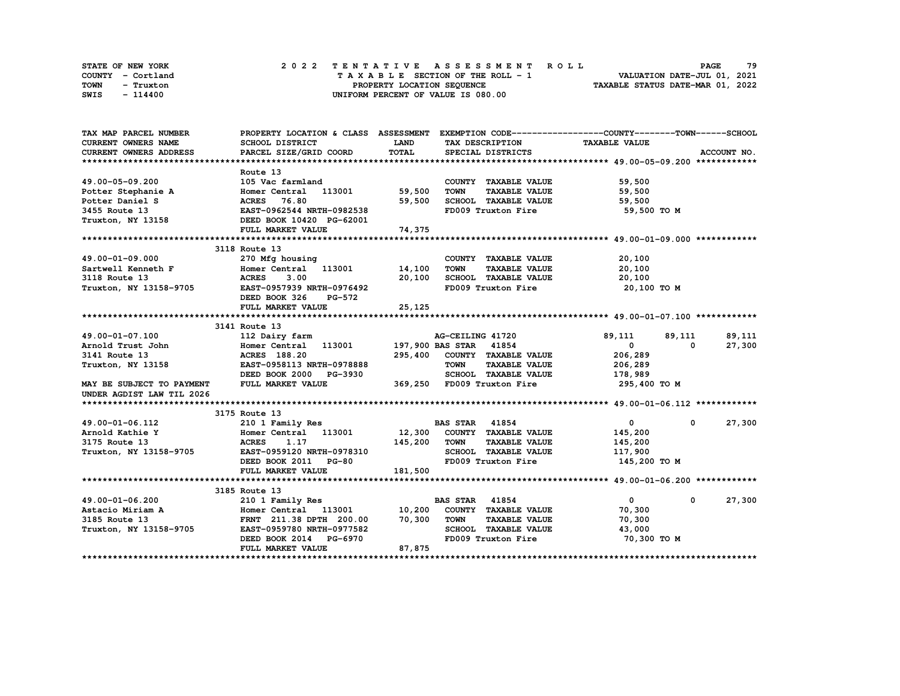| STATE OF NEW YORK | 2022 TENTATIVE ASSESSMENT ROLL     | 79<br><b>PAGE</b>                |
|-------------------|------------------------------------|----------------------------------|
| COUNTY - Cortland | TAXABLE SECTION OF THE ROLL - 1    | VALUATION DATE-JUL 01, 2021      |
| TOWN<br>- Truxton | PROPERTY LOCATION SEQUENCE         | TAXABLE STATUS DATE-MAR 01, 2022 |
| SWIS<br>- 114400  | UNIFORM PERCENT OF VALUE IS 080.00 |                                  |

| TAX MAP PARCEL NUMBER         | PROPERTY LOCATION & CLASS ASSESSMENT EXEMPTION CODE----------------COUNTY-------TOWN-----SCHOOL |             |                                            |                      |                      |
|-------------------------------|-------------------------------------------------------------------------------------------------|-------------|--------------------------------------------|----------------------|----------------------|
| CURRENT OWNERS NAME           | SCHOOL DISTRICT                                                                                 | <b>LAND</b> | TAX DESCRIPTION                            | <b>TAXABLE VALUE</b> |                      |
| <b>CURRENT OWNERS ADDRESS</b> | PARCEL SIZE/GRID COORD                                                                          | TOTAL       | SPECIAL DISTRICTS                          |                      | ACCOUNT NO.          |
|                               |                                                                                                 |             |                                            |                      |                      |
|                               | Route 13                                                                                        |             |                                            |                      |                      |
| 49.00-05-09.200               | 105 Vac farmland                                                                                |             | COUNTY TAXABLE VALUE                       | 59,500               |                      |
| Potter Stephanie A            | Homer Central 113001                                                                            | 59,500      | <b>TOWN</b><br><b>TAXABLE VALUE</b>        | 59,500               |                      |
| Potter Daniel S               | <b>ACRES</b> 76.80                                                                              | 59,500      | SCHOOL TAXABLE VALUE                       | 59,500               |                      |
| 3455 Route 13                 | EAST-0962544 NRTH-0982538                                                                       |             | FD009 Truxton Fire                         | 59,500 TO M          |                      |
| Truxton, NY 13158             | DEED BOOK 10420 PG-62001                                                                        |             |                                            |                      |                      |
|                               | FULL MARKET VALUE                                                                               | 74,375      |                                            |                      |                      |
|                               |                                                                                                 |             |                                            |                      |                      |
|                               | 3118 Route 13                                                                                   |             |                                            |                      |                      |
| 49.00-01-09.000               | 270 Mfg housing                                                                                 |             | COUNTY TAXABLE VALUE                       | 20,100               |                      |
| Sartwell Kenneth F            | Homer Central 113001                                                                            | 14,100      | <b>TOWN</b><br><b>TAXABLE VALUE</b>        | 20,100               |                      |
| 3118 Route 13                 | <b>ACRES</b><br>3.00                                                                            | 20,100      | SCHOOL TAXABLE VALUE<br>FD009 Truxton Fire | 20,100               |                      |
| Truxton, NY 13158-9705        | EAST-0957939 NRTH-0976492                                                                       |             |                                            | 20,100 TO M          |                      |
|                               | DEED BOOK 326<br>PG-572                                                                         |             |                                            |                      |                      |
|                               | FULL MARKET VALUE                                                                               | 25,125      |                                            |                      |                      |
|                               |                                                                                                 |             |                                            |                      |                      |
|                               | 3141 Route 13                                                                                   |             |                                            |                      |                      |
| 49.00-01-07.100               | 112 Dairy farm                                                                                  |             | AG-CEILING 41720                           | 89,111               | 89,111<br>89,111     |
| Arnold Trust John             | Homer Central 113001                                                                            |             | 197,900 BAS STAR 41854                     | $\mathbf{0}$         | $^{\circ}$<br>27,300 |
| 3141 Route 13                 | <b>ACRES</b> 188.20                                                                             | 295,400     | COUNTY TAXABLE VALUE                       | 206,289              |                      |
| Truxton, NY 13158             | EAST-0958113 NRTH-0978888                                                                       |             | <b>TAXABLE VALUE</b><br><b>TOWN</b>        | 206,289              |                      |
|                               | DEED BOOK 2000 PG-3930                                                                          |             | SCHOOL TAXABLE VALUE                       | 178,989              |                      |
| MAY BE SUBJECT TO PAYMENT     | FULL MARKET VALUE                                                                               |             | 369,250 FD009 Truxton Fire                 | 295,400 TO M         |                      |
| UNDER AGDIST LAW TIL 2026     |                                                                                                 |             |                                            |                      |                      |
|                               |                                                                                                 |             |                                            |                      |                      |
|                               | 3175 Route 13                                                                                   |             |                                            |                      |                      |
| 49.00-01-06.112               | 210 1 Family Res                                                                                |             | <b>BAS STAR</b> 41854                      | $\mathbf{0}$         | 27,300<br>$\Omega$   |
| Arnold Kathie Y               | Homer Central 113001 12,300 COUNTY TAXABLE VALUE                                                |             |                                            | 145,200              |                      |
| 3175 Route 13                 | <b>ACRES</b><br>1.17                                                                            | 145,200     | <b>TOWN</b><br><b>TAXABLE VALUE</b>        | 145,200              |                      |
| Truxton, NY 13158-9705        | EAST-0959120 NRTH-0978310                                                                       |             | SCHOOL TAXABLE VALUE                       | 117,900              |                      |
|                               | DEED BOOK 2011 PG-80                                                                            |             | FD009 Truxton Fire                         | 145,200 TO M         |                      |
|                               | FULL MARKET VALUE                                                                               | 181,500     |                                            |                      |                      |
|                               |                                                                                                 |             |                                            |                      |                      |
|                               | 3185 Route 13                                                                                   |             |                                            |                      |                      |
| 49.00-01-06.200               | 210 1 Family Res                                                                                |             | <b>BAS STAR 41854</b>                      | $\mathbf{0}$         | 27,300<br>0          |
| Astacio Miriam A              | Homer Central 113001 10,200                                                                     |             | COUNTY TAXABLE VALUE                       | 70,300               |                      |
| 3185 Route 13                 | FRNT 211.38 DPTH 200.00                                                                         | 70,300      | <b>TOWN</b><br><b>TAXABLE VALUE</b>        | 70,300               |                      |
| Truxton, NY 13158-9705        | EAST-0959780 NRTH-0977582                                                                       |             | SCHOOL TAXABLE VALUE                       | 43,000               |                      |
|                               | DEED BOOK 2014 PG-6970                                                                          |             | FD009 Truxton Fire                         | 70,300 TO M          |                      |
|                               | FULL MARKET VALUE                                                                               | 87,875      |                                            |                      |                      |
|                               |                                                                                                 |             |                                            |                      |                      |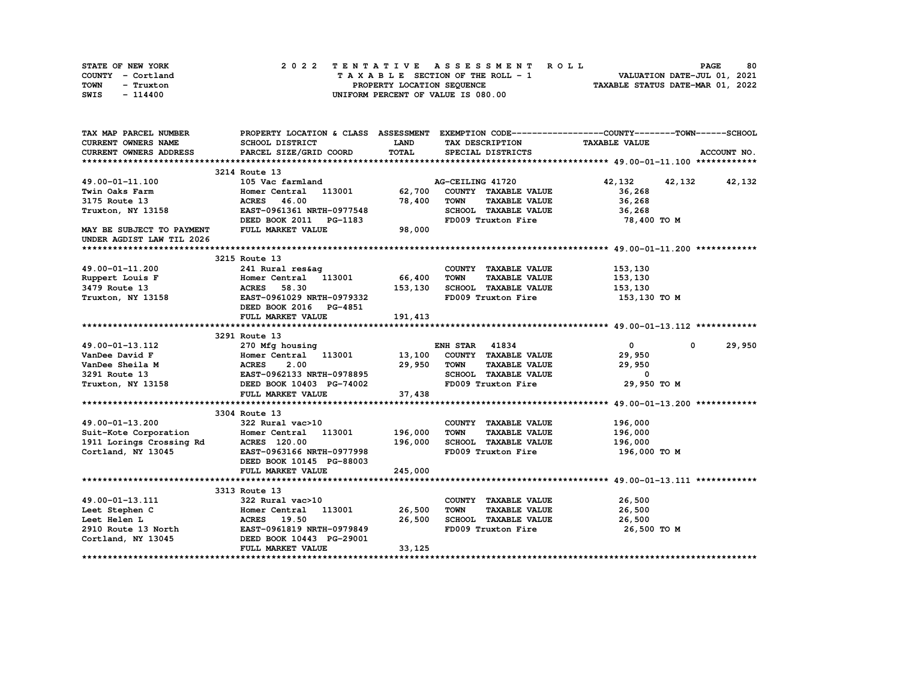| STATE OF NEW YORK | 2022 TENTATIVE ASSESSMENT ROLL     | 80<br><b>PAGE</b>                |
|-------------------|------------------------------------|----------------------------------|
| COUNTY - Cortland | TAXABLE SECTION OF THE ROLL - 1    | VALUATION DATE-JUL 01, 2021      |
| TOWN<br>- Truxton | PROPERTY LOCATION SEQUENCE         | TAXABLE STATUS DATE-MAR 01, 2022 |
| SWIS<br>- 114400  | UNIFORM PERCENT OF VALUE IS 080.00 |                                  |

| TAX MAP PARCEL NUMBER                                  |                                                                                                                                                                                                                                               |             |                                                 | PROPERTY LOCATION & CLASS ASSESSMENT EXEMPTION CODE----------------COUNTY-------TOWN-----SCHOOL |
|--------------------------------------------------------|-----------------------------------------------------------------------------------------------------------------------------------------------------------------------------------------------------------------------------------------------|-------------|-------------------------------------------------|-------------------------------------------------------------------------------------------------|
| CURRENT OWNERS NAME                                    | <b>SCHOOL DISTRICT</b>                                                                                                                                                                                                                        | <b>LAND</b> | TAX DESCRIPTION                                 | <b>TAXABLE VALUE</b>                                                                            |
| <b>CURRENT OWNERS ADDRESS</b>                          | PARCEL SIZE/GRID COORD                                                                                                                                                                                                                        | TOTAL       | SPECIAL DISTRICTS                               | ACCOUNT NO.                                                                                     |
|                                                        |                                                                                                                                                                                                                                               |             |                                                 |                                                                                                 |
|                                                        | 3214 Route 13                                                                                                                                                                                                                                 |             |                                                 |                                                                                                 |
| 49.00-01-11.100                                        | 105 Vac farmland                                                                                                                                                                                                                              |             | AG-CEILING 41720                                | 42, 132 42, 132 42, 132                                                                         |
| Twin Oaks Farm                                         | Homer Central 113001                                                                                                                                                                                                                          | 62,700      | COUNTY TAXABLE VALUE                            | 36,268                                                                                          |
| 3175 Route 13                                          | 46.00<br><b>ACRES</b>                                                                                                                                                                                                                         | 78,400      | <b>TOWN</b><br><b>TAXABLE VALUE</b>             | 36,268                                                                                          |
| Truxton, NY 13158                                      | EAST-0961361 NRTH-0977548                                                                                                                                                                                                                     |             | SCHOOL TAXABLE VALUE                            | 36,268                                                                                          |
|                                                        | DEED BOOK 2011 PG-1183                                                                                                                                                                                                                        |             | FD009 Truxton Fire                              | 78,400 TO M                                                                                     |
| MAY BE SUBJECT TO PAYMENT<br>UNDER AGDIST LAW TIL 2026 | FULL MARKET VALUE                                                                                                                                                                                                                             | 98,000      |                                                 |                                                                                                 |
|                                                        |                                                                                                                                                                                                                                               |             |                                                 |                                                                                                 |
|                                                        | 3215 Route 13                                                                                                                                                                                                                                 |             |                                                 |                                                                                                 |
| 49.00-01-11.200                                        |                                                                                                                                                                                                                                               |             | COUNTY TAXABLE VALUE                            | 153,130                                                                                         |
| Ruppert Louis F                                        | 241 Rural res&ag<br>Homer Central 113001 66,400                                                                                                                                                                                               |             | <b>TOWN</b><br><b>TAXABLE VALUE</b>             | 153,130                                                                                         |
| 3479 Route 13                                          |                                                                                                                                                                                                                                               |             | SCHOOL TAXABLE VALUE                            | 153,130                                                                                         |
| Truxton, NY 13158                                      | ACRES 58.30 153,130<br>EAST-0961029 NRTH-0979332                                                                                                                                                                                              |             | FD009 Truxton Fire 153,130 TO M                 |                                                                                                 |
|                                                        | DEED BOOK 2016 PG-4851                                                                                                                                                                                                                        |             |                                                 |                                                                                                 |
|                                                        | FULL MARKET VALUE                                                                                                                                                                                                                             | 191, 413    |                                                 |                                                                                                 |
|                                                        |                                                                                                                                                                                                                                               |             |                                                 |                                                                                                 |
|                                                        | 3291 Route 13                                                                                                                                                                                                                                 |             |                                                 |                                                                                                 |
| 49.00-01-13.112                                        | 270 Mfg housing                                                                                                                                                                                                                               |             | <b>ENH STAR 41834</b>                           | $\mathbf{0}$<br>29,950<br>0                                                                     |
|                                                        |                                                                                                                                                                                                                                               |             | COUNTY TAXABLE VALUE                            | 29,950                                                                                          |
|                                                        |                                                                                                                                                                                                                                               |             | TAXABLE VALUE                                   | 29,950                                                                                          |
|                                                        |                                                                                                                                                                                                                                               |             | SCHOOL TAXABLE VALUE                            | $\overline{\phantom{a}}$                                                                        |
|                                                        | VanDee David F<br>VanDee David F<br>VanDee Sheila M<br>29,950 TOWN<br>3291 Route 13<br>29,950 TOWN<br>3291 Route 13<br>29,950 TOWN<br>3291 Route 13<br>29,950 TOWN<br>29,950 TOWN<br>29,950 TOWN<br>29,950 TOWN<br>29,950 TOWN<br>29,950 TOWN |             | FD009 Truxton Fire                              | 29,950 ТО М                                                                                     |
|                                                        | FULL MARKET VALUE                                                                                                                                                                                                                             | 37,438      |                                                 |                                                                                                 |
|                                                        |                                                                                                                                                                                                                                               |             |                                                 |                                                                                                 |
|                                                        | 3304 Route 13                                                                                                                                                                                                                                 |             |                                                 |                                                                                                 |
|                                                        |                                                                                                                                                                                                                                               |             | COUNTY TAXABLE VALUE                            | 196,000                                                                                         |
|                                                        | 49.00-01-13.200 322 Rural vac>10<br>Suit-Kote Corporation Bomer Central 113001 196,000<br>1911 Lorings Crossing Rd ACRES 120.00 136,000                                                                                                       |             | <b>TAXABLE VALUE</b><br>TOWN                    | 196,000                                                                                         |
|                                                        |                                                                                                                                                                                                                                               |             | SCHOOL TAXABLE VALUE                            | 196,000                                                                                         |
| Cortland, NY 13045                                     | EAST-0963166 NRTH-0977998                                                                                                                                                                                                                     |             | FD009 Truxton Fire                              | 196,000 то м                                                                                    |
|                                                        | DEED BOOK 10145 PG-88003                                                                                                                                                                                                                      |             |                                                 |                                                                                                 |
|                                                        | FULL MARKET VALUE                                                                                                                                                                                                                             | 245,000     |                                                 |                                                                                                 |
|                                                        |                                                                                                                                                                                                                                               |             |                                                 |                                                                                                 |
|                                                        | 3313 Route 13                                                                                                                                                                                                                                 |             |                                                 |                                                                                                 |
| 49.00-01-13.111                                        | 322 Rural vac>10                                                                                                                                                                                                                              |             | COUNTY TAXABLE VALUE                            | 26,500                                                                                          |
| Leet Stephen C                                         | 113001 26,500<br>Homer Central                                                                                                                                                                                                                |             | <b>TOWN</b><br>TAXABLE VALUE                    | 26,500                                                                                          |
|                                                        | Leet Helen L<br>26,500 2910 Route 13 North EAST-0961819 NRTH-0979849                                                                                                                                                                          | 26,500      | -<br>SCHOOL TAXABLE VALUE<br>EDOO9 Truxton Fire | 26,500                                                                                          |
|                                                        | Cortland, NY 13045 <b>DEED BOOK 10443 PG-29001</b>                                                                                                                                                                                            |             | FD009 Truxton Fire                              | 26,500 TO M                                                                                     |
|                                                        | FULL MARKET VALUE                                                                                                                                                                                                                             |             |                                                 |                                                                                                 |
|                                                        |                                                                                                                                                                                                                                               | 33,125      |                                                 |                                                                                                 |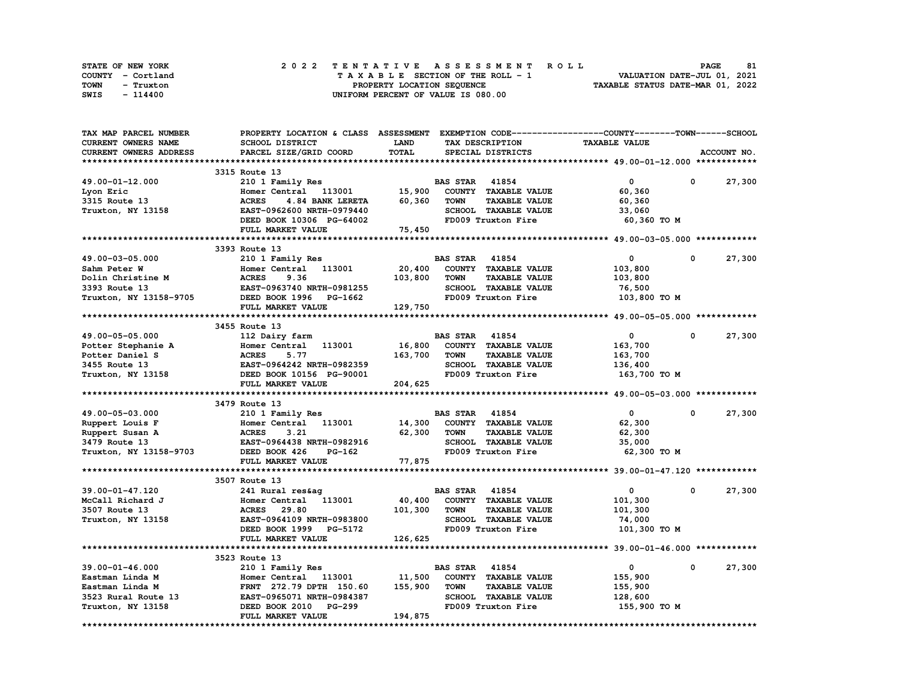| STATE OF NEW YORK | 2022 TENTATIVE ASSESSMENT ROLL     | 81<br><b>PAGE</b>                |
|-------------------|------------------------------------|----------------------------------|
| COUNTY - Cortland | TAXABLE SECTION OF THE ROLL - 1    | VALUATION DATE-JUL 01, 2021      |
| TOWN<br>- Truxton | PROPERTY LOCATION SEQUENCE         | TAXABLE STATUS DATE-MAR 01, 2022 |
| SWIS<br>- 114400  | UNIFORM PERCENT OF VALUE IS 080.00 |                                  |

| TAX MAP PARCEL NUMBER      | PROPERTY LOCATION & CLASS ASSESSMENT EXEMPTION CODE----------------COUNTY-------TOWN-----SCHOOL |              |                                     |                      |              |             |
|----------------------------|-------------------------------------------------------------------------------------------------|--------------|-------------------------------------|----------------------|--------------|-------------|
| <b>CURRENT OWNERS NAME</b> | <b>SCHOOL DISTRICT</b>                                                                          | LAND         | TAX DESCRIPTION                     | <b>TAXABLE VALUE</b> |              |             |
| CURRENT OWNERS ADDRESS     | PARCEL SIZE/GRID COORD                                                                          | <b>TOTAL</b> | SPECIAL DISTRICTS                   |                      |              | ACCOUNT NO. |
|                            |                                                                                                 |              |                                     |                      |              |             |
|                            | 3315 Route 13                                                                                   |              |                                     |                      |              |             |
| 49.00-01-12.000            | 210 1 Family Res                                                                                |              | <b>BAS STAR 41854</b>               | $\mathbf 0$          | 0            | 27,300      |
| Lyon Eric                  | Homer Central 113001                                                                            | 15,900       | COUNTY TAXABLE VALUE                | 60,360               |              |             |
| 3315 Route 13              | <b>ACRES</b><br>4.84 BANK LERETA                                                                | 60,360       | <b>TAXABLE VALUE</b><br><b>TOWN</b> | 60,360               |              |             |
| Truxton, NY 13158          | EAST-0962600 NRTH-0979440                                                                       |              | SCHOOL TAXABLE VALUE                | 33,060               |              |             |
|                            | DEED BOOK 10306 PG-64002                                                                        |              | FD009 Truxton Fire                  | 60,360 ТО М          |              |             |
|                            | FULL MARKET VALUE                                                                               | 75,450       |                                     |                      |              |             |
|                            |                                                                                                 |              |                                     |                      |              |             |
|                            | 3393 Route 13                                                                                   |              |                                     |                      |              |             |
| 49.00-03-05.000            | 210 1 Family Res                                                                                |              | <b>BAS STAR</b><br>41854            | $\mathbf{o}$         | 0            | 27,300      |
|                            |                                                                                                 |              |                                     |                      |              |             |
| Sahm Peter W               | Homer Central<br>113001                                                                         | 20,400       | COUNTY TAXABLE VALUE                | 103,800              |              |             |
| Dolin Christine M          | <b>ACRES</b><br>9.36                                                                            | 103,800      | <b>TOWN</b><br><b>TAXABLE VALUE</b> | 103,800              |              |             |
| 3393 Route 13              | EAST-0963740 NRTH-0981255                                                                       |              | <b>SCHOOL TAXABLE VALUE</b>         | 76,500               |              |             |
| Truxton, NY 13158-9705     | DEED BOOK 1996 PG-1662                                                                          |              | FD009 Truxton Fire                  | 103,800 TO M         |              |             |
|                            | FULL MARKET VALUE                                                                               | 129,750      |                                     |                      |              |             |
|                            |                                                                                                 |              |                                     |                      |              |             |
|                            | 3455 Route 13                                                                                   |              |                                     |                      |              |             |
| 49.00-05-05.000            | 112 Dairy farm                                                                                  |              | <b>BAS STAR 41854</b>               | $\mathbf 0$          | $\Omega$     | 27,300      |
| Potter Stephanie A         | Homer Central<br>113001                                                                         | 16,800       | COUNTY TAXABLE VALUE                | 163,700              |              |             |
| Potter Daniel S            | <b>ACRES</b><br>5.77                                                                            | 163,700      | <b>TOWN</b><br><b>TAXABLE VALUE</b> | 163,700              |              |             |
| 3455 Route 13              | EAST-0964242 NRTH-0982359                                                                       |              | <b>SCHOOL TAXABLE VALUE</b>         | 136,400              |              |             |
| Truxton, NY 13158          | DEED BOOK 10156 PG-90001                                                                        |              | FD009 Truxton Fire                  | 163,700 то м         |              |             |
|                            | FULL MARKET VALUE                                                                               | 204,625      |                                     |                      |              |             |
|                            |                                                                                                 |              |                                     |                      |              |             |
|                            | 3479 Route 13                                                                                   |              |                                     |                      |              |             |
| 49.00-05-03.000            | 210 1 Family Res                                                                                |              | <b>BAS STAR 41854</b>               | $\mathbf{0}$         | 0            | 27,300      |
| Ruppert Louis F            | 113001<br>Homer Central                                                                         | 14,300       | COUNTY TAXABLE VALUE                | 62,300               |              |             |
| Ruppert Susan A            | <b>ACRES</b><br>3.21                                                                            | 62,300       | TAXABLE VALUE<br><b>TOWN</b>        | 62,300               |              |             |
| 3479 Route 13              | EAST-0964438 NRTH-0982916                                                                       |              | SCHOOL TAXABLE VALUE                | 35,000               |              |             |
| Truxton, NY 13158-9703     | DEED BOOK 426<br>PG-162                                                                         |              | FD009 Truxton Fire                  | 62,300 TO M          |              |             |
|                            | FULL MARKET VALUE                                                                               | 77,875       |                                     |                      |              |             |
|                            |                                                                                                 |              |                                     |                      |              |             |
|                            |                                                                                                 |              |                                     |                      |              |             |
|                            | 3507 Route 13                                                                                   |              |                                     |                      |              |             |
| 39.00-01-47.120            | 241 Rural res&ag                                                                                |              | <b>BAS STAR</b><br>41854            | 0                    | 0            | 27,300      |
| McCall Richard J           | Homer Central 113001                                                                            | 40,400       | COUNTY TAXABLE VALUE                | 101,300              |              |             |
| 3507 Route 13              | <b>ACRES</b><br>29.80                                                                           | 101,300      | <b>TOWN</b><br><b>TAXABLE VALUE</b> | 101,300              |              |             |
| Truxton, NY 13158          | EAST-0964109 NRTH-0983800                                                                       |              | <b>SCHOOL TAXABLE VALUE</b>         | 74,000               |              |             |
|                            | DEED BOOK 1999 PG-5172                                                                          |              | FD009 Truxton Fire                  | 101,300 TO M         |              |             |
|                            | FULL MARKET VALUE                                                                               | 126,625      |                                     |                      |              |             |
|                            |                                                                                                 |              |                                     |                      |              |             |
|                            | 3523 Route 13                                                                                   |              |                                     |                      |              |             |
| 39.00-01-46.000            | 210 1 Family Res                                                                                |              | <b>BAS STAR 41854</b>               | $\mathbf 0$          | $\mathbf{0}$ | 27,300      |
| Eastman Linda M            | Homer Central 113001                                                                            | 11,500       | COUNTY TAXABLE VALUE                | 155,900              |              |             |
| Eastman Linda M            | FRNT 272.79 DPTH 150.60                                                                         | 155,900      | <b>TOWN</b><br><b>TAXABLE VALUE</b> | 155,900              |              |             |
| 3523 Rural Route 13        | EAST-0965071 NRTH-0984387                                                                       |              | <b>SCHOOL TAXABLE VALUE</b>         | 128,600              |              |             |
| Truxton, NY 13158          | DEED BOOK 2010<br><b>PG-299</b>                                                                 |              | FD009 Truxton Fire                  | 155,900 то м         |              |             |
|                            | FULL MARKET VALUE                                                                               | 194,875      |                                     |                      |              |             |
|                            |                                                                                                 |              |                                     |                      |              |             |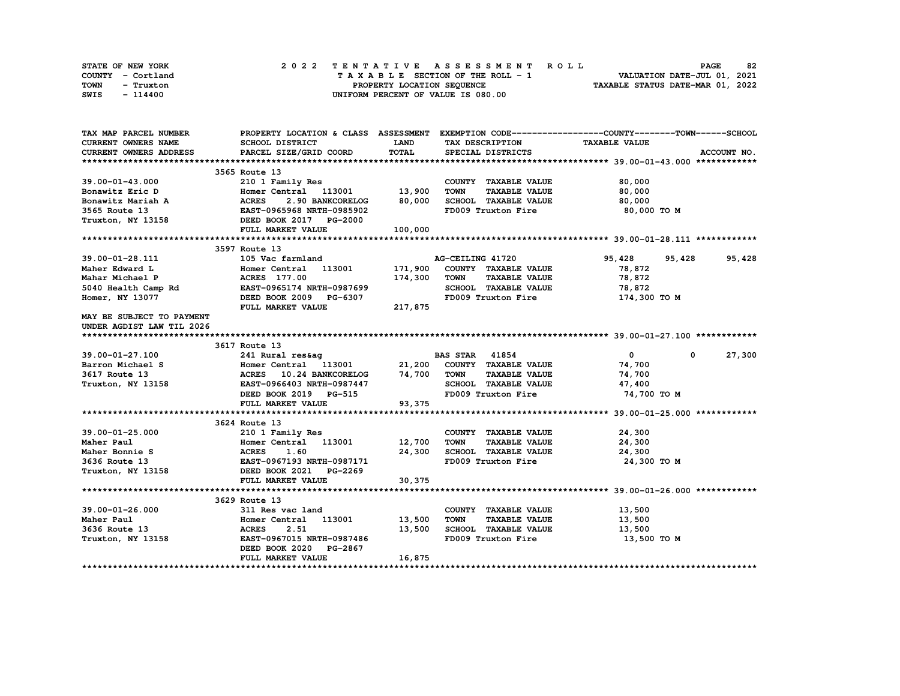| STATE OF NEW YORK | 2022 TENTATIVE ASSESSMENT ROLL     | 82<br><b>PAGE</b>                |
|-------------------|------------------------------------|----------------------------------|
| COUNTY - Cortland | TAXABLE SECTION OF THE ROLL - 1    | VALUATION DATE-JUL 01, 2021      |
| TOWN<br>- Truxton | PROPERTY LOCATION SEQUENCE         | TAXABLE STATUS DATE-MAR 01, 2022 |
| SWIS<br>- 114400  | UNIFORM PERCENT OF VALUE IS 080.00 |                                  |

| TAX MAP PARCEL NUMBER                                                                                                           | PROPERTY LOCATION & CLASS ASSESSMENT EXEMPTION CODE----------------COUNTY-------TOWN------SCHOOL      |             |                                                          |                     |                        |
|---------------------------------------------------------------------------------------------------------------------------------|-------------------------------------------------------------------------------------------------------|-------------|----------------------------------------------------------|---------------------|------------------------|
| CURRENT OWNERS NAME                                                                                                             | SCHOOL DISTRICT                                                                                       | <b>LAND</b> | TAX DESCRIPTION TAXABLE VALUE                            |                     |                        |
| <b>CURRENT OWNERS ADDRESS</b>                                                                                                   | PARCEL SIZE/GRID COORD                                                                                | TOTAL       | SPECIAL DISTRICTS                                        |                     | ACCOUNT NO.            |
|                                                                                                                                 |                                                                                                       |             |                                                          |                     |                        |
|                                                                                                                                 | 3565 Route 13                                                                                         |             |                                                          |                     |                        |
| 39.00-01-43.000                                                                                                                 | 210 1 Family Res<br>Homer Central 113001 13,900                                                       |             | COUNTY TAXABLE VALUE                                     | 80,000              |                        |
| Bonawitz Eric D                                                                                                                 |                                                                                                       |             | <b>TOWN</b><br><b>TAXABLE VALUE</b>                      | 80,000              |                        |
|                                                                                                                                 | 2.90 BANKCORELOG 80,000                                                                               |             | SCHOOL TAXABLE VALUE                                     | 80,000              |                        |
|                                                                                                                                 |                                                                                                       |             | FD009 Truxton Fire                                       | 80,000 TO M         |                        |
| Bonawitz Mariah A MCRES 2.90 BANKCORELOG<br>3565 Route 13 EAST-0965968 NRTH-0985902<br>Truxton, NY 13158 DEED BOOK 2017 PG-2000 |                                                                                                       |             |                                                          |                     |                        |
|                                                                                                                                 | FULL MARKET VALUE                                                                                     | 100,000     |                                                          |                     |                        |
|                                                                                                                                 |                                                                                                       |             |                                                          |                     |                        |
|                                                                                                                                 | 3597 Route 13                                                                                         |             |                                                          |                     |                        |
| 39.00-01-28.111                                                                                                                 | 105 Vac farmland<br>105 Vac farmla<br>Homer Central<br>ACRES 177.00                                   |             | <b>AG-CEILING 41720<br/>171,900 COUNTY TAXABLE VALUE</b> | 95,428<br>95,428    | 95,428                 |
| Maher Edward L                                                                                                                  | Homer Central 113001                                                                                  |             |                                                          | 78,872              |                        |
| Mahar Michael P                                                                                                                 |                                                                                                       | 174,300     | <b>TOWN</b><br><b>TAXABLE VALUE</b>                      | 78,872              |                        |
|                                                                                                                                 |                                                                                                       |             | SCHOOL TAXABLE VALUE                                     | 78,872              |                        |
| Homer, NY 13077                                                                                                                 | DEED BOOK 2009 PG-6307                                                                                |             | FD009 Truxton Fire                                       | 174,300 то м        |                        |
|                                                                                                                                 | FULL MARKET VALUE                                                                                     | 217,875     |                                                          |                     |                        |
| MAY BE SUBJECT TO PAYMENT                                                                                                       |                                                                                                       |             |                                                          |                     |                        |
| UNDER AGDIST LAW TIL 2026                                                                                                       |                                                                                                       |             |                                                          |                     |                        |
|                                                                                                                                 |                                                                                                       |             |                                                          |                     |                        |
|                                                                                                                                 | 3617 Route 13                                                                                         |             |                                                          |                     |                        |
| 39.00-01-27.100                                                                                                                 | 241 Rural res&ag BAS STAR 41854                                                                       |             |                                                          | $\bullet$ $\bullet$ | 27,300<br>$\mathbf{0}$ |
| Barron Michael S                                                                                                                | Homer Central 113001 21,200 COUNTY TAXABLE VALUE<br>ACRES 10.24 BANKCORELOG 74,700 TOWN TAXABLE VALUE |             |                                                          | 74,700              |                        |
| 3617 Route 13                                                                                                                   |                                                                                                       |             |                                                          | 74,700              |                        |
| Truxton, NY 13158 EAST-0966403 NRTH-0987447                                                                                     |                                                                                                       |             | SCHOOL TAXABLE VALUE 47,400                              |                     |                        |
|                                                                                                                                 | DEED BOOK 2019 PG-515                                                                                 |             | FD009 Truxton Fire                                       | 74,700 TO M         |                        |
|                                                                                                                                 | FULL MARKET VALUE                                                                                     | 93,375      |                                                          |                     |                        |
|                                                                                                                                 |                                                                                                       |             |                                                          |                     |                        |
|                                                                                                                                 | 3624 Route 13                                                                                         |             |                                                          |                     |                        |
| 39.00-01-25.000                                                                                                                 | 210 1 Family Res                                                                                      |             | COUNTY TAXABLE VALUE                                     | 24,300              |                        |
| Maher Paul                                                                                                                      |                                                                                                       |             | <b>TAXABLE VALUE</b><br><b>TOWN</b>                      | 24,300              |                        |
| Maher Bonnie S                                                                                                                  | Homer Central 113001 12,700<br>ACRES 1.60 24,300<br>EAST-0967193 NRTH-0987171                         | 24,300      | TOWN LOW----<br>SCHOOL TAXABLE VALUE                     | 24,300              |                        |
| 3636 Route 13                                                                                                                   |                                                                                                       |             | FD009 Truxton Fire                                       | 24,300 TO M         |                        |
| Truxton, NY 13158 <b>DEED BOOK 2021</b> PG-2269                                                                                 |                                                                                                       |             |                                                          |                     |                        |
|                                                                                                                                 | FULL MARKET VALUE                                                                                     | 30,375      |                                                          |                     |                        |
|                                                                                                                                 |                                                                                                       |             |                                                          |                     |                        |
|                                                                                                                                 | 3629 Route 13                                                                                         |             |                                                          |                     |                        |
| 39.00-01-26.000                                                                                                                 | 311 Res vac land                                                                                      |             | COUNTY TAXABLE VALUE                                     | 13,500              |                        |
| Maher Paul                                                                                                                      | Homer Central 113001 13,500                                                                           |             | <b>TOWN</b><br><b>TAXABLE VALUE</b>                      | 13,500              |                        |
| 3636 Route 13<br>Truxton, NY 13158                                                                                              |                                                                                                       |             | SCHOOL TAXABLE VALUE                                     | 13,500              |                        |
|                                                                                                                                 |                                                                                                       |             | FD009 Truxton Fire                                       | 13,500 TO M         |                        |
|                                                                                                                                 | DEED BOOK 2020 PG-2867                                                                                |             |                                                          |                     |                        |
|                                                                                                                                 | FULL MARKET VALUE                                                                                     | 16,875      |                                                          |                     |                        |
|                                                                                                                                 |                                                                                                       |             |                                                          |                     |                        |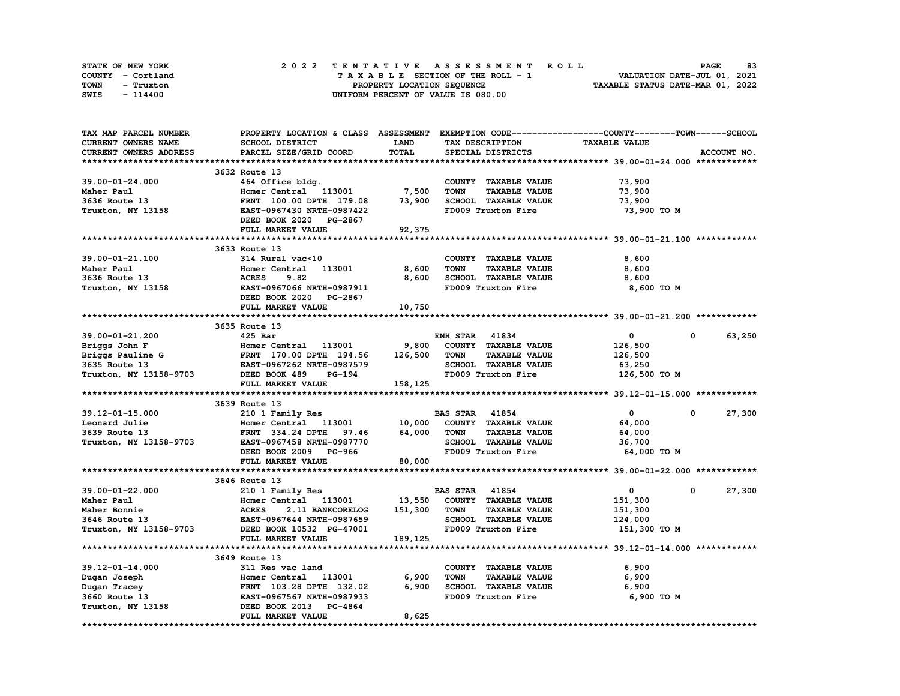| STATE OF NEW YORK | 2022 TENTATIVE ASSESSMENT ROLL     | 83<br><b>PAGE</b>                |
|-------------------|------------------------------------|----------------------------------|
| COUNTY - Cortland | TAXABLE SECTION OF THE ROLL - 1    | VALUATION DATE-JUL 01, 2021      |
| TOWN<br>- Truxton | PROPERTY LOCATION SEQUENCE         | TAXABLE STATUS DATE-MAR 01, 2022 |
| SWIS<br>- 114400  | UNIFORM PERCENT OF VALUE IS 080.00 |                                  |

| TAX MAP PARCEL NUMBER      | PROPERTY LOCATION & CLASS ASSESSMENT |         | EXEMPTION CODE-----------------COUNTY-------TOWN------SCHOOL |                      |                      |
|----------------------------|--------------------------------------|---------|--------------------------------------------------------------|----------------------|----------------------|
| <b>CURRENT OWNERS NAME</b> | SCHOOL DISTRICT                      | LAND    | TAX DESCRIPTION                                              | <b>TAXABLE VALUE</b> |                      |
| CURRENT OWNERS ADDRESS     | PARCEL SIZE/GRID COORD               | TOTAL   | SPECIAL DISTRICTS                                            |                      | ACCOUNT NO.          |
|                            |                                      |         |                                                              |                      |                      |
|                            | 3632 Route 13                        |         |                                                              |                      |                      |
| $39.00 - 01 - 24.000$      | 464 Office bldg.                     |         | COUNTY TAXABLE VALUE                                         | 73,900               |                      |
| Maher Paul                 | Homer Central 113001                 | 7,500   | <b>TOWN</b><br><b>TAXABLE VALUE</b>                          | 73,900               |                      |
| 3636 Route 13              | FRNT 100.00 DPTH 179.08              | 73,900  | SCHOOL TAXABLE VALUE                                         | 73,900               |                      |
| Truxton, NY 13158          | EAST-0967430 NRTH-0987422            |         | FD009 Truxton Fire                                           | 73,900 TO M          |                      |
|                            | DEED BOOK 2020 PG-2867               |         |                                                              |                      |                      |
|                            | FULL MARKET VALUE                    | 92,375  |                                                              |                      |                      |
|                            |                                      |         |                                                              |                      |                      |
|                            | 3633 Route 13                        |         |                                                              |                      |                      |
| 39.00-01-21.100            | 314 Rural vac<10                     |         | COUNTY TAXABLE VALUE                                         | 8,600                |                      |
| Maher Paul                 | 113001<br>Homer Central              | 8,600   | <b>TOWN</b><br><b>TAXABLE VALUE</b>                          | 8,600                |                      |
| 3636 Route 13              | <b>ACRES</b><br>9.82                 | 8,600   | SCHOOL TAXABLE VALUE                                         | 8,600                |                      |
| Truxton, NY 13158          | EAST-0967066 NRTH-0987911            |         | FD009 Truxton Fire                                           | 8,600 TO M           |                      |
|                            | DEED BOOK 2020 PG-2867               |         |                                                              |                      |                      |
|                            | FULL MARKET VALUE                    | 10,750  |                                                              |                      |                      |
|                            |                                      |         |                                                              |                      |                      |
|                            | 3635 Route 13                        |         |                                                              |                      |                      |
| 39.00-01-21.200            | $425$ Bar                            |         | <b>ENH STAR 41834</b>                                        | $\mathbf{0}$         | 63,250<br>$\Omega$   |
| Briggs John F              | Homer Central 113001                 | 9,800   | COUNTY TAXABLE VALUE                                         | 126,500              |                      |
| Briggs Pauline G           | FRNT 170.00 DPTH 194.56              | 126,500 | <b>TOWN</b><br><b>TAXABLE VALUE</b>                          | 126,500              |                      |
| 3635 Route 13              | EAST-0967262 NRTH-0987579            |         | SCHOOL TAXABLE VALUE                                         | 63,250               |                      |
| Truxton, NY 13158-9703     | DEED BOOK 489<br><b>PG-194</b>       |         | FD009 Truxton Fire                                           | 126,500 TO M         |                      |
|                            | FULL MARKET VALUE                    | 158,125 |                                                              |                      |                      |
|                            |                                      |         |                                                              |                      |                      |
|                            | 3639 Route 13                        |         |                                                              |                      |                      |
| $39.12 - 01 - 15.000$      | 210 1 Family Res                     |         | <b>BAS STAR 41854</b>                                        | $\mathbf{0}$         | 27,300<br>$^{\circ}$ |
| Leonard Julie              | Homer Central 113001                 | 10,000  | COUNTY TAXABLE VALUE                                         | 64,000               |                      |
| 3639 Route 13              | FRNT 334.24 DPTH 97.46               | 64,000  | <b>TAXABLE VALUE</b><br>TOWN                                 | 64,000               |                      |
| Truxton, NY 13158-9703     | EAST-0967458 NRTH-0987770            |         | SCHOOL TAXABLE VALUE                                         | 36,700               |                      |
|                            | DEED BOOK 2009 PG-966                |         | FD009 Truxton Fire                                           | 64,000 TO M          |                      |
|                            | FULL MARKET VALUE                    | 80,000  |                                                              |                      |                      |
|                            |                                      |         |                                                              |                      |                      |
|                            | 3646 Route 13                        |         |                                                              |                      |                      |
| 39.00-01-22.000            | 210 1 Family Res                     |         | <b>BAS STAR</b><br>41854                                     | $\mathbf{0}$         | 27,300<br>0          |
| Maher Paul                 | Homer Central 113001                 | 13,550  | COUNTY TAXABLE VALUE                                         | 151,300              |                      |
| Maher Bonnie               | <b>ACRES</b><br>2.11 BANKCORELOG     | 151,300 | <b>TOWN</b><br><b>TAXABLE VALUE</b>                          | 151,300              |                      |
| 3646 Route 13              | EAST-0967644 NRTH-0987659            |         | <b>SCHOOL TAXABLE VALUE</b>                                  | 124,000              |                      |
| Truxton, NY 13158-9703     | DEED BOOK 10532 PG-47001             |         | FD009 Truxton Fire                                           | 151,300 TO M         |                      |
|                            | FULL MARKET VALUE                    | 189,125 |                                                              |                      |                      |
|                            |                                      |         |                                                              |                      |                      |
|                            | 3649 Route 13                        |         |                                                              |                      |                      |
| 39.12-01-14.000            | 311 Res vac land                     |         | COUNTY TAXABLE VALUE                                         | 6,900                |                      |
| Dugan Joseph               | Homer Central 113001                 | 6,900   | <b>TOWN</b><br><b>TAXABLE VALUE</b>                          | 6,900                |                      |
| Dugan Tracey               | FRNT 103.28 DPTH 132.02              | 6,900   | SCHOOL TAXABLE VALUE                                         | 6,900                |                      |
| 3660 Route 13              | EAST-0967567 NRTH-0987933            |         | FD009 Truxton Fire                                           | 6,900 TO M           |                      |
| Truxton, NY 13158          | DEED BOOK 2013<br><b>PG-4864</b>     |         |                                                              |                      |                      |
|                            | FULL MARKET VALUE                    | 8,625   |                                                              |                      |                      |
|                            |                                      |         |                                                              |                      |                      |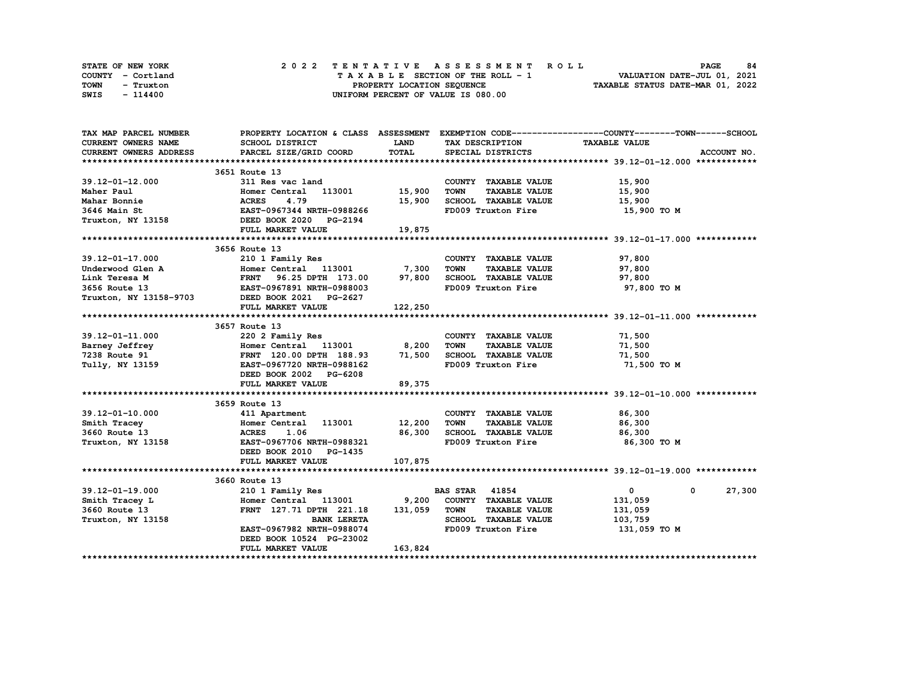|      | STATE OF NEW YORK |  | 2022 TENTATIVE ASSESSMENT ROLL |  |  |  |                                    |  |  |  |  |  |  |                                  | <b>PAGE</b> | 84 |
|------|-------------------|--|--------------------------------|--|--|--|------------------------------------|--|--|--|--|--|--|----------------------------------|-------------|----|
|      | COUNTY - Cortland |  |                                |  |  |  | TAXABLE SECTION OF THE ROLL - 1    |  |  |  |  |  |  | VALUATION DATE-JUL 01, 2021      |             |    |
| TOWN | - Truxton         |  |                                |  |  |  | PROPERTY LOCATION SEQUENCE         |  |  |  |  |  |  | TAXABLE STATUS DATE-MAR 01, 2022 |             |    |
| SWIS | - 114400          |  |                                |  |  |  | UNIFORM PERCENT OF VALUE IS 080.00 |  |  |  |  |  |  |                                  |             |    |

| TAX MAP PARCEL NUMBER         |                                                                                                                                                                                                     |             |                                     | PROPERTY LOCATION & CLASS ASSESSMENT EXEMPTION CODE----------------COUNTY-------TOWN------SCHOOL |
|-------------------------------|-----------------------------------------------------------------------------------------------------------------------------------------------------------------------------------------------------|-------------|-------------------------------------|--------------------------------------------------------------------------------------------------|
| <b>CURRENT OWNERS NAME</b>    | SCHOOL DISTRICT                                                                                                                                                                                     | <b>LAND</b> | TAX DESCRIPTION                     | <b>TAXABLE VALUE</b>                                                                             |
| <b>CURRENT OWNERS ADDRESS</b> | PARCEL SIZE/GRID COORD                                                                                                                                                                              | TOTAL       | SPECIAL DISTRICTS                   | ACCOUNT NO.                                                                                      |
|                               |                                                                                                                                                                                                     |             |                                     |                                                                                                  |
|                               | 3651 Route 13                                                                                                                                                                                       |             |                                     |                                                                                                  |
| $39.12 - 01 - 12.000$         | 311 Res vac land                                                                                                                                                                                    |             | COUNTY TAXABLE VALUE                | 15,900                                                                                           |
| Maher Paul                    | Homer Central 113001                                                                                                                                                                                | 15,900      | <b>TOWN</b><br><b>TAXABLE VALUE</b> | 15,900                                                                                           |
| Mahar Bonnie                  |                                                                                                                                                                                                     | 15,900      | SCHOOL TAXABLE VALUE                | 15,900                                                                                           |
| 3646 Main St                  |                                                                                                                                                                                                     |             | FD009 Truxton Fire                  | 15,900 TO M                                                                                      |
| Truxton, NY 13158             | <b>ACRES      4.79<br/>EAST-0967344  NRTH-0988266<br/>DEED BOOK 2020     PG-2194</b>                                                                                                                |             |                                     |                                                                                                  |
|                               | FULL MARKET VALUE                                                                                                                                                                                   | 19,875      |                                     |                                                                                                  |
|                               |                                                                                                                                                                                                     |             |                                     |                                                                                                  |
|                               | 3656 Route 13                                                                                                                                                                                       |             |                                     |                                                                                                  |
| 39.12-01-17.000               | 210 1 Family Res                                                                                                                                                                                    |             | COUNTY TAXABLE VALUE                | 97,800                                                                                           |
| Underwood Glen A              | Homer Central 113001 7,300                                                                                                                                                                          |             | <b>TOWN</b><br><b>TAXABLE VALUE</b> | 97,800                                                                                           |
| Link Teresa M                 | FRNT 96.25 DPTH 173.00                                                                                                                                                                              | 97,800      | SCHOOL TAXABLE VALUE                | 97,800                                                                                           |
| 3656 Route 13                 | A Homer Central 113001<br>FRNT 96.25 DPTH 173.00<br>EAST-0967891 NRTH-0988003                                                                                                                       |             | FD009 Truxton Fire                  | 97,800 TO M                                                                                      |
|                               | Truxton, NY 13158-9703 DEED BOOK 2021 PG-2627                                                                                                                                                       |             |                                     |                                                                                                  |
|                               | FULL MARKET VALUE                                                                                                                                                                                   | 122,250     |                                     |                                                                                                  |
|                               |                                                                                                                                                                                                     |             |                                     |                                                                                                  |
|                               | 3657 Route 13                                                                                                                                                                                       |             |                                     |                                                                                                  |
| 39.12-01-11.000               | 220 2 Family Res                                                                                                                                                                                    |             | COUNTY TAXABLE VALUE                | 71,500                                                                                           |
|                               |                                                                                                                                                                                                     |             | <b>TOWN</b><br><b>TAXABLE VALUE</b> | 71,500                                                                                           |
|                               | Barney Jeffrey<br>Tang Jeffrey<br>Tang Jeffrey<br>Tang Jeffrey<br>Tang Homer Central 113001 8,200<br>Tang Jeffrey<br>ERNT 120.00 DPTH 188.93 71,500<br>Tully, NY 13159<br>EAST-0967720 NRTH-0988162 |             | SCHOOL TAXABLE VALUE                | 71,500                                                                                           |
| Tully, NY 13159               |                                                                                                                                                                                                     |             | FD009 Truxton Fire                  | 71,500 TO M                                                                                      |
|                               | DEED BOOK 2002 PG-6208                                                                                                                                                                              |             |                                     |                                                                                                  |
|                               | FULL MARKET VALUE                                                                                                                                                                                   | 89,375      |                                     |                                                                                                  |
|                               |                                                                                                                                                                                                     |             |                                     |                                                                                                  |
|                               | 3659 Route 13                                                                                                                                                                                       |             |                                     |                                                                                                  |
| 39.12-01-10.000               | 411 Apartment                                                                                                                                                                                       |             | COUNTY TAXABLE VALUE                | 86,300                                                                                           |
| Smith Tracey                  | Homer Central 113001                                                                                                                                                                                | 12,200      | <b>TOWN</b><br><b>TAXABLE VALUE</b> | 86,300                                                                                           |
| 3660 Route 13                 | <b>ACRES</b><br>1.06                                                                                                                                                                                | 86,300      | SCHOOL TAXABLE VALUE                | 86,300                                                                                           |
| Truxton, NY 13158             | EAST-0967706 NRTH-0988321                                                                                                                                                                           |             | FD009 Truxton Fire                  | 86,300 то м                                                                                      |
|                               | DEED BOOK 2010 PG-1435                                                                                                                                                                              |             |                                     |                                                                                                  |
|                               | FULL MARKET VALUE                                                                                                                                                                                   | 107,875     |                                     |                                                                                                  |
|                               |                                                                                                                                                                                                     |             |                                     |                                                                                                  |
|                               | 3660 Route 13                                                                                                                                                                                       |             |                                     |                                                                                                  |
| $39.12 - 01 - 19.000$         | 210 1 Family Res                                                                                                                                                                                    |             | <b>BAS STAR</b> 41854               | $\mathbf{0}$<br>27,300<br>0                                                                      |
| Smith Tracey L                | Homer Central 113001 9,200                                                                                                                                                                          |             | COUNTY TAXABLE VALUE                | 131,059                                                                                          |
| 3660 Route 13                 | FRNT 127.71 DPTH 221.18 131,059                                                                                                                                                                     |             | <b>TAXABLE VALUE</b><br>TOWN        | 131,059                                                                                          |
| Truxton, NY 13158             | <b>BANK LERETA</b>                                                                                                                                                                                  |             | SCHOOL TAXABLE VALUE                | 103,759                                                                                          |
|                               | EAST-0967982 NRTH-0988074                                                                                                                                                                           |             | FD009 Truxton Fire                  | 131,059 TO M                                                                                     |
|                               | DEED BOOK 10524 PG-23002                                                                                                                                                                            |             |                                     |                                                                                                  |
|                               | FULL MARKET VALUE                                                                                                                                                                                   | 163,824     |                                     |                                                                                                  |
|                               |                                                                                                                                                                                                     |             |                                     |                                                                                                  |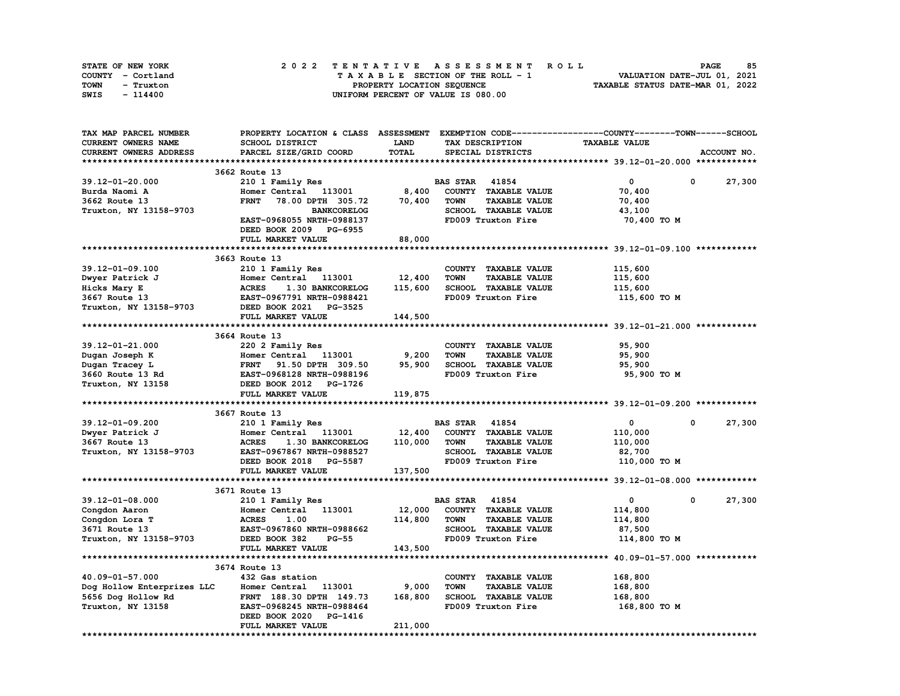| STATE OF NEW YORK | 2022 TENTATIVE ASSESSMENT ROLL     | 85<br><b>PAGE</b>                |
|-------------------|------------------------------------|----------------------------------|
| COUNTY - Cortland | TAXABLE SECTION OF THE ROLL - 1    | VALUATION DATE-JUL 01, 2021      |
| TOWN<br>- Truxton | PROPERTY LOCATION SEQUENCE         | TAXABLE STATUS DATE-MAR 01, 2022 |
| SWIS<br>- 114400  | UNIFORM PERCENT OF VALUE IS 080.00 |                                  |

| TAX MAP PARCEL NUMBER                   | PROPERTY LOCATION & CLASS ASSESSMENT EXEMPTION CODE-----------------COUNTY-------TOWN------SCHOOL |              |                                     |                      |                      |
|-----------------------------------------|---------------------------------------------------------------------------------------------------|--------------|-------------------------------------|----------------------|----------------------|
| CURRENT OWNERS NAME                     | SCHOOL DISTRICT                                                                                   | <b>LAND</b>  | TAX DESCRIPTION                     | <b>TAXABLE VALUE</b> |                      |
| CURRENT OWNERS ADDRESS                  | PARCEL SIZE/GRID COORD                                                                            | <b>TOTAL</b> | SPECIAL DISTRICTS                   |                      | ACCOUNT NO.          |
|                                         |                                                                                                   |              |                                     |                      |                      |
|                                         | 3662 Route 13                                                                                     |              |                                     |                      |                      |
| $39.12 - 01 - 20.000$                   | 210 1 Family Res                                                                                  |              | <b>BAS STAR 41854</b>               | 0                    | 27,300<br>0          |
| Burda Naomi A                           | Homer Central 113001                                                                              | 8,400        | COUNTY TAXABLE VALUE                | 70,400               |                      |
| 3662 Route 13                           | 78.00 DPTH 305.72<br><b>FRNT</b>                                                                  | 70,400       | <b>TOWN</b><br><b>TAXABLE VALUE</b> | 70,400               |                      |
| Truxton, NY 13158-9703                  | <b>BANKCORELOG</b>                                                                                |              | SCHOOL TAXABLE VALUE                | 43,100               |                      |
|                                         | EAST-0968055 NRTH-0988137                                                                         |              | FD009 Truxton Fire                  | 70,400 TO M          |                      |
|                                         | DEED BOOK 2009 PG-6955                                                                            |              |                                     |                      |                      |
|                                         | FULL MARKET VALUE                                                                                 | 88,000       |                                     |                      |                      |
|                                         |                                                                                                   |              |                                     |                      |                      |
|                                         | 3663 Route 13                                                                                     |              |                                     |                      |                      |
| 39.12-01-09.100                         | 210 1 Family Res                                                                                  |              | COUNTY TAXABLE VALUE                | 115,600              |                      |
| Dwyer Patrick J                         | Homer Central 113001                                                                              | 12,400       | <b>TOWN</b><br><b>TAXABLE VALUE</b> | 115,600              |                      |
| Hicks Mary E                            | <b>ACRES</b><br>1.30 BANKCORELOG                                                                  | 115,600      | SCHOOL TAXABLE VALUE                | 115,600              |                      |
| 3667 Route 13                           | EAST-0967791 NRTH-0988421                                                                         |              | FD009 Truxton Fire                  | 115,600 TO M         |                      |
| Truxton, NY 13158-9703                  | DEED BOOK 2021 PG-3525                                                                            |              |                                     |                      |                      |
|                                         | FULL MARKET VALUE                                                                                 | 144,500      |                                     |                      |                      |
|                                         |                                                                                                   |              |                                     |                      |                      |
|                                         | 3664 Route 13                                                                                     |              |                                     |                      |                      |
| 39.12-01-21.000                         | 220 2 Family Res                                                                                  |              | COUNTY TAXABLE VALUE                | 95,900               |                      |
| Dugan Joseph K                          | Homer Central 113001                                                                              | 9,200        | <b>TOWN</b><br><b>TAXABLE VALUE</b> | 95,900               |                      |
| Dugan Tracey L                          | <b>FRNT</b><br>91.50 DPTH 309.50                                                                  | 95,900       | SCHOOL TAXABLE VALUE                | 95,900               |                      |
| 3660 Route 13 Rd                        | EAST-0968128 NRTH-0988196                                                                         |              | FD009 Truxton Fire                  | 95,900 TO M          |                      |
| Truxton, NY 13158                       | DEED BOOK 2012 PG-1726                                                                            |              |                                     |                      |                      |
|                                         | FULL MARKET VALUE                                                                                 | 119,875      |                                     |                      |                      |
|                                         |                                                                                                   |              |                                     |                      |                      |
|                                         | 3667 Route 13                                                                                     |              |                                     |                      |                      |
| 39.12-01-09.200                         | 210 1 Family Res                                                                                  |              | <b>BAS STAR</b><br>41854            | 0                    | 27,300<br>0          |
| Dwyer Patrick J                         | Homer Central<br>113001                                                                           | 12,400       | COUNTY TAXABLE VALUE                | 110,000              |                      |
| 3667 Route 13                           | 1.30 BANKCORELOG<br><b>ACRES</b>                                                                  | 110,000      | <b>TOWN</b><br><b>TAXABLE VALUE</b> | 110,000              |                      |
| Truxton, NY 13158-9703                  | EAST-0967867 NRTH-0988527                                                                         |              | <b>SCHOOL TAXABLE VALUE</b>         | 82,700               |                      |
|                                         | DEED BOOK 2018 PG-5587                                                                            |              | FD009 Truxton Fire                  | 110,000 TO M         |                      |
|                                         | FULL MARKET VALUE                                                                                 | 137,500      |                                     |                      |                      |
|                                         |                                                                                                   |              |                                     |                      |                      |
|                                         | 3671 Route 13                                                                                     |              |                                     |                      |                      |
| 39.12-01-08.000                         | 210 1 Family Res                                                                                  |              | <b>BAS STAR 41854</b>               | $\mathbf 0$          | 27,300<br>$^{\circ}$ |
| Congdon Aaron                           | 113001<br>Homer Central                                                                           | 12,000       | COUNTY TAXABLE VALUE                | 114,800              |                      |
| Congdon Lora T                          | <b>ACRES</b><br>1.00                                                                              | 114,800      | <b>TAXABLE VALUE</b><br>TOWN        | 114,800              |                      |
| 3671 Route 13                           | EAST-0967860 NRTH-0988662                                                                         |              | SCHOOL TAXABLE VALUE                | 87,500               |                      |
| Truxton, NY 13158-9703                  | DEED BOOK 382<br>$PG-55$                                                                          |              | FD009 Truxton Fire                  | 114,800 TO M         |                      |
|                                         | FULL MARKET VALUE                                                                                 | 143,500      |                                     |                      |                      |
|                                         |                                                                                                   |              |                                     |                      |                      |
|                                         |                                                                                                   |              |                                     |                      |                      |
| 40.09-01-57.000                         | 3674 Route 13<br>432 Gas station                                                                  |              | COUNTY TAXABLE VALUE                | 168,800              |                      |
| Dog Hollow Enterprizes LLC              | Homer Central 113001                                                                              | 9,000        | TOWN<br><b>TAXABLE VALUE</b>        |                      |                      |
|                                         | FRNT 188.30 DPTH 149.73                                                                           | 168,800      | SCHOOL TAXABLE VALUE                | 168,800<br>168,800   |                      |
| 5656 Dog Hollow Rd<br>Truxton, NY 13158 | EAST-0968245 NRTH-0988464                                                                         |              | FD009 Truxton Fire                  | 168,800 то м         |                      |
|                                         | DEED BOOK 2020<br><b>PG-1416</b>                                                                  |              |                                     |                      |                      |
|                                         | FULL MARKET VALUE                                                                                 | 211,000      |                                     |                      |                      |
|                                         |                                                                                                   |              |                                     |                      |                      |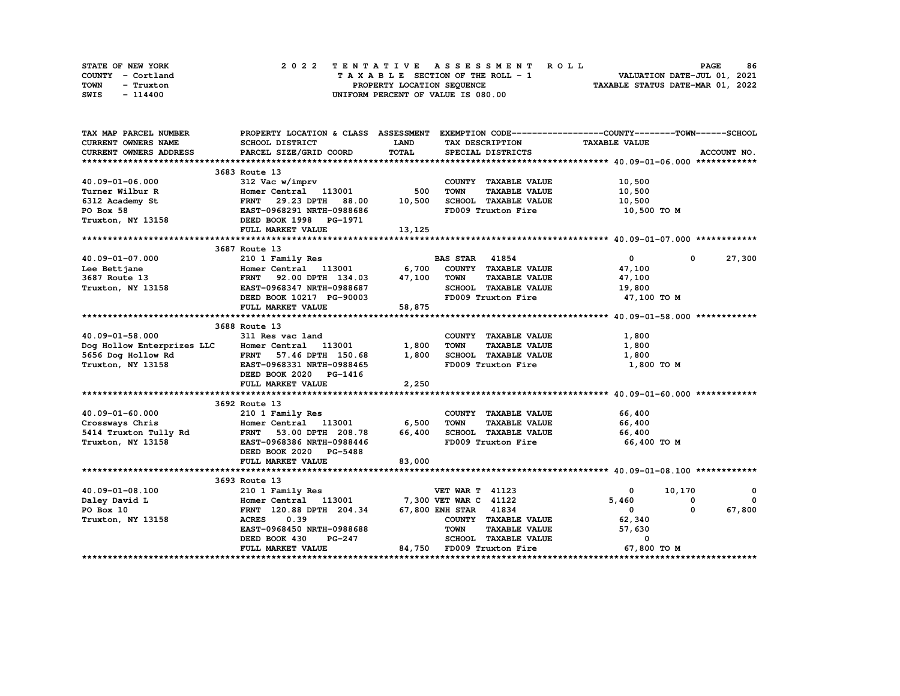| STATE OF NEW YORK | 2022 TENTATIVE ASSESSMENT ROLL     | 86<br><b>PAGE</b>                |
|-------------------|------------------------------------|----------------------------------|
| COUNTY - Cortland | TAXABLE SECTION OF THE ROLL - 1    | VALUATION DATE-JUL 01, 2021      |
| TOWN<br>- Truxton | PROPERTY LOCATION SEQUENCE         | TAXABLE STATUS DATE-MAR 01, 2022 |
| SWIS<br>- 114400  | UNIFORM PERCENT OF VALUE IS 080.00 |                                  |

| TAX MAP PARCEL NUMBER                                                                                                                                                                |                                                                                                                 |             |                                                             | PROPERTY LOCATION & CLASS ASSESSMENT EXEMPTION CODE----------------COUNTY-------TOWN-----SCHOOL                                                                                                                                                                                                                                              |                          |
|--------------------------------------------------------------------------------------------------------------------------------------------------------------------------------------|-----------------------------------------------------------------------------------------------------------------|-------------|-------------------------------------------------------------|----------------------------------------------------------------------------------------------------------------------------------------------------------------------------------------------------------------------------------------------------------------------------------------------------------------------------------------------|--------------------------|
| CURRENT OWNERS NAME                                                                                                                                                                  | SCHOOL DISTRICT                                                                                                 | <b>LAND</b> | TAX DESCRIPTION                                             | <b>TAXABLE VALUE</b>                                                                                                                                                                                                                                                                                                                         |                          |
| <b>CURRENT OWNERS ADDRESS</b>                                                                                                                                                        | PARCEL SIZE/GRID COORD                                                                                          | TOTAL       | SPECIAL DISTRICTS                                           |                                                                                                                                                                                                                                                                                                                                              | ACCOUNT NO.              |
|                                                                                                                                                                                      |                                                                                                                 |             |                                                             |                                                                                                                                                                                                                                                                                                                                              |                          |
|                                                                                                                                                                                      | 3683 Route 13                                                                                                   |             |                                                             |                                                                                                                                                                                                                                                                                                                                              |                          |
| 40.09-01-06.000                                                                                                                                                                      |                                                                                                                 |             | COUNTY TAXABLE VALUE                                        | 10,500                                                                                                                                                                                                                                                                                                                                       |                          |
| Turner Wilbur R                                                                                                                                                                      |                                                                                                                 | 500         | <b>TOWN</b><br><b>TAXABLE VALUE</b>                         | 10,500                                                                                                                                                                                                                                                                                                                                       |                          |
| 6312 Academy St                                                                                                                                                                      | FRNT 29.23 DPTH 88.00                                                                                           | 10,500      | SCHOOL TAXABLE VALUE                                        | 10,500                                                                                                                                                                                                                                                                                                                                       |                          |
| PO Box 58                                                                                                                                                                            |                                                                                                                 |             | FD009 Truxton Fire                                          | 10,500 TO M                                                                                                                                                                                                                                                                                                                                  |                          |
| Truxton, NY 13158                                                                                                                                                                    | --- vac W/Imprv<br>Homer Central 113001<br>FRNT 29.23 DPTH 88.00<br>EAST-0968291 NRTH-0988686<br>DEED BOOK 1998 |             |                                                             |                                                                                                                                                                                                                                                                                                                                              |                          |
|                                                                                                                                                                                      | FULL MARKET VALUE                                                                                               | 13,125      |                                                             |                                                                                                                                                                                                                                                                                                                                              |                          |
|                                                                                                                                                                                      |                                                                                                                 |             |                                                             |                                                                                                                                                                                                                                                                                                                                              |                          |
|                                                                                                                                                                                      | 3687 Route 13                                                                                                   |             |                                                             |                                                                                                                                                                                                                                                                                                                                              |                          |
| 40.09-01-07.000                                                                                                                                                                      | 210 1 Family Res                                                                                                |             | <b>BAS STAR 41854</b>                                       | $\overline{\mathbf{0}}$<br>$\mathbf{0}$                                                                                                                                                                                                                                                                                                      | 27,300                   |
|                                                                                                                                                                                      | Homer Central 113001 6,700                                                                                      |             | COUNTY TAXABLE VALUE                                        | 47,100                                                                                                                                                                                                                                                                                                                                       |                          |
|                                                                                                                                                                                      |                                                                                                                 |             | <b>TOWN</b><br><b>TAXABLE VALUE</b>                         | 47,100                                                                                                                                                                                                                                                                                                                                       |                          |
|                                                                                                                                                                                      |                                                                                                                 |             | SCHOOL TAXABLE VALUE 19,800                                 |                                                                                                                                                                                                                                                                                                                                              |                          |
|                                                                                                                                                                                      | DEED BOOK 10217 PG-90003                                                                                        |             | FD009 Truxton Fire 47,100 TO M                              |                                                                                                                                                                                                                                                                                                                                              |                          |
|                                                                                                                                                                                      | FULL MARKET VALUE                                                                                               | 58,875      |                                                             |                                                                                                                                                                                                                                                                                                                                              |                          |
|                                                                                                                                                                                      |                                                                                                                 |             |                                                             |                                                                                                                                                                                                                                                                                                                                              |                          |
|                                                                                                                                                                                      | 3688 Route 13                                                                                                   |             |                                                             |                                                                                                                                                                                                                                                                                                                                              |                          |
| 40.09-01-58.000                                                                                                                                                                      | 311 Res vac land                                                                                                |             | COUNTY TAXABLE VALUE                                        | 1,800                                                                                                                                                                                                                                                                                                                                        |                          |
| Dog Hollow Enterprizes LLC Homer Central 113001                                                                                                                                      |                                                                                                                 | 1,800       | TAXABLE VALUE<br><b>TOWN</b>                                | 1,800                                                                                                                                                                                                                                                                                                                                        |                          |
|                                                                                                                                                                                      |                                                                                                                 | 1,800       | SCHOOL TAXABLE VALUE                                        | 1,800                                                                                                                                                                                                                                                                                                                                        |                          |
| 5656 Dog Hollow Rd<br>Truxton, NY 13158 EAST-0968331 NRTH-0988465<br>DEED BOOK 2020 PG-1416                                                                                          |                                                                                                                 |             | FD009 Truxton Fire                                          | 1,800 TO M                                                                                                                                                                                                                                                                                                                                   |                          |
|                                                                                                                                                                                      | DEED BOOK 2020 PG-1416                                                                                          |             |                                                             |                                                                                                                                                                                                                                                                                                                                              |                          |
|                                                                                                                                                                                      | FULL MARKET VALUE                                                                                               | 2,250       |                                                             |                                                                                                                                                                                                                                                                                                                                              |                          |
|                                                                                                                                                                                      |                                                                                                                 |             |                                                             |                                                                                                                                                                                                                                                                                                                                              |                          |
|                                                                                                                                                                                      | 3692 Route 13                                                                                                   |             |                                                             |                                                                                                                                                                                                                                                                                                                                              |                          |
|                                                                                                                                                                                      | 210 1 Family Res                                                                                                |             | COUNTY TAXABLE VALUE                                        | 66,400                                                                                                                                                                                                                                                                                                                                       |                          |
| 40.09-01-60.000 210 1 Family Res<br>Crossways Chris Homer Central 113001 6,500<br>5414 Truxton Tully Rd FRNT 53.00 DPTH 208.78 66,400<br>Truxton, NY 13158 EAST-0968386 NRTH-0988446 |                                                                                                                 |             | <b>TOWN</b><br><b>TAXABLE VALUE</b><br>SCHOOL TAXABLE VALUE | 66,400                                                                                                                                                                                                                                                                                                                                       |                          |
|                                                                                                                                                                                      |                                                                                                                 |             | FD009 Truxton Fire                                          | 66,400<br>66,400 TO M                                                                                                                                                                                                                                                                                                                        |                          |
|                                                                                                                                                                                      | DEED BOOK 2020 PG-5488                                                                                          |             |                                                             |                                                                                                                                                                                                                                                                                                                                              |                          |
|                                                                                                                                                                                      | FULL MARKET VALUE                                                                                               | 83,000      |                                                             |                                                                                                                                                                                                                                                                                                                                              |                          |
|                                                                                                                                                                                      |                                                                                                                 |             |                                                             |                                                                                                                                                                                                                                                                                                                                              |                          |
|                                                                                                                                                                                      | 3693 Route 13                                                                                                   |             |                                                             |                                                                                                                                                                                                                                                                                                                                              |                          |
| 40.09-01-08.100                                                                                                                                                                      | 210 1 Family Res                                                                                                |             | <b>VET WAR T 41123</b>                                      | $\overline{0}$ and $\overline{0}$ and $\overline{0}$ and $\overline{0}$ and $\overline{0}$ and $\overline{0}$ and $\overline{0}$ and $\overline{0}$ and $\overline{0}$ and $\overline{0}$ and $\overline{0}$ and $\overline{0}$ and $\overline{0}$ and $\overline{0}$ and $\overline{0}$ and $\overline{0}$ and $\overline{0}$ and<br>10,170 | $\overline{\phantom{0}}$ |
| Daley David L                                                                                                                                                                        | Homer Central 113001 7,300 VET WAR C 41122                                                                      |             |                                                             | 5,460<br>$^{\circ}$                                                                                                                                                                                                                                                                                                                          | $\Omega$                 |
| PO Box 10                                                                                                                                                                            | FRNT 120.88 DPTH 204.34 67,800 ENH STAR 41834                                                                   |             |                                                             | $\mathbf{0}$<br>$^{\circ}$                                                                                                                                                                                                                                                                                                                   | 67,800                   |
| Truxton, NY 13158                                                                                                                                                                    | <b>ACRES</b><br>0.39                                                                                            |             | COUNTY TAXABLE VALUE                                        | 62,340                                                                                                                                                                                                                                                                                                                                       |                          |
|                                                                                                                                                                                      | EAST-0968450 NRTH-0988688                                                                                       |             | <b>TOWN</b><br><b>TAXABLE VALUE</b>                         | 57,630                                                                                                                                                                                                                                                                                                                                       |                          |
|                                                                                                                                                                                      | DEED BOOK 430<br><b>PG-247</b>                                                                                  |             | SCHOOL TAXABLE VALUE                                        | 0                                                                                                                                                                                                                                                                                                                                            |                          |
|                                                                                                                                                                                      | FULL MARKET VALUE                                                                                               |             | 84,750 FD009 Truxton Fire                                   | 67,800 TO M                                                                                                                                                                                                                                                                                                                                  |                          |
|                                                                                                                                                                                      |                                                                                                                 |             |                                                             |                                                                                                                                                                                                                                                                                                                                              |                          |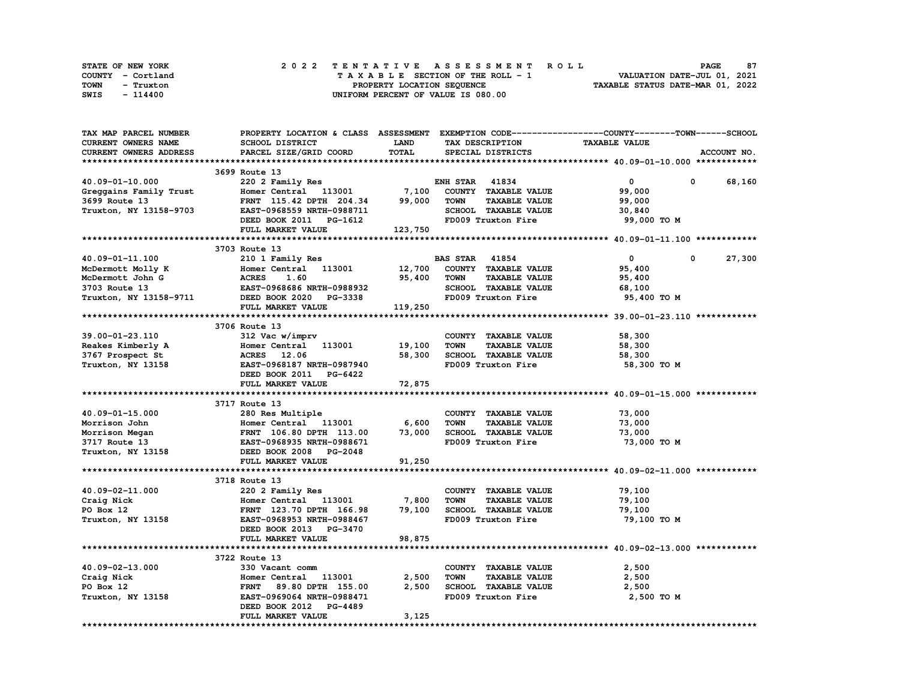| STATE OF NEW YORK | 2022 TENTATIVE ASSESSMENT ROLL     | 87<br><b>PAGE</b>                |
|-------------------|------------------------------------|----------------------------------|
| COUNTY - Cortland | TAXABLE SECTION OF THE ROLL - 1    | VALUATION DATE-JUL 01, 2021      |
| TOWN<br>- Truxton | PROPERTY LOCATION SEQUENCE         | TAXABLE STATUS DATE-MAR 01, 2022 |
| SWIS<br>- 114400  | UNIFORM PERCENT OF VALUE IS 080.00 |                                  |

| TAX MAP PARCEL NUMBER                                     | PROPERTY LOCATION & CLASS ASSESSMENT EXEMPTION CODE-----------------COUNTY-------TOWN-----SCHOOL                                                                                             |             |                                     |                      |                        |
|-----------------------------------------------------------|----------------------------------------------------------------------------------------------------------------------------------------------------------------------------------------------|-------------|-------------------------------------|----------------------|------------------------|
| CURRENT OWNERS NAME                                       | SCHOOL DISTRICT                                                                                                                                                                              | <b>LAND</b> | TAX DESCRIPTION                     | <b>TAXABLE VALUE</b> |                        |
| CURRENT OWNERS ADDRESS                                    | PARCEL SIZE/GRID COORD                                                                                                                                                                       | TOTAL       | SPECIAL DISTRICTS                   |                      | ACCOUNT NO.            |
|                                                           |                                                                                                                                                                                              |             |                                     |                      |                        |
|                                                           | 3699 Route 13                                                                                                                                                                                |             |                                     |                      |                        |
| 40.09-01-10.000                                           | 220 2 Family Res                                                                                                                                                                             |             | <b>ENH STAR 41834</b>               | $\mathbf{0}$         | $\mathbf{0}$<br>68,160 |
|                                                           | Greggains Family Trust<br>Homer Central 113001 7,100<br>The Trust of Contral 113001 7,100                                                                                                    |             | COUNTY TAXABLE VALUE                | 99,000               |                        |
| 3699 Route 13                                             | FRNT 115.42 DPTH 204.34                                                                                                                                                                      | 99,000      | <b>TOWN</b><br><b>TAXABLE VALUE</b> | 99,000               |                        |
| Truxton, NY 13158-9703                                    | EAST-0968559 NRTH-0988711                                                                                                                                                                    |             | SCHOOL TAXABLE VALUE                | 30,840               |                        |
|                                                           | DEED BOOK 2011 PG-1612<br>FIILL MADVEW ***---                                                                                                                                                |             | FD009 Truxton Fire                  | 99,000 TO M          |                        |
|                                                           |                                                                                                                                                                                              |             |                                     |                      |                        |
|                                                           | FULL MARKET VALUE                                                                                                                                                                            | 123,750     |                                     |                      |                        |
|                                                           |                                                                                                                                                                                              |             |                                     |                      |                        |
|                                                           | 3703 Route 13                                                                                                                                                                                |             |                                     |                      |                        |
| 40.09-01-11.100                                           | 210 1 Family Res                                                                                                                                                                             |             | <b>BAS STAR</b> 41854               | $\mathbf{0}$         | 27,300<br>0            |
|                                                           | 40.09-01-11.100 210 1 Family Res<br>McDermott Molly K<br>McDermott John G<br>3703 Route 13<br>Truxton, NY 13158-9711 DEED BOOK 2020 PG-3338<br>Truxton, NY 13158-9711 DEED BOOK 2020 PG-3338 | 12,700      | COUNTY TAXABLE VALUE                | 95,400               |                        |
|                                                           |                                                                                                                                                                                              | 95,400      | <b>TOWN</b><br><b>TAXABLE VALUE</b> | 95,400               |                        |
|                                                           |                                                                                                                                                                                              |             | SCHOOL TAXABLE VALUE                | 68,100               |                        |
|                                                           |                                                                                                                                                                                              |             | FD009 Truxton Fire                  | 95,400 TO M          |                        |
|                                                           | <b>FULL MARKET VALUE</b>                                                                                                                                                                     | 119,250     |                                     |                      |                        |
|                                                           |                                                                                                                                                                                              |             |                                     |                      |                        |
|                                                           | 3706 Route 13                                                                                                                                                                                |             |                                     |                      |                        |
| 39.00-01-23.110                                           | 312 Vac w/imprv                                                                                                                                                                              |             | COUNTY TAXABLE VALUE                | 58,300               |                        |
|                                                           |                                                                                                                                                                                              |             | <b>TOWN</b><br><b>TAXABLE VALUE</b> | 58,300               |                        |
| 3767 Prospect St                                          | Reakes Kimberly A (13001 19,100<br>3767 Prospect St (1300ES 12.06 58,300                                                                                                                     |             | SCHOOL TAXABLE VALUE                | 58,300               |                        |
|                                                           | Truxton, NY 13158 EAST-0968187 NRTH-0987940                                                                                                                                                  |             | FD009 Truxton Fire                  | 58,300 TO M          |                        |
|                                                           | DEED BOOK 2011 PG-6422                                                                                                                                                                       |             |                                     |                      |                        |
|                                                           | FULL MARKET VALUE                                                                                                                                                                            | 72,875      |                                     |                      |                        |
|                                                           |                                                                                                                                                                                              |             |                                     |                      |                        |
|                                                           | 3717 Route 13                                                                                                                                                                                |             |                                     |                      |                        |
| 40.09-01-15.000                                           | 280 Res Multiple                                                                                                                                                                             |             | COUNTY TAXABLE VALUE                | 73,000               |                        |
| Morrison John                                             | Homer Central 113001                                                                                                                                                                         | 6,600       | <b>TOWN</b><br><b>TAXABLE VALUE</b> | 73,000               |                        |
| Morrison Megan                                            |                                                                                                                                                                                              | 73,000      | SCHOOL TAXABLE VALUE                | 73,000               |                        |
|                                                           | Homer Central 113001<br>FRNT 106.80 DPTH 113.00<br>EAST-0968935 NRTH-0988671                                                                                                                 |             | FD009 Truxton Fire                  |                      |                        |
| 3717 Route 13<br>Truxton, NY 13158 DEED BOOK 2008 PG-2048 |                                                                                                                                                                                              |             |                                     | 73,000 TO M          |                        |
|                                                           |                                                                                                                                                                                              |             |                                     |                      |                        |
|                                                           | FULL MARKET VALUE                                                                                                                                                                            | 91,250      |                                     |                      |                        |
|                                                           |                                                                                                                                                                                              |             |                                     |                      |                        |
|                                                           | 3718 Route 13                                                                                                                                                                                |             |                                     |                      |                        |
| 40.09-02-11.000                                           | 220 2 Family Res                                                                                                                                                                             |             | COUNTY TAXABLE VALUE                | 79,100               |                        |
| Craig Nick                                                | Homer Central 113001                                                                                                                                                                         | 7,800       | <b>TOWN</b><br><b>TAXABLE VALUE</b> | 79,100               |                        |
| PO Box 12                                                 | FRNT 123.70 DPTH 166.98                                                                                                                                                                      | 79,100      | SCHOOL TAXABLE VALUE                | 79,100               |                        |
| Truxton, NY 13158                                         | EAST-0968953 NRTH-0988467                                                                                                                                                                    |             | FD009 Truxton Fire                  | 79,100 TO M          |                        |
|                                                           | DEED BOOK 2013 PG-3470                                                                                                                                                                       |             |                                     |                      |                        |
|                                                           | FULL MARKET VALUE                                                                                                                                                                            | 98,875      |                                     |                      |                        |
|                                                           |                                                                                                                                                                                              |             |                                     |                      |                        |
|                                                           | 3722 Route 13                                                                                                                                                                                |             |                                     |                      |                        |
| 40.09-02-13.000                                           | 330 Vacant comm                                                                                                                                                                              |             | COUNTY TAXABLE VALUE                | 2,500                |                        |
| Craig Nick                                                | Homer Central 113001                                                                                                                                                                         | 2,500       | <b>TOWN</b><br><b>TAXABLE VALUE</b> | 2,500                |                        |
| PO Box 12                                                 | FRNT 89.80 DPTH 155.00                                                                                                                                                                       | 2,500       | SCHOOL TAXABLE VALUE                | 2,500                |                        |
| Truxton, NY 13158                                         | EAST-0969064 NRTH-0988471                                                                                                                                                                    |             | FD009 Truxton Fire                  | 2,500 TO M           |                        |
|                                                           | DEED BOOK 2012 PG-4489                                                                                                                                                                       |             |                                     |                      |                        |
|                                                           | FULL MARKET VALUE                                                                                                                                                                            | 3,125       |                                     |                      |                        |
|                                                           |                                                                                                                                                                                              |             |                                     |                      |                        |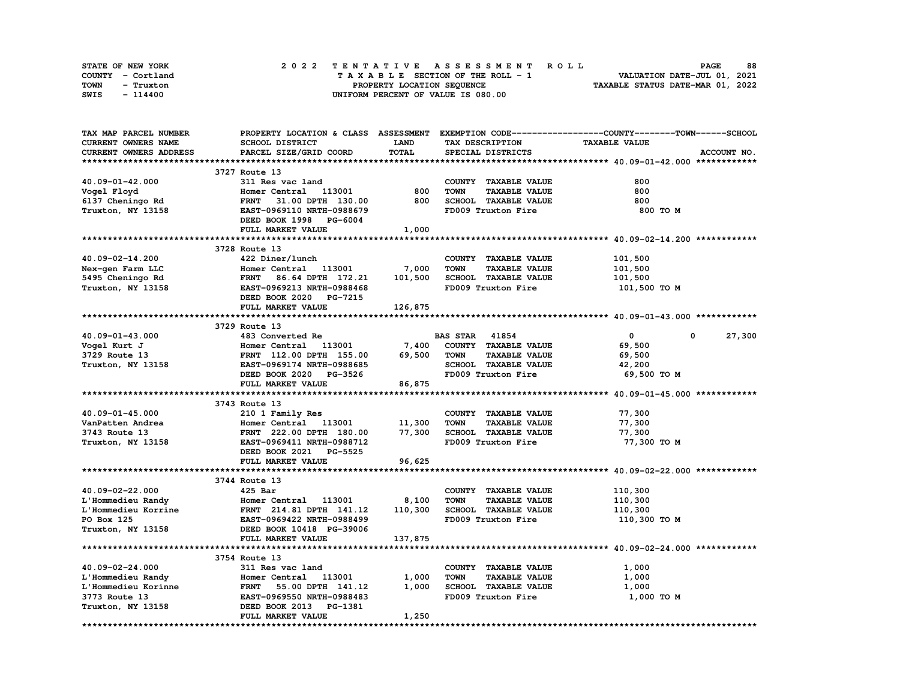| STATE OF NEW YORK | 2022 TENTATIVE ASSESSMENT ROLL     | 88<br><b>PAGE</b>                |
|-------------------|------------------------------------|----------------------------------|
| COUNTY - Cortland | TAXABLE SECTION OF THE ROLL - 1    | VALUATION DATE-JUL 01, 2021      |
| TOWN<br>- Truxton | PROPERTY LOCATION SEQUENCE         | TAXABLE STATUS DATE-MAR 01, 2022 |
| SWIS<br>- 114400  | UNIFORM PERCENT OF VALUE IS 080.00 |                                  |

| TAX MAP PARCEL NUMBER      |                                                      |              |                                     | PROPERTY LOCATION & CLASS ASSESSMENT EXEMPTION CODE----------------COUNTY-------TOWN-----SCHOOL |
|----------------------------|------------------------------------------------------|--------------|-------------------------------------|-------------------------------------------------------------------------------------------------|
| <b>CURRENT OWNERS NAME</b> | SCHOOL DISTRICT                                      | <b>LAND</b>  | TAX DESCRIPTION                     | <b>TAXABLE VALUE</b>                                                                            |
| CURRENT OWNERS ADDRESS     | PARCEL SIZE/GRID COORD                               | <b>TOTAL</b> | SPECIAL DISTRICTS                   | ACCOUNT NO.                                                                                     |
|                            |                                                      |              |                                     |                                                                                                 |
|                            | 3727 Route 13                                        |              |                                     |                                                                                                 |
| 40.09-01-42.000            | 311 Res vac land                                     |              | COUNTY TAXABLE VALUE                | 800                                                                                             |
| Vogel Floyd                | Homer Central 113001                                 | 800          | <b>TAXABLE VALUE</b><br><b>TOWN</b> | 800                                                                                             |
| 6137 Cheningo Rd           | <b>FRNT</b><br>31.00 DPTH 130.00                     | 800          | SCHOOL TAXABLE VALUE                | 800                                                                                             |
| Truxton, NY 13158          | EAST-0969110 NRTH-0988679                            |              | FD009 Truxton Fire                  | 800 TO M                                                                                        |
|                            | DEED BOOK 1998 PG-6004                               |              |                                     |                                                                                                 |
|                            |                                                      |              |                                     |                                                                                                 |
|                            | FULL MARKET VALUE                                    | 1,000        |                                     |                                                                                                 |
|                            |                                                      |              |                                     |                                                                                                 |
|                            | 3728 Route 13                                        |              |                                     |                                                                                                 |
| 40.09-02-14.200            | 422 Diner/lunch                                      |              | COUNTY TAXABLE VALUE                | 101,500                                                                                         |
| Nex-gen Farm LLC           | Homer Central 113001                                 | 7,000        | <b>TOWN</b><br><b>TAXABLE VALUE</b> | 101,500                                                                                         |
| 5495 Cheningo Rd           | FRNT 86.64 DPTH 172.21                               | 101,500      | SCHOOL TAXABLE VALUE                | 101,500                                                                                         |
| Truxton, NY 13158          | EAST-0969213 NRTH-0988468                            |              | FD009 Truxton Fire                  | 101,500 то м                                                                                    |
|                            | DEED BOOK 2020 PG-7215                               |              |                                     |                                                                                                 |
|                            | FULL MARKET VALUE                                    | 126,875      |                                     |                                                                                                 |
|                            |                                                      |              |                                     |                                                                                                 |
|                            | 3729 Route 13                                        |              |                                     |                                                                                                 |
| 40.09-01-43.000            | 483 Converted Re                                     |              | <b>BAS STAR 41854</b>               | $\mathbf{0}$<br>$^{\circ}$<br>27,300                                                            |
| Vogel Kurt J               | Homer Central<br>113001                              | 7,400        | COUNTY TAXABLE VALUE                | 69,500                                                                                          |
| 3729 Route 13              | FRNT 112.00 DPTH 155.00                              | 69,500       | <b>TOWN</b><br><b>TAXABLE VALUE</b> | 69,500                                                                                          |
| Truxton, NY 13158          | EAST-0969174 NRTH-0988685                            |              | SCHOOL TAXABLE VALUE                | 42,200                                                                                          |
|                            | DEED BOOK 2020 PG-3526                               |              | FD009 Truxton Fire                  | 69,500 TO M                                                                                     |
|                            | FULL MARKET VALUE                                    | 86,875       |                                     |                                                                                                 |
|                            |                                                      |              |                                     |                                                                                                 |
|                            | 3743 Route 13                                        |              |                                     |                                                                                                 |
| 40.09-01-45.000            | 210 1 Family Res                                     |              | COUNTY TAXABLE VALUE                | 77,300                                                                                          |
| VanPatten Andrea           | Homer Central 113001                                 | 11,300       | <b>TOWN</b><br><b>TAXABLE VALUE</b> | 77,300                                                                                          |
| 3743 Route 13              | FRNT 222.00 DPTH 180.00                              | 77,300       | SCHOOL TAXABLE VALUE                | 77,300                                                                                          |
| Truxton, NY 13158          | EAST-0969411 NRTH-0988712                            |              | FD009 Truxton Fire                  | 77,300 TO M                                                                                     |
|                            | DEED BOOK 2021 PG-5525                               |              |                                     |                                                                                                 |
|                            | FULL MARKET VALUE                                    | 96,625       |                                     |                                                                                                 |
|                            |                                                      |              |                                     |                                                                                                 |
|                            |                                                      |              |                                     |                                                                                                 |
|                            | 3744 Route 13                                        |              |                                     |                                                                                                 |
| 40.09-02-22.000            | $425$ Bar                                            |              | COUNTY TAXABLE VALUE                | 110,300                                                                                         |
| L'Hommedieu Randy          | Homer Central 113001                                 | 8,100        | <b>TOWN</b><br><b>TAXABLE VALUE</b> | 110,300                                                                                         |
| L'Hommedieu Korrine        | FRNT 214.81 DPTH 141.12<br>EAST-0969422 NRTH-0988499 | 110,300      | <b>SCHOOL TAXABLE VALUE</b>         | 110,300                                                                                         |
| PO Box 125                 |                                                      |              | FD009 Truxton Fire                  | 110,300 то м                                                                                    |
| Truxton, NY 13158          | DEED BOOK 10418 PG-39006                             |              |                                     |                                                                                                 |
|                            | FULL MARKET VALUE                                    | 137,875      |                                     |                                                                                                 |
|                            |                                                      |              |                                     |                                                                                                 |
|                            | 3754 Route 13                                        |              |                                     |                                                                                                 |
| 40.09-02-24.000            | 311 Res vac land                                     |              | COUNTY TAXABLE VALUE                | 1,000                                                                                           |
| L'Hommedieu Randy          | Homer Central 113001                                 | 1,000        | <b>TOWN</b><br><b>TAXABLE VALUE</b> | 1,000                                                                                           |
| L'Hommedieu Korinne        | FRNT 55.00 DPTH 141.12                               | 1,000        | SCHOOL TAXABLE VALUE                | 1,000                                                                                           |
| 3773 Route 13              | EAST-0969550 NRTH-0988483                            |              | FD009 Truxton Fire                  | 1,000 TO M                                                                                      |
| Truxton, NY 13158          | DEED BOOK 2013<br>PG-1381                            |              |                                     |                                                                                                 |
|                            | FULL MARKET VALUE                                    | 1,250        |                                     |                                                                                                 |
|                            |                                                      |              |                                     |                                                                                                 |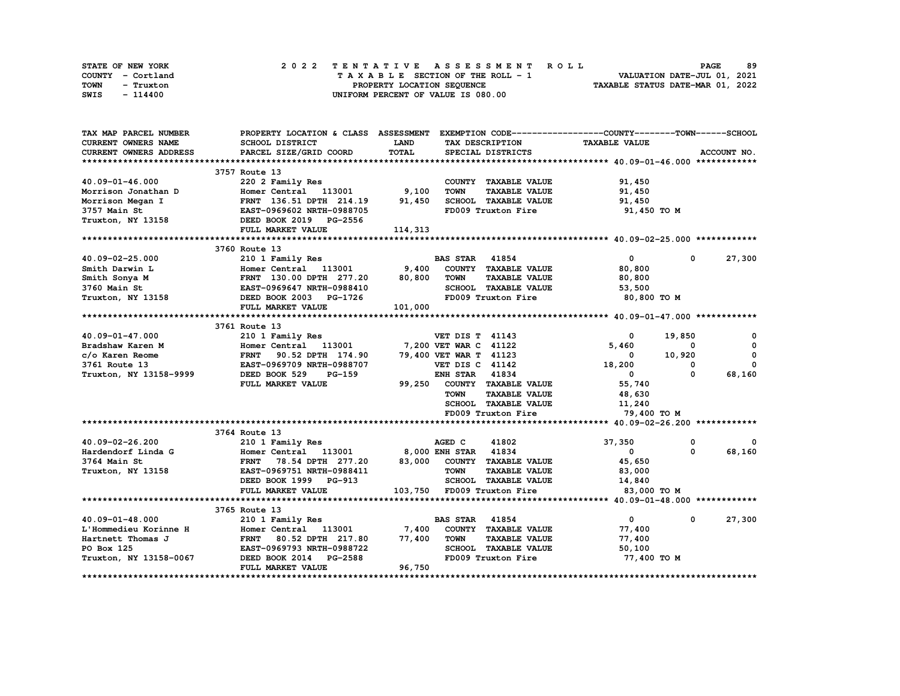| STATE OF NEW YORK | 2022 TENTATIVE ASSESSMENT ROLL     | 89<br><b>PAGE</b>                |
|-------------------|------------------------------------|----------------------------------|
| COUNTY - Cortland | TAXABLE SECTION OF THE ROLL - 1    | VALUATION DATE-JUL 01, 2021      |
| TOWN<br>- Truxton | PROPERTY LOCATION SEQUENCE         | TAXABLE STATUS DATE-MAR 01, 2022 |
| SWIS<br>- 114400  | UNIFORM PERCENT OF VALUE IS 080.00 |                                  |

| TAX MAP PARCEL NUMBER         | PROPERTY LOCATION & CLASS ASSESSMENT                                         |         | EXEMPTION CODE-----------------COUNTY-------TOWN------SCHOOL |                      |                       |
|-------------------------------|------------------------------------------------------------------------------|---------|--------------------------------------------------------------|----------------------|-----------------------|
| <b>CURRENT OWNERS NAME</b>    | SCHOOL DISTRICT                                                              | LAND    | TAX DESCRIPTION                                              | <b>TAXABLE VALUE</b> |                       |
| <b>CURRENT OWNERS ADDRESS</b> | PARCEL SIZE/GRID COORD                                                       | TOTAL   | SPECIAL DISTRICTS                                            |                      | ACCOUNT NO.           |
|                               |                                                                              |         |                                                              |                      |                       |
|                               | 3757 Route 13                                                                |         |                                                              |                      |                       |
| 40.09-01-46.000               | 220 2 Family Res                                                             |         | COUNTY TAXABLE VALUE                                         | 91,450               |                       |
| Morrison Jonathan D           | 113001 9,100<br>Homer Central                                                |         | <b>TOWN</b><br><b>TAXABLE VALUE</b>                          | 91,450               |                       |
| Morrison Megan I              | FRNT 136.51 DPTH 214.19                                                      | 91,450  | SCHOOL TAXABLE VALUE                                         | 91,450               |                       |
| 3757 Main St                  | EAST-0969602 NRTH-0988705                                                    |         | FD009 Truxton Fire                                           | 91,450 TO M          |                       |
| Truxton, NY 13158             | DEED BOOK 2019 PG-2556                                                       |         |                                                              |                      |                       |
|                               | FULL MARKET VALUE                                                            | 114,313 |                                                              |                      |                       |
|                               |                                                                              |         |                                                              |                      |                       |
|                               | 3760 Route 13                                                                |         |                                                              |                      |                       |
| 40.09-02-25.000               | 210 1 Family Res                                                             |         | <b>BAS STAR 41854</b>                                        | $\mathbf{0}$         | 27,300<br>0           |
| Smith Darwin L                | Homer Central 113001                                                         | 9,400   | COUNTY TAXABLE VALUE                                         | 80,800               |                       |
| Smith Sonya M                 | Homer Central 113001<br>FRNT 130.00 DPTH 277.20<br>EAST-0969647 NRTH-0988410 | 80,800  | <b>TOWN</b><br><b>TAXABLE VALUE</b>                          | 80,800               |                       |
| 3760 Main St                  |                                                                              |         | SCHOOL TAXABLE VALUE                                         | 53,500               |                       |
| Truxton, NY 13158             | DEED BOOK 2003 PG-1726                                                       |         | FD009 Truxton Fire                                           | 80,800 TO M          |                       |
|                               | FULL MARKET VALUE                                                            | 101,000 |                                                              |                      |                       |
|                               |                                                                              |         |                                                              |                      |                       |
|                               | 3761 Route 13                                                                |         |                                                              |                      |                       |
| 40.09-01-47.000               | 210 1 Family Res                                                             |         | <b>VET DIS T 41143</b>                                       | 0                    | 19,850<br>0           |
| Bradshaw Karen M              | Homer Central 113001                                                         |         | 7,200 VET WAR C 41122                                        | 5,460                | $^{\circ}$<br>0       |
| c/o Karen Reome               | FRNT 90.52 DPTH 174.90                                                       |         | 79,400 VET WAR T 41123                                       | 0                    | $\mathbf 0$<br>10,920 |
| 3761 Route 13                 | EAST-0969709 NRTH-0988707                                                    |         | VET DIS C 41142                                              | 18,200               | 0<br>0                |
| Truxton, NY 13158-9999        | DEED BOOK 529<br>$PG-159$                                                    |         | <b>ENH STAR 41834</b>                                        | $^{\circ}$           | 0<br>68,160           |
|                               | FULL MARKET VALUE                                                            | 99,250  | COUNTY TAXABLE VALUE                                         | 55,740               |                       |
|                               |                                                                              |         | <b>TOWN</b><br><b>TAXABLE VALUE</b>                          | 48,630               |                       |
|                               |                                                                              |         | <b>SCHOOL TAXABLE VALUE</b>                                  | 11,240               |                       |
|                               |                                                                              |         | FD009 Truxton Fire                                           | 79,400 TO M          |                       |
|                               |                                                                              |         |                                                              |                      |                       |
|                               | 3764 Route 13                                                                |         |                                                              |                      |                       |
| 40.09-02-26.200               | 210 1 Family Res                                                             |         | 41802<br>AGED C                                              | 37,350               | 0<br>0                |
| Hardendorf Linda G            | Homer Central 113001                                                         |         | 8,000 ENH STAR 41834                                         | 0                    | 68,160<br>$\Omega$    |
| 3764 Main St                  | <b>FRNT</b><br>78.54 DPTH 277.20                                             |         | 83,000 COUNTY TAXABLE VALUE                                  | 45,650               |                       |
| Truxton, NY 13158             | EAST-0969751 NRTH-0988411                                                    |         | <b>TOWN</b><br><b>TAXABLE VALUE</b>                          | 83,000               |                       |
|                               | DEED BOOK 1999 PG-913                                                        |         | SCHOOL TAXABLE VALUE                                         | 14,840               |                       |
|                               | FULL MARKET VALUE                                                            |         | 103,750 FD009 Truxton Fire                                   | 83,000 TO M          |                       |
|                               |                                                                              |         |                                                              |                      |                       |
|                               | 3765 Route 13                                                                |         |                                                              |                      |                       |
| 40.09-01-48.000               | 210 1 Family Res                                                             |         | <b>BAS STAR 41854</b>                                        | $\mathbf 0$          | 27,300<br>$\mathbf 0$ |
| L'Hommedieu Korinne H         | Homer Central 113001                                                         | 7,400   | COUNTY TAXABLE VALUE                                         | 77,400               |                       |
| Hartnett Thomas J             | <b>FRNT</b><br>80.52 DPTH 217.80                                             | 77,400  | <b>TOWN</b><br><b>TAXABLE VALUE</b>                          | 77,400               |                       |
| PO Box 125                    | EAST-0969793 NRTH-0988722                                                    |         | SCHOOL TAXABLE VALUE                                         | 50,100               |                       |
| Truxton, NY 13158-0067        | DEED BOOK 2014<br><b>PG-2588</b>                                             |         | FD009 Truxton Fire                                           | 77,400 TO M          |                       |
|                               | FULL MARKET VALUE                                                            | 96,750  |                                                              |                      |                       |
|                               |                                                                              |         |                                                              |                      |                       |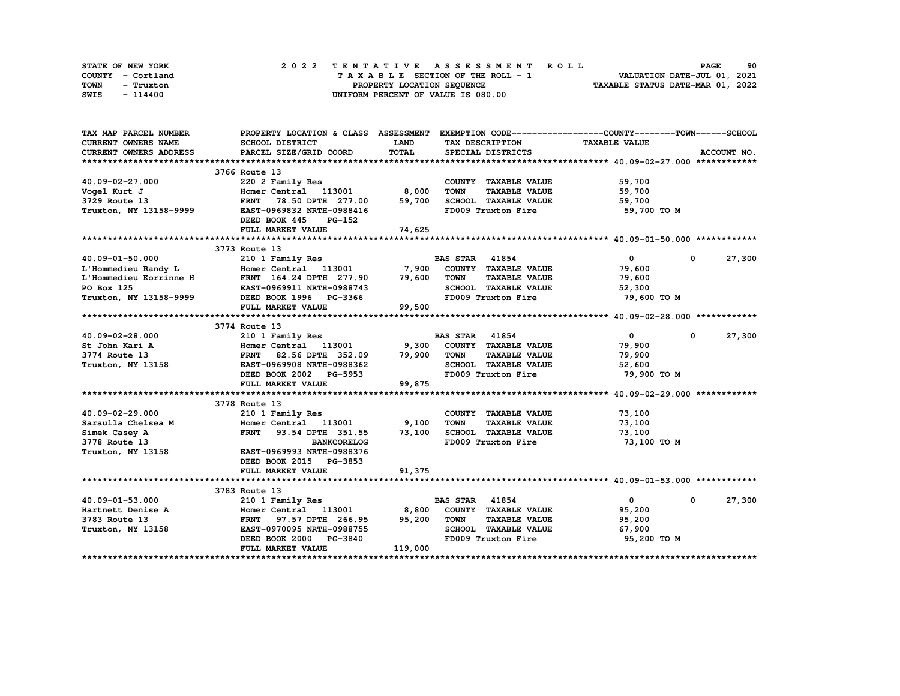| STATE OF NEW YORK | 2022 TENTATIVE ASSESSMENT ROLL     | 90<br><b>PAGE</b>                |
|-------------------|------------------------------------|----------------------------------|
| COUNTY - Cortland | TAXABLE SECTION OF THE ROLL - 1    | VALUATION DATE-JUL 01, 2021      |
| TOWN<br>- Truxton | PROPERTY LOCATION SEQUENCE         | TAXABLE STATUS DATE-MAR 01, 2022 |
| SWIS<br>- 114400  | UNIFORM PERCENT OF VALUE IS 080.00 |                                  |

| TAX MAP PARCEL NUMBER                               |                                                                                                                               |         | PROPERTY LOCATION & CLASS ASSESSMENT EXEMPTION CODE----------------COUNTY-------TOWN-----SCHOOL |                      |                      |
|-----------------------------------------------------|-------------------------------------------------------------------------------------------------------------------------------|---------|-------------------------------------------------------------------------------------------------|----------------------|----------------------|
| <b>CURRENT OWNERS NAME</b>                          | SCHOOL DISTRICT                                                                                                               | LAND    | TAX DESCRIPTION                                                                                 | <b>TAXABLE VALUE</b> |                      |
| <b>CURRENT OWNERS ADDRESS</b>                       | PARCEL SIZE/GRID COORD                                                                                                        | TOTAL   | SPECIAL DISTRICTS                                                                               |                      | ACCOUNT NO.          |
|                                                     |                                                                                                                               |         |                                                                                                 |                      |                      |
|                                                     | 3766 Route 13                                                                                                                 |         |                                                                                                 |                      |                      |
| 40.09-02-27.000                                     | 220 2 Family Res                                                                                                              |         | COUNTY TAXABLE VALUE                                                                            | 59,700               |                      |
| Vogel Kurt J                                        | Homer Central 113001                                                                                                          | 8,000   | <b>TOWN</b><br><b>TAXABLE VALUE</b>                                                             | 59,700               |                      |
| 3729 Route 13                                       | FRNT 78.50 DPTH 277.00                                                                                                        | 59,700  | SCHOOL TAXABLE VALUE                                                                            | 59,700               |                      |
| Truxton, NY 13158-9999                              | EAST-0969832 NRTH-0988416                                                                                                     |         | FD009 Truxton Fire                                                                              | 59,700 TO M          |                      |
|                                                     | DEED BOOK 445<br>PG-152                                                                                                       |         |                                                                                                 |                      |                      |
|                                                     | FULL MARKET VALUE                                                                                                             | 74,625  |                                                                                                 |                      |                      |
|                                                     |                                                                                                                               |         |                                                                                                 |                      |                      |
|                                                     | 3773 Route 13                                                                                                                 |         |                                                                                                 |                      |                      |
| $40.09 - 01 - 50.000$                               | 210 1 Family Res                                                                                                              |         | <b>BAS STAR</b> 41854                                                                           | $\mathbf{0}$         | 27,300<br>$^{\circ}$ |
|                                                     | Homer Central $113001$ 7,900 COUNTY TAXABLE VALUE                                                                             |         |                                                                                                 | 79,600               |                      |
| L'Hommedieu Randy L<br>L'Hommedieu Korrinne H       | FRNT 164.24 DPTH 277.90 79,600                                                                                                |         | <b>TAXABLE VALUE</b><br><b>TOWN</b>                                                             | 79,600               |                      |
| PO Box 125                                          | EAST-0969911 NRTH-0988743                                                                                                     |         | SCHOOL TAXABLE VALUE                                                                            | 52,300               |                      |
| Truxton, NY 13158-9999 DEED BOOK 1996 PG-3366       |                                                                                                                               |         | FD009 Truxton Fire                                                                              | 79,600 TO M          |                      |
|                                                     | FULL MARKET VALUE                                                                                                             | 99,500  |                                                                                                 |                      |                      |
|                                                     |                                                                                                                               |         |                                                                                                 |                      |                      |
|                                                     | 3774 Route 13                                                                                                                 |         |                                                                                                 |                      |                      |
| 40.09-02-28.000                                     | 210 1 Family Res                                                                                                              |         | <b>BAS STAR 41854</b>                                                                           | $\mathbf{0}$         | 27,300<br>$^{\circ}$ |
| St John Kari A                                      | Homer Central 113001 9,300                                                                                                    |         | COUNTY TAXABLE VALUE                                                                            | 79,900               |                      |
| 3774 Route 13                                       | FRNT 82.56 DPTH 352.09 79,900                                                                                                 |         | <b>TOWN</b><br><b>TAXABLE VALUE</b>                                                             | 79,900               |                      |
| Truxton, NY 13158                                   | EAST-0969908 NRTH-0988362                                                                                                     |         | SCHOOL TAXABLE VALUE                                                                            | 52,600               |                      |
|                                                     | DEED BOOK 2002 PG-5953                                                                                                        |         | FD009 Truxton Fire                                                                              | 79,900 то м          |                      |
|                                                     | FULL MARKET VALUE                                                                                                             | 99,875  |                                                                                                 |                      |                      |
|                                                     |                                                                                                                               |         |                                                                                                 |                      |                      |
|                                                     | 3778 Route 13                                                                                                                 |         |                                                                                                 |                      |                      |
| 40.09-02-29.000                                     | 210 1 Family Res                                                                                                              |         | COUNTY TAXABLE VALUE                                                                            | 73,100               |                      |
| Saraulla Chelsea M                                  | Homer Central 113001<br>FRNT 93.54 DPTH 351.55 73,100                                                                         | 9,100   | <b>TOWN</b><br><b>TAXABLE VALUE</b>                                                             | 73,100               |                      |
| Simek Casey A                                       |                                                                                                                               |         | SCHOOL TAXABLE VALUE                                                                            | 73,100               |                      |
| 3778 Route 13                                       | <b>BANKCORELOG</b>                                                                                                            |         | FD009 Truxton Fire                                                                              | 73,100 TO M          |                      |
| Truxton, NY 13158                                   | EAST-0969993 NRTH-0988376                                                                                                     |         |                                                                                                 |                      |                      |
|                                                     | DEED BOOK 2015 PG-3853                                                                                                        |         |                                                                                                 |                      |                      |
|                                                     | FULL MARKET VALUE                                                                                                             | 91,375  |                                                                                                 |                      |                      |
|                                                     | 3783 Route 13                                                                                                                 |         |                                                                                                 |                      |                      |
|                                                     | 210 1 Family Res                                                                                                              |         | <b>BAS STAR 41854</b>                                                                           | $\mathbf{0}$         | 27,300<br>0          |
| 40.09-01-53.000                                     |                                                                                                                               |         |                                                                                                 | 95,200               |                      |
| Hartnett Denise A<br>3783 Route 13<br>3783 Route 13 | Homer Central 113001 8,800 COUNTY TAXABLE VALUE<br>FRNT 97.57 DPTH 266.95 95,200 TOWN TAXABLE VALUE<br>FRNT 97.57 DPTH 266.95 |         |                                                                                                 | 95,200               |                      |
| Truxton, NY 13158                                   | EAST-0970095 NRTH-0988755                                                                                                     |         | SCHOOL TAXABLE VALUE                                                                            | 67,900               |                      |
|                                                     | DEED BOOK 2000 PG-3840                                                                                                        |         | FD009 Truxton Fire                                                                              | 95,200 TO M          |                      |
|                                                     | FULL MARKET VALUE                                                                                                             | 119,000 |                                                                                                 |                      |                      |
|                                                     |                                                                                                                               |         |                                                                                                 |                      |                      |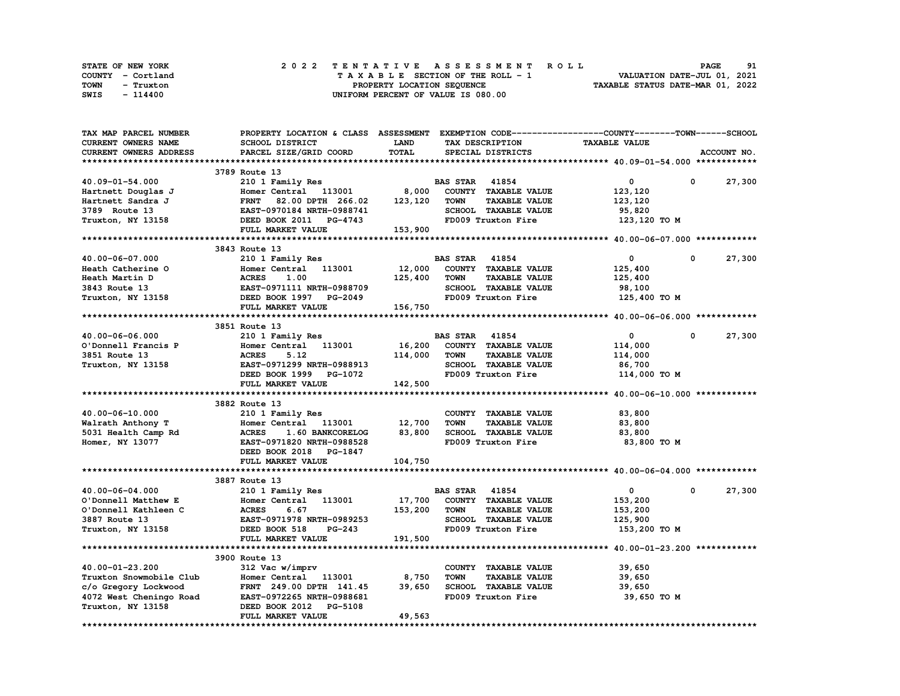| STATE OF NEW YORK | 2022 TENTATIVE ASSESSMENT ROLL     | 91<br><b>PAGE</b>                |
|-------------------|------------------------------------|----------------------------------|
| COUNTY - Cortland | TAXABLE SECTION OF THE ROLL - 1    | VALUATION DATE-JUL 01, 2021      |
| TOWN<br>- Truxton | PROPERTY LOCATION SEQUENCE         | TAXABLE STATUS DATE-MAR 01, 2022 |
| SWIS<br>- 114400  | UNIFORM PERCENT OF VALUE IS 080.00 |                                  |

| TAX MAP PARCEL NUMBER      | PROPERTY LOCATION & CLASS ASSESSMENT EXEMPTION CODE-----------------COUNTY-------TOWN------SCHOOL |              |                                     |                      |                      |
|----------------------------|---------------------------------------------------------------------------------------------------|--------------|-------------------------------------|----------------------|----------------------|
| <b>CURRENT OWNERS NAME</b> | SCHOOL DISTRICT                                                                                   | <b>LAND</b>  | TAX DESCRIPTION                     | <b>TAXABLE VALUE</b> |                      |
| CURRENT OWNERS ADDRESS     | PARCEL SIZE/GRID COORD                                                                            | <b>TOTAL</b> | SPECIAL DISTRICTS                   |                      | ACCOUNT NO.          |
|                            |                                                                                                   |              |                                     |                      |                      |
|                            | 3789 Route 13                                                                                     |              |                                     |                      |                      |
| 40.09-01-54.000            | 210 1 Family Res                                                                                  |              | <b>BAS STAR 41854</b>               | 0                    | 0<br>27,300          |
| Hartnett Douglas J         | Homer Central 113001                                                                              | 8,000        | COUNTY TAXABLE VALUE                | 123,120              |                      |
| Hartnett Sandra J          | 82.00 DPTH 266.02<br><b>FRNT</b>                                                                  | 123,120      | <b>TOWN</b><br><b>TAXABLE VALUE</b> | 123,120              |                      |
| 3789 Route 13              | EAST-0970184 NRTH-0988741                                                                         |              | <b>SCHOOL TAXABLE VALUE</b>         | 95,820               |                      |
| Truxton, NY 13158          | DEED BOOK 2011 PG-4743                                                                            |              | FD009 Truxton Fire                  |                      |                      |
|                            |                                                                                                   |              |                                     | 123,120 TO M         |                      |
|                            | FULL MARKET VALUE                                                                                 | 153,900      |                                     |                      |                      |
|                            |                                                                                                   |              |                                     |                      |                      |
|                            | 3843 Route 13                                                                                     |              |                                     |                      |                      |
| 40.00-06-07.000            | 210 1 Family Res                                                                                  |              | <b>BAS STAR 41854</b>               | $\mathbf 0$          | 27,300<br>0          |
| Heath Catherine O          | Homer Central<br>113001                                                                           | 12,000       | COUNTY TAXABLE VALUE                | 125,400              |                      |
| Heath Martin D             | <b>ACRES       1.00</b><br>EAST-0971111  NRTH-0988709                                             | 125,400      | <b>TOWN</b><br><b>TAXABLE VALUE</b> | 125,400              |                      |
| 3843 Route 13              |                                                                                                   |              | SCHOOL TAXABLE VALUE                | 98,100               |                      |
| Truxton, NY 13158          | DEED BOOK 1997 PG-2049                                                                            |              | FD009 Truxton Fire                  | 125,400 TO M         |                      |
|                            | FULL MARKET VALUE                                                                                 | 156,750      |                                     |                      |                      |
|                            |                                                                                                   |              |                                     |                      |                      |
|                            | 3851 Route 13                                                                                     |              |                                     |                      |                      |
| 40.00-06-06.000            | 210 1 Family Res                                                                                  |              | <b>BAS STAR 41854</b>               | $\mathbf 0$          | $^{\circ}$<br>27,300 |
| O'Donnell Francis P        | 113001<br>Homer Central                                                                           | 16,200       | COUNTY TAXABLE VALUE                | 114,000              |                      |
| 3851 Route 13              | <b>ACRES</b><br>5.12                                                                              | 114,000      | <b>TOWN</b><br><b>TAXABLE VALUE</b> | 114,000              |                      |
| Truxton, NY 13158          | EAST-0971299 NRTH-0988913                                                                         |              | SCHOOL TAXABLE VALUE                | 86,700               |                      |
|                            | DEED BOOK 1999 PG-1072                                                                            |              | FD009 Truxton Fire                  | 114,000 TO M         |                      |
|                            | FULL MARKET VALUE                                                                                 | 142,500      |                                     |                      |                      |
|                            |                                                                                                   |              |                                     |                      |                      |
|                            | 3882 Route 13                                                                                     |              |                                     |                      |                      |
| 40.00-06-10.000            | 210 1 Family Res                                                                                  |              | COUNTY TAXABLE VALUE                | 83,800               |                      |
| Walrath Anthony T          | Homer Central 113001                                                                              | 12,700       | <b>TOWN</b><br><b>TAXABLE VALUE</b> | 83,800               |                      |
| 5031 Health Camp Rd        | <b>ACRES</b><br>1.60 BANKCORELOG                                                                  | 83,800       | SCHOOL TAXABLE VALUE                | 83,800               |                      |
| Homer, NY 13077            | EAST-0971820 NRTH-0988528                                                                         |              | FD009 Truxton Fire                  | 83,800 TO M          |                      |
|                            | DEED BOOK 2018 PG-1847                                                                            |              |                                     |                      |                      |
|                            | FULL MARKET VALUE                                                                                 | 104,750      |                                     |                      |                      |
|                            |                                                                                                   |              |                                     |                      |                      |
|                            | 3887 Route 13                                                                                     |              |                                     |                      |                      |
| 40.00-06-04.000            | 210 1 Family Res                                                                                  |              | <b>BAS STAR 41854</b>               | $\mathbf{0}$         | 0<br>27,300          |
| O'Donnell Matthew E        | Homer Central 113001                                                                              | 17,700       | COUNTY TAXABLE VALUE                | 153,200              |                      |
| O'Donnell Kathleen C       | 6.67<br><b>ACRES</b>                                                                              | 153,200      | <b>TAXABLE VALUE</b><br><b>TOWN</b> |                      |                      |
| 3887 Route 13              | EAST-0971978 NRTH-0989253                                                                         |              | SCHOOL TAXABLE VALUE                | 153,200<br>125,900   |                      |
|                            |                                                                                                   |              | FD009 Truxton Fire                  |                      |                      |
| Truxton, NY 13158          | DEED BOOK 518<br><b>PG-243</b>                                                                    |              |                                     | 153,200 TO M         |                      |
|                            | FULL MARKET VALUE                                                                                 | 191,500      |                                     |                      |                      |
|                            |                                                                                                   |              |                                     |                      |                      |
|                            | 3900 Route 13                                                                                     |              |                                     |                      |                      |
| 40.00-01-23.200            | 312 Vac w/imprv                                                                                   |              | COUNTY TAXABLE VALUE                | 39,650               |                      |
| Truxton Snowmobile Club    | Homer Central 113001                                                                              | 8,750        | <b>TOWN</b><br><b>TAXABLE VALUE</b> | 39,650               |                      |
| c/o Gregory Lockwood       | FRNT 249.00 DPTH 141.45                                                                           | 39,650       | SCHOOL TAXABLE VALUE                | 39,650               |                      |
| 4072 West Cheningo Road    | EAST-0972265 NRTH-0988681                                                                         |              | FD009 Truxton Fire                  | 39,650 TO M          |                      |
| Truxton, NY 13158          | DEED BOOK 2012<br>PG-5108                                                                         |              |                                     |                      |                      |
|                            | FULL MARKET VALUE                                                                                 | 49,563       |                                     |                      |                      |
|                            |                                                                                                   |              |                                     |                      |                      |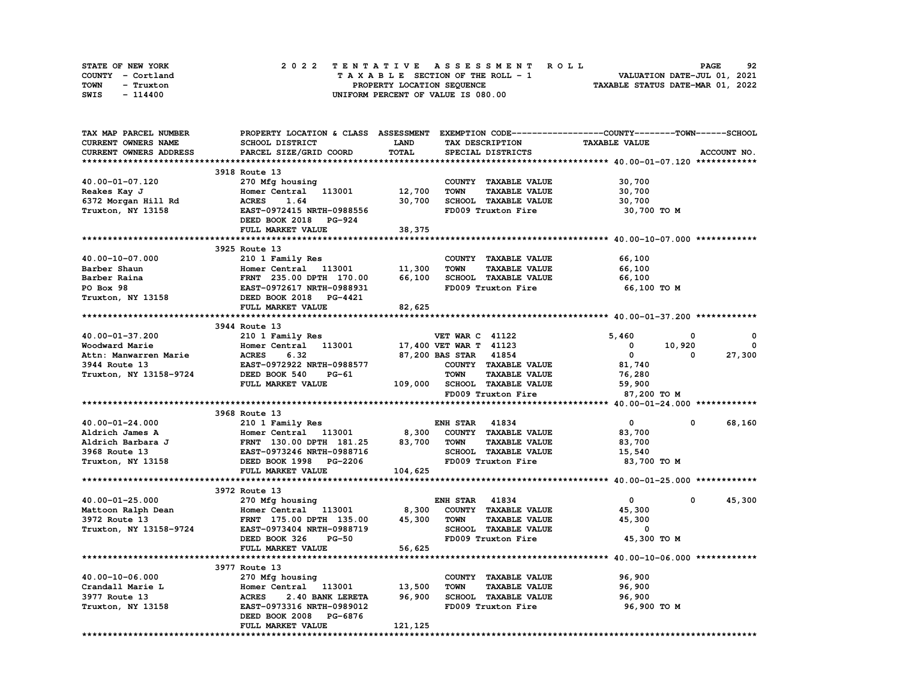| STATE OF NEW YORK | 2022 TENTATIVE ASSESSMENT ROLL     | 92<br><b>PAGE</b>                |
|-------------------|------------------------------------|----------------------------------|
| COUNTY - Cortland | TAXABLE SECTION OF THE ROLL - 1    | VALUATION DATE-JUL 01, 2021      |
| TOWN<br>- Truxton | PROPERTY LOCATION SEQUENCE         | TAXABLE STATUS DATE-MAR 01, 2022 |
| SWIS<br>- 114400  | UNIFORM PERCENT OF VALUE IS 080.00 |                                  |

| TAX MAP PARCEL NUMBER  | PROPERTY LOCATION & CLASS ASSESSMENT EXEMPTION CODE----------------COUNTY-------TOWN-----SCHOOL |             |                        |                              |                      |        |              |
|------------------------|-------------------------------------------------------------------------------------------------|-------------|------------------------|------------------------------|----------------------|--------|--------------|
| CURRENT OWNERS NAME    | SCHOOL DISTRICT                                                                                 | <b>LAND</b> | TAX DESCRIPTION        |                              | <b>TAXABLE VALUE</b> |        |              |
| CURRENT OWNERS ADDRESS | PARCEL SIZE/GRID COORD                                                                          | TOTAL       |                        | SPECIAL DISTRICTS            |                      |        | ACCOUNT NO.  |
|                        |                                                                                                 |             |                        |                              |                      |        |              |
|                        | 3918 Route 13                                                                                   |             |                        |                              |                      |        |              |
| 40.00-01-07.120        | 270 Mfg housing                                                                                 |             |                        | COUNTY TAXABLE VALUE         | 30,700               |        |              |
| Reakes Kay J           | Homer Central 113001                                                                            | 12,700      | <b>TOWN</b>            | <b>TAXABLE VALUE</b>         | 30,700               |        |              |
| 6372 Morgan Hill Rd    | <b>ACRES</b><br>1.64                                                                            | 30,700      |                        | SCHOOL TAXABLE VALUE         | 30,700               |        |              |
| Truxton, NY 13158      | EAST-0972415 NRTH-0988556                                                                       |             |                        | FD009 Truxton Fire           | 30,700 TO M          |        |              |
|                        | DEED BOOK 2018 PG-924                                                                           |             |                        |                              |                      |        |              |
|                        | FULL MARKET VALUE                                                                               | 38,375      |                        |                              |                      |        |              |
|                        |                                                                                                 |             |                        |                              |                      |        |              |
|                        | 3925 Route 13                                                                                   |             |                        |                              |                      |        |              |
| 40.00-10-07.000        | 210 1 Family Res                                                                                |             |                        | COUNTY TAXABLE VALUE         | 66,100               |        |              |
| Barber Shaun           | Homer Central 113001                                                                            | 11,300      | <b>TOWN</b>            | <b>TAXABLE VALUE</b>         | 66,100               |        |              |
| Barber Raina           | FRNT 235.00 DPTH 170.00                                                                         | 66,100      |                        | SCHOOL TAXABLE VALUE         | 66,100               |        |              |
| PO Box 98              | EAST-0972617 NRTH-0988931                                                                       |             |                        | FD009 Truxton Fire           | 66,100 TO M          |        |              |
| Truxton, NY 13158      | DEED BOOK 2018 PG-4421                                                                          |             |                        |                              |                      |        |              |
|                        | FULL MARKET VALUE                                                                               | 82,625      |                        |                              |                      |        |              |
|                        |                                                                                                 |             |                        |                              |                      |        |              |
|                        | 3944 Route 13                                                                                   |             |                        |                              |                      |        |              |
| 40.00-01-37.200        | 210 1 Family Res                                                                                |             | <b>VET WAR C 41122</b> |                              | 5,460                | 0      | 0            |
| Woodward Marie         | Homer Central 113001                                                                            |             | 17,400 VET WAR T 41123 |                              | 0                    | 10,920 | $\mathbf{0}$ |
| Attn: Manwarren Marie  | <b>ACRES</b><br>6.32                                                                            |             | 87,200 BAS STAR 41854  |                              | $\mathbf{0}$         | 0      | 27,300       |
| 3944 Route 13          | EAST-0972922 NRTH-0988577                                                                       |             |                        | COUNTY TAXABLE VALUE         | 81,740               |        |              |
| Truxton, NY 13158-9724 | DEED BOOK 540<br>PG-61                                                                          |             | <b>TOWN</b>            | <b>TAXABLE VALUE</b>         | 76,280               |        |              |
|                        | FULL MARKET VALUE                                                                               |             |                        | 109,000 SCHOOL TAXABLE VALUE | 59,900               |        |              |
|                        |                                                                                                 |             |                        | FD009 Truxton Fire           | 87,200 TO M          |        |              |
|                        |                                                                                                 |             |                        |                              |                      |        |              |
|                        | 3968 Route 13                                                                                   |             |                        |                              |                      |        |              |
| 40.00-01-24.000        | 210 1 Family Res                                                                                |             | <b>ENH STAR 41834</b>  |                              | $\mathbf{o}$         | 0      | 68,160       |
| Aldrich James A        | Homer Central 113001                                                                            | 8,300       |                        | COUNTY TAXABLE VALUE         | 83,700               |        |              |
| Aldrich Barbara J      | FRNT 130.00 DPTH 181.25                                                                         | 83,700      | TOWN                   | <b>TAXABLE VALUE</b>         | 83,700               |        |              |
| 3968 Route 13          | EAST-0973246 NRTH-0988716                                                                       |             |                        | SCHOOL TAXABLE VALUE         | 15,540               |        |              |
| Truxton, NY 13158      | DEED BOOK 1998 PG-2206                                                                          |             |                        | FD009 Truxton Fire           | 83,700 TO M          |        |              |
|                        | FULL MARKET VALUE                                                                               | 104,625     |                        |                              |                      |        |              |
|                        |                                                                                                 |             |                        |                              |                      |        |              |
|                        | 3972 Route 13                                                                                   |             |                        |                              |                      |        |              |
| 40.00-01-25.000        | 270 Mfg housing                                                                                 |             | <b>ENH STAR 41834</b>  |                              | $\mathbf{0}$         | 0      | 45,300       |
| Mattoon Ralph Dean     | Homer Central 113001                                                                            | 8,300       |                        | COUNTY TAXABLE VALUE         | 45,300               |        |              |
| 3972 Route 13          | FRNT 175.00 DPTH 135.00                                                                         | 45,300      | TOWN                   | <b>TAXABLE VALUE</b>         | 45,300               |        |              |
| Truxton, NY 13158-9724 | EAST-0973404 NRTH-0988719                                                                       |             |                        | <b>SCHOOL TAXABLE VALUE</b>  | 0                    |        |              |
|                        | DEED BOOK 326<br>$PG-50$                                                                        |             |                        | FD009 Truxton Fire           | 45,300 TO M          |        |              |
|                        | FULL MARKET VALUE                                                                               | 56,625      |                        |                              |                      |        |              |
|                        |                                                                                                 |             |                        |                              |                      |        |              |
|                        | 3977 Route 13                                                                                   |             |                        |                              |                      |        |              |
| 40.00-10-06.000        | 270 Mfg housing                                                                                 |             |                        | COUNTY TAXABLE VALUE         | 96,900               |        |              |
| Crandall Marie L       | Homer Central 113001                                                                            | 13,500      | <b>TOWN</b>            | <b>TAXABLE VALUE</b>         | 96,900               |        |              |
| 3977 Route 13          | <b>ACRES</b><br>2.40 BANK LERETA                                                                | 96,900      |                        | SCHOOL TAXABLE VALUE         | 96,900               |        |              |
| Truxton, NY 13158      | EAST-0973316 NRTH-0989012                                                                       |             |                        | FD009 Truxton Fire           | 96,900 то м          |        |              |
|                        | DEED BOOK 2008 PG-6876                                                                          |             |                        |                              |                      |        |              |
|                        | FULL MARKET VALUE                                                                               | 121,125     |                        |                              |                      |        |              |
|                        |                                                                                                 |             |                        |                              |                      |        |              |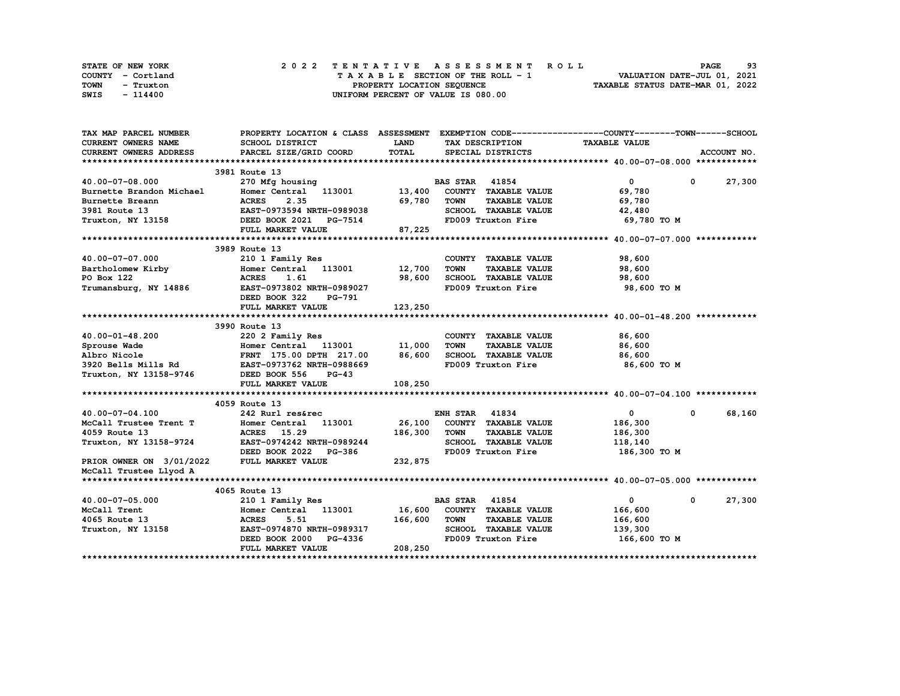| STATE OF NEW YORK | 2022 TENTATIVE ASSESSMENT ROLL     | 93<br><b>PAGE</b>                |
|-------------------|------------------------------------|----------------------------------|
| COUNTY - Cortland | TAXABLE SECTION OF THE ROLL - 1    | VALUATION DATE-JUL 01, 2021      |
| TOWN<br>- Truxton | PROPERTY LOCATION SEQUENCE         | TAXABLE STATUS DATE-MAR 01, 2022 |
| SWIS<br>- 114400  | UNIFORM PERCENT OF VALUE IS 080.00 |                                  |

| TAX MAP PARCEL NUMBER                                         | PROPERTY LOCATION & CLASS ASSESSMENT EXEMPTION CODE----------------COUNTY-------TOWN-----SCHOOL |         |                                     |                      |                      |
|---------------------------------------------------------------|-------------------------------------------------------------------------------------------------|---------|-------------------------------------|----------------------|----------------------|
| CURRENT OWNERS NAME                                           | SCHOOL DISTRICT                                                                                 | LAND    | TAX DESCRIPTION                     | <b>TAXABLE VALUE</b> |                      |
| CURRENT OWNERS ADDRESS                                        | PARCEL SIZE/GRID COORD                                                                          | TOTAL   | SPECIAL DISTRICTS                   |                      | ACCOUNT NO.          |
|                                                               |                                                                                                 |         |                                     |                      |                      |
|                                                               | 3981 Route 13                                                                                   |         |                                     |                      |                      |
| 40.00-07-08.000                                               | 270 Mfg housing                                                                                 |         | <b>BAS STAR 41854</b>               | $\mathbf{0}$         | 27,300<br>$^{\circ}$ |
| Burnette Brandon Michael                                      | Homer Central 113001                                                                            | 13,400  | COUNTY TAXABLE VALUE                | 69,780               |                      |
| Burnette Breann                                               | <b>ACRES</b><br>2.35                                                                            | 69,780  | <b>TOWN</b><br><b>TAXABLE VALUE</b> | 69,780               |                      |
| 3981 Route 13                                                 | EAST-0973594 NRTH-0989038                                                                       |         | SCHOOL TAXABLE VALUE                | 42,480               |                      |
| Truxton, NY 13158                                             | DEED BOOK 2021 PG-7514                                                                          |         | FD009 Truxton Fire                  | 69,780 TO M          |                      |
|                                                               | FULL MARKET VALUE                                                                               | 87,225  |                                     |                      |                      |
|                                                               |                                                                                                 |         |                                     |                      |                      |
|                                                               | 3989 Route 13                                                                                   |         |                                     |                      |                      |
| 40.00-07-07.000                                               | 210 1 Family Res                                                                                |         | COUNTY TAXABLE VALUE                | 98,600               |                      |
| Bartholomew Kirby                                             | Homer Central 113001                                                                            | 12,700  | <b>TOWN</b><br><b>TAXABLE VALUE</b> | 98,600               |                      |
| PO Box 122                                                    | <b>ACRES</b><br>1.61                                                                            | 98,600  | SCHOOL TAXABLE VALUE                | 98,600               |                      |
| Trumansburg, NY 14886                                         | EAST-0973802 NRTH-0989027                                                                       |         | FD009 Truxton Fire                  | 98,600 TO M          |                      |
|                                                               | DEED BOOK 322<br>PG-791                                                                         |         |                                     |                      |                      |
|                                                               | FULL MARKET VALUE                                                                               | 123,250 |                                     |                      |                      |
|                                                               |                                                                                                 |         |                                     |                      |                      |
|                                                               | 3990 Route 13                                                                                   |         |                                     |                      |                      |
| 40.00-01-48.200                                               | 220 2 Family Res                                                                                |         | COUNTY TAXABLE VALUE                | 86,600               |                      |
| Sprouse Wade                                                  | Homer Central 113001                                                                            | 11,000  | <b>TOWN</b><br><b>TAXABLE VALUE</b> | 86,600               |                      |
|                                                               | FRNT 175.00 DPTH 217.00                                                                         | 86,600  | SCHOOL TAXABLE VALUE                | 86,600               |                      |
|                                                               | EAST-0973762 NRTH-0988669                                                                       |         | FD009 Truxton Fire                  | 86,600 то м          |                      |
| ALDIO NICOle<br>3920 Bells Mills Rd<br>Truxton, NY 13158-9746 | DEED BOOK 556<br>$PG-43$                                                                        |         |                                     |                      |                      |
|                                                               | FULL MARKET VALUE                                                                               | 108,250 |                                     |                      |                      |
|                                                               |                                                                                                 |         |                                     |                      |                      |
|                                                               | 4059 Route 13                                                                                   |         |                                     |                      |                      |
| 40.00-07-04.100                                               | 242 Rurl res&rec                                                                                |         | <b>ENH STAR 41834</b>               | $\mathbf 0$          | 68,160<br>0          |
| McCall Trustee Trent T                                        | Homer Central 113001                                                                            | 26,100  | COUNTY TAXABLE VALUE                | 186,300              |                      |
| 4059 Route 13                                                 | ACRES 15.29                                                                                     | 186,300 | <b>TOWN</b><br><b>TAXABLE VALUE</b> | 186,300              |                      |
| Truxton, NY 13158-9724                                        | EAST-0974242 NRTH-0989244                                                                       |         | SCHOOL TAXABLE VALUE                | 118,140              |                      |
|                                                               | DEED BOOK 2022 PG-386                                                                           |         | FD009 Truxton Fire                  | 186,300 то м         |                      |
| PRIOR OWNER ON 3/01/2022                                      | FULL MARKET VALUE                                                                               | 232,875 |                                     |                      |                      |
| McCall Trustee Llyod A                                        |                                                                                                 |         |                                     |                      |                      |
|                                                               |                                                                                                 |         |                                     |                      |                      |
|                                                               | 4065 Route 13                                                                                   |         |                                     |                      |                      |
| 40.00-07-05.000                                               | 210 1 Family Res                                                                                |         | <b>BAS STAR</b><br>41854            | $\mathbf{0}$         | 27,300<br>0          |
| McCall Trent                                                  | Homer Central 113001                                                                            | 16,600  | COUNTY TAXABLE VALUE                | 166,600              |                      |
| 4065 Route 13                                                 | <b>ACRES</b><br>5.51                                                                            | 166,600 | <b>TOWN</b><br><b>TAXABLE VALUE</b> | 166,600              |                      |
| Truxton, NY 13158                                             | EAST-0974870 NRTH-0989317                                                                       |         | SCHOOL TAXABLE VALUE                | 139,300              |                      |
|                                                               | DEED BOOK 2000<br>PG-4336                                                                       |         | FD009 Truxton Fire                  | 166,600 то м         |                      |
|                                                               | FULL MARKET VALUE                                                                               | 208,250 |                                     |                      |                      |
|                                                               |                                                                                                 |         |                                     |                      |                      |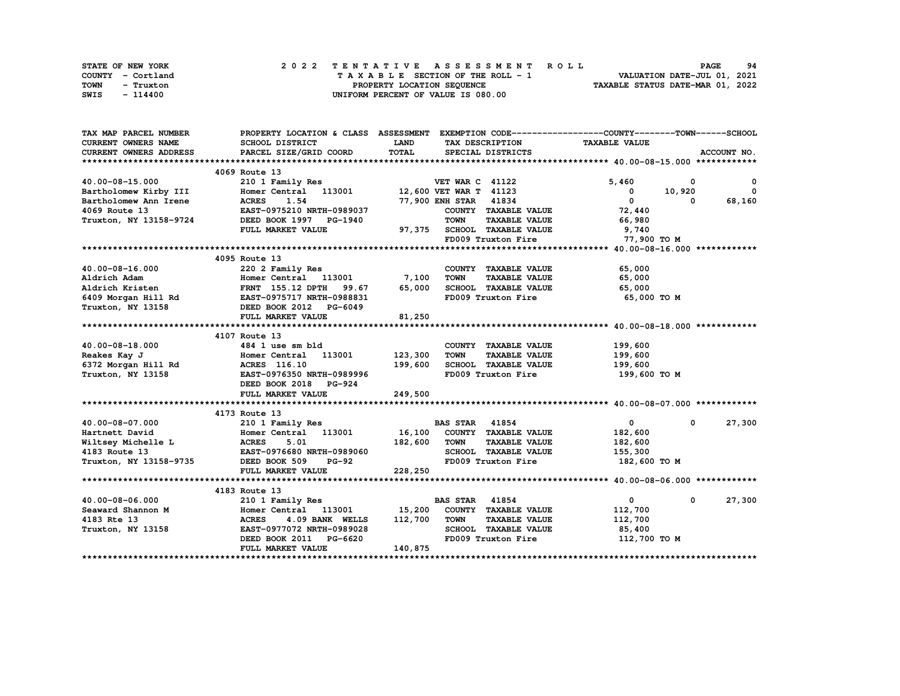| STATE OF NEW YORK | 2022 TENTATIVE ASSESSMENT ROLL     | 94<br><b>PAGE</b>                |
|-------------------|------------------------------------|----------------------------------|
| COUNTY - Cortland | TAXABLE SECTION OF THE ROLL - 1    | VALUATION DATE-JUL 01, 2021      |
| TOWN<br>- Truxton | PROPERTY LOCATION SEQUENCE         | TAXABLE STATUS DATE-MAR 01, 2022 |
| SWIS<br>- 114400  | UNIFORM PERCENT OF VALUE IS 080.00 |                                  |

| TAX MAP PARCEL NUMBER                                                                                                                                                                                                         | PROPERTY LOCATION & CLASS ASSESSMENT EXEMPTION CODE----------------COUNTY-------TOWN-----SCHOOL               |                        |                        |                             |                      |            |              |
|-------------------------------------------------------------------------------------------------------------------------------------------------------------------------------------------------------------------------------|---------------------------------------------------------------------------------------------------------------|------------------------|------------------------|-----------------------------|----------------------|------------|--------------|
| CURRENT OWNERS NAME                                                                                                                                                                                                           | SCHOOL DISTRICT                                                                                               | <b>LAND</b>            |                        | TAX DESCRIPTION             | <b>TAXABLE VALUE</b> |            |              |
| <b>CURRENT OWNERS ADDRESS</b>                                                                                                                                                                                                 | PARCEL SIZE/GRID COORD                                                                                        | TOTAL                  |                        | SPECIAL DISTRICTS           |                      |            | ACCOUNT NO.  |
|                                                                                                                                                                                                                               |                                                                                                               |                        |                        |                             |                      |            |              |
|                                                                                                                                                                                                                               | 4069 Route 13                                                                                                 |                        |                        |                             |                      |            |              |
| 40.00-08-15.000                                                                                                                                                                                                               | 210 1 Family Res                                                                                              |                        | <b>VET WAR C 41122</b> |                             | 5,460                | $^{\circ}$ | $\mathbf{o}$ |
| Bartholomew Kirby III                                                                                                                                                                                                         | Homer Central 113001                                                                                          | 12,600 VET WAR T 41123 |                        |                             | $\mathbf 0$          | 10,920     | $\mathbf{o}$ |
| Bartholomew Ann Irene                                                                                                                                                                                                         | 1.54<br><b>ACRES</b>                                                                                          |                        | 77,900 ENH STAR 41834  |                             | $\mathbf{0}$         | $^{\circ}$ | 68,160       |
| 4069 Route 13                                                                                                                                                                                                                 | EAST-0975210 NRTH-0989037                                                                                     |                        |                        | COUNTY TAXABLE VALUE        | 72,440               |            |              |
| Truxton, NY 13158-9724                                                                                                                                                                                                        | DEED BOOK 1997 PG-1940                                                                                        |                        | <b>TOWN</b>            | <b>TAXABLE VALUE</b>        | 66,980               |            |              |
|                                                                                                                                                                                                                               | FULL MARKET VALUE                                                                                             |                        |                        | 97,375 SCHOOL TAXABLE VALUE | 9,740                |            |              |
|                                                                                                                                                                                                                               |                                                                                                               |                        |                        | FD009 Truxton Fire          | 77,900 TO M          |            |              |
|                                                                                                                                                                                                                               |                                                                                                               |                        |                        |                             |                      |            |              |
|                                                                                                                                                                                                                               | 4095 Route 13                                                                                                 |                        |                        |                             |                      |            |              |
| 40.00-08-16.000                                                                                                                                                                                                               | 220 2 Family Res                                                                                              |                        |                        | COUNTY TAXABLE VALUE        | 65,000               |            |              |
| Aldrich Adam                                                                                                                                                                                                                  | Homer Central 113001                                                                                          | 7,100                  | <b>TOWN</b>            | <b>TAXABLE VALUE</b>        | 65,000               |            |              |
| Aldrich Kristen                                                                                                                                                                                                               | <b>FRNT</b> 155.12 DPTH 99.67                                                                                 | 65,000                 |                        | SCHOOL TAXABLE VALUE        | 65,000               |            |              |
|                                                                                                                                                                                                                               | 6409 Morgan Hill Rd EAST-0975717 NRTH-0988831                                                                 |                        |                        | FD009 Truxton Fire          | 65,000 TO M          |            |              |
| Truxton, NY 13158                                                                                                                                                                                                             | DEED BOOK 2012 PG-6049                                                                                        |                        |                        |                             |                      |            |              |
|                                                                                                                                                                                                                               | FULL MARKET VALUE                                                                                             | 81,250                 |                        |                             |                      |            |              |
|                                                                                                                                                                                                                               |                                                                                                               |                        |                        |                             |                      |            |              |
|                                                                                                                                                                                                                               | 4107 Route 13                                                                                                 |                        |                        |                             |                      |            |              |
| 40.00-08-18.000                                                                                                                                                                                                               | 484 1 use sm bld                                                                                              |                        |                        | COUNTY TAXABLE VALUE        | 199,600              |            |              |
| Reakes Kay J                                                                                                                                                                                                                  | Homer Central 113001 123,300                                                                                  |                        | <b>TOWN</b>            | <b>TAXABLE VALUE</b>        | 199,600              |            |              |
|                                                                                                                                                                                                                               | 6372 Morgan Hill Rd               ACRES   116.10<br>Truxton, NY 13158               EAST-0976350 NRTH-0989996 | 199,600                |                        | SCHOOL TAXABLE VALUE        | 199,600              |            |              |
|                                                                                                                                                                                                                               |                                                                                                               |                        |                        | FD009 Truxton Fire          | 199,600 то м         |            |              |
|                                                                                                                                                                                                                               | DEED BOOK 2018 PG-924                                                                                         |                        |                        |                             |                      |            |              |
|                                                                                                                                                                                                                               | FULL MARKET VALUE                                                                                             | 249,500                |                        |                             |                      |            |              |
|                                                                                                                                                                                                                               |                                                                                                               |                        |                        |                             |                      |            |              |
|                                                                                                                                                                                                                               | 4173 Route 13                                                                                                 |                        |                        |                             |                      |            |              |
|                                                                                                                                                                                                                               | 210 1 Family Res                                                                                              |                        | <b>BAS STAR 41854</b>  |                             | $\mathbf{0}$         | $^{\circ}$ | 27,300       |
|                                                                                                                                                                                                                               | Homer Central 113001 16,100 COUNTY TAXABLE VALUE                                                              |                        |                        |                             | 182,600              |            |              |
| Extracted the contract of the contract of the contract of the contract of the contract of the contract of the contract of the contract of the contract of the contract of the contract of the contract of the contract of the | 5.01                                                                                                          | 182,600                | <b>TOWN</b>            | <b>TAXABLE VALUE</b>        | 182,600              |            |              |
|                                                                                                                                                                                                                               |                                                                                                               |                        |                        | SCHOOL TAXABLE VALUE        | 155,300              |            |              |
|                                                                                                                                                                                                                               | 4183 Route 13<br>Truxton, NY 13158-9735 DEED BOOK 509 PG-92                                                   |                        |                        | FD009 Truxton Fire          | 182,600 TO M         |            |              |
|                                                                                                                                                                                                                               | FULL MARKET VALUE                                                                                             | 228,250                |                        |                             |                      |            |              |
|                                                                                                                                                                                                                               |                                                                                                               |                        |                        |                             |                      |            |              |
|                                                                                                                                                                                                                               | 4183 Route 13                                                                                                 |                        |                        |                             |                      |            |              |
| 40.00-08-06.000                                                                                                                                                                                                               | 210 1 Family Res                                                                                              |                        | <b>BAS STAR 41854</b>  |                             | $\mathbf{0}$         | $^{\circ}$ | 27,300       |
| Seaward Shannon M                                                                                                                                                                                                             | Homer Central 113001 15,200                                                                                   |                        |                        | COUNTY TAXABLE VALUE        | 112,700              |            |              |
| 4183 Rte 13                                                                                                                                                                                                                   | <b>ACRES</b><br>4.09 BANK WELLS                                                                               | 112,700                | <b>TOWN</b>            | <b>TAXABLE VALUE</b>        | 112,700              |            |              |
| Truxton, NY 13158                                                                                                                                                                                                             | EAST-0977072 NRTH-0989028                                                                                     |                        |                        | SCHOOL TAXABLE VALUE        | 85,400               |            |              |
|                                                                                                                                                                                                                               | DEED BOOK 2011 PG-6620                                                                                        |                        |                        | FD009 Truxton Fire          | 112,700 TO M         |            |              |
|                                                                                                                                                                                                                               | FULL MARKET VALUE                                                                                             | 140,875                |                        |                             |                      |            |              |
|                                                                                                                                                                                                                               |                                                                                                               |                        |                        |                             |                      |            |              |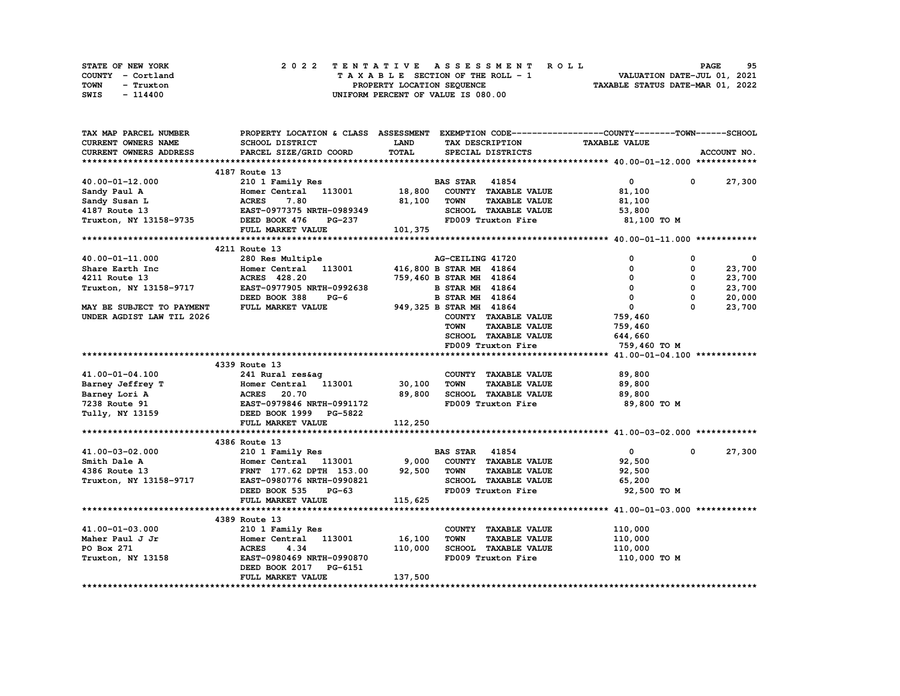| STATE OF NEW YORK | 2022 TENTATIVE ASSESSMENT ROLL     | 95<br><b>PAGE</b>                |
|-------------------|------------------------------------|----------------------------------|
| COUNTY - Cortland | TAXABLE SECTION OF THE ROLL - 1    | VALUATION DATE-JUL 01, 2021      |
| TOWN<br>- Truxton | PROPERTY LOCATION SEQUENCE         | TAXABLE STATUS DATE-MAR 01, 2022 |
| SWIS<br>- 114400  | UNIFORM PERCENT OF VALUE IS 080.00 |                                  |

| CURRENT OWNERS NAME<br><b>SCHOOL DISTRICT</b><br><b>LAND</b><br><b>TAXABLE VALUE</b><br>TAX DESCRIPTION<br>TOTAL<br>CURRENT OWNERS ADDRESS<br>PARCEL SIZE/GRID COORD<br>ACCOUNT NO.<br>SPECIAL DISTRICTS<br>4187 Route 13<br>$\mathbf{0}$<br>27,300<br>40.00-01-12.000<br>210 1 Family Res<br><b>BAS STAR 41854</b><br>$\mathbf{0}$<br>18,800<br>COUNTY TAXABLE VALUE<br>Homer Central 113001<br>81,100<br>Sandy Paul A<br>7.80<br>81,100<br><b>TOWN</b><br><b>TAXABLE VALUE</b><br>Sandy Susan L<br><b>ACRES</b><br>81,100<br>SCHOOL TAXABLE VALUE<br>4187 Route 13<br>EAST-0977375 NRTH-0989349<br>53,800<br>Truxton, NY 13158-9735<br>DEED BOOK 476<br>FD009 Truxton Fire<br>81,100 TO M<br>PG-237<br>101,375<br>FULL MARKET VALUE<br>4211 Route 13<br>40.00-01-11.000<br>280 Res Multiple<br>AG-CEILING 41720<br>0<br>0<br>0<br>Homer Central 113001<br>23,700<br>416,800 B STAR MH 41864<br>$\mathbf{0}$<br>0<br>Share Earth Inc<br>759,460 B STAR MH 41864<br>$\mathbf{0}$<br>0<br>23,700<br>4211 Route 13<br>ACRES 428.20<br>$\Omega$<br>$\mathbf{0}$<br>23,700<br>Truxton, NY 13158-9717<br>EAST-0977905 NRTH-0992638<br><b>B STAR MH 41864</b><br>$\mathbf 0$<br>$\mathbf 0$<br>DEED BOOK 388<br><b>B STAR MH 41864</b><br>20,000<br>$PG-6$<br>$\mathbf{0}$<br>949,325 B STAR MH 41864<br>$\Omega$<br>23,700<br><b>MAY BE SUBJECT TO PAYMENT</b><br>FULL MARKET VALUE<br>UNDER AGDIST LAW TIL 2026<br>COUNTY TAXABLE VALUE<br>759,460<br><b>TOWN</b><br><b>TAXABLE VALUE</b><br>759,460<br>SCHOOL TAXABLE VALUE<br>644,660<br>FD009 Truxton Fire<br>759,460 ТО М<br>4339 Route 13<br>41.00-01-04.100<br>241 Rural res&ag<br>COUNTY TAXABLE VALUE<br>89,800<br>Homer Central 113001 30,100<br><b>TOWN</b><br><b>TAXABLE VALUE</b><br>Barney Jeffrey T<br>89,800<br><b>ACRES 20.70<br/>EAST-0979846 NRTH-0991172</b><br>89,800<br>SCHOOL TAXABLE VALUE<br>Barney Lori A<br>89,800<br>7238 Route 91<br>FD009 Truxton Fire<br>89,800 TO M<br>Tully, NY 13159<br>DEED BOOK 1999 PG-5822<br>FULL MARKET VALUE<br>112,250<br>4386 Route 13<br>41854<br>$\mathbf{0}$<br>27,300<br>41.00-03-02.000<br>210 1 Family Res<br><b>BAS STAR</b><br>$^{\circ}$<br>9,000<br>Homer Central 113001<br>COUNTY TAXABLE VALUE<br>Smith Dale A<br>92,500<br>92,500<br><b>TAXABLE VALUE</b><br>4386 Route 13<br>FRNT 177.62 DPTH 153.00<br>TOWN<br>92,500<br>SCHOOL TAXABLE VALUE<br>Truxton, NY 13158-9717<br>EAST-0980776 NRTH-0990821<br>65,200<br>FD009 Truxton Fire<br>DEED BOOK 535<br>92,500 TO M<br>$PG-63$<br>115,625<br>FULL MARKET VALUE<br>4389 Route 13<br>41.00-01-03.000<br>COUNTY TAXABLE VALUE<br>110,000<br>210 1 Family Res<br>16,100<br>Maher Paul J Jr<br>Homer Central 113001<br><b>TOWN</b><br><b>TAXABLE VALUE</b><br>110,000<br>110,000<br>SCHOOL TAXABLE VALUE<br>PO Box 271<br><b>ACRES</b><br>4.34<br>110,000<br>FD009 Truxton Fire<br>EAST-0980469 NRTH-0990870<br>110,000 TO M<br>Truxton, NY 13158<br>DEED BOOK 2017 PG-6151<br>137,500<br>FULL MARKET VALUE | TAX MAP PARCEL NUMBER |  | PROPERTY LOCATION & CLASS ASSESSMENT EXEMPTION CODE----------------COUNTY-------TOWN-----SCHOOL |  |  |
|------------------------------------------------------------------------------------------------------------------------------------------------------------------------------------------------------------------------------------------------------------------------------------------------------------------------------------------------------------------------------------------------------------------------------------------------------------------------------------------------------------------------------------------------------------------------------------------------------------------------------------------------------------------------------------------------------------------------------------------------------------------------------------------------------------------------------------------------------------------------------------------------------------------------------------------------------------------------------------------------------------------------------------------------------------------------------------------------------------------------------------------------------------------------------------------------------------------------------------------------------------------------------------------------------------------------------------------------------------------------------------------------------------------------------------------------------------------------------------------------------------------------------------------------------------------------------------------------------------------------------------------------------------------------------------------------------------------------------------------------------------------------------------------------------------------------------------------------------------------------------------------------------------------------------------------------------------------------------------------------------------------------------------------------------------------------------------------------------------------------------------------------------------------------------------------------------------------------------------------------------------------------------------------------------------------------------------------------------------------------------------------------------------------------------------------------------------------------------------------------------------------------------------------------------------------------------------------------------------------------------------------------------------------------------------------------------------------------------------------------------------------------------------------------------------------------------------------------------------------------------------------------------------------------------------------------------------------------------|-----------------------|--|-------------------------------------------------------------------------------------------------|--|--|
|                                                                                                                                                                                                                                                                                                                                                                                                                                                                                                                                                                                                                                                                                                                                                                                                                                                                                                                                                                                                                                                                                                                                                                                                                                                                                                                                                                                                                                                                                                                                                                                                                                                                                                                                                                                                                                                                                                                                                                                                                                                                                                                                                                                                                                                                                                                                                                                                                                                                                                                                                                                                                                                                                                                                                                                                                                                                                                                                                                              |                       |  |                                                                                                 |  |  |
|                                                                                                                                                                                                                                                                                                                                                                                                                                                                                                                                                                                                                                                                                                                                                                                                                                                                                                                                                                                                                                                                                                                                                                                                                                                                                                                                                                                                                                                                                                                                                                                                                                                                                                                                                                                                                                                                                                                                                                                                                                                                                                                                                                                                                                                                                                                                                                                                                                                                                                                                                                                                                                                                                                                                                                                                                                                                                                                                                                              |                       |  |                                                                                                 |  |  |
|                                                                                                                                                                                                                                                                                                                                                                                                                                                                                                                                                                                                                                                                                                                                                                                                                                                                                                                                                                                                                                                                                                                                                                                                                                                                                                                                                                                                                                                                                                                                                                                                                                                                                                                                                                                                                                                                                                                                                                                                                                                                                                                                                                                                                                                                                                                                                                                                                                                                                                                                                                                                                                                                                                                                                                                                                                                                                                                                                                              |                       |  |                                                                                                 |  |  |
|                                                                                                                                                                                                                                                                                                                                                                                                                                                                                                                                                                                                                                                                                                                                                                                                                                                                                                                                                                                                                                                                                                                                                                                                                                                                                                                                                                                                                                                                                                                                                                                                                                                                                                                                                                                                                                                                                                                                                                                                                                                                                                                                                                                                                                                                                                                                                                                                                                                                                                                                                                                                                                                                                                                                                                                                                                                                                                                                                                              |                       |  |                                                                                                 |  |  |
|                                                                                                                                                                                                                                                                                                                                                                                                                                                                                                                                                                                                                                                                                                                                                                                                                                                                                                                                                                                                                                                                                                                                                                                                                                                                                                                                                                                                                                                                                                                                                                                                                                                                                                                                                                                                                                                                                                                                                                                                                                                                                                                                                                                                                                                                                                                                                                                                                                                                                                                                                                                                                                                                                                                                                                                                                                                                                                                                                                              |                       |  |                                                                                                 |  |  |
|                                                                                                                                                                                                                                                                                                                                                                                                                                                                                                                                                                                                                                                                                                                                                                                                                                                                                                                                                                                                                                                                                                                                                                                                                                                                                                                                                                                                                                                                                                                                                                                                                                                                                                                                                                                                                                                                                                                                                                                                                                                                                                                                                                                                                                                                                                                                                                                                                                                                                                                                                                                                                                                                                                                                                                                                                                                                                                                                                                              |                       |  |                                                                                                 |  |  |
|                                                                                                                                                                                                                                                                                                                                                                                                                                                                                                                                                                                                                                                                                                                                                                                                                                                                                                                                                                                                                                                                                                                                                                                                                                                                                                                                                                                                                                                                                                                                                                                                                                                                                                                                                                                                                                                                                                                                                                                                                                                                                                                                                                                                                                                                                                                                                                                                                                                                                                                                                                                                                                                                                                                                                                                                                                                                                                                                                                              |                       |  |                                                                                                 |  |  |
|                                                                                                                                                                                                                                                                                                                                                                                                                                                                                                                                                                                                                                                                                                                                                                                                                                                                                                                                                                                                                                                                                                                                                                                                                                                                                                                                                                                                                                                                                                                                                                                                                                                                                                                                                                                                                                                                                                                                                                                                                                                                                                                                                                                                                                                                                                                                                                                                                                                                                                                                                                                                                                                                                                                                                                                                                                                                                                                                                                              |                       |  |                                                                                                 |  |  |
|                                                                                                                                                                                                                                                                                                                                                                                                                                                                                                                                                                                                                                                                                                                                                                                                                                                                                                                                                                                                                                                                                                                                                                                                                                                                                                                                                                                                                                                                                                                                                                                                                                                                                                                                                                                                                                                                                                                                                                                                                                                                                                                                                                                                                                                                                                                                                                                                                                                                                                                                                                                                                                                                                                                                                                                                                                                                                                                                                                              |                       |  |                                                                                                 |  |  |
|                                                                                                                                                                                                                                                                                                                                                                                                                                                                                                                                                                                                                                                                                                                                                                                                                                                                                                                                                                                                                                                                                                                                                                                                                                                                                                                                                                                                                                                                                                                                                                                                                                                                                                                                                                                                                                                                                                                                                                                                                                                                                                                                                                                                                                                                                                                                                                                                                                                                                                                                                                                                                                                                                                                                                                                                                                                                                                                                                                              |                       |  |                                                                                                 |  |  |
|                                                                                                                                                                                                                                                                                                                                                                                                                                                                                                                                                                                                                                                                                                                                                                                                                                                                                                                                                                                                                                                                                                                                                                                                                                                                                                                                                                                                                                                                                                                                                                                                                                                                                                                                                                                                                                                                                                                                                                                                                                                                                                                                                                                                                                                                                                                                                                                                                                                                                                                                                                                                                                                                                                                                                                                                                                                                                                                                                                              |                       |  |                                                                                                 |  |  |
|                                                                                                                                                                                                                                                                                                                                                                                                                                                                                                                                                                                                                                                                                                                                                                                                                                                                                                                                                                                                                                                                                                                                                                                                                                                                                                                                                                                                                                                                                                                                                                                                                                                                                                                                                                                                                                                                                                                                                                                                                                                                                                                                                                                                                                                                                                                                                                                                                                                                                                                                                                                                                                                                                                                                                                                                                                                                                                                                                                              |                       |  |                                                                                                 |  |  |
|                                                                                                                                                                                                                                                                                                                                                                                                                                                                                                                                                                                                                                                                                                                                                                                                                                                                                                                                                                                                                                                                                                                                                                                                                                                                                                                                                                                                                                                                                                                                                                                                                                                                                                                                                                                                                                                                                                                                                                                                                                                                                                                                                                                                                                                                                                                                                                                                                                                                                                                                                                                                                                                                                                                                                                                                                                                                                                                                                                              |                       |  |                                                                                                 |  |  |
|                                                                                                                                                                                                                                                                                                                                                                                                                                                                                                                                                                                                                                                                                                                                                                                                                                                                                                                                                                                                                                                                                                                                                                                                                                                                                                                                                                                                                                                                                                                                                                                                                                                                                                                                                                                                                                                                                                                                                                                                                                                                                                                                                                                                                                                                                                                                                                                                                                                                                                                                                                                                                                                                                                                                                                                                                                                                                                                                                                              |                       |  |                                                                                                 |  |  |
|                                                                                                                                                                                                                                                                                                                                                                                                                                                                                                                                                                                                                                                                                                                                                                                                                                                                                                                                                                                                                                                                                                                                                                                                                                                                                                                                                                                                                                                                                                                                                                                                                                                                                                                                                                                                                                                                                                                                                                                                                                                                                                                                                                                                                                                                                                                                                                                                                                                                                                                                                                                                                                                                                                                                                                                                                                                                                                                                                                              |                       |  |                                                                                                 |  |  |
|                                                                                                                                                                                                                                                                                                                                                                                                                                                                                                                                                                                                                                                                                                                                                                                                                                                                                                                                                                                                                                                                                                                                                                                                                                                                                                                                                                                                                                                                                                                                                                                                                                                                                                                                                                                                                                                                                                                                                                                                                                                                                                                                                                                                                                                                                                                                                                                                                                                                                                                                                                                                                                                                                                                                                                                                                                                                                                                                                                              |                       |  |                                                                                                 |  |  |
|                                                                                                                                                                                                                                                                                                                                                                                                                                                                                                                                                                                                                                                                                                                                                                                                                                                                                                                                                                                                                                                                                                                                                                                                                                                                                                                                                                                                                                                                                                                                                                                                                                                                                                                                                                                                                                                                                                                                                                                                                                                                                                                                                                                                                                                                                                                                                                                                                                                                                                                                                                                                                                                                                                                                                                                                                                                                                                                                                                              |                       |  |                                                                                                 |  |  |
|                                                                                                                                                                                                                                                                                                                                                                                                                                                                                                                                                                                                                                                                                                                                                                                                                                                                                                                                                                                                                                                                                                                                                                                                                                                                                                                                                                                                                                                                                                                                                                                                                                                                                                                                                                                                                                                                                                                                                                                                                                                                                                                                                                                                                                                                                                                                                                                                                                                                                                                                                                                                                                                                                                                                                                                                                                                                                                                                                                              |                       |  |                                                                                                 |  |  |
|                                                                                                                                                                                                                                                                                                                                                                                                                                                                                                                                                                                                                                                                                                                                                                                                                                                                                                                                                                                                                                                                                                                                                                                                                                                                                                                                                                                                                                                                                                                                                                                                                                                                                                                                                                                                                                                                                                                                                                                                                                                                                                                                                                                                                                                                                                                                                                                                                                                                                                                                                                                                                                                                                                                                                                                                                                                                                                                                                                              |                       |  |                                                                                                 |  |  |
|                                                                                                                                                                                                                                                                                                                                                                                                                                                                                                                                                                                                                                                                                                                                                                                                                                                                                                                                                                                                                                                                                                                                                                                                                                                                                                                                                                                                                                                                                                                                                                                                                                                                                                                                                                                                                                                                                                                                                                                                                                                                                                                                                                                                                                                                                                                                                                                                                                                                                                                                                                                                                                                                                                                                                                                                                                                                                                                                                                              |                       |  |                                                                                                 |  |  |
|                                                                                                                                                                                                                                                                                                                                                                                                                                                                                                                                                                                                                                                                                                                                                                                                                                                                                                                                                                                                                                                                                                                                                                                                                                                                                                                                                                                                                                                                                                                                                                                                                                                                                                                                                                                                                                                                                                                                                                                                                                                                                                                                                                                                                                                                                                                                                                                                                                                                                                                                                                                                                                                                                                                                                                                                                                                                                                                                                                              |                       |  |                                                                                                 |  |  |
|                                                                                                                                                                                                                                                                                                                                                                                                                                                                                                                                                                                                                                                                                                                                                                                                                                                                                                                                                                                                                                                                                                                                                                                                                                                                                                                                                                                                                                                                                                                                                                                                                                                                                                                                                                                                                                                                                                                                                                                                                                                                                                                                                                                                                                                                                                                                                                                                                                                                                                                                                                                                                                                                                                                                                                                                                                                                                                                                                                              |                       |  |                                                                                                 |  |  |
|                                                                                                                                                                                                                                                                                                                                                                                                                                                                                                                                                                                                                                                                                                                                                                                                                                                                                                                                                                                                                                                                                                                                                                                                                                                                                                                                                                                                                                                                                                                                                                                                                                                                                                                                                                                                                                                                                                                                                                                                                                                                                                                                                                                                                                                                                                                                                                                                                                                                                                                                                                                                                                                                                                                                                                                                                                                                                                                                                                              |                       |  |                                                                                                 |  |  |
|                                                                                                                                                                                                                                                                                                                                                                                                                                                                                                                                                                                                                                                                                                                                                                                                                                                                                                                                                                                                                                                                                                                                                                                                                                                                                                                                                                                                                                                                                                                                                                                                                                                                                                                                                                                                                                                                                                                                                                                                                                                                                                                                                                                                                                                                                                                                                                                                                                                                                                                                                                                                                                                                                                                                                                                                                                                                                                                                                                              |                       |  |                                                                                                 |  |  |
|                                                                                                                                                                                                                                                                                                                                                                                                                                                                                                                                                                                                                                                                                                                                                                                                                                                                                                                                                                                                                                                                                                                                                                                                                                                                                                                                                                                                                                                                                                                                                                                                                                                                                                                                                                                                                                                                                                                                                                                                                                                                                                                                                                                                                                                                                                                                                                                                                                                                                                                                                                                                                                                                                                                                                                                                                                                                                                                                                                              |                       |  |                                                                                                 |  |  |
|                                                                                                                                                                                                                                                                                                                                                                                                                                                                                                                                                                                                                                                                                                                                                                                                                                                                                                                                                                                                                                                                                                                                                                                                                                                                                                                                                                                                                                                                                                                                                                                                                                                                                                                                                                                                                                                                                                                                                                                                                                                                                                                                                                                                                                                                                                                                                                                                                                                                                                                                                                                                                                                                                                                                                                                                                                                                                                                                                                              |                       |  |                                                                                                 |  |  |
|                                                                                                                                                                                                                                                                                                                                                                                                                                                                                                                                                                                                                                                                                                                                                                                                                                                                                                                                                                                                                                                                                                                                                                                                                                                                                                                                                                                                                                                                                                                                                                                                                                                                                                                                                                                                                                                                                                                                                                                                                                                                                                                                                                                                                                                                                                                                                                                                                                                                                                                                                                                                                                                                                                                                                                                                                                                                                                                                                                              |                       |  |                                                                                                 |  |  |
|                                                                                                                                                                                                                                                                                                                                                                                                                                                                                                                                                                                                                                                                                                                                                                                                                                                                                                                                                                                                                                                                                                                                                                                                                                                                                                                                                                                                                                                                                                                                                                                                                                                                                                                                                                                                                                                                                                                                                                                                                                                                                                                                                                                                                                                                                                                                                                                                                                                                                                                                                                                                                                                                                                                                                                                                                                                                                                                                                                              |                       |  |                                                                                                 |  |  |
|                                                                                                                                                                                                                                                                                                                                                                                                                                                                                                                                                                                                                                                                                                                                                                                                                                                                                                                                                                                                                                                                                                                                                                                                                                                                                                                                                                                                                                                                                                                                                                                                                                                                                                                                                                                                                                                                                                                                                                                                                                                                                                                                                                                                                                                                                                                                                                                                                                                                                                                                                                                                                                                                                                                                                                                                                                                                                                                                                                              |                       |  |                                                                                                 |  |  |
|                                                                                                                                                                                                                                                                                                                                                                                                                                                                                                                                                                                                                                                                                                                                                                                                                                                                                                                                                                                                                                                                                                                                                                                                                                                                                                                                                                                                                                                                                                                                                                                                                                                                                                                                                                                                                                                                                                                                                                                                                                                                                                                                                                                                                                                                                                                                                                                                                                                                                                                                                                                                                                                                                                                                                                                                                                                                                                                                                                              |                       |  |                                                                                                 |  |  |
|                                                                                                                                                                                                                                                                                                                                                                                                                                                                                                                                                                                                                                                                                                                                                                                                                                                                                                                                                                                                                                                                                                                                                                                                                                                                                                                                                                                                                                                                                                                                                                                                                                                                                                                                                                                                                                                                                                                                                                                                                                                                                                                                                                                                                                                                                                                                                                                                                                                                                                                                                                                                                                                                                                                                                                                                                                                                                                                                                                              |                       |  |                                                                                                 |  |  |
|                                                                                                                                                                                                                                                                                                                                                                                                                                                                                                                                                                                                                                                                                                                                                                                                                                                                                                                                                                                                                                                                                                                                                                                                                                                                                                                                                                                                                                                                                                                                                                                                                                                                                                                                                                                                                                                                                                                                                                                                                                                                                                                                                                                                                                                                                                                                                                                                                                                                                                                                                                                                                                                                                                                                                                                                                                                                                                                                                                              |                       |  |                                                                                                 |  |  |
|                                                                                                                                                                                                                                                                                                                                                                                                                                                                                                                                                                                                                                                                                                                                                                                                                                                                                                                                                                                                                                                                                                                                                                                                                                                                                                                                                                                                                                                                                                                                                                                                                                                                                                                                                                                                                                                                                                                                                                                                                                                                                                                                                                                                                                                                                                                                                                                                                                                                                                                                                                                                                                                                                                                                                                                                                                                                                                                                                                              |                       |  |                                                                                                 |  |  |
|                                                                                                                                                                                                                                                                                                                                                                                                                                                                                                                                                                                                                                                                                                                                                                                                                                                                                                                                                                                                                                                                                                                                                                                                                                                                                                                                                                                                                                                                                                                                                                                                                                                                                                                                                                                                                                                                                                                                                                                                                                                                                                                                                                                                                                                                                                                                                                                                                                                                                                                                                                                                                                                                                                                                                                                                                                                                                                                                                                              |                       |  |                                                                                                 |  |  |
|                                                                                                                                                                                                                                                                                                                                                                                                                                                                                                                                                                                                                                                                                                                                                                                                                                                                                                                                                                                                                                                                                                                                                                                                                                                                                                                                                                                                                                                                                                                                                                                                                                                                                                                                                                                                                                                                                                                                                                                                                                                                                                                                                                                                                                                                                                                                                                                                                                                                                                                                                                                                                                                                                                                                                                                                                                                                                                                                                                              |                       |  |                                                                                                 |  |  |
|                                                                                                                                                                                                                                                                                                                                                                                                                                                                                                                                                                                                                                                                                                                                                                                                                                                                                                                                                                                                                                                                                                                                                                                                                                                                                                                                                                                                                                                                                                                                                                                                                                                                                                                                                                                                                                                                                                                                                                                                                                                                                                                                                                                                                                                                                                                                                                                                                                                                                                                                                                                                                                                                                                                                                                                                                                                                                                                                                                              |                       |  |                                                                                                 |  |  |
|                                                                                                                                                                                                                                                                                                                                                                                                                                                                                                                                                                                                                                                                                                                                                                                                                                                                                                                                                                                                                                                                                                                                                                                                                                                                                                                                                                                                                                                                                                                                                                                                                                                                                                                                                                                                                                                                                                                                                                                                                                                                                                                                                                                                                                                                                                                                                                                                                                                                                                                                                                                                                                                                                                                                                                                                                                                                                                                                                                              |                       |  |                                                                                                 |  |  |
|                                                                                                                                                                                                                                                                                                                                                                                                                                                                                                                                                                                                                                                                                                                                                                                                                                                                                                                                                                                                                                                                                                                                                                                                                                                                                                                                                                                                                                                                                                                                                                                                                                                                                                                                                                                                                                                                                                                                                                                                                                                                                                                                                                                                                                                                                                                                                                                                                                                                                                                                                                                                                                                                                                                                                                                                                                                                                                                                                                              |                       |  |                                                                                                 |  |  |
|                                                                                                                                                                                                                                                                                                                                                                                                                                                                                                                                                                                                                                                                                                                                                                                                                                                                                                                                                                                                                                                                                                                                                                                                                                                                                                                                                                                                                                                                                                                                                                                                                                                                                                                                                                                                                                                                                                                                                                                                                                                                                                                                                                                                                                                                                                                                                                                                                                                                                                                                                                                                                                                                                                                                                                                                                                                                                                                                                                              |                       |  |                                                                                                 |  |  |
|                                                                                                                                                                                                                                                                                                                                                                                                                                                                                                                                                                                                                                                                                                                                                                                                                                                                                                                                                                                                                                                                                                                                                                                                                                                                                                                                                                                                                                                                                                                                                                                                                                                                                                                                                                                                                                                                                                                                                                                                                                                                                                                                                                                                                                                                                                                                                                                                                                                                                                                                                                                                                                                                                                                                                                                                                                                                                                                                                                              |                       |  |                                                                                                 |  |  |
|                                                                                                                                                                                                                                                                                                                                                                                                                                                                                                                                                                                                                                                                                                                                                                                                                                                                                                                                                                                                                                                                                                                                                                                                                                                                                                                                                                                                                                                                                                                                                                                                                                                                                                                                                                                                                                                                                                                                                                                                                                                                                                                                                                                                                                                                                                                                                                                                                                                                                                                                                                                                                                                                                                                                                                                                                                                                                                                                                                              |                       |  |                                                                                                 |  |  |
|                                                                                                                                                                                                                                                                                                                                                                                                                                                                                                                                                                                                                                                                                                                                                                                                                                                                                                                                                                                                                                                                                                                                                                                                                                                                                                                                                                                                                                                                                                                                                                                                                                                                                                                                                                                                                                                                                                                                                                                                                                                                                                                                                                                                                                                                                                                                                                                                                                                                                                                                                                                                                                                                                                                                                                                                                                                                                                                                                                              |                       |  |                                                                                                 |  |  |
|                                                                                                                                                                                                                                                                                                                                                                                                                                                                                                                                                                                                                                                                                                                                                                                                                                                                                                                                                                                                                                                                                                                                                                                                                                                                                                                                                                                                                                                                                                                                                                                                                                                                                                                                                                                                                                                                                                                                                                                                                                                                                                                                                                                                                                                                                                                                                                                                                                                                                                                                                                                                                                                                                                                                                                                                                                                                                                                                                                              |                       |  |                                                                                                 |  |  |
|                                                                                                                                                                                                                                                                                                                                                                                                                                                                                                                                                                                                                                                                                                                                                                                                                                                                                                                                                                                                                                                                                                                                                                                                                                                                                                                                                                                                                                                                                                                                                                                                                                                                                                                                                                                                                                                                                                                                                                                                                                                                                                                                                                                                                                                                                                                                                                                                                                                                                                                                                                                                                                                                                                                                                                                                                                                                                                                                                                              |                       |  |                                                                                                 |  |  |
|                                                                                                                                                                                                                                                                                                                                                                                                                                                                                                                                                                                                                                                                                                                                                                                                                                                                                                                                                                                                                                                                                                                                                                                                                                                                                                                                                                                                                                                                                                                                                                                                                                                                                                                                                                                                                                                                                                                                                                                                                                                                                                                                                                                                                                                                                                                                                                                                                                                                                                                                                                                                                                                                                                                                                                                                                                                                                                                                                                              |                       |  |                                                                                                 |  |  |
|                                                                                                                                                                                                                                                                                                                                                                                                                                                                                                                                                                                                                                                                                                                                                                                                                                                                                                                                                                                                                                                                                                                                                                                                                                                                                                                                                                                                                                                                                                                                                                                                                                                                                                                                                                                                                                                                                                                                                                                                                                                                                                                                                                                                                                                                                                                                                                                                                                                                                                                                                                                                                                                                                                                                                                                                                                                                                                                                                                              |                       |  |                                                                                                 |  |  |
|                                                                                                                                                                                                                                                                                                                                                                                                                                                                                                                                                                                                                                                                                                                                                                                                                                                                                                                                                                                                                                                                                                                                                                                                                                                                                                                                                                                                                                                                                                                                                                                                                                                                                                                                                                                                                                                                                                                                                                                                                                                                                                                                                                                                                                                                                                                                                                                                                                                                                                                                                                                                                                                                                                                                                                                                                                                                                                                                                                              |                       |  |                                                                                                 |  |  |
|                                                                                                                                                                                                                                                                                                                                                                                                                                                                                                                                                                                                                                                                                                                                                                                                                                                                                                                                                                                                                                                                                                                                                                                                                                                                                                                                                                                                                                                                                                                                                                                                                                                                                                                                                                                                                                                                                                                                                                                                                                                                                                                                                                                                                                                                                                                                                                                                                                                                                                                                                                                                                                                                                                                                                                                                                                                                                                                                                                              |                       |  |                                                                                                 |  |  |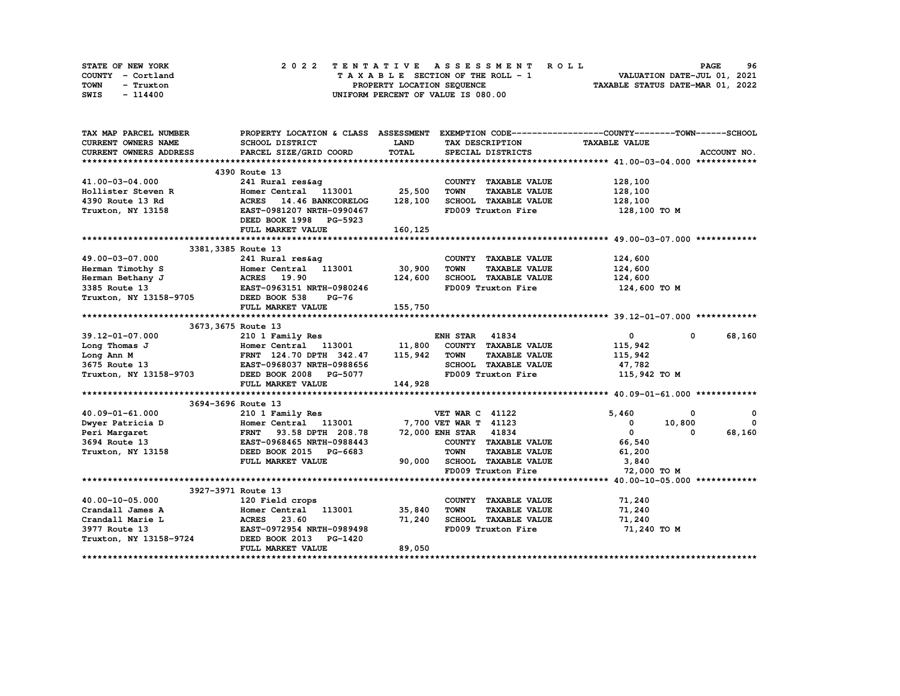| STATE OF NEW YORK | 2022 TENTATIVE ASSESSMENT ROLL     | 96<br><b>PAGE</b>                |
|-------------------|------------------------------------|----------------------------------|
| COUNTY - Cortland | TAXABLE SECTION OF THE ROLL - 1    | VALUATION DATE-JUL 01, 2021      |
| TOWN<br>- Truxton | PROPERTY LOCATION SEQUENCE         | TAXABLE STATUS DATE-MAR 01, 2022 |
| SWIS<br>- 114400  | UNIFORM PERCENT OF VALUE IS 080.00 |                                  |

| SCHOOL DISTRICT<br><b>LAND</b><br>TAX DESCRIPTION<br><b>TAXABLE VALUE</b><br><b>TOTAL</b><br>PARCEL SIZE/GRID COORD<br>SPECIAL DISTRICTS<br>ACCOUNT NO.<br>4390 Route 13<br>241 Rural res&aq<br>COUNTY TAXABLE VALUE<br>128,100<br>Homer Central 113001 25,500<br><b>TOWN</b><br><b>TAXABLE VALUE</b><br>128,100<br>14.46 BANKCORELOG<br>128,100<br><b>ACRES</b><br>SCHOOL TAXABLE VALUE<br>128,100<br>EAST-0981207 NRTH-0990467<br>FD009 Truxton Fire<br>128,100 TO M<br>DEED BOOK 1998 PG-5923<br>FULL MARKET VALUE<br>160,125<br>3381, 3385 Route 13<br>241 Rural res&ag<br>124,600<br>COUNTY TAXABLE VALUE<br>30,900<br>Homer Central 113001<br><b>TOWN</b><br><b>TAXABLE VALUE</b><br>124,600<br><b>ACRES</b> 19.90<br>124,600 SCHOOL TAXABLE VALUE<br>FD009 Truxton Fire<br>124,600<br>EAST-0963151 NRTH-0980246<br>124,600 то м<br>Truxton, NY 13158-9705 DEED BOOK 538<br><b>PG-76</b><br>FULL MARKET VALUE<br>155,750<br>3673, 3675 Route 13<br>$\overline{0}$<br>68,160<br>39.12-01-07.000<br>210 1 Family Res<br><b>ENH STAR 41834</b><br>$^{\circ}$<br>Homer Central 113001 11,800 COUNTY TAXABLE VALUE<br>FRNT 124.70 DPTH 342.47 115,942 TOWN TAXABLE VALUE<br>EAST-0968037 NRTH-0988656 SCHOOL TAXABLE VALUE<br>115,942<br>Long Thomas J<br>115,942<br>Long Ann M<br>3675 Route 13 EAST-0968037 NRTH-0988656<br>Truxton, NY 13158-9703 DEED BOOK 2008 PG-5077<br>47,782<br>FD009 Truxton Fire<br>115,942 TO M<br>144,928<br>FULL MARKET VALUE<br>3694-3696 Route 13<br>$40.09 - 01 - 61.000$<br>5,460<br>0<br>0<br>0 210 1 Family Res 7,700 VET WAR C 41122<br>D Homer Central 113001 7,700 VET WAR T 41123<br>FRNT 93.58 DPTH 208.78 72,000 ENH STAR 41834<br>EAST-0968465 NRTH-0988443 COUNTY TAXABLE<br>DEED BOOK 2015 PG-6683 TOWN TAXABLE<br>$\mathbf 0$<br>Dwyer Patricia D<br>$\mathbf{0}$<br>10,800<br>$\mathbf{0}$<br>68,160<br>Peri Margaret<br>$\Omega$<br>3694 Route 13<br>COUNTY TAXABLE VALUE<br>66,540<br>Truxton, NY 13158<br><b>TAXABLE VALUE</b><br>61,200<br>90,000 SCHOOL TAXABLE VALUE<br>FULL MARKET VALUE<br>3,840<br>FD009 Truxton Fire<br>72,000 TO M<br>3927-3971 Route 13<br>40.00-10-05.000<br>COUNTY TAXABLE VALUE<br>71,240<br>35,840<br>Crandall James A<br>TOWN<br><b>TAXABLE VALUE</b><br>71,240<br>--- --eid crops<br>Homer Central 113001<br>ACRES 23.60<br>EAST-0972954 NRTH-0989498<br>3-9724 DEED BOOK 2013<br>SCHOOL TAXABLE VALUE<br>71,240<br>71,240<br>Crandall Marie L<br>3977 Route 13<br>FD009 Truxton Fire<br>71,240 TO M<br>Truxton, NY 13158-9724 | TAX MAP PARCEL NUMBER      | PROPERTY LOCATION & CLASS ASSESSMENT EXEMPTION CODE----------------COUNTY-------TOWN------SCHOOL |  |  |  |
|------------------------------------------------------------------------------------------------------------------------------------------------------------------------------------------------------------------------------------------------------------------------------------------------------------------------------------------------------------------------------------------------------------------------------------------------------------------------------------------------------------------------------------------------------------------------------------------------------------------------------------------------------------------------------------------------------------------------------------------------------------------------------------------------------------------------------------------------------------------------------------------------------------------------------------------------------------------------------------------------------------------------------------------------------------------------------------------------------------------------------------------------------------------------------------------------------------------------------------------------------------------------------------------------------------------------------------------------------------------------------------------------------------------------------------------------------------------------------------------------------------------------------------------------------------------------------------------------------------------------------------------------------------------------------------------------------------------------------------------------------------------------------------------------------------------------------------------------------------------------------------------------------------------------------------------------------------------------------------------------------------------------------------------------------------------------------------------------------------------------------------------------------------------------------------------------------------------------------------------------------------------------------------------------------------------------------------------------------------------------------------------------------------------------------------------------------------------------------------------------------------------|----------------------------|--------------------------------------------------------------------------------------------------|--|--|--|
|                                                                                                                                                                                                                                                                                                                                                                                                                                                                                                                                                                                                                                                                                                                                                                                                                                                                                                                                                                                                                                                                                                                                                                                                                                                                                                                                                                                                                                                                                                                                                                                                                                                                                                                                                                                                                                                                                                                                                                                                                                                                                                                                                                                                                                                                                                                                                                                                                                                                                                                  | <b>CURRENT OWNERS NAME</b> |                                                                                                  |  |  |  |
|                                                                                                                                                                                                                                                                                                                                                                                                                                                                                                                                                                                                                                                                                                                                                                                                                                                                                                                                                                                                                                                                                                                                                                                                                                                                                                                                                                                                                                                                                                                                                                                                                                                                                                                                                                                                                                                                                                                                                                                                                                                                                                                                                                                                                                                                                                                                                                                                                                                                                                                  | CURRENT OWNERS ADDRESS     |                                                                                                  |  |  |  |
|                                                                                                                                                                                                                                                                                                                                                                                                                                                                                                                                                                                                                                                                                                                                                                                                                                                                                                                                                                                                                                                                                                                                                                                                                                                                                                                                                                                                                                                                                                                                                                                                                                                                                                                                                                                                                                                                                                                                                                                                                                                                                                                                                                                                                                                                                                                                                                                                                                                                                                                  |                            |                                                                                                  |  |  |  |
|                                                                                                                                                                                                                                                                                                                                                                                                                                                                                                                                                                                                                                                                                                                                                                                                                                                                                                                                                                                                                                                                                                                                                                                                                                                                                                                                                                                                                                                                                                                                                                                                                                                                                                                                                                                                                                                                                                                                                                                                                                                                                                                                                                                                                                                                                                                                                                                                                                                                                                                  |                            |                                                                                                  |  |  |  |
|                                                                                                                                                                                                                                                                                                                                                                                                                                                                                                                                                                                                                                                                                                                                                                                                                                                                                                                                                                                                                                                                                                                                                                                                                                                                                                                                                                                                                                                                                                                                                                                                                                                                                                                                                                                                                                                                                                                                                                                                                                                                                                                                                                                                                                                                                                                                                                                                                                                                                                                  | 41.00-03-04.000            |                                                                                                  |  |  |  |
|                                                                                                                                                                                                                                                                                                                                                                                                                                                                                                                                                                                                                                                                                                                                                                                                                                                                                                                                                                                                                                                                                                                                                                                                                                                                                                                                                                                                                                                                                                                                                                                                                                                                                                                                                                                                                                                                                                                                                                                                                                                                                                                                                                                                                                                                                                                                                                                                                                                                                                                  | Hollister Steven R         |                                                                                                  |  |  |  |
|                                                                                                                                                                                                                                                                                                                                                                                                                                                                                                                                                                                                                                                                                                                                                                                                                                                                                                                                                                                                                                                                                                                                                                                                                                                                                                                                                                                                                                                                                                                                                                                                                                                                                                                                                                                                                                                                                                                                                                                                                                                                                                                                                                                                                                                                                                                                                                                                                                                                                                                  | 4390 Route 13 Rd           |                                                                                                  |  |  |  |
|                                                                                                                                                                                                                                                                                                                                                                                                                                                                                                                                                                                                                                                                                                                                                                                                                                                                                                                                                                                                                                                                                                                                                                                                                                                                                                                                                                                                                                                                                                                                                                                                                                                                                                                                                                                                                                                                                                                                                                                                                                                                                                                                                                                                                                                                                                                                                                                                                                                                                                                  | Truxton, NY 13158          |                                                                                                  |  |  |  |
|                                                                                                                                                                                                                                                                                                                                                                                                                                                                                                                                                                                                                                                                                                                                                                                                                                                                                                                                                                                                                                                                                                                                                                                                                                                                                                                                                                                                                                                                                                                                                                                                                                                                                                                                                                                                                                                                                                                                                                                                                                                                                                                                                                                                                                                                                                                                                                                                                                                                                                                  |                            |                                                                                                  |  |  |  |
|                                                                                                                                                                                                                                                                                                                                                                                                                                                                                                                                                                                                                                                                                                                                                                                                                                                                                                                                                                                                                                                                                                                                                                                                                                                                                                                                                                                                                                                                                                                                                                                                                                                                                                                                                                                                                                                                                                                                                                                                                                                                                                                                                                                                                                                                                                                                                                                                                                                                                                                  |                            |                                                                                                  |  |  |  |
|                                                                                                                                                                                                                                                                                                                                                                                                                                                                                                                                                                                                                                                                                                                                                                                                                                                                                                                                                                                                                                                                                                                                                                                                                                                                                                                                                                                                                                                                                                                                                                                                                                                                                                                                                                                                                                                                                                                                                                                                                                                                                                                                                                                                                                                                                                                                                                                                                                                                                                                  |                            |                                                                                                  |  |  |  |
|                                                                                                                                                                                                                                                                                                                                                                                                                                                                                                                                                                                                                                                                                                                                                                                                                                                                                                                                                                                                                                                                                                                                                                                                                                                                                                                                                                                                                                                                                                                                                                                                                                                                                                                                                                                                                                                                                                                                                                                                                                                                                                                                                                                                                                                                                                                                                                                                                                                                                                                  |                            |                                                                                                  |  |  |  |
|                                                                                                                                                                                                                                                                                                                                                                                                                                                                                                                                                                                                                                                                                                                                                                                                                                                                                                                                                                                                                                                                                                                                                                                                                                                                                                                                                                                                                                                                                                                                                                                                                                                                                                                                                                                                                                                                                                                                                                                                                                                                                                                                                                                                                                                                                                                                                                                                                                                                                                                  | 49.00-03-07.000            |                                                                                                  |  |  |  |
|                                                                                                                                                                                                                                                                                                                                                                                                                                                                                                                                                                                                                                                                                                                                                                                                                                                                                                                                                                                                                                                                                                                                                                                                                                                                                                                                                                                                                                                                                                                                                                                                                                                                                                                                                                                                                                                                                                                                                                                                                                                                                                                                                                                                                                                                                                                                                                                                                                                                                                                  | Herman Timothy S           |                                                                                                  |  |  |  |
|                                                                                                                                                                                                                                                                                                                                                                                                                                                                                                                                                                                                                                                                                                                                                                                                                                                                                                                                                                                                                                                                                                                                                                                                                                                                                                                                                                                                                                                                                                                                                                                                                                                                                                                                                                                                                                                                                                                                                                                                                                                                                                                                                                                                                                                                                                                                                                                                                                                                                                                  | Herman Bethany J           |                                                                                                  |  |  |  |
|                                                                                                                                                                                                                                                                                                                                                                                                                                                                                                                                                                                                                                                                                                                                                                                                                                                                                                                                                                                                                                                                                                                                                                                                                                                                                                                                                                                                                                                                                                                                                                                                                                                                                                                                                                                                                                                                                                                                                                                                                                                                                                                                                                                                                                                                                                                                                                                                                                                                                                                  | 3385 Route 13              |                                                                                                  |  |  |  |
|                                                                                                                                                                                                                                                                                                                                                                                                                                                                                                                                                                                                                                                                                                                                                                                                                                                                                                                                                                                                                                                                                                                                                                                                                                                                                                                                                                                                                                                                                                                                                                                                                                                                                                                                                                                                                                                                                                                                                                                                                                                                                                                                                                                                                                                                                                                                                                                                                                                                                                                  |                            |                                                                                                  |  |  |  |
|                                                                                                                                                                                                                                                                                                                                                                                                                                                                                                                                                                                                                                                                                                                                                                                                                                                                                                                                                                                                                                                                                                                                                                                                                                                                                                                                                                                                                                                                                                                                                                                                                                                                                                                                                                                                                                                                                                                                                                                                                                                                                                                                                                                                                                                                                                                                                                                                                                                                                                                  |                            |                                                                                                  |  |  |  |
|                                                                                                                                                                                                                                                                                                                                                                                                                                                                                                                                                                                                                                                                                                                                                                                                                                                                                                                                                                                                                                                                                                                                                                                                                                                                                                                                                                                                                                                                                                                                                                                                                                                                                                                                                                                                                                                                                                                                                                                                                                                                                                                                                                                                                                                                                                                                                                                                                                                                                                                  |                            |                                                                                                  |  |  |  |
|                                                                                                                                                                                                                                                                                                                                                                                                                                                                                                                                                                                                                                                                                                                                                                                                                                                                                                                                                                                                                                                                                                                                                                                                                                                                                                                                                                                                                                                                                                                                                                                                                                                                                                                                                                                                                                                                                                                                                                                                                                                                                                                                                                                                                                                                                                                                                                                                                                                                                                                  |                            |                                                                                                  |  |  |  |
|                                                                                                                                                                                                                                                                                                                                                                                                                                                                                                                                                                                                                                                                                                                                                                                                                                                                                                                                                                                                                                                                                                                                                                                                                                                                                                                                                                                                                                                                                                                                                                                                                                                                                                                                                                                                                                                                                                                                                                                                                                                                                                                                                                                                                                                                                                                                                                                                                                                                                                                  |                            |                                                                                                  |  |  |  |
|                                                                                                                                                                                                                                                                                                                                                                                                                                                                                                                                                                                                                                                                                                                                                                                                                                                                                                                                                                                                                                                                                                                                                                                                                                                                                                                                                                                                                                                                                                                                                                                                                                                                                                                                                                                                                                                                                                                                                                                                                                                                                                                                                                                                                                                                                                                                                                                                                                                                                                                  |                            |                                                                                                  |  |  |  |
|                                                                                                                                                                                                                                                                                                                                                                                                                                                                                                                                                                                                                                                                                                                                                                                                                                                                                                                                                                                                                                                                                                                                                                                                                                                                                                                                                                                                                                                                                                                                                                                                                                                                                                                                                                                                                                                                                                                                                                                                                                                                                                                                                                                                                                                                                                                                                                                                                                                                                                                  |                            |                                                                                                  |  |  |  |
|                                                                                                                                                                                                                                                                                                                                                                                                                                                                                                                                                                                                                                                                                                                                                                                                                                                                                                                                                                                                                                                                                                                                                                                                                                                                                                                                                                                                                                                                                                                                                                                                                                                                                                                                                                                                                                                                                                                                                                                                                                                                                                                                                                                                                                                                                                                                                                                                                                                                                                                  |                            |                                                                                                  |  |  |  |
|                                                                                                                                                                                                                                                                                                                                                                                                                                                                                                                                                                                                                                                                                                                                                                                                                                                                                                                                                                                                                                                                                                                                                                                                                                                                                                                                                                                                                                                                                                                                                                                                                                                                                                                                                                                                                                                                                                                                                                                                                                                                                                                                                                                                                                                                                                                                                                                                                                                                                                                  |                            |                                                                                                  |  |  |  |
|                                                                                                                                                                                                                                                                                                                                                                                                                                                                                                                                                                                                                                                                                                                                                                                                                                                                                                                                                                                                                                                                                                                                                                                                                                                                                                                                                                                                                                                                                                                                                                                                                                                                                                                                                                                                                                                                                                                                                                                                                                                                                                                                                                                                                                                                                                                                                                                                                                                                                                                  |                            |                                                                                                  |  |  |  |
|                                                                                                                                                                                                                                                                                                                                                                                                                                                                                                                                                                                                                                                                                                                                                                                                                                                                                                                                                                                                                                                                                                                                                                                                                                                                                                                                                                                                                                                                                                                                                                                                                                                                                                                                                                                                                                                                                                                                                                                                                                                                                                                                                                                                                                                                                                                                                                                                                                                                                                                  |                            |                                                                                                  |  |  |  |
|                                                                                                                                                                                                                                                                                                                                                                                                                                                                                                                                                                                                                                                                                                                                                                                                                                                                                                                                                                                                                                                                                                                                                                                                                                                                                                                                                                                                                                                                                                                                                                                                                                                                                                                                                                                                                                                                                                                                                                                                                                                                                                                                                                                                                                                                                                                                                                                                                                                                                                                  |                            |                                                                                                  |  |  |  |
|                                                                                                                                                                                                                                                                                                                                                                                                                                                                                                                                                                                                                                                                                                                                                                                                                                                                                                                                                                                                                                                                                                                                                                                                                                                                                                                                                                                                                                                                                                                                                                                                                                                                                                                                                                                                                                                                                                                                                                                                                                                                                                                                                                                                                                                                                                                                                                                                                                                                                                                  |                            |                                                                                                  |  |  |  |
|                                                                                                                                                                                                                                                                                                                                                                                                                                                                                                                                                                                                                                                                                                                                                                                                                                                                                                                                                                                                                                                                                                                                                                                                                                                                                                                                                                                                                                                                                                                                                                                                                                                                                                                                                                                                                                                                                                                                                                                                                                                                                                                                                                                                                                                                                                                                                                                                                                                                                                                  |                            |                                                                                                  |  |  |  |
|                                                                                                                                                                                                                                                                                                                                                                                                                                                                                                                                                                                                                                                                                                                                                                                                                                                                                                                                                                                                                                                                                                                                                                                                                                                                                                                                                                                                                                                                                                                                                                                                                                                                                                                                                                                                                                                                                                                                                                                                                                                                                                                                                                                                                                                                                                                                                                                                                                                                                                                  |                            |                                                                                                  |  |  |  |
|                                                                                                                                                                                                                                                                                                                                                                                                                                                                                                                                                                                                                                                                                                                                                                                                                                                                                                                                                                                                                                                                                                                                                                                                                                                                                                                                                                                                                                                                                                                                                                                                                                                                                                                                                                                                                                                                                                                                                                                                                                                                                                                                                                                                                                                                                                                                                                                                                                                                                                                  |                            |                                                                                                  |  |  |  |
|                                                                                                                                                                                                                                                                                                                                                                                                                                                                                                                                                                                                                                                                                                                                                                                                                                                                                                                                                                                                                                                                                                                                                                                                                                                                                                                                                                                                                                                                                                                                                                                                                                                                                                                                                                                                                                                                                                                                                                                                                                                                                                                                                                                                                                                                                                                                                                                                                                                                                                                  |                            |                                                                                                  |  |  |  |
|                                                                                                                                                                                                                                                                                                                                                                                                                                                                                                                                                                                                                                                                                                                                                                                                                                                                                                                                                                                                                                                                                                                                                                                                                                                                                                                                                                                                                                                                                                                                                                                                                                                                                                                                                                                                                                                                                                                                                                                                                                                                                                                                                                                                                                                                                                                                                                                                                                                                                                                  |                            |                                                                                                  |  |  |  |
|                                                                                                                                                                                                                                                                                                                                                                                                                                                                                                                                                                                                                                                                                                                                                                                                                                                                                                                                                                                                                                                                                                                                                                                                                                                                                                                                                                                                                                                                                                                                                                                                                                                                                                                                                                                                                                                                                                                                                                                                                                                                                                                                                                                                                                                                                                                                                                                                                                                                                                                  |                            |                                                                                                  |  |  |  |
|                                                                                                                                                                                                                                                                                                                                                                                                                                                                                                                                                                                                                                                                                                                                                                                                                                                                                                                                                                                                                                                                                                                                                                                                                                                                                                                                                                                                                                                                                                                                                                                                                                                                                                                                                                                                                                                                                                                                                                                                                                                                                                                                                                                                                                                                                                                                                                                                                                                                                                                  |                            |                                                                                                  |  |  |  |
|                                                                                                                                                                                                                                                                                                                                                                                                                                                                                                                                                                                                                                                                                                                                                                                                                                                                                                                                                                                                                                                                                                                                                                                                                                                                                                                                                                                                                                                                                                                                                                                                                                                                                                                                                                                                                                                                                                                                                                                                                                                                                                                                                                                                                                                                                                                                                                                                                                                                                                                  |                            |                                                                                                  |  |  |  |
|                                                                                                                                                                                                                                                                                                                                                                                                                                                                                                                                                                                                                                                                                                                                                                                                                                                                                                                                                                                                                                                                                                                                                                                                                                                                                                                                                                                                                                                                                                                                                                                                                                                                                                                                                                                                                                                                                                                                                                                                                                                                                                                                                                                                                                                                                                                                                                                                                                                                                                                  |                            |                                                                                                  |  |  |  |
|                                                                                                                                                                                                                                                                                                                                                                                                                                                                                                                                                                                                                                                                                                                                                                                                                                                                                                                                                                                                                                                                                                                                                                                                                                                                                                                                                                                                                                                                                                                                                                                                                                                                                                                                                                                                                                                                                                                                                                                                                                                                                                                                                                                                                                                                                                                                                                                                                                                                                                                  |                            |                                                                                                  |  |  |  |
|                                                                                                                                                                                                                                                                                                                                                                                                                                                                                                                                                                                                                                                                                                                                                                                                                                                                                                                                                                                                                                                                                                                                                                                                                                                                                                                                                                                                                                                                                                                                                                                                                                                                                                                                                                                                                                                                                                                                                                                                                                                                                                                                                                                                                                                                                                                                                                                                                                                                                                                  |                            |                                                                                                  |  |  |  |
|                                                                                                                                                                                                                                                                                                                                                                                                                                                                                                                                                                                                                                                                                                                                                                                                                                                                                                                                                                                                                                                                                                                                                                                                                                                                                                                                                                                                                                                                                                                                                                                                                                                                                                                                                                                                                                                                                                                                                                                                                                                                                                                                                                                                                                                                                                                                                                                                                                                                                                                  |                            |                                                                                                  |  |  |  |
| 89,050<br>FULL MARKET VALUE                                                                                                                                                                                                                                                                                                                                                                                                                                                                                                                                                                                                                                                                                                                                                                                                                                                                                                                                                                                                                                                                                                                                                                                                                                                                                                                                                                                                                                                                                                                                                                                                                                                                                                                                                                                                                                                                                                                                                                                                                                                                                                                                                                                                                                                                                                                                                                                                                                                                                      |                            |                                                                                                  |  |  |  |
|                                                                                                                                                                                                                                                                                                                                                                                                                                                                                                                                                                                                                                                                                                                                                                                                                                                                                                                                                                                                                                                                                                                                                                                                                                                                                                                                                                                                                                                                                                                                                                                                                                                                                                                                                                                                                                                                                                                                                                                                                                                                                                                                                                                                                                                                                                                                                                                                                                                                                                                  |                            |                                                                                                  |  |  |  |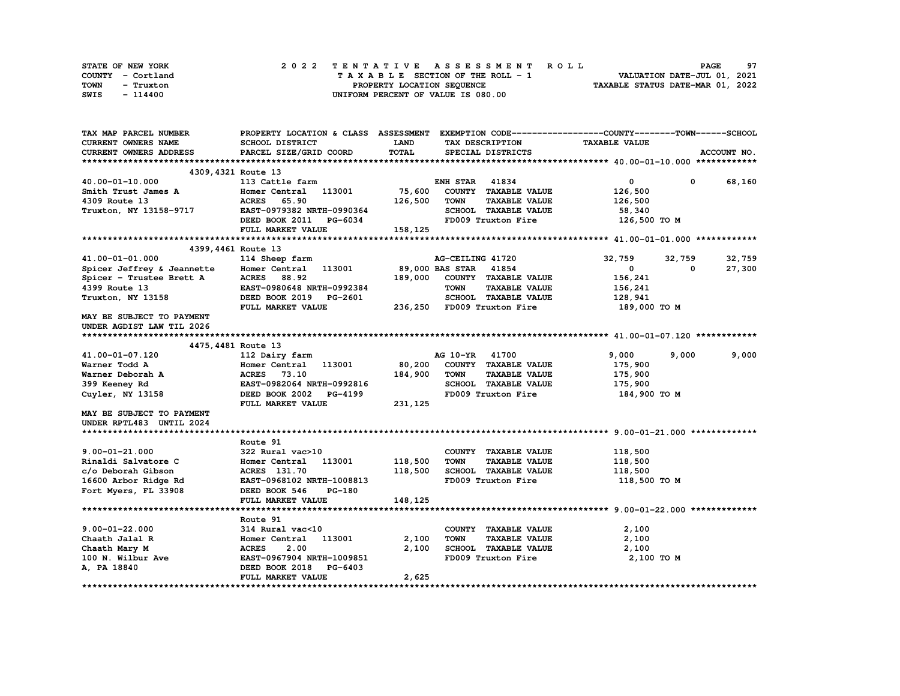| STATE OF NEW YORK | 2022 TENTATIVE ASSESSMENT ROLL     | 97<br><b>PAGE</b>                |
|-------------------|------------------------------------|----------------------------------|
| COUNTY - Cortland | TAXABLE SECTION OF THE ROLL - 1    | VALUATION DATE-JUL 01, 2021      |
| TOWN<br>- Truxton | PROPERTY LOCATION SEQUENCE         | TAXABLE STATUS DATE-MAR 01, 2022 |
| SWIS<br>- 114400  | UNIFORM PERCENT OF VALUE IS 080.00 |                                  |

| TAX MAP PARCEL NUMBER      | PROPERTY LOCATION & CLASS ASSESSMENT EXEMPTION CODE----------------COUNTY-------TOWN-----SCHOOL |          |                       |                            |                      |                      |             |
|----------------------------|-------------------------------------------------------------------------------------------------|----------|-----------------------|----------------------------|----------------------|----------------------|-------------|
| CURRENT OWNERS NAME        | SCHOOL DISTRICT                                                                                 | LAND     |                       | TAX DESCRIPTION            | <b>TAXABLE VALUE</b> |                      |             |
| CURRENT OWNERS ADDRESS     | PARCEL SIZE/GRID COORD                                                                          | TOTAL    |                       | SPECIAL DISTRICTS          |                      |                      | ACCOUNT NO. |
|                            |                                                                                                 |          |                       |                            |                      |                      |             |
| 4309, 4321 Route 13        |                                                                                                 |          |                       |                            |                      |                      |             |
| 40.00-01-10.000            | 113 Cattle farm                                                                                 |          | <b>ENH STAR 41834</b> |                            | 0                    | $^{\circ}$           | 68,160      |
| Smith Trust James A        | Homer Central 113001                                                                            | 75,600   |                       | COUNTY TAXABLE VALUE       | 126,500              |                      |             |
| 4309 Route 13              | 65.90<br><b>ACRES</b>                                                                           | 126,500  | <b>TOWN</b>           | <b>TAXABLE VALUE</b>       | 126,500              |                      |             |
| Truxton, NY 13158-9717     | EAST-0979382 NRTH-0990364                                                                       |          |                       | SCHOOL TAXABLE VALUE       | 58,340               |                      |             |
|                            | DEED BOOK 2011 PG-6034                                                                          |          |                       | FD009 Truxton Fire         | 126,500 TO M         |                      |             |
|                            | FULL MARKET VALUE                                                                               | 158,125  |                       |                            |                      |                      |             |
|                            |                                                                                                 |          |                       |                            |                      |                      |             |
| 4399, 4461 Route 13        |                                                                                                 |          |                       |                            |                      |                      |             |
| 41.00-01-01.000            | 114 Sheep farm                                                                                  |          | AG-CEILING 41720      |                            | 32,759               |                      | 32,759      |
|                            |                                                                                                 |          | 89,000 BAS STAR       | 41854                      | $\mathbf{0}$         | 32,759<br>$^{\circ}$ |             |
| Spicer Jeffrey & Jeannette | Homer Central 113001                                                                            |          |                       |                            |                      |                      | 27,300      |
| Spicer - Trustee Brett A   | ACRES 88.92                                                                                     | 189,000  |                       | COUNTY TAXABLE VALUE       | 156,241              |                      |             |
| 4399 Route 13              | EAST-0980648 NRTH-0992384                                                                       |          | <b>TOWN</b>           | <b>TAXABLE VALUE</b>       | 156,241              |                      |             |
| Truxton, NY 13158          | DEED BOOK 2019 PG-2601                                                                          |          |                       | SCHOOL TAXABLE VALUE       | 128,941              |                      |             |
|                            | FULL MARKET VALUE                                                                               |          |                       | 236,250 FD009 Truxton Fire | 189,000 то м         |                      |             |
| MAY BE SUBJECT TO PAYMENT  |                                                                                                 |          |                       |                            |                      |                      |             |
| UNDER AGDIST LAW TIL 2026  |                                                                                                 |          |                       |                            |                      |                      |             |
|                            |                                                                                                 |          |                       |                            |                      |                      |             |
| 4475, 4481 Route 13        |                                                                                                 |          |                       |                            |                      |                      |             |
| 41.00-01-07.120            | 112 Dairy farm                                                                                  |          | AG 10-YR 41700        |                            | 9,000                | 9,000                | 9,000       |
| Warner Todd A              | 113001<br>Homer Central                                                                         | 80,200   |                       | COUNTY TAXABLE VALUE       | 175,900              |                      |             |
| Warner Deborah A           | <b>ACRES</b> 73.10                                                                              | 184,900  | <b>TOWN</b>           | <b>TAXABLE VALUE</b>       | 175,900              |                      |             |
| 399 Keeney Rd              | EAST-0982064 NRTH-0992816                                                                       |          |                       | SCHOOL TAXABLE VALUE       | 175,900              |                      |             |
| Cuyler, NY 13158           | DEED BOOK 2002 PG-4199                                                                          |          |                       | FD009 Truxton Fire         | 184,900 то м         |                      |             |
|                            | FULL MARKET VALUE                                                                               | 231, 125 |                       |                            |                      |                      |             |
| MAY BE SUBJECT TO PAYMENT  |                                                                                                 |          |                       |                            |                      |                      |             |
| UNDER RPTL483 UNTIL 2024   |                                                                                                 |          |                       |                            |                      |                      |             |
|                            |                                                                                                 |          |                       |                            |                      |                      |             |
|                            | Route 91                                                                                        |          |                       |                            |                      |                      |             |
| $9.00 - 01 - 21.000$       | 322 Rural vac>10                                                                                |          |                       | COUNTY TAXABLE VALUE       | 118,500              |                      |             |
| Rinaldi Salvatore C        | Homer Central 113001                                                                            | 118,500  | <b>TOWN</b>           | <b>TAXABLE VALUE</b>       | 118,500              |                      |             |
| c/o Deborah Gibson         | ACRES 131.70                                                                                    | 118,500  |                       | SCHOOL TAXABLE VALUE       | 118,500              |                      |             |
| 16600 Arbor Ridge Rd       | EAST-0968102 NRTH-1008813                                                                       |          |                       | FD009 Truxton Fire         | 118,500 TO M         |                      |             |
|                            | DEED BOOK 546<br><b>PG-180</b>                                                                  |          |                       |                            |                      |                      |             |
| Fort Myers, FL 33908       |                                                                                                 |          |                       |                            |                      |                      |             |
|                            | FULL MARKET VALUE                                                                               | 148,125  |                       |                            |                      |                      |             |
|                            |                                                                                                 |          |                       |                            |                      |                      |             |
|                            | Route 91                                                                                        |          |                       |                            |                      |                      |             |
| $9.00 - 01 - 22.000$       | 314 Rural vac<10                                                                                |          |                       | COUNTY TAXABLE VALUE       | 2,100                |                      |             |
| Chaath Jalal R             | 113001<br>Homer Central                                                                         | 2,100    | <b>TOWN</b>           | <b>TAXABLE VALUE</b>       | 2,100                |                      |             |
| Chaath Mary M              | <b>ACRES</b><br>2.00                                                                            | 2,100    |                       | SCHOOL TAXABLE VALUE       | 2,100                |                      |             |
| 100 N. Wilbur Ave          | EAST-0967904 NRTH-1009851                                                                       |          |                       | FD009 Truxton Fire         | 2,100 TO M           |                      |             |
| A, PA 18840                | DEED BOOK 2018<br><b>PG-6403</b>                                                                |          |                       |                            |                      |                      |             |
|                            | FULL MARKET VALUE                                                                               | 2,625    |                       |                            |                      |                      |             |
|                            |                                                                                                 |          |                       |                            |                      |                      |             |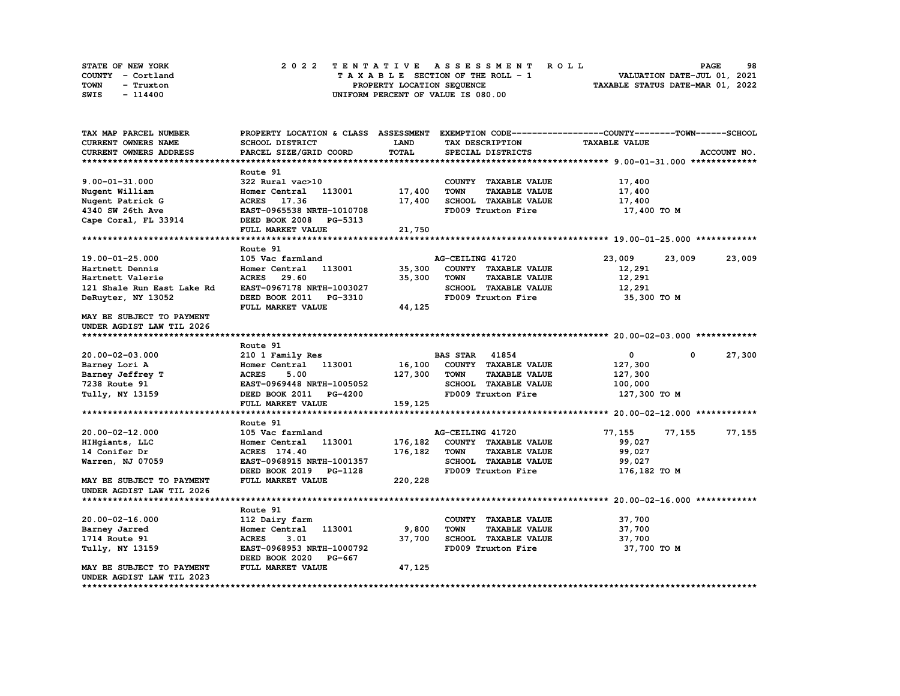| STATE OF NEW YORK | 2022 TENTATIVE ASSESSMENT ROLL     | 98<br><b>PAGE</b>                |
|-------------------|------------------------------------|----------------------------------|
| COUNTY - Cortland | TAXABLE SECTION OF THE ROLL - 1    | VALUATION DATE-JUL 01, 2021      |
| TOWN<br>- Truxton | PROPERTY LOCATION SEQUENCE         | TAXABLE STATUS DATE-MAR 01, 2022 |
| SWIS<br>- 114400  | UNIFORM PERCENT OF VALUE IS 080.00 |                                  |

| TAX MAP PARCEL NUMBER            |                           |         |                                     | PROPERTY LOCATION & CLASS ASSESSMENT EXEMPTION CODE----------------COUNTY-------TOWN-----SCHOOL |             |
|----------------------------------|---------------------------|---------|-------------------------------------|-------------------------------------------------------------------------------------------------|-------------|
| CURRENT OWNERS NAME              | SCHOOL DISTRICT           | LAND    | TAX DESCRIPTION                     | <b>TAXABLE VALUE</b>                                                                            |             |
| CURRENT OWNERS ADDRESS           | PARCEL SIZE/GRID COORD    | TOTAL   | SPECIAL DISTRICTS                   |                                                                                                 | ACCOUNT NO. |
|                                  |                           |         |                                     |                                                                                                 |             |
|                                  | Route 91                  |         |                                     |                                                                                                 |             |
| $9.00 - 01 - 31.000$             | 322 Rural vac>10          |         | COUNTY TAXABLE VALUE                | 17,400                                                                                          |             |
| Nugent William                   | Homer Central 113001      | 17,400  | <b>TOWN</b><br><b>TAXABLE VALUE</b> | 17,400                                                                                          |             |
| Nugent Patrick G                 | ACRES 17.36               | 17,400  | SCHOOL TAXABLE VALUE                | 17,400                                                                                          |             |
| 4340 SW 26th Ave                 | EAST-0965538 NRTH-1010708 |         | FD009 Truxton Fire                  | 17,400 TO M                                                                                     |             |
| Cape Coral, FL 33914             | DEED BOOK 2008 PG-5313    |         |                                     |                                                                                                 |             |
|                                  | FULL MARKET VALUE         | 21,750  |                                     |                                                                                                 |             |
|                                  |                           |         |                                     |                                                                                                 |             |
|                                  | Route 91                  |         |                                     |                                                                                                 |             |
| 19.00-01-25.000                  | 105 Vac farmland          |         | AG-CEILING 41720                    | 23,009<br>23,009                                                                                | 23,009      |
| Hartnett Dennis                  | 113001<br>Homer Central   | 35,300  | COUNTY TAXABLE VALUE                | 12,291                                                                                          |             |
| Hartnett Valerie                 | ACRES 29.60               | 35,300  | TOWN<br><b>TAXABLE VALUE</b>        | 12,291                                                                                          |             |
| 121 Shale Run East Lake Rd       | EAST-0967178 NRTH-1003027 |         | SCHOOL TAXABLE VALUE                | 12,291                                                                                          |             |
| DeRuyter, NY 13052               | DEED BOOK 2011 PG-3310    |         | FD009 Truxton Fire                  | 35,300 TO M                                                                                     |             |
|                                  | FULL MARKET VALUE         | 44,125  |                                     |                                                                                                 |             |
| MAY BE SUBJECT TO PAYMENT        |                           |         |                                     |                                                                                                 |             |
| UNDER AGDIST LAW TIL 2026        |                           |         |                                     |                                                                                                 |             |
|                                  |                           |         |                                     |                                                                                                 |             |
|                                  |                           |         |                                     |                                                                                                 |             |
|                                  | Route 91                  |         |                                     |                                                                                                 |             |
| 20.00-02-03.000                  | 210 1 Family Res          |         | <b>BAS STAR</b> 41854               | $\mathbf{0}$<br>$\mathbf 0$                                                                     | 27,300      |
| Barney Lori A                    | Homer Central 113001      | 16,100  | COUNTY TAXABLE VALUE                | 127,300                                                                                         |             |
| Barney Jeffrey T                 | <b>ACRES</b><br>5.00      | 127,300 | <b>TOWN</b><br><b>TAXABLE VALUE</b> | 127,300                                                                                         |             |
| 7238 Route 91                    | EAST-0969448 NRTH-1005052 |         | SCHOOL TAXABLE VALUE                | 100,000                                                                                         |             |
| Tully, NY 13159                  | DEED BOOK 2011 PG-4200    |         | FD009 Truxton Fire                  | 127,300 то м                                                                                    |             |
|                                  | FULL MARKET VALUE         | 159,125 |                                     |                                                                                                 |             |
|                                  |                           |         |                                     |                                                                                                 |             |
|                                  | Route 91                  |         |                                     |                                                                                                 |             |
| 20.00-02-12.000                  | 105 Vac farmland          |         | AG-CEILING 41720                    | 77,155<br>77,155                                                                                | 77,155      |
| HIHgiants, LLC                   | Homer Central 113001      | 176,182 | COUNTY TAXABLE VALUE                | 99,027                                                                                          |             |
| 14 Conifer Dr                    | ACRES 174.40              | 176,182 | <b>TOWN</b><br><b>TAXABLE VALUE</b> | 99,027                                                                                          |             |
| Warren, NJ 07059                 | EAST-0968915 NRTH-1001357 |         | SCHOOL TAXABLE VALUE                | 99,027                                                                                          |             |
|                                  | DEED BOOK 2019 PG-1128    |         | FD009 Truxton Fire                  | 176,182 TO M                                                                                    |             |
| <b>MAY BE SUBJECT TO PAYMENT</b> | FULL MARKET VALUE         | 220,228 |                                     |                                                                                                 |             |
| UNDER AGDIST LAW TIL 2026        |                           |         |                                     |                                                                                                 |             |
|                                  |                           |         |                                     |                                                                                                 |             |
|                                  | Route 91                  |         |                                     |                                                                                                 |             |
| 20.00-02-16.000                  | 112 Dairy farm            |         | COUNTY TAXABLE VALUE                | 37,700                                                                                          |             |
| Barney Jarred                    | Homer Central 113001      | 9,800   | TOWN<br><b>TAXABLE VALUE</b>        | 37,700                                                                                          |             |
| 1714 Route 91                    | <b>ACRES</b><br>3.01      | 37,700  | SCHOOL TAXABLE VALUE                | 37,700                                                                                          |             |
| Tully, NY 13159                  | EAST-0968953 NRTH-1000792 |         | FD009 Truxton Fire                  | 37,700 TO M                                                                                     |             |
|                                  | DEED BOOK 2020<br>PG-667  |         |                                     |                                                                                                 |             |
| MAY BE SUBJECT TO PAYMENT        | FULL MARKET VALUE         | 47,125  |                                     |                                                                                                 |             |
| UNDER AGDIST LAW TIL 2023        |                           |         |                                     |                                                                                                 |             |
|                                  |                           |         |                                     |                                                                                                 |             |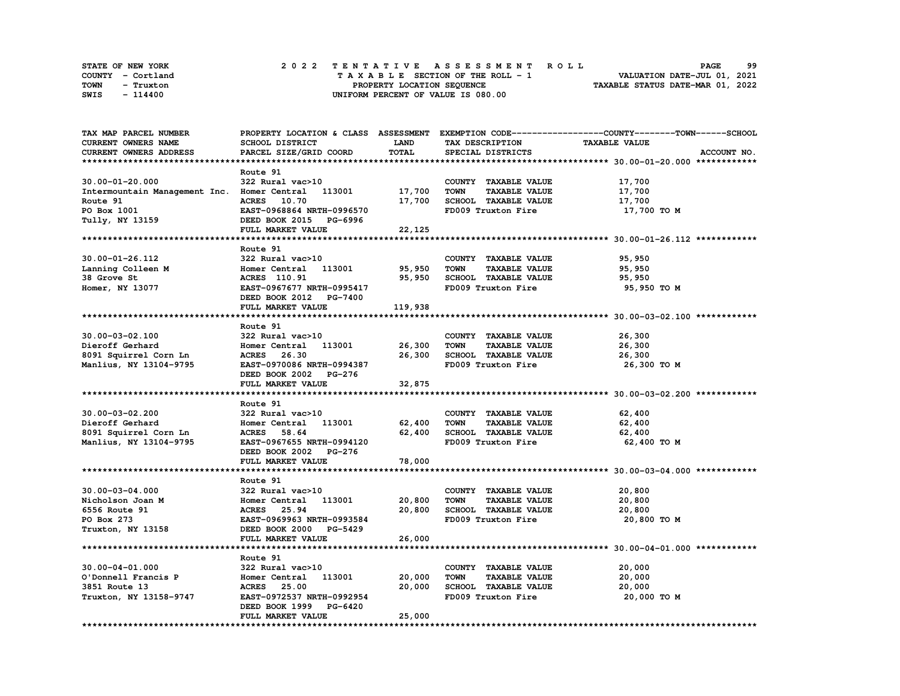| STATE OF NEW YORK | 2022 TENTATIVE ASSESSMENT ROLL     | 99<br><b>PAGE</b>                |
|-------------------|------------------------------------|----------------------------------|
| COUNTY - Cortland | TAXABLE SECTION OF THE ROLL - 1    | VALUATION DATE-JUL 01, 2021      |
| TOWN<br>- Truxton | PROPERTY LOCATION SEQUENCE         | TAXABLE STATUS DATE-MAR 01, 2022 |
| SWIS<br>- 114400  | UNIFORM PERCENT OF VALUE IS 080.00 |                                  |

| TAX MAP PARCEL NUMBER                       |                           |             |                                     | PROPERTY LOCATION & CLASS ASSESSMENT EXEMPTION CODE----------------COUNTY-------TOWN------SCHOOL |
|---------------------------------------------|---------------------------|-------------|-------------------------------------|--------------------------------------------------------------------------------------------------|
| CURRENT OWNERS NAME                         | SCHOOL DISTRICT           | <b>LAND</b> | TAX DESCRIPTION                     | <b>TAXABLE VALUE</b>                                                                             |
| CURRENT OWNERS ADDRESS                      | PARCEL SIZE/GRID COORD    | TOTAL       | SPECIAL DISTRICTS                   | ACCOUNT NO.                                                                                      |
|                                             |                           |             |                                     |                                                                                                  |
|                                             | Route 91                  |             |                                     |                                                                                                  |
| $30.00 - 01 - 20.000$                       | 322 Rural vac>10          |             | COUNTY TAXABLE VALUE                | 17,700                                                                                           |
| Intermountain Management Inc. Homer Central | 113001                    | 17,700      | <b>TOWN</b><br><b>TAXABLE VALUE</b> | 17,700                                                                                           |
|                                             |                           |             |                                     |                                                                                                  |
| Route 91                                    | ACRES 10.70               | 17,700      | SCHOOL TAXABLE VALUE                | 17,700                                                                                           |
| PO Box 1001                                 | EAST-0968864 NRTH-0996570 |             | FD009 Truxton Fire                  | 17,700 TO M                                                                                      |
| Tully, NY 13159                             | DEED BOOK 2015 PG-6996    |             |                                     |                                                                                                  |
|                                             | FULL MARKET VALUE         | 22,125      |                                     |                                                                                                  |
|                                             |                           |             |                                     |                                                                                                  |
|                                             | Route 91                  |             |                                     |                                                                                                  |
| 30.00-01-26.112                             | 322 Rural vac>10          |             | COUNTY TAXABLE VALUE                | 95,950                                                                                           |
| Lanning Colleen M                           | 113001<br>Homer Central   | 95,950      | TOWN<br><b>TAXABLE VALUE</b>        | 95,950                                                                                           |
| 38 Grove St                                 | <b>ACRES</b> 110.91       | 95,950      | SCHOOL TAXABLE VALUE                | 95,950                                                                                           |
| Homer, NY 13077                             | EAST-0967677 NRTH-0995417 |             | FD009 Truxton Fire                  | 95,950 TO M                                                                                      |
|                                             | DEED BOOK 2012 PG-7400    |             |                                     |                                                                                                  |
|                                             | FULL MARKET VALUE         | 119,938     |                                     |                                                                                                  |
|                                             |                           |             |                                     |                                                                                                  |
|                                             |                           |             |                                     |                                                                                                  |
|                                             | Route 91                  |             |                                     |                                                                                                  |
| $30.00 - 03 - 02.100$                       | 322 Rural vac>10          |             | COUNTY TAXABLE VALUE                | 26,300                                                                                           |
| Dieroff Gerhard                             | Homer Central<br>113001   | 26,300      | TOWN<br><b>TAXABLE VALUE</b>        | 26,300                                                                                           |
| 8091 Squirrel Corn Ln                       | ACRES 26.30               | 26,300      | SCHOOL TAXABLE VALUE                | 26,300                                                                                           |
| Manlius, NY 13104-9795                      | EAST-0970086 NRTH-0994387 |             | FD009 Truxton Fire                  | 26,300 TO M                                                                                      |
|                                             | DEED BOOK 2002 PG-276     |             |                                     |                                                                                                  |
|                                             | FULL MARKET VALUE         | 32,875      |                                     |                                                                                                  |
|                                             |                           |             |                                     |                                                                                                  |
|                                             | Route 91                  |             |                                     |                                                                                                  |
| 30.00-03-02.200                             | 322 Rural vac>10          |             | COUNTY TAXABLE VALUE                | 62,400                                                                                           |
| Dieroff Gerhard                             | Homer Central 113001      | 62,400      | <b>TOWN</b><br><b>TAXABLE VALUE</b> | 62,400                                                                                           |
| 8091 Squirrel Corn Ln                       | <b>ACRES</b><br>58.64     | 62,400      | SCHOOL TAXABLE VALUE                | 62,400                                                                                           |
| Manlius, NY 13104-9795                      | EAST-0967655 NRTH-0994120 |             | FD009 Truxton Fire                  | 62,400 TO M                                                                                      |
|                                             | DEED BOOK 2002 PG-276     |             |                                     |                                                                                                  |
|                                             | FULL MARKET VALUE         | 78,000      |                                     |                                                                                                  |
|                                             |                           |             |                                     | ******************************** 30.00-03-04.000 ************                                    |
|                                             |                           |             |                                     |                                                                                                  |
|                                             | Route 91                  |             |                                     |                                                                                                  |
| $30.00 - 03 - 04.000$                       | 322 Rural vac>10          |             | COUNTY TAXABLE VALUE                | 20,800                                                                                           |
| Nicholson Joan M                            | Homer Central<br>113001   | 20,800      | <b>TOWN</b><br><b>TAXABLE VALUE</b> | 20,800                                                                                           |
| 6556 Route 91                               | ACRES 25.94               | 20,800      | SCHOOL TAXABLE VALUE                | 20,800                                                                                           |
| PO Box 273                                  | EAST-0969963 NRTH-0993584 |             | FD009 Truxton Fire                  | 20,800 TO M                                                                                      |
| Truxton, NY 13158                           | DEED BOOK 2000 PG-5429    |             |                                     |                                                                                                  |
|                                             | FULL MARKET VALUE         | 26,000      |                                     |                                                                                                  |
|                                             |                           |             |                                     |                                                                                                  |
|                                             | Route 91                  |             |                                     |                                                                                                  |
| $30.00 - 04 - 01.000$                       | 322 Rural vac>10          |             | COUNTY TAXABLE VALUE                | 20,000                                                                                           |
| O'Donnell Francis P                         | 113001<br>Homer Central   | 20,000      | <b>TOWN</b><br><b>TAXABLE VALUE</b> | 20,000                                                                                           |
| 3851 Route 13                               | <b>ACRES</b><br>25.00     | 20,000      | SCHOOL TAXABLE VALUE                | 20,000                                                                                           |
|                                             | EAST-0972537 NRTH-0992954 |             | FD009 Truxton Fire                  | 20,000 TO M                                                                                      |
| Truxton, NY 13158-9747                      |                           |             |                                     |                                                                                                  |
|                                             | DEED BOOK 1999 PG-6420    |             |                                     |                                                                                                  |
|                                             | FULL MARKET VALUE         | 25,000      |                                     |                                                                                                  |
|                                             |                           |             |                                     |                                                                                                  |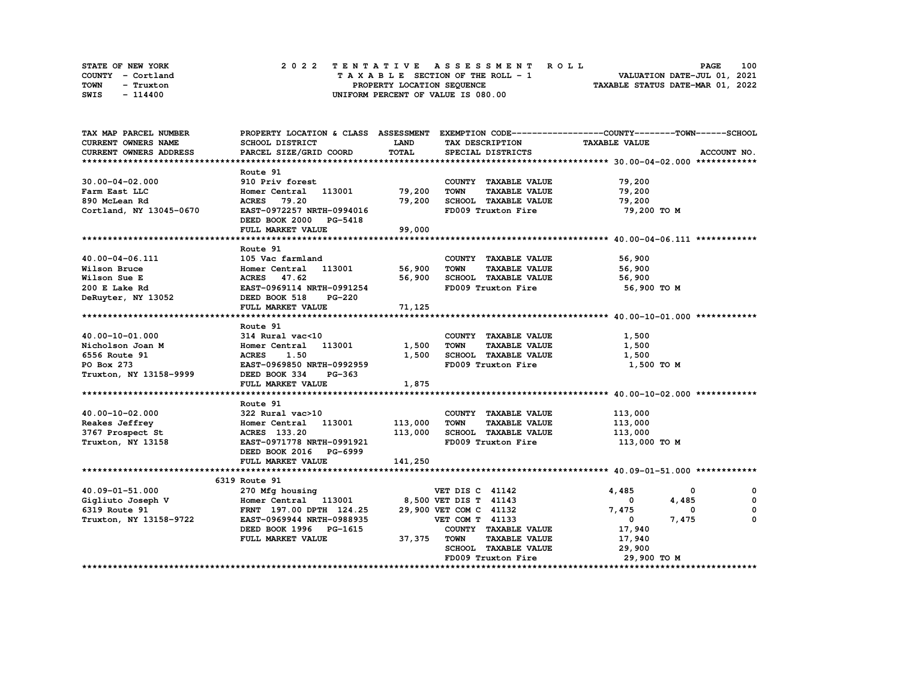| STATE OF NEW YORK | 2022 TENTATIVE ASSESSMENT ROLL     | 100<br><b>PAGE</b>               |
|-------------------|------------------------------------|----------------------------------|
| COUNTY - Cortland | TAXABLE SECTION OF THE ROLL - 1    | VALUATION DATE-JUL 01, 2021      |
| TOWN<br>- Truxton | PROPERTY LOCATION SEQUENCE         | TAXABLE STATUS DATE-MAR 01, 2022 |
| SWIS<br>- 114400  | UNIFORM PERCENT OF VALUE IS 080.00 |                                  |

| TAX MAP PARCEL NUMBER                                                                                                                                                                  |                             |              |                                    | PROPERTY LOCATION & CLASS ASSESSMENT EXEMPTION CODE----------------COUNTY-------TOWN-----SCHOOL |
|----------------------------------------------------------------------------------------------------------------------------------------------------------------------------------------|-----------------------------|--------------|------------------------------------|-------------------------------------------------------------------------------------------------|
| CURRENT OWNERS NAME                                                                                                                                                                    | SCHOOL DISTRICT             | <b>LAND</b>  | TAX DESCRIPTION                    | <b>TAXABLE VALUE</b>                                                                            |
| <b>CURRENT OWNERS ADDRESS</b>                                                                                                                                                          | PARCEL SIZE/GRID COORD      | <b>TOTAL</b> | SPECIAL DISTRICTS                  | ACCOUNT NO.                                                                                     |
|                                                                                                                                                                                        |                             |              |                                    |                                                                                                 |
|                                                                                                                                                                                        | Route 91                    |              |                                    |                                                                                                 |
| $30.00 - 04 - 02.000$                                                                                                                                                                  | 910 Priv forest             |              | COUNTY TAXABLE VALUE               | 79,200                                                                                          |
| Farm East LLC                                                                                                                                                                          | Homer Central 113001 79,200 |              | TOWN<br><b>TAXABLE VALUE</b>       | 79,200                                                                                          |
| 890 McLean Rd                                                                                                                                                                          | <b>ACRES</b> 79.20          |              | 79,200 SCHOOL TAXABLE VALUE 79,200 |                                                                                                 |
| Cortland, NY 13045-0670                                                                                                                                                                | EAST-0972257 NRTH-0994016   |              | FD009 Truxton Fire                 | 79,200 TO M                                                                                     |
|                                                                                                                                                                                        | DEED BOOK 2000 PG-5418      |              |                                    |                                                                                                 |
|                                                                                                                                                                                        | FULL MARKET VALUE           | 99,000       |                                    |                                                                                                 |
|                                                                                                                                                                                        |                             |              |                                    |                                                                                                 |
|                                                                                                                                                                                        | Route 91                    |              |                                    |                                                                                                 |
| 40.00-04-06.111                                                                                                                                                                        |                             |              | COUNTY TAXABLE VALUE               | 56,900                                                                                          |
|                                                                                                                                                                                        |                             |              | <b>TAXABLE VALUE</b>               | 56,900                                                                                          |
|                                                                                                                                                                                        |                             |              | 56,900 SCHOOL TAXABLE VALUE        | 56,900                                                                                          |
|                                                                                                                                                                                        |                             |              | FD009 Truxton Fire                 | 56,900 то м                                                                                     |
|                                                                                                                                                                                        |                             |              |                                    |                                                                                                 |
|                                                                                                                                                                                        | FULL MARKET VALUE           | 71,125       |                                    |                                                                                                 |
|                                                                                                                                                                                        |                             |              |                                    |                                                                                                 |
|                                                                                                                                                                                        | Route 91                    |              |                                    |                                                                                                 |
|                                                                                                                                                                                        |                             |              | COUNTY TAXABLE VALUE               | 1,500                                                                                           |
|                                                                                                                                                                                        |                             | 1,500 TOWN   | <b>TAXABLE VALUE</b>               | 1,500                                                                                           |
|                                                                                                                                                                                        |                             |              | 1,500 SCHOOL TAXABLE VALUE         | 1,500                                                                                           |
|                                                                                                                                                                                        | EAST-0969850 NRTH-0992959   |              | FD009 Truxton Fire                 | 1,500 TO M                                                                                      |
|                                                                                                                                                                                        |                             |              |                                    |                                                                                                 |
|                                                                                                                                                                                        | FULL MARKET VALUE           | 1,875        |                                    |                                                                                                 |
|                                                                                                                                                                                        |                             |              |                                    |                                                                                                 |
|                                                                                                                                                                                        | Route 91                    |              |                                    |                                                                                                 |
|                                                                                                                                                                                        |                             |              | COUNTY TAXABLE VALUE               | 113,000                                                                                         |
|                                                                                                                                                                                        |                             |              |                                    | 113,000                                                                                         |
|                                                                                                                                                                                        |                             |              |                                    | 113,000                                                                                         |
| At the Captive Control of the Magnetic Section 2001<br>3767 Prospect St (ACRES 133.20) 113,000<br>Truxton, NY 13158 (EXAMPLE 113.20) 113.000                                           |                             |              | FD009 Truxton Fire                 | 113,000 TO M                                                                                    |
|                                                                                                                                                                                        | DEED BOOK 2016 PG-6999      |              |                                    |                                                                                                 |
|                                                                                                                                                                                        | FULL MARKET VALUE           | 141,250      |                                    |                                                                                                 |
|                                                                                                                                                                                        |                             |              |                                    |                                                                                                 |
|                                                                                                                                                                                        | 6319 Route 91               |              |                                    |                                                                                                 |
|                                                                                                                                                                                        |                             |              |                                    | 4,485<br>$\mathbf{o}$<br>$^{\circ}$                                                             |
|                                                                                                                                                                                        |                             |              |                                    | $\overline{\mathbf{0}}$<br>0<br>4,485                                                           |
| 40.09-01-51.000 270 Mfg housing<br>Gigliuto Joseph V (Figure 2001) 270 Mfg housing<br>FRNT 197.00 DPTH 124.25 29,900 VET COM C 41132<br>FRNT 197.00 DPTH 124.25 29,900 VET COM C 41132 |                             |              |                                    | 7,475<br>$\mathbf{0}$<br>0                                                                      |
| Truxton, NY 13158-9722                                                                                                                                                                 | EAST-0969944 NRTH-0988935   |              | VET COM T 41133                    | 7,475<br>0<br>$\overline{\mathbf{0}}$                                                           |
|                                                                                                                                                                                        | DEED BOOK 1996 PG-1615      |              | COUNTY TAXABLE VALUE               | 17,940                                                                                          |
|                                                                                                                                                                                        | FULL MARKET VALUE           | 37,375 TOWN  | <b>TAXABLE VALUE</b>               | 17,940                                                                                          |
|                                                                                                                                                                                        |                             |              | SCHOOL TAXABLE VALUE               | 29,900                                                                                          |
|                                                                                                                                                                                        |                             |              | FD009 Truxton Fire                 | 29,900 то м                                                                                     |
|                                                                                                                                                                                        |                             |              |                                    |                                                                                                 |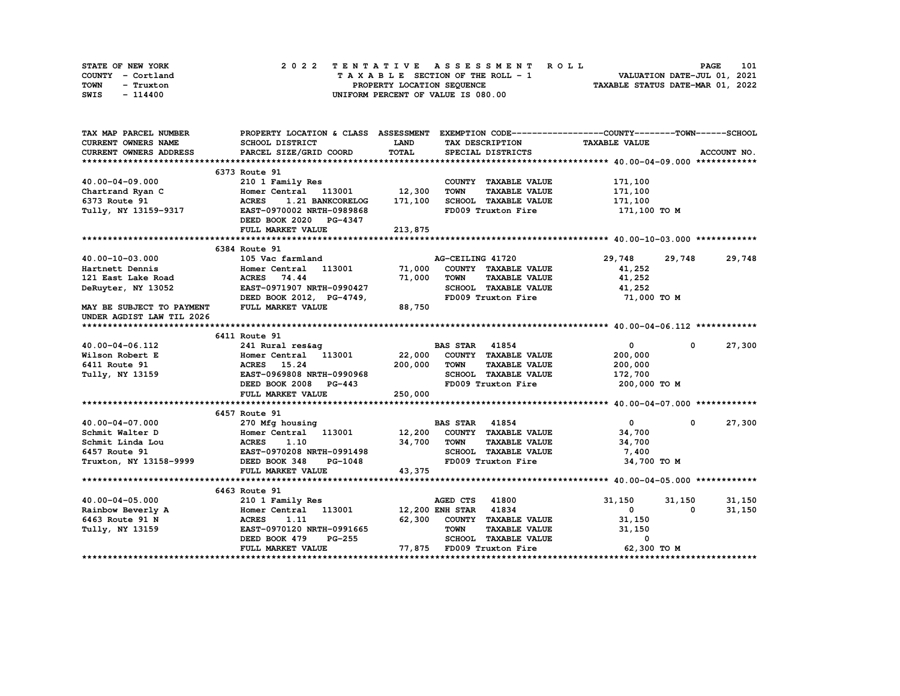| STATE OF NEW YORK | 2022 TENTATIVE ASSESSMENT ROLL     | 101<br><b>PAGE</b>               |
|-------------------|------------------------------------|----------------------------------|
| COUNTY - Cortland | TAXABLE SECTION OF THE ROLL - 1    | VALUATION DATE-JUL 01, 2021      |
| TOWN<br>- Truxton | PROPERTY LOCATION SEQUENCE         | TAXABLE STATUS DATE-MAR 01, 2022 |
| SWIS<br>- 114400  | UNIFORM PERCENT OF VALUE IS 080.00 |                                  |

| TAX MAP PARCEL NUMBER         | PROPERTY LOCATION & CLASS ASSESSMENT EXEMPTION CODE----------------COUNTY-------TOWN------SCHOOL |             |                                     |                      |                      |
|-------------------------------|--------------------------------------------------------------------------------------------------|-------------|-------------------------------------|----------------------|----------------------|
| CURRENT OWNERS NAME           | SCHOOL DISTRICT                                                                                  | <b>LAND</b> | TAX DESCRIPTION                     | <b>TAXABLE VALUE</b> |                      |
| <b>CURRENT OWNERS ADDRESS</b> | PARCEL SIZE/GRID COORD                                                                           | TOTAL       | SPECIAL DISTRICTS                   |                      | ACCOUNT NO.          |
|                               |                                                                                                  |             |                                     |                      |                      |
|                               | 6373 Route 91                                                                                    |             |                                     |                      |                      |
| 40.00-04-09.000               | 210 1 Family Res                                                                                 |             | COUNTY TAXABLE VALUE                | 171,100              |                      |
| Chartrand Ryan C              | Homer Central 113001 12,300                                                                      |             | <b>TOWN</b><br><b>TAXABLE VALUE</b> | 171,100              |                      |
| 6373 Route 91                 | <b>ACRES</b><br>1.21 BANKCORELOG                                                                 | 171,100     | SCHOOL TAXABLE VALUE                | 171,100              |                      |
| Tully, NY 13159-9317          | EAST-0970002 NRTH-0989868                                                                        |             | FD009 Truxton Fire                  | 171,100 то м         |                      |
|                               | DEED BOOK 2020 PG-4347                                                                           |             |                                     |                      |                      |
|                               | FULL MARKET VALUE                                                                                | 213,875     |                                     |                      |                      |
|                               |                                                                                                  |             |                                     |                      |                      |
|                               | 6384 Route 91                                                                                    |             |                                     |                      |                      |
| 40.00-10-03.000               | 105 Vac farmland                                                                                 |             | AG-CEILING 41720                    | 29,748 29,748 29,748 |                      |
| Hartnett Dennis               | Homer Central 113001 71,000                                                                      |             | COUNTY TAXABLE VALUE                | 41,252               |                      |
| 121 East Lake Road            | <b>ACRES</b> 74.44                                                                               | 71,000      | <b>TOWN</b><br><b>TAXABLE VALUE</b> | 41,252               |                      |
| DeRuyter, NY 13052            | EAST-0971907 NRTH-0990427                                                                        |             | SCHOOL TAXABLE VALUE                | 41,252               |                      |
|                               | DEED BOOK 2012, PG-4749,                                                                         |             | FD009 Truxton Fire                  | 71,000 TO M          |                      |
| MAY BE SUBJECT TO PAYMENT     | <b>FULL MARKET VALUE</b>                                                                         | 88,750      |                                     |                      |                      |
| UNDER AGDIST LAW TIL 2026     |                                                                                                  |             |                                     |                      |                      |
|                               |                                                                                                  |             |                                     |                      |                      |
|                               | 6411 Route 91                                                                                    |             |                                     |                      |                      |
| 40.00-04-06.112               | 241 Rural res&aq                                                                                 |             | <b>BAS STAR 41854</b>               | $\overline{0}$       | 27,300<br>$^{\circ}$ |
| Wilson Robert E               | Homer Central 113001 22,000                                                                      |             | COUNTY TAXABLE VALUE                | 200,000              |                      |
| 6411 Route 91                 |                                                                                                  | 200,000     | <b>TOWN</b><br><b>TAXABLE VALUE</b> | 200,000              |                      |
| Tully, NY 13159               | <b>ACRES 15.24<br/>EAST-0969808 NRTH-0990968</b>                                                 |             | SCHOOL TAXABLE VALUE                | 172,700              |                      |
|                               | DEED BOOK 2008 PG-443                                                                            |             | FD009 Truxton Fire                  | 200,000 то м         |                      |
|                               | FULL MARKET VALUE                                                                                | 250,000     |                                     |                      |                      |
|                               |                                                                                                  |             |                                     |                      |                      |
|                               | 6457 Route 91                                                                                    |             |                                     |                      |                      |
| $40.00 - 04 - 07.000$         | 270 Mfg housing<br>270 Mfg housing<br>Homer Central 113001 12,200 COUNTY TAXABLE VALUE           |             | <b>BAS STAR</b> 41854               | $\mathbf{0}$         | 27,300<br>$^{\circ}$ |
| Schmit Walter D               |                                                                                                  |             |                                     | 34,700               |                      |
| Schmit Linda Lou              | ACRES 1.10<br>EAST-0970208 NRTH-0991498<br>9999 DEED BOOK 348 PG-1048                            | 34,700      | <b>TAXABLE VALUE</b><br><b>TOWN</b> | 34,700               |                      |
| 6457 Route 91                 |                                                                                                  |             | SCHOOL TAXABLE VALUE                | 7,400                |                      |
| Truxton, NY 13158-9999        |                                                                                                  |             | FD009 Truxton Fire                  | 34,700 TO M          |                      |
|                               | FULL MARKET VALUE                                                                                | 43,375      |                                     |                      |                      |
|                               |                                                                                                  |             |                                     |                      |                      |
|                               | 6463 Route 91                                                                                    |             |                                     |                      |                      |
| 40.00-04-05.000               | 210 1 Family Res                                                                                 |             | AGED CTS 41800                      | 31,150               | 31,150<br>31,150     |
|                               |                                                                                                  |             | 12,200 ENH STAR 41834               | $\mathbf{0}$         | 31,150<br>0          |
| 6463 Route 91 N               | EAST-0970120 NRTH-0991665                                                                        |             | 62,300 COUNTY TAXABLE VALUE         | 31,150               |                      |
| Tully, NY 13159               |                                                                                                  |             | <b>TOWN</b><br><b>TAXABLE VALUE</b> | 31,150               |                      |
|                               | <b>PG-255</b><br>DEED BOOK 479                                                                   |             | SCHOOL TAXABLE VALUE                | 0<br>62,300 TO M     |                      |
|                               | FULL MARKET VALUE                                                                                |             | 77,875 FD009 Truxton Fire           |                      |                      |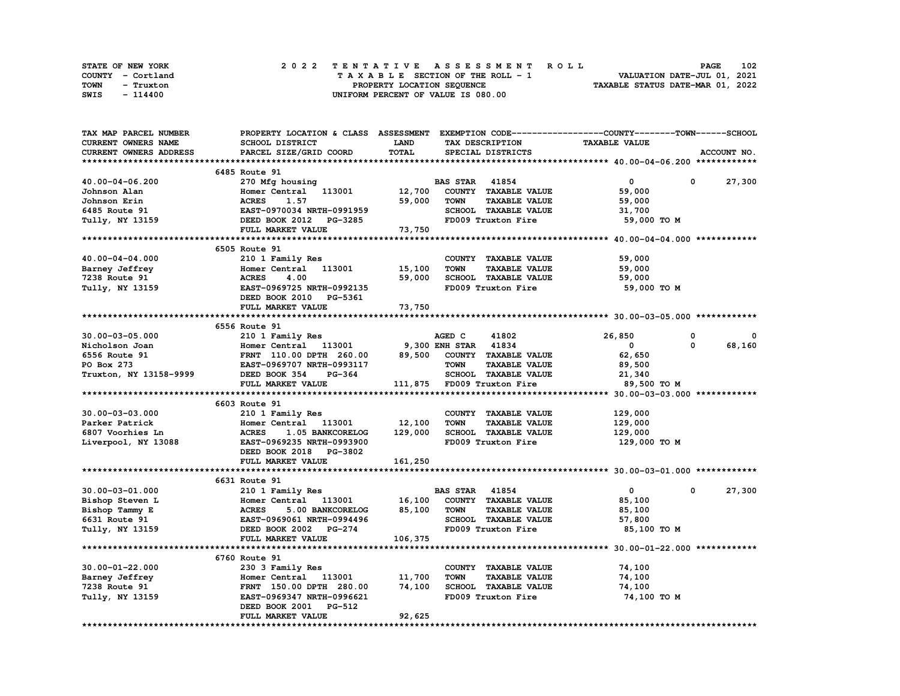|      | STATE OF NEW YORK |  | 2022 TENTATIVE ASSESSMENT ROLL |  |  |  |                                    |  |  |  |  |  |  |                                  | <b>PAGE</b> | 102 |
|------|-------------------|--|--------------------------------|--|--|--|------------------------------------|--|--|--|--|--|--|----------------------------------|-------------|-----|
|      | COUNTY - Cortland |  |                                |  |  |  | TAXABLE SECTION OF THE ROLL - 1    |  |  |  |  |  |  | VALUATION DATE-JUL 01, 2021      |             |     |
| TOWN | - Truxton         |  |                                |  |  |  | PROPERTY LOCATION SEQUENCE         |  |  |  |  |  |  | TAXABLE STATUS DATE-MAR 01, 2022 |             |     |
| SWIS | - 114400          |  |                                |  |  |  | UNIFORM PERCENT OF VALUE IS 080.00 |  |  |  |  |  |  |                                  |             |     |

| TAX MAP PARCEL NUMBER  | PROPERTY LOCATION & CLASS ASSESSMENT EXEMPTION CODE-----------------COUNTY-------TOWN-----SCHOOL |             |                                     |                      |             |
|------------------------|--------------------------------------------------------------------------------------------------|-------------|-------------------------------------|----------------------|-------------|
| CURRENT OWNERS NAME    | SCHOOL DISTRICT                                                                                  | <b>LAND</b> | TAX DESCRIPTION                     | <b>TAXABLE VALUE</b> |             |
| CURRENT OWNERS ADDRESS | PARCEL SIZE/GRID COORD                                                                           | TOTAL       | SPECIAL DISTRICTS                   |                      | ACCOUNT NO. |
|                        |                                                                                                  |             |                                     |                      |             |
|                        | 6485 Route 91                                                                                    |             |                                     |                      |             |
| 40.00-04-06.200        | 270 Mfg housing                                                                                  |             | <b>BAS STAR 41854</b>               | $\mathbf 0$          | 27,300<br>0 |
| Johnson Alan           | Homer Central 113001                                                                             | 12,700      | COUNTY TAXABLE VALUE                | 59,000               |             |
| Johnson Erin           | <b>ACRES</b><br>1.57                                                                             | 59,000      | <b>TAXABLE VALUE</b><br><b>TOWN</b> | 59,000               |             |
| 6485 Route 91          | EAST-0970034 NRTH-0991959                                                                        |             | SCHOOL TAXABLE VALUE                | 31,700               |             |
| Tully, NY 13159        |                                                                                                  |             | FD009 Truxton Fire                  |                      |             |
|                        | DEED BOOK 2012 PG-3285                                                                           |             |                                     | 59,000 TO M          |             |
|                        | FULL MARKET VALUE                                                                                | 73,750      |                                     |                      |             |
|                        |                                                                                                  |             |                                     |                      |             |
|                        | 6505 Route 91                                                                                    |             |                                     |                      |             |
| 40.00-04-04.000        | 210 1 Family Res                                                                                 |             | COUNTY TAXABLE VALUE                | 59,000               |             |
| Barney Jeffrey         | Homer Central 113001                                                                             | 15,100      | <b>TOWN</b><br><b>TAXABLE VALUE</b> | 59,000               |             |
| 7238 Route 91          | <b>ACRES</b><br>4.00                                                                             | 59,000      | SCHOOL TAXABLE VALUE                | 59,000               |             |
| Tully, NY 13159        | EAST-0969725 NRTH-0992135                                                                        |             | FD009 Truxton Fire                  | 59,000 TO M          |             |
|                        | DEED BOOK 2010 PG-5361                                                                           |             |                                     |                      |             |
|                        | FULL MARKET VALUE                                                                                | 73,750      |                                     |                      |             |
|                        |                                                                                                  |             |                                     |                      |             |
|                        | 6556 Route 91                                                                                    |             |                                     |                      |             |
| $30.00 - 03 - 05.000$  | 210 1 Family Res                                                                                 |             | AGED C<br>41802                     | 26,850               | 0<br>0      |
| Nicholson Joan         | Homer Central 113001 9,300 ENH STAR 41834                                                        |             |                                     | $\mathbf{0}$         | 68,160<br>0 |
| 6556 Route 91          | FRNT 110.00 DPTH 260.00 89,500 COUNTY TAXABLE VALUE                                              |             |                                     | 62,650               |             |
| PO Box 273             | EAST-0969707 NRTH-0993117                                                                        |             | <b>TOWN</b><br><b>TAXABLE VALUE</b> | 89,500               |             |
| Truxton, NY 13158-9999 | DEED BOOK 354<br><b>PG-364</b>                                                                   |             | SCHOOL TAXABLE VALUE                | 21,340               |             |
|                        | FULL MARKET VALUE                                                                                |             | 111,875 FD009 Truxton Fire          | 89,500 TO M          |             |
|                        |                                                                                                  |             |                                     |                      |             |
|                        | 6603 Route 91                                                                                    |             |                                     |                      |             |
|                        |                                                                                                  |             |                                     |                      |             |
| $30.00 - 03 - 03.000$  | 210 1 Family Res                                                                                 |             | COUNTY TAXABLE VALUE                | 129,000              |             |
| Parker Patrick         | Homer Central 113001                                                                             | 12,100      | <b>TOWN</b><br><b>TAXABLE VALUE</b> | 129,000              |             |
| 6807 Voorhies Ln       | 1.05 BANKCORELOG<br><b>ACRES</b>                                                                 | 129,000     | SCHOOL TAXABLE VALUE                | 129,000              |             |
| Liverpool, NY 13088    | EAST-0969235 NRTH-0993900                                                                        |             | FD009 Truxton Fire                  | 129,000 то м         |             |
|                        | DEED BOOK 2018 PG-3802                                                                           |             |                                     |                      |             |
|                        | FULL MARKET VALUE                                                                                | 161,250     |                                     |                      |             |
|                        |                                                                                                  |             |                                     |                      |             |
|                        | 6631 Route 91                                                                                    |             |                                     |                      |             |
| $30.00 - 03 - 01.000$  | 210 1 Family Res                                                                                 |             | <b>BAS STAR 41854</b>               | $\mathbf{0}$         | 27,300<br>0 |
| Bishop Steven L        | Homer Central 113001                                                                             | 16,100      | COUNTY TAXABLE VALUE                | 85,100               |             |
| Bishop Tammy E         | <b>ACRES</b><br>5.00 BANKCORELOG                                                                 | 85,100      | <b>TOWN</b><br><b>TAXABLE VALUE</b> | 85,100               |             |
| 6631 Route 91          | EAST-0969061 NRTH-0994496                                                                        |             | SCHOOL TAXABLE VALUE                | 57,800               |             |
| Tully, NY 13159        | DEED BOOK 2002 PG-274                                                                            |             | FD009 Truxton Fire                  | 85,100 TO M          |             |
|                        | FULL MARKET VALUE                                                                                | 106,375     |                                     |                      |             |
|                        |                                                                                                  |             |                                     |                      |             |
|                        | 6760 Route 91                                                                                    |             |                                     |                      |             |
| $30.00 - 01 - 22.000$  | 230 3 Family Res                                                                                 |             | COUNTY TAXABLE VALUE                | 74,100               |             |
| Barney Jeffrey         | Homer Central 113001                                                                             | 11,700      | <b>TOWN</b><br><b>TAXABLE VALUE</b> | 74,100               |             |
| 7238 Route 91          | FRNT 150.00 DPTH 280.00                                                                          | 74,100      | SCHOOL TAXABLE VALUE                | 74,100               |             |
| Tully, NY 13159        | EAST-0969347 NRTH-0996621                                                                        |             | FD009 Truxton Fire                  | 74,100 TO M          |             |
|                        | DEED BOOK 2001<br><b>PG-512</b>                                                                  |             |                                     |                      |             |
|                        | FULL MARKET VALUE                                                                                | 92,625      |                                     |                      |             |
|                        |                                                                                                  |             |                                     |                      |             |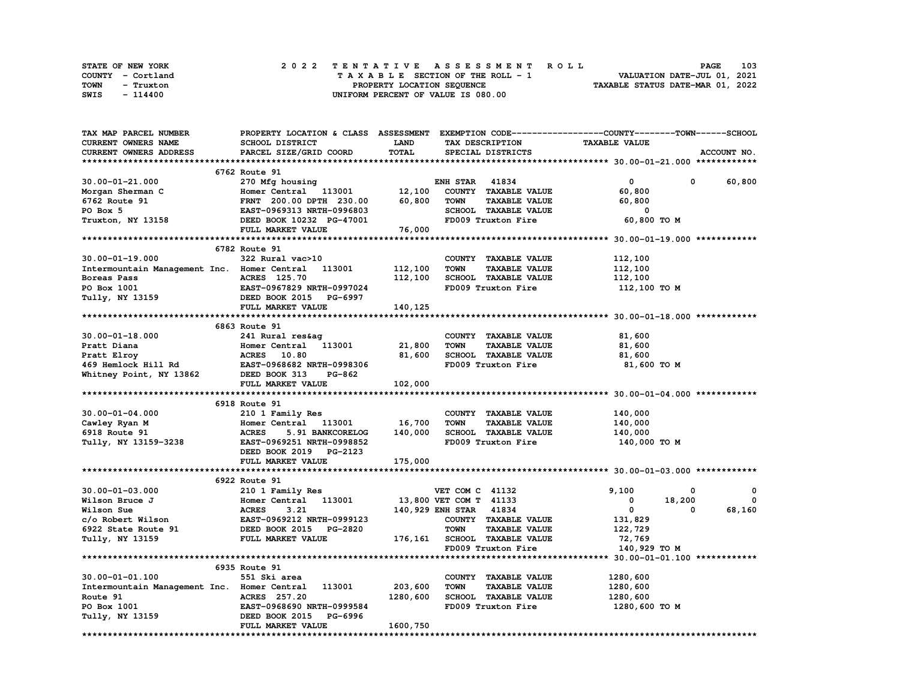| STATE OF NEW YORK | 2022 TENTATIVE ASSESSMENT ROLL     | 103<br><b>PAGE</b>               |
|-------------------|------------------------------------|----------------------------------|
| COUNTY - Cortland | TAXABLE SECTION OF THE ROLL - 1    | VALUATION DATE-JUL 01, 2021      |
| TOWN<br>- Truxton | PROPERTY LOCATION SEQUENCE         | TAXABLE STATUS DATE-MAR 01, 2022 |
| SWIS<br>- 114400  | UNIFORM PERCENT OF VALUE IS 080.00 |                                  |

| TAX MAP PARCEL NUMBER                                                       |                                                             |              |                                     | PROPERTY LOCATION & CLASS ASSESSMENT EXEMPTION CODE-----------------COUNTY-------TOWN-----SCHOOL |             |
|-----------------------------------------------------------------------------|-------------------------------------------------------------|--------------|-------------------------------------|--------------------------------------------------------------------------------------------------|-------------|
| CURRENT OWNERS NAME                                                         | SCHOOL DISTRICT                                             | <b>LAND</b>  | TAX DESCRIPTION                     | <b>TAXABLE VALUE</b>                                                                             |             |
| CURRENT OWNERS ADDRESS                                                      | PARCEL SIZE/GRID COORD                                      | <b>TOTAL</b> | SPECIAL DISTRICTS                   |                                                                                                  | ACCOUNT NO. |
|                                                                             |                                                             |              |                                     |                                                                                                  |             |
|                                                                             | 6762 Route 91                                               |              |                                     |                                                                                                  |             |
| $30.00 - 01 - 21.000$                                                       | 270 Mfg housing                                             |              | <b>ENH STAR 41834</b>               | $\mathbf{0}$<br>0                                                                                | 60,800      |
| Morgan Sherman C                                                            | Homer Central 113001                                        | 12,100       | COUNTY TAXABLE VALUE                | 60,800                                                                                           |             |
| 6762 Route 91                                                               | FRNT 200.00 DPTH 230.00                                     | 60,800       | <b>TOWN</b><br><b>TAXABLE VALUE</b> | 60,800                                                                                           |             |
| PO Box 5                                                                    | EAST-0969313 NRTH-0996803                                   |              | SCHOOL TAXABLE VALUE                | 0                                                                                                |             |
| Truxton, NY 13158                                                           | DEED BOOK 10232 PG-47001                                    |              | FD009 Truxton Fire                  | 60,800 TO M                                                                                      |             |
|                                                                             | FULL MARKET VALUE                                           | 76,000       |                                     |                                                                                                  |             |
|                                                                             |                                                             |              |                                     |                                                                                                  |             |
|                                                                             | 6782 Route 91                                               |              |                                     |                                                                                                  |             |
| $30.00 - 01 - 19.000$                                                       | 322 Rural vac>10                                            |              | COUNTY TAXABLE VALUE                | 112,100                                                                                          |             |
| Intermountain Management Inc. Homer Central                                 | 113001                                                      | 112,100      | <b>TOWN</b><br><b>TAXABLE VALUE</b> | 112,100                                                                                          |             |
| Boreas Pass                                                                 |                                                             |              | SCHOOL TAXABLE VALUE                |                                                                                                  |             |
|                                                                             | ACRES 125.70                                                | 112,100      |                                     | 112,100                                                                                          |             |
| PO Box 1001                                                                 | <b>EAST-0967829 NRTH-0997024<br/>DEED BOOK 2015 PG-6997</b> |              | FD009 Truxton Fire                  | 112,100 то м                                                                                     |             |
| Tully, NY 13159                                                             |                                                             |              |                                     |                                                                                                  |             |
|                                                                             | FULL MARKET VALUE                                           | 140,125      |                                     |                                                                                                  |             |
|                                                                             |                                                             |              |                                     |                                                                                                  |             |
|                                                                             | 6863 Route 91                                               |              |                                     |                                                                                                  |             |
| $30.00 - 01 - 18.000$                                                       | 241 Rural res&ag                                            |              | COUNTY TAXABLE VALUE                | 81,600                                                                                           |             |
| Pratt Diana                                                                 | Homer Central 113001                                        | 21,800       | <b>TOWN</b><br><b>TAXABLE VALUE</b> | 81,600                                                                                           |             |
| Pratt Elroy<br>Pratt Elroy<br>469 Hemlock Hill Rd BAST-0968682 NRTH-0998306 |                                                             | 81,600       | SCHOOL TAXABLE VALUE                | 81,600                                                                                           |             |
|                                                                             |                                                             |              | FD009 Truxton Fire                  | 81,600 TO M                                                                                      |             |
| Whitney Point, NY 13862 DEED BOOK 313                                       | PG-862                                                      |              |                                     |                                                                                                  |             |
|                                                                             | FULL MARKET VALUE                                           | 102,000      |                                     |                                                                                                  |             |
|                                                                             |                                                             |              |                                     |                                                                                                  |             |
|                                                                             | 6918 Route 91                                               |              |                                     |                                                                                                  |             |
| $30.00 - 01 - 04.000$                                                       | 210 1 Family Res                                            |              | COUNTY TAXABLE VALUE                | 140,000                                                                                          |             |
| Cawley Ryan M                                                               | Homer Central 113001 16,700                                 |              | <b>TOWN</b><br><b>TAXABLE VALUE</b> | 140,000                                                                                          |             |
| 6918 Route 91                                                               | <b>ACRES</b><br>5.91 BANKCORELOG                            | 140,000      | SCHOOL TAXABLE VALUE                | 140,000                                                                                          |             |
| Tully, NY 13159-3238                                                        | EAST-0969251 NRTH-0998852                                   |              | FD009 Truxton Fire                  | 140,000 TO M                                                                                     |             |
|                                                                             | DEED BOOK 2019 PG-2123                                      |              |                                     |                                                                                                  |             |
|                                                                             | FULL MARKET VALUE                                           | 175,000      |                                     |                                                                                                  |             |
|                                                                             |                                                             |              |                                     |                                                                                                  |             |
|                                                                             | 6922 Route 91                                               |              |                                     |                                                                                                  |             |
| $30.00 - 01 - 03.000$                                                       | 210 1 Family Res                                            |              | VET COM C 41132                     | 9,100<br>0                                                                                       | 0           |
| Wilson Bruce J                                                              | Homer Central 113001                                        |              | 13,800 VET COM T 41133              | 0<br>18,200                                                                                      | 0           |
| Wilson Sue                                                                  |                                                             |              | 140,929 ENH STAR 41834              | $\mathbf{0}$<br>0                                                                                | 68,160      |
| c/o Robert Wilson                                                           | <b>ACRES        3.21<br/>EAST-0969212  NRTH-0999123</b>     |              | COUNTY TAXABLE VALUE                | 131,829                                                                                          |             |
|                                                                             |                                                             |              | <b>TAXABLE VALUE</b><br><b>TOWN</b> | 122,729                                                                                          |             |
| 6922 State Route 91<br>Tully, NY 13159<br>Tully, NY 13159                   | DEED BOOK 2015 PG-2820<br>FULL MARKET VALUE                 |              | 176,161 SCHOOL TAXABLE VALUE        | 72,769                                                                                           |             |
|                                                                             |                                                             |              | FD009 Truxton Fire                  | 140,929 TO M                                                                                     |             |
|                                                                             |                                                             |              |                                     |                                                                                                  |             |
|                                                                             | 6935 Route 91                                               |              |                                     |                                                                                                  |             |
|                                                                             |                                                             |              |                                     |                                                                                                  |             |
| $30.00 - 01 - 01.100$                                                       | 551 Ski area                                                |              | COUNTY TAXABLE VALUE                | 1280,600                                                                                         |             |
| Intermountain Management Inc. Homer Central                                 | 113001                                                      | 203,600      | <b>TOWN</b><br><b>TAXABLE VALUE</b> | 1280,600                                                                                         |             |
| Route 91                                                                    | ACRES 257.20                                                | 1280,600     | SCHOOL TAXABLE VALUE                | 1280,600                                                                                         |             |
| PO Box 1001                                                                 | EAST-0968690 NRTH-0999584                                   |              | FD009 Truxton Fire                  | 1280,600 то м                                                                                    |             |
| Tully, NY 13159                                                             | DEED BOOK 2015 PG-6996                                      |              |                                     |                                                                                                  |             |
|                                                                             | FULL MARKET VALUE                                           | 1600,750     |                                     |                                                                                                  |             |
|                                                                             |                                                             |              |                                     |                                                                                                  |             |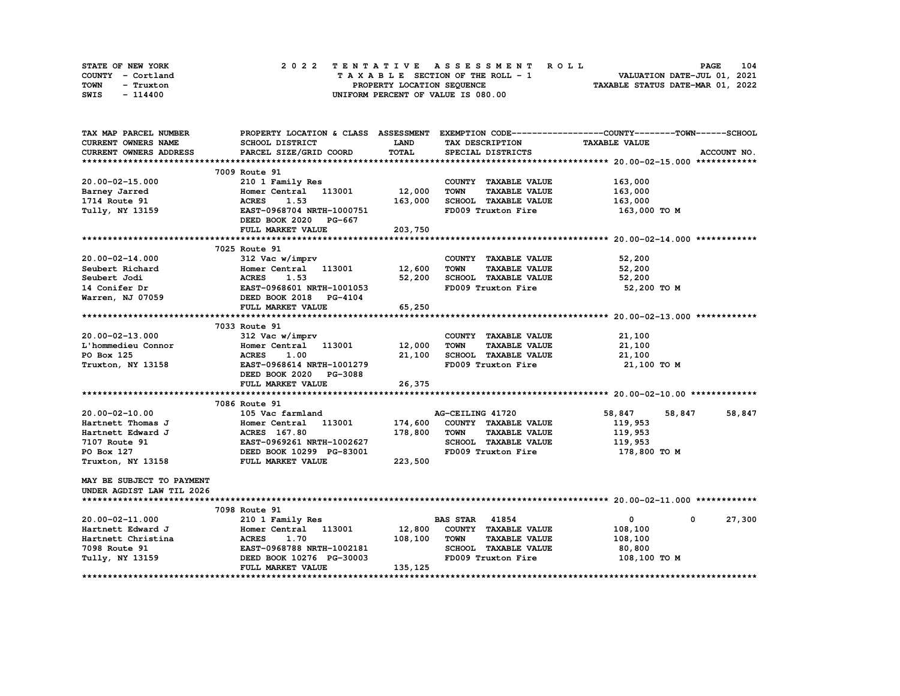| STATE OF NEW YORK | 2022 TENTATIVE ASSESSMENT ROLL     | 104<br><b>PAGE</b>               |
|-------------------|------------------------------------|----------------------------------|
| COUNTY - Cortland | TAXABLE SECTION OF THE ROLL - 1    | VALUATION DATE-JUL 01, 2021      |
| TOWN<br>- Truxton | PROPERTY LOCATION SEQUENCE         | TAXABLE STATUS DATE-MAR 01, 2022 |
| SWIS<br>- 114400  | UNIFORM PERCENT OF VALUE IS 080.00 |                                  |

| TAX MAP PARCEL NUMBER     |                                                       |             |                                     | PROPERTY LOCATION & CLASS ASSESSMENT EXEMPTION CODE----------------COUNTY-------TOWN------SCHOOL |             |
|---------------------------|-------------------------------------------------------|-------------|-------------------------------------|--------------------------------------------------------------------------------------------------|-------------|
| CURRENT OWNERS NAME       | SCHOOL DISTRICT                                       | <b>LAND</b> | TAX DESCRIPTION                     | <b>TAXABLE VALUE</b>                                                                             |             |
| CURRENT OWNERS ADDRESS    | PARCEL SIZE/GRID COORD                                | TOTAL       | SPECIAL DISTRICTS                   |                                                                                                  | ACCOUNT NO. |
|                           |                                                       |             |                                     |                                                                                                  |             |
|                           | 7009 Route 91                                         |             |                                     |                                                                                                  |             |
| $20.00 - 02 - 15.000$     | 210 1 Family Res                                      |             | COUNTY TAXABLE VALUE                | 163,000                                                                                          |             |
| Barney Jarred             | Homer Central 113001 12,000                           |             | <b>TOWN</b><br><b>TAXABLE VALUE</b> | 163,000                                                                                          |             |
| 1714 Route 91             | 1.53<br><b>ACRES</b>                                  | 163,000     | SCHOOL TAXABLE VALUE                | 163,000                                                                                          |             |
| Tully, NY 13159           | EAST-0968704 NRTH-1000751                             |             | FD009 Truxton Fire                  | 163,000 TO M                                                                                     |             |
|                           | DEED BOOK 2020 PG-667                                 |             |                                     |                                                                                                  |             |
|                           | FULL MARKET VALUE                                     | 203,750     |                                     |                                                                                                  |             |
|                           |                                                       |             |                                     |                                                                                                  |             |
|                           | 7025 Route 91                                         |             |                                     |                                                                                                  |             |
| 20.00-02-14.000           | 312 Vac w/imprv                                       |             | COUNTY TAXABLE VALUE                | 52,200                                                                                           |             |
| Seubert Richard           | Homer Central 113001 12,600                           |             | <b>TOWN</b><br><b>TAXABLE VALUE</b> | 52,200                                                                                           |             |
| Seubert Jodi              |                                                       | 52,200      | SCHOOL TAXABLE VALUE                | 52,200                                                                                           |             |
| 14 Conifer Dr             | <b>ACRES</b> 1.53<br>EAST-0968601 NRTH-1001053        |             | FD009 Truxton Fire                  | 52,200 TO M                                                                                      |             |
| Warren, NJ 07059          | DEED BOOK 2018 PG-4104                                |             |                                     |                                                                                                  |             |
|                           | FULL MARKET VALUE                                     | 65,250      |                                     |                                                                                                  |             |
|                           |                                                       |             |                                     |                                                                                                  |             |
|                           | 7033 Route 91                                         |             |                                     |                                                                                                  |             |
| $20.00 - 02 - 13.000$     | 312 Vac w/imprv                                       |             | COUNTY TAXABLE VALUE                | 21,100                                                                                           |             |
| L'hommedieu Connor        | Homer Central 113001                                  | 12,000      | <b>TOWN</b><br><b>TAXABLE VALUE</b> | 21,100                                                                                           |             |
| PO Box 125                | <b>ACRES</b><br>1.00                                  | 21,100      | SCHOOL TAXABLE VALUE                | 21,100                                                                                           |             |
| Truxton, NY 13158         | EAST-0968614 NRTH-1001279                             |             | FD009 Truxton Fire                  | 21,100 TO M                                                                                      |             |
|                           | DEED BOOK 2020 PG-3088                                |             |                                     |                                                                                                  |             |
|                           | FULL MARKET VALUE                                     | 26,375      |                                     |                                                                                                  |             |
|                           |                                                       |             |                                     |                                                                                                  |             |
|                           | 7086 Route 91                                         |             |                                     |                                                                                                  |             |
| $20.00 - 02 - 10.00$      | 105 Vac farmland                                      |             | AG-CEILING 41720                    | 58,847<br>58,847                                                                                 | 58,847      |
| Hartnett Thomas J         | Homer Central 113001 174,600                          |             | COUNTY TAXABLE VALUE                | 119,953                                                                                          |             |
| Hartnett Edward J         | ACRES 167.80                                          | 178,800     | TOWN<br><b>TAXABLE VALUE</b>        | 119,953                                                                                          |             |
| 7107 Route 91             | EAST-0969261 NRTH-1002627<br>DEED BOOK 10299 PG-83001 |             | SCHOOL TAXABLE VALUE                | 119,953                                                                                          |             |
| PO Box 127                |                                                       |             | FD009 Truxton Fire                  | 178,800 TO M                                                                                     |             |
| Truxton, NY 13158         | FULL MARKET VALUE                                     | 223,500     |                                     |                                                                                                  |             |
| MAY BE SUBJECT TO PAYMENT |                                                       |             |                                     |                                                                                                  |             |
| UNDER AGDIST LAW TIL 2026 |                                                       |             |                                     |                                                                                                  |             |
|                           |                                                       |             |                                     |                                                                                                  |             |
|                           | 7098 Route 91                                         |             |                                     |                                                                                                  |             |
| $20.00 - 02 - 11.000$     | 210 1 Family Res                                      |             | <b>BAS STAR</b> 41854               | $\mathbf{0}$<br>$^{\circ}$                                                                       | 27,300      |
| Hartnett Edward J         | Homer Central 113001 12,800                           |             | COUNTY TAXABLE VALUE                | 108,100                                                                                          |             |
| Hartnett Christina        | <b>ACRES</b><br>1.70                                  | 108,100     | <b>TOWN</b><br><b>TAXABLE VALUE</b> | 108,100                                                                                          |             |
| 7098 Route 91             | EAST-0968788 NRTH-1002181                             |             | SCHOOL TAXABLE VALUE                | 80,800                                                                                           |             |
| Tully, NY 13159           | DEED BOOK 10276 PG-30003                              |             | FD009 Truxton Fire                  | 108,100 TO M                                                                                     |             |
|                           | FULL MARKET VALUE                                     | 135,125     |                                     |                                                                                                  |             |
|                           |                                                       |             |                                     |                                                                                                  |             |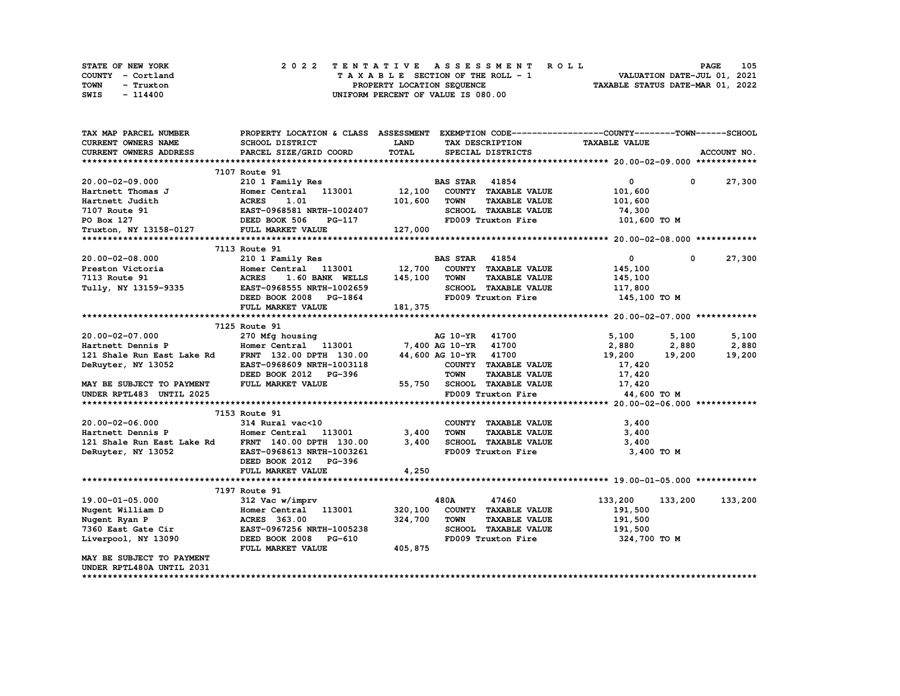| STATE OF NEW YORK | 2022 TENTATIVE ASSESSMENT ROLL          | 105<br><b>PAGE</b>               |
|-------------------|-----------------------------------------|----------------------------------|
| COUNTY - Cortland | $T A X A B L E$ SECTION OF THE ROLL - 1 | VALUATION DATE-JUL 01, 2021      |
| TOWN<br>- Truxton | PROPERTY LOCATION SEQUENCE              | TAXABLE STATUS DATE-MAR 01, 2022 |
| SWIS<br>- 114400  | UNIFORM PERCENT OF VALUE IS 080.00      |                                  |

| TAX MAP PARCEL NUMBER                                                                                                                   | PROPERTY LOCATION & CLASS ASSESSMENT                                                                    |             |                       |                                    | EXEMPTION CODE-----------------COUNTY-------TOWN------SCHOOL |              |                           |
|-----------------------------------------------------------------------------------------------------------------------------------------|---------------------------------------------------------------------------------------------------------|-------------|-----------------------|------------------------------------|--------------------------------------------------------------|--------------|---------------------------|
| CURRENT OWNERS NAME                                                                                                                     | SCHOOL DISTRICT                                                                                         | <b>LAND</b> |                       | TAX DESCRIPTION                    | <b>TAXABLE VALUE</b>                                         |              |                           |
| <b>CURRENT OWNERS ADDRESS</b>                                                                                                           | PARCEL SIZE/GRID COORD                                                                                  | TOTAL       |                       | SPECIAL DISTRICTS                  |                                                              |              | ACCOUNT NO.               |
|                                                                                                                                         |                                                                                                         |             |                       |                                    |                                                              |              |                           |
|                                                                                                                                         | 7107 Route 91                                                                                           |             |                       |                                    |                                                              |              |                           |
| $20.00 - 02 - 09.000$                                                                                                                   | 210 1 Family Res                                                                                        |             | <b>BAS STAR 41854</b> |                                    | $\mathbf{0}$                                                 | $\mathbf{0}$ | 27,300                    |
| Hartnett Thomas J                                                                                                                       | Homer Central 113001 12,100                                                                             |             |                       | COUNTY TAXABLE VALUE               | 101,600                                                      |              |                           |
| Hartnett Judith                                                                                                                         |                                                                                                         | 101,600     | TOWN                  | <b>TAXABLE VALUE</b>               | 101,600                                                      |              |                           |
| 7107 Route 91                                                                                                                           |                                                                                                         |             |                       | SCHOOL TAXABLE VALUE               | 74,300                                                       |              |                           |
| PO Box 127                                                                                                                              |                                                                                                         |             |                       |                                    | FD009 Truxton Fire 101,600 TO M                              |              |                           |
| Truxton, NY 13158-0127 FULL MARKET VALUE                                                                                                | 3<br>ACRES 1.01<br>EAST-0968581 NRTH-1002407<br>DEED BOOK 506 PG-117<br>CRED BOOK 506 PG-117<br>127,000 |             |                       |                                    |                                                              |              |                           |
|                                                                                                                                         |                                                                                                         |             |                       |                                    |                                                              |              |                           |
|                                                                                                                                         | 7113 Route 91                                                                                           |             |                       |                                    |                                                              |              |                           |
| 20.00-02-08.000                                                                                                                         | 210 1 Family Res                                                                                        |             | <b>BAS STAR 41854</b> |                                    | $\mathbf{0}$                                                 | $^{\circ}$   | 27,300                    |
|                                                                                                                                         | Homer Central 113001 12,700 COUNTY TAXABLE VALUE                                                        |             |                       |                                    | 145,100                                                      |              |                           |
| Preston Victoria<br>7113 Route 91<br>Tully, NY 13159-9335                                                                               | 1.60 BANK WELLS 145,100 TOWN<br><b>ACRES</b>                                                            |             |                       | <b>TAXABLE VALUE</b>               | 145,100                                                      |              |                           |
|                                                                                                                                         | EAST-0968555 NRTH-1002659                                                                               |             |                       | SCHOOL TAXABLE VALUE               | 117,800                                                      |              |                           |
|                                                                                                                                         | DEED BOOK 2008 PG-1864                                                                                  |             |                       | FD009 Truxton Fire                 | 145,100 TO M                                                 |              |                           |
|                                                                                                                                         | FULL MARKET VALUE                                                                                       | 181,375     |                       |                                    |                                                              |              |                           |
|                                                                                                                                         |                                                                                                         |             |                       |                                    |                                                              |              |                           |
|                                                                                                                                         | 7125 Route 91                                                                                           |             |                       |                                    |                                                              |              |                           |
| 20.00-02-07.000                                                                                                                         | 270 Mfg housing                                                                                         |             | AG 10-YR 41700        |                                    | 5,100 5,100                                                  |              | 5,100                     |
|                                                                                                                                         |                                                                                                         |             |                       |                                    |                                                              | 2,880        |                           |
| Hartnett Dennis P Momer Central 113001 7,400 AG 10-YR 41700<br>121 Shale Run East Lake Rd FRNT 132.00 DPTH 130.00 44,600 AG 10-YR 41700 |                                                                                                         |             |                       |                                    | 2,880<br>19,200                                              | 19,200       | 2,880<br>19,200<br>19,200 |
|                                                                                                                                         | EAST-0968609 NRTH-1003118                                                                               |             |                       | COUNTY TAXABLE VALUE               | 17,420                                                       |              |                           |
| DeRuyter, NY 13052                                                                                                                      | DEED BOOK 2012 PG-396                                                                                   |             | <b>TOWN</b>           | <b>TAXABLE VALUE</b>               | 17,420                                                       |              |                           |
|                                                                                                                                         | FULL MARKET VALUE                                                                                       |             |                       | 55,750 SCHOOL TAXABLE VALUE 17,420 |                                                              |              |                           |
| MAY BE SUBJECT TO PAYMENT                                                                                                               |                                                                                                         |             |                       |                                    |                                                              |              |                           |
| UNDER RPTL483 UNTIL 2025                                                                                                                |                                                                                                         |             |                       | FD009 Truxton Fire                 | 44,600 TO M                                                  |              |                           |
|                                                                                                                                         | 7153 Route 91                                                                                           |             |                       |                                    |                                                              |              |                           |
|                                                                                                                                         |                                                                                                         |             |                       |                                    |                                                              |              |                           |
| 20.00-02-06.000<br>Hartnett Dennis P                                                                                                    | 314 Rural vac<10<br>Homer Central 113001                                                                |             |                       | COUNTY TAXABLE VALUE               | 3,400                                                        |              |                           |
|                                                                                                                                         |                                                                                                         | 3,400       | <b>TOWN</b>           | <b>TAXABLE VALUE</b>               | 3,400                                                        |              |                           |
| 121 Shale Run East Lake Rd FRNT 140.00 DPTH 130.00                                                                                      |                                                                                                         | 3,400       |                       | SCHOOL TAXABLE VALUE               | 3,400                                                        |              |                           |
| DeRuyter, NY 13052                                                                                                                      | EAST-0968613 NRTH-1003261                                                                               |             |                       | FD009 Truxton Fire                 | 3,400 TO M                                                   |              |                           |
|                                                                                                                                         | DEED BOOK 2012 PG-396                                                                                   |             |                       |                                    |                                                              |              |                           |
|                                                                                                                                         | FULL MARKET VALUE                                                                                       | 4,250       |                       |                                    |                                                              |              |                           |
|                                                                                                                                         |                                                                                                         |             |                       |                                    |                                                              |              |                           |
|                                                                                                                                         | 7197 Route 91                                                                                           |             |                       |                                    |                                                              |              |                           |
| 19.00-01-05.000                                                                                                                         | 312 Vac w/imprv                                                                                         |             | 480A                  | 47460                              | 133,200                                                      | 133,200      | 133,200                   |
| Nugent William D                                                                                                                        | Homer Central 113001                                                                                    | 320,100     |                       | COUNTY TAXABLE VALUE               | 191,500                                                      |              |                           |
| Nugent Ryan P<br>7360 East Gate Cir                             EAST-0967256 NRTH-1005238                                               |                                                                                                         | 324,700     | <b>TOWN</b>           | <b>TAXABLE VALUE</b>               | 191,500                                                      |              |                           |
|                                                                                                                                         |                                                                                                         |             |                       | SCHOOL TAXABLE VALUE               | 191,500                                                      |              |                           |
| Liverpool, NY 13090                                                                                                                     | DEED BOOK 2008 PG-610                                                                                   |             |                       | FD009 Truxton Fire                 | 324,700 TO M                                                 |              |                           |
|                                                                                                                                         | FULL MARKET VALUE                                                                                       | 405,875     |                       |                                    |                                                              |              |                           |
| MAY BE SUBJECT TO PAYMENT                                                                                                               |                                                                                                         |             |                       |                                    |                                                              |              |                           |
| UNDER RPTL480A UNTIL 2031                                                                                                               |                                                                                                         |             |                       |                                    |                                                              |              |                           |
|                                                                                                                                         |                                                                                                         |             |                       |                                    |                                                              |              |                           |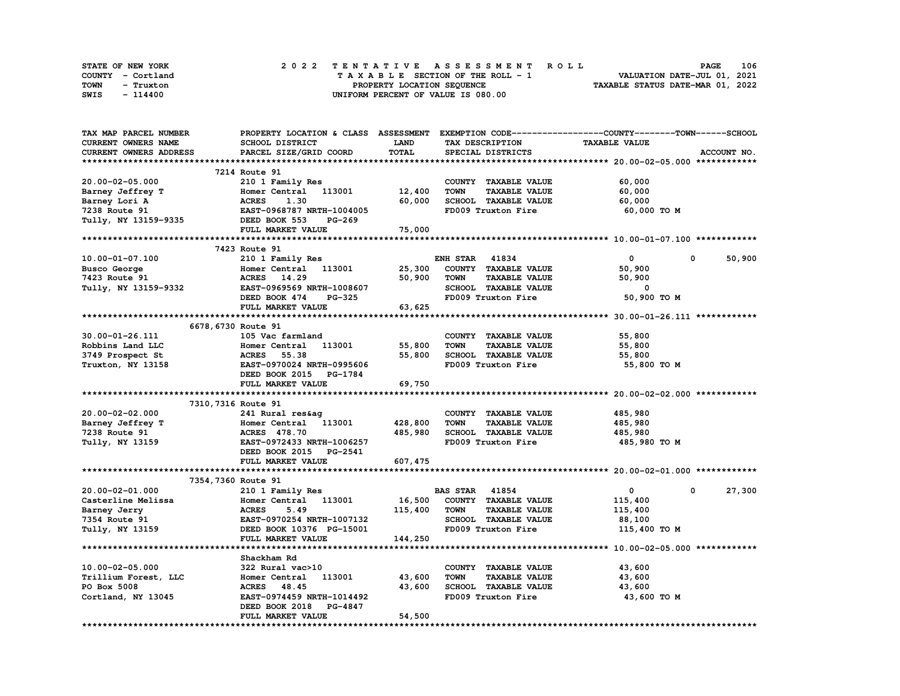| STATE OF NEW YORK | 2022 TENTATIVE ASSESSMENT ROLL     | <b>PAGE</b>                      | 106 |
|-------------------|------------------------------------|----------------------------------|-----|
| COUNTY - Cortland | TAXABLE SECTION OF THE ROLL - 1    | VALUATION DATE-JUL 01, 2021      |     |
| TOWN<br>- Truxton | PROPERTY LOCATION SEQUENCE         | TAXABLE STATUS DATE-MAR 01, 2022 |     |
| SWIS<br>- 114400  | UNIFORM PERCENT OF VALUE IS 080.00 |                                  |     |

| TAX MAP PARCEL NUMBER  | PROPERTY LOCATION & CLASS ASSESSMENT EXEMPTION CODE-----------------COUNTY-------TOWN------SCHOOL |             |                                     |                      |             |
|------------------------|---------------------------------------------------------------------------------------------------|-------------|-------------------------------------|----------------------|-------------|
| CURRENT OWNERS NAME    | SCHOOL DISTRICT                                                                                   | <b>LAND</b> | TAX DESCRIPTION                     | <b>TAXABLE VALUE</b> |             |
| CURRENT OWNERS ADDRESS | PARCEL SIZE/GRID COORD                                                                            | TOTAL       | SPECIAL DISTRICTS                   |                      | ACCOUNT NO. |
|                        |                                                                                                   |             |                                     |                      |             |
|                        | 7214 Route 91                                                                                     |             |                                     |                      |             |
| 20.00-02-05.000        | 210 1 Family Res                                                                                  |             | COUNTY TAXABLE VALUE                | 60,000               |             |
| Barney Jeffrey T       | Homer Central 113001                                                                              | 12,400      | <b>TOWN</b><br><b>TAXABLE VALUE</b> | 60,000               |             |
| Barney Lori A          | 1.30<br><b>ACRES</b>                                                                              | 60,000      | SCHOOL TAXABLE VALUE                | 60,000               |             |
| 7238 Route 91          | EAST-0968787 NRTH-1004005                                                                         |             | FD009 Truxton Fire                  | 60,000 TO M          |             |
|                        | DEED BOOK 553<br><b>PG-269</b>                                                                    |             |                                     |                      |             |
| Tully, NY 13159-9335   |                                                                                                   |             |                                     |                      |             |
|                        | FULL MARKET VALUE                                                                                 | 75,000      |                                     |                      |             |
|                        |                                                                                                   |             |                                     |                      |             |
|                        | 7423 Route 91                                                                                     |             |                                     |                      |             |
| 10.00-01-07.100        | 210 1 Family Res                                                                                  |             | <b>ENH STAR 41834</b>               | $\Omega$             | 50,900<br>0 |
| Busco George           | Homer Central 113001                                                                              | 25,300      | COUNTY TAXABLE VALUE                | 50,900               |             |
| 7423 Route 91          | ACRES 14.29                                                                                       | 50,900      | <b>TOWN</b><br><b>TAXABLE VALUE</b> | 50,900               |             |
| Tully, NY 13159-9332   | EAST-0969569 NRTH-1008607                                                                         |             | SCHOOL TAXABLE VALUE                | 0                    |             |
|                        | DEED BOOK 474<br>PG-325                                                                           |             | FD009 Truxton Fire                  | 50,900 TO M          |             |
|                        | FULL MARKET VALUE                                                                                 | 63,625      |                                     |                      |             |
|                        |                                                                                                   |             |                                     |                      |             |
| 6678, 6730 Route 91    |                                                                                                   |             |                                     |                      |             |
| 30.00-01-26.111        | 105 Vac farmland                                                                                  |             | COUNTY TAXABLE VALUE                | 55,800               |             |
| Robbins Land LLC       | Homer Central 113001                                                                              | 55,800      | <b>TOWN</b><br><b>TAXABLE VALUE</b> | 55,800               |             |
| 3749 Prospect St       | <b>ACRES</b> 55.38                                                                                | 55,800      | SCHOOL TAXABLE VALUE                | 55,800               |             |
| Truxton, NY 13158      | EAST-0970024 NRTH-0995606                                                                         |             | FD009 Truxton Fire                  | 55,800 TO M          |             |
|                        | DEED BOOK 2015 PG-1784                                                                            |             |                                     |                      |             |
|                        | FULL MARKET VALUE                                                                                 | 69,750      |                                     |                      |             |
|                        |                                                                                                   |             |                                     |                      |             |
| 7310, 7316 Route 91    |                                                                                                   |             |                                     |                      |             |
| 20.00-02-02.000        | 241 Rural res&aq                                                                                  |             | COUNTY TAXABLE VALUE                | 485,980              |             |
|                        |                                                                                                   |             |                                     |                      |             |
| Barney Jeffrey T       | Homer Central 113001                                                                              | 428,800     | TOWN<br><b>TAXABLE VALUE</b>        | 485,980              |             |
| 7238 Route 91          | <b>ACRES</b> 478.70                                                                               | 485,980     | SCHOOL TAXABLE VALUE                | 485,980              |             |
| Tully, NY 13159        | EAST-0972433 NRTH-1006257                                                                         |             | FD009 Truxton Fire                  | 485,980 то м         |             |
|                        | DEED BOOK 2015 PG-2541                                                                            |             |                                     |                      |             |
|                        | FULL MARKET VALUE                                                                                 | 607, 475    |                                     |                      |             |
|                        |                                                                                                   |             |                                     |                      |             |
| 7354,7360 Route 91     |                                                                                                   |             |                                     |                      |             |
| 20.00-02-01.000        | 210 1 Family Res                                                                                  |             | <b>BAS STAR 41854</b>               | $\mathbf{0}$         | 27,300<br>0 |
| Casterline Melissa     | Homer Central 113001                                                                              | 16,500      | COUNTY TAXABLE VALUE                | 115,400              |             |
| Barney Jerry           | <b>ACRES</b><br>5.49                                                                              | 115,400     | <b>TOWN</b><br><b>TAXABLE VALUE</b> | 115,400              |             |
| 7354 Route 91          | EAST-0970254 NRTH-1007132                                                                         |             | SCHOOL TAXABLE VALUE                | 88,100               |             |
| Tully, NY 13159        | DEED BOOK 10376 PG-15001                                                                          |             | FD009 Truxton Fire                  | 115,400 TO M         |             |
|                        | FULL MARKET VALUE                                                                                 | 144,250     |                                     |                      |             |
|                        |                                                                                                   |             |                                     |                      |             |
|                        | Shackham Rd                                                                                       |             |                                     |                      |             |
| 10.00-02-05.000        | 322 Rural vac>10                                                                                  |             | COUNTY TAXABLE VALUE                | 43,600               |             |
| Trillium Forest, LLC   | 113001<br>Homer Central                                                                           | 43,600      | <b>TOWN</b><br><b>TAXABLE VALUE</b> | 43,600               |             |
| PO Box 5008            | <b>ACRES</b> 48.45                                                                                | 43,600      | SCHOOL TAXABLE VALUE                | 43,600               |             |
| Cortland, NY 13045     | EAST-0974459 NRTH-1014492                                                                         |             | FD009 Truxton Fire                  | 43,600 TO M          |             |
|                        | DEED BOOK 2018 PG-4847                                                                            |             |                                     |                      |             |
|                        | FULL MARKET VALUE                                                                                 | 54,500      |                                     |                      |             |
|                        |                                                                                                   |             |                                     |                      |             |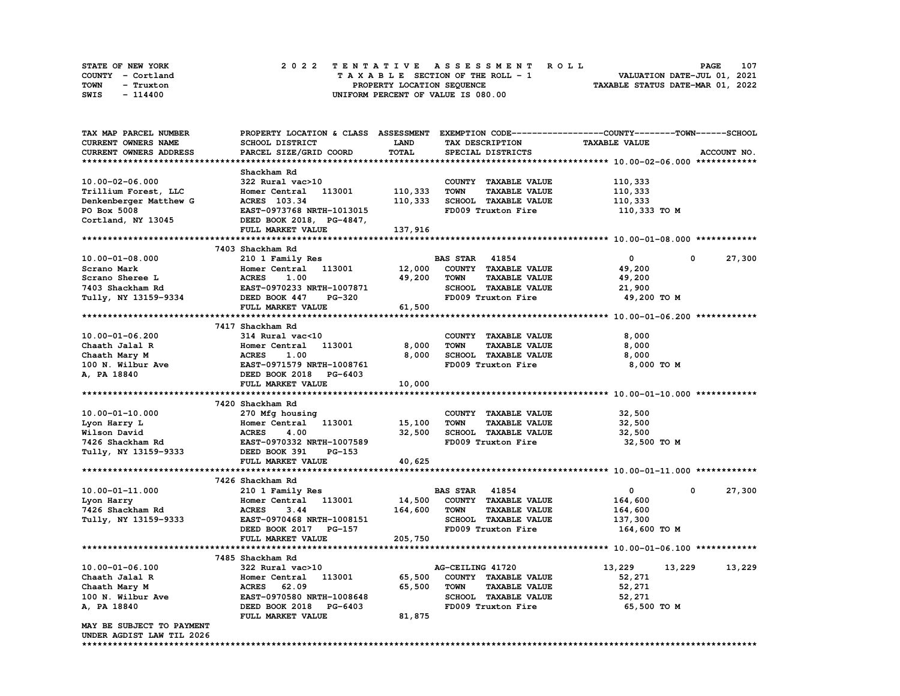| <b>STATE OF NEW YORK</b> | 2022 TENTATIVE ASSESSMENT ROLL     | 107<br><b>PAGE</b>               |
|--------------------------|------------------------------------|----------------------------------|
| COUNTY - Cortland        | TAXABLE SECTION OF THE ROLL - 1    | VALUATION DATE-JUL 01, 2021      |
| TOWN<br>- Truxton        | PROPERTY LOCATION SEQUENCE         | TAXABLE STATUS DATE-MAR 01, 2022 |
| SWIS<br>- 114400         | UNIFORM PERCENT OF VALUE IS 080.00 |                                  |

| TAX MAP PARCEL NUMBER                                  | PROPERTY LOCATION & CLASS      | <b>ASSESSMENT</b> |                                     | EXEMPTION CODE-----------------COUNTY-------TOWN-----SCHOOL |                       |
|--------------------------------------------------------|--------------------------------|-------------------|-------------------------------------|-------------------------------------------------------------|-----------------------|
| CURRENT OWNERS NAME                                    | SCHOOL DISTRICT                | LAND              | TAX DESCRIPTION                     | <b>TAXABLE VALUE</b>                                        |                       |
| <b>CURRENT OWNERS ADDRESS</b>                          | PARCEL SIZE/GRID COORD         | TOTAL             | SPECIAL DISTRICTS                   |                                                             | ACCOUNT NO.           |
|                                                        |                                |                   |                                     |                                                             |                       |
|                                                        | Shackham Rd                    |                   |                                     |                                                             |                       |
| 10.00-02-06.000                                        | 322 Rural vac>10               |                   | COUNTY TAXABLE VALUE                | 110,333                                                     |                       |
| Trillium Forest, LLC                                   | 113001<br>Homer Central        | 110,333           | <b>TOWN</b><br><b>TAXABLE VALUE</b> | 110,333                                                     |                       |
| Denkenberger Matthew G                                 | ACRES 103.34                   | 110,333           | SCHOOL TAXABLE VALUE                | 110,333                                                     |                       |
| PO Box 5008                                            | EAST-0973768 NRTH-1013015      |                   | FD009 Truxton Fire                  | 110,333 TO M                                                |                       |
| Cortland, NY 13045                                     | DEED BOOK 2018, PG-4847,       |                   |                                     |                                                             |                       |
|                                                        | FULL MARKET VALUE              | 137,916           |                                     |                                                             |                       |
|                                                        |                                |                   |                                     |                                                             |                       |
|                                                        | 7403 Shackham Rd               |                   |                                     |                                                             |                       |
| $10.00 - 01 - 08.000$                                  | 210 1 Family Res               |                   | <b>BAS STAR 41854</b>               | $\mathbf{0}$                                                | 27,300<br>$\mathbf 0$ |
| Scrano Mark                                            | Homer Central<br>113001        | 12,000            | COUNTY TAXABLE VALUE                | 49,200                                                      |                       |
| Scrano Sheree L                                        | <b>ACRES</b><br>1.00           | 49,200            | <b>TOWN</b><br><b>TAXABLE VALUE</b> | 49,200                                                      |                       |
| 7403 Shackham Rd                                       | EAST-0970233 NRTH-1007871      |                   | SCHOOL TAXABLE VALUE                | 21,900                                                      |                       |
| Tully, NY 13159-9334                                   | DEED BOOK 447<br><b>PG-320</b> |                   | FD009 Truxton Fire                  | 49,200 TO M                                                 |                       |
|                                                        | FULL MARKET VALUE              | 61,500            |                                     |                                                             |                       |
|                                                        |                                |                   |                                     |                                                             |                       |
|                                                        | 7417 Shackham Rd               |                   |                                     |                                                             |                       |
| 10.00-01-06.200                                        | 314 Rural vac<10               |                   | COUNTY TAXABLE VALUE                | 8,000                                                       |                       |
| Chaath Jalal R                                         | 113001<br>Homer Central        | 8,000             | <b>TAXABLE VALUE</b><br><b>TOWN</b> | 8,000                                                       |                       |
| Chaath Mary M                                          | <b>ACRES</b><br>1.00           | 8,000             | SCHOOL TAXABLE VALUE                | 8,000                                                       |                       |
| 100 N. Wilbur Ave                                      | EAST-0971579 NRTH-1008761      |                   | FD009 Truxton Fire                  | 8,000 TO M                                                  |                       |
| A, PA 18840                                            | DEED BOOK 2018 PG-6403         |                   |                                     |                                                             |                       |
|                                                        | FULL MARKET VALUE              | 10,000            |                                     |                                                             |                       |
|                                                        |                                |                   |                                     |                                                             |                       |
|                                                        | 7420 Shackham Rd               |                   |                                     |                                                             |                       |
| $10.00 - 01 - 10.000$                                  | 270 Mfg housing                |                   | COUNTY TAXABLE VALUE                | 32,500                                                      |                       |
| Lyon Harry L                                           | Homer Central<br>113001        | 15,100            | <b>TOWN</b><br><b>TAXABLE VALUE</b> | 32,500                                                      |                       |
| Wilson David                                           | 4.00<br><b>ACRES</b>           | 32,500            | <b>SCHOOL TAXABLE VALUE</b>         | 32,500                                                      |                       |
| 7426 Shackham Rd                                       | EAST-0970332 NRTH-1007589      |                   | FD009 Truxton Fire                  | 32,500 TO M                                                 |                       |
| Tully, NY 13159-9333                                   | DEED BOOK 391<br>$PG-153$      |                   |                                     |                                                             |                       |
|                                                        | FULL MARKET VALUE              | 40,625            |                                     |                                                             |                       |
|                                                        |                                |                   |                                     |                                                             |                       |
|                                                        |                                |                   |                                     |                                                             |                       |
|                                                        |                                |                   |                                     |                                                             |                       |
|                                                        | 7426 Shackham Rd               |                   |                                     |                                                             |                       |
| 10.00-01-11.000                                        | 210 1 Family Res               |                   | <b>BAS STAR 41854</b>               | $\mathbf{o}$                                                | 27,300<br>0           |
| Lyon Harry                                             | Homer Central<br>113001        | 14,500            | COUNTY TAXABLE VALUE                | 164,600                                                     |                       |
| 7426 Shackham Rd                                       | <b>ACRES</b><br>3.44           | 164,600           | <b>TAXABLE VALUE</b><br><b>TOWN</b> | 164,600                                                     |                       |
| Tully, NY 13159-9333                                   | EAST-0970468 NRTH-1008151      |                   | SCHOOL TAXABLE VALUE                | 137,300                                                     |                       |
|                                                        | DEED BOOK 2017 PG-157          |                   | FD009 Truxton Fire                  | 164,600 то м                                                |                       |
|                                                        | FULL MARKET VALUE              | 205,750           |                                     |                                                             |                       |
|                                                        |                                |                   |                                     |                                                             |                       |
|                                                        | 7485 Shackham Rd               |                   |                                     |                                                             |                       |
| $10.00 - 01 - 06.100$                                  | 322 Rural vac>10               |                   | AG-CEILING 41720                    | 13,229<br>13,229                                            | 13,229                |
| Chaath Jalal R                                         | 113001<br>Homer Central        | 65,500            | COUNTY TAXABLE VALUE                | 52,271                                                      |                       |
| Chaath Mary M                                          | 62.09<br><b>ACRES</b>          | 65,500            | <b>TOWN</b><br><b>TAXABLE VALUE</b> | 52,271                                                      |                       |
| 100 N. Wilbur Ave                                      | EAST-0970580 NRTH-1008648      |                   | SCHOOL TAXABLE VALUE                | 52,271                                                      |                       |
| A, PA 18840                                            | DEED BOOK 2018 PG-6403         |                   | FD009 Truxton Fire                  | 65,500 TO M                                                 |                       |
|                                                        | FULL MARKET VALUE              | 81,875            |                                     |                                                             |                       |
| MAY BE SUBJECT TO PAYMENT<br>UNDER AGDIST LAW TIL 2026 |                                |                   |                                     |                                                             |                       |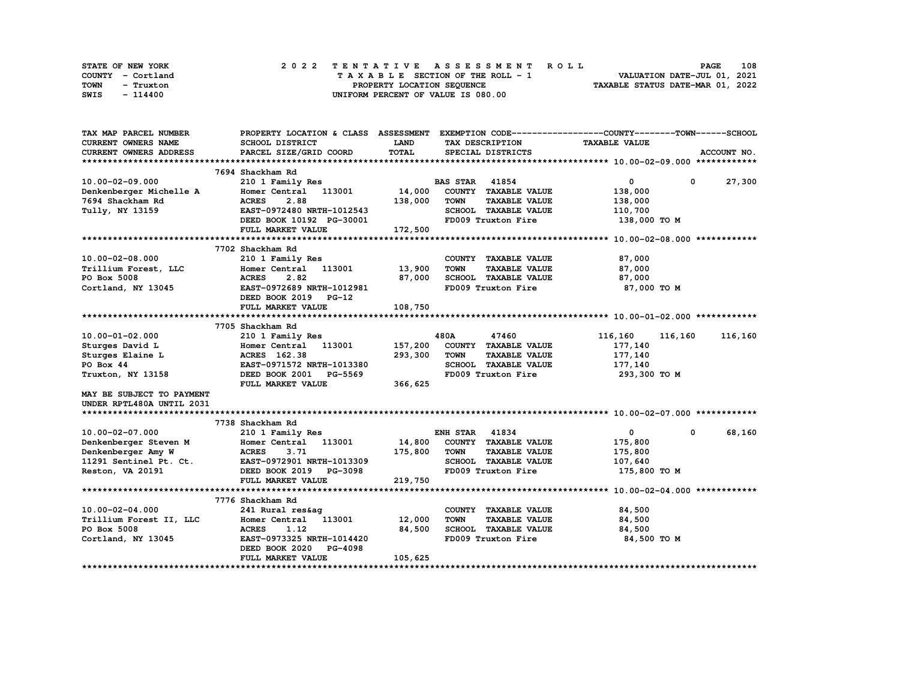| STATE OF NEW YORK |  |                            | 2022 TENTATIVE ASSESSMENT ROLL     |  | <b>PAGE</b>                      | 108 |
|-------------------|--|----------------------------|------------------------------------|--|----------------------------------|-----|
| COUNTY - Cortland |  |                            | TAXABLE SECTION OF THE ROLL - 1    |  | VALUATION DATE-JUL 01, 2021      |     |
| TOWN<br>- Truxton |  | PROPERTY LOCATION SEQUENCE |                                    |  | TAXABLE STATUS DATE-MAR 01, 2022 |     |
| SWIS<br>- 114400  |  |                            | UNIFORM PERCENT OF VALUE IS 080.00 |  |                                  |     |

| TAX MAP PARCEL NUMBER                            | PROPERTY LOCATION & CLASS ASSESSMENT EXEMPTION CODE----------------COUNTY-------TOWN-----SCHOOL |             |                       |                      |                      |         |                  |
|--------------------------------------------------|-------------------------------------------------------------------------------------------------|-------------|-----------------------|----------------------|----------------------|---------|------------------|
| <b>CURRENT OWNERS NAME</b>                       | SCHOOL DISTRICT                                                                                 | <b>LAND</b> | TAX DESCRIPTION       |                      | <b>TAXABLE VALUE</b> |         |                  |
| CURRENT OWNERS ADDRESS                           | PARCEL SIZE/GRID COORD                                                                          | TOTAL       |                       | SPECIAL DISTRICTS    |                      |         | ACCOUNT NO.      |
|                                                  |                                                                                                 |             |                       |                      |                      |         |                  |
|                                                  | 7694 Shackham Rd                                                                                |             |                       |                      |                      |         |                  |
| 10.00-02-09.000                                  | 210 1 Family Res                                                                                |             | <b>BAS STAR 41854</b> |                      | $\overline{0}$       |         | $0\qquad 27,300$ |
| Denkenberger Michelle A                          | Homer Central 113001                                                                            | 14,000      |                       | COUNTY TAXABLE VALUE | 138,000              |         |                  |
| 7694 Shackham Rd                                 | 2.88<br><b>ACRES</b>                                                                            | 138,000     | <b>TOWN</b>           | <b>TAXABLE VALUE</b> | 138,000              |         |                  |
| Tully, NY 13159                                  | EAST-0972480 NRTH-1012543                                                                       |             |                       | SCHOOL TAXABLE VALUE | 110,700              |         |                  |
|                                                  | DEED BOOK 10192 PG-30001                                                                        |             |                       | FD009 Truxton Fire   | 138,000 TO M         |         |                  |
|                                                  | FULL MARKET VALUE                                                                               | 172,500     |                       |                      |                      |         |                  |
|                                                  |                                                                                                 |             |                       |                      |                      |         |                  |
|                                                  | 7702 Shackham Rd                                                                                |             |                       |                      |                      |         |                  |
| $10.00 - 02 - 08.000$                            | 210 1 Family Res                                                                                |             |                       | COUNTY TAXABLE VALUE | 87,000               |         |                  |
| Trillium Forest, LLC                             | Homer Central 113001 13,900                                                                     |             | <b>TOWN</b>           | <b>TAXABLE VALUE</b> | 87,000               |         |                  |
| PO Box 5008                                      | 2.82<br><b>ACRES</b>                                                                            | 87,000      |                       | SCHOOL TAXABLE VALUE | 87,000               |         |                  |
| Cortland, NY 13045                               | EAST-0972689 NRTH-1012981                                                                       |             |                       | FD009 Truxton Fire   | 87,000 TO M          |         |                  |
|                                                  | DEED BOOK 2019 PG-12                                                                            |             |                       |                      |                      |         |                  |
|                                                  | FULL MARKET VALUE                                                                               | 108,750     |                       |                      |                      |         |                  |
|                                                  |                                                                                                 |             |                       |                      |                      |         |                  |
|                                                  | 7705 Shackham Rd                                                                                |             |                       |                      |                      |         |                  |
| $10.00 - 01 - 02.000$                            | 210 1 Family Res                                                                                |             | 480A                  | 47460                | 116,160              | 116,160 | 116,160          |
| Sturges David L                                  | Homer Central 113001                                                                            | 157,200     |                       | COUNTY TAXABLE VALUE | 177,140              |         |                  |
| Sturges Elaine L                                 | ACRES 162.38                                                                                    | 293,300     | <b>TOWN</b>           | <b>TAXABLE VALUE</b> | 177,140              |         |                  |
| PO Box 44                                        | EAST-0971572 NRTH-1013380                                                                       |             |                       | SCHOOL TAXABLE VALUE | 177,140              |         |                  |
| Truxton, NY 13158                                | DEED BOOK 2001 PG-5569                                                                          |             |                       | FD009 Truxton Fire   | 293,300 то м         |         |                  |
|                                                  | FULL MARKET VALUE                                                                               | 366,625     |                       |                      |                      |         |                  |
| MAY BE SUBJECT TO PAYMENT                        |                                                                                                 |             |                       |                      |                      |         |                  |
| UNDER RPTL480A UNTIL 2031                        |                                                                                                 |             |                       |                      |                      |         |                  |
|                                                  |                                                                                                 |             |                       |                      |                      |         |                  |
|                                                  | 7738 Shackham Rd                                                                                |             |                       |                      |                      |         |                  |
| 10.00-02-07.000                                  | 210 1 Family Res                                                                                |             | <b>ENH STAR 41834</b> |                      | $\mathbf{0}$         | 0       | 68,160           |
| Denkenberger Steven M                            | Homer Central 113001                                                                            | 14,800      |                       | COUNTY TAXABLE VALUE | 175,800              |         |                  |
| Denkenberger Amy W                               | <b>ACRES</b><br>3.71                                                                            | 175,800     | <b>TOWN</b>           | <b>TAXABLE VALUE</b> | 175,800              |         |                  |
| 11291 Sentinel Pt. Ct. EAST-0972901 NRTH-1013309 |                                                                                                 |             |                       | SCHOOL TAXABLE VALUE | 107,640              |         |                  |
| Reston, VA 20191 <b>DEED BOOK 2019</b> PG-3098   |                                                                                                 |             |                       | FD009 Truxton Fire   | 175,800 TO M         |         |                  |
|                                                  | FULL MARKET VALUE                                                                               | 219,750     |                       |                      |                      |         |                  |
|                                                  |                                                                                                 |             |                       |                      |                      |         |                  |
|                                                  | 7776 Shackham Rd                                                                                |             |                       |                      |                      |         |                  |
| $10.00 - 02 - 04.000$                            | 241 Rural res&ag                                                                                |             |                       | COUNTY TAXABLE VALUE | 84,500               |         |                  |
| Trillium Forest II, LLC                          | Homer Central 113001                                                                            | 12,000      | <b>TOWN</b>           | <b>TAXABLE VALUE</b> | 84,500               |         |                  |
| PO Box 5008                                      | <b>ACRES</b><br>1.12                                                                            | 84,500      |                       | SCHOOL TAXABLE VALUE | 84,500               |         |                  |
| Cortland, NY 13045                               | EAST-0973325 NRTH-1014420                                                                       |             |                       | FD009 Truxton Fire   | 84,500 TO M          |         |                  |
|                                                  | DEED BOOK 2020<br><b>PG-4098</b>                                                                |             |                       |                      |                      |         |                  |
|                                                  | FULL MARKET VALUE                                                                               | 105,625     |                       |                      |                      |         |                  |
|                                                  |                                                                                                 |             |                       |                      |                      |         |                  |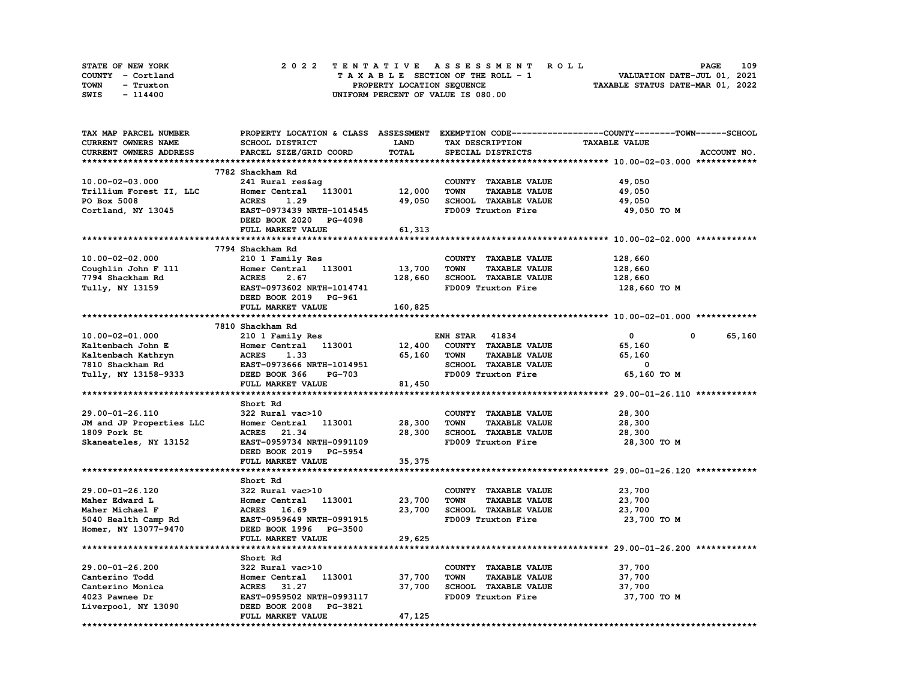| STATE OF NEW YORK | 2022 TENTATIVE ASSESSMENT ROLL     | 109<br><b>PAGE</b>               |
|-------------------|------------------------------------|----------------------------------|
| COUNTY - Cortland | TAXABLE SECTION OF THE ROLL - 1    | VALUATION DATE-JUL 01, 2021      |
| TOWN<br>- Truxton | PROPERTY LOCATION SEQUENCE         | TAXABLE STATUS DATE-MAR 01, 2022 |
| SWIS<br>- 114400  | UNIFORM PERCENT OF VALUE IS 080.00 |                                  |

| TAX MAP PARCEL NUMBER    |                                                  |             |                                     | PROPERTY LOCATION & CLASS ASSESSMENT EXEMPTION CODE-----------------COUNTY-------TOWN-----SCHOOL |
|--------------------------|--------------------------------------------------|-------------|-------------------------------------|--------------------------------------------------------------------------------------------------|
| CURRENT OWNERS NAME      | SCHOOL DISTRICT                                  | <b>LAND</b> | TAX DESCRIPTION                     | <b>TAXABLE VALUE</b>                                                                             |
| CURRENT OWNERS ADDRESS   | PARCEL SIZE/GRID COORD                           | TOTAL       | SPECIAL DISTRICTS                   | ACCOUNT NO.                                                                                      |
|                          |                                                  |             |                                     |                                                                                                  |
|                          | 7782 Shackham Rd                                 |             |                                     |                                                                                                  |
| 10.00-02-03.000          | 241 Rural res&ag                                 |             | COUNTY TAXABLE VALUE                | 49,050                                                                                           |
| Trillium Forest II, LLC  | Homer Central 113001 12,000                      |             | <b>TOWN</b><br><b>TAXABLE VALUE</b> | 49,050                                                                                           |
| PO Box 5008              | <b>ACRES</b><br>1.29                             | 49,050      | SCHOOL TAXABLE VALUE                | 49,050                                                                                           |
| Cortland, NY 13045       | EAST-0973439 NRTH-1014545                        |             | FD009 Truxton Fire                  | 49,050 TO M                                                                                      |
|                          | DEED BOOK 2020 PG-4098                           |             |                                     |                                                                                                  |
|                          |                                                  |             |                                     |                                                                                                  |
|                          | FULL MARKET VALUE                                | 61,313      |                                     |                                                                                                  |
|                          |                                                  |             |                                     |                                                                                                  |
|                          | 7794 Shackham Rd                                 |             |                                     |                                                                                                  |
| $10.00 - 02 - 02.000$    | 210 1 Family Res                                 |             | COUNTY TAXABLE VALUE                | 128,660                                                                                          |
| Coughlin John F 111      | Homer<br>ACRES<br>EAST-0<br>Homer Central 113001 | 13,700      | <b>TOWN</b><br><b>TAXABLE VALUE</b> | 128,660                                                                                          |
| 7794 Shackham Rd         | 2.67                                             | 128,660     | SCHOOL TAXABLE VALUE                | 128,660                                                                                          |
| Tully, NY 13159          | EAST-0973602 NRTH-1014741                        |             | FD009 Truxton Fire                  | 128,660 то м                                                                                     |
|                          | DEED BOOK 2019 PG-961                            |             |                                     |                                                                                                  |
|                          | FULL MARKET VALUE                                | 160,825     |                                     |                                                                                                  |
|                          |                                                  |             |                                     |                                                                                                  |
|                          | 7810 Shackham Rd                                 |             |                                     |                                                                                                  |
| 10.00-02-01.000          | 210 1 Family Res                                 |             | <b>ENH STAR 41834</b>               | $\mathbf{0}$<br>65,160<br>$\mathbf{0}$                                                           |
| Kaltenbach John E        | Homer Central 113001                             | 12,400      | COUNTY TAXABLE VALUE                | 65,160                                                                                           |
| Kaltenbach Kathryn       | <b>ACRES</b><br>1.33                             | 65,160      | <b>TOWN</b><br><b>TAXABLE VALUE</b> | 65,160                                                                                           |
| 7810 Shackham Rd         | EAST-0973666 NRTH-1014951                        |             | SCHOOL TAXABLE VALUE                | $^{\circ}$                                                                                       |
| Tully, NY 13158-9333     | DEED BOOK 366 PG-703                             |             | FD009 Truxton Fire                  | 65,160 TO M                                                                                      |
|                          | FULL MARKET VALUE                                | 81,450      |                                     |                                                                                                  |
|                          |                                                  |             |                                     |                                                                                                  |
|                          | Short Rd                                         |             |                                     |                                                                                                  |
| 29.00-01-26.110          | 322 Rural vac>10                                 |             | COUNTY TAXABLE VALUE                | 28,300                                                                                           |
|                          |                                                  |             |                                     |                                                                                                  |
| JM and JP Properties LLC | Homer Central 113001                             | 28,300      | <b>TAXABLE VALUE</b><br>TOWN        | 28,300                                                                                           |
| 1809 Pork St             | ACRES 21.34                                      | 28,300      | SCHOOL TAXABLE VALUE                | 28,300                                                                                           |
| Skaneateles, NY 13152    | EAST-0959734 NRTH-0991109                        |             | FD009 Truxton Fire                  | 28,300 то м                                                                                      |
|                          | DEED BOOK 2019 PG-5954                           |             |                                     |                                                                                                  |
|                          | FULL MARKET VALUE                                | 35,375      |                                     |                                                                                                  |
|                          |                                                  |             |                                     |                                                                                                  |
|                          | Short Rd                                         |             |                                     |                                                                                                  |
| 29.00-01-26.120          | 322 Rural vac>10                                 |             | COUNTY TAXABLE VALUE                | 23,700                                                                                           |
| Maher Edward L           | Homer Central 113001                             | 23,700      | <b>TOWN</b><br><b>TAXABLE VALUE</b> | 23,700                                                                                           |
| Maher Michael F          | ACRES 16.69                                      | 23,700      | SCHOOL TAXABLE VALUE                | 23,700                                                                                           |
| 5040 Health Camp Rd      | EAST-0959649 NRTH-0991915                        |             | FD009 Truxton Fire                  | 23,700 TO M                                                                                      |
| Homer, NY 13077-9470     | DEED BOOK 1996 PG-3500                           |             |                                     |                                                                                                  |
|                          | FULL MARKET VALUE                                | 29,625      |                                     |                                                                                                  |
|                          |                                                  |             |                                     |                                                                                                  |
|                          | Short Rd                                         |             |                                     |                                                                                                  |
| 29.00-01-26.200          | 322 Rural vac>10                                 |             | COUNTY TAXABLE VALUE                | 37,700                                                                                           |
| Canterino Todd           | 113001<br>Homer Central                          | 37,700      | <b>TOWN</b><br><b>TAXABLE VALUE</b> | 37,700                                                                                           |
| Canterino Monica         | ACRES 31.27                                      | 37,700      | SCHOOL TAXABLE VALUE                | 37,700                                                                                           |
| 4023 Pawnee Dr           | EAST-0959502 NRTH-0993117                        |             | FD009 Truxton Fire                  | 37,700 TO M                                                                                      |
| Liverpool, NY 13090      | DEED BOOK 2008 PG-3821                           |             |                                     |                                                                                                  |
|                          | FULL MARKET VALUE                                | 47,125      |                                     |                                                                                                  |
|                          |                                                  |             |                                     |                                                                                                  |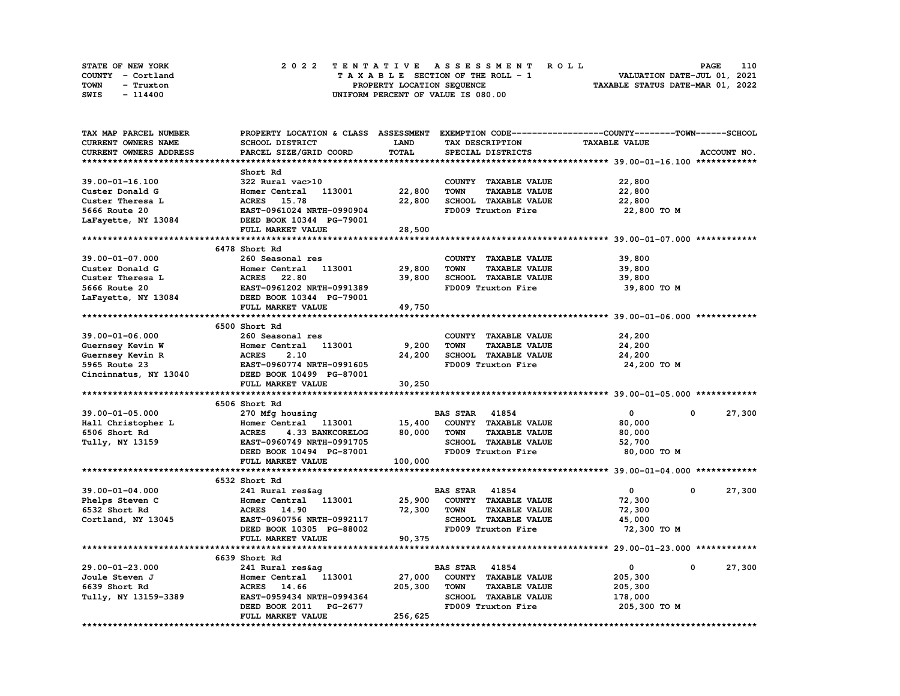| STATE OF NEW YORK | 2022 TENTATIVE ASSESSMENT ROLL     | 110<br><b>PAGE</b>               |
|-------------------|------------------------------------|----------------------------------|
| COUNTY - Cortland | TAXABLE SECTION OF THE ROLL - 1    | VALUATION DATE-JUL 01, 2021      |
| TOWN<br>- Truxton | PROPERTY LOCATION SEQUENCE         | TAXABLE STATUS DATE-MAR 01, 2022 |
| SWIS<br>- 114400  | UNIFORM PERCENT OF VALUE IS 080.00 |                                  |

| TAX MAP PARCEL NUMBER   | PROPERTY LOCATION & CLASS ASSESSMENT EXEMPTION CODE-----------------COUNTY-------TOWN------SCHOOL |             |                                     |                      |                      |
|-------------------------|---------------------------------------------------------------------------------------------------|-------------|-------------------------------------|----------------------|----------------------|
| CURRENT OWNERS NAME     | SCHOOL DISTRICT                                                                                   | <b>LAND</b> | TAX DESCRIPTION                     | <b>TAXABLE VALUE</b> |                      |
| CURRENT OWNERS ADDRESS  | PARCEL SIZE/GRID COORD                                                                            | TOTAL       | SPECIAL DISTRICTS                   |                      | ACCOUNT NO.          |
|                         |                                                                                                   |             |                                     |                      |                      |
|                         | Short Rd                                                                                          |             |                                     |                      |                      |
| 39.00-01-16.100         | 322 Rural vac>10                                                                                  |             | COUNTY TAXABLE VALUE                | 22,800               |                      |
| Custer Donald G         | Homer Central<br>113001                                                                           | 22,800      | <b>TOWN</b><br><b>TAXABLE VALUE</b> | 22,800               |                      |
| Custer Theresa L        | ACRES 15.78                                                                                       | 22,800      | SCHOOL TAXABLE VALUE                | 22,800               |                      |
| 5666 Route 20           | EAST-0961024 NRTH-0990904                                                                         |             | FD009 Truxton Fire                  |                      |                      |
|                         |                                                                                                   |             |                                     | 22,800 TO M          |                      |
| LaFayette, NY 13084     | DEED BOOK 10344 PG-79001                                                                          |             |                                     |                      |                      |
|                         | FULL MARKET VALUE                                                                                 | 28,500      |                                     |                      |                      |
|                         |                                                                                                   |             |                                     |                      |                      |
|                         | 6478 Short Rd                                                                                     |             |                                     |                      |                      |
| 39.00-01-07.000         | 260 Seasonal res                                                                                  |             | COUNTY TAXABLE VALUE                | 39,800               |                      |
| Custer Donald G         | 113001<br>Homer Central                                                                           | 29,800      | <b>TOWN</b><br><b>TAXABLE VALUE</b> | 39,800               |                      |
| Custer Theresa L        | <b>ACRES</b><br>22.80                                                                             | 39,800      | SCHOOL TAXABLE VALUE                | 39,800               |                      |
| 5666 Route 20           | EAST-0961202 NRTH-0991389                                                                         |             | FD009 Truxton Fire                  | 39,800 TO M          |                      |
| LaFayette, NY 13084     | DEED BOOK 10344 PG-79001                                                                          |             |                                     |                      |                      |
|                         | FULL MARKET VALUE                                                                                 | 49,750      |                                     |                      |                      |
|                         |                                                                                                   |             |                                     |                      |                      |
|                         | 6500 Short Rd                                                                                     |             |                                     |                      |                      |
| 39.00-01-06.000         | 260 Seasonal res                                                                                  |             | COUNTY TAXABLE VALUE                | 24,200               |                      |
| Guernsey Kevin W        | Homer Central<br>113001                                                                           | 9,200       | <b>TOWN</b><br><b>TAXABLE VALUE</b> | 24,200               |                      |
| Guernsey Kevin R        | <b>ACRES</b><br>2.10                                                                              | 24,200      | SCHOOL TAXABLE VALUE                | 24,200               |                      |
|                         |                                                                                                   |             |                                     |                      |                      |
| 5965 Route 23           | EAST-0960774 NRTH-0991605                                                                         |             | FD009 Truxton Fire                  | 24,200 TO M          |                      |
| Cincinnatus, NY 13040   | DEED BOOK 10499 PG-87001                                                                          |             |                                     |                      |                      |
|                         | FULL MARKET VALUE                                                                                 | 30,250      |                                     |                      |                      |
|                         |                                                                                                   |             |                                     |                      |                      |
|                         | 6506 Short Rd                                                                                     |             |                                     |                      |                      |
| $39.00 - 01 - 05.000$   | 270 Mfg housing                                                                                   |             | <b>BAS STAR 41854</b>               | $\mathbf{0}$         | 27,300<br>$^{\circ}$ |
| Hall Christopher L      | Homer Central 113001                                                                              | 15,400      | COUNTY TAXABLE VALUE                | 80,000               |                      |
| 6506 Short Rd           | <b>ACRES</b><br>4.33 BANKCORELOG                                                                  | 80,000      | TOWN<br><b>TAXABLE VALUE</b>        | 80,000               |                      |
| Tully, NY 13159         | EAST-0960749 NRTH-0991705                                                                         |             | SCHOOL TAXABLE VALUE                | 52,700               |                      |
|                         | DEED BOOK 10494 PG-87001                                                                          |             | FD009 Truxton Fire                  | 80,000 TO M          |                      |
|                         | FULL MARKET VALUE                                                                                 | 100,000     |                                     |                      |                      |
|                         |                                                                                                   |             |                                     |                      |                      |
|                         | 6532 Short Rd                                                                                     |             |                                     |                      |                      |
| 39.00-01-04.000         | 241 Rural res&ag                                                                                  |             | <b>BAS STAR 41854</b>               | $\mathbf 0$          | 27,300<br>0          |
| Phelps Steven C         | Homer Central 113001                                                                              | 25,900      | COUNTY TAXABLE VALUE                | 72,300               |                      |
| 6532 Short Rd           | <b>ACRES</b> 14.90                                                                                | 72,300      | <b>TOWN</b><br><b>TAXABLE VALUE</b> | 72,300               |                      |
|                         | EAST-0960756 NRTH-0992117                                                                         |             | SCHOOL TAXABLE VALUE                | 45,000               |                      |
| Cortland, NY 13045      |                                                                                                   |             |                                     |                      |                      |
|                         | DEED BOOK 10305 PG-88002                                                                          |             | FD009 Truxton Fire                  | 72,300 TO M          |                      |
|                         | FULL MARKET VALUE                                                                                 | 90,375      |                                     |                      |                      |
| *********************** | ******************************                                                                    |             |                                     |                      |                      |
|                         | 6639 Short Rd                                                                                     |             |                                     |                      |                      |
| 29.00-01-23.000         | 241 Rural res&ag                                                                                  |             | <b>BAS STAR 41854</b>               | $\mathbf 0$          | 0<br>27,300          |
| Joule Steven J          | Homer Central<br>113001                                                                           | 27,000      | COUNTY TAXABLE VALUE                | 205,300              |                      |
| 6639 Short Rd           | ACRES 14.66                                                                                       | 205,300     | <b>TOWN</b><br><b>TAXABLE VALUE</b> | 205,300              |                      |
| Tully, NY 13159-3389    | EAST-0959434 NRTH-0994364                                                                         |             | <b>SCHOOL TAXABLE VALUE</b>         | 178,000              |                      |
|                         | DEED BOOK 2011<br>PG-2677                                                                         |             | FD009 Truxton Fire                  | 205,300 TO M         |                      |
|                         | FULL MARKET VALUE                                                                                 | 256,625     |                                     |                      |                      |
|                         |                                                                                                   |             |                                     |                      |                      |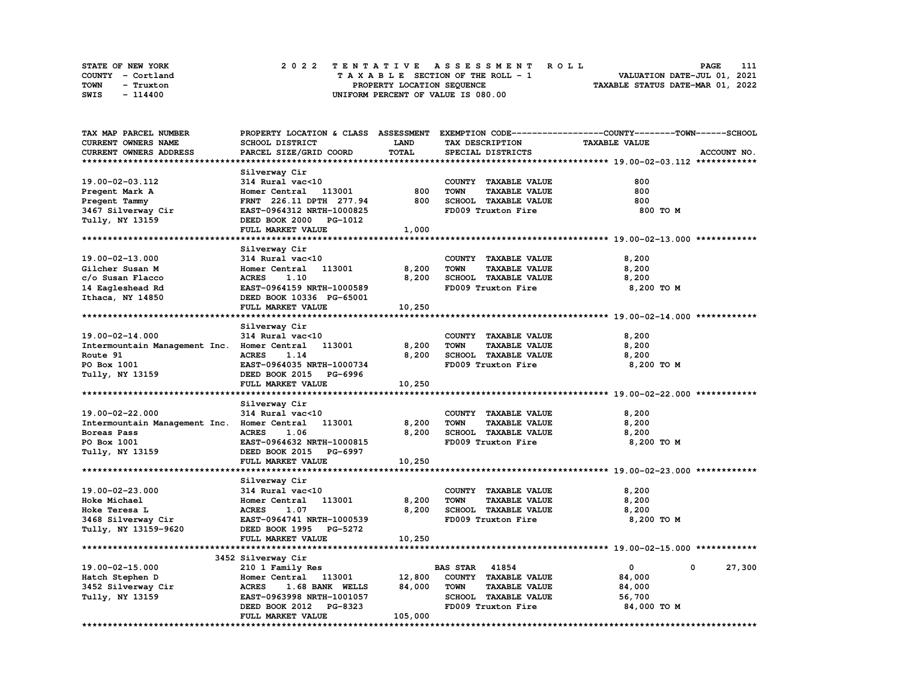| STATE OF NEW YORK | 2022 TENTATIVE ASSESSMENT ROLL     | 111<br><b>PAGE</b>               |
|-------------------|------------------------------------|----------------------------------|
| COUNTY - Cortland | TAXABLE SECTION OF THE ROLL - 1    | VALUATION DATE-JUL 01, 2021      |
| TOWN<br>- Truxton | PROPERTY LOCATION SEQUENCE         | TAXABLE STATUS DATE-MAR 01, 2022 |
| SWIS<br>- 114400  | UNIFORM PERCENT OF VALUE IS 080.00 |                                  |

| TAX MAP PARCEL NUMBER                       |                                  |              |                                     | PROPERTY LOCATION & CLASS ASSESSMENT EXEMPTION CODE----------------COUNTY-------TOWN------SCHOOL |
|---------------------------------------------|----------------------------------|--------------|-------------------------------------|--------------------------------------------------------------------------------------------------|
| <b>CURRENT OWNERS NAME</b>                  | SCHOOL DISTRICT                  | <b>LAND</b>  | TAX DESCRIPTION                     | <b>TAXABLE VALUE</b>                                                                             |
| CURRENT OWNERS ADDRESS                      | PARCEL SIZE/GRID COORD           | <b>TOTAL</b> | SPECIAL DISTRICTS                   | ACCOUNT NO.                                                                                      |
|                                             |                                  |              |                                     |                                                                                                  |
|                                             | Silverway Cir                    |              |                                     |                                                                                                  |
| 19.00-02-03.112                             | 314 Rural vac<10                 |              | COUNTY TAXABLE VALUE                | 800                                                                                              |
|                                             | Homer Central<br>113001          | 800          | <b>TAXABLE VALUE</b><br><b>TOWN</b> | 800                                                                                              |
| Pregent Mark A                              |                                  |              |                                     |                                                                                                  |
| Pregent Tammy                               | FRNT 226.11 DPTH 277.94          | 800          | SCHOOL TAXABLE VALUE                | 800                                                                                              |
| 3467 Silverway Cir                          | EAST-0964312 NRTH-1000825        |              | FD009 Truxton Fire                  | 800 TO M                                                                                         |
| Tully, NY 13159                             | DEED BOOK 2000<br>PG-1012        |              |                                     |                                                                                                  |
|                                             | FULL MARKET VALUE                | 1,000        |                                     |                                                                                                  |
|                                             |                                  |              |                                     |                                                                                                  |
|                                             | Silverway Cir                    |              |                                     |                                                                                                  |
| 19.00-02-13.000                             | 314 Rural vac<10                 |              | COUNTY TAXABLE VALUE                | 8,200                                                                                            |
| Gilcher Susan M                             | Homer Central<br>113001          | 8,200        | <b>TOWN</b><br><b>TAXABLE VALUE</b> | 8,200                                                                                            |
| c/o Susan Flacco                            | <b>ACRES</b><br>1.10             | 8,200        | SCHOOL TAXABLE VALUE                | 8,200                                                                                            |
| 14 Eagleshead Rd                            | EAST-0964159 NRTH-1000589        |              | FD009 Truxton Fire                  | 8,200 TO M                                                                                       |
| Ithaca, NY 14850                            | DEED BOOK 10336 PG-65001         |              |                                     |                                                                                                  |
|                                             | FULL MARKET VALUE                | 10,250       |                                     |                                                                                                  |
|                                             |                                  |              |                                     |                                                                                                  |
|                                             |                                  |              |                                     |                                                                                                  |
|                                             | Silverway Cir                    |              |                                     |                                                                                                  |
| 19.00-02-14.000                             | 314 Rural vac<10                 |              | COUNTY TAXABLE VALUE                | 8,200                                                                                            |
| Intermountain Management Inc. Homer Central | 113001                           | 8,200        | <b>TOWN</b><br><b>TAXABLE VALUE</b> | 8,200                                                                                            |
| Route 91                                    | <b>ACRES</b><br>1.14             | 8,200        | SCHOOL TAXABLE VALUE                | 8,200                                                                                            |
| PO Box 1001                                 | EAST-0964035 NRTH-1000734        |              | FD009 Truxton Fire                  | 8,200 TO M                                                                                       |
| Tully, NY 13159                             | DEED BOOK 2015 PG-6996           |              |                                     |                                                                                                  |
|                                             | FULL MARKET VALUE                | 10,250       |                                     |                                                                                                  |
|                                             |                                  |              |                                     |                                                                                                  |
|                                             | Silverway Cir                    |              |                                     |                                                                                                  |
| 19.00-02-22.000                             | 314 Rural vac<10                 |              | COUNTY TAXABLE VALUE                | 8,200                                                                                            |
| Intermountain Management Inc.               | 113001<br>Homer Central          | 8,200        | <b>TOWN</b><br><b>TAXABLE VALUE</b> | 8,200                                                                                            |
| Boreas Pass                                 | <b>ACRES</b><br>1.06             | 8,200        | SCHOOL TAXABLE VALUE                | 8,200                                                                                            |
| PO Box 1001                                 | EAST-0964632 NRTH-1000815        |              | FD009 Truxton Fire                  | 8,200 TO M                                                                                       |
|                                             | DEED BOOK 2015                   |              |                                     |                                                                                                  |
| Tully, NY 13159                             | PG-6997                          |              |                                     |                                                                                                  |
|                                             | FULL MARKET VALUE                | 10,250       |                                     |                                                                                                  |
|                                             |                                  |              |                                     |                                                                                                  |
|                                             | Silverway Cir                    |              |                                     |                                                                                                  |
| $19.00 - 02 - 23.000$                       | 314 Rural vac<10                 |              | COUNTY TAXABLE VALUE                | 8,200                                                                                            |
| Hoke Michael                                | 113001<br>Homer Central          | 8,200        | <b>TOWN</b><br><b>TAXABLE VALUE</b> | 8,200                                                                                            |
| Hoke Teresa L                               | <b>ACRES</b><br>1.07             | 8,200        | SCHOOL TAXABLE VALUE                | 8,200                                                                                            |
| 3468 Silverway Cir                          | EAST-0964741 NRTH-1000539        |              | FD009 Truxton Fire                  | 8,200 TO M                                                                                       |
| Tully, NY 13159-9620                        | DEED BOOK 1995 PG-5272           |              |                                     |                                                                                                  |
|                                             | FULL MARKET VALUE                | 10,250       |                                     |                                                                                                  |
|                                             |                                  |              |                                     |                                                                                                  |
|                                             | 3452 Silverway Cir               |              |                                     |                                                                                                  |
| 19.00-02-15.000                             | 210 1 Family Res                 |              | <b>BAS STAR</b><br>41854            | $\mathbf 0$<br>0<br>27,300                                                                       |
|                                             | Homer Central<br>113001          | 12,800       | COUNTY TAXABLE VALUE                |                                                                                                  |
| Hatch Stephen D                             |                                  |              |                                     | 84,000                                                                                           |
| 3452 Silverway Cir                          | <b>ACRES</b><br>1.68 BANK WELLS  | 84,000       | <b>TOWN</b><br><b>TAXABLE VALUE</b> | 84,000                                                                                           |
| Tully, NY 13159                             | EAST-0963998 NRTH-1001057        |              | SCHOOL TAXABLE VALUE                | 56,700                                                                                           |
|                                             | DEED BOOK 2012<br><b>PG-8323</b> |              | FD009 Truxton Fire                  | 84,000 TO M                                                                                      |
|                                             | FULL MARKET VALUE                | 105,000      |                                     |                                                                                                  |
|                                             |                                  |              |                                     | ***********************                                                                          |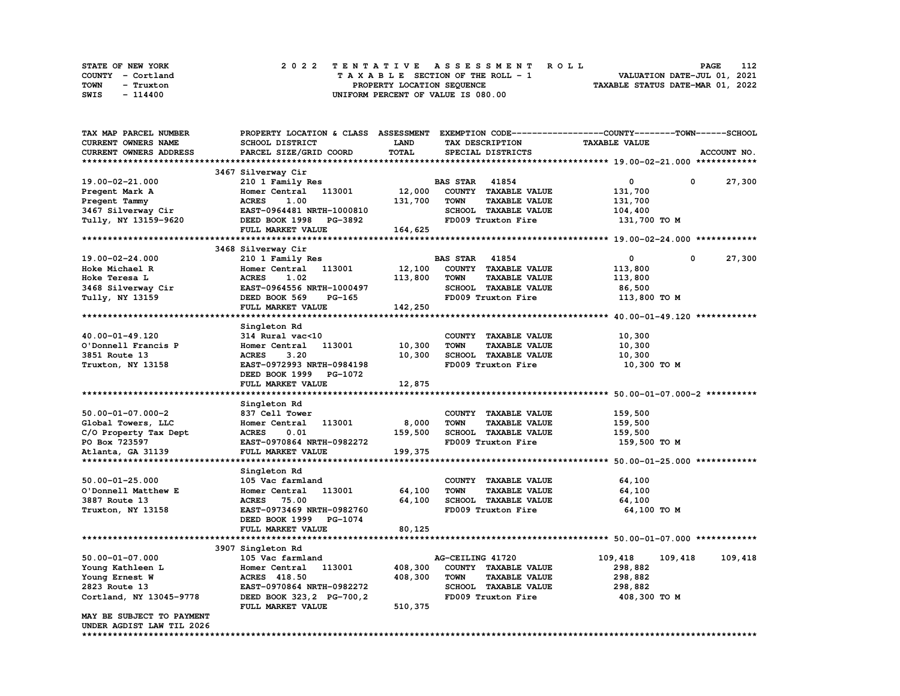| STATE OF NEW YORK | 2022 TENTATIVE ASSESSMENT ROLL     | 112<br><b>PAGE</b>               |
|-------------------|------------------------------------|----------------------------------|
| COUNTY - Cortland | TAXABLE SECTION OF THE ROLL - 1    | VALUATION DATE-JUL 01, 2021      |
| TOWN<br>- Truxton | PROPERTY LOCATION SEQUENCE         | TAXABLE STATUS DATE-MAR 01, 2022 |
| SWIS<br>- 114400  | UNIFORM PERCENT OF VALUE IS 080.00 |                                  |

| TAX MAP PARCEL NUMBER     | PROPERTY LOCATION & CLASS ASSESSMENT EXEMPTION CODE----------------COUNTY-------TOWN-----SCHOOL |         |                       |                      |                      |            |             |
|---------------------------|-------------------------------------------------------------------------------------------------|---------|-----------------------|----------------------|----------------------|------------|-------------|
| CURRENT OWNERS NAME       | SCHOOL DISTRICT                                                                                 | LAND    |                       | TAX DESCRIPTION      | <b>TAXABLE VALUE</b> |            |             |
| CURRENT OWNERS ADDRESS    | PARCEL SIZE/GRID COORD                                                                          | TOTAL   |                       | SPECIAL DISTRICTS    |                      |            | ACCOUNT NO. |
|                           |                                                                                                 |         |                       |                      |                      |            |             |
|                           | 3467 Silverway Cir                                                                              |         |                       |                      |                      |            |             |
| 19.00-02-21.000           | 210 1 Family Res                                                                                |         | <b>BAS STAR 41854</b> |                      | 0                    | 0          | 27,300      |
| Pregent Mark A            | Homer Central 113001                                                                            | 12,000  |                       | COUNTY TAXABLE VALUE | 131,700              |            |             |
| Pregent Tammy             | 1.00<br><b>ACRES</b>                                                                            | 131,700 | <b>TOWN</b>           | <b>TAXABLE VALUE</b> | 131,700              |            |             |
| 3467 Silverway Cir        | EAST-0964481 NRTH-1000810                                                                       |         |                       | SCHOOL TAXABLE VALUE | 104,400              |            |             |
| Tully, NY 13159-9620      | DEED BOOK 1998 PG-3892                                                                          |         |                       | FD009 Truxton Fire   | 131,700 TO M         |            |             |
|                           | FULL MARKET VALUE                                                                               | 164,625 |                       |                      |                      |            |             |
|                           |                                                                                                 |         |                       |                      |                      |            |             |
|                           | 3468 Silverway Cir                                                                              |         |                       |                      |                      |            |             |
| 19.00-02-24.000           | 210 1 Family Res                                                                                |         | <b>BAS STAR 41854</b> |                      | $\mathbf{o}$         | $^{\circ}$ | 27,300      |
| Hoke Michael R            | 113001<br>Homer Central                                                                         | 12,100  |                       | COUNTY TAXABLE VALUE | 113,800              |            |             |
| Hoke Teresa L             | <b>ACRES</b><br>1.02                                                                            | 113,800 | <b>TOWN</b>           | <b>TAXABLE VALUE</b> | 113,800              |            |             |
| 3468 Silverway Cir        | EAST-0964556 NRTH-1000497                                                                       |         |                       | SCHOOL TAXABLE VALUE | 86,500               |            |             |
| Tully, NY 13159           | DEED BOOK 569<br>PG-165                                                                         |         |                       | FD009 Truxton Fire   | 113,800 TO M         |            |             |
|                           | FULL MARKET VALUE                                                                               | 142,250 |                       |                      |                      |            |             |
|                           |                                                                                                 |         |                       |                      |                      |            |             |
|                           | Singleton Rd                                                                                    |         |                       |                      |                      |            |             |
| 40.00-01-49.120           | 314 Rural vac<10                                                                                |         |                       | COUNTY TAXABLE VALUE | 10,300               |            |             |
| O'Donnell Francis P       | Homer Central<br>113001                                                                         | 10,300  | <b>TOWN</b>           | <b>TAXABLE VALUE</b> | 10,300               |            |             |
| 3851 Route 13             | <b>ACRES</b><br>3.20                                                                            | 10,300  |                       | SCHOOL TAXABLE VALUE | 10,300               |            |             |
| Truxton, NY 13158         | EAST-0972993 NRTH-0984198                                                                       |         |                       | FD009 Truxton Fire   | 10,300 то м          |            |             |
|                           | DEED BOOK 1999 PG-1072                                                                          |         |                       |                      |                      |            |             |
|                           | FULL MARKET VALUE                                                                               | 12,875  |                       |                      |                      |            |             |
|                           |                                                                                                 |         |                       |                      |                      |            |             |
|                           | Singleton Rd                                                                                    |         |                       |                      |                      |            |             |
| $50.00 - 01 - 07.000 - 2$ | 837 Cell Tower                                                                                  |         |                       | COUNTY TAXABLE VALUE | 159,500              |            |             |
| Global Towers, LLC        | Homer Central<br>113001                                                                         | 8,000   | <b>TOWN</b>           | <b>TAXABLE VALUE</b> | 159,500              |            |             |
| C/O Property Tax Dept     | <b>ACRES</b><br>0.01                                                                            | 159,500 |                       | SCHOOL TAXABLE VALUE | 159,500              |            |             |
| PO Box 723597             | EAST-0970864 NRTH-0982272                                                                       |         |                       | FD009 Truxton Fire   | 159,500 то м         |            |             |
| Atlanta, GA 31139         | FULL MARKET VALUE                                                                               | 199,375 |                       |                      |                      |            |             |
|                           |                                                                                                 |         |                       |                      |                      |            |             |
|                           | Singleton Rd                                                                                    |         |                       |                      |                      |            |             |
| $50.00 - 01 - 25.000$     | 105 Vac farmland                                                                                |         |                       | COUNTY TAXABLE VALUE | 64,100               |            |             |
| O'Donnell Matthew E       | Homer Central<br>113001                                                                         | 64,100  | <b>TOWN</b>           | <b>TAXABLE VALUE</b> | 64,100               |            |             |
| 3887 Route 13             | <b>ACRES</b><br>75.00                                                                           | 64,100  |                       | SCHOOL TAXABLE VALUE | 64,100               |            |             |
| Truxton, NY 13158         | EAST-0973469 NRTH-0982760                                                                       |         |                       | FD009 Truxton Fire   | 64,100 TO M          |            |             |
|                           | DEED BOOK 1999 PG-1074                                                                          |         |                       |                      |                      |            |             |
|                           | FULL MARKET VALUE                                                                               | 80,125  |                       |                      |                      |            |             |
|                           |                                                                                                 |         |                       |                      |                      |            |             |
|                           | 3907 Singleton Rd                                                                               |         |                       |                      |                      |            |             |
| $50.00 - 01 - 07.000$     | 105 Vac farmland                                                                                |         | AG-CEILING 41720      |                      | 109,418              | 109,418    | 109,418     |
| Young Kathleen L          | 113001<br>Homer Central                                                                         | 408,300 |                       | COUNTY TAXABLE VALUE | 298,882              |            |             |
| Young Ernest W            | ACRES 418.50                                                                                    | 408,300 | TOWN                  | <b>TAXABLE VALUE</b> | 298,882              |            |             |
| 2823 Route 13             | EAST-0970864 NRTH-0982272                                                                       |         |                       | SCHOOL TAXABLE VALUE | 298,882              |            |             |
| Cortland, NY 13045-9778   | DEED BOOK 323, 2 PG-700, 2                                                                      |         |                       | FD009 Truxton Fire   | 408,300 TO M         |            |             |
|                           | FULL MARKET VALUE                                                                               | 510,375 |                       |                      |                      |            |             |
| MAY BE SUBJECT TO PAYMENT |                                                                                                 |         |                       |                      |                      |            |             |
| UNDER AGDIST LAW TIL 2026 |                                                                                                 |         |                       |                      |                      |            |             |
| *****************         |                                                                                                 |         |                       |                      |                      |            |             |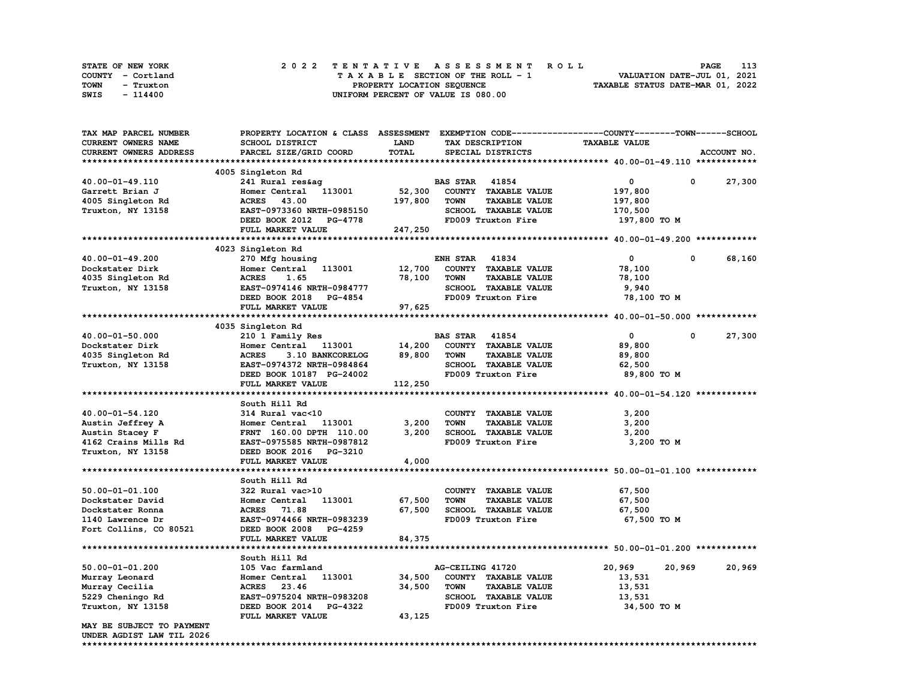| STATE OF NEW YORK |           |                            |  | 2022 TENTATIVE ASSESSMENT ROLL |  |  |  |  |  |                                    |  |  |  |  |  |  |  |  | PAGE                        | 113 |
|-------------------|-----------|----------------------------|--|--------------------------------|--|--|--|--|--|------------------------------------|--|--|--|--|--|--|--|--|-----------------------------|-----|
| COUNTY - Cortland |           |                            |  |                                |  |  |  |  |  | TAXABLE SECTION OF THE ROLL - 1    |  |  |  |  |  |  |  |  | VALUATION DATE-JUL 01, 2021 |     |
| TOWN              | - Truxton | PROPERTY LOCATION SEQUENCE |  |                                |  |  |  |  |  | TAXABLE STATUS DATE-MAR 01, 2022   |  |  |  |  |  |  |  |  |                             |     |
| SWIS              | - 114400  |                            |  |                                |  |  |  |  |  | UNIFORM PERCENT OF VALUE IS 080.00 |  |  |  |  |  |  |  |  |                             |     |

| TAX MAP PARCEL NUMBER         | PROPERTY LOCATION & CLASS ASSESSMENT EXEMPTION CODE-----------------COUNTY-------TOWN------SCHOOL |             |                       |                      |                      |             |             |
|-------------------------------|---------------------------------------------------------------------------------------------------|-------------|-----------------------|----------------------|----------------------|-------------|-------------|
| CURRENT OWNERS NAME           | <b>SCHOOL DISTRICT</b>                                                                            | <b>LAND</b> |                       | TAX DESCRIPTION      | <b>TAXABLE VALUE</b> |             |             |
| <b>CURRENT OWNERS ADDRESS</b> | PARCEL SIZE/GRID COORD                                                                            | TOTAL       |                       | SPECIAL DISTRICTS    |                      |             | ACCOUNT NO. |
|                               |                                                                                                   |             |                       |                      |                      |             |             |
|                               | 4005 Singleton Rd                                                                                 |             |                       |                      |                      |             |             |
| 40.00-01-49.110               | 241 Rural res&ag                                                                                  |             | <b>BAS STAR 41854</b> |                      | $\mathbf{0}$         | $\mathbf 0$ | 27,300      |
| Garrett Brian J               | Homer Central<br>113001                                                                           | 52,300      |                       | COUNTY TAXABLE VALUE | 197,800              |             |             |
| 4005 Singleton Rd             | ACRES 43.00                                                                                       | 197,800     | <b>TOWN</b>           | <b>TAXABLE VALUE</b> | 197,800              |             |             |
| Truxton, NY 13158             | EAST-0973360 NRTH-0985150                                                                         |             |                       | SCHOOL TAXABLE VALUE | 170,500              |             |             |
|                               |                                                                                                   |             |                       |                      |                      |             |             |
|                               | DEED BOOK 2012 PG-4778                                                                            |             |                       | FD009 Truxton Fire   | 197,800 TO M         |             |             |
|                               | FULL MARKET VALUE                                                                                 | 247,250     |                       |                      |                      |             |             |
|                               |                                                                                                   |             |                       |                      |                      |             |             |
|                               | 4023 Singleton Rd                                                                                 |             |                       |                      |                      |             |             |
| 40.00-01-49.200               | 270 Mfg housing                                                                                   |             | <b>ENH STAR 41834</b> |                      | $\mathbf{0}$         | 0           | 68,160      |
| Dockstater Dirk               | Homer Central 113001                                                                              | 12,700      |                       | COUNTY TAXABLE VALUE | 78,100               |             |             |
| 4035 Singleton Rd             | <b>ACRES</b><br>1.65                                                                              | 78,100      | <b>TOWN</b>           | <b>TAXABLE VALUE</b> | 78,100               |             |             |
| Truxton, NY 13158             | EAST-0974146 NRTH-0984777                                                                         |             |                       | SCHOOL TAXABLE VALUE | 9,940                |             |             |
|                               | DEED BOOK 2018 PG-4854                                                                            |             |                       | FD009 Truxton Fire   | 78,100 TO M          |             |             |
|                               | FULL MARKET VALUE                                                                                 | 97,625      |                       |                      |                      |             |             |
|                               |                                                                                                   |             |                       |                      |                      |             |             |
|                               | 4035 Singleton Rd                                                                                 |             |                       |                      |                      |             |             |
| 40.00-01-50.000               | 210 1 Family Res                                                                                  |             | <b>BAS STAR</b> 41854 |                      | $^{\circ}$           | 0           | 27,300      |
| Dockstater Dirk               | Homer Central 113001                                                                              | 14,200      |                       | COUNTY TAXABLE VALUE | 89,800               |             |             |
| 4035 Singleton Rd             | 3.10 BANKCORELOG<br><b>ACRES</b>                                                                  | 89,800      | <b>TOWN</b>           | <b>TAXABLE VALUE</b> | 89,800               |             |             |
| Truxton, NY 13158             | EAST-0974372 NRTH-0984864                                                                         |             |                       | SCHOOL TAXABLE VALUE | 62,500               |             |             |
|                               | DEED BOOK 10187 PG-24002                                                                          |             |                       | FD009 Truxton Fire   | 89,800 TO M          |             |             |
|                               | FULL MARKET VALUE                                                                                 | 112,250     |                       |                      |                      |             |             |
|                               |                                                                                                   |             |                       |                      |                      |             |             |
|                               | South Hill Rd                                                                                     |             |                       |                      |                      |             |             |
| 40.00-01-54.120               | 314 Rural vac<10                                                                                  |             |                       | COUNTY TAXABLE VALUE | 3,200                |             |             |
|                               |                                                                                                   | 3,200       | <b>TOWN</b>           |                      |                      |             |             |
| Austin Jeffrey A              | Homer Central 113001                                                                              |             |                       | <b>TAXABLE VALUE</b> | 3,200                |             |             |
| Austin Stacey F               | FRNT 160.00 DPTH 110.00                                                                           | 3,200       |                       | SCHOOL TAXABLE VALUE | 3,200                |             |             |
| 4162 Crains Mills Rd          | EAST-0975585 NRTH-0987812                                                                         |             |                       | FD009 Truxton Fire   | 3,200 TO M           |             |             |
| Truxton, NY 13158             | DEED BOOK 2016 PG-3210                                                                            |             |                       |                      |                      |             |             |
|                               | FULL MARKET VALUE                                                                                 | 4,000       |                       |                      |                      |             |             |
|                               |                                                                                                   |             |                       |                      |                      |             |             |
|                               | South Hill Rd                                                                                     |             |                       |                      |                      |             |             |
| $50.00 - 01 - 01.100$         | 322 Rural vac>10                                                                                  |             |                       | COUNTY TAXABLE VALUE | 67,500               |             |             |
| Dockstater David              | Homer Central<br>113001                                                                           | 67,500      | <b>TOWN</b>           | <b>TAXABLE VALUE</b> | 67,500               |             |             |
| Dockstater Ronna              | <b>ACRES</b><br>71.88                                                                             | 67,500      |                       | SCHOOL TAXABLE VALUE | 67,500               |             |             |
| 1140 Lawrence Dr              | EAST-0974466 NRTH-0983239                                                                         |             |                       | FD009 Truxton Fire   | 67,500 TO M          |             |             |
| Fort Collins, CO 80521        | DEED BOOK 2008 PG-4259                                                                            |             |                       |                      |                      |             |             |
|                               | FULL MARKET VALUE                                                                                 | 84,375      |                       |                      |                      |             |             |
|                               |                                                                                                   |             |                       |                      |                      |             |             |
|                               | South Hill Rd                                                                                     |             |                       |                      |                      |             |             |
| 50.00-01-01.200               | 105 Vac farmland                                                                                  |             | AG-CEILING 41720      |                      | 20,969               | 20,969      | 20,969      |
| Murray Leonard                | 113001<br>Homer Central                                                                           | 34,500      |                       | COUNTY TAXABLE VALUE | 13,531               |             |             |
| Murray Cecilia                | ACRES 23.46                                                                                       | 34,500      | <b>TOWN</b>           | <b>TAXABLE VALUE</b> | 13,531               |             |             |
| 5229 Cheningo Rd              | EAST-0975204 NRTH-0983208                                                                         |             |                       | SCHOOL TAXABLE VALUE | 13,531               |             |             |
|                               | DEED BOOK 2014 PG-4322                                                                            |             |                       | FD009 Truxton Fire   | 34,500 TO M          |             |             |
| Truxton, NY 13158             | FULL MARKET VALUE                                                                                 | 43,125      |                       |                      |                      |             |             |
|                               |                                                                                                   |             |                       |                      |                      |             |             |
| MAY BE SUBJECT TO PAYMENT     |                                                                                                   |             |                       |                      |                      |             |             |
| UNDER AGDIST LAW TIL 2026     |                                                                                                   |             |                       |                      |                      |             |             |
|                               |                                                                                                   |             |                       |                      |                      |             |             |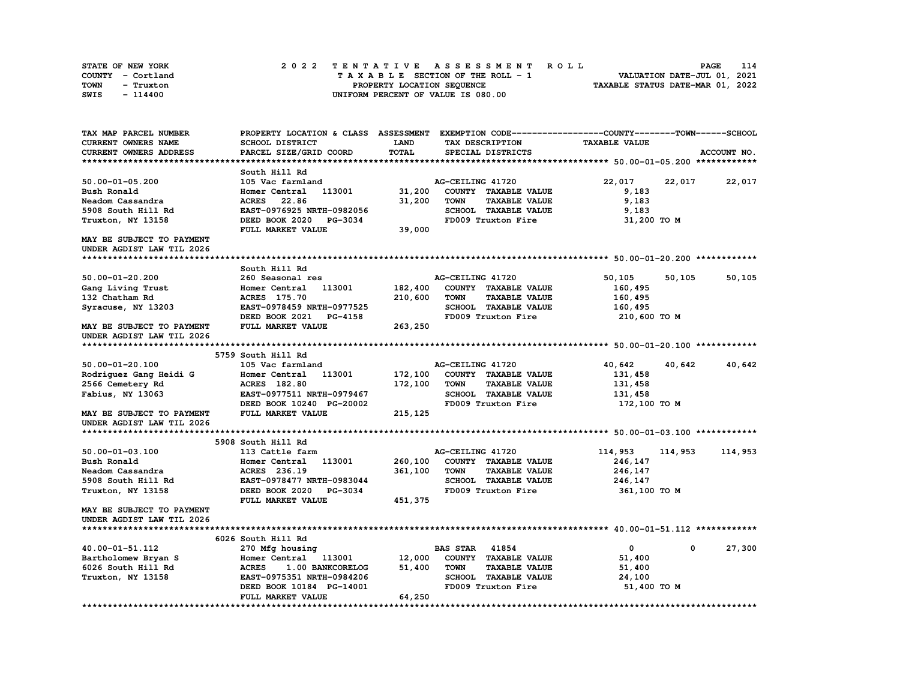| STATE OF NEW YORK | 2022 TENTATIVE ASSESSMENT ROLL     | 114<br>PAGE                      |
|-------------------|------------------------------------|----------------------------------|
| COUNTY - Cortland | TAXABLE SECTION OF THE ROLL - 1    | VALUATION DATE-JUL 01, 2021      |
| TOWN<br>- Truxton | PROPERTY LOCATION SEQUENCE         | TAXABLE STATUS DATE-MAR 01, 2022 |
| SWIS<br>$-114400$ | UNIFORM PERCENT OF VALUE IS 080.00 |                                  |

| TAX MAP PARCEL NUMBER         |                                  |              | PROPERTY LOCATION & CLASS ASSESSMENT EXEMPTION CODE----------------COUNTY-------TOWN-----SCHOOL |                      |             |
|-------------------------------|----------------------------------|--------------|-------------------------------------------------------------------------------------------------|----------------------|-------------|
| CURRENT OWNERS NAME           | <b>SCHOOL DISTRICT</b>           | LAND         | TAX DESCRIPTION                                                                                 | <b>TAXABLE VALUE</b> |             |
| <b>CURRENT OWNERS ADDRESS</b> | PARCEL SIZE/GRID COORD           | <b>TOTAL</b> | SPECIAL DISTRICTS                                                                               |                      | ACCOUNT NO. |
|                               |                                  |              |                                                                                                 |                      |             |
|                               | South Hill Rd                    |              |                                                                                                 |                      |             |
| $50.00 - 01 - 05.200$         | 105 Vac farmland                 |              | AG-CEILING 41720                                                                                | 22,017<br>22,017     | 22,017      |
| Bush Ronald                   | Homer Central<br>113001          | 31,200       | COUNTY TAXABLE VALUE                                                                            | 9,183                |             |
| Neadom Cassandra              | <b>ACRES</b><br>22.86            | 31,200       | <b>TOWN</b><br><b>TAXABLE VALUE</b>                                                             | 9,183                |             |
| 5908 South Hill Rd            | EAST-0976925 NRTH-0982056        |              | SCHOOL TAXABLE VALUE                                                                            | 9,183                |             |
| Truxton, NY 13158             | DEED BOOK 2020<br><b>PG-3034</b> |              | FD009 Truxton Fire                                                                              | 31,200 TO M          |             |
|                               | FULL MARKET VALUE                | 39,000       |                                                                                                 |                      |             |
| MAY BE SUBJECT TO PAYMENT     |                                  |              |                                                                                                 |                      |             |
| UNDER AGDIST LAW TIL 2026     |                                  |              |                                                                                                 |                      |             |
|                               |                                  |              |                                                                                                 |                      |             |
|                               | South Hill Rd                    |              |                                                                                                 |                      |             |
| $50.00 - 01 - 20.200$         | 260 Seasonal res                 |              | AG-CEILING 41720                                                                                | 50,105<br>50,105     | 50,105      |
| Gang Living Trust             | 113001<br>Homer Central          | 182,400      | COUNTY TAXABLE VALUE                                                                            | 160,495              |             |
| 132 Chatham Rd                | <b>ACRES</b> 175.70              | 210,600      | <b>TOWN</b><br><b>TAXABLE VALUE</b>                                                             |                      |             |
|                               |                                  |              |                                                                                                 | 160,495              |             |
| Syracuse, NY 13203            | EAST-0978459 NRTH-0977525        |              | SCHOOL TAXABLE VALUE                                                                            | 160,495              |             |
|                               | DEED BOOK 2021<br><b>PG-4158</b> |              | FD009 Truxton Fire                                                                              | 210,600 TO M         |             |
| MAY BE SUBJECT TO PAYMENT     | FULL MARKET VALUE                | 263,250      |                                                                                                 |                      |             |
| UNDER AGDIST LAW TIL 2026     |                                  |              |                                                                                                 |                      |             |
|                               |                                  |              |                                                                                                 |                      |             |
|                               | 5759 South Hill Rd               |              |                                                                                                 |                      |             |
| $50.00 - 01 - 20.100$         | 105 Vac farmland                 |              | AG-CEILING 41720                                                                                | 40,642<br>40,642     | 40,642      |
| Rodriquez Gang Heidi G        | 113001<br>Homer Central          | 172,100      | COUNTY TAXABLE VALUE                                                                            | 131,458              |             |
| 2566 Cemetery Rd              | <b>ACRES</b> 182.80              | 172,100      | <b>TOWN</b><br><b>TAXABLE VALUE</b>                                                             | 131,458              |             |
| Fabius, NY 13063              | EAST-0977511 NRTH-0979467        |              | SCHOOL TAXABLE VALUE                                                                            | 131,458              |             |
|                               | DEED BOOK 10240 PG-20002         |              | FD009 Truxton Fire                                                                              | 172,100 TO M         |             |
| MAY BE SUBJECT TO PAYMENT     | FULL MARKET VALUE                | 215, 125     |                                                                                                 |                      |             |
| UNDER AGDIST LAW TIL 2026     |                                  |              |                                                                                                 |                      |             |
|                               |                                  |              |                                                                                                 |                      |             |
|                               | 5908 South Hill Rd               |              |                                                                                                 |                      |             |
| $50.00 - 01 - 03.100$         | 113 Cattle farm                  |              | AG-CEILING 41720                                                                                | 114,953<br>114,953   | 114,953     |
| Bush Ronald                   | Homer Central<br>113001          | 260,100      | COUNTY TAXABLE VALUE                                                                            | 246,147              |             |
| Neadom Cassandra              | ACRES 236.19                     | 361,100      | <b>TOWN</b><br><b>TAXABLE VALUE</b>                                                             | 246,147              |             |
| 5908 South Hill Rd            | EAST-0978477 NRTH-0983044        |              | SCHOOL TAXABLE VALUE                                                                            | 246,147              |             |
| Truxton, NY 13158             | DEED BOOK 2020<br>PG-3034        |              | FD009 Truxton Fire                                                                              | 361,100 TO M         |             |
|                               | FULL MARKET VALUE                | 451,375      |                                                                                                 |                      |             |
| MAY BE SUBJECT TO PAYMENT     |                                  |              |                                                                                                 |                      |             |
| UNDER AGDIST LAW TIL 2026     |                                  |              |                                                                                                 |                      |             |
|                               |                                  |              |                                                                                                 |                      |             |
|                               | 6026 South Hill Rd               |              |                                                                                                 |                      |             |
| 40.00-01-51.112               | 270 Mfg housing                  |              | 41854<br><b>BAS STAR</b>                                                                        | $\mathbf{0}$<br>0    | 27,300      |
| Bartholomew Bryan S           | Homer Central<br>113001          | 12,000       | COUNTY TAXABLE VALUE                                                                            | 51,400               |             |
| 6026 South Hill Rd            | <b>ACRES</b><br>1.00 BANKCORELOG | 51,400       | <b>TOWN</b><br><b>TAXABLE VALUE</b>                                                             | 51,400               |             |
| Truxton, NY 13158             | EAST-0975351 NRTH-0984206        |              | <b>SCHOOL TAXABLE VALUE</b>                                                                     | 24,100               |             |
|                               | DEED BOOK 10184 PG-14001         |              | FD009 Truxton Fire                                                                              | 51,400 TO M          |             |
|                               | FULL MARKET VALUE                | 64,250       |                                                                                                 |                      |             |
|                               |                                  |              |                                                                                                 |                      |             |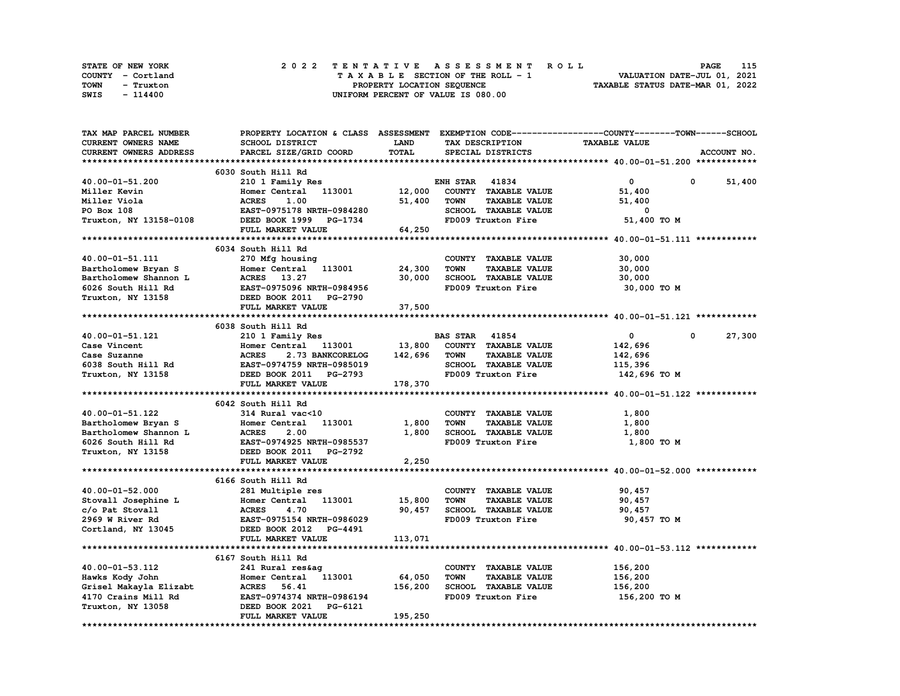| STATE OF NEW YORK | 2022 TENTATIVE ASSESSMENT ROLL     | 115<br>PAGE                      |
|-------------------|------------------------------------|----------------------------------|
| COUNTY - Cortland | TAXABLE SECTION OF THE ROLL - 1    | VALUATION DATE-JUL 01, 2021      |
| TOWN<br>- Truxton | PROPERTY LOCATION SEQUENCE         | TAXABLE STATUS DATE-MAR 01, 2022 |
| SWIS<br>- 114400  | UNIFORM PERCENT OF VALUE IS 080.00 |                                  |

| TAX MAP PARCEL NUMBER      | PROPERTY LOCATION & CLASS ASSESSMENT EXEMPTION CODE----------------COUNTY-------TOWN-----SCHOOL |             |                                     |                      |                      |
|----------------------------|-------------------------------------------------------------------------------------------------|-------------|-------------------------------------|----------------------|----------------------|
| <b>CURRENT OWNERS NAME</b> | SCHOOL DISTRICT                                                                                 | <b>LAND</b> | TAX DESCRIPTION                     | <b>TAXABLE VALUE</b> |                      |
| CURRENT OWNERS ADDRESS     | PARCEL SIZE/GRID COORD                                                                          | TOTAL       | SPECIAL DISTRICTS                   |                      | ACCOUNT NO.          |
|                            |                                                                                                 |             |                                     |                      |                      |
|                            | 6030 South Hill Rd                                                                              |             |                                     |                      |                      |
| 40.00-01-51.200            | 210 1 Family Res                                                                                |             | <b>ENH STAR 41834</b>               | 0                    | 0<br>51,400          |
| Miller Kevin               | 113001<br>Homer Central                                                                         | 12,000      | COUNTY TAXABLE VALUE                | 51,400               |                      |
| Miller Viola               | <b>ACRES</b><br>1.00                                                                            | 51,400      | <b>TOWN</b><br><b>TAXABLE VALUE</b> | 51,400               |                      |
| PO Box 108                 | EAST-0975178 NRTH-0984280                                                                       |             | SCHOOL TAXABLE VALUE                | 0                    |                      |
| Truxton, NY 13158-0108     | DEED BOOK 1999 PG-1734                                                                          |             | FD009 Truxton Fire                  | 51,400 TO M          |                      |
|                            |                                                                                                 |             |                                     |                      |                      |
|                            | FULL MARKET VALUE                                                                               | 64,250      |                                     |                      |                      |
|                            |                                                                                                 |             |                                     |                      |                      |
|                            | 6034 South Hill Rd                                                                              |             |                                     |                      |                      |
| 40.00-01-51.111            | 270 Mfg housing                                                                                 |             | COUNTY TAXABLE VALUE                | 30,000               |                      |
| Bartholomew Bryan S        | Homer Central 113001                                                                            | 24,300      | <b>TOWN</b><br><b>TAXABLE VALUE</b> | 30,000               |                      |
| Bartholomew Shannon L      | ACRES 13.27                                                                                     | 30,000      | SCHOOL TAXABLE VALUE                | 30,000               |                      |
| 6026 South Hill Rd         | EAST-0975096 NRTH-0984956                                                                       |             | FD009 Truxton Fire                  | 30,000 TO M          |                      |
| Truxton, NY 13158          | DEED BOOK 2011 PG-2790                                                                          |             |                                     |                      |                      |
|                            | FULL MARKET VALUE                                                                               | 37,500      |                                     |                      |                      |
|                            |                                                                                                 |             |                                     |                      |                      |
|                            | 6038 South Hill Rd                                                                              |             |                                     |                      |                      |
| 40.00-01-51.121            | 210 1 Family Res                                                                                |             | <b>BAS STAR 41854</b>               | $\mathbf 0$          | 27,300<br>$^{\circ}$ |
| Case Vincent               | Homer Central<br>113001                                                                         | 13,800      | COUNTY TAXABLE VALUE                | 142,696              |                      |
| Case Suzanne               | <b>ACRES</b><br>2.73 BANKCORELOG                                                                | 142,696     | <b>TOWN</b><br><b>TAXABLE VALUE</b> | 142,696              |                      |
| 6038 South Hill Rd         | EAST-0974759 NRTH-0985019                                                                       |             | SCHOOL TAXABLE VALUE                | 115,396              |                      |
| Truxton, NY 13158          | DEED BOOK 2011 PG-2793                                                                          |             | FD009 Truxton Fire                  | 142,696 то м         |                      |
|                            | FULL MARKET VALUE                                                                               | 178,370     |                                     |                      |                      |
|                            |                                                                                                 |             |                                     |                      |                      |
|                            | 6042 South Hill Rd                                                                              |             |                                     |                      |                      |
| 40.00-01-51.122            | 314 Rural vac<10                                                                                |             | COUNTY TAXABLE VALUE                | 1,800                |                      |
| Bartholomew Bryan S        | 113001<br>Homer Central                                                                         | 1,800       | <b>TOWN</b><br><b>TAXABLE VALUE</b> | 1,800                |                      |
| Bartholomew Shannon L      | 2.00<br><b>ACRES</b>                                                                            | 1,800       | SCHOOL TAXABLE VALUE                | 1,800                |                      |
| 6026 South Hill Rd         | EAST-0974925 NRTH-0985537                                                                       |             | FD009 Truxton Fire                  | 1,800 TO M           |                      |
| Truxton, NY 13158          | DEED BOOK 2011<br>PG-2792                                                                       |             |                                     |                      |                      |
|                            | FULL MARKET VALUE                                                                               | 2,250       |                                     |                      |                      |
|                            |                                                                                                 |             |                                     |                      |                      |
|                            | 6166 South Hill Rd                                                                              |             |                                     |                      |                      |
| 40.00-01-52.000            | 281 Multiple res                                                                                |             | COUNTY TAXABLE VALUE                | 90,457               |                      |
|                            |                                                                                                 |             | <b>TOWN</b><br><b>TAXABLE VALUE</b> |                      |                      |
| Stovall Josephine L        | Homer Central 113001                                                                            | 15,800      |                                     | 90,457               |                      |
| c/o Pat Stovall            | <b>ACRES</b><br>4.70                                                                            | 90,457      | SCHOOL TAXABLE VALUE                | 90,457               |                      |
| 2969 W River Rd            | EAST-0975154 NRTH-0986029                                                                       |             | FD009 Truxton Fire                  | 90,457 TO M          |                      |
| Cortland, NY 13045         | DEED BOOK 2012<br><b>PG-4491</b>                                                                |             |                                     |                      |                      |
|                            | FULL MARKET VALUE                                                                               | 113,071     |                                     |                      |                      |
|                            |                                                                                                 |             |                                     |                      |                      |
|                            | 6167 South Hill Rd                                                                              |             |                                     |                      |                      |
| 40.00-01-53.112            | 241 Rural res&ag                                                                                |             | COUNTY TAXABLE VALUE                | 156,200              |                      |
| Hawks Kody John            | Homer Central<br>113001                                                                         | 64,050      | <b>TOWN</b><br><b>TAXABLE VALUE</b> | 156,200              |                      |
| Grisel Makayla Elizabt     | ACRES 56.41                                                                                     | 156,200     | <b>SCHOOL TAXABLE VALUE</b>         | 156,200              |                      |
| 4170 Crains Mill Rd        | EAST-0974374 NRTH-0986194                                                                       |             | FD009 Truxton Fire                  | 156,200 TO M         |                      |
| Truxton, NY 13058          | DEED BOOK 2021<br>PG-6121                                                                       |             |                                     |                      |                      |
|                            | FULL MARKET VALUE                                                                               | 195,250     |                                     |                      |                      |
|                            |                                                                                                 |             |                                     |                      |                      |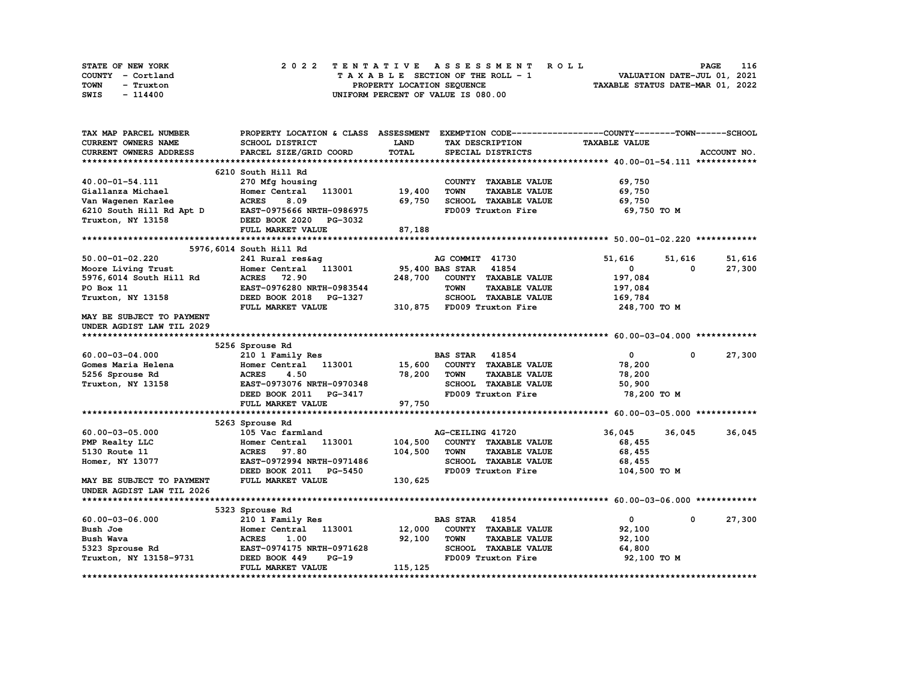| STATE OF NEW YORK | 2022 TENTATIVE ASSESSMENT ROLL     | 116<br><b>PAGE</b>               |
|-------------------|------------------------------------|----------------------------------|
| COUNTY - Cortland | TAXABLE SECTION OF THE ROLL - 1    | VALUATION DATE-JUL 01, 2021      |
| TOWN<br>- Truxton | PROPERTY LOCATION SEQUENCE         | TAXABLE STATUS DATE-MAR 01, 2022 |
| SWIS<br>- 114400  | UNIFORM PERCENT OF VALUE IS 080.00 |                                  |

| TAX MAP PARCEL NUMBER     | PROPERTY LOCATION & CLASS ASSESSMENT EXEMPTION CODE----------------COUNTY-------TOWN------SCHOOL |              |                                     |                      |                        |
|---------------------------|--------------------------------------------------------------------------------------------------|--------------|-------------------------------------|----------------------|------------------------|
| CURRENT OWNERS NAME       | SCHOOL DISTRICT                                                                                  | LAND         | TAX DESCRIPTION                     | <b>TAXABLE VALUE</b> |                        |
| CURRENT OWNERS ADDRESS    | PARCEL SIZE/GRID COORD                                                                           | <b>TOTAL</b> | SPECIAL DISTRICTS                   |                      | ACCOUNT NO.            |
|                           |                                                                                                  |              |                                     |                      |                        |
|                           | 6210 South Hill Rd                                                                               |              |                                     |                      |                        |
| 40.00-01-54.111           | 270 Mfg housing                                                                                  |              | COUNTY TAXABLE VALUE                | 69,750               |                        |
| Giallanza Michael         | 113001<br>Homer Central                                                                          | 19,400       | <b>TOWN</b><br><b>TAXABLE VALUE</b> | 69,750               |                        |
| Van Wagenen Karlee        | <b>ACRES</b><br>8.09                                                                             | 69,750       | SCHOOL TAXABLE VALUE                | 69,750               |                        |
| 6210 South Hill Rd Apt D  | EAST-0975666 NRTH-0986975                                                                        |              | FD009 Truxton Fire                  | 69,750 TO M          |                        |
| Truxton, NY 13158         | DEED BOOK 2020<br>PG-3032                                                                        |              |                                     |                      |                        |
|                           | FULL MARKET VALUE                                                                                | 87,188       |                                     |                      |                        |
|                           |                                                                                                  |              |                                     |                      |                        |
|                           | 5976,6014 South Hill Rd                                                                          |              |                                     |                      |                        |
| $50.00 - 01 - 02.220$     | 241 Rural res&ag                                                                                 |              | AG COMMIT 41730                     | 51,616<br>51,616     | 51,616                 |
| Moore Living Trust        | Homer Central<br>113001                                                                          |              | 95,400 BAS STAR<br>41854            | 0                    | 27,300<br>$\Omega$     |
| 5976,6014 South Hill Rd   | <b>ACRES</b> 72.90                                                                               | 248,700      | COUNTY TAXABLE VALUE                | 197,084              |                        |
| PO Box 11                 | EAST-0976280 NRTH-0983544                                                                        |              | <b>TOWN</b><br><b>TAXABLE VALUE</b> | 197,084              |                        |
| Truxton, NY 13158         | DEED BOOK 2018 PG-1327                                                                           |              | SCHOOL TAXABLE VALUE                | 169,784              |                        |
|                           | FULL MARKET VALUE                                                                                |              | 310,875 FD009 Truxton Fire          | 248,700 TO M         |                        |
| MAY BE SUBJECT TO PAYMENT |                                                                                                  |              |                                     |                      |                        |
| UNDER AGDIST LAW TIL 2029 |                                                                                                  |              |                                     |                      |                        |
|                           |                                                                                                  |              |                                     |                      |                        |
|                           | 5256 Sprouse Rd                                                                                  |              |                                     |                      |                        |
| 60.00-03-04.000           | 210 1 Family Res                                                                                 |              | <b>BAS STAR 41854</b>               | $\mathbf 0$          | $\mathbf{0}$<br>27,300 |
| Gomes Maria Helena        | 113001<br>Homer Central                                                                          | 15,600       | COUNTY TAXABLE VALUE                | 78,200               |                        |
| 5256 Sprouse Rd           | <b>ACRES</b><br>4.50                                                                             | 78,200       | <b>TOWN</b><br><b>TAXABLE VALUE</b> | 78,200               |                        |
| Truxton, NY 13158         | EAST-0973076 NRTH-0970348                                                                        |              | SCHOOL TAXABLE VALUE                | 50,900               |                        |
|                           | DEED BOOK 2011<br>PG-3417                                                                        |              | FD009 Truxton Fire                  | 78,200 TO M          |                        |
|                           | FULL MARKET VALUE                                                                                | 97,750       |                                     |                      |                        |
|                           |                                                                                                  |              |                                     |                      |                        |
|                           | 5263 Sprouse Rd                                                                                  |              |                                     |                      |                        |
| $60.00 - 03 - 05.000$     | 105 Vac farmland                                                                                 |              | AG-CEILING 41720                    | 36,045<br>36,045     | 36,045                 |
| PMP Realty LLC            | 113001<br>Homer Central                                                                          | 104,500      | COUNTY TAXABLE VALUE                | 68,455               |                        |
| 5130 Route 11             | <b>ACRES</b> 97.80                                                                               | 104,500      | <b>TOWN</b><br><b>TAXABLE VALUE</b> | 68,455               |                        |
| Homer, NY 13077           | EAST-0972994 NRTH-0971486                                                                        |              | SCHOOL TAXABLE VALUE                | 68,455               |                        |
|                           | DEED BOOK 2011 PG-5450                                                                           |              | FD009 Truxton Fire                  | 104,500 TO M         |                        |
| MAY BE SUBJECT TO PAYMENT | FULL MARKET VALUE                                                                                | 130,625      |                                     |                      |                        |
| UNDER AGDIST LAW TIL 2026 |                                                                                                  |              |                                     |                      |                        |
|                           |                                                                                                  |              |                                     |                      |                        |
|                           | 5323 Sprouse Rd                                                                                  |              |                                     |                      |                        |
| $60.00 - 03 - 06.000$     | 210 1 Family Res                                                                                 |              | <b>BAS STAR 41854</b>               | $\mathbf{0}$         | 27,300<br>$^{\circ}$   |
| Bush Joe                  | Homer Central<br>113001                                                                          | 12,000       | COUNTY TAXABLE VALUE                | 92,100               |                        |
| Bush Wava                 | <b>ACRES</b><br>1.00                                                                             | 92,100       | <b>TOWN</b><br><b>TAXABLE VALUE</b> | 92,100               |                        |
| 5323 Sprouse Rd           | EAST-0974175 NRTH-0971628                                                                        |              | SCHOOL TAXABLE VALUE                | 64,800               |                        |
| Truxton, NY 13158-9731    | DEED BOOK 449<br>$PG-19$                                                                         |              | FD009 Truxton Fire                  | 92,100 TO M          |                        |
|                           | FULL MARKET VALUE                                                                                | 115,125      |                                     |                      |                        |
|                           |                                                                                                  |              |                                     |                      |                        |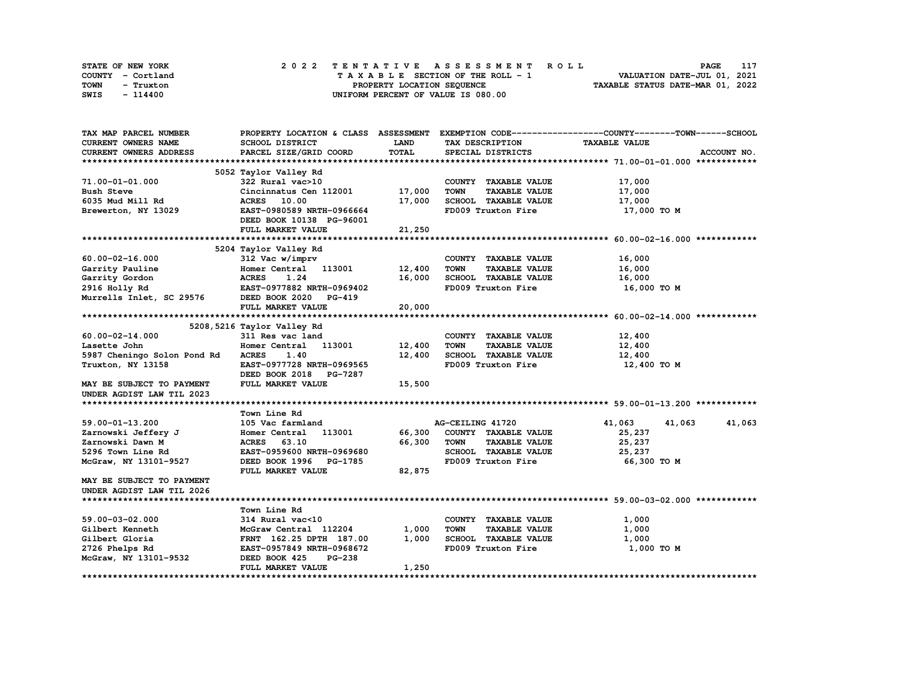| STATE OF NEW YORK | 2022 TENTATIVE ASSESSMENT ROLL     | 117<br><b>PAGE</b>               |
|-------------------|------------------------------------|----------------------------------|
| COUNTY - Cortland | TAXABLE SECTION OF THE ROLL - 1    | VALUATION DATE-JUL 01, 2021      |
| TOWN<br>- Truxton | PROPERTY LOCATION SEQUENCE         | TAXABLE STATUS DATE-MAR 01, 2022 |
| SWIS<br>- 114400  | UNIFORM PERCENT OF VALUE IS 080.00 |                                  |

| TAX MAP PARCEL NUMBER            |                                |              |                                     | PROPERTY LOCATION & CLASS ASSESSMENT EXEMPTION CODE----------------COUNTY-------TOWN-----SCHOOL |
|----------------------------------|--------------------------------|--------------|-------------------------------------|-------------------------------------------------------------------------------------------------|
| <b>CURRENT OWNERS NAME</b>       | SCHOOL DISTRICT                | LAND         | TAX DESCRIPTION                     | <b>TAXABLE VALUE</b>                                                                            |
| CURRENT OWNERS ADDRESS           | PARCEL SIZE/GRID COORD         | <b>TOTAL</b> | SPECIAL DISTRICTS                   | ACCOUNT NO.                                                                                     |
|                                  |                                |              |                                     |                                                                                                 |
|                                  | 5052 Taylor Valley Rd          |              |                                     |                                                                                                 |
| 71.00-01-01.000                  | 322 Rural vac>10               |              | COUNTY TAXABLE VALUE                | 17,000                                                                                          |
| <b>Bush Steve</b>                | Cincinnatus Cen 112001         | 17,000       | <b>TOWN</b><br><b>TAXABLE VALUE</b> | 17,000                                                                                          |
| 6035 Mud Mill Rd                 | ACRES 10.00                    | 17,000       | SCHOOL TAXABLE VALUE                | 17,000                                                                                          |
| Brewerton, NY 13029              | EAST-0980589 NRTH-0966664      |              | FD009 Truxton Fire                  | 17,000 TO M                                                                                     |
|                                  | DEED BOOK 10138 PG-96001       |              |                                     |                                                                                                 |
|                                  | FULL MARKET VALUE              | 21,250       |                                     |                                                                                                 |
|                                  |                                |              |                                     |                                                                                                 |
|                                  | 5204 Taylor Valley Rd          |              |                                     |                                                                                                 |
| $60.00 - 02 - 16.000$            | 312 Vac w/imprv                |              | COUNTY TAXABLE VALUE                | 16,000                                                                                          |
| Garrity Pauline                  | Homer Central 113001           | 12,400       | <b>TOWN</b><br><b>TAXABLE VALUE</b> | 16,000                                                                                          |
| Garrity Gordon                   | <b>ACRES</b><br>1.24           | 16,000       | SCHOOL TAXABLE VALUE                | 16,000                                                                                          |
| 2916 Holly Rd                    | EAST-0977882 NRTH-0969402      |              | FD009 Truxton Fire                  | 16,000 TO M                                                                                     |
| Murrells Inlet, SC 29576         | DEED BOOK 2020 PG-419          |              |                                     |                                                                                                 |
|                                  | FULL MARKET VALUE              | 20,000       |                                     |                                                                                                 |
|                                  |                                |              |                                     |                                                                                                 |
|                                  | 5208, 5216 Taylor Valley Rd    |              |                                     |                                                                                                 |
| $60.00 - 02 - 14.000$            | 311 Res vac land               |              | COUNTY TAXABLE VALUE                | 12,400                                                                                          |
| Lasette John                     | Homer Central 113001           | 12,400       | <b>TOWN</b><br><b>TAXABLE VALUE</b> | 12,400                                                                                          |
| 5987 Cheningo Solon Pond Rd      | <b>ACRES</b><br>1.40           | 12,400       | SCHOOL TAXABLE VALUE                | 12,400                                                                                          |
| Truxton, NY 13158                | EAST-0977728 NRTH-0969565      |              | FD009 Truxton Fire                  | 12,400 TO M                                                                                     |
|                                  | DEED BOOK 2018 PG-7287         |              |                                     |                                                                                                 |
| MAY BE SUBJECT TO PAYMENT        | FULL MARKET VALUE              | 15,500       |                                     |                                                                                                 |
| UNDER AGDIST LAW TIL 2023        |                                |              |                                     |                                                                                                 |
|                                  |                                |              |                                     |                                                                                                 |
|                                  | Town Line Rd                   |              |                                     |                                                                                                 |
| 59.00-01-13.200                  | 105 Vac farmland               |              | AG-CEILING 41720                    | 41,063<br>41,063<br>41,063                                                                      |
| Zarnowski Jeffery J              | 113001<br>Homer Central        | 66,300       | COUNTY TAXABLE VALUE                | 25,237                                                                                          |
| Zarnowski Dawn M                 | ACRES 63.10                    | 66,300       | <b>TOWN</b><br><b>TAXABLE VALUE</b> | 25,237                                                                                          |
| 5296 Town Line Rd                | EAST-0959600 NRTH-0969680      |              | SCHOOL TAXABLE VALUE                | 25,237                                                                                          |
| McGraw, NY 13101-9527            | DEED BOOK 1996 PG-1785         |              | FD009 Truxton Fire                  | 66,300 TO M                                                                                     |
|                                  | FULL MARKET VALUE              | 82,875       |                                     |                                                                                                 |
| <b>MAY BE SUBJECT TO PAYMENT</b> |                                |              |                                     |                                                                                                 |
| UNDER AGDIST LAW TIL 2026        |                                |              |                                     |                                                                                                 |
|                                  |                                |              |                                     |                                                                                                 |
|                                  | Town Line Rd                   |              |                                     |                                                                                                 |
| 59.00-03-02.000                  | 314 Rural vac<10               |              | COUNTY TAXABLE VALUE                | 1,000                                                                                           |
| Gilbert Kenneth                  | McGraw Central 112204          | 1,000        | <b>TAXABLE VALUE</b><br><b>TOWN</b> | 1,000                                                                                           |
| Gilbert Gloria                   | FRNT 162.25 DPTH 187.00        | 1,000        | SCHOOL TAXABLE VALUE                | 1,000                                                                                           |
| 2726 Phelps Rd                   | EAST-0957849 NRTH-0968672      |              | FD009 Truxton Fire                  | 1,000 TO M                                                                                      |
| McGraw, NY 13101-9532            | DEED BOOK 425<br><b>PG-238</b> |              |                                     |                                                                                                 |
|                                  | FULL MARKET VALUE              | 1,250        |                                     |                                                                                                 |
|                                  |                                |              |                                     |                                                                                                 |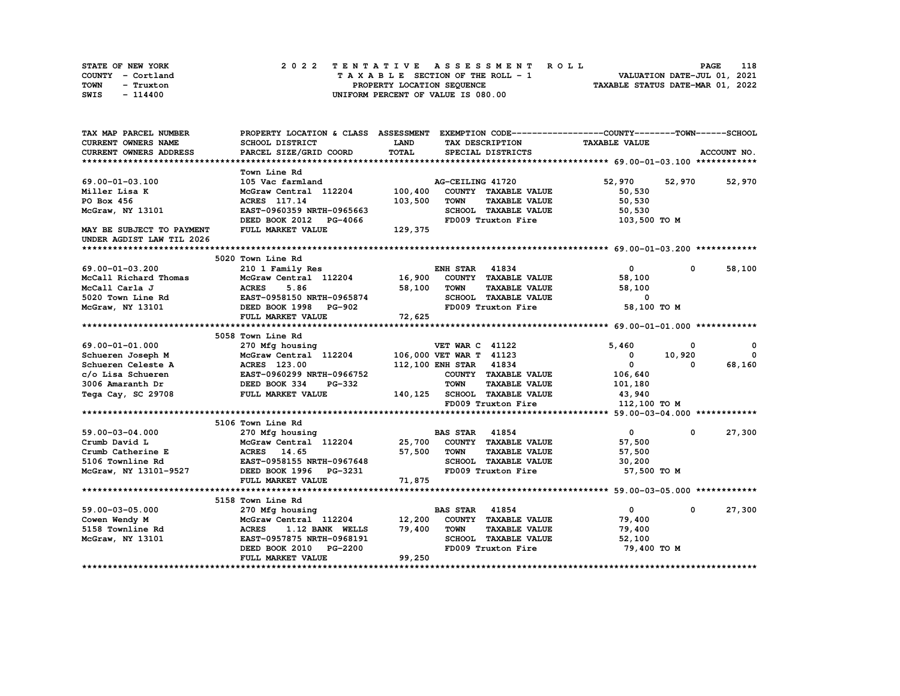| <b>STATE OF NEW YORK</b> | 2022 TENTATIVE ASSESSMENT ROLL     | 118<br><b>PAGE</b>               |
|--------------------------|------------------------------------|----------------------------------|
| COUNTY - Cortland        | TAXABLE SECTION OF THE ROLL - 1    | VALUATION DATE-JUL 01, 2021      |
| TOWN<br>- Truxton        | PROPERTY LOCATION SEQUENCE         | TAXABLE STATUS DATE-MAR 01, 2022 |
| SWIS<br>- 114400         | UNIFORM PERCENT OF VALUE IS 080.00 |                                  |

| TAX MAP PARCEL NUMBER                   |                                                                          |              | PROPERTY LOCATION & CLASS ASSESSMENT EXEMPTION CODE-----------------COUNTY-------TOWN------SCHOOL |                      |               |             |
|-----------------------------------------|--------------------------------------------------------------------------|--------------|---------------------------------------------------------------------------------------------------|----------------------|---------------|-------------|
| CURRENT OWNERS NAME                     | SCHOOL DISTRICT                                                          | <b>LAND</b>  | TAX DESCRIPTION                                                                                   | <b>TAXABLE VALUE</b> |               |             |
| CURRENT OWNERS ADDRESS                  | PARCEL SIZE/GRID COORD                                                   | <b>TOTAL</b> | SPECIAL DISTRICTS                                                                                 |                      |               | ACCOUNT NO. |
|                                         |                                                                          |              |                                                                                                   |                      |               |             |
|                                         | Town Line Rd                                                             |              |                                                                                                   |                      |               |             |
| 69.00-01-03.100                         | 105 Vac farmland                                                         |              | AG-CEILING 41720                                                                                  | 52,970               | 52,970 52,970 |             |
| Miller Lisa K                           | McGraw Central 112204                                                    | 100,400      | COUNTY TAXABLE VALUE                                                                              | 50,530               |               |             |
| PO Box 456                              | ACRES 117.14                                                             | 103,500      | <b>TOWN</b><br><b>TAXABLE VALUE</b>                                                               | 50,530               |               |             |
| McGraw, NY 13101                        | EAST-0960359 NRTH-0965663                                                |              | SCHOOL TAXABLE VALUE                                                                              | 50,530               |               |             |
|                                         | DEED BOOK 2012 PG-4066                                                   |              | FD009 Truxton Fire                                                                                | 103,500 TO M         |               |             |
| MAY BE SUBJECT TO PAYMENT               | FULL MARKET VALUE                                                        | 129,375      |                                                                                                   |                      |               |             |
| UNDER AGDIST LAW TIL 2026               |                                                                          |              |                                                                                                   |                      |               |             |
|                                         |                                                                          |              |                                                                                                   |                      |               |             |
|                                         | 5020 Town Line Rd                                                        |              |                                                                                                   |                      |               |             |
| 69.00-01-03.200                         | 210 1 Family Res                                                         |              | <b>ENH STAR 41834</b>                                                                             | $\mathbf 0$          | $^{\circ}$    | 58,100      |
| McCall Richard Thomas                   | McGraw Central 112204 16,900                                             |              | COUNTY TAXABLE VALUE                                                                              | 58,100               |               |             |
| McCall Carla J                          | <b>ACRES</b><br>5.86                                                     | 58,100       | <b>TOWN</b><br><b>TAXABLE VALUE</b>                                                               | 58,100               |               |             |
| 5020 Town Line Rd                       | EAST-0958150 NRTH-0965874                                                |              | SCHOOL TAXABLE VALUE                                                                              | $\mathbf 0$          |               |             |
| McGraw, NY 13101                        | DEED BOOK 1998<br>PG-902                                                 |              | FD009 Truxton Fire                                                                                | 58,100 TO M          |               |             |
|                                         | FULL MARKET VALUE                                                        | 72,625       |                                                                                                   |                      |               |             |
|                                         |                                                                          |              |                                                                                                   |                      |               |             |
|                                         | 5058 Town Line Rd                                                        |              |                                                                                                   |                      |               |             |
| 69.00-01-01.000                         |                                                                          |              | <b>VET WAR C 41122</b>                                                                            | 5,460                | 0             | $^{\circ}$  |
|                                         | 270 Mfg housing                                                          |              | 106,000 VET WAR T 41123                                                                           | $\mathbf 0$          | 10,920        | $\Omega$    |
| Schueren Joseph M<br>Schueren Celeste A | McGraw Central 112204                                                    |              | 112,100 ENH STAR 41834                                                                            | $\Omega$             | $\Omega$      |             |
|                                         | <b>ACRES</b> 123.00<br><b>ACRES 123.00<br/>EAST-0960299 NRTH-0966752</b> |              |                                                                                                   |                      |               | 68,160      |
| c/o Lisa Schueren                       |                                                                          |              | COUNTY TAXABLE VALUE                                                                              | 106,640              |               |             |
| 3006 Amaranth Dr                        | DEED BOOK 334<br>PG-332                                                  |              | <b>TOWN</b><br><b>TAXABLE VALUE</b>                                                               | 101,180              |               |             |
| Tega Cay, SC 29708                      | FULL MARKET VALUE                                                        |              | 140,125 SCHOOL TAXABLE VALUE                                                                      | 43,940               |               |             |
|                                         |                                                                          |              | FD009 Truxton Fire                                                                                | 112,100 TO M         |               |             |
|                                         |                                                                          |              |                                                                                                   |                      |               |             |
|                                         | 5106 Town Line Rd                                                        |              |                                                                                                   |                      |               |             |
| 59.00-03-04.000                         | 270 Mfg housing                                                          |              | <b>BAS STAR 41854</b>                                                                             | $\mathbf{0}$         | $\mathbf 0$   | 27,300      |
| Crumb David L                           | McGraw Central 112204 25,700                                             |              | COUNTY TAXABLE VALUE                                                                              | 57,500               |               |             |
| Crumb Catherine E                       | ACRES 14.65                                                              | 57,500       | <b>TOWN</b><br><b>TAXABLE VALUE</b>                                                               | 57,500               |               |             |
| 5106 Townline Rd                        | EAST-0958155 NRTH-0967648                                                |              | SCHOOL TAXABLE VALUE                                                                              | 30,200               |               |             |
| McGraw, NY 13101-9527                   | DEED BOOK 1996 PG-3231                                                   |              | FD009 Truxton Fire                                                                                | 57,500 TO M          |               |             |
|                                         | FULL MARKET VALUE                                                        | 71,875       |                                                                                                   |                      |               |             |
|                                         |                                                                          |              |                                                                                                   |                      |               |             |
|                                         | 5158 Town Line Rd                                                        |              |                                                                                                   |                      |               |             |
| 59.00-03-05.000                         | 270 Mfg housing                                                          |              | <b>BAS STAR 41854</b>                                                                             | $\overline{0}$       | $\mathbf 0$   | 27,300      |
| Cowen Wendy M                           | McGraw Central 112204                                                    | 12,200       | COUNTY TAXABLE VALUE                                                                              | 79,400               |               |             |
| 5158 Townline Rd                        | <b>ACRES</b><br>1.12 BANK WELLS                                          | 79,400       | <b>TOWN</b><br><b>TAXABLE VALUE</b>                                                               | 79,400               |               |             |
| McGraw, NY 13101                        | EAST-0957875 NRTH-0968191                                                |              | SCHOOL TAXABLE VALUE                                                                              | 52,100               |               |             |
|                                         | DEED BOOK 2010<br><b>PG-2200</b>                                         |              | FD009 Truxton Fire                                                                                | 79,400 TO M          |               |             |
|                                         | FULL MARKET VALUE                                                        | 99,250       |                                                                                                   |                      |               |             |
|                                         |                                                                          |              |                                                                                                   |                      |               |             |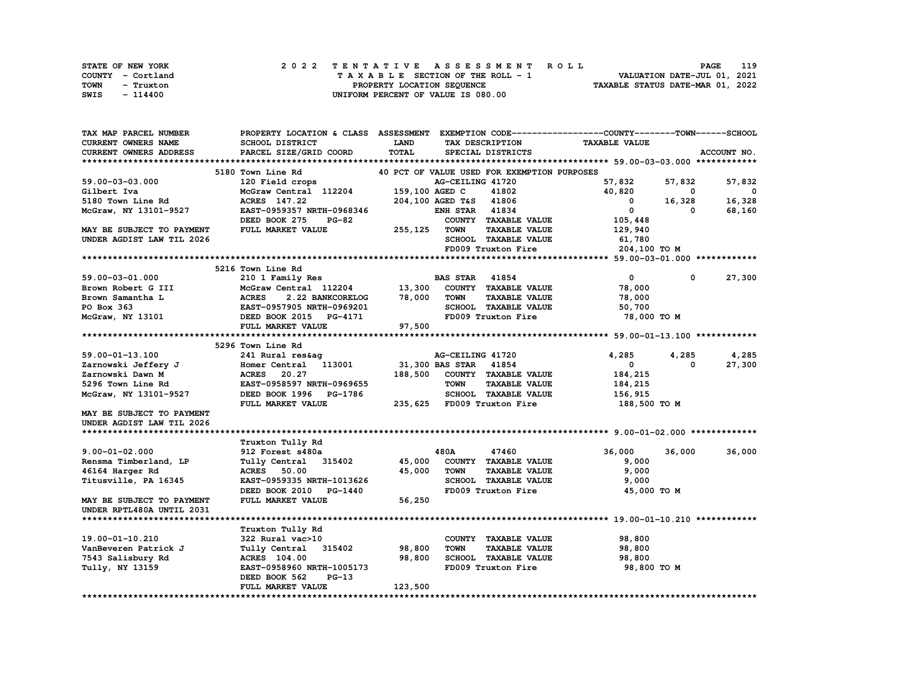| STATE OF NEW YORK | 2022 TENTATIVE ASSESSMENT ROLL     | 119<br>PAGE                      |
|-------------------|------------------------------------|----------------------------------|
| COUNTY - Cortland | TAXABLE SECTION OF THE ROLL - 1    | VALUATION DATE-JUL 01, 2021      |
| TOWN<br>- Truxton | PROPERTY LOCATION SEQUENCE         | TAXABLE STATUS DATE-MAR 01, 2022 |
| SWIS<br>- 114400  | UNIFORM PERCENT OF VALUE IS 080.00 |                                  |

| TAX MAP PARCEL NUMBER     | PROPERTY LOCATION & CLASS ASSESSMENT EXEMPTION CODE----------------COUNTY-------TOWN-----SCHOOL |                |                                             |                      |            |                          |
|---------------------------|-------------------------------------------------------------------------------------------------|----------------|---------------------------------------------|----------------------|------------|--------------------------|
| CURRENT OWNERS NAME       | SCHOOL DISTRICT                                                                                 | LAND           | TAX DESCRIPTION                             | <b>TAXABLE VALUE</b> |            |                          |
| CURRENT OWNERS ADDRESS    | PARCEL SIZE/GRID COORD                                                                          | TOTAL          | SPECIAL DISTRICTS                           |                      |            | ACCOUNT NO.              |
|                           |                                                                                                 |                |                                             |                      |            |                          |
|                           | 5180 Town Line Rd                                                                               |                | 40 PCT OF VALUE USED FOR EXEMPTION PURPOSES |                      |            |                          |
| 59.00-03-03.000           | 120 Field crops                                                                                 |                | AG-CEILING 41720                            | 57,832               | 57,832     | 57,832                   |
| Gilbert Iva               | McGraw Central 112204                                                                           | 159,100 AGED C | 41802                                       | 40,820               | 0          | $\overline{\phantom{0}}$ |
| 5180 Town Line Rd         | ACRES 147.22                                                                                    |                | 41806                                       |                      | 16,328     | 16,328                   |
|                           |                                                                                                 |                | 204,100 AGED T&S                            | 0<br>$^{\circ}$      |            |                          |
| McGraw, NY 13101-9527     | EAST-0959357 NRTH-0968346                                                                       |                | <b>ENH STAR 41834</b>                       |                      | 0          | 68,160                   |
|                           | DEED BOOK 275<br>$PG-82$                                                                        |                | COUNTY TAXABLE VALUE                        | 105,448              |            |                          |
| MAY BE SUBJECT TO PAYMENT | FULL MARKET VALUE                                                                               | 255,125        | <b>TOWN</b><br><b>TAXABLE VALUE</b>         | 129,940              |            |                          |
| UNDER AGDIST LAW TIL 2026 |                                                                                                 |                | SCHOOL TAXABLE VALUE                        | 61,780               |            |                          |
|                           |                                                                                                 |                | FD009 Truxton Fire                          | 204,100 TO M         |            |                          |
|                           |                                                                                                 |                |                                             |                      |            |                          |
|                           | 5216 Town Line Rd                                                                               |                |                                             |                      |            |                          |
| 59.00-03-01.000           | 210 1 Family Res                                                                                |                | <b>BAS STAR 41854</b>                       | $\mathbf 0$          | $^{\circ}$ | 27,300                   |
| Brown Robert G III        | McGraw Central 112204                                                                           | 13,300         | COUNTY TAXABLE VALUE                        | 78,000               |            |                          |
| Brown Samantha L          | <b>ACRES</b><br>2.22 BANKCORELOG                                                                | 78,000         | <b>TOWN</b><br><b>TAXABLE VALUE</b>         | 78,000               |            |                          |
| PO Box 363                | EAST-0957905 NRTH-0969201                                                                       |                | SCHOOL TAXABLE VALUE                        | 50,700               |            |                          |
| McGraw, NY 13101          | DEED BOOK 2015 PG-4171                                                                          |                | FD009 Truxton Fire                          | 78,000 TO M          |            |                          |
|                           | FULL MARKET VALUE                                                                               | 97,500         |                                             |                      |            |                          |
|                           |                                                                                                 |                |                                             |                      |            |                          |
|                           |                                                                                                 |                |                                             |                      |            |                          |
|                           | 5296 Town Line Rd                                                                               |                |                                             |                      |            |                          |
| 59.00-01-13.100           | 241 Rural res&ag                                                                                |                | AG-CEILING 41720                            | 4,285                | 4,285      | 4,285                    |
| Zarnowski Jeffery J       | Homer Central 113001                                                                            |                | 31,300 BAS STAR 41854                       | $\Omega$             | $\Omega$   | 27,300                   |
| Zarnowski Dawn M          | <b>ACRES</b><br>20.27                                                                           | 188,500        | COUNTY TAXABLE VALUE                        | 184,215              |            |                          |
| 5296 Town Line Rd         | EAST-0958597 NRTH-0969655                                                                       |                | <b>TAXABLE VALUE</b><br><b>TOWN</b>         | 184,215              |            |                          |
| McGraw, NY 13101-9527     | DEED BOOK 1996 PG-1786                                                                          |                | SCHOOL TAXABLE VALUE                        | 156,915              |            |                          |
|                           | FULL MARKET VALUE                                                                               |                | 235,625 FD009 Truxton Fire                  | 188,500 TO M         |            |                          |
| MAY BE SUBJECT TO PAYMENT |                                                                                                 |                |                                             |                      |            |                          |
| UNDER AGDIST LAW TIL 2026 |                                                                                                 |                |                                             |                      |            |                          |
|                           |                                                                                                 |                |                                             |                      |            |                          |
|                           | Truxton Tully Rd                                                                                |                |                                             |                      |            |                          |
| $9.00 - 01 - 02.000$      | 912 Forest s480a                                                                                |                | 480A<br>47460                               | 36,000               | 36,000     | 36,000                   |
| Rensma Timberland, LP     | Tully Central 315402                                                                            | 45,000         | COUNTY TAXABLE VALUE                        | 9,000                |            |                          |
| 46164 Harger Rd           | <b>ACRES</b> 50.00                                                                              | 45,000         | <b>TOWN</b><br><b>TAXABLE VALUE</b>         | 9,000                |            |                          |
| Titusville, PA 16345      | EAST-0959335 NRTH-1013626                                                                       |                | SCHOOL TAXABLE VALUE                        | 9,000                |            |                          |
|                           | DEED BOOK 2010 PG-1440                                                                          |                | FD009 Truxton Fire                          | 45,000 TO M          |            |                          |
| MAY BE SUBJECT TO PAYMENT | FULL MARKET VALUE                                                                               | 56,250         |                                             |                      |            |                          |
|                           |                                                                                                 |                |                                             |                      |            |                          |
| UNDER RPTL480A UNTIL 2031 |                                                                                                 |                |                                             |                      |            |                          |
|                           |                                                                                                 |                |                                             |                      |            |                          |
|                           | Truxton Tully Rd                                                                                |                |                                             |                      |            |                          |
| 19.00-01-10.210           | 322 Rural vac>10                                                                                |                | COUNTY TAXABLE VALUE                        | 98,800               |            |                          |
| VanBeveren Patrick J      | Tully Central 315402                                                                            | 98,800         | <b>TOWN</b><br><b>TAXABLE VALUE</b>         | 98,800               |            |                          |
| 7543 Salisbury Rd         | <b>ACRES</b> 104.00                                                                             | 98,800         | SCHOOL TAXABLE VALUE                        | 98,800               |            |                          |
| Tully, NY 13159           | EAST-0958960 NRTH-1005173                                                                       |                | FD009 Truxton Fire                          | 98,800 TO M          |            |                          |
|                           | DEED BOOK 562<br>$PG-13$                                                                        |                |                                             |                      |            |                          |
|                           | FULL MARKET VALUE                                                                               | 123,500        |                                             |                      |            |                          |
|                           |                                                                                                 |                |                                             |                      |            |                          |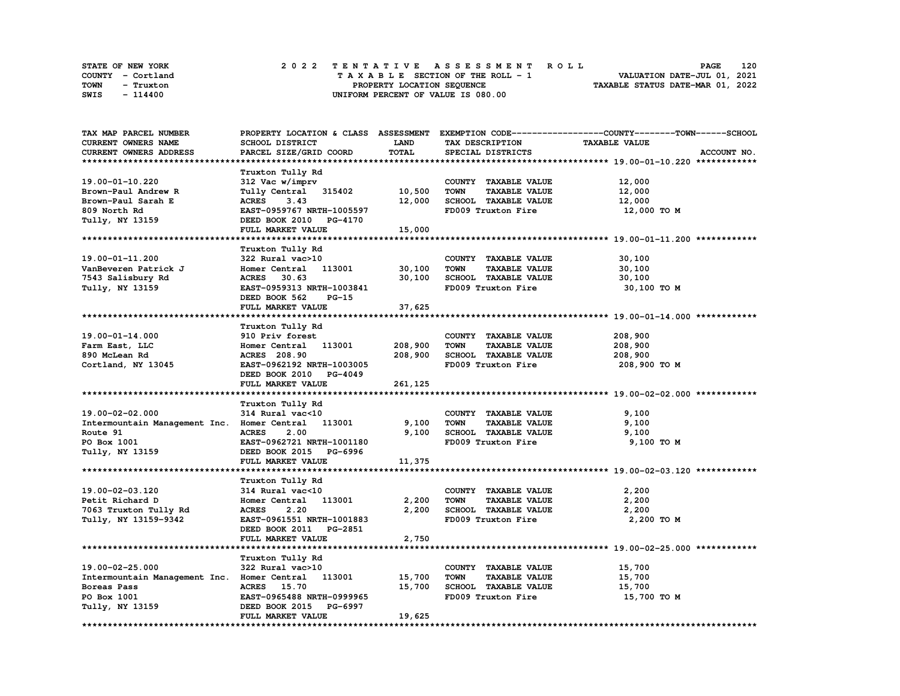| STATE OF NEW YORK |           |  | 2022 TENTATIVE ASSESSMENT ROLL |  |  |  |                                    |  |  |  |  |  |  |                                  | <b>PAGE</b> | 120 |
|-------------------|-----------|--|--------------------------------|--|--|--|------------------------------------|--|--|--|--|--|--|----------------------------------|-------------|-----|
| COUNTY - Cortland |           |  |                                |  |  |  | TAXABLE SECTION OF THE ROLL - 1    |  |  |  |  |  |  | VALUATION DATE-JUL 01, 2021      |             |     |
| TOWN              | - Truxton |  |                                |  |  |  | PROPERTY LOCATION SEQUENCE         |  |  |  |  |  |  | TAXABLE STATUS DATE-MAR 01, 2022 |             |     |
| SWIS              | - 114400  |  |                                |  |  |  | UNIFORM PERCENT OF VALUE IS 080.00 |  |  |  |  |  |  |                                  |             |     |

| TAX MAP PARCEL NUMBER                              |                           |             |                                     | PROPERTY LOCATION & CLASS ASSESSMENT EXEMPTION CODE-----------------COUNTY-------TOWN-----SCHOOL |
|----------------------------------------------------|---------------------------|-------------|-------------------------------------|--------------------------------------------------------------------------------------------------|
| CURRENT OWNERS NAME                                | SCHOOL DISTRICT           | <b>LAND</b> | TAX DESCRIPTION                     | <b>TAXABLE VALUE</b>                                                                             |
| CURRENT OWNERS ADDRESS                             | PARCEL SIZE/GRID COORD    | TOTAL       | SPECIAL DISTRICTS                   | ACCOUNT NO.                                                                                      |
|                                                    |                           |             |                                     |                                                                                                  |
|                                                    | Truxton Tully Rd          |             |                                     |                                                                                                  |
| 19.00-01-10.220                                    | 312 Vac w/imprv           |             | COUNTY TAXABLE VALUE                | 12,000                                                                                           |
| Brown-Paul Andrew R                                | Tully Central 315402      | 10,500      | <b>TOWN</b><br><b>TAXABLE VALUE</b> |                                                                                                  |
|                                                    |                           |             |                                     | 12,000                                                                                           |
| Brown-Paul Sarah E                                 | <b>ACRES</b><br>3.43      | 12,000      | SCHOOL TAXABLE VALUE                | 12,000                                                                                           |
| 809 North Rd                                       | EAST-0959767 NRTH-1005597 |             | FD009 Truxton Fire                  | 12,000 TO M                                                                                      |
| Tully, NY 13159                                    | DEED BOOK 2010 PG-4170    |             |                                     |                                                                                                  |
|                                                    | FULL MARKET VALUE         | 15,000      |                                     |                                                                                                  |
|                                                    |                           |             |                                     |                                                                                                  |
|                                                    | Truxton Tully Rd          |             |                                     |                                                                                                  |
| 19.00-01-11.200                                    | 322 Rural vac>10          |             | COUNTY TAXABLE VALUE                | 30,100                                                                                           |
| VanBeveren Patrick J                               | Homer Central 113001      | 30,100      | <b>TOWN</b><br><b>TAXABLE VALUE</b> | 30,100                                                                                           |
| 7543 Salisbury Rd                                  | ACRES 30.63               | 30,100      | SCHOOL TAXABLE VALUE                | 30,100                                                                                           |
| Tully, NY 13159                                    | EAST-0959313 NRTH-1003841 |             | FD009 Truxton Fire                  | 30,100 TO M                                                                                      |
|                                                    | DEED BOOK 562<br>PG-15    |             |                                     |                                                                                                  |
|                                                    | FULL MARKET VALUE         |             |                                     |                                                                                                  |
|                                                    |                           | 37,625      |                                     |                                                                                                  |
|                                                    |                           |             |                                     |                                                                                                  |
|                                                    | Truxton Tully Rd          |             |                                     |                                                                                                  |
| 19.00-01-14.000                                    | 910 Priv forest           |             | COUNTY TAXABLE VALUE                | 208,900                                                                                          |
| Farm East, LLC                                     | Homer Central 113001      | 208,900     | <b>TOWN</b><br><b>TAXABLE VALUE</b> | 208,900                                                                                          |
| 890 McLean Rd                                      | <b>ACRES</b> 208.90       | 208,900     | SCHOOL TAXABLE VALUE                | 208,900                                                                                          |
| Cortland, NY 13045                                 | EAST-0962192 NRTH-1003005 |             | FD009 Truxton Fire                  | 208,900 то м                                                                                     |
|                                                    | DEED BOOK 2010 PG-4049    |             |                                     |                                                                                                  |
|                                                    | FULL MARKET VALUE         | 261,125     |                                     |                                                                                                  |
|                                                    |                           |             |                                     |                                                                                                  |
|                                                    | Truxton Tully Rd          |             |                                     |                                                                                                  |
| 19.00-02-02.000                                    | 314 Rural vac<10          |             | COUNTY TAXABLE VALUE                | 9,100                                                                                            |
| Intermountain Management Inc. Homer Central 113001 |                           | 9,100       | <b>TOWN</b><br><b>TAXABLE VALUE</b> | 9,100                                                                                            |
| Route 91                                           | 2.00<br><b>ACRES</b>      | 9,100       | SCHOOL TAXABLE VALUE                | 9,100                                                                                            |
|                                                    |                           |             | FD009 Truxton Fire                  |                                                                                                  |
| PO Box 1001                                        | EAST-0962721 NRTH-1001180 |             |                                     | 9,100 TO M                                                                                       |
| Tully, NY 13159                                    | DEED BOOK 2015 PG-6996    |             |                                     |                                                                                                  |
|                                                    | FULL MARKET VALUE         | 11,375      |                                     |                                                                                                  |
|                                                    |                           |             |                                     |                                                                                                  |
|                                                    | Truxton Tully Rd          |             |                                     |                                                                                                  |
| 19.00-02-03.120                                    | 314 Rural vac<10          |             | COUNTY TAXABLE VALUE                | 2,200                                                                                            |
| Petit Richard D                                    | Homer Central 113001      | 2,200       | <b>TOWN</b><br><b>TAXABLE VALUE</b> | 2,200                                                                                            |
| 7063 Truxton Tully Rd                              | <b>ACRES</b><br>2.20      | 2,200       | SCHOOL TAXABLE VALUE                | 2,200                                                                                            |
| Tully, NY 13159-9342                               | EAST-0961551 NRTH-1001883 |             | FD009 Truxton Fire                  | 2,200 TO M                                                                                       |
|                                                    | DEED BOOK 2011 PG-2851    |             |                                     |                                                                                                  |
|                                                    | FULL MARKET VALUE         | 2,750       |                                     |                                                                                                  |
|                                                    |                           |             |                                     |                                                                                                  |
|                                                    |                           |             |                                     |                                                                                                  |
|                                                    | Truxton Tully Rd          |             |                                     |                                                                                                  |
| 19.00-02-25.000                                    | 322 Rural vac>10          |             | COUNTY TAXABLE VALUE                | 15,700                                                                                           |
| Intermountain Management Inc. Homer Central 113001 |                           | 15,700      | <b>TOWN</b><br><b>TAXABLE VALUE</b> | 15,700                                                                                           |
| Boreas Pass                                        | ACRES 15.70               | 15,700      | SCHOOL TAXABLE VALUE                | 15,700                                                                                           |
| PO Box 1001                                        | EAST-0965488 NRTH-0999965 |             | FD009 Truxton Fire                  | 15,700 TO M                                                                                      |
| Tully, NY 13159                                    | DEED BOOK 2015 PG-6997    |             |                                     |                                                                                                  |
|                                                    | FULL MARKET VALUE         | 19,625      |                                     |                                                                                                  |
|                                                    |                           |             |                                     |                                                                                                  |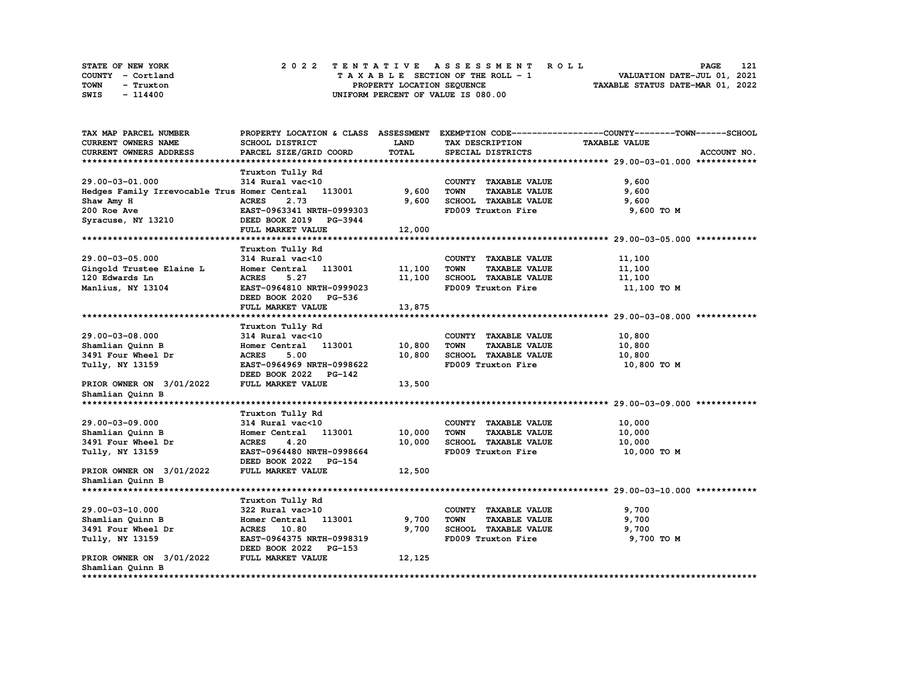|      | STATE OF NEW YORK |  | 2022 TENTATIVE ASSESSMENT ROLL |  |  |  |                                    |  |  |  |  |  |  |                                  | <b>PAGE</b> | 121 |
|------|-------------------|--|--------------------------------|--|--|--|------------------------------------|--|--|--|--|--|--|----------------------------------|-------------|-----|
|      | COUNTY - Cortland |  |                                |  |  |  | TAXABLE SECTION OF THE ROLL - 1    |  |  |  |  |  |  | VALUATION DATE-JUL 01, 2021      |             |     |
| TOWN | - Truxton         |  |                                |  |  |  | PROPERTY LOCATION SEQUENCE         |  |  |  |  |  |  | TAXABLE STATUS DATE-MAR 01, 2022 |             |     |
| SWIS | - 114400          |  |                                |  |  |  | UNIFORM PERCENT OF VALUE IS 080.00 |  |  |  |  |  |  |                                  |             |     |

| TAX MAP PARCEL NUMBER                               | PROPERTY LOCATION & CLASS ASSESSMENT |              |                                     | EXEMPTION CODE-----------------COUNTY-------TOWN------SCHOOL |
|-----------------------------------------------------|--------------------------------------|--------------|-------------------------------------|--------------------------------------------------------------|
| CURRENT OWNERS NAME                                 | SCHOOL DISTRICT                      | LAND         | TAX DESCRIPTION                     | <b>TAXABLE VALUE</b>                                         |
| CURRENT OWNERS ADDRESS                              | PARCEL SIZE/GRID COORD               | <b>TOTAL</b> | SPECIAL DISTRICTS                   | ACCOUNT NO.                                                  |
|                                                     |                                      |              |                                     |                                                              |
|                                                     | Truxton Tully Rd                     |              |                                     |                                                              |
| 29.00-03-01.000                                     | 314 Rural vac<10                     |              | COUNTY TAXABLE VALUE                | 9,600                                                        |
| Hedges Family Irrevocable Trus Homer Central 113001 |                                      | 9,600        | <b>TOWN</b><br><b>TAXABLE VALUE</b> | 9,600                                                        |
| Shaw Amy H                                          | <b>ACRES</b><br>2.73                 | 9,600        | SCHOOL TAXABLE VALUE                | 9,600                                                        |
| 200 Roe Ave                                         | EAST-0963341 NRTH-0999303            |              | FD009 Truxton Fire                  | 9,600 TO M                                                   |
| Syracuse, NY 13210                                  | DEED BOOK 2019 PG-3944               |              |                                     |                                                              |
|                                                     | FULL MARKET VALUE                    | 12,000       |                                     |                                                              |
|                                                     |                                      |              |                                     |                                                              |
|                                                     | Truxton Tully Rd                     |              |                                     |                                                              |
| 29.00-03-05.000                                     | 314 Rural vac<10                     |              | COUNTY TAXABLE VALUE                | 11,100                                                       |
| Gingold Trustee Elaine L                            | Homer Central 113001                 | 11,100       | <b>TOWN</b><br><b>TAXABLE VALUE</b> | 11,100                                                       |
| 120 Edwards Ln                                      | <b>ACRES</b><br>5.27                 | 11,100       | SCHOOL TAXABLE VALUE                | 11,100                                                       |
| Manlius, NY 13104                                   | EAST-0964810 NRTH-0999023            |              | FD009 Truxton Fire                  | 11,100 TO M                                                  |
|                                                     | DEED BOOK 2020 PG-536                |              |                                     |                                                              |
|                                                     | FULL MARKET VALUE                    | 13,875       |                                     |                                                              |
|                                                     |                                      |              |                                     |                                                              |
|                                                     |                                      |              |                                     |                                                              |
|                                                     | Truxton Tully Rd                     |              |                                     |                                                              |
| 29.00-03-08.000                                     | 314 Rural vac<10                     |              | COUNTY TAXABLE VALUE                | 10,800                                                       |
| Shamlian Quinn B                                    | Homer Central 113001<br><b>ACRES</b> | 10,800       | <b>TOWN</b><br><b>TAXABLE VALUE</b> | 10,800                                                       |
| 3491 Four Wheel Dr                                  | 5.00                                 | 10,800       | SCHOOL TAXABLE VALUE                | 10,800                                                       |
| Tully, NY 13159                                     | EAST-0964969 NRTH-0998622            |              | FD009 Truxton Fire                  | 10,800 TO M                                                  |
|                                                     | DEED BOOK 2022 PG-142                |              |                                     |                                                              |
| PRIOR OWNER ON 3/01/2022                            | FULL MARKET VALUE                    | 13,500       |                                     |                                                              |
| Shamlian Quinn B                                    |                                      |              |                                     |                                                              |
|                                                     |                                      |              |                                     |                                                              |
|                                                     | Truxton Tully Rd                     |              |                                     |                                                              |
| 29.00-03-09.000                                     | 314 Rural vac<10                     |              | COUNTY TAXABLE VALUE                | 10,000                                                       |
| Shamlian Quinn B                                    | Homer Central<br>113001              | 10,000       | <b>TOWN</b><br><b>TAXABLE VALUE</b> | 10,000                                                       |
| 3491 Four Wheel Dr                                  | <b>ACRES</b><br>4.20                 | 10,000       | SCHOOL TAXABLE VALUE                | 10,000                                                       |
| Tully, NY 13159                                     | EAST-0964480 NRTH-0998664            |              | FD009 Truxton Fire                  | 10,000 TO M                                                  |
|                                                     | DEED BOOK 2022<br><b>PG-154</b>      |              |                                     |                                                              |
| PRIOR OWNER ON 3/01/2022                            | FULL MARKET VALUE                    | 12,500       |                                     |                                                              |
| Shamlian Quinn B                                    |                                      |              |                                     |                                                              |
|                                                     |                                      |              |                                     |                                                              |
|                                                     | Truxton Tully Rd                     |              |                                     |                                                              |
| 29.00-03-10.000                                     | 322 Rural vac>10                     |              | COUNTY TAXABLE VALUE                | 9,700                                                        |
| Shamlian Quinn B                                    | Homer Central 113001                 | 9,700        | <b>TOWN</b><br><b>TAXABLE VALUE</b> | 9,700                                                        |
| 3491 Four Wheel Dr                                  | ACRES 10.80                          | 9,700        | SCHOOL TAXABLE VALUE                | 9,700                                                        |
| Tully, NY 13159                                     | EAST-0964375 NRTH-0998319            |              | FD009 Truxton Fire                  | 9,700 TO M                                                   |
|                                                     | DEED BOOK 2022 PG-153                |              |                                     |                                                              |
| PRIOR OWNER ON 3/01/2022                            | FULL MARKET VALUE                    | 12,125       |                                     |                                                              |
| Shamlian Quinn B                                    |                                      |              |                                     |                                                              |
|                                                     |                                      |              |                                     |                                                              |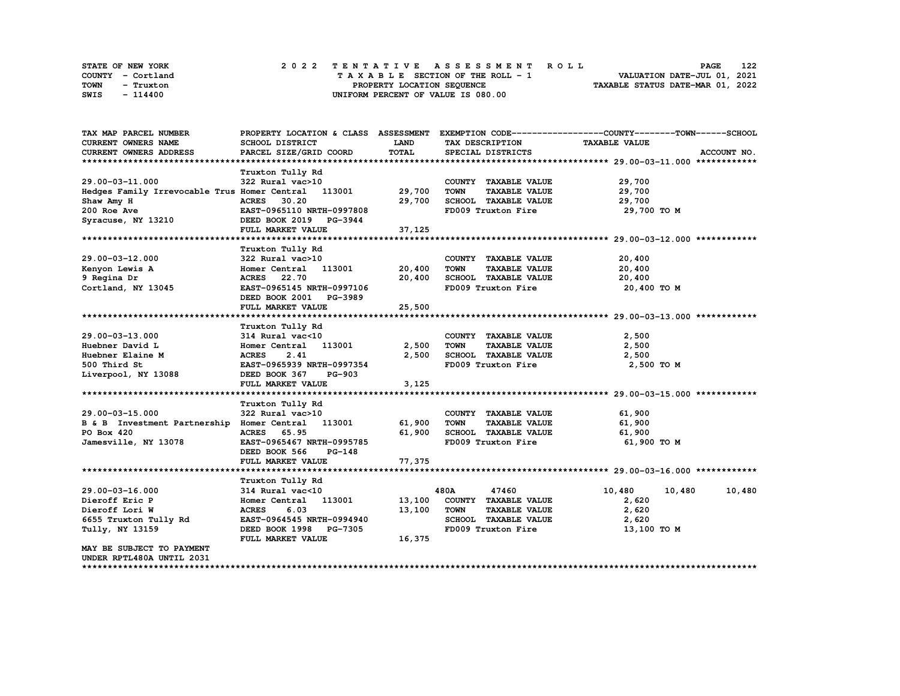| STATE OF NEW YORK |  |                            | 2022 TENTATIVE ASSESSMENT ROLL     |  | <b>PAGE</b>                      | 122 |
|-------------------|--|----------------------------|------------------------------------|--|----------------------------------|-----|
| COUNTY - Cortland |  |                            | TAXABLE SECTION OF THE ROLL - 1    |  | VALUATION DATE-JUL 01, 2021      |     |
| TOWN<br>- Truxton |  | PROPERTY LOCATION SEQUENCE |                                    |  | TAXABLE STATUS DATE-MAR 01, 2022 |     |
| SWIS<br>- 114400  |  |                            | UNIFORM PERCENT OF VALUE IS 080.00 |  |                                  |     |

| TAX MAP PARCEL NUMBER                               |                                |             |                                     | PROPERTY LOCATION & CLASS ASSESSMENT EXEMPTION CODE----------------COUNTY-------TOWN-----SCHOOL |
|-----------------------------------------------------|--------------------------------|-------------|-------------------------------------|-------------------------------------------------------------------------------------------------|
| CURRENT OWNERS NAME                                 | SCHOOL DISTRICT                | <b>LAND</b> | TAX DESCRIPTION                     | <b>TAXABLE VALUE</b>                                                                            |
| CURRENT OWNERS ADDRESS                              | PARCEL SIZE/GRID COORD         | TOTAL       | SPECIAL DISTRICTS                   | ACCOUNT NO.                                                                                     |
|                                                     |                                |             |                                     |                                                                                                 |
|                                                     | Truxton Tully Rd               |             |                                     |                                                                                                 |
| 29.00-03-11.000                                     | 322 Rural vac>10               |             | COUNTY TAXABLE VALUE                | 29,700                                                                                          |
| Hedges Family Irrevocable Trus Homer Central 113001 |                                | 29,700      | <b>TOWN</b><br><b>TAXABLE VALUE</b> | 29,700                                                                                          |
| Shaw Amy H                                          | <b>ACRES</b><br>30.20          | 29,700      | SCHOOL TAXABLE VALUE                | 29,700                                                                                          |
| 200 Roe Ave                                         | EAST-0965110 NRTH-0997808      |             | FD009 Truxton Fire                  | 29,700 TO M                                                                                     |
| Syracuse, NY 13210                                  | DEED BOOK 2019 PG-3944         |             |                                     |                                                                                                 |
|                                                     | FULL MARKET VALUE              | 37,125      |                                     |                                                                                                 |
|                                                     |                                |             |                                     |                                                                                                 |
|                                                     | Truxton Tully Rd               |             |                                     |                                                                                                 |
| 29.00-03-12.000                                     | 322 Rural vac>10               |             | COUNTY TAXABLE VALUE                | 20,400                                                                                          |
| Kenyon Lewis A                                      | Homer Central 113001           | 20,400      | TOWN<br><b>TAXABLE VALUE</b>        | 20,400                                                                                          |
| 9 Regina Dr                                         | <b>ACRES</b><br>22.70          | 20,400      | SCHOOL TAXABLE VALUE                | 20,400                                                                                          |
| Cortland, NY 13045                                  | EAST-0965145 NRTH-0997106      |             | FD009 Truxton Fire                  | 20,400 TO M                                                                                     |
|                                                     | DEED BOOK 2001 PG-3989         |             |                                     |                                                                                                 |
|                                                     | FULL MARKET VALUE              | 25,500      |                                     |                                                                                                 |
|                                                     |                                |             |                                     |                                                                                                 |
|                                                     | Truxton Tully Rd               |             |                                     |                                                                                                 |
| 29.00-03-13.000                                     | 314 Rural vac<10               |             | COUNTY TAXABLE VALUE                | 2,500                                                                                           |
| Huebner David L                                     | Homer Central 113001           | 2,500       | TOWN<br><b>TAXABLE VALUE</b>        | 2,500                                                                                           |
| Huebner Elaine M                                    | 2.41<br><b>ACRES</b>           | 2,500       | SCHOOL TAXABLE VALUE                | 2,500                                                                                           |
| 500 Third St                                        | EAST-0965939 NRTH-0997354      |             | FD009 Truxton Fire                  | 2,500 TO M                                                                                      |
| Liverpool, NY 13088                                 | DEED BOOK 367<br><b>PG-903</b> |             |                                     |                                                                                                 |
|                                                     | FULL MARKET VALUE              | 3,125       |                                     |                                                                                                 |
|                                                     |                                |             |                                     |                                                                                                 |
|                                                     | Truxton Tully Rd               |             |                                     |                                                                                                 |
| 29.00-03-15.000                                     | 322 Rural vac>10               |             | COUNTY TAXABLE VALUE                | 61,900                                                                                          |
| B & B Investment Partnership Homer Central 113001   |                                | 61,900      | <b>TOWN</b><br><b>TAXABLE VALUE</b> | 61,900                                                                                          |
| PO Box 420                                          | <b>ACRES</b><br>65.95          | 61,900      | SCHOOL TAXABLE VALUE                | 61,900                                                                                          |
| Jamesville, NY 13078                                | EAST-0965467 NRTH-0995785      |             | FD009 Truxton Fire                  | 61,900 TO M                                                                                     |
|                                                     | DEED BOOK 566<br><b>PG-148</b> |             |                                     |                                                                                                 |
|                                                     | FULL MARKET VALUE              | 77,375      |                                     |                                                                                                 |
|                                                     |                                |             |                                     |                                                                                                 |
|                                                     | Truxton Tully Rd               |             |                                     |                                                                                                 |
| 29.00-03-16.000                                     | 314 Rural vac<10               |             | 480A<br>47460                       | 10,480<br>10,480<br>10,480                                                                      |
| Dieroff Eric P                                      | Homer Central 113001           | 13,100      | COUNTY TAXABLE VALUE                | 2,620                                                                                           |
| Dieroff Lori W                                      | <b>ACRES</b><br>6.03           | 13,100      | <b>TOWN</b><br><b>TAXABLE VALUE</b> | 2,620                                                                                           |
| 6655 Truxton Tully Rd                               | EAST-0964545 NRTH-0994940      |             | SCHOOL TAXABLE VALUE                | 2,620                                                                                           |
| Tully, NY 13159                                     | DEED BOOK 1998 PG-7305         |             | FD009 Truxton Fire                  | 13,100 TO M                                                                                     |
|                                                     | FULL MARKET VALUE              | 16,375      |                                     |                                                                                                 |
| <b>MAY BE SUBJECT TO PAYMENT</b>                    |                                |             |                                     |                                                                                                 |
| UNDER RPTL480A UNTIL 2031                           |                                |             |                                     |                                                                                                 |
|                                                     |                                |             |                                     |                                                                                                 |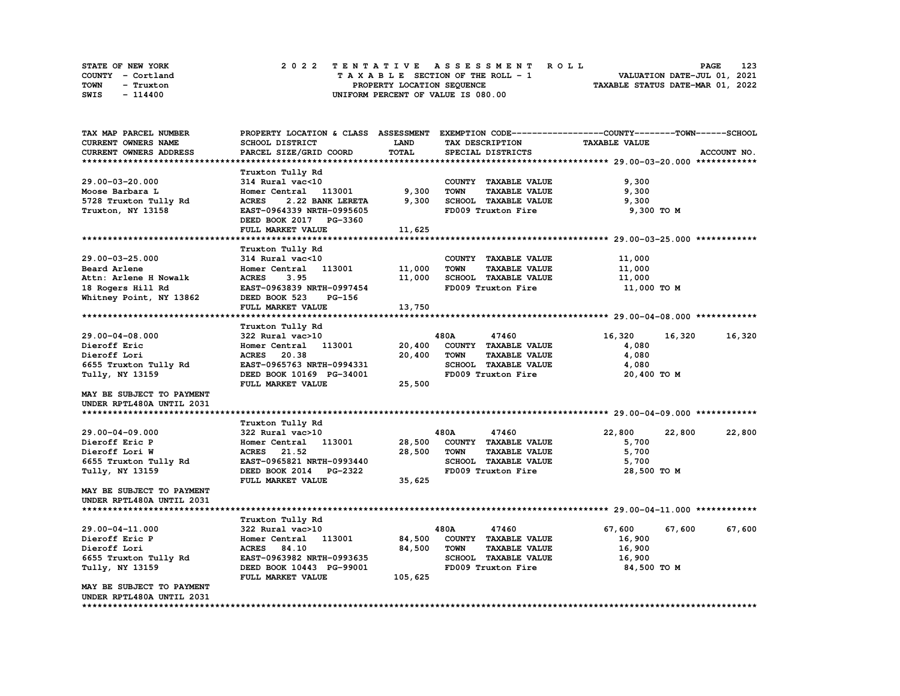| STATE OF NEW YORK | 2022 TENTATIVE ASSESSMENT ROLL     | 123<br><b>PAGE</b>               |
|-------------------|------------------------------------|----------------------------------|
| COUNTY - Cortland | TAXABLE SECTION OF THE ROLL - 1    | VALUATION DATE-JUL 01, 2021      |
| TOWN<br>- Truxton | PROPERTY LOCATION SEQUENCE         | TAXABLE STATUS DATE-MAR 01, 2022 |
| SWIS<br>- 114400  | UNIFORM PERCENT OF VALUE IS 080.00 |                                  |

| TAX MAP PARCEL NUMBER         | PROPERTY LOCATION & CLASS ASSESSMENT |         |             |                      | EXEMPTION CODE-----------------COUNTY-------TOWN------SCHOOL |        |             |
|-------------------------------|--------------------------------------|---------|-------------|----------------------|--------------------------------------------------------------|--------|-------------|
| CURRENT OWNERS NAME           | SCHOOL DISTRICT                      | LAND    |             | TAX DESCRIPTION      | <b>TAXABLE VALUE</b>                                         |        |             |
| <b>CURRENT OWNERS ADDRESS</b> | PARCEL SIZE/GRID COORD               | TOTAL   |             | SPECIAL DISTRICTS    |                                                              |        | ACCOUNT NO. |
|                               |                                      |         |             |                      |                                                              |        |             |
|                               | Truxton Tully Rd                     |         |             |                      |                                                              |        |             |
| 29.00-03-20.000               | 314 Rural vac<10                     |         |             | COUNTY TAXABLE VALUE | 9,300                                                        |        |             |
| Moose Barbara L               | Homer Central 113001                 | 9,300   | <b>TOWN</b> | <b>TAXABLE VALUE</b> | 9,300                                                        |        |             |
| 5728 Truxton Tully Rd         | <b>ACRES</b><br>2.22 BANK LERETA     | 9,300   |             | SCHOOL TAXABLE VALUE | 9,300                                                        |        |             |
| Truxton, NY 13158             | EAST-0964339 NRTH-0995605            |         |             | FD009 Truxton Fire   | 9,300 TO M                                                   |        |             |
|                               | DEED BOOK 2017 PG-3360               |         |             |                      |                                                              |        |             |
|                               | <b>FULL MARKET VALUE</b>             | 11,625  |             |                      |                                                              |        |             |
|                               |                                      |         |             |                      |                                                              |        |             |
|                               | Truxton Tully Rd                     |         |             |                      |                                                              |        |             |
| 29.00-03-25.000               | 314 Rural vac<10                     |         |             | COUNTY TAXABLE VALUE | 11,000                                                       |        |             |
| Beard Arlene                  | Homer Central 113001                 | 11,000  | TOWN        | <b>TAXABLE VALUE</b> | 11,000                                                       |        |             |
| Attn: Arlene H Nowalk         | <b>ACRES</b><br>3.95                 | 11,000  |             | SCHOOL TAXABLE VALUE | 11,000                                                       |        |             |
| 18 Rogers Hill Rd             | EAST-0963839 NRTH-0997454            |         |             | FD009 Truxton Fire   | 11,000 TO M                                                  |        |             |
| Whitney Point, NY 13862       | DEED BOOK 523<br><b>PG-156</b>       |         |             |                      |                                                              |        |             |
|                               | FULL MARKET VALUE                    | 13,750  |             |                      |                                                              |        |             |
|                               |                                      |         |             |                      |                                                              |        |             |
|                               | Truxton Tully Rd                     |         |             |                      |                                                              |        |             |
| 29.00-04-08.000               | 322 Rural vac>10                     |         | 480A        | 47460                | 16,320                                                       | 16,320 | 16,320      |
| Dieroff Eric                  | Homer Central 113001                 | 20,400  |             | COUNTY TAXABLE VALUE | 4,080                                                        |        |             |
| Dieroff Lori                  | ACRES 20.38                          | 20,400  | <b>TOWN</b> | <b>TAXABLE VALUE</b> | 4,080                                                        |        |             |
| 6655 Truxton Tully Rd         | EAST-0965763 NRTH-0994331            |         |             | SCHOOL TAXABLE VALUE | 4,080                                                        |        |             |
| Tully, NY 13159               | DEED BOOK 10169 PG-34001             |         |             | FD009 Truxton Fire   | 20,400 TO M                                                  |        |             |
|                               | FULL MARKET VALUE                    | 25,500  |             |                      |                                                              |        |             |
| MAY BE SUBJECT TO PAYMENT     |                                      |         |             |                      |                                                              |        |             |
| UNDER RPTL480A UNTIL 2031     |                                      |         |             |                      |                                                              |        |             |
|                               |                                      |         |             |                      |                                                              |        |             |
|                               | Truxton Tully Rd                     |         |             |                      |                                                              |        |             |
| 29.00-04-09.000               | 322 Rural vac>10                     |         | 480A        | 47460                | 22,800                                                       | 22,800 | 22,800      |
| Dieroff Eric P                | Homer Central 113001                 | 28,500  |             | COUNTY TAXABLE VALUE | 5,700                                                        |        |             |
| Dieroff Lori W                | <b>ACRES</b><br>21.52                | 28,500  | <b>TOWN</b> | <b>TAXABLE VALUE</b> | 5,700                                                        |        |             |
| 6655 Truxton Tully Rd         | EAST-0965821 NRTH-0993440            |         |             | SCHOOL TAXABLE VALUE | 5,700                                                        |        |             |
| Tully, NY 13159               | DEED BOOK 2014 PG-2322               |         |             | FD009 Truxton Fire   | 28,500 TO M                                                  |        |             |
|                               | FULL MARKET VALUE                    | 35,625  |             |                      |                                                              |        |             |
| MAY BE SUBJECT TO PAYMENT     |                                      |         |             |                      |                                                              |        |             |
| UNDER RPTL480A UNTIL 2031     |                                      |         |             |                      |                                                              |        |             |
|                               |                                      |         |             |                      |                                                              |        |             |
|                               | Truxton Tully Rd                     |         |             |                      |                                                              |        |             |
| 29.00-04-11.000               | 322 Rural vac>10                     |         | 480A        | 47460                | 67,600                                                       | 67,600 | 67,600      |
| Dieroff Eric P                | Homer Central 113001                 | 84,500  |             | COUNTY TAXABLE VALUE | 16,900                                                       |        |             |
| Dieroff Lori                  | <b>ACRES</b><br>84.10                | 84,500  | <b>TOWN</b> | <b>TAXABLE VALUE</b> | 16,900                                                       |        |             |
| 6655 Truxton Tully Rd         | EAST-0963982 NRTH-0993635            |         |             | SCHOOL TAXABLE VALUE | 16,900                                                       |        |             |
| Tully, NY 13159               | DEED BOOK 10443 PG-99001             |         |             | FD009 Truxton Fire   | 84,500 TO M                                                  |        |             |
|                               | FULL MARKET VALUE                    | 105,625 |             |                      |                                                              |        |             |
| MAY BE SUBJECT TO PAYMENT     |                                      |         |             |                      |                                                              |        |             |
| UNDER RPTL480A UNTIL 2031     |                                      |         |             |                      |                                                              |        |             |
|                               |                                      |         |             |                      |                                                              |        |             |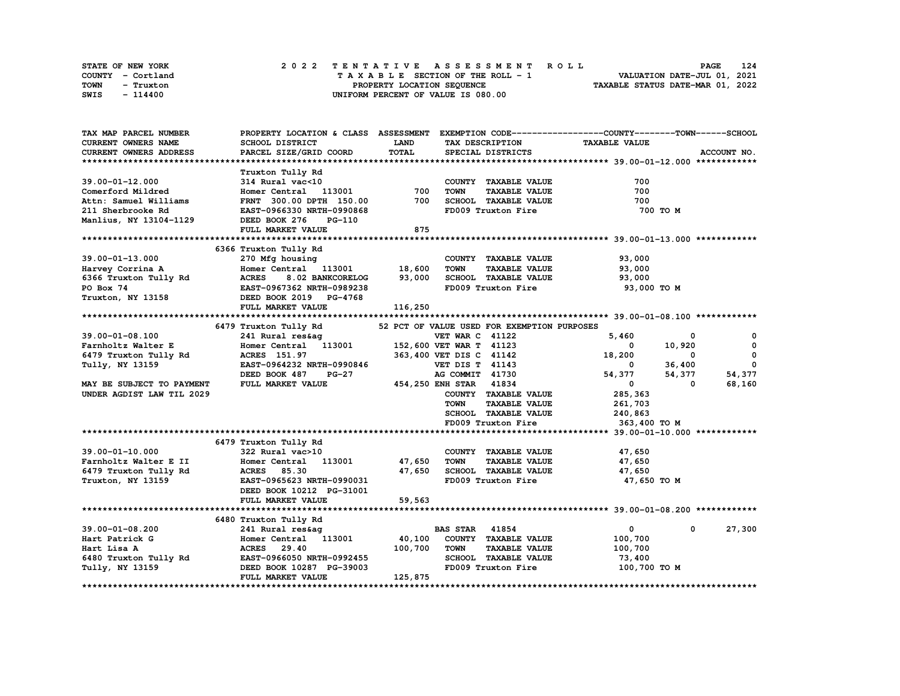| STATE OF NEW YORK | 2022 TENTATIVE ASSESSMENT ROLL     | 124<br><b>PAGE</b>               |
|-------------------|------------------------------------|----------------------------------|
| COUNTY - Cortland | TAXABLE SECTION OF THE ROLL - 1    | VALUATION DATE-JUL 01, 2021      |
| TOWN<br>- Truxton | PROPERTY LOCATION SEQUENCE         | TAXABLE STATUS DATE-MAR 01, 2022 |
| SWIS<br>- 114400  | UNIFORM PERCENT OF VALUE IS 080.00 |                                  |

| TAX MAP PARCEL NUMBER      |                                  |             |                                             | PROPERTY LOCATION & CLASS ASSESSMENT EXEMPTION CODE-----------------COUNTY-------TOWN------SCHOOL |              |
|----------------------------|----------------------------------|-------------|---------------------------------------------|---------------------------------------------------------------------------------------------------|--------------|
| <b>CURRENT OWNERS NAME</b> | SCHOOL DISTRICT                  | <b>LAND</b> | TAX DESCRIPTION                             | <b>TAXABLE VALUE</b>                                                                              |              |
| CURRENT OWNERS ADDRESS     | PARCEL SIZE/GRID COORD           | TOTAL       | SPECIAL DISTRICTS                           |                                                                                                   | ACCOUNT NO.  |
|                            |                                  |             |                                             |                                                                                                   |              |
|                            | Truxton Tully Rd                 |             |                                             |                                                                                                   |              |
| 39.00-01-12.000            | 314 Rural vac<10                 |             | COUNTY TAXABLE VALUE                        | 700                                                                                               |              |
| Comerford Mildred          | Homer Central 113001             | 700         | <b>TOWN</b><br><b>TAXABLE VALUE</b>         | 700                                                                                               |              |
| Attn: Samuel Williams      | FRNT 300.00 DPTH 150.00          | 700         | SCHOOL TAXABLE VALUE                        | 700                                                                                               |              |
| 211 Sherbrooke Rd          | EAST-0966330 NRTH-0990868        |             | FD009 Truxton Fire                          | 700 TO M                                                                                          |              |
| Manlius, NY 13104-1129     | DEED BOOK 276<br>$PG-110$        |             |                                             |                                                                                                   |              |
|                            |                                  | 875         |                                             |                                                                                                   |              |
|                            | FULL MARKET VALUE                |             |                                             |                                                                                                   |              |
|                            |                                  |             |                                             |                                                                                                   |              |
|                            | 6366 Truxton Tully Rd            |             |                                             |                                                                                                   |              |
| $39.00 - 01 - 13.000$      | 270 Mfg housing                  |             | COUNTY TAXABLE VALUE                        | 93,000                                                                                            |              |
| Harvey Corrina A           | Homer Central 113001             | 18,600      | TOWN<br><b>TAXABLE VALUE</b>                | 93,000                                                                                            |              |
| 6366 Truxton Tully Rd      | <b>ACRES</b><br>8.02 BANKCORELOG | 93,000      | SCHOOL TAXABLE VALUE                        | 93,000                                                                                            |              |
| PO Box 74                  | <b>EAST-0967362 NRTH-0989238</b> |             | FD009 Truxton Fire                          | 93,000 TO M                                                                                       |              |
| Truxton, NY 13158          | DEED BOOK 2019 PG-4768           |             |                                             |                                                                                                   |              |
|                            | FULL MARKET VALUE                | 116,250     |                                             |                                                                                                   |              |
|                            |                                  |             |                                             |                                                                                                   |              |
|                            | 6479 Truxton Tully Rd            |             | 52 PCT OF VALUE USED FOR EXEMPTION PURPOSES |                                                                                                   |              |
| $39.00 - 01 - 08.100$      | 241 Rural res&ag                 |             | <b>VET WAR C 41122</b>                      | 5,460<br>0                                                                                        | $\mathbf{o}$ |
| Farnholtz Walter E         | Homer Central 113001             |             | 152,600 VET WAR T 41123                     | 10,920<br>0                                                                                       | $^{\circ}$   |
| 6479 Truxton Tully Rd      | ACRES 151.97                     |             | 363,400 VET DIS C 41142                     | 18,200<br>0                                                                                       | 0            |
| Tully, NY 13159            | EAST-0964232 NRTH-0990846        |             | <b>VET DIS T 41143</b>                      | 36,400<br>0                                                                                       | 0            |
|                            | $PG-27$<br>DEED BOOK 487         |             | AG COMMIT 41730                             | 54,377<br>54,377                                                                                  | 54,377       |
| MAY BE SUBJECT TO PAYMENT  | FULL MARKET VALUE                |             | 454, 250 ENH STAR 41834                     | $\Omega$<br>$\mathbf{0}$                                                                          | 68,160       |
| UNDER AGDIST LAW TIL 2029  |                                  |             | COUNTY TAXABLE VALUE                        | 285,363                                                                                           |              |
|                            |                                  |             | <b>TOWN</b><br><b>TAXABLE VALUE</b>         |                                                                                                   |              |
|                            |                                  |             | <b>SCHOOL TAXABLE VALUE</b>                 | 261,703                                                                                           |              |
|                            |                                  |             |                                             | 240,863                                                                                           |              |
|                            |                                  |             | FD009 Truxton Fire                          | 363,400 TO M                                                                                      |              |
|                            |                                  |             |                                             |                                                                                                   |              |
|                            | 6479 Truxton Tully Rd            |             |                                             |                                                                                                   |              |
| $39.00 - 01 - 10.000$      | 322 Rural vac>10                 |             | COUNTY TAXABLE VALUE                        | 47,650                                                                                            |              |
| Farnholtz Walter E II      | Homer Central 113001             | 47,650      | <b>TOWN</b><br><b>TAXABLE VALUE</b>         | 47,650                                                                                            |              |
| 6479 Truxton Tully Rd      | <b>ACRES</b><br>85.30            | 47,650      | SCHOOL TAXABLE VALUE                        | 47,650                                                                                            |              |
| Truxton, NY 13159          | EAST-0965623 NRTH-0990031        |             | FD009 Truxton Fire                          | 47,650 TO M                                                                                       |              |
|                            | DEED BOOK 10212 PG-31001         |             |                                             |                                                                                                   |              |
|                            | FULL MARKET VALUE                | 59,563      |                                             |                                                                                                   |              |
|                            |                                  |             |                                             |                                                                                                   |              |
|                            | 6480 Truxton Tully Rd            |             |                                             |                                                                                                   |              |
| 39.00-01-08.200            | 241 Rural res&ag                 |             | <b>BAS STAR 41854</b>                       | $\mathbf{0}$<br>$^{\circ}$                                                                        | 27,300       |
| Hart Patrick G             | Homer Central 113001             | 40,100      | COUNTY TAXABLE VALUE                        | 100,700                                                                                           |              |
| Hart Lisa A                | ACRES 29.40                      | 100,700     | <b>TOWN</b><br><b>TAXABLE VALUE</b>         | 100,700                                                                                           |              |
| 6480 Truxton Tully Rd      | EAST-0966050 NRTH-0992455        |             | SCHOOL TAXABLE VALUE                        | 73,400                                                                                            |              |
| Tully, NY 13159            | DEED BOOK 10287 PG-39003         |             | FD009 Truxton Fire                          | 100,700 TO M                                                                                      |              |
|                            | FULL MARKET VALUE                | 125,875     |                                             |                                                                                                   |              |
|                            |                                  |             |                                             |                                                                                                   |              |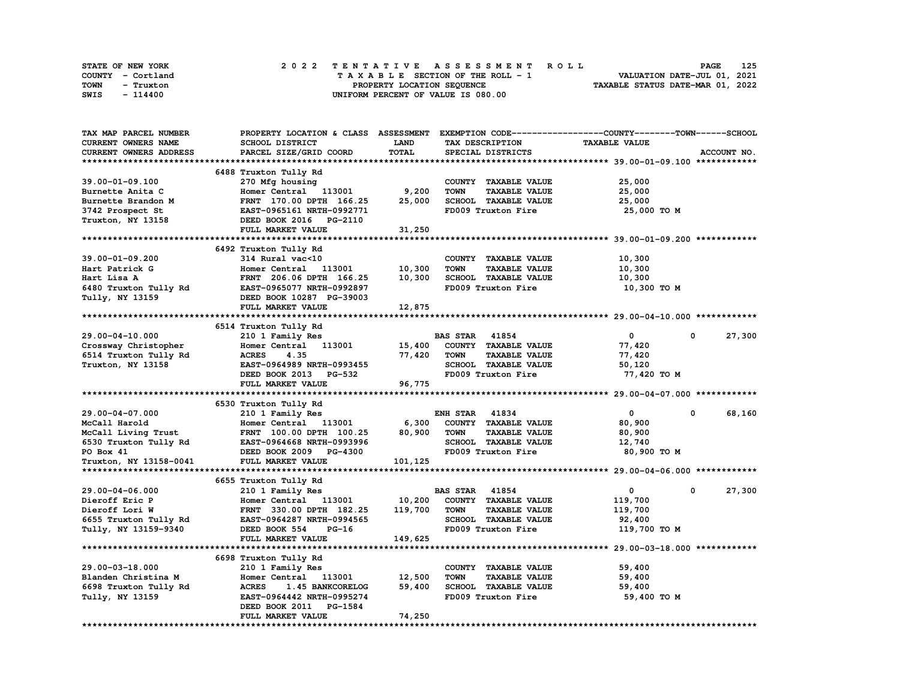| STATE OF NEW YORK | 2022 TENTATIVE ASSESSMENT ROLL     | 125<br><b>PAGE</b>               |
|-------------------|------------------------------------|----------------------------------|
| COUNTY - Cortland | TAXABLE SECTION OF THE ROLL - 1    | VALUATION DATE-JUL 01, 2021      |
| TOWN<br>- Truxton | PROPERTY LOCATION SEQUENCE         | TAXABLE STATUS DATE-MAR 01, 2022 |
| SWIS<br>- 114400  | UNIFORM PERCENT OF VALUE IS 080.00 |                                  |

| TAX MAP PARCEL NUMBER  | PROPERTY LOCATION & CLASS ASSESSMENT EXEMPTION CODE-----------------COUNTY-------TOWN-----SCHOOL |             |                                     |                      |                      |
|------------------------|--------------------------------------------------------------------------------------------------|-------------|-------------------------------------|----------------------|----------------------|
| CURRENT OWNERS NAME    | SCHOOL DISTRICT                                                                                  | <b>LAND</b> | TAX DESCRIPTION                     | <b>TAXABLE VALUE</b> |                      |
| CURRENT OWNERS ADDRESS | PARCEL SIZE/GRID COORD                                                                           | TOTAL       | SPECIAL DISTRICTS                   |                      | ACCOUNT NO.          |
|                        |                                                                                                  |             |                                     |                      |                      |
|                        | 6488 Truxton Tully Rd                                                                            |             |                                     |                      |                      |
| 39.00-01-09.100        | 270 Mfg housing                                                                                  |             | COUNTY TAXABLE VALUE                | 25,000               |                      |
| Burnette Anita C       | Homer Central 113001                                                                             | 9,200       | <b>TOWN</b><br><b>TAXABLE VALUE</b> | 25,000               |                      |
| Burnette Brandon M     | FRNT 170.00 DPTH 166.25                                                                          | 25,000      | SCHOOL TAXABLE VALUE                | 25,000               |                      |
| 3742 Prospect St       | EAST-0965161 NRTH-0992771                                                                        |             | FD009 Truxton Fire                  | 25,000 TO M          |                      |
|                        | DEED BOOK 2016 PG-2110                                                                           |             |                                     |                      |                      |
| Truxton, NY 13158      |                                                                                                  |             |                                     |                      |                      |
|                        | FULL MARKET VALUE                                                                                | 31,250      |                                     |                      |                      |
|                        |                                                                                                  |             |                                     |                      |                      |
|                        | 6492 Truxton Tully Rd                                                                            |             |                                     |                      |                      |
| 39.00-01-09.200        | 314 Rural vac<10                                                                                 |             | COUNTY TAXABLE VALUE                | 10,300               |                      |
| Hart Patrick G         | Homer Central 113001                                                                             | 10,300      | <b>TOWN</b><br><b>TAXABLE VALUE</b> | 10,300               |                      |
| Hart Lisa A            | FRNT 206.06 DPTH 166.25                                                                          | 10,300      | SCHOOL TAXABLE VALUE                | 10,300               |                      |
| 6480 Truxton Tully Rd  | EAST-0965077 NRTH-0992897                                                                        |             | FD009 Truxton Fire                  | 10,300 TO M          |                      |
| Tully, NY 13159        | DEED BOOK 10287 PG-39003                                                                         |             |                                     |                      |                      |
|                        | FULL MARKET VALUE                                                                                | 12,875      |                                     |                      |                      |
|                        |                                                                                                  |             |                                     |                      |                      |
|                        | 6514 Truxton Tully Rd                                                                            |             |                                     |                      |                      |
| 29.00-04-10.000        | 210 1 Family Res                                                                                 |             | <b>BAS STAR 41854</b>               | $\mathbf{0}$         | 27,300<br>$^{\circ}$ |
| Crossway Christopher   | Homer Central<br>113001                                                                          | 15,400      | COUNTY TAXABLE VALUE                | 77,420               |                      |
| 6514 Truxton Tully Rd  | <b>ACRES</b><br>4.35                                                                             | 77,420      | <b>TOWN</b><br><b>TAXABLE VALUE</b> | 77,420               |                      |
| Truxton, NY 13158      | EAST-0964989 NRTH-0993455                                                                        |             | SCHOOL TAXABLE VALUE                | 50,120               |                      |
|                        | DEED BOOK 2013 PG-532                                                                            |             | FD009 Truxton Fire                  | 77,420 TO M          |                      |
|                        | FULL MARKET VALUE                                                                                | 96,775      |                                     |                      |                      |
|                        |                                                                                                  |             |                                     |                      |                      |
|                        | 6530 Truxton Tully Rd                                                                            |             |                                     |                      |                      |
| 29.00-04-07.000        | 210 1 Family Res                                                                                 |             | <b>ENH STAR 41834</b>               | $\mathbf{0}$         | 68,160<br>$^{\circ}$ |
| McCall Harold          | Homer Central 113001                                                                             | 6,300       | COUNTY TAXABLE VALUE                | 80,900               |                      |
| McCall Living Trust    | FRNT 100.00 DPTH 100.25                                                                          | 80,900      | <b>TOWN</b><br><b>TAXABLE VALUE</b> | 80,900               |                      |
| 6530 Truxton Tully Rd  | EAST-0964668 NRTH-0993996                                                                        |             | SCHOOL TAXABLE VALUE                | 12,740               |                      |
| PO Box 41              | DEED BOOK 2009 PG-4300                                                                           |             | FD009 Truxton Fire                  | 80,900 TO M          |                      |
|                        |                                                                                                  |             |                                     |                      |                      |
| Truxton, NY 13158-0041 | FULL MARKET VALUE                                                                                | 101,125     |                                     |                      |                      |
|                        |                                                                                                  |             |                                     |                      |                      |
|                        | 6655 Truxton Tully Rd                                                                            |             |                                     |                      |                      |
| 29.00-04-06.000        | 210 1 Family Res                                                                                 |             | <b>BAS STAR</b><br>41854            | 0                    | 27,300<br>0          |
| Dieroff Eric P         | Homer Central 113001                                                                             | 10,200      | COUNTY TAXABLE VALUE                | 119,700              |                      |
| Dieroff Lori W         | FRNT 330.00 DPTH 182.25                                                                          | 119,700     | <b>TOWN</b><br><b>TAXABLE VALUE</b> | 119,700              |                      |
| 6655 Truxton Tully Rd  | EAST-0964287 NRTH-0994565                                                                        |             | <b>SCHOOL TAXABLE VALUE</b>         | 92,400               |                      |
| Tully, NY 13159-9340   | DEED BOOK 554<br>$PG-16$                                                                         |             | FD009 Truxton Fire                  | 119,700 TO M         |                      |
|                        | FULL MARKET VALUE                                                                                | 149,625     |                                     |                      |                      |
|                        |                                                                                                  |             |                                     |                      |                      |
|                        | 6698 Truxton Tully Rd                                                                            |             |                                     |                      |                      |
| 29.00-03-18.000        | 210 1 Family Res                                                                                 |             | COUNTY TAXABLE VALUE                | 59,400               |                      |
| Blanden Christina M    | Homer Central 113001                                                                             | 12,500      | <b>TOWN</b><br><b>TAXABLE VALUE</b> | 59,400               |                      |
| 6698 Truxton Tully Rd  | <b>ACRES</b><br>1.45 BANKCORELOG                                                                 | 59,400      | SCHOOL TAXABLE VALUE                | 59,400               |                      |
| Tully, NY 13159        | EAST-0964442 NRTH-0995274                                                                        |             | FD009 Truxton Fire                  | 59,400 TO M          |                      |
|                        | DEED BOOK 2011 PG-1584                                                                           |             |                                     |                      |                      |
|                        | FULL MARKET VALUE                                                                                | 74,250      |                                     |                      |                      |
|                        |                                                                                                  |             |                                     |                      |                      |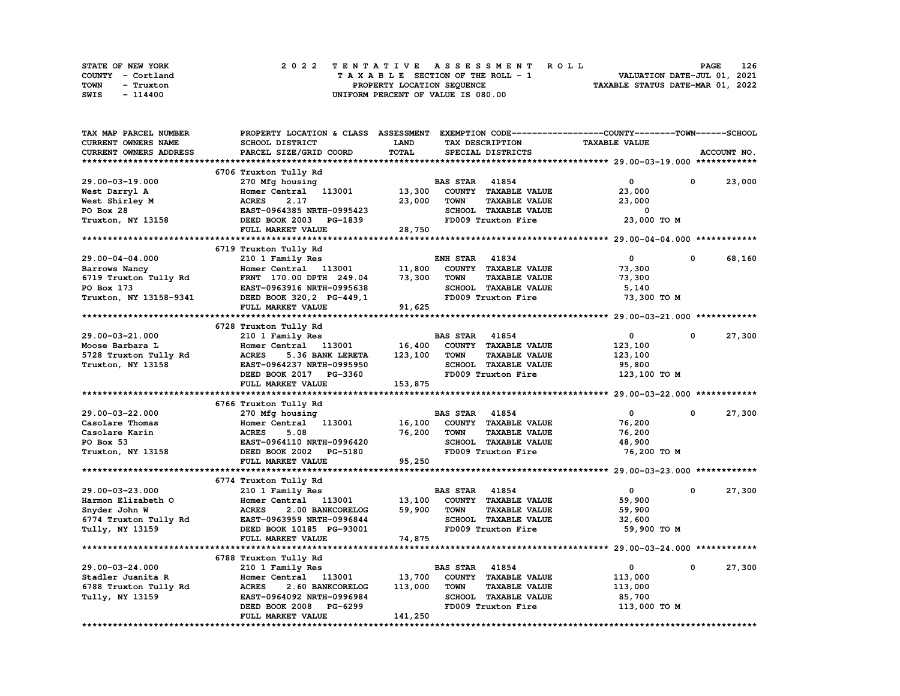| STATE OF NEW YORK | 2022 TENTATIVE ASSESSMENT ROLL     | 126<br><b>PAGE</b>               |
|-------------------|------------------------------------|----------------------------------|
| COUNTY - Cortland | TAXABLE SECTION OF THE ROLL - 1    | VALUATION DATE-JUL 01, 2021      |
| TOWN<br>- Truxton | PROPERTY LOCATION SEQUENCE         | TAXABLE STATUS DATE-MAR 01, 2022 |
| SWIS<br>- 114400  | UNIFORM PERCENT OF VALUE IS 080.00 |                                  |

| TAX MAP PARCEL NUMBER      | PROPERTY LOCATION & CLASS ASSESSMENT EXEMPTION CODE-----------------COUNTY-------TOWN------SCHOOL |              |                       |                             |                      |             |             |
|----------------------------|---------------------------------------------------------------------------------------------------|--------------|-----------------------|-----------------------------|----------------------|-------------|-------------|
| <b>CURRENT OWNERS NAME</b> | SCHOOL DISTRICT                                                                                   | LAND         |                       | TAX DESCRIPTION             | <b>TAXABLE VALUE</b> |             |             |
| CURRENT OWNERS ADDRESS     | PARCEL SIZE/GRID COORD                                                                            | <b>TOTAL</b> |                       | SPECIAL DISTRICTS           |                      |             | ACCOUNT NO. |
|                            |                                                                                                   |              |                       |                             |                      |             |             |
|                            | 6706 Truxton Tully Rd                                                                             |              |                       |                             |                      |             |             |
| 29.00-03-19.000            | 270 Mfg housing                                                                                   |              | <b>BAS STAR 41854</b> |                             | 0                    | 0           | 23,000      |
| West Darryl A              | Homer Central 113001                                                                              | 13,300       |                       | COUNTY TAXABLE VALUE        | 23,000               |             |             |
| West Shirley M             | 2.17<br><b>ACRES</b>                                                                              | 23,000       | <b>TOWN</b>           | <b>TAXABLE VALUE</b>        | 23,000               |             |             |
| PO Box 28                  | EAST-0964385 NRTH-0995423                                                                         |              |                       | SCHOOL TAXABLE VALUE        | 0                    |             |             |
|                            |                                                                                                   |              |                       |                             |                      |             |             |
| Truxton, NY 13158          | DEED BOOK 2003<br><b>PG-1839</b>                                                                  |              |                       | FD009 Truxton Fire          | 23,000 TO M          |             |             |
|                            | FULL MARKET VALUE                                                                                 | 28,750       |                       |                             |                      |             |             |
|                            |                                                                                                   |              |                       |                             |                      |             |             |
|                            | 6719 Truxton Tully Rd                                                                             |              |                       |                             |                      |             |             |
| 29.00-04-04.000            | 210 1 Family Res                                                                                  |              | ENH STAR              | 41834                       | 0                    | 0           | 68,160      |
| Barrows Nancy              | Homer Central 113001                                                                              | 11,800       |                       | COUNTY TAXABLE VALUE        | 73,300               |             |             |
| 6719 Truxton Tully Rd      | FRNT 170.00 DPTH 249.04                                                                           | 73,300       | <b>TOWN</b>           | <b>TAXABLE VALUE</b>        | 73,300               |             |             |
| PO Box 173                 | EAST-0963916 NRTH-0995638                                                                         |              |                       | SCHOOL TAXABLE VALUE        | 5,140                |             |             |
| Truxton, NY 13158-9341     | DEED BOOK 320, 2 PG-449, 1                                                                        |              |                       | FD009 Truxton Fire          | 73,300 TO M          |             |             |
|                            | FULL MARKET VALUE                                                                                 | 91,625       |                       |                             |                      |             |             |
|                            |                                                                                                   |              |                       |                             |                      |             |             |
|                            | 6728 Truxton Tully Rd                                                                             |              |                       |                             |                      |             |             |
| 29.00-03-21.000            | 210 1 Family Res                                                                                  |              | <b>BAS STAR 41854</b> |                             | $\mathbf 0$          | $\mathbf 0$ | 27,300      |
| Moose Barbara L            | Homer Central 113001                                                                              | 16,400       |                       | COUNTY TAXABLE VALUE        | 123,100              |             |             |
| 5728 Truxton Tully Rd      | <b>ACRES</b><br>5.36 BANK LERETA                                                                  | 123,100      | <b>TOWN</b>           | <b>TAXABLE VALUE</b>        | 123,100              |             |             |
| Truxton, NY 13158          | EAST-0964237 NRTH-0995950                                                                         |              |                       | SCHOOL TAXABLE VALUE        | 95,800               |             |             |
|                            | DEED BOOK 2017 PG-3360                                                                            |              |                       | FD009 Truxton Fire          | 123,100 TO M         |             |             |
|                            | FULL MARKET VALUE                                                                                 | 153,875      |                       |                             |                      |             |             |
|                            |                                                                                                   |              |                       |                             |                      |             |             |
|                            | 6766 Truxton Tully Rd                                                                             |              |                       |                             |                      |             |             |
|                            |                                                                                                   |              | <b>BAS STAR 41854</b> |                             | $\mathbf{0}$         | 0           | 27,300      |
| 29.00-03-22.000            | 270 Mfg housing                                                                                   |              |                       |                             |                      |             |             |
| Casolare Thomas            | 113001<br>Homer Central                                                                           | 16,100       |                       | COUNTY TAXABLE VALUE        | 76,200               |             |             |
| Casolare Karin             | 5.08<br><b>ACRES</b>                                                                              | 76,200       | <b>TOWN</b>           | <b>TAXABLE VALUE</b>        | 76,200               |             |             |
| PO Box 53                  | EAST-0964110 NRTH-0996420                                                                         |              |                       | SCHOOL TAXABLE VALUE        | 48,900               |             |             |
| Truxton, NY 13158          | DEED BOOK 2002<br>PG-5180                                                                         |              |                       | FD009 Truxton Fire          | 76,200 TO M          |             |             |
|                            | FULL MARKET VALUE                                                                                 | 95,250       |                       |                             |                      |             |             |
|                            |                                                                                                   |              |                       |                             |                      |             |             |
|                            | 6774 Truxton Tully Rd                                                                             |              |                       |                             |                      |             |             |
| 29.00-03-23.000            | 210 1 Family Res                                                                                  |              | <b>BAS STAR</b>       | 41854                       | 0                    | 0           | 27,300      |
| Harmon Elizabeth O         | Homer Central 113001                                                                              | 13,100       |                       | COUNTY TAXABLE VALUE        | 59,900               |             |             |
| Snyder John W              | <b>ACRES</b><br>2.00 BANKCORELOG                                                                  | 59,900       | <b>TOWN</b>           | <b>TAXABLE VALUE</b>        | 59,900               |             |             |
| 6774 Truxton Tully Rd      | EAST-0963959 NRTH-0996844                                                                         |              |                       | SCHOOL TAXABLE VALUE        | 32,600               |             |             |
| Tully, NY 13159            | DEED BOOK 10185 PG-93001                                                                          |              |                       | FD009 Truxton Fire          | 59,900 TO M          |             |             |
|                            | FULL MARKET VALUE                                                                                 | 74,875       |                       |                             |                      |             |             |
|                            |                                                                                                   |              |                       |                             |                      |             |             |
|                            | 6788 Truxton Tully Rd                                                                             |              |                       |                             |                      |             |             |
| $29.00 - 03 - 24.000$      | 210 1 Family Res                                                                                  |              | <b>BAS STAR</b>       | 41854                       | $\mathbf{o}$         | 0           | 27,300      |
| Stadler Juanita R          | Homer Central 113001                                                                              | 13,700       |                       | COUNTY TAXABLE VALUE        | 113,000              |             |             |
| 6788 Truxton Tully Rd      | <b>ACRES</b><br>2.60 BANKCORELOG                                                                  | 113,000      | <b>TOWN</b>           | <b>TAXABLE VALUE</b>        | 113,000              |             |             |
| Tully, NY 13159            | EAST-0964092 NRTH-0996984                                                                         |              |                       | <b>SCHOOL TAXABLE VALUE</b> | 85,700               |             |             |
|                            | DEED BOOK 2008<br>PG-6299                                                                         |              |                       | FD009 Truxton Fire          |                      |             |             |
|                            |                                                                                                   |              |                       |                             | 113,000 TO M         |             |             |
|                            | FULL MARKET VALUE                                                                                 | 141,250      |                       |                             |                      |             |             |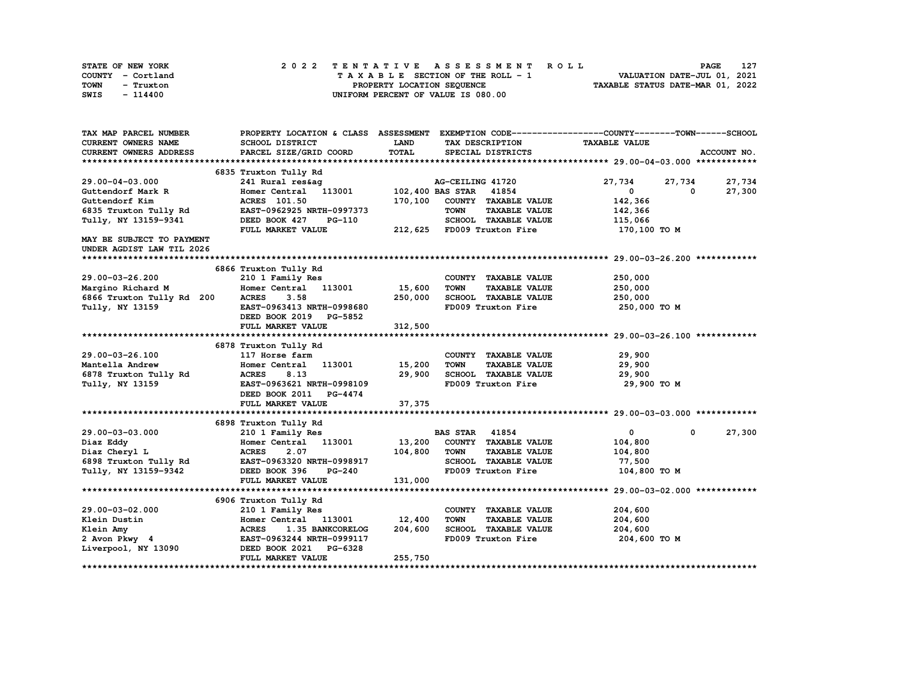| STATE OF NEW YORK | 2022 TENTATIVE ASSESSMENT ROLL     | 127<br><b>PAGE</b>               |
|-------------------|------------------------------------|----------------------------------|
| COUNTY - Cortland | TAXABLE SECTION OF THE ROLL - 1    | VALUATION DATE-JUL 01, 2021      |
| TOWN<br>- Truxton | PROPERTY LOCATION SEOUENCE         | TAXABLE STATUS DATE-MAR 01, 2022 |
| SWIS<br>- 114400  | UNIFORM PERCENT OF VALUE IS 080.00 |                                  |

| TAX MAP PARCEL NUMBER                           |                                               |             |                                     | PROPERTY LOCATION & CLASS ASSESSMENT EXEMPTION CODE----------------COUNTY-------TOWN-----SCHOOL |             |
|-------------------------------------------------|-----------------------------------------------|-------------|-------------------------------------|-------------------------------------------------------------------------------------------------|-------------|
| CURRENT OWNERS NAME                             | SCHOOL DISTRICT                               | <b>LAND</b> | TAX DESCRIPTION                     | <b>TAXABLE VALUE</b>                                                                            |             |
| <b>CURRENT OWNERS ADDRESS</b>                   | PARCEL SIZE/GRID COORD                        | TOTAL       | SPECIAL DISTRICTS                   |                                                                                                 | ACCOUNT NO. |
|                                                 |                                               |             |                                     |                                                                                                 |             |
|                                                 | 6835 Truxton Tully Rd                         |             |                                     |                                                                                                 |             |
| 29.00-04-03.000                                 |                                               |             | AG-CEILING 41720                    | 27,734<br>27,734                                                                                | 27,734      |
| Guttendorf Mark R                               | 241 Rural res&ag<br>Homer Central 113001 102, |             | 102,400 BAS STAR 41854              | $\mathbf{0}$<br>0                                                                               | 27,300      |
| Guttendorf Kim                                  | <b>ACRES</b> 101.50                           | 170,100     | COUNTY TAXABLE VALUE                | 142,366                                                                                         |             |
| 6835 Truxton Tully Rd                           | EAST-0962925 NRTH-0997373                     |             | TOWN<br><b>TAXABLE VALUE</b>        | 142,366                                                                                         |             |
| Tully, NY 13159-9341                            | DEED BOOK 427<br>PG-110                       |             | SCHOOL TAXABLE VALUE                | 115,066                                                                                         |             |
|                                                 | FULL MARKET VALUE                             |             | 212,625 FD009 Truxton Fire          | 170,100 то м                                                                                    |             |
| MAY BE SUBJECT TO PAYMENT                       |                                               |             |                                     |                                                                                                 |             |
| UNDER AGDIST LAW TIL 2026                       |                                               |             |                                     |                                                                                                 |             |
|                                                 |                                               |             |                                     |                                                                                                 |             |
|                                                 | 6866 Truxton Tully Rd                         |             |                                     |                                                                                                 |             |
| 29.00-03-26.200                                 | 210 1 Family Res                              |             | COUNTY TAXABLE VALUE                | 250,000                                                                                         |             |
| Margino Richard M                               | Homer Central 113001                          | 15,600      | TOWN<br><b>TAXABLE VALUE</b>        | 250,000                                                                                         |             |
| 6866 Truxton Tully Rd 200                       | <b>ACRES</b><br>3.58                          | 250,000     | SCHOOL TAXABLE VALUE                | 250,000                                                                                         |             |
| Tully, NY 13159                                 | EAST-0963413 NRTH-0998680                     |             | FD009 Truxton Fire                  | 250,000 то м                                                                                    |             |
|                                                 | DEED BOOK 2019 PG-5852                        |             |                                     |                                                                                                 |             |
|                                                 | FULL MARKET VALUE                             | 312,500     |                                     |                                                                                                 |             |
|                                                 |                                               |             |                                     |                                                                                                 |             |
|                                                 | 6878 Truxton Tully Rd                         |             |                                     |                                                                                                 |             |
| 29.00-03-26.100                                 | 117 Horse farm                                |             | COUNTY TAXABLE VALUE                | 29,900                                                                                          |             |
|                                                 | Homer Central 113001                          | 15,200      | TOWN<br><b>TAXABLE VALUE</b>        | 29,900                                                                                          |             |
| Mantella Andrew<br>6878 Truxton Tully Rd        | <b>ACRES</b><br>8.13                          | 29,900      | SCHOOL TAXABLE VALUE                | 29,900                                                                                          |             |
| Tully, NY 13159                                 | EAST-0963621 NRTH-0998109                     |             | FD009 Truxton Fire                  | 29,900 TO M                                                                                     |             |
|                                                 | DEED BOOK 2011 PG-4474                        |             |                                     |                                                                                                 |             |
|                                                 | FULL MARKET VALUE                             | 37,375      |                                     |                                                                                                 |             |
|                                                 |                                               |             |                                     |                                                                                                 |             |
|                                                 | 6898 Truxton Tully Rd                         |             |                                     |                                                                                                 |             |
| 29.00-03-03.000                                 | 210 1 Family Res                              |             | <b>BAS STAR 41854</b>               | $\mathbf{0}$<br>$\mathbf{0}$                                                                    | 27,300      |
| Diaz Eddy                                       | Homer Central 113001 13,200                   |             | COUNTY TAXABLE VALUE                | 104,800                                                                                         |             |
| Diaz Cheryl L                                   | <b>ACRES</b><br>2.07                          | 104,800     | <b>TOWN</b><br><b>TAXABLE VALUE</b> | 104,800                                                                                         |             |
| 6898 Truxton Tully Rd EAST-0963320 NRTH-0998917 |                                               |             | SCHOOL TAXABLE VALUE                | 77,500                                                                                          |             |
| Tully, NY 13159-9342 DEED BOOK 396              | <b>PG-240</b>                                 |             | FD009 Truxton Fire                  | 104,800 TO M                                                                                    |             |
|                                                 | FULL MARKET VALUE                             | 131,000     |                                     |                                                                                                 |             |
|                                                 |                                               |             |                                     |                                                                                                 |             |
|                                                 | 6906 Truxton Tully Rd                         |             |                                     |                                                                                                 |             |
| 29.00-03-02.000                                 | 210 1 Family Res                              |             | COUNTY TAXABLE VALUE                | 204,600                                                                                         |             |
| Klein Dustin                                    | Homer Central 113001 12,400                   |             | <b>TOWN</b><br><b>TAXABLE VALUE</b> | 204,600                                                                                         |             |
| Klein Amy                                       | <b>ACRES</b><br><b>1.35 BANKCORELOG</b>       | 204,600     | SCHOOL TAXABLE VALUE                | 204,600                                                                                         |             |
| 2 Avon Pkwy 4                                   | EAST-0963244 NRTH-0999117                     |             | FD009 Truxton Fire                  | 204,600 то м                                                                                    |             |
| Liverpool, NY 13090                             | DEED BOOK 2021 PG-6328                        |             |                                     |                                                                                                 |             |
|                                                 | FULL MARKET VALUE                             | 255,750     |                                     |                                                                                                 |             |
|                                                 |                                               |             |                                     |                                                                                                 |             |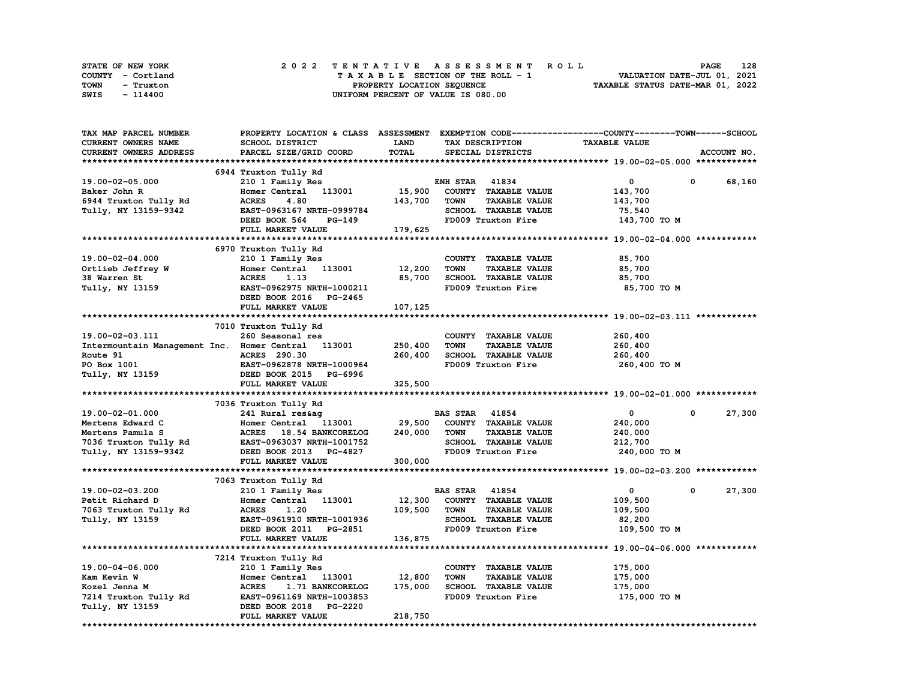| STATE OF NEW YORK | 2022 TENTATIVE ASSESSMENT ROLL     | 128<br><b>PAGE</b>               |
|-------------------|------------------------------------|----------------------------------|
| COUNTY - Cortland | TAXABLE SECTION OF THE ROLL - 1    | VALUATION DATE-JUL 01, 2021      |
| TOWN<br>- Truxton | PROPERTY LOCATION SEQUENCE         | TAXABLE STATUS DATE-MAR 01, 2022 |
| SWIS<br>- 114400  | UNIFORM PERCENT OF VALUE IS 080.00 |                                  |

| TAX MAP PARCEL NUMBER                       | PROPERTY LOCATION & CLASS ASSESSMENT EXEMPTION CODE-----------------COUNTY-------TOWN------SCHOOL |         |                                     |                      |                      |
|---------------------------------------------|---------------------------------------------------------------------------------------------------|---------|-------------------------------------|----------------------|----------------------|
| <b>CURRENT OWNERS NAME</b>                  | SCHOOL DISTRICT                                                                                   | LAND    | TAX DESCRIPTION                     | <b>TAXABLE VALUE</b> |                      |
| CURRENT OWNERS ADDRESS                      | PARCEL SIZE/GRID COORD                                                                            | TOTAL   | SPECIAL DISTRICTS                   |                      | ACCOUNT NO.          |
|                                             |                                                                                                   |         |                                     |                      |                      |
|                                             | 6944 Truxton Tully Rd                                                                             |         |                                     |                      |                      |
| 19.00-02-05.000                             |                                                                                                   |         | <b>ENH STAR 41834</b>               | 0                    | 0                    |
|                                             | 210 1 Family Res                                                                                  |         |                                     |                      | 68,160               |
| Baker John R                                | Homer Central 113001                                                                              | 15,900  | COUNTY TAXABLE VALUE                | 143,700              |                      |
| 6944 Truxton Tully Rd                       | 4.80<br><b>ACRES</b>                                                                              | 143,700 | <b>TOWN</b><br><b>TAXABLE VALUE</b> | 143,700              |                      |
| Tully, NY 13159-9342                        | EAST-0963167 NRTH-0999784                                                                         |         | SCHOOL TAXABLE VALUE                | 75,540               |                      |
|                                             | DEED BOOK 564<br>PG-149                                                                           |         | FD009 Truxton Fire                  | 143,700 TO M         |                      |
|                                             | FULL MARKET VALUE                                                                                 | 179,625 |                                     |                      |                      |
|                                             |                                                                                                   |         |                                     |                      |                      |
|                                             | 6970 Truxton Tully Rd                                                                             |         |                                     |                      |                      |
| 19.00-02-04.000                             | 210 1 Family Res                                                                                  |         | COUNTY TAXABLE VALUE                | 85,700               |                      |
| Ortlieb Jeffrey W                           | Homer Central<br>113001                                                                           | 12,200  | <b>TOWN</b><br><b>TAXABLE VALUE</b> | 85,700               |                      |
| 38 Warren St                                | <b>ACRES</b><br>1.13                                                                              | 85,700  | SCHOOL TAXABLE VALUE                | 85,700               |                      |
| Tully, NY 13159                             | EAST-0962975 NRTH-1000211                                                                         |         | FD009 Truxton Fire                  | 85,700 TO M          |                      |
|                                             |                                                                                                   |         |                                     |                      |                      |
|                                             | DEED BOOK 2016 PG-2465                                                                            |         |                                     |                      |                      |
|                                             | FULL MARKET VALUE                                                                                 | 107,125 |                                     |                      |                      |
|                                             |                                                                                                   |         |                                     |                      |                      |
|                                             | 7010 Truxton Tully Rd                                                                             |         |                                     |                      |                      |
| 19.00-02-03.111                             | 260 Seasonal res                                                                                  |         | COUNTY TAXABLE VALUE                | 260,400              |                      |
| Intermountain Management Inc. Homer Central | 113001                                                                                            | 250,400 | <b>TOWN</b><br><b>TAXABLE VALUE</b> | 260,400              |                      |
| Route 91                                    | <b>ACRES</b> 290.30                                                                               | 260,400 | SCHOOL TAXABLE VALUE                | 260,400              |                      |
| PO Box 1001                                 | EAST-0962878 NRTH-1000964                                                                         |         | FD009 Truxton Fire                  | 260,400 TO M         |                      |
| Tully, NY 13159                             | DEED BOOK 2015 PG-6996                                                                            |         |                                     |                      |                      |
|                                             | FULL MARKET VALUE                                                                                 | 325,500 |                                     |                      |                      |
|                                             |                                                                                                   |         |                                     |                      |                      |
|                                             | 7036 Truxton Tully Rd                                                                             |         |                                     |                      |                      |
|                                             |                                                                                                   |         | <b>BAS STAR 41854</b>               | $\mathbf{0}$         | 27,300<br>$^{\circ}$ |
| 19.00-02-01.000                             | 241 Rural res&aq                                                                                  |         |                                     |                      |                      |
| Mertens Edward C                            | Homer Central 113001                                                                              | 29,500  | COUNTY TAXABLE VALUE                | 240,000              |                      |
| Mertens Pamula S                            | ACRES 18.54 BANKCORELOG                                                                           | 240,000 | <b>TOWN</b><br><b>TAXABLE VALUE</b> | 240,000              |                      |
| 7036 Truxton Tully Rd                       | EAST-0963037 NRTH-1001752                                                                         |         | SCHOOL TAXABLE VALUE                | 212,700              |                      |
| Tully, NY 13159-9342                        | DEED BOOK 2013 PG-4827                                                                            |         | FD009 Truxton Fire                  | 240,000 TO M         |                      |
|                                             | FULL MARKET VALUE                                                                                 | 300,000 |                                     |                      |                      |
|                                             |                                                                                                   |         |                                     |                      |                      |
|                                             | 7063 Truxton Tully Rd                                                                             |         |                                     |                      |                      |
| 19.00-02-03.200                             | 210 1 Family Res                                                                                  |         | <b>BAS STAR</b><br>41854            | 0                    | 27,300<br>0          |
| Petit Richard D                             | Homer Central<br>113001                                                                           | 12,300  | COUNTY TAXABLE VALUE                | 109,500              |                      |
| 7063 Truxton Tully Rd                       | <b>ACRES</b><br>1.20                                                                              | 109,500 | <b>TOWN</b><br><b>TAXABLE VALUE</b> | 109,500              |                      |
| Tully, NY 13159                             | EAST-0961910 NRTH-1001936                                                                         |         | SCHOOL TAXABLE VALUE                | 82,200               |                      |
|                                             | DEED BOOK 2011 PG-2851                                                                            |         | FD009 Truxton Fire                  | 109,500 TO M         |                      |
|                                             |                                                                                                   |         |                                     |                      |                      |
|                                             | FULL MARKET VALUE                                                                                 | 136,875 |                                     |                      |                      |
|                                             |                                                                                                   |         |                                     |                      |                      |
|                                             | 7214 Truxton Tully Rd                                                                             |         |                                     |                      |                      |
| 19.00-04-06.000                             | 210 1 Family Res                                                                                  |         | COUNTY TAXABLE VALUE                | 175,000              |                      |
| Kam Kevin W                                 | Homer Central 113001                                                                              | 12,800  | <b>TOWN</b><br><b>TAXABLE VALUE</b> | 175,000              |                      |
| Kozel Jenna M                               | <b>ACRES</b><br>1.71 BANKCORELOG                                                                  | 175,000 | SCHOOL TAXABLE VALUE                | 175,000              |                      |
| 7214 Truxton Tully Rd                       | EAST-0961169 NRTH-1003853                                                                         |         | FD009 Truxton Fire                  | 175,000 TO M         |                      |
| Tully, NY 13159                             | DEED BOOK 2018<br><b>PG-2220</b>                                                                  |         |                                     |                      |                      |
|                                             | FULL MARKET VALUE                                                                                 | 218,750 |                                     |                      |                      |
|                                             |                                                                                                   |         |                                     |                      |                      |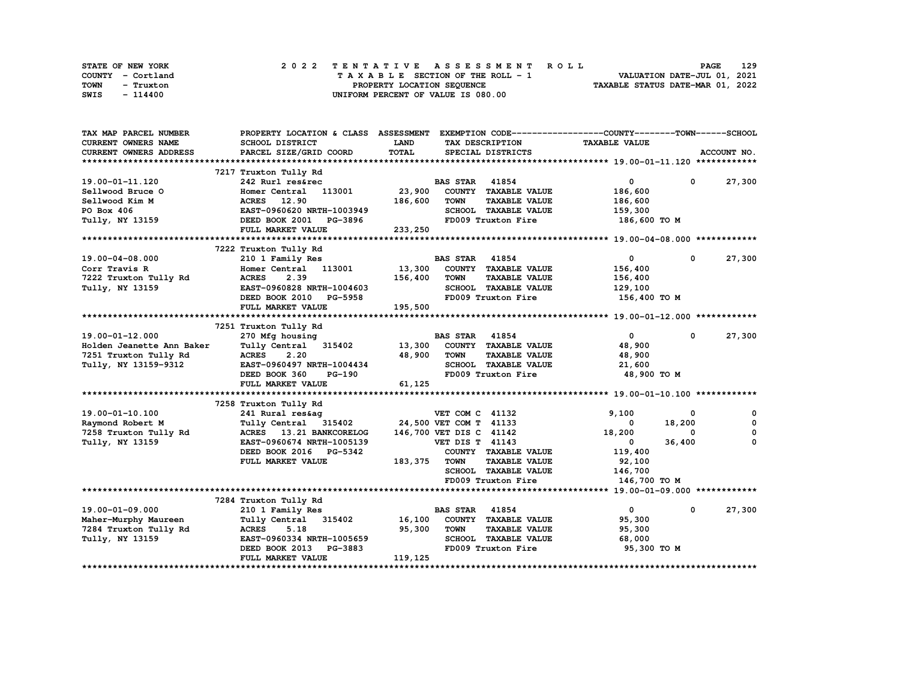| STATE OF NEW YORK | 2022 TENTATIVE ASSESSMENT ROLL     | 129<br><b>PAGE</b>               |
|-------------------|------------------------------------|----------------------------------|
| COUNTY - Cortland | TAXABLE SECTION OF THE ROLL - 1    | VALUATION DATE-JUL 01, 2021      |
| TOWN<br>- Truxton | PROPERTY LOCATION SEQUENCE         | TAXABLE STATUS DATE-MAR 01, 2022 |
| SWIS<br>- 114400  | UNIFORM PERCENT OF VALUE IS 080.00 |                                  |

| SCHOOL DISTRICT<br><b>LAND</b><br><b>TAXABLE VALUE</b><br>TAX DESCRIPTION<br><b>TOTAL</b><br>PARCEL SIZE/GRID COORD<br>SPECIAL DISTRICTS<br>ACCOUNT NO.<br>7217 Truxton Tully Rd<br><b>BAS STAR 41854</b><br>$\mathbf{0}$<br>27,300<br>242 Rurl res&rec<br>$\mathbf 0$<br>23,900<br>COUNTY TAXABLE VALUE<br>Homer Central 113001<br>186,600<br><b>ACRES</b> 12.90<br>186,600<br><b>TOWN</b><br><b>TAXABLE VALUE</b><br>186,600<br>EAST-0960620 NRTH-1003949<br>SCHOOL TAXABLE VALUE<br>159,300<br>FD009 Truxton Fire<br>DEED BOOK 2001 PG-3896<br>186,600 то м<br>FULL MARKET VALUE<br>233,250<br>7222 Truxton Tully Rd<br>210 1 Family Res<br><b>BAS STAR 41854</b><br>$\mathbf{0}$<br>$^{\circ}$<br>27,300<br>13,300<br>COUNTY TAXABLE VALUE<br>Homer Central 113001<br>156,400<br>156,400<br><b>TAXABLE VALUE</b><br>7222 Truxton Tully Rd<br><b>ACRES</b><br>2.39<br>TOWN<br>156,400<br>SCHOOL TAXABLE VALUE<br>Tully, NY 13159<br>EAST-0960828 NRTH-1004603<br>129,100<br>FD009 Truxton Fire<br>DEED BOOK 2010 PG-5958<br>156,400 то м<br>195,500<br>FULL MARKET VALUE<br>7251 Truxton Tully Rd<br>19.00-01-12.000<br><b>BAS STAR 41854</b><br>$\mathbf{0}$<br>27,300<br>270 Mfg housing<br>$\mathbf 0$<br>COUNTY TAXABLE VALUE<br>Holden Jeanette Ann Baker<br>Tully Central 315402<br>13,300<br>48,900<br>7251 Truxton Tully Rd<br><b>ACRES</b><br>2.20<br>48,900<br><b>TOWN</b><br><b>TAXABLE VALUE</b><br>48,900<br>Tully, NY 13159-9312<br>EAST-0960497 NRTH-1004434<br>SCHOOL TAXABLE VALUE<br>21,600<br>FD009 Truxton Fire<br>48,900 TO M<br>DEED BOOK 360<br>PG-190<br>FULL MARKET VALUE<br>61,125<br>7258 Truxton Tully Rd<br>9,100<br>19.00-01-10.100<br>241 Rural res&aq<br>VET COM C 41132<br>0<br>0<br>$\mathbf 0$<br>24,500 VET COM T 41133<br>18,200<br>Raymond Robert M<br>Tully Central 315402<br>0<br>7258 Truxton Tully Rd<br>ACRES 13.21 BANKCORELOG<br>146,700 VET DIS C 41142<br>18,200<br>$\mathbf{o}$<br>0<br>0<br>Tully, NY 13159<br>EAST-0960674 NRTH-1005139<br><b>VET DIS T 41143</b><br>36,400<br>$\mathbf{0}$<br>COUNTY TAXABLE VALUE<br>119,400<br>DEED BOOK 2016 PG-5342<br>FULL MARKET VALUE<br>183,375<br><b>TOWN</b><br><b>TAXABLE VALUE</b><br>92,100<br>SCHOOL TAXABLE VALUE<br>146,700<br>FD009 Truxton Fire<br>146,700 TO M<br>7284 Truxton Tully Rd<br>19.00-01-09.000<br><b>BAS STAR</b> 41854<br>$\mathbf{0}$<br>27,300<br>210 1 Family Res<br>$\mathbf 0$<br>Tully Central 315402 16,100<br>COUNTY TAXABLE VALUE<br>95,300<br>Maher-Murphy Maureen<br>95,300<br><b>TOWN</b><br><b>TAXABLE VALUE</b><br>7284 Truxton Tully Rd<br><b>ACRES</b><br>5.18<br>95,300 | TAX MAP PARCEL NUMBER         | PROPERTY LOCATION & CLASS ASSESSMENT EXEMPTION CODE----------------COUNTY-------TOWN-----SCHOOL |  |  |  |
|----------------------------------------------------------------------------------------------------------------------------------------------------------------------------------------------------------------------------------------------------------------------------------------------------------------------------------------------------------------------------------------------------------------------------------------------------------------------------------------------------------------------------------------------------------------------------------------------------------------------------------------------------------------------------------------------------------------------------------------------------------------------------------------------------------------------------------------------------------------------------------------------------------------------------------------------------------------------------------------------------------------------------------------------------------------------------------------------------------------------------------------------------------------------------------------------------------------------------------------------------------------------------------------------------------------------------------------------------------------------------------------------------------------------------------------------------------------------------------------------------------------------------------------------------------------------------------------------------------------------------------------------------------------------------------------------------------------------------------------------------------------------------------------------------------------------------------------------------------------------------------------------------------------------------------------------------------------------------------------------------------------------------------------------------------------------------------------------------------------------------------------------------------------------------------------------------------------------------------------------------------------------------------------------------------------------------------------------------------------------------------------------------------------------------------------------------------------------------------------------------------------------------------------------------------------------------------------------------------------|-------------------------------|-------------------------------------------------------------------------------------------------|--|--|--|
|                                                                                                                                                                                                                                                                                                                                                                                                                                                                                                                                                                                                                                                                                                                                                                                                                                                                                                                                                                                                                                                                                                                                                                                                                                                                                                                                                                                                                                                                                                                                                                                                                                                                                                                                                                                                                                                                                                                                                                                                                                                                                                                                                                                                                                                                                                                                                                                                                                                                                                                                                                                                                | CURRENT OWNERS NAME           |                                                                                                 |  |  |  |
|                                                                                                                                                                                                                                                                                                                                                                                                                                                                                                                                                                                                                                                                                                                                                                                                                                                                                                                                                                                                                                                                                                                                                                                                                                                                                                                                                                                                                                                                                                                                                                                                                                                                                                                                                                                                                                                                                                                                                                                                                                                                                                                                                                                                                                                                                                                                                                                                                                                                                                                                                                                                                | <b>CURRENT OWNERS ADDRESS</b> |                                                                                                 |  |  |  |
|                                                                                                                                                                                                                                                                                                                                                                                                                                                                                                                                                                                                                                                                                                                                                                                                                                                                                                                                                                                                                                                                                                                                                                                                                                                                                                                                                                                                                                                                                                                                                                                                                                                                                                                                                                                                                                                                                                                                                                                                                                                                                                                                                                                                                                                                                                                                                                                                                                                                                                                                                                                                                |                               |                                                                                                 |  |  |  |
|                                                                                                                                                                                                                                                                                                                                                                                                                                                                                                                                                                                                                                                                                                                                                                                                                                                                                                                                                                                                                                                                                                                                                                                                                                                                                                                                                                                                                                                                                                                                                                                                                                                                                                                                                                                                                                                                                                                                                                                                                                                                                                                                                                                                                                                                                                                                                                                                                                                                                                                                                                                                                |                               |                                                                                                 |  |  |  |
|                                                                                                                                                                                                                                                                                                                                                                                                                                                                                                                                                                                                                                                                                                                                                                                                                                                                                                                                                                                                                                                                                                                                                                                                                                                                                                                                                                                                                                                                                                                                                                                                                                                                                                                                                                                                                                                                                                                                                                                                                                                                                                                                                                                                                                                                                                                                                                                                                                                                                                                                                                                                                | 19.00-01-11.120               |                                                                                                 |  |  |  |
|                                                                                                                                                                                                                                                                                                                                                                                                                                                                                                                                                                                                                                                                                                                                                                                                                                                                                                                                                                                                                                                                                                                                                                                                                                                                                                                                                                                                                                                                                                                                                                                                                                                                                                                                                                                                                                                                                                                                                                                                                                                                                                                                                                                                                                                                                                                                                                                                                                                                                                                                                                                                                | Sellwood Bruce O              |                                                                                                 |  |  |  |
|                                                                                                                                                                                                                                                                                                                                                                                                                                                                                                                                                                                                                                                                                                                                                                                                                                                                                                                                                                                                                                                                                                                                                                                                                                                                                                                                                                                                                                                                                                                                                                                                                                                                                                                                                                                                                                                                                                                                                                                                                                                                                                                                                                                                                                                                                                                                                                                                                                                                                                                                                                                                                | Sellwood Kim M                |                                                                                                 |  |  |  |
|                                                                                                                                                                                                                                                                                                                                                                                                                                                                                                                                                                                                                                                                                                                                                                                                                                                                                                                                                                                                                                                                                                                                                                                                                                                                                                                                                                                                                                                                                                                                                                                                                                                                                                                                                                                                                                                                                                                                                                                                                                                                                                                                                                                                                                                                                                                                                                                                                                                                                                                                                                                                                | PO Box 406                    |                                                                                                 |  |  |  |
|                                                                                                                                                                                                                                                                                                                                                                                                                                                                                                                                                                                                                                                                                                                                                                                                                                                                                                                                                                                                                                                                                                                                                                                                                                                                                                                                                                                                                                                                                                                                                                                                                                                                                                                                                                                                                                                                                                                                                                                                                                                                                                                                                                                                                                                                                                                                                                                                                                                                                                                                                                                                                | Tully, NY 13159               |                                                                                                 |  |  |  |
|                                                                                                                                                                                                                                                                                                                                                                                                                                                                                                                                                                                                                                                                                                                                                                                                                                                                                                                                                                                                                                                                                                                                                                                                                                                                                                                                                                                                                                                                                                                                                                                                                                                                                                                                                                                                                                                                                                                                                                                                                                                                                                                                                                                                                                                                                                                                                                                                                                                                                                                                                                                                                |                               |                                                                                                 |  |  |  |
|                                                                                                                                                                                                                                                                                                                                                                                                                                                                                                                                                                                                                                                                                                                                                                                                                                                                                                                                                                                                                                                                                                                                                                                                                                                                                                                                                                                                                                                                                                                                                                                                                                                                                                                                                                                                                                                                                                                                                                                                                                                                                                                                                                                                                                                                                                                                                                                                                                                                                                                                                                                                                |                               |                                                                                                 |  |  |  |
|                                                                                                                                                                                                                                                                                                                                                                                                                                                                                                                                                                                                                                                                                                                                                                                                                                                                                                                                                                                                                                                                                                                                                                                                                                                                                                                                                                                                                                                                                                                                                                                                                                                                                                                                                                                                                                                                                                                                                                                                                                                                                                                                                                                                                                                                                                                                                                                                                                                                                                                                                                                                                |                               |                                                                                                 |  |  |  |
|                                                                                                                                                                                                                                                                                                                                                                                                                                                                                                                                                                                                                                                                                                                                                                                                                                                                                                                                                                                                                                                                                                                                                                                                                                                                                                                                                                                                                                                                                                                                                                                                                                                                                                                                                                                                                                                                                                                                                                                                                                                                                                                                                                                                                                                                                                                                                                                                                                                                                                                                                                                                                | 19.00-04-08.000               |                                                                                                 |  |  |  |
|                                                                                                                                                                                                                                                                                                                                                                                                                                                                                                                                                                                                                                                                                                                                                                                                                                                                                                                                                                                                                                                                                                                                                                                                                                                                                                                                                                                                                                                                                                                                                                                                                                                                                                                                                                                                                                                                                                                                                                                                                                                                                                                                                                                                                                                                                                                                                                                                                                                                                                                                                                                                                | Corr Travis R                 |                                                                                                 |  |  |  |
|                                                                                                                                                                                                                                                                                                                                                                                                                                                                                                                                                                                                                                                                                                                                                                                                                                                                                                                                                                                                                                                                                                                                                                                                                                                                                                                                                                                                                                                                                                                                                                                                                                                                                                                                                                                                                                                                                                                                                                                                                                                                                                                                                                                                                                                                                                                                                                                                                                                                                                                                                                                                                |                               |                                                                                                 |  |  |  |
|                                                                                                                                                                                                                                                                                                                                                                                                                                                                                                                                                                                                                                                                                                                                                                                                                                                                                                                                                                                                                                                                                                                                                                                                                                                                                                                                                                                                                                                                                                                                                                                                                                                                                                                                                                                                                                                                                                                                                                                                                                                                                                                                                                                                                                                                                                                                                                                                                                                                                                                                                                                                                |                               |                                                                                                 |  |  |  |
|                                                                                                                                                                                                                                                                                                                                                                                                                                                                                                                                                                                                                                                                                                                                                                                                                                                                                                                                                                                                                                                                                                                                                                                                                                                                                                                                                                                                                                                                                                                                                                                                                                                                                                                                                                                                                                                                                                                                                                                                                                                                                                                                                                                                                                                                                                                                                                                                                                                                                                                                                                                                                |                               |                                                                                                 |  |  |  |
|                                                                                                                                                                                                                                                                                                                                                                                                                                                                                                                                                                                                                                                                                                                                                                                                                                                                                                                                                                                                                                                                                                                                                                                                                                                                                                                                                                                                                                                                                                                                                                                                                                                                                                                                                                                                                                                                                                                                                                                                                                                                                                                                                                                                                                                                                                                                                                                                                                                                                                                                                                                                                |                               |                                                                                                 |  |  |  |
|                                                                                                                                                                                                                                                                                                                                                                                                                                                                                                                                                                                                                                                                                                                                                                                                                                                                                                                                                                                                                                                                                                                                                                                                                                                                                                                                                                                                                                                                                                                                                                                                                                                                                                                                                                                                                                                                                                                                                                                                                                                                                                                                                                                                                                                                                                                                                                                                                                                                                                                                                                                                                |                               |                                                                                                 |  |  |  |
|                                                                                                                                                                                                                                                                                                                                                                                                                                                                                                                                                                                                                                                                                                                                                                                                                                                                                                                                                                                                                                                                                                                                                                                                                                                                                                                                                                                                                                                                                                                                                                                                                                                                                                                                                                                                                                                                                                                                                                                                                                                                                                                                                                                                                                                                                                                                                                                                                                                                                                                                                                                                                |                               |                                                                                                 |  |  |  |
|                                                                                                                                                                                                                                                                                                                                                                                                                                                                                                                                                                                                                                                                                                                                                                                                                                                                                                                                                                                                                                                                                                                                                                                                                                                                                                                                                                                                                                                                                                                                                                                                                                                                                                                                                                                                                                                                                                                                                                                                                                                                                                                                                                                                                                                                                                                                                                                                                                                                                                                                                                                                                |                               |                                                                                                 |  |  |  |
|                                                                                                                                                                                                                                                                                                                                                                                                                                                                                                                                                                                                                                                                                                                                                                                                                                                                                                                                                                                                                                                                                                                                                                                                                                                                                                                                                                                                                                                                                                                                                                                                                                                                                                                                                                                                                                                                                                                                                                                                                                                                                                                                                                                                                                                                                                                                                                                                                                                                                                                                                                                                                |                               |                                                                                                 |  |  |  |
|                                                                                                                                                                                                                                                                                                                                                                                                                                                                                                                                                                                                                                                                                                                                                                                                                                                                                                                                                                                                                                                                                                                                                                                                                                                                                                                                                                                                                                                                                                                                                                                                                                                                                                                                                                                                                                                                                                                                                                                                                                                                                                                                                                                                                                                                                                                                                                                                                                                                                                                                                                                                                |                               |                                                                                                 |  |  |  |
|                                                                                                                                                                                                                                                                                                                                                                                                                                                                                                                                                                                                                                                                                                                                                                                                                                                                                                                                                                                                                                                                                                                                                                                                                                                                                                                                                                                                                                                                                                                                                                                                                                                                                                                                                                                                                                                                                                                                                                                                                                                                                                                                                                                                                                                                                                                                                                                                                                                                                                                                                                                                                |                               |                                                                                                 |  |  |  |
|                                                                                                                                                                                                                                                                                                                                                                                                                                                                                                                                                                                                                                                                                                                                                                                                                                                                                                                                                                                                                                                                                                                                                                                                                                                                                                                                                                                                                                                                                                                                                                                                                                                                                                                                                                                                                                                                                                                                                                                                                                                                                                                                                                                                                                                                                                                                                                                                                                                                                                                                                                                                                |                               |                                                                                                 |  |  |  |
|                                                                                                                                                                                                                                                                                                                                                                                                                                                                                                                                                                                                                                                                                                                                                                                                                                                                                                                                                                                                                                                                                                                                                                                                                                                                                                                                                                                                                                                                                                                                                                                                                                                                                                                                                                                                                                                                                                                                                                                                                                                                                                                                                                                                                                                                                                                                                                                                                                                                                                                                                                                                                |                               |                                                                                                 |  |  |  |
|                                                                                                                                                                                                                                                                                                                                                                                                                                                                                                                                                                                                                                                                                                                                                                                                                                                                                                                                                                                                                                                                                                                                                                                                                                                                                                                                                                                                                                                                                                                                                                                                                                                                                                                                                                                                                                                                                                                                                                                                                                                                                                                                                                                                                                                                                                                                                                                                                                                                                                                                                                                                                |                               |                                                                                                 |  |  |  |
|                                                                                                                                                                                                                                                                                                                                                                                                                                                                                                                                                                                                                                                                                                                                                                                                                                                                                                                                                                                                                                                                                                                                                                                                                                                                                                                                                                                                                                                                                                                                                                                                                                                                                                                                                                                                                                                                                                                                                                                                                                                                                                                                                                                                                                                                                                                                                                                                                                                                                                                                                                                                                |                               |                                                                                                 |  |  |  |
|                                                                                                                                                                                                                                                                                                                                                                                                                                                                                                                                                                                                                                                                                                                                                                                                                                                                                                                                                                                                                                                                                                                                                                                                                                                                                                                                                                                                                                                                                                                                                                                                                                                                                                                                                                                                                                                                                                                                                                                                                                                                                                                                                                                                                                                                                                                                                                                                                                                                                                                                                                                                                |                               |                                                                                                 |  |  |  |
|                                                                                                                                                                                                                                                                                                                                                                                                                                                                                                                                                                                                                                                                                                                                                                                                                                                                                                                                                                                                                                                                                                                                                                                                                                                                                                                                                                                                                                                                                                                                                                                                                                                                                                                                                                                                                                                                                                                                                                                                                                                                                                                                                                                                                                                                                                                                                                                                                                                                                                                                                                                                                |                               |                                                                                                 |  |  |  |
|                                                                                                                                                                                                                                                                                                                                                                                                                                                                                                                                                                                                                                                                                                                                                                                                                                                                                                                                                                                                                                                                                                                                                                                                                                                                                                                                                                                                                                                                                                                                                                                                                                                                                                                                                                                                                                                                                                                                                                                                                                                                                                                                                                                                                                                                                                                                                                                                                                                                                                                                                                                                                |                               |                                                                                                 |  |  |  |
|                                                                                                                                                                                                                                                                                                                                                                                                                                                                                                                                                                                                                                                                                                                                                                                                                                                                                                                                                                                                                                                                                                                                                                                                                                                                                                                                                                                                                                                                                                                                                                                                                                                                                                                                                                                                                                                                                                                                                                                                                                                                                                                                                                                                                                                                                                                                                                                                                                                                                                                                                                                                                |                               |                                                                                                 |  |  |  |
|                                                                                                                                                                                                                                                                                                                                                                                                                                                                                                                                                                                                                                                                                                                                                                                                                                                                                                                                                                                                                                                                                                                                                                                                                                                                                                                                                                                                                                                                                                                                                                                                                                                                                                                                                                                                                                                                                                                                                                                                                                                                                                                                                                                                                                                                                                                                                                                                                                                                                                                                                                                                                |                               |                                                                                                 |  |  |  |
|                                                                                                                                                                                                                                                                                                                                                                                                                                                                                                                                                                                                                                                                                                                                                                                                                                                                                                                                                                                                                                                                                                                                                                                                                                                                                                                                                                                                                                                                                                                                                                                                                                                                                                                                                                                                                                                                                                                                                                                                                                                                                                                                                                                                                                                                                                                                                                                                                                                                                                                                                                                                                |                               |                                                                                                 |  |  |  |
|                                                                                                                                                                                                                                                                                                                                                                                                                                                                                                                                                                                                                                                                                                                                                                                                                                                                                                                                                                                                                                                                                                                                                                                                                                                                                                                                                                                                                                                                                                                                                                                                                                                                                                                                                                                                                                                                                                                                                                                                                                                                                                                                                                                                                                                                                                                                                                                                                                                                                                                                                                                                                |                               |                                                                                                 |  |  |  |
|                                                                                                                                                                                                                                                                                                                                                                                                                                                                                                                                                                                                                                                                                                                                                                                                                                                                                                                                                                                                                                                                                                                                                                                                                                                                                                                                                                                                                                                                                                                                                                                                                                                                                                                                                                                                                                                                                                                                                                                                                                                                                                                                                                                                                                                                                                                                                                                                                                                                                                                                                                                                                |                               |                                                                                                 |  |  |  |
|                                                                                                                                                                                                                                                                                                                                                                                                                                                                                                                                                                                                                                                                                                                                                                                                                                                                                                                                                                                                                                                                                                                                                                                                                                                                                                                                                                                                                                                                                                                                                                                                                                                                                                                                                                                                                                                                                                                                                                                                                                                                                                                                                                                                                                                                                                                                                                                                                                                                                                                                                                                                                |                               |                                                                                                 |  |  |  |
|                                                                                                                                                                                                                                                                                                                                                                                                                                                                                                                                                                                                                                                                                                                                                                                                                                                                                                                                                                                                                                                                                                                                                                                                                                                                                                                                                                                                                                                                                                                                                                                                                                                                                                                                                                                                                                                                                                                                                                                                                                                                                                                                                                                                                                                                                                                                                                                                                                                                                                                                                                                                                |                               |                                                                                                 |  |  |  |
|                                                                                                                                                                                                                                                                                                                                                                                                                                                                                                                                                                                                                                                                                                                                                                                                                                                                                                                                                                                                                                                                                                                                                                                                                                                                                                                                                                                                                                                                                                                                                                                                                                                                                                                                                                                                                                                                                                                                                                                                                                                                                                                                                                                                                                                                                                                                                                                                                                                                                                                                                                                                                |                               |                                                                                                 |  |  |  |
|                                                                                                                                                                                                                                                                                                                                                                                                                                                                                                                                                                                                                                                                                                                                                                                                                                                                                                                                                                                                                                                                                                                                                                                                                                                                                                                                                                                                                                                                                                                                                                                                                                                                                                                                                                                                                                                                                                                                                                                                                                                                                                                                                                                                                                                                                                                                                                                                                                                                                                                                                                                                                |                               |                                                                                                 |  |  |  |
|                                                                                                                                                                                                                                                                                                                                                                                                                                                                                                                                                                                                                                                                                                                                                                                                                                                                                                                                                                                                                                                                                                                                                                                                                                                                                                                                                                                                                                                                                                                                                                                                                                                                                                                                                                                                                                                                                                                                                                                                                                                                                                                                                                                                                                                                                                                                                                                                                                                                                                                                                                                                                |                               |                                                                                                 |  |  |  |
|                                                                                                                                                                                                                                                                                                                                                                                                                                                                                                                                                                                                                                                                                                                                                                                                                                                                                                                                                                                                                                                                                                                                                                                                                                                                                                                                                                                                                                                                                                                                                                                                                                                                                                                                                                                                                                                                                                                                                                                                                                                                                                                                                                                                                                                                                                                                                                                                                                                                                                                                                                                                                |                               |                                                                                                 |  |  |  |
| EAST-0960334 NRTH-1005659<br>SCHOOL TAXABLE VALUE<br>68,000                                                                                                                                                                                                                                                                                                                                                                                                                                                                                                                                                                                                                                                                                                                                                                                                                                                                                                                                                                                                                                                                                                                                                                                                                                                                                                                                                                                                                                                                                                                                                                                                                                                                                                                                                                                                                                                                                                                                                                                                                                                                                                                                                                                                                                                                                                                                                                                                                                                                                                                                                    | Tully, NY 13159               |                                                                                                 |  |  |  |
| FD009 Truxton Fire<br>DEED BOOK 2013<br>PG-3883<br>95,300 TO M                                                                                                                                                                                                                                                                                                                                                                                                                                                                                                                                                                                                                                                                                                                                                                                                                                                                                                                                                                                                                                                                                                                                                                                                                                                                                                                                                                                                                                                                                                                                                                                                                                                                                                                                                                                                                                                                                                                                                                                                                                                                                                                                                                                                                                                                                                                                                                                                                                                                                                                                                 |                               |                                                                                                 |  |  |  |
| FULL MARKET VALUE<br>119,125                                                                                                                                                                                                                                                                                                                                                                                                                                                                                                                                                                                                                                                                                                                                                                                                                                                                                                                                                                                                                                                                                                                                                                                                                                                                                                                                                                                                                                                                                                                                                                                                                                                                                                                                                                                                                                                                                                                                                                                                                                                                                                                                                                                                                                                                                                                                                                                                                                                                                                                                                                                   |                               |                                                                                                 |  |  |  |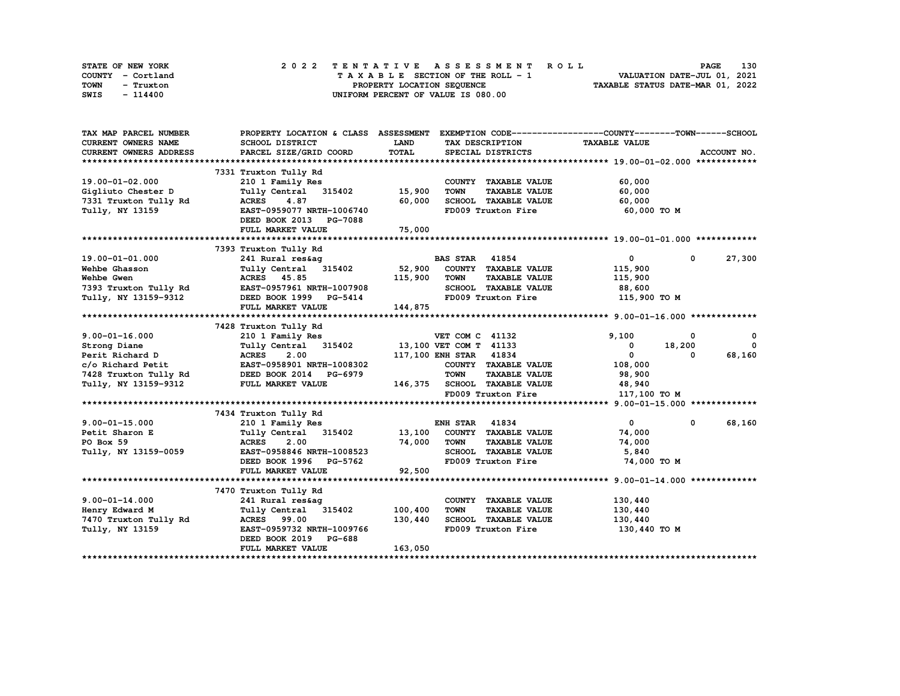| STATE OF NEW YORK | 2022 TENTATIVE ASSESSMENT ROLL     | 130<br><b>PAGE</b>               |
|-------------------|------------------------------------|----------------------------------|
| COUNTY - Cortland | TAXABLE SECTION OF THE ROLL - 1    | VALUATION DATE-JUL 01, 2021      |
| TOWN<br>- Truxton | PROPERTY LOCATION SEQUENCE         | TAXABLE STATUS DATE-MAR 01, 2022 |
| SWIS<br>- 114400  | UNIFORM PERCENT OF VALUE IS 080.00 |                                  |

| TAX MAP PARCEL NUMBER      | PROPERTY LOCATION & CLASS ASSESSMENT EXEMPTION CODE----------------COUNTY-------TOWN------SCHOOL |         |                                     |                      |              |              |
|----------------------------|--------------------------------------------------------------------------------------------------|---------|-------------------------------------|----------------------|--------------|--------------|
| <b>CURRENT OWNERS NAME</b> | SCHOOL DISTRICT                                                                                  | LAND    | TAX DESCRIPTION                     | <b>TAXABLE VALUE</b> |              |              |
| CURRENT OWNERS ADDRESS     | PARCEL SIZE/GRID COORD                                                                           | TOTAL   | SPECIAL DISTRICTS                   |                      |              | ACCOUNT NO.  |
|                            |                                                                                                  |         |                                     |                      |              |              |
|                            | 7331 Truxton Tully Rd                                                                            |         |                                     |                      |              |              |
| 19.00-01-02.000            | 210 1 Family Res                                                                                 |         | COUNTY TAXABLE VALUE                | 60,000               |              |              |
| Gigliuto Chester D         | Tully Central 315402                                                                             | 15,900  | <b>TOWN</b><br><b>TAXABLE VALUE</b> | 60,000               |              |              |
| 7331 Truxton Tully Rd      | 4.87<br><b>ACRES</b>                                                                             | 60,000  | SCHOOL TAXABLE VALUE                | 60,000               |              |              |
| Tully, NY 13159            | EAST-0959077 NRTH-1006740                                                                        |         | FD009 Truxton Fire                  | 60,000 TO M          |              |              |
|                            | DEED BOOK 2013 PG-7088                                                                           |         |                                     |                      |              |              |
|                            | FULL MARKET VALUE                                                                                | 75,000  |                                     |                      |              |              |
|                            |                                                                                                  |         |                                     |                      |              |              |
|                            | 7393 Truxton Tully Rd                                                                            |         |                                     |                      |              |              |
| 19.00-01-01.000            | 241 Rural res&ag                                                                                 |         | <b>BAS STAR 41854</b>               | $\overline{0}$       | $^{\circ}$   | 27,300       |
| Wehbe Ghasson              | Tully Central 315402                                                                             | 52,900  | COUNTY TAXABLE VALUE                | 115,900              |              |              |
| Wehbe Gwen                 | <b>ACRES</b> 45.85                                                                               | 115,900 | <b>TOWN</b><br><b>TAXABLE VALUE</b> | 115,900              |              |              |
| 7393 Truxton Tully Rd      | EAST-0957961 NRTH-1007908                                                                        |         | SCHOOL TAXABLE VALUE                | 88,600               |              |              |
| Tully, NY 13159-9312       | DEED BOOK 1999 PG-5414                                                                           |         | FD009 Truxton Fire                  | 115,900 TO M         |              |              |
|                            | FULL MARKET VALUE                                                                                | 144,875 |                                     |                      |              |              |
|                            |                                                                                                  |         |                                     |                      |              |              |
|                            | 7428 Truxton Tully Rd                                                                            |         |                                     |                      |              |              |
| $9.00 - 01 - 16.000$       | 210 1 Family Res                                                                                 |         | VET COM C 41132                     | 9,100                | 0            | 0            |
| Strong Diane               | Tully Central 315402                                                                             |         | 13,100 VET COM T 41133              | $\mathbf{o}$         | 18,200       | $\mathbf{0}$ |
| Perit Richard D            | <b>ACRES</b><br>2.00                                                                             |         | 117,100 ENH STAR 41834              | $\mathbf{0}$         | $\Omega$     | 68,160       |
| c/o Richard Petit          | EAST-0958901 NRTH-1008302                                                                        |         | COUNTY TAXABLE VALUE                | 108,000              |              |              |
| 7428 Truxton Tully Rd      | DEED BOOK 2014 PG-6979                                                                           |         | <b>TOWN</b><br><b>TAXABLE VALUE</b> | 98,900               |              |              |
| Tully, NY 13159-9312       | FULL MARKET VALUE                                                                                | 146,375 | <b>SCHOOL TAXABLE VALUE</b>         | 48,940               |              |              |
|                            |                                                                                                  |         | FD009 Truxton Fire                  | 117,100 TO M         |              |              |
|                            |                                                                                                  |         |                                     |                      |              |              |
|                            | 7434 Truxton Tully Rd                                                                            |         |                                     |                      |              |              |
| $9.00 - 01 - 15.000$       | 210 1 Family Res                                                                                 |         | <b>ENH STAR 41834</b>               | $\mathbf{0}$         | $\mathbf{0}$ | 68,160       |
| Petit Sharon E             | Tully Central 315402                                                                             | 13,100  | COUNTY TAXABLE VALUE                | 74,000               |              |              |
| PO Box 59                  | <b>ACRES</b><br>2.00                                                                             | 74,000  | <b>TOWN</b><br><b>TAXABLE VALUE</b> | 74,000               |              |              |
| Tully, NY 13159-0059       | EAST-0958846 NRTH-1008523                                                                        |         | SCHOOL TAXABLE VALUE                | 5,840                |              |              |
|                            | DEED BOOK 1996 PG-5762                                                                           |         | FD009 Truxton Fire                  | 74,000 TO M          |              |              |
|                            | FULL MARKET VALUE                                                                                | 92,500  |                                     |                      |              |              |
|                            |                                                                                                  |         |                                     |                      |              |              |
|                            | 7470 Truxton Tully Rd                                                                            |         |                                     |                      |              |              |
| $9.00 - 01 - 14.000$       | 241 Rural res&ag                                                                                 |         | COUNTY TAXABLE VALUE                | 130,440              |              |              |
| Henry Edward M             | Tully Central 315402                                                                             | 100,400 | <b>TOWN</b><br><b>TAXABLE VALUE</b> | 130,440              |              |              |
| 7470 Truxton Tully Rd      | <b>ACRES</b> 99.00                                                                               | 130,440 | SCHOOL TAXABLE VALUE                | 130,440              |              |              |
| Tully, NY 13159            | EAST-0959732 NRTH-1009766                                                                        |         | FD009 Truxton Fire                  | 130,440 TO M         |              |              |
|                            | DEED BOOK 2019 PG-688                                                                            |         |                                     |                      |              |              |
|                            | FULL MARKET VALUE                                                                                | 163,050 |                                     |                      |              |              |
|                            |                                                                                                  |         |                                     |                      |              |              |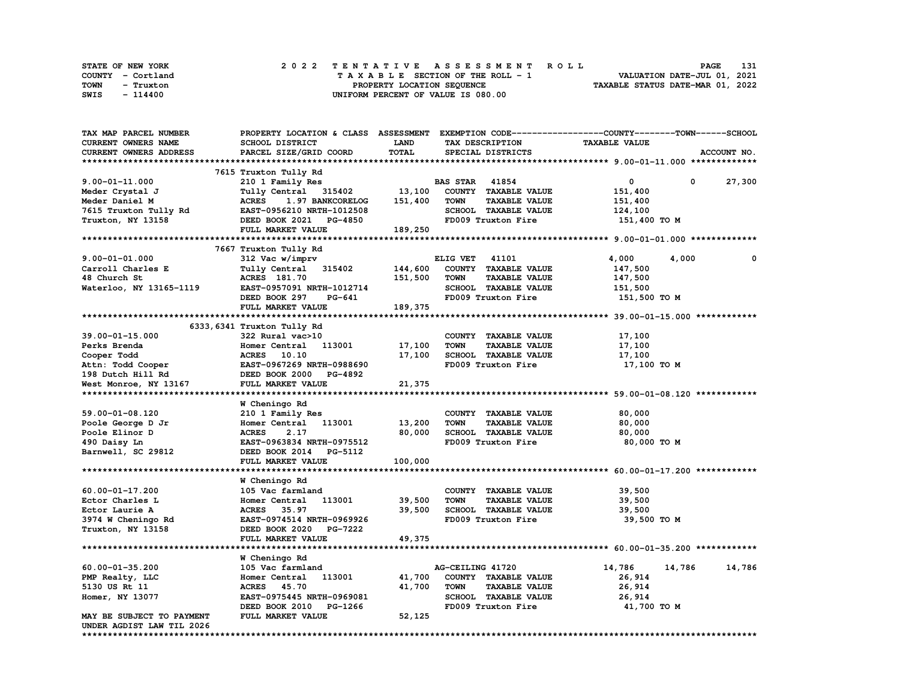| STATE OF NEW YORK |  | 2022 TENTATIVE ASSESSMENT ROLL     |  | <b>PAGE</b>                      | 131 |
|-------------------|--|------------------------------------|--|----------------------------------|-----|
| COUNTY - Cortland |  | TAXABLE SECTION OF THE ROLL - 1    |  | VALUATION DATE-JUL 01, 2021      |     |
| TOWN<br>- Truxton |  | PROPERTY LOCATION SEQUENCE         |  | TAXABLE STATUS DATE-MAR 01, 2022 |     |
| SWIS<br>- 114400  |  | UNIFORM PERCENT OF VALUE IS 080.00 |  |                                  |     |

| TAX MAP PARCEL NUMBER     | PROPERTY LOCATION & CLASS ASSESSMENT EXEMPTION CODE----------------COUNTY-------TOWN-----SCHOOL |         |                       |                      |                      |              |              |
|---------------------------|-------------------------------------------------------------------------------------------------|---------|-----------------------|----------------------|----------------------|--------------|--------------|
| CURRENT OWNERS NAME       | SCHOOL DISTRICT                                                                                 | LAND    |                       | TAX DESCRIPTION      | <b>TAXABLE VALUE</b> |              |              |
| CURRENT OWNERS ADDRESS    | PARCEL SIZE/GRID COORD                                                                          | TOTAL   |                       | SPECIAL DISTRICTS    |                      |              | ACCOUNT NO.  |
|                           |                                                                                                 |         |                       |                      |                      |              |              |
|                           | 7615 Truxton Tully Rd                                                                           |         |                       |                      |                      |              |              |
| $9.00 - 01 - 11.000$      | 210 1 Family Res                                                                                |         | <b>BAS STAR 41854</b> |                      | 0                    | $\mathbf{0}$ | 27,300       |
| Meder Crystal J           | Tully Central 315402                                                                            | 13,100  |                       | COUNTY TAXABLE VALUE | 151,400              |              |              |
| Meder Daniel M            | <b>ACRES</b><br>1.97 BANKCORELOG                                                                | 151,400 | <b>TOWN</b>           | <b>TAXABLE VALUE</b> | 151,400              |              |              |
| 7615 Truxton Tully Rd     | EAST-0956210 NRTH-1012508                                                                       |         |                       | SCHOOL TAXABLE VALUE | 124,100              |              |              |
| Truxton, NY 13158         | DEED BOOK 2021 PG-4850                                                                          |         |                       | FD009 Truxton Fire   | 151,400 TO M         |              |              |
|                           | FULL MARKET VALUE                                                                               | 189,250 |                       |                      |                      |              |              |
|                           |                                                                                                 |         |                       |                      |                      |              |              |
|                           | 7667 Truxton Tully Rd                                                                           |         |                       |                      |                      |              |              |
| $9.00 - 01 - 01.000$      | 312 Vac w/imprv                                                                                 |         | ELIG VET 41101        |                      | 4,000                | 4,000        | $\mathbf{o}$ |
| Carroll Charles E         | Tully Central 315402                                                                            | 144,600 |                       | COUNTY TAXABLE VALUE | 147,500              |              |              |
| 48 Church St              | <b>ACRES</b> 181.70                                                                             | 151,500 | <b>TOWN</b>           | <b>TAXABLE VALUE</b> | 147,500              |              |              |
| Waterloo, NY 13165-1119   | EAST-0957091 NRTH-1012714                                                                       |         |                       | SCHOOL TAXABLE VALUE | 151,500              |              |              |
|                           | DEED BOOK 297<br>PG-641                                                                         |         |                       | FD009 Truxton Fire   | 151,500 TO M         |              |              |
|                           | FULL MARKET VALUE                                                                               | 189,375 |                       |                      |                      |              |              |
|                           |                                                                                                 |         |                       |                      |                      |              |              |
|                           | 6333,6341 Truxton Tully Rd                                                                      |         |                       |                      |                      |              |              |
| 39.00-01-15.000           | 322 Rural vac>10                                                                                |         |                       | COUNTY TAXABLE VALUE | 17,100               |              |              |
| Perks Brenda              | Homer Central 113001                                                                            | 17,100  | <b>TOWN</b>           | <b>TAXABLE VALUE</b> | 17,100               |              |              |
| Cooper Todd               | ACRES 10.10                                                                                     | 17,100  |                       | SCHOOL TAXABLE VALUE | 17,100               |              |              |
| Attn: Todd Cooper         | EAST-0967269 NRTH-0988690                                                                       |         |                       | FD009 Truxton Fire   | 17,100 TO M          |              |              |
| 198 Dutch Hill Rd         | DEED BOOK 2000 PG-4892                                                                          |         |                       |                      |                      |              |              |
| West Monroe, NY 13167     | FULL MARKET VALUE                                                                               | 21,375  |                       |                      |                      |              |              |
|                           |                                                                                                 |         |                       |                      |                      |              |              |
|                           | W Cheningo Rd                                                                                   |         |                       |                      |                      |              |              |
| 59.00-01-08.120           | 210 1 Family Res                                                                                |         |                       | COUNTY TAXABLE VALUE | 80,000               |              |              |
| Poole George D Jr         | Homer Central 113001                                                                            | 13,200  | <b>TOWN</b>           | <b>TAXABLE VALUE</b> | 80,000               |              |              |
| Poole Elinor D            | <b>ACRES</b><br>2.17                                                                            | 80,000  |                       | SCHOOL TAXABLE VALUE | 80,000               |              |              |
| 490 Daisy Ln              | EAST-0963834 NRTH-0975512                                                                       |         |                       | FD009 Truxton Fire   | 80,000 TO M          |              |              |
| Barnwell, SC 29812        | DEED BOOK 2014 PG-5112                                                                          |         |                       |                      |                      |              |              |
|                           | FULL MARKET VALUE                                                                               | 100,000 |                       |                      |                      |              |              |
|                           |                                                                                                 |         |                       |                      |                      |              |              |
|                           | W Cheningo Rd                                                                                   |         |                       |                      |                      |              |              |
| 60.00-01-17.200           | 105 Vac farmland                                                                                |         |                       | COUNTY TAXABLE VALUE | 39,500               |              |              |
| Ector Charles L           | 113001<br>Homer Central                                                                         | 39,500  | <b>TOWN</b>           | <b>TAXABLE VALUE</b> | 39,500               |              |              |
| Ector Laurie A            | ACRES 35.97                                                                                     | 39,500  |                       | SCHOOL TAXABLE VALUE | 39,500               |              |              |
| 3974 W Cheningo Rd        | EAST-0974514 NRTH-0969926                                                                       |         |                       | FD009 Truxton Fire   | 39,500 TO M          |              |              |
| Truxton, NY 13158         | DEED BOOK 2020 PG-7222                                                                          |         |                       |                      |                      |              |              |
|                           | FULL MARKET VALUE                                                                               | 49,375  |                       |                      |                      |              |              |
|                           |                                                                                                 |         |                       |                      |                      |              |              |
|                           | W Cheningo Rd                                                                                   |         |                       |                      |                      |              |              |
| $60.00 - 01 - 35.200$     | 105 Vac farmland                                                                                |         | AG-CEILING 41720      |                      | 14,786               | 14,786       | 14,786       |
| PMP Realty, LLC           | 113001<br>Homer Central                                                                         | 41,700  |                       | COUNTY TAXABLE VALUE | 26,914               |              |              |
| 5130 US Rt 11             | ACRES 45.70                                                                                     | 41,700  | <b>TOWN</b>           | <b>TAXABLE VALUE</b> | 26,914               |              |              |
| Homer, NY 13077           | EAST-0975445 NRTH-0969081                                                                       |         |                       | SCHOOL TAXABLE VALUE | 26,914               |              |              |
|                           | DEED BOOK 2010<br>PG-1266                                                                       |         |                       | FD009 Truxton Fire   | 41,700 TO M          |              |              |
| MAY BE SUBJECT TO PAYMENT | FULL MARKET VALUE                                                                               | 52,125  |                       |                      |                      |              |              |
| UNDER AGDIST LAW TIL 2026 |                                                                                                 |         |                       |                      |                      |              |              |
|                           |                                                                                                 |         |                       |                      |                      |              |              |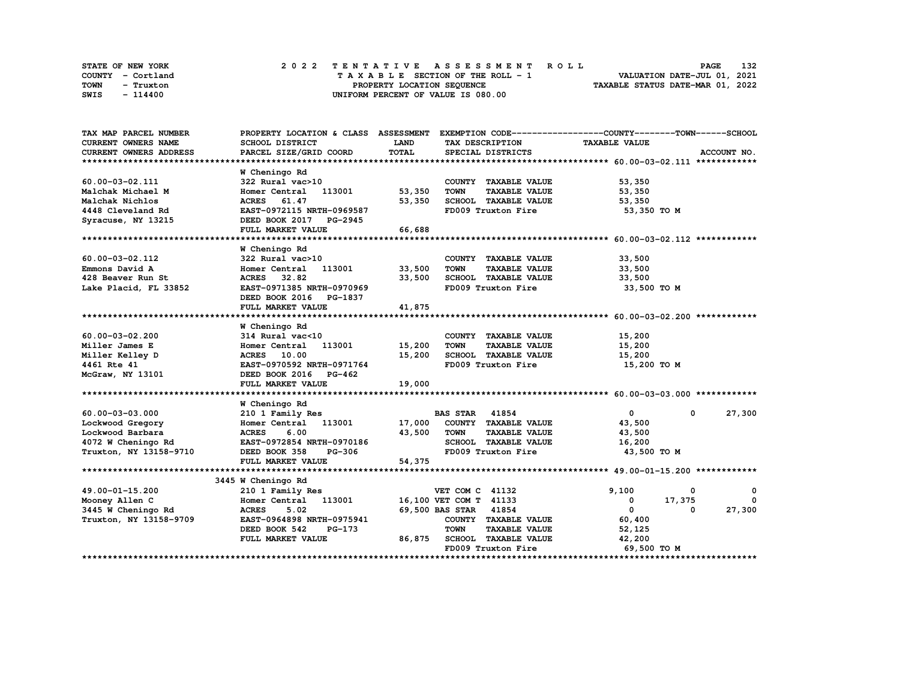| STATE OF NEW YORK | 2022 TENTATIVE ASSESSMENT ROLL     | 132<br><b>PAGE</b>               |
|-------------------|------------------------------------|----------------------------------|
| COUNTY - Cortland | TAXABLE SECTION OF THE ROLL - 1    | VALUATION DATE-JUL 01, 2021      |
| TOWN<br>- Truxton | PROPERTY LOCATION SEQUENCE         | TAXABLE STATUS DATE-MAR 01, 2022 |
| SWIS<br>- 114400  | UNIFORM PERCENT OF VALUE IS 080.00 |                                  |

| TAX MAP PARCEL NUMBER      | PROPERTY LOCATION & CLASS ASSESSMENT |             |                                     | EXEMPTION CODE-----------------COUNTY-------TOWN------SCHOOL |
|----------------------------|--------------------------------------|-------------|-------------------------------------|--------------------------------------------------------------|
| <b>CURRENT OWNERS NAME</b> | SCHOOL DISTRICT                      | <b>LAND</b> | TAX DESCRIPTION                     | <b>TAXABLE VALUE</b>                                         |
| CURRENT OWNERS ADDRESS     | PARCEL SIZE/GRID COORD               | TOTAL       | SPECIAL DISTRICTS                   | ACCOUNT NO.                                                  |
|                            |                                      |             |                                     |                                                              |
|                            | W Cheningo Rd                        |             |                                     |                                                              |
| 60.00-03-02.111            | 322 Rural vac>10                     |             | COUNTY TAXABLE VALUE                | 53,350                                                       |
| Malchak Michael M          | Homer Central<br>113001              | 53,350      | <b>TOWN</b><br><b>TAXABLE VALUE</b> | 53,350                                                       |
| Malchak Nichlos            | 61.47<br><b>ACRES</b>                | 53,350      | SCHOOL TAXABLE VALUE                | 53,350                                                       |
| 4448 Cleveland Rd          | EAST-0972115 NRTH-0969587            |             | FD009 Truxton Fire                  | 53,350 TO M                                                  |
| Syracuse, NY 13215         | DEED BOOK 2017 PG-2945               |             |                                     |                                                              |
|                            | FULL MARKET VALUE                    | 66,688      |                                     |                                                              |
|                            |                                      |             |                                     |                                                              |
|                            | W Cheningo Rd                        |             |                                     |                                                              |
| 60.00-03-02.112            | 322 Rural vac>10                     |             | COUNTY TAXABLE VALUE                | 33,500                                                       |
| Emmons David A             | 113001<br>Homer Central              | 33,500      | <b>TOWN</b><br><b>TAXABLE VALUE</b> | 33,500                                                       |
| 428 Beaver Run St          | ACRES 32.82                          | 33,500      | SCHOOL TAXABLE VALUE                | 33,500                                                       |
| Lake Placid, FL 33852      | EAST-0971385 NRTH-0970969            |             | FD009 Truxton Fire                  | 33,500 TO M                                                  |
|                            | DEED BOOK 2016 PG-1837               |             |                                     |                                                              |
|                            | FULL MARKET VALUE                    | 41,875      |                                     |                                                              |
|                            |                                      |             |                                     |                                                              |
|                            | W Cheningo Rd                        |             |                                     |                                                              |
| $60.00 - 03 - 02.200$      | 314 Rural vac<10                     |             | COUNTY TAXABLE VALUE                | 15,200                                                       |
| Miller James E             | Homer Central 113001                 | 15,200      | <b>TOWN</b><br><b>TAXABLE VALUE</b> | 15,200                                                       |
| Miller Kelley D            | ACRES 10.00                          | 15,200      | SCHOOL TAXABLE VALUE                | 15,200                                                       |
| 4461 Rte 41                | EAST-0970592 NRTH-0971764            |             | FD009 Truxton Fire                  | 15,200 TO M                                                  |
| McGraw, NY 13101           | DEED BOOK 2016 PG-462                |             |                                     |                                                              |
|                            | FULL MARKET VALUE                    | 19,000      |                                     |                                                              |
|                            |                                      |             |                                     |                                                              |
|                            | W Cheningo Rd                        |             |                                     |                                                              |
| $60.00 - 03 - 03.000$      | 210 1 Family Res                     |             | <b>BAS STAR 41854</b>               | $\mathbf{0}$<br>27,300<br>$^{\circ}$                         |
| Lockwood Gregory           | Homer Central 113001                 | 17,000      | COUNTY TAXABLE VALUE                | 43,500                                                       |
| Lockwood Barbara           | <b>ACRES</b><br>6.00                 | 43,500      | <b>TOWN</b><br><b>TAXABLE VALUE</b> | 43,500                                                       |
| 4072 W Cheningo Rd         | EAST-0972854 NRTH-0970186            |             | SCHOOL TAXABLE VALUE                | 16,200                                                       |
| Truxton, NY 13158-9710     | DEED BOOK 358<br><b>PG-306</b>       |             | FD009 Truxton Fire                  | 43,500 TO M                                                  |
|                            | FULL MARKET VALUE                    | 54,375      |                                     |                                                              |
|                            |                                      |             |                                     |                                                              |
|                            | 3445 W Cheningo Rd                   |             |                                     |                                                              |
| 49.00-01-15.200            | 210 1 Family Res                     |             | VET COM C 41132                     | 9,100<br>$\mathbf{o}$<br>0                                   |
| Mooney Allen C             | 113001<br>Homer Central              |             | 16,100 VET COM T 41133              | 17,375<br>$^{\circ}$<br>$^{\circ}$                           |
| 3445 W Cheningo Rd         | <b>ACRES</b><br>5.02                 |             | 69,500 BAS STAR 41854               | 27,300<br>$\mathbf{0}$<br>$\Omega$                           |
| Truxton, NY 13158-9709     | EAST-0964898 NRTH-0975941            |             | COUNTY TAXABLE VALUE                | 60,400                                                       |
|                            | DEED BOOK 542<br>$PG-173$            |             | <b>TOWN</b><br><b>TAXABLE VALUE</b> | 52,125                                                       |
|                            | FULL MARKET VALUE                    | 86,875      | SCHOOL TAXABLE VALUE                | 42,200                                                       |
|                            |                                      |             | FD009 Truxton Fire                  | 69,500 TO M                                                  |
|                            |                                      |             |                                     |                                                              |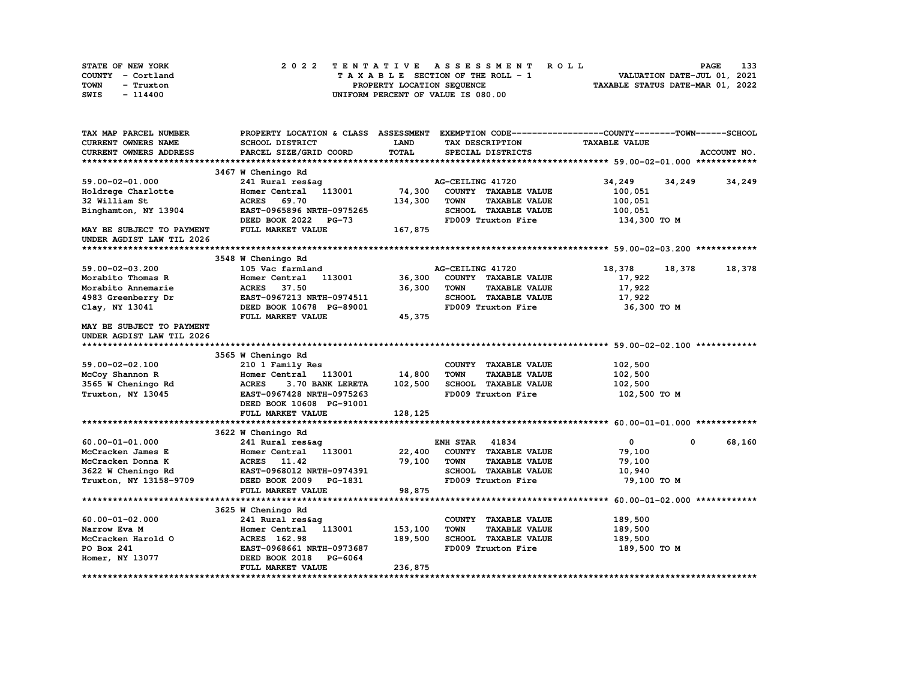| STATE OF NEW YORK | 2022 TENTATIVE ASSESSMENT ROLL     | 133<br><b>PAGE</b>               |
|-------------------|------------------------------------|----------------------------------|
| COUNTY - Cortland | TAXABLE SECTION OF THE ROLL - 1    | VALUATION DATE-JUL 01, 2021      |
| TOWN<br>- Truxton | PROPERTY LOCATION SEQUENCE         | TAXABLE STATUS DATE-MAR 01, 2022 |
| SWIS<br>- 114400  | UNIFORM PERCENT OF VALUE IS 080.00 |                                  |

| PROPERTY LOCATION & CLASS ASSESSMENT EXEMPTION CODE----------------COUNTY-------TOWN-----SCHOOL<br>TAX MAP PARCEL NUMBER |                  |
|--------------------------------------------------------------------------------------------------------------------------|------------------|
| CURRENT OWNERS NAME<br>SCHOOL DISTRICT<br>LAND<br>TAX DESCRIPTION<br><b>TAXABLE VALUE</b>                                |                  |
| TOTAL<br><b>CURRENT OWNERS ADDRESS</b><br>PARCEL SIZE/GRID COORD<br>SPECIAL DISTRICTS                                    | ACCOUNT NO.      |
|                                                                                                                          |                  |
| 3467 W Cheningo Rd                                                                                                       |                  |
| 59.00-02-01.000<br>AG-CEILING 41720<br>34,249<br>241 Rural res&aq                                                        | 34, 249 34, 249  |
| 74,300<br>113001<br>COUNTY TAXABLE VALUE<br>Holdrege Charlotte<br>Homer Central<br>100,051                               |                  |
| 69.70<br>134,300<br><b>TOWN</b><br><b>TAXABLE VALUE</b><br>100,051<br>32 William St<br><b>ACRES</b>                      |                  |
| EAST-0965896 NRTH-0975265<br>SCHOOL TAXABLE VALUE<br>Binghamton, NY 13904<br>100,051                                     |                  |
| FD009 Truxton Fire<br>DEED BOOK 2022<br><b>PG-73</b><br>134,300 то м                                                     |                  |
| FULL MARKET VALUE<br>167,875<br><b>MAY BE SUBJECT TO PAYMENT</b><br>UNDER AGDIST LAW TIL 2026                            |                  |
|                                                                                                                          |                  |
| 3548 W Cheningo Rd                                                                                                       |                  |
| 59.00-02-03.200<br>105 Vac farmland<br>AG-CEILING 41720<br>18,378                                                        | 18,378<br>18,378 |
| Morabito Thomas R<br>36,300<br>COUNTY TAXABLE VALUE<br>17,922<br>113001<br>Homer Central                                 |                  |
| 17,922<br>Morabito Annemarie<br><b>ACRES</b><br>37.50<br>36,300<br><b>TOWN</b><br><b>TAXABLE VALUE</b>                   |                  |
| SCHOOL TAXABLE VALUE<br>4983 Greenberry Dr<br>EAST-0967213 NRTH-0974511<br>17,922                                        |                  |
| Clay, NY 13041<br>DEED BOOK 10678 PG-89001<br>FD009 Truxton Fire                                                         | 36,300 то м      |
| FULL MARKET VALUE<br>45,375                                                                                              |                  |
| MAY BE SUBJECT TO PAYMENT                                                                                                |                  |
| UNDER AGDIST LAW TIL 2026                                                                                                |                  |
|                                                                                                                          |                  |
| 3565 W Cheningo Rd                                                                                                       |                  |
| 59.00-02-02.100<br>COUNTY TAXABLE VALUE<br>102,500<br>210 1 Family Res                                                   |                  |
| 14,800<br><b>TOWN</b><br><b>TAXABLE VALUE</b><br>102,500<br>McCoy Shannon R<br>Homer Central<br>113001                   |                  |
| 102,500<br>SCHOOL TAXABLE VALUE<br>102,500<br>3565 W Cheningo Rd<br><b>ACRES</b><br>3.70 BANK LERETA                     |                  |
| EAST-0967428 NRTH-0975263<br>FD009 Truxton Fire<br>Truxton, NY 13045<br>102,500 то м                                     |                  |
| DEED BOOK 10608 PG-91001                                                                                                 |                  |
| FULL MARKET VALUE<br>128,125                                                                                             |                  |
|                                                                                                                          |                  |
| 3622 W Cheningo Rd                                                                                                       |                  |
| 41834<br>60.00-01-01.000<br><b>ENH STAR</b><br>$\mathbf{0}$<br>241 Rural res&ag                                          | 68,160<br>0      |
| COUNTY TAXABLE VALUE<br>McCracken James E<br>Homer Central 113001<br>22,400<br>79,100                                    |                  |
| 79,100<br>McCracken Donna K<br><b>ACRES</b><br>11.42<br><b>TOWN</b><br><b>TAXABLE VALUE</b><br>79,100                    |                  |
| EAST-0968012 NRTH-0974391<br><b>SCHOOL TAXABLE VALUE</b><br>10,940<br>3622 W Cheningo Rd                                 |                  |
| FD009 Truxton Fire<br>Truxton, NY 13158-9709<br>DEED BOOK 2009 PG-1831                                                   | 79,100 TO M      |
| 98,875<br>FULL MARKET VALUE                                                                                              |                  |
|                                                                                                                          |                  |
| 3625 W Cheningo Rd                                                                                                       |                  |
| 189,500<br>$60.00 - 01 - 02.000$<br>COUNTY TAXABLE VALUE<br>241 Rural res&ag                                             |                  |
| 153,100<br><b>TOWN</b><br><b>TAXABLE VALUE</b><br>189,500<br>Narrow Eva M<br>113001<br>Homer Central                     |                  |
| McCracken Harold O<br>189,500<br>SCHOOL TAXABLE VALUE<br>189,500<br>ACRES 162.98                                         |                  |
| FD009 Truxton Fire<br>PO Box 241<br>EAST-0968661 NRTH-0973687<br>189,500 TO M                                            |                  |
| Homer, NY 13077<br>DEED BOOK 2018 PG-6064                                                                                |                  |
| 236,875<br>FULL MARKET VALUE                                                                                             |                  |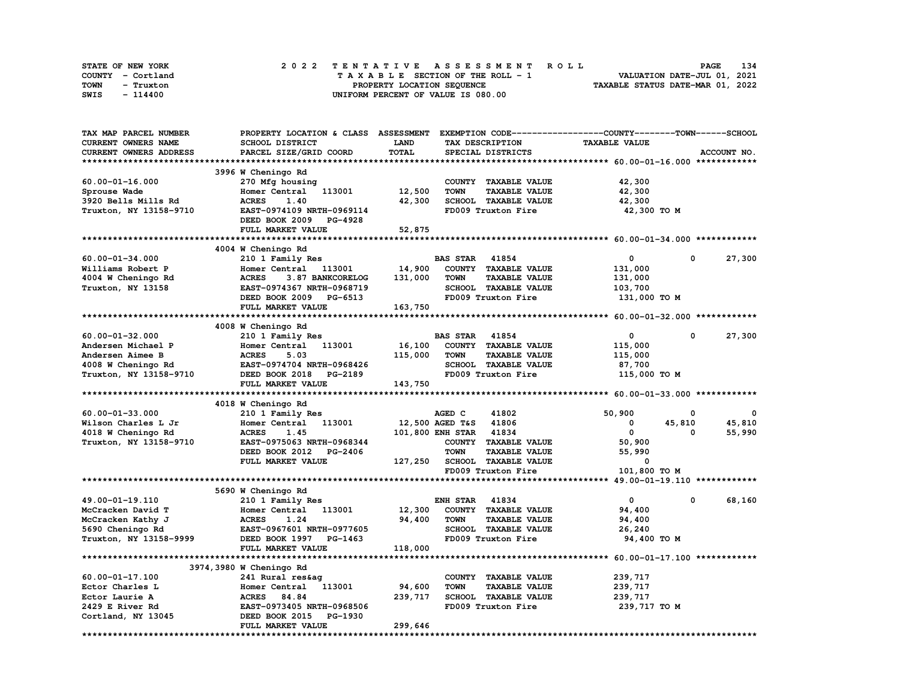| STATE OF NEW YORK | 2022 TENTATIVE ASSESSMENT ROLL     | 134<br><b>PAGE</b>               |
|-------------------|------------------------------------|----------------------------------|
| COUNTY - Cortland | TAXABLE SECTION OF THE ROLL - 1    | VALUATION DATE-JUL 01, 2021      |
| TOWN<br>- Truxton | PROPERTY LOCATION SEQUENCE         | TAXABLE STATUS DATE-MAR 01, 2022 |
| SWIS<br>- 114400  | UNIFORM PERCENT OF VALUE IS 080.00 |                                  |

| TAX MAP PARCEL NUMBER  | PROPERTY LOCATION & CLASS ASSESSMENT EXEMPTION CODE----------------COUNTY-------TOWN-----SCHOOL |              |                        |                             |                      |            |             |
|------------------------|-------------------------------------------------------------------------------------------------|--------------|------------------------|-----------------------------|----------------------|------------|-------------|
| CURRENT OWNERS NAME    | SCHOOL DISTRICT                                                                                 | LAND         |                        | TAX DESCRIPTION             | <b>TAXABLE VALUE</b> |            |             |
| CURRENT OWNERS ADDRESS | PARCEL SIZE/GRID COORD                                                                          | <b>TOTAL</b> |                        | SPECIAL DISTRICTS           |                      |            | ACCOUNT NO. |
|                        |                                                                                                 |              |                        |                             |                      |            |             |
|                        | 3996 W Cheningo Rd                                                                              |              |                        |                             |                      |            |             |
| $60.00 - 01 - 16.000$  | 270 Mfg housing                                                                                 |              |                        | COUNTY TAXABLE VALUE        | 42,300               |            |             |
| Sprouse Wade           | Homer Central<br>113001                                                                         | 12,500       | <b>TOWN</b>            | <b>TAXABLE VALUE</b>        | 42,300               |            |             |
| 3920 Bells Mills Rd    | 1.40<br><b>ACRES</b>                                                                            | 42,300       |                        | SCHOOL TAXABLE VALUE        | 42,300               |            |             |
| Truxton, NY 13158-9710 | EAST-0974109 NRTH-0969114                                                                       |              |                        | FD009 Truxton Fire          | 42,300 TO M          |            |             |
|                        | DEED BOOK 2009<br><b>PG-4928</b>                                                                |              |                        |                             |                      |            |             |
|                        | FULL MARKET VALUE                                                                               | 52,875       |                        |                             |                      |            |             |
|                        |                                                                                                 |              |                        |                             |                      |            |             |
|                        | 4004 W Cheningo Rd                                                                              |              |                        |                             |                      |            |             |
| $60.00 - 01 - 34.000$  | 210 1 Family Res                                                                                |              | <b>BAS STAR 41854</b>  |                             | $\mathbf{0}$         | $^{\circ}$ | 27,300      |
| Williams Robert P      | Homer Central<br>113001                                                                         | 14,900       |                        | COUNTY TAXABLE VALUE        | 131,000              |            |             |
|                        |                                                                                                 | 131,000      | <b>TOWN</b>            | <b>TAXABLE VALUE</b>        |                      |            |             |
| 4004 W Cheningo Rd     | <b>ACRES</b><br>3.87 BANKCORELOG                                                                |              |                        |                             | 131,000              |            |             |
| Truxton, NY 13158      | EAST-0974367 NRTH-0968719                                                                       |              |                        | <b>SCHOOL TAXABLE VALUE</b> | 103,700              |            |             |
|                        | DEED BOOK 2009 PG-6513                                                                          |              |                        | FD009 Truxton Fire          | 131,000 TO M         |            |             |
|                        | FULL MARKET VALUE                                                                               | 163,750      |                        |                             |                      |            |             |
|                        |                                                                                                 |              |                        |                             |                      |            |             |
|                        | 4008 W Cheningo Rd                                                                              |              |                        |                             |                      |            |             |
| $60.00 - 01 - 32.000$  | 210 1 Family Res                                                                                |              | <b>BAS STAR</b>        | 41854                       | $\mathbf 0$          | 0          | 27,300      |
| Andersen Michael P     | Homer Central<br>113001                                                                         | 16,100       |                        | COUNTY TAXABLE VALUE        | 115,000              |            |             |
| Andersen Aimee B       | <b>ACRES</b><br>5.03                                                                            | 115,000      | <b>TOWN</b>            | <b>TAXABLE VALUE</b>        | 115,000              |            |             |
| 4008 W Cheningo Rd     | EAST-0974704 NRTH-0968426                                                                       |              |                        | SCHOOL TAXABLE VALUE        | 87,700               |            |             |
| Truxton, NY 13158-9710 | DEED BOOK 2018<br><b>PG-2189</b>                                                                |              |                        | FD009 Truxton Fire          | 115,000 TO M         |            |             |
|                        | FULL MARKET VALUE                                                                               | 143,750      |                        |                             |                      |            |             |
|                        |                                                                                                 |              |                        |                             |                      |            |             |
|                        |                                                                                                 |              |                        |                             |                      |            |             |
|                        | 4018 W Cheningo Rd                                                                              |              |                        |                             |                      |            |             |
| $60.00 - 01 - 33.000$  | 210 1 Family Res                                                                                |              | AGED C                 | 41802                       | 50,900               | 0          | $\Omega$    |
| Wilson Charles L Jr    | 113001<br>Homer Central                                                                         |              | 12,500 AGED T&S        | 41806                       | 0                    | 45,810     | 45,810      |
| 4018 W Cheningo Rd     | <b>ACRES</b><br>1.45                                                                            |              | 101,800 ENH STAR 41834 |                             | $\mathbf 0$          | 0          | 55,990      |
| Truxton, NY 13158-9710 | EAST-0975063 NRTH-0968344                                                                       |              |                        | COUNTY TAXABLE VALUE        | 50,900               |            |             |
|                        | DEED BOOK 2012<br>PG-2406                                                                       |              | <b>TOWN</b>            | <b>TAXABLE VALUE</b>        | 55,990               |            |             |
|                        | FULL MARKET VALUE                                                                               |              |                        | <b>SCHOOL TAXABLE VALUE</b> | $\mathbf{o}$         |            |             |
|                        |                                                                                                 | 127,250      |                        | FD009 Truxton Fire          |                      |            |             |
|                        |                                                                                                 |              |                        |                             | 101,800 TO M         |            |             |
|                        |                                                                                                 |              |                        |                             |                      |            |             |
| 49.00-01-19.110        | 5690 W Cheningo Rd                                                                              |              | <b>ENH STAR</b>        | 41834                       | $\mathbf{0}$         | 0          | 68,160      |
|                        | 210 1 Family Res                                                                                |              |                        |                             |                      |            |             |
| McCracken David T      | Homer Central<br>113001                                                                         | 12,300       |                        | COUNTY TAXABLE VALUE        | 94,400               |            |             |
| McCracken Kathy J      | <b>ACRES</b><br>1.24                                                                            | 94,400       | <b>TOWN</b>            | <b>TAXABLE VALUE</b>        | 94,400               |            |             |
| 5690 Cheningo Rd       | EAST-0967601 NRTH-0977605                                                                       |              |                        | SCHOOL TAXABLE VALUE        | 26,240               |            |             |
| Truxton, NY 13158-9999 | DEED BOOK 1997<br>PG-1463                                                                       |              |                        | FD009 Truxton Fire          | 94,400 TO M          |            |             |
|                        | FULL MARKET VALUE                                                                               | 118,000      |                        |                             |                      |            |             |
|                        |                                                                                                 |              |                        |                             |                      |            |             |
|                        | 3974,3980 W Cheningo Rd                                                                         |              |                        |                             |                      |            |             |
| 60.00-01-17.100        | 241 Rural res&ag                                                                                |              |                        | COUNTY TAXABLE VALUE        | 239,717              |            |             |
| Ector Charles L        | 113001<br>Homer Central                                                                         | 94,600       | <b>TOWN</b>            | <b>TAXABLE VALUE</b>        | 239,717              |            |             |
| Ector Laurie A         | 84.84<br><b>ACRES</b>                                                                           | 239,717      |                        | <b>SCHOOL TAXABLE VALUE</b> | 239,717              |            |             |
| 2429 E River Rd        | EAST-0973405 NRTH-0968506                                                                       |              |                        | FD009 Truxton Fire          | 239,717 TO M         |            |             |
| Cortland, NY 13045     | DEED BOOK 2015 PG-1930<br>FULL MARKET VALUE                                                     | 299,646      |                        |                             |                      |            |             |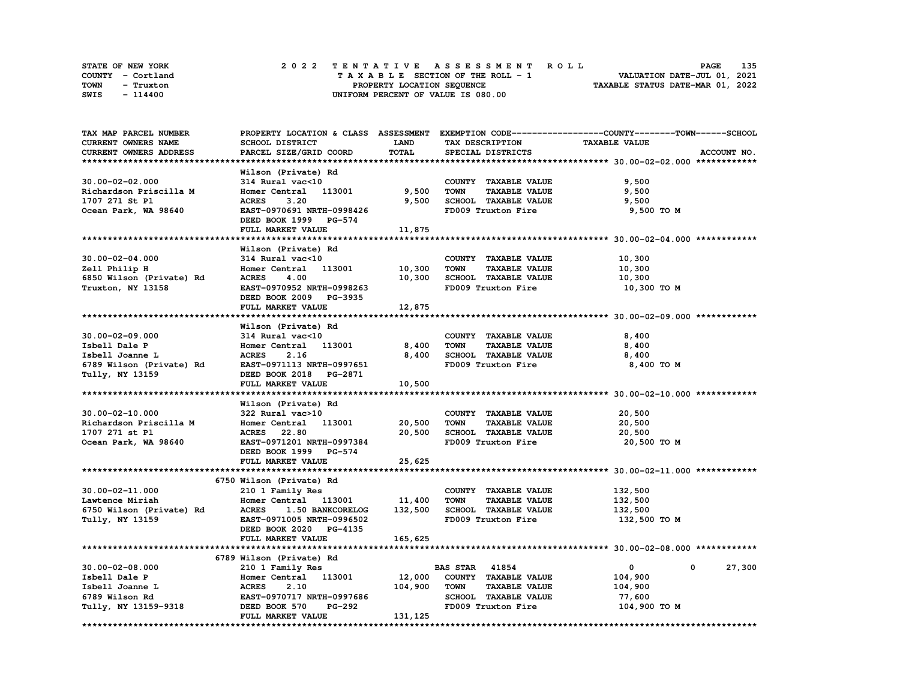| STATE OF NEW YORK | 2022 TENTATIVE ASSESSMENT ROLL     | 135<br><b>PAGE</b>               |
|-------------------|------------------------------------|----------------------------------|
| COUNTY - Cortland | TAXABLE SECTION OF THE ROLL - 1    | VALUATION DATE-JUL 01, 2021      |
| TOWN<br>- Truxton | PROPERTY LOCATION SEQUENCE         | TAXABLE STATUS DATE-MAR 01, 2022 |
| SWIS<br>- 114400  | UNIFORM PERCENT OF VALUE IS 080.00 |                                  |

| TAX MAP PARCEL NUMBER    |                                  |             |                                     | PROPERTY LOCATION & CLASS ASSESSMENT EXEMPTION CODE----------------COUNTY-------TOWN-----SCHOOL |
|--------------------------|----------------------------------|-------------|-------------------------------------|-------------------------------------------------------------------------------------------------|
| CURRENT OWNERS NAME      | SCHOOL DISTRICT                  | <b>LAND</b> | TAX DESCRIPTION                     | <b>TAXABLE VALUE</b>                                                                            |
| CURRENT OWNERS ADDRESS   | PARCEL SIZE/GRID COORD           | TOTAL       | SPECIAL DISTRICTS                   | ACCOUNT NO.                                                                                     |
|                          |                                  |             |                                     |                                                                                                 |
|                          | Wilson (Private) Rd              |             |                                     |                                                                                                 |
| $30.00 - 02 - 02.000$    | 314 Rural vac<10                 |             | COUNTY TAXABLE VALUE                | 9,500                                                                                           |
| Richardson Priscilla M   | Homer Central 113001             | 9,500       | <b>TOWN</b><br><b>TAXABLE VALUE</b> | 9,500                                                                                           |
|                          |                                  |             |                                     |                                                                                                 |
| 1707 271 St Pl           | <b>ACRES</b><br>3.20             | 9,500       | SCHOOL TAXABLE VALUE                | 9,500                                                                                           |
| Ocean Park, WA 98640     | EAST-0970691 NRTH-0998426        |             | FD009 Truxton Fire                  | 9,500 TO M                                                                                      |
|                          | DEED BOOK 1999 PG-574            |             |                                     |                                                                                                 |
|                          | FULL MARKET VALUE                | 11,875      |                                     |                                                                                                 |
|                          |                                  |             |                                     |                                                                                                 |
|                          | Wilson (Private) Rd              |             |                                     |                                                                                                 |
| $30.00 - 02 - 04.000$    | 314 Rural vac<10                 |             | COUNTY TAXABLE VALUE                | 10,300                                                                                          |
| Zell Philip H            | Homer Central 113001             | 10,300      | <b>TOWN</b><br><b>TAXABLE VALUE</b> | 10,300                                                                                          |
| 6850 Wilson (Private) Rd | <b>ACRES</b><br>4.00             | 10,300      | SCHOOL TAXABLE VALUE                | 10,300                                                                                          |
| Truxton, NY 13158        | EAST-0970952 NRTH-0998263        |             | FD009 Truxton Fire                  | 10,300 то м                                                                                     |
|                          | DEED BOOK 2009 PG-3935           |             |                                     |                                                                                                 |
|                          | FULL MARKET VALUE                | 12,875      |                                     |                                                                                                 |
|                          |                                  |             |                                     |                                                                                                 |
|                          |                                  |             |                                     |                                                                                                 |
|                          | Wilson (Private) Rd              |             |                                     |                                                                                                 |
| $30.00 - 02 - 09.000$    | 314 Rural vac<10                 |             | COUNTY TAXABLE VALUE                | 8,400                                                                                           |
| Isbell Dale P            | Homer Central 113001             | 8,400       | <b>TOWN</b><br><b>TAXABLE VALUE</b> | 8,400                                                                                           |
| Isbell Joanne L          | <b>ACRES</b><br>2.16             | 8,400       | SCHOOL TAXABLE VALUE                | 8,400                                                                                           |
| 6789 Wilson (Private) Rd | EAST-0971113 NRTH-0997651        |             | FD009 Truxton Fire                  | 8,400 TO M                                                                                      |
| Tully, NY 13159          | DEED BOOK 2018 PG-2871           |             |                                     |                                                                                                 |
|                          | FULL MARKET VALUE                | 10,500      |                                     |                                                                                                 |
|                          |                                  |             |                                     |                                                                                                 |
|                          | Wilson (Private) Rd              |             |                                     |                                                                                                 |
| 30.00-02-10.000          | 322 Rural vac>10                 |             | COUNTY TAXABLE VALUE                | 20,500                                                                                          |
| Richardson Priscilla M   | Homer Central 113001             | 20,500      | <b>TAXABLE VALUE</b><br><b>TOWN</b> | 20,500                                                                                          |
| 1707 271 st Pl           | <b>ACRES</b> 22.80               | 20,500      | SCHOOL TAXABLE VALUE                | 20,500                                                                                          |
|                          |                                  |             | FD009 Truxton Fire                  |                                                                                                 |
| Ocean Park, WA 98640     | EAST-0971201 NRTH-0997384        |             |                                     | 20,500 TO M                                                                                     |
|                          | DEED BOOK 1999 PG-574            |             |                                     |                                                                                                 |
|                          | FULL MARKET VALUE                | 25,625      |                                     |                                                                                                 |
|                          |                                  |             |                                     |                                                                                                 |
|                          | 6750 Wilson (Private) Rd         |             |                                     |                                                                                                 |
| 30.00-02-11.000          | 210 1 Family Res                 |             | COUNTY TAXABLE VALUE                | 132,500                                                                                         |
| Lawtence Miriah          | Homer Central 113001             | 11,400      | <b>TOWN</b><br><b>TAXABLE VALUE</b> | 132,500                                                                                         |
| 6750 Wilson (Private) Rd | <b>ACRES</b><br>1.50 BANKCORELOG | 132,500     | SCHOOL TAXABLE VALUE                | 132,500                                                                                         |
| Tully, NY 13159          | EAST-0971005 NRTH-0996502        |             | FD009 Truxton Fire                  | 132,500 TO M                                                                                    |
|                          | DEED BOOK 2020 PG-4135           |             |                                     |                                                                                                 |
|                          | FULL MARKET VALUE                | 165,625     |                                     |                                                                                                 |
|                          |                                  |             |                                     |                                                                                                 |
|                          |                                  |             |                                     |                                                                                                 |
|                          | 6789 Wilson (Private) Rd         |             |                                     |                                                                                                 |
| $30.00 - 02 - 08.000$    | 210 1 Family Res                 |             | <b>BAS STAR 41854</b>               | $\mathbf{0}$<br>27,300<br>0                                                                     |
| Isbell Dale P            | Homer Central 113001             | 12,000      | COUNTY TAXABLE VALUE                | 104,900                                                                                         |
| Isbell Joanne L          | <b>ACRES</b><br>2.10             | 104,900     | <b>TOWN</b><br><b>TAXABLE VALUE</b> | 104,900                                                                                         |
| 6789 Wilson Rd           | EAST-0970717 NRTH-0997686        |             | SCHOOL TAXABLE VALUE                | 77,600                                                                                          |
| Tully, NY 13159-9318     | PG-292<br>DEED BOOK 570          |             | FD009 Truxton Fire                  | 104,900 TO M                                                                                    |
|                          | FULL MARKET VALUE                | 131,125     |                                     |                                                                                                 |
|                          |                                  |             |                                     |                                                                                                 |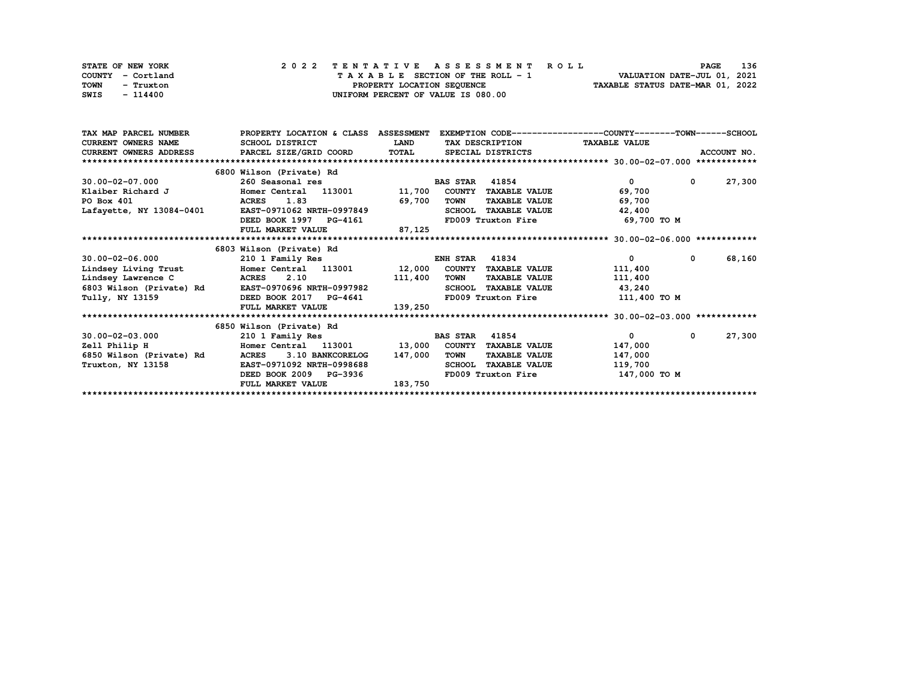| STATE OF NEW YORK | 2022 TENTATIVE ASSESSMENT ROLL     | 136<br><b>PAGE</b>               |
|-------------------|------------------------------------|----------------------------------|
| COUNTY - Cortland | TAXABLE SECTION OF THE ROLL - 1    | VALUATION DATE-JUL 01, 2021      |
| TOWN<br>- Truxton | PROPERTY LOCATION SEQUENCE         | TAXABLE STATUS DATE-MAR 01, 2022 |
| SWIS<br>- 114400  | UNIFORM PERCENT OF VALUE IS 080.00 |                                  |

| TAX MAP PARCEL NUMBER      | PROPERTY LOCATION & CLASS                     | <b>ASSESSMENT</b> |                                       | EXEMPTION CODE-----------------COUNTY-------TOWN------SCHOOL |                       |  |  |
|----------------------------|-----------------------------------------------|-------------------|---------------------------------------|--------------------------------------------------------------|-----------------------|--|--|
| <b>CURRENT OWNERS NAME</b> | SCHOOL DISTRICT                               | <b>LAND</b>       | TAX DESCRIPTION TAXABLE VALUE         |                                                              |                       |  |  |
|                            | CURRENT OWNERS ADDRESS PARCEL SIZE/GRID COORD | TOTAL             | SPECIAL DISTRICTS                     |                                                              | ACCOUNT NO.           |  |  |
| *************************  |                                               |                   |                                       |                                                              |                       |  |  |
|                            | 6800 Wilson (Private) Rd                      |                   |                                       |                                                              |                       |  |  |
| 30.00-02-07.000            | 260 Seasonal res                              |                   | <b>BAS STAR</b><br>41854              | 0                                                            | 27,300<br>$^{\circ}$  |  |  |
| Klaiber Richard J          | Homer Central 113001 11,700                   |                   | <b>COUNTY</b><br><b>TAXABLE VALUE</b> | 69,700                                                       |                       |  |  |
| PO Box 401                 | 1.83<br><b>ACRES</b>                          | 69,700            | <b>TOWN</b><br><b>TAXABLE VALUE</b>   | 69,700                                                       |                       |  |  |
| Lafayette, NY 13084-0401   | EAST-0971062 NRTH-0997849                     |                   | SCHOOL TAXABLE VALUE                  | 42,400                                                       |                       |  |  |
|                            | DEED BOOK 1997 PG-4161                        |                   |                                       | FD009 Truxton Fire 69,700 TO M                               |                       |  |  |
|                            | FULL MARKET VALUE                             | 87,125            |                                       |                                                              |                       |  |  |
|                            |                                               |                   |                                       |                                                              |                       |  |  |
|                            | 6803 Wilson (Private) Rd                      |                   |                                       |                                                              |                       |  |  |
| 30.00-02-06.000            | 210 1 Family Res                              |                   | 41834<br><b>ENH STAR</b>              | $\mathbf{0}$                                                 | 68,160<br>$\mathbf 0$ |  |  |
| Lindsey Living Trust       | Homer Central 113001 12,000                   |                   | COUNTY TAXABLE VALUE                  | 111,400                                                      |                       |  |  |
| Lindsey Lawrence C         | ACRES 2.10                                    | 111,400           | TOWN<br><b>TAXABLE VALUE</b>          | 111,400                                                      |                       |  |  |
| 6803 Wilson (Private) Rd   | <b>EAST-0970696 NRTH-0997982</b>              |                   | <b>SCHOOL</b><br><b>TAXABLE VALUE</b> | 43,240                                                       |                       |  |  |
| Tully, NY 13159            | DEED BOOK 2017 PG-4641                        |                   | FD009 Truxton Fire                    | 111,400 TO M                                                 |                       |  |  |
|                            | FULL MARKET VALUE                             | 139,250           |                                       |                                                              |                       |  |  |
|                            |                                               |                   |                                       |                                                              |                       |  |  |
|                            | 6850 Wilson (Private) Rd                      |                   |                                       |                                                              |                       |  |  |
| $30.00 - 02 - 03.000$      | 210 1 Family Res                              |                   | <b>BAS STAR</b><br>41854              | $\overline{0}$                                               | 27,300<br>0           |  |  |
| Zell Philip H              | Homer Central 113001                          | 13,000            | COUNTY<br><b>TAXABLE VALUE</b>        | 147,000                                                      |                       |  |  |
| 6850 Wilson (Private) Rd   | 3.10 BANKCORELOG<br><b>ACRES</b>              | 147,000           | TOWN<br><b>TAXABLE VALUE</b>          | 147,000                                                      |                       |  |  |
| Truxton, NY 13158          | EAST-0971092 NRTH-0998688                     |                   | <b>SCHOOL</b><br><b>TAXABLE VALUE</b> | 119,700                                                      |                       |  |  |
|                            | DEED BOOK 2009 PG-3936                        |                   | FD009 Truxton Fire                    | 147,000 TO M                                                 |                       |  |  |
|                            | FULL MARKET VALUE                             | 183,750           |                                       |                                                              |                       |  |  |
|                            |                                               |                   |                                       |                                                              |                       |  |  |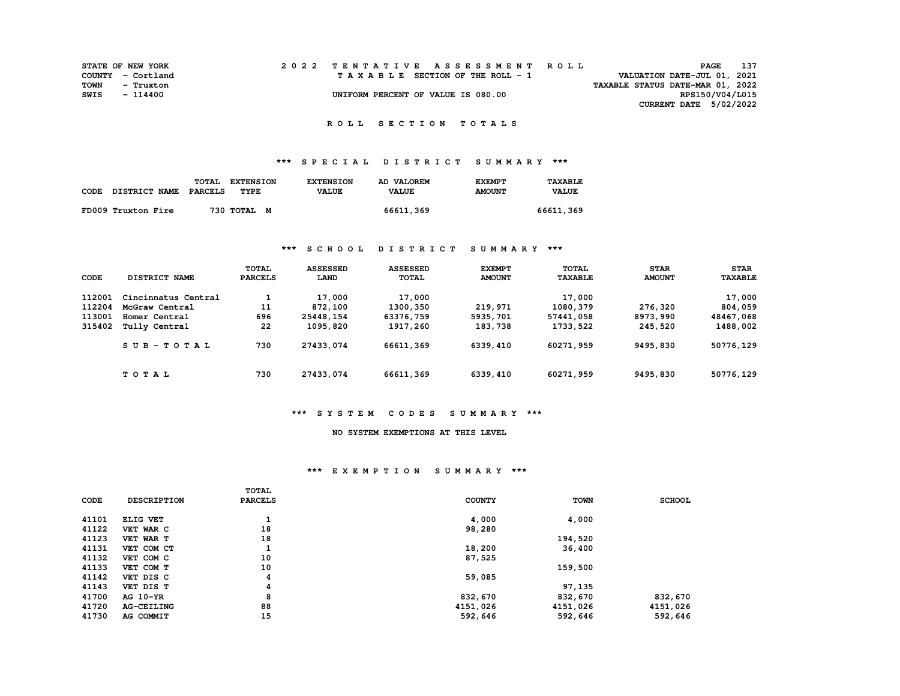|      | <b>STATE OF NEW YORK</b> |  | 2022 TENTATIVE ASSESSMENT ROLL     | 137<br>PAGE                      |  |
|------|--------------------------|--|------------------------------------|----------------------------------|--|
|      | COUNTY - Cortland        |  | TAXABLE SECTION OF THE ROLL - 1    | VALUATION DATE-JUL 01, 2021      |  |
| TOWN | - Truxton                |  |                                    | TAXABLE STATUS DATE-MAR 01, 2022 |  |
| SWIS | - 114400                 |  | UNIFORM PERCENT OF VALUE IS 080.00 | RPS150/V04/L015                  |  |
|      |                          |  |                                    | <b>CURRENT DATE 5/02/2022</b>    |  |

 **R O L L S E C T I O N T O T A L S** 

## **\*\*\* S P E C I A L D I S T R I C T S U M M A R Y \*\*\***

|                    | TOTAL<br><b>EXTENSION</b> | <b>EXTENSION</b> | <b>AD VALOREM</b> | <b>EXEMPT</b> | TAXABLE      |
|--------------------|---------------------------|------------------|-------------------|---------------|--------------|
| CODE DISTRICT NAME | PARCELS<br>TYPE           | <b>VALUE</b>     | <b>VALUE</b>      | <b>AMOUNT</b> | <b>VALUE</b> |
|                    |                           |                  |                   |               |              |
| FD009 Truxton Fire | 730 TOTAL M               |                  | 66611,369         |               | 66611,369    |

### **\*\*\* S C H O O L D I S T R I C T S U M M A R Y \*\*\***

| CODE   | DISTRICT NAME       | <b>TOTAL</b><br><b>PARCELS</b> | <b>ASSESSED</b><br>LAND | <b>ASSESSED</b><br><b>TOTAL</b> | <b>EXEMPT</b><br><b>AMOUNT</b> | <b>TOTAL</b><br><b>TAXABLE</b> | <b>STAR</b><br><b>AMOUNT</b> | <b>STAR</b><br><b>TAXABLE</b> |
|--------|---------------------|--------------------------------|-------------------------|---------------------------------|--------------------------------|--------------------------------|------------------------------|-------------------------------|
| 112001 | Cincinnatus Central |                                | 17,000                  | 17,000                          |                                | 17,000                         |                              | 17,000                        |
| 112204 | McGraw Central      | 11                             | 872,100                 | 1300,350                        | 219,971                        | 1080,379                       | 276,320                      | 804,059                       |
| 113001 | Homer Central       | 696                            | 25448,154               | 63376,759                       | 5935,701                       | 57441,058                      | 8973,990                     | 48467,068                     |
| 315402 | Tully Central       | 22                             | 1095,820                | 1917,260                        | 183,738                        | 1733,522                       | 245,520                      | 1488,002                      |
|        | $SUB - TO T AL$     | 730                            | 27433,074               | 66611,369                       | 6339,410                       | 60271,959                      | 9495,830                     | 50776,129                     |
|        | TOTAL               | 730                            | 27433,074               | 66611,369                       | 6339,410                       | 60271,959                      | 9495,830                     | 50776,129                     |

### **\*\*\* S Y S T E M C O D E S S U M M A R Y \*\*\***

## **NO SYSTEM EXEMPTIONS AT THIS LEVEL**

#### **\*\*\* E X E M P T I O N S U M M A R Y \*\*\***

|       |                    | <b>TOTAL</b>   |               |             |               |
|-------|--------------------|----------------|---------------|-------------|---------------|
| CODE  | <b>DESCRIPTION</b> | <b>PARCELS</b> | <b>COUNTY</b> | <b>TOWN</b> | <b>SCHOOL</b> |
|       |                    |                |               |             |               |
| 41101 | ELIG VET           | л.             | 4,000         | 4,000       |               |
| 41122 | VET WAR C          | 18             | 98,280        |             |               |
| 41123 | VET WAR T          | 18             |               | 194,520     |               |
| 41131 | VET COM CT         | л.             | 18,200        | 36,400      |               |
| 41132 | VET COM C          | 10             | 87,525        |             |               |
| 41133 | VET COM T          | 10             |               | 159,500     |               |
| 41142 | VET DIS C          | 4              | 59,085        |             |               |
| 41143 | VET DIS T          | 4              |               | 97,135      |               |
| 41700 | AG 10-YR           | 8              | 832,670       | 832,670     | 832,670       |
| 41720 | <b>AG-CEILING</b>  | 88             | 4151,026      | 4151,026    | 4151,026      |
| 41730 | AG COMMIT          | 15             | 592,646       | 592,646     | 592,646       |
|       |                    |                |               |             |               |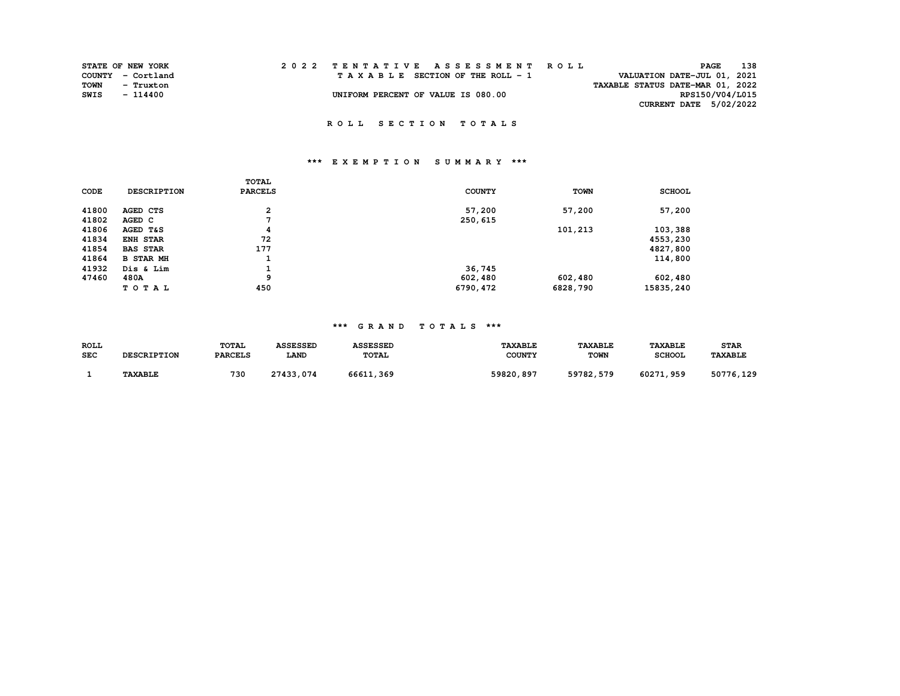|      | STATE OF NEW YORK |  |                                    |  |  |  |  |  |  |                                         | 2022 TENTATIVE ASSESSMENT ROLL |                                  |                 | PAGE | 138 |
|------|-------------------|--|------------------------------------|--|--|--|--|--|--|-----------------------------------------|--------------------------------|----------------------------------|-----------------|------|-----|
|      | COUNTY - Cortland |  |                                    |  |  |  |  |  |  | $T A X A B L E$ SECTION OF THE ROLL - 1 |                                | VALUATION DATE-JUL 01, 2021      |                 |      |     |
| TOWN | - Truxton         |  |                                    |  |  |  |  |  |  |                                         |                                | TAXABLE STATUS DATE-MAR 01, 2022 |                 |      |     |
| SWIS | - 114400          |  | UNIFORM PERCENT OF VALUE IS 080.00 |  |  |  |  |  |  |                                         |                                |                                  | RPS150/V04/L015 |      |     |
|      |                   |  |                                    |  |  |  |  |  |  |                                         |                                | CURRENT DATE 5/02/2022           |                 |      |     |

 **R O L L S E C T I O N T O T A L S** 

# **\*\*\* E X E M P T I O N S U M M A R Y \*\*\***

|       |                    | TOTAL          |               |             |               |
|-------|--------------------|----------------|---------------|-------------|---------------|
| CODE  | <b>DESCRIPTION</b> | <b>PARCELS</b> | <b>COUNTY</b> | <b>TOWN</b> | <b>SCHOOL</b> |
| 41800 | AGED CTS           | $\overline{a}$ | 57,200        | 57,200      | 57,200        |
| 41802 | AGED C             |                | 250,615       |             |               |
| 41806 | AGED T&S           | 4              |               | 101,213     | 103,388       |
| 41834 | <b>ENH STAR</b>    | 72             |               |             | 4553,230      |
| 41854 | <b>BAS STAR</b>    | 177            |               |             | 4827,800      |
| 41864 | <b>B STAR MH</b>   | J.             |               |             | 114,800       |
| 41932 | Dis & Lim          | <b>L</b>       | 36,745        |             |               |
| 47460 | 480A               | 9              | 602,480       | 602,480     | 602,480       |
|       | TOTAL              | 450            | 6790,472      | 6828,790    | 15835,240     |

### **\*\*\* G R A N D T O T A L S \*\*\***

| <b>ROLL</b> | <b>DESCRIPTION</b> | <b>TOTAL</b>   | <b>ASSESSED</b> | <b>ASSESSED</b> | <b><i>TAXABLE</i></b> | <b><i>TAXABLE</i></b> | <b>TAXABLE</b> | <b>STAR</b>           |
|-------------|--------------------|----------------|-----------------|-----------------|-----------------------|-----------------------|----------------|-----------------------|
| <b>SEC</b>  |                    | <b>PARCELS</b> | LAND            | <b>TOTAL</b>    | <b>COUNTY</b>         | <b>TOWN</b>           | <b>SCHOOL</b>  | <b><i>TAXABLE</i></b> |
|             | <b>TAXABLE</b>     | 730            | 27433,074       | 66611<br>, 369  | 59820,897             | 59782,579             | 60271,959      | 50776,129             |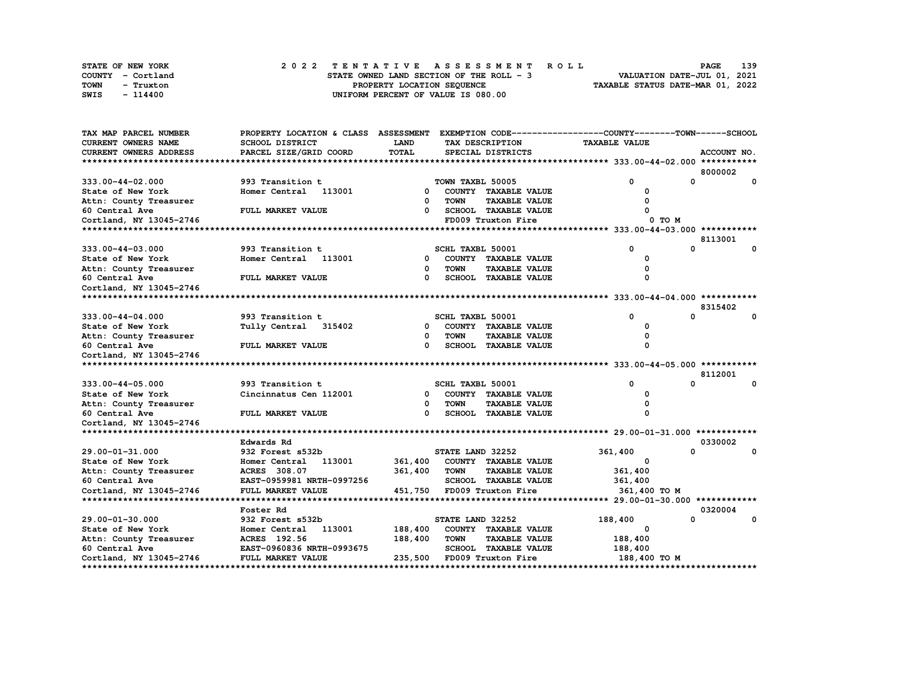|      | <b>STATE OF NEW YORK</b> | 2022 TENTATIVE ASSESSMENT ROLL                                          | PAGE | 139 |
|------|--------------------------|-------------------------------------------------------------------------|------|-----|
|      | COUNTY - Cortland        | VALUATION DATE-JUL 01, 2021<br>STATE OWNED LAND SECTION OF THE ROLL - 3 |      |     |
| TOWN | - Truxton                | TAXABLE STATUS DATE-MAR 01, 2022<br>PROPERTY LOCATION SEOUENCE          |      |     |
| SWIS | - 114400                 | UNIFORM PERCENT OF VALUE IS 080.00                                      |      |     |

| TAX MAP PARCEL NUMBER      | PROPERTY LOCATION & CLASS ASSESSMENT |          |                  |                             | EXEMPTION CODE-----------------COUNTY-------TOWN-----SCHOOL |              |              |
|----------------------------|--------------------------------------|----------|------------------|-----------------------------|-------------------------------------------------------------|--------------|--------------|
| <b>CURRENT OWNERS NAME</b> | <b>SCHOOL DISTRICT</b>               | LAND     |                  | TAX DESCRIPTION             | <b>TAXABLE VALUE</b>                                        |              |              |
| CURRENT OWNERS ADDRESS     | PARCEL SIZE/GRID COORD               | TOTAL    |                  | SPECIAL DISTRICTS           |                                                             |              | ACCOUNT NO.  |
|                            |                                      |          |                  |                             |                                                             |              |              |
|                            |                                      |          |                  |                             |                                                             |              | 8000002      |
| 333.00-44-02.000           | 993 Transition t                     |          | TOWN TAXBL 50005 |                             | 0                                                           | 0            | 0            |
| State of New York          | Homer Central 113001                 | $\Omega$ |                  | COUNTY TAXABLE VALUE        | <sup>0</sup>                                                |              |              |
| Attn: County Treasurer     |                                      | $\Omega$ | <b>TOWN</b>      | <b>TAXABLE VALUE</b>        |                                                             |              |              |
| 60 Central Ave             | FULL MARKET VALUE                    | 0        |                  | SCHOOL TAXABLE VALUE        |                                                             |              |              |
| Cortland, NY 13045-2746    |                                      |          |                  | FD009 Truxton Fire          | 0 TO M                                                      |              |              |
|                            |                                      |          |                  |                             |                                                             |              |              |
|                            |                                      |          |                  |                             |                                                             |              | 8113001      |
| 333.00-44-03.000           | 993 Transition t                     |          | SCHL TAXBL 50001 |                             | 0                                                           | 0            | $\mathbf{o}$ |
| State of New York          | Homer Central 113001                 | 0        |                  | COUNTY TAXABLE VALUE        |                                                             |              |              |
| Attn: County Treasurer     |                                      | 0        | <b>TOWN</b>      | <b>TAXABLE VALUE</b>        |                                                             |              |              |
| 60 Central Ave             | FULL MARKET VALUE                    | $\Omega$ |                  | SCHOOL TAXABLE VALUE        |                                                             |              |              |
| Cortland, NY 13045-2746    |                                      |          |                  |                             |                                                             |              |              |
|                            |                                      |          |                  |                             |                                                             |              |              |
|                            |                                      |          |                  |                             |                                                             |              | 8315402      |
| 333.00-44-04.000           | 993 Transition t                     |          | SCHL TAXBL 50001 |                             | $\Omega$                                                    | $\Omega$     | 0            |
| State of New York          | Tully Central 315402                 | 0        |                  | COUNTY TAXABLE VALUE        | $\Omega$                                                    |              |              |
| Attn: County Treasurer     |                                      | 0        | <b>TOWN</b>      | <b>TAXABLE VALUE</b>        | 0                                                           |              |              |
| 60 Central Ave             | FULL MARKET VALUE                    | 0        |                  | <b>SCHOOL TAXABLE VALUE</b> | n                                                           |              |              |
| Cortland, NY 13045-2746    |                                      |          |                  |                             |                                                             |              |              |
|                            |                                      |          |                  |                             |                                                             |              |              |
|                            |                                      |          |                  |                             |                                                             |              | 8112001      |
| 333.00-44-05.000           | 993 Transition t                     |          | SCHL TAXBL 50001 |                             | $\Omega$                                                    | $\Omega$     | $\mathbf 0$  |
| State of New York          | Cincinnatus Cen 112001               | 0        |                  | COUNTY TAXABLE VALUE        | 0                                                           |              |              |
| Attn: County Treasurer     |                                      | 0        | <b>TOWN</b>      | <b>TAXABLE VALUE</b>        |                                                             |              |              |
| 60 Central Ave             | FULL MARKET VALUE                    | $\Omega$ |                  | SCHOOL TAXABLE VALUE        | $\Omega$                                                    |              |              |
| Cortland, NY 13045-2746    |                                      |          |                  |                             |                                                             |              |              |
|                            |                                      |          |                  |                             |                                                             |              |              |
|                            | Edwards Rd                           |          |                  |                             |                                                             |              | 0330002      |
| 29.00-01-31.000            | 932 Forest s532b                     |          | STATE LAND 32252 |                             | 361,400                                                     | $\Omega$     | 0            |
| State of New York          | 113001<br>Homer Central              | 361,400  |                  | COUNTY TAXABLE VALUE        | 0                                                           |              |              |
| Attn: County Treasurer     | ACRES 308.07                         | 361,400  | <b>TOWN</b>      | <b>TAXABLE VALUE</b>        | 361,400                                                     |              |              |
| 60 Central Ave             | EAST-0959981 NRTH-0997256            |          |                  | SCHOOL TAXABLE VALUE        | 361,400                                                     |              |              |
| Cortland, NY 13045-2746    | FULL MARKET VALUE                    | 451,750  |                  | FD009 Truxton Fire          | 361,400 TO M                                                |              |              |
|                            |                                      |          |                  |                             |                                                             |              |              |
|                            | Foster Rd                            |          |                  |                             |                                                             |              | 0320004      |
| 29.00-01-30.000            | 932 Forest s532b                     |          | STATE LAND 32252 |                             | 188,400                                                     | $\mathbf{o}$ | 0            |
| State of New York          | Homer Central 113001                 | 188,400  |                  | COUNTY TAXABLE VALUE        | O                                                           |              |              |
| Attn: County Treasurer     | ACRES 192.56                         | 188,400  | TOWN             | <b>TAXABLE VALUE</b>        | 188,400                                                     |              |              |
| 60 Central Ave             | EAST-0960836 NRTH-0993675            |          |                  | <b>SCHOOL TAXABLE VALUE</b> | 188,400                                                     |              |              |
| Cortland, NY 13045-2746    | FULL MARKET VALUE                    |          |                  | 235,500 FD009 Truxton Fire  | 188,400 TO M                                                |              |              |
|                            |                                      |          |                  |                             |                                                             |              |              |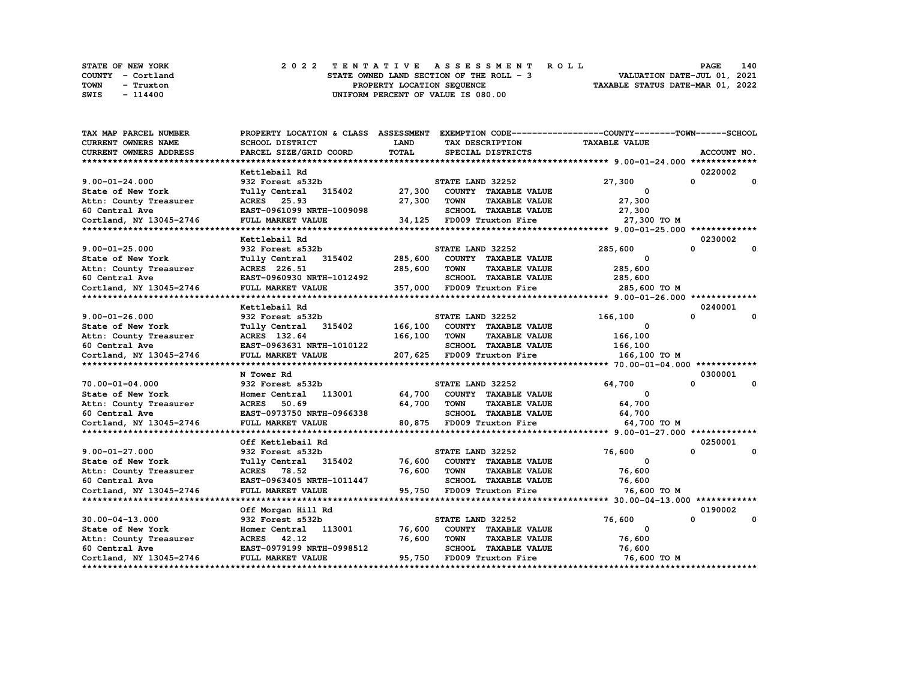|      | STATE OF NEW YORK | 2022 TENTATIVE ASSESSMENT ROLL           | 140<br><b>PAGE</b>               |
|------|-------------------|------------------------------------------|----------------------------------|
|      | COUNTY - Cortland | STATE OWNED LAND SECTION OF THE ROLL - 3 | VALUATION DATE-JUL 01, 2021      |
| TOWN | - Truxton         | PROPERTY LOCATION SEOUENCE               | TAXABLE STATUS DATE-MAR 01, 2022 |
| SWIS | $-114400$         | UNIFORM PERCENT OF VALUE IS 080.00       |                                  |

| TAX MAP PARCEL NUMBER      | PROPERTY LOCATION & CLASS ASSESSMENT EXEMPTION CODE------------------COUNTY-------TOWN-----SCHOOL |              |                            |                      |                         |                              |
|----------------------------|---------------------------------------------------------------------------------------------------|--------------|----------------------------|----------------------|-------------------------|------------------------------|
| <b>CURRENT OWNERS NAME</b> | SCHOOL DISTRICT                                                                                   | <b>LAND</b>  | TAX DESCRIPTION            |                      | <b>TAXABLE VALUE</b>    |                              |
| CURRENT OWNERS ADDRESS     | PARCEL SIZE/GRID COORD                                                                            | <b>TOTAL</b> | SPECIAL DISTRICTS          |                      |                         | ACCOUNT NO.                  |
|                            |                                                                                                   |              |                            |                      |                         |                              |
|                            | Kettlebail Rd                                                                                     |              |                            |                      |                         | 0220002                      |
| $9.00 - 01 - 24.000$       | 932 Forest s532b                                                                                  |              | STATE LAND 32252           |                      | 27,300                  | $\mathbf{0}$<br>$\mathbf{0}$ |
| State of New York          | 315402<br>Tully Central                                                                           | 27,300       | COUNTY TAXABLE VALUE       |                      | 0                       |                              |
| Attn: County Treasurer     | ACRES 25.93                                                                                       | 27,300       | <b>TOWN</b>                | <b>TAXABLE VALUE</b> | 27,300                  |                              |
| 60 Central Ave             | EAST-0961099 NRTH-1009098                                                                         |              |                            | SCHOOL TAXABLE VALUE | 27,300                  |                              |
| Cortland, NY 13045-2746    | FULL MARKET VALUE                                                                                 | 34,125       | FD009 Truxton Fire         |                      | 27,300 TO M             |                              |
|                            |                                                                                                   |              |                            |                      |                         |                              |
|                            | Kettlebail Rd                                                                                     |              |                            |                      |                         | 0230002                      |
| $9.00 - 01 - 25.000$       | 932 Forest s532b                                                                                  |              | STATE LAND 32252           |                      | 285,600                 | $\Omega$<br>$\Omega$         |
| State of New York          | Tully Central 315402                                                                              | 285,600      | COUNTY TAXABLE VALUE       |                      | 0                       |                              |
| Attn: County Treasurer     | ACRES 226.51                                                                                      | 285,600      | <b>TOWN</b>                | <b>TAXABLE VALUE</b> | 285,600                 |                              |
| 60 Central Ave             | EAST-0960930 NRTH-1012492                                                                         |              | SCHOOL TAXABLE VALUE       |                      | 285,600                 |                              |
|                            | FULL MARKET VALUE                                                                                 |              | 357,000 FD009 Truxton Fire |                      |                         |                              |
| Cortland, NY 13045-2746    |                                                                                                   |              |                            |                      | 285,600 TO M            |                              |
|                            | Kettlebail Rd                                                                                     |              |                            |                      |                         | 0240001                      |
|                            |                                                                                                   |              |                            |                      |                         | 0<br>0                       |
| $9.00 - 01 - 26.000$       | 932 Forest s532b                                                                                  | 166,100      | STATE LAND 32252           |                      | 166,100<br>$\mathbf{o}$ |                              |
| State of New York          | Tully Central 315402                                                                              |              | COUNTY TAXABLE VALUE       |                      |                         |                              |
| Attn: County Treasurer     | ACRES 132.64                                                                                      | 166,100      | <b>TOWN</b>                | <b>TAXABLE VALUE</b> | 166,100                 |                              |
| 60 Central Ave             | EAST-0963631 NRTH-1010122                                                                         |              | SCHOOL TAXABLE VALUE       |                      | 166,100                 |                              |
| Cortland, NY 13045-2746    | FULL MARKET VALUE                                                                                 |              | 207,625 FD009 Truxton Fire |                      | 166,100 то м            |                              |
|                            |                                                                                                   |              |                            |                      |                         |                              |
|                            | N Tower Rd                                                                                        |              |                            |                      |                         | 0300001                      |
| 70.00-01-04.000            | 932 Forest s532b                                                                                  |              | STATE LAND 32252           |                      | 64,700                  | $\mathbf 0$<br>$\Omega$      |
| State of New York          | 113001<br>Homer Central                                                                           | 64,700       | COUNTY TAXABLE VALUE       |                      | 0                       |                              |
| Attn: County Treasurer     | ACRES 50.69                                                                                       | 64,700       | TOWN                       | <b>TAXABLE VALUE</b> | 64,700                  |                              |
| 60 Central Ave             | EAST-0973750 NRTH-0966338                                                                         |              | SCHOOL TAXABLE VALUE       |                      | 64,700                  |                              |
| Cortland, NY 13045-2746    | FULL MARKET VALUE                                                                                 |              | 80,875 FD009 Truxton Fire  |                      | 64,700 TO M             |                              |
|                            |                                                                                                   |              |                            |                      |                         |                              |
|                            | Off Kettlebail Rd                                                                                 |              |                            |                      |                         | 0250001                      |
| $9.00 - 01 - 27.000$       | 932 Forest s532b                                                                                  |              | STATE LAND 32252           |                      | 76,600                  | $\Omega$<br>0                |
| State of New York          | Tully Central 315402                                                                              | 76,600       | COUNTY TAXABLE VALUE       |                      | $^{\circ}$              |                              |
| Attn: County Treasurer     | ACRES 78.52                                                                                       | 76,600       | TOWN                       | <b>TAXABLE VALUE</b> | 76,600                  |                              |
| 60 Central Ave             | EAST-0963405 NRTH-1011447                                                                         |              | SCHOOL TAXABLE VALUE       |                      | 76,600                  |                              |
| Cortland, NY 13045-2746    | FULL MARKET VALUE                                                                                 | 95,750       | FD009 Truxton Fire         |                      | 76,600 TO M             |                              |
|                            |                                                                                                   |              |                            |                      |                         |                              |
|                            | Off Morgan Hill Rd                                                                                |              |                            |                      |                         | 0190002                      |
| $30.00 - 04 - 13.000$      | 932 Forest s532b                                                                                  |              | STATE LAND 32252           |                      | 76,600                  | 0<br>0                       |
| State of New York          | 113001<br>Homer Central                                                                           | 76,600       | COUNTY TAXABLE VALUE       |                      | 0                       |                              |
| Attn: County Treasurer     | ACRES 42.12                                                                                       | 76,600       | <b>TOWN</b>                | <b>TAXABLE VALUE</b> | 76,600                  |                              |
| 60 Central Ave             | EAST-0979199 NRTH-0998512                                                                         |              | SCHOOL TAXABLE VALUE       |                      | 76,600                  |                              |
| Cortland, NY 13045-2746    | FULL MARKET VALUE                                                                                 | 95,750       | FD009 Truxton Fire         |                      | 76,600 то м             |                              |
|                            |                                                                                                   |              |                            |                      |                         |                              |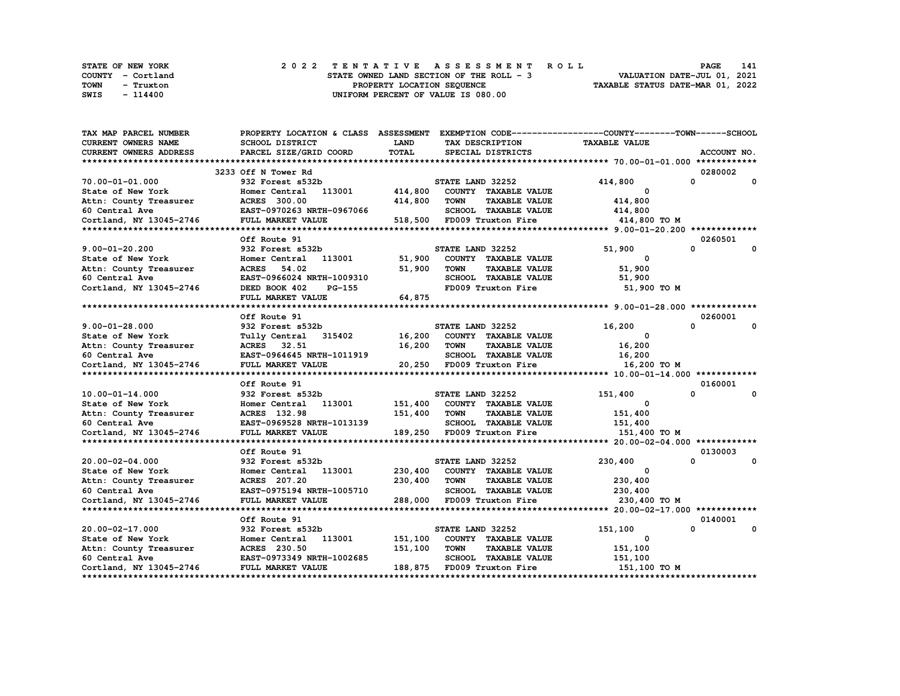|      | <b>STATE OF NEW YORK</b> |  |                                    |                            |  |                                          |  |  |  |  |  |  |  |                                  |  |  | 2022 TENTATIVE ASSESSMENT ROLL |                             | PAGE | 141 |  |
|------|--------------------------|--|------------------------------------|----------------------------|--|------------------------------------------|--|--|--|--|--|--|--|----------------------------------|--|--|--------------------------------|-----------------------------|------|-----|--|
|      | COUNTY - Cortland        |  |                                    |                            |  | STATE OWNED LAND SECTION OF THE ROLL - 3 |  |  |  |  |  |  |  |                                  |  |  |                                | VALUATION DATE-JUL 01, 2021 |      |     |  |
| TOWN | - Truxton                |  |                                    | PROPERTY LOCATION SEOUENCE |  |                                          |  |  |  |  |  |  |  | TAXABLE STATUS DATE-MAR 01, 2022 |  |  |                                |                             |      |     |  |
| SWIS | - 114400                 |  | UNIFORM PERCENT OF VALUE IS 080.00 |                            |  |                                          |  |  |  |  |  |  |  |                                  |  |  |                                |                             |      |     |  |

| <b>TAX MAP PARCEL NUMBER</b>                                | PROPERTY LOCATION & CLASS ASSESSMENT EXEMPTION CODE----------------COUNTY-------TOWN------SCHOOL |             |                                     |                      |          |              |
|-------------------------------------------------------------|--------------------------------------------------------------------------------------------------|-------------|-------------------------------------|----------------------|----------|--------------|
| <b>CURRENT OWNERS NAME</b>                                  | SCHOOL DISTRICT                                                                                  | <b>LAND</b> | TAX DESCRIPTION                     | <b>TAXABLE VALUE</b> |          |              |
| <b>CURRENT OWNERS ADDRESS</b>                               | PARCEL SIZE/GRID COORD                                                                           | TOTAL       | SPECIAL DISTRICTS                   |                      |          | ACCOUNT NO.  |
|                                                             |                                                                                                  |             |                                     |                      |          |              |
|                                                             | 3233 Off N Tower Rd                                                                              |             |                                     |                      | 0280002  |              |
| 70.00-01-01.000                                             | 932 Forest s532b                                                                                 |             | STATE LAND 32252                    | 414,800              | 0        | 0            |
| State of New York                                           | Homer Central 113001                                                                             | 414,800     | COUNTY TAXABLE VALUE                | 0                    |          |              |
| Attn: County Treasurer                                      | <b>ACRES</b> 300.00                                                                              | 414,800     | <b>TOWN</b><br><b>TAXABLE VALUE</b> | 414,800              |          |              |
|                                                             | EAST-0970263 NRTH-0967066                                                                        |             | SCHOOL TAXABLE VALUE                | 414,800              |          |              |
| 60 Central Ave<br>co central Ave<br>Cortland, NY 13045-2746 |                                                                                                  |             | 518,500 FD009 Truxton Fire          |                      |          |              |
|                                                             | FULL MARKET VALUE                                                                                |             |                                     | 414,800 TO M         |          |              |
|                                                             |                                                                                                  |             |                                     |                      |          |              |
|                                                             | Off Route 91                                                                                     |             |                                     |                      | 0260501  |              |
| $9.00 - 01 - 20.200$                                        | 932 Forest s532b                                                                                 |             | STATE LAND 32252                    | 51,900               | $\Omega$ | 0            |
| State of New York                                           | 113001<br>Homer Central                                                                          | 51,900      | COUNTY TAXABLE VALUE                | $\mathbf{o}$         |          |              |
| Attn: County Treasurer                                      | ACRES 54.02                                                                                      | 51,900      | <b>TOWN</b><br><b>TAXABLE VALUE</b> | 51,900               |          |              |
| 60 Central Ave                                              | EAST-0966024 NRTH-1009310                                                                        |             | SCHOOL TAXABLE VALUE                | 51,900               |          |              |
| Cortland, NY 13045-2746                                     | DEED BOOK 402<br>PG-155                                                                          |             | FD009 Truxton Fire                  | 51,900 TO M          |          |              |
|                                                             | FULL MARKET VALUE                                                                                | 64,875      |                                     |                      |          |              |
|                                                             |                                                                                                  |             |                                     |                      |          |              |
|                                                             | Off Route 91                                                                                     |             |                                     |                      | 0260001  |              |
| $9.00 - 01 - 28.000$                                        | 932 Forest s532b                                                                                 |             | STATE LAND 32252                    | 16,200               | $\Omega$ | $\mathbf{0}$ |
| State of New York                                           | Tully Central 315402                                                                             | 16,200      | COUNTY TAXABLE VALUE                | 0                    |          |              |
| Attn: County Treasurer                                      | ACRES 32.51                                                                                      | 16,200      | TOWN<br><b>TAXABLE VALUE</b>        | 16,200               |          |              |
| 60 Central Ave                                              | EAST-0964645 NRTH-1011919                                                                        |             | SCHOOL TAXABLE VALUE                | 16,200               |          |              |
| Cortland, NY 13045-2746                                     | FULL MARKET VALUE                                                                                |             | 20,250 FD009 Truxton Fire           | 16,200 TO M          |          |              |
|                                                             |                                                                                                  |             |                                     |                      |          |              |
|                                                             | Off Route 91                                                                                     |             |                                     |                      | 0160001  |              |
| $10.00 - 01 - 14.000$                                       | 932 Forest s532b                                                                                 |             | STATE LAND 32252                    | 151,400              | 0        | 0            |
| State of New York                                           | Homer Central 113001                                                                             | 151,400     | COUNTY TAXABLE VALUE                | $\mathbf{o}$         |          |              |
| Attn: County Treasurer                                      | ACRES 132.98                                                                                     | 151,400     | <b>TOWN</b><br><b>TAXABLE VALUE</b> | 151,400              |          |              |
| 60 Central Ave                                              | EAST-0969528 NRTH-1013139                                                                        |             | SCHOOL TAXABLE VALUE                | 151,400              |          |              |
| Cortland, NY 13045-2746                                     | FULL MARKET VALUE                                                                                |             | 189,250 FD009 Truxton Fire          | 151,400 TO M         |          |              |
|                                                             |                                                                                                  |             |                                     |                      |          |              |
|                                                             | Off Route 91                                                                                     |             |                                     |                      | 0130003  |              |
| $20.00 - 02 - 04.000$                                       | 932 Forest s532b                                                                                 |             | STATE LAND 32252                    | 230,400              | $\Omega$ | 0            |
|                                                             | Homer Central 113001                                                                             |             | 230,400 COUNTY TAXABLE VALUE        | $\Omega$             |          |              |
| State of New York                                           |                                                                                                  |             |                                     |                      |          |              |
| Attn: County Treasurer                                      | ACRES 207.20                                                                                     | 230,400     | TOWN<br><b>TAXABLE VALUE</b>        | 230,400              |          |              |
| 60 Central Ave                                              | EAST-0975194 NRTH-1005710                                                                        |             | SCHOOL TAXABLE VALUE                | 230,400              |          |              |
| Cortland, NY 13045-2746                                     | FULL MARKET VALUE                                                                                |             | 288,000 FD009 Truxton Fire          | 230,400 TO M         |          |              |
|                                                             |                                                                                                  |             |                                     |                      |          |              |
|                                                             | Off Route 91                                                                                     |             |                                     |                      | 0140001  |              |
| 20.00-02-17.000                                             | 932 Forest s532b                                                                                 |             | STATE LAND 32252                    | 151,100              | $\Omega$ | $\mathbf{0}$ |
| State of New York                                           | 113001<br>Homer Central                                                                          | 151,100     | COUNTY TAXABLE VALUE                | 0                    |          |              |
| Attn: County Treasurer                                      | ACRES 230.50                                                                                     | 151,100     | <b>TOWN</b><br><b>TAXABLE VALUE</b> | 151,100              |          |              |
| 60 Central Ave                                              | EAST-0973349 NRTH-1002685                                                                        |             | SCHOOL TAXABLE VALUE                | 151,100              |          |              |
| Cortland, NY 13045-2746                                     | FULL MARKET VALUE                                                                                |             | 188,875 FD009 Truxton Fire          | 151,100 TO M         |          |              |
|                                                             |                                                                                                  |             |                                     |                      |          |              |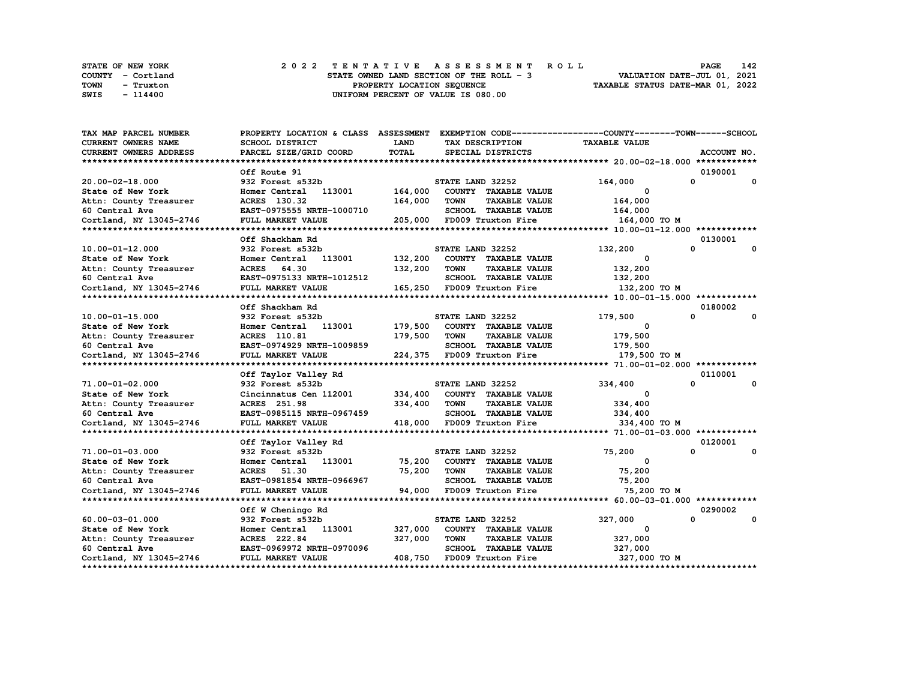| STATE OF NEW YORK | 2022 TENTATIVE ASSESSMENT ROLL           | 142<br><b>PAGE</b>               |
|-------------------|------------------------------------------|----------------------------------|
| COUNTY - Cortland | STATE OWNED LAND SECTION OF THE ROLL - 3 | VALUATION DATE-JUL 01, 2021      |
| TOWN<br>- Truxton | PROPERTY LOCATION SEOUENCE               | TAXABLE STATUS DATE-MAR 01, 2022 |
| SWIS<br>- 114400  | UNIFORM PERCENT OF VALUE IS 080.00       |                                  |

| TAX MAP PARCEL NUMBER      | PROPERTY LOCATION & CLASS ASSESSMENT EXEMPTION CODE----------------COUNTY-------TOWN-----SCHOOL |             |                                     |                      |               |
|----------------------------|-------------------------------------------------------------------------------------------------|-------------|-------------------------------------|----------------------|---------------|
| <b>CURRENT OWNERS NAME</b> | <b>SCHOOL DISTRICT</b>                                                                          | <b>LAND</b> | TAX DESCRIPTION                     | <b>TAXABLE VALUE</b> |               |
| CURRENT OWNERS ADDRESS     | PARCEL SIZE/GRID COORD                                                                          | TOTAL       | SPECIAL DISTRICTS                   |                      | ACCOUNT NO.   |
|                            |                                                                                                 |             |                                     |                      |               |
|                            | Off Route 91                                                                                    |             |                                     |                      | 0190001       |
| 20.00-02-18.000            | 932 Forest s532b                                                                                |             | STATE LAND 32252                    | 164,000              | 0<br>0        |
| State of New York          | 113001<br>Homer Central                                                                         | 164,000     | COUNTY TAXABLE VALUE                | $\Omega$             |               |
| Attn: County Treasurer     | ACRES 130.32                                                                                    | 164,000     | <b>TOWN</b><br><b>TAXABLE VALUE</b> | 164,000              |               |
| 60 Central Ave             | EAST-0975555 NRTH-1000710                                                                       |             | SCHOOL TAXABLE VALUE                | 164,000              |               |
| Cortland, NY 13045-2746    | FULL MARKET VALUE                                                                               | 205,000     | FD009 Truxton Fire                  | 164,000 TO M         |               |
|                            |                                                                                                 |             |                                     |                      |               |
|                            | Off Shackham Rd                                                                                 |             |                                     |                      | 0130001       |
| 10.00-01-12.000            | 932 Forest s532b                                                                                |             | STATE LAND 32252                    | 132,200              | 0<br>0        |
| State of New York          | Homer Central 113001                                                                            | 132,200     | COUNTY TAXABLE VALUE                | $\Omega$             |               |
| Attn: County Treasurer     | ACRES 64.30                                                                                     | 132,200     | TOWN<br><b>TAXABLE VALUE</b>        | 132,200              |               |
| 60 Central Ave             | EAST-0975133 NRTH-1012512                                                                       |             | SCHOOL TAXABLE VALUE                | 132,200              |               |
| Cortland, NY 13045-2746    | FULL MARKET VALUE                                                                               |             | 165,250 FD009 Truxton Fire          | 132,200 TO M         |               |
|                            |                                                                                                 |             |                                     |                      |               |
|                            | Off Shackham Rd                                                                                 |             |                                     |                      | 0180002       |
| $10.00 - 01 - 15.000$      | 932 Forest s532b                                                                                |             | STATE LAND 32252                    | 179,500              | 0<br>0        |
| State of New York          | Homer Central 113001                                                                            | 179,500     | COUNTY TAXABLE VALUE                | 0                    |               |
| Attn: County Treasurer     | <b>ACRES</b> 110.81                                                                             | 179,500     | <b>TOWN</b><br><b>TAXABLE VALUE</b> | 179,500              |               |
| 60 Central Ave             | EAST-0974929 NRTH-1009859                                                                       |             | SCHOOL TAXABLE VALUE                | 179,500              |               |
| Cortland, NY 13045-2746    | FULL MARKET VALUE                                                                               |             | 224,375 FD009 Truxton Fire          | 179,500 TO M         |               |
|                            |                                                                                                 |             |                                     |                      |               |
|                            | Off Taylor Valley Rd                                                                            |             |                                     |                      | 0110001       |
| 71.00-01-02.000            | 932 Forest s532b                                                                                |             | STATE LAND 32252                    | 334,400              | 0<br>$\Omega$ |
| State of New York          | Cincinnatus Cen 112001                                                                          | 334,400     | COUNTY TAXABLE VALUE                | $^{\circ}$           |               |
| Attn: County Treasurer     | <b>ACRES</b> 251.98                                                                             | 334,400     | TOWN<br><b>TAXABLE VALUE</b>        | 334,400              |               |
| 60 Central Ave             | EAST-0985115 NRTH-0967459                                                                       |             | SCHOOL TAXABLE VALUE                | 334,400              |               |
| Cortland, NY 13045-2746    | FULL MARKET VALUE                                                                               |             | 418,000 FD009 Truxton Fire          | 334,400 TO M         |               |
|                            |                                                                                                 |             |                                     |                      |               |
|                            | Off Taylor Valley Rd                                                                            |             |                                     |                      | 0120001       |
| 71.00-01-03.000            | 932 Forest s532b                                                                                |             | STATE LAND 32252                    | 75,200               | $\Omega$<br>0 |
| State of New York          | Homer Central 113001                                                                            | 75,200      | COUNTY TAXABLE VALUE                | $^{\circ}$           |               |
| Attn: County Treasurer     | ACRES 51.30                                                                                     | 75,200      | TOWN<br><b>TAXABLE VALUE</b>        | 75,200               |               |
| 60 Central Ave             | EAST-0981854 NRTH-0966967                                                                       |             | SCHOOL TAXABLE VALUE                | 75,200               |               |
| Cortland, NY 13045-2746    | FULL MARKET VALUE                                                                               | 94,000      | FD009 Truxton Fire                  | 75,200 TO M          |               |
|                            |                                                                                                 |             |                                     |                      |               |
|                            | Off W Cheningo Rd                                                                               |             |                                     |                      | 0290002       |
| $60.00 - 03 - 01.000$      | 932 Forest s532b                                                                                |             | STATE LAND 32252                    | 327,000              | 0<br>0        |
| State of New York          | Homer Central 113001                                                                            | 327,000     | COUNTY TAXABLE VALUE                | 0                    |               |
| Attn: County Treasurer     | ACRES 222.84                                                                                    | 327,000     | <b>TOWN</b><br><b>TAXABLE VALUE</b> | 327,000              |               |
| 60 Central Ave             | EAST-0969972 NRTH-0970096                                                                       |             | <b>SCHOOL TAXABLE VALUE</b>         | 327,000              |               |
| Cortland, NY 13045-2746    | FULL MARKET VALUE                                                                               | 408,750     | FD009 Truxton Fire                  | 327,000 TO M         |               |
|                            |                                                                                                 |             |                                     |                      |               |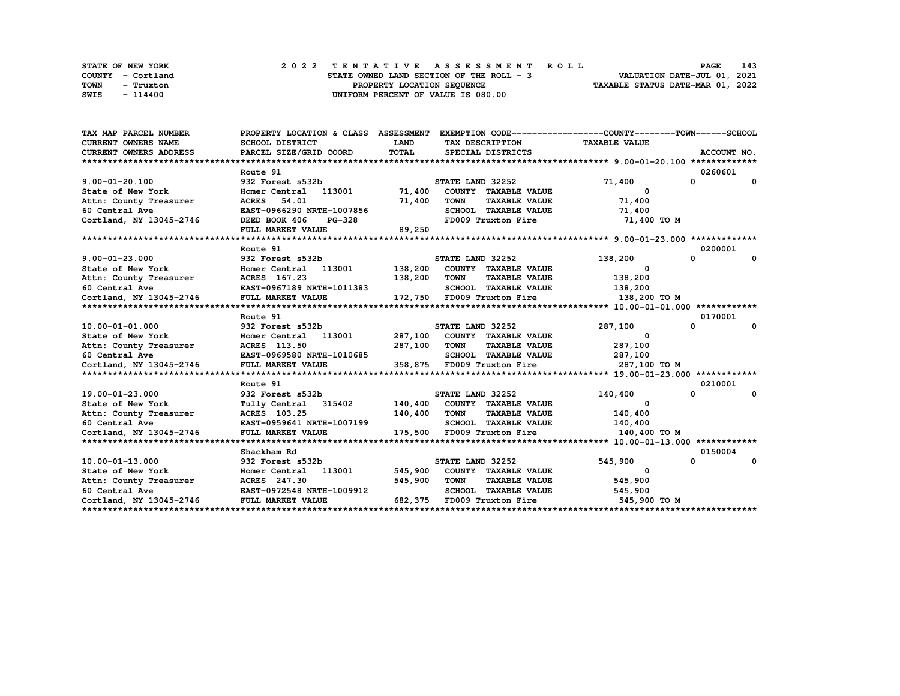|      | <b>STATE OF NEW YORK</b> |                                    |  |  |  |  |  |                                          |  |  |  |  |                                  |  | 2022 TENTATIVE ASSESSMENT ROLL |                             | <b>PAGE</b> | 143 |  |
|------|--------------------------|------------------------------------|--|--|--|--|--|------------------------------------------|--|--|--|--|----------------------------------|--|--------------------------------|-----------------------------|-------------|-----|--|
|      | COUNTY - Cortland        |                                    |  |  |  |  |  | STATE OWNED LAND SECTION OF THE ROLL - 3 |  |  |  |  |                                  |  |                                | VALUATION DATE-JUL 01, 2021 |             |     |  |
| TOWN | - Truxton                | PROPERTY LOCATION SEQUENCE         |  |  |  |  |  |                                          |  |  |  |  | TAXABLE STATUS DATE-MAR 01, 2022 |  |                                |                             |             |     |  |
| SWIS | - 114400                 | UNIFORM PERCENT OF VALUE IS 080.00 |  |  |  |  |  |                                          |  |  |  |  |                                  |  |                                |                             |             |     |  |

| TAX MAP PARCEL NUMBER<br><b>CURRENT OWNERS NAME</b><br>CURRENT OWNERS ADDRESS | PROPERTY LOCATION & CLASS ASSESSMENT EXEMPTION CODE----------------COUNTY-------TOWN-----SCHOOL<br>SCHOOL DISTRICT<br>PARCEL SIZE/GRID COORD | <b>LAND</b><br>TOTAL | TAX DESCRIPTION TAXABLE VALUE<br>SPECIAL DISTRICTS |                          | ACCOUNT NO.                  |
|-------------------------------------------------------------------------------|----------------------------------------------------------------------------------------------------------------------------------------------|----------------------|----------------------------------------------------|--------------------------|------------------------------|
|                                                                               |                                                                                                                                              |                      |                                                    |                          |                              |
|                                                                               | Route 91                                                                                                                                     |                      |                                                    |                          | 0260601                      |
| $9.00 - 01 - 20.100$                                                          | 932 Forest s532b                                                                                                                             |                      | STATE LAND 32252                                   | 71,400                   | $\mathbf{0}$<br>$\mathbf{0}$ |
| State of New York                                                             | Homer Central 113001 71,400                                                                                                                  |                      | COUNTY TAXABLE VALUE                               | $\mathbf{o}$             |                              |
| Attn: County Treasurer                                                        | <b>ACRES</b> 54.01                                                                                                                           | 71,400               | <b>TOWN</b><br><b>TAXABLE VALUE</b>                | 71,400                   |                              |
| 60 Central Ave                                                                | EAST-0966290 NRTH-1007856                                                                                                                    |                      | SCHOOL TAXABLE VALUE                               | 71,400                   |                              |
| Cortland, NY 13045-2746                                                       | DEED BOOK 406<br>PG-328                                                                                                                      |                      | FD009 Truxton Fire                                 | 71,400 TO M              |                              |
|                                                                               | FULL MARKET VALUE                                                                                                                            | 89,250               |                                                    |                          |                              |
|                                                                               |                                                                                                                                              |                      |                                                    |                          |                              |
|                                                                               | Route 91                                                                                                                                     |                      |                                                    |                          | 0200001                      |
| $9.00 - 01 - 23.000$                                                          | 932 Forest s532b<br>932 Forest s532b<br>Homer Central 113001 138,200 COUNTY TAXABLE VALUE                                                    |                      | STATE LAND 32252                                   | 138,200                  | $\mathbf{0}$<br>0            |
| State of New York                                                             |                                                                                                                                              |                      |                                                    | $\Omega$                 |                              |
| Attn: County Treasurer                                                        | ACRES 167.23                                                                                                                                 | 138,200 TOWN         |                                                    | TAXABLE VALUE 138,200    |                              |
| 60 Central Ave                                                                | EAST-0967189 NRTH-1011383                                                                                                                    |                      | SCHOOL TAXABLE VALUE 138,200                       |                          |                              |
|                                                                               |                                                                                                                                              |                      |                                                    |                          |                              |
|                                                                               |                                                                                                                                              |                      |                                                    |                          |                              |
|                                                                               | Route 91                                                                                                                                     |                      |                                                    |                          | 0170001                      |
| 10.00-01-01.000                                                               | 932 Forest s532b                                                                                                                             |                      | STATE LAND 32252                                   | 287,100                  | 0<br>0                       |
| State of New York                                                             | Homer Central 113001 287,100 COUNTY TAXABLE VALUE                                                                                            |                      |                                                    | $\overline{\mathbf{0}}$  |                              |
| Attn: County Treasurer                                                        | ACRES 113.50                                                                                                                                 | 287,100 TOWN         | <b>TAXABLE VALUE</b>                               | 287,100                  |                              |
| 60 Central Ave                                                                | EAST-0969580 NRTH-1010685                                                                                                                    |                      | SCHOOL TAXABLE VALUE 287,100                       |                          |                              |
| Cortland, NY 13045-2746                                                       | FULL MARKET VALUE                                                                                                                            |                      | 358,875 FD009 Truxton Fire 287,100 TO M            |                          |                              |
|                                                                               |                                                                                                                                              |                      |                                                    |                          |                              |
|                                                                               | Route 91                                                                                                                                     |                      |                                                    |                          | 0210001                      |
| 19.00-01-23.000                                                               | 932 Forest s532b                                                                                                                             |                      | STATE LAND 32252                                   | 140,400                  | $^{\circ}$<br>$\mathbf{o}$   |
| State of New York                                                             | Tully Central 315402 140,400 COUNTY TAXABLE VALUE                                                                                            |                      |                                                    | 0<br>140,400             |                              |
| Attn: County Treasurer                                                        | <b>ACRES</b> 103.25                                                                                                                          |                      | 140,400 TOWN<br><b>TAXABLE VALUE</b>               |                          |                              |
| 60 Central Ave                                                                | EAST-0959641 NRTH-1007199<br>FULL MARKET VALUE                                                                                               |                      | SCHOOL TAXABLE VALUE<br>175,500 FD009 Truxton Fire | 140,400                  |                              |
| Cortland, NY 13045-2746                                                       |                                                                                                                                              |                      |                                                    | 140,400 TO M             |                              |
|                                                                               | Shackham Rd                                                                                                                                  |                      |                                                    |                          | 0150004                      |
| $10.00 - 01 - 13.000$                                                         | 932 Forest s532b                                                                                                                             |                      | STATE LAND 32252                                   | 545,900                  | $\mathbf{0}$<br>0            |
| State of New York                                                             | Homer Central 113001 545,900                                                                                                                 |                      | COUNTY TAXABLE VALUE                               | $\overline{\phantom{a}}$ |                              |
|                                                                               | ACRES 247.30                                                                                                                                 | 545,900              | <b>TOWN</b><br><b>TAXABLE VALUE</b>                | 545,900                  |                              |
| Attn: County Treasurer<br>60 Central Ave<br>60 Central Ave                    | EAST-0972548 NRTH-1009912                                                                                                                    |                      | SCHOOL TAXABLE VALUE                               | 545,900                  |                              |
| Cortland, NY 13045-2746                                                       | FULL MARKET VALUE                                                                                                                            |                      | 682,375 FD009 Truxton Fire                         | 545,900 TO M             |                              |
|                                                                               |                                                                                                                                              |                      |                                                    |                          |                              |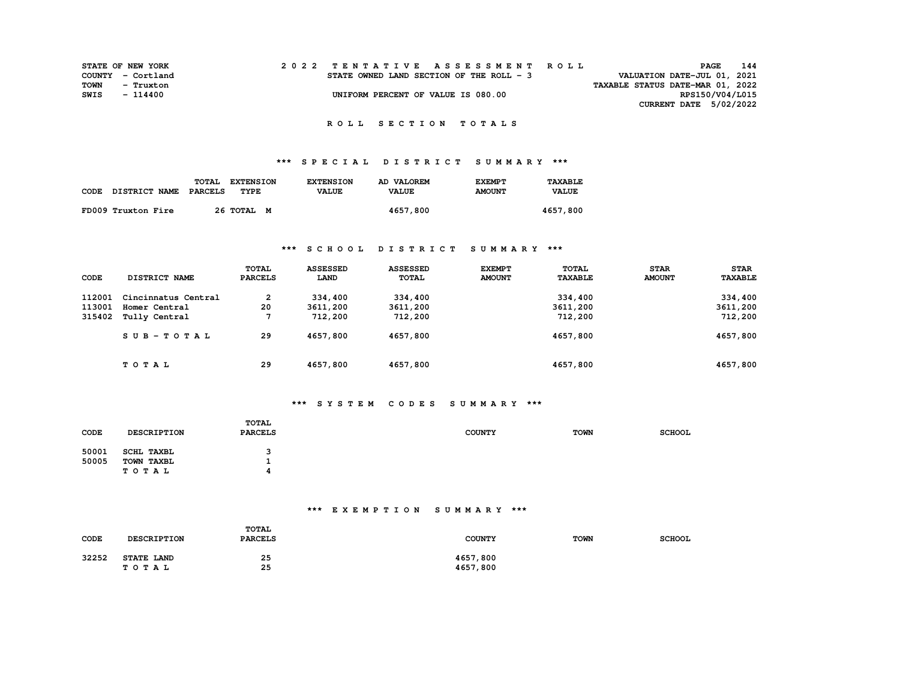| <b>STATE OF NEW YORK</b> |                   |  |  |  |  |  |                                          |  |  |  |  | 2022 TENTATIVE ASSESSMENT ROLL |                                  | PAGE | 144             |  |
|--------------------------|-------------------|--|--|--|--|--|------------------------------------------|--|--|--|--|--------------------------------|----------------------------------|------|-----------------|--|
|                          | COUNTY - Cortland |  |  |  |  |  | STATE OWNED LAND SECTION OF THE ROLL - 3 |  |  |  |  |                                | VALUATION DATE-JUL 01, 2021      |      |                 |  |
| TOWN                     | - Truxton         |  |  |  |  |  |                                          |  |  |  |  |                                | TAXABLE STATUS DATE-MAR 01, 2022 |      |                 |  |
| SWIS                     | - 114400          |  |  |  |  |  | UNIFORM PERCENT OF VALUE IS 080.00       |  |  |  |  |                                |                                  |      | RPS150/V04/L015 |  |
|                          |                   |  |  |  |  |  |                                          |  |  |  |  |                                | CURRENT DATE 5/02/2022           |      |                 |  |

### **R O L L S E C T I O N T O T A L S**

## **\*\*\* S P E C I A L D I S T R I C T S U M M A R Y \*\*\***

|                    | TOTAL<br><b>EXTENSION</b> | <b>EXTENSION</b> | AD VALOREM   | <b>EXEMPT</b> | TAXABLE      |
|--------------------|---------------------------|------------------|--------------|---------------|--------------|
| CODE DISTRICT NAME | PARCELS<br>TYPE           | <b>VALUE</b>     | <b>VALUE</b> | <b>AMOUNT</b> | <b>VALUE</b> |
|                    | 26 TOTAL M                |                  |              |               |              |
| FD009 Truxton Fire |                           |                  | 4657,800     |               | 4657,800     |

### **\*\*\* S C H O O L D I S T R I C T S U M M A R Y \*\*\***

|        |                      | <b>TOTAL</b>   | <b>ASSESSED</b> | <b>ASSESSED</b> | <b>EXEMPT</b> | TOTAL          | <b>STAR</b>   | <b>STAR</b>    |
|--------|----------------------|----------------|-----------------|-----------------|---------------|----------------|---------------|----------------|
| CODE   | <b>DISTRICT NAME</b> | <b>PARCELS</b> | LAND            | TOTAL           | <b>AMOUNT</b> | <b>TAXABLE</b> | <b>AMOUNT</b> | <b>TAXABLE</b> |
| 112001 | Cincinnatus Central  | 2              | 334,400         | 334,400         |               | 334,400        |               | 334,400        |
| 113001 | Homer Central        | 20             | 3611,200        | 3611,200        |               | 3611,200       |               | 3611,200       |
| 315402 | Tully Central        |                | 712,200         | 712,200         |               | 712,200        |               | 712,200        |
|        | SUB-TOTAL            | 29             | 4657,800        | 4657,800        |               | 4657,800       |               | 4657,800       |
|        | TOTAL                | 29             | 4657,800        | 4657,800        |               | 4657,800       |               | 4657,800       |

## **\*\*\* S Y S T E M C O D E S S U M M A R Y \*\*\***

| CODE           | <b>DESCRIPTION</b>                       | TOTAL<br><b>PARCELS</b> | <b>COUNTY</b> | <b>TOWN</b> | <b>SCHOOL</b> |
|----------------|------------------------------------------|-------------------------|---------------|-------------|---------------|
| 50001<br>50005 | <b>SCHL TAXBL</b><br>TOWN TAXBL<br>TOTAL | л.                      |               |             |               |

## **\*\*\* E X E M P T I O N S U M M A R Y \*\*\***

| CODE  | <b>DESCRIPTION</b>         | <b>TOTAL</b><br><b>PARCELS</b> | <b>COUNTY</b>        | <b>TOWN</b> | <b>SCHOOL</b> |
|-------|----------------------------|--------------------------------|----------------------|-------------|---------------|
| 32252 | <b>STATE LAND</b><br>TOTAL | 25<br>25                       | 4657,800<br>4657,800 |             |               |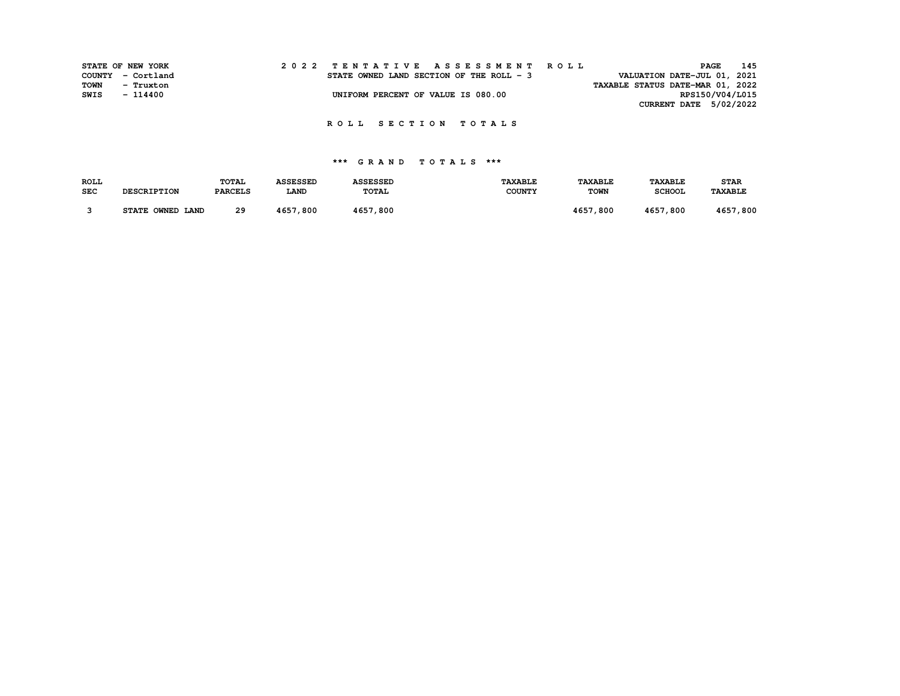|      | STATE OF NEW YORK |  |  | 2022 TENTATIVE ASSESSMENT ROLL           |  |  |  |  |  |  |  |  |                                  | PAGE | 145             |
|------|-------------------|--|--|------------------------------------------|--|--|--|--|--|--|--|--|----------------------------------|------|-----------------|
|      | COUNTY - Cortland |  |  | STATE OWNED LAND SECTION OF THE ROLL - 3 |  |  |  |  |  |  |  |  | VALUATION DATE-JUL 01, 2021      |      |                 |
| TOWN | - Truxton         |  |  |                                          |  |  |  |  |  |  |  |  | TAXABLE STATUS DATE-MAR 01, 2022 |      |                 |
| SWIS | - 114400          |  |  | UNIFORM PERCENT OF VALUE IS 080.00       |  |  |  |  |  |  |  |  |                                  |      | RPS150/V04/L015 |
|      |                   |  |  |                                          |  |  |  |  |  |  |  |  | CURRENT DATE 5/02/2022           |      |                 |

| <b>ROLL</b> |                    | TOTAL          | <b>ASSESSED</b> | <b>ASSESSED</b> | <b>TAXABLE</b> | <b><i>TAXABLE</i></b> | <b>TAXABLE</b> | <b>STAR</b> |
|-------------|--------------------|----------------|-----------------|-----------------|----------------|-----------------------|----------------|-------------|
| <b>SEC</b>  | <b>DESCRIPTION</b> | <b>PARCELS</b> | <b>LAND</b>     | TOTAL           | <b>COUNTY</b>  | <b>TOWN</b>           | <b>SCHOOL</b>  | TAXABLE     |
|             |                    |                |                 |                 |                |                       |                |             |
|             | STATE OWNED LAND   | 29             | 4657,800        | 4657,800        |                | 4657,800              | 4657,800       | 4657,800    |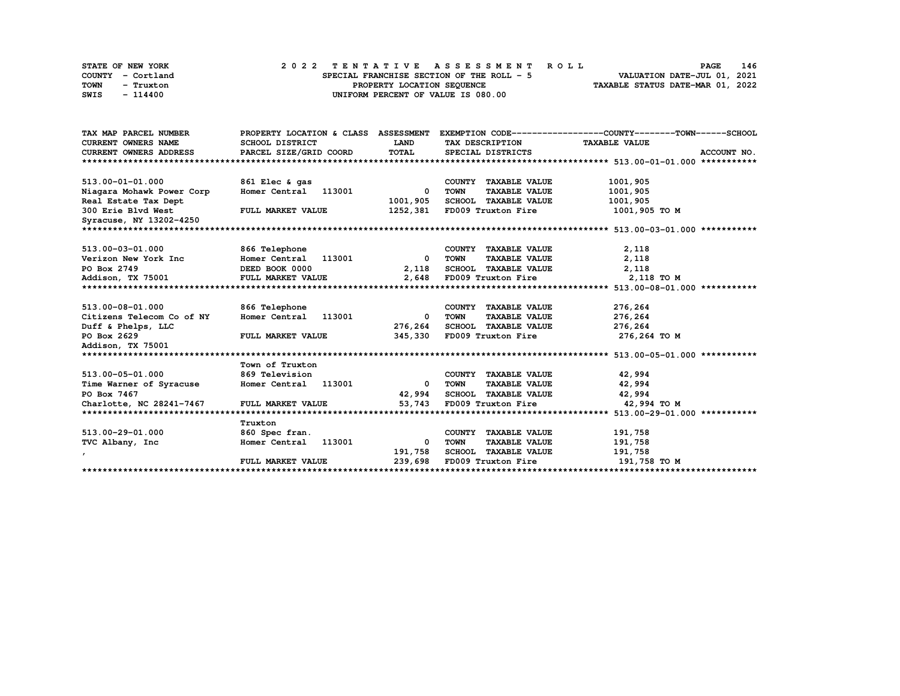|      | STATE OF NEW YORK | 2022 TENTATIVE ASSESSMENT ROLL |  |  |  |  |                                           |  |  |  |  |  |  |                                  | <b>PAGE</b> | 146 |
|------|-------------------|--------------------------------|--|--|--|--|-------------------------------------------|--|--|--|--|--|--|----------------------------------|-------------|-----|
|      | COUNTY - Cortland |                                |  |  |  |  | SPECIAL FRANCHISE SECTION OF THE ROLL - 5 |  |  |  |  |  |  | VALUATION DATE-JUL 01, 2021      |             |     |
| TOWN | - Truxton         |                                |  |  |  |  | PROPERTY LOCATION SEQUENCE                |  |  |  |  |  |  | TAXABLE STATUS DATE-MAR 01, 2022 |             |     |
| SWIS | - 114400          |                                |  |  |  |  | UNIFORM PERCENT OF VALUE IS 080.00        |  |  |  |  |  |  |                                  |             |     |

| <b>CURRENT OWNERS NAME</b><br>SCHOOL DISTRICT<br>LAND<br>TAX DESCRIPTION<br><b>TAXABLE VALUE</b>            |             |
|-------------------------------------------------------------------------------------------------------------|-------------|
| TOTAL<br>PARCEL SIZE/GRID COORD<br><b>CURRENT OWNERS ADDRESS</b><br>SPECIAL DISTRICTS                       | ACCOUNT NO. |
|                                                                                                             |             |
| 513.00-01-01.000<br>861 Elec & gas<br>COUNTY TAXABLE VALUE<br>1001,905                                      |             |
| Homer Central 113001<br><b>TOWN</b><br><b>TAXABLE VALUE</b><br>1001,905<br>Niagara Mohawk Power Corp<br>0   |             |
| SCHOOL TAXABLE VALUE<br>Real Estate Tax Dept<br>1001,905<br>1001,905                                        |             |
| 300 Erie Blvd West<br>FULL MARKET VALUE<br>1252,381<br>FD009 Truxton Fire<br>1001,905 TO M                  |             |
| Syracuse, NY 13202-4250                                                                                     |             |
|                                                                                                             |             |
| 513.00-03-01.000<br>2,118<br>866 Telephone<br>COUNTY TAXABLE VALUE                                          |             |
| 2,118<br>Verizon New York Inc<br>Homer Central<br>113001<br><b>TOWN</b><br><b>TAXABLE VALUE</b><br>0        |             |
| SCHOOL TAXABLE VALUE<br>2,118<br>PO Box 2749<br>DEED BOOK 0000<br>2,118                                     |             |
| 2,648<br>FD009 Truxton Fire<br>2,118 TO M<br>Addison, TX 75001<br>FULL MARKET VALUE                         |             |
|                                                                                                             |             |
| 513.00-08-01.000<br>866 Telephone<br>276,264<br>COUNTY TAXABLE VALUE                                        |             |
| Homer Central<br>276,264<br>Citizens Telecom Co of NY<br>113001<br><b>TOWN</b><br><b>TAXABLE VALUE</b><br>0 |             |
| SCHOOL TAXABLE VALUE<br>Duff & Phelps, LLC<br>276,264<br>276,264                                            |             |
| PO Box 2629<br>345,330<br>FD009 Truxton Fire<br>276,264 то м<br>FULL MARKET VALUE                           |             |
| Addison, TX 75001                                                                                           |             |
|                                                                                                             |             |
| Town of Truxton                                                                                             |             |
| 513.00-05-01.000<br>42,994<br><b>869 Television</b><br>COUNTY TAXABLE VALUE                                 |             |
| Homer Central 113001<br><b>TOWN</b><br><b>TAXABLE VALUE</b><br>42,994<br>Time Warner of Syracuse<br>0       |             |
| 42,994<br>SCHOOL TAXABLE VALUE<br>42,994<br>PO Box 7467                                                     |             |
| Charlotte, NC 28241-7467<br>53,743<br>FULL MARKET VALUE<br>FD009 Truxton Fire<br>42,994 TO M                |             |
|                                                                                                             |             |
| Truxton                                                                                                     |             |
| 513.00-29-01.000<br>191,758<br>860 Spec fran.<br>COUNTY TAXABLE VALUE                                       |             |
| 191,758<br>TVC Albany, Inc.<br>Homer Central<br>113001<br>TOWN<br><b>TAXABLE VALUE</b><br>0                 |             |
| <b>SCHOOL TAXABLE VALUE</b><br>191,758<br>191,758<br>$\mathbf{r}$                                           |             |
| 239,698<br>FD009 Truxton Fire<br>191,758 TO M<br>FULL MARKET VALUE                                          |             |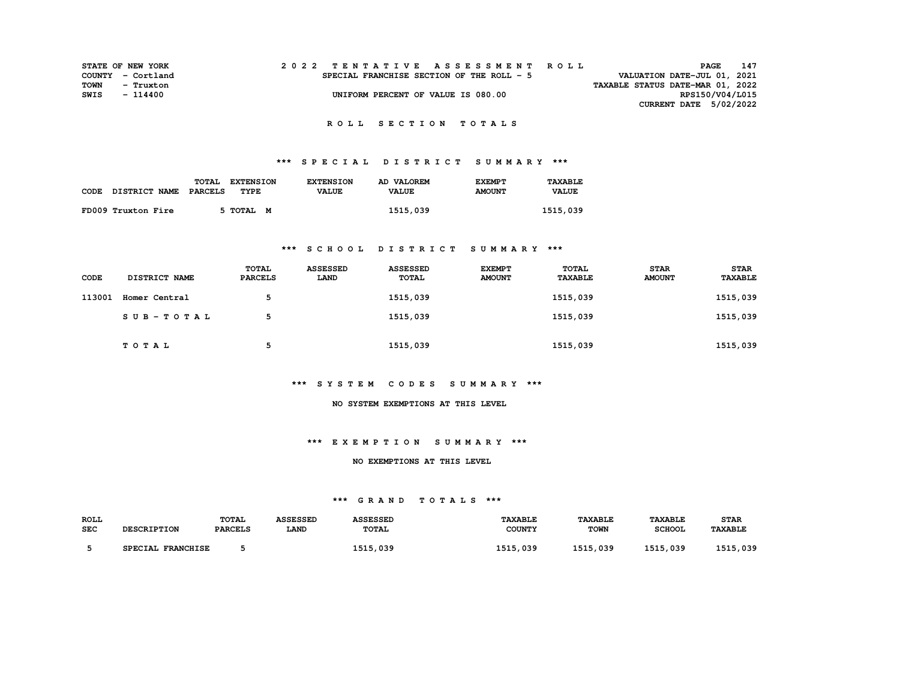| STATE OF NEW YORK |                   |  |  |  |  |  |                                           |  |  |  |  | 2022 TENTATIVE ASSESSMENT ROLL |                                  |                 | <b>PAGE</b> | 147 |
|-------------------|-------------------|--|--|--|--|--|-------------------------------------------|--|--|--|--|--------------------------------|----------------------------------|-----------------|-------------|-----|
|                   | COUNTY - Cortland |  |  |  |  |  | SPECIAL FRANCHISE SECTION OF THE ROLL - 5 |  |  |  |  |                                | VALUATION DATE-JUL 01, 2021      |                 |             |     |
| TOWN              | - Truxton         |  |  |  |  |  |                                           |  |  |  |  |                                | TAXABLE STATUS DATE-MAR 01, 2022 |                 |             |     |
| SWIS              | $-114400$         |  |  |  |  |  | UNIFORM PERCENT OF VALUE IS 080.00        |  |  |  |  |                                |                                  | RPS150/V04/L015 |             |     |
|                   |                   |  |  |  |  |  |                                           |  |  |  |  |                                | CURRENT DATE 5/02/2022           |                 |             |     |

# **\*\*\* S P E C I A L D I S T R I C T S U M M A R Y \*\*\***

|      |                      | <b>TOTAL</b><br><b>EXTENSION</b> | <b>EXTENSION</b> | AD VALOREM   | <b>EXEMPT</b> | TAXABLE      |
|------|----------------------|----------------------------------|------------------|--------------|---------------|--------------|
| CODE | <b>DISTRICT NAME</b> | PARCELS<br>TYPE                  | <b>VALUE</b>     | <b>VALUE</b> | <b>AMOUNT</b> | <b>VALUE</b> |
|      | FD009 Truxton Fire   | 5 TOTAL M                        |                  | 1515,039     |               | 1515,039     |
|      |                      |                                  |                  |              |               |              |

### **\*\*\* S C H O O L D I S T R I C T S U M M A R Y \*\*\***

| CODE   | <b>DISTRICT NAME</b> | <b>TOTAL</b><br><b>PARCELS</b> | <b>ASSESSED</b><br>LAND | <b>ASSESSED</b><br><b>TOTAL</b> | <b>EXEMPT</b><br><b>AMOUNT</b> | TOTAL<br>TAXABLE | <b>STAR</b><br><b>AMOUNT</b> | <b>STAR</b><br>TAXABLE |
|--------|----------------------|--------------------------------|-------------------------|---------------------------------|--------------------------------|------------------|------------------------------|------------------------|
| 113001 | Homer Central        | 5                              |                         | 1515,039                        |                                | 1515,039         |                              | 1515,039               |
|        | SUB-TOTAL            | 5                              |                         | 1515,039                        |                                | 1515,039         |                              | 1515,039               |
|        | <b>TOTAL</b>         | 5                              |                         | 1515,039                        |                                | 1515,039         |                              | 1515,039               |

### **\*\*\* S Y S T E M C O D E S S U M M A R Y \*\*\***

#### **NO SYSTEM EXEMPTIONS AT THIS LEVEL**

### **\*\*\* E X E M P T I O N S U M M A R Y \*\*\***

#### **NO EXEMPTIONS AT THIS LEVEL**

| ROLL       | <b>DESCRIPTION</b> | <b>TOTAL</b>   | <b>ASSESSED</b> | <b>ASSESSED</b> | <b>TAXABLE</b> | <b>TAXABLE</b> | <b>TAXABLE</b> | <b>STAR</b>    |
|------------|--------------------|----------------|-----------------|-----------------|----------------|----------------|----------------|----------------|
| <b>SEC</b> |                    | <b>PARCELS</b> | <b>LAND</b>     | TOTAL           | <b>COUNTY</b>  | <b>TOWN</b>    | <b>SCHOOL</b>  | <b>TAXABLE</b> |
|            | SPECIAL FRANCHISE  |                |                 | 1515,039        | 1515,039       | 1515,039       | 1515,039       | 1515,039       |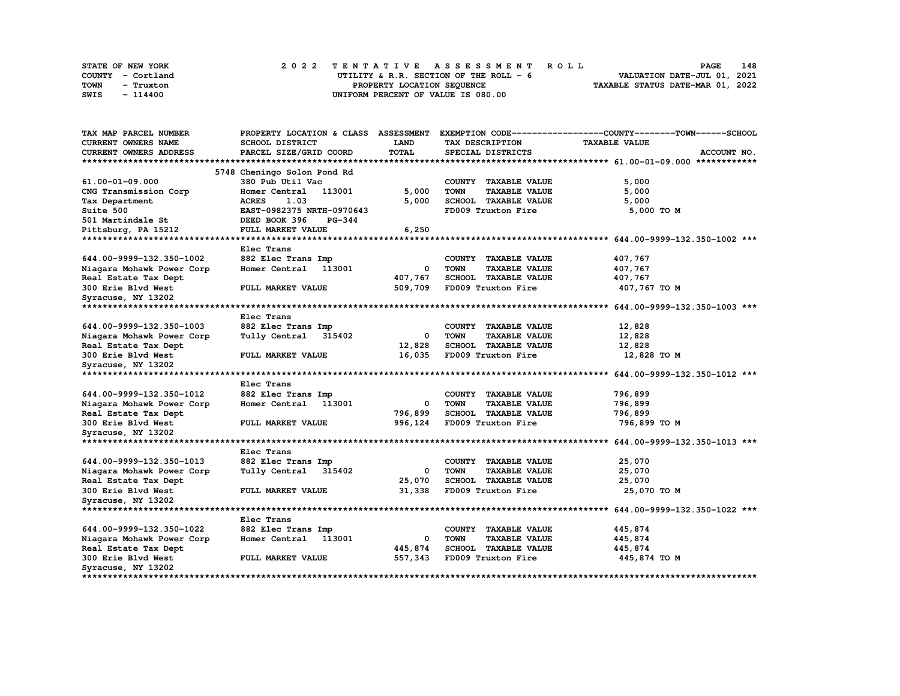| STATE OF NEW YORK | 2022 TENTATIVE ASSESSMENT ROLL          | 148<br><b>PAGE</b>               |
|-------------------|-----------------------------------------|----------------------------------|
| COUNTY - Cortland | UTILITY & R.R. SECTION OF THE ROLL $-6$ | VALUATION DATE-JUL 01, 2021      |
| TOWN<br>- Truxton | PROPERTY LOCATION SEOUENCE              | TAXABLE STATUS DATE-MAR 01, 2022 |
| SWIS<br>- 114400  | UNIFORM PERCENT OF VALUE IS 080.00      |                                  |

| TAX MAP PARCEL NUMBER         | PROPERTY LOCATION & CLASS ASSESSMENT |              |                                     | EXEMPTION CODE-----------------COUNTY-------TOWN------SCHOOL |
|-------------------------------|--------------------------------------|--------------|-------------------------------------|--------------------------------------------------------------|
| CURRENT OWNERS NAME           | SCHOOL DISTRICT                      | LAND         | TAX DESCRIPTION                     | <b>TAXABLE VALUE</b>                                         |
| CURRENT OWNERS ADDRESS        | PARCEL SIZE/GRID COORD               | <b>TOTAL</b> | SPECIAL DISTRICTS                   | ACCOUNT NO.                                                  |
| *************************     |                                      |              |                                     |                                                              |
|                               | 5748 Cheningo Solon Pond Rd          |              |                                     |                                                              |
| 61.00-01-09.000               | 380 Pub Util Vac                     |              | COUNTY TAXABLE VALUE                | 5,000                                                        |
| CNG Transmission Corp         | Homer Central<br>113001              | 5,000        | <b>TOWN</b><br><b>TAXABLE VALUE</b> | 5,000                                                        |
| Tax Department                | 1.03<br><b>ACRES</b>                 | 5,000        | SCHOOL TAXABLE VALUE                | 5,000                                                        |
| Suite 500                     | EAST-0982375 NRTH-0970643            |              | FD009 Truxton Fire                  | 5,000 TO M                                                   |
| 501 Martindale St             | DEED BOOK 396<br><b>PG-344</b>       |              |                                     |                                                              |
| Pittsburg, PA 15212           | FULL MARKET VALUE                    | 6,250        |                                     |                                                              |
|                               |                                      |              |                                     |                                                              |
|                               | Elec Trans                           |              |                                     |                                                              |
| 644.00-9999-132.350-1002      |                                      |              |                                     |                                                              |
|                               | 882 Elec Trans Imp                   |              | <b>TAXABLE VALUE</b><br>COUNTY      | 407,767                                                      |
| Niagara Mohawk Power Corp     | 113001<br>Homer Central              | 0            | <b>TOWN</b><br><b>TAXABLE VALUE</b> | 407,767                                                      |
| Real Estate Tax Dept          |                                      | 407,767      | <b>SCHOOL TAXABLE VALUE</b>         | 407,767                                                      |
| 300 Erie Blvd West            | FULL MARKET VALUE                    | 509,709      | FD009 Truxton Fire                  | 407,767 TO M                                                 |
| Syracuse, NY 13202            |                                      |              |                                     |                                                              |
| *********************         |                                      |              |                                     |                                                              |
|                               | Elec Trans                           |              |                                     |                                                              |
| 644.00-9999-132.350-1003      | 882 Elec Trans Imp                   |              | COUNTY TAXABLE VALUE                | 12,828                                                       |
| Niagara Mohawk Power Corp     | Tully Central 315402                 | 0            | <b>TOWN</b><br><b>TAXABLE VALUE</b> | 12,828                                                       |
| Real Estate Tax Dept          |                                      | 12,828       | SCHOOL TAXABLE VALUE                | 12,828                                                       |
| 300 Erie Blvd West            | FULL MARKET VALUE                    | 16,035       | FD009 Truxton Fire                  | 12,828 TO M                                                  |
| Syracuse, NY 13202            |                                      |              |                                     |                                                              |
|                               |                                      |              |                                     |                                                              |
|                               | Elec Trans                           |              |                                     |                                                              |
| 644.00-9999-132.350-1012      | 882 Elec Trans Imp                   |              | COUNTY TAXABLE VALUE                | 796,899                                                      |
| Niagara Mohawk Power Corp     | Homer Central<br>113001              | 0            | <b>TOWN</b><br><b>TAXABLE VALUE</b> | 796,899                                                      |
| Real Estate Tax Dept          |                                      | 796,899      | <b>SCHOOL TAXABLE VALUE</b>         | 796,899                                                      |
| 300 Erie Blvd West            | FULL MARKET VALUE                    | 996,124      | FD009 Truxton Fire                  | 796,899 то м                                                 |
| Syracuse, NY 13202            |                                      |              |                                     |                                                              |
| ***************************** |                                      |              |                                     |                                                              |
|                               | Elec Trans                           |              |                                     |                                                              |
| 644.00-9999-132.350-1013      | 882 Elec Trans Imp                   |              | COUNTY TAXABLE VALUE                | 25,070                                                       |
| Niagara Mohawk Power Corp     | Tully Central<br>315402              | 0            | <b>TOWN</b><br><b>TAXABLE VALUE</b> | 25,070                                                       |
| Real Estate Tax Dept          |                                      | 25,070       | SCHOOL TAXABLE VALUE                | 25,070                                                       |
| 300 Erie Blvd West            | FULL MARKET VALUE                    | 31,338       | FD009 Truxton Fire                  | 25,070 TO M                                                  |
|                               |                                      |              |                                     |                                                              |
| Syracuse, NY 13202            |                                      |              |                                     |                                                              |
|                               |                                      |              |                                     |                                                              |
|                               | Elec Trans                           |              |                                     |                                                              |
| 644.00-9999-132.350-1022      | 882 Elec Trans Imp                   |              | COUNTY TAXABLE VALUE                | 445,874                                                      |
| Niagara Mohawk Power Corp     | Homer Central<br>113001              | 0            | TOWN<br><b>TAXABLE VALUE</b>        | 445,874                                                      |
| Real Estate Tax Dept          |                                      | 445,874      | SCHOOL TAXABLE VALUE                | 445,874                                                      |
| 300 Erie Blvd West            | FULL MARKET VALUE                    | 557,343      | FD009 Truxton Fire                  | 445,874 TO M                                                 |
| Syracuse, NY 13202            |                                      |              |                                     |                                                              |
|                               |                                      |              |                                     |                                                              |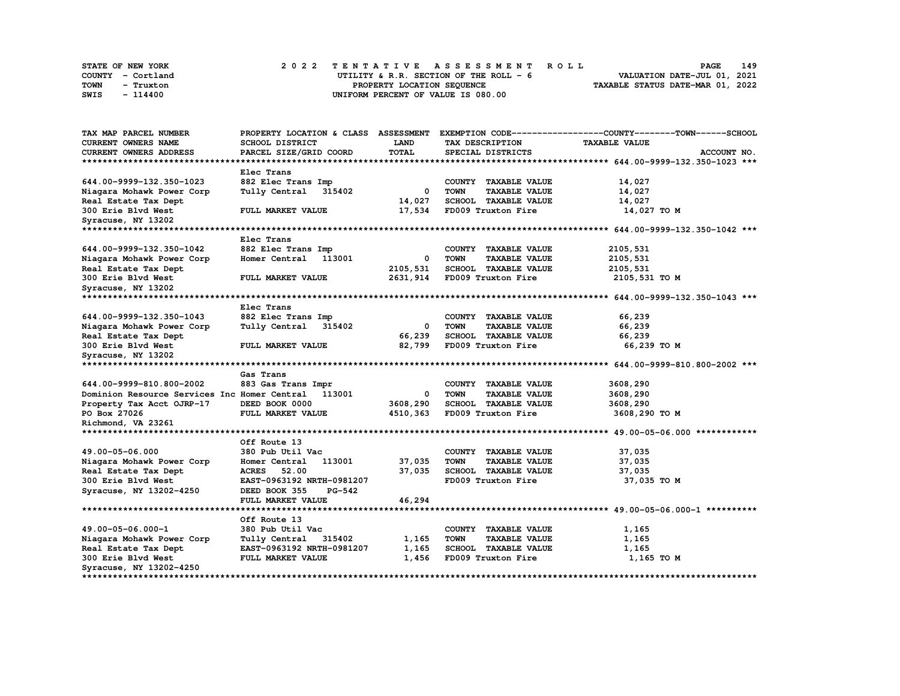| STATE OF NEW YORK | 2022 TENTATIVE ASSESSMENT ROLL          | 149<br><b>PAGE</b>               |
|-------------------|-----------------------------------------|----------------------------------|
| COUNTY - Cortland | UTILITY & R.R. SECTION OF THE ROLL $-6$ | VALUATION DATE-JUL 01, 2021      |
| TOWN<br>- Truxton | PROPERTY LOCATION SEQUENCE              | TAXABLE STATUS DATE-MAR 01, 2022 |
| SWIS<br>- 114400  | UNIFORM PERCENT OF VALUE IS 080.00      |                                  |

| <b>TAX MAP PARCEL NUMBER</b>                        | PROPERTY LOCATION & CLASS      | <b>ASSESSMENT</b> |                                       | EXEMPTION CODE-----------------COUNTY-------TOWN-----SCHOOL |
|-----------------------------------------------------|--------------------------------|-------------------|---------------------------------------|-------------------------------------------------------------|
| <b>CURRENT OWNERS NAME</b>                          | SCHOOL DISTRICT                | LAND              | TAX DESCRIPTION                       | <b>TAXABLE VALUE</b>                                        |
| <b>CURRENT OWNERS ADDRESS</b>                       | PARCEL SIZE/GRID COORD         | <b>TOTAL</b>      | SPECIAL DISTRICTS                     | ACCOUNT NO.                                                 |
| **************************                          |                                |                   |                                       |                                                             |
|                                                     | Elec Trans                     |                   |                                       |                                                             |
| 644.00-9999-132.350-1023                            | 882 Elec Trans Imp             |                   | COUNTY TAXABLE VALUE                  | 14,027                                                      |
| Niagara Mohawk Power Corp                           | Tully Central<br>315402        | 0                 | <b>TOWN</b><br><b>TAXABLE VALUE</b>   | 14,027                                                      |
| Real Estate Tax Dept                                |                                | 14,027            | SCHOOL TAXABLE VALUE                  | 14,027                                                      |
| 300 Erie Blvd West                                  | FULL MARKET VALUE              | 17,534            | FD009 Truxton Fire                    | 14,027 TO M                                                 |
| Syracuse, NY 13202                                  |                                |                   |                                       |                                                             |
|                                                     |                                |                   |                                       |                                                             |
|                                                     | Elec Trans                     |                   |                                       |                                                             |
| 644.00-9999-132.350-1042                            | 882 Elec Trans Imp             |                   | COUNTY TAXABLE VALUE                  | 2105,531                                                    |
| Niagara Mohawk Power Corp                           | Homer Central<br>113001        | 0                 | <b>TOWN</b><br><b>TAXABLE VALUE</b>   | 2105,531                                                    |
| Real Estate Tax Dept                                |                                | 2105,531          | SCHOOL TAXABLE VALUE                  | 2105,531                                                    |
| 300 Erie Blvd West                                  | FULL MARKET VALUE              | 2631,914          | FD009 Truxton Fire                    | 2105,531 TO M                                               |
| Syracuse, NY 13202                                  |                                |                   |                                       |                                                             |
|                                                     |                                |                   |                                       |                                                             |
|                                                     | Elec Trans                     |                   |                                       |                                                             |
| 644.00-9999-132.350-1043                            | 882 Elec Trans Imp             |                   | COUNTY TAXABLE VALUE                  | 66,239                                                      |
| Niagara Mohawk Power Corp                           | Tully Central 315402           | 0                 | <b>TOWN</b><br><b>TAXABLE VALUE</b>   | 66,239                                                      |
| Real Estate Tax Dept                                |                                | 66,239            | SCHOOL TAXABLE VALUE                  | 66,239                                                      |
| 300 Erie Blvd West                                  | FULL MARKET VALUE              | 82,799            | FD009 Truxton Fire                    | 66,239 TO M                                                 |
| Syracuse, NY 13202                                  |                                |                   |                                       |                                                             |
|                                                     |                                |                   |                                       |                                                             |
|                                                     | Gas Trans                      |                   |                                       |                                                             |
| 644.00-9999-810.800-2002                            | 883 Gas Trans Impr             |                   | COUNTY<br><b>TAXABLE VALUE</b>        | 3608,290                                                    |
| Dominion Resource Services Inc Homer Central 113001 |                                | 0                 | <b>TOWN</b><br><b>TAXABLE VALUE</b>   | 3608,290                                                    |
| Property Tax Acct OJRP-17                           | DEED BOOK 0000                 | 3608,290          | SCHOOL TAXABLE VALUE                  | 3608,290                                                    |
| PO Box 27026                                        | FULL MARKET VALUE              | 4510,363          | FD009 Truxton Fire                    | 3608,290 TO M                                               |
| Richmond, VA 23261                                  |                                |                   |                                       |                                                             |
|                                                     |                                |                   |                                       |                                                             |
|                                                     | Off Route 13                   |                   |                                       |                                                             |
| 49.00-05-06.000                                     | 380 Pub Util Vac               |                   | COUNTY TAXABLE VALUE                  | 37,035                                                      |
| Niagara Mohawk Power Corp                           | Homer Central<br>113001        | 37,035            | <b>TOWN</b><br><b>TAXABLE VALUE</b>   | 37,035                                                      |
| Real Estate Tax Dept                                | <b>ACRES</b><br>52.00          | 37,035            | <b>SCHOOL TAXABLE VALUE</b>           | 37,035                                                      |
| 300 Erie Blvd West                                  | EAST-0963192 NRTH-0981207      |                   | FD009 Truxton Fire                    | 37,035 TO M                                                 |
| Syracuse, NY 13202-4250                             | DEED BOOK 355<br><b>PG-542</b> |                   |                                       |                                                             |
|                                                     | FULL MARKET VALUE              | 46,294            |                                       |                                                             |
|                                                     |                                |                   |                                       |                                                             |
|                                                     | Off Route 13                   |                   |                                       |                                                             |
| 49.00-05-06.000-1                                   | 380 Pub Util Vac               |                   | <b>COUNTY</b><br><b>TAXABLE VALUE</b> | 1,165                                                       |
| Niagara Mohawk Power Corp                           | Tully Central<br>315402        | 1,165             | <b>TOWN</b><br><b>TAXABLE VALUE</b>   | 1,165                                                       |
| Real Estate Tax Dept                                | EAST-0963192 NRTH-0981207      | 1,165             | SCHOOL TAXABLE VALUE                  | 1,165                                                       |
| 300 Erie Blvd West                                  | FULL MARKET VALUE              | 1,456             | FD009 Truxton Fire                    | 1,165 TO M                                                  |
| Syracuse, NY 13202-4250                             |                                |                   |                                       |                                                             |
|                                                     |                                |                   |                                       |                                                             |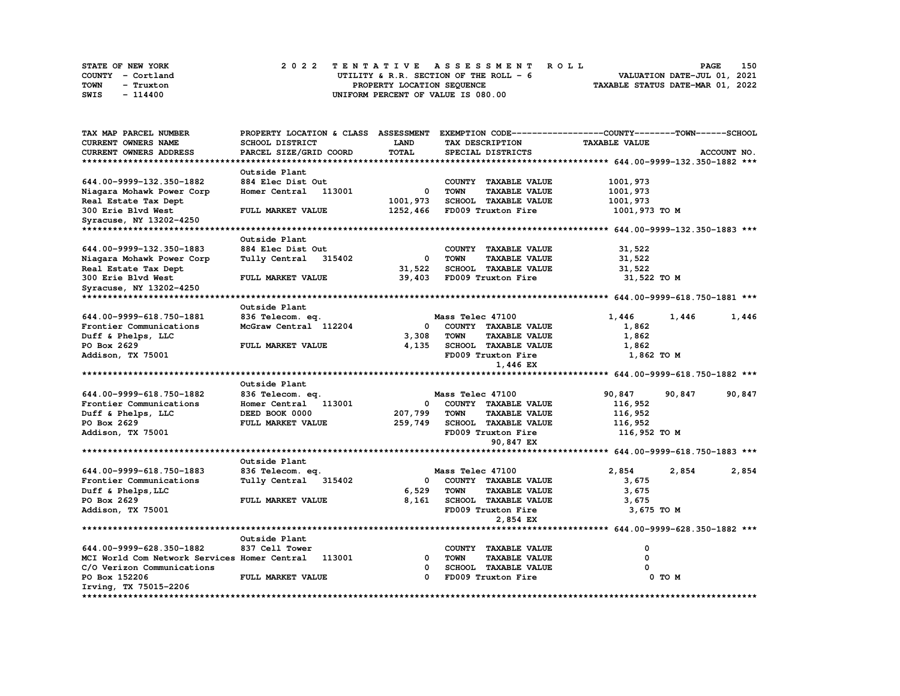| STATE OF NEW YORK | 2022 TENTATIVE ASSESSMENT ROLL         | 150<br><b>PAGE</b>               |
|-------------------|----------------------------------------|----------------------------------|
| COUNTY - Cortland | UTILITY & R.R. SECTION OF THE ROLL - 6 | VALUATION DATE-JUL 01, 2021      |
| TOWN<br>- Truxton | PROPERTY LOCATION SEOUENCE             | TAXABLE STATUS DATE-MAR 01, 2022 |
| SWIS<br>$-114400$ | UNIFORM PERCENT OF VALUE IS 080.00     |                                  |

| TAX MAP PARCEL NUMBER                        | PROPERTY LOCATION & CLASS ASSESSMENT EXEMPTION CODE----------------COUNTY-------TOWN------SCHOOL |              |                                     |                      |                |
|----------------------------------------------|--------------------------------------------------------------------------------------------------|--------------|-------------------------------------|----------------------|----------------|
| <b>CURRENT OWNERS NAME</b>                   | SCHOOL DISTRICT                                                                                  | LAND         | TAX DESCRIPTION                     | <b>TAXABLE VALUE</b> |                |
| <b>CURRENT OWNERS ADDRESS</b>                | PARCEL SIZE/GRID COORD                                                                           | <b>TOTAL</b> | SPECIAL DISTRICTS                   |                      | ACCOUNT NO.    |
|                                              |                                                                                                  |              |                                     |                      |                |
|                                              | Outside Plant                                                                                    |              |                                     |                      |                |
| 644.00-9999-132.350-1882                     | 884 Elec Dist Out                                                                                |              | COUNTY TAXABLE VALUE                | 1001,973             |                |
| Niagara Mohawk Power Corp                    | Homer Central<br>113001                                                                          | 0            | <b>TOWN</b><br><b>TAXABLE VALUE</b> | 1001,973             |                |
| Real Estate Tax Dept                         |                                                                                                  | 1001,973     | <b>SCHOOL TAXABLE VALUE</b>         | 1001,973             |                |
| 300 Erie Blvd West                           | FULL MARKET VALUE                                                                                | 1252,466     | FD009 Truxton Fire                  | 1001,973 TO M        |                |
|                                              |                                                                                                  |              |                                     |                      |                |
| Syracuse, NY 13202-4250                      |                                                                                                  |              |                                     |                      |                |
|                                              |                                                                                                  |              |                                     |                      |                |
|                                              | Outside Plant                                                                                    |              |                                     |                      |                |
| 644.00-9999-132.350-1883                     | 884 Elec Dist Out                                                                                |              | COUNTY TAXABLE VALUE                | 31,522               |                |
| Niagara Mohawk Power Corp                    | Tully Central<br>315402                                                                          | $^{\circ}$   | <b>TOWN</b><br><b>TAXABLE VALUE</b> | 31,522               |                |
| Real Estate Tax Dept                         |                                                                                                  | 31,522       | <b>SCHOOL TAXABLE VALUE</b>         | 31,522               |                |
| 300 Erie Blvd West                           | FULL MARKET VALUE                                                                                | 39,403       | FD009 Truxton Fire                  | 31,522 TO M          |                |
| Syracuse, NY 13202-4250                      |                                                                                                  |              |                                     |                      |                |
| **********************                       |                                                                                                  |              |                                     |                      |                |
|                                              | Outside Plant                                                                                    |              |                                     |                      |                |
| 644.00-9999-618.750-1881                     | 836 Telecom. eq.                                                                                 |              | Mass Telec 47100                    | 1,446                | 1,446<br>1,446 |
| Frontier Communications                      | McGraw Central 112204                                                                            | $\mathbf{o}$ | COUNTY TAXABLE VALUE                | 1,862                |                |
| Duff & Phelps, LLC                           |                                                                                                  | 3,308        | <b>TOWN</b><br><b>TAXABLE VALUE</b> | 1,862                |                |
| PO Box 2629                                  | FULL MARKET VALUE                                                                                | 4,135        | SCHOOL TAXABLE VALUE                | 1,862                |                |
| Addison, TX 75001                            |                                                                                                  |              | FD009 Truxton Fire                  | 1,862 TO M           |                |
|                                              |                                                                                                  |              | 1,446 EX                            |                      |                |
|                                              |                                                                                                  |              |                                     |                      |                |
|                                              | Outside Plant                                                                                    |              |                                     |                      |                |
| 644.00-9999-618.750-1882                     | 836 Telecom. eq.                                                                                 |              | Mass Telec 47100                    | 90,847<br>90,847     | 90,847         |
| Frontier Communications                      | Homer Central 113001                                                                             | $\mathbf{o}$ | COUNTY TAXABLE VALUE                | 116,952              |                |
| Duff & Phelps, LLC                           | DEED BOOK 0000                                                                                   | 207,799      | <b>TAXABLE VALUE</b><br><b>TOWN</b> | 116,952              |                |
| PO Box 2629                                  | FULL MARKET VALUE                                                                                | 259,749      | <b>SCHOOL TAXABLE VALUE</b>         | 116,952              |                |
| Addison, TX 75001                            |                                                                                                  |              | FD009 Truxton Fire                  | 116,952 TO M         |                |
|                                              |                                                                                                  |              | 90,847 EX                           |                      |                |
|                                              |                                                                                                  |              |                                     |                      |                |
|                                              | Outside Plant                                                                                    |              |                                     |                      |                |
| 644.00-9999-618.750-1883                     | 836 Telecom. eq.                                                                                 |              | Mass Telec 47100                    | 2,854                | 2,854<br>2,854 |
| Frontier Communications                      | Tully Central<br>315402                                                                          | 0            | COUNTY TAXABLE VALUE                | 3,675                |                |
| Duff & Phelps, LLC                           |                                                                                                  | 6,529        | <b>TOWN</b><br><b>TAXABLE VALUE</b> | 3,675                |                |
| PO Box 2629                                  | FULL MARKET VALUE                                                                                | 8,161        | <b>SCHOOL TAXABLE VALUE</b>         | 3,675                |                |
| Addison, TX 75001                            |                                                                                                  |              | FD009 Truxton Fire                  | 3,675 TO M           |                |
|                                              |                                                                                                  |              | 2,854 EX                            |                      |                |
|                                              |                                                                                                  |              |                                     |                      |                |
|                                              |                                                                                                  |              |                                     |                      |                |
|                                              | Outside Plant                                                                                    |              |                                     |                      |                |
| 644.00-9999-628.350-1882                     | 837 Cell Tower                                                                                   |              | COUNTY TAXABLE VALUE                | 0                    |                |
| MCI World Com Network Services Homer Central | 113001                                                                                           | $\Omega$     | <b>TOWN</b><br><b>TAXABLE VALUE</b> | $\Omega$             |                |
| C/O Verizon Communications                   |                                                                                                  | 0            | <b>SCHOOL TAXABLE VALUE</b>         |                      |                |
| PO Box 152206                                | FULL MARKET VALUE                                                                                | 0            | FD009 Truxton Fire                  | 0 TO M               |                |
| Irving, TX 75015-2206                        |                                                                                                  |              |                                     |                      |                |
|                                              |                                                                                                  |              |                                     |                      |                |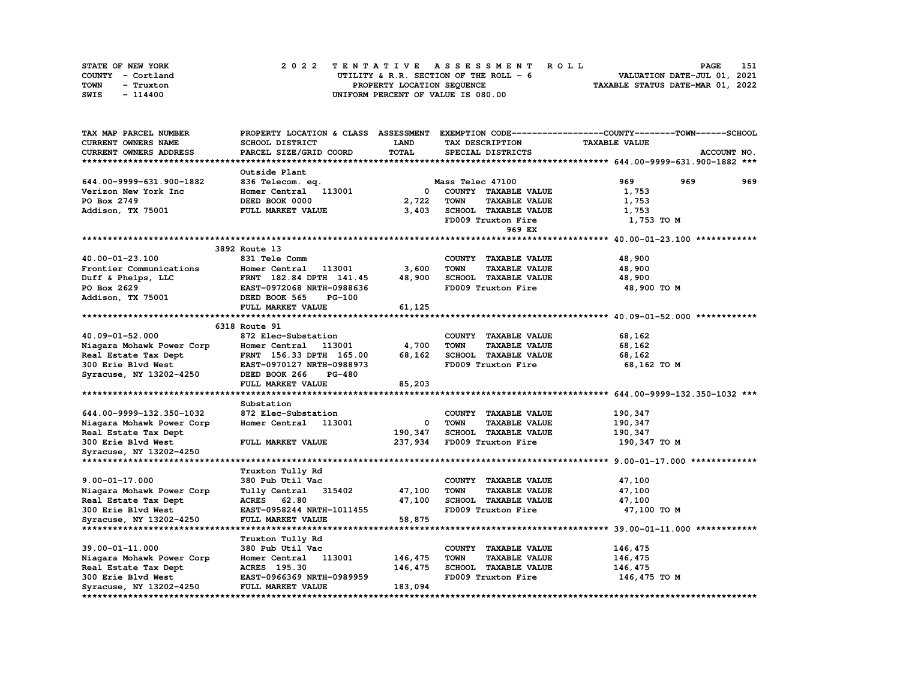| STATE OF NEW YORK | 2022 TENTATIVE ASSESSMENT ROLL          | 151<br><b>PAGE</b>               |
|-------------------|-----------------------------------------|----------------------------------|
| COUNTY - Cortland | UTILITY & R.R. SECTION OF THE ROLL $-6$ | VALUATION DATE-JUL 01, 2021      |
| TOWN<br>- Truxton | PROPERTY LOCATION SEQUENCE              | TAXABLE STATUS DATE-MAR 01, 2022 |
| SWIS<br>- 114400  | UNIFORM PERCENT OF VALUE IS 080.00      |                                  |

| TAX MAP PARCEL NUMBER     |                                |              |                                     | PROPERTY LOCATION & CLASS ASSESSMENT EXEMPTION CODE----------------COUNTY-------TOWN-----SCHOOL |
|---------------------------|--------------------------------|--------------|-------------------------------------|-------------------------------------------------------------------------------------------------|
| CURRENT OWNERS NAME       | SCHOOL DISTRICT                | <b>LAND</b>  | TAX DESCRIPTION                     | <b>TAXABLE VALUE</b>                                                                            |
| CURRENT OWNERS ADDRESS    | PARCEL SIZE/GRID COORD         | TOTAL        | SPECIAL DISTRICTS                   | ACCOUNT NO.                                                                                     |
|                           |                                |              |                                     |                                                                                                 |
|                           | Outside Plant                  |              |                                     |                                                                                                 |
| 644.00-9999-631.900-1882  | 836 Telecom. eq.               |              | Mass Telec 47100                    | 969<br>969<br>969                                                                               |
| Verizon New York Inc      | Homer Central 113001           | 0            | COUNTY TAXABLE VALUE                | 1,753                                                                                           |
|                           |                                |              |                                     |                                                                                                 |
| PO Box 2749               | DEED BOOK 0000                 | 2,722        | <b>TAXABLE VALUE</b><br>TOWN        | 1,753                                                                                           |
| Addison, TX 75001         | FULL MARKET VALUE              | 3,403        | SCHOOL TAXABLE VALUE                | 1,753                                                                                           |
|                           |                                |              | FD009 Truxton Fire                  | 1,753 TO M                                                                                      |
|                           |                                |              | 969 EX                              |                                                                                                 |
|                           |                                |              |                                     |                                                                                                 |
|                           | 3892 Route 13                  |              |                                     |                                                                                                 |
| 40.00-01-23.100           | 831 Tele Comm                  |              | COUNTY TAXABLE VALUE                | 48,900                                                                                          |
| Frontier Communications   | Homer Central<br>113001        | 3,600        | <b>TOWN</b><br><b>TAXABLE VALUE</b> | 48,900                                                                                          |
| Duff & Phelps, LLC        | FRNT 182.84 DPTH 141.45        | 48,900       | SCHOOL TAXABLE VALUE                | 48,900                                                                                          |
| PO Box 2629               | EAST-0972068 NRTH-0988636      |              | FD009 Truxton Fire                  | 48,900 TO M                                                                                     |
| Addison, TX 75001         | DEED BOOK 565<br><b>PG-100</b> |              |                                     |                                                                                                 |
|                           | FULL MARKET VALUE              | 61,125       |                                     |                                                                                                 |
|                           |                                |              |                                     |                                                                                                 |
|                           | 6318 Route 91                  |              |                                     |                                                                                                 |
| 40.09-01-52.000           | 872 Elec-Substation            |              | COUNTY TAXABLE VALUE                | 68,162                                                                                          |
|                           |                                |              |                                     |                                                                                                 |
| Niagara Mohawk Power Corp | Homer Central<br>113001        | 4,700        | <b>TOWN</b><br><b>TAXABLE VALUE</b> | 68,162                                                                                          |
| Real Estate Tax Dept      | FRNT 156.33 DPTH 165.00        | 68,162       | SCHOOL TAXABLE VALUE                | 68,162                                                                                          |
| 300 Erie Blvd West        | EAST-0970127 NRTH-0988973      |              | FD009 Truxton Fire                  | 68,162 TO M                                                                                     |
| Syracuse, NY 13202-4250   | DEED BOOK 266<br><b>PG-480</b> |              |                                     |                                                                                                 |
|                           | FULL MARKET VALUE              | 85,203       |                                     |                                                                                                 |
|                           |                                |              |                                     |                                                                                                 |
|                           | Substation                     |              |                                     |                                                                                                 |
| 644.00-9999-132.350-1032  | 872 Elec-Substation            |              | COUNTY TAXABLE VALUE                | 190,347                                                                                         |
| Niagara Mohawk Power Corp | Homer Central 113001           | $\mathbf{o}$ | <b>TAXABLE VALUE</b><br><b>TOWN</b> | 190,347                                                                                         |
| Real Estate Tax Dept      |                                | 190,347      | SCHOOL TAXABLE VALUE                | 190,347                                                                                         |
| 300 Erie Blvd West        | FULL MARKET VALUE              | 237,934      | FD009 Truxton Fire                  | 190,347 TO M                                                                                    |
| Syracuse, NY 13202-4250   |                                |              |                                     |                                                                                                 |
|                           |                                |              |                                     |                                                                                                 |
|                           | Truxton Tully Rd               |              |                                     |                                                                                                 |
| $9.00 - 01 - 17.000$      | 380 Pub Util Vac               |              | COUNTY TAXABLE VALUE                | 47,100                                                                                          |
| Niagara Mohawk Power Corp | Tully Central<br>315402        | 47,100       | <b>TOWN</b><br><b>TAXABLE VALUE</b> | 47,100                                                                                          |
| Real Estate Tax Dept      | ACRES 62.80                    | 47,100       | SCHOOL TAXABLE VALUE                | 47,100                                                                                          |
|                           |                                |              | FD009 Truxton Fire                  |                                                                                                 |
| 300 Erie Blvd West        | EAST-0958244 NRTH-1011455      |              |                                     | 47,100 TO M                                                                                     |
| Syracuse, NY 13202-4250   | FULL MARKET VALUE              | 58,875       |                                     |                                                                                                 |
|                           |                                |              |                                     |                                                                                                 |
|                           | Truxton Tully Rd               |              |                                     |                                                                                                 |
| 39.00-01-11.000           | 380 Pub Util Vac               |              | COUNTY TAXABLE VALUE                | 146,475                                                                                         |
| Niagara Mohawk Power Corp | 113001<br>Homer Central        | 146,475      | <b>TOWN</b><br><b>TAXABLE VALUE</b> | 146,475                                                                                         |
| Real Estate Tax Dept      | ACRES 195.30                   | 146,475      | <b>SCHOOL TAXABLE VALUE</b>         | 146,475                                                                                         |
| <b>300 Erie Blvd West</b> | EAST-0966369 NRTH-0989959      |              | FD009 Truxton Fire                  | 146,475 TO M                                                                                    |
| Syracuse, NY 13202-4250   | FULL MARKET VALUE              | 183,094      |                                     |                                                                                                 |
|                           |                                |              |                                     |                                                                                                 |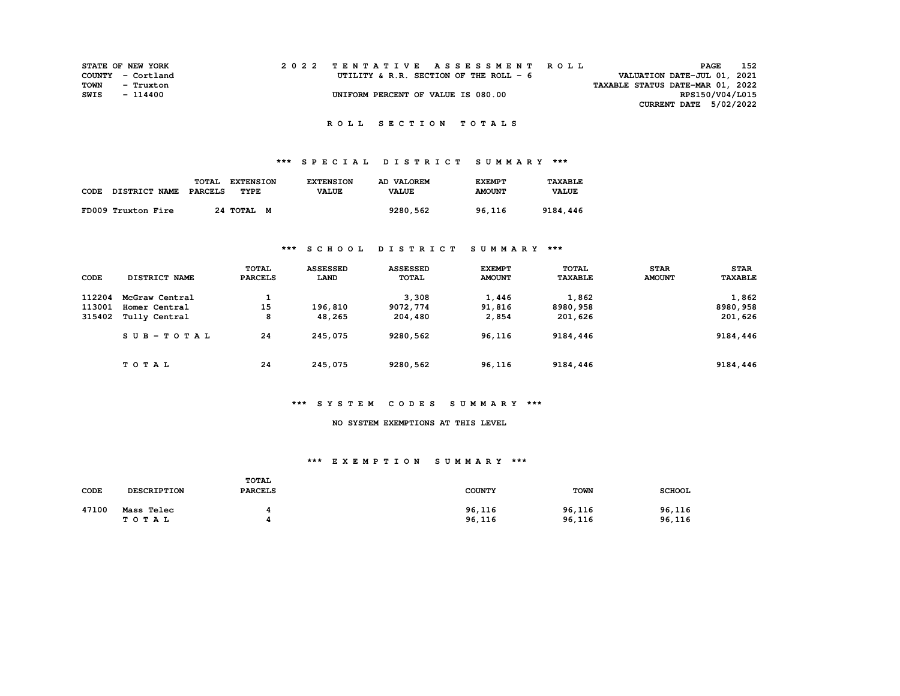|      | <b>STATE OF NEW YORK</b> |  | 2022 TENTATIVE ASSESSMENT ROLL         | PAGE                             | 152 |
|------|--------------------------|--|----------------------------------------|----------------------------------|-----|
|      | COUNTY - Cortland        |  | UTILITY & R.R. SECTION OF THE ROLL - 6 | VALUATION DATE-JUL 01, 2021      |     |
| TOWN | - Truxton                |  |                                        | TAXABLE STATUS DATE-MAR 01, 2022 |     |
| SWIS | - 114400                 |  | UNIFORM PERCENT OF VALUE IS 080.00     | RPS150/V04/L015                  |     |
|      |                          |  |                                        | CURRENT DATE 5/02/2022           |     |

# **\*\*\* S P E C I A L D I S T R I C T S U M M A R Y \*\*\***

| CODE | <b>DISTRICT NAME</b> | TOTAL<br>PARCELS | <b>EXTENSION</b><br>TYPE | <b>EXTENSION</b><br><b>VALUE</b> | AD VALOREM<br><b>VALUE</b> | <b>EXEMPT</b><br><b>AMOUNT</b> | <b>TAXABLE</b><br><b>VALUE</b> |
|------|----------------------|------------------|--------------------------|----------------------------------|----------------------------|--------------------------------|--------------------------------|
|      | FD009 Truxton Fire   |                  | 24 TOTAL M               |                                  | 9280,562                   | 96,116                         | 9184,446                       |

### **\*\*\* S C H O O L D I S T R I C T S U M M A R Y \*\*\***

| CODE   | <b>DISTRICT NAME</b> | <b>TOTAL</b><br><b>PARCELS</b> | <b>ASSESSED</b><br>LAND | <b>ASSESSED</b><br><b>TOTAL</b> | <b>EXEMPT</b><br><b>AMOUNT</b> | TOTAL<br><b>TAXABLE</b> | <b>STAR</b><br><b>AMOUNT</b> | <b>STAR</b><br><b>TAXABLE</b> |
|--------|----------------------|--------------------------------|-------------------------|---------------------------------|--------------------------------|-------------------------|------------------------------|-------------------------------|
| 112204 | McGraw Central       | <b>.</b>                       |                         | 3,308                           | 1,446                          | 1,862                   |                              | 1,862                         |
| 113001 | Homer Central        | 15                             | 196,810                 | 9072,774                        | 91,816                         | 8980,958                |                              | 8980,958                      |
| 315402 | Tully Central        | 8                              | 48,265                  | 204,480                         | 2,854                          | 201,626                 |                              | 201,626                       |
|        | SUB-TOTAL            | 24                             | 245,075                 | 9280,562                        | 96,116                         | 9184,446                |                              | 9184,446                      |
|        | TOTAL                | 24                             | 245,075                 | 9280,562                        | 96,116                         | 9184,446                |                              | 9184,446                      |

#### **\*\*\* S Y S T E M C O D E S S U M M A R Y \*\*\***

#### **NO SYSTEM EXEMPTIONS AT THIS LEVEL**

| CODE  | <b>DESCRIPTION</b>  | <b>TOTAL</b><br><b>PARCELS</b> | <b>COUNTY</b>    | <b>TOWN</b>      | <b>SCHOOL</b>    |
|-------|---------------------|--------------------------------|------------------|------------------|------------------|
| 47100 | Mass Telec<br>TOTAL |                                | 96,116<br>96,116 | 96,116<br>96,116 | 96,116<br>96,116 |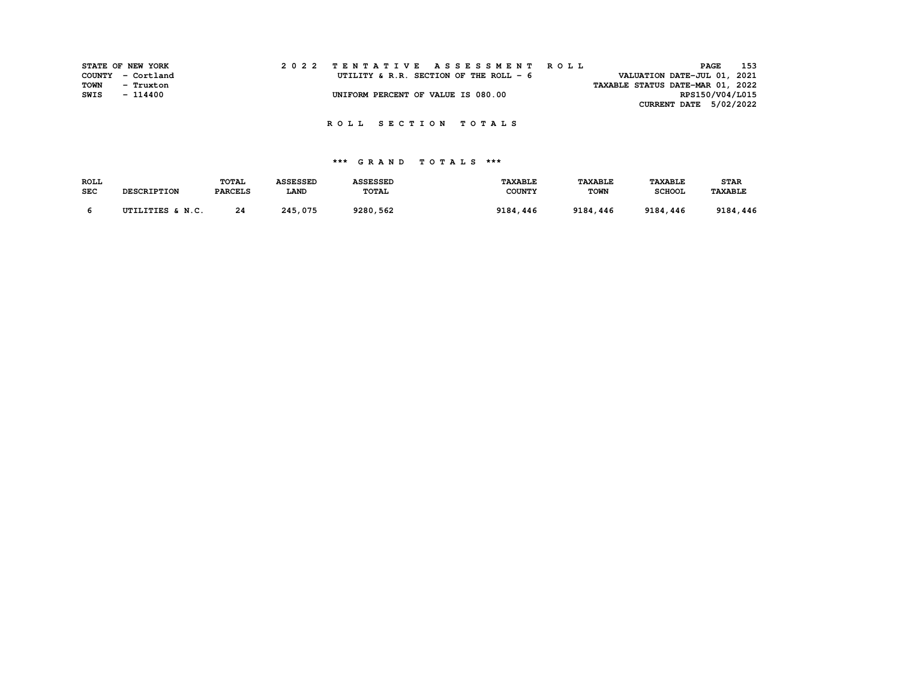|      | STATE OF NEW YORK | 2022 TENTATIVE ASSESSMENT ROLL                                        | <b>PAGE</b>     | 153 |
|------|-------------------|-----------------------------------------------------------------------|-----------------|-----|
|      | COUNTY - Cortland | VALUATION DATE-JUL 01, 2021<br>UTILITY & R.R. SECTION OF THE ROLL - 6 |                 |     |
| TOWN | - Truxton         | TAXABLE STATUS DATE-MAR 01, 2022                                      |                 |     |
| SWIS | - 114400          | UNIFORM PERCENT OF VALUE IS 080.00                                    | RPS150/V04/L015 |     |
|      |                   | CURRENT DATE 5/02/2022                                                |                 |     |

| <b>ROLL</b> |                    | <b>TOTAL</b>   | <b>ASSESSED</b> | <b>ASSESSED</b> | <b>TAXABLE</b> | <b>TAXABLE</b> | <b>TAXABLE</b> | <b>STAR</b>    |
|-------------|--------------------|----------------|-----------------|-----------------|----------------|----------------|----------------|----------------|
| <b>SEC</b>  | <b>DESCRIPTION</b> | <b>PARCELS</b> | LAND            | <b>TOTAL</b>    | <b>COUNTY</b>  | TOWN           | <b>SCHOOL</b>  | <b>TAXABLE</b> |
|             | UTILITIES & N.C.   | 24             | 245,075         | 9280,562        | 9184,446       | 9184,446       | 9184,446       | 9184,446       |
|             |                    |                |                 |                 |                |                |                |                |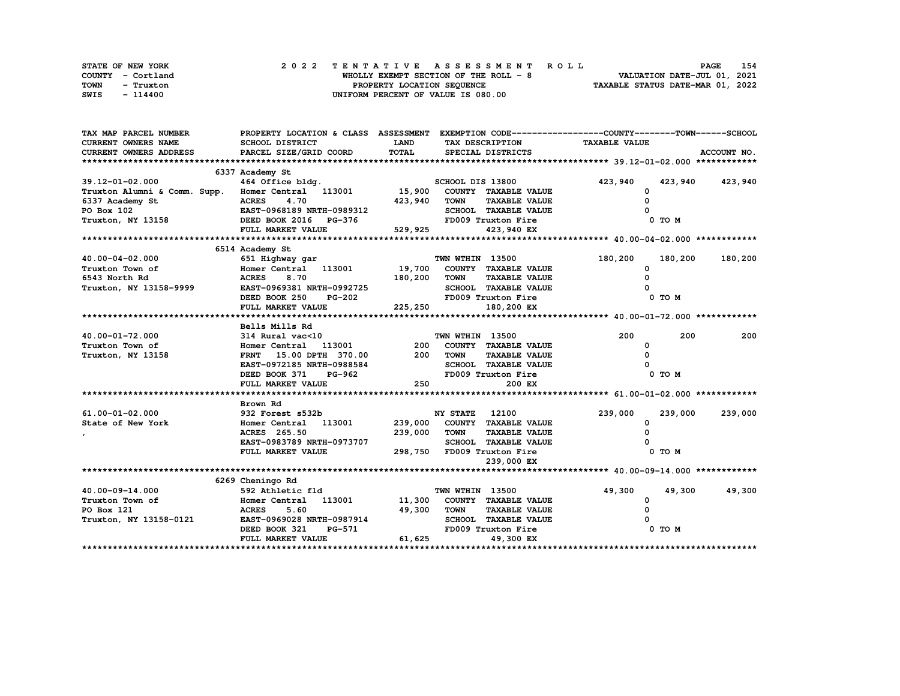| STATE OF NEW YORK | 2022 TENTATIVE ASSESSMENT ROLL        | 154<br><b>PAGE</b>               |
|-------------------|---------------------------------------|----------------------------------|
| COUNTY - Cortland | WHOLLY EXEMPT SECTION OF THE ROLL - 8 | VALUATION DATE-JUL 01, 2021      |
| TOWN<br>- Truxton | PROPERTY LOCATION SEQUENCE            | TAXABLE STATUS DATE-MAR 01, 2022 |
| SWIS<br>- 114400  | UNIFORM PERCENT OF VALUE IS 080.00    |                                  |

| TAX MAP PARCEL NUMBER                             | PROPERTY LOCATION & CLASS ASSESSMENT EXEMPTION CODE----------------COUNTY-------TOWN-----SCHOOL |             |                                                                    |                      |              |             |
|---------------------------------------------------|-------------------------------------------------------------------------------------------------|-------------|--------------------------------------------------------------------|----------------------|--------------|-------------|
| <b>CURRENT OWNERS NAME</b>                        | SCHOOL DISTRICT                                                                                 | <b>LAND</b> | TAX DESCRIPTION                                                    | <b>TAXABLE VALUE</b> |              |             |
| CURRENT OWNERS ADDRESS                            | PARCEL SIZE/GRID COORD                                                                          | TOTAL       | SPECIAL DISTRICTS                                                  |                      |              | ACCOUNT NO. |
|                                                   |                                                                                                 |             |                                                                    |                      |              |             |
|                                                   | 6337 Academy St                                                                                 |             |                                                                    |                      |              |             |
| 39.12-01-02.000                                   | 464 Office bldg.                                                                                |             | SCHOOL DIS 13800                                                   | 423,940              | 423,940      | 423,940     |
| Truxton Alumni & Comm. Supp. Homer Central 113001 |                                                                                                 | 15,900      | COUNTY TAXABLE VALUE                                               |                      | 0            |             |
| 6337 Academy St                                   | 4.70<br><b>ACRES</b>                                                                            | 423,940     | <b>TAXABLE VALUE</b><br><b>TOWN</b>                                |                      |              |             |
| PO Box 102                                        | EAST-0968189 NRTH-0989312                                                                       |             | SCHOOL TAXABLE VALUE                                               |                      |              |             |
| Truxton, NY 13158                                 | DEED BOOK 2016 PG-376                                                                           |             | FD009 Truxton Fire                                                 |                      | 0 TO M       |             |
|                                                   | FULL MARKET VALUE                                                                               | 529,925     | 423,940 EX                                                         |                      |              |             |
|                                                   |                                                                                                 |             |                                                                    |                      |              |             |
|                                                   | 6514 Academy St                                                                                 |             |                                                                    |                      |              |             |
| 40.00-04-02.000                                   | 651 Highway gar                                                                                 |             | TWN WTHIN 13500                                                    | 180,200              | 180,200      | 180,200     |
| Truxton Town of                                   | Homer Central 113001                                                                            | 19,700      | COUNTY TAXABLE VALUE                                               |                      | O            |             |
| 6543 North Rd                                     | 8.70<br><b>ACRES</b>                                                                            | 180,200     | <b>TOWN</b><br><b>TAXABLE VALUE</b>                                |                      |              |             |
| Truxton, NY 13158-9999                            | EAST-0969381 NRTH-0992725                                                                       |             | SCHOOL TAXABLE VALUE                                               |                      |              |             |
|                                                   | DEED BOOK 250<br>PG-202                                                                         |             | FD009 Truxton Fire                                                 |                      | 0 TO M       |             |
|                                                   | FULL MARKET VALUE                                                                               | 225,250     | 180,200 EX                                                         |                      |              |             |
|                                                   |                                                                                                 |             |                                                                    |                      |              |             |
|                                                   | Bells Mills Rd                                                                                  |             |                                                                    | 200                  |              |             |
| 40.00-01-72.000                                   | 314 Rural vac<10                                                                                |             | TWN WTHIN 13500                                                    |                      | 200          | 200         |
| Truxton Town of                                   | Homer Central 113001                                                                            | 200<br>200  | COUNTY TAXABLE VALUE                                               |                      | <sup>0</sup> |             |
| Truxton, NY 13158                                 | FRNT 15.00 DPTH 370.00                                                                          |             | <b>TOWN</b><br><b>TAXABLE VALUE</b><br><b>SCHOOL TAXABLE VALUE</b> |                      |              |             |
|                                                   | EAST-0972185 NRTH-0988584<br>DEED BOOK 371<br>PG-962                                            |             | FD009 Truxton Fire                                                 |                      | 0 TO M       |             |
|                                                   |                                                                                                 |             |                                                                    |                      |              |             |
|                                                   | FULL MARKET VALUE                                                                               | 250         | 200 EX                                                             |                      |              |             |
|                                                   | Brown Rd                                                                                        |             |                                                                    |                      |              |             |
| 61.00-01-02.000                                   | 932 Forest s532b                                                                                |             | <b>NY STATE</b><br>12100                                           | 239,000              | 239,000      | 239,000     |
| State of New York                                 | 113001<br>Homer Central                                                                         | 239,000     | COUNTY TAXABLE VALUE                                               |                      | <sup>0</sup> |             |
|                                                   | ACRES 265.50                                                                                    | 239,000     | <b>TOWN</b><br><b>TAXABLE VALUE</b>                                |                      |              |             |
|                                                   | EAST-0983789 NRTH-0973707                                                                       |             | SCHOOL TAXABLE VALUE                                               |                      |              |             |
|                                                   | FULL MARKET VALUE                                                                               | 298,750     | FD009 Truxton Fire                                                 |                      | 0 TO M       |             |
|                                                   |                                                                                                 |             | 239,000 EX                                                         |                      |              |             |
|                                                   |                                                                                                 |             |                                                                    |                      |              |             |
|                                                   | 6269 Cheningo Rd                                                                                |             |                                                                    |                      |              |             |
| 40.00-09-14.000                                   | 592 Athletic fld                                                                                |             | TWN WTHIN 13500                                                    | 49,300               | 49,300       | 49,300      |
| Truxton Town of                                   | 113001<br>Homer Central                                                                         | 11,300      | COUNTY TAXABLE VALUE                                               |                      | 0            |             |
| PO Box 121                                        | <b>ACRES</b><br>5.60                                                                            | 49,300      | <b>TOWN</b><br><b>TAXABLE VALUE</b>                                |                      |              |             |
| Truxton, NY 13158-0121                            | EAST-0969028 NRTH-0987914                                                                       |             | SCHOOL TAXABLE VALUE                                               |                      |              |             |
|                                                   | DEED BOOK 321<br><b>PG-571</b>                                                                  |             | FD009 Truxton Fire                                                 |                      | 0 TO M       |             |
|                                                   | FULL MARKET VALUE                                                                               | 61,625      | 49,300 EX                                                          |                      |              |             |
|                                                   |                                                                                                 |             |                                                                    |                      |              |             |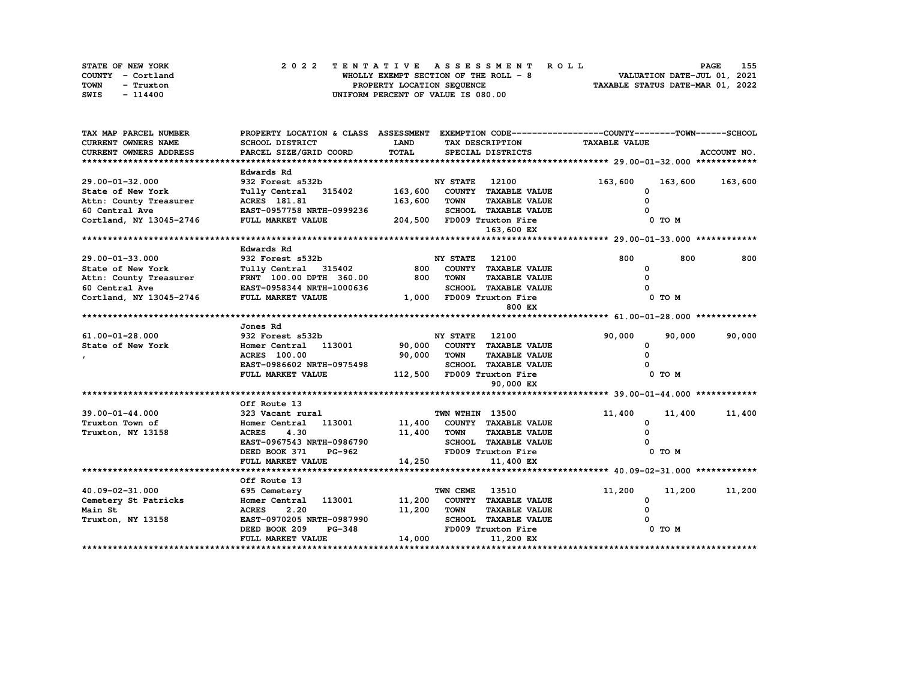| STATE OF NEW YORK | 2022 TENTATIVE ASSESSMENT ROLL        | 155<br><b>PAGE</b>               |
|-------------------|---------------------------------------|----------------------------------|
| COUNTY - Cortland | WHOLLY EXEMPT SECTION OF THE ROLL - 8 | VALUATION DATE-JUL 01, 2021      |
| TOWN<br>- Truxton | PROPERTY LOCATION SEQUENCE            | TAXABLE STATUS DATE-MAR 01, 2022 |
| SWIS<br>- 114400  | UNIFORM PERCENT OF VALUE IS 080.00    |                                  |

| TAX MAP PARCEL NUMBER         | PROPERTY LOCATION & CLASS ASSESSMENT EXEMPTION CODE-----------------COUNTY-------TOWN------SCHOOL                      |                                |                       |                             |          |         |             |
|-------------------------------|------------------------------------------------------------------------------------------------------------------------|--------------------------------|-----------------------|-----------------------------|----------|---------|-------------|
| <b>CURRENT OWNERS NAME</b>    | SCHOOL DISTRICT                                                                                                        | <b>LAND</b><br>TAX DESCRIPTION |                       | <b>TAXABLE VALUE</b>        |          |         |             |
| <b>CURRENT OWNERS ADDRESS</b> | PARCEL SIZE/GRID COORD                                                                                                 | TOTAL                          |                       | SPECIAL DISTRICTS           |          |         | ACCOUNT NO. |
|                               |                                                                                                                        |                                |                       |                             |          |         |             |
|                               | Edwards Rd                                                                                                             |                                |                       |                             |          |         |             |
| 29.00-01-32.000               | 932 Forest s532b                                                                                                       |                                | <b>NY STATE</b>       | 12100                       | 163,600  | 163,600 | 163,600     |
| State of New York             | Tully Central 315402 163,600 COUNTY TAXABLE VALUE<br>Tully Central 315402<br>ACRES 181.81<br>EAST-0957758 NRTH-0999236 |                                |                       |                             | 0        |         |             |
| Attn: County Treasurer        |                                                                                                                        | 163,600                        | <b>TOWN</b>           | <b>TAXABLE VALUE</b>        | $\Omega$ |         |             |
| 60 Central Ave                |                                                                                                                        |                                |                       | SCHOOL TAXABLE VALUE        |          |         |             |
| Cortland, NY 13045-2746       | FULL MARKET VALUE                                                                                                      | 204,500 FD009 Truxton Fire     |                       |                             |          | 0 TO M  |             |
|                               |                                                                                                                        |                                |                       | 163,600 EX                  |          |         |             |
|                               |                                                                                                                        |                                |                       |                             |          |         |             |
|                               | Edwards Rd                                                                                                             |                                |                       |                             |          |         |             |
| 29.00-01-33.000               | 932 Forest s532b                                                                                                       |                                | <b>NY STATE</b> 12100 |                             | 800      | 800     | 800         |
| State of New York             | Tully Central 315402                                                                                                   |                                |                       | 800 COUNTY TAXABLE VALUE    | $\Omega$ |         |             |
|                               | Attn: County Treasurer FRNT 100.00 DPTH 360.00 800                                                                     |                                | <b>TOWN</b>           | <b>TAXABLE VALUE</b>        |          |         |             |
|                               | 60 Central $Ave$ EAST-0958344 NRTH-1000636<br>Cortland, NY 13045-2746 FULL MARKET VALUE                                |                                |                       | SCHOOL TAXABLE VALUE        |          |         |             |
|                               |                                                                                                                        |                                |                       | 1,000 FD009 Truxton Fire    |          | 0 TO M  |             |
|                               |                                                                                                                        |                                |                       | 800 EX                      |          |         |             |
|                               | Jones Rd                                                                                                               |                                |                       |                             |          |         |             |
| $61.00 - 01 - 28.000$         | 932 Forest s532b                                                                                                       |                                | <b>NY STATE</b> 12100 |                             | 90,000   | 90,000  | 90,000      |
| State of New York             | Homer Central 113001 90,000 COUNTY TAXABLE VALUE                                                                       |                                |                       |                             | 0        |         |             |
|                               | <b>ACRES</b> 100.00                                                                                                    | 90,000 TOWN                    |                       | <b>TAXABLE VALUE</b>        | $\Omega$ |         |             |
|                               | EAST-0986602 NRTH-0975498                                                                                              |                                |                       | <b>SCHOOL TAXABLE VALUE</b> |          |         |             |
|                               | FULL MARKET VALUE                                                                                                      |                                |                       | 112,500 FD009 Truxton Fire  |          | 0 TO M  |             |
|                               |                                                                                                                        |                                |                       | 90,000 EX                   |          |         |             |
|                               |                                                                                                                        |                                |                       |                             |          |         |             |
|                               | Off Route 13                                                                                                           |                                |                       |                             |          |         |             |
| 39.00-01-44.000               | 323 Vacant rural                                                                                                       |                                | TWN WTHIN 13500       |                             | 11,400   | 11,400  | 11,400      |
| Truxton Town of               | Homer Central 113001                                                                                                   |                                |                       | 11,400 COUNTY TAXABLE VALUE | 0        |         |             |
| Truxton, NY 13158             | 4.30<br><b>ACRES</b>                                                                                                   | 11,400 TOWN                    |                       | <b>TAXABLE VALUE</b>        | $\Omega$ |         |             |
|                               | EAST-0967543 NRTH-0986790                                                                                              |                                |                       | SCHOOL TAXABLE VALUE        |          |         |             |
|                               | DEED BOOK 371<br>PG-962                                                                                                |                                |                       | FD009 Truxton Fire          |          | 0 TO M  |             |
|                               | FULL MARKET VALUE                                                                                                      | 14,250                         |                       | 11,400 EX                   |          |         |             |
|                               |                                                                                                                        |                                |                       |                             |          |         |             |
|                               | Off Route 13                                                                                                           |                                |                       |                             |          |         |             |
| 40.09-02-31.000               | 695 Cemetery                                                                                                           |                                | TWN CEME              | 13510                       | 11,200   | 11,200  | 11,200      |
| Cemetery St Patricks          | 113001<br>Homer Central                                                                                                |                                |                       | 11,200 COUNTY TAXABLE VALUE | $\Omega$ |         |             |
| Main St                       | <b>ACRES</b><br>2.20                                                                                                   | 11,200                         | <b>TOWN</b>           | <b>TAXABLE VALUE</b>        | 0        |         |             |
| Truxton, NY 13158             | EAST-0970205 NRTH-0987990                                                                                              |                                |                       | SCHOOL TAXABLE VALUE        |          |         |             |
|                               | <b>PG-348</b><br>DEED BOOK 209                                                                                         |                                |                       | FD009 Truxton Fire          |          | 0 TO M  |             |
|                               | FULL MARKET VALUE                                                                                                      | 14,000                         |                       | 11,200 EX                   |          |         |             |
|                               |                                                                                                                        |                                |                       |                             |          |         |             |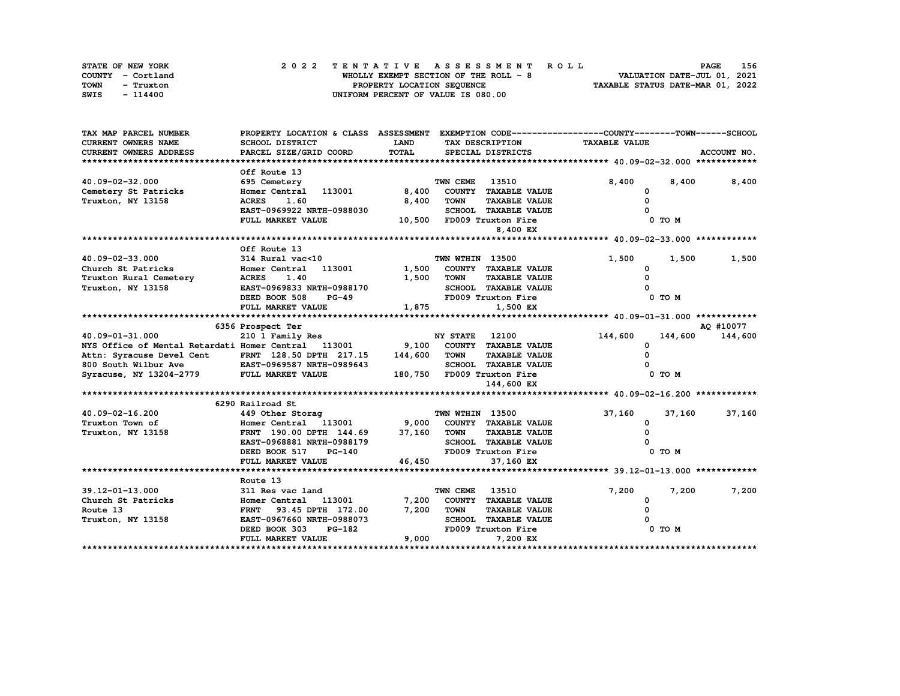| STATE OF NEW YORK | 2022 TENTATIVE ASSESSMENT ROLL         | 156<br><b>PAGE</b>               |
|-------------------|----------------------------------------|----------------------------------|
| COUNTY - Cortland | WHOLLY EXEMPT SECTION OF THE ROLL $-8$ | VALUATION DATE-JUL 01, 2021      |
| TOWN<br>- Truxton | PROPERTY LOCATION SEQUENCE             | TAXABLE STATUS DATE-MAR 01, 2022 |
| SWIS<br>- 114400  | UNIFORM PERCENT OF VALUE IS 080.00     |                                  |

| TAX MAP PARCEL NUMBER                                                                       | PROPERTY LOCATION & CLASS ASSESSMENT EXEMPTION CODE----------------COUNTY-------TOWN------SCHOOL |             |                       |                             |                      |         |             |
|---------------------------------------------------------------------------------------------|--------------------------------------------------------------------------------------------------|-------------|-----------------------|-----------------------------|----------------------|---------|-------------|
| CURRENT OWNERS NAME                                                                         | SCHOOL DISTRICT                                                                                  | <b>LAND</b> |                       | TAX DESCRIPTION             | <b>TAXABLE VALUE</b> |         |             |
| CURRENT OWNERS ADDRESS                                                                      | PARCEL SIZE/GRID COORD                                                                           | TOTAL       |                       | SPECIAL DISTRICTS           |                      |         | ACCOUNT NO. |
|                                                                                             |                                                                                                  |             |                       |                             |                      |         |             |
|                                                                                             | Off Route 13                                                                                     |             |                       |                             |                      |         |             |
| 40.09-02-32.000                                                                             | 695 Cemetery                                                                                     |             | TWN CEME              | 13510                       | 8,400                | 8,400   | 8,400       |
| Cemetery St Patricks                                                                        | Homer Central 113001                                                                             | 8,400       |                       | COUNTY TAXABLE VALUE        |                      |         |             |
| Truxton, NY 13158                                                                           | <b>ACRES</b><br>1.60                                                                             | 8,400       | <b>TOWN</b>           | <b>TAXABLE VALUE</b>        |                      |         |             |
|                                                                                             | EAST-0969922 NRTH-0988030                                                                        |             |                       | SCHOOL TAXABLE VALUE        |                      |         |             |
|                                                                                             | FULL MARKET VALUE                                                                                |             |                       | 10,500 FD009 Truxton Fire   |                      | 0 TO M  |             |
|                                                                                             |                                                                                                  |             |                       | 8,400 EX                    |                      |         |             |
|                                                                                             |                                                                                                  |             |                       |                             |                      |         |             |
|                                                                                             | Off Route 13                                                                                     |             |                       |                             |                      |         |             |
| 40.09-02-33.000                                                                             | 314 Rural vac<10                                                                                 |             | TWN WTHIN 13500       |                             | 1,500                | 1,500   | 1,500       |
| Church St Patricks                                                                          | 113001<br>Homer Central                                                                          | 1,500       |                       | COUNTY TAXABLE VALUE        | <sup>0</sup>         |         |             |
| Truxton Rural Cemetery                                                                      | 1.40<br><b>ACRES</b>                                                                             | 1,500       | <b>TOWN</b>           | <b>TAXABLE VALUE</b>        |                      |         |             |
| Truxton, NY 13158                                                                           | EAST-0969833 NRTH-0988170                                                                        |             |                       | <b>SCHOOL TAXABLE VALUE</b> |                      |         |             |
|                                                                                             | DEED BOOK 508<br><b>PG-49</b>                                                                    |             |                       | FD009 Truxton Fire          |                      | 0 TO M  |             |
|                                                                                             | FULL MARKET VALUE                                                                                | 1,875       |                       | 1,500 EX                    |                      |         |             |
|                                                                                             |                                                                                                  |             |                       |                             |                      |         |             |
|                                                                                             | 6356 Prospect Ter                                                                                |             |                       |                             |                      |         | AO #10077   |
| 40.09-01-31.000                                                                             | 210 1 Family Res                                                                                 |             | <b>NY STATE</b> 12100 |                             | 144,600              | 144,600 | 144,600     |
| NYS Office of Mental Retardati Homer Central 113001 9,100                                   |                                                                                                  |             |                       | COUNTY TAXABLE VALUE        | 0                    |         |             |
| Attn: Syracuse Devel Cent FRNT 128.50 DPTH 217.15 144,600                                   |                                                                                                  |             | <b>TOWN</b>           | <b>TAXABLE VALUE</b>        |                      |         |             |
|                                                                                             |                                                                                                  |             |                       | SCHOOL TAXABLE VALUE        |                      |         |             |
| 800 South Wilbur Ave EAST-0969587 NRTH-0989643<br>Syracuse, NY 13204-2779 FULL MARKET VALUE |                                                                                                  |             |                       | 180,750 FD009 Truxton Fire  |                      | 0 TO M  |             |
|                                                                                             |                                                                                                  |             |                       | 144,600 EX                  |                      |         |             |
|                                                                                             |                                                                                                  |             |                       |                             |                      |         |             |
|                                                                                             | 6290 Railroad St                                                                                 |             |                       |                             |                      |         |             |
| 40.09-02-16.200                                                                             | 449 Other Storag                                                                                 |             | TWN WTHIN 13500       |                             | 37,160               | 37,160  | 37,160      |
| Truxton Town of                                                                             | Homer Central 113001 9,000                                                                       |             |                       | COUNTY TAXABLE VALUE        | 0                    |         |             |
| Truxton, NY 13158                                                                           | FRNT 190.00 DPTH 144.69 37,160 TOWN                                                              |             |                       | <b>TAXABLE VALUE</b>        |                      |         |             |
|                                                                                             | EAST-0968881 NRTH-0988179                                                                        |             |                       | SCHOOL TAXABLE VALUE        |                      |         |             |
|                                                                                             | DEED BOOK 517<br>PG-140                                                                          |             |                       | FD009 Truxton Fire          |                      | 0 TO M  |             |
|                                                                                             | FULL MARKET VALUE                                                                                | 46,450      |                       | 37,160 EX                   |                      |         |             |
|                                                                                             |                                                                                                  |             |                       |                             |                      |         |             |
|                                                                                             | Route 13                                                                                         |             |                       |                             |                      |         |             |
| 39.12-01-13.000                                                                             | 311 Res vac land                                                                                 |             | TWN CEME              | 13510                       | 7,200                | 7,200   | 7,200       |
| Church St Patricks                                                                          | Homer Central 113001                                                                             | 7,200       |                       | COUNTY TAXABLE VALUE        | 0                    |         |             |
| Route 13                                                                                    | FRNT 93.45 DPTH 172.00                                                                           | 7,200       | <b>TOWN</b>           | <b>TAXABLE VALUE</b>        |                      |         |             |
| Truxton, NY 13158                                                                           | EAST-0967660 NRTH-0988073                                                                        |             |                       | <b>SCHOOL TAXABLE VALUE</b> |                      |         |             |
|                                                                                             | DEED BOOK 303<br><b>PG-182</b>                                                                   |             |                       | FD009 Truxton Fire          |                      | 0 TO M  |             |
|                                                                                             | FULL MARKET VALUE                                                                                | 9,000       |                       | 7,200 EX                    |                      |         |             |
|                                                                                             |                                                                                                  |             |                       |                             |                      |         |             |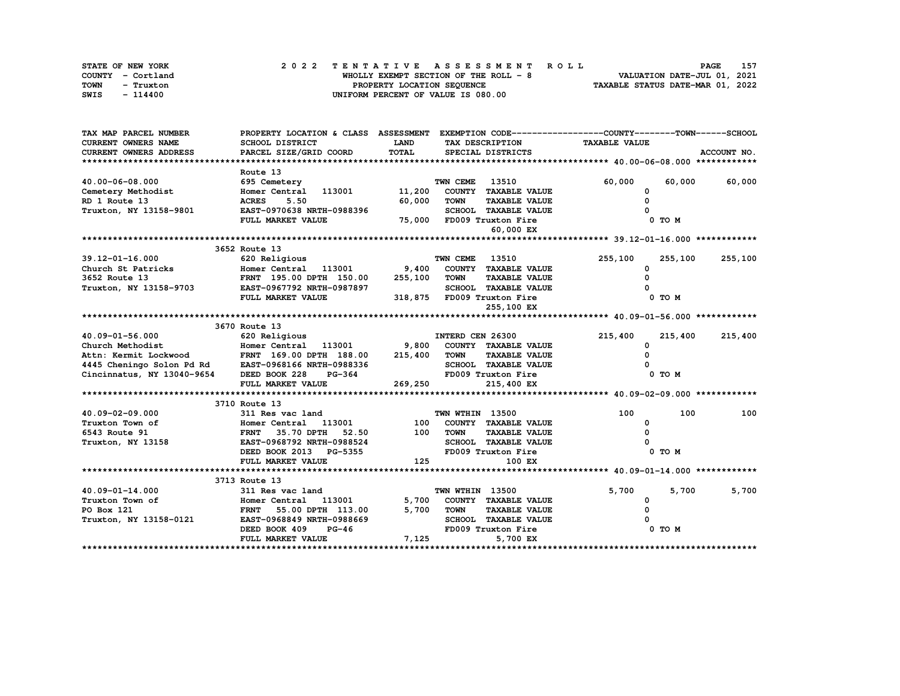| STATE OF NEW YORK | 2022 TENTATIVE ASSESSMENT ROLL        | 157<br><b>PAGE</b>               |
|-------------------|---------------------------------------|----------------------------------|
| COUNTY - Cortland | WHOLLY EXEMPT SECTION OF THE ROLL - 8 | VALUATION DATE-JUL 01, 2021      |
| TOWN<br>- Truxton | PROPERTY LOCATION SEQUENCE            | TAXABLE STATUS DATE-MAR 01, 2022 |
| SWIS<br>- 114400  | UNIFORM PERCENT OF VALUE IS 080.00    |                                  |

| TAX MAP PARCEL NUMBER                                                                                                                                         | PROPERTY LOCATION & CLASS ASSESSMENT EXEMPTION CODE---------------COUNTY-------TOWN------SCHOOL    |             |                  |                             |                      |                 |             |
|---------------------------------------------------------------------------------------------------------------------------------------------------------------|----------------------------------------------------------------------------------------------------|-------------|------------------|-----------------------------|----------------------|-----------------|-------------|
| <b>CURRENT OWNERS NAME</b>                                                                                                                                    | SCHOOL DISTRICT                                                                                    | <b>LAND</b> |                  | TAX DESCRIPTION             | <b>TAXABLE VALUE</b> |                 |             |
| <b>CURRENT OWNERS ADDRESS</b>                                                                                                                                 | PARCEL SIZE/GRID COORD                                                                             | TOTAL       |                  | SPECIAL DISTRICTS           |                      |                 | ACCOUNT NO. |
|                                                                                                                                                               |                                                                                                    |             |                  |                             |                      |                 |             |
|                                                                                                                                                               | Route 13                                                                                           |             |                  |                             |                      |                 |             |
| 40.00-06-08.000                                                                                                                                               | 695 Cemetery                                                                                       |             | TWN CEME         | 13510                       | 60,000               | 60,000          | 60,000      |
| Cemetery Methodist<br>RD 1 Route 13                                                                                                                           | Homer Central 113001 11,200                                                                        |             |                  | COUNTY TAXABLE VALUE        | 0                    |                 |             |
| RD 1 Route 13                                                                                                                                                 | 5.50<br><b>ACRES</b>                                                                               | 60,000      | <b>TOWN</b>      | <b>TAXABLE VALUE</b>        | $\Omega$             |                 |             |
| Truxton, NY 13158-9801                                                                                                                                        | EAST-0970638 NRTH-0988396                                                                          |             |                  | SCHOOL TAXABLE VALUE        |                      |                 |             |
|                                                                                                                                                               | FULL MARKET VALUE                                                                                  |             |                  | 75,000 FD009 Truxton Fire   |                      | 0 TO M          |             |
|                                                                                                                                                               |                                                                                                    |             |                  | 60,000 EX                   |                      |                 |             |
|                                                                                                                                                               |                                                                                                    |             |                  |                             |                      |                 |             |
|                                                                                                                                                               | 3652 Route 13                                                                                      |             |                  |                             |                      |                 |             |
| $39.12 - 01 - 16.000$                                                                                                                                         | 620 Religious                                                                                      |             | TWN CEME         | 13510                       | 255,100              | 255,100         | 255,100     |
| Church St Patricks<br>3652 Route 13                                                                                                                           | Homer Central 113001 9,400 COUNTY TAXABLE VALUE<br>Homer Central 113001<br>FRNT 195.00 DPTH 150.00 |             |                  |                             | $\Omega$             |                 |             |
| 3652 Route 13                                                                                                                                                 |                                                                                                    | 255,100     | TOWN             | <b>TAXABLE VALUE</b>        | $\Omega$             |                 |             |
| Truxton, NY 13158-9703 EAST-0967792 NRTH-0987897                                                                                                              |                                                                                                    |             |                  | <b>SCHOOL TAXABLE VALUE</b> |                      |                 |             |
|                                                                                                                                                               | FULL MARKET VALUE                                                                                  |             |                  | 318,875 FD009 Truxton Fire  |                      | $0$ TO $M$      |             |
|                                                                                                                                                               |                                                                                                    |             |                  | 255,100 EX                  |                      |                 |             |
|                                                                                                                                                               |                                                                                                    |             |                  |                             |                      |                 |             |
|                                                                                                                                                               | 3670 Route 13                                                                                      |             |                  |                             |                      |                 |             |
| 40.09-01-56.000                                                                                                                                               | 620 Religious                                                                                      |             | INTERD CEN 26300 |                             | 215,400              | 215,400 215,400 |             |
| Church Methodist                                                                                                                                              | Homer Central 113001 9,800 COUNTY TAXABLE VALUE                                                    |             |                  |                             | <sup>0</sup>         |                 |             |
| Attn: Kermit Lockwood<br>4445 Cheningo Solon Pd Rd<br>4445 Cheningo Solon Pd Rd<br>215,400 TOWN<br>2161 Cincinnatus, NY 13040-9654 DEED BOOK 228 PG-364 FO009 |                                                                                                    |             |                  | <b>TAXABLE VALUE</b>        |                      |                 |             |
|                                                                                                                                                               |                                                                                                    |             |                  | SCHOOL TAXABLE VALUE        |                      |                 |             |
|                                                                                                                                                               |                                                                                                    |             |                  | FD009 Truxton Fire          |                      | 0 TO M          |             |
|                                                                                                                                                               | FULL MARKET VALUE                                                                                  | 269,250     |                  | 215,400 EX                  |                      |                 |             |
|                                                                                                                                                               |                                                                                                    |             |                  |                             |                      |                 |             |
|                                                                                                                                                               | 3710 Route 13                                                                                      |             |                  |                             |                      |                 |             |
| 40.09-02-09.000                                                                                                                                               | 311 Res vac land                                                                                   |             | TWN WTHIN 13500  |                             | 100                  | 100             | 100         |
| Truxton Town of                                                                                                                                               | Homer Central 113001                                                                               | 100         |                  | COUNTY TAXABLE VALUE        | <sup>0</sup>         |                 |             |
| 6543 Route 91                                                                                                                                                 | FRNT 35.70 DPTH 52.50<br>EAST-0968792 NRTH-0988524                                                 |             | 100 TOWN         | <b>TAXABLE VALUE</b>        |                      |                 |             |
| Truxton, NY 13158                                                                                                                                             |                                                                                                    |             |                  | SCHOOL TAXABLE VALUE        |                      |                 |             |
|                                                                                                                                                               | DEED BOOK 2013 PG-5355                                                                             |             |                  | FD009 Truxton Fire          |                      | 0 TO M          |             |
|                                                                                                                                                               | FULL MARKET VALUE                                                                                  | 125         |                  | 100 EX                      |                      |                 |             |
|                                                                                                                                                               |                                                                                                    |             |                  |                             |                      |                 |             |
|                                                                                                                                                               | 3713 Route 13                                                                                      |             |                  |                             |                      |                 |             |
| 40.09-01-14.000                                                                                                                                               | 311 Res vac land                                                                                   |             | TWN WTHIN 13500  |                             | 5,700                | 5,700           | 5,700       |
| Truxton Town of                                                                                                                                               | Homer Central 113001<br>FRNT 55.00 DPTH 113.00                                                     |             |                  | 5,700 COUNTY TAXABLE VALUE  | 0                    |                 |             |
| PO Box 121                                                                                                                                                    | FRNT 55.00 DPTH 113.00                                                                             | 5,700       | TOWN             | <b>TAXABLE VALUE</b>        | O                    |                 |             |
| Truxton, NY 13158-0121                                                                                                                                        | EAST-0968849 NRTH-0988669                                                                          |             |                  | <b>SCHOOL TAXABLE VALUE</b> |                      |                 |             |
|                                                                                                                                                               | DEED BOOK 409<br>$PG-46$                                                                           |             |                  | FD009 Truxton Fire          |                      | 0 TO M          |             |
|                                                                                                                                                               | FULL MARKET VALUE                                                                                  | 7,125       |                  | 5,700 EX                    |                      |                 |             |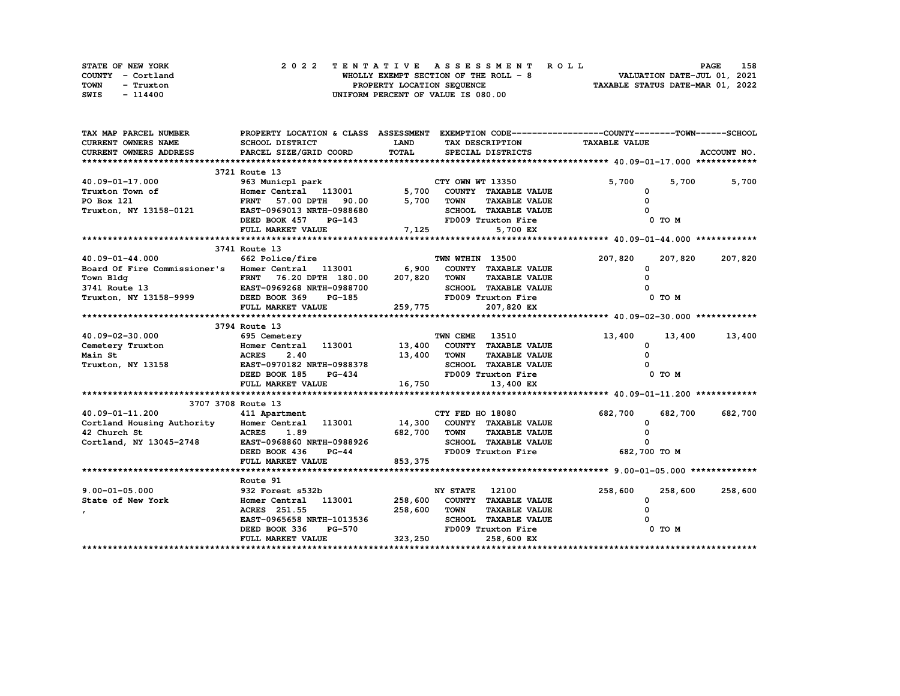| STATE OF NEW YORK | 2022 TENTATIVE ASSESSMENT ROLL        | 158<br><b>PAGE</b>               |
|-------------------|---------------------------------------|----------------------------------|
| COUNTY - Cortland | WHOLLY EXEMPT SECTION OF THE ROLL - 8 | VALUATION DATE-JUL 01, 2021      |
| TOWN<br>- Truxton | PROPERTY LOCATION SEQUENCE            | TAXABLE STATUS DATE-MAR 01, 2022 |
| SWIS<br>- 114400  | UNIFORM PERCENT OF VALUE IS 080.00    |                                  |

| TAX MAP PARCEL NUMBER                             | PROPERTY LOCATION & CLASS ASSESSMENT EXEMPTION CODE----------------COUNTY-------TOWN-----SCHOOL |                    |                                     |                                 |                 |
|---------------------------------------------------|-------------------------------------------------------------------------------------------------|--------------------|-------------------------------------|---------------------------------|-----------------|
| <b>CURRENT OWNERS NAME</b>                        | SCHOOL DISTRICT                                                                                 | <b>LAND</b>        | TAX DESCRIPTION                     | <b>TAXABLE VALUE</b>            |                 |
| CURRENT OWNERS ADDRESS                            | PARCEL SIZE/GRID COORD                                                                          | TOTAL              | SPECIAL DISTRICTS                   |                                 | ACCOUNT NO.     |
|                                                   |                                                                                                 |                    |                                     |                                 |                 |
|                                                   | 3721 Route 13                                                                                   |                    |                                     |                                 |                 |
| 40.09-01-17.000                                   | 963 Municpl park                                                                                |                    | CTY OWN WT 13350                    | 5,700                           | 5,700<br>5,700  |
| Truxton Town of                                   | Homer Central 113001<br>FRNT 57.00 DPTH 90.00<br>EAST-0969013 NRTH-0988680                      |                    | 5,700 COUNTY TAXABLE VALUE          | 0                               |                 |
| PO Box 121                                        |                                                                                                 | 5,700              | TOWN<br><b>TAXABLE VALUE</b>        | $\Omega$                        |                 |
| Truxton, NY 13158-0121                            |                                                                                                 |                    | SCHOOL TAXABLE VALUE                |                                 |                 |
|                                                   | DEED BOOK 457<br><b>PG-143</b>                                                                  |                    | FD009 Truxton Fire                  | $0$ TO $M$                      |                 |
|                                                   | FULL MARKET VALUE                                                                               | 7,125              | 5,700 EX                            |                                 |                 |
|                                                   |                                                                                                 |                    |                                     |                                 |                 |
|                                                   | 3741 Route 13                                                                                   |                    |                                     |                                 |                 |
| 40.09-01-44.000                                   | 662 Police/fire                                                                                 |                    | TWN WTHIN 13500                     | 207,820                         | 207,820 207,820 |
| Board Of Fire Commissioner's Homer Central 113001 |                                                                                                 |                    | 6,900 COUNTY TAXABLE VALUE          | <sup>0</sup>                    |                 |
| Town Bldg                                         | FRNT 76.20 DPTH 180.00 207,820 TOWN                                                             |                    | <b>TAXABLE VALUE</b>                |                                 |                 |
| 3741 Route 13                                     | EAST-0969268 NRTH-0988700                                                                       |                    | SCHOOL TAXABLE VALUE                |                                 |                 |
| Truxton, NY 13158-9999                            | DEED BOOK 369<br>PG-185                                                                         |                    | FD009 Truxton Fire                  | 0 TO M                          |                 |
|                                                   | FULL MARKET VALUE                                                                               | 259,775            | 207,820 EX                          |                                 |                 |
|                                                   |                                                                                                 |                    |                                     |                                 |                 |
|                                                   | 3794 Route 13                                                                                   |                    |                                     |                                 |                 |
| 40.09-02-30.000                                   | 695 Cemetery                                                                                    |                    | <b>TWN CEME 13510</b>               | 13,400                          | 13,400 13,400   |
| Cemetery Truxton                                  | Homer Central 113001 13,400 COUNTY TAXABLE VALUE                                                |                    |                                     | 0                               |                 |
| Main St                                           | <b>ACRES</b><br>2.40                                                                            | 13,400 TOWN        | <b>TAXABLE VALUE</b>                | $\Omega$                        |                 |
| Truxton, NY 13158                                 | EAST-0970182 NRTH-0988378                                                                       |                    | TOWN ------<br>SCHOOL TAXABLE VALUE |                                 |                 |
|                                                   | DEED BOOK 185 PG-434                                                                            |                    | FD009 Truxton Fire                  | 0 TO M                          |                 |
|                                                   | FULL MARKET VALUE                                                                               | 16,750             | 13,400 EX                           |                                 |                 |
|                                                   |                                                                                                 |                    |                                     |                                 |                 |
|                                                   | 3707 3708 Route 13                                                                              |                    |                                     |                                 |                 |
| 40.09-01-11.200                                   | 411 Apartment                                                                                   |                    | CTY FED HO 18080                    | 682,700<br>682,700              | 682,700         |
| Cortland Housing Authority Homer Central 113001   |                                                                                                 |                    | 14,300 COUNTY TAXABLE VALUE         | $\mathbf{o}$                    |                 |
| 42 Church St                                      | <b>ACRES</b><br>1.89                                                                            | 682,700 TOWN       | <b>TAXABLE VALUE</b>                |                                 |                 |
| Cortland, NY 13045-2748                           | EAST-0968860 NRTH-0988926                                                                       |                    | SCHOOL TAXABLE VALUE                | O                               |                 |
|                                                   | DEED BOOK 436                                                                                   | $PG-44$            |                                     | FD009 Truxton Fire 682,700 TO M |                 |
|                                                   | FULL MARKET VALUE                                                                               | 853,375            |                                     |                                 |                 |
|                                                   |                                                                                                 |                    |                                     |                                 |                 |
|                                                   | Route 91                                                                                        |                    |                                     |                                 |                 |
| $9.00 - 01 - 05.000$                              | 932 Forest s532b                                                                                |                    | <b>NY STATE</b><br>12100            | 258,600<br>258,600              | 258,600         |
| State of New York                                 | Homer Central 113001                                                                            |                    | 258,600 COUNTY TAXABLE VALUE        | 0                               |                 |
|                                                   | ACRES 251.55                                                                                    | 258,600 TOWN       | <b>TAXABLE VALUE</b>                |                                 |                 |
|                                                   | EAST-0965658 NRTH-1013536                                                                       |                    | SCHOOL TAXABLE VALUE                |                                 |                 |
|                                                   | DEED BOOK 336                                                                                   |                    | FD009 Truxton Fire                  | 0 TO M                          |                 |
|                                                   | FULL MARKET VALUE                                                                               | $PG-570$ $323,250$ | 258,600 EX                          |                                 |                 |
|                                                   |                                                                                                 |                    |                                     |                                 |                 |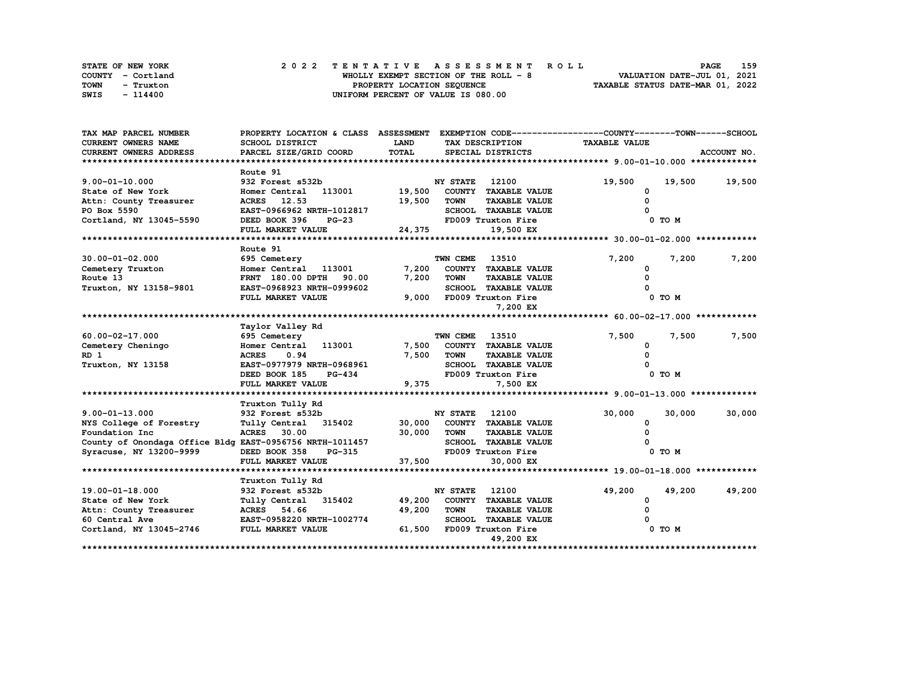| STATE OF NEW YORK | 2022 TENTATIVE ASSESSMENT ROLL        | 159<br><b>PAGE</b>               |
|-------------------|---------------------------------------|----------------------------------|
| COUNTY - Cortland | WHOLLY EXEMPT SECTION OF THE ROLL - 8 | VALUATION DATE-JUL 01, 2021      |
| TOWN<br>- Truxton | PROPERTY LOCATION SEQUENCE            | TAXABLE STATUS DATE-MAR 01, 2022 |
| SWIS<br>- 114400  | UNIFORM PERCENT OF VALUE IS 080.00    |                                  |

| TAX MAP PARCEL NUMBER                                    | PROPERTY LOCATION & CLASS ASSESSMENT |             |                       |                             | EXEMPTION CODE-----------------COUNTY-------TOWN------SCHOOL |            |             |
|----------------------------------------------------------|--------------------------------------|-------------|-----------------------|-----------------------------|--------------------------------------------------------------|------------|-------------|
| <b>CURRENT OWNERS NAME</b>                               | SCHOOL DISTRICT                      | <b>LAND</b> |                       | TAX DESCRIPTION             | <b>TAXABLE VALUE</b>                                         |            |             |
| <b>CURRENT OWNERS ADDRESS</b>                            | PARCEL SIZE/GRID COORD               | TOTAL       |                       | SPECIAL DISTRICTS           |                                                              |            | ACCOUNT NO. |
|                                                          |                                      |             |                       |                             |                                                              |            |             |
|                                                          | Route 91                             |             |                       |                             |                                                              |            |             |
| $9.00 - 01 - 10.000$                                     | 932 Forest s532b                     |             | <b>NY STATE</b>       | 12100                       | 19,500                                                       | 19,500     | 19,500      |
| State of New York                                        | Homer Central 113001                 | 19,500      |                       | COUNTY TAXABLE VALUE        | 0                                                            |            |             |
| Attn: County Treasurer                                   | ACRES 12.53                          | 19,500      | <b>TOWN</b>           | <b>TAXABLE VALUE</b>        | O                                                            |            |             |
| PO Box 5590                                              | EAST-0966962 NRTH-1012817            |             |                       | SCHOOL TAXABLE VALUE        |                                                              |            |             |
| Cortland, NY 13045-5590                                  | DEED BOOK 396<br>$PG-23$             |             |                       | FD009 Truxton Fire          |                                                              | $0$ TO $M$ |             |
|                                                          | FULL MARKET VALUE                    | 24,375      |                       | 19,500 EX                   |                                                              |            |             |
|                                                          |                                      |             |                       |                             |                                                              |            |             |
|                                                          | Route 91                             |             |                       |                             |                                                              |            |             |
| $30.00 - 01 - 02.000$                                    | 695 Cemetery                         |             | TWN CEME              | 13510                       | 7,200                                                        | 7,200      | 7,200       |
| Cemetery Truxton                                         | Homer Central 113001                 | 7,200       |                       | COUNTY TAXABLE VALUE        | $\Omega$                                                     |            |             |
| Route 13                                                 | FRNT 180.00 DPTH<br>90.00            | 7,200       | <b>TOWN</b>           | <b>TAXABLE VALUE</b>        |                                                              |            |             |
| Truxton, NY 13158-9801                                   | EAST-0968923 NRTH-0999602            |             |                       | SCHOOL TAXABLE VALUE        |                                                              |            |             |
|                                                          | FULL MARKET VALUE                    |             |                       | 9,000 FD009 Truxton Fire    |                                                              | 0 TO M     |             |
|                                                          |                                      |             |                       | 7,200 EX                    |                                                              |            |             |
|                                                          |                                      |             |                       |                             |                                                              |            |             |
|                                                          | Taylor Valley Rd                     |             |                       |                             |                                                              |            |             |
| 60.00-02-17.000                                          | 695 Cemetery                         |             | <b>TWN CEME 13510</b> |                             | 7,500                                                        | 7,500      | 7,500       |
| Cemetery Cheningo                                        | Homer Central 113001                 | 7,500       |                       | COUNTY TAXABLE VALUE        | 0                                                            |            |             |
| RD 1                                                     | <b>ACRES</b><br>0.94                 | 7,500       | <b>TOWN</b>           | <b>TAXABLE VALUE</b>        | $\Omega$                                                     |            |             |
| Truxton, NY 13158                                        | EAST-0977979 NRTH-0968961            |             |                       | SCHOOL TAXABLE VALUE        |                                                              |            |             |
|                                                          | DEED BOOK 185<br><b>PG-434</b>       |             |                       | FD009 Truxton Fire          |                                                              | 0 TO M     |             |
|                                                          | FULL MARKET VALUE                    | 9,375       |                       | 7,500 EX                    |                                                              |            |             |
|                                                          |                                      |             |                       |                             |                                                              |            |             |
|                                                          | Truxton Tully Rd                     |             |                       |                             |                                                              |            |             |
| $9.00 - 01 - 13.000$                                     | 932 Forest s532b                     |             | <b>NY STATE</b>       | 12100                       | 30,000                                                       | 30,000     | 30,000      |
| NYS College of Forestry                                  | Tully Central 315402                 |             |                       | 30,000 COUNTY TAXABLE VALUE | 0                                                            |            |             |
| Foundation Inc                                           | <b>ACRES</b> 30.00                   | 30,000      | <b>TOWN</b>           | <b>TAXABLE VALUE</b>        |                                                              |            |             |
| County of Onondaga Office Bldg EAST-0956756 NRTH-1011457 |                                      |             |                       | SCHOOL TAXABLE VALUE        |                                                              |            |             |
| Syracuse, NY 13200-9999                                  | DEED BOOK 358<br>PG-315              |             |                       | FD009 Truxton Fire          |                                                              | 0 TO M     |             |
|                                                          | FULL MARKET VALUE                    | 37,500      |                       | 30,000 EX                   |                                                              |            |             |
|                                                          |                                      |             |                       |                             |                                                              |            |             |
|                                                          | Truxton Tully Rd                     |             |                       |                             |                                                              |            |             |
| 19.00-01-18.000                                          | 932 Forest s532b                     |             | <b>NY STATE</b>       | 12100                       | 49,200                                                       | 49,200     | 49,200      |
| State of New York                                        | Tully Central 315402                 | 49,200      |                       | COUNTY TAXABLE VALUE        | $\mathbf{o}$                                                 |            |             |
| Attn: County Treasurer                                   | <b>ACRES</b><br>54.66                | 49,200      | <b>TOWN</b>           | <b>TAXABLE VALUE</b>        | 0                                                            |            |             |
| 60 Central Ave                                           | EAST-0958220 NRTH-1002774            |             |                       | <b>SCHOOL TAXABLE VALUE</b> |                                                              |            |             |
| Cortland, NY 13045-2746                                  | <b>FULL MARKET VALUE</b>             |             |                       | 61,500 FD009 Truxton Fire   |                                                              | 0 TO M     |             |
|                                                          |                                      |             |                       | 49,200 EX                   |                                                              |            |             |
|                                                          | ********************************     |             |                       |                             |                                                              |            |             |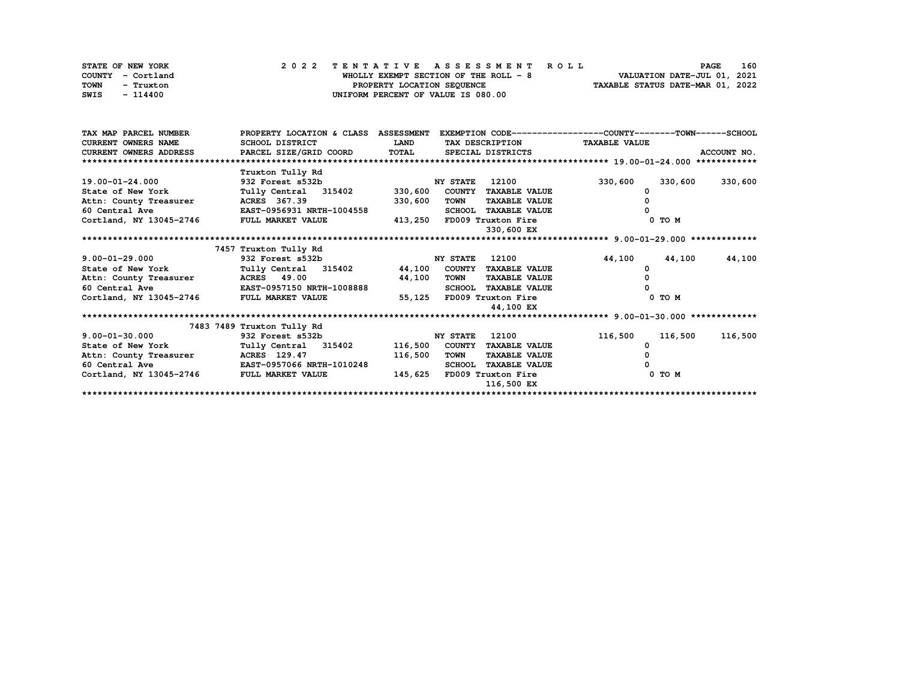| STATE OF NEW YORK | 2022 TENTATIVE ASSESSMENT ROLL         | 160<br><b>PAGE</b>               |
|-------------------|----------------------------------------|----------------------------------|
| COUNTY - Cortland | WHOLLY EXEMPT SECTION OF THE ROLL $-8$ | VALUATION DATE-JUL 01, 2021      |
| TOWN<br>- Truxton | PROPERTY LOCATION SEQUENCE             | TAXABLE STATUS DATE-MAR 01, 2022 |
| SWIS<br>- 114400  | UNIFORM PERCENT OF VALUE IS 080.00     |                                  |

| TAX MAP PARCEL NUMBER                                                   | PROPERTY LOCATION & CLASS ASSESSMENT             |             |                                     | EXEMPTION CODE-----------------COUNTY-------TOWN------SCHOOL |             |
|-------------------------------------------------------------------------|--------------------------------------------------|-------------|-------------------------------------|--------------------------------------------------------------|-------------|
| <b>CURRENT OWNERS NAME</b>                                              | SCHOOL DISTRICT                                  | <b>LAND</b> | TAX DESCRIPTION TAXABLE VALUE       |                                                              |             |
| CURRENT OWNERS ADDRESS 6 PARCEL SIZE/GRID COORD TOTAL SPECIAL DISTRICTS |                                                  |             |                                     |                                                              | ACCOUNT NO. |
| **************************                                              |                                                  |             |                                     |                                                              |             |
|                                                                         | Truxton Tully Rd                                 |             |                                     |                                                              |             |
| 19.00-01-24.000                                                         | 932 Forest s532b                                 |             | <b>NY STATE</b><br>12100            | 330,600<br>330,600                                           | 330,600     |
| State of New York                                                       | Tully Central 315402                             | 330,600     | COUNTY TAXABLE VALUE                |                                                              |             |
| Attn: County Treasurer                                                  | <b>ACRES</b> 367.39                              | 330,600     | <b>TAXABLE VALUE</b><br>TOWN        |                                                              |             |
| 60 Central Ave                                                          | <b>EAST-0956931 NRTH-1004558</b>                 |             | <b>SCHOOL TAXABLE VALUE</b>         |                                                              |             |
| Cortland, NY 13045-2746 FULL MARKET VALUE                               |                                                  |             | 413,250 FD009 Truxton Fire          | $0$ TO $M$                                                   |             |
|                                                                         |                                                  |             | 330,600 EX                          |                                                              |             |
|                                                                         |                                                  |             |                                     |                                                              |             |
|                                                                         | 7457 Truxton Tully Rd                            |             |                                     |                                                              |             |
| $9.00 - 01 - 29.000$                                                    | 932 Forest s532b                                 |             | 12100<br><b>NY STATE</b>            | 44,100<br>44,100                                             | 44,100      |
| State of New York                                                       | Tully Central 315402 44,100 COUNTY TAXABLE VALUE |             |                                     |                                                              |             |
| Attn: County Treasurer MCRES 49.00                                      |                                                  | 44,100      | <b>TOWN</b><br><b>TAXABLE VALUE</b> |                                                              |             |
| 60 Central Ave 60 EAST-0957150 NRTH-1008888                             |                                                  |             | <b>SCHOOL TAXABLE VALUE</b>         |                                                              |             |
| Cortland, NY 13045-2746 FULL MARKET VALUE                               |                                                  |             | 55,125 FD009 Truxton Fire           | $0$ TO $M$                                                   |             |
|                                                                         |                                                  |             | 44,100 EX                           |                                                              |             |
|                                                                         |                                                  |             |                                     |                                                              |             |
|                                                                         | 7483 7489 Truxton Tully Rd                       |             |                                     |                                                              |             |
| $9.00 - 01 - 30.000$                                                    | 932 Forest s532b                                 |             | 12100<br><b>NY STATE</b>            | 116,500<br>116,500                                           | 116,500     |
| State of New York                                                       | Tully Central 315402                             |             | 116,500 COUNTY TAXABLE VALUE        |                                                              |             |
| Attn: County Treasurer MCRES 129.47                                     |                                                  | 116,500     | <b>TAXABLE VALUE</b><br>TOWN        |                                                              |             |
| 60 Central Ave <b>EAST-0957066 NRTH-1010248</b>                         |                                                  |             | SCHOOL TAXABLE VALUE                |                                                              |             |
| Cortland, NY 13045-2746 FULL MARKET VALUE                               |                                                  | 145,625     | FD009 Truxton Fire                  | $0$ TO $M$                                                   |             |
|                                                                         |                                                  |             | 116,500 EX                          |                                                              |             |
|                                                                         |                                                  |             |                                     |                                                              |             |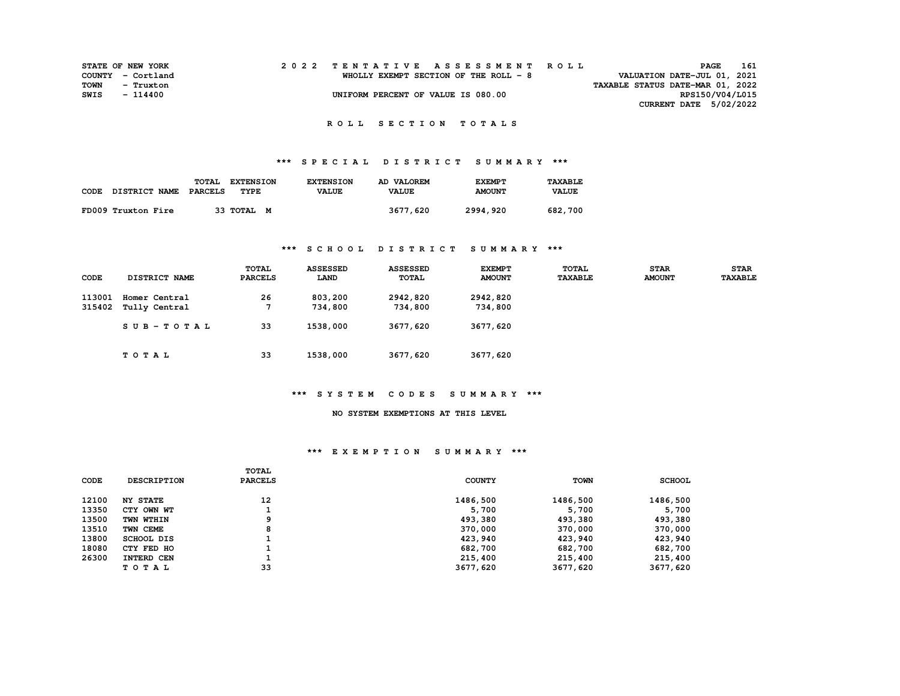| <b>STATE OF NEW YORK</b> |                   |  |  |  |  |  |  |                                       |  |  | 2022 TENTATIVE ASSESSMENT ROLL |  |                                  | PAGE | 161             |
|--------------------------|-------------------|--|--|--|--|--|--|---------------------------------------|--|--|--------------------------------|--|----------------------------------|------|-----------------|
|                          | COUNTY - Cortland |  |  |  |  |  |  | WHOLLY EXEMPT SECTION OF THE ROLL - 8 |  |  |                                |  | VALUATION DATE-JUL 01, 2021      |      |                 |
| TOWN                     | - Truxton         |  |  |  |  |  |  |                                       |  |  |                                |  | TAXABLE STATUS DATE-MAR 01, 2022 |      |                 |
| SWIS                     | - 114400          |  |  |  |  |  |  | UNIFORM PERCENT OF VALUE IS 080.00    |  |  |                                |  |                                  |      | RPS150/V04/L015 |
|                          |                   |  |  |  |  |  |  |                                       |  |  |                                |  | CURRENT DATE 5/02/2022           |      |                 |
|                          |                   |  |  |  |  |  |  |                                       |  |  |                                |  |                                  |      |                 |

# **\*\*\* S P E C I A L D I S T R I C T S U M M A R Y \*\*\***

|      |                      | TOTAL   | <b>EXTENSION</b> | <b>EXTENSION</b> | AD VALOREM   | <b>EXEMPT</b> | <b>TAXABLE</b> |
|------|----------------------|---------|------------------|------------------|--------------|---------------|----------------|
| CODE | <b>DISTRICT NAME</b> | PARCELS | TYPE             | <b>VALUE</b>     | <b>VALUE</b> | <b>AMOUNT</b> | <b>VALUE</b>   |
|      | FD009 Truxton Fire   |         | 33 TOTAL M       |                  | 3677,620     | 2994,920      | 682,700        |

### **\*\*\* S C H O O L D I S T R I C T S U M M A R Y \*\*\***

| CODE             | DISTRICT NAME                  | TOTAL<br><b>PARCELS</b> | <b>ASSESSED</b><br>LAND | <b>ASSESSED</b><br><b>TOTAL</b> | <b>EXEMPT</b><br><b>AMOUNT</b> | <b>TOTAL</b><br><b>TAXABLE</b> | <b>STAR</b><br><b>AMOUNT</b> | <b>STAR</b><br><b>TAXABLE</b> |
|------------------|--------------------------------|-------------------------|-------------------------|---------------------------------|--------------------------------|--------------------------------|------------------------------|-------------------------------|
| 113001<br>315402 | Homer Central<br>Tully Central | 26                      | 803,200<br>734,800      | 2942,820<br>734,800             | 2942,820<br>734,800            |                                |                              |                               |
|                  | $SUB - TO T AL$                | 33                      | 1538,000                | 3677,620                        | 3677,620                       |                                |                              |                               |
|                  | TOTAL                          | 33                      | 1538,000                | 3677,620                        | 3677,620                       |                                |                              |                               |

### **\*\*\* S Y S T E M C O D E S S U M M A R Y \*\*\***

#### **NO SYSTEM EXEMPTIONS AT THIS LEVEL**

|       |                    | TOTAL          |               |             |               |
|-------|--------------------|----------------|---------------|-------------|---------------|
| CODE  | <b>DESCRIPTION</b> | <b>PARCELS</b> | <b>COUNTY</b> | <b>TOWN</b> | <b>SCHOOL</b> |
| 12100 | <b>NY STATE</b>    | 12             | 1486,500      | 1486,500    | 1486,500      |
| 13350 | CTY OWN WT         |                | 5,700         | 5,700       | 5,700         |
| 13500 | TWN WTHIN          | 9              | 493,380       | 493,380     | 493,380       |
| 13510 | TWN CEME           | 8              | 370,000       | 370,000     | 370,000       |
| 13800 | <b>SCHOOL DIS</b>  |                | 423,940       | 423,940     | 423,940       |
| 18080 | CTY FED HO         |                | 682,700       | 682,700     | 682,700       |
| 26300 | INTERD CEN         |                | 215,400       | 215,400     | 215,400       |
|       | TOTAL              | 33             | 3677,620      | 3677,620    | 3677,620      |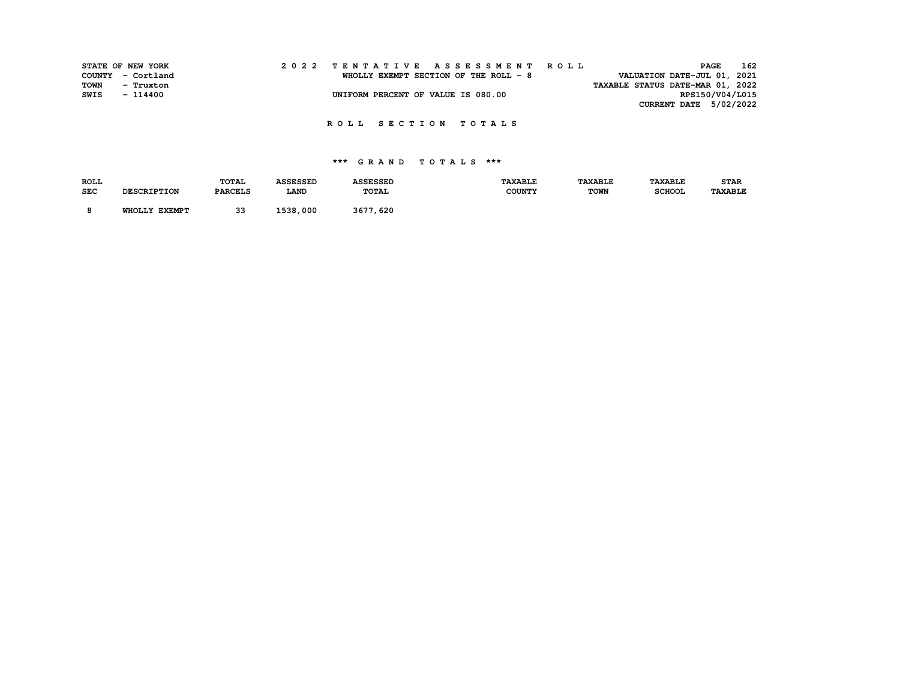|      | STATE OF NEW YORK |  |  |  |  |                                       |  |  |  |  | 2022 TENTATIVE ASSESSMENT ROLL |                                  |                 | <b>PAGE</b> | 162 |
|------|-------------------|--|--|--|--|---------------------------------------|--|--|--|--|--------------------------------|----------------------------------|-----------------|-------------|-----|
|      | COUNTY - Cortland |  |  |  |  | WHOLLY EXEMPT SECTION OF THE ROLL - 8 |  |  |  |  |                                | VALUATION DATE-JUL 01, 2021      |                 |             |     |
| TOWN | - Truxton         |  |  |  |  |                                       |  |  |  |  |                                | TAXABLE STATUS DATE-MAR 01, 2022 |                 |             |     |
| SWIS | - 114400          |  |  |  |  | UNIFORM PERCENT OF VALUE IS 080.00    |  |  |  |  |                                |                                  | RPS150/V04/L015 |             |     |
|      |                   |  |  |  |  |                                       |  |  |  |  |                                | <b>CURRENT DATE 5/02/2022</b>    |                 |             |     |

| <b>ROLL</b> |                    | <b>TOTAL</b>   | <b>ASSESSED</b> | <b>ASSESSED</b> | <b>TAXABLE</b> | <b><i>TAXABLE</i></b> | <b><i>TAXABLE</i></b> | <b>STAR</b>    |
|-------------|--------------------|----------------|-----------------|-----------------|----------------|-----------------------|-----------------------|----------------|
| <b>SEC</b>  | <b>DESCRIPTION</b> | <b>PARCELS</b> | LAND            | TOTAL           | <b>COUNTY</b>  | <b>TOWN</b>           | <b>SCHOOL</b>         | <b>TAXABLE</b> |
|             | WHOLLY EXEMPT      | २२             | 1538,000        | 3677,620        |                |                       |                       |                |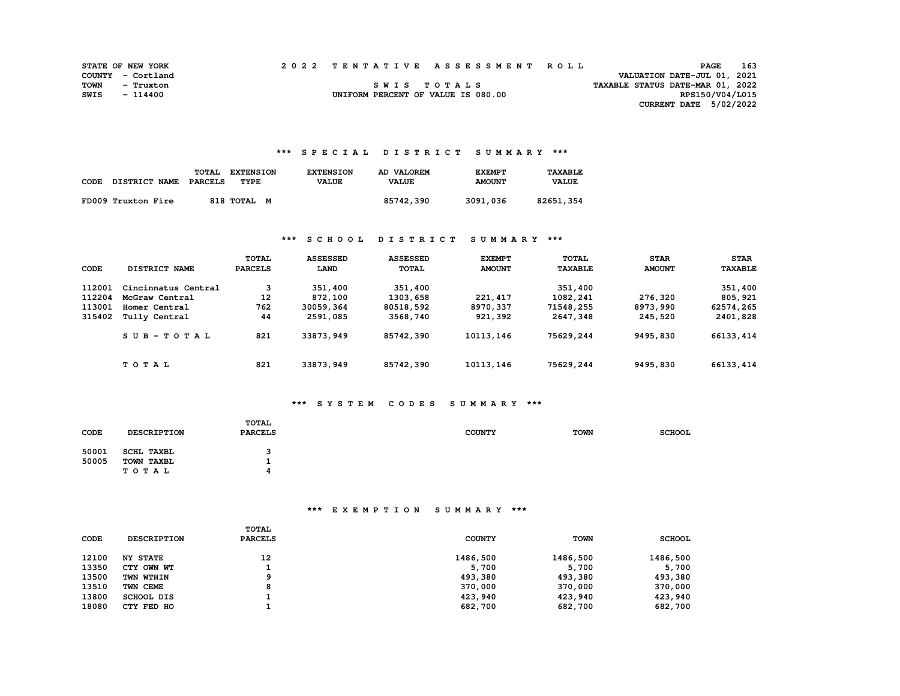|      | <b>STATE OF NEW YORK</b> |  | 2022 TENTATIVE ASSESSMENT ROLL     |                                  | <b>PAGE</b>                   | 163 |
|------|--------------------------|--|------------------------------------|----------------------------------|-------------------------------|-----|
|      | COUNTY - Cortland        |  |                                    |                                  | VALUATION DATE-JUL 01, 2021   |     |
| TOWN | - Truxton                |  | SWIS TOTALS                        | TAXABLE STATUS DATE-MAR 01, 2022 |                               |     |
| SWIS | $-114400$                |  | UNIFORM PERCENT OF VALUE IS 080.00 |                                  | RPS150/V04/L015               |     |
|      |                          |  |                                    |                                  | <b>CURRENT DATE 5/02/2022</b> |     |

### **\*\*\* S P E C I A L D I S T R I C T S U M M A R Y \*\*\***

| CODE | DISTRICT NAME      | TOTAL<br><b>EXTENSION</b><br>TYPE<br>PARCELS | <b>EXTENSION</b><br><b>VALUE</b> | AD VALOREM<br><b>VALUE</b> | <b>EXEMPT</b><br><b>AMOUNT</b> | <b>TAXABLE</b><br><b>VALUE</b> |
|------|--------------------|----------------------------------------------|----------------------------------|----------------------------|--------------------------------|--------------------------------|
|      | FD009 Truxton Fire | 818 TOTAL                                    | M                                | 85742,390                  | 3091,036                       | 82651,354                      |

### **\*\*\* S C H O O L D I S T R I C T S U M M A R Y \*\*\***

| CODE             | DISTRICT NAME                   | TOTAL<br><b>PARCELS</b> | <b>ASSESSED</b><br>LAND | <b>ASSESSED</b><br><b>TOTAL</b> | <b>EXEMPT</b><br><b>AMOUNT</b> | TOTAL<br><b>TAXABLE</b> | <b>STAR</b><br><b>AMOUNT</b> | <b>STAR</b><br><b>TAXABLE</b> |
|------------------|---------------------------------|-------------------------|-------------------------|---------------------------------|--------------------------------|-------------------------|------------------------------|-------------------------------|
| 112001           | Cincinnatus Central             | 3                       | 351,400                 | 351,400                         |                                | 351,400                 |                              | 351,400                       |
| 112204<br>113001 | McGraw Central<br>Homer Central | 12<br>762               | 872,100<br>30059,364    | 1303,658<br>80518,592           | 221,417<br>8970,337            | 1082,241<br>71548,255   | 276,320<br>8973,990          | 805,921<br>62574,265          |
| 315402           | Tully Central                   | 44                      | 2591,085                | 3568,740                        | 921,392                        | 2647,348                | 245,520                      | 2401,828                      |
|                  | $SUB-TOTAL$                     | 821                     | 33873,949               | 85742,390                       | 10113,146                      | 75629,244               | 9495,830                     | 66133, 414                    |
|                  | TOTAL                           | 821                     | 33873,949               | 85742,390                       | 10113,146                      | 75629,244               | 9495,830                     | 66133, 414                    |

# **\*\*\* S Y S T E M C O D E S S U M M A R Y \*\*\***

| CODE  | <b>DESCRIPTION</b> | TOTAL<br><b>PARCELS</b> | <b>COUNTY</b> | <b>TOWN</b> | <b>SCHOOL</b> |
|-------|--------------------|-------------------------|---------------|-------------|---------------|
| 50001 | <b>SCHL TAXBL</b>  | 3                       |               |             |               |
| 50005 | TOWN TAXBL         |                         |               |             |               |
|       | TOTAL              | 4                       |               |             |               |

| <b>CODE</b> | <b>DESCRIPTION</b> | TOTAL<br><b>PARCELS</b> | <b>COUNTY</b> | TOWN     | <b>SCHOOL</b> |
|-------------|--------------------|-------------------------|---------------|----------|---------------|
| 12100       | <b>NY STATE</b>    | 12                      | 1486,500      | 1486,500 | 1486,500      |
| 13350       | CTY OWN WT         |                         | 5,700         | 5,700    | 5,700         |
| 13500       | TWN WTHIN          | ۰                       | 493,380       | 493,380  | 493,380       |
| 13510       | TWN CEME           | 8                       | 370,000       | 370,000  | 370,000       |
| 13800       | SCHOOL DIS         |                         | 423,940       | 423,940  | 423,940       |
| 18080       | CTY FED HO         |                         | 682,700       | 682,700  | 682,700       |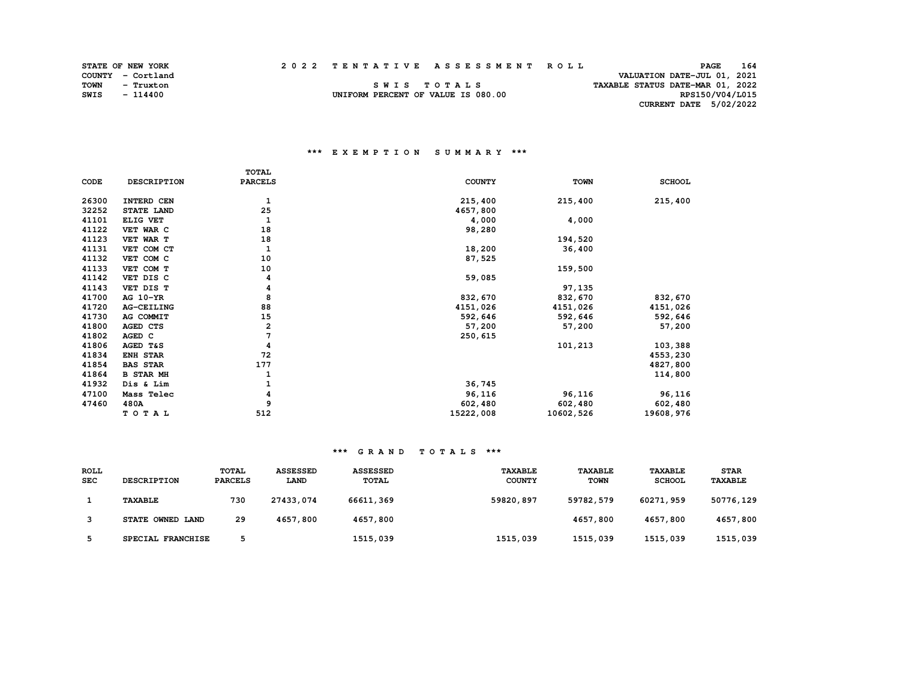|      | <b>STATE OF NEW YORK</b> |  | 2022 TENTATIVE ASSESSMENT ROLL     |                                  | <b>PAGE</b>                 | 164 |
|------|--------------------------|--|------------------------------------|----------------------------------|-----------------------------|-----|
|      | COUNTY - Cortland        |  |                                    |                                  | VALUATION DATE-JUL 01, 2021 |     |
| TOWN | - Truxton                |  | SWIS TOTALS                        | TAXABLE STATUS DATE-MAR 01, 2022 |                             |     |
| SWIS | $-114400$                |  | UNIFORM PERCENT OF VALUE IS 080.00 |                                  | RPS150/V04/L015             |     |
|      |                          |  |                                    |                                  | CURRENT DATE 5/02/2022      |     |

### **\*\*\* E X E M P T I O N S U M M A R Y \*\*\***

STATE OF NEW YORK **COUNTY** - Cortland

|       |                   | <b>TOTAL</b>   |               |             |               |
|-------|-------------------|----------------|---------------|-------------|---------------|
| CODE  | DESCRIPTION       | <b>PARCELS</b> | <b>COUNTY</b> | <b>TOWN</b> | <b>SCHOOL</b> |
| 26300 | INTERD CEN        | 1              | 215,400       | 215,400     | 215,400       |
| 32252 | STATE LAND        | 25             | 4657,800      |             |               |
| 41101 | ELIG VET          | 1              | 4,000         | 4,000       |               |
| 41122 | VET WAR C         | 18             | 98,280        |             |               |
| 41123 | VET WAR T         | 18             |               | 194,520     |               |
| 41131 | VET COM CT        | 1              | 18,200        | 36,400      |               |
| 41132 | VET COM C         | 10             | 87,525        |             |               |
| 41133 | VET COM T         | 10             |               | 159,500     |               |
| 41142 | VET DIS C         | 4              | 59,085        |             |               |
| 41143 | VET DIS T         | 4              |               | 97,135      |               |
| 41700 | AG 10-YR          | 8              | 832,670       | 832,670     | 832,670       |
| 41720 | <b>AG-CEILING</b> | 88             | 4151,026      | 4151,026    | 4151,026      |
| 41730 | AG COMMIT         | 15             | 592,646       | 592,646     | 592,646       |
| 41800 | AGED CTS          | 2              | 57,200        | 57,200      | 57,200        |
| 41802 | AGED C            | 7              | 250,615       |             |               |
| 41806 | AGED T&S          | 4              |               | 101,213     | 103,388       |
| 41834 | ENH STAR          | 72             |               |             | 4553,230      |
| 41854 | <b>BAS STAR</b>   | 177            |               |             | 4827,800      |
| 41864 | <b>B STAR MH</b>  |                |               |             | 114,800       |
| 41932 | Dis & Lim         |                | 36,745        |             |               |
| 47100 | Mass Telec        | 4              | 96,116        | 96,116      | 96,116        |
| 47460 | 480A              | 9              | 602,480       | 602,480     | 602,480       |
|       | TOTAL             | 512            | 15222,008     | 10602,526   | 19608,976     |

| <b>ROLL</b> |                    | <b>TOTAL</b>   | <b>ASSESSED</b> | <b>ASSESSED</b> | TAXABLE       | <b>TAXABLE</b> | TAXABLE       | <b>STAR</b> |
|-------------|--------------------|----------------|-----------------|-----------------|---------------|----------------|---------------|-------------|
| <b>SEC</b>  | <b>DESCRIPTION</b> | <b>PARCELS</b> | <b>LAND</b>     | <b>TOTAL</b>    | <b>COUNTY</b> | <b>TOWN</b>    | <b>SCHOOL</b> | TAXABLE     |
|             | <b>TAXABLE</b>     | 730            | 27433,074       | 66611,369       | 59820,897     | 59782,579      | 60271,959     | 50776,129   |
|             | STATE OWNED LAND   | 29             | 4657,800        | 4657,800        |               | 4657,800       | 4657,800      | 4657,800    |
|             | SPECIAL FRANCHISE  |                |                 | 1515,039        | 1515,039      | 1515,039       | 1515,039      | 1515,039    |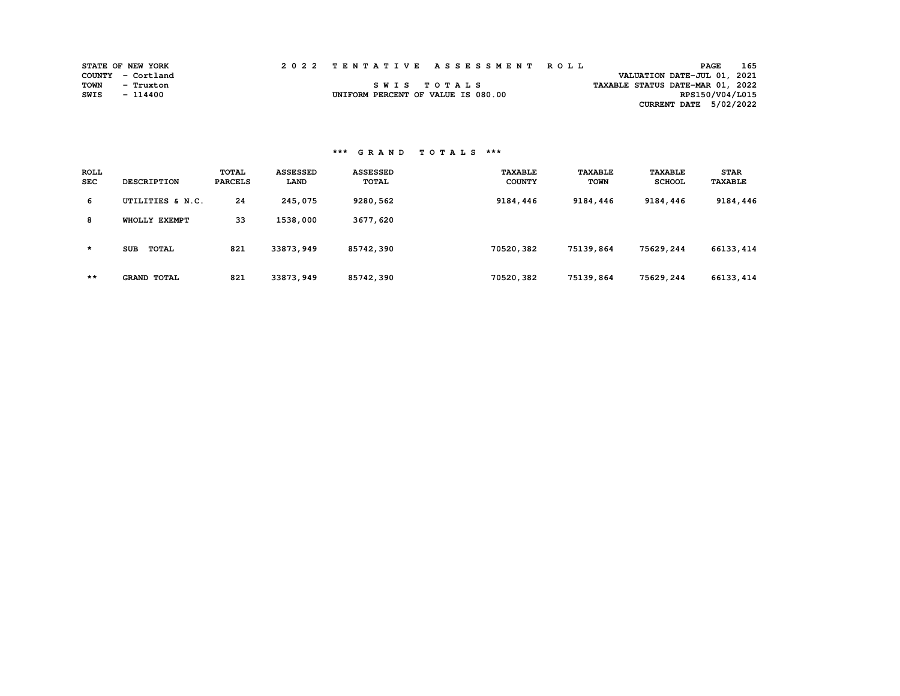|      | <b>STATE OF NEW YORK</b> | 2022 TENTATIVE ASSESSMENT ROLL     |  |  |                                  | <b>PAGE</b>     | 165 |
|------|--------------------------|------------------------------------|--|--|----------------------------------|-----------------|-----|
|      | COUNTY - Cortland        |                                    |  |  | VALUATION DATE-JUL 01, 2021      |                 |     |
| TOWN | - Truxton                | SWIS TOTALS                        |  |  | TAXABLE STATUS DATE-MAR 01, 2022 |                 |     |
| SWIS | - 114400                 | UNIFORM PERCENT OF VALUE IS 080.00 |  |  |                                  | RPS150/V04/L015 |     |
|      |                          |                                    |  |  | CURRENT DATE 5/02/2022           |                 |     |

| <b>ROLL</b><br><b>SEC</b> | <b>DESCRIPTION</b>  | <b>TOTAL</b><br><b>PARCELS</b> | <b>ASSESSED</b><br>LAND | <b>ASSESSED</b><br><b>TOTAL</b> | <b><i>TAXABLE</i></b><br><b>COUNTY</b> | <b>TAXABLE</b><br>TOWN | <b>TAXABLE</b><br><b>SCHOOL</b> | <b>STAR</b><br><b>TAXABLE</b> |
|---------------------------|---------------------|--------------------------------|-------------------------|---------------------------------|----------------------------------------|------------------------|---------------------------------|-------------------------------|
| 6                         | UTILITIES & N.C.    | 24                             | 245,075                 | 9280,562                        | 9184,446                               | 9184,446               | 9184,446                        | 9184,446                      |
| 8                         | WHOLLY EXEMPT       | 33                             | 1538,000                | 3677,620                        |                                        |                        |                                 |                               |
| $\star$                   | <b>SUB</b><br>TOTAL | 821                            | 33873,949               | 85742,390                       | 70520,382                              | 75139,864              | 75629,244                       | 66133,414                     |
| $***$                     | <b>GRAND TOTAL</b>  | 821                            | 33873,949               | 85742,390                       | 70520,382                              | 75139,864              | 75629,244                       | 66133, 414                    |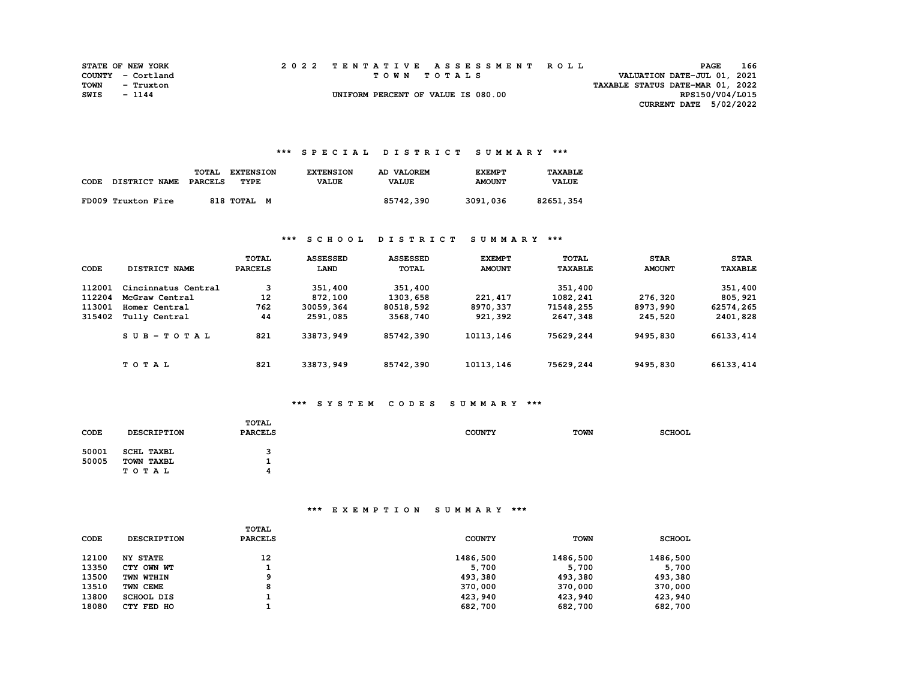|      | <b>STATE OF NEW YORK</b> |  | 2022 TENTATIVE ASSESSMENT ROLL     |                                  | <b>PAGE</b>                 | 166 |
|------|--------------------------|--|------------------------------------|----------------------------------|-----------------------------|-----|
|      | COUNTY - Cortland        |  | TOWN TOTALS                        |                                  | VALUATION DATE-JUL 01, 2021 |     |
| TOWN | - Truxton                |  |                                    | TAXABLE STATUS DATE-MAR 01, 2022 |                             |     |
| SWIS | - 1144                   |  | UNIFORM PERCENT OF VALUE IS 080.00 |                                  | RPS150/V04/L015             |     |
|      |                          |  |                                    |                                  | CURRENT DATE 5/02/2022      |     |

### **\*\*\* S P E C I A L D I S T R I C T S U M M A R Y \*\*\***

| CODE | DISTRICT NAME      | <b>TOTAL</b><br><b>PARCELS</b> | <b>EXTENSION</b><br>TYPE | <b>EXTENSION</b><br><b>VALUE</b> | AD VALOREM<br><b>VALUE</b> | <b>EXEMPT</b><br><b>AMOUNT</b> | TAXABLE<br><b>VALUE</b> |
|------|--------------------|--------------------------------|--------------------------|----------------------------------|----------------------------|--------------------------------|-------------------------|
|      | FD009 Truxton Fire |                                | 818 TOTAL M              |                                  | 85742,390                  | 3091,036                       | 82651,354               |

# **\*\*\* S C H O O L D I S T R I C T S U M M A R Y \*\*\***

| CODE   | DISTRICT NAME       | TOTAL<br><b>PARCELS</b> | <b>ASSESSED</b><br>LAND | <b>ASSESSED</b><br><b>TOTAL</b> | <b>EXEMPT</b><br><b>AMOUNT</b> | TOTAL<br><b>TAXABLE</b> | <b>STAR</b><br><b>AMOUNT</b> | <b>STAR</b><br><b>TAXABLE</b> |
|--------|---------------------|-------------------------|-------------------------|---------------------------------|--------------------------------|-------------------------|------------------------------|-------------------------------|
| 112001 | Cincinnatus Central | 3                       | 351,400                 | 351,400                         |                                | 351,400                 |                              | 351,400                       |
| 112204 | McGraw Central      | 12                      | 872,100                 | 1303,658                        | 221, 417                       | 1082,241                | 276,320                      | 805,921                       |
| 113001 | Homer Central       | 762                     | 30059,364               | 80518,592                       | 8970,337                       | 71548,255               | 8973,990                     | 62574,265                     |
| 315402 | Tully Central       | 44                      | 2591,085                | 3568,740                        | 921,392                        | 2647,348                | 245,520                      | 2401,828                      |
|        | $SUB-TOTAL$         | 821                     | 33873,949               | 85742,390                       | 10113,146                      | 75629,244               | 9495,830                     | 66133,414                     |
|        | TOTAL               | 821                     | 33873,949               | 85742,390                       | 10113,146                      | 75629,244               | 9495,830                     | 66133,414                     |

# **\*\*\* S Y S T E M C O D E S S U M M A R Y \*\*\***

| CODE           | <b>DESCRIPTION</b>                       | TOTAL<br><b>PARCELS</b> | <b>COUNTY</b> | <b>TOWN</b> | <b>SCHOOL</b> |
|----------------|------------------------------------------|-------------------------|---------------|-------------|---------------|
| 50001<br>50005 | SCHL TAXBL<br>TOWN TAXBL<br><b>TOTAL</b> | 3                       |               |             |               |

| <b>CODE</b> | <b>DESCRIPTION</b> | TOTAL<br><b>PARCELS</b> | <b>COUNTY</b> | TOWN     | <b>SCHOOL</b> |
|-------------|--------------------|-------------------------|---------------|----------|---------------|
| 12100       | <b>NY STATE</b>    | 12                      | 1486,500      | 1486,500 | 1486,500      |
| 13350       | CTY OWN WT         |                         | 5,700         | 5,700    | 5,700         |
| 13500       | TWN WTHIN          | ۰                       | 493,380       | 493,380  | 493,380       |
| 13510       | TWN CEME           | 8                       | 370,000       | 370,000  | 370,000       |
| 13800       | SCHOOL DIS         |                         | 423,940       | 423,940  | 423,940       |
| 18080       | CTY FED HO         |                         | 682,700       | 682,700  | 682,700       |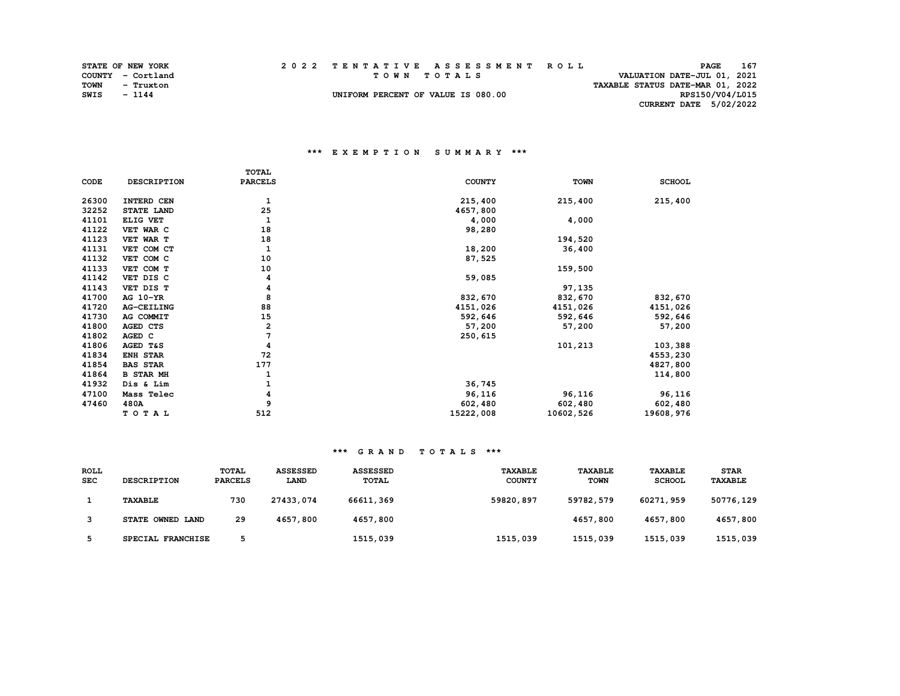|      | <b>STATE OF NEW YORK</b> |  | 2022 TENTATIVE ASSESSMENT ROLL     |                                  | <b>PAGE</b>                 | 167 |
|------|--------------------------|--|------------------------------------|----------------------------------|-----------------------------|-----|
|      | COUNTY - Cortland        |  | TOWN TOTALS                        |                                  | VALUATION DATE-JUL 01, 2021 |     |
| TOWN | - Truxton                |  |                                    | TAXABLE STATUS DATE-MAR 01, 2022 |                             |     |
| SWIS | $-1144$                  |  | UNIFORM PERCENT OF VALUE IS 080.00 |                                  | RPS150/V04/L015             |     |
|      |                          |  |                                    |                                  | CURRENT DATE 5/02/2022      |     |

### **\*\*\* E X E M P T I O N S U M M A R Y \*\*\***

|       |                   | <b>TOTAL</b>   |               |             |               |
|-------|-------------------|----------------|---------------|-------------|---------------|
| CODE  | DESCRIPTION       | <b>PARCELS</b> | <b>COUNTY</b> | <b>TOWN</b> | <b>SCHOOL</b> |
| 26300 | INTERD CEN        | 1              | 215,400       | 215,400     | 215,400       |
| 32252 | STATE LAND        | 25             | 4657,800      |             |               |
| 41101 | ELIG VET          | 1              | 4,000         | 4,000       |               |
| 41122 | VET WAR C         | 18             | 98,280        |             |               |
| 41123 | VET WAR T         | 18             |               | 194,520     |               |
| 41131 | VET COM CT        | 1              | 18,200        | 36,400      |               |
| 41132 | VET COM C         | 10             | 87,525        |             |               |
| 41133 | VET COM T         | 10             |               | 159,500     |               |
| 41142 | VET DIS C         | 4              | 59,085        |             |               |
| 41143 | VET DIS T         | 4              |               | 97,135      |               |
| 41700 | AG 10-YR          | 8              | 832,670       | 832,670     | 832,670       |
| 41720 | <b>AG-CEILING</b> | 88             | 4151,026      | 4151,026    | 4151,026      |
| 41730 | AG COMMIT         | 15             | 592,646       | 592,646     | 592,646       |
| 41800 | AGED CTS          | 2              | 57,200        | 57,200      | 57,200        |
| 41802 | AGED C            | 7              | 250,615       |             |               |
| 41806 | AGED T&S          | 4              |               | 101,213     | 103,388       |
| 41834 | ENH STAR          | 72             |               |             | 4553,230      |
| 41854 | <b>BAS STAR</b>   | 177            |               |             | 4827,800      |
| 41864 | <b>B STAR MH</b>  |                |               |             | 114,800       |
| 41932 | Dis & Lim         |                | 36,745        |             |               |
| 47100 | Mass Telec        | 4              | 96,116        | 96,116      | 96,116        |
| 47460 | 480A              | 9              | 602,480       | 602,480     | 602,480       |
|       | TOTAL             | 512            | 15222,008     | 10602,526   | 19608,976     |

| <b>ROLL</b><br><b>SEC</b> | <b>DESCRIPTION</b> | <b>TOTAL</b><br><b>PARCELS</b> | <b>ASSESSED</b><br><b>LAND</b> | <b>ASSESSED</b><br><b>TOTAL</b> | <b>TAXABLE</b><br><b>COUNTY</b> | <b>TAXABLE</b><br><b>TOWN</b> | <b>TAXABLE</b><br><b>SCHOOL</b> | <b>STAR</b><br><b>TAXABLE</b> |
|---------------------------|--------------------|--------------------------------|--------------------------------|---------------------------------|---------------------------------|-------------------------------|---------------------------------|-------------------------------|
|                           | <b>TAXABLE</b>     | 730                            | 27433,074                      | 66611,369                       | 59820,897                       | 59782,579                     | 60271,959                       | 50776,129                     |
|                           | STATE OWNED LAND   | 29                             | 4657,800                       | 4657,800                        |                                 | 4657,800                      | 4657,800                        | 4657,800                      |
|                           | SPECIAL FRANCHISE  |                                |                                | 1515,039                        | 1515,039                        | 1515,039                      | 1515,039                        | 1515,039                      |